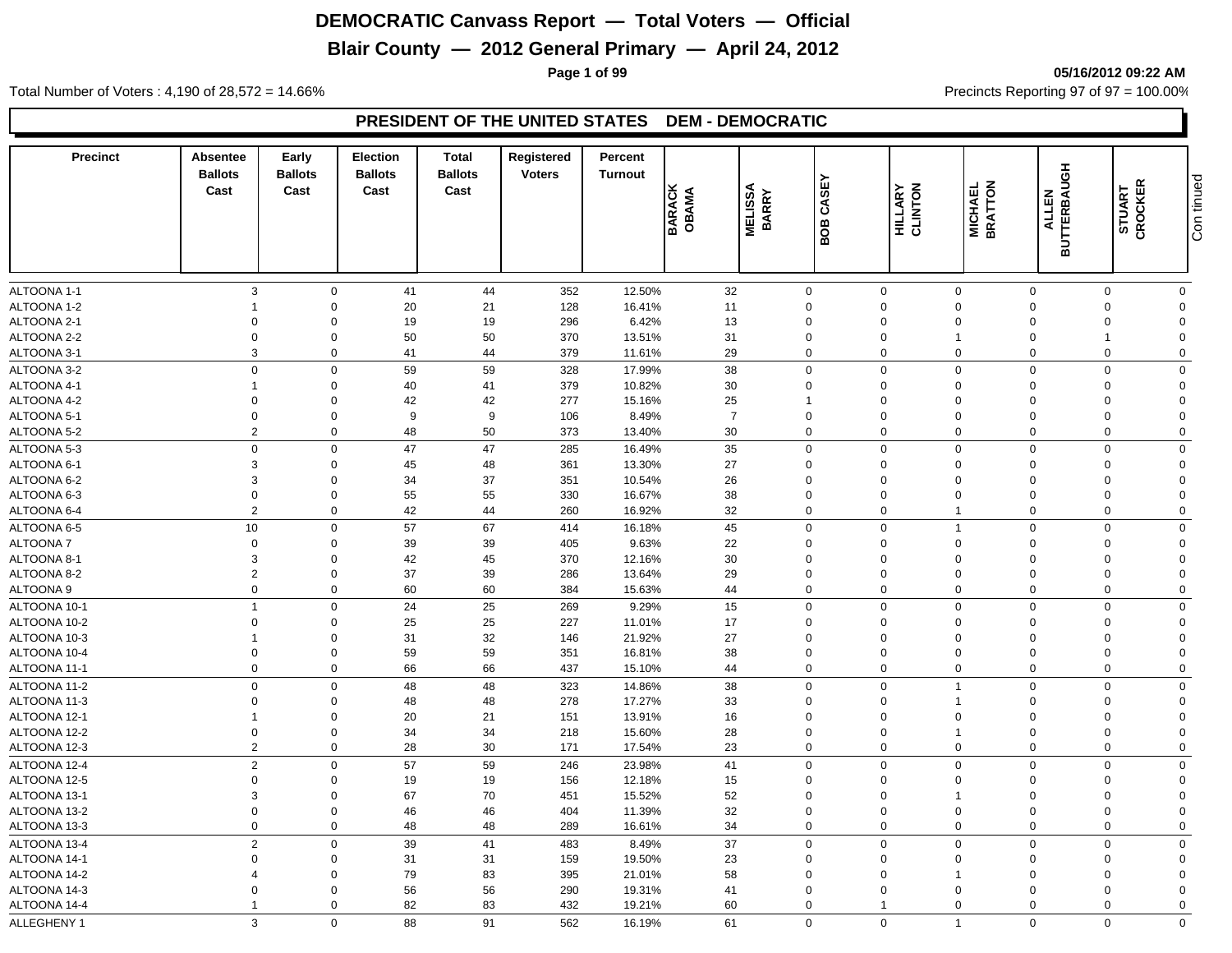### **Blair County — 2012 General Primary — April 24, 2012**

**Page 1 of 99 05/16/2012 09:22 AM**

Total Number of Voters : 4,190 of 28,572 = 14.66% Precincts Reporting 97 of 97 = 100.00%

#### **PRESIDENT OF THE UNITED STATES DEM - DEMOCRATIC**

| <b>Precinct</b> | Absentee<br><b>Ballots</b><br>Cast | Early<br><b>Ballots</b><br>Cast | <b>Election</b><br><b>Ballots</b><br>Cast | Total<br><b>Ballots</b><br>Cast | Registered<br><b>Voters</b> | Percent<br><b>Turnout</b> | <b>BARACK</b><br>OBAMA | <b>MELISSA</b><br><b>BARRY</b> | CASEY<br>BOB     | HILLARY<br>CLINTON | MICHAEL<br>BRATTON | <b>BUTTERBAUGH</b><br><b>ALLEN</b> | STUART<br>CROCKER | Con tinued     |
|-----------------|------------------------------------|---------------------------------|-------------------------------------------|---------------------------------|-----------------------------|---------------------------|------------------------|--------------------------------|------------------|--------------------|--------------------|------------------------------------|-------------------|----------------|
|                 |                                    |                                 |                                           |                                 |                             |                           |                        |                                |                  |                    |                    |                                    |                   |                |
| ALTOONA 1-1     | 3                                  | $\mathbf 0$                     | 41                                        | 44                              | 352                         | 12.50%                    | 32                     |                                | $\mathbf 0$      | $\mathbf 0$        | $\overline{0}$     | $\mathbf 0$                        | $\mathbf 0$       | $\mathbf 0$    |
| ALTOONA 1-2     | -1                                 | $\mathbf 0$                     | 20                                        | 21                              | 128                         | 16.41%                    | 11                     |                                | $\mathbf 0$      | $\mathbf 0$        | $\Omega$           | $\Omega$                           | $\Omega$          | $\mathbf{0}$   |
| ALTOONA 2-1     | $\Omega$                           | $\Omega$                        | 19                                        | 19                              | 296                         | 6.42%                     | 13                     |                                | $\Omega$         | $\mathbf 0$        | $\Omega$           | $\Omega$                           | $\Omega$          | $\Omega$       |
| ALTOONA 2-2     | $\Omega$                           | $\mathbf 0$                     | 50                                        | 50                              | 370                         | 13.51%                    | 31                     |                                | $\Omega$         | $\mathbf{0}$       |                    | $\Omega$                           |                   | $\Omega$       |
| ALTOONA 3-1     | 3                                  | $\mathbf 0$                     | 41                                        | 44                              | 379                         | 11.61%                    | 29                     |                                | $\Omega$         | $\mathbf 0$        | $\Omega$           | $\Omega$                           | $\Omega$          | $\Omega$       |
| ALTOONA 3-2     | $\mathbf 0$                        | $\mathbf 0$                     | 59                                        | 59                              | 328                         | 17.99%                    | 38                     |                                | $\mathbf 0$      | $\mathbf 0$        | $\mathbf 0$        | $\Omega$                           | $\Omega$          | $\Omega$       |
| ALTOONA 4-1     | -1                                 | $\mathbf 0$                     | 40                                        | 41                              | 379                         | 10.82%                    | 30                     |                                | $\Omega$         | $\mathbf 0$        | $\Omega$           | $\Omega$                           | $\Omega$          | $\Omega$       |
| ALTOONA 4-2     | $\Omega$                           | $\mathbf 0$                     | 42                                        | 42                              | 277                         | 15.16%                    | 25                     |                                | 1                | $\mathbf 0$        | $\Omega$           | $\Omega$                           | $\Omega$          | $\Omega$       |
| ALTOONA 5-1     | $\mathbf 0$                        | $\mathbf 0$                     | 9                                         | 9                               | 106                         | 8.49%                     | $\overline{7}$         |                                | $\mathbf 0$      | $\mathbf 0$        | $\Omega$           | $\Omega$                           | $\Omega$          | $\Omega$       |
| ALTOONA 5-2     | $\overline{2}$                     | $\mathbf 0$                     | 48                                        | 50                              | 373                         | 13.40%                    | 30                     |                                | $\mathbf 0$      | $\mathbf 0$        | $\mathbf 0$        | $\mathbf 0$                        | $\mathbf 0$       | $\mathbf 0$    |
| ALTOONA 5-3     | $\mathbf 0$                        | $\mathbf 0$                     | 47                                        | 47                              | 285                         | 16.49%                    | 35                     |                                | $\mathbf 0$      | $\mathbf 0$        | $\mathbf 0$        | $\Omega$                           | $\Omega$          | $\Omega$       |
| ALTOONA 6-1     | 3                                  | $\mathbf 0$                     | 45                                        | 48                              | 361                         | 13.30%                    | 27                     |                                | $\Omega$         | $\mathbf 0$        | $\Omega$           | $\Omega$                           | $\Omega$          | $\Omega$       |
| ALTOONA 6-2     | 3                                  | $\mathbf 0$                     | 34                                        | 37                              | 351                         | 10.54%                    | 26                     |                                | $\Omega$         | $\mathbf 0$        | $\Omega$           | $\Omega$                           | $\Omega$          | $\Omega$       |
| ALTOONA 6-3     | $\mathbf 0$                        | $\mathbf 0$                     | 55                                        | 55                              | 330                         | 16.67%                    | 38                     |                                | $\mathbf 0$      | $\mathbf 0$        | $\mathbf 0$        | $\Omega$                           | $\mathbf 0$       | $\mathbf 0$    |
| ALTOONA 6-4     | $\overline{2}$                     | $\mathbf 0$                     | 42                                        | 44                              | 260                         | 16.92%                    | 32                     |                                | $\mathbf 0$      | $\mathbf 0$        | 1                  | $\mathbf 0$                        | $\mathbf 0$       | $\mathbf 0$    |
| ALTOONA 6-5     | 10                                 | $\mathbf 0$                     | 57                                        | 67                              | 414                         | 16.18%                    | 45                     |                                | $\mathbf 0$      | $\mathbf 0$        | $\overline{1}$     | $\Omega$                           | $\Omega$          | $\mathbf 0$    |
| ALTOONA 7       | $\mathbf 0$                        | $\mathbf 0$                     | 39                                        | 39                              | 405                         | 9.63%                     | 22                     |                                | $\Omega$         | $\mathbf 0$        | $\Omega$           | $\Omega$                           | $\Omega$          | $\Omega$       |
| ALTOONA 8-1     | 3                                  | $\mathbf 0$                     | 42                                        | 45                              | 370                         | 12.16%                    | 30                     |                                | $\mathbf 0$      | $\mathbf 0$        | $\mathbf 0$        | $\Omega$                           | $\Omega$          | $\overline{0}$ |
| ALTOONA 8-2     | $\overline{2}$                     | $\mathbf 0$                     | 37                                        | 39                              | 286                         | 13.64%                    | 29                     |                                | $\mathbf 0$      | $\mathbf 0$        | $\mathbf 0$        | $\Omega$                           | $\mathbf 0$       | $\mathbf 0$    |
| ALTOONA 9       | $\mathbf 0$                        | $\mathbf 0$                     | 60                                        | 60                              | 384                         | 15.63%                    | 44                     |                                | $\boldsymbol{0}$ | $\mathbf 0$        | $\mathbf 0$        | $\Omega$                           | $\Omega$          | $\mathbf 0$    |
| ALTOONA 10-1    | $\overline{1}$                     | $\mathbf 0$                     | 24                                        | 25                              | 269                         | 9.29%                     | 15                     |                                | $\mathbf 0$      | $\mathbf 0$        | $\Omega$           | $\Omega$                           | $\Omega$          | $\mathbf 0$    |
| ALTOONA 10-2    | $\mathbf 0$                        | $\mathbf 0$                     | 25                                        | 25                              | 227                         | 11.01%                    | 17                     |                                | $\mathbf 0$      | $\mathbf 0$        | $\Omega$           | $\Omega$                           | $\Omega$          | $\overline{0}$ |
| ALTOONA 10-3    | $\overline{1}$                     | $\mathbf 0$                     | 31                                        | 32                              | 146                         | 21.92%                    | 27                     |                                | $\mathbf 0$      | $\mathbf 0$        | $\mathbf 0$        | $\Omega$                           | $\mathbf 0$       | $\Omega$       |
| ALTOONA 10-4    | $\mathbf 0$                        | $\mathbf 0$                     | 59                                        | 59                              | 351                         | 16.81%                    | 38                     |                                | 0                | $\mathbf 0$        | $\mathbf 0$        | $\Omega$                           | $\mathbf 0$       | $\Omega$       |
| ALTOONA 11-1    | $\Omega$                           | $\mathbf 0$                     | 66                                        | 66                              | 437                         | 15.10%                    | 44                     |                                | $\mathbf 0$      | $\mathbf 0$        | $\mathbf 0$        | $\mathbf 0$                        | $\mathbf 0$       | $\mathbf 0$    |
| ALTOONA 11-2    | $\mathbf 0$                        | $\mathbf 0$                     | 48                                        | 48                              | 323                         | 14.86%                    | 38                     |                                | $\Omega$         | $\mathbf 0$        | $\overline{1}$     | $\Omega$                           | $\Omega$          | $\mathbf 0$    |
| ALTOONA 11-3    | $\mathbf 0$                        | $\mathbf 0$                     | 48                                        | 48                              | 278                         | 17.27%                    | 33                     |                                | $\mathbf 0$      | $\mathbf 0$        | $\overline{1}$     | $\Omega$                           | $\mathbf 0$       | $\Omega$       |
| ALTOONA 12-1    | $\overline{1}$                     | $\mathbf 0$                     | 20                                        | 21                              | 151                         | 13.91%                    | 16                     |                                | 0                | $\mathbf 0$        | $\mathbf 0$        | $\Omega$                           | $\Omega$          | $\mathbf 0$    |
| ALTOONA 12-2    | $\mathbf 0$                        | $\mathbf 0$                     | 34                                        | 34                              | 218                         | 15.60%                    | 28                     |                                | $\mathbf 0$      | $\mathbf 0$        | $\overline{1}$     | $\Omega$                           | $\Omega$          | $\Omega$       |
| ALTOONA 12-3    | $\overline{2}$                     | $\mathbf 0$                     | 28                                        | 30                              | 171                         | 17.54%                    | 23                     |                                | $\mathbf 0$      | $\mathbf 0$        | $\Omega$           | $\mathbf 0$                        | $\mathbf 0$       | $\mathbf 0$    |
| ALTOONA 12-4    | $\overline{2}$                     | $\mathbf 0$                     | 57                                        | 59                              | 246                         | 23.98%                    | 41                     |                                | $\mathbf 0$      | $\mathbf 0$        | $\mathbf 0$        | $\Omega$                           | $\mathbf 0$       | $\mathbf 0$    |
| ALTOONA 12-5    | $\mathbf 0$                        | $\mathbf 0$                     | 19                                        | 19                              | 156                         | 12.18%                    | 15                     |                                | 0                | $\mathbf 0$        | $\mathbf 0$        | $\Omega$                           | $\Omega$          | $\mathbf 0$    |
| ALTOONA 13-1    | 3                                  | $\mathbf 0$                     | 67                                        | 70                              | 451                         | 15.52%                    | 52                     |                                | 0                | $\mathbf 0$        | 1                  | $\Omega$                           | $\Omega$          | $\Omega$       |
| ALTOONA 13-2    | $\mathbf 0$                        | $\mathbf 0$                     | 46                                        | 46                              | 404                         | 11.39%                    | 32                     |                                | $\mathbf 0$      | $\mathbf 0$        | $\mathbf 0$        | $\Omega$                           | $\mathbf 0$       | $\overline{0}$ |
| ALTOONA 13-3    | $\mathbf 0$                        | $\mathbf 0$                     | 48                                        | 48                              | 289                         | 16.61%                    | 34                     |                                | $\mathbf 0$      | $\mathbf 0$        | $\Omega$           | $\Omega$                           | $\mathbf 0$       | $\mathbf 0$    |
| ALTOONA 13-4    | $\overline{2}$                     | $\mathbf 0$                     | 39                                        | 41                              | 483                         | 8.49%                     | 37                     |                                | $\mathbf 0$      | $\mathbf 0$        | $\mathbf 0$        | $\Omega$                           | $\Omega$          | $\mathbf 0$    |
| ALTOONA 14-1    | $\Omega$                           | $\mathbf 0$                     | 31                                        | 31                              | 159                         | 19.50%                    | 23                     |                                | 0                | $\mathbf 0$        | $\mathbf 0$        | $\Omega$                           | $\Omega$          | $\Omega$       |
| ALTOONA 14-2    | $\overline{4}$                     | $\mathbf 0$                     | 79                                        | 83                              | 395                         | 21.01%                    | 58                     |                                | $\mathbf 0$      | $\mathbf 0$        | 1                  | $\Omega$                           | $\Omega$          | $\Omega$       |
| ALTOONA 14-3    | $\Omega$                           | $\mathbf 0$                     | 56                                        | 56                              | 290                         | 19.31%                    | 41                     |                                | $\mathbf 0$      | $\mathbf 0$        | $\Omega$           | $\Omega$                           | $\Omega$          | $\Omega$       |
| ALTOONA 14-4    | -1                                 | $\mathbf 0$                     | 82                                        | 83                              | 432                         | 19.21%                    | 60                     |                                | $\Omega$         | $\mathbf{1}$       | $\Omega$           | $\Omega$                           | $\mathbf 0$       | $\Omega$       |
|                 | 3                                  | $\Omega$                        |                                           | 91                              |                             |                           |                        |                                | $\mathbf 0$      |                    | $\overline{1}$     | $\Omega$                           | $\Omega$          | $\mathbf 0$    |
| ALLEGHENY 1     |                                    |                                 | 88                                        |                                 | 562                         | 16.19%                    | 61                     |                                |                  | $\mathbf 0$        |                    |                                    |                   |                |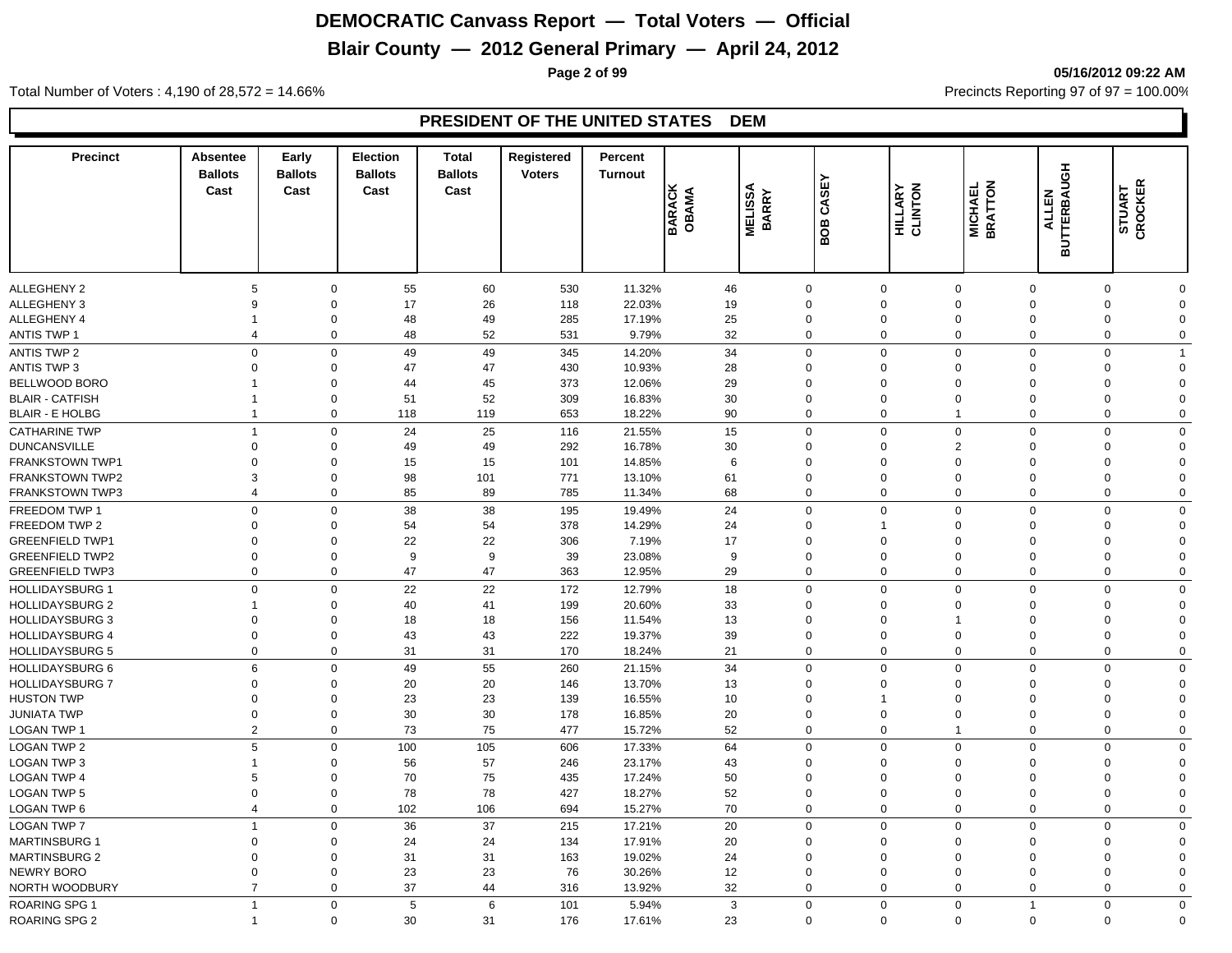## **Blair County — 2012 General Primary — April 24, 2012**

**Page 2 of 99 05/16/2012 09:22 AM**

Total Number of Voters : 4,190 of 28,572 = 14.66% Precincts Reporting 97 of 97 = 100.00%

| <b>Precinct</b>        | Absentee<br><b>Ballots</b><br>Cast | Early<br><b>Ballots</b><br>Cast | Election<br><b>Ballots</b><br>Cast | <b>Total</b><br><b>Ballots</b><br>Cast | Registered<br><b>Voters</b> | Percent<br><b>Turnout</b> | <b>BARACK</b><br>OBAMA | <b>MELISSA<br/>BARRY</b> | <b>BOB CASEY</b> | <b>HILLARY</b><br>CLINTON | <b>MICHAEL</b><br>BRATTON     | <b>BUTTER</b><br>BUTTER<br>ALLERAUGH | STUART<br>CROCKER       |             |
|------------------------|------------------------------------|---------------------------------|------------------------------------|----------------------------------------|-----------------------------|---------------------------|------------------------|--------------------------|------------------|---------------------------|-------------------------------|--------------------------------------|-------------------------|-------------|
|                        |                                    |                                 |                                    |                                        |                             |                           |                        |                          |                  |                           |                               |                                      |                         |             |
| <b>ALLEGHENY 2</b>     | 5                                  | 0                               | 55                                 | 60                                     | 530                         | 11.32%                    | 46                     | $\mathbf 0$              |                  | $\Omega$                  | $\mathbf 0$                   | $\mathbf 0$                          | $\mathbf 0$<br>0        |             |
| <b>ALLEGHENY 3</b>     | 9                                  | $\Omega$                        | 17                                 | 26                                     | 118                         | 22.03%                    | 19                     | $\mathbf 0$              |                  | $\Omega$                  | $\Omega$                      | $\Omega$                             | $\Omega$<br>$\Omega$    |             |
| ALLEGHENY 4            |                                    | 0                               | 48                                 | 49                                     | 285                         | 17.19%                    | 25                     | $\mathbf 0$              |                  | $\Omega$                  | $\mathbf 0$                   | 0                                    | $\Omega$<br>0           |             |
| <b>ANTIS TWP 1</b>     | $\overline{4}$                     | $\mathbf 0$                     | 48                                 | 52                                     | 531                         | 9.79%                     | 32                     | $\mathbf 0$              |                  | $\Omega$                  | $\Omega$                      | $\mathbf{0}$                         | $\Omega$                | $\Omega$    |
| <b>ANTIS TWP 2</b>     | $\Omega$                           | $\mathbf 0$                     | 49                                 | 49                                     | 345                         | 14.20%                    | 34                     | $\mathbf 0$              |                  | $\mathbf 0$               | $\mathbf 0$                   | $\mathbf 0$                          | $\mathbf 0$<br>1        |             |
| <b>ANTIS TWP 3</b>     | $\Omega$                           | 0                               | 47                                 | 47                                     | 430                         | 10.93%                    | 28                     | $\mathbf 0$              |                  | $\Omega$                  | $\mathbf 0$                   | $\mathbf 0$                          | $\Omega$<br>$\Omega$    |             |
| <b>BELLWOOD BORO</b>   |                                    | 0                               | 44                                 | 45                                     | 373                         | 12.06%                    | 29                     | $\mathbf 0$              |                  | $\Omega$                  | $\mathbf 0$<br>$\mathbf 0$    |                                      | $\Omega$<br>$\Omega$    |             |
| <b>BLAIR - CATFISH</b> | 1                                  | $\mathbf 0$                     | 51                                 | 52                                     | 309                         | 16.83%                    | 30                     | $\overline{0}$           |                  | $\Omega$                  | $\Omega$                      | $\Omega$                             | $\Omega$<br>$\Omega$    |             |
| <b>BLAIR - E HOLBG</b> | 1                                  | $\mathbf 0$                     | 118                                | 119                                    | 653                         | 18.22%                    | 90                     | $\mathbf 0$              |                  | $\Omega$                  | $\mathbf{1}$                  | $\mathbf 0$                          | $\mathbf 0$             | $\Omega$    |
| <b>CATHARINE TWP</b>   | $\mathbf 1$                        | $\mathbf 0$                     | 24                                 | 25                                     | 116                         | 21.55%                    | 15                     | $\mathbf 0$              |                  | $\Omega$                  | $\mathbf 0$                   | $\mathbf 0$                          | $\mathbf 0$             | $\Omega$    |
| <b>DUNCANSVILLE</b>    | $\Omega$                           | 0                               | 49                                 | 49                                     | 292                         | 16.78%                    | 30                     | $\mathbf 0$              |                  | $\Omega$                  | $\overline{2}$                | $\mathbf 0$                          | $\mathbf 0$<br>$\Omega$ |             |
| <b>FRANKSTOWN TWP1</b> | $\Omega$                           | 0                               | 15                                 | 15                                     | 101                         | 14.85%                    | 6                      | $\mathbf 0$              |                  | $\Omega$                  | $\mathbf 0$                   | $\Omega$                             | $\Omega$<br>$\Omega$    |             |
| FRANKSTOWN TWP2        | 3                                  | $\mathbf 0$                     | 98                                 | 101                                    | 771                         | 13.10%                    | 61                     | $\mathbf 0$              |                  | 0                         | $\overline{0}$                | $\mathbf 0$                          | $\mathbf 0$             | $\Omega$    |
| <b>FRANKSTOWN TWP3</b> | $\overline{4}$                     | $\mathbf 0$                     | 85                                 | 89                                     | 785                         | 11.34%                    | 68                     | $\mathbf 0$              |                  | $\mathbf 0$               | $\overline{0}$                | $\mathbf 0$                          | $\mathbf 0$             | $\mathbf 0$ |
| FREEDOM TWP 1          | $\Omega$                           | $\mathbf 0$                     | 38                                 | 38                                     | 195                         | 19.49%                    | 24                     | $\mathbf 0$              |                  | $\Omega$                  | $\mathbf 0$                   | $\mathbf 0$                          | $\Omega$                | $\Omega$    |
| FREEDOM TWP 2          | $\Omega$                           | $\mathbf 0$                     | 54                                 | 54                                     | 378                         | 14.29%                    | 24                     | $\mathbf 0$              |                  |                           | $\Omega$                      | $\Omega$                             | $\Omega$<br>$\Omega$    |             |
| <b>GREENFIELD TWP1</b> | $\Omega$                           | $\mathbf 0$                     | 22                                 | 22                                     | 306                         | 7.19%                     | 17                     | $\mathbf 0$              |                  | $\Omega$                  | $\Omega$                      | $\Omega$                             | $\Omega$                | $\Omega$    |
| <b>GREENFIELD TWP2</b> | $\Omega$                           | $\mathbf 0$                     | 9                                  | 9                                      | 39                          | 23.08%                    | 9                      | $\mathbf 0$              |                  | $\Omega$                  | $\Omega$                      | $\Omega$                             | $\Omega$                | $\Omega$    |
| <b>GREENFIELD TWP3</b> | $\Omega$                           | $\mathbf 0$                     | 47                                 | 47                                     | 363                         | 12.95%                    | 29                     | $\mathbf 0$              |                  | $\Omega$                  | $\Omega$                      | 0                                    | $\Omega$                | $\Omega$    |
| <b>HOLLIDAYSBURG 1</b> | $\mathbf 0$                        | $\mathbf 0$                     | 22                                 | 22                                     | 172                         | 12.79%                    | 18                     | $\mathbf 0$              |                  | $\Omega$                  | $\Omega$                      | $\mathbf 0$                          | $\mathbf 0$             | $\Omega$    |
| <b>HOLLIDAYSBURG 2</b> |                                    | $\mathbf 0$                     | 40                                 | 41                                     | 199                         | 20.60%                    | 33                     | $\mathbf 0$              |                  | $\Omega$                  | $\Omega$<br>$\Omega$          |                                      | $\Omega$<br>$\Omega$    |             |
| <b>HOLLIDAYSBURG 3</b> | $\Omega$                           | $\mathbf 0$                     | 18                                 | 18                                     | 156                         | 11.54%                    | 13                     | $\mathbf 0$              |                  | $\Omega$                  | 1                             | $\Omega$                             | $\Omega$<br>$\Omega$    |             |
| <b>HOLLIDAYSBURG 4</b> | $\Omega$                           | $\mathbf 0$                     | 43                                 | 43                                     | 222                         | 19.37%                    | 39                     | $\mathbf 0$              |                  | $\mathbf 0$               | $\mathbf 0$                   | $\mathbf 0$                          | $\mathbf 0$             | $\Omega$    |
| <b>HOLLIDAYSBURG 5</b> | $\Omega$                           | $\mathbf 0$                     | 31                                 | 31                                     | 170                         | 18.24%                    | 21                     | $\mathbf 0$              |                  | $\Omega$                  | $\overline{0}$                | $\mathbf 0$                          | $\mathbf 0$             | $\Omega$    |
|                        |                                    |                                 |                                    |                                        |                             |                           |                        |                          |                  |                           |                               |                                      |                         |             |
| <b>HOLLIDAYSBURG 6</b> | 6                                  | $\mathbf 0$                     | 49                                 | 55                                     | 260                         | 21.15%                    | 34                     | $\mathbf 0$              |                  | $\Omega$                  | $\overline{0}$                | $\mathbf 0$                          | $\overline{0}$          | $\Omega$    |
| <b>HOLLIDAYSBURG 7</b> | $\Omega$                           | 0                               | 20                                 | 20                                     | 146                         | 13.70%                    | 13                     | $\Omega$                 |                  | $\Omega$                  | $\Omega$                      | $\Omega$                             | $\Omega$                | $\Omega$    |
| <b>HUSTON TWP</b>      | $\Omega$                           | $\mathbf 0$                     | 23                                 | 23                                     | 139                         | 16.55%                    | 10                     | $\overline{0}$           |                  |                           | $\overline{0}$<br>$\mathbf 0$ |                                      | $\Omega$                | $\Omega$    |
| JUNIATA TWP            | $\mathbf 0$                        | $\mathbf 0$                     | 30                                 | 30                                     | 178                         | 16.85%                    | 20                     | $\mathbf 0$              |                  | $\mathbf 0$               | $\overline{0}$                | $\mathbf 0$                          | $\mathbf 0$             | $\Omega$    |
| <b>LOGAN TWP 1</b>     | $\overline{2}$                     | $\mathbf 0$                     | 73                                 | 75                                     | 477                         | 15.72%                    | 52                     | $\mathbf 0$              |                  | $\overline{0}$            | $\overline{1}$                | $\mathbf 0$                          | $\mathbf 0$             | $\mathbf 0$ |
| <b>LOGAN TWP 2</b>     | 5                                  | $\mathbf 0$                     | 100                                | 105                                    | 606                         | 17.33%                    | 64                     | $\mathbf 0$              |                  | $\Omega$                  | $\Omega$                      | $\Omega$                             | $\Omega$                | $\Omega$    |
| <b>LOGAN TWP 3</b>     |                                    | $\mathbf 0$                     | 56                                 | 57                                     | 246                         | 23.17%                    | 43                     | $\mathbf 0$              |                  | 0                         | $\mathbf 0$                   | $\mathbf 0$                          | $\mathbf 0$             | $\Omega$    |
| <b>LOGAN TWP 4</b>     | 5                                  | 0                               | 70                                 | 75                                     | 435                         | 17.24%                    | 50                     | $\mathbf 0$              |                  | 0                         | $\mathbf 0$                   | $\mathbf 0$                          | $\mathbf 0$             | 0           |
| <b>LOGAN TWP 5</b>     | $\mathbf 0$                        | $\mathbf 0$                     | 78                                 | 78                                     | 427                         | 18.27%                    | 52                     | $\mathbf 0$              |                  | 0                         | $\overline{0}$                | $\mathbf 0$                          | $\mathbf 0$             | $\Omega$    |
| LOGAN TWP 6            | $\overline{4}$                     | $\mathbf 0$                     | 102                                | 106                                    | 694                         | 15.27%                    | 70                     | $\mathbf 0$              |                  | 0                         | $\mathbf 0$                   | $\mathbf 0$                          | $\mathbf 0$             | $\mathbf 0$ |
| <b>LOGAN TWP 7</b>     | 1                                  | $\mathbf 0$                     | 36                                 | 37                                     | 215                         | 17.21%                    | 20                     | $\mathbf 0$              |                  | $\Omega$                  | $\Omega$                      | $\mathbf 0$                          | $\Omega$                | $\Omega$    |
| <b>MARTINSBURG 1</b>   | 0                                  | $\mathbf 0$                     | 24                                 | 24                                     | 134                         | 17.91%                    | 20                     | $\mathbf 0$              |                  | $\Omega$                  | $\Omega$                      | $\Omega$                             | $\Omega$                | $\Omega$    |
| <b>MARTINSBURG 2</b>   | $\Omega$                           | 0                               | 31                                 | 31                                     | 163                         | 19.02%                    | 24                     | $\mathbf 0$              |                  | $\Omega$                  | $\Omega$                      | $\Omega$                             | $\Omega$                | $\Omega$    |
| NEWRY BORO             | $\Omega$                           | 0                               | 23                                 | 23                                     | 76                          | 30.26%                    | 12                     | $\mathbf 0$              |                  | $\Omega$                  | $\mathbf 0$                   | 0                                    | $\Omega$                | $\Omega$    |
| NORTH WOODBURY         | $\overline{7}$                     | $\mathbf 0$                     | 37                                 | 44                                     | 316                         | 13.92%                    | 32                     | $\Omega$                 |                  | $\Omega$                  | $\mathbf 0$                   | 0                                    | $\Omega$                | $\Omega$    |
| <b>ROARING SPG 1</b>   | $\mathbf{1}$                       | $\mathbf 0$                     | 5                                  | 6                                      | 101                         | 5.94%                     | 3                      | $\mathbf 0$              |                  | $\Omega$                  | $\mathbf 0$<br>$\overline{1}$ |                                      | $\mathbf 0$             | $\Omega$    |
| <b>ROARING SPG 2</b>   | 1                                  | $\mathbf 0$                     | 30                                 | 31                                     | 176                         | 17.61%                    | 23                     | $\Omega$                 |                  | $\Omega$                  | $\mathbf 0$                   | $\mathbf 0$                          | $\Omega$                | $\mathbf 0$ |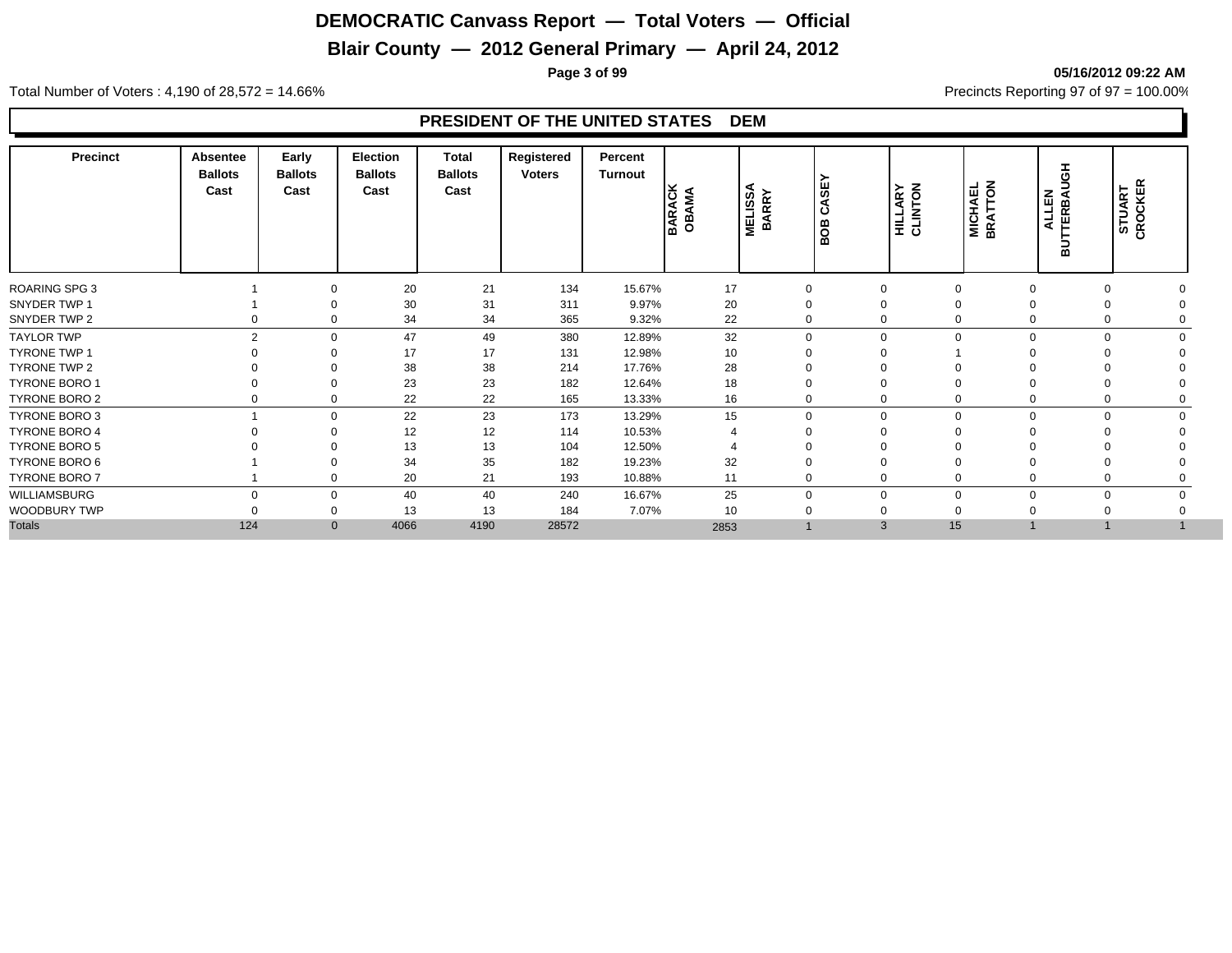## **Blair County — 2012 General Primary — April 24, 2012**

**Page 3 of 99 05/16/2012 09:22 AM**

Total Number of Voters : 4,190 of 28,572 = 14.66% Precincts Reporting 97 of 97 = 100.00%

| <b>Precinct</b>      | <b>Absentee</b><br><b>Ballots</b><br>Cast | Early<br><b>Ballots</b><br>Cast | <b>Election</b><br><b>Ballots</b><br>Cast | <b>Total</b><br><b>Ballots</b><br>Cast | Registered<br><b>Voters</b> | Percent<br>Turnout | <b>BARACK</b><br>OBAMA | <b>MELISSA</b><br>BARRY | CASEY<br>BOB | <b>HILLARY</b><br>CLINTON | <b>MICHAEL</b><br>BRATTON | 풍<br><b>ALLEN</b><br>TERBAL<br>$\overline{a}$ | CROCKER<br>STUART |  |
|----------------------|-------------------------------------------|---------------------------------|-------------------------------------------|----------------------------------------|-----------------------------|--------------------|------------------------|-------------------------|--------------|---------------------------|---------------------------|-----------------------------------------------|-------------------|--|
| ROARING SPG 3        |                                           | $\Omega$                        | 20                                        | 21                                     | 134                         | 15.67%             | 17                     | $\overline{0}$          |              |                           | $\mathbf 0$               | $\Omega$                                      |                   |  |
| SNYDER TWP 1         |                                           | $\Omega$                        | 30                                        | 31                                     | 311                         | 9.97%              | 20                     | $\Omega$                | 0            |                           | 0                         |                                               |                   |  |
| SNYDER TWP 2         |                                           | 0                               | 34                                        | 34                                     | 365                         | 9.32%              | 22                     | $\Omega$                |              | 0                         | $\mathbf 0$               | 0                                             |                   |  |
| <b>TAYLOR TWP</b>    | $\mathcal{P}$                             | $\mathbf 0$                     | 47                                        | 49                                     | 380                         | 12.89%             | 32                     | $\Omega$                |              | $\Omega$                  | $\mathbf 0$               | $\Omega$                                      |                   |  |
| <b>TYRONE TWP 1</b>  |                                           | $\Omega$                        | 17                                        | 17                                     | 131                         | 12.98%             | 10                     |                         |              |                           |                           |                                               |                   |  |
| TYRONE TWP 2         |                                           | $\Omega$                        | 38                                        | 38                                     | 214                         | 17.76%             | 28                     |                         |              |                           |                           |                                               |                   |  |
| <b>TYRONE BORO 1</b> |                                           | $\Omega$                        | 23                                        | 23                                     | 182                         | 12.64%             | 18                     |                         |              |                           | $\Omega$                  |                                               |                   |  |
| TYRONE BORO 2        |                                           | $\mathbf 0$                     | 22                                        | 22                                     | 165                         | 13.33%             | 16                     |                         |              | 0                         | $\mathbf 0$               | 0                                             |                   |  |
| TYRONE BORO 3        |                                           | $\mathbf 0$                     | 22                                        | 23                                     | 173                         | 13.29%             | 15                     | $\Omega$                |              | $\Omega$                  | $\mathbf 0$               | $\mathbf 0$<br>$\Omega$                       |                   |  |
| <b>TYRONE BORO 4</b> |                                           | $\Omega$                        | 12                                        | 12                                     | 114                         | 10.53%             |                        |                         |              |                           | $\Omega$                  |                                               |                   |  |
| TYRONE BORO 5        |                                           |                                 | 13                                        | 13                                     | 104                         | 12.50%             |                        |                         |              |                           |                           |                                               |                   |  |
| TYRONE BORO 6        |                                           | $\Omega$                        | 34                                        | 35                                     | 182                         | 19.23%             | 32                     | $\Omega$                |              |                           | 0                         |                                               |                   |  |
| TYRONE BORO 7        |                                           | 0                               | 20                                        | 21                                     | 193                         | 10.88%             | 11                     | $\Omega$                |              | $\Omega$                  | $\mathbf 0$               | 0                                             |                   |  |
| <b>WILLIAMSBURG</b>  |                                           | 0                               | 40                                        | 40                                     | 240                         | 16.67%             | 25                     | $\Omega$                |              | 0                         | $\mathbf 0$               | $\Omega$                                      |                   |  |
| WOODBURY TWP         |                                           | $\mathbf 0$                     | 13                                        | 13                                     | 184                         | 7.07%              | 10                     |                         |              |                           | $\mathbf 0$               |                                               |                   |  |
| <b>Totals</b>        | 124                                       | $\mathbf{0}$                    | 4066                                      | 4190                                   | 28572                       |                    | 2853                   |                         |              | 15<br>3                   |                           |                                               |                   |  |
|                      |                                           |                                 |                                           |                                        |                             |                    |                        |                         |              |                           |                           |                                               |                   |  |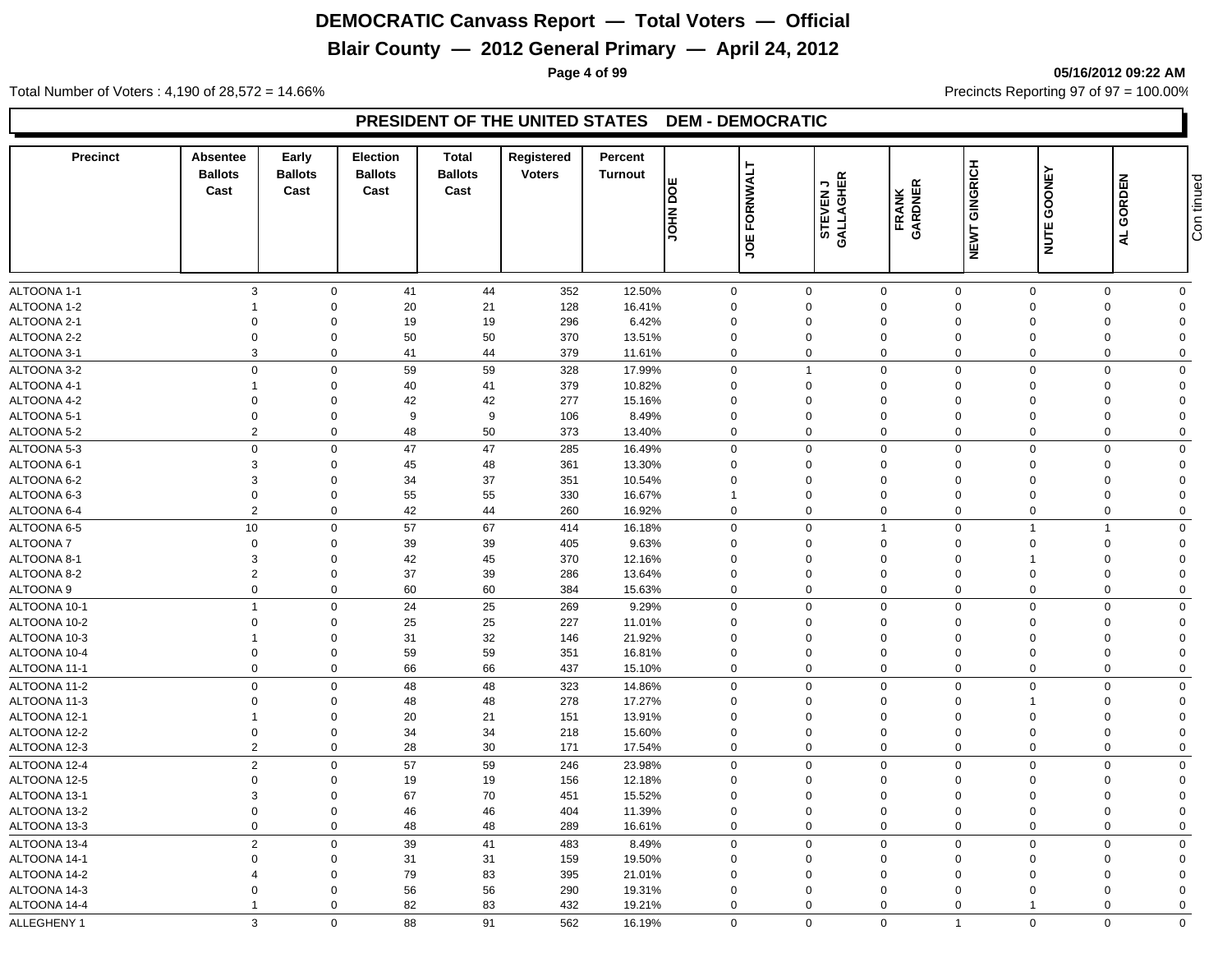## **Blair County — 2012 General Primary — April 24, 2012**

**Page 4 of 99 05/16/2012 09:22 AM**

Total Number of Voters : 4,190 of 28,572 = 14.66% Precincts Reporting 97 of 97 = 100.00%

#### **PRESIDENT OF THE UNITED STATES DEM - DEMOCRATIC**

| <b>Precinct</b> | Absentee<br><b>Ballots</b><br>Cast | Early<br><b>Ballots</b><br>Cast | <b>Election</b><br><b>Ballots</b><br>Cast | Total<br><b>Ballots</b><br>Cast | Registered<br><b>Voters</b> | Percent<br><b>Turnout</b> | ш<br>OCI NHOL | FORNWALT       | っ凹<br><b>STEVEN<br/>GALLAGHE</b> | FRANK<br>GARDNER           | <b>NEWT GINGRICH</b>    | GOONEY               | GORDEN               | Con tinued   |
|-----------------|------------------------------------|---------------------------------|-------------------------------------------|---------------------------------|-----------------------------|---------------------------|---------------|----------------|----------------------------------|----------------------------|-------------------------|----------------------|----------------------|--------------|
|                 |                                    |                                 |                                           |                                 |                             |                           |               | ğ              |                                  |                            |                         | <b>NUTE</b>          | 4                    |              |
| ALTOONA 1-1     | 3                                  | $\mathbf 0$                     | 41                                        | 44                              | 352                         | 12.50%                    | $\mathbf 0$   |                | $\mathbf 0$                      | $\mathbf 0$                | $\mathbf 0$             | $\mathbf 0$          | $\mathbf 0$          | $\mathbf 0$  |
| ALTOONA 1-2     | $\overline{1}$                     | $\mathbf 0$                     | 20                                        | 21                              | 128                         | 16.41%                    | 0             | $\mathbf 0$    |                                  | $\mathbf 0$                | $\Omega$                | $\Omega$             | $\Omega$             | $\mathbf{0}$ |
| ALTOONA 2-1     | $\mathbf 0$                        | $\Omega$                        | 19                                        | 19                              | 296                         | 6.42%                     | $\Omega$      |                | $\Omega$                         | $\mathbf 0$                | $\Omega$                | $\Omega$             | $\Omega$             | $\Omega$     |
| ALTOONA 2-2     | $\mathbf 0$                        | $\Omega$                        | 50                                        | 50                              | 370                         | 13.51%                    | $\mathbf 0$   |                | $\Omega$                         | $\mathbf 0$                | $\mathbf 0$             | $\Omega$             | $\Omega$             | $\Omega$     |
| ALTOONA 3-1     | 3                                  | $\mathbf 0$                     | 41                                        | 44                              | 379                         | 11.61%                    | $\mathbf 0$   | $\mathbf 0$    |                                  | $\mathbf 0$                | $\Omega$                | $\Omega$             | $\Omega$             | $\Omega$     |
| ALTOONA 3-2     | $\mathbf 0$                        | $\mathbf 0$                     | 59                                        | 59                              | 328                         | 17.99%                    | 0             | $\overline{1}$ |                                  | $\mathbf 0$                | $\mathbf 0$             | $\mathbf 0$          | $\Omega$             | $\Omega$     |
| ALTOONA 4-1     | $\overline{1}$                     | $\mathbf 0$                     | 40                                        | 41                              | 379                         | 10.82%                    | $\mathbf 0$   | $\mathbf 0$    |                                  | $\mathbf 0$                | $\Omega$                | $\Omega$             | $\Omega$             | $\Omega$     |
| ALTOONA 4-2     | $\mathbf 0$                        | $\Omega$                        | 42                                        | 42                              | 277                         | 15.16%                    | $\Omega$      |                | $\Omega$                         | $\mathbf 0$                | $\Omega$                | $\Omega$             | $\Omega$             | $\Omega$     |
| ALTOONA 5-1     | $\mathbf 0$                        | $\mathbf 0$                     | 9                                         | 9                               | 106                         | 8.49%                     | $\mathbf 0$   |                | $\mathbf 0$                      | $\mathbf 0$                | $\Omega$                | $\Omega$             | $\Omega$             | $\Omega$     |
| ALTOONA 5-2     | $\overline{2}$                     | $\mathbf 0$                     | 48                                        | 50                              | 373                         | 13.40%                    | $\mathbf 0$   | $\Omega$       |                                  | $\mathbf 0$                | $\Omega$                | $\mathbf 0$          | $\Omega$             | $\mathbf 0$  |
| ALTOONA 5-3     | $\mathbf 0$                        | $\mathbf 0$                     | 47                                        | 47                              | 285                         | 16.49%                    | 0             | $\mathbf 0$    |                                  | $\mathbf 0$                | $\mathbf 0$             | $\mathbf 0$          | $\Omega$             | $\mathbf 0$  |
| ALTOONA 6-1     | 3                                  | $\mathbf 0$                     | 45                                        | 48                              | 361                         | 13.30%                    | $\mathbf 0$   |                | $\Omega$                         | $\mathbf 0$                | $\mathbf 0$             | $\Omega$             | $\Omega$             | $\Omega$     |
| ALTOONA 6-2     | 3                                  | $\mathbf 0$                     | 34                                        | 37                              | 351                         | 10.54%                    | $\Omega$      |                | $\Omega$                         | $\mathbf 0$                | $\Omega$                | $\Omega$             | $\Omega$             | $\Omega$     |
| ALTOONA 6-3     | $\mathbf 0$                        | $\mathbf 0$                     | 55                                        | 55                              | 330                         | 16.67%                    | $\mathbf{1}$  |                | $\Omega$                         | $\mathbf 0$                | $\Omega$                | $\Omega$             | $\Omega$             | $\Omega$     |
| ALTOONA 6-4     | $\overline{2}$                     | $\mathbf 0$                     | 42                                        | 44                              | 260                         | 16.92%                    | 0             | $\mathbf 0$    |                                  | $\mathbf 0$                | $\Omega$                | $\Omega$             | $\Omega$             | $\mathbf 0$  |
| ALTOONA 6-5     | $10$                               | $\mathbf 0$                     | 57                                        | 67                              | 414                         | 16.18%                    | $\mathbf 0$   | $\mathbf 0$    |                                  | $\overline{1}$             | $\mathbf 0$             |                      |                      | $\mathbf 0$  |
| ALTOONA 7       | $\mathbf 0$                        | $\mathbf 0$                     | 39                                        | 39                              | 405                         | 9.63%                     | $\mathbf 0$   |                | $\mathbf 0$                      | $\mathbf 0$                | $\Omega$                |                      | $\Omega$             | $\Omega$     |
| ALTOONA 8-1     | $\mathbf{3}$                       | $\mathbf 0$                     | 42                                        | 45                              | 370                         | 12.16%                    | $\Omega$      |                | $\Omega$                         | $\mathbf 0$                | $\Omega$                |                      | $\Omega$             | $\Omega$     |
| ALTOONA 8-2     | $\overline{2}$                     | $\mathbf 0$                     | 37                                        | 39                              | 286                         | 13.64%                    | $\mathbf 0$   | $\mathbf 0$    |                                  | $\mathbf 0$                | $\overline{0}$          | $\Omega$             | $\Omega$             | $\Omega$     |
| ALTOONA 9       | $\mathbf 0$                        | $\mathbf 0$                     | 60                                        | 60                              | 384                         | 15.63%                    | $\Omega$      | $\mathbf 0$    |                                  | $\mathbf 0$                | $\mathbf 0$             | $\Omega$             | $\Omega$             | $\mathbf 0$  |
| ALTOONA 10-1    | $\overline{1}$                     | $\mathbf 0$                     | 24                                        | 25                              | 269                         | 9.29%                     | 0             | $\mathbf 0$    |                                  | $\mathbf 0$                | $\mathbf 0$             | $\Omega$             | $\Omega$             | $\mathbf 0$  |
| ALTOONA 10-2    | $\mathbf 0$                        | $\mathbf 0$                     | 25                                        | 25                              | 227                         | 11.01%                    | $\Omega$      |                | $\Omega$                         | $\mathbf 0$                | $\Omega$                | $\Omega$             | $\Omega$             | $\Omega$     |
| ALTOONA 10-3    |                                    | $\mathbf 0$                     | 31                                        | 32                              | 146                         | 21.92%                    | $\mathbf 0$   |                | $\mathbf 0$                      | $\mathbf 0$                | $\mathbf 0$             | $\Omega$             | $\Omega$             | $\Omega$     |
| ALTOONA 10-4    | $\mathbf 0$                        | $\mathbf 0$                     | 59                                        | 59                              | 351                         | 16.81%                    | $\mathbf 0$   |                | $\mathbf 0$                      | $\mathbf 0$                | $\mathbf 0$             | $\Omega$             | $\Omega$             | $\Omega$     |
| ALTOONA 11-1    | $\mathbf{0}$                       | $\mathbf 0$                     | 66                                        | 66                              | 437                         | 15.10%                    | $\mathbf 0$   | $\mathbf 0$    |                                  | $\mathbf 0$                | $\mathbf 0$             | $\mathbf 0$          | $\Omega$             | $\mathbf{0}$ |
| ALTOONA 11-2    | $\mathbf 0$                        | $\mathbf 0$                     | 48                                        | 48                              | 323                         | 14.86%                    | $\Omega$      | $\Omega$       |                                  | $\mathbf 0$                | $\mathbf 0$             | $\Omega$             | $\Omega$             | $\Omega$     |
| ALTOONA 11-3    | $\mathbf 0$                        | $\mathbf 0$                     | 48                                        | 48                              | 278                         | 17.27%                    | $\mathbf 0$   | $\mathbf 0$    |                                  | $\mathbf 0$                | $\mathbf 0$             |                      | $\Omega$             | $\Omega$     |
| ALTOONA 12-1    | $\overline{1}$                     | $\mathbf 0$                     | 20                                        | 21                              | 151                         | 13.91%                    | $\Omega$      |                | $\mathbf 0$                      | $\mathbf 0$                | $\mathbf 0$             | $\Omega$             | $\Omega$             | $\Omega$     |
| ALTOONA 12-2    | $\mathbf 0$                        | $\mathbf 0$                     | 34                                        | 34                              | 218                         | 15.60%                    | $\mathbf 0$   | $\mathbf 0$    |                                  | $\mathbf 0$                | $\overline{0}$          | $\Omega$             | $\Omega$             | $\Omega$     |
| ALTOONA 12-3    | $\sqrt{2}$                         | $\mathbf 0$                     | 28                                        | $30\,$                          | 171                         | 17.54%                    | $\Omega$      |                | $\mathbf 0$                      | $\mathbf 0$                | $\mathbf 0$             | $\Omega$             | $\Omega$             | $\mathbf 0$  |
|                 |                                    |                                 |                                           |                                 |                             |                           |               |                |                                  |                            |                         |                      |                      |              |
| ALTOONA 12-4    | $\overline{2}$                     | $\mathbf 0$                     | 57                                        | 59                              | 246                         | 23.98%                    | 0             | $\mathbf 0$    |                                  | $\mathbf 0$                | $\mathbf 0$             | $\Omega$<br>$\Omega$ | $\Omega$             | $\mathbf 0$  |
| ALTOONA 12-5    | $\mathbf 0$                        | $\mathbf 0$                     | 19                                        | 19                              | 156                         | 12.18%                    | $\mathbf 0$   |                | $\mathbf 0$                      | $\mathbf 0$                | $\mathbf 0$             |                      | $\Omega$             | $\Omega$     |
| ALTOONA 13-1    | 3                                  | $\mathbf 0$                     | 67                                        | 70                              | 451                         | 15.52%                    | $\mathbf 0$   |                | $\mathbf 0$                      | $\mathbf 0$                | $\mathbf 0$             | $\Omega$             | $\Omega$             | $\Omega$     |
| ALTOONA 13-2    | $\mathbf 0$<br>$\mathbf{0}$        | $\mathbf 0$<br>$\mathbf 0$      | 46                                        | 46                              | 404                         | 11.39%                    | $\Omega$      |                | $\mathbf 0$<br>$\mathbf 0$       | $\mathbf 0$<br>$\mathbf 0$ | $\mathbf 0$<br>$\Omega$ | $\Omega$<br>$\Omega$ | $\Omega$<br>$\Omega$ | $\Omega$     |
| ALTOONA 13-3    |                                    |                                 | 48                                        | 48                              | 289                         | 16.61%                    | $\mathbf 0$   |                |                                  |                            |                         |                      |                      | $\mathbf 0$  |
| ALTOONA 13-4    | $\overline{2}$                     | $\mathbf 0$                     | 39                                        | 41                              | 483                         | 8.49%                     | 0             | $\mathbf 0$    |                                  | $\mathbf 0$                | $\mathbf 0$             | $\mathbf 0$          | $\mathbf 0$          | $\mathbf 0$  |
| ALTOONA 14-1    | $\mathbf 0$                        | $\mathbf 0$                     | 31                                        | 31                              | 159                         | 19.50%                    | $\mathbf 0$   | $\mathbf 0$    |                                  | $\mathbf 0$                | $\overline{0}$          | $\Omega$             | $\Omega$             | $\Omega$     |
| ALTOONA 14-2    | $\overline{4}$                     | $\mathbf 0$                     | 79                                        | 83                              | 395                         | 21.01%                    | $\Omega$      |                | $\mathbf 0$                      | $\mathbf 0$                | $\Omega$                | $\Omega$             | $\Omega$             | $\Omega$     |
| ALTOONA 14-3    | $\mathbf 0$                        | $\mathbf 0$                     | 56                                        | 56                              | 290                         | 19.31%                    | $\Omega$      | $\mathbf 0$    |                                  | $\mathbf 0$                | $\Omega$                | $\Omega$             | $\Omega$             | $\Omega$     |
| ALTOONA 14-4    | $\overline{1}$                     | $\mathbf 0$                     | 82                                        | 83                              | 432                         | 19.21%                    | $\mathbf 0$   |                | $\mathbf 0$                      | $\mathbf 0$                | $\Omega$                | -1                   | $\mathbf 0$          | $\mathbf{0}$ |
| ALLEGHENY 1     | 3                                  | $\Omega$                        | 88                                        | 91                              | 562                         | 16.19%                    | $\mathbf 0$   |                | $\mathbf 0$                      | $\Omega$                   | $\overline{1}$          | $\Omega$             | $\Omega$             | $\Omega$     |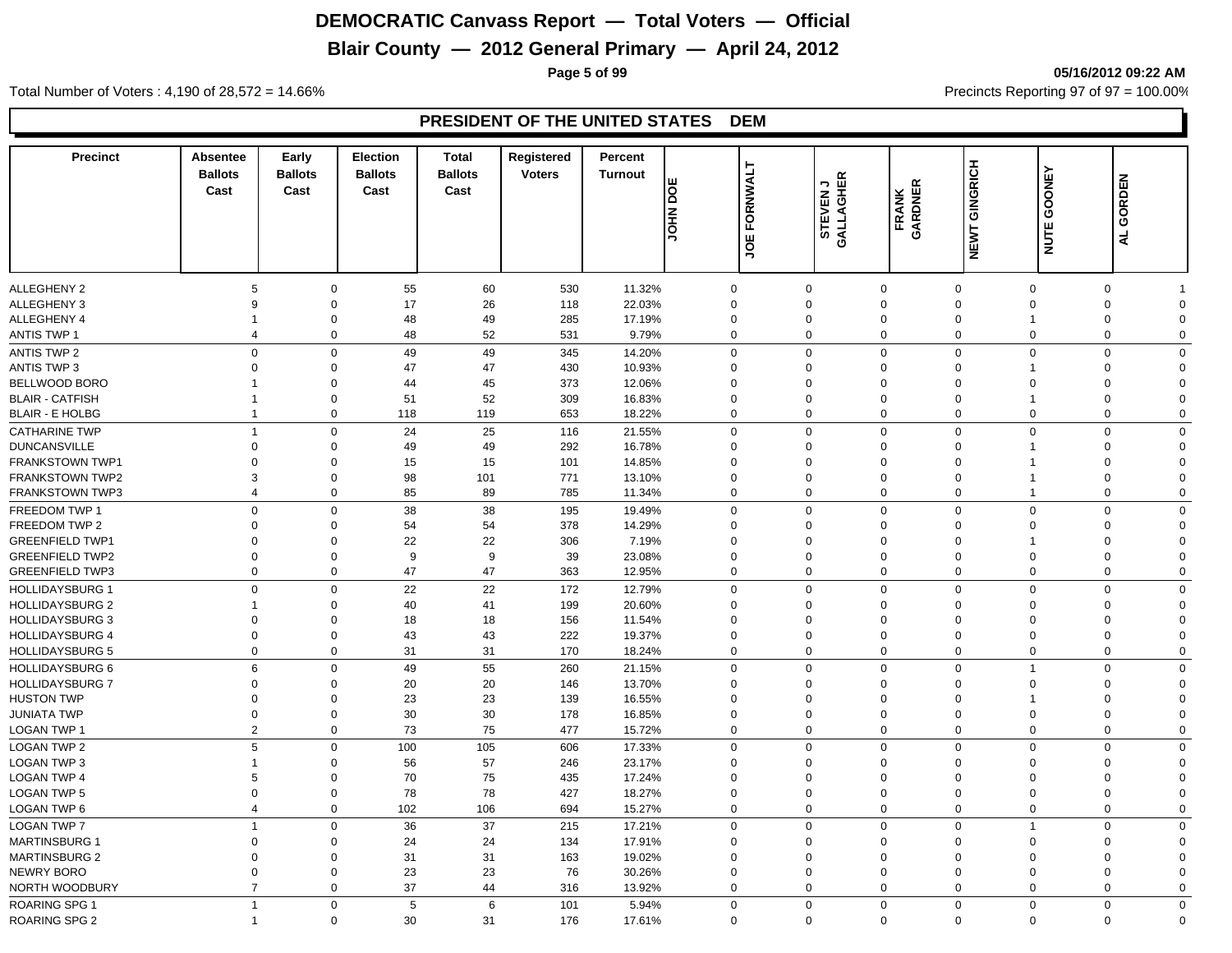## **Blair County — 2012 General Primary — April 24, 2012**

**Page 5 of 99 05/16/2012 09:22 AM**

Total Number of Voters : 4,190 of 28,572 = 14.66% Precincts Reporting 97 of 97 = 100.00%

| <b>Precinct</b>                             | Absentee<br><b>Ballots</b><br>Cast | Early<br><b>Ballots</b><br>Cast | <b>Election</b><br><b>Ballots</b><br>Cast | <b>Total</b><br><b>Ballots</b><br>Cast | Registered<br><b>Voters</b> | Percent<br><b>Turnout</b> | ш<br><u>sl</u><br><b>NHOL</b> | FORNWALT<br>JOE | STEVEN J<br>GALLAGHER      | <b>FRANK<br/>GARDNER</b>   | NEWT GINGRICH              | GOONEY<br><b>NUTE</b> | GORDEN<br>4                              |
|---------------------------------------------|------------------------------------|---------------------------------|-------------------------------------------|----------------------------------------|-----------------------------|---------------------------|-------------------------------|-----------------|----------------------------|----------------------------|----------------------------|-----------------------|------------------------------------------|
|                                             |                                    |                                 |                                           |                                        |                             |                           |                               |                 |                            |                            |                            |                       |                                          |
| ALLEGHENY 2                                 | 5                                  |                                 | $\mathbf 0$<br>55                         | 60                                     | 530                         | 11.32%                    | $\mathbf 0$                   |                 | 0                          | $\mathbf 0$                | $\mathbf 0$                | $\mathbf 0$           | $\mathbf 0$                              |
| ALLEGHENY 3                                 | 9                                  | $\mathbf 0$                     | 17                                        | 26                                     | 118                         | 22.03%                    | $\mathbf 0$                   |                 | $\Omega$                   | $\mathbf 0$                | $\Omega$                   | $\Omega$              | $\mathbf 0$<br>$\Omega$                  |
| ALLEGHENY 4                                 | $\overline{\mathbf{1}}$            | $\mathbf 0$                     | 48                                        | 49                                     | 285                         | 17.19%                    | $\mathbf 0$                   |                 | $\mathbf 0$                | $\mathbf 0$                | $\mathbf 0$                | -1                    | 0<br>$\Omega$                            |
| ANTIS TWP 1                                 | $\overline{4}$                     | $\mathbf 0$                     | 48                                        | 52                                     | 531                         | 9.79%                     | $\Omega$                      |                 | $\mathbf 0$                | $\mathsf{O}\xspace$        | $\Omega$                   | $\Omega$              | 0<br>$\Omega$                            |
| <b>ANTIS TWP 2</b>                          | $\mathbf 0$                        |                                 | $\mathbf 0$<br>49                         | 49                                     | 345                         | 14.20%                    | $\mathbf 0$                   |                 | $\mathbf 0$                | $\mathbf 0$                | $\mathbf 0$                | $\overline{0}$        | $\mathbf 0$<br>$\Omega$                  |
| <b>ANTIS TWP 3</b>                          | $\mathbf 0$<br>$\overline{1}$      | $\mathbf 0$                     | 47                                        | 47                                     | 430                         | 10.93%                    | $\Omega$                      |                 | $\mathbf 0$                | $\mathbf 0$                | $\Omega$                   | 1<br>$\Omega$         | 0<br>$\Omega$                            |
| BELLWOOD BORO<br><b>BLAIR - CATFISH</b>     | -1                                 | $\mathbf 0$<br>$\mathbf 0$      | 44<br>51                                  | 45<br>52                               | 373<br>309                  | 12.06%                    | $\Omega$<br>$\Omega$          |                 | $\Omega$<br>$\mathbf 0$    | $\mathbf 0$<br>$\mathbf 0$ | $\Omega$<br>$\Omega$       | 1                     | 0<br>$\Omega$<br>$\Omega$<br>$\Omega$    |
| <b>BLAIR - E HOLBG</b>                      | $\overline{1}$                     |                                 | $\mathbf 0$<br>118                        | 119                                    | 653                         | 16.83%<br>18.22%          | $\Omega$                      |                 | $\Omega$                   | $\mathbf 0$                | $\mathbf 0$                | $\Omega$              | $\mathbf 0$<br>$\Omega$                  |
|                                             |                                    |                                 |                                           |                                        |                             |                           |                               |                 |                            |                            |                            |                       |                                          |
| <b>CATHARINE TWP</b><br><b>DUNCANSVILLE</b> | $\overline{1}$<br>$\mathbf 0$      |                                 | $\mathbf 0$<br>24<br>0<br>49              | 25<br>49                               | 116<br>292                  | 21.55%<br>16.78%          | $\mathbf 0$<br>$\mathbf 0$    |                 | $\mathbf 0$<br>$\mathbf 0$ | $\mathbf 0$<br>$\mathbf 0$ | $\mathbf 0$<br>$\mathbf 0$ | $\overline{0}$        | $\mathbf 0$<br>$\Omega$<br>0<br>$\Omega$ |
| <b>FRANKSTOWN TWP1</b>                      | $\Omega$                           | $\mathbf 0$                     | 15                                        | 15                                     | 101                         | 14.85%                    | $\Omega$                      |                 | $\mathbf 0$                | $\mathbf 0$                | $\Omega$                   |                       | $\mathbf 0$<br>$\Omega$                  |
| <b>FRANKSTOWN TWP2</b>                      | 3                                  | $\mathbf 0$                     | 98                                        | 101                                    | 771                         | 13.10%                    | $\Omega$                      |                 | $\mathbf 0$                | $\mathbf 0$                | $\Omega$                   | 1                     | $\mathbf 0$<br>$\Omega$                  |
| <b>FRANKSTOWN TWP3</b>                      | $\overline{4}$                     | $\mathbf 0$                     | 85                                        | 89                                     | 785                         | 11.34%                    | $\Omega$                      |                 | $\Omega$                   | $\mathbf 0$                | $\mathbf 0$                | $\overline{1}$        | $\mathbf 0$<br>$\Omega$                  |
| FREEDOM TWP 1                               | $\mathbf 0$                        |                                 | 38<br>$\mathbf 0$                         | 38                                     | 195                         | 19.49%                    | $\Omega$                      |                 | $\Omega$                   | $\mathbf 0$                | $\mathbf 0$                | $\Omega$              | $\mathbf 0$<br>$\mathbf 0$               |
| FREEDOM TWP 2                               | $\Omega$                           | $\Omega$                        | 54                                        | 54                                     | 378                         | 14.29%                    | $\Omega$                      |                 | $\Omega$                   | $\mathbf 0$                | $\Omega$                   | $\Omega$              | 0<br>$\Omega$                            |
| <b>GREENFIELD TWP1</b>                      | $\mathbf 0$                        | $\Omega$                        | 22                                        | 22                                     | 306                         | 7.19%                     | $\Omega$                      |                 | $\Omega$                   | $\mathbf 0$                | $\Omega$                   |                       | $\Omega$<br>$\Omega$                     |
| <b>GREENFIELD TWP2</b>                      | $\mathbf 0$                        | $\mathbf 0$                     | 9                                         | 9                                      | 39                          | 23.08%                    | $\Omega$                      |                 | $\mathbf 0$                | $\mathbf 0$                | $\Omega$                   | $\mathbf 0$           | $\mathbf 0$<br>$\Omega$                  |
| <b>GREENFIELD TWP3</b>                      | $\mathbf 0$                        | $\mathbf 0$                     | 47                                        | 47                                     | 363                         | 12.95%                    | $\Omega$                      |                 | $\mathbf 0$                | $\mathbf 0$                | $\Omega$                   | $\overline{0}$        | $\mathbf 0$<br>$\Omega$                  |
| <b>HOLLIDAYSBURG 1</b>                      | $\mathbf 0$                        |                                 | 22<br>$\mathbf 0$                         | 22                                     | 172                         | 12.79%                    | $\mathbf 0$                   |                 | $\Omega$                   | $\mathbf 0$                | $\mathbf 0$                | $\Omega$              | $\mathbf 0$<br>$\Omega$                  |
| <b>HOLLIDAYSBURG 2</b>                      | -1                                 | $\mathbf 0$                     | 40                                        | 41                                     | 199                         | 20.60%                    | $\Omega$                      |                 | $\Omega$                   | $\mathbf 0$                | $\Omega$                   | $\Omega$              | $\Omega$<br>$\Omega$                     |
| <b>HOLLIDAYSBURG 3</b>                      | $\Omega$                           | $\mathbf 0$                     | 18                                        | 18                                     | 156                         | 11.54%                    | $\Omega$                      |                 | 0                          | $\mathbf 0$                | $\Omega$                   | $\Omega$              | $\Omega$<br>$\Omega$                     |
| <b>HOLLIDAYSBURG 4</b>                      | $\mathbf 0$                        | $\mathbf 0$                     | 43                                        | 43                                     | 222                         | 19.37%                    | $\mathbf 0$                   |                 | $\mathbf 0$                | $\mathbf 0$                | $\Omega$                   | $\Omega$              | 0<br>$\Omega$                            |
| <b>HOLLIDAYSBURG 5</b>                      | $\mathbf 0$                        |                                 | 0<br>31                                   | 31                                     | 170                         | 18.24%                    | $\Omega$                      |                 | $\mathbf 0$                | $\mathbf 0$                | $\mathbf 0$                | $\Omega$              | 0<br>$\Omega$                            |
| <b>HOLLIDAYSBURG 6</b>                      | 6                                  |                                 | $\mathbf 0$<br>49                         | 55                                     | 260                         | 21.15%                    | $\mathbf 0$                   |                 | $\mathbf 0$                | $\mathbf 0$                | $\mathbf 0$                | $\mathbf{1}$          | $\mathbf 0$<br>$\mathbf 0$               |
| HOLLIDAYSBURG 7                             | $\Omega$                           | $\mathbf 0$                     | 20                                        | 20                                     | 146                         | 13.70%                    | $\Omega$                      |                 | $\mathbf 0$                | $\mathbf 0$                | $\Omega$                   | $\Omega$              | $\Omega$<br>$\Omega$                     |
| <b>HUSTON TWP</b>                           | $\mathbf{0}$                       | $\mathbf 0$                     | 23                                        | 23                                     | 139                         | 16.55%                    | $\Omega$                      |                 | $\Omega$                   | $\mathbf 0$                | $\Omega$                   | 1                     | $\Omega$<br>$\Omega$                     |
| <b>JUNIATA TWP</b>                          | $\mathbf 0$                        | $\mathbf 0$                     | 30                                        | 30                                     | 178                         | 16.85%                    | $\Omega$                      |                 | $\mathbf 0$                | $\mathbf 0$                | $\Omega$                   | $\mathbf 0$           | $\mathbf 0$<br>$\Omega$                  |
| LOGAN TWP 1                                 | $\overline{2}$                     |                                 | 73<br>$\mathbf 0$                         | 75                                     | 477                         | 15.72%                    | $\Omega$                      |                 | $\mathbf 0$                | $\mathbf 0$                | $\Omega$                   | $\Omega$              | $\mathbf 0$<br>$\Omega$                  |
| <b>LOGAN TWP 2</b>                          | 5                                  | $\mathbf 0$                     | 100                                       | 105                                    | 606                         | 17.33%                    | $\Omega$                      |                 | $\mathbf 0$                | $\mathbf 0$                | $\mathbf 0$                | $\Omega$              | $\mathbf 0$<br>$\Omega$                  |
| <b>LOGAN TWP 3</b>                          | $\mathbf{1}$                       | $\mathbf 0$                     | 56                                        | 57                                     | 246                         | 23.17%                    | $\Omega$                      |                 | 0                          | $\mathbf 0$                | $\Omega$                   | $\Omega$              | $\mathbf 0$<br>$\Omega$                  |
| <b>LOGAN TWP 4</b>                          | 5                                  | $\mathbf 0$                     | 70                                        | 75                                     | 435                         | 17.24%                    | $\Omega$                      |                 | $\mathbf 0$                | $\mathbf 0$                | $\Omega$                   | $\mathbf 0$           | 0<br>$\Omega$                            |
| <b>LOGAN TWP 5</b>                          | $\mathbf 0$                        | $\mathbf 0$                     | 78                                        | 78                                     | 427                         | 18.27%                    | $\mathbf 0$                   |                 | $\mathbf 0$                | $\mathbf 0$                | $\Omega$                   | $\overline{0}$        | $\mathbf 0$<br>$\Omega$                  |
| <b>LOGAN TWP 6</b>                          | $\overline{4}$                     |                                 | $\mathbf 0$<br>102                        | 106                                    | 694                         | 15.27%                    | $\mathbf 0$                   |                 | $\mathbf 0$                | $\mathbf 0$                | $\mathbf 0$                | $\overline{0}$        | $\mathbf 0$<br>$\mathbf 0$               |
| <b>LOGAN TWP 7</b>                          | $\overline{1}$                     | $\Omega$                        | 36                                        | 37                                     | 215                         | 17.21%                    | $\Omega$                      |                 | $\Omega$                   | $\mathbf 0$                | $\Omega$                   | $\overline{1}$        | $\mathbf 0$<br>$\mathbf 0$               |
| <b>MARTINSBURG 1</b>                        | $\mathbf{0}$                       | $\Omega$                        | 24                                        | 24                                     | 134                         | 17.91%                    | $\Omega$                      |                 | $\Omega$                   | $\mathbf 0$                | $\Omega$                   | $\Omega$              | $\mathbf 0$<br>$\Omega$                  |
| <b>MARTINSBURG 2</b>                        | $\mathbf 0$                        | $\Omega$                        | 31                                        | 31                                     | 163                         | 19.02%                    | $\Omega$                      |                 | $\Omega$                   | $\mathbf 0$                | $\Omega$                   | $\Omega$              | 0<br>$\Omega$                            |
| NEWRY BORO                                  | $\mathbf 0$                        | $\mathbf 0$                     | 23                                        | 23                                     | 76                          | 30.26%                    | $\Omega$                      |                 | $\Omega$                   | $\mathbf 0$                | $\Omega$                   | $\Omega$              | 0<br>$\Omega$                            |
| NORTH WOODBURY                              | $\overline{7}$                     | $\mathbf 0$                     | 37                                        | 44                                     | 316                         | 13.92%                    | $\mathbf 0$                   |                 | 0                          | $\mathbf 0$                | $\mathbf 0$                | $\overline{0}$        | 0<br>0                                   |
| <b>ROARING SPG 1</b>                        | $\overline{1}$                     |                                 | $\mathbf 0$<br>$\overline{5}$             | 6                                      | 101                         | 5.94%                     | $\Omega$                      |                 | $\Omega$                   | $\mathbf 0$                | $\mathbf 0$                | $\Omega$              | $\mathbf 0$<br>$\Omega$                  |
| <b>ROARING SPG 2</b>                        | -1                                 |                                 | $\mathbf 0$<br>30                         | 31                                     | 176                         | 17.61%                    | $\Omega$                      |                 | $\Omega$                   | $\Omega$                   | $\Omega$                   | $\mathbf 0$           | $\mathbf 0$<br>$\Omega$                  |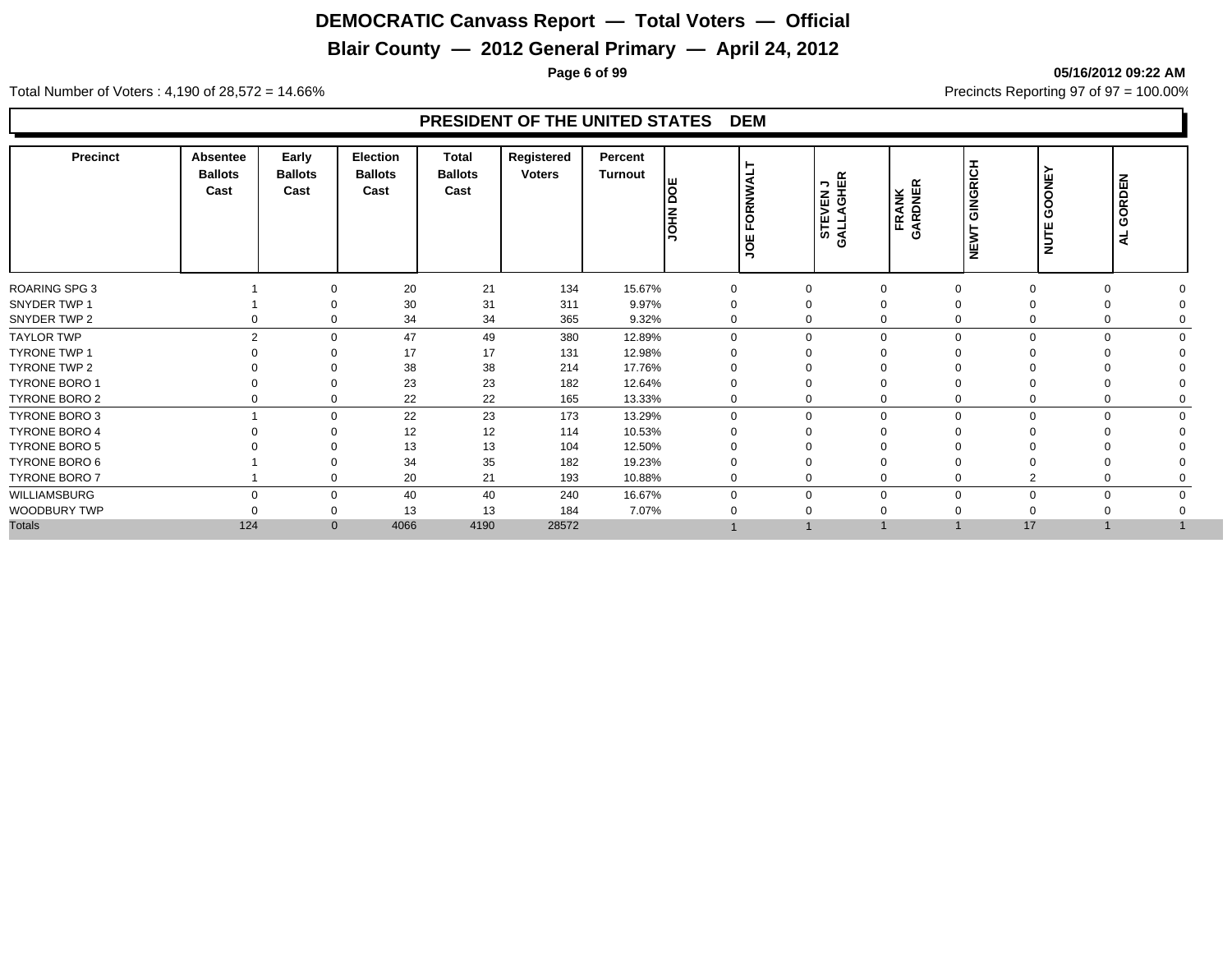## **Blair County — 2012 General Primary — April 24, 2012**

**Page 6 of 99 05/16/2012 09:22 AM**

Total Number of Voters : 4,190 of 28,572 = 14.66% Precincts Reporting 97 of 97 = 100.00%

| Precinct             | <b>Absentee</b><br><b>Ballots</b><br>Cast | Early<br><b>Ballots</b><br>Cast | <b>Election</b><br><b>Ballots</b><br>Cast | <b>Total</b><br><b>Ballots</b><br>Cast | Registered<br><b>Voters</b> | Percent<br>Turnout | lo<br><b>NHO</b> | ORNWAL<br>ட<br>JOE | STEVEN J<br>GALLAGHER   | FRANK<br>GARDNER | GINGRICH<br>NEWT | ≻<br>GOONE<br>NUTE      | GORDEN<br>$\overline{a}$ |
|----------------------|-------------------------------------------|---------------------------------|-------------------------------------------|----------------------------------------|-----------------------------|--------------------|------------------|--------------------|-------------------------|------------------|------------------|-------------------------|--------------------------|
| <b>ROARING SPG 3</b> |                                           | $\Omega$                        | 20                                        | 21                                     | 134                         | 15.67%             | 0                | 0                  | $\mathbf 0$             |                  |                  | 0<br>$\mathbf 0$        |                          |
| SNYDER TWP 1         |                                           |                                 | 30                                        | 31                                     | 311                         | 9.97%              | 0                | 0                  | $\Omega$                |                  |                  | $\Omega$                |                          |
| SNYDER TWP 2         |                                           | $\Omega$                        | 34                                        | 34                                     | 365                         | 9.32%              | 0                |                    | 0<br>$\Omega$           |                  |                  | 0<br>0                  |                          |
| <b>TAYLOR TWP</b>    |                                           | $\overline{2}$<br>$\Omega$      | 47                                        | 49                                     | 380                         | 12.89%             | $\Omega$         |                    | $\mathbf 0$<br>$\Omega$ |                  | $\Omega$         | $\Omega$<br>$\Omega$    |                          |
| <b>TYRONE TWP 1</b>  |                                           | $\Omega$                        | 17                                        | 17                                     | 131                         | 12.98%             |                  | $\Omega$           |                         |                  |                  |                         |                          |
| TYRONE TWP 2         |                                           |                                 | 38                                        | 38                                     | 214                         | 17.76%             |                  | 0                  |                         |                  |                  |                         |                          |
| <b>TYRONE BORO 1</b> |                                           | $\Omega$                        | 23                                        | 23                                     | 182                         | 12.64%             |                  |                    |                         |                  |                  |                         |                          |
| TYRONE BORO 2        |                                           | 0<br>0                          | 22                                        | 22                                     | 165                         | 13.33%             | 0                |                    | 0<br>$\Omega$           |                  |                  | 0<br>0                  |                          |
| TYRONE BORO 3        |                                           | $\Omega$                        | 22                                        | 23                                     | 173                         | 13.29%             | $\Omega$         |                    | 0<br>$\Omega$           |                  | ∩                | $\Omega$<br>$\Omega$    |                          |
| <b>TYRONE BORO 4</b> |                                           |                                 | 12                                        | 12                                     | 114                         | 10.53%             |                  | 0                  |                         |                  |                  |                         |                          |
| <b>TYRONE BORO 5</b> |                                           |                                 | 13                                        | 13                                     | 104                         | 12.50%             |                  |                    |                         |                  |                  |                         |                          |
| TYRONE BORO 6        |                                           |                                 | 34                                        | 35                                     | 182                         | 19.23%             |                  | 0                  |                         |                  |                  | $\Omega$                |                          |
| <b>TYRONE BORO 7</b> |                                           | 0                               | 20                                        | 21                                     | 193                         | 10.88%             | $\mathbf 0$      |                    | 0<br>$\mathbf 0$        |                  |                  | ◠<br>$\mathbf 0$        |                          |
| WILLIAMSBURG         |                                           | $\Omega$<br>$\Omega$            | 40                                        | 40                                     | 240                         | 16.67%             | $\Omega$         |                    | 0                       | $\Omega$         | $\Omega$         | $\Omega$<br>$\mathbf 0$ |                          |
| WOODBURY TWP         |                                           | $\Omega$                        | 13                                        | 13                                     | 184                         | 7.07%              |                  | 0                  |                         |                  |                  |                         |                          |
| <b>Totals</b>        | 124                                       | $\mathbf{0}$                    | 4066                                      | 4190                                   | 28572                       |                    |                  |                    |                         |                  | 17               |                         |                          |
|                      |                                           |                                 |                                           |                                        |                             |                    |                  |                    |                         |                  |                  |                         |                          |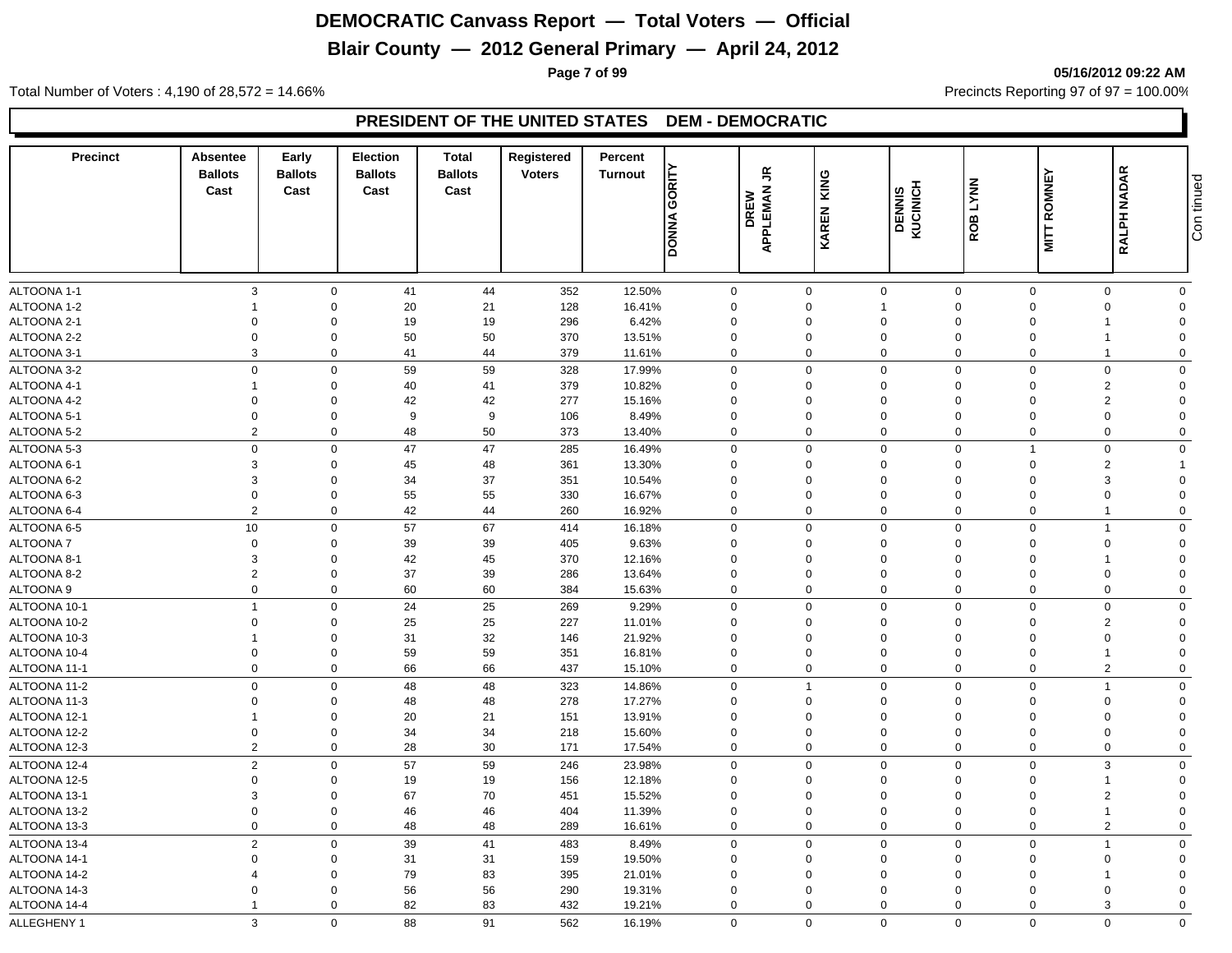## **Blair County — 2012 General Primary — April 24, 2012**

**Page 7 of 99 05/16/2012 09:22 AM**

Total Number of Voters : 4,190 of 28,572 = 14.66% Precincts Reporting 97 of 97 = 100.00%

#### **PRESIDENT OF THE UNITED STATES DEM - DEMOCRATIC**

| Precinct             | Absentee<br><b>Ballots</b><br>Cast | Early<br><b>Ballots</b><br>Cast | <b>Election</b><br><b>Ballots</b><br>Cast | <b>Total</b><br><b>Ballots</b><br>Cast | Registered<br><b>Voters</b> | Percent<br>Turnout | GORITY       | $\tilde{\vec{r}}$       | KING         |                     | <b>LYNN</b> |                    |                | Con tinued     |
|----------------------|------------------------------------|---------------------------------|-------------------------------------------|----------------------------------------|-----------------------------|--------------------|--------------|-------------------------|--------------|---------------------|-------------|--------------------|----------------|----------------|
|                      |                                    |                                 |                                           |                                        |                             |                    | <b>DONNA</b> | <b>APPLEMAN</b><br>DREW | <b>KAREN</b> | DENNIS<br>KUCINICH  | ROB         | <b>MITT ROMNEY</b> | RALPH NADAR    |                |
| ALTOONA 1-1          | 3                                  | $\mathbf 0$                     | 41                                        | 44                                     | 352                         | 12.50%             | $\mathbf 0$  |                         | $\mathbf 0$  | $\mathbf 0$         | $\mathbf 0$ | $\mathbf 0$        | 0              | $\mathbf 0$    |
| ALTOONA 1-2          |                                    | $\mathbf 0$                     | 20                                        | 21                                     | 128                         | 16.41%             | $\mathbf 0$  |                         | $\mathbf 0$  | $\overline{1}$      | $\Omega$    | $\Omega$           | $\mathbf 0$    | $\mathbf 0$    |
| ALTOONA 2-1          | $\mathbf 0$                        | $\mathbf 0$                     | 19                                        | 19                                     | 296                         | 6.42%              | $\mathbf 0$  |                         | $\mathbf 0$  | $\mathbf 0$         | $\Omega$    | $\Omega$           |                | $\Omega$       |
| ALTOONA 2-2          | $\Omega$                           | $\mathbf 0$                     | 50                                        | 50                                     | 370                         | 13.51%             | $\mathbf 0$  |                         | 0            | $\mathbf 0$         | $\Omega$    | $\Omega$           |                | $\Omega$       |
| ALTOONA 3-1          | 3                                  | $\mathbf 0$                     | 41                                        | 44                                     | 379                         | 11.61%             | 0            |                         | $\mathbf 0$  | $\mathbf 0$         | 0           | $\Omega$           | 1              | $\Omega$       |
| ALTOONA 3-2          | $\mathbf 0$                        | $\mathbf 0$                     | 59                                        | 59                                     | 328                         | 17.99%             | $\mathbf 0$  |                         | $\mathbf 0$  | $\mathbf 0$         | $\mathbf 0$ | $\Omega$           | $\mathbf 0$    | $\mathbf 0$    |
| ALTOONA 4-1          | -1                                 | $\mathbf 0$                     | 40                                        | 41                                     | 379                         | 10.82%             | $\mathbf 0$  |                         | $\mathbf 0$  | $\mathbf 0$         | $\Omega$    | $\Omega$           | 2              | $\Omega$       |
| ALTOONA 4-2          | $\Omega$                           | $\mathbf 0$                     | 42                                        | 42                                     | 277                         | 15.16%             | $\mathbf 0$  |                         | $\Omega$     | $\mathbf{0}$        | $\Omega$    | $\Omega$           | 2              | $\Omega$       |
| ALTOONA 5-1          | $\Omega$                           | $\mathbf 0$                     | 9                                         | 9                                      | 106                         | 8.49%              | $\mathbf 0$  |                         | $\Omega$     | $\mathbf 0$         | $\Omega$    | $\Omega$           | $\Omega$       | $\Omega$       |
| ALTOONA 5-2          | $\overline{2}$                     | $\mathbf 0$                     | 48                                        | 50                                     | 373                         | 13.40%             | $\mathbf 0$  |                         | $\mathbf 0$  | $\mathbf 0$         | $\mathbf 0$ | $\mathbf 0$        | $\Omega$       | $\mathbf{0}$   |
| ALTOONA 5-3          | $\mathbf 0$                        | $\mathbf 0$                     | 47                                        | 47                                     | 285                         | 16.49%             | $\mathbf 0$  |                         | $\mathbf 0$  | $\mathbf 0$         | $\Omega$    | -1                 | $\mathbf 0$    | $\mathbf 0$    |
| ALTOONA 6-1          | 3                                  | $\mathbf 0$                     | 45                                        | 48                                     | 361                         | 13.30%             | $\mathbf 0$  |                         | $\Omega$     | $\mathbf 0$         | $\Omega$    | $\Omega$           | 2              |                |
| ALTOONA 6-2          | 3                                  | $\mathbf 0$                     | 34                                        | 37                                     | 351                         | 10.54%             | $\Omega$     |                         | $\Omega$     | $\mathbf 0$         | $\Omega$    | $\Omega$           | 3              | $\Omega$       |
| ALTOONA 6-3          | $\mathbf 0$                        | $\mathbf 0$                     | 55                                        | 55                                     | 330                         | 16.67%             | $\mathbf 0$  |                         | 0            | $\mathbf 0$         | $\mathbf 0$ | $\Omega$           | $\Omega$       | $\Omega$       |
| ALTOONA 6-4          | $\overline{2}$                     | $\mathbf 0$                     | 42                                        | 44                                     | 260                         | 16.92%             | $\mathbf 0$  |                         | $\mathbf 0$  | $\mathbf 0$         | $\mathbf 0$ | $\mathbf 0$        | $\mathbf{1}$   | $\mathbf 0$    |
| ALTOONA 6-5          | 10                                 | $\mathbf 0$                     | 57                                        | 67                                     | 414                         | 16.18%             | 0            |                         | $\Omega$     | $\mathsf{O}\xspace$ | $\Omega$    | $\Omega$           | $\mathbf 1$    | $\Omega$       |
| ALTOONA 7            | $\mathbf 0$                        | $\mathbf 0$                     | 39                                        | 39                                     | 405                         | 9.63%              | $\mathbf 0$  |                         | 0            | $\mathbf 0$         | $\mathbf 0$ | $\Omega$           | $\Omega$       | $\Omega$       |
| ALTOONA 8-           | 3                                  | $\mathbf 0$                     | 42                                        | 45                                     | 370                         | 12.16%             | $\Omega$     |                         | $\Omega$     | $\mathbf 0$         | $\Omega$    | $\Omega$           |                | $\Omega$       |
| ALTOONA 8-2          | $\overline{2}$                     | $\mathbf 0$                     | 37                                        | 39                                     | 286                         | 13.64%             | $\mathbf 0$  |                         | $\mathbf 0$  | $\mathbf 0$         | $\mathbf 0$ | $\Omega$           | $\mathbf 0$    | $\Omega$       |
| ALTOONA <sub>9</sub> | $\mathbf 0$                        | $\mathbf 0$                     | 60                                        | 60                                     | 384                         | 15.63%             | $\mathbf 0$  |                         | $\mathbf 0$  | $\mathbf 0$         | $\mathbf 0$ | $\mathbf 0$        | $\Omega$       | $\mathbf 0$    |
| ALTOONA 10-1         | $\overline{1}$                     | $\mathsf 0$                     | 24                                        | 25                                     | 269                         | 9.29%              | $\mathbf 0$  |                         | $\mathbf 0$  | $\mathbf 0$         | $\mathbf 0$ | $\Omega$           | $\mathbf 0$    | $\mathbf 0$    |
| ALTOONA 10-2         | $\Omega$                           | $\mathbf 0$                     | 25                                        | 25                                     | 227                         | 11.01%             | $\Omega$     |                         | $\Omega$     | $\mathbf 0$         | $\Omega$    | $\Omega$           | 2              | $\Omega$       |
| ALTOONA 10-3         |                                    | $\mathbf 0$                     | 31                                        | 32                                     | 146                         | 21.92%             | $\mathbf 0$  |                         | $\mathbf 0$  | $\mathbf 0$         | $\Omega$    | $\Omega$           | $\Omega$       | $\Omega$       |
| ALTOONA 10-4         | $\mathbf 0$                        | $\mathbf 0$                     | 59                                        | 59                                     | 351                         | 16.81%             | $\mathbf 0$  |                         | $\mathbf 0$  | $\mathbf 0$         | $\mathbf 0$ | $\Omega$           | 1              | $\Omega$       |
| ALTOONA 11-1         | $\Omega$                           | $\mathbf 0$                     | 66                                        | 66                                     | 437                         | 15.10%             | 0            |                         | $\mathbf 0$  | $\mathbf 0$         | $\Omega$    | $\Omega$           | $\overline{2}$ | $\mathbf 0$    |
| ALTOONA 11-2         | $\mathbf 0$                        | $\mathbf 0$                     | 48                                        | 48                                     | 323                         | 14.86%             | $\mathbf 0$  |                         | $\mathbf{1}$ | $\mathbf 0$         | $\Omega$    | $\Omega$           | 1              | $\Omega$       |
| ALTOONA 11-3         | $\mathbf 0$                        | $\mathbf 0$                     | 48                                        | 48                                     | 278                         | 17.27%             | $\mathbf 0$  |                         | $\mathbf 0$  | $\mathbf 0$         | $\Omega$    | $\Omega$           | $\Omega$       | $\Omega$       |
| ALTOONA 12-1         | $\overline{\mathbf{1}}$            | $\mathbf 0$                     | 20                                        | 21                                     | 151                         | 13.91%             | $\mathbf 0$  |                         | $\mathbf 0$  | $\mathbf 0$         | $\Omega$    | $\Omega$           | $\Omega$       | $\Omega$       |
| ALTOONA 12-2         | $\Omega$                           | $\mathbf 0$                     | 34                                        | 34                                     | 218                         | 15.60%             | 0            |                         | $\mathbf 0$  | $\mathbf 0$         | $\Omega$    | $\Omega$           | $\Omega$       | $\Omega$       |
| ALTOONA 12-3         | $\overline{2}$                     | $\mathbf 0$                     | 28                                        | 30                                     | 171                         | 17.54%             | $\mathbf 0$  |                         | $\mathbf 0$  | $\mathbf 0$         | $\mathbf 0$ | $\mathbf 0$        | $\mathbf 0$    | $\mathbf 0$    |
| ALTOONA 12-4         | $\overline{2}$                     | $\mathbf 0$                     | 57                                        | 59                                     | 246                         | 23.98%             | $\mathbf 0$  |                         | $\mathbf 0$  | $\mathbf 0$         | $\mathbf 0$ | $\Omega$           | 3              | $\mathbf 0$    |
| ALTOONA 12-5         | $\Omega$                           | $\mathbf 0$                     | 19                                        | 19                                     | 156                         | 12.18%             | $\mathbf 0$  |                         | $\Omega$     | $\mathbf 0$         | $\Omega$    | $\Omega$           | 1              | $\mathbf 0$    |
| ALTOONA 13-1         | 3                                  | $\mathbf 0$                     | 67                                        | 70                                     | 451                         | 15.52%             | 0            |                         | 0            | $\mathbf 0$         | $\mathbf 0$ | $\Omega$           | $\overline{2}$ | $\mathbf 0$    |
| ALTOONA 13-2         | $\mathbf 0$                        | $\mathbf 0$                     | 46                                        | 46                                     | 404                         | 11.39%             | $\mathbf 0$  |                         | $\mathbf 0$  | $\mathbf 0$         | $\mathbf 0$ | $\Omega$           | $\mathbf{1}$   | $\overline{0}$ |
| ALTOONA 13-3         | $\mathbf 0$                        | $\mathbf 0$                     | 48                                        | 48                                     | 289                         | 16.61%             | $\mathbf 0$  |                         | $\mathbf 0$  | $\mathbf 0$         | $\Omega$    | $\mathbf 0$        | $\overline{2}$ | $\mathbf 0$    |
| ALTOONA 13-4         | $\overline{2}$                     | $\mathbf 0$                     | 39                                        | 41                                     | 483                         | 8.49%              | $\mathbf 0$  |                         | $\mathbf 0$  | $\mathbf 0$         | $\Omega$    | $\Omega$           | $\mathbf 1$    | $\mathbf 0$    |
| ALTOONA 14-1         | $\Omega$                           | $\mathbf 0$                     | 31                                        | 31                                     | 159                         | 19.50%             | $\mathbf 0$  |                         | 0            | $\mathbf 0$         | $\mathbf 0$ | $\Omega$           | $\Omega$       | $\Omega$       |
| ALTOONA 14-2         | $\overline{4}$                     | $\mathbf 0$                     | 79                                        | 83                                     | 395                         | 21.01%             | $\Omega$     |                         | 0            | $\mathbf 0$         | $\Omega$    | $\Omega$           |                | $\Omega$       |
| ALTOONA 14-3         | $\Omega$                           | $\mathbf 0$                     | 56                                        | 56                                     | 290                         | 19.31%             | $\mathbf 0$  |                         | $\mathbf 0$  | $\mathbf 0$         | $\Omega$    |                    | $\Omega$       | $\Omega$       |
| ALTOONA 14-4         | -1                                 | $\mathbf 0$                     | 82                                        | 83                                     | 432                         | 19.21%             | $\mathbf 0$  |                         | $\Omega$     | $\mathbf 0$         | $\Omega$    | $\Omega$           | 3              | $\Omega$       |
| ALLEGHENY 1          | 3                                  | $\mathbf 0$                     | 88                                        | 91                                     | 562                         | 16.19%             | $\Omega$     |                         | $\Omega$     | $\mathbf 0$         | $\Omega$    | $\Omega$           | $\Omega$       | $\Omega$       |
|                      |                                    |                                 |                                           |                                        |                             |                    |              |                         |              |                     |             |                    |                |                |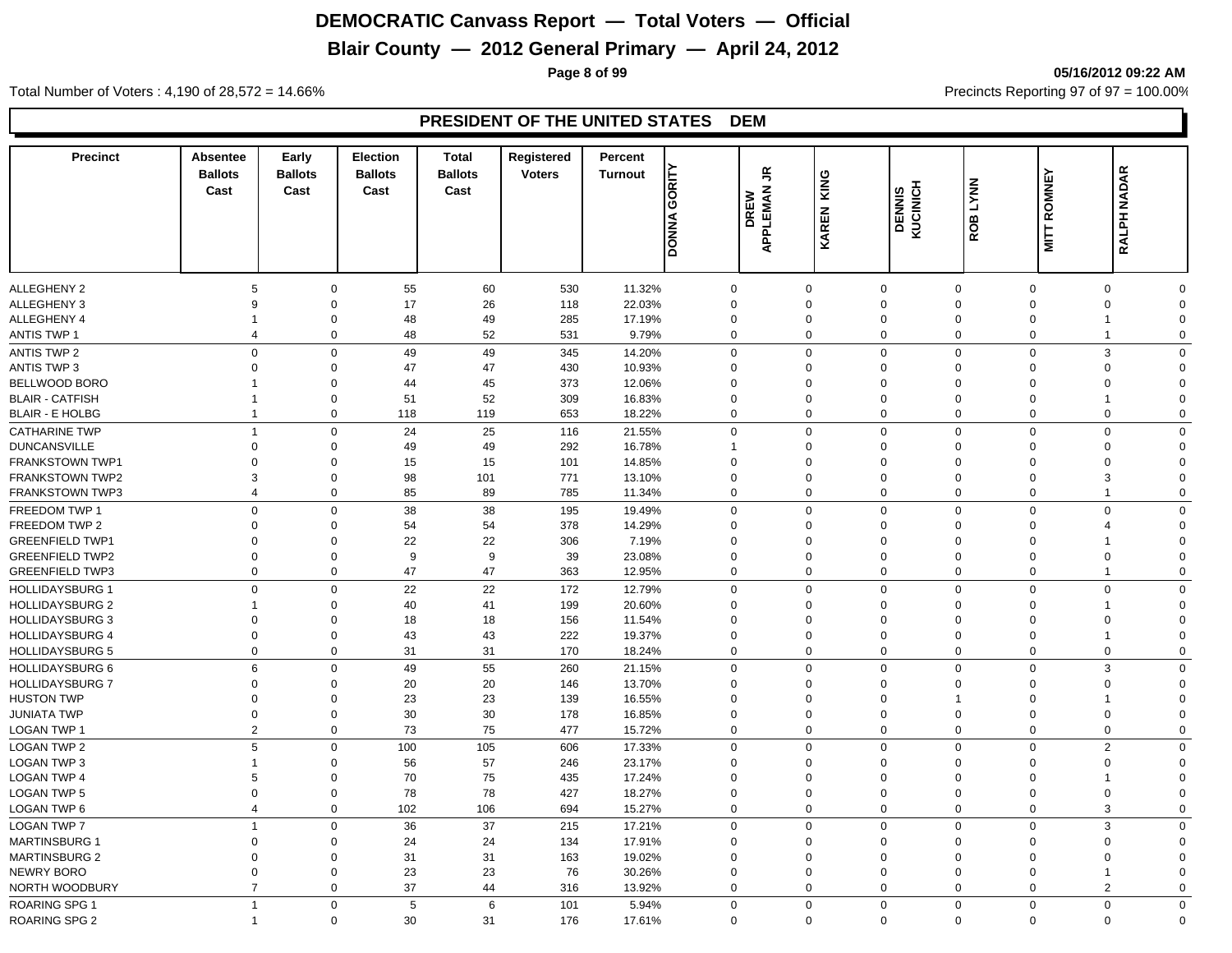## **Blair County — 2012 General Primary — April 24, 2012**

**Page 8 of 99 05/16/2012 09:22 AM**

Total Number of Voters : 4,190 of 28,572 = 14.66% Precincts Reporting 97 of 97 = 100.00%

| <b>Precinct</b>                                  | Absentee<br><b>Ballots</b><br>Cast | Early<br><b>Ballots</b><br>Cast | <b>Election</b><br><b>Ballots</b><br>Cast | <b>Total</b><br><b>Ballots</b><br>Cast | Registered<br><b>Voters</b> | Percent<br><b>Turnout</b> | GORITY<br><b>DONNA</b>  | £<br><b>DREW</b><br>APPLEMAN | KING<br>KAREN           | DENNIS<br>KUCINICH                 | <b>ROB LYNN</b>             | <b>MITT ROMNEY</b>      | RALPH NADAR                   |                         |
|--------------------------------------------------|------------------------------------|---------------------------------|-------------------------------------------|----------------------------------------|-----------------------------|---------------------------|-------------------------|------------------------------|-------------------------|------------------------------------|-----------------------------|-------------------------|-------------------------------|-------------------------|
|                                                  |                                    |                                 |                                           |                                        |                             |                           |                         |                              |                         |                                    |                             |                         |                               |                         |
| <b>ALLEGHENY 2</b>                               | 5                                  | $\mathbf 0$                     | 55                                        | 60                                     | 530                         | 11.32%                    | $\mathbf 0$             |                              | $\mathbf 0$             | $\mathbf 0$                        | $\mathbf 0$                 | $\mathbf 0$             | $\mathbf 0$                   | $\Omega$                |
| <b>ALLEGHENY 3</b>                               | 9                                  | $\Omega$                        | 17                                        | 26                                     | 118                         | 22.03%                    | $\mathbf 0$             |                              | $\Omega$                | $\mathbf 0$                        | $\mathbf 0$                 | $\Omega$                | $\mathbf 0$                   | $\Omega$                |
| <b>ALLEGHENY 4</b>                               | 1<br>$\overline{4}$                | 0<br>$\mathbf 0$                | 48                                        | 49                                     | 285                         | 17.19%                    | $\Omega$<br>$\Omega$    |                              | $\Omega$<br>$\Omega$    | $\mathbf 0$<br>$\mathsf{O}\xspace$ | $\mathbf 0$<br>$\Omega$     | $\Omega$                | $\mathbf 1$<br>$\overline{1}$ | $\Omega$<br>$\Omega$    |
| <b>ANTIS TWP 1</b>                               |                                    |                                 | 48                                        | 52                                     | 531                         | 9.79%                     |                         |                              |                         |                                    |                             | $\mathbf 0$             |                               |                         |
| <b>ANTIS TWP 2</b>                               | $\mathsf 0$<br>$\Omega$            | $\mathbf 0$                     | 49                                        | 49                                     | 345                         | 14.20%                    | $\mathbf 0$             |                              | 0                       | $\mathbf 0$                        | $\mathbf 0$                 | $\mathbf 0$             | 3                             | $\Omega$                |
| <b>ANTIS TWP 3</b>                               |                                    | 0                               | 47                                        | 47                                     | 430                         | 10.93%                    | $\Omega$<br>$\Omega$    |                              | $\mathbf 0$<br>$\Omega$ | $\mathbf 0$                        | $\Omega$                    | $\Omega$<br>$\Omega$    | $\mathbf 0$                   | $\Omega$<br>$\Omega$    |
| BELLWOOD BORO<br><b>BLAIR - CATFISH</b>          | 1<br>1                             | 0<br>$\Omega$                   | 44<br>51                                  | 45<br>52                               | 373<br>309                  | 12.06%                    | $\Omega$                |                              | $\Omega$                | $\mathbf 0$<br>$\mathbf 0$         | $\mathbf 0$<br>$\mathbf 0$  | $\Omega$                | 0<br>-1                       | $\Omega$                |
| <b>BLAIR - E HOLBG</b>                           | $\overline{1}$                     | $\mathbf 0$                     | 118                                       | 119                                    | 653                         | 16.83%<br>18.22%          | $\Omega$                |                              | $\mathbf 0$             | $\mathbf 0$                        | $\mathbf 0$                 | $\Omega$                | $\mathbf 0$                   | $\Omega$                |
|                                                  |                                    |                                 |                                           |                                        |                             |                           |                         |                              |                         |                                    |                             |                         |                               |                         |
| <b>CATHARINE TWP</b>                             | $\overline{1}$<br>$\mathbf 0$      | $\mathbf 0$                     | 24                                        | 25<br>49                               | 116                         | 21.55%                    | $\mathbf 0$             |                              | 0<br>$\mathbf 0$        | $\mathbf 0$                        | $\mathbf 0$<br>$\mathbf{0}$ | $\mathbf 0$<br>$\Omega$ | $\mathbf 0$                   | $\Omega$<br>$\Omega$    |
| <b>DUNCANSVILLE</b><br><b>FRANKSTOWN TWP1</b>    | $\mathbf 0$                        | 0<br>$\mathbf 0$                | 49                                        | 15                                     | 292                         | 16.78%                    | $\Omega$                |                              | $\Omega$                | $\mathbf 0$<br>$\mathbf 0$         | $\Omega$                    | $\Omega$                | 0<br>0                        | $\Omega$                |
| <b>FRANKSTOWN TWP2</b>                           | 3                                  | $\mathbf 0$                     | 15<br>98                                  | 101                                    | 101<br>771                  | 14.85%<br>13.10%          | $\mathbf 0$             |                              | $\mathbf 0$             | $\mathbf 0$                        | $\mathbf 0$                 | $\Omega$                | 3                             | $\Omega$                |
| <b>FRANKSTOWN TWP3</b>                           | $\overline{4}$                     | $\mathbf 0$                     | 85                                        | 89                                     | 785                         | 11.34%                    | $\Omega$                |                              | $\Omega$                | $\mathbf 0$                        | $\mathbf 0$                 | $\Omega$                | $\overline{1}$                | $\Omega$                |
| FREEDOM TWP 1                                    | $\mathbf 0$                        |                                 |                                           |                                        |                             |                           |                         |                              |                         | $\mathbf{0}$                       |                             |                         |                               |                         |
|                                                  | $\Omega$                           | $\mathbf 0$                     | 38                                        | 38                                     | 195                         | 19.49%                    | $\mathbf 0$<br>$\Omega$ |                              | $\mathbf 0$<br>$\Omega$ |                                    | $\mathbf{0}$<br>$\Omega$    | $\mathbf 0$<br>$\Omega$ | $\mathbf 0$<br>$\overline{4}$ | $\mathbf 0$<br>$\Omega$ |
| FREEDOM TWP 2                                    | $\Omega$                           | 0<br>$\Omega$                   | 54<br>22                                  | 54<br>22                               | 378                         | 14.29%                    | $\Omega$                |                              | $\Omega$                | $\mathbf 0$<br>$\mathbf 0$         | $\Omega$                    | $\Omega$                | 1                             | $\Omega$                |
| <b>GREENFIELD TWP1</b><br><b>GREENFIELD TWP2</b> | $\mathbf 0$                        | $\mathbf 0$                     | 9                                         | 9                                      | 306<br>39                   | 7.19%<br>23.08%           | $\Omega$                |                              | $\mathbf 0$             | $\mathbf 0$                        | $\Omega$                    | $\mathbf 0$             | $\mathbf 0$                   | $\Omega$                |
| <b>GREENFIELD TWP3</b>                           | $\mathbf 0$                        | $\mathbf 0$                     | 47                                        | 47                                     | 363                         | 12.95%                    | $\mathbf 0$             |                              | 0                       | $\mathbf 0$                        | $\mathbf 0$                 | $\mathbf 0$             | $\overline{1}$                | $\Omega$                |
|                                                  |                                    |                                 |                                           |                                        |                             |                           |                         |                              |                         |                                    |                             |                         |                               |                         |
| <b>HOLLIDAYSBURG 1</b>                           | $\mathbf 0$                        | $\mathbf 0$<br>$\Omega$         | 22                                        | 22                                     | 172                         | 12.79%                    | $\mathbf 0$<br>$\Omega$ |                              | $\Omega$<br>$\Omega$    | $\mathbf 0$<br>$\mathbf 0$         | $\mathbf 0$                 | $\Omega$<br>$\Omega$    | $\mathbf 0$                   | $\Omega$                |
| <b>HOLLIDAYSBURG 2</b>                           | 1                                  | $\Omega$                        | 40                                        | 41                                     | 199                         | 20.60%                    |                         |                              |                         |                                    | $\mathbf 0$                 |                         | 1                             | $\Omega$                |
| <b>HOLLIDAYSBURG 3</b><br><b>HOLLIDAYSBURG 4</b> | $\Omega$<br>$\mathbf 0$            | $\mathbf 0$                     | 18<br>43                                  | 18<br>43                               | 156                         | 11.54%<br>19.37%          | $\Omega$<br>$\Omega$    |                              | $\Omega$<br>$\Omega$    | $\mathbf 0$<br>$\mathbf 0$         | $\Omega$<br>$\mathbf{0}$    | $\Omega$<br>$\Omega$    | $\Omega$<br>$\overline{1}$    | $\Omega$<br>$\Omega$    |
| <b>HOLLIDAYSBURG 5</b>                           | $\mathbf 0$                        | 0                               | 31                                        | 31                                     | 222<br>170                  | 18.24%                    | $\Omega$                |                              | $\mathbf 0$             | $\mathbf 0$                        | $\mathbf{0}$                | $\Omega$                | 0                             | $\Omega$                |
|                                                  |                                    |                                 |                                           |                                        |                             |                           |                         |                              |                         |                                    |                             |                         |                               |                         |
| <b>HOLLIDAYSBURG 6</b>                           | 6<br>$\Omega$                      | $\mathbf 0$<br>$\Omega$         | 49                                        | 55                                     | 260                         | 21.15%                    | $\mathbf 0$<br>$\Omega$ |                              | 0                       | $\mathbf 0$                        | $\mathbf 0$<br>$\Omega$     | $\mathbf 0$<br>$\Omega$ | 3                             | $\mathbf 0$<br>$\Omega$ |
| <b>HOLLIDAYSBURG 7</b><br><b>HUSTON TWP</b>      | $\mathbf 0$                        | $\mathbf 0$                     | 20<br>23                                  | 20<br>23                               | 146<br>139                  | 13.70%<br>16.55%          | $\Omega$                |                              | $\Omega$<br>$\Omega$    | $\mathbf 0$<br>$\mathbf 0$         |                             | $\Omega$                | $\mathbf 0$<br>1              | $\Omega$                |
| <b>JUNIATA TWP</b>                               | $\overline{0}$                     | $\mathbf 0$                     | 30                                        | 30                                     | 178                         | 16.85%                    | $\mathbf 0$             |                              | $\mathbf 0$             | $\mathbf 0$                        | $\Omega$                    | $\overline{0}$          | $\mathbf 0$                   | $\Omega$                |
| LOGAN TWP 1                                      | $\overline{2}$                     | $\mathbf 0$                     | 73                                        | 75                                     | 477                         | 15.72%                    | $\Omega$                |                              | $\mathbf 0$             | $\mathbf 0$                        | $\Omega$                    | $\mathbf 0$             | $\mathbf 0$                   | $\mathbf 0$             |
| <b>LOGAN TWP 2</b>                               | $\,$ 5 $\,$                        | $\mathbf 0$                     | 100                                       | 105                                    | 606                         | 17.33%                    | $\Omega$                |                              | $\Omega$                | $\mathbf 0$                        | $\mathbf 0$                 | $\overline{0}$          | $\overline{2}$                | $\Omega$                |
| <b>LOGAN TWP 3</b>                               | 1                                  | $\mathbf 0$                     | 56                                        | 57                                     | 246                         | 23.17%                    | $\mathbf 0$             |                              | $\Omega$                | $\mathbf 0$                        | $\Omega$                    | $\Omega$                | $\mathbf 0$                   | $\Omega$                |
| <b>LOGAN TWP 4</b>                               | 5                                  | $\mathbf 0$                     | 70                                        | 75                                     | 435                         | 17.24%                    | $\mathbf 0$             |                              | $\mathbf 0$             | $\mathbf 0$                        | $\Omega$                    | $\mathbf 0$             | $\mathbf 1$                   | $\Omega$                |
| <b>LOGAN TWP 5</b>                               | $\overline{0}$                     | $\mathbf 0$                     | 78                                        | 78                                     | 427                         | 18.27%                    | $\mathbf 0$             |                              | $\mathbf 0$             | $\mathbf 0$                        | $\mathbf 0$                 | $\overline{0}$          | $\mathbf 0$                   | $\Omega$                |
| LOGAN TWP 6                                      | $\overline{4}$                     | $\mathbf 0$                     | 102                                       | 106                                    | 694                         | 15.27%                    | $\mathbf 0$             |                              | $\mathbf 0$             | $\mathbf 0$                        | $\mathbf 0$                 | $\mathbf 0$             | 3                             | $\mathbf 0$             |
| <b>LOGAN TWP 7</b>                               | $\overline{1}$                     | $\mathbf 0$                     | 36                                        | 37                                     | 215                         | 17.21%                    | $\Omega$                |                              | $\Omega$                | $\mathbf 0$                        | $\Omega$                    | $\Omega$                | $\mathsf 3$                   | $\mathbf 0$             |
| MARTINSBURG 1                                    | $\Omega$                           | $\mathbf 0$                     | 24                                        | 24                                     | 134                         | 17.91%                    | $\Omega$                |                              | $\Omega$                | $\mathbf 0$                        | $\Omega$                    | $\Omega$                | $\mathbf 0$                   | $\Omega$                |
| <b>MARTINSBURG 2</b>                             | $\Omega$                           | $\Omega$                        | 31                                        | 31                                     | 163                         | 19.02%                    | $\Omega$                |                              | $\Omega$                | $\mathbf 0$                        | $\Omega$                    | $\Omega$                | 0                             | $\Omega$                |
| NEWRY BORO                                       | $\mathbf 0$                        | $\Omega$                        | 23                                        | 23                                     | 76                          | 30.26%                    | $\Omega$                |                              | $\Omega$                | $\mathbf 0$                        | $\Omega$                    | $\Omega$                | 1                             | $\Omega$                |
| NORTH WOODBURY                                   | $\overline{7}$                     | 0                               | 37                                        | 44                                     | 316                         | 13.92%                    | $\mathbf 0$             |                              | $\mathbf 0$             | $\mathbf 0$                        | $\mathbf 0$                 | $\mathbf 0$             | $\overline{2}$                | 0                       |
| ROARING SPG 1                                    | $\overline{1}$                     | $\mathbf 0$                     | 5                                         | 6                                      | 101                         | 5.94%                     | $\Omega$                |                              | $\Omega$                | $\mathbf{0}$                       | $\mathbf 0$                 | $\mathbf 0$             | $\mathbf 0$                   | $\mathbf 0$             |
| <b>ROARING SPG 2</b>                             | -1                                 | $\mathbf 0$                     | 30                                        | 31                                     | 176                         | 17.61%                    | $\Omega$                |                              | $\mathbf 0$             | $\Omega$                           | $\mathbf 0$                 | $\mathbf 0$             | $\mathbf 0$                   | $\Omega$                |
|                                                  |                                    |                                 |                                           |                                        |                             |                           |                         |                              |                         |                                    |                             |                         |                               |                         |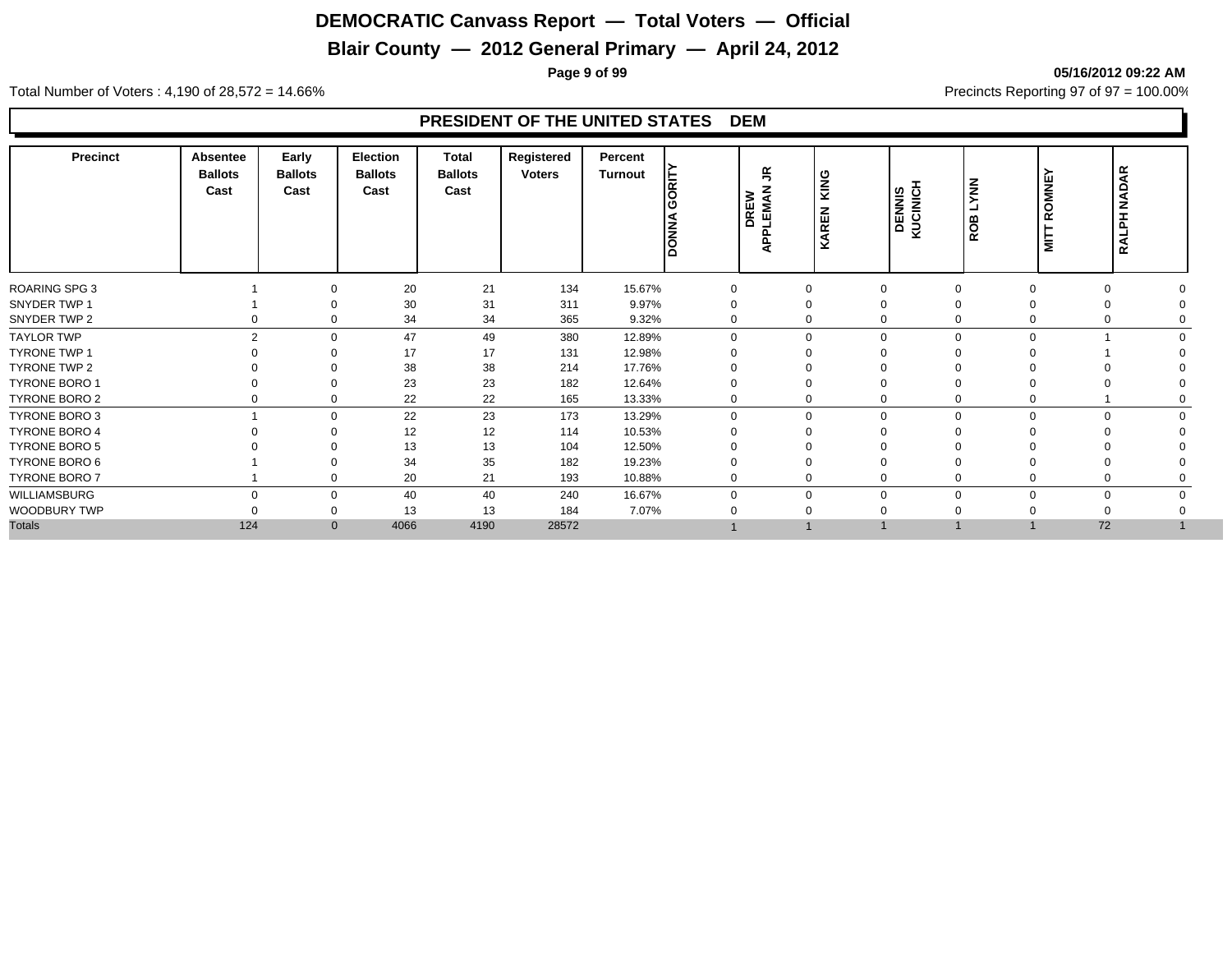## **Blair County — 2012 General Primary — April 24, 2012**

**Page 9 of 99 05/16/2012 09:22 AM**

Total Number of Voters : 4,190 of 28,572 = 14.66% Precincts Reporting 97 of 97 = 100.00%

| <b>Precinct</b>      | <b>Absentee</b><br><b>Ballots</b><br>Cast | Early<br><b>Ballots</b><br>Cast | <b>Election</b><br><b>Ballots</b><br>Cast | <b>Total</b><br><b>Ballots</b><br>Cast | Registered<br><b>Voters</b> | Percent<br><b>Turnout</b> | に<br>lō<br><b>DONNA</b> | $\tilde{\mathbf{r}}$<br><b>DREW</b><br>PLEMAN<br>ミ | KING<br>KAREN | DENNIS<br>KUCINICH | <b>NNAT</b><br>ROB | ROMNE<br><b>MITT</b> | RALPH NADAR |
|----------------------|-------------------------------------------|---------------------------------|-------------------------------------------|----------------------------------------|-----------------------------|---------------------------|-------------------------|----------------------------------------------------|---------------|--------------------|--------------------|----------------------|-------------|
| <b>ROARING SPG 3</b> |                                           | $\Omega$                        | 20                                        | 21                                     | 134                         | 15.67%                    | $\Omega$                | 0                                                  | 0             |                    | $\Omega$           | $\Omega$             |             |
| SNYDER TWP 1         |                                           |                                 | 30                                        | 31                                     | 311                         | 9.97%                     | 0                       | 0                                                  | $\Omega$      |                    |                    |                      |             |
| SNYDER TWP 2         |                                           | 0                               | 34                                        | 34                                     | 365                         | 9.32%                     | 0                       | $\mathbf 0$                                        | $\mathbf 0$   |                    |                    | 0                    |             |
| <b>TAYLOR TWP</b>    | $\mathcal{P}$                             | $\Omega$                        | 47                                        | 49                                     | 380                         | 12.89%                    | $\Omega$                | $\mathbf 0$                                        | $\mathbf 0$   |                    | $\Omega$           |                      |             |
| TYRONE TWP 1         |                                           |                                 | 17                                        | 17                                     | 131                         | 12.98%                    | $\Omega$                | $\Omega$                                           | $\Omega$      |                    |                    |                      |             |
| TYRONE TWP 2         |                                           | $\Omega$                        | 38                                        | 38                                     | 214                         | 17.76%                    | 0                       | $\Omega$                                           | $\Omega$      |                    |                    |                      |             |
| <b>TYRONE BORO 1</b> |                                           | $\Omega$                        | 23                                        | 23                                     | 182                         | 12.64%                    | ი                       |                                                    | $\Omega$      |                    |                    |                      |             |
| <b>TYRONE BORO 2</b> |                                           | $\mathbf 0$                     | 22                                        | 22                                     | 165                         | 13.33%                    | 0                       | 0                                                  | $\mathbf 0$   |                    | 0                  |                      |             |
| TYRONE BORO 3        |                                           | $\mathbf 0$                     | 22                                        | 23                                     | 173                         | 13.29%                    | $\Omega$                | $\mathbf 0$                                        | $\mathbf 0$   | $\Omega$           | $\Omega$           | $\mathbf 0$          |             |
| <b>TYRONE BORO 4</b> |                                           | $\Omega$                        | 12                                        | 12                                     | 114                         | 10.53%                    |                         |                                                    | $\Omega$      |                    |                    |                      |             |
| <b>TYRONE BORO 5</b> |                                           |                                 | 13                                        | 13                                     | 104                         | 12.50%                    |                         |                                                    |               |                    |                    |                      |             |
| TYRONE BORO 6        |                                           |                                 | 34                                        | 35                                     | 182                         | 19.23%                    | 0                       |                                                    | $\Omega$      |                    |                    |                      |             |
| TYRONE BORO 7        |                                           | $\mathbf 0$                     | 20                                        | 21                                     | 193                         | 10.88%                    | 0                       | 0                                                  | $\mathbf 0$   |                    |                    |                      |             |
| WILLIAMSBURG         | $\Omega$                                  | $\mathbf 0$                     | 40                                        | 40                                     | 240                         | 16.67%                    | 0                       | 0                                                  | $\mathbf 0$   |                    | $\Omega$           | $\mathbf 0$          |             |
| WOODBURY TWP         |                                           | $\Omega$                        | 13                                        | 13                                     | 184                         | 7.07%                     |                         |                                                    | $\Omega$      |                    |                    |                      |             |
| <b>Totals</b>        | 124                                       | $\mathbf{0}$                    | 4066                                      | 4190                                   | 28572                       |                           |                         |                                                    |               |                    |                    | 72                   |             |
|                      |                                           |                                 |                                           |                                        |                             |                           |                         |                                                    |               |                    |                    |                      |             |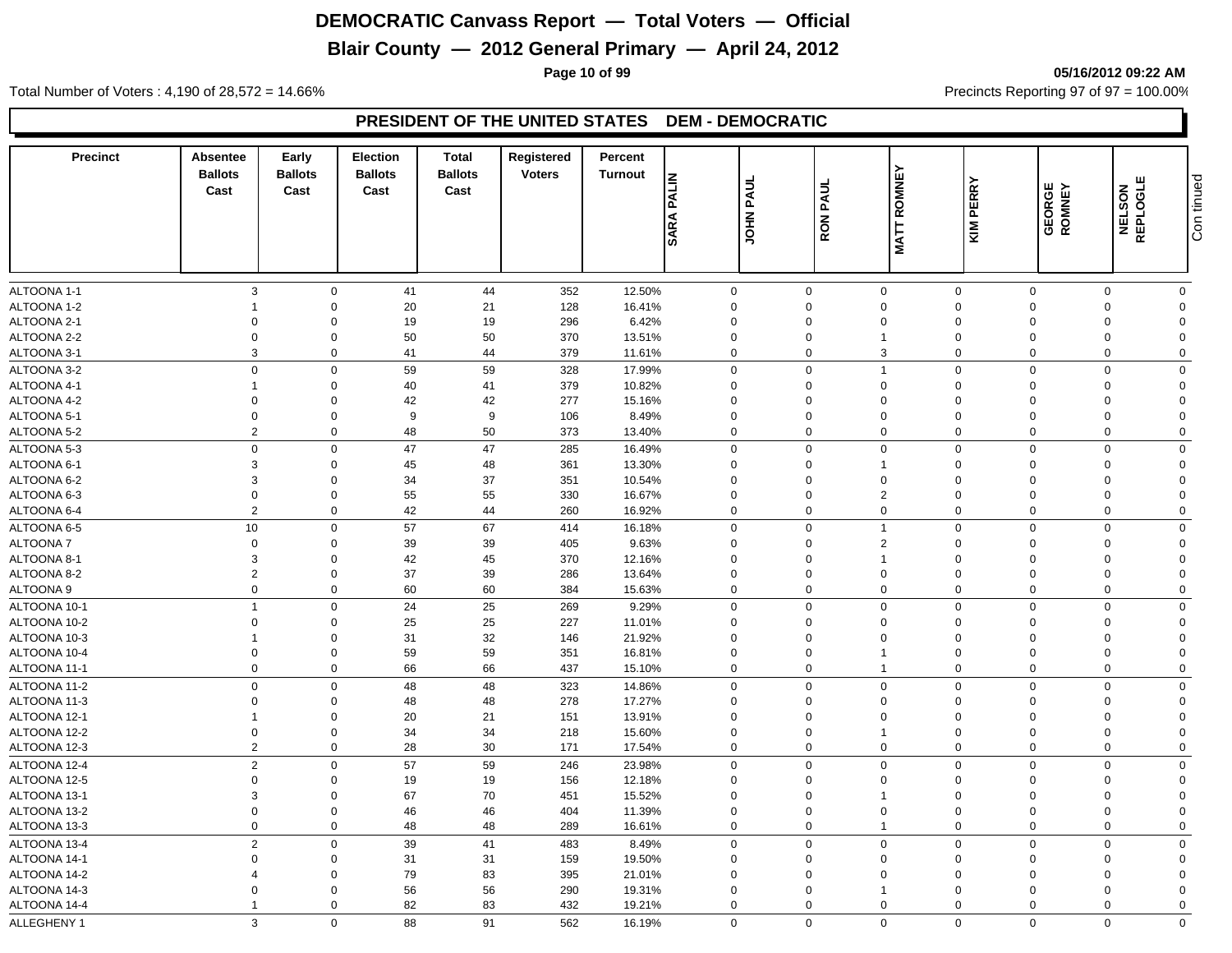## **Blair County — 2012 General Primary — April 24, 2012**

**Page 10 of 99 05/16/2012 09:22 AM**

Total Number of Voters : 4,190 of 28,572 = 14.66% Precincts Reporting 97 of 97 = 100.00%

#### **PRESIDENT OF THE UNITED STATES DEM - DEMOCRATIC**

| <b>SARA</b><br>ALTOONA 1-1<br>3<br>$\mathbf 0$<br>41<br>44<br>352<br>12.50%<br>$\mathbf 0$<br>$\mathbf 0$<br>$\mathbf 0$<br>$\mathbf 0$<br>$\mathbf 0$<br>0<br>$\mathbf 0$<br>ALTOONA 1-2<br>$\mathbf 0$<br>20<br>21<br>128<br>16.41%<br>$\mathbf 0$<br>$\mathbf 0$<br>$\Omega$<br>$\mathbf 0$<br>$\mathbf 0$<br>$\mathbf 0$<br>$\Omega$<br>$\mathbf 0$<br>$\mathbf 0$<br>19<br>19<br>296<br>6.42%<br>$\mathbf 0$<br>$\mathbf 0$<br>$\mathbf 0$<br>$\Omega$<br>$\Omega$<br>$\Omega$<br>$\Omega$<br>50<br>$\Omega$<br>$\mathbf 0$<br>50<br>370<br>13.51%<br>$\mathbf 0$<br>0<br>$\mathbf{1}$<br>$\Omega$<br>$\Omega$<br>$\Omega$<br>$\Omega$<br>$\mathbf{3}$<br>3<br>$\mathbf 0$<br>41<br>44<br>379<br>$\mathbf 0$<br>11.61%<br>0<br>0<br>$\Omega$<br>$\Omega$<br>$\Omega$<br>59<br>59<br>$\mathbf 0$<br>$\mathbf 0$<br>$\mathbf 0$<br>328<br>17.99%<br>$\mathbf 0$<br>$\overline{1}$<br>$\mathbf 0$<br>$\mathbf 0$<br>$\mathbf 0$<br>$\mathbf 0$<br>$\mathbf 0$<br>40<br>41<br>379<br>10.82%<br>$\mathbf 0$<br>$\mathbf 0$<br>$\mathbf 0$<br>$\Omega$<br>$\Omega$<br>$\Omega$<br>$\Omega$<br>$\mathbf{1}$<br>$\Omega$<br>$\mathbf 0$<br>42<br>42<br>277<br>15.16%<br>$\mathbf 0$<br>$\Omega$<br>$\mathbf 0$<br>$\Omega$<br>$\Omega$<br>$\Omega$<br>$\Omega$<br>$\Omega$<br>$\mathbf 0$<br>9<br>9<br>$\mathbf 0$<br>106<br>8.49%<br>$\mathbf 0$<br>$\Omega$<br>$\Omega$<br>$\Omega$<br>$\Omega$<br>$\Omega$<br>$\overline{2}$<br>50<br>$\mathbf 0$<br>48<br>$\mathbf 0$<br>$\mathbf 0$<br>373<br>13.40%<br>$\mathbf 0$<br>$\mathbf 0$<br>$\mathbf 0$<br>$\Omega$<br>$\mathbf 0$<br>$\mathbf 0$<br>$\mathbf 0$<br>47<br>47<br>$\mathbf 0$<br>$\mathbf 0$<br>$\mathbf 0$<br>285<br>16.49%<br>$\mathbf 0$<br>$\Omega$<br>$\Omega$<br>$\mathbf 0$<br>3<br>$\mathbf 0$<br>45<br>48<br>361<br>13.30%<br>$\Omega$<br>$\mathbf 0$<br>$\mathbf{1}$<br>$\Omega$<br>$\Omega$<br>$\Omega$<br>$\Omega$<br>3<br>37<br>$\mathbf 0$<br>34<br>351<br>10.54%<br>$\Omega$<br>$\mathbf 0$<br>$\Omega$<br>$\Omega$<br>$\Omega$<br>$\Omega$<br>$\Omega$<br>55<br>55<br>$\overline{2}$<br>$\mathbf 0$<br>$\mathbf 0$<br>16.67%<br>330<br>0<br>$\mathbf 0$<br>$\Omega$<br>$\Omega$<br>$\mathbf 0$<br>$\Omega$<br>$\overline{2}$<br>$\mathbf 0$<br>42<br>44<br>260<br>16.92%<br>$\mathbf 0$<br>$\mathbf 0$<br>$\mathbf 0$<br>$\mathbf 0$<br>$\mathbf 0$<br>$\mathbf 0$<br>$\Omega$<br>10<br>57<br>67<br>$\mathsf 0$<br>$\Omega$<br>414<br>16.18%<br>0<br>$\overline{1}$<br>$\mathbf 0$<br>$\Omega$<br>$\Omega$<br>$\Omega$<br>$\overline{2}$<br>39<br>39<br>$\mathbf 0$<br>$\mathbf 0$<br>405<br>9.63%<br>0<br>$\mathbf 0$<br>$\mathbf 0$<br>$\Omega$<br>$\Omega$<br>$\Omega$<br>3<br>$\mathbf 0$<br>42<br>45<br>370<br>12.16%<br>$\Omega$<br>$\overline{1}$<br>$\Omega$<br>$\Omega$<br>$\Omega$<br>$\Omega$<br>$\Omega$<br>$\overline{2}$<br>$\mathbf 0$<br>37<br>39<br>286<br>13.64%<br>$\mathbf 0$<br>$\mathbf 0$<br>$\mathbf 0$<br>$\Omega$<br>$\mathbf 0$<br>$\Omega$<br>$\mathbf 0$<br>$\mathbf 0$<br>$\mathbf 0$<br>60<br>60<br>384<br>15.63%<br>$\mathbf 0$<br>$\mathbf 0$<br>$\mathbf 0$<br>$\mathbf 0$<br>$\mathbf 0$<br>$\mathbf 0$<br>$\Omega$<br>$\mathsf 0$<br>24<br>25<br>$\mathbf 0$<br>$\mathbf 0$<br>$\overline{1}$<br>269<br>9.29%<br>$\mathbf 0$<br>$\mathbf 0$<br>$\Omega$<br>$\Omega$<br>$\mathbf 0$<br>25<br>25<br>$\Omega$<br>$\mathbf 0$<br>227<br>11.01%<br>$\Omega$<br>$\mathbf 0$<br>$\Omega$<br>$\Omega$<br>$\Omega$<br>$\Omega$<br>$\Omega$<br>32<br>$\mathbf 0$<br>31<br>21.92%<br>$\mathbf 0$<br>$\mathbf 0$<br>146<br>$\mathbf 0$<br>$\mathbf 0$<br>$\Omega$<br>$\Omega$<br>$\Omega$<br>59<br>$\mathbf 0$<br>$\mathbf 0$<br>59<br>351<br>16.81%<br>$\mathbf 0$<br>$\mathbf 0$<br>$\mathbf{1}$<br>$\mathbf 0$<br>$\Omega$<br>$\Omega$<br>$\Omega$<br>$\Omega$<br>$\mathbf 0$<br>66<br>66<br>$\mathbf 0$<br>437<br>15.10%<br>0<br>$\overline{1}$<br>$\mathbf 0$<br>$\Omega$<br>$\Omega$<br>$\mathbf 0$<br>$\mathbf 0$<br>48<br>48<br>323<br>14.86%<br>$\Omega$<br>$\mathbf 0$<br>$\mathbf 0$<br>$\mathbf 0$<br>$\Omega$<br>$\Omega$<br>$\mathbf 0$<br>$\Omega$<br>$\mathbf 0$<br>$\mathbf 0$<br>48<br>48<br>278<br>17.27%<br>$\mathbf 0$<br>$\mathbf 0$<br>$\Omega$<br>$\Omega$<br>$\mathbf 0$<br>$\Omega$<br>$\Omega$<br>$\mathbf 0$<br>20<br>21<br>13.91%<br>$\mathbf 0$<br>151<br>$\mathbf 0$<br>$\Omega$<br>$\Omega$<br>$\Omega$<br>$\Omega$<br>$\Omega$<br>$\mathbf 1$<br>34<br>34<br>$\mathbf 0$<br>$\mathbf 0$<br>218<br>15.60%<br>0<br>$\mathbf 0$<br>$\Omega$<br>$\Omega$<br>$\Omega$<br>$\overline{1}$<br>$\Omega$<br>$\overline{2}$<br>30<br>$\mathbf 0$<br>28<br>$\mathbf 0$<br>171<br>17.54%<br>$\mathbf 0$<br>$\mathbf 0$<br>$\mathbf 0$<br>$\mathbf 0$<br>$\mathbf 0$<br>$\mathbf 0$<br>$\overline{2}$<br>$\mathbf 0$<br>57<br>59<br>$\mathbf 0$<br>$\mathbf 0$<br>$\mathbf 0$<br>$\mathbf 0$<br>246<br>23.98%<br>$\mathbf 0$<br>$\Omega$<br>$\Omega$<br>$\Omega$<br>$\mathbf 0$<br>19<br>19<br>156<br>12.18%<br>$\Omega$<br>$\mathbf{0}$<br>$\mathbf{0}$<br>$\mathbf 0$<br>$\Omega$<br>$\Omega$<br>$\Omega$<br>3<br>67<br>70<br>$\mathbf 0$<br>451<br>15.52%<br>0<br>$\mathbf 0$<br>$\Omega$<br>$\mathbf{0}$<br>0<br>$\overline{1}$<br>$\Omega$<br>46<br>$\mathbf 0$<br>$\mathbf 0$<br>46<br>$\mathbf 0$<br>$\mathbf 0$<br>$\mathbf 0$<br>$\overline{0}$<br>404<br>11.39%<br>$\mathbf 0$<br>$\Omega$<br>$\mathbf 0$<br>$\mathbf 0$<br>$\mathbf 0$<br>48<br>48<br>289<br>16.61%<br>$\mathbf 0$<br>$\mathbf 0$<br>$\mathbf 0$<br>$\mathbf 0$<br>$\mathbf 0$<br>$\mathbf 0$<br>$\overline{1}$<br>$\overline{2}$<br>39<br>41<br>$\mathbf 0$<br>$\mathbf 0$<br>483<br>8.49%<br>$\mathbf 0$<br>$\mathbf 0$<br>$\Omega$<br>$\Omega$<br>$\Omega$<br>$\mathbf 0$<br>31<br>31<br>$\Omega$<br>$\mathbf 0$<br>159<br>19.50%<br>$\mathbf 0$<br>0<br>$\mathbf 0$<br>$\mathbf 0$<br>$\Omega$<br>$\Omega$<br>$\Omega$<br>83<br>79<br>$\mathbf 0$<br>395<br>21.01%<br>0<br>$\mathbf 0$<br>$\Omega$<br>$\Omega$<br>$\Omega$<br>$\overline{4}$<br>$\Omega$<br>$\Omega$<br>56<br>$\Omega$<br>$\mathbf 0$<br>56<br>290<br>19.31%<br>$\mathbf 0$<br>$\mathbf 0$<br>$\Omega$<br>$\Omega$<br>$\Omega$<br>$\mathbf{1}$<br>$\Omega$<br>83<br>$\mathbf 0$<br>82<br>432<br>19.21%<br>$\mathbf 0$<br>$\mathbf 0$<br>$\mathbf 0$<br>$\mathbf 0$<br>$\Omega$<br>$\Omega$<br>$\Omega$<br>-1<br>3<br>88<br>91<br>$\Omega$<br>$\mathbf 0$<br>$\mathbf 0$<br>$\mathbf 0$<br>$\Omega$<br>$\mathbf{0}$<br>$\Omega$<br>$\Omega$<br>562<br>16.19% | Precinct             | Absentee<br><b>Ballots</b><br>Cast | Early<br><b>Ballots</b><br>Cast | <b>Election</b><br><b>Ballots</b><br>Cast | <b>Total</b><br><b>Ballots</b><br>Cast | Registered<br><b>Voters</b> | Percent<br>Turnout | <b>PALIN</b> | JOHN PAUL | <b>PAUL</b><br>RON | <b>ROMNEY</b> | KIM PERRY | <b>GEORGE</b><br>ROMNEY | NELSON<br>REPLOGLE | Con tinued |
|---------------------------------------------------------------------------------------------------------------------------------------------------------------------------------------------------------------------------------------------------------------------------------------------------------------------------------------------------------------------------------------------------------------------------------------------------------------------------------------------------------------------------------------------------------------------------------------------------------------------------------------------------------------------------------------------------------------------------------------------------------------------------------------------------------------------------------------------------------------------------------------------------------------------------------------------------------------------------------------------------------------------------------------------------------------------------------------------------------------------------------------------------------------------------------------------------------------------------------------------------------------------------------------------------------------------------------------------------------------------------------------------------------------------------------------------------------------------------------------------------------------------------------------------------------------------------------------------------------------------------------------------------------------------------------------------------------------------------------------------------------------------------------------------------------------------------------------------------------------------------------------------------------------------------------------------------------------------------------------------------------------------------------------------------------------------------------------------------------------------------------------------------------------------------------------------------------------------------------------------------------------------------------------------------------------------------------------------------------------------------------------------------------------------------------------------------------------------------------------------------------------------------------------------------------------------------------------------------------------------------------------------------------------------------------------------------------------------------------------------------------------------------------------------------------------------------------------------------------------------------------------------------------------------------------------------------------------------------------------------------------------------------------------------------------------------------------------------------------------------------------------------------------------------------------------------------------------------------------------------------------------------------------------------------------------------------------------------------------------------------------------------------------------------------------------------------------------------------------------------------------------------------------------------------------------------------------------------------------------------------------------------------------------------------------------------------------------------------------------------------------------------------------------------------------------------------------------------------------------------------------------------------------------------------------------------------------------------------------------------------------------------------------------------------------------------------------------------------------------------------------------------------------------------------------------------------------------------------------------------------------------------------------------------------------------------------------------------------------------------------------------------------------------------------------------------------------------------------------------------------------------------------------------------------------------------------------------------------------------------------------------------------------------------------------------------------------------------------------------------------------------------------------------------------------------------------------------------------------------------------------------------------------------------------------------------------------------------------------------------------------------------------------------------------------------------------------------------------------------------------------------------------------------------------------------------------------------------------------------------------------------------------------------------------------------------------------------------------------------------------------------------------------------------------------------------------------------------------------------------------------------------------------------------------------------------------------------------------------------------------------------------------------------------------------------------------------------------------------------------------------------------------------------------------------------------------------------------------------------------------------------------------------------------------------------------------------------------------------------------------------------------------------------------------------------------------------------------------------------------------------------------------------------------------------------------------------------------------------------------------------------------------------------------------------------------------------------------------------------------------------------------------------------------------------|----------------------|------------------------------------|---------------------------------|-------------------------------------------|----------------------------------------|-----------------------------|--------------------|--------------|-----------|--------------------|---------------|-----------|-------------------------|--------------------|------------|
|                                                                                                                                                                                                                                                                                                                                                                                                                                                                                                                                                                                                                                                                                                                                                                                                                                                                                                                                                                                                                                                                                                                                                                                                                                                                                                                                                                                                                                                                                                                                                                                                                                                                                                                                                                                                                                                                                                                                                                                                                                                                                                                                                                                                                                                                                                                                                                                                                                                                                                                                                                                                                                                                                                                                                                                                                                                                                                                                                                                                                                                                                                                                                                                                                                                                                                                                                                                                                                                                                                                                                                                                                                                                                                                                                                                                                                                                                                                                                                                                                                                                                                                                                                                                                                                                                                                                                                                                                                                                                                                                                                                                                                                                                                                                                                                                                                                                                                                                                                                                                                                                                                                                                                                                                                                                                                                                                                                                                                                                                                                                                                                                                                                                                                                                                                                                                                                                                                                                                                                                                                                                                                                                                                                                                                                                                                                                                                                                                                 |                      |                                    |                                 |                                           |                                        |                             |                    |              |           |                    | <b>MATT</b>   |           |                         |                    |            |
|                                                                                                                                                                                                                                                                                                                                                                                                                                                                                                                                                                                                                                                                                                                                                                                                                                                                                                                                                                                                                                                                                                                                                                                                                                                                                                                                                                                                                                                                                                                                                                                                                                                                                                                                                                                                                                                                                                                                                                                                                                                                                                                                                                                                                                                                                                                                                                                                                                                                                                                                                                                                                                                                                                                                                                                                                                                                                                                                                                                                                                                                                                                                                                                                                                                                                                                                                                                                                                                                                                                                                                                                                                                                                                                                                                                                                                                                                                                                                                                                                                                                                                                                                                                                                                                                                                                                                                                                                                                                                                                                                                                                                                                                                                                                                                                                                                                                                                                                                                                                                                                                                                                                                                                                                                                                                                                                                                                                                                                                                                                                                                                                                                                                                                                                                                                                                                                                                                                                                                                                                                                                                                                                                                                                                                                                                                                                                                                                                                 |                      |                                    |                                 |                                           |                                        |                             |                    |              |           |                    |               |           |                         |                    |            |
|                                                                                                                                                                                                                                                                                                                                                                                                                                                                                                                                                                                                                                                                                                                                                                                                                                                                                                                                                                                                                                                                                                                                                                                                                                                                                                                                                                                                                                                                                                                                                                                                                                                                                                                                                                                                                                                                                                                                                                                                                                                                                                                                                                                                                                                                                                                                                                                                                                                                                                                                                                                                                                                                                                                                                                                                                                                                                                                                                                                                                                                                                                                                                                                                                                                                                                                                                                                                                                                                                                                                                                                                                                                                                                                                                                                                                                                                                                                                                                                                                                                                                                                                                                                                                                                                                                                                                                                                                                                                                                                                                                                                                                                                                                                                                                                                                                                                                                                                                                                                                                                                                                                                                                                                                                                                                                                                                                                                                                                                                                                                                                                                                                                                                                                                                                                                                                                                                                                                                                                                                                                                                                                                                                                                                                                                                                                                                                                                                                 |                      |                                    |                                 |                                           |                                        |                             |                    |              |           |                    |               |           |                         |                    |            |
|                                                                                                                                                                                                                                                                                                                                                                                                                                                                                                                                                                                                                                                                                                                                                                                                                                                                                                                                                                                                                                                                                                                                                                                                                                                                                                                                                                                                                                                                                                                                                                                                                                                                                                                                                                                                                                                                                                                                                                                                                                                                                                                                                                                                                                                                                                                                                                                                                                                                                                                                                                                                                                                                                                                                                                                                                                                                                                                                                                                                                                                                                                                                                                                                                                                                                                                                                                                                                                                                                                                                                                                                                                                                                                                                                                                                                                                                                                                                                                                                                                                                                                                                                                                                                                                                                                                                                                                                                                                                                                                                                                                                                                                                                                                                                                                                                                                                                                                                                                                                                                                                                                                                                                                                                                                                                                                                                                                                                                                                                                                                                                                                                                                                                                                                                                                                                                                                                                                                                                                                                                                                                                                                                                                                                                                                                                                                                                                                                                 | ALTOONA 2-1          |                                    |                                 |                                           |                                        |                             |                    |              |           |                    |               |           |                         |                    |            |
|                                                                                                                                                                                                                                                                                                                                                                                                                                                                                                                                                                                                                                                                                                                                                                                                                                                                                                                                                                                                                                                                                                                                                                                                                                                                                                                                                                                                                                                                                                                                                                                                                                                                                                                                                                                                                                                                                                                                                                                                                                                                                                                                                                                                                                                                                                                                                                                                                                                                                                                                                                                                                                                                                                                                                                                                                                                                                                                                                                                                                                                                                                                                                                                                                                                                                                                                                                                                                                                                                                                                                                                                                                                                                                                                                                                                                                                                                                                                                                                                                                                                                                                                                                                                                                                                                                                                                                                                                                                                                                                                                                                                                                                                                                                                                                                                                                                                                                                                                                                                                                                                                                                                                                                                                                                                                                                                                                                                                                                                                                                                                                                                                                                                                                                                                                                                                                                                                                                                                                                                                                                                                                                                                                                                                                                                                                                                                                                                                                 | ALTOONA 2-2          |                                    |                                 |                                           |                                        |                             |                    |              |           |                    |               |           |                         |                    |            |
|                                                                                                                                                                                                                                                                                                                                                                                                                                                                                                                                                                                                                                                                                                                                                                                                                                                                                                                                                                                                                                                                                                                                                                                                                                                                                                                                                                                                                                                                                                                                                                                                                                                                                                                                                                                                                                                                                                                                                                                                                                                                                                                                                                                                                                                                                                                                                                                                                                                                                                                                                                                                                                                                                                                                                                                                                                                                                                                                                                                                                                                                                                                                                                                                                                                                                                                                                                                                                                                                                                                                                                                                                                                                                                                                                                                                                                                                                                                                                                                                                                                                                                                                                                                                                                                                                                                                                                                                                                                                                                                                                                                                                                                                                                                                                                                                                                                                                                                                                                                                                                                                                                                                                                                                                                                                                                                                                                                                                                                                                                                                                                                                                                                                                                                                                                                                                                                                                                                                                                                                                                                                                                                                                                                                                                                                                                                                                                                                                                 | ALTOONA 3-1          |                                    |                                 |                                           |                                        |                             |                    |              |           |                    |               |           |                         |                    |            |
|                                                                                                                                                                                                                                                                                                                                                                                                                                                                                                                                                                                                                                                                                                                                                                                                                                                                                                                                                                                                                                                                                                                                                                                                                                                                                                                                                                                                                                                                                                                                                                                                                                                                                                                                                                                                                                                                                                                                                                                                                                                                                                                                                                                                                                                                                                                                                                                                                                                                                                                                                                                                                                                                                                                                                                                                                                                                                                                                                                                                                                                                                                                                                                                                                                                                                                                                                                                                                                                                                                                                                                                                                                                                                                                                                                                                                                                                                                                                                                                                                                                                                                                                                                                                                                                                                                                                                                                                                                                                                                                                                                                                                                                                                                                                                                                                                                                                                                                                                                                                                                                                                                                                                                                                                                                                                                                                                                                                                                                                                                                                                                                                                                                                                                                                                                                                                                                                                                                                                                                                                                                                                                                                                                                                                                                                                                                                                                                                                                 | ALTOONA 3-2          |                                    |                                 |                                           |                                        |                             |                    |              |           |                    |               |           |                         |                    |            |
|                                                                                                                                                                                                                                                                                                                                                                                                                                                                                                                                                                                                                                                                                                                                                                                                                                                                                                                                                                                                                                                                                                                                                                                                                                                                                                                                                                                                                                                                                                                                                                                                                                                                                                                                                                                                                                                                                                                                                                                                                                                                                                                                                                                                                                                                                                                                                                                                                                                                                                                                                                                                                                                                                                                                                                                                                                                                                                                                                                                                                                                                                                                                                                                                                                                                                                                                                                                                                                                                                                                                                                                                                                                                                                                                                                                                                                                                                                                                                                                                                                                                                                                                                                                                                                                                                                                                                                                                                                                                                                                                                                                                                                                                                                                                                                                                                                                                                                                                                                                                                                                                                                                                                                                                                                                                                                                                                                                                                                                                                                                                                                                                                                                                                                                                                                                                                                                                                                                                                                                                                                                                                                                                                                                                                                                                                                                                                                                                                                 | ALTOONA 4-1          |                                    |                                 |                                           |                                        |                             |                    |              |           |                    |               |           |                         |                    |            |
|                                                                                                                                                                                                                                                                                                                                                                                                                                                                                                                                                                                                                                                                                                                                                                                                                                                                                                                                                                                                                                                                                                                                                                                                                                                                                                                                                                                                                                                                                                                                                                                                                                                                                                                                                                                                                                                                                                                                                                                                                                                                                                                                                                                                                                                                                                                                                                                                                                                                                                                                                                                                                                                                                                                                                                                                                                                                                                                                                                                                                                                                                                                                                                                                                                                                                                                                                                                                                                                                                                                                                                                                                                                                                                                                                                                                                                                                                                                                                                                                                                                                                                                                                                                                                                                                                                                                                                                                                                                                                                                                                                                                                                                                                                                                                                                                                                                                                                                                                                                                                                                                                                                                                                                                                                                                                                                                                                                                                                                                                                                                                                                                                                                                                                                                                                                                                                                                                                                                                                                                                                                                                                                                                                                                                                                                                                                                                                                                                                 | ALTOONA 4-2          |                                    |                                 |                                           |                                        |                             |                    |              |           |                    |               |           |                         |                    |            |
|                                                                                                                                                                                                                                                                                                                                                                                                                                                                                                                                                                                                                                                                                                                                                                                                                                                                                                                                                                                                                                                                                                                                                                                                                                                                                                                                                                                                                                                                                                                                                                                                                                                                                                                                                                                                                                                                                                                                                                                                                                                                                                                                                                                                                                                                                                                                                                                                                                                                                                                                                                                                                                                                                                                                                                                                                                                                                                                                                                                                                                                                                                                                                                                                                                                                                                                                                                                                                                                                                                                                                                                                                                                                                                                                                                                                                                                                                                                                                                                                                                                                                                                                                                                                                                                                                                                                                                                                                                                                                                                                                                                                                                                                                                                                                                                                                                                                                                                                                                                                                                                                                                                                                                                                                                                                                                                                                                                                                                                                                                                                                                                                                                                                                                                                                                                                                                                                                                                                                                                                                                                                                                                                                                                                                                                                                                                                                                                                                                 | ALTOONA 5-1          |                                    |                                 |                                           |                                        |                             |                    |              |           |                    |               |           |                         |                    |            |
|                                                                                                                                                                                                                                                                                                                                                                                                                                                                                                                                                                                                                                                                                                                                                                                                                                                                                                                                                                                                                                                                                                                                                                                                                                                                                                                                                                                                                                                                                                                                                                                                                                                                                                                                                                                                                                                                                                                                                                                                                                                                                                                                                                                                                                                                                                                                                                                                                                                                                                                                                                                                                                                                                                                                                                                                                                                                                                                                                                                                                                                                                                                                                                                                                                                                                                                                                                                                                                                                                                                                                                                                                                                                                                                                                                                                                                                                                                                                                                                                                                                                                                                                                                                                                                                                                                                                                                                                                                                                                                                                                                                                                                                                                                                                                                                                                                                                                                                                                                                                                                                                                                                                                                                                                                                                                                                                                                                                                                                                                                                                                                                                                                                                                                                                                                                                                                                                                                                                                                                                                                                                                                                                                                                                                                                                                                                                                                                                                                 | ALTOONA 5-2          |                                    |                                 |                                           |                                        |                             |                    |              |           |                    |               |           |                         |                    |            |
|                                                                                                                                                                                                                                                                                                                                                                                                                                                                                                                                                                                                                                                                                                                                                                                                                                                                                                                                                                                                                                                                                                                                                                                                                                                                                                                                                                                                                                                                                                                                                                                                                                                                                                                                                                                                                                                                                                                                                                                                                                                                                                                                                                                                                                                                                                                                                                                                                                                                                                                                                                                                                                                                                                                                                                                                                                                                                                                                                                                                                                                                                                                                                                                                                                                                                                                                                                                                                                                                                                                                                                                                                                                                                                                                                                                                                                                                                                                                                                                                                                                                                                                                                                                                                                                                                                                                                                                                                                                                                                                                                                                                                                                                                                                                                                                                                                                                                                                                                                                                                                                                                                                                                                                                                                                                                                                                                                                                                                                                                                                                                                                                                                                                                                                                                                                                                                                                                                                                                                                                                                                                                                                                                                                                                                                                                                                                                                                                                                 | ALTOONA 5-3          |                                    |                                 |                                           |                                        |                             |                    |              |           |                    |               |           |                         |                    |            |
|                                                                                                                                                                                                                                                                                                                                                                                                                                                                                                                                                                                                                                                                                                                                                                                                                                                                                                                                                                                                                                                                                                                                                                                                                                                                                                                                                                                                                                                                                                                                                                                                                                                                                                                                                                                                                                                                                                                                                                                                                                                                                                                                                                                                                                                                                                                                                                                                                                                                                                                                                                                                                                                                                                                                                                                                                                                                                                                                                                                                                                                                                                                                                                                                                                                                                                                                                                                                                                                                                                                                                                                                                                                                                                                                                                                                                                                                                                                                                                                                                                                                                                                                                                                                                                                                                                                                                                                                                                                                                                                                                                                                                                                                                                                                                                                                                                                                                                                                                                                                                                                                                                                                                                                                                                                                                                                                                                                                                                                                                                                                                                                                                                                                                                                                                                                                                                                                                                                                                                                                                                                                                                                                                                                                                                                                                                                                                                                                                                 | ALTOONA 6-1          |                                    |                                 |                                           |                                        |                             |                    |              |           |                    |               |           |                         |                    |            |
|                                                                                                                                                                                                                                                                                                                                                                                                                                                                                                                                                                                                                                                                                                                                                                                                                                                                                                                                                                                                                                                                                                                                                                                                                                                                                                                                                                                                                                                                                                                                                                                                                                                                                                                                                                                                                                                                                                                                                                                                                                                                                                                                                                                                                                                                                                                                                                                                                                                                                                                                                                                                                                                                                                                                                                                                                                                                                                                                                                                                                                                                                                                                                                                                                                                                                                                                                                                                                                                                                                                                                                                                                                                                                                                                                                                                                                                                                                                                                                                                                                                                                                                                                                                                                                                                                                                                                                                                                                                                                                                                                                                                                                                                                                                                                                                                                                                                                                                                                                                                                                                                                                                                                                                                                                                                                                                                                                                                                                                                                                                                                                                                                                                                                                                                                                                                                                                                                                                                                                                                                                                                                                                                                                                                                                                                                                                                                                                                                                 | ALTOONA 6-2          |                                    |                                 |                                           |                                        |                             |                    |              |           |                    |               |           |                         |                    |            |
|                                                                                                                                                                                                                                                                                                                                                                                                                                                                                                                                                                                                                                                                                                                                                                                                                                                                                                                                                                                                                                                                                                                                                                                                                                                                                                                                                                                                                                                                                                                                                                                                                                                                                                                                                                                                                                                                                                                                                                                                                                                                                                                                                                                                                                                                                                                                                                                                                                                                                                                                                                                                                                                                                                                                                                                                                                                                                                                                                                                                                                                                                                                                                                                                                                                                                                                                                                                                                                                                                                                                                                                                                                                                                                                                                                                                                                                                                                                                                                                                                                                                                                                                                                                                                                                                                                                                                                                                                                                                                                                                                                                                                                                                                                                                                                                                                                                                                                                                                                                                                                                                                                                                                                                                                                                                                                                                                                                                                                                                                                                                                                                                                                                                                                                                                                                                                                                                                                                                                                                                                                                                                                                                                                                                                                                                                                                                                                                                                                 | ALTOONA 6-3          |                                    |                                 |                                           |                                        |                             |                    |              |           |                    |               |           |                         |                    |            |
|                                                                                                                                                                                                                                                                                                                                                                                                                                                                                                                                                                                                                                                                                                                                                                                                                                                                                                                                                                                                                                                                                                                                                                                                                                                                                                                                                                                                                                                                                                                                                                                                                                                                                                                                                                                                                                                                                                                                                                                                                                                                                                                                                                                                                                                                                                                                                                                                                                                                                                                                                                                                                                                                                                                                                                                                                                                                                                                                                                                                                                                                                                                                                                                                                                                                                                                                                                                                                                                                                                                                                                                                                                                                                                                                                                                                                                                                                                                                                                                                                                                                                                                                                                                                                                                                                                                                                                                                                                                                                                                                                                                                                                                                                                                                                                                                                                                                                                                                                                                                                                                                                                                                                                                                                                                                                                                                                                                                                                                                                                                                                                                                                                                                                                                                                                                                                                                                                                                                                                                                                                                                                                                                                                                                                                                                                                                                                                                                                                 | ALTOONA 6-4          |                                    |                                 |                                           |                                        |                             |                    |              |           |                    |               |           |                         |                    |            |
|                                                                                                                                                                                                                                                                                                                                                                                                                                                                                                                                                                                                                                                                                                                                                                                                                                                                                                                                                                                                                                                                                                                                                                                                                                                                                                                                                                                                                                                                                                                                                                                                                                                                                                                                                                                                                                                                                                                                                                                                                                                                                                                                                                                                                                                                                                                                                                                                                                                                                                                                                                                                                                                                                                                                                                                                                                                                                                                                                                                                                                                                                                                                                                                                                                                                                                                                                                                                                                                                                                                                                                                                                                                                                                                                                                                                                                                                                                                                                                                                                                                                                                                                                                                                                                                                                                                                                                                                                                                                                                                                                                                                                                                                                                                                                                                                                                                                                                                                                                                                                                                                                                                                                                                                                                                                                                                                                                                                                                                                                                                                                                                                                                                                                                                                                                                                                                                                                                                                                                                                                                                                                                                                                                                                                                                                                                                                                                                                                                 | ALTOONA 6-5          |                                    |                                 |                                           |                                        |                             |                    |              |           |                    |               |           |                         |                    |            |
|                                                                                                                                                                                                                                                                                                                                                                                                                                                                                                                                                                                                                                                                                                                                                                                                                                                                                                                                                                                                                                                                                                                                                                                                                                                                                                                                                                                                                                                                                                                                                                                                                                                                                                                                                                                                                                                                                                                                                                                                                                                                                                                                                                                                                                                                                                                                                                                                                                                                                                                                                                                                                                                                                                                                                                                                                                                                                                                                                                                                                                                                                                                                                                                                                                                                                                                                                                                                                                                                                                                                                                                                                                                                                                                                                                                                                                                                                                                                                                                                                                                                                                                                                                                                                                                                                                                                                                                                                                                                                                                                                                                                                                                                                                                                                                                                                                                                                                                                                                                                                                                                                                                                                                                                                                                                                                                                                                                                                                                                                                                                                                                                                                                                                                                                                                                                                                                                                                                                                                                                                                                                                                                                                                                                                                                                                                                                                                                                                                 | ALTOONA 7            |                                    |                                 |                                           |                                        |                             |                    |              |           |                    |               |           |                         |                    |            |
|                                                                                                                                                                                                                                                                                                                                                                                                                                                                                                                                                                                                                                                                                                                                                                                                                                                                                                                                                                                                                                                                                                                                                                                                                                                                                                                                                                                                                                                                                                                                                                                                                                                                                                                                                                                                                                                                                                                                                                                                                                                                                                                                                                                                                                                                                                                                                                                                                                                                                                                                                                                                                                                                                                                                                                                                                                                                                                                                                                                                                                                                                                                                                                                                                                                                                                                                                                                                                                                                                                                                                                                                                                                                                                                                                                                                                                                                                                                                                                                                                                                                                                                                                                                                                                                                                                                                                                                                                                                                                                                                                                                                                                                                                                                                                                                                                                                                                                                                                                                                                                                                                                                                                                                                                                                                                                                                                                                                                                                                                                                                                                                                                                                                                                                                                                                                                                                                                                                                                                                                                                                                                                                                                                                                                                                                                                                                                                                                                                 | ALTOONA 8-1          |                                    |                                 |                                           |                                        |                             |                    |              |           |                    |               |           |                         |                    |            |
|                                                                                                                                                                                                                                                                                                                                                                                                                                                                                                                                                                                                                                                                                                                                                                                                                                                                                                                                                                                                                                                                                                                                                                                                                                                                                                                                                                                                                                                                                                                                                                                                                                                                                                                                                                                                                                                                                                                                                                                                                                                                                                                                                                                                                                                                                                                                                                                                                                                                                                                                                                                                                                                                                                                                                                                                                                                                                                                                                                                                                                                                                                                                                                                                                                                                                                                                                                                                                                                                                                                                                                                                                                                                                                                                                                                                                                                                                                                                                                                                                                                                                                                                                                                                                                                                                                                                                                                                                                                                                                                                                                                                                                                                                                                                                                                                                                                                                                                                                                                                                                                                                                                                                                                                                                                                                                                                                                                                                                                                                                                                                                                                                                                                                                                                                                                                                                                                                                                                                                                                                                                                                                                                                                                                                                                                                                                                                                                                                                 | ALTOONA 8-2          |                                    |                                 |                                           |                                        |                             |                    |              |           |                    |               |           |                         |                    |            |
|                                                                                                                                                                                                                                                                                                                                                                                                                                                                                                                                                                                                                                                                                                                                                                                                                                                                                                                                                                                                                                                                                                                                                                                                                                                                                                                                                                                                                                                                                                                                                                                                                                                                                                                                                                                                                                                                                                                                                                                                                                                                                                                                                                                                                                                                                                                                                                                                                                                                                                                                                                                                                                                                                                                                                                                                                                                                                                                                                                                                                                                                                                                                                                                                                                                                                                                                                                                                                                                                                                                                                                                                                                                                                                                                                                                                                                                                                                                                                                                                                                                                                                                                                                                                                                                                                                                                                                                                                                                                                                                                                                                                                                                                                                                                                                                                                                                                                                                                                                                                                                                                                                                                                                                                                                                                                                                                                                                                                                                                                                                                                                                                                                                                                                                                                                                                                                                                                                                                                                                                                                                                                                                                                                                                                                                                                                                                                                                                                                 | ALTOONA <sub>9</sub> |                                    |                                 |                                           |                                        |                             |                    |              |           |                    |               |           |                         |                    |            |
|                                                                                                                                                                                                                                                                                                                                                                                                                                                                                                                                                                                                                                                                                                                                                                                                                                                                                                                                                                                                                                                                                                                                                                                                                                                                                                                                                                                                                                                                                                                                                                                                                                                                                                                                                                                                                                                                                                                                                                                                                                                                                                                                                                                                                                                                                                                                                                                                                                                                                                                                                                                                                                                                                                                                                                                                                                                                                                                                                                                                                                                                                                                                                                                                                                                                                                                                                                                                                                                                                                                                                                                                                                                                                                                                                                                                                                                                                                                                                                                                                                                                                                                                                                                                                                                                                                                                                                                                                                                                                                                                                                                                                                                                                                                                                                                                                                                                                                                                                                                                                                                                                                                                                                                                                                                                                                                                                                                                                                                                                                                                                                                                                                                                                                                                                                                                                                                                                                                                                                                                                                                                                                                                                                                                                                                                                                                                                                                                                                 | ALTOONA 10-1         |                                    |                                 |                                           |                                        |                             |                    |              |           |                    |               |           |                         |                    |            |
|                                                                                                                                                                                                                                                                                                                                                                                                                                                                                                                                                                                                                                                                                                                                                                                                                                                                                                                                                                                                                                                                                                                                                                                                                                                                                                                                                                                                                                                                                                                                                                                                                                                                                                                                                                                                                                                                                                                                                                                                                                                                                                                                                                                                                                                                                                                                                                                                                                                                                                                                                                                                                                                                                                                                                                                                                                                                                                                                                                                                                                                                                                                                                                                                                                                                                                                                                                                                                                                                                                                                                                                                                                                                                                                                                                                                                                                                                                                                                                                                                                                                                                                                                                                                                                                                                                                                                                                                                                                                                                                                                                                                                                                                                                                                                                                                                                                                                                                                                                                                                                                                                                                                                                                                                                                                                                                                                                                                                                                                                                                                                                                                                                                                                                                                                                                                                                                                                                                                                                                                                                                                                                                                                                                                                                                                                                                                                                                                                                 | ALTOONA 10-2         |                                    |                                 |                                           |                                        |                             |                    |              |           |                    |               |           |                         |                    |            |
|                                                                                                                                                                                                                                                                                                                                                                                                                                                                                                                                                                                                                                                                                                                                                                                                                                                                                                                                                                                                                                                                                                                                                                                                                                                                                                                                                                                                                                                                                                                                                                                                                                                                                                                                                                                                                                                                                                                                                                                                                                                                                                                                                                                                                                                                                                                                                                                                                                                                                                                                                                                                                                                                                                                                                                                                                                                                                                                                                                                                                                                                                                                                                                                                                                                                                                                                                                                                                                                                                                                                                                                                                                                                                                                                                                                                                                                                                                                                                                                                                                                                                                                                                                                                                                                                                                                                                                                                                                                                                                                                                                                                                                                                                                                                                                                                                                                                                                                                                                                                                                                                                                                                                                                                                                                                                                                                                                                                                                                                                                                                                                                                                                                                                                                                                                                                                                                                                                                                                                                                                                                                                                                                                                                                                                                                                                                                                                                                                                 | ALTOONA 10-3         |                                    |                                 |                                           |                                        |                             |                    |              |           |                    |               |           |                         |                    |            |
|                                                                                                                                                                                                                                                                                                                                                                                                                                                                                                                                                                                                                                                                                                                                                                                                                                                                                                                                                                                                                                                                                                                                                                                                                                                                                                                                                                                                                                                                                                                                                                                                                                                                                                                                                                                                                                                                                                                                                                                                                                                                                                                                                                                                                                                                                                                                                                                                                                                                                                                                                                                                                                                                                                                                                                                                                                                                                                                                                                                                                                                                                                                                                                                                                                                                                                                                                                                                                                                                                                                                                                                                                                                                                                                                                                                                                                                                                                                                                                                                                                                                                                                                                                                                                                                                                                                                                                                                                                                                                                                                                                                                                                                                                                                                                                                                                                                                                                                                                                                                                                                                                                                                                                                                                                                                                                                                                                                                                                                                                                                                                                                                                                                                                                                                                                                                                                                                                                                                                                                                                                                                                                                                                                                                                                                                                                                                                                                                                                 | ALTOONA 10-4         |                                    |                                 |                                           |                                        |                             |                    |              |           |                    |               |           |                         |                    |            |
|                                                                                                                                                                                                                                                                                                                                                                                                                                                                                                                                                                                                                                                                                                                                                                                                                                                                                                                                                                                                                                                                                                                                                                                                                                                                                                                                                                                                                                                                                                                                                                                                                                                                                                                                                                                                                                                                                                                                                                                                                                                                                                                                                                                                                                                                                                                                                                                                                                                                                                                                                                                                                                                                                                                                                                                                                                                                                                                                                                                                                                                                                                                                                                                                                                                                                                                                                                                                                                                                                                                                                                                                                                                                                                                                                                                                                                                                                                                                                                                                                                                                                                                                                                                                                                                                                                                                                                                                                                                                                                                                                                                                                                                                                                                                                                                                                                                                                                                                                                                                                                                                                                                                                                                                                                                                                                                                                                                                                                                                                                                                                                                                                                                                                                                                                                                                                                                                                                                                                                                                                                                                                                                                                                                                                                                                                                                                                                                                                                 | ALTOONA 11-1         |                                    |                                 |                                           |                                        |                             |                    |              |           |                    |               |           |                         |                    |            |
|                                                                                                                                                                                                                                                                                                                                                                                                                                                                                                                                                                                                                                                                                                                                                                                                                                                                                                                                                                                                                                                                                                                                                                                                                                                                                                                                                                                                                                                                                                                                                                                                                                                                                                                                                                                                                                                                                                                                                                                                                                                                                                                                                                                                                                                                                                                                                                                                                                                                                                                                                                                                                                                                                                                                                                                                                                                                                                                                                                                                                                                                                                                                                                                                                                                                                                                                                                                                                                                                                                                                                                                                                                                                                                                                                                                                                                                                                                                                                                                                                                                                                                                                                                                                                                                                                                                                                                                                                                                                                                                                                                                                                                                                                                                                                                                                                                                                                                                                                                                                                                                                                                                                                                                                                                                                                                                                                                                                                                                                                                                                                                                                                                                                                                                                                                                                                                                                                                                                                                                                                                                                                                                                                                                                                                                                                                                                                                                                                                 | ALTOONA 11-2         |                                    |                                 |                                           |                                        |                             |                    |              |           |                    |               |           |                         |                    |            |
|                                                                                                                                                                                                                                                                                                                                                                                                                                                                                                                                                                                                                                                                                                                                                                                                                                                                                                                                                                                                                                                                                                                                                                                                                                                                                                                                                                                                                                                                                                                                                                                                                                                                                                                                                                                                                                                                                                                                                                                                                                                                                                                                                                                                                                                                                                                                                                                                                                                                                                                                                                                                                                                                                                                                                                                                                                                                                                                                                                                                                                                                                                                                                                                                                                                                                                                                                                                                                                                                                                                                                                                                                                                                                                                                                                                                                                                                                                                                                                                                                                                                                                                                                                                                                                                                                                                                                                                                                                                                                                                                                                                                                                                                                                                                                                                                                                                                                                                                                                                                                                                                                                                                                                                                                                                                                                                                                                                                                                                                                                                                                                                                                                                                                                                                                                                                                                                                                                                                                                                                                                                                                                                                                                                                                                                                                                                                                                                                                                 | ALTOONA 11-3         |                                    |                                 |                                           |                                        |                             |                    |              |           |                    |               |           |                         |                    |            |
|                                                                                                                                                                                                                                                                                                                                                                                                                                                                                                                                                                                                                                                                                                                                                                                                                                                                                                                                                                                                                                                                                                                                                                                                                                                                                                                                                                                                                                                                                                                                                                                                                                                                                                                                                                                                                                                                                                                                                                                                                                                                                                                                                                                                                                                                                                                                                                                                                                                                                                                                                                                                                                                                                                                                                                                                                                                                                                                                                                                                                                                                                                                                                                                                                                                                                                                                                                                                                                                                                                                                                                                                                                                                                                                                                                                                                                                                                                                                                                                                                                                                                                                                                                                                                                                                                                                                                                                                                                                                                                                                                                                                                                                                                                                                                                                                                                                                                                                                                                                                                                                                                                                                                                                                                                                                                                                                                                                                                                                                                                                                                                                                                                                                                                                                                                                                                                                                                                                                                                                                                                                                                                                                                                                                                                                                                                                                                                                                                                 | ALTOONA 12-1         |                                    |                                 |                                           |                                        |                             |                    |              |           |                    |               |           |                         |                    |            |
|                                                                                                                                                                                                                                                                                                                                                                                                                                                                                                                                                                                                                                                                                                                                                                                                                                                                                                                                                                                                                                                                                                                                                                                                                                                                                                                                                                                                                                                                                                                                                                                                                                                                                                                                                                                                                                                                                                                                                                                                                                                                                                                                                                                                                                                                                                                                                                                                                                                                                                                                                                                                                                                                                                                                                                                                                                                                                                                                                                                                                                                                                                                                                                                                                                                                                                                                                                                                                                                                                                                                                                                                                                                                                                                                                                                                                                                                                                                                                                                                                                                                                                                                                                                                                                                                                                                                                                                                                                                                                                                                                                                                                                                                                                                                                                                                                                                                                                                                                                                                                                                                                                                                                                                                                                                                                                                                                                                                                                                                                                                                                                                                                                                                                                                                                                                                                                                                                                                                                                                                                                                                                                                                                                                                                                                                                                                                                                                                                                 | ALTOONA 12-2         |                                    |                                 |                                           |                                        |                             |                    |              |           |                    |               |           |                         |                    |            |
|                                                                                                                                                                                                                                                                                                                                                                                                                                                                                                                                                                                                                                                                                                                                                                                                                                                                                                                                                                                                                                                                                                                                                                                                                                                                                                                                                                                                                                                                                                                                                                                                                                                                                                                                                                                                                                                                                                                                                                                                                                                                                                                                                                                                                                                                                                                                                                                                                                                                                                                                                                                                                                                                                                                                                                                                                                                                                                                                                                                                                                                                                                                                                                                                                                                                                                                                                                                                                                                                                                                                                                                                                                                                                                                                                                                                                                                                                                                                                                                                                                                                                                                                                                                                                                                                                                                                                                                                                                                                                                                                                                                                                                                                                                                                                                                                                                                                                                                                                                                                                                                                                                                                                                                                                                                                                                                                                                                                                                                                                                                                                                                                                                                                                                                                                                                                                                                                                                                                                                                                                                                                                                                                                                                                                                                                                                                                                                                                                                 | ALTOONA 12-3         |                                    |                                 |                                           |                                        |                             |                    |              |           |                    |               |           |                         |                    |            |
|                                                                                                                                                                                                                                                                                                                                                                                                                                                                                                                                                                                                                                                                                                                                                                                                                                                                                                                                                                                                                                                                                                                                                                                                                                                                                                                                                                                                                                                                                                                                                                                                                                                                                                                                                                                                                                                                                                                                                                                                                                                                                                                                                                                                                                                                                                                                                                                                                                                                                                                                                                                                                                                                                                                                                                                                                                                                                                                                                                                                                                                                                                                                                                                                                                                                                                                                                                                                                                                                                                                                                                                                                                                                                                                                                                                                                                                                                                                                                                                                                                                                                                                                                                                                                                                                                                                                                                                                                                                                                                                                                                                                                                                                                                                                                                                                                                                                                                                                                                                                                                                                                                                                                                                                                                                                                                                                                                                                                                                                                                                                                                                                                                                                                                                                                                                                                                                                                                                                                                                                                                                                                                                                                                                                                                                                                                                                                                                                                                 | ALTOONA 12-4         |                                    |                                 |                                           |                                        |                             |                    |              |           |                    |               |           |                         |                    |            |
|                                                                                                                                                                                                                                                                                                                                                                                                                                                                                                                                                                                                                                                                                                                                                                                                                                                                                                                                                                                                                                                                                                                                                                                                                                                                                                                                                                                                                                                                                                                                                                                                                                                                                                                                                                                                                                                                                                                                                                                                                                                                                                                                                                                                                                                                                                                                                                                                                                                                                                                                                                                                                                                                                                                                                                                                                                                                                                                                                                                                                                                                                                                                                                                                                                                                                                                                                                                                                                                                                                                                                                                                                                                                                                                                                                                                                                                                                                                                                                                                                                                                                                                                                                                                                                                                                                                                                                                                                                                                                                                                                                                                                                                                                                                                                                                                                                                                                                                                                                                                                                                                                                                                                                                                                                                                                                                                                                                                                                                                                                                                                                                                                                                                                                                                                                                                                                                                                                                                                                                                                                                                                                                                                                                                                                                                                                                                                                                                                                 | ALTOONA 12-5         |                                    |                                 |                                           |                                        |                             |                    |              |           |                    |               |           |                         |                    |            |
|                                                                                                                                                                                                                                                                                                                                                                                                                                                                                                                                                                                                                                                                                                                                                                                                                                                                                                                                                                                                                                                                                                                                                                                                                                                                                                                                                                                                                                                                                                                                                                                                                                                                                                                                                                                                                                                                                                                                                                                                                                                                                                                                                                                                                                                                                                                                                                                                                                                                                                                                                                                                                                                                                                                                                                                                                                                                                                                                                                                                                                                                                                                                                                                                                                                                                                                                                                                                                                                                                                                                                                                                                                                                                                                                                                                                                                                                                                                                                                                                                                                                                                                                                                                                                                                                                                                                                                                                                                                                                                                                                                                                                                                                                                                                                                                                                                                                                                                                                                                                                                                                                                                                                                                                                                                                                                                                                                                                                                                                                                                                                                                                                                                                                                                                                                                                                                                                                                                                                                                                                                                                                                                                                                                                                                                                                                                                                                                                                                 | ALTOONA 13-1         |                                    |                                 |                                           |                                        |                             |                    |              |           |                    |               |           |                         |                    |            |
|                                                                                                                                                                                                                                                                                                                                                                                                                                                                                                                                                                                                                                                                                                                                                                                                                                                                                                                                                                                                                                                                                                                                                                                                                                                                                                                                                                                                                                                                                                                                                                                                                                                                                                                                                                                                                                                                                                                                                                                                                                                                                                                                                                                                                                                                                                                                                                                                                                                                                                                                                                                                                                                                                                                                                                                                                                                                                                                                                                                                                                                                                                                                                                                                                                                                                                                                                                                                                                                                                                                                                                                                                                                                                                                                                                                                                                                                                                                                                                                                                                                                                                                                                                                                                                                                                                                                                                                                                                                                                                                                                                                                                                                                                                                                                                                                                                                                                                                                                                                                                                                                                                                                                                                                                                                                                                                                                                                                                                                                                                                                                                                                                                                                                                                                                                                                                                                                                                                                                                                                                                                                                                                                                                                                                                                                                                                                                                                                                                 | ALTOONA 13-2         |                                    |                                 |                                           |                                        |                             |                    |              |           |                    |               |           |                         |                    |            |
|                                                                                                                                                                                                                                                                                                                                                                                                                                                                                                                                                                                                                                                                                                                                                                                                                                                                                                                                                                                                                                                                                                                                                                                                                                                                                                                                                                                                                                                                                                                                                                                                                                                                                                                                                                                                                                                                                                                                                                                                                                                                                                                                                                                                                                                                                                                                                                                                                                                                                                                                                                                                                                                                                                                                                                                                                                                                                                                                                                                                                                                                                                                                                                                                                                                                                                                                                                                                                                                                                                                                                                                                                                                                                                                                                                                                                                                                                                                                                                                                                                                                                                                                                                                                                                                                                                                                                                                                                                                                                                                                                                                                                                                                                                                                                                                                                                                                                                                                                                                                                                                                                                                                                                                                                                                                                                                                                                                                                                                                                                                                                                                                                                                                                                                                                                                                                                                                                                                                                                                                                                                                                                                                                                                                                                                                                                                                                                                                                                 | ALTOONA 13-3         |                                    |                                 |                                           |                                        |                             |                    |              |           |                    |               |           |                         |                    |            |
|                                                                                                                                                                                                                                                                                                                                                                                                                                                                                                                                                                                                                                                                                                                                                                                                                                                                                                                                                                                                                                                                                                                                                                                                                                                                                                                                                                                                                                                                                                                                                                                                                                                                                                                                                                                                                                                                                                                                                                                                                                                                                                                                                                                                                                                                                                                                                                                                                                                                                                                                                                                                                                                                                                                                                                                                                                                                                                                                                                                                                                                                                                                                                                                                                                                                                                                                                                                                                                                                                                                                                                                                                                                                                                                                                                                                                                                                                                                                                                                                                                                                                                                                                                                                                                                                                                                                                                                                                                                                                                                                                                                                                                                                                                                                                                                                                                                                                                                                                                                                                                                                                                                                                                                                                                                                                                                                                                                                                                                                                                                                                                                                                                                                                                                                                                                                                                                                                                                                                                                                                                                                                                                                                                                                                                                                                                                                                                                                                                 | ALTOONA 13-4         |                                    |                                 |                                           |                                        |                             |                    |              |           |                    |               |           |                         |                    |            |
|                                                                                                                                                                                                                                                                                                                                                                                                                                                                                                                                                                                                                                                                                                                                                                                                                                                                                                                                                                                                                                                                                                                                                                                                                                                                                                                                                                                                                                                                                                                                                                                                                                                                                                                                                                                                                                                                                                                                                                                                                                                                                                                                                                                                                                                                                                                                                                                                                                                                                                                                                                                                                                                                                                                                                                                                                                                                                                                                                                                                                                                                                                                                                                                                                                                                                                                                                                                                                                                                                                                                                                                                                                                                                                                                                                                                                                                                                                                                                                                                                                                                                                                                                                                                                                                                                                                                                                                                                                                                                                                                                                                                                                                                                                                                                                                                                                                                                                                                                                                                                                                                                                                                                                                                                                                                                                                                                                                                                                                                                                                                                                                                                                                                                                                                                                                                                                                                                                                                                                                                                                                                                                                                                                                                                                                                                                                                                                                                                                 | ALTOONA 14-1         |                                    |                                 |                                           |                                        |                             |                    |              |           |                    |               |           |                         |                    |            |
|                                                                                                                                                                                                                                                                                                                                                                                                                                                                                                                                                                                                                                                                                                                                                                                                                                                                                                                                                                                                                                                                                                                                                                                                                                                                                                                                                                                                                                                                                                                                                                                                                                                                                                                                                                                                                                                                                                                                                                                                                                                                                                                                                                                                                                                                                                                                                                                                                                                                                                                                                                                                                                                                                                                                                                                                                                                                                                                                                                                                                                                                                                                                                                                                                                                                                                                                                                                                                                                                                                                                                                                                                                                                                                                                                                                                                                                                                                                                                                                                                                                                                                                                                                                                                                                                                                                                                                                                                                                                                                                                                                                                                                                                                                                                                                                                                                                                                                                                                                                                                                                                                                                                                                                                                                                                                                                                                                                                                                                                                                                                                                                                                                                                                                                                                                                                                                                                                                                                                                                                                                                                                                                                                                                                                                                                                                                                                                                                                                 | ALTOONA 14-2         |                                    |                                 |                                           |                                        |                             |                    |              |           |                    |               |           |                         |                    |            |
|                                                                                                                                                                                                                                                                                                                                                                                                                                                                                                                                                                                                                                                                                                                                                                                                                                                                                                                                                                                                                                                                                                                                                                                                                                                                                                                                                                                                                                                                                                                                                                                                                                                                                                                                                                                                                                                                                                                                                                                                                                                                                                                                                                                                                                                                                                                                                                                                                                                                                                                                                                                                                                                                                                                                                                                                                                                                                                                                                                                                                                                                                                                                                                                                                                                                                                                                                                                                                                                                                                                                                                                                                                                                                                                                                                                                                                                                                                                                                                                                                                                                                                                                                                                                                                                                                                                                                                                                                                                                                                                                                                                                                                                                                                                                                                                                                                                                                                                                                                                                                                                                                                                                                                                                                                                                                                                                                                                                                                                                                                                                                                                                                                                                                                                                                                                                                                                                                                                                                                                                                                                                                                                                                                                                                                                                                                                                                                                                                                 | ALTOONA 14-3         |                                    |                                 |                                           |                                        |                             |                    |              |           |                    |               |           |                         |                    |            |
|                                                                                                                                                                                                                                                                                                                                                                                                                                                                                                                                                                                                                                                                                                                                                                                                                                                                                                                                                                                                                                                                                                                                                                                                                                                                                                                                                                                                                                                                                                                                                                                                                                                                                                                                                                                                                                                                                                                                                                                                                                                                                                                                                                                                                                                                                                                                                                                                                                                                                                                                                                                                                                                                                                                                                                                                                                                                                                                                                                                                                                                                                                                                                                                                                                                                                                                                                                                                                                                                                                                                                                                                                                                                                                                                                                                                                                                                                                                                                                                                                                                                                                                                                                                                                                                                                                                                                                                                                                                                                                                                                                                                                                                                                                                                                                                                                                                                                                                                                                                                                                                                                                                                                                                                                                                                                                                                                                                                                                                                                                                                                                                                                                                                                                                                                                                                                                                                                                                                                                                                                                                                                                                                                                                                                                                                                                                                                                                                                                 | ALTOONA 14-4         |                                    |                                 |                                           |                                        |                             |                    |              |           |                    |               |           |                         |                    |            |
|                                                                                                                                                                                                                                                                                                                                                                                                                                                                                                                                                                                                                                                                                                                                                                                                                                                                                                                                                                                                                                                                                                                                                                                                                                                                                                                                                                                                                                                                                                                                                                                                                                                                                                                                                                                                                                                                                                                                                                                                                                                                                                                                                                                                                                                                                                                                                                                                                                                                                                                                                                                                                                                                                                                                                                                                                                                                                                                                                                                                                                                                                                                                                                                                                                                                                                                                                                                                                                                                                                                                                                                                                                                                                                                                                                                                                                                                                                                                                                                                                                                                                                                                                                                                                                                                                                                                                                                                                                                                                                                                                                                                                                                                                                                                                                                                                                                                                                                                                                                                                                                                                                                                                                                                                                                                                                                                                                                                                                                                                                                                                                                                                                                                                                                                                                                                                                                                                                                                                                                                                                                                                                                                                                                                                                                                                                                                                                                                                                 | ALLEGHENY 1          |                                    |                                 |                                           |                                        |                             |                    |              |           |                    |               |           |                         |                    |            |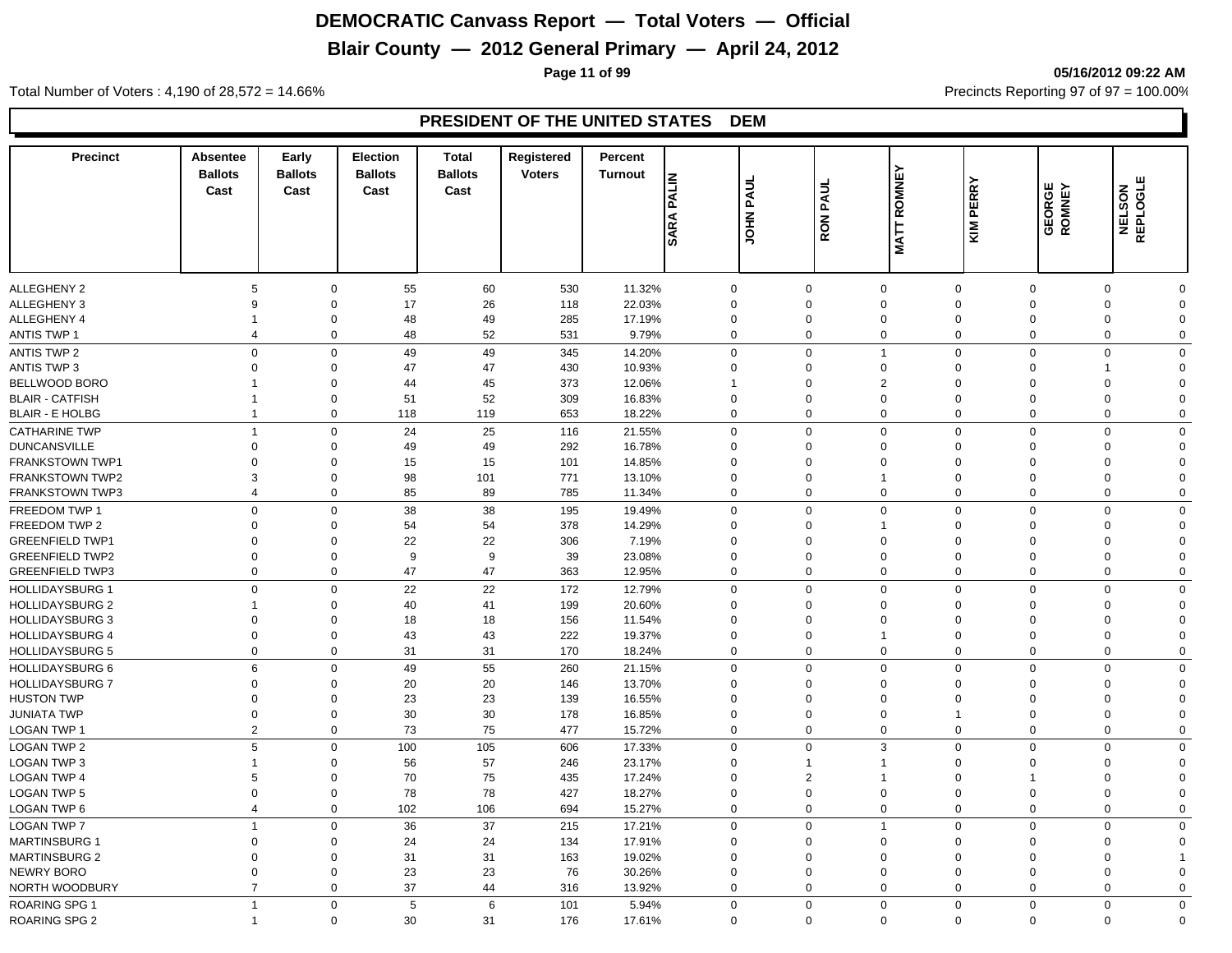## **Blair County — 2012 General Primary — April 24, 2012**

**Page 11 of 99 05/16/2012 09:22 AM**

Total Number of Voters : 4,190 of 28,572 = 14.66% Precincts Reporting 97 of 97 = 100.00%

| <b>Precinct</b>                                | Absentee<br><b>Ballots</b><br>Cast | Early<br><b>Ballots</b><br>Cast | <b>Election</b><br><b>Ballots</b><br>Cast | <b>Total</b><br><b>Ballots</b><br>Cast | Registered<br><b>Voters</b> | Percent<br><b>Turnout</b> | <b>PALIN</b><br><b>SARA</b> | <b>JOHN PAUL</b> | PAUL<br><b>RON</b>   | <b>ROMNEY</b><br><b>MATT</b> | KIM PERRY                  | <b>GEORGE</b><br>ROMNEY    | NELSON<br>REPLOGLE      |                         |
|------------------------------------------------|------------------------------------|---------------------------------|-------------------------------------------|----------------------------------------|-----------------------------|---------------------------|-----------------------------|------------------|----------------------|------------------------------|----------------------------|----------------------------|-------------------------|-------------------------|
|                                                |                                    |                                 |                                           |                                        |                             |                           |                             |                  |                      |                              |                            |                            |                         |                         |
|                                                |                                    |                                 |                                           |                                        |                             |                           |                             |                  |                      |                              |                            |                            |                         |                         |
| <b>ALLEGHENY 2</b>                             | 5                                  | $\mathbf 0$                     | 55                                        | 60                                     | 530                         | 11.32%                    | $\mathbf 0$                 |                  | $\mathbf 0$          | $\mathbf 0$                  | $\mathbf 0$                | $\mathbf 0$                | $\Omega$                | $\mathbf 0$             |
| ALLEGHENY 3                                    | $\mathbf{Q}$                       | $\mathbf 0$                     | 17                                        | 26                                     | 118                         | 22.03%                    | $\mathbf 0$                 |                  | $\Omega$             | $\Omega$                     | $\Omega$                   | $\Omega$                   | $\Omega$                | $\mathbf 0$             |
| ALLEGHENY 4                                    | $\mathbf 1$                        | $\mathbf 0$                     | 48                                        | 49                                     | 285                         | 17.19%                    | $\mathbf 0$                 |                  | $\Omega$<br>$\Omega$ | $\mathbf 0$                  | 0<br>$\mathbf 0$           | $\mathbf 0$                | $\Omega$                | $\mathbf 0$             |
| <b>ANTIS TWP 1</b>                             | $\overline{4}$                     | $\overline{0}$                  | 48                                        | 52                                     | 531                         | 9.79%                     | $\mathbf 0$                 |                  |                      | $\mathbf 0$                  |                            | $\mathbf 0$                | 0                       | $\mathbf 0$             |
| <b>ANTIS TWP 2</b>                             | $\mathbf 0$                        | $\overline{0}$                  | 49                                        | 49                                     | 345                         | 14.20%                    | $\mathbf 0$                 |                  | $\mathbf 0$          | $\overline{1}$               | $\Omega$                   | $\mathbf 0$                | $\mathbf 0$             | $\mathbf 0$             |
| <b>ANTIS TWP 3</b>                             | $\Omega$                           | $\mathbf 0$                     | 47                                        | 47                                     | 430                         | 10.93%                    | $\Omega$                    |                  | $\Omega$             | $\Omega$                     | $\Omega$                   | $\Omega$                   |                         | $\mathbf 0$             |
| <b>BELLWOOD BORO</b><br><b>BLAIR - CATFISH</b> |                                    | $\mathbf 0$<br>$\mathbf 0$      | 44                                        | 45<br>52                               | 373<br>309                  | 12.06%                    | 1<br>$\Omega$               |                  | $\Omega$<br>$\Omega$ | $\overline{2}$<br>$\Omega$   | $\Omega$<br>$\Omega$       | $\Omega$<br>$\Omega$       | $\Omega$                | $\mathbf 0$<br>$\Omega$ |
| <b>BLAIR - E HOLBG</b>                         | $\mathbf{1}$                       | $\overline{0}$                  | 51<br>118                                 | 119                                    | 653                         | 16.83%<br>18.22%          | $\Omega$                    |                  | $\Omega$             | $\mathbf 0$                  | $\Omega$                   | $\mathbf 0$                | $\Omega$<br>$\mathbf 0$ | $\mathbf 0$             |
|                                                |                                    |                                 |                                           |                                        |                             |                           |                             |                  |                      |                              |                            |                            |                         |                         |
| <b>CATHARINE TWP</b>                           | $\overline{1}$                     | $\overline{0}$                  | 24                                        | 25                                     | 116                         | 21.55%                    | $\mathbf 0$                 |                  | $\Omega$             | $\mathbf 0$                  | $\mathbf 0$                | $\mathbf 0$                | $\mathbf 0$             | $\mathbf 0$             |
| <b>DUNCANSVILLE</b>                            | $\Omega$                           | $\mathbf 0$                     | 49                                        | 49                                     | 292                         | 16.78%                    | $\mathbf 0$                 |                  | $\Omega$             | $\Omega$                     | $\Omega$                   | $\Omega$                   | $\Omega$                | $\mathbf 0$             |
| <b>FRANKSTOWN TWP1</b>                         | $\Omega$                           | $\mathbf 0$                     | 15                                        | 15                                     | 101                         | 14.85%                    | $\mathbf 0$                 |                  | $\Omega$<br>$\Omega$ | $\Omega$                     | $\Omega$                   | $\Omega$                   | $\Omega$                | $\mathbf 0$             |
| FRANKSTOWN TWP2                                | 3                                  | $\mathbf 0$                     | 98                                        | 101                                    | 771                         | 13.10%                    | $\mathbf 0$<br>$\mathbf 0$  |                  | $\Omega$             | 1<br>$\mathbf 0$             | $\mathbf 0$<br>$\mathbf 0$ | $\mathbf 0$<br>$\mathbf 0$ | $\Omega$                | $\mathbf 0$             |
| <b>FRANKSTOWN TWP3</b>                         | $\overline{4}$                     | $\overline{0}$                  | 85                                        | 89                                     | 785                         | 11.34%                    |                             |                  |                      |                              |                            |                            | $\mathbf 0$             | $\mathbf 0$             |
| FREEDOM TWP 1                                  | $\Omega$                           | $\mathbf 0$                     | 38                                        | 38                                     | 195                         | 19.49%                    | $\mathbf 0$                 |                  | $\Omega$             | $\Omega$                     | $\Omega$                   | $\mathbf 0$                | $\mathbf 0$             | $\mathbf 0$             |
| FREEDOM TWP 2                                  | $\Omega$                           | $\mathbf 0$                     | 54                                        | 54                                     | 378                         | 14.29%                    | $\Omega$                    |                  | $\Omega$             | -1                           | $\Omega$                   | $\Omega$                   | $\Omega$                | $\mathbf 0$             |
| <b>GREENFIELD TWP1</b>                         | $\Omega$                           | $\overline{0}$                  | 22                                        | 22                                     | 306                         | 7.19%                     | $\Omega$                    |                  | $\Omega$             | $\Omega$                     | $\Omega$                   | $\Omega$                   | $\Omega$                | $\mathbf 0$             |
| <b>GREENFIELD TWP2</b>                         | $\Omega$                           | $\mathbf 0$                     | 9<br>47                                   | 9<br>47                                | 39                          | 23.08%                    | $\Omega$<br>$\Omega$        |                  | $\Omega$<br>$\Omega$ | $\Omega$                     | $\Omega$<br>$\Omega$       | $\mathbf 0$                | $\Omega$                | $\Omega$                |
| <b>GREENFIELD TWP3</b>                         | $\mathbf 0$                        | $\mathbf 0$                     |                                           |                                        | 363                         | 12.95%                    |                             |                  |                      | $\mathbf 0$                  |                            | $\mathbf 0$                | $\mathbf 0$             | $\mathbf 0$             |
| <b>HOLLIDAYSBURG 1</b>                         | $\mathbf 0$                        | $\mathbf 0$                     | 22                                        | 22                                     | 172                         | 12.79%                    | $\mathbf 0$                 |                  | $\Omega$             | $\Omega$                     | $\mathbf 0$                | $\mathbf 0$                | $\mathbf 0$             | $\mathbf 0$             |
| <b>HOLLIDAYSBURG 2</b>                         |                                    | $\mathbf 0$                     | 40                                        | 41                                     | 199                         | 20.60%                    | $\mathbf 0$                 |                  | $\Omega$             | $\Omega$                     | $\Omega$                   | $\Omega$                   | $\Omega$                | $\mathbf 0$             |
| <b>HOLLIDAYSBURG 3</b>                         | $\Omega$                           | $\mathbf 0$                     | 18                                        | 18                                     | 156                         | 11.54%                    | $\Omega$                    |                  | $\Omega$             | $\Omega$                     | $\Omega$                   | $\Omega$                   | $\Omega$                | $\mathbf 0$             |
| <b>HOLLIDAYSBURG 4</b>                         | $\Omega$                           | $\mathbf 0$                     | 43                                        | 43                                     | 222                         | 19.37%                    | $\mathbf 0$                 |                  | $\Omega$             | 1                            | $\mathbf 0$                | $\mathbf 0$                | $\Omega$                | $\mathbf 0$             |
| <b>HOLLIDAYSBURG 5</b>                         | $\mathbf 0$                        | $\mathbf 0$                     | 31                                        | 31                                     | 170                         | 18.24%                    | $\mathbf 0$                 |                  | $\Omega$             | $\mathbf 0$                  | $\mathbf 0$                | $\mathbf 0$                | $\mathbf 0$             | $\mathbf 0$             |
| HOLLIDAYSBURG 6                                | $\,6\,$                            | $\mathbf 0$                     | 49                                        | 55                                     | 260                         | 21.15%                    | $\Omega$                    |                  | $\Omega$             | $\Omega$                     | $\Omega$                   | $\mathbf 0$                | $\Omega$                | $\mathbf 0$             |
| <b>HOLLIDAYSBURG 7</b>                         | $\Omega$                           | $\mathbf 0$                     | 20                                        | 20                                     | 146                         | 13.70%                    | $\Omega$                    |                  | $\Omega$             | $\Omega$                     | $\Omega$                   | $\Omega$                   | $\Omega$                | $\mathbf 0$             |
| <b>HUSTON TWP</b>                              | $\Omega$                           | $\mathbf 0$                     | 23                                        | 23                                     | 139                         | 16.55%                    | $\Omega$                    |                  | $\Omega$             | $\Omega$                     | $\Omega$                   | $\Omega$                   | $\Omega$                | $\mathbf 0$             |
| JUNIATA TWP                                    | $\Omega$                           | $\mathbf 0$                     | 30                                        | 30                                     | 178                         | 16.85%                    | $\Omega$                    |                  | $\Omega$             | $\Omega$                     | 1                          | $\mathbf 0$                | $\Omega$                | $\Omega$                |
| LOGAN TWP 1                                    | $\overline{2}$                     | $\mathbf 0$                     | 73                                        | 75                                     | 477                         | 15.72%                    | $\mathbf 0$                 |                  | $\mathbf 0$          | $\mathbf 0$                  | $\mathbf 0$                | $\mathbf 0$                | 0                       | $\mathbf 0$             |
| <b>LOGAN TWP 2</b>                             | 5                                  | $\mathbf 0$                     | 100                                       | 105                                    | 606                         | 17.33%                    | $\Omega$                    |                  | $\Omega$             | 3                            | $\mathbf 0$                | $\mathbf 0$                | $\Omega$                | $\mathbf 0$             |
| <b>LOGAN TWP 3</b>                             |                                    | $\mathbf 0$                     | 56                                        | 57                                     | 246                         | 23.17%                    | $\Omega$                    |                  |                      | 1                            | $\Omega$                   | $\Omega$                   | $\Omega$                | $\mathbf 0$             |
| <b>LOGAN TWP 4</b>                             | 5                                  | $\mathbf 0$                     | 70                                        | 75                                     | 435                         | 17.24%                    | $\mathbf 0$                 |                  | $\overline{2}$       | 1                            | $\mathbf 0$                | 1                          | $\Omega$                | $\mathbf 0$             |
| <b>LOGAN TWP 5</b>                             | $\Omega$                           | $\mathbf 0$                     | 78                                        | 78                                     | 427                         | 18.27%                    | $\mathbf 0$                 |                  | $\Omega$             | $\mathbf 0$                  | $\mathbf 0$                | $\mathbf 0$                | $\Omega$                | $\mathbf 0$             |
| <b>LOGAN TWP 6</b>                             | $\overline{4}$                     | $\mathbf 0$                     | 102                                       | 106                                    | 694                         | 15.27%                    | $\mathbf 0$                 |                  | $\mathbf 0$          | $\mathbf 0$                  | $\mathbf 0$                | $\mathbf 0$                | $\mathbf 0$             | $\mathbf 0$             |
| <b>LOGAN TWP 7</b>                             | $\overline{1}$                     | $\mathbf 0$                     | 36                                        | 37                                     | 215                         | 17.21%                    | $\mathbf 0$                 |                  | $\Omega$             | $\overline{1}$               | $\Omega$                   | $\Omega$                   | $\Omega$                | $\mathbf 0$             |
| <b>MARTINSBURG 1</b>                           | $\Omega$                           | $\overline{0}$                  | 24                                        | 24                                     | 134                         | 17.91%                    | $\mathbf 0$                 |                  | $\Omega$             | $\mathbf 0$                  | $\mathbf 0$                | $\mathbf 0$                | $\Omega$                | $\mathbf 0$             |
| <b>MARTINSBURG 2</b>                           | $\Omega$                           | $\mathbf 0$                     | 31                                        | 31                                     | 163                         | 19.02%                    | $\mathbf 0$                 |                  | $\Omega$             | $\mathbf 0$                  | $\mathbf 0$                | $\mathbf 0$                | $\Omega$                |                         |
| NEWRY BORO                                     | $\Omega$                           | $\mathbf 0$                     | 23                                        | 23                                     | 76                          | 30.26%                    | $\mathbf 0$                 |                  | $\Omega$             | 0                            | $\mathbf 0$                | $\mathbf 0$                | $\Omega$                | $\mathbf 0$             |
| NORTH WOODBURY                                 | $\overline{7}$                     | $\mathbf 0$                     | 37                                        | 44                                     | 316                         | 13.92%                    | $\mathbf 0$                 |                  | $\mathbf 0$          | $\mathbf 0$                  | $\mathbf 0$                | $\mathbf 0$                | $\Omega$                | $\mathbf 0$             |
| <b>ROARING SPG 1</b>                           | $\overline{1}$                     | $\mathbf 0$                     | 5                                         | 6                                      | 101                         | 5.94%                     | $\Omega$                    |                  | $\Omega$             | $\mathbf 0$                  | $\mathbf 0$                | $\mathbf 0$                | $\mathbf 0$             | $\mathbf 0$             |
| <b>ROARING SPG 2</b>                           | $\overline{1}$                     | $\mathbf 0$                     | 30                                        | 31                                     | 176                         | 17.61%                    | $\Omega$                    |                  | $\Omega$             | $\mathbf 0$                  | $\Omega$                   | $\mathbf 0$                | $\Omega$                | $\Omega$                |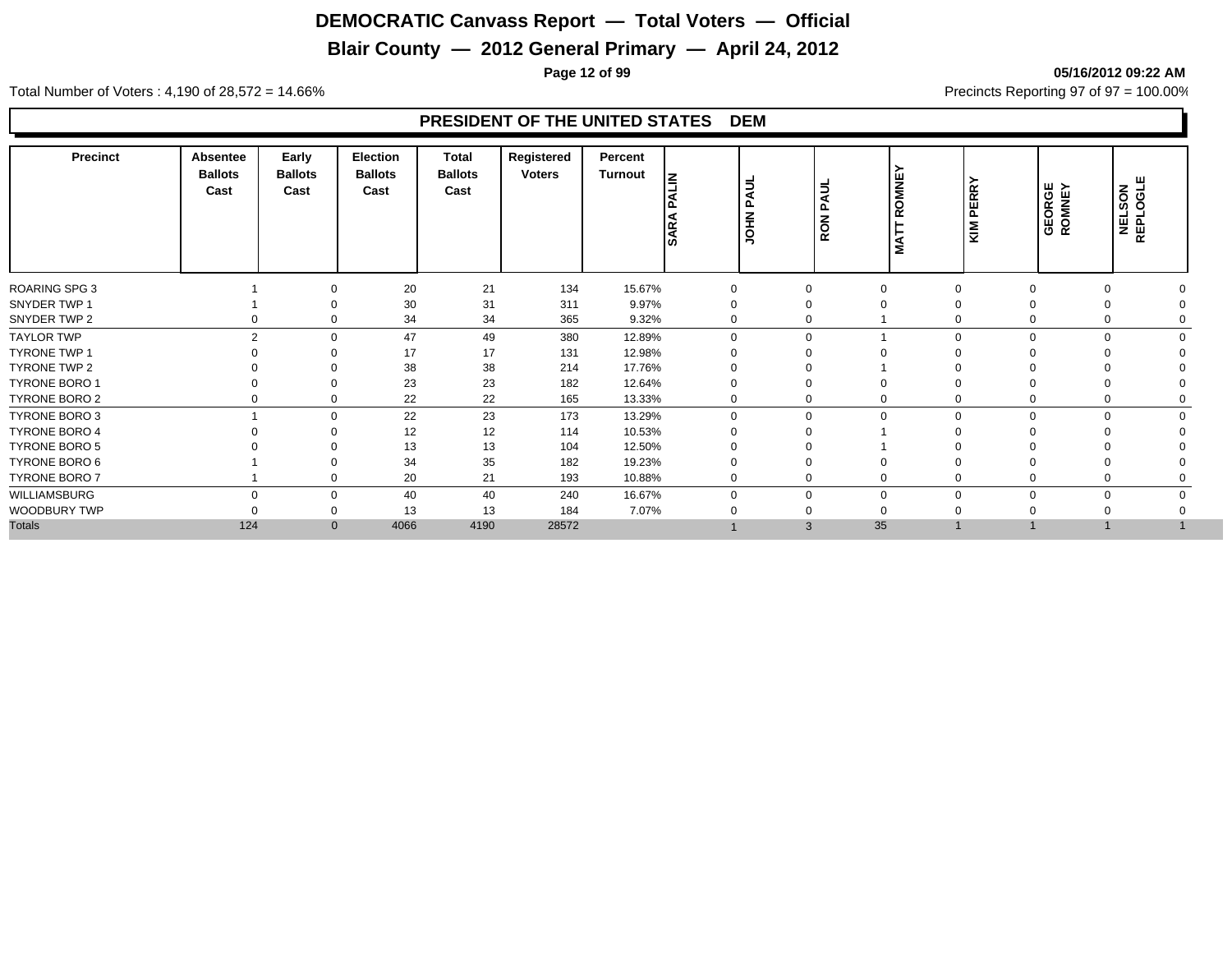### **Blair County — 2012 General Primary — April 24, 2012**

**Page 12 of 99 05/16/2012 09:22 AM**

Total Number of Voters : 4,190 of 28,572 = 14.66% Precincts Reporting 97 of 97 = 100.00%

| <b>Precinct</b>      | <b>Absentee</b><br><b>Ballots</b><br>Cast | Early<br><b>Ballots</b><br>Cast | Election<br><b>Ballots</b><br>Cast | Total<br><b>Ballots</b><br>Cast | Registered<br><b>Voters</b> | Percent<br><b>Turnout</b> | <b>NTIK</b><br>۱ñ<br><b>SARA</b> | PAUL<br><b>ININO</b> | $\equiv$<br>⋖<br>௳<br>z<br><b>Q</b> | ш<br>Š<br>C | ∣≻<br><b>PERR</b><br>∣§  | <b>GEORGE</b><br>ROMNEY | NELSON<br>REPLOGLE   |
|----------------------|-------------------------------------------|---------------------------------|------------------------------------|---------------------------------|-----------------------------|---------------------------|----------------------------------|----------------------|-------------------------------------|-------------|--------------------------|-------------------------|----------------------|
| <b>ROARING SPG 3</b> |                                           |                                 | 20                                 | 21                              | 134                         | 15.67%                    | 0                                |                      |                                     | $\Omega$    | $\Omega$                 | $\Omega$                |                      |
| SNYDER TWP 1         |                                           |                                 | 30                                 | 31                              | 311                         | 9.97%                     | $\Omega$                         |                      |                                     |             |                          |                         |                      |
| SNYDER TWP 2         |                                           | 0                               | 34                                 | 34                              | 365                         | 9.32%                     | 0                                | $\mathbf 0$          |                                     |             |                          |                         |                      |
| <b>TAYLOR TWP</b>    | C                                         | $\Omega$                        | 47                                 | 49                              | 380                         | 12.89%                    | $\Omega$                         |                      | $\Omega$                            |             | $\Omega$<br>$\Omega$     |                         | $\Omega$             |
| TYRONE TWP 1         |                                           |                                 | 17                                 | 17                              | 131                         | 12.98%                    | $\Omega$                         |                      |                                     |             |                          |                         |                      |
| TYRONE TWP 2         |                                           |                                 | 38                                 | 38                              | 214                         | 17.76%                    | $\Omega$                         |                      |                                     |             |                          |                         |                      |
| <b>TYRONE BORO 1</b> |                                           | 0                               | 23                                 | 23                              | 182                         | 12.64%                    | $\Omega$                         |                      |                                     |             |                          |                         |                      |
| TYRONE BORO 2        |                                           | 0                               | 22                                 | 22                              | 165                         | 13.33%                    | $\mathbf 0$                      |                      | 0                                   | 0           | $\Omega$<br>0            |                         |                      |
| TYRONE BORO 3        |                                           | $\mathbf{0}$                    | 22                                 | 23                              | 173                         | 13.29%                    | $\mathbf 0$                      |                      | $\Omega$                            | $\mathbf 0$ | $\mathbf{0}$<br>$\Omega$ |                         | $\Omega$<br>$\Omega$ |
| TYRONE BORO 4        |                                           |                                 | 12                                 | 12                              | 114                         | 10.53%                    | ∩                                |                      |                                     |             |                          |                         |                      |
| <b>TYRONE BORO 5</b> |                                           |                                 | 13                                 | 13                              | 104                         | 12.50%                    |                                  |                      |                                     |             |                          |                         |                      |
| TYRONE BORO 6        |                                           |                                 | 34                                 | 35                              | 182                         | 19.23%                    | $\Omega$                         |                      |                                     |             |                          |                         |                      |
| TYRONE BORO 7        |                                           | 0                               | 20                                 | 21                              | 193                         | 10.88%                    | $\Omega$                         | $\mathbf 0$          |                                     | 0           | $\Omega$                 |                         |                      |
| WILLIAMSBURG         | $\Omega$                                  | $\Omega$                        | 40                                 | 40                              | 240                         | 16.67%                    | $\Omega$                         |                      | $\Omega$                            | $\mathbf 0$ | $\Omega$<br>$\Omega$     | $\Omega$                |                      |
| WOODBURY TWP         |                                           | 0                               | 13                                 | 13                              | 184                         | 7.07%                     |                                  |                      |                                     | 0           |                          |                         |                      |
| <b>Totals</b>        | 124                                       | $\mathbf{0}$                    | 4066                               | 4190                            | 28572                       |                           |                                  |                      | 35<br>$\mathbf{3}$                  |             |                          |                         |                      |
|                      |                                           |                                 |                                    |                                 |                             |                           |                                  |                      |                                     |             |                          |                         |                      |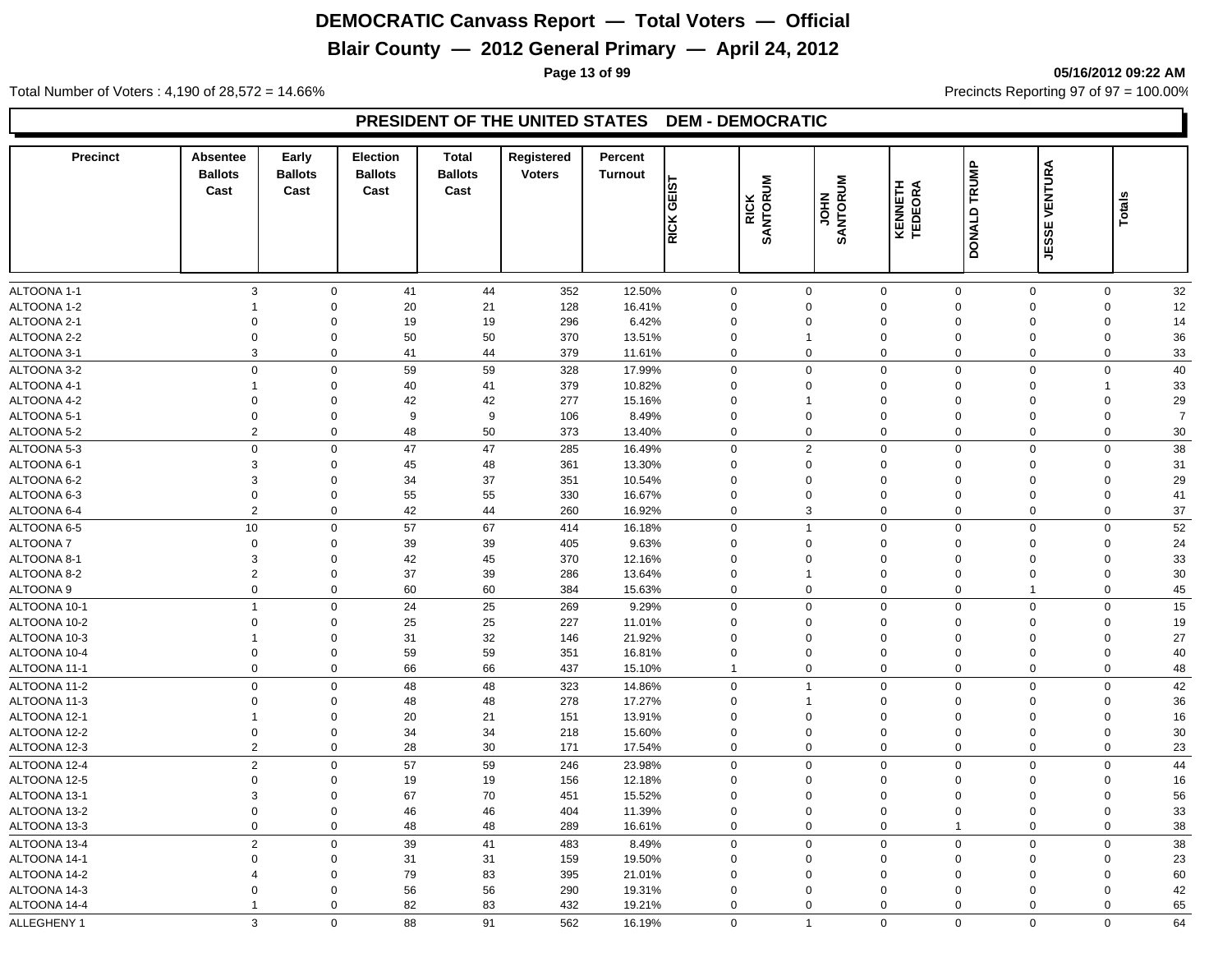## **Blair County — 2012 General Primary — April 24, 2012**

**Page 13 of 99 05/16/2012 09:22 AM**

Total Number of Voters : 4,190 of 28,572 = 14.66% Precincts Reporting 97 of 97 = 100.00%

#### **PRESIDENT OF THE UNITED STATES DEM - DEMOCRATIC**

| <b>JESSI</b><br>$\mathbf{3}$<br>32<br>$\mathbf 0$<br>41<br>44<br>352<br>12.50%<br>$\mathbf 0$<br>$\mathbf 0$<br>$\mathbf 0$<br>$\mathbf 0$<br>$\mathbf 0$<br>$\mathbf 0$<br>$\mathbf 0$<br>20<br>21<br>128<br>16.41%<br>$\Omega$<br>$\mathbf 0$<br>$\mathbf 0$<br>$\mathbf 0$<br>12<br>0<br>$\mathbf 0$<br>-1<br>$\mathbf 0$<br>19<br>19<br>296<br>6.42%<br>$\Omega$<br>$\mathbf 0$<br>$\mathbf 0$<br>14<br>$\Omega$<br>$\Omega$<br>$\mathbf 0$<br>$\Omega$<br>50<br>36<br>$\Omega$<br>$\mathbf 0$<br>50<br>370<br>$\Omega$<br>$\mathbf 0$<br>$\Omega$<br>$\mathbf 0$<br>13.51%<br>$\Omega$<br>-1<br>3<br>379<br>$\mathbf 0$<br>$\mathbf 0$<br>$\mathbf 0$<br>33<br>ALTOONA 3-1<br>$\mathbf 0$<br>41<br>44<br>11.61%<br>$\Omega$<br>$\mathbf 0$<br>$\mathbf 0$<br>40<br>$\mathbf 0$<br>$\mathbf 0$<br>59<br>59<br>328<br>17.99%<br>$\Omega$<br>$\mathbf 0$<br>$\mathbf 0$<br>$\mathbf 0$<br>$\mathbf 0$<br>$\mathbf 0$<br>$\mathbf 0$<br>40<br>41<br>379<br>10.82%<br>$\Omega$<br>$\mathbf 0$<br>$\mathbf 0$<br>33<br>0<br>$\Omega$<br>$\overline{1}$<br>-1<br>42<br>277<br>29<br>$\Omega$<br>42<br>$\Omega$<br>$\mathbf{0}$<br>$\mathbf 0$<br>$\Omega$<br>15.16%<br>$\Omega$<br>$\Omega$<br>-1<br>9<br>106<br>$\mathbf 0$<br>$\overline{7}$<br>$\Omega$<br>$\mathbf 0$<br>9<br>8.49%<br>$\Omega$<br>$\Omega$<br>$\mathbf 0$<br>$\Omega$<br>$\Omega$<br>$\overline{2}$<br>$\mathbf 0$<br>48<br>50<br>373<br>$\mathbf 0$<br>$\mathbf 0$<br>$\mathbf 0$<br>$\mathbf 0$<br>30<br>13.40%<br>0<br>$\mathbf 0$<br>$38\,$<br>$\mathbf 0$<br>47<br>47<br>$\overline{2}$<br>$\mathbf 0$<br>$\mathbf 0$<br>$\mathbf 0$<br>$\mathbf 0$<br>285<br>16.49%<br>$\Omega$<br>$\mathbf 0$<br>3<br>$\mathbf 0$<br>45<br>48<br>361<br>13.30%<br>$\mathbf{0}$<br>31<br>$\Omega$<br>$\Omega$<br>$\Omega$<br>$\Omega$<br>$\mathbf 0$<br>3<br>37<br>29<br>$\Omega$<br>34<br>351<br>10.54%<br>$\Omega$<br>$\Omega$<br>$\mathbf 0$<br>$\Omega$<br>$\Omega$<br>0<br>$\mathbf 0$<br>$\mathbf 0$<br>55<br>55<br>330<br>$\mathbf 0$<br>$\mathbf 0$<br>$\mathbf 0$<br>$\mathbf 0$<br>41<br>16.67%<br>$\mathbf 0$<br>$\mathbf 0$<br>$\overline{2}$<br>42<br>44<br>3<br>37<br>$\mathbf 0$<br>260<br>16.92%<br>$\mathbf 0$<br>$\mathbf 0$<br>$\mathbf 0$<br>$\mathbf 0$<br>0<br>52<br>$10$<br>57<br>67<br>$\mathbf{0}$<br>$\mathbf 0$<br>$\mathbf 0$<br>414<br>$\Omega$<br>$\overline{1}$<br>$\mathbf 0$<br>$\Omega$<br>16.18%<br>39<br>39<br>$\Omega$<br>$\mathbf 0$<br>405<br>9.63%<br>$\Omega$<br>$\Omega$<br>$\mathbf{0}$<br>$\Omega$<br>$\Omega$<br>$\mathbf 0$<br>24<br>3<br>42<br>45<br>370<br>$\mathbf 0$<br>$\mathbf 0$<br>$\mathbf 0$<br>33<br>$\mathbf 0$<br>12.16%<br>$\mathbf 0$<br>$\mathbf 0$<br>$\mathbf 0$<br>$\overline{2}$<br>37<br>39<br>30<br>$\mathbf 0$<br>286<br>13.64%<br>$\mathbf 0$<br>$\mathbf 0$<br>$\mathbf 0$<br>$\mathbf 0$<br>0<br>$\mathbf{1}$<br>$\mathbf 0$<br>60<br>60<br>$\mathbf 0$<br>45<br>$\mathbf 0$<br>384<br>15.63%<br>$\mathbf 0$<br>0<br>$\mathbf 0$<br>$\overline{1}$<br>0<br>$\overline{1}$<br>$\mathbf 0$<br>24<br>25<br>269<br>$\mathbf 0$<br>$\mathbf 0$<br>$\mathbf 0$<br>$15\,$<br>9.29%<br>$\Omega$<br>$\mathbf 0$<br>$\mathbf{0}$<br>$\mathbf 0$<br>25<br>25<br>227<br>$\mathbf 0$<br>$\mathbf 0$<br>19<br>$\mathbf 0$<br>11.01%<br>$\mathbf 0$<br>$\mathbf 0$<br>$\mathbf 0$<br>0<br>31<br>32<br>27<br>$\mathbf 0$<br>146<br>21.92%<br>$\mathbf 0$<br>$\mathbf 0$<br>$\mathbf 0$<br>$\mathbf 0$<br>$\mathbf 0$<br>0<br>$\mathbf 1$<br>59<br>59<br>$\mathbf 0$<br>40<br>$\mathbf 0$<br>$\mathbf 0$<br>351<br>16.81%<br>$\mathbf 0$<br>$\mathbf 0$<br>$\mathbf 0$<br>$\mathbf 0$<br>0<br>$\mathbf 0$<br>$\mathbf 0$<br>66<br>66<br>437<br>$\mathbf 0$<br>$\mathbf 0$<br>$\mathbf 0$<br>$\overline{0}$<br>$\mathbf 0$<br>48<br>15.10%<br>48<br>42<br>$\Omega$<br>$\mathbf 0$<br>48<br>323<br>14.86%<br>$\Omega$<br>$\overline{1}$<br>$\mathbf 0$<br>$\mathbf 0$<br>$\mathbf 0$<br>$\mathbf 0$<br>48<br>36<br>0<br>$\mathbf 0$<br>48<br>278<br>17.27%<br>$\mathbf 0$<br>$\mathbf{1}$<br>$\mathbf 0$<br>$\mathbf 0$<br>$\mathbf 0$<br>0<br>21<br>$\mathbf 0$<br>20<br>151<br>13.91%<br>$\mathbf 0$<br>$\mathbf 0$<br>$\mathbf 0$<br>$\mathbf 0$<br>$\mathbf 0$<br>0<br>16<br>$\overline{1}$<br>$\overline{0}$<br>34<br>34<br>$\mathbf 0$<br>30<br>$\mathbf 0$<br>218<br>15.60%<br>$\mathbf 0$<br>$\mathbf 0$<br>$\mathbf 0$<br>$\mathbf 0$<br>0<br>$\overline{2}$<br>30<br>23<br>$\mathbf 0$<br>28<br>171<br>$\Omega$<br>$\mathbf 0$<br>$\mathbf 0$<br>$\mathbf 0$<br>$\mathbf 0$<br>$\mathbf 0$<br>17.54%<br>2<br>$\mathbf 0$<br>57<br>59<br>$\mathbf 0$<br>$\overline{0}$<br>44<br>246<br>23.98%<br>$\mathbf 0$<br>0<br>$\mathbf 0$<br>0<br>$\mathbf 0$<br>$\mathbf 0$<br>19<br>19<br>156<br>12.18%<br>$\mathbf 0$<br>$\mathbf 0$<br>$\mathbf 0$<br>0<br>16<br>$\mathbf 0$<br>$\mathbf 0$<br>3<br>70<br>56<br>$\mathbf 0$<br>67<br>451<br>15.52%<br>$\mathbf 0$<br>$\mathbf 0$<br>$\mathbf 0$<br>$\Omega$<br>$\mathbf 0$<br>0<br>33<br>$\overline{0}$<br>$\mathbf 0$<br>46<br>46<br>404<br>$\mathbf 0$<br>$\mathbf 0$<br>$\mathbf 0$<br>$\mathbf 0$<br>$\overline{0}$<br>$\mathbf 0$<br>11.39%<br>$\mathbf 0$<br>$\mathbf 0$<br>48<br>48<br>289<br>16.61%<br>$\Omega$<br>$\mathbf 0$<br>$\mathbf 0$<br>$\mathbf 0$<br>$\mathbf 0$<br>38<br>$\overline{1}$<br>$\overline{2}$<br>38<br>39<br>41<br>483<br>$\mathbf 0$<br>$\mathbf 0$<br>$\mathbf 0$<br>8.49%<br>$\mathbf 0$<br>$\mathbf 0$<br>$\mathbf 0$<br>0<br>31<br>23<br>$\Omega$<br>$\mathbf 0$<br>31<br>159<br>19.50%<br>$\mathbf 0$<br>$\mathbf 0$<br>$\mathbf 0$<br>$\Omega$<br>$\mathbf 0$<br>0<br>60<br>79<br>83<br>$\mathbf 0$<br>$\Omega$<br>395<br>21.01%<br>$\mathbf 0$<br>$\Omega$<br>$\mathbf 0$<br>$\Omega$<br>$\Omega$<br>$\overline{4}$<br>$\mathbf 0$<br>56<br>56<br>290<br>19.31%<br>$\mathbf 0$<br>$\mathbf 0$<br>$\Omega$<br>$\overline{0}$<br>$\mathbf 0$<br>42<br>$\Omega$<br>$\mathbf 0$<br>432<br>$\Omega$<br>82<br>83<br>19.21%<br>$\Omega$<br>$\mathbf 0$<br>$\mathbf 0$<br>$\Omega$<br>$\mathbf 0$<br>$\mathbf 0$<br>65<br>$\mathbf{1}$<br>3<br>$\mathbf{0}$<br>64<br>$\Omega$<br>88<br>91<br>562<br>$\mathbf 0$<br>$\overline{1}$<br>$\mathbf 0$<br>$\Omega$<br>$\Omega$<br>16.19% | <b>Precinct</b> | Absentee<br><b>Ballots</b><br>Cast | Early<br><b>Ballots</b><br>Cast | <b>Election</b><br><b>Ballots</b><br>Cast | <b>Total</b><br><b>Ballots</b><br>Cast | Registered<br><b>Voters</b> | Percent<br><b>Turnout</b> | GEIST<br><b>RICK</b> | <b>RICK<br/>SANTORUM</b> | <b>JOHN<br/>SANTORUM</b> | <b>KENNETH</b><br>TEDEORA | DONALD TRUMP | VENTURA<br>ш | Totals |
|--------------------------------------------------------------------------------------------------------------------------------------------------------------------------------------------------------------------------------------------------------------------------------------------------------------------------------------------------------------------------------------------------------------------------------------------------------------------------------------------------------------------------------------------------------------------------------------------------------------------------------------------------------------------------------------------------------------------------------------------------------------------------------------------------------------------------------------------------------------------------------------------------------------------------------------------------------------------------------------------------------------------------------------------------------------------------------------------------------------------------------------------------------------------------------------------------------------------------------------------------------------------------------------------------------------------------------------------------------------------------------------------------------------------------------------------------------------------------------------------------------------------------------------------------------------------------------------------------------------------------------------------------------------------------------------------------------------------------------------------------------------------------------------------------------------------------------------------------------------------------------------------------------------------------------------------------------------------------------------------------------------------------------------------------------------------------------------------------------------------------------------------------------------------------------------------------------------------------------------------------------------------------------------------------------------------------------------------------------------------------------------------------------------------------------------------------------------------------------------------------------------------------------------------------------------------------------------------------------------------------------------------------------------------------------------------------------------------------------------------------------------------------------------------------------------------------------------------------------------------------------------------------------------------------------------------------------------------------------------------------------------------------------------------------------------------------------------------------------------------------------------------------------------------------------------------------------------------------------------------------------------------------------------------------------------------------------------------------------------------------------------------------------------------------------------------------------------------------------------------------------------------------------------------------------------------------------------------------------------------------------------------------------------------------------------------------------------------------------------------------------------------------------------------------------------------------------------------------------------------------------------------------------------------------------------------------------------------------------------------------------------------------------------------------------------------------------------------------------------------------------------------------------------------------------------------------------------------------------------------------------------------------------------------------------------------------------------------------------------------------------------------------------------------------------------------------------------------------------------------------------------------------------------------------------------------------------------------------------------------------------------------------------------------------------------------------------------------------------------------------------------------------------------------------------------------------------------------------------------------------------------------------------------------------------------------------------------------------------------------------------------------------------------------------------------------------------------------------------------------------------------------------------------------------------------------------------------------------------------------------------------------------------------------------------------------------------------------------------------------------------------------------------------------------------------------------------------------------------------------------------------------------------------------------------------------------------------------------------------------------------------------------------------------------------------------------------------------------------------------------------------------------------------------------------------------------------------------------------------------------------------------------------------------------------------------------------------------------------------------------------------------------------------------------------------------------------------------------------------------------------------------------------------------------------------|-----------------|------------------------------------|---------------------------------|-------------------------------------------|----------------------------------------|-----------------------------|---------------------------|----------------------|--------------------------|--------------------------|---------------------------|--------------|--------------|--------|
|                                                                                                                                                                                                                                                                                                                                                                                                                                                                                                                                                                                                                                                                                                                                                                                                                                                                                                                                                                                                                                                                                                                                                                                                                                                                                                                                                                                                                                                                                                                                                                                                                                                                                                                                                                                                                                                                                                                                                                                                                                                                                                                                                                                                                                                                                                                                                                                                                                                                                                                                                                                                                                                                                                                                                                                                                                                                                                                                                                                                                                                                                                                                                                                                                                                                                                                                                                                                                                                                                                                                                                                                                                                                                                                                                                                                                                                                                                                                                                                                                                                                                                                                                                                                                                                                                                                                                                                                                                                                                                                                                                                                                                                                                                                                                                                                                                                                                                                                                                                                                                                                                                                                                                                                                                                                                                                                                                                                                                                                                                                                                                                                                                                                                                                                                                                                                                                                                                                                                                                                                                                                                                                                                                                      |                 |                                    |                                 |                                           |                                        |                             |                           |                      |                          |                          |                           |              |              |        |
|                                                                                                                                                                                                                                                                                                                                                                                                                                                                                                                                                                                                                                                                                                                                                                                                                                                                                                                                                                                                                                                                                                                                                                                                                                                                                                                                                                                                                                                                                                                                                                                                                                                                                                                                                                                                                                                                                                                                                                                                                                                                                                                                                                                                                                                                                                                                                                                                                                                                                                                                                                                                                                                                                                                                                                                                                                                                                                                                                                                                                                                                                                                                                                                                                                                                                                                                                                                                                                                                                                                                                                                                                                                                                                                                                                                                                                                                                                                                                                                                                                                                                                                                                                                                                                                                                                                                                                                                                                                                                                                                                                                                                                                                                                                                                                                                                                                                                                                                                                                                                                                                                                                                                                                                                                                                                                                                                                                                                                                                                                                                                                                                                                                                                                                                                                                                                                                                                                                                                                                                                                                                                                                                                                                      | ALTOONA 1-1     |                                    |                                 |                                           |                                        |                             |                           |                      |                          |                          |                           |              |              |        |
|                                                                                                                                                                                                                                                                                                                                                                                                                                                                                                                                                                                                                                                                                                                                                                                                                                                                                                                                                                                                                                                                                                                                                                                                                                                                                                                                                                                                                                                                                                                                                                                                                                                                                                                                                                                                                                                                                                                                                                                                                                                                                                                                                                                                                                                                                                                                                                                                                                                                                                                                                                                                                                                                                                                                                                                                                                                                                                                                                                                                                                                                                                                                                                                                                                                                                                                                                                                                                                                                                                                                                                                                                                                                                                                                                                                                                                                                                                                                                                                                                                                                                                                                                                                                                                                                                                                                                                                                                                                                                                                                                                                                                                                                                                                                                                                                                                                                                                                                                                                                                                                                                                                                                                                                                                                                                                                                                                                                                                                                                                                                                                                                                                                                                                                                                                                                                                                                                                                                                                                                                                                                                                                                                                                      | ALTOONA 1-2     |                                    |                                 |                                           |                                        |                             |                           |                      |                          |                          |                           |              |              |        |
|                                                                                                                                                                                                                                                                                                                                                                                                                                                                                                                                                                                                                                                                                                                                                                                                                                                                                                                                                                                                                                                                                                                                                                                                                                                                                                                                                                                                                                                                                                                                                                                                                                                                                                                                                                                                                                                                                                                                                                                                                                                                                                                                                                                                                                                                                                                                                                                                                                                                                                                                                                                                                                                                                                                                                                                                                                                                                                                                                                                                                                                                                                                                                                                                                                                                                                                                                                                                                                                                                                                                                                                                                                                                                                                                                                                                                                                                                                                                                                                                                                                                                                                                                                                                                                                                                                                                                                                                                                                                                                                                                                                                                                                                                                                                                                                                                                                                                                                                                                                                                                                                                                                                                                                                                                                                                                                                                                                                                                                                                                                                                                                                                                                                                                                                                                                                                                                                                                                                                                                                                                                                                                                                                                                      | ALTOONA 2-1     |                                    |                                 |                                           |                                        |                             |                           |                      |                          |                          |                           |              |              |        |
|                                                                                                                                                                                                                                                                                                                                                                                                                                                                                                                                                                                                                                                                                                                                                                                                                                                                                                                                                                                                                                                                                                                                                                                                                                                                                                                                                                                                                                                                                                                                                                                                                                                                                                                                                                                                                                                                                                                                                                                                                                                                                                                                                                                                                                                                                                                                                                                                                                                                                                                                                                                                                                                                                                                                                                                                                                                                                                                                                                                                                                                                                                                                                                                                                                                                                                                                                                                                                                                                                                                                                                                                                                                                                                                                                                                                                                                                                                                                                                                                                                                                                                                                                                                                                                                                                                                                                                                                                                                                                                                                                                                                                                                                                                                                                                                                                                                                                                                                                                                                                                                                                                                                                                                                                                                                                                                                                                                                                                                                                                                                                                                                                                                                                                                                                                                                                                                                                                                                                                                                                                                                                                                                                                                      | ALTOONA 2-2     |                                    |                                 |                                           |                                        |                             |                           |                      |                          |                          |                           |              |              |        |
|                                                                                                                                                                                                                                                                                                                                                                                                                                                                                                                                                                                                                                                                                                                                                                                                                                                                                                                                                                                                                                                                                                                                                                                                                                                                                                                                                                                                                                                                                                                                                                                                                                                                                                                                                                                                                                                                                                                                                                                                                                                                                                                                                                                                                                                                                                                                                                                                                                                                                                                                                                                                                                                                                                                                                                                                                                                                                                                                                                                                                                                                                                                                                                                                                                                                                                                                                                                                                                                                                                                                                                                                                                                                                                                                                                                                                                                                                                                                                                                                                                                                                                                                                                                                                                                                                                                                                                                                                                                                                                                                                                                                                                                                                                                                                                                                                                                                                                                                                                                                                                                                                                                                                                                                                                                                                                                                                                                                                                                                                                                                                                                                                                                                                                                                                                                                                                                                                                                                                                                                                                                                                                                                                                                      |                 |                                    |                                 |                                           |                                        |                             |                           |                      |                          |                          |                           |              |              |        |
|                                                                                                                                                                                                                                                                                                                                                                                                                                                                                                                                                                                                                                                                                                                                                                                                                                                                                                                                                                                                                                                                                                                                                                                                                                                                                                                                                                                                                                                                                                                                                                                                                                                                                                                                                                                                                                                                                                                                                                                                                                                                                                                                                                                                                                                                                                                                                                                                                                                                                                                                                                                                                                                                                                                                                                                                                                                                                                                                                                                                                                                                                                                                                                                                                                                                                                                                                                                                                                                                                                                                                                                                                                                                                                                                                                                                                                                                                                                                                                                                                                                                                                                                                                                                                                                                                                                                                                                                                                                                                                                                                                                                                                                                                                                                                                                                                                                                                                                                                                                                                                                                                                                                                                                                                                                                                                                                                                                                                                                                                                                                                                                                                                                                                                                                                                                                                                                                                                                                                                                                                                                                                                                                                                                      | ALTOONA 3-2     |                                    |                                 |                                           |                                        |                             |                           |                      |                          |                          |                           |              |              |        |
|                                                                                                                                                                                                                                                                                                                                                                                                                                                                                                                                                                                                                                                                                                                                                                                                                                                                                                                                                                                                                                                                                                                                                                                                                                                                                                                                                                                                                                                                                                                                                                                                                                                                                                                                                                                                                                                                                                                                                                                                                                                                                                                                                                                                                                                                                                                                                                                                                                                                                                                                                                                                                                                                                                                                                                                                                                                                                                                                                                                                                                                                                                                                                                                                                                                                                                                                                                                                                                                                                                                                                                                                                                                                                                                                                                                                                                                                                                                                                                                                                                                                                                                                                                                                                                                                                                                                                                                                                                                                                                                                                                                                                                                                                                                                                                                                                                                                                                                                                                                                                                                                                                                                                                                                                                                                                                                                                                                                                                                                                                                                                                                                                                                                                                                                                                                                                                                                                                                                                                                                                                                                                                                                                                                      | ALTOONA 4-1     |                                    |                                 |                                           |                                        |                             |                           |                      |                          |                          |                           |              |              |        |
|                                                                                                                                                                                                                                                                                                                                                                                                                                                                                                                                                                                                                                                                                                                                                                                                                                                                                                                                                                                                                                                                                                                                                                                                                                                                                                                                                                                                                                                                                                                                                                                                                                                                                                                                                                                                                                                                                                                                                                                                                                                                                                                                                                                                                                                                                                                                                                                                                                                                                                                                                                                                                                                                                                                                                                                                                                                                                                                                                                                                                                                                                                                                                                                                                                                                                                                                                                                                                                                                                                                                                                                                                                                                                                                                                                                                                                                                                                                                                                                                                                                                                                                                                                                                                                                                                                                                                                                                                                                                                                                                                                                                                                                                                                                                                                                                                                                                                                                                                                                                                                                                                                                                                                                                                                                                                                                                                                                                                                                                                                                                                                                                                                                                                                                                                                                                                                                                                                                                                                                                                                                                                                                                                                                      | ALTOONA 4-2     |                                    |                                 |                                           |                                        |                             |                           |                      |                          |                          |                           |              |              |        |
|                                                                                                                                                                                                                                                                                                                                                                                                                                                                                                                                                                                                                                                                                                                                                                                                                                                                                                                                                                                                                                                                                                                                                                                                                                                                                                                                                                                                                                                                                                                                                                                                                                                                                                                                                                                                                                                                                                                                                                                                                                                                                                                                                                                                                                                                                                                                                                                                                                                                                                                                                                                                                                                                                                                                                                                                                                                                                                                                                                                                                                                                                                                                                                                                                                                                                                                                                                                                                                                                                                                                                                                                                                                                                                                                                                                                                                                                                                                                                                                                                                                                                                                                                                                                                                                                                                                                                                                                                                                                                                                                                                                                                                                                                                                                                                                                                                                                                                                                                                                                                                                                                                                                                                                                                                                                                                                                                                                                                                                                                                                                                                                                                                                                                                                                                                                                                                                                                                                                                                                                                                                                                                                                                                                      | ALTOONA 5-1     |                                    |                                 |                                           |                                        |                             |                           |                      |                          |                          |                           |              |              |        |
|                                                                                                                                                                                                                                                                                                                                                                                                                                                                                                                                                                                                                                                                                                                                                                                                                                                                                                                                                                                                                                                                                                                                                                                                                                                                                                                                                                                                                                                                                                                                                                                                                                                                                                                                                                                                                                                                                                                                                                                                                                                                                                                                                                                                                                                                                                                                                                                                                                                                                                                                                                                                                                                                                                                                                                                                                                                                                                                                                                                                                                                                                                                                                                                                                                                                                                                                                                                                                                                                                                                                                                                                                                                                                                                                                                                                                                                                                                                                                                                                                                                                                                                                                                                                                                                                                                                                                                                                                                                                                                                                                                                                                                                                                                                                                                                                                                                                                                                                                                                                                                                                                                                                                                                                                                                                                                                                                                                                                                                                                                                                                                                                                                                                                                                                                                                                                                                                                                                                                                                                                                                                                                                                                                                      | ALTOONA 5-2     |                                    |                                 |                                           |                                        |                             |                           |                      |                          |                          |                           |              |              |        |
|                                                                                                                                                                                                                                                                                                                                                                                                                                                                                                                                                                                                                                                                                                                                                                                                                                                                                                                                                                                                                                                                                                                                                                                                                                                                                                                                                                                                                                                                                                                                                                                                                                                                                                                                                                                                                                                                                                                                                                                                                                                                                                                                                                                                                                                                                                                                                                                                                                                                                                                                                                                                                                                                                                                                                                                                                                                                                                                                                                                                                                                                                                                                                                                                                                                                                                                                                                                                                                                                                                                                                                                                                                                                                                                                                                                                                                                                                                                                                                                                                                                                                                                                                                                                                                                                                                                                                                                                                                                                                                                                                                                                                                                                                                                                                                                                                                                                                                                                                                                                                                                                                                                                                                                                                                                                                                                                                                                                                                                                                                                                                                                                                                                                                                                                                                                                                                                                                                                                                                                                                                                                                                                                                                                      | ALTOONA 5-3     |                                    |                                 |                                           |                                        |                             |                           |                      |                          |                          |                           |              |              |        |
|                                                                                                                                                                                                                                                                                                                                                                                                                                                                                                                                                                                                                                                                                                                                                                                                                                                                                                                                                                                                                                                                                                                                                                                                                                                                                                                                                                                                                                                                                                                                                                                                                                                                                                                                                                                                                                                                                                                                                                                                                                                                                                                                                                                                                                                                                                                                                                                                                                                                                                                                                                                                                                                                                                                                                                                                                                                                                                                                                                                                                                                                                                                                                                                                                                                                                                                                                                                                                                                                                                                                                                                                                                                                                                                                                                                                                                                                                                                                                                                                                                                                                                                                                                                                                                                                                                                                                                                                                                                                                                                                                                                                                                                                                                                                                                                                                                                                                                                                                                                                                                                                                                                                                                                                                                                                                                                                                                                                                                                                                                                                                                                                                                                                                                                                                                                                                                                                                                                                                                                                                                                                                                                                                                                      | ALTOONA 6-1     |                                    |                                 |                                           |                                        |                             |                           |                      |                          |                          |                           |              |              |        |
|                                                                                                                                                                                                                                                                                                                                                                                                                                                                                                                                                                                                                                                                                                                                                                                                                                                                                                                                                                                                                                                                                                                                                                                                                                                                                                                                                                                                                                                                                                                                                                                                                                                                                                                                                                                                                                                                                                                                                                                                                                                                                                                                                                                                                                                                                                                                                                                                                                                                                                                                                                                                                                                                                                                                                                                                                                                                                                                                                                                                                                                                                                                                                                                                                                                                                                                                                                                                                                                                                                                                                                                                                                                                                                                                                                                                                                                                                                                                                                                                                                                                                                                                                                                                                                                                                                                                                                                                                                                                                                                                                                                                                                                                                                                                                                                                                                                                                                                                                                                                                                                                                                                                                                                                                                                                                                                                                                                                                                                                                                                                                                                                                                                                                                                                                                                                                                                                                                                                                                                                                                                                                                                                                                                      | ALTOONA 6-2     |                                    |                                 |                                           |                                        |                             |                           |                      |                          |                          |                           |              |              |        |
|                                                                                                                                                                                                                                                                                                                                                                                                                                                                                                                                                                                                                                                                                                                                                                                                                                                                                                                                                                                                                                                                                                                                                                                                                                                                                                                                                                                                                                                                                                                                                                                                                                                                                                                                                                                                                                                                                                                                                                                                                                                                                                                                                                                                                                                                                                                                                                                                                                                                                                                                                                                                                                                                                                                                                                                                                                                                                                                                                                                                                                                                                                                                                                                                                                                                                                                                                                                                                                                                                                                                                                                                                                                                                                                                                                                                                                                                                                                                                                                                                                                                                                                                                                                                                                                                                                                                                                                                                                                                                                                                                                                                                                                                                                                                                                                                                                                                                                                                                                                                                                                                                                                                                                                                                                                                                                                                                                                                                                                                                                                                                                                                                                                                                                                                                                                                                                                                                                                                                                                                                                                                                                                                                                                      | ALTOONA 6-3     |                                    |                                 |                                           |                                        |                             |                           |                      |                          |                          |                           |              |              |        |
|                                                                                                                                                                                                                                                                                                                                                                                                                                                                                                                                                                                                                                                                                                                                                                                                                                                                                                                                                                                                                                                                                                                                                                                                                                                                                                                                                                                                                                                                                                                                                                                                                                                                                                                                                                                                                                                                                                                                                                                                                                                                                                                                                                                                                                                                                                                                                                                                                                                                                                                                                                                                                                                                                                                                                                                                                                                                                                                                                                                                                                                                                                                                                                                                                                                                                                                                                                                                                                                                                                                                                                                                                                                                                                                                                                                                                                                                                                                                                                                                                                                                                                                                                                                                                                                                                                                                                                                                                                                                                                                                                                                                                                                                                                                                                                                                                                                                                                                                                                                                                                                                                                                                                                                                                                                                                                                                                                                                                                                                                                                                                                                                                                                                                                                                                                                                                                                                                                                                                                                                                                                                                                                                                                                      | ALTOONA 6-4     |                                    |                                 |                                           |                                        |                             |                           |                      |                          |                          |                           |              |              |        |
|                                                                                                                                                                                                                                                                                                                                                                                                                                                                                                                                                                                                                                                                                                                                                                                                                                                                                                                                                                                                                                                                                                                                                                                                                                                                                                                                                                                                                                                                                                                                                                                                                                                                                                                                                                                                                                                                                                                                                                                                                                                                                                                                                                                                                                                                                                                                                                                                                                                                                                                                                                                                                                                                                                                                                                                                                                                                                                                                                                                                                                                                                                                                                                                                                                                                                                                                                                                                                                                                                                                                                                                                                                                                                                                                                                                                                                                                                                                                                                                                                                                                                                                                                                                                                                                                                                                                                                                                                                                                                                                                                                                                                                                                                                                                                                                                                                                                                                                                                                                                                                                                                                                                                                                                                                                                                                                                                                                                                                                                                                                                                                                                                                                                                                                                                                                                                                                                                                                                                                                                                                                                                                                                                                                      | ALTOONA 6-5     |                                    |                                 |                                           |                                        |                             |                           |                      |                          |                          |                           |              |              |        |
|                                                                                                                                                                                                                                                                                                                                                                                                                                                                                                                                                                                                                                                                                                                                                                                                                                                                                                                                                                                                                                                                                                                                                                                                                                                                                                                                                                                                                                                                                                                                                                                                                                                                                                                                                                                                                                                                                                                                                                                                                                                                                                                                                                                                                                                                                                                                                                                                                                                                                                                                                                                                                                                                                                                                                                                                                                                                                                                                                                                                                                                                                                                                                                                                                                                                                                                                                                                                                                                                                                                                                                                                                                                                                                                                                                                                                                                                                                                                                                                                                                                                                                                                                                                                                                                                                                                                                                                                                                                                                                                                                                                                                                                                                                                                                                                                                                                                                                                                                                                                                                                                                                                                                                                                                                                                                                                                                                                                                                                                                                                                                                                                                                                                                                                                                                                                                                                                                                                                                                                                                                                                                                                                                                                      | ALTOONA 7       |                                    |                                 |                                           |                                        |                             |                           |                      |                          |                          |                           |              |              |        |
|                                                                                                                                                                                                                                                                                                                                                                                                                                                                                                                                                                                                                                                                                                                                                                                                                                                                                                                                                                                                                                                                                                                                                                                                                                                                                                                                                                                                                                                                                                                                                                                                                                                                                                                                                                                                                                                                                                                                                                                                                                                                                                                                                                                                                                                                                                                                                                                                                                                                                                                                                                                                                                                                                                                                                                                                                                                                                                                                                                                                                                                                                                                                                                                                                                                                                                                                                                                                                                                                                                                                                                                                                                                                                                                                                                                                                                                                                                                                                                                                                                                                                                                                                                                                                                                                                                                                                                                                                                                                                                                                                                                                                                                                                                                                                                                                                                                                                                                                                                                                                                                                                                                                                                                                                                                                                                                                                                                                                                                                                                                                                                                                                                                                                                                                                                                                                                                                                                                                                                                                                                                                                                                                                                                      | ALTOONA 8-1     |                                    |                                 |                                           |                                        |                             |                           |                      |                          |                          |                           |              |              |        |
|                                                                                                                                                                                                                                                                                                                                                                                                                                                                                                                                                                                                                                                                                                                                                                                                                                                                                                                                                                                                                                                                                                                                                                                                                                                                                                                                                                                                                                                                                                                                                                                                                                                                                                                                                                                                                                                                                                                                                                                                                                                                                                                                                                                                                                                                                                                                                                                                                                                                                                                                                                                                                                                                                                                                                                                                                                                                                                                                                                                                                                                                                                                                                                                                                                                                                                                                                                                                                                                                                                                                                                                                                                                                                                                                                                                                                                                                                                                                                                                                                                                                                                                                                                                                                                                                                                                                                                                                                                                                                                                                                                                                                                                                                                                                                                                                                                                                                                                                                                                                                                                                                                                                                                                                                                                                                                                                                                                                                                                                                                                                                                                                                                                                                                                                                                                                                                                                                                                                                                                                                                                                                                                                                                                      | ALTOONA 8-2     |                                    |                                 |                                           |                                        |                             |                           |                      |                          |                          |                           |              |              |        |
|                                                                                                                                                                                                                                                                                                                                                                                                                                                                                                                                                                                                                                                                                                                                                                                                                                                                                                                                                                                                                                                                                                                                                                                                                                                                                                                                                                                                                                                                                                                                                                                                                                                                                                                                                                                                                                                                                                                                                                                                                                                                                                                                                                                                                                                                                                                                                                                                                                                                                                                                                                                                                                                                                                                                                                                                                                                                                                                                                                                                                                                                                                                                                                                                                                                                                                                                                                                                                                                                                                                                                                                                                                                                                                                                                                                                                                                                                                                                                                                                                                                                                                                                                                                                                                                                                                                                                                                                                                                                                                                                                                                                                                                                                                                                                                                                                                                                                                                                                                                                                                                                                                                                                                                                                                                                                                                                                                                                                                                                                                                                                                                                                                                                                                                                                                                                                                                                                                                                                                                                                                                                                                                                                                                      | ALTOONA 9       |                                    |                                 |                                           |                                        |                             |                           |                      |                          |                          |                           |              |              |        |
|                                                                                                                                                                                                                                                                                                                                                                                                                                                                                                                                                                                                                                                                                                                                                                                                                                                                                                                                                                                                                                                                                                                                                                                                                                                                                                                                                                                                                                                                                                                                                                                                                                                                                                                                                                                                                                                                                                                                                                                                                                                                                                                                                                                                                                                                                                                                                                                                                                                                                                                                                                                                                                                                                                                                                                                                                                                                                                                                                                                                                                                                                                                                                                                                                                                                                                                                                                                                                                                                                                                                                                                                                                                                                                                                                                                                                                                                                                                                                                                                                                                                                                                                                                                                                                                                                                                                                                                                                                                                                                                                                                                                                                                                                                                                                                                                                                                                                                                                                                                                                                                                                                                                                                                                                                                                                                                                                                                                                                                                                                                                                                                                                                                                                                                                                                                                                                                                                                                                                                                                                                                                                                                                                                                      | ALTOONA 10-1    |                                    |                                 |                                           |                                        |                             |                           |                      |                          |                          |                           |              |              |        |
|                                                                                                                                                                                                                                                                                                                                                                                                                                                                                                                                                                                                                                                                                                                                                                                                                                                                                                                                                                                                                                                                                                                                                                                                                                                                                                                                                                                                                                                                                                                                                                                                                                                                                                                                                                                                                                                                                                                                                                                                                                                                                                                                                                                                                                                                                                                                                                                                                                                                                                                                                                                                                                                                                                                                                                                                                                                                                                                                                                                                                                                                                                                                                                                                                                                                                                                                                                                                                                                                                                                                                                                                                                                                                                                                                                                                                                                                                                                                                                                                                                                                                                                                                                                                                                                                                                                                                                                                                                                                                                                                                                                                                                                                                                                                                                                                                                                                                                                                                                                                                                                                                                                                                                                                                                                                                                                                                                                                                                                                                                                                                                                                                                                                                                                                                                                                                                                                                                                                                                                                                                                                                                                                                                                      | ALTOONA 10-2    |                                    |                                 |                                           |                                        |                             |                           |                      |                          |                          |                           |              |              |        |
|                                                                                                                                                                                                                                                                                                                                                                                                                                                                                                                                                                                                                                                                                                                                                                                                                                                                                                                                                                                                                                                                                                                                                                                                                                                                                                                                                                                                                                                                                                                                                                                                                                                                                                                                                                                                                                                                                                                                                                                                                                                                                                                                                                                                                                                                                                                                                                                                                                                                                                                                                                                                                                                                                                                                                                                                                                                                                                                                                                                                                                                                                                                                                                                                                                                                                                                                                                                                                                                                                                                                                                                                                                                                                                                                                                                                                                                                                                                                                                                                                                                                                                                                                                                                                                                                                                                                                                                                                                                                                                                                                                                                                                                                                                                                                                                                                                                                                                                                                                                                                                                                                                                                                                                                                                                                                                                                                                                                                                                                                                                                                                                                                                                                                                                                                                                                                                                                                                                                                                                                                                                                                                                                                                                      | ALTOONA 10-3    |                                    |                                 |                                           |                                        |                             |                           |                      |                          |                          |                           |              |              |        |
|                                                                                                                                                                                                                                                                                                                                                                                                                                                                                                                                                                                                                                                                                                                                                                                                                                                                                                                                                                                                                                                                                                                                                                                                                                                                                                                                                                                                                                                                                                                                                                                                                                                                                                                                                                                                                                                                                                                                                                                                                                                                                                                                                                                                                                                                                                                                                                                                                                                                                                                                                                                                                                                                                                                                                                                                                                                                                                                                                                                                                                                                                                                                                                                                                                                                                                                                                                                                                                                                                                                                                                                                                                                                                                                                                                                                                                                                                                                                                                                                                                                                                                                                                                                                                                                                                                                                                                                                                                                                                                                                                                                                                                                                                                                                                                                                                                                                                                                                                                                                                                                                                                                                                                                                                                                                                                                                                                                                                                                                                                                                                                                                                                                                                                                                                                                                                                                                                                                                                                                                                                                                                                                                                                                      | ALTOONA 10-4    |                                    |                                 |                                           |                                        |                             |                           |                      |                          |                          |                           |              |              |        |
|                                                                                                                                                                                                                                                                                                                                                                                                                                                                                                                                                                                                                                                                                                                                                                                                                                                                                                                                                                                                                                                                                                                                                                                                                                                                                                                                                                                                                                                                                                                                                                                                                                                                                                                                                                                                                                                                                                                                                                                                                                                                                                                                                                                                                                                                                                                                                                                                                                                                                                                                                                                                                                                                                                                                                                                                                                                                                                                                                                                                                                                                                                                                                                                                                                                                                                                                                                                                                                                                                                                                                                                                                                                                                                                                                                                                                                                                                                                                                                                                                                                                                                                                                                                                                                                                                                                                                                                                                                                                                                                                                                                                                                                                                                                                                                                                                                                                                                                                                                                                                                                                                                                                                                                                                                                                                                                                                                                                                                                                                                                                                                                                                                                                                                                                                                                                                                                                                                                                                                                                                                                                                                                                                                                      | ALTOONA 11-1    |                                    |                                 |                                           |                                        |                             |                           |                      |                          |                          |                           |              |              |        |
|                                                                                                                                                                                                                                                                                                                                                                                                                                                                                                                                                                                                                                                                                                                                                                                                                                                                                                                                                                                                                                                                                                                                                                                                                                                                                                                                                                                                                                                                                                                                                                                                                                                                                                                                                                                                                                                                                                                                                                                                                                                                                                                                                                                                                                                                                                                                                                                                                                                                                                                                                                                                                                                                                                                                                                                                                                                                                                                                                                                                                                                                                                                                                                                                                                                                                                                                                                                                                                                                                                                                                                                                                                                                                                                                                                                                                                                                                                                                                                                                                                                                                                                                                                                                                                                                                                                                                                                                                                                                                                                                                                                                                                                                                                                                                                                                                                                                                                                                                                                                                                                                                                                                                                                                                                                                                                                                                                                                                                                                                                                                                                                                                                                                                                                                                                                                                                                                                                                                                                                                                                                                                                                                                                                      | ALTOONA 11-2    |                                    |                                 |                                           |                                        |                             |                           |                      |                          |                          |                           |              |              |        |
|                                                                                                                                                                                                                                                                                                                                                                                                                                                                                                                                                                                                                                                                                                                                                                                                                                                                                                                                                                                                                                                                                                                                                                                                                                                                                                                                                                                                                                                                                                                                                                                                                                                                                                                                                                                                                                                                                                                                                                                                                                                                                                                                                                                                                                                                                                                                                                                                                                                                                                                                                                                                                                                                                                                                                                                                                                                                                                                                                                                                                                                                                                                                                                                                                                                                                                                                                                                                                                                                                                                                                                                                                                                                                                                                                                                                                                                                                                                                                                                                                                                                                                                                                                                                                                                                                                                                                                                                                                                                                                                                                                                                                                                                                                                                                                                                                                                                                                                                                                                                                                                                                                                                                                                                                                                                                                                                                                                                                                                                                                                                                                                                                                                                                                                                                                                                                                                                                                                                                                                                                                                                                                                                                                                      | ALTOONA 11-3    |                                    |                                 |                                           |                                        |                             |                           |                      |                          |                          |                           |              |              |        |
|                                                                                                                                                                                                                                                                                                                                                                                                                                                                                                                                                                                                                                                                                                                                                                                                                                                                                                                                                                                                                                                                                                                                                                                                                                                                                                                                                                                                                                                                                                                                                                                                                                                                                                                                                                                                                                                                                                                                                                                                                                                                                                                                                                                                                                                                                                                                                                                                                                                                                                                                                                                                                                                                                                                                                                                                                                                                                                                                                                                                                                                                                                                                                                                                                                                                                                                                                                                                                                                                                                                                                                                                                                                                                                                                                                                                                                                                                                                                                                                                                                                                                                                                                                                                                                                                                                                                                                                                                                                                                                                                                                                                                                                                                                                                                                                                                                                                                                                                                                                                                                                                                                                                                                                                                                                                                                                                                                                                                                                                                                                                                                                                                                                                                                                                                                                                                                                                                                                                                                                                                                                                                                                                                                                      | ALTOONA 12-1    |                                    |                                 |                                           |                                        |                             |                           |                      |                          |                          |                           |              |              |        |
|                                                                                                                                                                                                                                                                                                                                                                                                                                                                                                                                                                                                                                                                                                                                                                                                                                                                                                                                                                                                                                                                                                                                                                                                                                                                                                                                                                                                                                                                                                                                                                                                                                                                                                                                                                                                                                                                                                                                                                                                                                                                                                                                                                                                                                                                                                                                                                                                                                                                                                                                                                                                                                                                                                                                                                                                                                                                                                                                                                                                                                                                                                                                                                                                                                                                                                                                                                                                                                                                                                                                                                                                                                                                                                                                                                                                                                                                                                                                                                                                                                                                                                                                                                                                                                                                                                                                                                                                                                                                                                                                                                                                                                                                                                                                                                                                                                                                                                                                                                                                                                                                                                                                                                                                                                                                                                                                                                                                                                                                                                                                                                                                                                                                                                                                                                                                                                                                                                                                                                                                                                                                                                                                                                                      | ALTOONA 12-2    |                                    |                                 |                                           |                                        |                             |                           |                      |                          |                          |                           |              |              |        |
|                                                                                                                                                                                                                                                                                                                                                                                                                                                                                                                                                                                                                                                                                                                                                                                                                                                                                                                                                                                                                                                                                                                                                                                                                                                                                                                                                                                                                                                                                                                                                                                                                                                                                                                                                                                                                                                                                                                                                                                                                                                                                                                                                                                                                                                                                                                                                                                                                                                                                                                                                                                                                                                                                                                                                                                                                                                                                                                                                                                                                                                                                                                                                                                                                                                                                                                                                                                                                                                                                                                                                                                                                                                                                                                                                                                                                                                                                                                                                                                                                                                                                                                                                                                                                                                                                                                                                                                                                                                                                                                                                                                                                                                                                                                                                                                                                                                                                                                                                                                                                                                                                                                                                                                                                                                                                                                                                                                                                                                                                                                                                                                                                                                                                                                                                                                                                                                                                                                                                                                                                                                                                                                                                                                      | ALTOONA 12-3    |                                    |                                 |                                           |                                        |                             |                           |                      |                          |                          |                           |              |              |        |
|                                                                                                                                                                                                                                                                                                                                                                                                                                                                                                                                                                                                                                                                                                                                                                                                                                                                                                                                                                                                                                                                                                                                                                                                                                                                                                                                                                                                                                                                                                                                                                                                                                                                                                                                                                                                                                                                                                                                                                                                                                                                                                                                                                                                                                                                                                                                                                                                                                                                                                                                                                                                                                                                                                                                                                                                                                                                                                                                                                                                                                                                                                                                                                                                                                                                                                                                                                                                                                                                                                                                                                                                                                                                                                                                                                                                                                                                                                                                                                                                                                                                                                                                                                                                                                                                                                                                                                                                                                                                                                                                                                                                                                                                                                                                                                                                                                                                                                                                                                                                                                                                                                                                                                                                                                                                                                                                                                                                                                                                                                                                                                                                                                                                                                                                                                                                                                                                                                                                                                                                                                                                                                                                                                                      | ALTOONA 12-4    |                                    |                                 |                                           |                                        |                             |                           |                      |                          |                          |                           |              |              |        |
|                                                                                                                                                                                                                                                                                                                                                                                                                                                                                                                                                                                                                                                                                                                                                                                                                                                                                                                                                                                                                                                                                                                                                                                                                                                                                                                                                                                                                                                                                                                                                                                                                                                                                                                                                                                                                                                                                                                                                                                                                                                                                                                                                                                                                                                                                                                                                                                                                                                                                                                                                                                                                                                                                                                                                                                                                                                                                                                                                                                                                                                                                                                                                                                                                                                                                                                                                                                                                                                                                                                                                                                                                                                                                                                                                                                                                                                                                                                                                                                                                                                                                                                                                                                                                                                                                                                                                                                                                                                                                                                                                                                                                                                                                                                                                                                                                                                                                                                                                                                                                                                                                                                                                                                                                                                                                                                                                                                                                                                                                                                                                                                                                                                                                                                                                                                                                                                                                                                                                                                                                                                                                                                                                                                      | ALTOONA 12-5    |                                    |                                 |                                           |                                        |                             |                           |                      |                          |                          |                           |              |              |        |
|                                                                                                                                                                                                                                                                                                                                                                                                                                                                                                                                                                                                                                                                                                                                                                                                                                                                                                                                                                                                                                                                                                                                                                                                                                                                                                                                                                                                                                                                                                                                                                                                                                                                                                                                                                                                                                                                                                                                                                                                                                                                                                                                                                                                                                                                                                                                                                                                                                                                                                                                                                                                                                                                                                                                                                                                                                                                                                                                                                                                                                                                                                                                                                                                                                                                                                                                                                                                                                                                                                                                                                                                                                                                                                                                                                                                                                                                                                                                                                                                                                                                                                                                                                                                                                                                                                                                                                                                                                                                                                                                                                                                                                                                                                                                                                                                                                                                                                                                                                                                                                                                                                                                                                                                                                                                                                                                                                                                                                                                                                                                                                                                                                                                                                                                                                                                                                                                                                                                                                                                                                                                                                                                                                                      | ALTOONA 13-1    |                                    |                                 |                                           |                                        |                             |                           |                      |                          |                          |                           |              |              |        |
|                                                                                                                                                                                                                                                                                                                                                                                                                                                                                                                                                                                                                                                                                                                                                                                                                                                                                                                                                                                                                                                                                                                                                                                                                                                                                                                                                                                                                                                                                                                                                                                                                                                                                                                                                                                                                                                                                                                                                                                                                                                                                                                                                                                                                                                                                                                                                                                                                                                                                                                                                                                                                                                                                                                                                                                                                                                                                                                                                                                                                                                                                                                                                                                                                                                                                                                                                                                                                                                                                                                                                                                                                                                                                                                                                                                                                                                                                                                                                                                                                                                                                                                                                                                                                                                                                                                                                                                                                                                                                                                                                                                                                                                                                                                                                                                                                                                                                                                                                                                                                                                                                                                                                                                                                                                                                                                                                                                                                                                                                                                                                                                                                                                                                                                                                                                                                                                                                                                                                                                                                                                                                                                                                                                      | ALTOONA 13-2    |                                    |                                 |                                           |                                        |                             |                           |                      |                          |                          |                           |              |              |        |
|                                                                                                                                                                                                                                                                                                                                                                                                                                                                                                                                                                                                                                                                                                                                                                                                                                                                                                                                                                                                                                                                                                                                                                                                                                                                                                                                                                                                                                                                                                                                                                                                                                                                                                                                                                                                                                                                                                                                                                                                                                                                                                                                                                                                                                                                                                                                                                                                                                                                                                                                                                                                                                                                                                                                                                                                                                                                                                                                                                                                                                                                                                                                                                                                                                                                                                                                                                                                                                                                                                                                                                                                                                                                                                                                                                                                                                                                                                                                                                                                                                                                                                                                                                                                                                                                                                                                                                                                                                                                                                                                                                                                                                                                                                                                                                                                                                                                                                                                                                                                                                                                                                                                                                                                                                                                                                                                                                                                                                                                                                                                                                                                                                                                                                                                                                                                                                                                                                                                                                                                                                                                                                                                                                                      | ALTOONA 13-3    |                                    |                                 |                                           |                                        |                             |                           |                      |                          |                          |                           |              |              |        |
|                                                                                                                                                                                                                                                                                                                                                                                                                                                                                                                                                                                                                                                                                                                                                                                                                                                                                                                                                                                                                                                                                                                                                                                                                                                                                                                                                                                                                                                                                                                                                                                                                                                                                                                                                                                                                                                                                                                                                                                                                                                                                                                                                                                                                                                                                                                                                                                                                                                                                                                                                                                                                                                                                                                                                                                                                                                                                                                                                                                                                                                                                                                                                                                                                                                                                                                                                                                                                                                                                                                                                                                                                                                                                                                                                                                                                                                                                                                                                                                                                                                                                                                                                                                                                                                                                                                                                                                                                                                                                                                                                                                                                                                                                                                                                                                                                                                                                                                                                                                                                                                                                                                                                                                                                                                                                                                                                                                                                                                                                                                                                                                                                                                                                                                                                                                                                                                                                                                                                                                                                                                                                                                                                                                      | ALTOONA 13-4    |                                    |                                 |                                           |                                        |                             |                           |                      |                          |                          |                           |              |              |        |
|                                                                                                                                                                                                                                                                                                                                                                                                                                                                                                                                                                                                                                                                                                                                                                                                                                                                                                                                                                                                                                                                                                                                                                                                                                                                                                                                                                                                                                                                                                                                                                                                                                                                                                                                                                                                                                                                                                                                                                                                                                                                                                                                                                                                                                                                                                                                                                                                                                                                                                                                                                                                                                                                                                                                                                                                                                                                                                                                                                                                                                                                                                                                                                                                                                                                                                                                                                                                                                                                                                                                                                                                                                                                                                                                                                                                                                                                                                                                                                                                                                                                                                                                                                                                                                                                                                                                                                                                                                                                                                                                                                                                                                                                                                                                                                                                                                                                                                                                                                                                                                                                                                                                                                                                                                                                                                                                                                                                                                                                                                                                                                                                                                                                                                                                                                                                                                                                                                                                                                                                                                                                                                                                                                                      | ALTOONA 14-1    |                                    |                                 |                                           |                                        |                             |                           |                      |                          |                          |                           |              |              |        |
|                                                                                                                                                                                                                                                                                                                                                                                                                                                                                                                                                                                                                                                                                                                                                                                                                                                                                                                                                                                                                                                                                                                                                                                                                                                                                                                                                                                                                                                                                                                                                                                                                                                                                                                                                                                                                                                                                                                                                                                                                                                                                                                                                                                                                                                                                                                                                                                                                                                                                                                                                                                                                                                                                                                                                                                                                                                                                                                                                                                                                                                                                                                                                                                                                                                                                                                                                                                                                                                                                                                                                                                                                                                                                                                                                                                                                                                                                                                                                                                                                                                                                                                                                                                                                                                                                                                                                                                                                                                                                                                                                                                                                                                                                                                                                                                                                                                                                                                                                                                                                                                                                                                                                                                                                                                                                                                                                                                                                                                                                                                                                                                                                                                                                                                                                                                                                                                                                                                                                                                                                                                                                                                                                                                      | ALTOONA 14-2    |                                    |                                 |                                           |                                        |                             |                           |                      |                          |                          |                           |              |              |        |
|                                                                                                                                                                                                                                                                                                                                                                                                                                                                                                                                                                                                                                                                                                                                                                                                                                                                                                                                                                                                                                                                                                                                                                                                                                                                                                                                                                                                                                                                                                                                                                                                                                                                                                                                                                                                                                                                                                                                                                                                                                                                                                                                                                                                                                                                                                                                                                                                                                                                                                                                                                                                                                                                                                                                                                                                                                                                                                                                                                                                                                                                                                                                                                                                                                                                                                                                                                                                                                                                                                                                                                                                                                                                                                                                                                                                                                                                                                                                                                                                                                                                                                                                                                                                                                                                                                                                                                                                                                                                                                                                                                                                                                                                                                                                                                                                                                                                                                                                                                                                                                                                                                                                                                                                                                                                                                                                                                                                                                                                                                                                                                                                                                                                                                                                                                                                                                                                                                                                                                                                                                                                                                                                                                                      | ALTOONA 14-3    |                                    |                                 |                                           |                                        |                             |                           |                      |                          |                          |                           |              |              |        |
|                                                                                                                                                                                                                                                                                                                                                                                                                                                                                                                                                                                                                                                                                                                                                                                                                                                                                                                                                                                                                                                                                                                                                                                                                                                                                                                                                                                                                                                                                                                                                                                                                                                                                                                                                                                                                                                                                                                                                                                                                                                                                                                                                                                                                                                                                                                                                                                                                                                                                                                                                                                                                                                                                                                                                                                                                                                                                                                                                                                                                                                                                                                                                                                                                                                                                                                                                                                                                                                                                                                                                                                                                                                                                                                                                                                                                                                                                                                                                                                                                                                                                                                                                                                                                                                                                                                                                                                                                                                                                                                                                                                                                                                                                                                                                                                                                                                                                                                                                                                                                                                                                                                                                                                                                                                                                                                                                                                                                                                                                                                                                                                                                                                                                                                                                                                                                                                                                                                                                                                                                                                                                                                                                                                      | ALTOONA 14-4    |                                    |                                 |                                           |                                        |                             |                           |                      |                          |                          |                           |              |              |        |
|                                                                                                                                                                                                                                                                                                                                                                                                                                                                                                                                                                                                                                                                                                                                                                                                                                                                                                                                                                                                                                                                                                                                                                                                                                                                                                                                                                                                                                                                                                                                                                                                                                                                                                                                                                                                                                                                                                                                                                                                                                                                                                                                                                                                                                                                                                                                                                                                                                                                                                                                                                                                                                                                                                                                                                                                                                                                                                                                                                                                                                                                                                                                                                                                                                                                                                                                                                                                                                                                                                                                                                                                                                                                                                                                                                                                                                                                                                                                                                                                                                                                                                                                                                                                                                                                                                                                                                                                                                                                                                                                                                                                                                                                                                                                                                                                                                                                                                                                                                                                                                                                                                                                                                                                                                                                                                                                                                                                                                                                                                                                                                                                                                                                                                                                                                                                                                                                                                                                                                                                                                                                                                                                                                                      | ALLEGHENY 1     |                                    |                                 |                                           |                                        |                             |                           |                      |                          |                          |                           |              |              |        |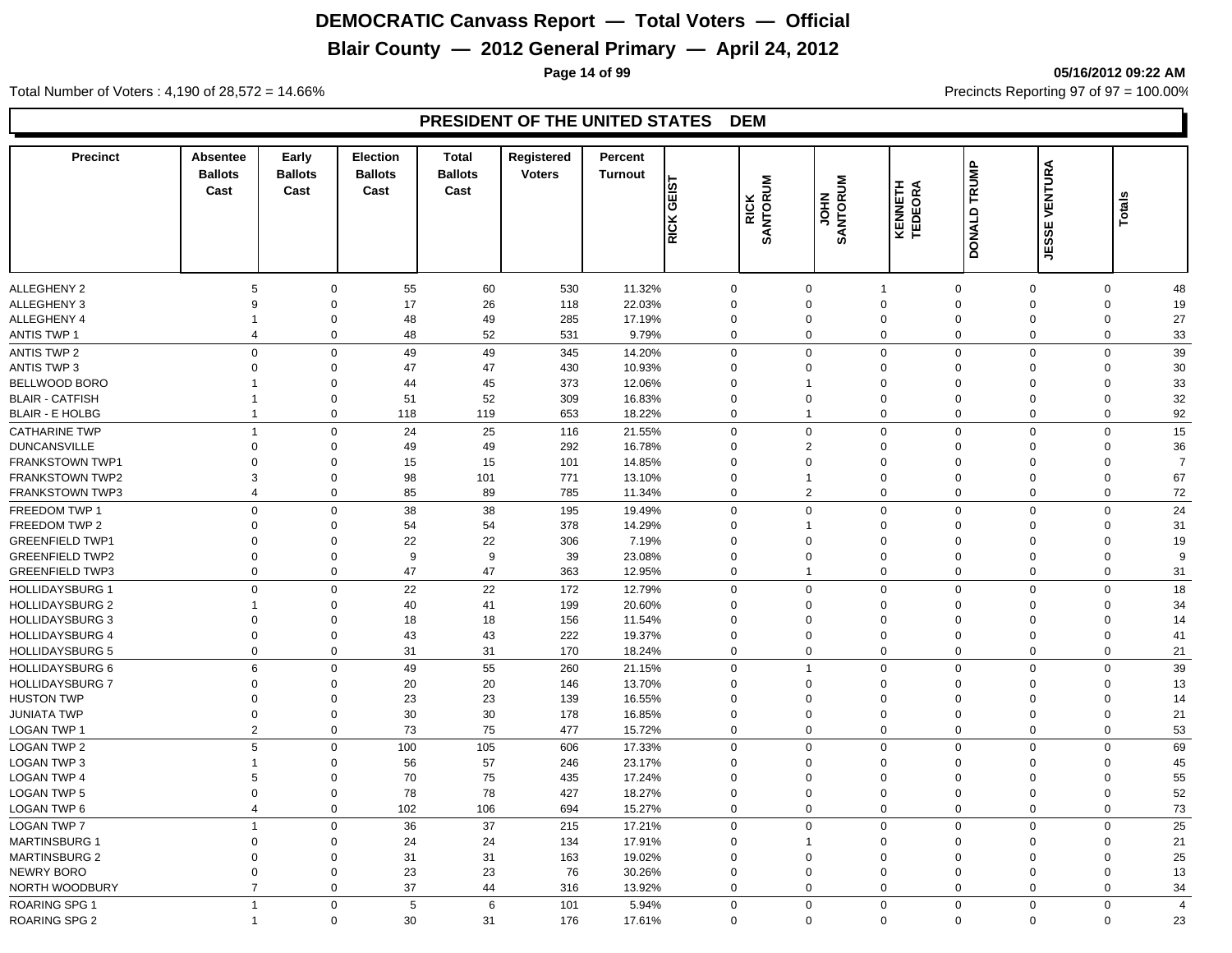## **Blair County — 2012 General Primary — April 24, 2012**

**Page 14 of 99 05/16/2012 09:22 AM**

Total Number of Voters : 4,190 of 28,572 = 14.66% Precincts Reporting 97 of 97 = 100.00%

| <b>Precinct</b>            | Absentee<br><b>Ballots</b><br>Cast | Early<br><b>Ballots</b><br>Cast | <b>Election</b><br><b>Ballots</b><br>Cast | <b>Total</b><br><b>Ballots</b><br>Cast | Registered<br><b>Voters</b> | Percent<br><b>Turnout</b> | <b>TSL</b><br>ی⊺<br><b>RICK</b> | <b>RICK<br/>SANTORUM</b> | <b>SANTORUM</b><br><b>NHOL</b> | KENNETH<br>TEDEORA            | DONALD TRUMP            | VENTURA<br><b>JESSE</b> | Totals           |                |
|----------------------------|------------------------------------|---------------------------------|-------------------------------------------|----------------------------------------|-----------------------------|---------------------------|---------------------------------|--------------------------|--------------------------------|-------------------------------|-------------------------|-------------------------|------------------|----------------|
|                            |                                    |                                 |                                           |                                        |                             |                           |                                 |                          |                                |                               |                         |                         |                  |                |
| ALLEGHENY 2<br>ALLEGHENY 3 | 5<br>9                             | $\mathbf 0$                     | 55<br>$\mathbf 0$<br>17                   | 60<br>26                               | 530<br>118                  | 11.32%<br>22.03%          | $\mathbf 0$<br>$\Omega$         |                          | $\mathbf 0$<br>$\mathbf 0$     | $\overline{1}$<br>$\mathbf 0$ | $\mathbf 0$<br>$\Omega$ | $\mathbf 0$<br>$\Omega$ | 0<br>$\mathbf 0$ | 48<br>19       |
| ALLEGHENY 4                | $\overline{\mathbf{1}}$            | $\mathbf 0$                     | 48                                        | 49                                     | 285                         | 17.19%                    | $\mathbf 0$                     |                          | $\mathbf 0$                    | $\mathbf 0$                   | $\Omega$                | $\mathbf 0$             | $\mathbf 0$      | 27             |
| <b>ANTIS TWP 1</b>         | $\overline{4}$                     |                                 | $\mathbf 0$<br>48                         | 52                                     | 531                         | 9.79%                     | $\mathbf 0$                     |                          | $\mathbf 0$                    | $\mathbf 0$                   | $\mathbf 0$             | $\overline{0}$          | $\mathbf 0$      | 33             |
| <b>ANTIS TWP 2</b>         | $\Omega$                           |                                 | $\mathbf 0$<br>49                         | 49                                     | 345                         | 14.20%                    | $\mathbf 0$                     |                          | $\mathbf 0$                    | $\mathbf 0$                   | $\mathbf 0$             | $\Omega$                | $\mathbf 0$      | 39             |
| <b>ANTIS TWP 3</b>         | $\mathbf 0$                        |                                 | 47<br>$\Omega$                            | 47                                     | 430                         | 10.93%                    | $\Omega$                        |                          | $\mathbf 0$                    | $\mathbf 0$                   | $\Omega$                | $\Omega$                | $\Omega$         | 30             |
| <b>BELLWOOD BORO</b>       | -1                                 |                                 | 0<br>44                                   | 45                                     | 373                         | 12.06%                    | $\Omega$                        |                          | -1                             | $\mathbf 0$                   | $\Omega$                | $\Omega$                | $\Omega$         | 33             |
| <b>BLAIR - CATFISH</b>     | $\overline{1}$                     |                                 | $\mathbf 0$<br>51                         | 52                                     | 309                         | 16.83%                    | $\Omega$                        |                          | $\Omega$                       | $\mathbf 0$                   | $\Omega$                | $\Omega$                | $\mathbf 0$      | 32             |
| <b>BLAIR - E HOLBG</b>     | $\overline{1}$                     |                                 | $\mathbf 0$<br>118                        | 119                                    | 653                         | 18.22%                    | $\Omega$                        |                          | $\mathbf{1}$                   | $\mathbf 0$                   | $\mathbf 0$             | $\Omega$                | $\mathbf 0$      | 92             |
| <b>CATHARINE TWP</b>       | $\overline{1}$                     |                                 | $\mathbf 0$<br>24                         | 25                                     | 116                         | 21.55%                    | $\mathbf 0$                     |                          | $\mathbf 0$                    | $\mathbf 0$                   | $\mathbf 0$             | $\Omega$                | $\mathbf 0$      | 15             |
| <b>DUNCANSVILLE</b>        | $\mathbf 0$                        |                                 | $\mathbf 0$<br>49                         | 49                                     | 292                         | 16.78%                    | $\mathbf 0$                     |                          | $\overline{2}$                 | $\mathbf 0$                   | $\mathbf 0$             | $\Omega$                | $\mathbf 0$      | 36             |
| <b>FRANKSTOWN TWP1</b>     | $\Omega$                           | $\mathbf 0$                     | 15                                        | 15                                     | 101                         | 14.85%                    | $\Omega$                        |                          | $\Omega$                       | $\mathbf 0$                   | $\Omega$                | $\Omega$                | $\Omega$         | $\overline{7}$ |
| <b>FRANKSTOWN TWP2</b>     | 3                                  |                                 | 98<br>$\mathbf 0$                         | 101                                    | 771                         | 13.10%                    | $\mathbf 0$                     |                          | $\mathbf{1}$                   | $\mathbf 0$                   | $\Omega$                | $\mathbf 0$             | $\mathbf 0$      | 67             |
| <b>FRANKSTOWN TWP3</b>     | $\overline{4}$                     |                                 | $\mathbf 0$<br>85                         | 89                                     | 785                         | 11.34%                    | $\Omega$                        |                          | $\overline{2}$                 | $\mathbf 0$                   | $\mathbf 0$             | $\overline{0}$          | $\mathbf 0$      | $72\,$         |
| FREEDOM TWP 1              | $\mathbf 0$                        |                                 | 38<br>$\mathbf 0$                         | 38                                     | 195                         | 19.49%                    | $\mathbf 0$                     |                          | $\Omega$                       | $\mathbf 0$                   | $\mathbf 0$             | $\Omega$                | 0                | 24             |
| FREEDOM TWP 2              | $\Omega$                           |                                 | 54<br>$\Omega$                            | 54                                     | 378                         | 14.29%                    | $\Omega$                        |                          | 1                              | $\mathbf 0$                   | $\Omega$                | $\Omega$                | $\Omega$         | 31             |
| <b>GREENFIELD TWP1</b>     | $\mathbf 0$                        |                                 | 22<br>$\Omega$                            | 22                                     | 306                         | 7.19%                     | $\Omega$                        |                          | $\Omega$                       | $\mathbf 0$                   | $\Omega$                | $\Omega$                | $\mathbf 0$      | 19             |
| <b>GREENFIELD TWP2</b>     | $\mathbf 0$                        |                                 | 9<br>$\Omega$                             | 9                                      | 39                          | 23.08%                    | $\Omega$                        |                          | $\Omega$                       | $\mathbf 0$                   | $\Omega$                | $\Omega$                | $\mathbf 0$      | 9              |
| <b>GREENFIELD TWP3</b>     | $\mathbf 0$                        |                                 | 47<br>$\Omega$                            | 47                                     | 363                         | 12.95%                    | $\Omega$                        |                          | $\mathbf{1}$                   | $\mathbf 0$                   | $\Omega$                | $\Omega$                | $\mathbf 0$      | 31             |
| <b>HOLLIDAYSBURG 1</b>     | $\mathbf 0$                        |                                 | 22<br>$\mathbf 0$                         | 22                                     | 172                         | 12.79%                    | $\mathbf 0$                     |                          | $\mathbf 0$                    | $\mathbf 0$                   | $\mathbf 0$             | $\Omega$                | $\mathbf 0$      | 18             |
| <b>HOLLIDAYSBURG 2</b>     | -1                                 |                                 | 40<br>$\mathbf 0$                         | 41                                     | 199                         | 20.60%                    | $\Omega$                        |                          | $\Omega$                       | $\mathbf 0$                   | $\Omega$                | $\Omega$                | $\mathbf 0$      | 34             |
| <b>HOLLIDAYSBURG 3</b>     | $\mathbf 0$                        | $\mathbf 0$                     | 18                                        | 18                                     | 156                         | 11.54%                    | $\Omega$                        |                          | $\mathbf 0$                    | $\mathbf 0$                   | $\Omega$                | $\Omega$                | $\Omega$         | 14             |
| <b>HOLLIDAYSBURG 4</b>     | $\mathbf 0$                        |                                 | $\mathbf 0$<br>43                         | 43                                     | 222                         | 19.37%                    | $\mathbf 0$                     |                          | $\mathbf 0$                    | $\mathbf 0$                   | $\mathbf 0$             | $\mathbf 0$             | $\mathbf 0$      | 41             |
| <b>HOLLIDAYSBURG 5</b>     | $\mathbf 0$                        |                                 | $\mathbf 0$<br>31                         | 31                                     | 170                         | 18.24%                    | $\mathbf 0$                     |                          | $\mathbf 0$                    | $\mathbf 0$                   | $\mathbf 0$             | $\overline{0}$          | $\mathbf 0$      | 21             |
| <b>HOLLIDAYSBURG 6</b>     | $6\phantom{a}$                     |                                 | $\Omega$<br>49                            | 55                                     | 260                         | 21.15%                    | $\Omega$                        |                          | $\overline{1}$                 | $\mathbf 0$                   | $\Omega$                | $\Omega$                | $\mathbf 0$      | 39             |
| <b>HOLLIDAYSBURG 7</b>     | $\mathbf 0$                        |                                 | 20<br>$\Omega$                            | 20                                     | 146                         | 13.70%                    | $\Omega$                        |                          | $\Omega$                       | $\mathbf 0$                   | $\Omega$                | $\Omega$                | $\Omega$         | 13             |
| <b>HUSTON TWP</b>          | $\mathbf 0$                        |                                 | 23<br>$\Omega$                            | 23                                     | 139                         | 16.55%                    | $\Omega$                        |                          | $\Omega$                       | $\mathbf 0$                   | $\Omega$                | $\Omega$                | 0                | 14             |
| JUNIATA TWP                | $\mathbf 0$                        |                                 | 30<br>$\mathbf 0$                         | 30                                     | 178                         | 16.85%                    | $\Omega$                        |                          | $\Omega$                       | $\mathbf 0$                   | $\mathbf 0$             | $\Omega$                | 0                | 21             |
| LOGAN TWP 1                | $\overline{2}$                     |                                 | $\mathbf 0$<br>73                         | 75                                     | 477                         | 15.72%                    | $\mathbf 0$                     |                          | $\mathbf 0$                    | $\mathbf 0$                   | $\mathbf 0$             | $\overline{0}$          | $\mathbf 0$      | 53             |
| LOGAN TWP 2                | 5                                  |                                 | $\mathbf 0$<br>100                        | 105                                    | 606                         | 17.33%                    | $\Omega$                        |                          | $\Omega$                       | $\mathbf 0$                   | $\Omega$                | $\Omega$                | $\mathbf 0$      | 69             |
| <b>LOGAN TWP 3</b>         | $\overline{1}$                     |                                 | 56<br>$\mathbf 0$                         | 57                                     | 246                         | 23.17%                    | $\Omega$                        |                          | $\Omega$                       | $\mathbf 0$                   | $\Omega$                | $\Omega$                | $\Omega$         | 45             |
| <b>LOGAN TWP 4</b>         | 5                                  |                                 | $\mathbf 0$<br>70                         | 75                                     | 435                         | 17.24%                    | $\Omega$                        |                          | $\Omega$                       | $\mathbf 0$                   | $\Omega$                | $\Omega$                | $\mathbf 0$      | 55             |
| <b>LOGAN TWP 5</b>         | $\mathbf 0$                        |                                 | $\mathbf 0$<br>78                         | 78                                     | 427                         | 18.27%                    | $\Omega$                        |                          | $\mathbf 0$                    | $\mathbf 0$                   | $\Omega$                | $\overline{0}$          | $\mathbf 0$      | 52             |
| <b>LOGAN TWP 6</b>         | $\overline{4}$                     |                                 | $\mathbf 0$<br>102                        | 106                                    | 694                         | 15.27%                    | $\mathbf 0$                     |                          | $\mathbf 0$                    | $\mathbf 0$                   | $\mathbf 0$             | $\overline{0}$          | $\mathbf 0$      | 73             |
| <b>LOGAN TWP 7</b>         | $\overline{1}$                     |                                 | $\mathbf 0$<br>36                         | 37                                     | 215                         | 17.21%                    | $\Omega$                        |                          | $\mathbf 0$                    | $\mathbf 0$                   | $\Omega$                | $\overline{0}$          | $\mathbf 0$      | 25             |
| <b>MARTINSBURG 1</b>       | $\mathbf 0$                        |                                 | $\mathbf 0$<br>24                         | 24                                     | 134                         | 17.91%                    | $\mathbf 0$                     |                          | $\mathbf{1}$                   | $\mathbf 0$                   | $\Omega$                | $\mathbf 0$             | 0                | 21             |
| <b>MARTINSBURG 2</b>       | $\mathbf 0$                        |                                 | 31<br>$\mathbf 0$                         | 31                                     | 163                         | 19.02%                    | $\mathbf 0$                     |                          | $\mathbf 0$                    | $\mathbf 0$                   | $\Omega$                | $\mathbf 0$             | 0                | 25             |
| NEWRY BORO                 | $\mathbf 0$                        |                                 | 23<br>$\mathbf 0$                         | 23                                     | 76                          | 30.26%                    | $\mathbf 0$                     |                          | $\mathbf 0$                    | $\mathbf 0$                   | $\mathbf 0$             | $\mathbf 0$             | 0                | 13             |
| NORTH WOODBURY             | $\overline{7}$                     |                                 | 37<br>$\mathbf 0$                         | 44                                     | 316                         | 13.92%                    | $\mathbf 0$                     |                          | $\mathbf 0$                    | $\mathbf 0$                   | $\mathbf 0$             | $\overline{0}$          | 0                | 34             |
| <b>ROARING SPG 1</b>       | $\overline{1}$                     |                                 | 5<br>$\mathbf 0$                          | 6                                      | 101                         | 5.94%                     | $\mathbf 0$                     |                          | $\Omega$                       | $\mathbf 0$                   | $\mathbf 0$             | $\Omega$                | $\mathbf 0$      | $\overline{4}$ |
| <b>ROARING SPG 2</b>       | $\overline{1}$                     |                                 | $\mathbf 0$<br>30                         | 31                                     | 176                         | 17.61%                    | $\Omega$                        |                          | $\Omega$                       | $\Omega$                      | $\mathbf 0$             | $\mathbf 0$             | $\mathbf 0$      | 23             |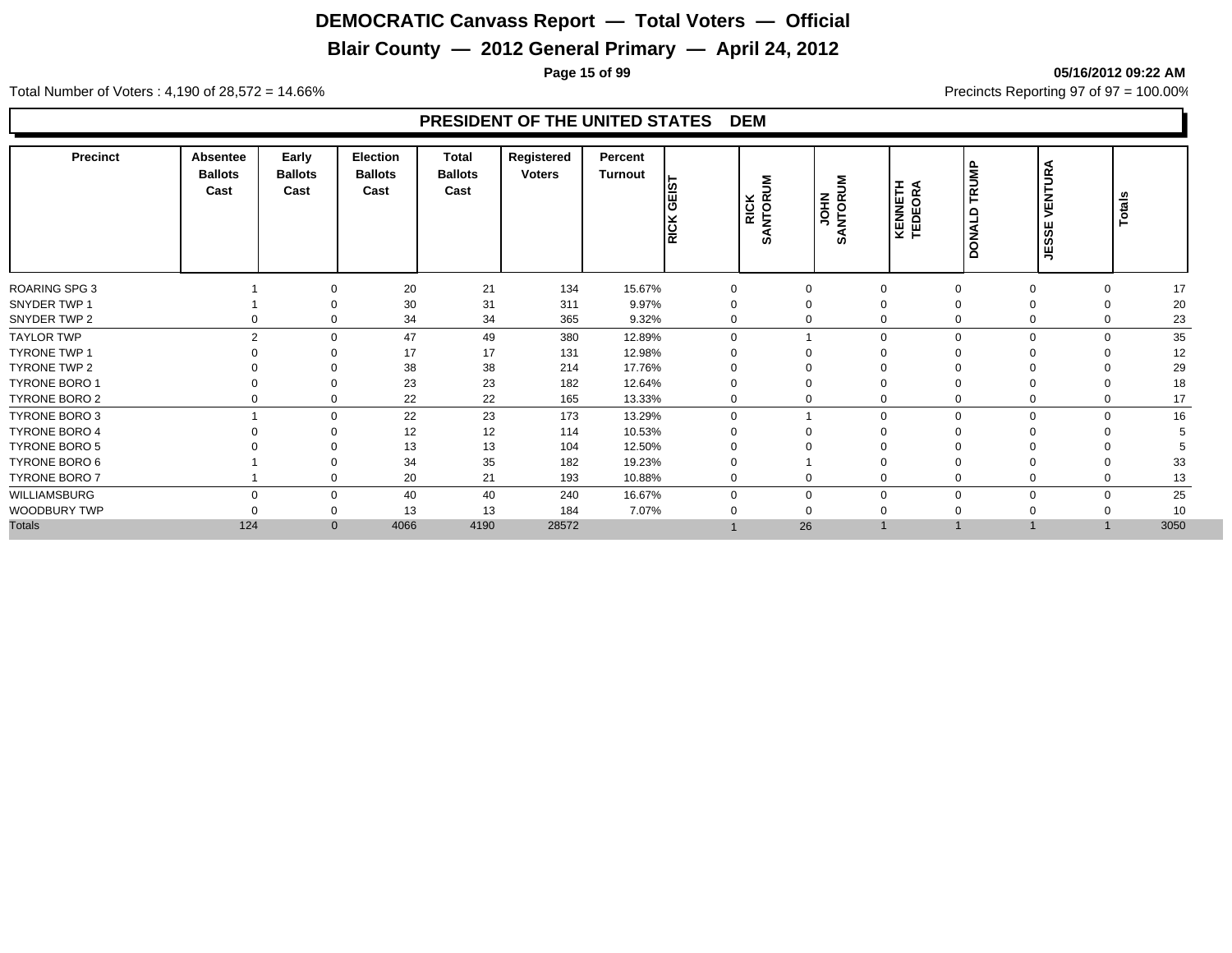## **Blair County — 2012 General Primary — April 24, 2012**

**Page 15 of 99 05/16/2012 09:22 AM**

Total Number of Voters : 4,190 of 28,572 = 14.66% Precincts Reporting 97 of 97 = 100.00%

| 21<br>134<br>20<br>15.67%<br>17<br>$\mathbf 0$<br>0<br>$\mathbf 0$<br>$\Omega$<br>0<br>$\Omega$<br>30<br>31<br>20<br>311<br>9.97%<br>$\Omega$<br>0<br>0<br>∩<br>0<br>23<br>34<br>34<br>365<br>9.32%<br>$\Omega$<br>$\mathbf{0}$<br>$\Omega$<br>$\Omega$<br>$\Omega$<br>0<br>35<br>2<br>49<br>380<br>12.89%<br>47<br>$\Omega$<br>$\Omega$<br>$\Omega$<br>$\Omega$<br>$\Omega$<br>12<br>17<br>17<br>131<br>12.98%<br>$\Omega$<br>$\Omega$<br>∩<br>29<br>38<br>38<br>214<br>17.76%<br>$\Omega$<br>0<br>∩<br>23<br>23<br>182<br>18<br>12.64%<br>0<br>$\Omega$<br>$\Omega$<br>22<br>22<br>165<br>17<br>13.33%<br>0<br>$\Omega$<br>0<br>$\mathbf 0$<br>$\Omega$<br>0<br>0<br>23<br>22<br>16<br>173<br>13.29%<br>$\mathbf 0$<br>$\mathbf 0$<br>$\mathbf 0$<br>$\mathbf 0$<br>$\Omega$<br>$\Omega$<br>12<br>12<br>10.53%<br>114<br>$\mathbf 0$<br>0<br>$\Omega$<br>13<br>13<br>104<br>12.50%<br>$\Omega$<br>$\Omega$<br>34<br>35<br>33<br>182<br>19.23%<br>$\mathbf 0$<br>$\Omega$<br>$\Omega$<br>20<br>21<br>193<br>10.88%<br>13<br>$\mathbf 0$<br>0<br>$\mathbf 0$<br>0<br>0<br>25<br>40<br>40<br>240<br>16.67%<br>$\Omega$<br>0<br>$\mathbf 0$<br>$\mathbf 0$<br>$\mathbf 0$<br>$\Omega$<br>$\Omega$<br>$\Omega$<br>10<br>13<br>13<br>184<br>7.07%<br>0<br>$\Omega$<br>$\Omega$<br>3050<br>124<br>4066<br>4190<br>28572<br>26<br>$\mathbf{0}$ | <b>Precinct</b>      | Absentee<br><b>Ballots</b><br>Cast | Early<br><b>Ballots</b><br>Cast | Election<br><b>Ballots</b><br>Cast | <b>Total</b><br><b>Ballots</b><br>Cast | Registered<br><b>Voters</b> | Percent<br>Turnout | ျဖာ<br> ⊞<br> <br><b>RICK</b> | ξ<br>RICK<br>SANTORI | š<br><b>USPINAS</b> | <b>KENNETH</b><br>TEDEORA | TRUMP<br>DONALD | VENTURA<br>JESSE | Totals |
|------------------------------------------------------------------------------------------------------------------------------------------------------------------------------------------------------------------------------------------------------------------------------------------------------------------------------------------------------------------------------------------------------------------------------------------------------------------------------------------------------------------------------------------------------------------------------------------------------------------------------------------------------------------------------------------------------------------------------------------------------------------------------------------------------------------------------------------------------------------------------------------------------------------------------------------------------------------------------------------------------------------------------------------------------------------------------------------------------------------------------------------------------------------------------------------------------------------------------------------------------------------------------------------------------------------------------------------|----------------------|------------------------------------|---------------------------------|------------------------------------|----------------------------------------|-----------------------------|--------------------|-------------------------------|----------------------|---------------------|---------------------------|-----------------|------------------|--------|
|                                                                                                                                                                                                                                                                                                                                                                                                                                                                                                                                                                                                                                                                                                                                                                                                                                                                                                                                                                                                                                                                                                                                                                                                                                                                                                                                          | <b>ROARING SPG 3</b> |                                    |                                 |                                    |                                        |                             |                    |                               |                      |                     |                           |                 |                  |        |
|                                                                                                                                                                                                                                                                                                                                                                                                                                                                                                                                                                                                                                                                                                                                                                                                                                                                                                                                                                                                                                                                                                                                                                                                                                                                                                                                          | SNYDER TWP 1         |                                    |                                 |                                    |                                        |                             |                    |                               |                      |                     |                           |                 |                  |        |
|                                                                                                                                                                                                                                                                                                                                                                                                                                                                                                                                                                                                                                                                                                                                                                                                                                                                                                                                                                                                                                                                                                                                                                                                                                                                                                                                          | SNYDER TWP 2         |                                    |                                 |                                    |                                        |                             |                    |                               |                      |                     |                           |                 |                  |        |
|                                                                                                                                                                                                                                                                                                                                                                                                                                                                                                                                                                                                                                                                                                                                                                                                                                                                                                                                                                                                                                                                                                                                                                                                                                                                                                                                          | <b>TAYLOR TWP</b>    |                                    |                                 |                                    |                                        |                             |                    |                               |                      |                     |                           |                 |                  |        |
|                                                                                                                                                                                                                                                                                                                                                                                                                                                                                                                                                                                                                                                                                                                                                                                                                                                                                                                                                                                                                                                                                                                                                                                                                                                                                                                                          | <b>TYRONE TWP 1</b>  |                                    |                                 |                                    |                                        |                             |                    |                               |                      |                     |                           |                 |                  |        |
|                                                                                                                                                                                                                                                                                                                                                                                                                                                                                                                                                                                                                                                                                                                                                                                                                                                                                                                                                                                                                                                                                                                                                                                                                                                                                                                                          | TYRONE TWP 2         |                                    |                                 |                                    |                                        |                             |                    |                               |                      |                     |                           |                 |                  |        |
|                                                                                                                                                                                                                                                                                                                                                                                                                                                                                                                                                                                                                                                                                                                                                                                                                                                                                                                                                                                                                                                                                                                                                                                                                                                                                                                                          | <b>TYRONE BORO 1</b> |                                    |                                 |                                    |                                        |                             |                    |                               |                      |                     |                           |                 |                  |        |
|                                                                                                                                                                                                                                                                                                                                                                                                                                                                                                                                                                                                                                                                                                                                                                                                                                                                                                                                                                                                                                                                                                                                                                                                                                                                                                                                          | <b>TYRONE BORO 2</b> |                                    |                                 |                                    |                                        |                             |                    |                               |                      |                     |                           |                 |                  |        |
|                                                                                                                                                                                                                                                                                                                                                                                                                                                                                                                                                                                                                                                                                                                                                                                                                                                                                                                                                                                                                                                                                                                                                                                                                                                                                                                                          | <b>TYRONE BORO 3</b> |                                    |                                 |                                    |                                        |                             |                    |                               |                      |                     |                           |                 |                  |        |
|                                                                                                                                                                                                                                                                                                                                                                                                                                                                                                                                                                                                                                                                                                                                                                                                                                                                                                                                                                                                                                                                                                                                                                                                                                                                                                                                          | <b>TYRONE BORO 4</b> |                                    |                                 |                                    |                                        |                             |                    |                               |                      |                     |                           |                 |                  |        |
|                                                                                                                                                                                                                                                                                                                                                                                                                                                                                                                                                                                                                                                                                                                                                                                                                                                                                                                                                                                                                                                                                                                                                                                                                                                                                                                                          | TYRONE BORO 5        |                                    |                                 |                                    |                                        |                             |                    |                               |                      |                     |                           |                 |                  |        |
|                                                                                                                                                                                                                                                                                                                                                                                                                                                                                                                                                                                                                                                                                                                                                                                                                                                                                                                                                                                                                                                                                                                                                                                                                                                                                                                                          | TYRONE BORO 6        |                                    |                                 |                                    |                                        |                             |                    |                               |                      |                     |                           |                 |                  |        |
|                                                                                                                                                                                                                                                                                                                                                                                                                                                                                                                                                                                                                                                                                                                                                                                                                                                                                                                                                                                                                                                                                                                                                                                                                                                                                                                                          | <b>TYRONE BORO 7</b> |                                    |                                 |                                    |                                        |                             |                    |                               |                      |                     |                           |                 |                  |        |
|                                                                                                                                                                                                                                                                                                                                                                                                                                                                                                                                                                                                                                                                                                                                                                                                                                                                                                                                                                                                                                                                                                                                                                                                                                                                                                                                          | WILLIAMSBURG         |                                    |                                 |                                    |                                        |                             |                    |                               |                      |                     |                           |                 |                  |        |
|                                                                                                                                                                                                                                                                                                                                                                                                                                                                                                                                                                                                                                                                                                                                                                                                                                                                                                                                                                                                                                                                                                                                                                                                                                                                                                                                          | WOODBURY TWP         |                                    |                                 |                                    |                                        |                             |                    |                               |                      |                     |                           |                 |                  |        |
|                                                                                                                                                                                                                                                                                                                                                                                                                                                                                                                                                                                                                                                                                                                                                                                                                                                                                                                                                                                                                                                                                                                                                                                                                                                                                                                                          | <b>Totals</b>        |                                    |                                 |                                    |                                        |                             |                    |                               |                      |                     |                           |                 |                  |        |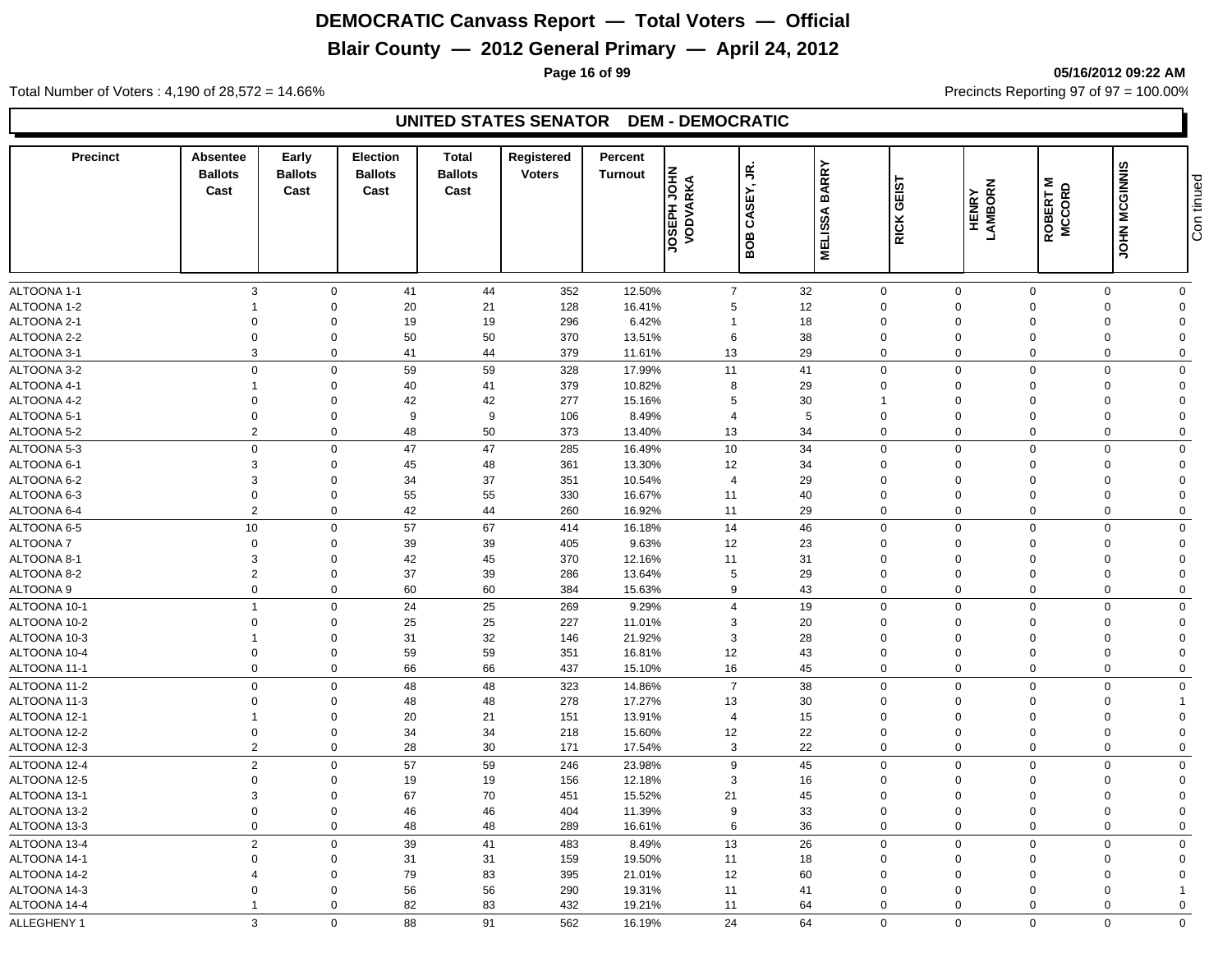## **Blair County — 2012 General Primary — April 24, 2012**

**Page 16 of 99 05/16/2012 09:22 AM**

Total Number of Voters : 4,190 of 28,572 = 14.66% Precincts Reporting 97 of 97 = 100.00%

#### **UNITED STATES SENATOR DEM - DEMOCRATIC**

| <b>Precinct</b> | Absentee<br><b>Ballots</b><br>Cast | Early<br><b>Ballots</b><br>Cast | <b>Election</b><br><b>Ballots</b><br>Cast | <b>Total</b><br><b>Ballots</b><br>Cast | Registered<br><b>Voters</b> | Percent<br><b>Turnout</b> | <b>JOSEPH JOHN</b><br>VODVARKA | š<br>CASEY, | <b>BARRY</b>   | GEIST        | HENRY<br>LAMBORN | ROBERT M<br>MCCORD | JOHN MCGINNIS | Con tinued     |
|-----------------|------------------------------------|---------------------------------|-------------------------------------------|----------------------------------------|-----------------------------|---------------------------|--------------------------------|-------------|----------------|--------------|------------------|--------------------|---------------|----------------|
|                 |                                    |                                 |                                           |                                        |                             |                           |                                | BOB         | <b>MELISSA</b> | <b>RICK</b>  |                  |                    |               |                |
| ALTOONA 1-1     | $\mathbf{3}$                       | $\mathbf 0$                     | 41                                        | 44                                     | 352                         | 12.50%                    | $\overline{7}$                 |             | 32             | $\mathbf 0$  | $\overline{0}$   | $\mathbf 0$        | $\mathbf 0$   | $\mathbf 0$    |
| ALTOONA 1-2     | $\overline{1}$                     | $\mathbf 0$                     | 20                                        | 21                                     | 128                         | 16.41%                    | 5                              |             | 12             | $\mathbf 0$  | $\Omega$         | $\Omega$           | $\Omega$      | $\Omega$       |
| ALTOONA 2-1     | $\mathbf 0$                        | $\mathbf 0$                     | 19                                        | 19                                     | 296                         | 6.42%                     | $\overline{1}$                 |             | 18             | $\mathbf 0$  | $\mathbf 0$      | $\Omega$           | $\Omega$      | $\Omega$       |
| ALTOONA 2-2     | $\mathbf 0$                        | $\mathbf 0$                     | 50                                        | 50                                     | 370                         | 13.51%                    | 6                              |             | 38             | $\mathbf 0$  | $\mathbf 0$      | $\Omega$           | $\Omega$      | $\Omega$       |
| ALTOONA 3-1     | 3                                  | $\mathbf 0$                     | 41                                        | 44                                     | 379                         | 11.61%                    | 13                             |             | 29             | $\mathbf 0$  | $\mathbf 0$      | $\Omega$           | $\Omega$      | $\Omega$       |
| ALTOONA 3-2     | $\mathbf 0$                        | $\mathsf 0$                     | 59                                        | 59                                     | 328                         | 17.99%                    | 11                             |             | 41             | $\mathbf 0$  | $\mathbf 0$      | $\Omega$           | $\Omega$      | $\mathbf 0$    |
| ALTOONA 4-1     | $\overline{1}$                     | $\mathbf 0$                     | 40                                        | 41                                     | 379                         | 10.82%                    | 8                              |             | 29             | $\mathbf 0$  | $\mathbf 0$      | $\Omega$           | $\Omega$      | $\mathbf 0$    |
| ALTOONA 4-2     | $\mathbf 0$                        | $\Omega$                        | 42                                        | 42                                     | 277                         | 15.16%                    | 5                              |             | 30             | $\mathbf{1}$ | $\mathbf 0$      | $\Omega$           | $\Omega$      | $\Omega$       |
| ALTOONA 5-1     | $\mathbf 0$                        | $\mathbf 0$                     | 9                                         | 9                                      | 106                         | 8.49%                     | $\overline{4}$                 |             | 5              | $\mathbf 0$  | $\mathbf 0$      | $\Omega$           | $\Omega$      | $\Omega$       |
| ALTOONA 5-2     | $\overline{2}$                     | $\mathbf 0$                     | 48                                        | 50                                     | 373                         | 13.40%                    | 13                             |             | 34             | $\mathbf 0$  | $\mathbf 0$      | $\mathbf 0$        | $\Omega$      | $\mathbf 0$    |
| ALTOONA 5-3     | $\mathbf 0$                        | $\Omega$                        | 47                                        | 47                                     | 285                         | 16.49%                    | 10                             |             | 34             | $\mathbf 0$  | $\mathbf 0$      | $\mathbf 0$        | $\Omega$      | $\mathbf 0$    |
| ALTOONA 6-1     | $\mathbf{3}$                       | $\mathbf 0$                     | 45                                        | 48                                     | 361                         | 13.30%                    | 12                             |             | 34             | $\mathbf 0$  | $\mathbf 0$      | $\Omega$           | $\Omega$      | $\mathbf 0$    |
| ALTOONA 6-2     | 3                                  | $\mathbf 0$                     | 34                                        | 37                                     | 351                         | 10.54%                    | $\overline{4}$                 |             | 29             | $\mathbf 0$  | $\Omega$         | $\Omega$           | $\Omega$      | $\Omega$       |
| ALTOONA 6-3     | $\mathbf 0$                        | $\mathbf 0$                     | 55                                        | 55                                     | 330                         | 16.67%                    | 11                             |             | 40             | $\mathbf 0$  | $\Omega$         | $\Omega$           | $\Omega$      | $\Omega$       |
| ALTOONA 6-4     | $\overline{2}$                     | $\mathbf 0$                     | 42                                        | 44                                     | 260                         | 16.92%                    | 11                             |             | 29             | $\mathbf 0$  | $\Omega$         | $\Omega$           | $\Omega$      | $\mathbf 0$    |
| ALTOONA 6-5     | 10                                 | $\mathbf 0$                     | 57                                        | 67                                     | 414                         | 16.18%                    | 14                             |             | 46             | $\mathsf 0$  | $\mathbf 0$      | $\Omega$           | $\mathbf 0$   | $\mathbf 0$    |
| ALTOONA 7       | $\mathbf 0$                        | $\Omega$                        | 39                                        | 39                                     | 405                         | 9.63%                     | 12                             |             | 23             | $\mathbf 0$  | $\Omega$         | $\Omega$           | $\Omega$      | $\Omega$       |
| ALTOONA 8-1     | $\mathbf{3}$                       | $\mathbf 0$                     | 42                                        | 45                                     | 370                         | 12.16%                    | 11                             |             | 31             | $\mathbf 0$  | $\Omega$         | $\Omega$           | $\Omega$      | $\Omega$       |
| ALTOONA 8-2     | $\overline{2}$                     | $\mathbf 0$                     | 37                                        | 39                                     | 286                         | 13.64%                    | 5                              |             | 29             | $\pmb{0}$    | $\overline{0}$   | $\Omega$           | $\Omega$      | $\Omega$       |
| ALTOONA 9       | $\mathbf 0$                        | $\mathbf 0$                     | 60                                        | 60                                     | 384                         | 15.63%                    | 9                              |             | 43             | $\mathbf 0$  | $\mathbf 0$      | $\Omega$           | $\Omega$      | $\mathbf 0$    |
| ALTOONA 10-1    | $\overline{1}$                     | $\mathbf 0$                     | 24                                        | 25                                     | 269                         | 9.29%                     | $\overline{4}$                 |             | 19             | $\mathbf 0$  | $\mathbf 0$      | $\Omega$           | $\Omega$      | $\mathbf 0$    |
| ALTOONA 10-2    | $\mathbf{0}$                       | $\mathbf 0$                     | 25                                        | 25                                     | 227                         | 11.01%                    | 3                              |             | 20             | $\mathbf 0$  | $\Omega$         | $\Omega$           | $\Omega$      | $\Omega$       |
| ALTOONA 10-3    | $\overline{1}$                     | $\mathbf 0$                     | 31                                        | 32                                     | 146                         | 21.92%                    | 3                              |             | 28             | $\mathbf 0$  | $\mathbf 0$      | $\Omega$           | $\Omega$      | $\Omega$       |
| ALTOONA 10-4    | $\mathbf 0$                        | $\mathbf 0$                     | 59                                        | 59                                     | 351                         | 16.81%                    | 12                             |             | 43             | $\mathbf 0$  | $\mathbf 0$      | $\Omega$           | $\Omega$      | $\mathbf 0$    |
| ALTOONA 11-1    | $\mathbf 0$                        | $\mathbf 0$                     | 66                                        | 66                                     | 437                         | 15.10%                    | 16                             |             | 45             | $\mathbf 0$  | $\mathbf 0$      | $\Omega$           | $\Omega$      | $\mathbf 0$    |
| ALTOONA 11-2    | $\mathbf{0}$                       | $\mathbf 0$                     | 48                                        | 48                                     | 323                         | 14.86%                    | $\overline{7}$                 |             | 38             | $\mathbf 0$  | $\Omega$         | $\Omega$           | $\Omega$      | $\mathbf 0$    |
| ALTOONA 11-3    | $\mathbf 0$                        | $\mathbf 0$                     | 48                                        | 48                                     | 278                         | 17.27%                    | 13                             |             | 30             | $\mathbf 0$  | $\Omega$         | $\Omega$           | $\Omega$      |                |
| ALTOONA 12-1    |                                    | $\mathbf 0$                     | 20                                        | 21                                     | 151                         | 13.91%                    | $\overline{4}$                 |             | 15             | $\mathbf 0$  | $\Omega$         | $\Omega$           | $\Omega$      | $\Omega$       |
| ALTOONA 12-2    | $\mathbf 0$                        | $\mathbf 0$                     | 34                                        | 34                                     | 218                         | 15.60%                    | 12                             |             | 22             | $\pmb{0}$    | $\overline{0}$   | $\Omega$           | $\Omega$      | $\Omega$       |
| ALTOONA 12-3    | $\overline{2}$                     | $\mathbf 0$                     | 28                                        | 30                                     | 171                         | 17.54%                    | 3                              |             | 22             | $\mathbf 0$  | $\mathbf 0$      | $\mathbf 0$        | $\Omega$      | $\mathbf 0$    |
| ALTOONA 12-4    | $\overline{2}$                     | $\mathbf 0$                     | 57                                        | 59                                     | 246                         | 23.98%                    | 9                              |             | 45             | $\mathbf 0$  | $\overline{0}$   | $\Omega$           | $\Omega$      | $\mathbf 0$    |
| ALTOONA 12-5    | $\mathbf 0$                        | $\mathbf 0$                     | 19                                        | 19                                     | 156                         | 12.18%                    | 3                              |             | 16             | $\mathbf 0$  | $\Omega$         | $\Omega$           | $\Omega$      | $\mathbf 0$    |
| ALTOONA 13-1    | $\mathbf{3}$                       | $\mathbf 0$                     | 67                                        | 70                                     | 451                         | 15.52%                    | 21                             |             | 45             | $\mathbf 0$  | $\mathbf 0$      | $\Omega$           | $\Omega$      | $\mathbf 0$    |
| ALTOONA 13-2    | $\mathbf 0$                        | $\mathbf 0$                     | 46                                        | 46                                     | 404                         | 11.39%                    | 9                              |             | 33             | $\mathsf 0$  | $\mathbf 0$      | $\Omega$           | $\mathbf 0$   | $\overline{0}$ |
| ALTOONA 13-3    | $\mathbf 0$                        | $\mathbf 0$                     | 48                                        | 48                                     | 289                         | 16.61%                    | 6                              |             | 36             | $\mathbf 0$  | $\Omega$         | $\mathbf 0$        | $\mathbf 0$   | $\mathbf 0$    |
| ALTOONA 13-4    | $\overline{2}$                     | $\mathbf 0$                     | 39                                        | 41                                     | 483                         | 8.49%                     | 13                             |             | 26             | $\mathbf 0$  | $\mathbf 0$      | $\Omega$           | $\mathbf 0$   | $\mathbf 0$    |
| ALTOONA 14-1    | $\mathbf 0$                        | $\mathbf 0$                     | 31                                        | 31                                     | 159                         | 19.50%                    | 11                             |             | 18             | $\mathbf 0$  | $\mathbf 0$      | $\Omega$           | $\Omega$      | $\Omega$       |
| ALTOONA 14-2    | $\overline{4}$                     | $\Omega$                        | 79                                        | 83                                     | 395                         | 21.01%                    | 12                             |             | 60             | $\mathbf 0$  | $\Omega$         | $\Omega$           | $\Omega$      | $\Omega$       |
| ALTOONA 14-3    | $\overline{0}$                     | $\mathbf 0$                     | 56                                        | 56                                     | 290                         | 19.31%                    | 11                             |             | 41             | $\mathbf 0$  | $\Omega$         | $\Omega$           | $\Omega$      |                |
| ALTOONA 14-4    | $\overline{1}$                     | $\Omega$                        | 82                                        | 83                                     | 432                         | 19.21%                    | 11                             |             | 64             | $\mathbf 0$  | $\Omega$         | $\Omega$           | $\Omega$      | $\mathbf 0$    |
| ALLEGHENY 1     | 3                                  | $\Omega$                        | 88                                        | 91                                     | 562                         | 16.19%                    | 24                             |             | 64             | $\mathbf 0$  | $\mathbf 0$      | $\Omega$           | $\Omega$      | $\mathbf 0$    |
|                 |                                    |                                 |                                           |                                        |                             |                           |                                |             |                |              |                  |                    |               |                |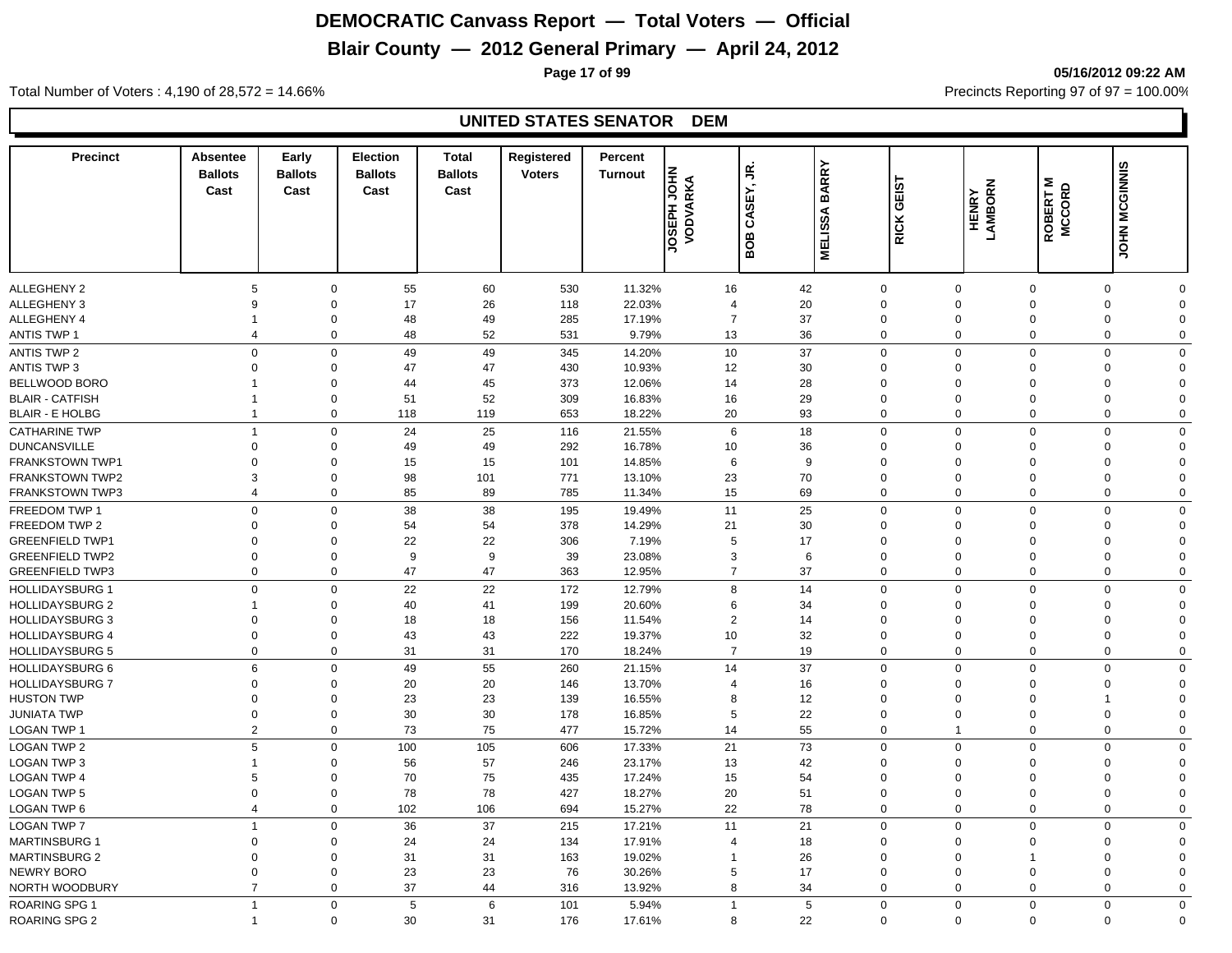## **Blair County — 2012 General Primary — April 24, 2012**

**Page 17 of 99 05/16/2012 09:22 AM**

Total Number of Voters : 4,190 of 28,572 = 14.66% Precincts Reporting 97 of 97 = 100.00%

#### **UNITED STATES SENATOR DEM**

| <b>Precinct</b>        | <b>Absentee</b><br><b>Ballots</b><br>Cast | Early<br><b>Ballots</b><br>Cast | <b>Election</b><br><b>Ballots</b><br>Cast | <b>Total</b><br><b>Ballots</b><br>Cast | Registered<br><b>Voters</b> | Percent<br><b>Turnout</b> | <b>JOSEPH JOHN</b><br>VODVARKA | CASEY, JR.<br>BOB | <b>BARRY</b><br><b>MELISSA</b> | GEIST<br>RICK              | HENRY<br>LAMBORN | ROBERT M<br>MCCORD | <b>JOHN MCGINNIS</b>       |  |
|------------------------|-------------------------------------------|---------------------------------|-------------------------------------------|----------------------------------------|-----------------------------|---------------------------|--------------------------------|-------------------|--------------------------------|----------------------------|------------------|--------------------|----------------------------|--|
|                        |                                           |                                 |                                           |                                        |                             |                           |                                |                   |                                |                            |                  |                    |                            |  |
| ALLEGHENY 2            | 5                                         |                                 | 55<br>$\mathbf 0$                         | 60                                     | 530                         | 11.32%                    | 16                             | 42                |                                | $\mathbf 0$                | $\mathbf 0$      | $\mathbf 0$        | 0<br>$\Omega$              |  |
| ALLEGHENY 3            | 9                                         | $\mathbf 0$                     | 17                                        | 26                                     | 118                         | 22.03%                    | $\overline{4}$                 | 20                |                                | $\mathbf 0$                | $\Omega$         | $\Omega$           | 0<br>$\Omega$              |  |
| ALLEGHENY 4            | $\overline{1}$                            | $\mathbf 0$                     | 48                                        | 49                                     | 285                         | 17.19%                    | $\overline{7}$                 | 37                |                                | $\mathbf 0$                | $\mathbf 0$      | $\Omega$           | 0<br>$\Omega$              |  |
| <b>ANTIS TWP 1</b>     | $\overline{4}$                            | $\mathbf 0$                     | 48                                        | 52                                     | 531                         | 9.79%                     | 13                             | 36                |                                | $\mathbf 0$                | $\mathbf 0$      | $\Omega$           | $\mathbf 0$<br>$\Omega$    |  |
| ANTIS TWP 2            | $\mathbf 0$                               |                                 | $\mathbf 0$<br>49                         | 49                                     | 345                         | 14.20%                    | 10                             | 37                |                                | $\mathbf 0$                | $\mathbf 0$      | $\Omega$           | $\mathbf 0$<br>$\mathbf 0$ |  |
| <b>ANTIS TWP 3</b>     | $\mathbf 0$                               | $\Omega$                        | 47                                        | 47                                     | 430                         | 10.93%                    | 12                             | 30                |                                | $\mathbf 0$                | $\Omega$         | $\Omega$           | 0<br>$\Omega$              |  |
| <b>BELLWOOD BORO</b>   | $\mathbf 1$                               | $\mathbf 0$                     | 44                                        | 45                                     | 373                         | 12.06%                    | 14                             | 28                |                                | $\mathbf 0$                | $\Omega$         | $\Omega$           | 0<br>$\Omega$              |  |
| <b>BLAIR - CATFISH</b> | $\overline{1}$                            | $\mathbf 0$                     | 51                                        | 52                                     | 309                         | 16.83%                    | 16                             | 29                |                                | $\mathbf 0$                | $\Omega$         | $\Omega$           | $\mathbf 0$<br>$\Omega$    |  |
| <b>BLAIR - E HOLBG</b> | $\overline{1}$                            |                                 | $\mathbf 0$<br>118                        | 119                                    | 653                         | 18.22%                    | 20                             | 93                |                                | $\mathbf 0$                | $\Omega$         | $\overline{0}$     | $\mathbf 0$<br>$\mathbf 0$ |  |
| <b>CATHARINE TWP</b>   | $\overline{1}$                            |                                 | 24<br>$\mathbf 0$                         | 25                                     | 116                         | 21.55%                    | 6                              | 18                |                                | $\mathbf 0$                | $\mathbf 0$      | $\Omega$           | $\mathbf 0$<br>$\Omega$    |  |
| <b>DUNCANSVILLE</b>    | $\mathbf 0$                               | $\mathbf 0$                     | 49                                        | 49                                     | 292                         | 16.78%                    | 10                             | 36                |                                | $\mathbf 0$                | $\Omega$         | $\Omega$           | $\mathbf 0$<br>$\Omega$    |  |
| <b>FRANKSTOWN TWP1</b> | $\Omega$                                  | 0                               | 15                                        | 15                                     | 101                         | 14.85%                    | 6                              | 9                 |                                | $\mathbf 0$                | $\Omega$         | $\Omega$           | $\Omega$<br>$\Omega$       |  |
| <b>FRANKSTOWN TWP2</b> | 3                                         | $\Omega$                        | 98                                        | 101                                    | 771                         | 13.10%                    | 23                             | 70                |                                | $\mathbf 0$                | $\Omega$         | $\Omega$           | $\mathbf 0$<br>$\Omega$    |  |
| <b>FRANKSTOWN TWP3</b> | $\overline{4}$                            |                                 | $\mathbf{0}$<br>85                        | 89                                     | 785                         | 11.34%                    | 15                             | 69                |                                | $\mathbf 0$                | $\mathbf 0$      | $\Omega$           | $\mathbf 0$<br>$\Omega$    |  |
| FREEDOM TWP 1          | $\mathbf 0$                               |                                 | 38<br>0                                   | 38                                     | 195                         | 19.49%                    | 11                             | 25                |                                | $\mathbf 0$                | $\mathbf 0$      | $\Omega$           | $\mathbf 0$<br>$\mathbf 0$ |  |
| FREEDOM TWP 2          | $\Omega$                                  | $\mathbf 0$                     | 54                                        | 54                                     | 378                         | 14.29%                    | 21                             | 30                |                                | $\mathbf 0$                | $\Omega$         | $\Omega$           | $\mathbf 0$<br>$\Omega$    |  |
| <b>GREENFIELD TWP1</b> | $\Omega$                                  | $\mathbf 0$                     | 22                                        | 22                                     | 306                         | 7.19%                     | 5                              | 17                |                                | $\mathbf 0$                | $\Omega$         | $\Omega$           | $\mathbf 0$<br>$\Omega$    |  |
| <b>GREENFIELD TWP2</b> | $\mathbf 0$                               | $\mathbf 0$                     | 9                                         | 9                                      | 39                          | 23.08%                    | 3                              | 6                 |                                | $\mathbf 0$                | $\Omega$         | $\Omega$           | $\mathbf 0$<br>$\Omega$    |  |
| <b>GREENFIELD TWP3</b> | $\mathbf 0$                               |                                 | $\mathbf 0$<br>47                         | 47                                     | 363                         | 12.95%                    | $\overline{7}$                 | 37                |                                | $\mathbf 0$                | $\Omega$         | $\Omega$           | $\mathbf 0$<br>$\Omega$    |  |
| <b>HOLLIDAYSBURG 1</b> | $\Omega$                                  |                                 | 22<br>0                                   | 22                                     | 172                         | 12.79%                    | 8                              | 14                |                                | $\mathbf 0$                | $\Omega$         | $\Omega$           | $\mathbf 0$<br>$\Omega$    |  |
| <b>HOLLIDAYSBURG 2</b> | -1                                        | $\Omega$                        | 40                                        | 41                                     | 199                         | 20.60%                    | 6                              | 34                |                                | $\mathbf 0$                | $\Omega$         | $\Omega$           | $\Omega$<br>$\Omega$       |  |
|                        |                                           |                                 |                                           |                                        |                             |                           |                                |                   |                                |                            | $\Omega$         | $\Omega$           | $\Omega$                   |  |
| <b>HOLLIDAYSBURG 3</b> | $\mathbf 0$                               | $\mathbf 0$<br>$\mathbf 0$      | 18                                        | 18                                     | 156                         | 11.54%                    | $\overline{2}$                 | 14                |                                | $\mathbf 0$<br>$\mathbf 0$ | $\mathbf 0$      | $\mathbf 0$        | $\mathbf 0$<br>$\mathbf 0$ |  |
| <b>HOLLIDAYSBURG 4</b> | $\boldsymbol{0}$<br>$\mathbf 0$           |                                 | 43<br>31<br>0                             | 43<br>31                               | 222<br>170                  | 19.37%                    | 10<br>$\overline{7}$           | 32<br>19          |                                | $\mathbf 0$                | $\mathbf 0$      | $\mathbf 0$        | 0<br>0<br>$\mathbf 0$      |  |
| <b>HOLLIDAYSBURG 5</b> |                                           |                                 |                                           |                                        |                             | 18.24%                    |                                |                   |                                |                            |                  |                    |                            |  |
| <b>HOLLIDAYSBURG 6</b> | 6                                         |                                 | $\mathbf 0$<br>49                         | 55                                     | 260                         | 21.15%                    | 14                             | 37                |                                | $\mathbf 0$                | $\mathbf 0$      | $\Omega$           | $\mathbf 0$<br>$\mathbf 0$ |  |
| <b>HOLLIDAYSBURG 7</b> | $\Omega$                                  | $\Omega$                        | 20                                        | 20                                     | 146                         | 13.70%                    | $\overline{4}$                 | 16                |                                | $\mathbf 0$                | $\Omega$         | $\Omega$           | $\Omega$<br>$\Omega$       |  |
| <b>HUSTON TWP</b>      | $\mathbf 0$                               | $\Omega$                        | 23                                        | 23                                     | 139                         | 16.55%                    | 8                              | 12                |                                | $\mathbf 0$                | $\Omega$         | $\Omega$           | $\Omega$<br>1              |  |
| <b>JUNIATA TWP</b>     | $\mathbf 0$                               | $\mathbf 0$                     | 30                                        | 30                                     | 178                         | 16.85%                    | 5                              | 22                |                                | $\mathbf 0$                | $\Omega$         | $\mathbf 0$        | $\mathbf 0$<br>$\Omega$    |  |
| LOGAN TWP 1            | $\overline{2}$                            |                                 | 73<br>$\mathbf 0$                         | 75                                     | 477                         | 15.72%                    | 14                             | 55                |                                | $\mathbf 0$                | $\mathbf 1$      | $\Omega$           | $\mathbf 0$<br>$\Omega$    |  |
| <b>LOGAN TWP 2</b>     | 5                                         | $\mathbf 0$                     | 100                                       | 105                                    | 606                         | 17.33%                    | 21                             | 73                |                                | $\mathbf 0$                | $\mathbf 0$      | $\Omega$           | $\mathbf 0$<br>$\Omega$    |  |
| <b>LOGAN TWP 3</b>     | $\mathbf{1}$                              | $\mathbf 0$                     | 56                                        | 57                                     | 246                         | 23.17%                    | 13                             | 42                |                                | $\mathbf 0$                | $\Omega$         | $\Omega$           | $\Omega$<br>$\Omega$       |  |
| <b>LOGAN TWP 4</b>     | 5                                         | $\mathbf 0$                     | 70                                        | 75                                     | 435                         | 17.24%                    | 15                             | 54                |                                | $\mathbf 0$                | $\Omega$         | $\Omega$           | $\mathbf 0$<br>$\Omega$    |  |
| <b>LOGAN TWP 5</b>     | $\mathbf 0$                               | $\mathbf 0$                     | 78                                        | 78                                     | 427                         | 18.27%                    | 20                             | 51                |                                | $\mathbf 0$                | $\Omega$         | $\overline{0}$     | $\mathbf 0$<br>$\Omega$    |  |
| <b>LOGAN TWP 6</b>     | $\overline{4}$                            |                                 | $\mathbf 0$<br>102                        | 106                                    | 694                         | 15.27%                    | 22                             | 78                |                                | $\mathbf 0$                | $\mathbf 0$      | $\overline{0}$     | $\mathbf 0$<br>$\mathbf 0$ |  |
| <b>LOGAN TWP 7</b>     | $\overline{1}$                            | $\Omega$                        | 36                                        | 37                                     | 215                         | 17.21%                    | 11                             | 21                |                                | $\mathbf 0$                | $\Omega$         | $\Omega$           | $\mathbf 0$<br>$\mathbf 0$ |  |
| <b>MARTINSBURG 1</b>   | $\Omega$                                  | $\Omega$                        | 24                                        | 24                                     | 134                         | 17.91%                    | $\overline{4}$                 | 18                |                                | $\mathbf 0$                | $\Omega$         | $\Omega$           | 0<br>$\Omega$              |  |
| <b>MARTINSBURG 2</b>   | $\mathbf 0$                               | $\mathbf 0$                     | 31                                        | 31                                     | 163                         | 19.02%                    |                                | 26                |                                | $\mathbf 0$                | $\Omega$         |                    | 0<br>$\mathbf 0$           |  |
| NEWRY BORO             | $\mathbf 0$                               | $\mathbf 0$                     | 23                                        | 23                                     | 76                          | 30.26%                    | 5                              | 17                |                                | $\mathbf 0$                | $\mathbf 0$      | $\mathbf 0$        | 0<br>$\Omega$              |  |
| NORTH WOODBURY         | $\overline{7}$                            | $\mathbf 0$                     | 37                                        | 44                                     | 316                         | 13.92%                    | 8                              | 34                |                                | $\mathbf 0$                | $\mathbf 0$      | $\overline{0}$     | 0<br>$\mathbf 0$           |  |
| <b>ROARING SPG 1</b>   | $\overline{1}$                            |                                 | $\mathbf{0}$<br>$\overline{5}$            | 6                                      | 101                         | 5.94%                     | $\overline{1}$                 | 5                 |                                | $\mathbf 0$                | $\mathbf 0$      | $\Omega$           | $\mathbf 0$<br>$\Omega$    |  |
| <b>ROARING SPG 2</b>   | -1                                        |                                 | $\mathbf 0$<br>30                         | 31                                     | 176                         | 17.61%                    | 8                              | 22                |                                | $\Omega$                   | $\Omega$         | $\Omega$           | $\mathbf 0$<br>$\Omega$    |  |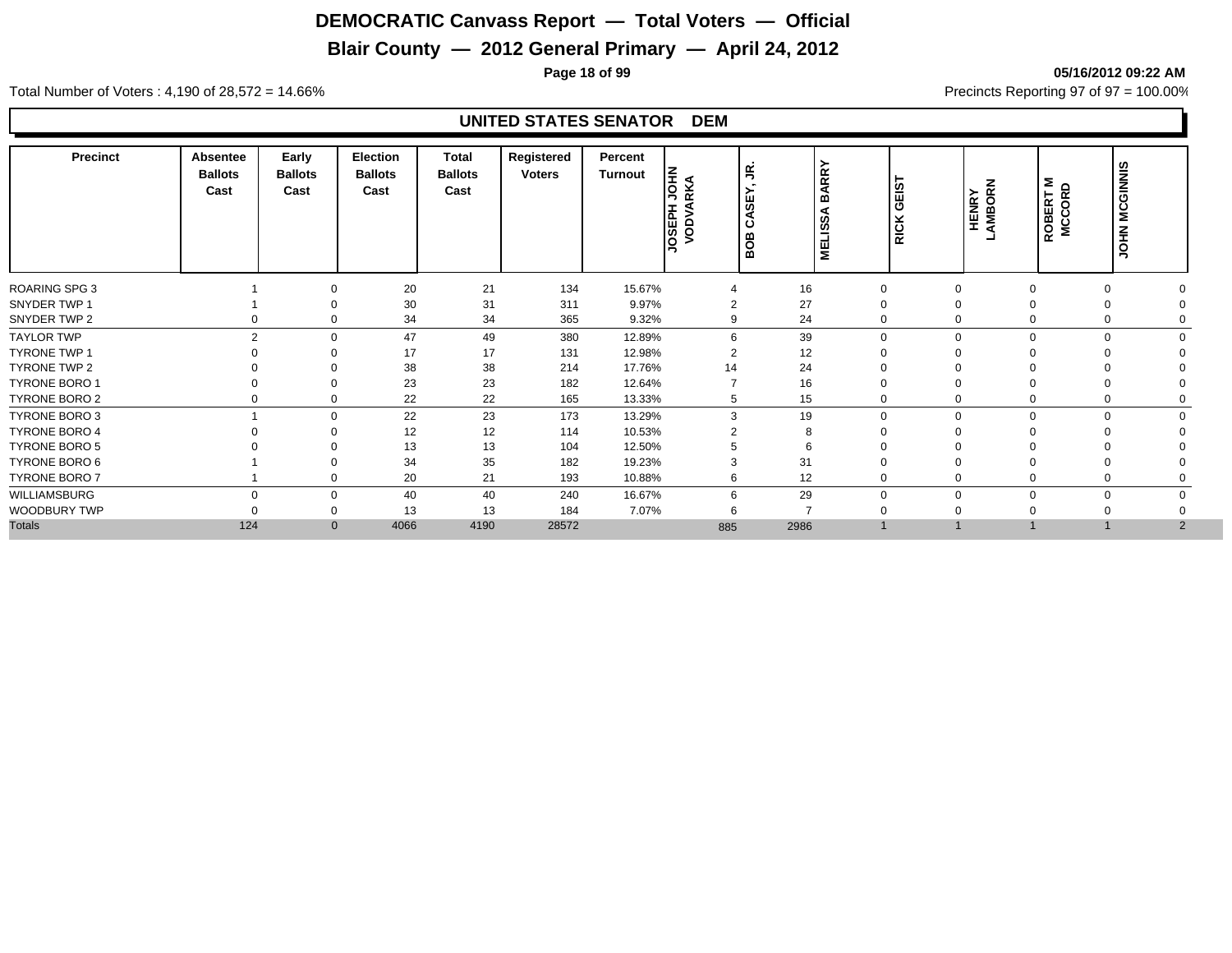### **Blair County — 2012 General Primary — April 24, 2012**

**Page 18 of 99 05/16/2012 09:22 AM**

Total Number of Voters : 4,190 of 28,572 = 14.66% Precincts Reporting 97 of 97 = 100.00%

#### **UNITED STATES SENATOR DEM**

| <b>Precinct</b>      | Absentee<br><b>Ballots</b><br>Cast | Early<br><b>Ballots</b><br>Cast | Election<br><b>Ballots</b><br>Cast | <b>Total</b><br><b>Ballots</b><br>Cast | Registered<br><b>Voters</b> | Percent<br>Turnout | 동 적<br>$\sim$<br>⊳<br>◢<br>١۵<br><b>ASSET</b> | g<br>္တြ<br>ేచ<br>BOB | ARRY<br>m<br>⋖<br>MELISS, | GEIST<br><b>RICK</b> | HENRY<br>AMBORN | <b>ROBERT M</b><br>MCCORD | JOHN MCGINNIS |  |
|----------------------|------------------------------------|---------------------------------|------------------------------------|----------------------------------------|-----------------------------|--------------------|-----------------------------------------------|-----------------------|---------------------------|----------------------|-----------------|---------------------------|---------------|--|
| ROARING SPG 3        |                                    | $\Omega$                        | 20                                 | 21                                     | 134                         | 15.67%             |                                               | 16                    | $\mathbf 0$               |                      | $\Omega$        |                           | 0             |  |
| SNYDER TWP 1         |                                    |                                 | 30                                 | 31                                     | 311                         | 9.97%              | $\overline{2}$                                | 27                    | $\Omega$                  |                      |                 |                           |               |  |
| SNYDER TWP 2         |                                    | $\Omega$                        | 34                                 | 34                                     | 365                         | 9.32%              | 9                                             | 24                    | $\mathbf 0$               |                      | 0               |                           |               |  |
| <b>TAYLOR TWP</b>    | $\mathfrak{p}$                     | $\Omega$                        | 47                                 | 49                                     | 380                         | 12.89%             | 6                                             | 39                    | $\mathbf 0$               | U                    | $\mathbf 0$     |                           | $\Omega$      |  |
| <b>TYRONE TWP 1</b>  |                                    | $\Omega$                        | 17                                 | 17                                     | 131                         | 12.98%             | $\overline{2}$                                | 12                    | $\Omega$                  |                      |                 |                           |               |  |
| TYRONE TWP 2         |                                    | ∩                               | 38                                 | 38                                     | 214                         | 17.76%             | 14                                            | 24                    | $\Omega$                  |                      |                 |                           |               |  |
| <b>TYRONE BORO 1</b> |                                    | $\Omega$                        | 23                                 | 23                                     | 182                         | 12.64%             |                                               | 16                    | $\mathbf 0$               |                      |                 |                           |               |  |
| TYRONE BORO 2        |                                    | $\Omega$                        | 22                                 | 22                                     | 165                         | 13.33%             | 5                                             | 15                    | 0                         |                      | 0               |                           | 0             |  |
| <b>TYRONE BORO 3</b> |                                    | $\Omega$                        | 22                                 | 23                                     | 173                         | 13.29%             | 3                                             | 19                    | $\mathbf 0$               | $\Omega$             | $\mathbf 0$     |                           | $\mathbf 0$   |  |
| <b>TYRONE BORO 4</b> |                                    | ∩                               | 12                                 | 12                                     | 114                         | 10.53%             |                                               | 8                     | $\Omega$                  |                      |                 |                           |               |  |
| <b>TYRONE BORO 5</b> |                                    |                                 | 13                                 | 13                                     | 104                         | 12.50%             |                                               | 6                     | $\Omega$                  |                      |                 |                           |               |  |
| TYRONE BORO 6        |                                    | $\Omega$                        | 34                                 | 35                                     | 182                         | 19.23%             | 3                                             | 31                    | $\Omega$                  |                      |                 |                           |               |  |
| <b>TYRONE BORO 7</b> |                                    | $\Omega$                        | 20                                 | 21                                     | 193                         | 10.88%             | 6                                             | 12                    | $\mathbf 0$               |                      |                 |                           |               |  |
| WILLIAMSBURG         | $\Omega$                           | $\Omega$                        | 40                                 | 40                                     | 240                         | 16.67%             | 6                                             | 29                    | $\mathbf 0$               |                      | $\Omega$        |                           | $\mathbf 0$   |  |
| WOODBURY TWP         |                                    | $\Omega$                        | 13                                 | 13                                     | 184                         | 7.07%              | 6                                             | ۰,                    | $\Omega$                  |                      |                 |                           |               |  |
| <b>Totals</b>        | 124                                | $\mathbf{0}$                    | 4066                               | 4190                                   | 28572                       |                    | 885                                           | 2986                  |                           |                      |                 |                           | 2             |  |
|                      |                                    |                                 |                                    |                                        |                             |                    |                                               |                       |                           |                      |                 |                           |               |  |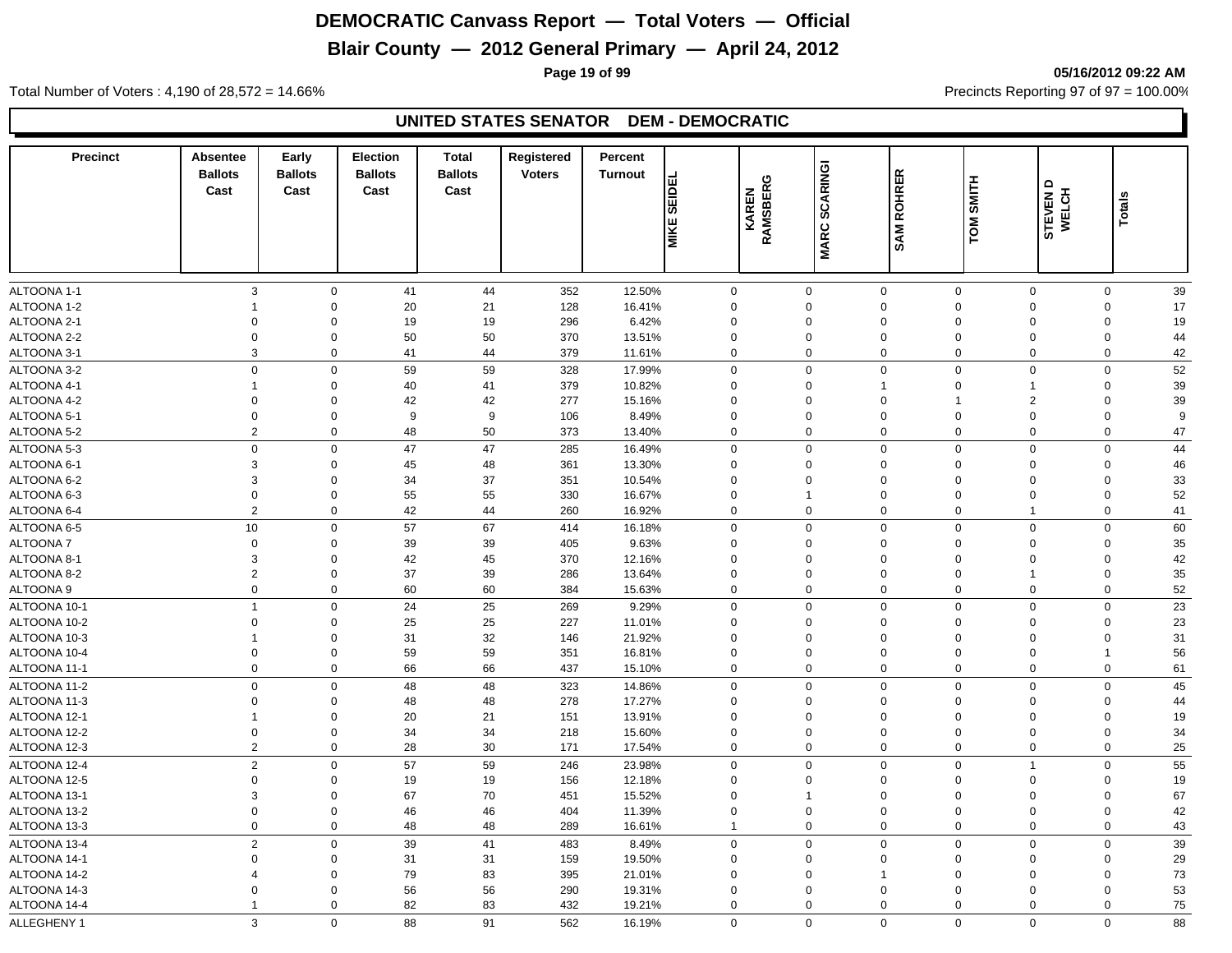## **Blair County — 2012 General Primary — April 24, 2012**

**Page 19 of 99 05/16/2012 09:22 AM**

Total Number of Voters : 4,190 of 28,572 = 14.66% Precincts Reporting 97 of 97 = 100.00%

#### **UNITED STATES SENATOR DEM - DEMOCRATIC**

| <b>Precinct</b> | <b>Absentee</b><br><b>Ballots</b><br>Cast | Early<br><b>Ballots</b><br>Cast | <b>Election</b><br><b>Ballots</b><br>Cast | <b>Total</b><br><b>Ballots</b><br>Cast | Registered<br><b>Voters</b> | Percent<br><b>Turnout</b> | <b>SEIDEL</b><br><b>MIKE</b> | O<br>KAREN<br>RAMSBERG | <b>SCARINGI</b><br><b>MARC</b> | <b>ROHRER</b><br>SAM | <b>TOM SMITH</b> | Δ<br>STEVEN D<br>WELCH | Totals         |    |
|-----------------|-------------------------------------------|---------------------------------|-------------------------------------------|----------------------------------------|-----------------------------|---------------------------|------------------------------|------------------------|--------------------------------|----------------------|------------------|------------------------|----------------|----|
|                 |                                           |                                 |                                           |                                        |                             |                           |                              |                        |                                |                      |                  |                        |                |    |
| ALTOONA 1-1     | 3                                         | $\mathbf 0$                     | 41                                        | 44                                     | 352                         | 12.50%                    | $\mathbf 0$                  |                        | $\mathbf 0$                    | $\mathbf 0$          | $\mathbf 0$      | $\mathbf 0$            | 0              | 39 |
| ALTOONA 1-2     | $\overline{1}$                            | $\Omega$                        | 20                                        | 21                                     | 128                         | 16.41%                    | $\Omega$                     |                        | $\Omega$                       | $\mathbf 0$          | $\Omega$         | $\mathbf 0$            | $\mathbf 0$    | 17 |
| ALTOONA 2-1     | $\Omega$                                  | $\Omega$                        | 19                                        | 19                                     | 296                         | 6.42%                     | $\Omega$                     |                        | $\Omega$                       | $\mathbf 0$          | $\mathbf 0$      | $\Omega$               | $\mathbf 0$    | 19 |
| ALTOONA 2-2     | $\Omega$                                  | $\mathbf 0$                     | 50                                        | 50                                     | 370                         | 13.51%                    | $\Omega$                     |                        | $\Omega$                       | $\mathbf 0$          | $\mathbf 0$      | $\Omega$               | 0              | 44 |
| ALTOONA 3-1     | 3                                         | $\mathbf 0$                     | 41                                        | 44                                     | 379                         | 11.61%                    | $\mathbf 0$                  |                        | 0                              | $\mathbf 0$          | $\mathbf 0$      | $\mathbf 0$            | 0              | 42 |
| ALTOONA 3-2     | $\mathbf 0$                               | $\mathbf 0$                     | 59                                        | 59                                     | 328                         | 17.99%                    | $\mathbf 0$                  |                        | $\mathbf{0}$                   | $\mathbf 0$          | $\mathbf 0$      | $\mathbf 0$            | $\mathbf 0$    | 52 |
| ALTOONA 4-1     | $\mathbf{1}$                              | $\mathbf 0$                     | 40                                        | 41                                     | 379                         | 10.82%                    | $\Omega$                     |                        | $\Omega$                       | $\mathbf{1}$         | $\mathbf 0$      | $\overline{1}$         | 0              | 39 |
| ALTOONA 4-2     | $\mathbf 0$                               | $\mathbf 0$                     | 42                                        | 42                                     | 277                         | 15.16%                    | $\mathbf 0$                  |                        | $\mathbf 0$                    | $\mathbf 0$          |                  | $\overline{2}$         | 0              | 39 |
| ALTOONA 5-1     | $\mathbf 0$                               | $\mathbf 0$                     | 9                                         | 9                                      | 106                         | 8.49%                     | $\Omega$                     |                        | $\mathbf 0$                    | $\mathbf 0$          | $\mathbf 0$      | $\mathbf 0$            | 0              | 9  |
| ALTOONA 5-2     | $\overline{2}$                            | $\mathbf 0$                     | 48                                        | 50                                     | 373                         | 13.40%                    | $\Omega$                     |                        | 0                              | $\mathbf 0$          | $\mathbf 0$      | $\mathbf 0$            | 0              | 47 |
| ALTOONA 5-3     | $\mathbf 0$                               | $\mathbf 0$                     | 47                                        | 47                                     | 285                         | 16.49%                    | $\mathbf 0$                  |                        | $\mathbf 0$                    | $\mathbf 0$          | $\mathbf 0$      | $\mathbf 0$            | $\mathbf 0$    | 44 |
| ALTOONA 6-1     | 3                                         | $\mathbf 0$                     | 45                                        | 48                                     | 361                         | 13.30%                    | $\mathbf 0$                  |                        | $\mathbf 0$                    | $\mathbf 0$          | $\mathbf 0$      | $\mathbf 0$            | 0              | 46 |
| ALTOONA 6-2     | 3                                         | $\mathbf 0$                     | 34                                        | 37                                     | 351                         | 10.54%                    | $\Omega$                     |                        | $\mathbf 0$                    | $\mathbf 0$          | $\Omega$         | $\mathbf 0$            | 0              | 33 |
| ALTOONA 6-3     | $\overline{0}$                            | $\mathbf 0$                     | 55                                        | 55                                     | 330                         | 16.67%                    | $\Omega$                     |                        | -1                             | $\mathbf 0$          | $\Omega$         | $\Omega$               | $\mathbf 0$    | 52 |
| ALTOONA 6-4     | $\overline{2}$                            | $\mathbf 0$                     | 42                                        | 44                                     | 260                         | 16.92%                    | $\Omega$                     |                        | $\mathbf 0$                    | $\mathbf 0$          | $\Omega$         | $\mathbf{1}$           | $\mathbf 0$    | 41 |
| ALTOONA 6-5     | 10                                        | $\mathbf 0$                     | 57                                        | 67                                     | 414                         | 16.18%                    | $\Omega$                     |                        | $\mathbf 0$                    | $\mathbf 0$          | $\mathbf 0$      | $\mathbf 0$            | $\mathbf 0$    | 60 |
| <b>ALTOONA7</b> | $\mathbf 0$                               | $\mathbf 0$                     | 39                                        | 39                                     | 405                         | 9.63%                     | $\Omega$                     |                        | $\mathbf 0$                    | $\mathbf 0$          | $\Omega$         | $\Omega$               | $\mathbf 0$    | 35 |
| ALTOONA 8-1     | 3                                         | $\Omega$                        | 42                                        | 45                                     | 370                         | 12.16%                    | $\Omega$                     |                        | $\Omega$                       | $\mathbf 0$          | $\Omega$         | $\Omega$               | $\Omega$       | 42 |
| ALTOONA 8-2     | $\overline{2}$                            | $\mathbf 0$                     | 37                                        | 39                                     | 286                         | 13.64%                    | $\Omega$                     |                        | $\Omega$                       | $\mathbf 0$          | $\Omega$         | $\overline{1}$         | $\mathbf 0$    | 35 |
| ALTOONA 9       | 0                                         | $\mathbf 0$                     | 60                                        | 60                                     | 384                         | 15.63%                    | $\mathbf 0$                  |                        | 0                              | $\mathbf 0$          | $\mathbf 0$      | $\mathbf 0$            | 0              | 52 |
| ALTOONA 10-1    | $\overline{1}$                            | $\mathbf 0$                     | 24                                        | 25                                     | 269                         | 9.29%                     | $\Omega$                     |                        | $\mathbf{0}$                   | $\mathbf{0}$         | $\Omega$         | $\mathbf 0$            | $\mathbf 0$    | 23 |
| ALTOONA 10-2    | $\mathbf 0$                               | $\mathbf 0$                     | 25                                        | 25                                     | 227                         | 11.01%                    | $\Omega$                     |                        | $\mathbf 0$                    | $\mathbf 0$          | $\Omega$         | $\mathbf 0$            | 0              | 23 |
| ALTOONA 10-3    | $\mathbf 1$                               | $\mathbf 0$                     | 31                                        | 32                                     | 146                         | 21.92%                    | $\mathbf 0$                  |                        | $\mathbf 0$                    | $\mathbf 0$          | $\mathbf 0$      | $\mathbf 0$            | 0              | 31 |
| ALTOONA 10-4    | $\mathbf 0$                               | $\mathbf 0$                     | 59                                        | 59                                     | 351                         | 16.81%                    | $\mathbf 0$                  |                        | $\mathbf 0$                    | $\mathbf 0$          | $\mathbf 0$      | $\mathbf 0$            | $\overline{1}$ | 56 |
| ALTOONA 11-1    | $\mathbf 0$                               | $\mathbf 0$                     | 66                                        | 66                                     | 437                         | 15.10%                    | $\mathbf 0$                  |                        | $\mathbf 0$                    | $\mathbf 0$          | $\mathbf 0$      | $\mathbf 0$            | $\mathbf 0$    | 61 |
| ALTOONA 11-2    | $\mathbf 0$                               | $\mathbf 0$                     | 48                                        | 48                                     | 323                         | 14.86%                    | $\Omega$                     |                        | $\mathbf 0$                    | $\mathbf 0$          | $\Omega$         | $\overline{0}$         | $\mathbf 0$    | 45 |
| ALTOONA 11-3    | $\mathbf 0$                               | $\mathbf 0$                     | 48                                        | 48                                     | 278                         | 17.27%                    | $\mathbf 0$                  |                        | $\mathbf 0$                    | $\mathbf 0$          | $\mathbf 0$      | $\mathbf 0$            | 0              | 44 |
| ALTOONA 12-1    | $\mathbf 1$                               | $\mathbf 0$                     | 20                                        | 21                                     | 151                         | 13.91%                    | $\mathbf 0$                  |                        | $\mathbf 0$                    | $\mathbf 0$          | $\mathbf 0$      | $\mathbf 0$            | $\mathbf 0$    | 19 |
| ALTOONA 12-2    | $\overline{0}$                            | $\mathbf 0$                     | 34                                        | 34                                     | 218                         | 15.60%                    | $\Omega$                     |                        | 0                              | $\mathbf 0$          | $\mathbf 0$      | $\overline{0}$         | $\mathbf 0$    | 34 |
| ALTOONA 12-3    | $\overline{2}$                            | $\mathbf 0$                     | 28                                        | 30                                     | 171                         | 17.54%                    | $\mathbf 0$                  |                        | $\Omega$                       | $\mathbf 0$          | $\mathbf 0$      | $\mathbf 0$            | 0              | 25 |
| ALTOONA 12-4    | $\overline{2}$                            | $\mathbf 0$                     | 57                                        | 59                                     | 246                         | 23.98%                    | $\mathbf 0$                  |                        | $\mathbf 0$                    | $\mathbf 0$          | $\mathbf 0$      | $\mathbf{1}$           | $\mathbf 0$    | 55 |
| ALTOONA 12-5    | $\mathbf 0$                               | $\mathbf 0$                     | 19                                        | 19                                     | 156                         | 12.18%                    | $\mathbf 0$                  |                        | $\mathbf 0$                    | $\mathbf 0$          | $\Omega$         | $\Omega$               | 0              | 19 |
| ALTOONA 13-1    | 3                                         | $\mathbf 0$                     | 67                                        | 70                                     | 451                         | 15.52%                    | $\Omega$                     |                        | $\mathbf 1$                    | $\mathbf 0$          | 0                | $\mathbf 0$            | 0              | 67 |
| ALTOONA 13-2    | $\mathbf 0$                               | $\mathbf 0$                     | 46                                        | 46                                     | 404                         | 11.39%                    | $\mathbf 0$                  |                        | $\mathbf 0$                    | $\mathbf 0$          | $\mathbf 0$      | $\mathbf 0$            | $\mathbf 0$    | 42 |
| ALTOONA 13-3    | $\mathbf 0$                               | $\mathbf 0$                     | 48                                        | 48                                     | 289                         | 16.61%                    | $\mathbf{1}$                 |                        | $\mathbf 0$                    | $\mathbf 0$          | $\mathbf 0$      | $\overline{0}$         | $\mathbf 0$    | 43 |
| ALTOONA 13-4    | $\overline{2}$                            | $\mathbf 0$                     | 39                                        | 41                                     | 483                         | 8.49%                     | $\Omega$                     |                        | $\mathbf 0$                    | $\mathbf 0$          | $\mathbf 0$      | $\mathbf{0}$           | 0              | 39 |
| ALTOONA 14-1    | 0                                         | $\mathbf 0$                     | 31                                        | 31                                     | 159                         | 19.50%                    | $\mathbf 0$                  |                        | $\mathbf 0$                    | $\mathbf 0$          | $\mathbf 0$      | $\mathbf 0$            | 0              | 29 |
| ALTOONA 14-2    | $\overline{4}$                            | $\mathbf 0$                     | 79                                        | 83                                     | 395                         | 21.01%                    | $\mathbf 0$                  |                        | $\mathbf 0$                    | $\mathbf{1}$         | $\mathbf 0$      | $\mathbf 0$            | 0              | 73 |
| ALTOONA 14-3    | $\Omega$                                  | $\mathbf 0$                     | 56                                        | 56                                     | 290                         | 19.31%                    | $\mathbf 0$                  |                        | $\mathbf 0$                    | $\mathbf 0$          | $\Omega$         | $\mathbf 0$            | 0              | 53 |
| ALTOONA 14-4    | $\overline{1}$                            | $\mathbf 0$                     | 82                                        | 83                                     | 432                         | 19.21%                    | $\Omega$                     |                        | $\mathbf 0$                    | $\mathbf 0$          | $\Omega$         | $\mathbf 0$            | $\mathbf 0$    | 75 |
|                 | 3                                         | $\Omega$                        | 88                                        | 91                                     |                             |                           | $\mathbf 0$                  |                        | $\Omega$                       | $\mathbf{0}$         | $\mathbf 0$      | $\mathbf 0$            | $\Omega$       | 88 |
| ALLEGHENY 1     |                                           |                                 |                                           |                                        | 562                         | 16.19%                    |                              |                        |                                |                      |                  |                        |                |    |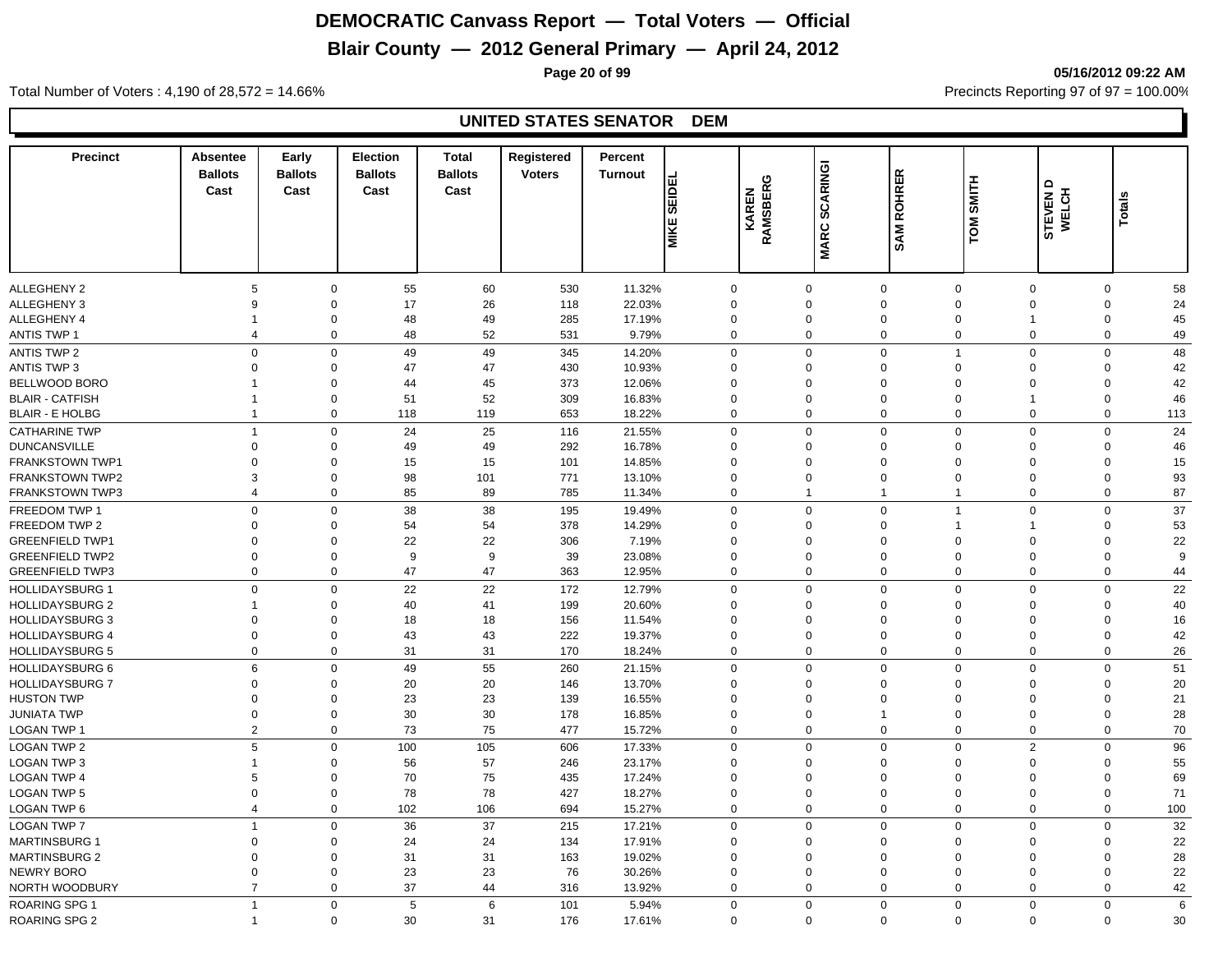## **Blair County — 2012 General Primary — April 24, 2012**

**Page 20 of 99 05/16/2012 09:22 AM**

Total Number of Voters : 4,190 of 28,572 = 14.66% Precincts Reporting 97 of 97 = 100.00%

#### **UNITED STATES SENATOR DEM**

| <b>Precinct</b>        | Absentee<br><b>Ballots</b><br>Cast | Early<br><b>Ballots</b><br>Cast | <b>Election</b><br><b>Ballots</b><br>Cast | Total<br><b>Ballots</b><br>Cast | Registered<br><b>Voters</b> | Percent<br><b>Turnout</b> | <b>SEIDEL</b><br><b>MIKE</b> | RAMSBERG<br>KAREN | <b>SCARINGI</b><br><b>MARC</b> | <b>ROHRER</b><br>SAM | <b>SMITH</b><br>TOM | STEVEN D<br>WELCH | Totals      |     |
|------------------------|------------------------------------|---------------------------------|-------------------------------------------|---------------------------------|-----------------------------|---------------------------|------------------------------|-------------------|--------------------------------|----------------------|---------------------|-------------------|-------------|-----|
| ALLEGHENY 2            | 5                                  |                                 | 55<br>$\mathbf 0$                         | 60                              | 530                         | 11.32%                    | $\mathbf 0$                  |                   | 0                              | $\mathbf 0$          | $\mathbf 0$         | $\mathbf 0$       | 0           | 58  |
| ALLEGHENY 3            | 9                                  | $\mathbf 0$                     | 17                                        | 26                              | 118                         | 22.03%                    | $\Omega$                     |                   | $\mathbf 0$                    | $\mathbf 0$          | $\Omega$            | $\Omega$          | 0           | 24  |
| ALLEGHENY 4            | $\overline{1}$                     |                                 | 48<br>$\mathbf 0$                         | 49                              | 285                         | 17.19%                    | $\mathbf 0$                  |                   | $\mathbf 0$                    | $\mathbf 0$          | $\mathbf 0$         | $\overline{1}$    | $\mathbf 0$ | 45  |
| <b>ANTIS TWP 1</b>     | $\overline{4}$                     |                                 | $\mathbf 0$<br>48                         | 52                              | 531                         | 9.79%                     | $\mathbf 0$                  |                   | $\Omega$                       | $\mathbf 0$          | $\mathbf 0$         | $\Omega$          | $\mathbf 0$ | 49  |
| ANTIS TWP 2            | $\mathbf 0$                        |                                 | $\mathbf 0$<br>49                         | 49                              | 345                         | 14.20%                    | $\mathbf 0$                  |                   | $\Omega$                       | $\mathbf 0$          | $\overline{1}$      | $\Omega$          | $\mathbf 0$ | 48  |
| ANTIS TWP 3            | $\mathbf 0$                        |                                 | $\Omega$<br>47                            | 47                              | 430                         | 10.93%                    | $\Omega$                     |                   | $\Omega$                       | $\mathbf 0$          | $\Omega$            | $\Omega$          | 0           | 42  |
| BELLWOOD BORO          | $\mathbf 1$                        |                                 | $\mathbf 0$<br>44                         | 45                              | 373                         | 12.06%                    | $\Omega$                     |                   | 0                              | $\mathbf 0$          | $\Omega$            | $\Omega$          | 0           | 42  |
| <b>BLAIR - CATFISH</b> | $\overline{1}$                     |                                 | 51<br>$\mathbf 0$                         | 52                              | 309                         | 16.83%                    | $\Omega$                     |                   | 0                              | $\mathbf 0$          | $\Omega$            | 1                 | $\mathbf 0$ | 46  |
| <b>BLAIR - E HOLBG</b> | $\overline{1}$                     |                                 | $\mathbf 0$<br>118                        | 119                             | 653                         | 18.22%                    | $\mathbf 0$                  |                   | $\mathbf 0$                    | $\mathbf 0$          | $\mathbf 0$         | $\overline{0}$    | $\mathbf 0$ | 113 |
| <b>CATHARINE TWP</b>   | $\overline{1}$                     |                                 | 24<br>$\mathbf 0$                         | 25                              | 116                         | 21.55%                    | $\Omega$                     |                   | $\Omega$                       | $\mathbf 0$          | $\mathbf 0$         | $\Omega$          | $\mathbf 0$ | 24  |
| <b>DUNCANSVILLE</b>    | $\mathbf 0$                        |                                 | $\mathbf 0$<br>49                         | 49                              | 292                         | 16.78%                    | $\mathbf 0$                  |                   | $\Omega$                       | $\mathbf 0$          | $\Omega$            | $\Omega$          | $\mathbf 0$ | 46  |
| <b>FRANKSTOWN TWP1</b> | $\Omega$                           |                                 | 15<br>0                                   | 15                              | 101                         | 14.85%                    | $\Omega$                     |                   | $\Omega$                       | $\mathbf 0$          | $\Omega$            | $\Omega$          | $\Omega$    | 15  |
| <b>FRANKSTOWN TWP2</b> | 3                                  |                                 | 98<br>$\mathbf 0$                         | 101                             | 771                         | 13.10%                    | $\Omega$                     |                   | $\Omega$                       | $\mathbf 0$          | $\Omega$            | $\Omega$          | $\mathbf 0$ | 93  |
| <b>FRANKSTOWN TWP3</b> | $\overline{4}$                     |                                 | $\mathbf{0}$<br>85                        | 89                              | 785                         | 11.34%                    | $\mathbf 0$                  |                   | $\mathbf 1$                    | $\overline{1}$       | $\overline{1}$      | $\Omega$          | $\mathbf 0$ | 87  |
| FREEDOM TWP 1          | $\mathbf 0$                        |                                 | $\mathbf 0$<br>38                         | 38                              | 195                         | 19.49%                    | $\mathbf 0$                  |                   | $\mathbf 0$                    | $\mathbf 0$          | $\overline{1}$      | $\Omega$          | $\mathbf 0$ | 37  |
| FREEDOM TWP 2          | $\Omega$                           |                                 | 54<br>$\mathbf 0$                         | 54                              | 378                         | 14.29%                    | $\Omega$                     |                   | $\mathbf 0$                    | $\mathbf 0$          |                     |                   | $\mathbf 0$ | 53  |
| <b>GREENFIELD TWP1</b> | $\mathbf 0$                        | $\mathbf 0$                     | 22                                        | 22                              | 306                         | 7.19%                     | $\Omega$                     |                   | $\Omega$                       | $\mathbf 0$          | $\Omega$            | $\Omega$          | $\mathbf 0$ | 22  |
| <b>GREENFIELD TWP2</b> | $\mathbf 0$                        |                                 | $\mathbf 0$<br>9                          | 9                               | 39                          | 23.08%                    | $\Omega$                     |                   | $\Omega$                       | $\mathbf 0$          | $\Omega$            | $\Omega$          | $\mathbf 0$ | 9   |
| <b>GREENFIELD TWP3</b> | $\mathbf 0$                        |                                 | $\mathbf 0$<br>47                         | 47                              | 363                         | 12.95%                    | $\Omega$                     |                   | $\mathbf 0$                    | $\mathbf 0$          | $\Omega$            | $\Omega$          | $\mathbf 0$ | 44  |
| <b>HOLLIDAYSBURG 1</b> | $\mathbf 0$                        |                                 | 22<br>0                                   | 22                              | 172                         | 12.79%                    | $\Omega$                     |                   | $\Omega$                       | $\mathbf 0$          | $\Omega$            | $\Omega$          | $\mathbf 0$ | 22  |
| <b>HOLLIDAYSBURG 2</b> | -1                                 |                                 | 40<br>0                                   | 41                              | 199                         | 20.60%                    | $\Omega$                     |                   | $\Omega$                       | $\mathbf 0$          | $\Omega$            | $\Omega$          | $\Omega$    | 40  |
| <b>HOLLIDAYSBURG 3</b> | $\mathbf 0$                        | $\mathbf 0$                     | 18                                        | 18                              | 156                         | 11.54%                    | $\Omega$                     |                   | 0                              | $\mathbf 0$          | $\Omega$            | $\Omega$          | $\Omega$    | 16  |
| <b>HOLLIDAYSBURG 4</b> | $\boldsymbol{0}$                   |                                 | 43<br>$\mathbf 0$                         | 43                              | 222                         | 19.37%                    | $\mathbf 0$                  |                   | $\mathbf 0$                    | $\mathbf 0$          | $\mathbf 0$         | $\mathbf 0$       | $\mathbf 0$ | 42  |
| <b>HOLLIDAYSBURG 5</b> | $\mathbf 0$                        |                                 | 31<br>0                                   | 31                              | 170                         | 18.24%                    | $\mathbf 0$                  |                   | $\mathbf 0$                    | $\mathbf 0$          | $\mathbf 0$         | $\mathbf 0$       | 0           | 26  |
| <b>HOLLIDAYSBURG 6</b> | 6                                  |                                 | $\mathbf 0$<br>49                         | 55                              | 260                         | 21.15%                    | $\mathbf 0$                  |                   | $\Omega$                       | $\mathbf 0$          | $\mathbf 0$         | $\Omega$          | $\mathbf 0$ | 51  |
| <b>HOLLIDAYSBURG 7</b> | $\Omega$                           |                                 | 20<br>$\Omega$                            | 20                              | 146                         | 13.70%                    | $\Omega$                     |                   | $\Omega$                       | $\mathbf 0$          | $\Omega$            | $\Omega$          | $\Omega$    | 20  |
| <b>HUSTON TWP</b>      | $\mathbf 0$                        |                                 | 23<br>$\mathbf 0$                         | 23                              | 139                         | 16.55%                    | $\Omega$                     |                   | $\Omega$                       | $\mathbf 0$          | $\Omega$            | $\Omega$          | $\mathbf 0$ | 21  |
| <b>JUNIATA TWP</b>     | $\mathbf 0$                        |                                 | $\mathbf 0$<br>30                         | 30                              | 178                         | 16.85%                    | $\Omega$                     |                   | $\mathbf 0$                    | $\mathbf{1}$         | $\mathbf 0$         | $\mathbf 0$       | $\mathbf 0$ | 28  |
| LOGAN TWP 1            | $\overline{2}$                     |                                 | 73<br>$\mathbf 0$                         | 75                              | 477                         | 15.72%                    | $\Omega$                     |                   | $\Omega$                       | $\mathbf 0$          | $\Omega$            | $\Omega$          | $\mathbf 0$ | 70  |
| <b>LOGAN TWP 2</b>     | 5                                  |                                 | $\mathbf 0$<br>100                        | 105                             | 606                         | 17.33%                    | $\Omega$                     |                   | $\mathbf 0$                    | $\mathbf 0$          | $\mathbf 0$         | $\overline{2}$    | $\mathbf 0$ | 96  |
| <b>LOGAN TWP 3</b>     | $\mathbf{1}$                       | $\mathbf 0$                     | 56                                        | 57                              | 246                         | 23.17%                    | $\Omega$                     |                   | $\Omega$                       | $\mathbf 0$          | $\Omega$            | $\Omega$          | $\Omega$    | 55  |
| <b>LOGAN TWP 4</b>     | 5                                  |                                 | $\mathbf 0$<br>70                         | 75                              | 435                         | 17.24%                    | $\Omega$                     |                   | $\mathbf 0$                    | $\mathbf 0$          | $\Omega$            | $\mathbf 0$       | $\mathbf 0$ | 69  |
| <b>LOGAN TWP 5</b>     | $\mathbf 0$                        |                                 | $\mathbf 0$<br>78                         | 78                              | 427                         | 18.27%                    | $\Omega$                     |                   | $\mathbf 0$                    | $\mathbf 0$          | $\mathbf 0$         | $\overline{0}$    | $\mathbf 0$ | 71  |
| <b>LOGAN TWP 6</b>     | $\overline{4}$                     |                                 | $\mathbf 0$<br>102                        | 106                             | 694                         | 15.27%                    | $\mathbf 0$                  |                   | $\mathbf 0$                    | $\mathbf 0$          | $\mathbf 0$         | $\overline{0}$    | $\mathbf 0$ | 100 |
| <b>LOGAN TWP 7</b>     | $\overline{1}$                     |                                 | 36<br>$\Omega$                            | 37                              | 215                         | 17.21%                    | $\Omega$                     |                   | $\Omega$                       | $\mathbf 0$          | $\Omega$            | $\Omega$          | $\mathbf 0$ | 32  |
| <b>MARTINSBURG 1</b>   | $\mathbf 0$                        |                                 | $\Omega$<br>24                            | 24                              | 134                         | 17.91%                    | $\Omega$                     |                   | $\Omega$                       | $\mathbf 0$          | $\Omega$            | $\Omega$          | 0           | 22  |
| <b>MARTINSBURG 2</b>   | $\mathbf 0$                        |                                 | 31<br>$\mathbf 0$                         | 31                              | 163                         | 19.02%                    | $\mathbf 0$                  |                   | $\mathbf 0$                    | $\mathbf 0$          | $\Omega$            | $\mathbf 0$       | 0           | 28  |
| NEWRY BORO             | $\mathbf 0$                        |                                 | 23<br>$\mathbf 0$                         | 23                              | 76                          | 30.26%                    | $\mathbf 0$                  |                   | $\mathbf 0$                    | $\mathbf 0$          | $\mathbf 0$         | $\mathbf 0$       | 0           | 22  |
| NORTH WOODBURY         | $\overline{7}$                     |                                 | 37<br>$\mathbf 0$                         | 44                              | 316                         | 13.92%                    | $\mathbf 0$                  |                   | $\mathbf 0$                    | $\mathbf 0$          | $\mathbf 0$         | $\overline{0}$    | 0           | 42  |
| <b>ROARING SPG 1</b>   | $\overline{1}$                     |                                 | $\mathbf{0}$<br>5                         | 6                               | 101                         | 5.94%                     | $\mathbf 0$                  |                   | $\Omega$                       | $\mathbf 0$          | $\mathbf 0$         | $\Omega$          | $\mathbf 0$ | 6   |
| <b>ROARING SPG 2</b>   | $\overline{1}$                     |                                 | $\mathbf 0$<br>30                         | 31                              | 176                         | 17.61%                    | $\Omega$                     |                   | $\Omega$                       | $\Omega$             | $\Omega$            | $\mathbf 0$       | $\mathbf 0$ | 30  |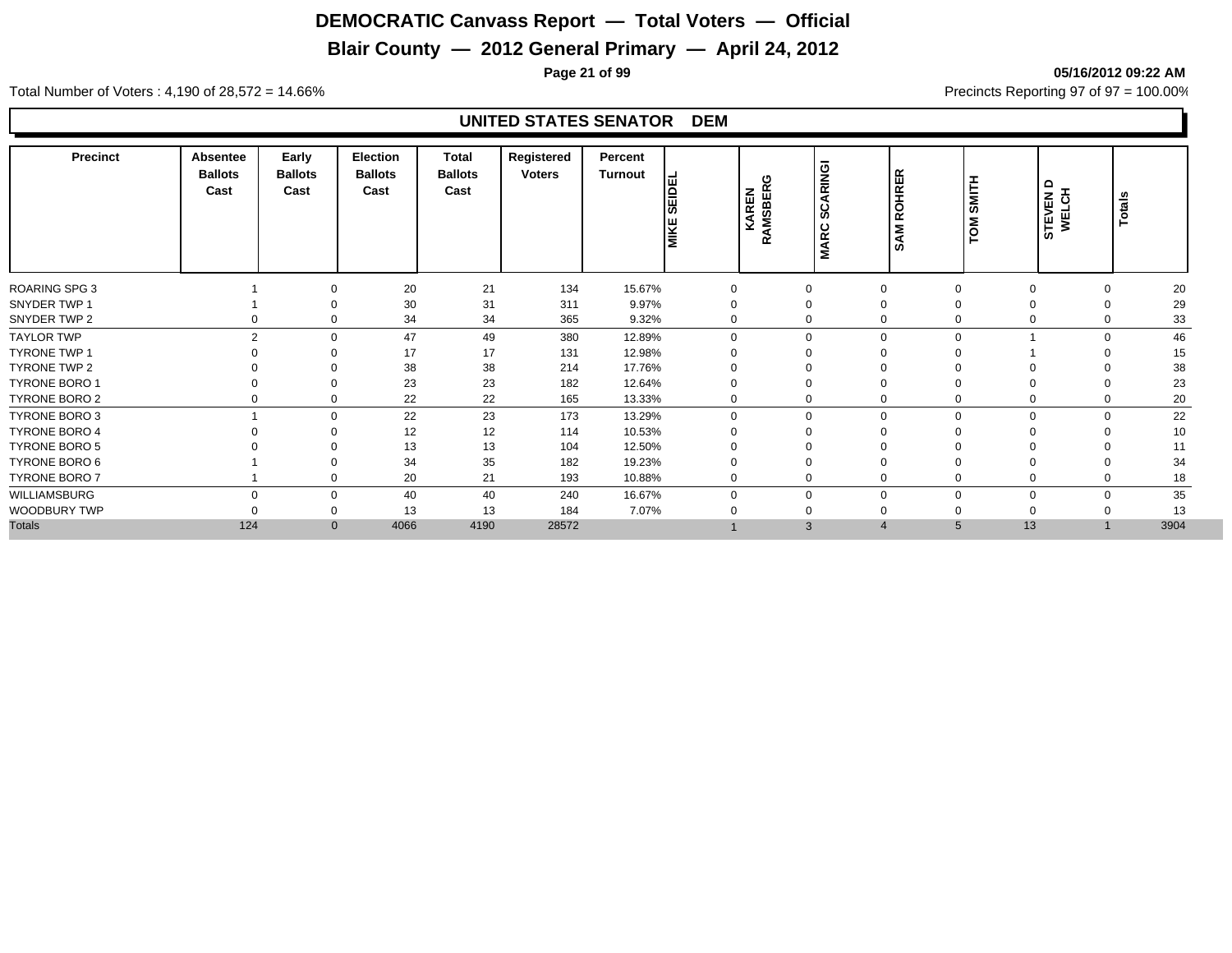## **Blair County — 2012 General Primary — April 24, 2012**

**Page 21 of 99 05/16/2012 09:22 AM**

Total Number of Voters : 4,190 of 28,572 = 14.66% Precincts Reporting 97 of 97 = 100.00%

#### **UNITED STATES SENATOR DEM**

| <b>Precinct</b>      | Absentee<br><b>Ballots</b><br>Cast | Early<br><b>Ballots</b><br>Cast | Election<br><b>Ballots</b><br>Cast | <b>Total</b><br><b>Ballots</b><br>Cast | Registered<br><b>Voters</b> | Percent<br>Turnout | <b>SEIDEL</b><br><b>MIKE</b> | KAREN<br>RAMSBERO | ARINGI<br>ن ا<br>ທ<br><b>MARC</b> | <b>OHRER</b><br>œ<br>Σ<br>◀<br>n, | <b>SMITH</b><br>TOM  | ≏<br>STEVEN I<br>WELCH | Totals |
|----------------------|------------------------------------|---------------------------------|------------------------------------|----------------------------------------|-----------------------------|--------------------|------------------------------|-------------------|-----------------------------------|-----------------------------------|----------------------|------------------------|--------|
| <b>ROARING SPG 3</b> |                                    | $\Omega$                        | 20                                 | 21                                     | 134                         | 15.67%             | $\mathbf 0$                  |                   | $\mathbf 0$                       | $\mathbf 0$                       | $\mathbf 0$          | 0                      | 20     |
| SNYDER TWP 1         |                                    | $\Omega$                        | 30                                 | 31                                     | 311                         | 9.97%              | 0                            |                   | $\mathbf 0$                       | $\mathbf 0$                       |                      | 0                      | 29     |
| SNYDER TWP 2         |                                    | 0                               | 34                                 | 34                                     | 365                         | 9.32%              | $\mathbf 0$                  |                   | 0                                 | $\mathbf 0$                       | 0                    | 0                      | 33     |
| <b>TAYLOR TWP</b>    | $\mathfrak{p}$                     | $\Omega$                        | 47                                 | 49                                     | 380                         | 12.89%             | $\Omega$                     |                   | 0                                 | $\mathbf 0$                       | $\Omega$             | $\Omega$               | 46     |
| TYRONE TWP 1         |                                    | $\Omega$                        | 17                                 | 17                                     | 131                         | 12.98%             | $\Omega$                     |                   | $\Omega$                          | $\Omega$                          |                      |                        | 15     |
| TYRONE TWP 2         |                                    | ∩                               | 38                                 | 38                                     | 214                         | 17.76%             |                              |                   | 0                                 | $\Omega$                          |                      |                        | 38     |
| TYRONE BORO 1        |                                    | $\Omega$                        | 23                                 | 23                                     | 182                         | 12.64%             |                              |                   | 0                                 | $\Omega$                          |                      |                        | 23     |
| <b>TYRONE BORO 2</b> | 0                                  | $\Omega$                        | 22                                 | 22                                     | 165                         | 13.33%             | $\mathbf 0$                  |                   | 0                                 | $\mathbf 0$                       | $\Omega$             | 0                      | 20     |
| TYRONE BORO 3        |                                    | $\Omega$                        | 22                                 | 23                                     | 173                         | 13.29%             | $\Omega$                     |                   | 0                                 | $\mathbf 0$                       | $\Omega$<br>U        | $\Omega$               | 22     |
| <b>TYRONE BORO 4</b> |                                    | $\Omega$                        | 12                                 | 12                                     | 114                         | 10.53%             |                              |                   | 0                                 | $\Omega$                          |                      |                        | 10     |
| <b>TYRONE BORO 5</b> |                                    | $\Omega$                        | 13                                 | 13                                     | 104                         | 12.50%             |                              |                   | 0                                 | $\Omega$                          |                      |                        | 11     |
| TYRONE BORO 6        |                                    | $\Omega$                        | 34                                 | 35                                     | 182                         | 19.23%             |                              |                   | $\mathbf 0$                       | $\mathbf 0$                       |                      | 0                      | 34     |
| <b>TYRONE BORO 7</b> |                                    | 0                               | 20                                 | 21                                     | 193                         | 10.88%             | $\mathbf 0$                  |                   | 0                                 | $\mathbf 0$                       |                      | 0                      | 18     |
| WILLIAMSBURG         | $\Omega$                           | $\Omega$                        | 40                                 | 40                                     | 240                         | 16.67%             | $\Omega$                     |                   | 0                                 | $\mathbf 0$                       | $\Omega$<br>$\Omega$ | 0                      | 35     |
| WOODBURY TWP         |                                    | $\Omega$                        | 13                                 | 13                                     | 184                         | 7.07%              |                              |                   | 0                                 | $\mathbf 0$                       | 0                    |                        | 13     |
| <b>Totals</b>        | 124                                |                                 | 4066<br>$\mathbf{0}$               | 4190                                   | 28572                       |                    |                              |                   | 3                                 | $\overline{4}$                    | 13                   |                        | 3904   |
|                      |                                    |                                 |                                    |                                        |                             |                    |                              |                   |                                   |                                   |                      |                        |        |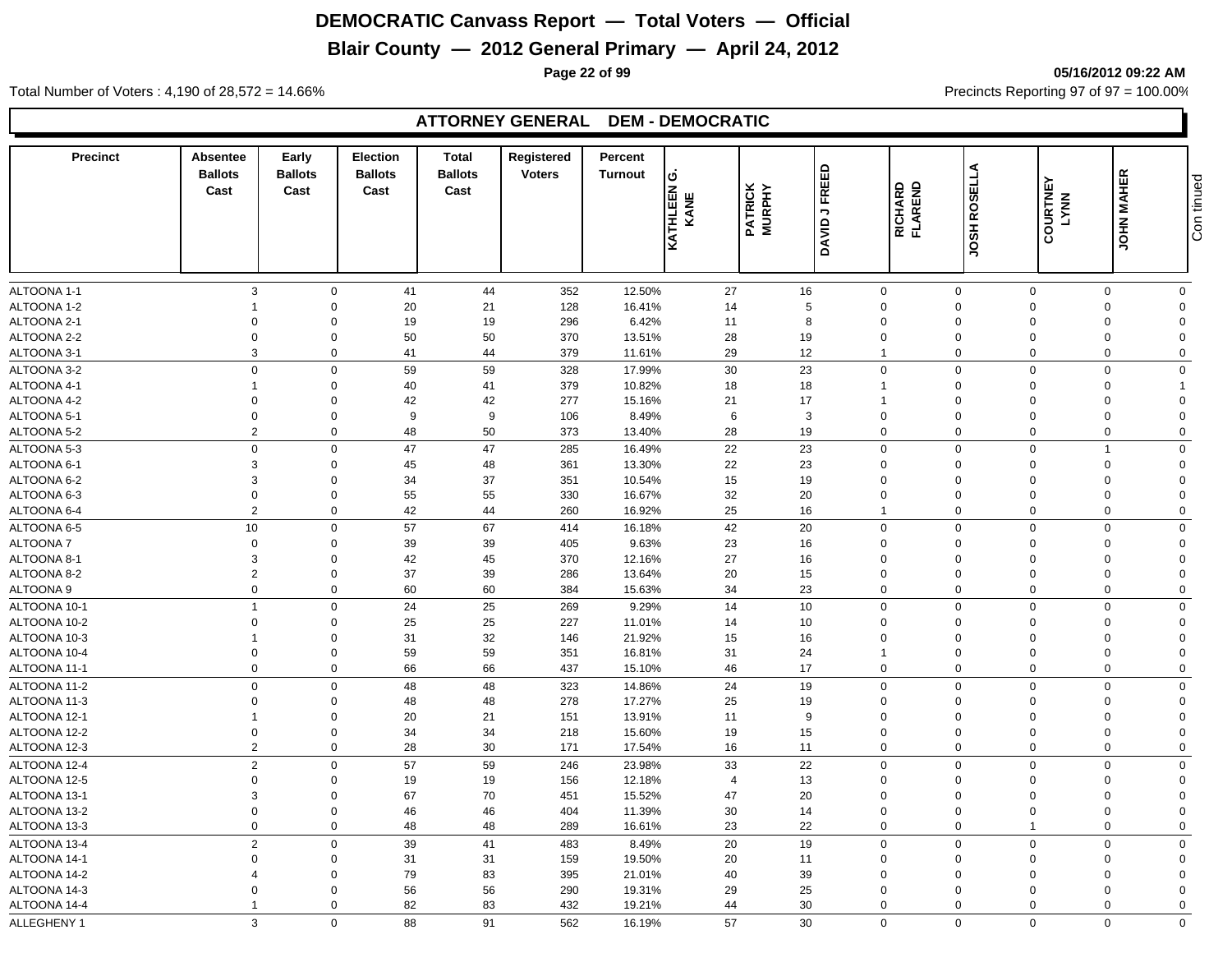## **Blair County — 2012 General Primary — April 24, 2012**

**Page 22 of 99 05/16/2012 09:22 AM**

Total Number of Voters : 4,190 of 28,572 = 14.66% Precincts Reporting 97 of 97 = 100.00%

## **ATTORNEY GENERAL DEM - DEMOCRATIC**

| <b>Precinct</b> | Absentee<br><b>Ballots</b><br>Cast | Early<br><b>Ballots</b><br>Cast | <b>Election</b><br><b>Ballots</b><br>Cast | Total<br><b>Ballots</b><br>Cast | Registered<br><b>Voters</b> | Percent<br><b>Turnout</b> | Ő<br>KATHLEEN (<br>KANE | <b>PATRICK</b><br>MURPHY | FREED<br>$\mathbin{\rightarrow}$<br>DAVID | <b>RICHARD<br/>FLAREND</b> | <b>JOSH ROSELLA</b> | <b>COURTNEY</b><br>LYNN | <b>JOHN MAHER</b> | Con tinued     |
|-----------------|------------------------------------|---------------------------------|-------------------------------------------|---------------------------------|-----------------------------|---------------------------|-------------------------|--------------------------|-------------------------------------------|----------------------------|---------------------|-------------------------|-------------------|----------------|
|                 |                                    |                                 |                                           |                                 |                             |                           |                         |                          |                                           |                            |                     |                         |                   |                |
| ALTOONA 1-1     | 3                                  | $\mathbf 0$                     | 41                                        | 44                              | 352                         | 12.50%                    | 27                      |                          | 16                                        | $\mathbf 0$                | $\mathbf 0$         | $\mathbf 0$             | $\Omega$          | $\mathbf 0$    |
| ALTOONA 1-2     |                                    | $\mathbf 0$                     | 20                                        | 21                              | 128                         | 16.41%                    | 14                      |                          | $\sqrt{5}$                                | $\mathbf 0$                | $\Omega$            | $\Omega$                | $\Omega$          | $\Omega$       |
| ALTOONA 2-1     | $\Omega$                           | $\Omega$                        | 19                                        | 19                              | 296                         | 6.42%                     | 11                      |                          | 8                                         | $\mathbf 0$                | $\overline{0}$      | $\Omega$                | $\Omega$          | $\Omega$       |
| ALTOONA 2-2     | $\Omega$                           | $\mathbf 0$                     | 50                                        | 50                              | 370                         | 13.51%                    | 28                      |                          | 19                                        | $\mathbf 0$                | $\overline{0}$      | $\Omega$                | $\Omega$          | $\Omega$       |
| ALTOONA 3-1     | 3                                  | $\mathbf 0$                     | 41                                        | 44                              | 379                         | 11.61%                    | 29                      |                          | 12                                        | $\mathbf{1}$               | $\mathbf 0$         | 0                       | $\Omega$          | $\mathbf 0$    |
| ALTOONA 3-2     | $\mathbf 0$                        | $\mathbf 0$                     | 59                                        | 59                              | 328                         | 17.99%                    | 30                      |                          | 23                                        | $\mathbf 0$                | $\overline{0}$      | $\Omega$                | $\Omega$          | $\mathbf 0$    |
| ALTOONA 4-1     | $\mathbf 1$                        | $\mathbf 0$                     | 40                                        | 41                              | 379                         | 10.82%                    | 18                      |                          | 18                                        | $\mathbf{1}$               | $\overline{0}$      | $\Omega$                | $\Omega$          | $\overline{1}$ |
| ALTOONA 4-2     | $\Omega$                           | $\mathbf 0$                     | 42                                        | 42                              | 277                         | 15.16%                    | 21                      |                          | 17                                        | $\mathbf{1}$               | $\overline{0}$      | $\Omega$                | $\Omega$          | $\Omega$       |
| ALTOONA 5-1     | $\mathbf 0$                        | $\mathbf 0$                     | 9                                         | 9                               | 106                         | 8.49%                     | 6                       |                          | 3                                         | $\mathbf 0$                | $\mathbf 0$         | $\Omega$                | $\Omega$          | $\Omega$       |
| ALTOONA 5-2     | $\overline{2}$                     | $\mathbf 0$                     | 48                                        | 50                              | 373                         | 13.40%                    | 28                      |                          | 19                                        | $\mathbf 0$                | $\mathbf 0$         | $\mathbf 0$             | $\mathbf 0$       | $\mathbf 0$    |
| ALTOONA 5-3     | $\mathbf 0$                        | $\mathbf 0$                     | 47                                        | 47                              | 285                         | 16.49%                    | 22                      |                          | 23                                        | $\mathbf 0$                | $\mathbf{0}$        | $\mathbf 0$             | 1                 | $\mathbf 0$    |
| ALTOONA 6-1     | 3                                  | $\mathbf 0$                     | 45                                        | 48                              | 361                         | 13.30%                    | 22                      |                          | 23                                        | $\mathbf 0$                | $\Omega$            | $\Omega$                | $\Omega$          | $\mathbf 0$    |
| ALTOONA 6-2     | 3                                  | $\mathbf 0$                     | 34                                        | 37                              | 351                         | 10.54%                    | 15                      |                          | 19                                        | $\mathbf 0$                | $\overline{0}$      | $\Omega$                | $\Omega$          | $\Omega$       |
| ALTOONA 6-3     | $\mathbf 0$                        | $\Omega$                        | 55                                        | 55                              | 330                         | 16.67%                    | 32                      |                          | 20                                        | $\mathbf 0$                | $\overline{0}$      | $\Omega$                | $\Omega$          | $\mathbf 0$    |
| ALTOONA 6-4     | 2                                  | $\mathbf 0$                     | 42                                        | 44                              | 260                         | 16.92%                    | 25                      |                          | 16                                        | $\mathbf{1}$               | $\overline{0}$      | $\Omega$                | $\Omega$          | $\mathbf 0$    |
| ALTOONA 6-5     | 10                                 | $\mathbf 0$                     | 57                                        | 67                              | 414                         | 16.18%                    | 42                      |                          | 20                                        | $\mathbf 0$                | $\mathbf 0$         | $\mathbf 0$             | $\mathbf 0$       | $\mathbf 0$    |
| <b>ALTOONA7</b> | $\mathbf 0$                        | $\mathbf 0$                     | 39                                        | 39                              | 405                         | 9.63%                     | 23                      |                          | 16                                        | $\mathbf 0$                | $\overline{0}$      | $\Omega$                | $\Omega$          | $\mathbf 0$    |
| ALTOONA 8-1     | 3                                  | $\Omega$                        | 42                                        | 45                              | 370                         | 12.16%                    | 27                      |                          | 16                                        | $\mathbf 0$                | $\overline{0}$      | $\Omega$                | $\Omega$          | $\mathbf 0$    |
| ALTOONA 8-2     | $\overline{2}$                     | $\mathbf 0$                     | 37                                        | 39                              | 286                         | 13.64%                    | 20                      |                          | 15                                        | $\mathbf 0$                | $\overline{0}$      | $\Omega$                | $\Omega$          | $\Omega$       |
| ALTOONA 9       | $\mathbf 0$                        | $\mathbf 0$                     | 60                                        | 60                              | 384                         | 15.63%                    | 34                      |                          | 23                                        | $\mathbf 0$                | $\overline{0}$      | $\mathbf 0$             | $\Omega$          | $\mathbf 0$    |
| ALTOONA 10-1    | $\overline{1}$                     | $\mathbf 0$                     | 24                                        | 25                              | 269                         | 9.29%                     | 14                      |                          | 10                                        | $\mathbf 0$                | $\overline{0}$      | $\Omega$                | $\mathbf 0$       | $\mathbf 0$    |
| ALTOONA 10-2    | $\Omega$                           | $\Omega$                        | 25                                        | 25                              | 227                         | 11.01%                    | 14                      |                          | 10                                        | $\mathbf 0$                | $\overline{0}$      | $\Omega$                | $\Omega$          | $\mathbf{0}$   |
| ALTOONA 10-3    |                                    | $\Omega$                        | 31                                        | 32                              | 146                         | 21.92%                    | 15                      |                          | 16                                        | $\mathbf 0$                | $\Omega$            | $\Omega$                | $\Omega$          | $\Omega$       |
| ALTOONA 10-4    | $\Omega$                           | $\mathbf 0$                     | 59                                        | 59                              | 351                         | 16.81%                    | 31                      |                          | 24                                        | $\mathbf{1}$               | $\overline{0}$      | $\Omega$                | $\Omega$          | $\Omega$       |
| ALTOONA 11-1    | $\mathbf 0$                        | $\mathbf 0$                     | 66                                        | 66                              | 437                         | 15.10%                    | 46                      |                          | 17                                        | $\mathbf 0$                | $\Omega$            | $\Omega$                | $\Omega$          | $\mathbf 0$    |
| ALTOONA 11-2    | $\mathbf 0$                        | $\mathbf 0$                     | 48                                        | 48                              | 323                         | 14.86%                    | 24                      |                          | 19                                        | $\mathbf 0$                | $\overline{0}$      | $\Omega$                | $\Omega$          | $\mathbf 0$    |
| ALTOONA 11-3    | $\Omega$                           | $\mathbf 0$                     | 48                                        | 48                              | 278                         | 17.27%                    | 25                      |                          | 19                                        | $\mathbf 0$                | $\Omega$            | $\Omega$                | $\Omega$          | $\Omega$       |
| ALTOONA 12-1    |                                    | $\mathbf 0$                     | 20                                        | 21                              | 151                         | 13.91%                    | 11                      |                          | 9                                         | $\mathbf 0$                | $\Omega$            | $\Omega$                | $\Omega$          | $\Omega$       |
| ALTOONA 12-2    | $\mathbf 0$                        | $\mathbf 0$                     | 34                                        | 34                              | 218                         | 15.60%                    | 19                      |                          | 15                                        | $\mathsf 0$                | $\overline{0}$      | $\mathbf 0$             | $\mathbf 0$       | $\overline{0}$ |
| ALTOONA 12-3    | $\overline{2}$                     | $\mathbf 0$                     | 28                                        | 30                              | 171                         | 17.54%                    | 16                      | 11                       |                                           | $\mathbf 0$                | $\mathbf 0$         | $\mathbf 0$             | $\mathbf 0$       | $\mathbf 0$    |
| ALTOONA 12-4    | 2                                  | $\mathbf 0$                     | 57                                        | 59                              | 246                         | 23.98%                    | 33                      |                          | 22                                        | $\mathbf 0$                | $\overline{0}$      | $\Omega$                | $\Omega$          | $\mathbf 0$    |
| ALTOONA 12-5    | $\Omega$                           | $\mathbf 0$                     | 19                                        | 19                              | 156                         | 12.18%                    | $\overline{4}$          |                          | 13                                        | $\mathbf 0$                | $\Omega$            | $\Omega$                | $\Omega$          | $\Omega$       |
| ALTOONA 13-1    | 3                                  | $\mathbf 0$                     | 67                                        | 70                              | 451                         | 15.52%                    | 47                      |                          | 20                                        | $\mathbf 0$                | $\overline{0}$      | $\Omega$                | $\mathbf 0$       | $\Omega$       |
| ALTOONA 13-2    | $\Omega$                           | $\mathbf 0$                     | 46                                        | 46                              | 404                         | 11.39%                    | 30                      |                          | 14                                        | $\mathsf 0$                | $\mathbf 0$         | $\Omega$                | $\mathbf 0$       | $\mathbf 0$    |
| ALTOONA 13-3    | $\Omega$                           | $\mathbf 0$                     | 48                                        | 48                              | 289                         | 16.61%                    | 23                      |                          | 22                                        | $\mathbf 0$                | $\Omega$            | $\overline{\mathbf{1}}$ | $\Omega$          | $\mathbf 0$    |
| ALTOONA 13-4    | 2                                  | $\mathbf 0$                     | 39                                        | 41                              | 483                         | 8.49%                     | 20                      |                          | 19                                        | $\mathbf 0$                | $\overline{0}$      | $\mathbf 0$             | $\mathbf 0$       | $\mathbf 0$    |
| ALTOONA 14-1    | $\Omega$                           | $\mathbf 0$                     | 31                                        | 31                              | 159                         | 19.50%                    | 20                      | 11                       |                                           | $\mathbf 0$                | $\overline{0}$      | $\Omega$                | $\Omega$          | $\Omega$       |
| ALTOONA 14-2    | $\overline{4}$                     | $\mathbf 0$                     | 79                                        | 83                              | 395                         | 21.01%                    | 40                      |                          | 39                                        | $\mathbf 0$                | $\overline{0}$      | $\Omega$                | $\Omega$          | $\Omega$       |
| ALTOONA 14-3    | $\Omega$                           | $\mathbf 0$                     | 56                                        | 56                              | 290                         | 19.31%                    | 29                      |                          | 25                                        | $\mathbf 0$                | $\Omega$            | $\Omega$                | $\Omega$          | $\Omega$       |
| ALTOONA 14-4    | $\overline{1}$                     | $\mathbf 0$                     | 82                                        | 83                              | 432                         | 19.21%                    | 44                      |                          | 30                                        | $\mathbf 0$                | $\Omega$            | $\Omega$                | $\mathbf{0}$      | $\mathbf 0$    |
| ALLEGHENY 1     | 3                                  | $\mathbf 0$                     | 88                                        | 91                              | 562                         | 16.19%                    | 57                      |                          | 30                                        | $\Omega$                   | $\Omega$            | $\Omega$                | $\Omega$          | $\mathbf 0$    |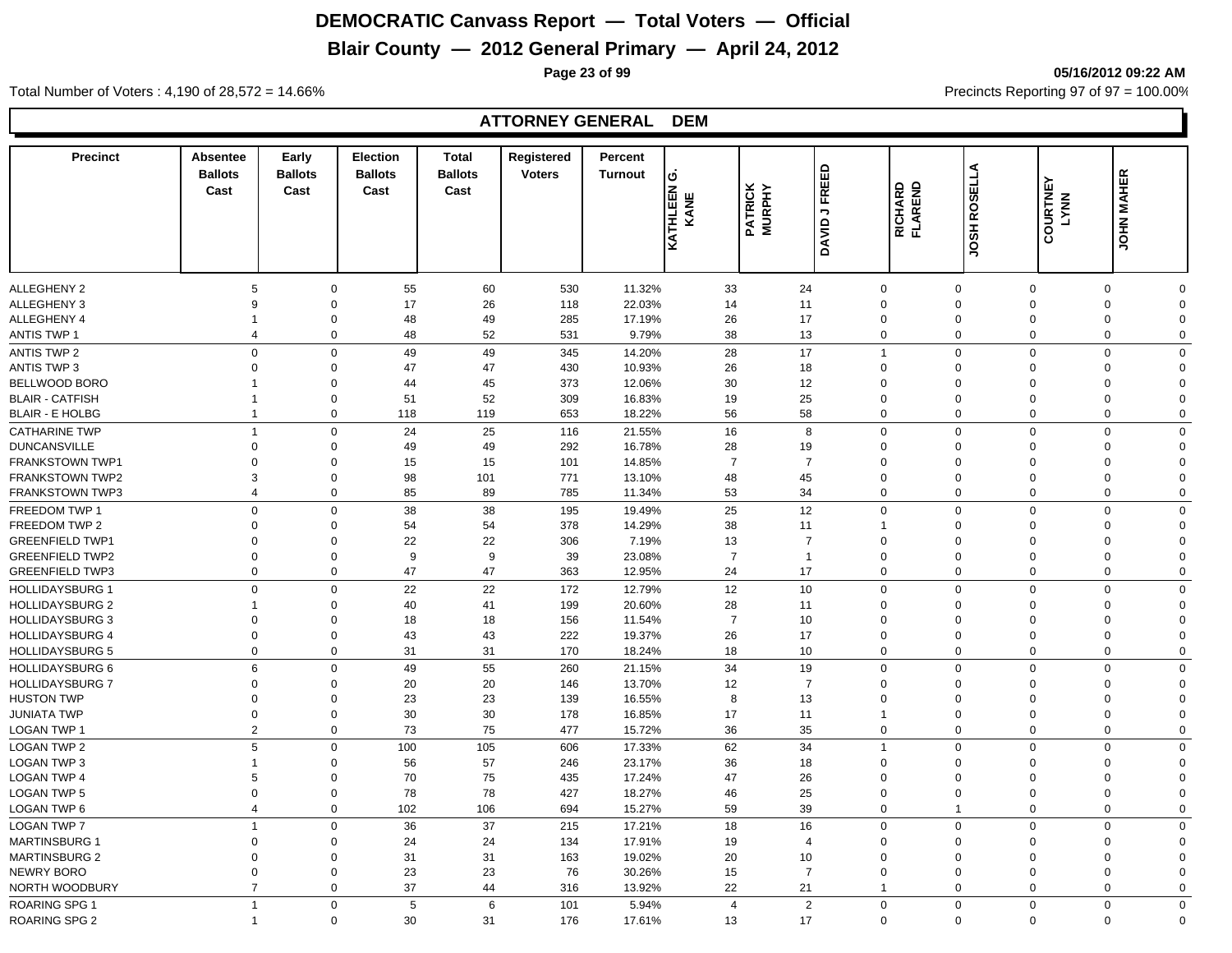## **Blair County — 2012 General Primary — April 24, 2012**

**Page 23 of 99 05/16/2012 09:22 AM**

Total Number of Voters : 4,190 of 28,572 = 14.66% **Precincts Reporting 97 of 97 = 100.00%** 

#### **ATTORNEY GENERAL DEM**

| <b>Precinct</b>                               | <b>Absentee</b><br><b>Ballots</b><br>Cast | Early<br><b>Ballots</b><br>Cast | <b>Election</b><br><b>Ballots</b><br>Cast | <b>Total</b><br><b>Ballots</b><br>Cast | Registered<br><b>Voters</b> | Percent<br><b>Turnout</b> | ن ا<br><b>KATHLEEN</b><br>KANE | <b>PATRICK</b><br>MURPHY | FREED<br>$\overline{\phantom{a}}$<br>DAVID. | <b>RICHARD<br/>FLAREND</b>  | <b>JOSH ROSELLA</b>         | COURTNEY<br>LYNN           | <b>JOHN MAHER</b>                        |
|-----------------------------------------------|-------------------------------------------|---------------------------------|-------------------------------------------|----------------------------------------|-----------------------------|---------------------------|--------------------------------|--------------------------|---------------------------------------------|-----------------------------|-----------------------------|----------------------------|------------------------------------------|
|                                               |                                           |                                 |                                           |                                        |                             |                           |                                |                          |                                             |                             |                             |                            |                                          |
| ALLEGHENY 2                                   | 5                                         | $\mathbf 0$                     | 55                                        | 60                                     | 530                         | 11.32%                    | 33                             | 24                       |                                             | $\mathbf 0$                 | $\mathbf 0$                 | $\mathbf 0$                | $\mathbf 0$<br>$\Omega$                  |
| ALLEGHENY 3                                   | 9                                         | $\mathbf 0$                     | 17                                        | 26                                     | 118                         | 22.03%                    | 14                             | 11                       |                                             | $\mathbf 0$                 | $\mathbf 0$                 | $\overline{0}$             | $\mathbf 0$<br>$\Omega$                  |
| ALLEGHENY 4                                   | $\overline{1}$<br>$\overline{4}$          | $\mathbf 0$<br>$\mathbf 0$      | 48                                        | 49                                     | 285                         | 17.19%                    | 26<br>38                       | 17                       |                                             | $\mathbf 0$                 | $\mathbf 0$                 | $\overline{0}$             | $\mathbf 0$<br>$\Omega$<br>$\Omega$      |
| <b>ANTIS TWP 1</b>                            |                                           |                                 | 48                                        | 52                                     | 531                         | 9.79%                     |                                | 13                       |                                             | $\mathbf 0$                 | $\mathbf 0$                 | $\mathbf 0$                | $\mathbf 0$                              |
| <b>ANTIS TWP 2</b>                            | $\mathbf 0$<br>$\overline{0}$             | $\mathbf 0$                     | 49                                        | 49                                     | 345                         | 14.20%                    | 28                             | 17                       |                                             | $\mathbf{1}$                | $\mathbf 0$                 | $\mathbf 0$                | $\mathbf 0$<br>$\Omega$<br>$\Omega$      |
| <b>ANTIS TWP 3</b>                            | 1                                         | $\mathbf 0$                     | 47                                        | 47                                     | 430                         | 10.93%                    | 26                             | 18                       |                                             | $\mathbf 0$                 | $\mathbf 0$                 | $\mathbf 0$                | $\mathbf 0$<br>$\Omega$                  |
| BELLWOOD BORO<br><b>BLAIR - CATFISH</b>       | 1                                         | $\mathbf 0$<br>$\mathbf 0$      | 44<br>51                                  | 45<br>52                               | 373<br>309                  | 12.06%<br>16.83%          | 30<br>19                       | 12<br>25                 |                                             | $\mathbf 0$<br>$\mathbf 0$  | $\mathbf 0$<br>$\mathbf{0}$ | $\mathbf 0$<br>$\mathbf 0$ | $\mathbf 0$<br>0<br>$\Omega$             |
| <b>BLAIR - E HOLBG</b>                        | $\mathbf{1}$                              | $\mathbf 0$                     | 118                                       | 119                                    | 653                         | 18.22%                    | 56                             | 58                       |                                             | $\mathbf 0$                 | $\mathbf{0}$                | $\mathbf 0$                | 0<br>$\Omega$                            |
|                                               |                                           |                                 |                                           |                                        |                             |                           |                                |                          |                                             |                             |                             |                            |                                          |
| <b>CATHARINE TWP</b>                          | $\overline{1}$                            | $\mathbf 0$                     | 24                                        | 25                                     | 116                         | 21.55%                    | 16                             |                          | 8                                           | $\mathbf 0$                 | $\mathbf{0}$                | $\mathbf 0$                | 0<br>$\Omega$                            |
| <b>DUNCANSVILLE</b><br><b>FRANKSTOWN TWP1</b> | $\mathbf 0$<br>$\mathbf 0$                | $\mathbf 0$<br>$\mathbf 0$      | 49<br>15                                  | 49<br>15                               | 292<br>101                  | 16.78%<br>14.85%          | 28<br>$\overline{7}$           | 19<br>$\overline{7}$     |                                             | $\mathbf 0$<br>$\mathbf 0$  | $\mathbf 0$<br>$\Omega$     | $\mathbf 0$<br>$\mathbf 0$ | 0<br>$\Omega$<br>0<br>$\Omega$           |
| <b>FRANKSTOWN TWP2</b>                        | 3                                         | $\mathbf 0$                     | 98                                        | 101                                    | 771                         | 13.10%                    | 48                             | 45                       |                                             | $\mathbf 0$                 | $\Omega$                    | $\mathbf 0$                | 0<br>$\Omega$                            |
| <b>FRANKSTOWN TWP3</b>                        | $\overline{4}$                            | $\mathbf 0$                     | 85                                        | 89                                     | 785                         | 11.34%                    | 53                             | 34                       |                                             | $\mathbf 0$                 | $\mathbf 0$                 | $\mathbf 0$                | $\mathbf 0$<br>$\Omega$                  |
|                                               |                                           |                                 |                                           |                                        |                             |                           |                                |                          |                                             |                             |                             |                            |                                          |
| FREEDOM TWP 1<br>FREEDOM TWP 2                | $\mathbf 0$<br>$\mathbf 0$                | $\mathbf 0$<br>$\mathbf 0$      | 38                                        | 38                                     | 195                         | 19.49%                    | 25<br>38                       | 12                       |                                             | $\mathbf 0$                 | $\mathbf 0$<br>$\mathbf 0$  | $\mathbf 0$<br>$\mathbf 0$ | $\mathbf 0$<br>$\Omega$<br>0<br>$\Omega$ |
| <b>GREENFIELD TWP1</b>                        | 0                                         | $\mathbf 0$                     | 54<br>22                                  | 54<br>22                               | 378<br>306                  | 14.29%<br>7.19%           | 13                             | 11<br>$\overline{7}$     |                                             | $\mathbf{1}$<br>$\mathbf 0$ | $\mathbf 0$                 | $\mathbf 0$                | 0<br>$\Omega$                            |
| <b>GREENFIELD TWP2</b>                        | $\mathbf 0$                               | $\mathbf 0$                     | 9                                         | 9                                      | 39                          | 23.08%                    | $\overline{7}$                 | $\mathbf{1}$             |                                             | $\mathbf 0$                 | $\mathbf{0}$                | $\mathbf 0$                | 0<br>$\Omega$                            |
| <b>GREENFIELD TWP3</b>                        | $\Omega$                                  | $\mathbf 0$                     | 47                                        | 47                                     | 363                         | 12.95%                    | 24                             | 17                       |                                             | $\mathbf 0$                 | $\Omega$                    | $\mathbf 0$                | $\mathbf 0$<br>$\Omega$                  |
| <b>HOLLIDAYSBURG 1</b>                        | $\mathbf 0$                               | $\mathbf 0$                     | 22                                        | 22                                     | 172                         | 12.79%                    | 12                             | 10                       |                                             | $\mathbf 0$                 | $\mathbf 0$                 | $\mathbf 0$                | $\mathbf 0$<br>$\mathbf 0$               |
| <b>HOLLIDAYSBURG 2</b>                        | -1                                        | $\mathbf 0$                     | 40                                        | 41                                     | 199                         | 20.60%                    | 28                             | 11                       |                                             | $\mathbf 0$                 | $\Omega$                    | $\Omega$                   | 0<br>$\Omega$                            |
| <b>HOLLIDAYSBURG 3</b>                        | $\mathbf 0$                               | $\Omega$                        | 18                                        | 18                                     | 156                         | 11.54%                    | $\overline{7}$                 | 10                       |                                             | $\mathbf 0$                 | $\Omega$                    | $\Omega$                   | 0<br>$\Omega$                            |
| <b>HOLLIDAYSBURG 4</b>                        | $\mathbf 0$                               | $\mathbf 0$                     | 43                                        | 43                                     | 222                         | 19.37%                    | 26                             | 17                       |                                             | $\mathbf 0$                 | $\mathbf 0$                 | $\mathbf 0$                | 0<br>$\Omega$                            |
| <b>HOLLIDAYSBURG 5</b>                        | $\mathbf 0$                               | $\mathbf 0$                     | 31                                        | 31                                     | 170                         | 18.24%                    | 18                             | 10                       |                                             | $\mathbf 0$                 | $\mathbf 0$                 | $\mathbf 0$                | $\mathbf 0$<br>$\Omega$                  |
| <b>HOLLIDAYSBURG 6</b>                        | 6                                         | $\mathbf 0$                     | 49                                        | 55                                     | 260                         | 21.15%                    | 34                             | 19                       |                                             | $\mathbf 0$                 | $\mathbf{0}$                | $\mathbf 0$                | $\mathbf 0$<br>$\mathbf 0$               |
| <b>HOLLIDAYSBURG 7</b>                        | $\Omega$                                  | $\Omega$                        | 20                                        | 20                                     | 146                         | 13.70%                    | 12                             | $\overline{7}$           |                                             | $\mathbf 0$                 | $\Omega$                    | $\Omega$                   | 0<br>$\Omega$                            |
| <b>HUSTON TWP</b>                             | $\Omega$                                  | $\mathbf 0$                     | 23                                        | 23                                     | 139                         | 16.55%                    | 8                              | 13                       |                                             | $\mathbf 0$                 | $\Omega$                    | $\Omega$                   | $\Omega$<br>$\Omega$                     |
| JUNIATA TWP                                   | $\mathbf 0$                               | $\mathbf 0$                     | 30                                        | 30                                     | 178                         | 16.85%                    | 17                             | 11                       |                                             | $\mathbf{1}$                | $\mathbf 0$                 | $\mathbf 0$                | 0<br>$\Omega$                            |
| <b>LOGAN TWP 1</b>                            | $\overline{2}$                            | $\mathbf 0$                     | 73                                        | 75                                     | 477                         | 15.72%                    | 36                             | 35                       |                                             | $\mathbf 0$                 | $\mathbf 0$                 | $\mathbf 0$                | $\mathbf 0$<br>$\mathbf 0$               |
| LOGAN TWP 2                                   | 5                                         | $\mathbf 0$                     | 100                                       | 105                                    | 606                         | 17.33%                    | 62                             | 34                       |                                             | $\mathbf{1}$                | $\mathbf 0$                 | $\mathbf 0$                | $\mathbf 0$<br>$\mathbf 0$               |
| LOGAN TWP 3                                   | -1                                        | $\mathbf 0$                     | 56                                        | 57                                     | 246                         | 23.17%                    | 36                             | 18                       |                                             | $\mathbf 0$                 | $\Omega$                    | $\Omega$                   | $\mathbf 0$<br>$\Omega$                  |
| LOGAN TWP 4                                   | 5                                         | $\mathbf 0$                     | 70                                        | 75                                     | 435                         | 17.24%                    | 47                             | 26                       |                                             | $\mathbf 0$                 | $\Omega$                    | $\Omega$                   | $\mathbf 0$<br>$\Omega$                  |
| <b>LOGAN TWP 5</b>                            | $\mathbf 0$                               | $\mathbf 0$                     | 78                                        | 78                                     | 427                         | 18.27%                    | 46                             | 25                       |                                             | $\mathbf 0$                 | $\mathbf 0$                 | $\mathbf 0$                | $\mathbf 0$<br>$\mathbf 0$               |
| <b>LOGAN TWP 6</b>                            | $\overline{4}$                            | $\mathbf 0$                     | 102                                       | 106                                    | 694                         | 15.27%                    | 59                             | 39                       |                                             | $\mathbf 0$                 | $\overline{1}$              | $\mathbf 0$                | $\mathbf 0$<br>$\mathbf 0$               |
| <b>LOGAN TWP 7</b>                            | $\overline{1}$                            | $\mathbf 0$                     | 36                                        | 37                                     | 215                         | 17.21%                    | 18                             | 16                       |                                             | $\mathbf 0$                 | $\mathbf 0$                 | $\Omega$                   | $\mathbf 0$<br>$\mathbf 0$               |
| <b>MARTINSBURG 1</b>                          | $\Omega$                                  | $\mathbf 0$                     | 24                                        | 24                                     | 134                         | 17.91%                    | 19                             | $\overline{4}$           |                                             | $\mathbf 0$                 | $\Omega$                    | $\Omega$                   | $\mathbf 0$<br>$\Omega$                  |
| <b>MARTINSBURG 2</b>                          | $\Omega$                                  | $\Omega$                        | 31                                        | 31                                     | 163                         | 19.02%                    | 20                             | 10                       |                                             | $\mathbf 0$                 | $\Omega$                    | $\Omega$                   | $\mathbf 0$<br>$\Omega$                  |
| NEWRY BORO                                    | $\Omega$                                  | $\mathbf 0$                     | 23                                        | 23                                     | 76                          | 30.26%                    | 15                             | $\overline{7}$           |                                             | $\mathbf 0$                 | $\Omega$                    | $\Omega$                   | 0<br>$\Omega$                            |
| NORTH WOODBURY                                | $\overline{7}$                            | $\Omega$                        | 37                                        | 44                                     | 316                         | 13.92%                    | 22                             | 21                       |                                             | $\overline{1}$              | $\Omega$                    | $\Omega$                   | 0<br>$\Omega$                            |
| <b>ROARING SPG 1</b>                          | $\overline{1}$                            | $\mathbf 0$                     | 5                                         | 6                                      | 101                         | 5.94%                     | $\overline{4}$                 |                          | $\overline{2}$                              | $\mathbf 0$                 | $\mathbf 0$                 | $\mathbf 0$                | $\mathbf 0$<br>$\mathbf 0$               |
| <b>ROARING SPG 2</b>                          |                                           | $\Omega$                        | 30                                        | 31                                     | 176                         | 17.61%                    | 13                             | 17                       |                                             | $\Omega$                    | $\mathbf 0$                 | $\mathbf 0$                | $\mathbf 0$<br>$\Omega$                  |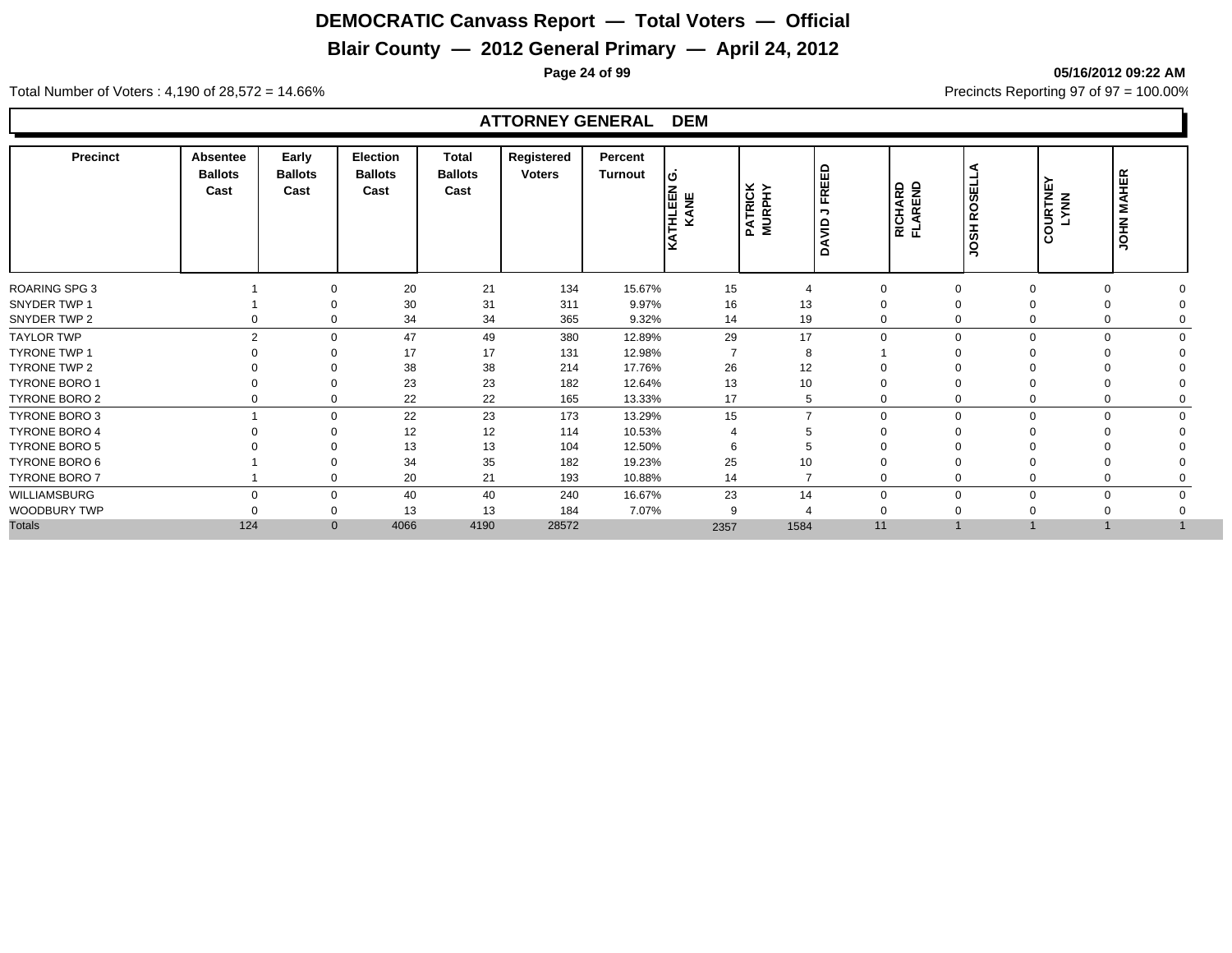## **Blair County — 2012 General Primary — April 24, 2012**

**Page 24 of 99 05/16/2012 09:22 AM**

Total Number of Voters : 4,190 of 28,572 = 14.66% Precincts Reporting 97 of 97 = 100.00%

#### **ATTORNEY GENERAL DEM**

| 21<br><b>ROARING SPG 3</b><br>20<br>134<br>15.67%<br>15<br>$\mathbf 0$<br>$\mathbf 0$<br>0<br>$\mathbf 0$<br>$\overline{4}$<br>31<br>13<br>30<br>311<br>9.97%<br>16<br>$\Omega$<br>$\Omega$<br>19<br>34<br>34<br>365<br>9.32%<br>14<br>$\Omega$<br>$\mathbf 0$<br>$\Omega$<br>0<br>49<br>29<br>17<br>$\overline{2}$<br>47<br>380<br>12.89%<br>$\Omega$<br>$\Omega$<br>$\Omega$<br>$\Omega$<br>$\Omega$<br>$\Omega$<br>17<br>17<br>131<br>12.98%<br>8<br>$\Omega$<br>38<br>38<br>26<br>12<br>214<br>17.76%<br>$\Omega$<br>23<br>23<br>13<br>10<br>182<br>12.64%<br>$\Omega$<br>$\Omega$<br>22<br>22<br>165<br>17<br>13.33%<br>5<br>$\mathbf 0$<br>0<br>0<br>0<br>0<br>23<br>22<br>173<br>13.29%<br>15<br>$\overline{7}$<br>$\Omega$<br>$\Omega$<br>$\Omega$<br>$\Omega$<br>12<br>12<br>114<br>10.53%<br>$\Omega$<br>5<br>$\Omega$<br>13<br>13<br>104<br>12.50%<br>6<br>đ<br>34<br>35<br>25<br>182<br>19.23%<br>10<br>$\Omega$<br>$\Omega$<br>21<br>20<br>$\overline{7}$<br>193<br>10.88%<br>14<br>$\Omega$<br>$\mathbf 0$<br>$\Omega$<br>23<br>14<br>40<br>40<br>240<br>16.67%<br>$\mathbf 0$<br>$\Omega$<br>$\Omega$<br>$\Omega$<br>$\Omega$<br>$\mathbf 0$<br>13<br>13<br>184<br>7.07%<br>9<br>0<br>$\Omega$<br>124<br>4190<br>$\mathbf{0}$<br>4066<br>28572<br>2357<br>1584<br>11 | <b>Precinct</b> | <b>Absentee</b><br><b>Ballots</b><br>Cast | Early<br><b>Ballots</b><br>Cast | <b>Election</b><br><b>Ballots</b><br>Cast | <b>Total</b><br><b>Ballots</b><br>Cast | Registered<br><b>Voters</b> | Percent<br>Turnout | lဟ<br><b>THLEEN</b><br>KANE<br>I٤ | <b>PATRICK<br/>MURPHY</b> | FREED<br>$\overline{\phantom{a}}$<br>$\frac{1}{2}$<br>⋖<br>$\Omega$ | <b>RICHARD</b><br>FLAREND | <b>JOSH ROSEL</b> | COURTNEY<br>LYNN | <b>JOHN MAHER</b> |  |
|-------------------------------------------------------------------------------------------------------------------------------------------------------------------------------------------------------------------------------------------------------------------------------------------------------------------------------------------------------------------------------------------------------------------------------------------------------------------------------------------------------------------------------------------------------------------------------------------------------------------------------------------------------------------------------------------------------------------------------------------------------------------------------------------------------------------------------------------------------------------------------------------------------------------------------------------------------------------------------------------------------------------------------------------------------------------------------------------------------------------------------------------------------------------------------------------------------------------------------------------------------------------------------------|-----------------|-------------------------------------------|---------------------------------|-------------------------------------------|----------------------------------------|-----------------------------|--------------------|-----------------------------------|---------------------------|---------------------------------------------------------------------|---------------------------|-------------------|------------------|-------------------|--|
| SNYDER TWP 1<br>SNYDER TWP 2<br><b>TAYLOR TWP</b><br><b>TYRONE TWP 1</b><br>TYRONE TWP 2<br><b>TYRONE BORO 1</b><br>TYRONE BORO 2<br>TYRONE BORO 3<br><b>TYRONE BORO 4</b><br><b>TYRONE BORO 5</b><br>TYRONE BORO 6<br>TYRONE BORO 7<br>WILLIAMSBURG<br>WOODBURY TWP<br><b>Totals</b>                                                                                                                                                                                                                                                                                                                                                                                                                                                                                                                                                                                                                                                                                                                                                                                                                                                                                                                                                                                               |                 |                                           |                                 |                                           |                                        |                             |                    |                                   |                           |                                                                     |                           |                   |                  |                   |  |
|                                                                                                                                                                                                                                                                                                                                                                                                                                                                                                                                                                                                                                                                                                                                                                                                                                                                                                                                                                                                                                                                                                                                                                                                                                                                                     |                 |                                           |                                 |                                           |                                        |                             |                    |                                   |                           |                                                                     |                           |                   |                  |                   |  |
|                                                                                                                                                                                                                                                                                                                                                                                                                                                                                                                                                                                                                                                                                                                                                                                                                                                                                                                                                                                                                                                                                                                                                                                                                                                                                     |                 |                                           |                                 |                                           |                                        |                             |                    |                                   |                           |                                                                     |                           |                   |                  |                   |  |
|                                                                                                                                                                                                                                                                                                                                                                                                                                                                                                                                                                                                                                                                                                                                                                                                                                                                                                                                                                                                                                                                                                                                                                                                                                                                                     |                 |                                           |                                 |                                           |                                        |                             |                    |                                   |                           |                                                                     |                           |                   |                  |                   |  |
|                                                                                                                                                                                                                                                                                                                                                                                                                                                                                                                                                                                                                                                                                                                                                                                                                                                                                                                                                                                                                                                                                                                                                                                                                                                                                     |                 |                                           |                                 |                                           |                                        |                             |                    |                                   |                           |                                                                     |                           |                   |                  |                   |  |
|                                                                                                                                                                                                                                                                                                                                                                                                                                                                                                                                                                                                                                                                                                                                                                                                                                                                                                                                                                                                                                                                                                                                                                                                                                                                                     |                 |                                           |                                 |                                           |                                        |                             |                    |                                   |                           |                                                                     |                           |                   |                  |                   |  |
|                                                                                                                                                                                                                                                                                                                                                                                                                                                                                                                                                                                                                                                                                                                                                                                                                                                                                                                                                                                                                                                                                                                                                                                                                                                                                     |                 |                                           |                                 |                                           |                                        |                             |                    |                                   |                           |                                                                     |                           |                   |                  |                   |  |
|                                                                                                                                                                                                                                                                                                                                                                                                                                                                                                                                                                                                                                                                                                                                                                                                                                                                                                                                                                                                                                                                                                                                                                                                                                                                                     |                 |                                           |                                 |                                           |                                        |                             |                    |                                   |                           |                                                                     |                           |                   |                  |                   |  |
|                                                                                                                                                                                                                                                                                                                                                                                                                                                                                                                                                                                                                                                                                                                                                                                                                                                                                                                                                                                                                                                                                                                                                                                                                                                                                     |                 |                                           |                                 |                                           |                                        |                             |                    |                                   |                           |                                                                     |                           |                   |                  |                   |  |
|                                                                                                                                                                                                                                                                                                                                                                                                                                                                                                                                                                                                                                                                                                                                                                                                                                                                                                                                                                                                                                                                                                                                                                                                                                                                                     |                 |                                           |                                 |                                           |                                        |                             |                    |                                   |                           |                                                                     |                           |                   |                  |                   |  |
|                                                                                                                                                                                                                                                                                                                                                                                                                                                                                                                                                                                                                                                                                                                                                                                                                                                                                                                                                                                                                                                                                                                                                                                                                                                                                     |                 |                                           |                                 |                                           |                                        |                             |                    |                                   |                           |                                                                     |                           |                   |                  |                   |  |
|                                                                                                                                                                                                                                                                                                                                                                                                                                                                                                                                                                                                                                                                                                                                                                                                                                                                                                                                                                                                                                                                                                                                                                                                                                                                                     |                 |                                           |                                 |                                           |                                        |                             |                    |                                   |                           |                                                                     |                           |                   |                  |                   |  |
|                                                                                                                                                                                                                                                                                                                                                                                                                                                                                                                                                                                                                                                                                                                                                                                                                                                                                                                                                                                                                                                                                                                                                                                                                                                                                     |                 |                                           |                                 |                                           |                                        |                             |                    |                                   |                           |                                                                     |                           |                   |                  |                   |  |
|                                                                                                                                                                                                                                                                                                                                                                                                                                                                                                                                                                                                                                                                                                                                                                                                                                                                                                                                                                                                                                                                                                                                                                                                                                                                                     |                 |                                           |                                 |                                           |                                        |                             |                    |                                   |                           |                                                                     |                           |                   |                  |                   |  |
|                                                                                                                                                                                                                                                                                                                                                                                                                                                                                                                                                                                                                                                                                                                                                                                                                                                                                                                                                                                                                                                                                                                                                                                                                                                                                     |                 |                                           |                                 |                                           |                                        |                             |                    |                                   |                           |                                                                     |                           |                   |                  |                   |  |
|                                                                                                                                                                                                                                                                                                                                                                                                                                                                                                                                                                                                                                                                                                                                                                                                                                                                                                                                                                                                                                                                                                                                                                                                                                                                                     |                 |                                           |                                 |                                           |                                        |                             |                    |                                   |                           |                                                                     |                           |                   |                  |                   |  |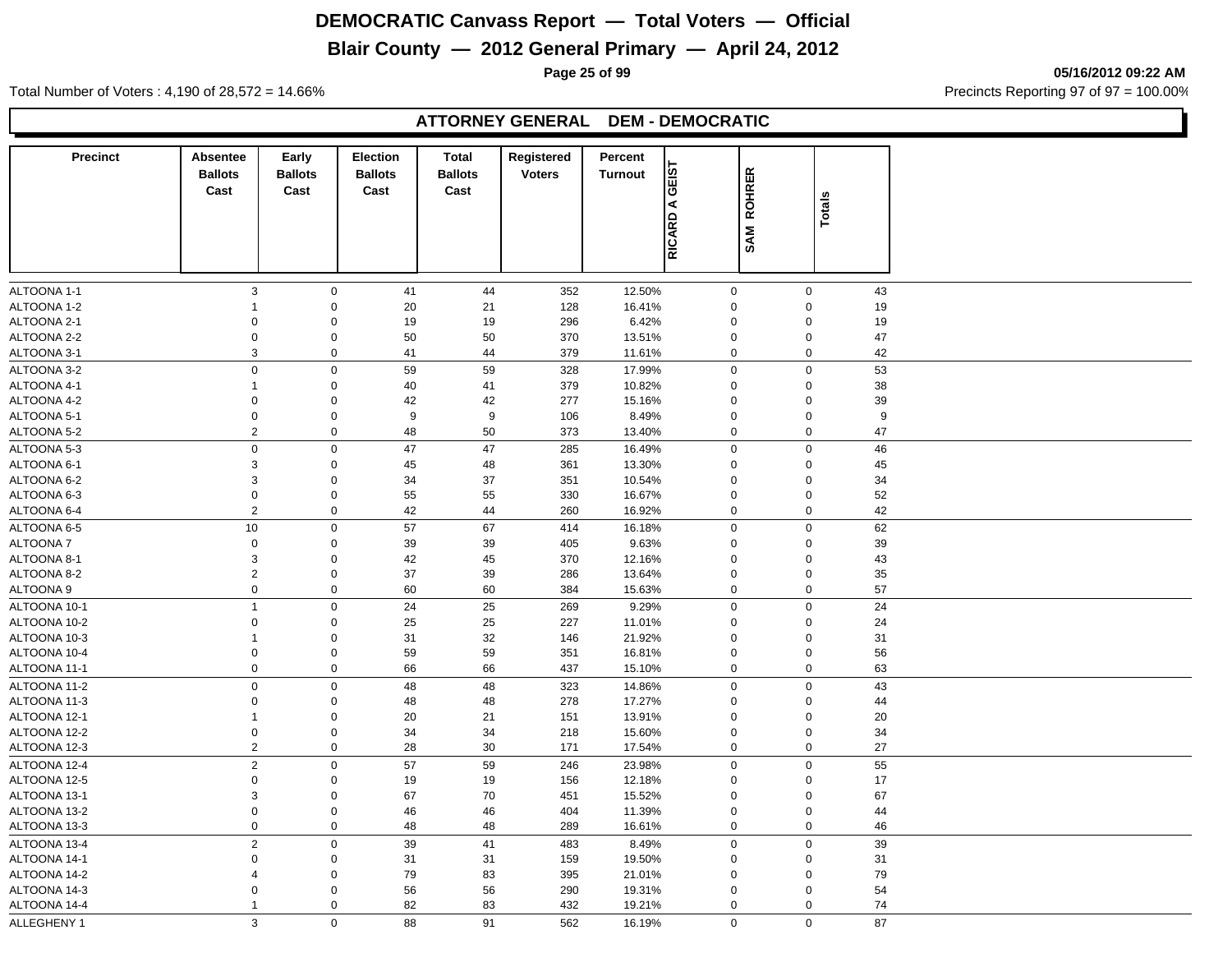## **Blair County — 2012 General Primary — April 24, 2012**

**Page 25 of 99 05/16/2012 09:22 AM**

Total Number of Voters : 4,190 of 28,572 = 14.66% Precincts Reporting 97 of 97 = 100.00%

#### **ATTORNEY GENERAL DEM - DEMOCRATIC**

| <b>Precinct</b>              | Absentee<br><b>Ballots</b><br>Cast | Early<br><b>Ballots</b><br>Cast | <b>Election</b><br><b>Ballots</b><br>Cast | <b>Total</b><br><b>Ballots</b><br>Cast | Registered<br><b>Voters</b> | Percent<br>Turnout | GEIST       | <b>ROHRER</b>              |             |    |
|------------------------------|------------------------------------|---------------------------------|-------------------------------------------|----------------------------------------|-----------------------------|--------------------|-------------|----------------------------|-------------|----|
|                              |                                    |                                 |                                           |                                        |                             |                    | ⋖<br>RICARD | SAM                        | Totals      |    |
| ALTOONA 1-1                  | $\ensuremath{\mathsf{3}}$          | $\mathbf 0$                     | 41                                        | 44                                     | 352                         | 12.50%             |             | $\mathbf 0$                | $\mathsf 0$ | 43 |
| ALTOONA 1-2                  | 1                                  | $\mathbf 0$                     | 20                                        | 21                                     | 128                         | 16.41%             |             | $\mathbf 0$                | $\mathbf 0$ | 19 |
| ALTOONA 2-1                  | $\mathbf 0$                        | $\boldsymbol{0}$                | 19                                        | 19                                     | 296                         | 6.42%              |             | $\mathbf 0$                | $\mathbf 0$ | 19 |
| ALTOONA 2-2                  | $\pmb{0}$                          | $\boldsymbol{0}$                | 50                                        | 50                                     | 370                         | 13.51%             |             | $\mathbf 0$                | $\mathsf 0$ | 47 |
| ALTOONA 3-1                  | 3                                  | $\mathsf{O}\xspace$             | 41                                        | 44                                     | 379                         | 11.61%             |             | $\mathbf 0$                | $\mathbf 0$ | 42 |
| ALTOONA 3-2                  | $\pmb{0}$                          | $\mathsf{O}\xspace$             | 59                                        | 59                                     | 328                         | 17.99%             |             | $\mathbf 0$                | $\mathsf 0$ | 53 |
| ALTOONA 4-1                  | 1                                  | $\boldsymbol{0}$                | 40                                        | 41                                     | 379                         | 10.82%             |             | $\mathbf 0$                | $\mathbf 0$ | 38 |
| ALTOONA 4-2                  | 0                                  | $\mathbf 0$                     | 42                                        | 42                                     | 277                         | 15.16%             |             | $\mathbf 0$                | $\mathbf 0$ | 39 |
| ALTOONA 5-1                  | $\pmb{0}$                          | $\mathbf 0$                     | 9                                         | 9                                      | 106                         | 8.49%              |             | $\mathbf 0$                | $\mathsf 0$ | 9  |
| ALTOONA 5-2                  | $\overline{2}$                     | $\mathbf 0$                     | 48                                        | 50                                     | 373                         | 13.40%             |             | $\mathbf 0$                | $\mathbf 0$ | 47 |
| ALTOONA 5-3                  | $\pmb{0}$                          | $\mathbf 0$                     | 47                                        | 47                                     | 285                         | 16.49%             |             | $\mathbf 0$                | $\mathsf 0$ | 46 |
| ALTOONA 6-1                  | $\mathsf 3$                        | $\mathbf 0$                     | 45                                        | 48                                     | 361                         | 13.30%             |             | $\Omega$                   | $\mathsf 0$ | 45 |
| ALTOONA 6-2                  | $\mathsf 3$                        | $\mathbf 0$                     | 34                                        | 37                                     | 351                         | 10.54%             |             | $\mathbf 0$                | $\mathbf 0$ | 34 |
| ALTOONA 6-3                  | $\pmb{0}$                          | $\mathbf 0$                     | 55                                        | 55                                     | 330                         | 16.67%             |             | $\mathbf 0$                | $\mathsf 0$ | 52 |
| ALTOONA 6-4                  | $\sqrt{2}$                         | $\mathbf 0$                     | 42                                        | 44                                     | 260                         | 16.92%             |             | $\mathbf 0$                | $\mathbf 0$ | 42 |
| ALTOONA 6-5                  | 10                                 | $\mathsf{O}\xspace$             | 57                                        | 67                                     | 414                         | 16.18%             |             | $\mathbf 0$                | $\mathsf 0$ | 62 |
| ALTOONA 7                    | $\mathbf 0$                        | $\mathbf 0$                     | 39                                        | 39                                     | 405                         | 9.63%              |             | $\mathbf 0$                | $\mathbf 0$ | 39 |
| ALTOONA 8-1                  | 3                                  | $\mathbf 0$                     | 42                                        | 45                                     | 370                         | 12.16%             |             | $\mathbf 0$                | $\mathsf 0$ | 43 |
| ALTOONA 8-2                  | $\sqrt{2}$                         | $\mathsf{O}\xspace$             | 37                                        | 39                                     | 286                         | 13.64%             |             | 0                          | $\mathbf 0$ | 35 |
| ALTOONA 9                    | $\boldsymbol{0}$                   | $\mathbf 0$                     | 60                                        | 60                                     | 384                         | 15.63%             |             | $\mathbf 0$                | $\mathsf 0$ | 57 |
| ALTOONA 10-1                 | $\mathbf{1}$                       | $\mathbf 0$                     | 24                                        | 25                                     | 269                         | 9.29%              |             | $\mathbf 0$                | $\mathbf 0$ | 24 |
| ALTOONA 10-2                 | $\boldsymbol{0}$                   | $\mathbf 0$                     | 25                                        | 25                                     | 227                         | 11.01%             |             | $\mathbf 0$                | $\mathbf 0$ | 24 |
| ALTOONA 10-3                 | 1                                  | $\mathbf 0$                     | 31                                        | 32                                     | 146                         | 21.92%             |             | $\Omega$                   | $\mathsf 0$ | 31 |
| ALTOONA 10-4                 | $\boldsymbol{0}$                   | $\mathbf 0$                     | 59                                        | 59                                     | 351                         | 16.81%             |             | $\mathbf 0$                | $\mathsf 0$ | 56 |
| ALTOONA 11-1                 | $\boldsymbol{0}$                   | $\mathbf 0$                     | 66                                        | 66                                     | 437                         | 15.10%             |             | $\mathbf 0$                | $\mathsf 0$ | 63 |
|                              | $\mathbf 0$                        | $\mathbf 0$                     | 48                                        |                                        | 323                         |                    |             | $\mathbf 0$                | $\pmb{0}$   | 43 |
| ALTOONA 11-2<br>ALTOONA 11-3 | $\pmb{0}$                          | $\mathsf{O}\xspace$             | 48                                        | 48<br>48                               | 278                         | 14.86%<br>17.27%   |             | $\Omega$                   | $\mathsf 0$ | 44 |
| ALTOONA 12-1                 | 1                                  | $\mathbf 0$                     | 20                                        | 21                                     | 151                         | 13.91%             |             | $\mathbf 0$                | $\mathbf 0$ | 20 |
| ALTOONA 12-2                 | $\boldsymbol{0}$                   | $\mathbf 0$                     | 34                                        | 34                                     | 218                         | 15.60%             |             | $\mathbf 0$                | $\mathsf 0$ | 34 |
| ALTOONA 12-3                 | $\boldsymbol{2}$                   | $\mathsf{O}\xspace$             | 28                                        | 30                                     | 171                         |                    |             | $\pmb{0}$                  | $\pmb{0}$   | 27 |
|                              |                                    |                                 |                                           |                                        |                             | 17.54%             |             |                            |             |    |
| ALTOONA 12-4                 | $\overline{2}$                     | $\mathbf 0$                     | 57                                        | 59                                     | 246                         | 23.98%             |             | $\mathbf 0$                | $\mathsf 0$ | 55 |
| ALTOONA 12-5                 | $\pmb{0}$                          | $\mathbf 0$                     | 19                                        | 19                                     | 156                         | 12.18%             |             | $\mathbf 0$                | $\mathsf 0$ | 17 |
| ALTOONA 13-1                 | 3                                  | $\mathbf 0$                     | 67                                        | 70                                     | 451                         | 15.52%             |             | 0                          | $\mathbf 0$ | 67 |
| ALTOONA 13-2                 | $\pmb{0}$                          | $\mathsf{O}\xspace$             | 46                                        | 46                                     | 404                         | 11.39%             |             | $\mathbf 0$<br>$\mathbf 0$ | $\mathsf 0$ | 44 |
| ALTOONA 13-3                 | $\pmb{0}$                          | $\mathbf 0$                     | 48                                        | 48                                     | 289                         | 16.61%             |             |                            | $\mathsf 0$ | 46 |
| ALTOONA 13-4                 | $\boldsymbol{2}$                   | $\mathbf 0$                     | 39                                        | 41                                     | 483                         | 8.49%              |             | $\mathbf 0$                | $\mathsf 0$ | 39 |
| ALTOONA 14-1                 | $\Omega$                           | $\mathbf 0$                     | 31                                        | 31                                     | 159                         | 19.50%             |             | $\Omega$                   | $\mathsf 0$ | 31 |
| ALTOONA 14-2                 | 4                                  | $\mathsf{O}\xspace$             | 79                                        | 83                                     | 395                         | 21.01%             |             | $\Omega$                   | $\mathbf 0$ | 79 |
| ALTOONA 14-3                 | 0                                  | $\mathbf 0$                     | 56                                        | 56                                     | 290                         | 19.31%             |             | $\mathbf 0$                | $\mathbf 0$ | 54 |
| ALTOONA 14-4                 | $\mathbf{1}$                       | $\mathbf 0$                     | 82                                        | 83                                     | 432                         | 19.21%             |             | $\Omega$                   | $\mathbf 0$ | 74 |
| ALLEGHENY 1                  | 3                                  | $\mathbf 0$                     | 88                                        | 91                                     | 562                         | 16.19%             |             | $\mathbf 0$                | $\mathbf 0$ | 87 |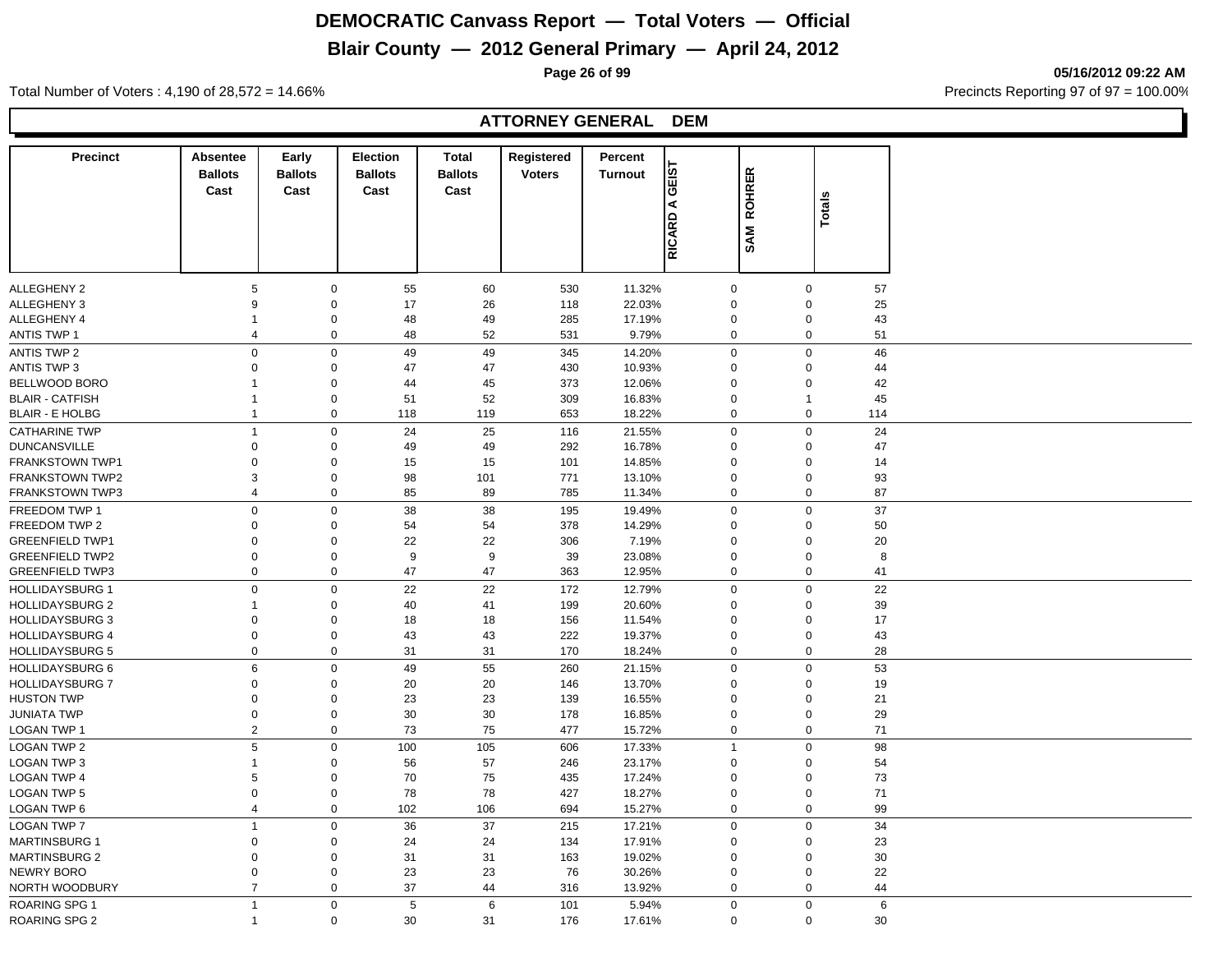## **Blair County — 2012 General Primary — April 24, 2012**

**Page 26 of 99 05/16/2012 09:22 AM**

Total Number of Voters : 4,190 of 28,572 = 14.66% **Precincts Reporting 97 of 97 = 100.00%** 

#### **ATTORNEY GENERAL DEM**

| <b>Precinct</b>        | <b>Absentee</b> | Early                      | Election       | <b>Total</b>     | Registered    | Percent          |                  |                               |           |  |
|------------------------|-----------------|----------------------------|----------------|------------------|---------------|------------------|------------------|-------------------------------|-----------|--|
|                        | <b>Ballots</b>  | <b>Ballots</b>             | <b>Ballots</b> | <b>Ballots</b>   | <b>Voters</b> | <b>Turnout</b>   | <b>GEIST</b>     | <b>ROHRER</b>                 |           |  |
|                        | Cast            | Cast                       | Cast           | Cast             |               |                  | ⋖                |                               |           |  |
|                        |                 |                            |                |                  |               |                  |                  |                               | Totals    |  |
|                        |                 |                            |                |                  |               |                  | RICARD           | SAM                           |           |  |
|                        |                 |                            |                |                  |               |                  |                  |                               |           |  |
|                        |                 |                            |                |                  |               |                  |                  |                               |           |  |
| ALLEGHENY 2            | 5               | $\mathbf 0$                | 55             | 60               | 530           | 11.32%           | $\mathbf 0$      | $\mathbf 0$                   | 57        |  |
| ALLEGHENY 3            | 9               | $\mathbf 0$                | 17             | 26               | 118           | 22.03%           | $\mathbf 0$      | $\mathbf 0$                   | 25        |  |
| ALLEGHENY 4            |                 | 0                          | 48             | 49               | 285           | 17.19%           | $\mathbf 0$      | $\mathbf 0$                   | 43        |  |
| <b>ANTIS TWP 1</b>     | 4               | $\mathsf 0$                | 48             | 52               | 531           | 9.79%            | 0                | $\pmb{0}$                     | 51        |  |
| <b>ANTIS TWP 2</b>     | 0               | $\mathbf 0$                | 49             | 49               | 345           | 14.20%           | $\mathbf 0$      | $\mathbf 0$                   | 46        |  |
| <b>ANTIS TWP 3</b>     | 0               | $\mathbf 0$                | 47             | 47               | 430           | 10.93%           | $\mathbf 0$      | $\mathbf 0$                   | 44        |  |
| BELLWOOD BORO          |                 |                            |                |                  |               |                  | 0                |                               |           |  |
|                        | 1               | $\mathbf 0$                | 44             | 45               | 373           | 12.06%           |                  | $\mathbf 0$                   | 42        |  |
| <b>BLAIR - CATFISH</b> | $\mathbf{1}$    | $\mathbf 0$<br>$\mathbf 0$ | 51<br>118      | 52<br>119        | 309<br>653    | 16.83%<br>18.22% | $\mathbf 0$<br>0 | $\overline{1}$<br>$\mathbf 0$ | 45<br>114 |  |
| <b>BLAIR - E HOLBG</b> |                 |                            |                |                  |               |                  |                  |                               |           |  |
| <b>CATHARINE TWP</b>   | $\overline{1}$  | $\mathbf 0$                | 24             | 25               | 116           | 21.55%           | $\Omega$         | $\mathbf 0$                   | 24        |  |
| <b>DUNCANSVILLE</b>    | 0               | 0                          | 49             | 49               | 292           | 16.78%           | $\mathbf 0$      | $\mathbf 0$                   | 47        |  |
| FRANKSTOWN TWP1        | 0               | 0                          | 15             | 15               | 101           | 14.85%           | 0                | $\mathbf 0$                   | 14        |  |
| <b>FRANKSTOWN TWP2</b> | 3               | $\mathbf 0$                | 98             | 101              | 771           | 13.10%           | $\mathbf 0$      | $\mathbf 0$                   | 93        |  |
| <b>FRANKSTOWN TWP3</b> | 4               | $\mathbf 0$                | 85             | 89               | 785           | 11.34%           | 0                | $\mathbf 0$                   | 87        |  |
| FREEDOM TWP 1          | $\pmb{0}$       | $\mathbf 0$                | 38             | 38               | 195           | 19.49%           | $\mathbf 0$      | $\mathbf 0$                   | 37        |  |
| FREEDOM TWP 2          | 0               | $\mathbf 0$                | 54             | 54               | 378           | 14.29%           | $\mathbf 0$      | $\mathbf 0$                   | 50        |  |
| <b>GREENFIELD TWP1</b> | 0               | $\mathbf 0$                | 22             | 22               | 306           | 7.19%            | 0                | $\mathbf 0$                   | 20        |  |
| <b>GREENFIELD TWP2</b> | 0               | $\mathbf 0$                | 9              | $\boldsymbol{9}$ | 39            | 23.08%           | $\mathbf 0$      | $\mathbf 0$                   | 8         |  |
| <b>GREENFIELD TWP3</b> | $\mathbf 0$     | $\mathbf 0$                | 47             | 47               | 363           | 12.95%           | $\mathbf 0$      | $\mathbf 0$                   | 41        |  |
| <b>HOLLIDAYSBURG 1</b> | 0               | $\mathbf 0$                | 22             | 22               | 172           | 12.79%           | $\mathbf 0$      | $\mathbf 0$                   | 22        |  |
| <b>HOLLIDAYSBURG 2</b> | 1               | 0                          | 40             | 41               | 199           | 20.60%           | 0                | $\mathbf 0$                   | 39        |  |
| <b>HOLLIDAYSBURG 3</b> | 0               | $\pmb{0}$                  | 18             | 18               | 156           | 11.54%           | 0                | $\mathbf 0$                   | 17        |  |
| <b>HOLLIDAYSBURG 4</b> | 0               | $\mathbf 0$                | 43             | 43               | 222           | 19.37%           | $\mathbf 0$      | $\mathbf 0$                   | 43        |  |
| <b>HOLLIDAYSBURG 5</b> | 0               | $\mathbf 0$                | 31             | 31               | 170           | 18.24%           | 0                | $\mathbf 0$                   | 28        |  |
| <b>HOLLIDAYSBURG 6</b> | 6               | $\mathbf 0$                | 49             | 55               | 260           | 21.15%           | $\mathbf 0$      | $\mathbf 0$                   | 53        |  |
| <b>HOLLIDAYSBURG 7</b> | 0               | $\mathbf 0$                | 20             | 20               | 146           | 13.70%           | $\mathbf 0$      | $\mathbf 0$                   | 19        |  |
| <b>HUSTON TWP</b>      | 0               | $\mathbf 0$                | 23             | 23               | 139           | 16.55%           | 0                | $\mathbf 0$                   | 21        |  |
| <b>JUNIATA TWP</b>     | 0               | $\mathbf 0$                | 30             | 30               | 178           | 16.85%           | $\mathbf 0$      | $\mathsf 0$                   | 29        |  |
| <b>LOGAN TWP 1</b>     | $\overline{2}$  | $\mathbf 0$                | 73             | 75               | 477           | 15.72%           | $\mathbf{0}$     | $\mathbf{0}$                  | 71        |  |
| <b>LOGAN TWP 2</b>     | 5               | $\mathbf 0$                | 100            | 105              | 606           | 17.33%           | $\overline{1}$   | $\mathbf 0$                   | 98        |  |
| LOGAN TWP 3            | 1               | 0                          | 56             | 57               | 246           | 23.17%           | $\mathbf 0$      | $\mathbf 0$                   | 54        |  |
| <b>LOGAN TWP 4</b>     | 5               | $\pmb{0}$                  | 70             | 75               | 435           | 17.24%           | $\mathbf 0$      | $\mathbf 0$                   | 73        |  |
| <b>LOGAN TWP 5</b>     | 0               | $\mathsf 0$                | 78             | 78               | 427           | 18.27%           | $\mathbf 0$      | $\mathbf 0$                   | 71        |  |
| LOGAN TWP 6            | 4               | $\mathbf 0$                | 102            | 106              | 694           | 15.27%           | 0                | $\mathbf 0$                   | 99        |  |
| <b>LOGAN TWP 7</b>     | 1               | $\mathbf 0$                | 36             | 37               | 215           | 17.21%           | $\mathbf 0$      | $\mathbf 0$                   | 34        |  |
| <b>MARTINSBURG 1</b>   | 0               | $\mathbf 0$                | 24             | 24               | 134           | 17.91%           | $\mathbf 0$      | $\mathbf 0$                   | 23        |  |
| <b>MARTINSBURG 2</b>   | $\mathbf 0$     | $\mathbf 0$                | 31             | 31               | 163           | 19.02%           | $\mathbf 0$      | $\mathbf 0$                   | 30        |  |
| <b>NEWRY BORO</b>      | 0               | $\mathbf 0$                | 23             | 23               | 76            | 30.26%           | $\mathbf 0$      | $\mathsf 0$                   | 22        |  |
| NORTH WOODBURY         | $\overline{7}$  | 0                          | 37             | 44               | 316           | 13.92%           | $\mathbf 0$      | $\mathbf 0$                   | 44        |  |
|                        |                 |                            |                |                  |               |                  |                  |                               |           |  |
| <b>ROARING SPG 1</b>   | $\mathbf{1}$    | $\mathbf 0$                | 5              | 6                | 101           | 5.94%            | $\mathbf 0$      | $\mathsf 0$                   | 6         |  |
| ROARING SPG 2          | $\mathbf 1$     | $\mathbf 0$                | 30             | 31               | 176           | 17.61%           | $\Omega$         | $\mathbf 0$                   | 30        |  |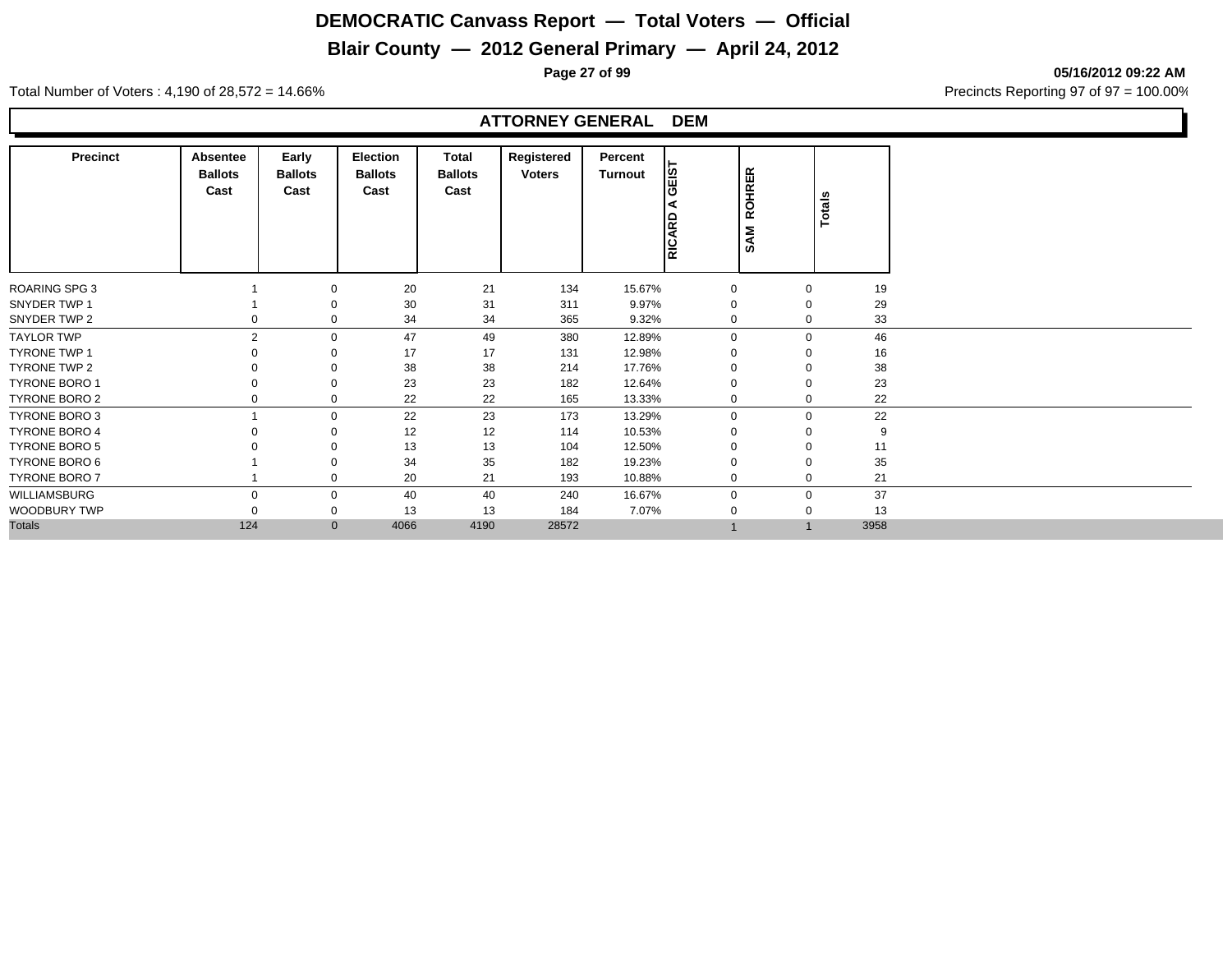## **Blair County — 2012 General Primary — April 24, 2012**

**Page 27 of 99 05/16/2012 09:22 AM**

Total Number of Voters : 4,190 of 28,572 = 14.66% Precincts Reporting 97 of 97 = 100.00%

#### **ATTORNEY GENERAL DEM**

| <b>Precinct</b>      | Absentee<br><b>Ballots</b><br>Cast | Early<br><b>Ballots</b><br>Cast | Election<br><b>Ballots</b><br>Cast | Total<br><b>Ballots</b><br>Cast | Registered<br><b>Voters</b> | Percent<br>Turnout | <b>TSI</b><br>RICARD | <b>ROHRER</b><br><b>SAM</b> | Totals      |      |
|----------------------|------------------------------------|---------------------------------|------------------------------------|---------------------------------|-----------------------------|--------------------|----------------------|-----------------------------|-------------|------|
| <b>ROARING SPG 3</b> |                                    | 0                               | 20                                 | 21                              | 134                         | 15.67%             | 0                    |                             | 0           | 19   |
| SNYDER TWP 1         |                                    | 0                               | 30                                 | 31                              | 311                         | 9.97%              | $\Omega$             |                             | $\mathbf 0$ | 29   |
| SNYDER TWP 2         |                                    | 0                               | 34                                 | 34                              | 365                         | 9.32%              | 0                    |                             | 0           | 33   |
| <b>TAYLOR TWP</b>    | $\overline{2}$                     | $\mathbf{0}$                    | 47                                 | 49                              | 380                         | 12.89%             | $\mathbf 0$          |                             | $\mathbf 0$ | 46   |
| TYRONE TWP 1         |                                    | 0                               | 17                                 | 17                              | 131                         | 12.98%             | $\Omega$             |                             | $\mathbf 0$ | 16   |
| TYRONE TWP 2         |                                    | 0                               | 38                                 | 38                              | 214                         | 17.76%             | $\mathbf 0$          |                             | 0           | 38   |
| <b>TYRONE BORO 1</b> |                                    | 0                               | 23                                 | 23                              | 182                         | 12.64%             | $\mathbf 0$          |                             | 0           | 23   |
| <b>TYRONE BORO 2</b> |                                    | 0                               | 22                                 | 22                              | 165                         | 13.33%             | 0                    |                             | 0           | 22   |
| TYRONE BORO 3        |                                    | 0                               | 22                                 | 23                              | 173                         | 13.29%             | $\mathbf 0$          |                             | 0           | 22   |
| <b>TYRONE BORO 4</b> |                                    | 0                               | 12                                 | 12                              | 114                         | 10.53%             | $\mathbf 0$          |                             | $\mathbf 0$ | 9    |
| <b>TYRONE BORO 5</b> |                                    | 0                               | 13                                 | 13                              | 104                         | 12.50%             | $\mathbf 0$          |                             | 0           | 11   |
| TYRONE BORO 6        |                                    | 0                               | 34                                 | 35                              | 182                         | 19.23%             | $\Omega$             |                             | $\mathbf 0$ | 35   |
| <b>TYRONE BORO 7</b> |                                    | 0                               | 20                                 | 21                              | 193                         | 10.88%             | $\mathbf 0$          |                             | $\mathbf 0$ | 21   |
| WILLIAMSBURG         | $\Omega$                           | 0                               | 40                                 | 40                              | 240                         | 16.67%             | $\mathbf 0$          |                             | 0           | 37   |
| WOODBURY TWP         |                                    | 0                               | 13                                 | 13                              | 184                         | 7.07%              | $\mathbf 0$          |                             | 0           | 13   |
| <b>Totals</b>        | 124                                | $\mathbf{0}$                    | 4066                               | 4190                            | 28572                       |                    |                      | $\overline{A}$              |             | 3958 |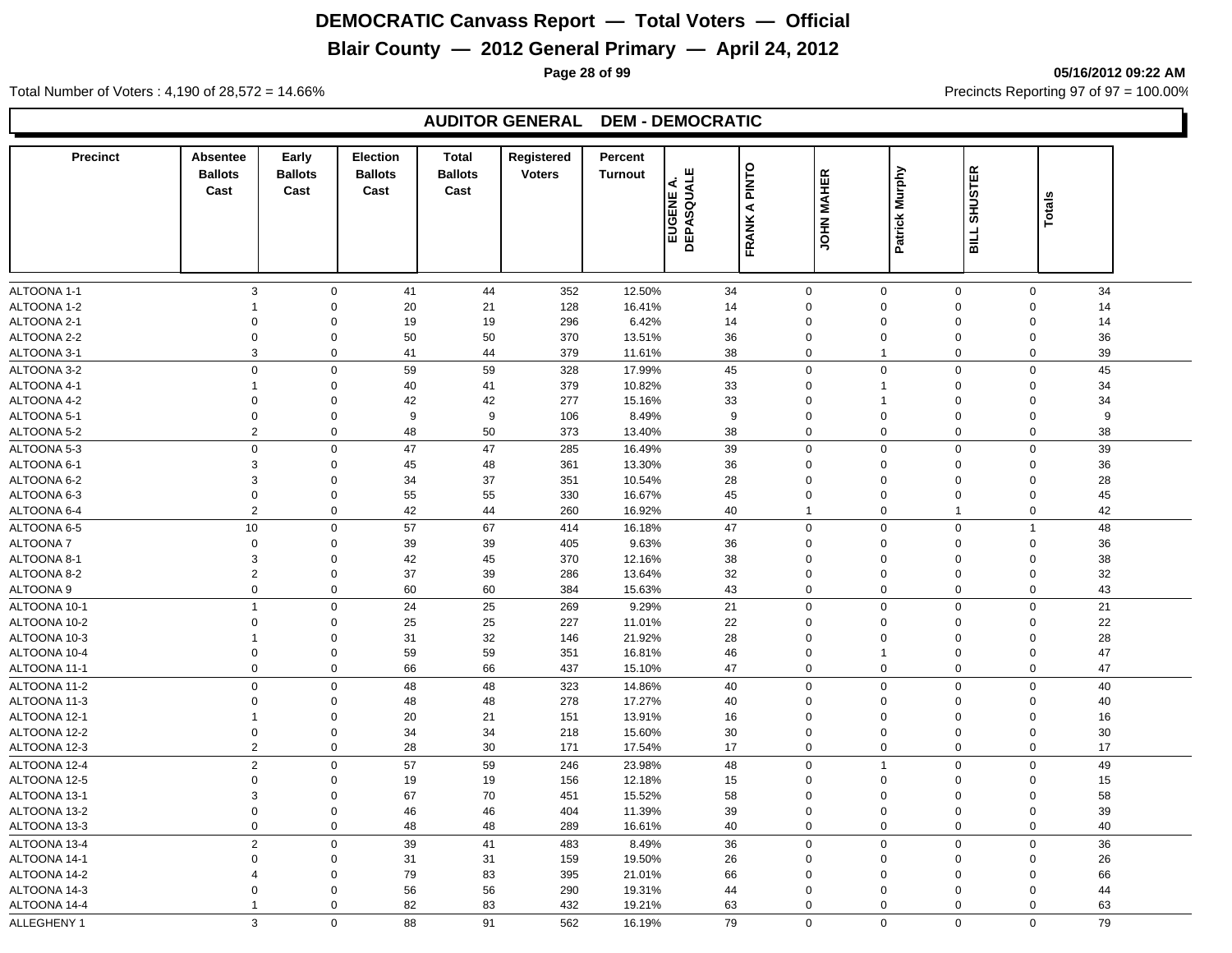### **Blair County — 2012 General Primary — April 24, 2012**

**Page 28 of 99 05/16/2012 09:22 AM**

Total Number of Voters : 4,190 of 28,572 = 14.66% Precincts Reporting 97 of 97 = 100.00%

#### **AUDITOR GENERAL DEM - DEMOCRATIC**

| <b>Precinct</b> | <b>Absentee</b>  | Early          | <b>Election</b> | <b>Total</b>   | Registered    | Percent        |                                 |                      |                   |                               |                     |                   |  |
|-----------------|------------------|----------------|-----------------|----------------|---------------|----------------|---------------------------------|----------------------|-------------------|-------------------------------|---------------------|-------------------|--|
|                 | <b>Ballots</b>   | <b>Ballots</b> | <b>Ballots</b>  | <b>Ballots</b> | <b>Voters</b> | <b>Turnout</b> | щ                               | PINTO                | <b>JOHN MAHER</b> | Patrick Murphy                | <b>SHUSTER</b>      |                   |  |
|                 | Cast             | Cast           | Cast            | Cast           |               |                | <b>EUGENE A.<br/>DEPASQUALE</b> | $\blacktriangleleft$ |                   |                               |                     | Totals            |  |
|                 |                  |                |                 |                |               |                |                                 |                      |                   |                               |                     |                   |  |
|                 |                  |                |                 |                |               |                |                                 | FRANK                |                   |                               | <b>BILL</b>         |                   |  |
|                 |                  |                |                 |                |               |                |                                 |                      |                   |                               |                     |                   |  |
|                 |                  |                |                 |                |               |                |                                 |                      |                   |                               |                     |                   |  |
| ALTOONA 1-1     | 3                | $\mathbf 0$    | 41              | 44             | 352           | 12.50%         | 34                              |                      | $\mathbf 0$       | $\mathbf 0$                   | $\mathbf 0$         | $\mathbf 0$<br>34 |  |
| ALTOONA 1-2     | -1               | $\Omega$       | 20              | 21             | 128           | 16.41%         | 14                              |                      | $\Omega$          | $\mathbf 0$                   | $\Omega$            | $\Omega$<br>14    |  |
| ALTOONA 2-1     | $\mathbf 0$      | $\Omega$       | 19              | 19             | 296           | 6.42%          | 14                              |                      | $\mathbf 0$       | $\mathbf 0$                   | $\mathbf 0$         | $\mathbf 0$<br>14 |  |
| ALTOONA 2-2     | $\mathbf 0$      | $\mathbf 0$    | 50              | 50             | 370           | 13.51%         | 36                              |                      | $\mathbf 0$       | $\mathbf 0$                   | 0                   | 36<br>$\mathbf 0$ |  |
| ALTOONA 3-1     | 3                | $\mathbf 0$    | 41              | 44             | 379           | 11.61%         | 38                              |                      | $\mathbf 0$       | $\overline{1}$                | 0                   | 39<br>0           |  |
| ALTOONA 3-2     | 0                | $\Omega$       | 59              | 59             | 328           | 17.99%         | 45                              |                      | $\mathbf 0$       | $\mathbf 0$                   | 0                   | $\mathbf 0$<br>45 |  |
| ALTOONA 4-1     | $\mathbf{1}$     | $\Omega$       | 40              | 41             | 379           | 10.82%         | 33                              |                      | $\Omega$          | $\mathbf{1}$                  | $\Omega$            | 34<br>$\Omega$    |  |
| ALTOONA 4-2     | $\mathbf 0$      | $\mathbf 0$    | 42              | 42             | 277           | 15.16%         | 33                              |                      | $\mathbf 0$       | $\mathbf{1}$                  | $\mathbf 0$         | 34<br>$\Omega$    |  |
| ALTOONA 5-1     | 0                | 0              | 9               | 9              | 106           | 8.49%          | 9                               |                      | $\mathbf 0$       | $\mathbf 0$                   | $\Omega$            | 9<br>$\Omega$     |  |
| ALTOONA 5-2     | $\overline{2}$   | $\mathbf 0$    | 48              | 50             | 373           | 13.40%         | 38                              |                      | $\mathbf 0$       | $\mathbf 0$                   | 0                   | 38<br>0           |  |
| ALTOONA 5-3     | $\Omega$         | $\Omega$       | 47              | 47             | 285           | 16.49%         | 39                              |                      | $\mathbf 0$       | $\mathbf 0$                   | 0                   | 39<br>$\Omega$    |  |
| ALTOONA 6-1     | 3                | 0              | 45              | 48             | 361           | 13.30%         | 36                              |                      | $\mathbf 0$       | $\mathbf 0$                   | 0                   | 36<br>$\mathbf 0$ |  |
| ALTOONA 6-2     | 3                | 0              | 34              | 37             | 351           | 10.54%         | 28                              |                      | $\mathbf 0$       | $\mathbf 0$                   | $\mathbf 0$         | 28<br>$\mathbf 0$ |  |
| ALTOONA 6-3     | $\mathbf 0$      | $\overline{0}$ | 55              | 55             | 330           | 16.67%         | 45                              |                      | $\mathbf 0$       | $\mathbf 0$                   | $\mathbf 0$         | 45<br>$\Omega$    |  |
| ALTOONA 6-4     | 2                | $\mathbf{0}$   | 42              | 44             | 260           | 16.92%         | 40                              |                      | $\mathbf{1}$      | $\mathbf 0$<br>$\overline{1}$ |                     | 42<br>$\mathbf 0$ |  |
| ALTOONA 6-5     | 10               | $\mathbf 0$    | 57              | 67             | 414           | 16.18%         | 47                              |                      | $\mathbf 0$       | $\mathbf 0$                   | 0<br>$\overline{1}$ | 48                |  |
| <b>ALTOONA7</b> | $\mathbf 0$      | 0              | 39              | 39             | 405           | 9.63%          | 36                              |                      | $\mathbf 0$       | $\mathbf 0$                   | $\Omega$            | 36<br>$\Omega$    |  |
| ALTOONA 8-1     | 3                | $\mathbf 0$    | 42              | 45             | 370           | 12.16%         | 38                              |                      | $\mathbf 0$       | $\pmb{0}$                     | $\Omega$            | 38<br>$\Omega$    |  |
| ALTOONA 8-2     | $\overline{2}$   | $\mathbf 0$    | 37              | 39             | 286           | 13.64%         | 32                              |                      | $\mathbf 0$       | $\mathbf 0$                   | 0                   | $\mathbf 0$<br>32 |  |
| ALTOONA 9       | $\mathbf 0$      | 0              | 60              | 60             | 384           | 15.63%         | 43                              |                      | $\mathbf 0$       | $\mathbf 0$                   | 0                   | 0<br>43           |  |
| ALTOONA 10-1    | $\mathbf{1}$     | $\mathbf 0$    | 24              | 25             | 269           | 9.29%          | 21                              |                      | $\mathbf 0$       | $\mathbf 0$                   | $\mathbf 0$         | $\mathbf 0$<br>21 |  |
| ALTOONA 10-2    | $\mathbf 0$      | $\mathbf 0$    | 25              | 25             | 227           | 11.01%         | 22                              |                      | $\mathbf 0$       | $\mathbf 0$                   | $\Omega$            | 22<br>$\Omega$    |  |
| ALTOONA 10-3    | $\mathbf{1}$     | $\mathbf 0$    | 31              | 32             | 146           | 21.92%         | 28                              |                      | $\mathbf 0$       | $\mathbf 0$                   | $\Omega$            | $\Omega$<br>28    |  |
| ALTOONA 10-4    | $\Omega$         | $\Omega$       | 59              | 59             | 351           | 16.81%         | 46                              |                      | $\mathbf 0$       | $\overline{1}$                | $\mathbf 0$         | $\Omega$<br>47    |  |
| ALTOONA 11-1    | $\Omega$         | $\mathbf 0$    | 66              | 66             | 437           | 15.10%         | 47                              |                      | $\mathbf 0$       | $\mathbf 0$                   | 0                   | $\mathbf 0$<br>47 |  |
| ALTOONA 11-2    | $\boldsymbol{0}$ | $\mathbf 0$    | 48              | 48             | 323           | 14.86%         | 40                              |                      | $\mathbf 0$       | $\mathbf 0$                   | $\mathbf 0$         | $\mathbf 0$<br>40 |  |
| ALTOONA 11-3    | 0                | $\Omega$       | 48              | 48             | 278           | 17.27%         | 40                              |                      | $\mathbf 0$       | $\mathbf 0$                   | 0                   | $\Omega$<br>40    |  |
| ALTOONA 12-1    | $\mathbf{1}$     | $\Omega$       | 20              | 21             | 151           | 13.91%         | 16                              |                      | $\mathbf 0$       | $\mathbf 0$                   | 0                   | $\mathbf 0$<br>16 |  |
| ALTOONA 12-2    | $\mathbf 0$      | $\Omega$       | 34              | 34             | 218           | 15.60%         | 30                              |                      | $\mathbf 0$       | $\mathbf 0$                   | 0                   | 30<br>$\mathbf 0$ |  |
| ALTOONA 12-3    | 2                | $\Omega$       | 28              | 30             | 171           | 17.54%         | 17                              |                      | $\mathbf 0$       | $\mathbf 0$                   | $\mathbf 0$         | 17<br>$\mathbf 0$ |  |
| ALTOONA 12-4    | $\overline{2}$   | $\Omega$       | 57              | 59             | 246           | 23.98%         | 48                              |                      | $\mathbf 0$       | $\overline{1}$                | 0                   | 0<br>49           |  |
| ALTOONA 12-5    | $\mathbf 0$      | $\Omega$       | 19              | 19             | 156           | 12.18%         | 15                              |                      | $\Omega$          | $\mathbf 0$                   | $\Omega$            | 15<br>$\Omega$    |  |
| ALTOONA 13-1    | 3                | $\Omega$       | 67              | 70             | 451           | 15.52%         | 58                              |                      | $\Omega$          | $\mathbf 0$                   | $\Omega$            | 58<br>$\Omega$    |  |
| ALTOONA 13-2    | $\mathsf 0$      | $\mathbf 0$    | 46              | 46             | 404           | 11.39%         | 39                              |                      | $\mathsf 0$       | $\mathbf 0$                   | $\mathbf 0$         | 39<br>$\mathbf 0$ |  |
| ALTOONA 13-3    | 0                | 0              | 48              | 48             | 289           | 16.61%         | 40                              |                      | $\mathbf 0$       | $\mathbf 0$                   | 0                   | 40<br>0           |  |
| ALTOONA 13-4    | $\overline{2}$   | $\Omega$       | 39              | 41             | 483           | 8.49%          | 36                              |                      | $\Omega$          | $\mathbf 0$                   | $\Omega$            | 36<br>$\Omega$    |  |
| ALTOONA 14-1    | $\Omega$         | $\Omega$       | 31              | 31             | 159           | 19.50%         | 26                              |                      | $\mathbf 0$       | $\mathbf 0$                   | 0                   | 26<br>$\mathbf 0$ |  |
| ALTOONA 14-2    | $\overline{4}$   | $\mathbf 0$    | 79              | 83             | 395           | 21.01%         | 66                              |                      | $\mathsf 0$       | $\mathbf 0$                   | $\Omega$            | 66<br>$\mathbf 0$ |  |
| ALTOONA 14-3    | $\mathbf 0$      | $\mathbf 0$    | 56              | 56             | 290           | 19.31%         | 44                              |                      | $\mathbf 0$       | $\mathbf 0$                   | 0                   | 44<br>$\Omega$    |  |
| ALTOONA 14-4    | $\mathbf{1}$     | $\Omega$       | 82              | 83             | 432           | 19.21%         | 63                              |                      | $\Omega$          | $\Omega$                      | 0                   | 63<br>$\Omega$    |  |
| ALLEGHENY 1     | 3                | $\Omega$       | 88              | 91             | 562           | 16.19%         | 79                              |                      | $\Omega$          | $\Omega$                      | $\Omega$            | 79<br>$\Omega$    |  |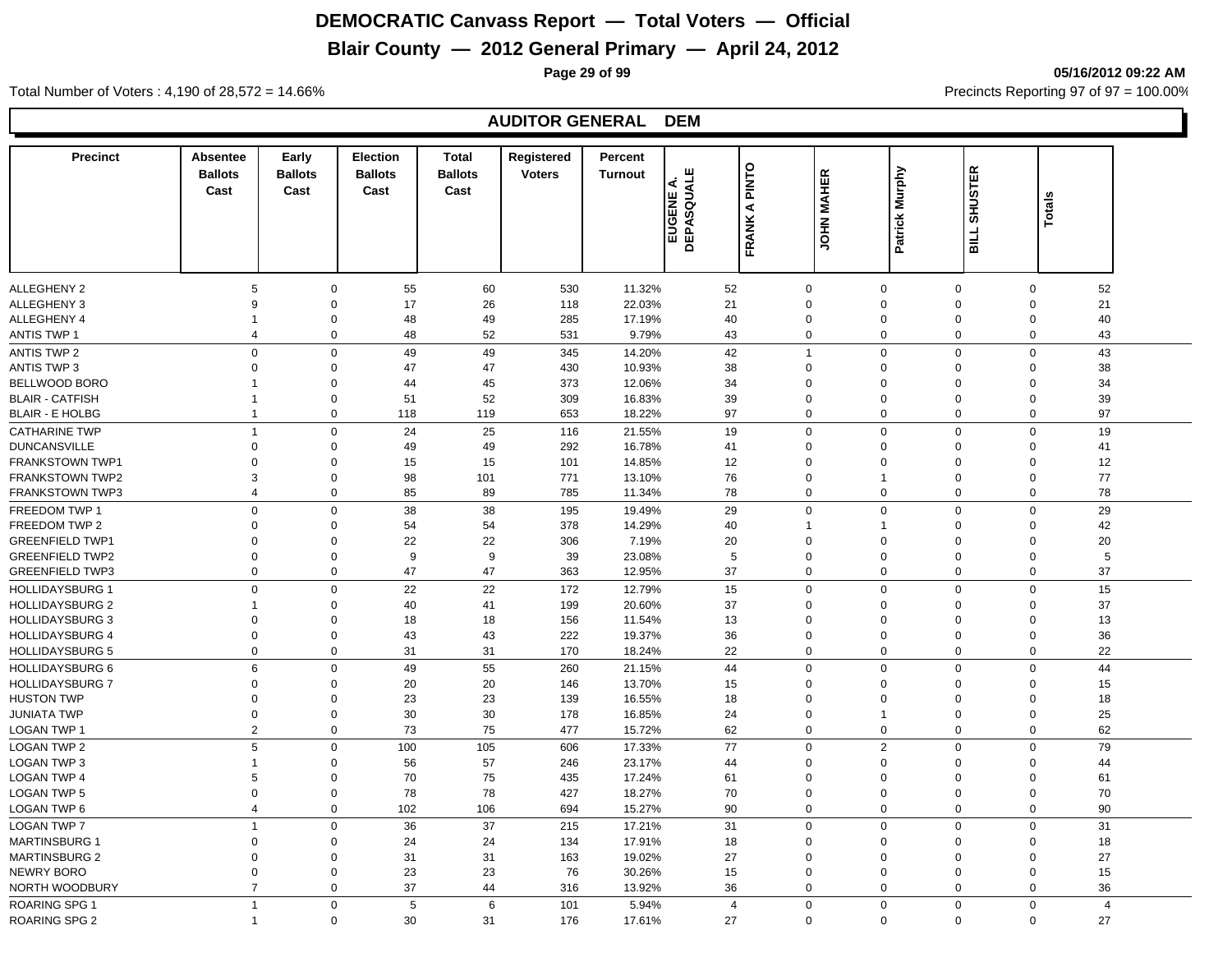### **Blair County — 2012 General Primary — April 24, 2012**

**Page 29 of 99 05/16/2012 09:22 AM**

#### Total Number of Voters : 4,190 of 28,572 = 14.66% Precincts Reporting 97 of 97 = 100.00%

#### **AUDITOR GENERAL DEM**

| <b>Precinct</b>        | Absentee<br><b>Ballots</b><br>Cast | Early<br><b>Ballots</b><br>Cast | <b>Election</b><br><b>Ballots</b><br>Cast | <b>Total</b><br><b>Ballots</b><br>Cast | Registered<br><b>Voters</b> | Percent<br><b>Turnout</b> | ш<br>SQUAL<br>∢<br>EUGENE<br>DEPASQUA | <b>PINTO</b><br>⋖ | <b>JOHN MAHER</b> | Patrick Murphy | <b>SHUSTER</b> | <b>Totals</b> |                |  |
|------------------------|------------------------------------|---------------------------------|-------------------------------------------|----------------------------------------|-----------------------------|---------------------------|---------------------------------------|-------------------|-------------------|----------------|----------------|---------------|----------------|--|
|                        |                                    |                                 |                                           |                                        |                             |                           |                                       | FRANK             |                   |                | <b>BILL</b>    |               |                |  |
| <b>ALLEGHENY 2</b>     | $\sqrt{5}$                         | $\mathbf 0$                     | 55                                        | 60                                     | 530                         | 11.32%                    | 52                                    |                   | $\mathbf 0$       | $\mathbf 0$    | 0              | $\mathsf 0$   | 52             |  |
| ALLEGHENY 3            | 9                                  | $\Omega$                        | 17                                        | 26                                     | 118                         | 22.03%                    | 21                                    |                   | $\Omega$          | $\mathbf 0$    | $\Omega$       | $\Omega$      | 21             |  |
| <b>ALLEGHENY 4</b>     | $\mathbf{1}$                       | $\Omega$                        | 48                                        | 49                                     | 285                         | 17.19%                    | 40                                    |                   | $\mathbf 0$       | $\mathbf 0$    | $\Omega$       | $\Omega$      | 40             |  |
| <b>ANTIS TWP 1</b>     | $\overline{4}$                     | $\Omega$                        | 48                                        | 52                                     | 531                         | 9.79%                     | 43                                    |                   | $\mathbf 0$       | $\mathbf 0$    | $\mathbf 0$    | $\mathbf{0}$  | 43             |  |
| <b>ANTIS TWP 2</b>     | $\mathbf 0$                        | $\mathbf 0$                     | 49                                        | 49                                     | 345                         | 14.20%                    | 42                                    |                   | $\mathbf{1}$      | $\mathbf 0$    | $\mathbf 0$    | $\Omega$      | 43             |  |
| <b>ANTIS TWP 3</b>     | $\mathbf 0$                        | $\Omega$                        | 47                                        | 47                                     | 430                         | 10.93%                    | 38                                    |                   | $\mathbf 0$       | $\mathbf 0$    | $\Omega$       | $\Omega$      | 38             |  |
| <b>BELLWOOD BORO</b>   | 1                                  | $\Omega$                        | 44                                        | 45                                     | 373                         | 12.06%                    | 34                                    |                   | $\Omega$          | $\mathbf 0$    | $\Omega$       | $\Omega$      | 34             |  |
| <b>BLAIR - CATFISH</b> | $\mathbf{1}$                       | $\Omega$                        | 51                                        | 52                                     | 309                         | 16.83%                    | 39                                    |                   | $\mathbf 0$       | $\mathbf 0$    | $\Omega$       | $\Omega$      | 39             |  |
| <b>BLAIR - E HOLBG</b> | $\mathbf{1}$                       | $\Omega$                        | 118                                       | 119                                    | 653                         | 18.22%                    | 97                                    |                   | $\mathbf 0$       | $\mathbf 0$    | $\mathbf 0$    | $\mathbf{0}$  | 97             |  |
| <b>CATHARINE TWP</b>   | $\mathbf{1}$                       | $\Omega$                        | 24                                        | 25                                     | 116                         | 21.55%                    | 19                                    |                   | $\mathbf 0$       | $\mathbf 0$    | $\mathbf 0$    | $\Omega$      | 19             |  |
| <b>DUNCANSVILLE</b>    | $\mathsf 0$                        | $\Omega$                        | 49                                        | 49                                     | 292                         | 16.78%                    | 41                                    |                   | $\mathbf 0$       | $\mathbf 0$    | $\Omega$       | $\Omega$      | 41             |  |
| <b>FRANKSTOWN TWP1</b> | $\Omega$                           | $\Omega$                        | 15                                        | 15                                     | 101                         | 14.85%                    | 12                                    |                   | $\mathbf 0$       | $\mathbf 0$    | $\Omega$       | $\Omega$      | 12             |  |
| <b>FRANKSTOWN TWP2</b> | 3                                  | $\Omega$                        | 98                                        | 101                                    | 771                         | 13.10%                    | 76                                    |                   | $\mathbf 0$       | $\overline{1}$ | $\mathbf 0$    | $\mathbf 0$   | 77             |  |
| <b>FRANKSTOWN TWP3</b> | 4                                  | $\Omega$                        | 85                                        | 89                                     | 785                         | 11.34%                    | 78                                    |                   | $\mathbf 0$       | $\mathbf 0$    | 0              | 0             | 78             |  |
| FREEDOM TWP 1          | $\Omega$                           | $\mathbf 0$                     | 38                                        | 38                                     | 195                         | 19.49%                    | 29                                    |                   | $\mathbf 0$       | $\mathbf 0$    | $\mathbf 0$    | $\mathbf 0$   | 29             |  |
| FREEDOM TWP 2          | $\Omega$                           | $\Omega$                        | 54                                        | 54                                     | 378                         | 14.29%                    | 40                                    |                   | -1                | $\mathbf{1}$   | $\mathbf 0$    | $\Omega$      | 42             |  |
| <b>GREENFIELD TWP1</b> | $\Omega$                           | $\Omega$                        | 22                                        | 22                                     | 306                         | 7.19%                     | 20                                    |                   | $\Omega$          | $\mathbf 0$    | $\Omega$       | $\Omega$      | 20             |  |
| <b>GREENFIELD TWP2</b> | $\Omega$                           | $\Omega$                        | 9                                         | $\boldsymbol{9}$                       | 39                          | 23.08%                    | 5                                     |                   | $\Omega$          | $\Omega$       | $\mathbf 0$    | $\Omega$      | 5              |  |
| <b>GREENFIELD TWP3</b> | $\Omega$                           | $\Omega$                        | 47                                        | 47                                     | 363                         | 12.95%                    | 37                                    |                   | 0                 | $\mathbf 0$    | 0              | $\Omega$      | 37             |  |
| <b>HOLLIDAYSBURG 1</b> | $\mathbf 0$                        | $\mathbf 0$                     | 22                                        | 22                                     | 172                         | 12.79%                    | 15                                    |                   | $\mathbf 0$       | $\mathbf 0$    | $\mathbf 0$    | $\mathbf 0$   | 15             |  |
| <b>HOLLIDAYSBURG 2</b> | $\mathbf{1}$                       | $\Omega$                        | 40                                        | 41                                     | 199                         | 20.60%                    | 37                                    |                   | $\Omega$          | $\mathbf 0$    | $\mathbf 0$    | $\mathbf 0$   | 37             |  |
| <b>HOLLIDAYSBURG 3</b> | $\Omega$                           | $\Omega$                        | 18                                        | 18                                     | 156                         | 11.54%                    | 13                                    |                   | $\Omega$          | $\Omega$       | $\Omega$       | $\Omega$      | 13             |  |
| <b>HOLLIDAYSBURG 4</b> | $\Omega$                           | $\Omega$                        | 43                                        | 43                                     | 222                         | 19.37%                    | 36                                    |                   | $\Omega$          | $\mathbf 0$    | $\mathbf 0$    | $\Omega$      | 36             |  |
| <b>HOLLIDAYSBURG 5</b> | $\Omega$                           | $\Omega$                        | 31                                        | 31                                     | 170                         | 18.24%                    | 22                                    |                   | $\mathbf 0$       | $\mathbf 0$    | $\mathbf 0$    | $\mathbf{0}$  | 22             |  |
| <b>HOLLIDAYSBURG 6</b> | 6                                  | $\Omega$                        | 49                                        | 55                                     | 260                         | 21.15%                    | 44                                    |                   | $\mathbf 0$       | $\mathbf 0$    | $\mathbf 0$    | $\mathbf 0$   | 44             |  |
| <b>HOLLIDAYSBURG 7</b> | $\Omega$                           | $\Omega$                        | 20                                        | 20                                     | 146                         | 13.70%                    | 15                                    |                   | $\Omega$          | $\mathbf 0$    | $\Omega$       | $\Omega$      | 15             |  |
| <b>HUSTON TWP</b>      | $\Omega$                           | 0                               | 23                                        | 23                                     | 139                         | 16.55%                    | 18                                    |                   | $\Omega$          | $\mathbf 0$    | $\Omega$       | $\Omega$      | 18             |  |
| <b>JUNIATA TWP</b>     | $\Omega$                           | $\Omega$                        | 30                                        | 30                                     | 178                         | 16.85%                    | 24                                    |                   | $\mathbf 0$       | $\overline{1}$ | $\Omega$       | $\Omega$      | 25             |  |
| LOGAN TWP 1            | $\overline{2}$                     | $\Omega$                        | 73                                        | 75                                     | 477                         | 15.72%                    | 62                                    |                   | $\mathbf 0$       | $\mathbf 0$    | 0              | 0             | 62             |  |
| <b>LOGAN TWP 2</b>     | 5                                  | $\Omega$                        | 100                                       | 105                                    | 606                         | 17.33%                    | 77                                    |                   | $\mathbf 0$       | $\overline{2}$ | $\mathbf 0$    | $\mathbf 0$   | 79             |  |
| <b>LOGAN TWP 3</b>     | $\mathbf{1}$                       | $\Omega$                        | 56                                        | 57                                     | 246                         | 23.17%                    | 44                                    |                   | $\Omega$          | $\mathbf 0$    | $\mathbf 0$    | $\Omega$      | 44             |  |
| <b>LOGAN TWP 4</b>     | 5                                  | $\Omega$                        | 70                                        | 75                                     | 435                         | 17.24%                    | 61                                    |                   | $\Omega$          | $\mathbf 0$    | $\Omega$       | $\Omega$      | 61             |  |
| LOGAN TWP 5            | $\Omega$                           | $\Omega$                        | 78                                        | 78                                     | 427                         | 18.27%                    | 70                                    |                   | $\Omega$          | $\mathbf 0$    | $\Omega$       | $\Omega$      | 70             |  |
| LOGAN TWP 6            | $\overline{4}$                     | $\Omega$                        | 102                                       | 106                                    | 694                         | 15.27%                    | 90                                    |                   | $\mathbf 0$       | $\mathbf 0$    | 0              | 0             | 90             |  |
| LOGAN TWP 7            | $\overline{1}$                     | $\Omega$                        | 36                                        | 37                                     | 215                         | 17.21%                    | 31                                    |                   | $\Omega$          | $\mathbf 0$    | $\mathbf 0$    | $\Omega$      | 31             |  |
| <b>MARTINSBURG 1</b>   | $\Omega$                           | $\Omega$                        | 24                                        | 24                                     | 134                         | 17.91%                    | 18                                    |                   | $\Omega$          | $\mathbf 0$    | $\Omega$       | $\Omega$      | 18             |  |
| <b>MARTINSBURG 2</b>   | $\Omega$                           | $\Omega$                        | 31                                        | 31                                     | 163                         | 19.02%                    | 27                                    |                   | $\Omega$          | $\mathbf 0$    | $\Omega$       | $\Omega$      | 27             |  |
| NEWRY BORO             | $\Omega$                           | $\Omega$                        | 23                                        | 23                                     | 76                          | 30.26%                    | 15                                    |                   | $\mathbf 0$       | $\mathbf 0$    | $\Omega$       | $\Omega$      | 15             |  |
| NORTH WOODBURY         | $\overline{7}$                     | $\Omega$                        | 37                                        | 44                                     | 316                         | 13.92%                    | 36                                    |                   | $\Omega$          | $\mathbf 0$    | 0              | $\Omega$      | 36             |  |
|                        |                                    |                                 |                                           |                                        |                             |                           |                                       |                   |                   |                |                |               |                |  |
| ROARING SPG 1          | $\mathbf{1}$                       | $\Omega$                        | 5                                         | 6                                      | 101                         | 5.94%                     | $\overline{4}$                        |                   | $\Omega$          | $\mathbf 0$    | $\mathbf 0$    | $\Omega$      | $\overline{4}$ |  |
| <b>ROARING SPG 2</b>   | $\mathbf 1$                        | $\mathbf 0$                     | 30                                        | 31                                     | 176                         | 17.61%                    | 27                                    |                   | $\Omega$          | $\Omega$       | $\Omega$       | $\Omega$      | 27             |  |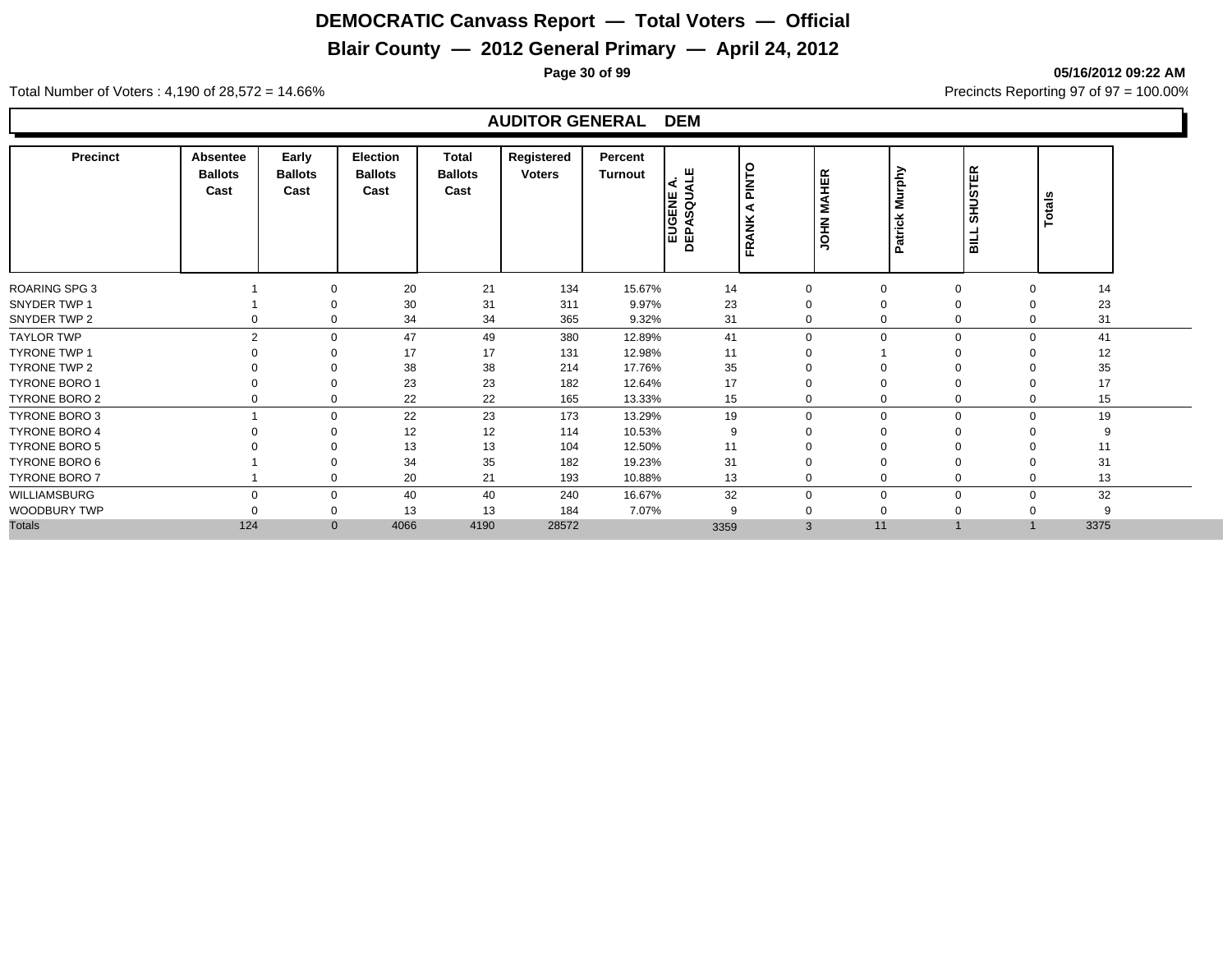## **Blair County — 2012 General Primary — April 24, 2012**

**Page 30 of 99 05/16/2012 09:22 AM**

Total Number of Voters : 4,190 of 28,572 = 14.66% Precincts Reporting 97 of 97 = 100.00%

#### **AUDITOR GENERAL DEM**

| <b>Precinct</b>      | Absentee<br><b>Ballots</b><br>Cast | Early<br><b>Ballots</b><br>Cast | Election<br><b>Ballots</b><br>Cast | Total<br><b>Ballots</b><br>Cast | Registered<br><b>Voters</b> | Percent<br><b>Turnout</b> | ш<br>EUGENE<br>DEPASQUA | o<br><b>NIV</b><br>ž<br>⋖<br>또 | <b>JOHN MAHER</b>    | Murphy<br>Patrick | <b>SHUSTER</b><br><b>SILL</b> | Totals |  |
|----------------------|------------------------------------|---------------------------------|------------------------------------|---------------------------------|-----------------------------|---------------------------|-------------------------|--------------------------------|----------------------|-------------------|-------------------------------|--------|--|
| <b>ROARING SPG 3</b> |                                    |                                 | 20                                 | 21                              | 134                         | 15.67%                    | 14                      | $\Omega$                       | $\overline{0}$       |                   | $\mathbf 0$<br>$\Omega$       | 14     |  |
| SNYDER TWP 1         |                                    |                                 | 30                                 | 31                              | 311                         | 9.97%                     | 23                      |                                | $\mathbf 0$          | $\mathbf 0$       |                               | 23     |  |
| SNYDER TWP 2         |                                    |                                 | 34                                 | 34                              | 365                         | 9.32%                     | 31                      | $\Omega$                       | $\mathbf 0$          |                   | 0<br>$\mathbf 0$              | 31     |  |
| <b>TAYLOR TWP</b>    | $\overline{2}$                     |                                 | 47                                 | 49                              | 380                         | 12.89%                    | 41                      |                                | $\Omega$<br>$\Omega$ |                   | $\mathbf 0$<br>$\Omega$       | 41     |  |
| <b>TYRONE TWP 1</b>  |                                    |                                 | 17                                 | 17                              | 131                         | 12.98%                    | 11                      |                                |                      | $\Omega$          |                               | 12     |  |
| TYRONE TWP 2         |                                    |                                 | 38                                 | 38                              | 214                         | 17.76%                    | 35                      |                                | $\Omega$             |                   | $\mathbf 0$                   | 35     |  |
| <b>TYRONE BORO 1</b> |                                    |                                 | 23                                 | 23                              | 182                         | 12.64%                    | 17                      |                                | $\Omega$             | $\Omega$          | $\Omega$                      | 17     |  |
| TYRONE BORO 2        |                                    |                                 | 22                                 | 22                              | 165                         | 13.33%                    | 15                      |                                | 0                    |                   | 0                             | 15     |  |
| <b>TYRONE BORO 3</b> |                                    |                                 | 22                                 | 23                              | 173                         | 13.29%                    | 19                      |                                | $\Omega$<br>$\Omega$ |                   | 0<br>$\Omega$                 | 19     |  |
| <b>TYRONE BORO 4</b> |                                    |                                 | 12                                 | 12                              | 114                         | 10.53%                    | 9                       |                                | $\mathbf 0$          | $\mathbf 0$       |                               | 9      |  |
| <b>TYRONE BORO 5</b> |                                    |                                 | 13                                 | 13                              | 104                         | 12.50%                    | 11                      |                                | $\mathbf 0$          |                   | $\mathbf 0$                   | 11     |  |
| TYRONE BORO 6        |                                    |                                 | 34                                 | 35                              | 182                         | 19.23%                    | 31                      |                                | $\mathbf 0$          |                   | $\mathbf 0$                   | 31     |  |
| <b>TYRONE BORO 7</b> |                                    |                                 | 20                                 | 21                              | 193                         | 10.88%                    | 13                      | $\Omega$                       | $\mathbf 0$          |                   | 0<br>$\Omega$                 | 13     |  |
| WILLIAMSBURG         |                                    |                                 | 40                                 | 40                              | 240                         | 16.67%                    | 32                      | $\Omega$                       | $\Omega$             |                   | $\mathbf 0$<br>$\Omega$       | 32     |  |
| WOODBURY TWP         |                                    |                                 | 13                                 | 13                              | 184                         | 7.07%                     | 9                       |                                | $\Omega$             | $\Omega$          |                               | 9      |  |
| <b>Totals</b>        | 124                                | $\mathbf{0}$                    | 4066                               | 4190                            | 28572                       |                           | 3359                    |                                | 11<br>3              |                   |                               | 3375   |  |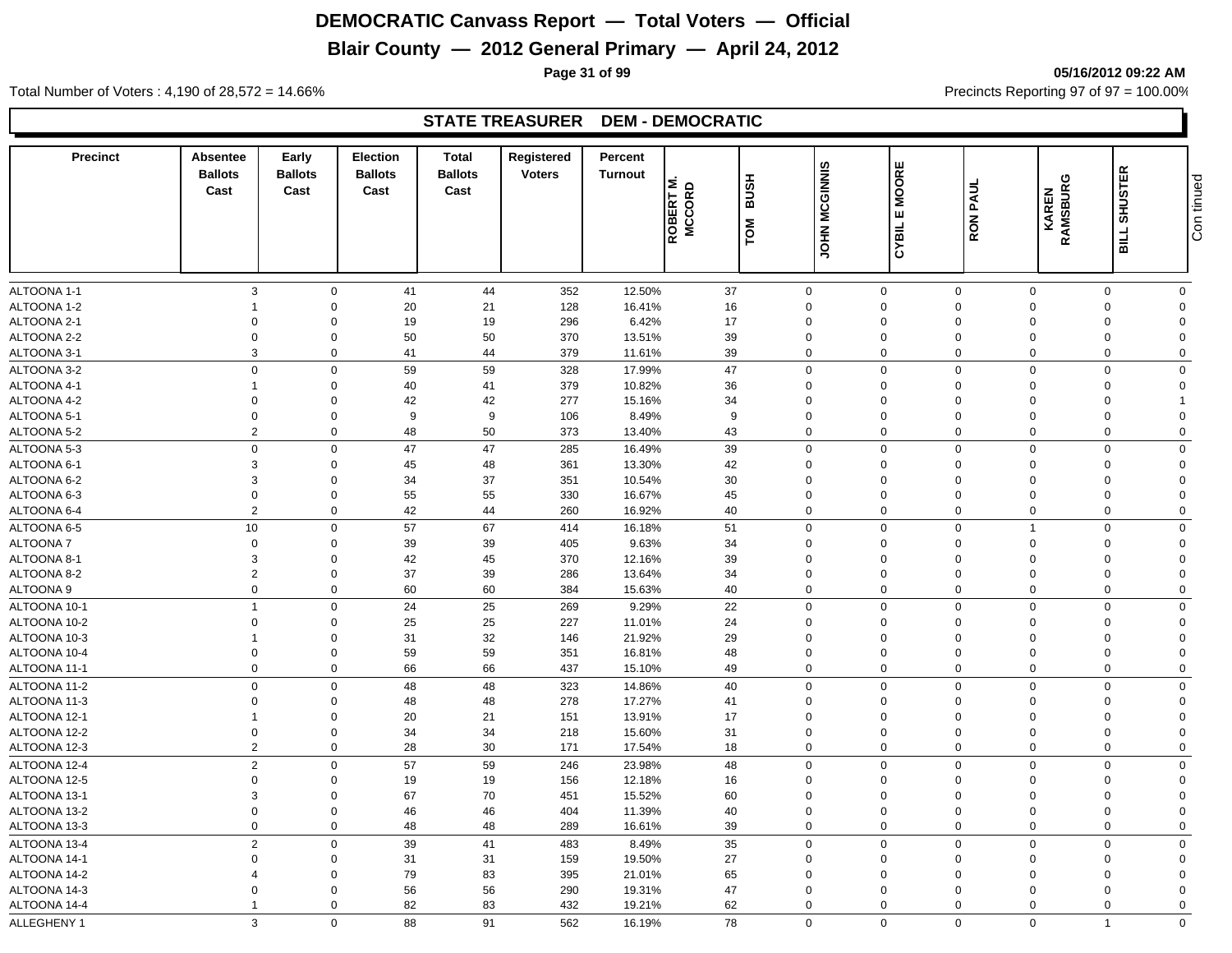### **Blair County — 2012 General Primary — April 24, 2012**

**Page 31 of 99 05/16/2012 09:22 AM**

Total Number of Voters : 4,190 of 28,572 = 14.66% Precincts Reporting 97 of 97 = 100.00%

#### **STATE TREASURER DEM - DEMOCRATIC**

| $\mathbf{3}$<br>44<br>37<br>$\mathbf 0$<br>ALTOONA 1-1<br>$\mathbf 0$<br>41<br>352<br>12.50%<br>$\mathbf 0$<br>$\mathbf 0$<br>$\mathbf 0$<br>$\mathbf 0$<br>$\mathbf 0$<br>ALTOONA 1-2<br>20<br>21<br>128<br>16<br>$\mathbf 0$<br>$\mathbf 0$<br>$\mathbf 0$<br>16.41%<br>$\mathbf 0$<br>$\mathbf 0$<br>$\mathbf 0$<br>$\Omega$<br>ALTOONA 2-1<br>$\mathbf 0$<br>19<br>19<br>296<br>6.42%<br>17<br>$\mathbf 0$<br>$\Omega$<br>$\mathbf 0$<br>$\mathbf 0$<br>$\mathbf 0$<br>$\Omega$<br>$\Omega$<br>ALTOONA 2-2<br>$\overline{0}$<br>50<br>50<br>370<br>13.51%<br>39<br>$\mathbf 0$<br>$\mathbf 0$<br>$\mathbf 0$<br>$\mathbf 0$<br>$\mathbf{0}$<br>$\mathbf 0$<br>$\Omega$<br>3<br>41<br>44<br>39<br>$\mathsf 0$<br>ALTOONA 3-1<br>$\mathbf 0$<br>379<br>$\Omega$<br>$\mathbf 0$<br>$\overline{0}$<br>$\mathbf 0$<br>11.61%<br>$\mathbf 0$<br>$\overline{0}$<br>59<br>59<br>47<br>$\mathbf 0$<br>ALTOONA 3-2<br>$\mathbf 0$<br>328<br>17.99%<br>0<br>$\mathbf 0$<br>$\overline{0}$<br>$\mathbf 0$<br>$\mathbf 0$<br>41<br>ALTOONA 4-1<br>$\mathbf 0$<br>40<br>379<br>10.82%<br>36<br>$\Omega$<br>$\mathbf 0$<br>$\Omega$<br>$\Omega$<br>$\mathbf 0$<br>$\mathbf 1$<br>$\Omega$<br>ALTOONA 4-2<br>$\Omega$<br>$\mathbf 0$<br>42<br>42<br>277<br>15.16%<br>34<br>$\mathbf 0$<br>$\Omega$<br>0<br>$\Omega$<br>$\mathbf 0$<br>$\mathbf 0$<br>9<br>$\mathbf 0$<br>ALTOONA 5-1<br>$\mathbf 0$<br>9<br>106<br>9<br>$\mathbf 0$<br>$\mathbf 0$<br>$\mathbf 0$<br>0<br>8.49%<br>$\Omega$<br>2<br>50<br>$\mathbf 0$<br>48<br>373<br>43<br>$\mathbf 0$<br>$\mathbf 0$<br>$\mathbf 0$<br>$\mathbf{0}$<br>$\mathbf 0$<br>ALTOONA 5-2<br>13.40%<br>$\Omega$<br>47<br>$\mathbf 0$<br>$\mathbf 0$<br>47<br>285<br>39<br>$\Omega$<br>$\mathbf 0$<br>$\Omega$<br>$\mathbf 0$<br>$\mathbf 0$<br>16.49%<br>$\mathbf 0$<br>ALTOONA 6-1<br>3<br>$\mathbf 0$<br>45<br>48<br>361<br>13.30%<br>42<br>$\mathbf 0$<br>$\mathbf 0$<br>$\mathbf 0$<br>0<br>$\mathbf 0$<br>$\mathbf 0$<br>3<br>34<br>37<br>30<br>$\mathbf 0$<br>ALTOONA 6-2<br>$\mathbf 0$<br>351<br>10.54%<br>$\Omega$<br>$\Omega$<br>$\mathbf 0$<br>$\Omega$<br>$\Omega$<br>$\overline{0}$<br>55<br>55<br>ALTOONA 6-3<br>$\Omega$<br>330<br>16.67%<br>45<br>$\mathbf 0$<br>$\mathbf 0$<br>$\Omega$<br>$\mathbf 0$<br>$\Omega$<br>$\Omega$<br>2<br>ALTOONA 6-4<br>$\mathbf 0$<br>42<br>44<br>260<br>16.92%<br>40<br>$\mathbf 0$<br>$\mathbf 0$<br>$\mathbf 0$<br>$\mathbf 0$<br>$\mathbf 0$<br>$\Omega$<br>10<br>$\mathbf 0$<br>57<br>67<br>51<br>$\Omega$<br>$\mathbf 0$<br>$\mathbf 0$<br>414<br>$\mathbf 0$<br>$\overline{1}$<br>$\mathbf 0$<br>16.18%<br>$\overline{0}$<br>$\Omega$<br>39<br>39<br>405<br>34<br>$\mathbf 0$<br>$\mathbf 0$<br>9.63%<br>$\Omega$<br>$\Omega$<br>$\Omega$<br>$\Omega$<br>3<br>42<br>45<br>370<br>39<br>$\mathbf 0$<br>$\Omega$<br>12.16%<br>$\Omega$<br>$\Omega$<br>$\Omega$<br>$\mathbf 0$<br>$\Omega$<br>$\overline{2}$<br>37<br>39<br>$\mathbf 0$<br>0<br>286<br>13.64%<br>34<br>$\Omega$<br>$\mathbf 0$<br>$\Omega$<br>0<br>$\Omega$<br>$\mathbf 0$<br>60<br>60<br>$\mathbf 0$<br>0<br>384<br>15.63%<br>40<br>0<br>$\mathbf 0$<br>$\mathbf 0$<br>0<br>$\Omega$<br>$\overline{1}$<br>$\mathbf 0$<br>24<br>25<br>269<br>9.29%<br>22<br>$\mathbf 0$<br>$\mathbf{0}$<br>$\mathbf 0$<br>$\mathbf 0$<br>$\mathbf 0$<br>$\Omega$<br>$\overline{0}$<br>$\mathbf 0$<br>25<br>25<br>227<br>24<br>$\mathbf 0$<br>$\mathbf 0$<br>11.01%<br>$\mathbf 0$<br>$\mathbf 0$<br>$\mathbf 0$<br>$\Omega$<br>31<br>32<br>29<br>0<br>146<br>21.92%<br>$\mathbf 0$<br>$\mathbf 0$<br>$\mathbf 0$<br>$\mathbf 0$<br>0<br>$\Omega$<br>$\mathbf 1$<br>59<br>59<br>48<br>$\mathbf 0$<br>$\mathbf 0$<br>$\mathbf 0$<br>351<br>16.81%<br>$\mathbf 0$<br>$\mathbf 0$<br>$\mathbf 0$<br>0<br>$\Omega$<br>66<br>$\mathbf 0$<br>$\mathbf 0$<br>66<br>437<br>49<br>$\mathbf 0$<br>$\mathbf 0$<br>$\mathbf 0$<br>15.10%<br>0<br>$\mathbf 0$<br>$\Omega$<br>$\mathsf 0$<br>48<br>48<br>40<br>$\mathsf{O}$<br>$\mathbf 0$<br>$\mathsf 0$<br>$\mathbf 0$<br>323<br>14.86%<br>$\mathbf 0$<br>$\mathbf 0$<br>$\Omega$<br>$\overline{0}$<br>48<br>48<br>278<br>17.27%<br>0<br>41<br>$\mathbf 0$<br>$\mathbf 0$<br>$\mathbf 0$<br>$\Omega$<br>0<br>$\Omega$<br>20<br>21<br>151<br>17<br>$\mathbf 0$<br>$\Omega$<br>13.91%<br>$\Omega$<br>$\Omega$<br>$\Omega$<br>$\Omega$<br>$\Omega$<br>1<br>34<br>$\mathbf 0$<br>$\Omega$<br>34<br>218<br>31<br>$\mathbf 0$<br>$\Omega$<br>0<br>15.60%<br>$\Omega$<br>0<br>$\Omega$<br>2<br>$\mathbf 0$<br>28<br>30<br>171<br>18<br>$\mathbf 0$<br>$\mathbf 0$<br>$\mathbf 0$<br>$\mathbf 0$<br>17.54%<br>0<br>$\Omega$<br>$\overline{2}$<br>57<br>$\mathbf 0$<br>59<br>246<br>23.98%<br>48<br>$\mathbf 0$<br>$\mathbf 0$<br>$\mathbf 0$<br>$\Omega$<br>$\mathbf 0$<br>$\mathbf 0$<br>$\Omega$<br>19<br>19<br>156<br>16<br>$\mathbf 0$<br>$\Omega$<br>12.18%<br>$\Omega$<br>$\Omega$<br>$\Omega$<br>$\Omega$<br>$\Omega$<br>3<br>67<br>70<br>60<br>$\mathbf 0$<br>$\mathbf 0$<br>451<br>15.52%<br>$\mathbf 0$<br>$\Omega$<br>$\mathbf 0$<br>$\Omega$<br>$\Omega$<br>$\overline{0}$<br>$\mathbf 0$<br>46<br>46<br>404<br>11.39%<br>40<br>$\mathbf 0$<br>$\mathbf 0$<br>$\Omega$<br>$\overline{0}$<br>$\mathbf 0$<br>$\Omega$<br>$\overline{0}$<br>$\mathbf 0$<br>48<br>48<br>289<br>39<br>$\mathbf 0$<br>$\mathbf 0$<br>$\overline{0}$<br>$\mathbf 0$<br>16.61%<br>$\mathbf 0$<br>$\mathbf 0$<br>$\overline{2}$<br>$\mathbf 0$<br>39<br>41<br>35<br>$\mathbf 0$<br>$\mathbf 0$<br>483<br>8.49%<br>$\mathbf 0$<br>$\mathbf 0$<br>$\Omega$<br>$\Omega$<br>27<br>$\Omega$<br>31<br>31<br>159<br>19.50%<br>$\mathbf 0$<br>$\mathbf 0$<br>$\mathbf 0$<br>$\mathbf 0$<br>$\Omega$<br>$\Omega$<br>$\Omega$<br>$\mathbf 0$<br>79<br>83<br>395<br>21.01%<br>65<br>$\mathbf 0$<br>$\mathbf 0$<br>$\Omega$<br>$\Omega$<br>$\Omega$<br>$\Omega$<br>$\overline{4}$<br>56<br>$\Omega$<br>56<br>290<br>19.31%<br>47<br>$\mathbf 0$<br>$\Omega$<br>$\mathbf 0$<br>$\mathbf 0$<br>0<br>$\Omega$<br>$\Omega$<br>82<br>83<br>$\overline{1}$<br>0<br>432<br>19.21%<br>62<br>$\Omega$<br>$\Omega$<br>$\Omega$<br>$\Omega$<br>0<br>$\mathbf 0$<br>3<br>$\Omega$<br>88<br>91<br>562<br>78<br>$\Omega$<br>$\Omega$<br>$\mathbf 0$<br>$\Omega$<br>$\mathbf 0$<br>16.19%<br>$\overline{1}$ | <b>Precinct</b> | Absentee<br><b>Ballots</b><br>Cast | Early<br><b>Ballots</b><br>Cast | <b>Election</b><br><b>Ballots</b><br>Cast | <b>Total</b><br><b>Ballots</b><br>Cast | Registered<br><b>Voters</b> | Percent<br><b>Turnout</b> | <b>DERTM.</b><br>ICCORD<br>Iğ.<br>ž | <b>HSUB</b><br>TOM | <b>MCGINNIS</b><br><b>NHOL</b> | <b>MOORE</b><br>ш<br>CYBIL | <b>RON PAUL</b> | KAREN<br>RAMSBURG | <b>SHUSTER</b><br><b>BILL</b> | Con tinued |
|----------------------------------------------------------------------------------------------------------------------------------------------------------------------------------------------------------------------------------------------------------------------------------------------------------------------------------------------------------------------------------------------------------------------------------------------------------------------------------------------------------------------------------------------------------------------------------------------------------------------------------------------------------------------------------------------------------------------------------------------------------------------------------------------------------------------------------------------------------------------------------------------------------------------------------------------------------------------------------------------------------------------------------------------------------------------------------------------------------------------------------------------------------------------------------------------------------------------------------------------------------------------------------------------------------------------------------------------------------------------------------------------------------------------------------------------------------------------------------------------------------------------------------------------------------------------------------------------------------------------------------------------------------------------------------------------------------------------------------------------------------------------------------------------------------------------------------------------------------------------------------------------------------------------------------------------------------------------------------------------------------------------------------------------------------------------------------------------------------------------------------------------------------------------------------------------------------------------------------------------------------------------------------------------------------------------------------------------------------------------------------------------------------------------------------------------------------------------------------------------------------------------------------------------------------------------------------------------------------------------------------------------------------------------------------------------------------------------------------------------------------------------------------------------------------------------------------------------------------------------------------------------------------------------------------------------------------------------------------------------------------------------------------------------------------------------------------------------------------------------------------------------------------------------------------------------------------------------------------------------------------------------------------------------------------------------------------------------------------------------------------------------------------------------------------------------------------------------------------------------------------------------------------------------------------------------------------------------------------------------------------------------------------------------------------------------------------------------------------------------------------------------------------------------------------------------------------------------------------------------------------------------------------------------------------------------------------------------------------------------------------------------------------------------------------------------------------------------------------------------------------------------------------------------------------------------------------------------------------------------------------------------------------------------------------------------------------------------------------------------------------------------------------------------------------------------------------------------------------------------------------------------------------------------------------------------------------------------------------------------------------------------------------------------------------------------------------------------------------------------------------------------------------------------------------------------------------------------------------------------------------------------------------------------------------------------------------------------------------------------------------------------------------------------------------------------------------------------------------------------------------------------------------------------------------------------------------------------------------------------------------------------------------------------------------------------------------------------------------------------------------------------------------------------------------------------------------------------------------------------------------------------------------------------------------------------------------------------------------------------------------------------------------------------------------------------------------------------------------------------------------------------------------------------------------------------------------------------------------------------------------------------------------------------------------------------------------------------------------------------------------------------------------------------------------------------------------------------------------------------------------------------------------------------------------------------------------------------------------|-----------------|------------------------------------|---------------------------------|-------------------------------------------|----------------------------------------|-----------------------------|---------------------------|-------------------------------------|--------------------|--------------------------------|----------------------------|-----------------|-------------------|-------------------------------|------------|
|                                                                                                                                                                                                                                                                                                                                                                                                                                                                                                                                                                                                                                                                                                                                                                                                                                                                                                                                                                                                                                                                                                                                                                                                                                                                                                                                                                                                                                                                                                                                                                                                                                                                                                                                                                                                                                                                                                                                                                                                                                                                                                                                                                                                                                                                                                                                                                                                                                                                                                                                                                                                                                                                                                                                                                                                                                                                                                                                                                                                                                                                                                                                                                                                                                                                                                                                                                                                                                                                                                                                                                                                                                                                                                                                                                                                                                                                                                                                                                                                                                                                                                                                                                                                                                                                                                                                                                                                                                                                                                                                                                                                                                                                                                                                                                                                                                                                                                                                                                                                                                                                                                                                                                                                                                                                                                                                                                                                                                                                                                                                                                                                                                                                                                                                                                                                                                                                                                                                                                                                                                                                                                                                                                                                                                  |                 |                                    |                                 |                                           |                                        |                             |                           |                                     |                    |                                |                            |                 |                   |                               |            |
|                                                                                                                                                                                                                                                                                                                                                                                                                                                                                                                                                                                                                                                                                                                                                                                                                                                                                                                                                                                                                                                                                                                                                                                                                                                                                                                                                                                                                                                                                                                                                                                                                                                                                                                                                                                                                                                                                                                                                                                                                                                                                                                                                                                                                                                                                                                                                                                                                                                                                                                                                                                                                                                                                                                                                                                                                                                                                                                                                                                                                                                                                                                                                                                                                                                                                                                                                                                                                                                                                                                                                                                                                                                                                                                                                                                                                                                                                                                                                                                                                                                                                                                                                                                                                                                                                                                                                                                                                                                                                                                                                                                                                                                                                                                                                                                                                                                                                                                                                                                                                                                                                                                                                                                                                                                                                                                                                                                                                                                                                                                                                                                                                                                                                                                                                                                                                                                                                                                                                                                                                                                                                                                                                                                                                                  |                 |                                    |                                 |                                           |                                        |                             |                           |                                     |                    |                                |                            |                 |                   |                               |            |
|                                                                                                                                                                                                                                                                                                                                                                                                                                                                                                                                                                                                                                                                                                                                                                                                                                                                                                                                                                                                                                                                                                                                                                                                                                                                                                                                                                                                                                                                                                                                                                                                                                                                                                                                                                                                                                                                                                                                                                                                                                                                                                                                                                                                                                                                                                                                                                                                                                                                                                                                                                                                                                                                                                                                                                                                                                                                                                                                                                                                                                                                                                                                                                                                                                                                                                                                                                                                                                                                                                                                                                                                                                                                                                                                                                                                                                                                                                                                                                                                                                                                                                                                                                                                                                                                                                                                                                                                                                                                                                                                                                                                                                                                                                                                                                                                                                                                                                                                                                                                                                                                                                                                                                                                                                                                                                                                                                                                                                                                                                                                                                                                                                                                                                                                                                                                                                                                                                                                                                                                                                                                                                                                                                                                                                  |                 |                                    |                                 |                                           |                                        |                             |                           |                                     |                    |                                |                            |                 |                   |                               |            |
|                                                                                                                                                                                                                                                                                                                                                                                                                                                                                                                                                                                                                                                                                                                                                                                                                                                                                                                                                                                                                                                                                                                                                                                                                                                                                                                                                                                                                                                                                                                                                                                                                                                                                                                                                                                                                                                                                                                                                                                                                                                                                                                                                                                                                                                                                                                                                                                                                                                                                                                                                                                                                                                                                                                                                                                                                                                                                                                                                                                                                                                                                                                                                                                                                                                                                                                                                                                                                                                                                                                                                                                                                                                                                                                                                                                                                                                                                                                                                                                                                                                                                                                                                                                                                                                                                                                                                                                                                                                                                                                                                                                                                                                                                                                                                                                                                                                                                                                                                                                                                                                                                                                                                                                                                                                                                                                                                                                                                                                                                                                                                                                                                                                                                                                                                                                                                                                                                                                                                                                                                                                                                                                                                                                                                                  |                 |                                    |                                 |                                           |                                        |                             |                           |                                     |                    |                                |                            |                 |                   |                               |            |
|                                                                                                                                                                                                                                                                                                                                                                                                                                                                                                                                                                                                                                                                                                                                                                                                                                                                                                                                                                                                                                                                                                                                                                                                                                                                                                                                                                                                                                                                                                                                                                                                                                                                                                                                                                                                                                                                                                                                                                                                                                                                                                                                                                                                                                                                                                                                                                                                                                                                                                                                                                                                                                                                                                                                                                                                                                                                                                                                                                                                                                                                                                                                                                                                                                                                                                                                                                                                                                                                                                                                                                                                                                                                                                                                                                                                                                                                                                                                                                                                                                                                                                                                                                                                                                                                                                                                                                                                                                                                                                                                                                                                                                                                                                                                                                                                                                                                                                                                                                                                                                                                                                                                                                                                                                                                                                                                                                                                                                                                                                                                                                                                                                                                                                                                                                                                                                                                                                                                                                                                                                                                                                                                                                                                                                  |                 |                                    |                                 |                                           |                                        |                             |                           |                                     |                    |                                |                            |                 |                   |                               |            |
|                                                                                                                                                                                                                                                                                                                                                                                                                                                                                                                                                                                                                                                                                                                                                                                                                                                                                                                                                                                                                                                                                                                                                                                                                                                                                                                                                                                                                                                                                                                                                                                                                                                                                                                                                                                                                                                                                                                                                                                                                                                                                                                                                                                                                                                                                                                                                                                                                                                                                                                                                                                                                                                                                                                                                                                                                                                                                                                                                                                                                                                                                                                                                                                                                                                                                                                                                                                                                                                                                                                                                                                                                                                                                                                                                                                                                                                                                                                                                                                                                                                                                                                                                                                                                                                                                                                                                                                                                                                                                                                                                                                                                                                                                                                                                                                                                                                                                                                                                                                                                                                                                                                                                                                                                                                                                                                                                                                                                                                                                                                                                                                                                                                                                                                                                                                                                                                                                                                                                                                                                                                                                                                                                                                                                                  |                 |                                    |                                 |                                           |                                        |                             |                           |                                     |                    |                                |                            |                 |                   |                               |            |
|                                                                                                                                                                                                                                                                                                                                                                                                                                                                                                                                                                                                                                                                                                                                                                                                                                                                                                                                                                                                                                                                                                                                                                                                                                                                                                                                                                                                                                                                                                                                                                                                                                                                                                                                                                                                                                                                                                                                                                                                                                                                                                                                                                                                                                                                                                                                                                                                                                                                                                                                                                                                                                                                                                                                                                                                                                                                                                                                                                                                                                                                                                                                                                                                                                                                                                                                                                                                                                                                                                                                                                                                                                                                                                                                                                                                                                                                                                                                                                                                                                                                                                                                                                                                                                                                                                                                                                                                                                                                                                                                                                                                                                                                                                                                                                                                                                                                                                                                                                                                                                                                                                                                                                                                                                                                                                                                                                                                                                                                                                                                                                                                                                                                                                                                                                                                                                                                                                                                                                                                                                                                                                                                                                                                                                  |                 |                                    |                                 |                                           |                                        |                             |                           |                                     |                    |                                |                            |                 |                   |                               |            |
|                                                                                                                                                                                                                                                                                                                                                                                                                                                                                                                                                                                                                                                                                                                                                                                                                                                                                                                                                                                                                                                                                                                                                                                                                                                                                                                                                                                                                                                                                                                                                                                                                                                                                                                                                                                                                                                                                                                                                                                                                                                                                                                                                                                                                                                                                                                                                                                                                                                                                                                                                                                                                                                                                                                                                                                                                                                                                                                                                                                                                                                                                                                                                                                                                                                                                                                                                                                                                                                                                                                                                                                                                                                                                                                                                                                                                                                                                                                                                                                                                                                                                                                                                                                                                                                                                                                                                                                                                                                                                                                                                                                                                                                                                                                                                                                                                                                                                                                                                                                                                                                                                                                                                                                                                                                                                                                                                                                                                                                                                                                                                                                                                                                                                                                                                                                                                                                                                                                                                                                                                                                                                                                                                                                                                                  |                 |                                    |                                 |                                           |                                        |                             |                           |                                     |                    |                                |                            |                 |                   |                               |            |
|                                                                                                                                                                                                                                                                                                                                                                                                                                                                                                                                                                                                                                                                                                                                                                                                                                                                                                                                                                                                                                                                                                                                                                                                                                                                                                                                                                                                                                                                                                                                                                                                                                                                                                                                                                                                                                                                                                                                                                                                                                                                                                                                                                                                                                                                                                                                                                                                                                                                                                                                                                                                                                                                                                                                                                                                                                                                                                                                                                                                                                                                                                                                                                                                                                                                                                                                                                                                                                                                                                                                                                                                                                                                                                                                                                                                                                                                                                                                                                                                                                                                                                                                                                                                                                                                                                                                                                                                                                                                                                                                                                                                                                                                                                                                                                                                                                                                                                                                                                                                                                                                                                                                                                                                                                                                                                                                                                                                                                                                                                                                                                                                                                                                                                                                                                                                                                                                                                                                                                                                                                                                                                                                                                                                                                  |                 |                                    |                                 |                                           |                                        |                             |                           |                                     |                    |                                |                            |                 |                   |                               |            |
|                                                                                                                                                                                                                                                                                                                                                                                                                                                                                                                                                                                                                                                                                                                                                                                                                                                                                                                                                                                                                                                                                                                                                                                                                                                                                                                                                                                                                                                                                                                                                                                                                                                                                                                                                                                                                                                                                                                                                                                                                                                                                                                                                                                                                                                                                                                                                                                                                                                                                                                                                                                                                                                                                                                                                                                                                                                                                                                                                                                                                                                                                                                                                                                                                                                                                                                                                                                                                                                                                                                                                                                                                                                                                                                                                                                                                                                                                                                                                                                                                                                                                                                                                                                                                                                                                                                                                                                                                                                                                                                                                                                                                                                                                                                                                                                                                                                                                                                                                                                                                                                                                                                                                                                                                                                                                                                                                                                                                                                                                                                                                                                                                                                                                                                                                                                                                                                                                                                                                                                                                                                                                                                                                                                                                                  |                 |                                    |                                 |                                           |                                        |                             |                           |                                     |                    |                                |                            |                 |                   |                               |            |
|                                                                                                                                                                                                                                                                                                                                                                                                                                                                                                                                                                                                                                                                                                                                                                                                                                                                                                                                                                                                                                                                                                                                                                                                                                                                                                                                                                                                                                                                                                                                                                                                                                                                                                                                                                                                                                                                                                                                                                                                                                                                                                                                                                                                                                                                                                                                                                                                                                                                                                                                                                                                                                                                                                                                                                                                                                                                                                                                                                                                                                                                                                                                                                                                                                                                                                                                                                                                                                                                                                                                                                                                                                                                                                                                                                                                                                                                                                                                                                                                                                                                                                                                                                                                                                                                                                                                                                                                                                                                                                                                                                                                                                                                                                                                                                                                                                                                                                                                                                                                                                                                                                                                                                                                                                                                                                                                                                                                                                                                                                                                                                                                                                                                                                                                                                                                                                                                                                                                                                                                                                                                                                                                                                                                                                  |                 |                                    |                                 |                                           |                                        |                             |                           |                                     |                    |                                |                            |                 |                   |                               |            |
|                                                                                                                                                                                                                                                                                                                                                                                                                                                                                                                                                                                                                                                                                                                                                                                                                                                                                                                                                                                                                                                                                                                                                                                                                                                                                                                                                                                                                                                                                                                                                                                                                                                                                                                                                                                                                                                                                                                                                                                                                                                                                                                                                                                                                                                                                                                                                                                                                                                                                                                                                                                                                                                                                                                                                                                                                                                                                                                                                                                                                                                                                                                                                                                                                                                                                                                                                                                                                                                                                                                                                                                                                                                                                                                                                                                                                                                                                                                                                                                                                                                                                                                                                                                                                                                                                                                                                                                                                                                                                                                                                                                                                                                                                                                                                                                                                                                                                                                                                                                                                                                                                                                                                                                                                                                                                                                                                                                                                                                                                                                                                                                                                                                                                                                                                                                                                                                                                                                                                                                                                                                                                                                                                                                                                                  | ALTOONA 5-3     |                                    |                                 |                                           |                                        |                             |                           |                                     |                    |                                |                            |                 |                   |                               |            |
|                                                                                                                                                                                                                                                                                                                                                                                                                                                                                                                                                                                                                                                                                                                                                                                                                                                                                                                                                                                                                                                                                                                                                                                                                                                                                                                                                                                                                                                                                                                                                                                                                                                                                                                                                                                                                                                                                                                                                                                                                                                                                                                                                                                                                                                                                                                                                                                                                                                                                                                                                                                                                                                                                                                                                                                                                                                                                                                                                                                                                                                                                                                                                                                                                                                                                                                                                                                                                                                                                                                                                                                                                                                                                                                                                                                                                                                                                                                                                                                                                                                                                                                                                                                                                                                                                                                                                                                                                                                                                                                                                                                                                                                                                                                                                                                                                                                                                                                                                                                                                                                                                                                                                                                                                                                                                                                                                                                                                                                                                                                                                                                                                                                                                                                                                                                                                                                                                                                                                                                                                                                                                                                                                                                                                                  |                 |                                    |                                 |                                           |                                        |                             |                           |                                     |                    |                                |                            |                 |                   |                               |            |
|                                                                                                                                                                                                                                                                                                                                                                                                                                                                                                                                                                                                                                                                                                                                                                                                                                                                                                                                                                                                                                                                                                                                                                                                                                                                                                                                                                                                                                                                                                                                                                                                                                                                                                                                                                                                                                                                                                                                                                                                                                                                                                                                                                                                                                                                                                                                                                                                                                                                                                                                                                                                                                                                                                                                                                                                                                                                                                                                                                                                                                                                                                                                                                                                                                                                                                                                                                                                                                                                                                                                                                                                                                                                                                                                                                                                                                                                                                                                                                                                                                                                                                                                                                                                                                                                                                                                                                                                                                                                                                                                                                                                                                                                                                                                                                                                                                                                                                                                                                                                                                                                                                                                                                                                                                                                                                                                                                                                                                                                                                                                                                                                                                                                                                                                                                                                                                                                                                                                                                                                                                                                                                                                                                                                                                  |                 |                                    |                                 |                                           |                                        |                             |                           |                                     |                    |                                |                            |                 |                   |                               |            |
|                                                                                                                                                                                                                                                                                                                                                                                                                                                                                                                                                                                                                                                                                                                                                                                                                                                                                                                                                                                                                                                                                                                                                                                                                                                                                                                                                                                                                                                                                                                                                                                                                                                                                                                                                                                                                                                                                                                                                                                                                                                                                                                                                                                                                                                                                                                                                                                                                                                                                                                                                                                                                                                                                                                                                                                                                                                                                                                                                                                                                                                                                                                                                                                                                                                                                                                                                                                                                                                                                                                                                                                                                                                                                                                                                                                                                                                                                                                                                                                                                                                                                                                                                                                                                                                                                                                                                                                                                                                                                                                                                                                                                                                                                                                                                                                                                                                                                                                                                                                                                                                                                                                                                                                                                                                                                                                                                                                                                                                                                                                                                                                                                                                                                                                                                                                                                                                                                                                                                                                                                                                                                                                                                                                                                                  |                 |                                    |                                 |                                           |                                        |                             |                           |                                     |                    |                                |                            |                 |                   |                               |            |
|                                                                                                                                                                                                                                                                                                                                                                                                                                                                                                                                                                                                                                                                                                                                                                                                                                                                                                                                                                                                                                                                                                                                                                                                                                                                                                                                                                                                                                                                                                                                                                                                                                                                                                                                                                                                                                                                                                                                                                                                                                                                                                                                                                                                                                                                                                                                                                                                                                                                                                                                                                                                                                                                                                                                                                                                                                                                                                                                                                                                                                                                                                                                                                                                                                                                                                                                                                                                                                                                                                                                                                                                                                                                                                                                                                                                                                                                                                                                                                                                                                                                                                                                                                                                                                                                                                                                                                                                                                                                                                                                                                                                                                                                                                                                                                                                                                                                                                                                                                                                                                                                                                                                                                                                                                                                                                                                                                                                                                                                                                                                                                                                                                                                                                                                                                                                                                                                                                                                                                                                                                                                                                                                                                                                                                  |                 |                                    |                                 |                                           |                                        |                             |                           |                                     |                    |                                |                            |                 |                   |                               |            |
|                                                                                                                                                                                                                                                                                                                                                                                                                                                                                                                                                                                                                                                                                                                                                                                                                                                                                                                                                                                                                                                                                                                                                                                                                                                                                                                                                                                                                                                                                                                                                                                                                                                                                                                                                                                                                                                                                                                                                                                                                                                                                                                                                                                                                                                                                                                                                                                                                                                                                                                                                                                                                                                                                                                                                                                                                                                                                                                                                                                                                                                                                                                                                                                                                                                                                                                                                                                                                                                                                                                                                                                                                                                                                                                                                                                                                                                                                                                                                                                                                                                                                                                                                                                                                                                                                                                                                                                                                                                                                                                                                                                                                                                                                                                                                                                                                                                                                                                                                                                                                                                                                                                                                                                                                                                                                                                                                                                                                                                                                                                                                                                                                                                                                                                                                                                                                                                                                                                                                                                                                                                                                                                                                                                                                                  | ALTOONA 6-5     |                                    |                                 |                                           |                                        |                             |                           |                                     |                    |                                |                            |                 |                   |                               |            |
|                                                                                                                                                                                                                                                                                                                                                                                                                                                                                                                                                                                                                                                                                                                                                                                                                                                                                                                                                                                                                                                                                                                                                                                                                                                                                                                                                                                                                                                                                                                                                                                                                                                                                                                                                                                                                                                                                                                                                                                                                                                                                                                                                                                                                                                                                                                                                                                                                                                                                                                                                                                                                                                                                                                                                                                                                                                                                                                                                                                                                                                                                                                                                                                                                                                                                                                                                                                                                                                                                                                                                                                                                                                                                                                                                                                                                                                                                                                                                                                                                                                                                                                                                                                                                                                                                                                                                                                                                                                                                                                                                                                                                                                                                                                                                                                                                                                                                                                                                                                                                                                                                                                                                                                                                                                                                                                                                                                                                                                                                                                                                                                                                                                                                                                                                                                                                                                                                                                                                                                                                                                                                                                                                                                                                                  | <b>ALTOONA7</b> |                                    |                                 |                                           |                                        |                             |                           |                                     |                    |                                |                            |                 |                   |                               |            |
|                                                                                                                                                                                                                                                                                                                                                                                                                                                                                                                                                                                                                                                                                                                                                                                                                                                                                                                                                                                                                                                                                                                                                                                                                                                                                                                                                                                                                                                                                                                                                                                                                                                                                                                                                                                                                                                                                                                                                                                                                                                                                                                                                                                                                                                                                                                                                                                                                                                                                                                                                                                                                                                                                                                                                                                                                                                                                                                                                                                                                                                                                                                                                                                                                                                                                                                                                                                                                                                                                                                                                                                                                                                                                                                                                                                                                                                                                                                                                                                                                                                                                                                                                                                                                                                                                                                                                                                                                                                                                                                                                                                                                                                                                                                                                                                                                                                                                                                                                                                                                                                                                                                                                                                                                                                                                                                                                                                                                                                                                                                                                                                                                                                                                                                                                                                                                                                                                                                                                                                                                                                                                                                                                                                                                                  | ALTOONA 8-1     |                                    |                                 |                                           |                                        |                             |                           |                                     |                    |                                |                            |                 |                   |                               |            |
|                                                                                                                                                                                                                                                                                                                                                                                                                                                                                                                                                                                                                                                                                                                                                                                                                                                                                                                                                                                                                                                                                                                                                                                                                                                                                                                                                                                                                                                                                                                                                                                                                                                                                                                                                                                                                                                                                                                                                                                                                                                                                                                                                                                                                                                                                                                                                                                                                                                                                                                                                                                                                                                                                                                                                                                                                                                                                                                                                                                                                                                                                                                                                                                                                                                                                                                                                                                                                                                                                                                                                                                                                                                                                                                                                                                                                                                                                                                                                                                                                                                                                                                                                                                                                                                                                                                                                                                                                                                                                                                                                                                                                                                                                                                                                                                                                                                                                                                                                                                                                                                                                                                                                                                                                                                                                                                                                                                                                                                                                                                                                                                                                                                                                                                                                                                                                                                                                                                                                                                                                                                                                                                                                                                                                                  | ALTOONA 8-2     |                                    |                                 |                                           |                                        |                             |                           |                                     |                    |                                |                            |                 |                   |                               |            |
|                                                                                                                                                                                                                                                                                                                                                                                                                                                                                                                                                                                                                                                                                                                                                                                                                                                                                                                                                                                                                                                                                                                                                                                                                                                                                                                                                                                                                                                                                                                                                                                                                                                                                                                                                                                                                                                                                                                                                                                                                                                                                                                                                                                                                                                                                                                                                                                                                                                                                                                                                                                                                                                                                                                                                                                                                                                                                                                                                                                                                                                                                                                                                                                                                                                                                                                                                                                                                                                                                                                                                                                                                                                                                                                                                                                                                                                                                                                                                                                                                                                                                                                                                                                                                                                                                                                                                                                                                                                                                                                                                                                                                                                                                                                                                                                                                                                                                                                                                                                                                                                                                                                                                                                                                                                                                                                                                                                                                                                                                                                                                                                                                                                                                                                                                                                                                                                                                                                                                                                                                                                                                                                                                                                                                                  | ALTOONA 9       |                                    |                                 |                                           |                                        |                             |                           |                                     |                    |                                |                            |                 |                   |                               |            |
|                                                                                                                                                                                                                                                                                                                                                                                                                                                                                                                                                                                                                                                                                                                                                                                                                                                                                                                                                                                                                                                                                                                                                                                                                                                                                                                                                                                                                                                                                                                                                                                                                                                                                                                                                                                                                                                                                                                                                                                                                                                                                                                                                                                                                                                                                                                                                                                                                                                                                                                                                                                                                                                                                                                                                                                                                                                                                                                                                                                                                                                                                                                                                                                                                                                                                                                                                                                                                                                                                                                                                                                                                                                                                                                                                                                                                                                                                                                                                                                                                                                                                                                                                                                                                                                                                                                                                                                                                                                                                                                                                                                                                                                                                                                                                                                                                                                                                                                                                                                                                                                                                                                                                                                                                                                                                                                                                                                                                                                                                                                                                                                                                                                                                                                                                                                                                                                                                                                                                                                                                                                                                                                                                                                                                                  | ALTOONA 10-1    |                                    |                                 |                                           |                                        |                             |                           |                                     |                    |                                |                            |                 |                   |                               |            |
|                                                                                                                                                                                                                                                                                                                                                                                                                                                                                                                                                                                                                                                                                                                                                                                                                                                                                                                                                                                                                                                                                                                                                                                                                                                                                                                                                                                                                                                                                                                                                                                                                                                                                                                                                                                                                                                                                                                                                                                                                                                                                                                                                                                                                                                                                                                                                                                                                                                                                                                                                                                                                                                                                                                                                                                                                                                                                                                                                                                                                                                                                                                                                                                                                                                                                                                                                                                                                                                                                                                                                                                                                                                                                                                                                                                                                                                                                                                                                                                                                                                                                                                                                                                                                                                                                                                                                                                                                                                                                                                                                                                                                                                                                                                                                                                                                                                                                                                                                                                                                                                                                                                                                                                                                                                                                                                                                                                                                                                                                                                                                                                                                                                                                                                                                                                                                                                                                                                                                                                                                                                                                                                                                                                                                                  | ALTOONA 10-2    |                                    |                                 |                                           |                                        |                             |                           |                                     |                    |                                |                            |                 |                   |                               |            |
|                                                                                                                                                                                                                                                                                                                                                                                                                                                                                                                                                                                                                                                                                                                                                                                                                                                                                                                                                                                                                                                                                                                                                                                                                                                                                                                                                                                                                                                                                                                                                                                                                                                                                                                                                                                                                                                                                                                                                                                                                                                                                                                                                                                                                                                                                                                                                                                                                                                                                                                                                                                                                                                                                                                                                                                                                                                                                                                                                                                                                                                                                                                                                                                                                                                                                                                                                                                                                                                                                                                                                                                                                                                                                                                                                                                                                                                                                                                                                                                                                                                                                                                                                                                                                                                                                                                                                                                                                                                                                                                                                                                                                                                                                                                                                                                                                                                                                                                                                                                                                                                                                                                                                                                                                                                                                                                                                                                                                                                                                                                                                                                                                                                                                                                                                                                                                                                                                                                                                                                                                                                                                                                                                                                                                                  | ALTOONA 10-3    |                                    |                                 |                                           |                                        |                             |                           |                                     |                    |                                |                            |                 |                   |                               |            |
|                                                                                                                                                                                                                                                                                                                                                                                                                                                                                                                                                                                                                                                                                                                                                                                                                                                                                                                                                                                                                                                                                                                                                                                                                                                                                                                                                                                                                                                                                                                                                                                                                                                                                                                                                                                                                                                                                                                                                                                                                                                                                                                                                                                                                                                                                                                                                                                                                                                                                                                                                                                                                                                                                                                                                                                                                                                                                                                                                                                                                                                                                                                                                                                                                                                                                                                                                                                                                                                                                                                                                                                                                                                                                                                                                                                                                                                                                                                                                                                                                                                                                                                                                                                                                                                                                                                                                                                                                                                                                                                                                                                                                                                                                                                                                                                                                                                                                                                                                                                                                                                                                                                                                                                                                                                                                                                                                                                                                                                                                                                                                                                                                                                                                                                                                                                                                                                                                                                                                                                                                                                                                                                                                                                                                                  | ALTOONA 10-4    |                                    |                                 |                                           |                                        |                             |                           |                                     |                    |                                |                            |                 |                   |                               |            |
|                                                                                                                                                                                                                                                                                                                                                                                                                                                                                                                                                                                                                                                                                                                                                                                                                                                                                                                                                                                                                                                                                                                                                                                                                                                                                                                                                                                                                                                                                                                                                                                                                                                                                                                                                                                                                                                                                                                                                                                                                                                                                                                                                                                                                                                                                                                                                                                                                                                                                                                                                                                                                                                                                                                                                                                                                                                                                                                                                                                                                                                                                                                                                                                                                                                                                                                                                                                                                                                                                                                                                                                                                                                                                                                                                                                                                                                                                                                                                                                                                                                                                                                                                                                                                                                                                                                                                                                                                                                                                                                                                                                                                                                                                                                                                                                                                                                                                                                                                                                                                                                                                                                                                                                                                                                                                                                                                                                                                                                                                                                                                                                                                                                                                                                                                                                                                                                                                                                                                                                                                                                                                                                                                                                                                                  | ALTOONA 11-1    |                                    |                                 |                                           |                                        |                             |                           |                                     |                    |                                |                            |                 |                   |                               |            |
|                                                                                                                                                                                                                                                                                                                                                                                                                                                                                                                                                                                                                                                                                                                                                                                                                                                                                                                                                                                                                                                                                                                                                                                                                                                                                                                                                                                                                                                                                                                                                                                                                                                                                                                                                                                                                                                                                                                                                                                                                                                                                                                                                                                                                                                                                                                                                                                                                                                                                                                                                                                                                                                                                                                                                                                                                                                                                                                                                                                                                                                                                                                                                                                                                                                                                                                                                                                                                                                                                                                                                                                                                                                                                                                                                                                                                                                                                                                                                                                                                                                                                                                                                                                                                                                                                                                                                                                                                                                                                                                                                                                                                                                                                                                                                                                                                                                                                                                                                                                                                                                                                                                                                                                                                                                                                                                                                                                                                                                                                                                                                                                                                                                                                                                                                                                                                                                                                                                                                                                                                                                                                                                                                                                                                                  | ALTOONA 11-2    |                                    |                                 |                                           |                                        |                             |                           |                                     |                    |                                |                            |                 |                   |                               |            |
|                                                                                                                                                                                                                                                                                                                                                                                                                                                                                                                                                                                                                                                                                                                                                                                                                                                                                                                                                                                                                                                                                                                                                                                                                                                                                                                                                                                                                                                                                                                                                                                                                                                                                                                                                                                                                                                                                                                                                                                                                                                                                                                                                                                                                                                                                                                                                                                                                                                                                                                                                                                                                                                                                                                                                                                                                                                                                                                                                                                                                                                                                                                                                                                                                                                                                                                                                                                                                                                                                                                                                                                                                                                                                                                                                                                                                                                                                                                                                                                                                                                                                                                                                                                                                                                                                                                                                                                                                                                                                                                                                                                                                                                                                                                                                                                                                                                                                                                                                                                                                                                                                                                                                                                                                                                                                                                                                                                                                                                                                                                                                                                                                                                                                                                                                                                                                                                                                                                                                                                                                                                                                                                                                                                                                                  | ALTOONA 11-3    |                                    |                                 |                                           |                                        |                             |                           |                                     |                    |                                |                            |                 |                   |                               |            |
|                                                                                                                                                                                                                                                                                                                                                                                                                                                                                                                                                                                                                                                                                                                                                                                                                                                                                                                                                                                                                                                                                                                                                                                                                                                                                                                                                                                                                                                                                                                                                                                                                                                                                                                                                                                                                                                                                                                                                                                                                                                                                                                                                                                                                                                                                                                                                                                                                                                                                                                                                                                                                                                                                                                                                                                                                                                                                                                                                                                                                                                                                                                                                                                                                                                                                                                                                                                                                                                                                                                                                                                                                                                                                                                                                                                                                                                                                                                                                                                                                                                                                                                                                                                                                                                                                                                                                                                                                                                                                                                                                                                                                                                                                                                                                                                                                                                                                                                                                                                                                                                                                                                                                                                                                                                                                                                                                                                                                                                                                                                                                                                                                                                                                                                                                                                                                                                                                                                                                                                                                                                                                                                                                                                                                                  | ALTOONA 12-1    |                                    |                                 |                                           |                                        |                             |                           |                                     |                    |                                |                            |                 |                   |                               |            |
|                                                                                                                                                                                                                                                                                                                                                                                                                                                                                                                                                                                                                                                                                                                                                                                                                                                                                                                                                                                                                                                                                                                                                                                                                                                                                                                                                                                                                                                                                                                                                                                                                                                                                                                                                                                                                                                                                                                                                                                                                                                                                                                                                                                                                                                                                                                                                                                                                                                                                                                                                                                                                                                                                                                                                                                                                                                                                                                                                                                                                                                                                                                                                                                                                                                                                                                                                                                                                                                                                                                                                                                                                                                                                                                                                                                                                                                                                                                                                                                                                                                                                                                                                                                                                                                                                                                                                                                                                                                                                                                                                                                                                                                                                                                                                                                                                                                                                                                                                                                                                                                                                                                                                                                                                                                                                                                                                                                                                                                                                                                                                                                                                                                                                                                                                                                                                                                                                                                                                                                                                                                                                                                                                                                                                                  | ALTOONA 12-2    |                                    |                                 |                                           |                                        |                             |                           |                                     |                    |                                |                            |                 |                   |                               |            |
|                                                                                                                                                                                                                                                                                                                                                                                                                                                                                                                                                                                                                                                                                                                                                                                                                                                                                                                                                                                                                                                                                                                                                                                                                                                                                                                                                                                                                                                                                                                                                                                                                                                                                                                                                                                                                                                                                                                                                                                                                                                                                                                                                                                                                                                                                                                                                                                                                                                                                                                                                                                                                                                                                                                                                                                                                                                                                                                                                                                                                                                                                                                                                                                                                                                                                                                                                                                                                                                                                                                                                                                                                                                                                                                                                                                                                                                                                                                                                                                                                                                                                                                                                                                                                                                                                                                                                                                                                                                                                                                                                                                                                                                                                                                                                                                                                                                                                                                                                                                                                                                                                                                                                                                                                                                                                                                                                                                                                                                                                                                                                                                                                                                                                                                                                                                                                                                                                                                                                                                                                                                                                                                                                                                                                                  | ALTOONA 12-3    |                                    |                                 |                                           |                                        |                             |                           |                                     |                    |                                |                            |                 |                   |                               |            |
|                                                                                                                                                                                                                                                                                                                                                                                                                                                                                                                                                                                                                                                                                                                                                                                                                                                                                                                                                                                                                                                                                                                                                                                                                                                                                                                                                                                                                                                                                                                                                                                                                                                                                                                                                                                                                                                                                                                                                                                                                                                                                                                                                                                                                                                                                                                                                                                                                                                                                                                                                                                                                                                                                                                                                                                                                                                                                                                                                                                                                                                                                                                                                                                                                                                                                                                                                                                                                                                                                                                                                                                                                                                                                                                                                                                                                                                                                                                                                                                                                                                                                                                                                                                                                                                                                                                                                                                                                                                                                                                                                                                                                                                                                                                                                                                                                                                                                                                                                                                                                                                                                                                                                                                                                                                                                                                                                                                                                                                                                                                                                                                                                                                                                                                                                                                                                                                                                                                                                                                                                                                                                                                                                                                                                                  | ALTOONA 12-4    |                                    |                                 |                                           |                                        |                             |                           |                                     |                    |                                |                            |                 |                   |                               |            |
|                                                                                                                                                                                                                                                                                                                                                                                                                                                                                                                                                                                                                                                                                                                                                                                                                                                                                                                                                                                                                                                                                                                                                                                                                                                                                                                                                                                                                                                                                                                                                                                                                                                                                                                                                                                                                                                                                                                                                                                                                                                                                                                                                                                                                                                                                                                                                                                                                                                                                                                                                                                                                                                                                                                                                                                                                                                                                                                                                                                                                                                                                                                                                                                                                                                                                                                                                                                                                                                                                                                                                                                                                                                                                                                                                                                                                                                                                                                                                                                                                                                                                                                                                                                                                                                                                                                                                                                                                                                                                                                                                                                                                                                                                                                                                                                                                                                                                                                                                                                                                                                                                                                                                                                                                                                                                                                                                                                                                                                                                                                                                                                                                                                                                                                                                                                                                                                                                                                                                                                                                                                                                                                                                                                                                                  | ALTOONA 12-5    |                                    |                                 |                                           |                                        |                             |                           |                                     |                    |                                |                            |                 |                   |                               |            |
|                                                                                                                                                                                                                                                                                                                                                                                                                                                                                                                                                                                                                                                                                                                                                                                                                                                                                                                                                                                                                                                                                                                                                                                                                                                                                                                                                                                                                                                                                                                                                                                                                                                                                                                                                                                                                                                                                                                                                                                                                                                                                                                                                                                                                                                                                                                                                                                                                                                                                                                                                                                                                                                                                                                                                                                                                                                                                                                                                                                                                                                                                                                                                                                                                                                                                                                                                                                                                                                                                                                                                                                                                                                                                                                                                                                                                                                                                                                                                                                                                                                                                                                                                                                                                                                                                                                                                                                                                                                                                                                                                                                                                                                                                                                                                                                                                                                                                                                                                                                                                                                                                                                                                                                                                                                                                                                                                                                                                                                                                                                                                                                                                                                                                                                                                                                                                                                                                                                                                                                                                                                                                                                                                                                                                                  | ALTOONA 13-1    |                                    |                                 |                                           |                                        |                             |                           |                                     |                    |                                |                            |                 |                   |                               |            |
|                                                                                                                                                                                                                                                                                                                                                                                                                                                                                                                                                                                                                                                                                                                                                                                                                                                                                                                                                                                                                                                                                                                                                                                                                                                                                                                                                                                                                                                                                                                                                                                                                                                                                                                                                                                                                                                                                                                                                                                                                                                                                                                                                                                                                                                                                                                                                                                                                                                                                                                                                                                                                                                                                                                                                                                                                                                                                                                                                                                                                                                                                                                                                                                                                                                                                                                                                                                                                                                                                                                                                                                                                                                                                                                                                                                                                                                                                                                                                                                                                                                                                                                                                                                                                                                                                                                                                                                                                                                                                                                                                                                                                                                                                                                                                                                                                                                                                                                                                                                                                                                                                                                                                                                                                                                                                                                                                                                                                                                                                                                                                                                                                                                                                                                                                                                                                                                                                                                                                                                                                                                                                                                                                                                                                                  | ALTOONA 13-2    |                                    |                                 |                                           |                                        |                             |                           |                                     |                    |                                |                            |                 |                   |                               |            |
|                                                                                                                                                                                                                                                                                                                                                                                                                                                                                                                                                                                                                                                                                                                                                                                                                                                                                                                                                                                                                                                                                                                                                                                                                                                                                                                                                                                                                                                                                                                                                                                                                                                                                                                                                                                                                                                                                                                                                                                                                                                                                                                                                                                                                                                                                                                                                                                                                                                                                                                                                                                                                                                                                                                                                                                                                                                                                                                                                                                                                                                                                                                                                                                                                                                                                                                                                                                                                                                                                                                                                                                                                                                                                                                                                                                                                                                                                                                                                                                                                                                                                                                                                                                                                                                                                                                                                                                                                                                                                                                                                                                                                                                                                                                                                                                                                                                                                                                                                                                                                                                                                                                                                                                                                                                                                                                                                                                                                                                                                                                                                                                                                                                                                                                                                                                                                                                                                                                                                                                                                                                                                                                                                                                                                                  | ALTOONA 13-3    |                                    |                                 |                                           |                                        |                             |                           |                                     |                    |                                |                            |                 |                   |                               |            |
|                                                                                                                                                                                                                                                                                                                                                                                                                                                                                                                                                                                                                                                                                                                                                                                                                                                                                                                                                                                                                                                                                                                                                                                                                                                                                                                                                                                                                                                                                                                                                                                                                                                                                                                                                                                                                                                                                                                                                                                                                                                                                                                                                                                                                                                                                                                                                                                                                                                                                                                                                                                                                                                                                                                                                                                                                                                                                                                                                                                                                                                                                                                                                                                                                                                                                                                                                                                                                                                                                                                                                                                                                                                                                                                                                                                                                                                                                                                                                                                                                                                                                                                                                                                                                                                                                                                                                                                                                                                                                                                                                                                                                                                                                                                                                                                                                                                                                                                                                                                                                                                                                                                                                                                                                                                                                                                                                                                                                                                                                                                                                                                                                                                                                                                                                                                                                                                                                                                                                                                                                                                                                                                                                                                                                                  | ALTOONA 13-4    |                                    |                                 |                                           |                                        |                             |                           |                                     |                    |                                |                            |                 |                   |                               |            |
|                                                                                                                                                                                                                                                                                                                                                                                                                                                                                                                                                                                                                                                                                                                                                                                                                                                                                                                                                                                                                                                                                                                                                                                                                                                                                                                                                                                                                                                                                                                                                                                                                                                                                                                                                                                                                                                                                                                                                                                                                                                                                                                                                                                                                                                                                                                                                                                                                                                                                                                                                                                                                                                                                                                                                                                                                                                                                                                                                                                                                                                                                                                                                                                                                                                                                                                                                                                                                                                                                                                                                                                                                                                                                                                                                                                                                                                                                                                                                                                                                                                                                                                                                                                                                                                                                                                                                                                                                                                                                                                                                                                                                                                                                                                                                                                                                                                                                                                                                                                                                                                                                                                                                                                                                                                                                                                                                                                                                                                                                                                                                                                                                                                                                                                                                                                                                                                                                                                                                                                                                                                                                                                                                                                                                                  | ALTOONA 14-1    |                                    |                                 |                                           |                                        |                             |                           |                                     |                    |                                |                            |                 |                   |                               |            |
|                                                                                                                                                                                                                                                                                                                                                                                                                                                                                                                                                                                                                                                                                                                                                                                                                                                                                                                                                                                                                                                                                                                                                                                                                                                                                                                                                                                                                                                                                                                                                                                                                                                                                                                                                                                                                                                                                                                                                                                                                                                                                                                                                                                                                                                                                                                                                                                                                                                                                                                                                                                                                                                                                                                                                                                                                                                                                                                                                                                                                                                                                                                                                                                                                                                                                                                                                                                                                                                                                                                                                                                                                                                                                                                                                                                                                                                                                                                                                                                                                                                                                                                                                                                                                                                                                                                                                                                                                                                                                                                                                                                                                                                                                                                                                                                                                                                                                                                                                                                                                                                                                                                                                                                                                                                                                                                                                                                                                                                                                                                                                                                                                                                                                                                                                                                                                                                                                                                                                                                                                                                                                                                                                                                                                                  | ALTOONA 14-2    |                                    |                                 |                                           |                                        |                             |                           |                                     |                    |                                |                            |                 |                   |                               |            |
|                                                                                                                                                                                                                                                                                                                                                                                                                                                                                                                                                                                                                                                                                                                                                                                                                                                                                                                                                                                                                                                                                                                                                                                                                                                                                                                                                                                                                                                                                                                                                                                                                                                                                                                                                                                                                                                                                                                                                                                                                                                                                                                                                                                                                                                                                                                                                                                                                                                                                                                                                                                                                                                                                                                                                                                                                                                                                                                                                                                                                                                                                                                                                                                                                                                                                                                                                                                                                                                                                                                                                                                                                                                                                                                                                                                                                                                                                                                                                                                                                                                                                                                                                                                                                                                                                                                                                                                                                                                                                                                                                                                                                                                                                                                                                                                                                                                                                                                                                                                                                                                                                                                                                                                                                                                                                                                                                                                                                                                                                                                                                                                                                                                                                                                                                                                                                                                                                                                                                                                                                                                                                                                                                                                                                                  | ALTOONA 14-3    |                                    |                                 |                                           |                                        |                             |                           |                                     |                    |                                |                            |                 |                   |                               |            |
|                                                                                                                                                                                                                                                                                                                                                                                                                                                                                                                                                                                                                                                                                                                                                                                                                                                                                                                                                                                                                                                                                                                                                                                                                                                                                                                                                                                                                                                                                                                                                                                                                                                                                                                                                                                                                                                                                                                                                                                                                                                                                                                                                                                                                                                                                                                                                                                                                                                                                                                                                                                                                                                                                                                                                                                                                                                                                                                                                                                                                                                                                                                                                                                                                                                                                                                                                                                                                                                                                                                                                                                                                                                                                                                                                                                                                                                                                                                                                                                                                                                                                                                                                                                                                                                                                                                                                                                                                                                                                                                                                                                                                                                                                                                                                                                                                                                                                                                                                                                                                                                                                                                                                                                                                                                                                                                                                                                                                                                                                                                                                                                                                                                                                                                                                                                                                                                                                                                                                                                                                                                                                                                                                                                                                                  | ALTOONA 14-4    |                                    |                                 |                                           |                                        |                             |                           |                                     |                    |                                |                            |                 |                   |                               |            |
|                                                                                                                                                                                                                                                                                                                                                                                                                                                                                                                                                                                                                                                                                                                                                                                                                                                                                                                                                                                                                                                                                                                                                                                                                                                                                                                                                                                                                                                                                                                                                                                                                                                                                                                                                                                                                                                                                                                                                                                                                                                                                                                                                                                                                                                                                                                                                                                                                                                                                                                                                                                                                                                                                                                                                                                                                                                                                                                                                                                                                                                                                                                                                                                                                                                                                                                                                                                                                                                                                                                                                                                                                                                                                                                                                                                                                                                                                                                                                                                                                                                                                                                                                                                                                                                                                                                                                                                                                                                                                                                                                                                                                                                                                                                                                                                                                                                                                                                                                                                                                                                                                                                                                                                                                                                                                                                                                                                                                                                                                                                                                                                                                                                                                                                                                                                                                                                                                                                                                                                                                                                                                                                                                                                                                                  | ALLEGHENY 1     |                                    |                                 |                                           |                                        |                             |                           |                                     |                    |                                |                            |                 |                   |                               |            |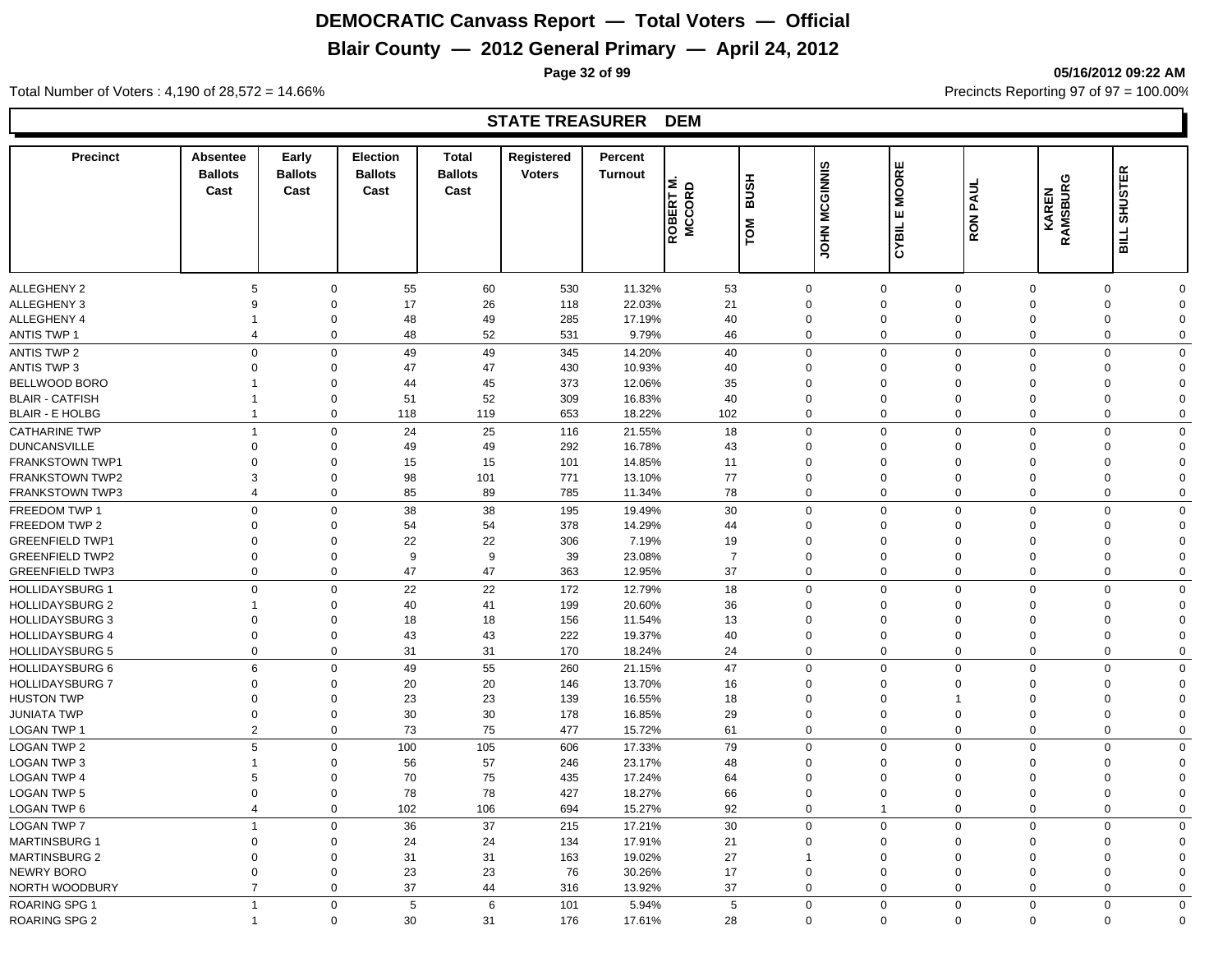## **Blair County — 2012 General Primary — April 24, 2012**

**Page 32 of 99 05/16/2012 09:22 AM**

#### Total Number of Voters : 4,190 of 28,572 = 14.66% Precincts Reporting 97 of 97 = 100.00%

#### **STATE TREASURER DEM**

| <b>Precinct</b>        | <b>Absentee</b><br><b>Ballots</b><br>Cast | Early<br><b>Ballots</b><br>Cast | <b>Election</b><br><b>Ballots</b><br>Cast | <b>Total</b><br><b>Ballots</b><br>Cast | Registered<br><b>Voters</b> | Percent<br><b>Turnout</b> | ه ٰ≌ا<br>ROBERT | <b>BUSH</b><br>TOM | <b>MCGINNIS</b><br><b>NHOL</b> | <b>MOORE</b><br>ш<br>CYBIL | <b>RON PAUL</b> | <b>KAREN<br/>RAMSBURG</b> | <b>SHUSTER</b><br><b>SILL</b> |
|------------------------|-------------------------------------------|---------------------------------|-------------------------------------------|----------------------------------------|-----------------------------|---------------------------|-----------------|--------------------|--------------------------------|----------------------------|-----------------|---------------------------|-------------------------------|
|                        |                                           |                                 |                                           |                                        |                             |                           |                 |                    |                                |                            |                 |                           |                               |
| <b>ALLEGHENY 2</b>     | 5                                         | $\mathbf 0$                     | 55                                        | 60                                     | 530                         | 11.32%                    | 53              | 0                  |                                | $\mathbf 0$                | $\mathbf 0$     | $\mathbf 0$               | 0<br>$\Omega$                 |
| ALLEGHENY 3            | 9                                         | $\mathbf 0$                     | 17                                        | 26                                     | 118                         | 22.03%                    | 21              | $\Omega$           |                                | $\mathbf 0$                | $\Omega$        | $\Omega$                  | $\mathbf 0$<br>$\Omega$       |
| ALLEGHENY 4            |                                           | $\mathbf 0$                     | 48                                        | 49                                     | 285                         | 17.19%                    | 40              | $\mathbf 0$        |                                | $\mathbf 0$                | $\mathbf 0$     | $\mathbf 0$               | $\mathbf 0$<br>$\Omega$       |
| <b>ANTIS TWP 1</b>     | $\overline{4}$                            | $\mathbf 0$                     | 48                                        | 52                                     | 531                         | 9.79%                     | 46              | $\mathbf 0$        |                                | $\mathbf 0$                | $\mathbf 0$     | $\mathbf 0$               | $\mathbf 0$<br>$\mathbf 0$    |
| ANTIS TWP 2            | $\mathbf 0$                               | $\mathbf 0$                     | 49                                        | 49                                     | 345                         | 14.20%                    | 40              | $\mathbf 0$        |                                | $\mathbf 0$                | $\mathbf 0$     | $\mathbf 0$               | $\mathbf 0$<br>$\Omega$       |
| <b>ANTIS TWP 3</b>     | $\Omega$                                  | $\Omega$                        | 47                                        | 47                                     | 430                         | 10.93%                    | 40              | 0                  |                                | $\mathbf 0$                | $\Omega$        | $\Omega$                  | 0<br>$\Omega$                 |
| BELLWOOD BORO          |                                           | $\mathbf 0$                     | 44                                        | 45                                     | 373                         | 12.06%                    | 35              | 0                  |                                | $\mathbf 0$                | $\Omega$        | $\Omega$                  | 0<br>$\Omega$                 |
| <b>BLAIR - CATFISH</b> |                                           | $\mathbf 0$                     | 51                                        | 52                                     | 309                         | 16.83%                    | 40              | 0                  |                                | $\mathbf 0$                | $\mathbf 0$     | $\mathbf 0$               | $\mathbf 0$<br>$\Omega$       |
| <b>BLAIR - E HOLBG</b> | $\mathbf{1}$                              | $\mathbf 0$                     | 118                                       | 119                                    | 653                         | 18.22%                    | 102             | $\mathbf 0$        |                                | $\mathbf 0$                | $\mathbf 0$     | $\mathbf 0$               | $\mathbf 0$<br>$\mathbf 0$    |
| <b>CATHARINE TWP</b>   | $\overline{1}$                            | $\mathbf 0$                     | 24                                        | 25                                     | 116                         | 21.55%                    | 18              | $\mathbf 0$        |                                | $\mathbf 0$                | $\mathbf 0$     | $\mathbf 0$               | $\mathbf 0$<br>$\Omega$       |
| <b>DUNCANSVILLE</b>    | $\mathbf 0$                               | $\mathbf 0$                     | 49                                        | 49                                     | 292                         | 16.78%                    | 43              | $\mathbf{0}$       |                                | $\mathbf 0$                | $\mathbf 0$     | $\Omega$                  | $\mathbf 0$<br>$\Omega$       |
| <b>FRANKSTOWN TWP1</b> | $\Omega$                                  | $\Omega$                        | 15                                        | 15                                     | 101                         | 14.85%                    | 11              | $\Omega$           |                                | $\mathbf 0$                | $\Omega$        | $\Omega$                  | $\Omega$<br>$\Omega$          |
| <b>FRANKSTOWN TWP2</b> | 3                                         | $\mathbf 0$                     | 98                                        | 101                                    | 771                         | 13.10%                    | 77              | 0                  |                                | $\mathbf 0$                | $\Omega$        | $\Omega$                  | $\mathbf 0$<br>$\Omega$       |
| FRANKSTOWN TWP3        | $\overline{4}$                            | $\mathbf 0$                     | 85                                        | 89                                     | 785                         | 11.34%                    | 78              | $\mathbf 0$        |                                | $\mathbf 0$                | $\mathbf 0$     | $\mathbf 0$               | $\mathbf 0$<br>$\Omega$       |
| FREEDOM TWP 1          | $\mathbf 0$                               | $\mathbf 0$                     | 38                                        | 38                                     | 195                         | 19.49%                    | 30              | $\mathbf 0$        |                                | $\mathbf 0$                | $\mathbf 0$     | $\mathbf 0$               | $\mathbf 0$<br>$\mathbf 0$    |
| FREEDOM TWP 2          | 0                                         | $\mathbf 0$                     | 54                                        | 54                                     | 378                         | 14.29%                    | 44              | 0                  |                                | $\mathbf 0$                | $\Omega$        | $\Omega$                  | $\mathbf 0$<br>$\Omega$       |
| <b>GREENFIELD TWP1</b> | $\Omega$                                  | $\Omega$                        | 22                                        | 22                                     | 306                         | 7.19%                     | 19              | $\Omega$           |                                | $\mathbf 0$                | $\Omega$        | $\Omega$                  | 0<br>$\Omega$                 |
| <b>GREENFIELD TWP2</b> | $\Omega$                                  | $\Omega$                        | 9                                         | 9                                      | 39                          | 23.08%                    | $\overline{7}$  | $\Omega$           |                                | $\mathbf 0$                | $\Omega$        | $\Omega$                  | $\mathbf 0$<br>$\Omega$       |
| <b>GREENFIELD TWP3</b> | $\mathbf 0$                               | $\mathbf 0$                     | 47                                        | 47                                     | 363                         | 12.95%                    | 37              | $\mathbf 0$        |                                | $\mathbf 0$                | $\Omega$        | $\mathbf 0$               | $\mathbf 0$<br>$\mathbf 0$    |
| <b>HOLLIDAYSBURG 1</b> | $\Omega$                                  | $\Omega$                        | 22                                        | 22                                     | 172                         | 12.79%                    | 18              | 0                  |                                | $\mathbf 0$                | $\mathbf 0$     | $\mathbf 0$               | $\mathbf 0$<br>$\Omega$       |
| <b>HOLLIDAYSBURG 2</b> |                                           | $\mathbf 0$                     | 40                                        | 41                                     | 199                         | 20.60%                    | 36              | $\Omega$           |                                | $\mathbf 0$                | $\Omega$        | $\Omega$                  | $\Omega$<br>$\Omega$          |
| <b>HOLLIDAYSBURG 3</b> | 0                                         | $\Omega$                        | 18                                        | 18                                     | 156                         | 11.54%                    | 13              | $\mathbf 0$        |                                | $\mathbf 0$                | $\Omega$        | $\Omega$                  | $\mathbf 0$<br>$\Omega$       |
| <b>HOLLIDAYSBURG 4</b> | $\mathbf 0$                               | $\mathbf 0$                     | 43                                        | 43                                     | 222                         | 19.37%                    | 40              | 0                  |                                | $\mathbf 0$                | $\mathbf 0$     | $\mathbf 0$               | $\mathbf 0$<br>$\mathbf 0$    |
| <b>HOLLIDAYSBURG 5</b> | 0                                         | $\mathbf 0$                     | 31                                        | 31                                     | 170                         | 18.24%                    | 24              | 0                  |                                | $\mathbf 0$                | $\mathbf 0$     | $\mathbf 0$               | $\mathbf 0$<br>$\mathbf 0$    |
| <b>HOLLIDAYSBURG 6</b> | 6                                         | $\mathbf 0$                     | 49                                        | 55                                     | 260                         | 21.15%                    | 47              | $\mathbf 0$        |                                | $\mathbf 0$                | $\mathbf 0$     | $\mathbf 0$               | $\mathbf 0$<br>$\mathbf 0$    |
| <b>HOLLIDAYSBURG 7</b> | $\Omega$                                  | $\mathbf 0$                     | 20                                        | 20                                     | 146                         | 13.70%                    | 16              | $\Omega$           |                                | $\mathbf 0$                | $\Omega$        | $\Omega$                  | $\mathbf 0$<br>$\Omega$       |
| <b>HUSTON TWP</b>      | $\Omega$                                  | $\mathbf 0$                     | 23                                        | 23                                     | 139                         | 16.55%                    | 18              | $\Omega$           |                                | $\mathbf 0$                |                 | $\Omega$                  | $\mathbf 0$<br>$\Omega$       |
| <b>JUNIATA TWP</b>     | $\mathbf 0$                               | $\mathbf 0$                     | 30                                        | 30                                     | 178                         | 16.85%                    | 29              | $\mathbf 0$        |                                | $\mathbf 0$                | $\Omega$        | $\mathbf 0$               | $\mathbf 0$<br>$\Omega$       |
| LOGAN TWP 1            | $\overline{2}$                            | $\mathbf 0$                     | 73                                        | 75                                     | 477                         | 15.72%                    | 61              | $\mathbf 0$        |                                | $\mathbf 0$                | $\Omega$        | $\mathbf{0}$              | $\mathbf 0$<br>$\mathbf 0$    |
| <b>LOGAN TWP 2</b>     | 5                                         | $\mathbf 0$                     | 100                                       | 105                                    | 606                         | 17.33%                    | 79              | $\mathbf 0$        |                                | $\mathbf 0$                | $\mathbf 0$     | $\mathbf 0$               | $\mathbf 0$<br>$\Omega$       |
| <b>LOGAN TWP 3</b>     | $\mathbf{1}$                              | $\Omega$                        | 56                                        | 57                                     | 246                         | 23.17%                    | 48              | 0                  |                                | $\mathbf 0$                | $\Omega$        | $\Omega$                  | $\mathbf 0$<br>$\Omega$       |
| <b>LOGAN TWP 4</b>     | 5                                         | $\mathbf 0$                     | 70                                        | 75                                     | 435                         | 17.24%                    | 64              | $\mathbf 0$        |                                | $\mathbf 0$                | $\Omega$        | $\mathbf 0$               | 0<br>$\Omega$                 |
| <b>LOGAN TWP 5</b>     | $\mathbf 0$                               | $\mathbf 0$                     | 78                                        | 78                                     | 427                         | 18.27%                    | 66              | 0                  |                                | $\mathbf 0$                | $\mathbf 0$     | $\mathbf 0$               | $\mathbf 0$<br>$\Omega$       |
| <b>LOGAN TWP 6</b>     | $\overline{4}$                            | $\mathbf 0$                     | 102                                       | 106                                    | 694                         | 15.27%                    | 92              | $\mathbf 0$        |                                | $\mathbf{1}$               | $\mathbf 0$     | $\mathbf 0$               | $\mathbf 0$<br>$\mathbf 0$    |
| <b>LOGAN TWP 7</b>     | $\overline{1}$                            | $\mathbf 0$                     | 36                                        | 37                                     | 215                         | 17.21%                    | 30              | $\mathbf 0$        |                                | $\mathsf 0$                | $\Omega$        | $\mathbf 0$               | $\mathbf 0$<br>$\mathbf 0$    |
| <b>MARTINSBURG 1</b>   | $\Omega$                                  | $\mathbf 0$                     | 24                                        | 24                                     | 134                         | 17.91%                    | 21              | $\Omega$           |                                | $\mathbf 0$                | $\Omega$        | $\Omega$                  | 0<br>$\Omega$                 |
| <b>MARTINSBURG 2</b>   | $\mathbf 0$                               | $\mathbf 0$                     | 31                                        | 31                                     | 163                         | 19.02%                    | 27              | $\mathbf{1}$       |                                | $\mathbf 0$                | $\mathbf 0$     | $\mathbf 0$               | 0<br>$\mathbf 0$              |
| NEWRY BORO             | $\mathbf 0$                               | $\mathbf 0$                     | 23                                        | 23                                     | 76                          | 30.26%                    | 17              | $\mathbf 0$        |                                | $\mathbf 0$                | $\mathbf 0$     | $\mathbf 0$               | 0<br>$\Omega$                 |
| NORTH WOODBURY         | $\overline{7}$                            | $\Omega$                        | 37                                        | 44                                     | 316                         | 13.92%                    | 37              | 0                  |                                | $\mathbf 0$                | $\mathbf 0$     | $\mathbf 0$               | 0<br>$\mathbf 0$              |
| ROARING SPG 1          | $\overline{1}$                            | $\mathbf 0$                     | 5                                         | 6                                      | 101                         | 5.94%                     | 5               | $\mathbf{0}$       |                                | $\mathbf{0}$               | $\mathbf 0$     | $\mathbf 0$               | $\mathbf 0$<br>$\mathbf 0$    |
| <b>ROARING SPG 2</b>   |                                           | $\Omega$                        | 30                                        | 31                                     | 176                         | 17.61%                    | 28              | $\mathbf 0$        |                                | $\Omega$                   | $\mathbf 0$     | $\mathbf 0$               | $\mathbf 0$<br>$\Omega$       |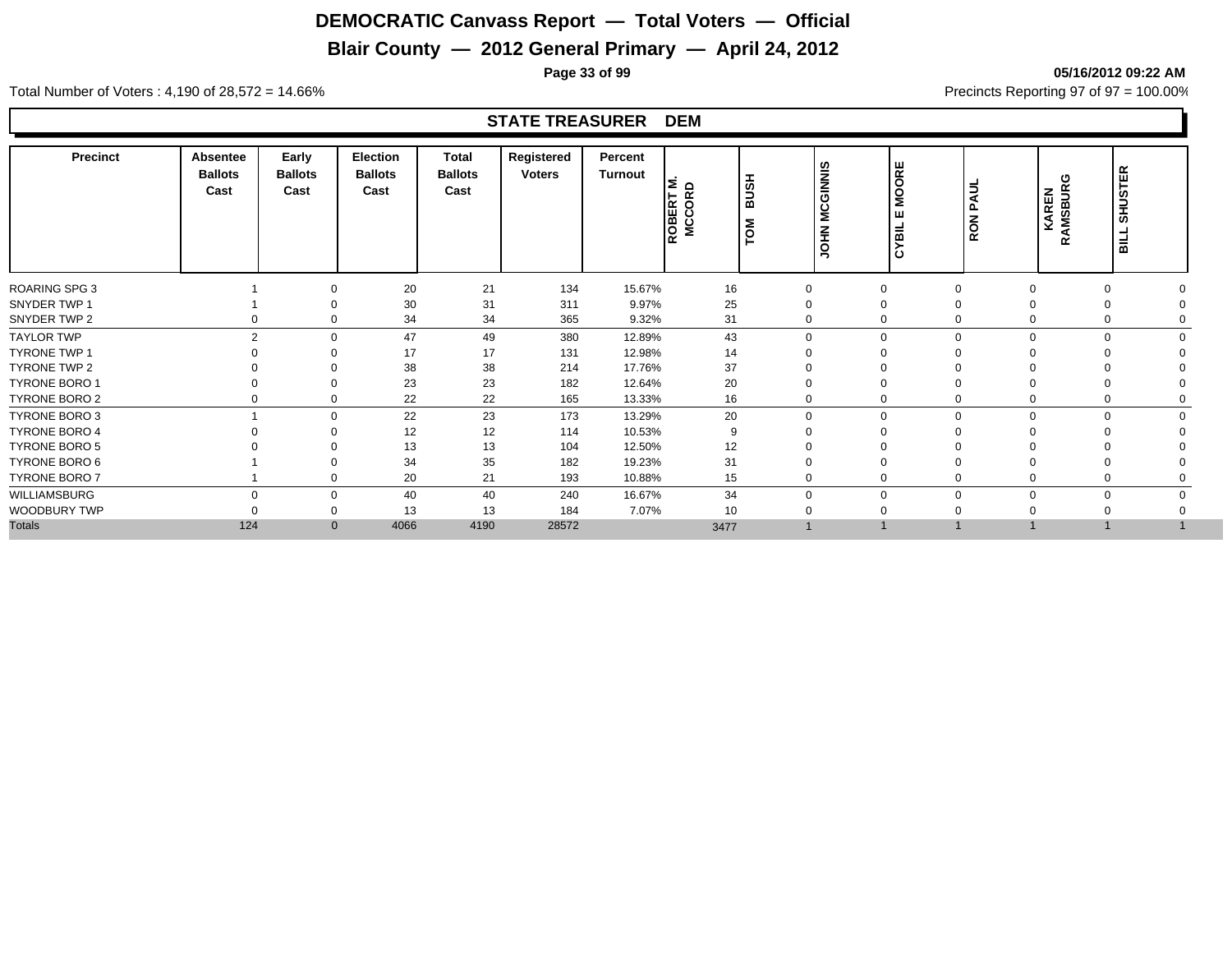## **Blair County — 2012 General Primary — April 24, 2012**

**Page 33 of 99 05/16/2012 09:22 AM**

Total Number of Voters : 4,190 of 28,572 = 14.66% Precincts Reporting 97 of 97 = 100.00%

#### **STATE TREASURER DEM**

| <b>Precinct</b>      | <b>Absentee</b><br><b>Ballots</b><br>Cast | Early<br><b>Ballots</b><br>Cast | <b>Election</b><br><b>Ballots</b><br>Cast | <b>Total</b><br><b>Ballots</b><br>Cast | Registered<br><b>Voters</b> | Percent<br>Turnout | 트운<br>li≃ ō<br>ROBEI<br>ം<br>ž | <b>HSUB</b><br>$\overline{P}$ | CGINNIS<br>Σ<br><b>NHOL</b> | <b>MOORE</b><br>ш<br>УBIL<br>ن | <b>RON PAUL</b> | ပ<br><b>KAREN</b><br>AMSBURO<br>œ | <b>SHUSTER</b><br><b>BILL</b> |  |
|----------------------|-------------------------------------------|---------------------------------|-------------------------------------------|----------------------------------------|-----------------------------|--------------------|--------------------------------|-------------------------------|-----------------------------|--------------------------------|-----------------|-----------------------------------|-------------------------------|--|
| <b>ROARING SPG 3</b> |                                           | $\Omega$                        | 20                                        | 21                                     | 134                         | 15.67%             | 16                             | 0                             | $\Omega$                    |                                | $\Omega$        |                                   | $\Omega$                      |  |
| SNYDER TWP 1         |                                           | $\Omega$                        | 30                                        | 31                                     | 311                         | 9.97%              | 25                             | 0                             | $\Omega$                    |                                |                 |                                   | $\Omega$                      |  |
| SNYDER TWP 2         |                                           | 0<br>0                          | 34                                        | 34                                     | 365                         | 9.32%              | 31                             | 0                             | $\Omega$                    |                                | 0               |                                   | 0                             |  |
| <b>TAYLOR TWP</b>    |                                           | $\overline{2}$<br>$\Omega$      | 47                                        | 49                                     | 380                         | 12.89%             | 43                             | $\mathbf 0$                   | $\Omega$                    |                                | $\Omega$        |                                   | $\Omega$                      |  |
| <b>TYRONE TWP 1</b>  |                                           | $\Omega$                        | 17                                        | 17                                     | 131                         | 12.98%             | 14                             | $\Omega$                      |                             |                                |                 |                                   |                               |  |
| <b>TYRONE TWP 2</b>  |                                           | $\Omega$                        | 38                                        | 38                                     | 214                         | 17.76%             | 37                             | $\mathbf 0$                   | $\Omega$                    |                                |                 |                                   |                               |  |
| <b>TYRONE BORO 1</b> |                                           | $\Omega$                        | 23                                        | 23                                     | 182                         | 12.64%             | 20                             | 0                             | $\Omega$                    |                                |                 |                                   |                               |  |
| TYRONE BORO 2        |                                           | $\mathbf 0$<br>0                | 22                                        | 22                                     | 165                         | 13.33%             | 16                             | 0                             | $\mathbf 0$                 |                                | 0               |                                   | 0                             |  |
| TYRONE BORO 3        |                                           | $\mathbf 0$                     | 22                                        | 23                                     | 173                         | 13.29%             | 20                             | 0                             | $\mathbf 0$                 | $\Omega$                       | $\mathbf 0$     |                                   | $\mathbf 0$                   |  |
| <b>TYRONE BORO 4</b> |                                           | $\Omega$                        | 12                                        | 12                                     | 114                         | 10.53%             | 9                              | $\Omega$                      | $\Omega$                    |                                |                 |                                   |                               |  |
| <b>TYRONE BORO 5</b> |                                           |                                 | 13                                        | 13                                     | 104                         | 12.50%             | 12                             |                               |                             |                                |                 |                                   |                               |  |
| TYRONE BORO 6        |                                           | $\Omega$                        | 34                                        | 35                                     | 182                         | 19.23%             | 31                             | 0                             | $\Omega$                    |                                |                 |                                   |                               |  |
| TYRONE BORO 7        |                                           | $\Omega$                        | 20                                        | 21                                     | 193                         | 10.88%             | 15                             | 0                             | $\Omega$                    |                                |                 |                                   |                               |  |
| WILLIAMSBURG         |                                           | $\Omega$<br>$\mathbf 0$         | 40                                        | 40                                     | 240                         | 16.67%             | 34                             | $\mathbf 0$                   | $\Omega$                    |                                | $\Omega$        |                                   | $\Omega$                      |  |
| WOODBURY TWP         |                                           | 0                               | 13                                        | 13                                     | 184                         | 7.07%              | 10                             | 0                             |                             |                                |                 |                                   |                               |  |
| <b>Totals</b>        | 124                                       | $\mathbf{0}$                    | 4066                                      | 4190                                   | 28572                       |                    | 3477                           |                               |                             |                                |                 |                                   |                               |  |
|                      |                                           |                                 |                                           |                                        |                             |                    |                                |                               |                             |                                |                 |                                   |                               |  |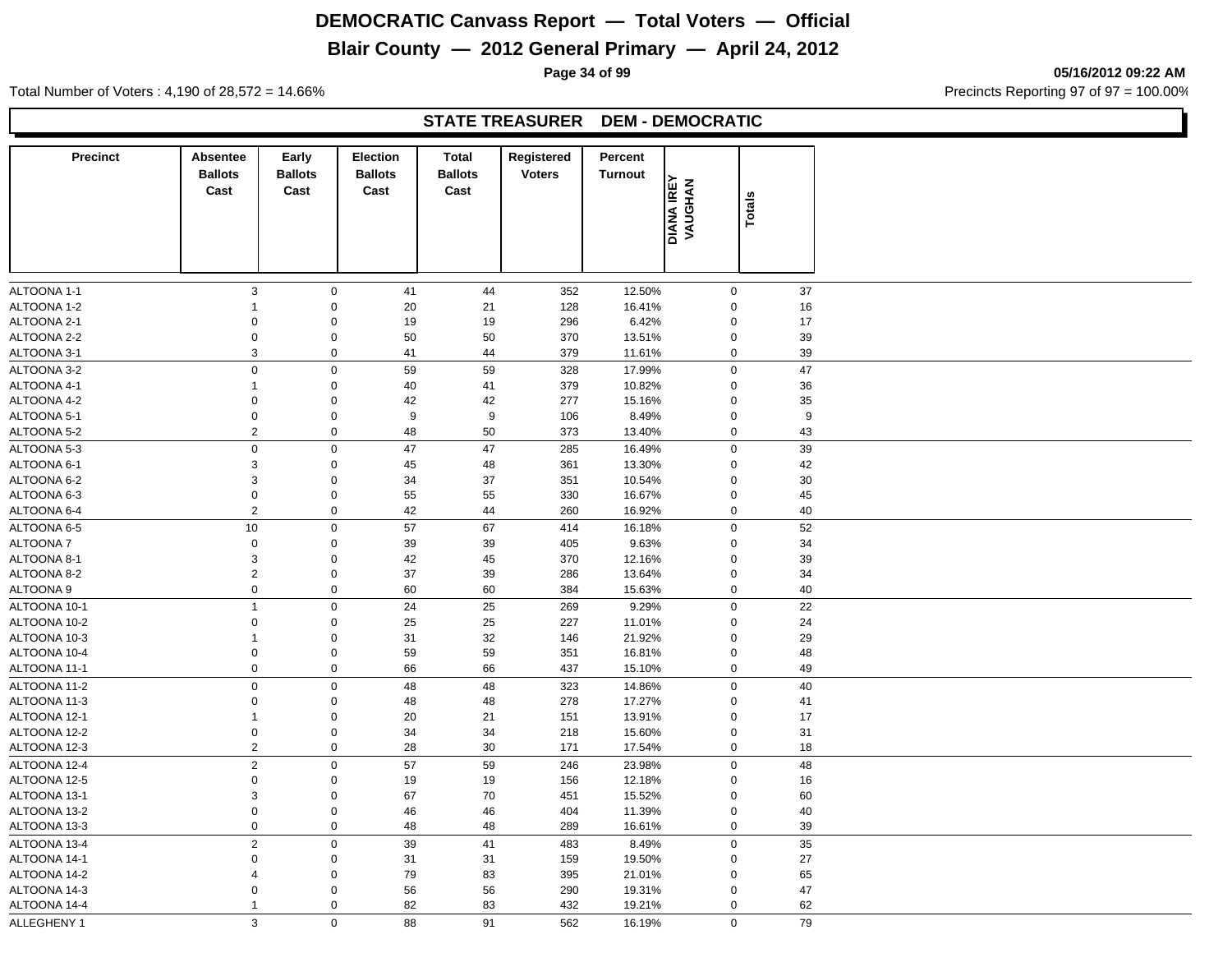# **Blair County — 2012 General Primary — April 24, 2012**

**Page 34 of 99 05/16/2012 09:22 AM**

Total Number of Voters : 4,190 of 28,572 = 14.66% Precincts Reporting 97 of 97 = 100.00%

#### **STATE TREASURER DEM - DEMOCRATIC**

| Cast<br>Cast                             |                     | <b>Ballots</b><br>Cast | <b>Ballots</b><br>Cast | Registered<br><b>Voters</b> | Percent<br><b>Turnout</b> |                               |                  |  |
|------------------------------------------|---------------------|------------------------|------------------------|-----------------------------|---------------------------|-------------------------------|------------------|--|
|                                          |                     |                        |                        |                             |                           | <b>DIANA IREY<br/>VAUGHAN</b> | <b>Totals</b>    |  |
|                                          |                     |                        |                        |                             |                           |                               |                  |  |
| $\mathbf{3}$<br>ALTOONA 1-1              | $\mathsf{O}\xspace$ | 41                     | 44                     | 352                         | 12.50%                    | $\mathbf 0$                   | 37               |  |
| ALTOONA 1-2<br>$\mathbf{1}$              | $\mathbf 0$         | 20                     | 21                     | 128                         | 16.41%                    | $\Omega$                      | 16               |  |
| ALTOONA 2-1<br>0                         | $\mathbf 0$         | 19                     | 19                     | 296                         | 6.42%                     | $\mathbf 0$                   | 17               |  |
| $\mathbf 0$<br>ALTOONA 2-2               | $\mathbf 0$         | 50                     | 50                     | 370                         | 13.51%                    | $\pmb{0}$                     | 39               |  |
| ALTOONA 3-1<br>3                         | $\mathbf 0$         | 41                     | 44                     | 379                         | 11.61%                    | $\mathbf 0$                   | 39               |  |
| $\mathsf{O}\xspace$<br>ALTOONA 3-2       | $\mathsf{O}\xspace$ | 59                     | 59                     | 328                         | 17.99%                    | $\pmb{0}$                     | 47               |  |
| ALTOONA 4-1<br>$\mathbf{1}$              | $\mathsf{O}\xspace$ | 40                     | 41                     | 379                         | 10.82%                    | $\mathbf 0$                   | 36               |  |
| ALTOONA 4-2<br>$\mathsf 0$               | $\mathbf 0$         | 42                     | 42                     | 277                         | 15.16%                    | $\mathbf 0$                   | 35               |  |
| ALTOONA 5-1<br>$\boldsymbol{0}$          | $\mathbf 0$         | 9                      | 9                      | 106                         | 8.49%                     | $\pmb{0}$                     | $\boldsymbol{9}$ |  |
| $\overline{2}$<br>ALTOONA 5-2            | $\mathbf 0$         | 48                     | 50                     | 373                         | 13.40%                    | $\mathbf 0$                   | 43               |  |
| $\mathbf 0$<br>ALTOONA 5-3               | $\pmb{0}$           | 47                     | 47                     | 285                         | 16.49%                    | $\mathbf 0$                   | 39               |  |
| $\ensuremath{\mathsf{3}}$<br>ALTOONA 6-1 | $\mathsf{O}\xspace$ | 45                     | 48                     | 361                         | 13.30%                    | $\mathbf 0$                   | 42               |  |
| ALTOONA 6-2<br>3                         | $\mathbf 0$         | 34                     | 37                     | 351                         | 10.54%                    | $\mathbf 0$                   | 30               |  |
| ALTOONA 6-3<br>$\boldsymbol{0}$          | $\mathbf 0$         | 55                     | 55                     | 330                         | 16.67%                    | $\mathbf 0$                   | 45               |  |
| $\sqrt{2}$<br>ALTOONA 6-4                | $\mathbf 0$         | 42                     | 44                     | 260                         | 16.92%                    | $\mathbf 0$                   | 40               |  |
| 10<br>ALTOONA 6-5                        | $\mathbf 0$         | 57                     | 67                     | 414                         | 16.18%                    | $\mathbf 0$                   | 52               |  |
| ALTOONA 7<br>$\mathbf 0$                 | $\mathbf 0$         | 39                     | 39                     | 405                         | 9.63%                     | $\mathbf 0$                   | 34               |  |
| ALTOONA 8-1<br>3                         | $\mathbf 0$         | 42                     | 45                     | 370                         | 12.16%                    | $\mathbf 0$                   | 39               |  |
| $\sqrt{2}$<br>ALTOONA 8-2                | $\mathbf 0$         | 37                     | 39                     | 286                         | 13.64%                    | $\mathbf 0$                   | 34               |  |
| $\mathbf 0$<br>ALTOONA 9                 | $\mathbf 0$         | 60                     | 60                     | 384                         | 15.63%                    | $\mathbf 0$                   | 40               |  |
| ALTOONA 10-1<br>$\overline{1}$           | $\mathbf 0$         | 24                     | 25                     | 269                         | 9.29%                     | $\mathbf 0$                   | 22               |  |
| ALTOONA 10-2<br>$\boldsymbol{0}$         | $\mathbf 0$         | 25                     | 25                     | 227                         | 11.01%                    | $\Omega$                      | 24               |  |
| ALTOONA 10-3<br>$\mathbf{1}$             | $\mathbf 0$         | 31                     | 32                     | 146                         | 21.92%                    | $\Omega$                      | 29               |  |
| ALTOONA 10-4<br>$\mathbf 0$              | $\mathbf 0$         | 59                     | 59                     | 351                         | 16.81%                    | $\pmb{0}$                     | 48               |  |
| ALTOONA 11-1<br>$\mathbf 0$              | $\mathbf 0$         | 66                     | 66                     | 437                         | 15.10%                    | $\mathbf 0$                   | 49               |  |
| $\mathbf 0$<br>ALTOONA 11-2              | $\pmb{0}$           | 48                     | 48                     | 323                         | 14.86%                    | $\mathbf 0$                   | 40               |  |
| $\mathsf 0$<br>ALTOONA 11-3              | $\mathbf 0$         | 48                     | 48                     | 278                         | 17.27%                    | $\mathbf 0$                   | 41               |  |
| ALTOONA 12-1<br>$\mathbf{1}$             | $\mathbf 0$         | 20                     | 21                     | 151                         | 13.91%                    | $\mathbf 0$                   | 17               |  |
| ALTOONA 12-2<br>$\mathbf 0$              | $\mathbf 0$         | 34                     | 34                     | 218                         | 15.60%                    | $\mathbf 0$                   | 31               |  |
| $\overline{2}$<br>ALTOONA 12-3           | $\mathsf 0$         | 28                     | 30                     | 171                         | 17.54%                    | $\mathbf 0$                   | 18               |  |
| ALTOONA 12-4<br>$\overline{2}$           | $\mathbf 0$         | 57                     | 59                     | 246                         | 23.98%                    | $\mathbf 0$                   | 48               |  |
| ALTOONA 12-5<br>$\mathbf 0$              | $\mathbf 0$         | 19                     | 19                     | 156                         | 12.18%                    | $\mathbf 0$                   | 16               |  |
| $\mathbf{3}$<br>ALTOONA 13-1             | $\mathbf 0$         | 67                     | 70                     | 451                         | 15.52%                    | $\mathbf 0$                   | 60               |  |
| $\boldsymbol{0}$<br>ALTOONA 13-2         | $\mathbf 0$         | 46                     | 46                     | 404                         | 11.39%                    | $\mathbf 0$                   | 40               |  |
| $\mathsf 0$<br>ALTOONA 13-3              | $\mathbf 0$         | 48                     | 48                     | 289                         | 16.61%                    | $\mathbf 0$                   | 39               |  |
| $\sqrt{2}$<br>ALTOONA 13-4               | $\mathsf 0$         | 39                     | 41                     | 483                         | 8.49%                     | $\pmb{0}$                     | 35               |  |
| ALTOONA 14-1<br>$\mathbf 0$              | $\mathbf 0$         | 31                     | 31                     | 159                         | 19.50%                    | $\mathbf 0$                   | 27               |  |
| ALTOONA 14-2<br>$\overline{4}$           | $\mathbf 0$         | 79                     | 83                     | 395                         | 21.01%                    | $\mathbf 0$                   | 65               |  |
| $\mathbf 0$<br>ALTOONA 14-3              | $\mathbf 0$         | 56                     | 56                     | 290                         | 19.31%                    | $\mathbf 0$                   | 47               |  |
| ALTOONA 14-4<br>$\mathbf{1}$             | $\mathbf 0$         | 82                     | 83                     | 432                         | 19.21%                    | $\mathbf 0$                   | 62               |  |
| ALLEGHENY 1<br>3                         | $\mathbf 0$         | 88                     | 91                     | 562                         | 16.19%                    | $\mathbf 0$                   | 79               |  |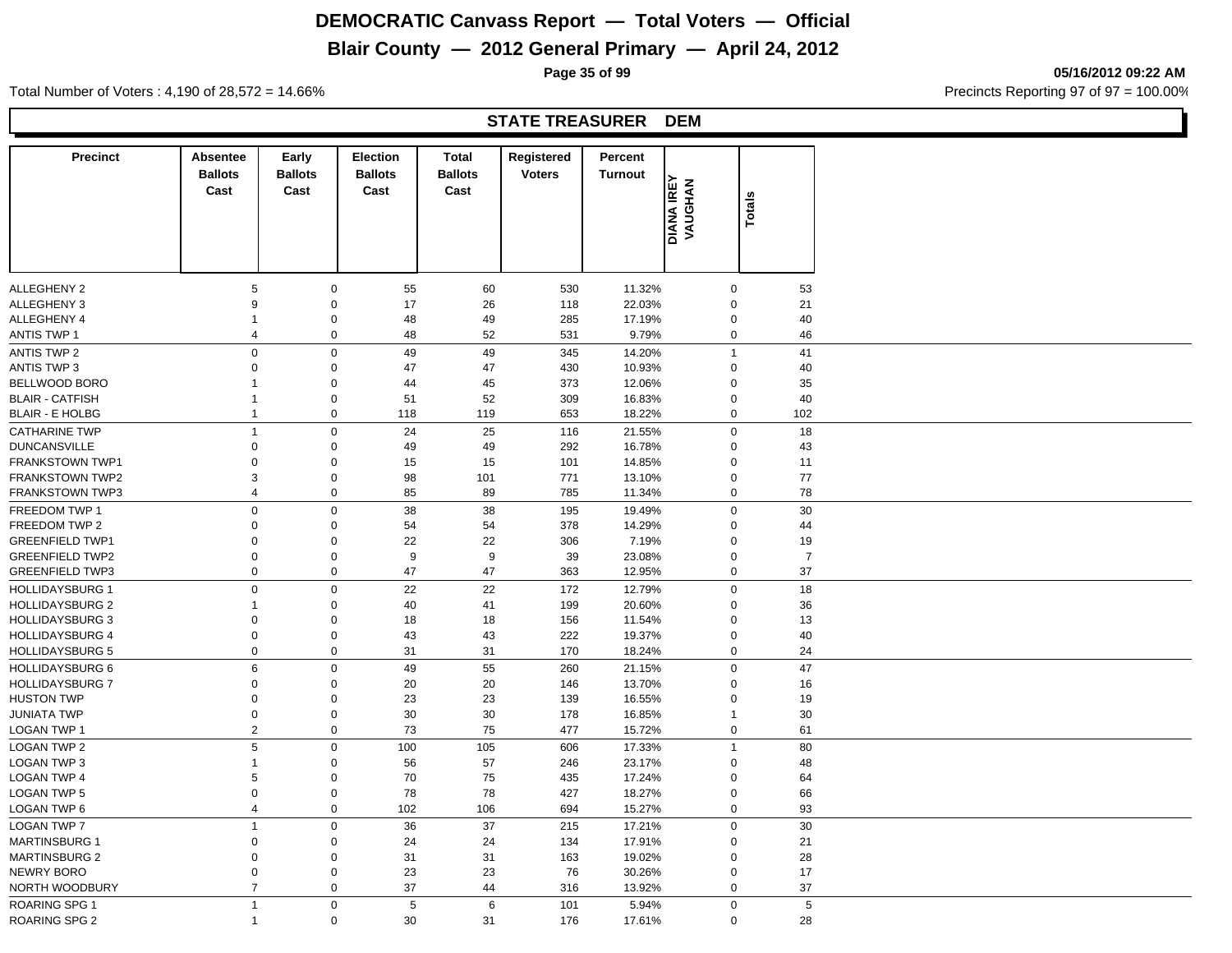# **Blair County — 2012 General Primary — April 24, 2012**

**Page 35 of 99 05/16/2012 09:22 AM**

Total Number of Voters : 4,190 of 28,572 = 14.66% **Precincts Reporting 97 of 97 = 100.00%** 

#### **STATE TREASURER DEM**

| <b>DIANA IREY<br/>VAUGHAN</b><br>Cast<br>Cast<br>Cast<br>Cast<br><b>Totals</b><br>ALLEGHENY 2<br>$\mathbf 0$<br>55<br>60<br>530<br>11.32%<br>5<br>0<br>ALLEGHENY 3<br>9<br>$\mathbf 0$<br>17<br>26<br>22.03%<br>118<br>0<br>ALLEGHENY 4<br>$\mathbf 0$<br>48<br>49<br>285<br>17.19%<br>0<br>1 |
|-----------------------------------------------------------------------------------------------------------------------------------------------------------------------------------------------------------------------------------------------------------------------------------------------|
| 53<br>21<br>40                                                                                                                                                                                                                                                                                |
|                                                                                                                                                                                                                                                                                               |
|                                                                                                                                                                                                                                                                                               |
|                                                                                                                                                                                                                                                                                               |
| $\mathsf 0$<br>52<br>46<br><b>ANTIS TWP 1</b><br>48<br>531<br>9.79%<br>0<br>4                                                                                                                                                                                                                 |
| $\mathsf 0$<br>$\mathbf 0$<br>49<br>41<br><b>ANTIS TWP 2</b><br>49<br>345<br>14.20%<br>$\mathbf{1}$                                                                                                                                                                                           |
| 10.93%<br><b>ANTIS TWP 3</b><br>$\mathbf 0$<br>$\mathbf 0$<br>47<br>47<br>430<br>$\mathbf 0$<br>40                                                                                                                                                                                            |
| BELLWOOD BORO<br>$\mathbf 0$<br>45<br>373<br>12.06%<br>35<br>44<br>0                                                                                                                                                                                                                          |
| <b>BLAIR - CATFISH</b><br>$\mathbf 0$<br>51<br>52<br>309<br>16.83%<br>40<br>0<br>1                                                                                                                                                                                                            |
| $\mathsf 0$<br>102<br><b>BLAIR - E HOLBG</b><br>$\mathbf{1}$<br>118<br>119<br>653<br>18.22%<br>0                                                                                                                                                                                              |
| $\pmb{0}$<br>25<br>18<br><b>CATHARINE TWP</b><br>24<br>116<br>$\Omega$<br>$\mathbf{1}$<br>21.55%                                                                                                                                                                                              |
|                                                                                                                                                                                                                                                                                               |
| $\boldsymbol{0}$<br>$\mathbf 0$<br>49<br>292<br>16.78%<br>43<br><b>DUNCANSVILLE</b><br>49<br>$\Omega$                                                                                                                                                                                         |
| FRANKSTOWN TWP1<br>0<br>$\mathbf 0$<br>15<br>15<br>101<br>14.85%<br>0<br>11                                                                                                                                                                                                                   |
| 77<br><b>FRANKSTOWN TWP2</b><br>3<br>$\mathbf 0$<br>98<br>101<br>771<br>13.10%<br>0                                                                                                                                                                                                           |
| $\mathbf 0$<br>78<br><b>FRANKSTOWN TWP3</b><br>4<br>85<br>89<br>785<br>11.34%<br>0                                                                                                                                                                                                            |
| $\mathsf 0$<br>$\mathbf 0$<br>30<br>FREEDOM TWP 1<br>38<br>38<br>195<br>19.49%<br>$\mathbf 0$                                                                                                                                                                                                 |
| FREEDOM TWP 2<br>$\mathbf 0$<br>378<br>14.29%<br>44<br>0<br>54<br>54<br>$\mathbf 0$                                                                                                                                                                                                           |
| 22<br>22<br><b>GREENFIELD TWP1</b><br>0<br>$\mathbf 0$<br>306<br>7.19%<br>$\mathbf 0$<br>19                                                                                                                                                                                                   |
| $\boldsymbol{0}$<br>$\mathbf 0$<br>9<br>9<br>39<br>23.08%<br>$\overline{7}$<br><b>GREENFIELD TWP2</b><br>$\mathbf 0$                                                                                                                                                                          |
| 37<br>$\mathbf 0$<br>47<br>47<br><b>GREENFIELD TWP3</b><br>0<br>363<br>12.95%<br>0                                                                                                                                                                                                            |
| $\mathsf 0$<br>$\mathbf 0$<br>22<br>22<br>172<br>12.79%<br>$\mathbf 0$<br>18<br><b>HOLLIDAYSBURG 1</b>                                                                                                                                                                                        |
| <b>HOLLIDAYSBURG 2</b><br>$\mathbf 0$<br>40<br>41<br>199<br>20.60%<br>36<br>1<br>$\mathbf 0$                                                                                                                                                                                                  |
| <b>HOLLIDAYSBURG 3</b><br>$\mathbf 0$<br>$\mathbf 0$<br>18<br>18<br>156<br>11.54%<br>$\mathbf 0$<br>13                                                                                                                                                                                        |
| <b>HOLLIDAYSBURG 4</b><br>$\mathbf 0$<br>$\mathbf 0$<br>43<br>43<br>222<br>19.37%<br>40<br>$\mathbf 0$                                                                                                                                                                                        |
| $\mathsf 0$<br>$\mathbf 0$<br>31<br>31<br>24<br><b>HOLLIDAYSBURG 5</b><br>170<br>18.24%<br>0                                                                                                                                                                                                  |
| 47<br><b>HOLLIDAYSBURG 6</b><br>6<br>$\mathbf 0$<br>49<br>55<br>260<br>21.15%<br>$\mathbf 0$                                                                                                                                                                                                  |
| <b>HOLLIDAYSBURG 7</b><br>$\mathbf 0$<br>$20\,$<br>13.70%<br>$\mathbf 0$<br>20<br>146<br>$\Omega$<br>16                                                                                                                                                                                       |
| <b>HUSTON TWP</b><br>$\mathbf 0$<br>$\mathbf 0$<br>23<br>23<br>139<br>16.55%<br>19<br>0                                                                                                                                                                                                       |
| <b>JUNIATA TWP</b><br>$\mathbf 0$<br>$\mathbf 0$<br>30<br>30<br>16.85%<br>30<br>178<br>1                                                                                                                                                                                                      |
| $\overline{2}$<br>$\mathbf 0$<br>73<br><b>LOGAN TWP 1</b><br>477<br>15.72%<br>0                                                                                                                                                                                                               |
| 75<br>61                                                                                                                                                                                                                                                                                      |
| $\,$ 5 $\,$<br>$\mathbf 0$<br>80<br><b>LOGAN TWP 2</b><br>100<br>105<br>606<br>17.33%<br>$\overline{1}$                                                                                                                                                                                       |
| LOGAN TWP 3<br>$\mathbf 0$<br>56<br>57<br>23.17%<br>48<br>1<br>246<br>$\mathbf 0$                                                                                                                                                                                                             |
| <b>LOGAN TWP 4</b><br>$\mathbf 0$<br>17.24%<br>5<br>70<br>75<br>435<br>0<br>64                                                                                                                                                                                                                |
| $\mathbf 0$<br>78<br>78<br>18.27%<br>LOGAN TWP 5<br>0<br>427<br>0<br>66                                                                                                                                                                                                                       |
| $\mathbf 0$<br>93<br>LOGAN TWP 6<br>4<br>102<br>106<br>694<br>15.27%<br>0                                                                                                                                                                                                                     |
| <b>LOGAN TWP 7</b><br>$\mathbf 0$<br>37<br>30<br>$\overline{1}$<br>36<br>215<br>17.21%<br>$\mathbf 0$                                                                                                                                                                                         |
| <b>MARTINSBURG 1</b><br>$\mathbf 0$<br>$\mathbf 0$<br>24<br>134<br>17.91%<br>21<br>24<br>$\mathbf 0$                                                                                                                                                                                          |
| <b>MARTINSBURG 2</b><br>$\mathbf 0$<br>$\mathbf 0$<br>31<br>31<br>163<br>19.02%<br>28<br>$\mathbf 0$                                                                                                                                                                                          |
|                                                                                                                                                                                                                                                                                               |
| $\mathbf 0$<br>23<br>23<br>76<br>30.26%<br>17<br>0<br>0                                                                                                                                                                                                                                       |
| $\overline{7}$<br>$\mathbf 0$<br>37<br>37<br>NORTH WOODBURY<br>44<br>316<br>13.92%<br>0                                                                                                                                                                                                       |
| NEWRY BORO<br>$\mathbf 0$<br>5<br>6<br>5<br><b>ROARING SPG 1</b><br>$\overline{1}$<br>101<br>$\mathbf 0$<br>5.94%                                                                                                                                                                             |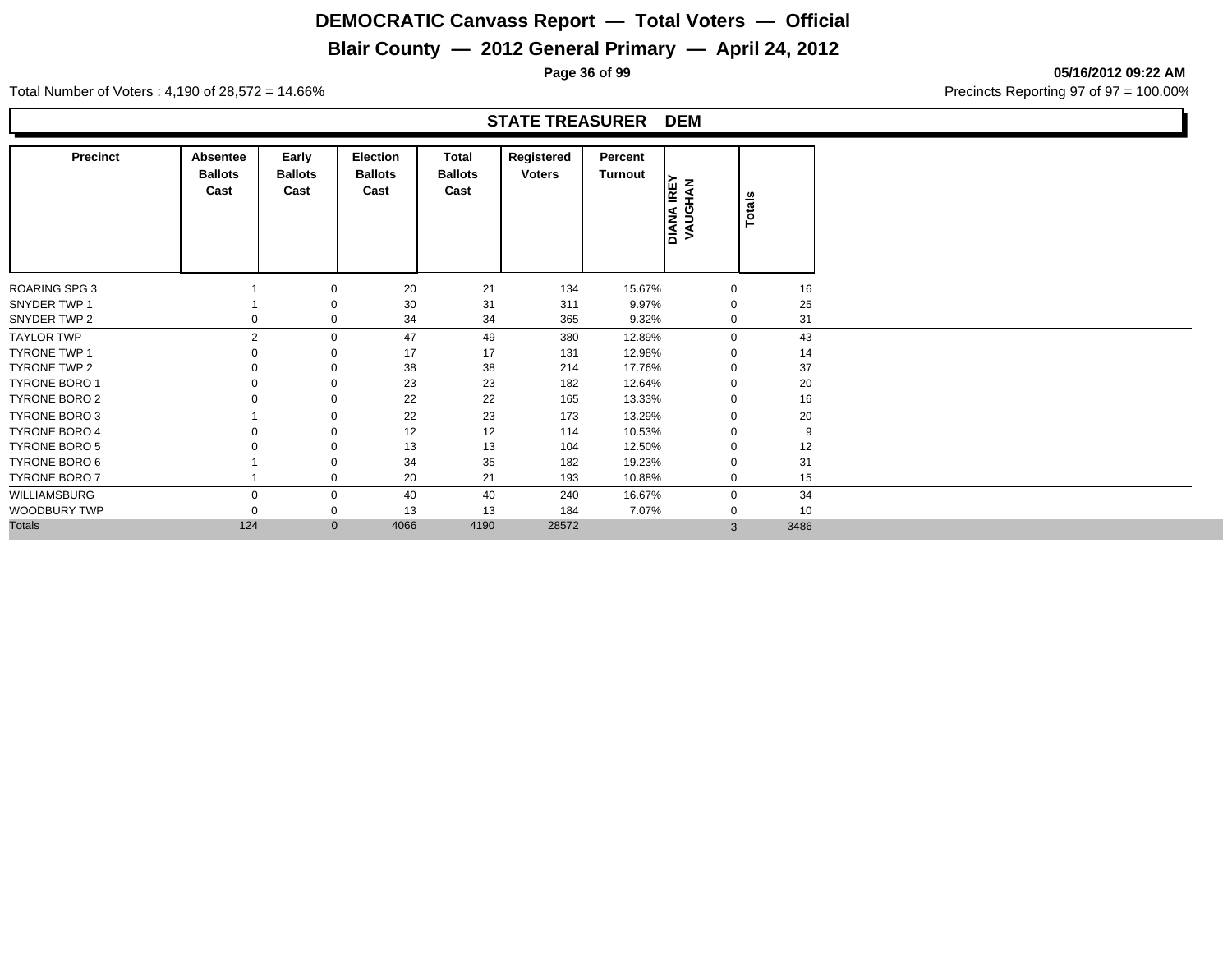## **Blair County — 2012 General Primary — April 24, 2012**

**Page 36 of 99 05/16/2012 09:22 AM**

Total Number of Voters : 4,190 of 28,572 = 14.66% Precincts Reporting 97 of 97 = 100.00%

#### **STATE TREASURER DEM**

| <b>Precinct</b>      | Absentee<br><b>Ballots</b><br>Cast | Early<br><b>Ballots</b><br>Cast | Election<br><b>Ballots</b><br>Cast | Total<br><b>Ballots</b><br>Cast | Registered<br><b>Voters</b> | Percent<br>Turnout | <b>DIANA IREY<br/>VAUGHAN</b> | Totals |
|----------------------|------------------------------------|---------------------------------|------------------------------------|---------------------------------|-----------------------------|--------------------|-------------------------------|--------|
| <b>ROARING SPG 3</b> |                                    | 0                               | 20                                 | 21                              | 134                         | 15.67%             | $\mathbf 0$                   | 16     |
| SNYDER TWP 1         |                                    | 0                               | 30                                 | 31                              | 311                         | 9.97%              | $\mathbf 0$                   | 25     |
| SNYDER TWP 2         | 0                                  | 0                               | 34                                 | 34                              | 365                         | 9.32%              | $\mathbf 0$                   | 31     |
| <b>TAYLOR TWP</b>    | $\overline{2}$                     | $\mathbf 0$                     | 47                                 | 49                              | 380                         | 12.89%             | $\mathbf 0$                   | 43     |
| <b>TYRONE TWP 1</b>  |                                    | 0                               | 17                                 | 17                              | 131                         | 12.98%             | $\Omega$                      | 14     |
| <b>TYRONE TWP 2</b>  |                                    | 0                               | 38                                 | 38                              | 214                         | 17.76%             | $\mathbf 0$                   | 37     |
| <b>TYRONE BORO 1</b> |                                    | 0                               | 23                                 | 23                              | 182                         | 12.64%             | $\mathbf 0$                   | 20     |
| TYRONE BORO 2        |                                    | 0                               | 22                                 | 22                              | 165                         | 13.33%             | $\mathbf 0$                   | 16     |
| <b>TYRONE BORO 3</b> |                                    | 0                               | 22                                 | 23                              | 173                         | 13.29%             | $\mathbf 0$                   | 20     |
| <b>TYRONE BORO 4</b> |                                    | 0                               | 12                                 | 12                              | 114                         | 10.53%             | $\mathbf 0$                   | 9      |
| <b>TYRONE BORO 5</b> |                                    | 0                               | 13                                 | 13                              | 104                         | 12.50%             | $\mathbf 0$                   | 12     |
| TYRONE BORO 6        |                                    | $\Omega$                        | 34                                 | 35                              | 182                         | 19.23%             | $\Omega$                      | 31     |
| TYRONE BORO 7        |                                    | 0                               | 20                                 | 21                              | 193                         | 10.88%             | $\mathbf 0$                   | 15     |
| WILLIAMSBURG         | $\Omega$                           | 0                               | 40                                 | 40                              | 240                         | 16.67%             | $\mathbf 0$                   | 34     |
| WOODBURY TWP         |                                    | 0                               | 13                                 | 13                              | 184                         | 7.07%              | $\mathbf 0$                   | 10     |
| <b>Totals</b>        | 124                                | $\mathbf{0}$                    | 4066                               | 4190                            | 28572                       |                    | 3                             | 3486   |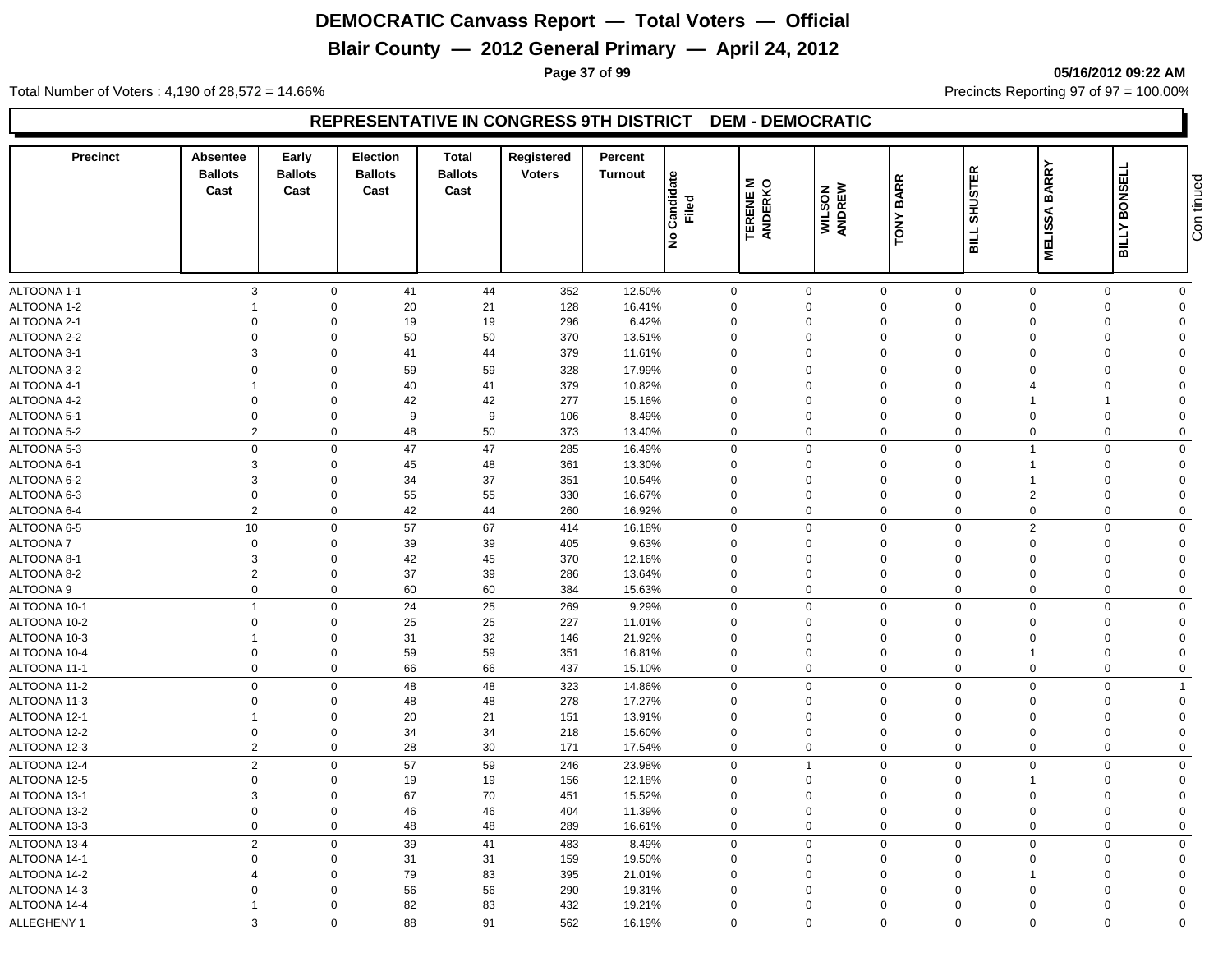# **Blair County — 2012 General Primary — April 24, 2012**

**Page 37 of 99 05/16/2012 09:22 AM**

Total Number of Voters : 4,190 of 28,572 = 14.66% Precincts Reporting 97 of 97 = 100.00%

| <b>Precinct</b>              | Absentee<br><b>Ballots</b><br>Cast | Early<br><b>Ballots</b><br>Cast | <b>Election</b><br><b>Ballots</b><br>Cast | <b>Total</b><br><b>Ballots</b><br>Cast | Registered<br><b>Voters</b> | Percent<br><b>Turnout</b> | Candidate<br>Filed<br>lş | TERENE M<br>ANDERKO | WILSON<br>ANDREW        | <b>BARR</b><br>TONY        | <b>SHUSTER</b><br><b>BILL</b> | <b>BARRY</b><br><b>MELISSA</b> | <b>BONSELL</b><br><b>BILLY</b> | tinued<br>Con              |
|------------------------------|------------------------------------|---------------------------------|-------------------------------------------|----------------------------------------|-----------------------------|---------------------------|--------------------------|---------------------|-------------------------|----------------------------|-------------------------------|--------------------------------|--------------------------------|----------------------------|
| ALTOONA 1-1                  | $\mathbf{3}$                       | $\mathbf 0$                     | 41                                        | 44                                     | 352                         | 12.50%                    |                          | $\mathbf 0$         | $\mathbf 0$             | $\mathbf 0$                | $\mathbf 0$                   | $\Omega$                       | $\mathbf 0$                    | $\mathbf 0$                |
| ALTOONA 1-2                  | -1                                 | $\Omega$                        | 20                                        | 21                                     | 128                         | 16.41%                    |                          | 0                   | $\Omega$                | $\mathbf{0}$               | $\Omega$                      | $\Omega$                       | $\Omega$                       | $\Omega$                   |
| ALTOONA 2-1                  | $\Omega$                           | $\Omega$                        | 19                                        | 19                                     | 296                         | 6.42%                     | $\mathbf 0$              |                     | 0                       | $\Omega$                   | $\Omega$                      | $\Omega$                       | $\Omega$                       | $\Omega$                   |
| ALTOONA 2-2                  | $\mathbf 0$                        | $\Omega$                        | 50                                        | 50                                     | 370                         | 13.51%                    | $\Omega$                 |                     | 0                       | $\Omega$                   | $\Omega$                      | $\Omega$                       | $\Omega$                       | $\Omega$                   |
| ALTOONA 3-1                  | 3                                  | $\Omega$                        | 41                                        | 44                                     | 379                         | 11.61%                    |                          | $\mathbf 0$         | $\Omega$                | $\mathbf 0$                | $\Omega$                      | $\Omega$                       | $\mathbf 0$                    | $\mathbf 0$                |
| ALTOONA 3-2                  | $\mathbf 0$                        | $\Omega$                        | 59                                        | 59                                     | 328                         | 17.99%                    |                          | $\mathbf 0$         | $\mathbf 0$             | $\mathbf 0$                | $\mathbf 0$                   | $\Omega$                       | $\mathbf 0$                    | $\Omega$                   |
| ALTOONA 4-1                  | $\overline{1}$                     | $\Omega$                        | 40                                        | 41                                     | 379                         | 10.82%                    |                          | $\mathbf 0$         | $\mathbf 0$             | $\mathbf 0$                | $\mathbf 0$                   |                                | $\mathbf 0$                    | $\Omega$                   |
| ALTOONA 4-2                  | $\mathbf 0$                        | $\Omega$                        | 42                                        | 42                                     | 277                         | 15.16%                    | $\Omega$                 |                     | 0                       | $\Omega$                   | $\Omega$                      |                                |                                | $\Omega$                   |
| ALTOONA 5-1                  | $\mathbf 0$                        | $\Omega$                        | 9                                         | 9                                      | 106                         | 8.49%                     | $\mathbf 0$              |                     | $\mathbf 0$             | $\mathbf 0$                | $\Omega$                      | $\Omega$                       | $\Omega$                       | $\Omega$                   |
| ALTOONA 5-2                  | $\overline{2}$                     | $\mathbf 0$                     | 48                                        | 50                                     | 373                         | 13.40%                    |                          | $\mathbf 0$         | $\mathbf 0$             | $\mathbf 0$                | $\Omega$                      | $\mathbf 0$                    | $\mathbf 0$                    | $\mathbf 0$                |
| ALTOONA 5-3                  | $\mathbf 0$                        | $\mathbf 0$                     | 47                                        | 47                                     | 285                         | 16.49%                    |                          | 0                   | $\mathbf 0$             | $\mathbf 0$                | $\Omega$                      |                                | $\Omega$                       | $\mathbf 0$                |
| ALTOONA 6-1                  | 3                                  | $\Omega$                        | 45                                        | 48                                     | 361                         | 13.30%                    |                          | 0                   | $\Omega$                | $\Omega$                   | $\Omega$                      |                                | $\Omega$                       | $\Omega$                   |
| ALTOONA 6-2                  | 3                                  | $\Omega$                        | 34                                        | 37                                     | 351                         | 10.54%                    | $\Omega$                 |                     | 0                       | $\Omega$                   | $\Omega$                      |                                | $\Omega$                       | $\Omega$                   |
| ALTOONA 6-3                  | $\mathbf 0$                        | $\Omega$                        | 55                                        | 55                                     | 330                         | 16.67%                    | $\Omega$                 |                     | $\mathbf 0$             | $\Omega$                   | $\Omega$                      | $\overline{2}$                 | $\Omega$                       | $\Omega$                   |
| ALTOONA 6-4                  | $\overline{2}$                     | $\Omega$                        | 42                                        | 44                                     | 260                         | 16.92%                    |                          | $\mathbf 0$         | $\mathbf 0$             | $\mathbf 0$                | $\Omega$                      | $\Omega$                       | $\mathbf 0$                    | $\mathbf 0$                |
| ALTOONA 6-5                  | 10                                 | $\mathbf 0$                     | 57                                        | 67                                     | 414                         | 16.18%                    |                          | $\mathbf 0$         | $\mathbf 0$             | $\mathbf 0$                | $\mathbf 0$                   | 2                              | $\mathbf 0$                    | $\mathbf 0$                |
| <b>ALTOONA7</b>              | $\mathbf 0$                        | $\Omega$                        | 39                                        | 39                                     | 405                         | 9.63%                     |                          | $\mathbf 0$         | $\mathbf 0$             | $\mathbf 0$                | $\Omega$                      | $\Omega$                       | $\Omega$                       | $\Omega$                   |
| ALTOONA 8-1                  | 3                                  | $\Omega$                        | 42                                        | 45                                     | 370                         | 12.16%                    | $\Omega$                 |                     | 0                       | $\Omega$                   | $\Omega$                      | $\Omega$                       | $\Omega$                       | $\Omega$                   |
| ALTOONA 8-2                  | $\overline{2}$                     | $\Omega$                        | 37                                        | 39                                     | 286                         | 13.64%                    |                          | $\mathbf 0$         | $\mathbf 0$             | $\mathbf 0$                | $\Omega$                      | $\Omega$                       | $\Omega$                       | $\Omega$                   |
| ALTOONA 9                    | $\mathbf 0$                        | $\mathbf 0$                     | 60                                        | 60                                     | 384                         | 15.63%                    |                          | $\mathbf 0$         | $\mathbf 0$             | $\mathbf 0$                | $\Omega$                      | $\Omega$                       | $\mathbf 0$                    | $\mathbf 0$                |
|                              | $\overline{1}$                     | $\Omega$                        | 24                                        | 25                                     |                             |                           |                          |                     | $\mathbf 0$             | $\mathbf 0$                | $\Omega$                      | $\Omega$                       | $\Omega$                       | $\Omega$                   |
| ALTOONA 10-1                 |                                    | $\Omega$                        |                                           |                                        | 269                         | 9.29%                     |                          | 0                   |                         | $\Omega$                   | $\Omega$                      | $\Omega$                       | $\Omega$                       | $\Omega$                   |
| ALTOONA 10-2                 | $\mathbf 0$                        | $\Omega$                        | 25                                        | 25                                     | 227                         | 11.01%                    |                          | $\mathbf 0$         | 0                       |                            | $\Omega$                      | $\Omega$                       |                                | $\Omega$                   |
| ALTOONA 10-3<br>ALTOONA 10-4 | $\overline{0}$                     | $\Omega$                        | 31<br>59                                  | 32<br>59                               | 146                         | 21.92%                    | $\mathbf 0$              | $\mathbf 0$         | 0<br>$\mathbf 0$        | $\mathbf 0$<br>$\mathbf 0$ | $\mathbf 0$                   |                                | $\mathbf 0$<br>$\mathbf 0$     | $\mathbf 0$                |
| ALTOONA 11-1                 | $\mathbf 0$                        | $\mathbf 0$                     | 66                                        | 66                                     | 351<br>437                  | 16.81%<br>15.10%          |                          | $\mathbf 0$         | $\mathbf 0$             | $\mathbf 0$                | $\mathbf 0$                   | $\mathbf 0$                    | $\mathbf 0$                    | $\mathbf 0$                |
|                              |                                    |                                 |                                           |                                        |                             |                           |                          |                     |                         |                            |                               |                                |                                |                            |
| ALTOONA 11-2                 | $\mathbf 0$                        | $\Omega$<br>$\Omega$            | 48                                        | 48                                     | 323                         | 14.86%                    |                          | $\mathbf 0$         | $\mathbf 0$             | $\mathbf 0$                | $\Omega$                      | $\Omega$<br>$\Omega$           | $\Omega$                       | $\overline{1}$<br>$\Omega$ |
| ALTOONA 11-3<br>ALTOONA 12-1 | $\mathbf 0$<br>-1                  | $\Omega$                        | 48<br>20                                  | 48<br>21                               | 278                         | 17.27%<br>13.91%          | $\Omega$                 | $\mathbf 0$         | $\mathbf 0$<br>$\Omega$ | $\mathbf 0$<br>$\Omega$    | $\Omega$<br>$\Omega$          | $\Omega$                       | $\Omega$<br>$\Omega$           | $\Omega$                   |
| ALTOONA 12-2                 | $\overline{0}$                     | $\Omega$                        | 34                                        | 34                                     | 151<br>218                  | 15.60%                    |                          | $\mathbf 0$         | $\mathbf 0$             | $\mathbf 0$                | $\Omega$                      | $\Omega$                       | $\Omega$                       | $\Omega$                   |
| ALTOONA 12-3                 | $\overline{2}$                     | $\mathbf 0$                     | 28                                        | 30                                     | 171                         | 17.54%                    |                          | $\mathbf 0$         | $\mathbf 0$             | $\mathbf 0$                | $\Omega$                      | $\mathbf 0$                    | $\mathbf 0$                    | $\mathbf 0$                |
|                              |                                    |                                 |                                           |                                        |                             |                           |                          |                     |                         |                            |                               |                                |                                |                            |
| ALTOONA 12-4                 | $\overline{2}$                     | $\Omega$                        | 57                                        | 59                                     | 246                         | 23.98%                    |                          | $\mathbf 0$         | $\mathbf{1}$            | $\mathbf 0$                | $\mathbf 0$                   | $\Omega$                       | $\Omega$                       | $\mathbf 0$                |
| ALTOONA 12-5                 | $\mathbf 0$                        | $\Omega$                        | 19                                        | 19                                     | 156                         | 12.18%                    | $\mathbf 0$              |                     | $\mathbf 0$             | $\Omega$                   | $\Omega$                      |                                | $\Omega$                       | $\Omega$                   |
| ALTOONA 13-1                 | 3                                  | $\Omega$<br>$\Omega$            | 67                                        | 70                                     | 451                         | 15.52%                    | $\mathbf 0$              |                     | $\mathbf 0$             | $\mathbf 0$                | $\Omega$                      | $\Omega$                       | $\Omega$                       | $\Omega$                   |
| ALTOONA 13-2                 | $\mathbf 0$<br>$\overline{0}$      |                                 | 46                                        | 46                                     | 404                         | 11.39%                    |                          | $\mathbf 0$         | $\mathbf 0$             | $\mathbf 0$                | $\mathbf 0$                   | $\Omega$                       | $\mathbf 0$                    | $\mathbf 0$                |
| ALTOONA 13-3                 |                                    | $\mathbf 0$                     | 48                                        | 48                                     | 289                         | 16.61%                    |                          | $\mathbf 0$         | $\mathbf 0$             | $\mathbf 0$                | $\mathbf 0$                   | $\mathbf 0$                    | 0                              | $\mathbf 0$                |
| ALTOONA 13-4                 | $\overline{2}$                     | $\Omega$                        | $39\,$                                    | 41                                     | 483                         | 8.49%                     |                          | $\mathbf 0$         | $\mathbf 0$             | $\Omega$                   | $\Omega$                      | $\Omega$                       | $\Omega$                       | $\Omega$                   |
| ALTOONA 14-1                 | $\Omega$                           | $\Omega$                        | 31                                        | 31                                     | 159                         | 19.50%                    | $\Omega$                 |                     | $\mathbf 0$             | $\mathbf 0$                | $\Omega$                      | $\Omega$                       | $\Omega$                       | $\Omega$                   |
| ALTOONA 14-2                 | 4                                  | $\Omega$                        | 79                                        | 83                                     | 395                         | 21.01%                    | $\Omega$                 |                     | $\Omega$                | $\Omega$                   | $\Omega$                      |                                | $\Omega$                       | $\Omega$                   |
| ALTOONA 14-3                 | $\Omega$                           | $\Omega$                        | 56                                        | 56                                     | 290                         | 19.31%                    |                          | $\mathbf{0}$        | $\mathbf 0$             | $\Omega$                   | $\Omega$                      | $\Omega$                       | $\Omega$                       | $\Omega$                   |
| ALTOONA 14-4                 | -1                                 | $\mathbf 0$                     | 82                                        | 83                                     | 432                         | 19.21%                    |                          | $\mathbf 0$         | $\Omega$                | $\mathbf 0$                | $\Omega$                      | $\Omega$                       | $\mathbf 0$                    | $\Omega$                   |
| ALLEGHENY 1                  | 3                                  | $\Omega$                        | 88                                        | 91                                     | 562                         | 16.19%                    |                          | $\Omega$            | $\Omega$                | $\Omega$                   | $\Omega$                      | $\Omega$                       | $\Omega$                       | $\Omega$                   |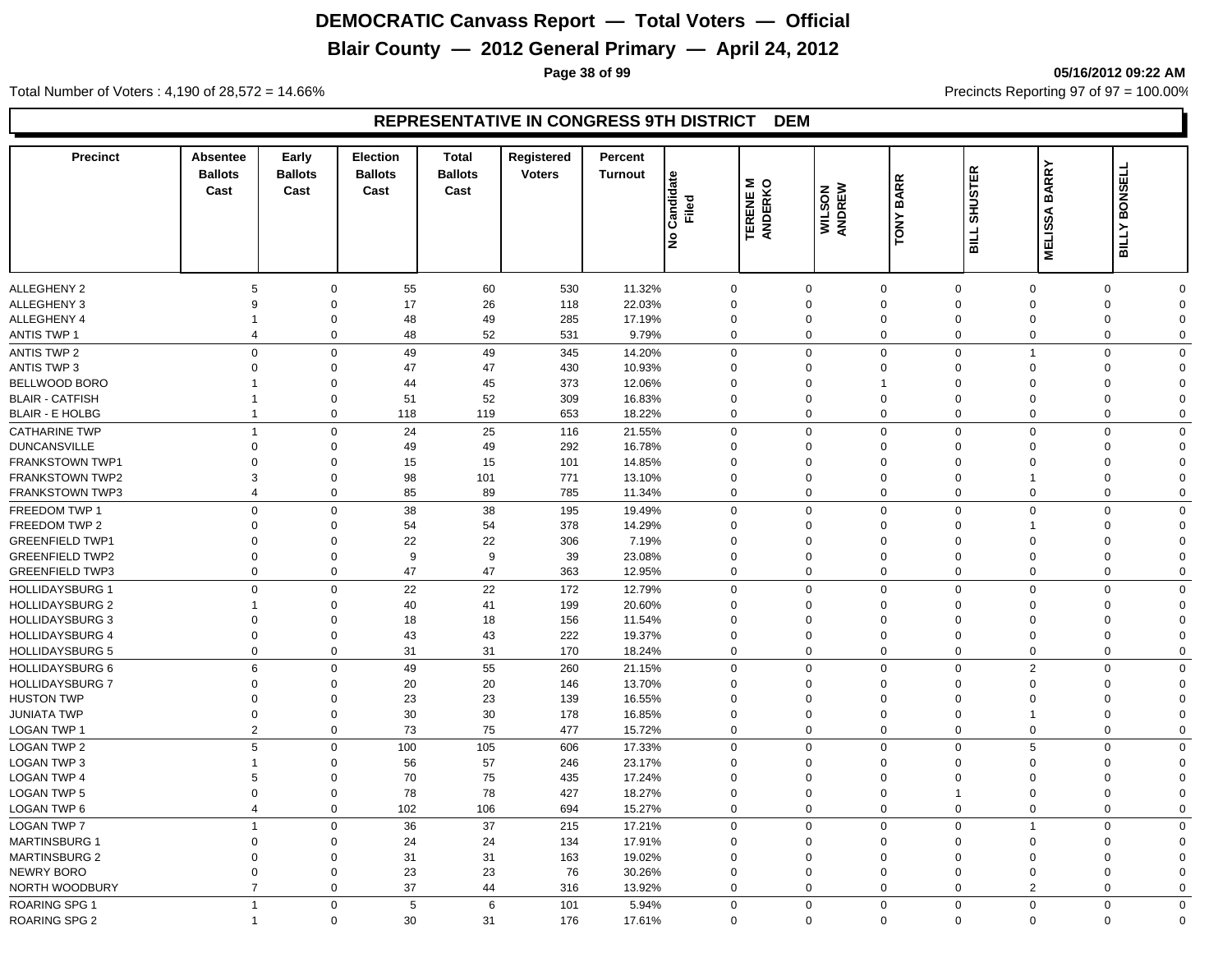# **Blair County — 2012 General Primary — April 24, 2012**

**Page 38 of 99 05/16/2012 09:22 AM**

Total Number of Voters : 4,190 of 28,572 = 14.66% Precincts Reporting 97 of 97 = 100.00%

| <b>Precinct</b>                   | Absentee<br><b>Ballots</b><br>Cast | Early<br><b>Ballots</b><br>Cast | <b>Election</b><br><b>Ballots</b><br>Cast | <b>Total</b><br><b>Ballots</b><br>Cast | Registered<br><b>Voters</b> | Percent<br><b>Turnout</b> |                          |                            |                  | <b>BARR</b>                                           | <b>SHUSTER</b>          | <b>BARRY</b>   | <b>BONSELL</b>               |
|-----------------------------------|------------------------------------|---------------------------------|-------------------------------------------|----------------------------------------|-----------------------------|---------------------------|--------------------------|----------------------------|------------------|-------------------------------------------------------|-------------------------|----------------|------------------------------|
|                                   |                                    |                                 |                                           |                                        |                             |                           | Candidate<br>Filed<br>l是 | <b>TERENE M</b><br>ANDERKO | WILSON<br>ANDREW | TONY                                                  | <b>BILL</b>             | <b>MELISSA</b> | <b>BILLY</b>                 |
| <b>ALLEGHENY 2</b>                | 5                                  | $\mathbf 0$                     | 55                                        | 60                                     | 530                         | 11.32%                    | $\mathbf 0$              | $\mathbf 0$                |                  | $\mathbf 0$<br>$\mathbf 0$                            |                         | $\mathbf 0$    | 0<br>$\Omega$                |
| <b>ALLEGHENY 3</b>                | 9                                  | $\mathbf 0$                     | 17                                        | 26                                     | 118                         | 22.03%                    | $\mathbf 0$              | $\Omega$                   |                  | $\mathbf 0$<br>$\mathbf 0$                            | $\overline{0}$          |                | $\mathbf 0$<br>$\Omega$      |
| ALLEGHENY 4                       | $\mathbf 1$                        | $\mathbf 0$                     | 48                                        | 49                                     | 285                         | 17.19%                    | $\mathbf 0$              | $\mathbf 0$                |                  | $\mathbf 0$<br>$\Omega$                               | $\overline{0}$          |                | $\mathbf 0$<br>$\Omega$      |
| <b>ANTIS TWP 1</b>                | $\overline{4}$                     | $\mathbf 0$                     | 48                                        | 52                                     | 531                         | 9.79%                     | $\mathbf 0$              | $\mathbf 0$                |                  | $\mathbf 0$<br>$\mathbf 0$                            | $\overline{0}$          |                | $\mathbf 0$<br>$\mathbf 0$   |
| <b>ANTIS TWP 2</b>                | $\mathsf 0$                        | $\mathbf 0$                     | 49                                        | 49                                     | 345                         | 14.20%                    | $\Omega$                 |                            | 0                | $\mathbf 0$<br>$\Omega$                               | $\overline{1}$          |                | $\mathbf 0$<br>$\Omega$      |
| <b>ANTIS TWP 3</b>                | $\overline{0}$                     | $\mathbf 0$                     | 47                                        | 47                                     | 430                         | 10.93%                    | $\mathbf 0$              | $\mathbf 0$                |                  | $\mathbf 0$<br>$\mathbf 0$                            | $\mathbf 0$             |                | 0<br>$\Omega$                |
| BELLWOOD BORO                     |                                    | $\mathbf 0$                     | 44                                        | 45                                     | 373                         | 12.06%                    | $\mathbf 0$              | $\mathbf 0$                |                  | $\Omega$<br>$\overline{1}$                            | $\mathbf 0$             |                | $\mathbf 0$<br>$\Omega$      |
| <b>BLAIR - CATFISH</b>            | -1                                 | 0                               | 51                                        | 52                                     | 309                         | 16.83%                    | $\mathbf 0$              | $\mathbf 0$                |                  | $\mathbf 0$<br>$\mathbf 0$                            | $\mathbf 0$             |                | 0<br>$\Omega$                |
| <b>BLAIR - E HOLBG</b>            | $\overline{1}$                     | 0                               | 118                                       | 119                                    | 653                         | 18.22%                    | $\mathbf 0$              | $\mathbf 0$                |                  | $\mathbf 0$<br>$\mathbf 0$                            | $\overline{0}$          |                | 0<br>$\mathbf 0$             |
| <b>CATHARINE TWP</b>              | $\overline{1}$                     | $\mathbf 0$                     | 24                                        | 25                                     | 116                         | 21.55%                    | $\Omega$                 | $\Omega$                   |                  | $\mathbf 0$<br>$\Omega$                               | $\Omega$                |                | $\mathbf 0$<br>$\Omega$      |
| <b>DUNCANSVILLE</b>               | $\Omega$                           | $\mathbf 0$                     | 49                                        | 49                                     | 292                         | 16.78%                    | $\Omega$                 | $\Omega$                   |                  | $\mathbf 0$<br>$\Omega$                               | $\Omega$                |                | $\mathbf 0$<br>$\Omega$      |
| FRANKSTOWN TWP1                   | $\Omega$                           | $\Omega$                        | 15                                        | 15                                     | 101                         | 14.85%                    | $\Omega$                 | $\Omega$                   |                  | $\mathbf 0$<br>$\Omega$                               |                         | $\Omega$       | $\mathbf 0$<br>$\Omega$      |
| <b>FRANKSTOWN TWP2</b>            | 3                                  | 0                               | 98                                        | 101                                    | 771                         | 13.10%                    | $\Omega$                 | $\Omega$                   |                  | $\mathbf 0$<br>$\mathbf 0$                            | $\overline{\mathbf{1}}$ |                | 0<br>$\Omega$                |
| <b>FRANKSTOWN TWP3</b>            | $\overline{4}$                     | 0                               | 85                                        | 89                                     | 785                         | 11.34%                    | $\mathbf 0$              | $\mathbf 0$                |                  | $\mathbf 0$<br>$\mathbf 0$                            | $\mathbf 0$             |                | 0<br>$\mathbf 0$             |
| FREEDOM TWP 1                     | $\mathbf 0$                        | $\mathbf 0$                     | 38                                        | 38                                     | 195                         | 19.49%                    | $\Omega$                 | $\Omega$                   |                  | $\mathbf 0$<br>$\mathbf 0$                            | $\Omega$                |                | $\mathbf 0$<br>$\Omega$      |
| FREEDOM TWP 2                     | $\Omega$                           | $\mathbf 0$                     | 54                                        | 54                                     | 378                         | 14.29%                    | $\mathbf 0$              | $\Omega$                   |                  | $\mathbf 0$<br>$\Omega$                               |                         |                | $\mathbf 0$<br>$\Omega$      |
| <b>GREENFIELD TWP1</b>            | $\Omega$                           | $\mathbf 0$                     | 22                                        | 22                                     | 306                         | 7.19%                     | $\Omega$                 | $\Omega$                   |                  | $\mathbf 0$<br>$\Omega$                               | $\Omega$                |                | 0<br>$\Omega$                |
| <b>GREENFIELD TWP2</b>            | $\Omega$                           | $\Omega$                        | 9                                         | 9                                      | 39                          | 23.08%                    | $\Omega$                 | $\Omega$                   |                  | $\mathbf 0$<br>$\mathbf 0$                            | $\Omega$                |                | $\mathbf 0$<br>$\Omega$      |
| <b>GREENFIELD TWP3</b>            | $\overline{0}$                     | $\mathbf 0$                     | 47                                        | 47                                     | 363                         | 12.95%                    | $\Omega$                 | $\Omega$                   |                  | $\mathbf 0$<br>$\mathbf 0$                            | $\Omega$                |                | $\mathbf 0$<br>$\mathbf 0$   |
| <b>HOLLIDAYSBURG 1</b>            | $\mathbf 0$                        | $\mathbf 0$                     | 22                                        | 22                                     | 172                         | 12.79%                    | $\mathbf 0$              |                            | $\mathbf 0$      | $\mathbf 0$<br>$\mathbf 0$                            | $\overline{0}$          |                | $\mathbf 0$<br>$\mathbf 0$   |
| <b>HOLLIDAYSBURG 2</b>            | $\overline{1}$                     | $\mathbf 0$                     | 40                                        | 41                                     | 199                         | 20.60%                    | $\Omega$                 | $\mathbf 0$                |                  | $\mathbf 0$<br>$\Omega$                               | $\Omega$                |                | 0<br>$\Omega$                |
| <b>HOLLIDAYSBURG 3</b>            | $\mathbf 0$                        | $\mathbf 0$                     | 18                                        | 18                                     | 156                         | 11.54%                    | $\mathbf 0$              | $\mathbf 0$                |                  | $\mathbf 0$<br>$\Omega$                               | $\Omega$                |                | $\mathbf 0$<br>$\Omega$      |
| <b>HOLLIDAYSBURG 4</b>            | $\overline{0}$                     | $\mathbf 0$                     | 43                                        | 43                                     | 222                         | 19.37%                    | $\mathbf 0$              | $\Omega$                   |                  | $\mathbf 0$<br>$\mathbf{0}$                           | $\mathbf 0$             |                | 0<br>$\Omega$                |
| <b>HOLLIDAYSBURG 5</b>            | $\Omega$                           | $\mathbf 0$                     | 31                                        | 31                                     | 170                         | 18.24%                    | $\mathbf 0$              | $\Omega$                   |                  | $\mathbf 0$<br>$\mathbf 0$                            | $\Omega$                |                | $\mathbf 0$<br>$\Omega$      |
| <b>HOLLIDAYSBURG 6</b>            | 6                                  | $\mathbf 0$                     | 49                                        | 55                                     | 260                         | 21.15%                    | $\mathbf 0$              |                            | 0                | $\mathbf 0$<br>$\mathbf 0$                            | $\overline{2}$          |                | $\mathbf 0$<br>$\Omega$      |
| <b>HOLLIDAYSBURG 7</b>            | $\mathbf 0$                        | 0                               | 20                                        | 20                                     | 146                         | 13.70%                    | $\mathbf 0$              | $\mathbf 0$                |                  | $\mathbf 0$<br>$\mathbf 0$                            | $\mathbf 0$             |                | 0<br>$\mathbf 0$             |
| <b>HUSTON TWP</b>                 | $\mathbf 0$                        | $\mathbf 0$                     | 23                                        | 23                                     | 139                         | 16.55%                    | $\mathbf 0$              | $\mathbf 0$                |                  | $\mathbf 0$<br>$\mathbf 0$                            | $\mathbf 0$             |                | 0<br>$\Omega$                |
| <b>JUNIATA TWP</b>                | $\mathbf 0$                        | $\mathbf 0$                     | 30                                        | 30                                     | 178                         | 16.85%                    | $\mathbf 0$              | $\mathbf 0$                |                  | $\mathbf 0$<br>$\mathbf 0$                            | $\overline{1}$          |                | $\mathbf 0$<br>$\Omega$      |
| LOGAN TWP 1                       | 2                                  | $\mathbf 0$                     | 73                                        | 75                                     | 477                         | 15.72%                    | $\mathbf 0$              |                            | $\mathbf 0$      | $\mathbf 0$<br>$\mathbf 0$                            | $\mathbf{0}$            |                | $\mathbf 0$<br>$\Omega$      |
|                                   | 5                                  | $\mathbf 0$                     | 100                                       | 105                                    |                             |                           |                          | $\Omega$                   |                  | $\mathbf{0}$                                          |                         | 5              | $\mathbf 0$<br>$\Omega$      |
| <b>LOGAN TWP 2</b>                | $\overline{1}$                     |                                 |                                           |                                        | 606                         | 17.33%                    | $\mathbf 0$<br>$\Omega$  |                            |                  | $\mathbf{0}$                                          | $\Omega$                |                | $\Omega$                     |
| LOGAN TWP 3<br><b>LOGAN TWP 4</b> | 5                                  | 0<br>$\Omega$                   | 56<br>70                                  | 57<br>75                               | 246<br>435                  | 23.17%                    | $\Omega$                 | 0<br>$\Omega$              |                  | $\mathbf 0$<br>$\mathbf 0$<br>$\mathbf 0$<br>$\Omega$ |                         | $\Omega$       | 0<br>$\mathbf 0$<br>$\Omega$ |
| <b>LOGAN TWP 5</b>                | $\Omega$                           | $\Omega$                        | 78                                        | 78                                     | 427                         | 17.24%                    | $\Omega$                 | $\Omega$                   |                  | $\mathbf 0$                                           | $\Omega$                |                | 0<br>$\Omega$                |
| LOGAN TWP 6                       | $\overline{4}$                     | $\mathbf 0$                     | 102                                       | 106                                    | 694                         | 18.27%<br>15.27%          | $\mathbf 0$              |                            | 0                | $\mathbf 0$                                           | $\mathbf 0$             | $\mathbf 0$    | $\mathbf 0$<br>$\Omega$      |
|                                   |                                    |                                 |                                           |                                        |                             |                           |                          |                            |                  |                                                       |                         |                |                              |
| <b>LOGAN TWP 7</b>                | $\overline{1}$                     | $\mathbf 0$                     | 36                                        | 37                                     | 215                         | 17.21%                    | $\mathbf 0$              | $\mathbf 0$                |                  | $\mathbf 0$<br>$\mathbf 0$                            | $\overline{1}$          |                | $\mathbf 0$<br>$\mathbf 0$   |
| <b>MARTINSBURG 1</b>              | $\Omega$                           | $\mathbf 0$                     | 24                                        | 24                                     | 134                         | 17.91%                    | $\Omega$                 | $\Omega$                   |                  | $\mathbf 0$<br>$\mathbf{0}$                           | $\Omega$                |                | 0<br>$\Omega$                |
| <b>MARTINSBURG 2</b>              | $\Omega$                           | $\Omega$                        | 31                                        | 31                                     | 163                         | 19.02%                    | $\Omega$                 | $\Omega$                   |                  | $\mathbf 0$<br>$\mathbf{0}$                           | $\Omega$                |                | 0<br>$\Omega$                |
| <b>NEWRY BORO</b>                 | $\overline{0}$                     | $\Omega$                        | 23                                        | 23                                     | 76                          | 30.26%                    | $\Omega$                 | $\Omega$                   |                  | $\mathbf 0$<br>$\mathbf 0$                            | $\Omega$                |                | $\mathbf 0$<br>$\Omega$      |
| NORTH WOODBURY                    | $\overline{7}$                     | $\mathbf 0$                     | 37                                        | 44                                     | 316                         | 13.92%                    | $\Omega$                 |                            | $\mathbf 0$      | $\mathbf 0$<br>$\mathbf 0$                            |                         | $\overline{2}$ | $\mathbf 0$<br>$\Omega$      |
| <b>ROARING SPG 1</b>              | $\overline{1}$                     | $\mathbf 0$                     | 5                                         | 6                                      | 101                         | 5.94%                     | $\mathbf 0$              | $\Omega$                   |                  | $\mathbf 0$<br>$\mathbf 0$                            | $\Omega$                |                | $\mathbf 0$<br>$\mathbf 0$   |
| ROARING SPG 2                     | $\overline{\mathbf{1}}$            | $\mathbf 0$                     | 30                                        | 31                                     | 176                         | 17.61%                    | $\Omega$                 |                            | $\mathbf 0$      | $\Omega$                                              | $\mathbf 0$<br>$\Omega$ |                | $\Omega$<br>$\mathbf 0$      |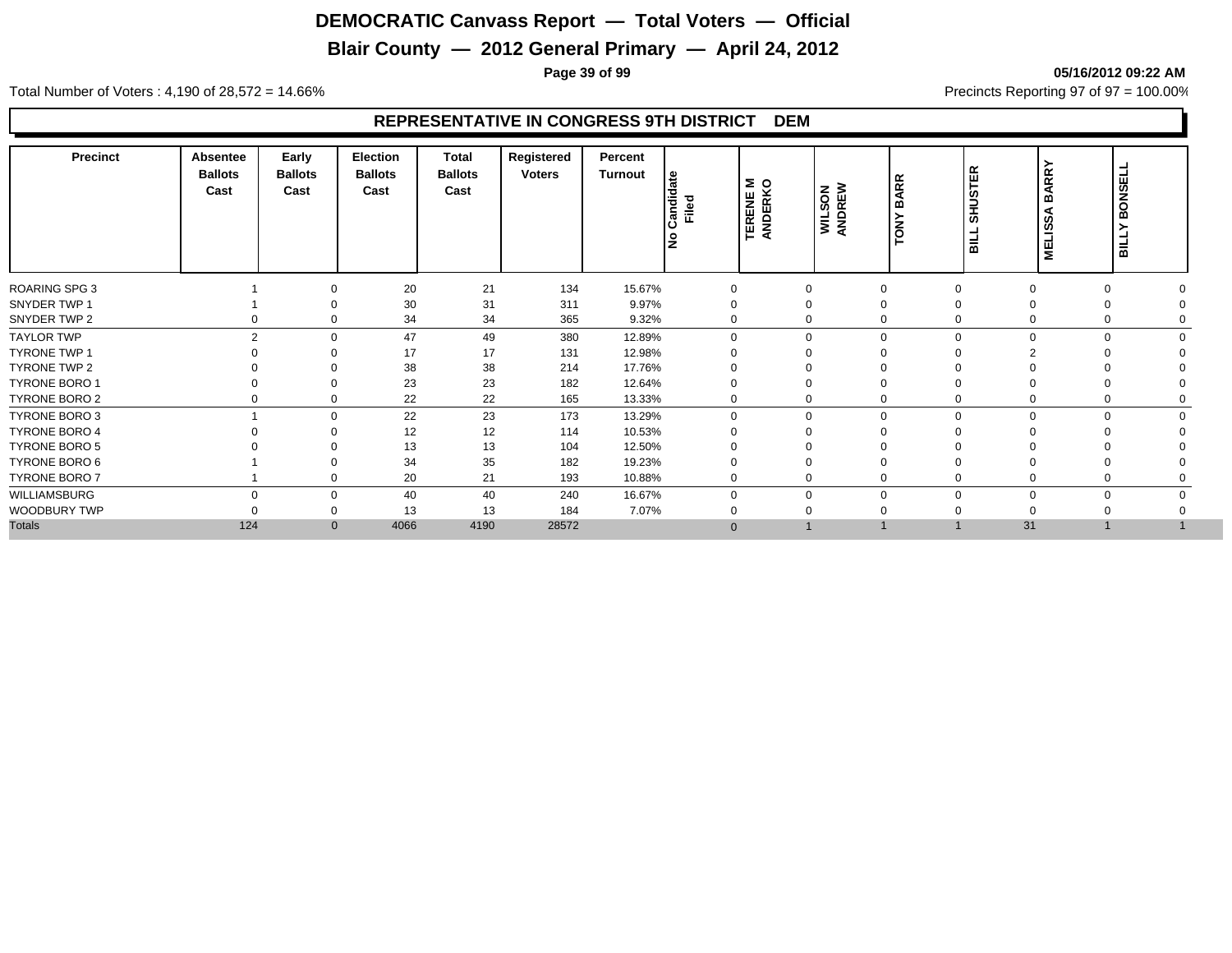# **Blair County — 2012 General Primary — April 24, 2012**

**Page 39 of 99 05/16/2012 09:22 AM**

Total Number of Voters : 4,190 of 28,572 = 14.66% Precincts Reporting 97 of 97 = 100.00%

| <b>Precinct</b>      | Absentee<br><b>Ballots</b><br>Cast | Early<br><b>Ballots</b><br>Cast | Election<br><b>Ballots</b><br>Cast | <b>Total</b><br><b>Ballots</b><br>Cast | Registered<br><b>Voters</b> | Percent<br>Turnout | <b>ate</b><br>Candida<br>Filed<br>١ş | ∣ ≅ ୨<br><b>TERENE</b><br>ANDERK | <b>WILSON</b><br>ANDREW | <b>ARR</b><br>മ്<br>YNO | <b>SHUSTER</b><br><b>TIRE</b> | <b>BARRY</b><br>⋖<br>ທີ<br><b>MELIS</b> | <b>BONSEL</b><br><b>BILLY</b> |
|----------------------|------------------------------------|---------------------------------|------------------------------------|----------------------------------------|-----------------------------|--------------------|--------------------------------------|----------------------------------|-------------------------|-------------------------|-------------------------------|-----------------------------------------|-------------------------------|
| <b>ROARING SPG 3</b> |                                    | $\Omega$                        | 20                                 | 21                                     | 134                         | 15.67%             | $\mathbf 0$                          | $\mathbf{0}$                     | $\mathbf 0$             |                         | 0                             | 0                                       |                               |
| SNYDER TWP 1         |                                    |                                 | 30                                 | 31                                     | 311                         | 9.97%              |                                      | 0                                | $\Omega$                |                         |                               |                                         |                               |
| SNYDER TWP 2         |                                    | $\Omega$                        | 34                                 | 34                                     | 365                         | 9.32%              | $\Omega$                             | 0                                | $\Omega$                |                         | $\Omega$                      | 0                                       |                               |
| <b>TAYLOR TWP</b>    |                                    | $\mathcal{P}$<br>$\Omega$       | 47                                 | 49                                     | 380                         | 12.89%             | $\Omega$                             | $\mathbf 0$                      | $\Omega$                |                         | $\Omega$                      | $\Omega$<br>$\Omega$                    |                               |
| <b>TYRONE TWP 1</b>  |                                    | ∩                               | 17                                 | 17                                     | 131                         | 12.98%             |                                      | $\Omega$                         | $\Omega$                |                         |                               |                                         |                               |
| TYRONE TWP 2         |                                    | ∩                               | 38                                 | 38                                     | 214                         | 17.76%             |                                      | 0                                | $\Omega$                |                         |                               |                                         |                               |
| <b>TYRONE BORO 1</b> |                                    | 0                               | 23                                 | 23                                     | 182                         | 12.64%             |                                      | 0                                | $\Omega$                |                         |                               |                                         |                               |
| <b>TYRONE BORO 2</b> |                                    | 0                               | 22                                 | 22                                     | 165                         | 13.33%             | 0                                    | 0                                | $\mathbf 0$             |                         | 0                             | 0                                       |                               |
| TYRONE BORO 3        |                                    | $\Omega$                        | 22                                 | 23                                     | 173                         | 13.29%             | $\Omega$                             | 0                                | $\mathbf 0$             |                         | $\Omega$                      | $\Omega$                                |                               |
| <b>TYRONE BORO 4</b> |                                    | $\Omega$                        | 12                                 | 12                                     | 114                         | 10.53%             |                                      | $\mathbf 0$                      | $\Omega$                |                         |                               |                                         |                               |
| TYRONE BORO 5        |                                    |                                 | 13                                 | 13                                     | 104                         | 12.50%             |                                      |                                  | $\Omega$                |                         |                               |                                         |                               |
| TYRONE BORO 6        |                                    | $\Omega$                        | 34                                 | 35                                     | 182                         | 19.23%             |                                      | 0                                | $\mathbf 0$             |                         |                               |                                         |                               |
| TYRONE BORO 7        |                                    | 0                               | 20                                 | 21                                     | 193                         | 10.88%             | $\mathbf 0$                          | 0                                | $\mathbf 0$             |                         |                               |                                         |                               |
| WILLIAMSBURG         | $\Omega$                           | $\Omega$                        | 40                                 | 40                                     | 240                         | 16.67%             | $\Omega$                             | 0                                | $\mathbf 0$             |                         | $\Omega$<br>$\Omega$          | $\mathbf 0$                             |                               |
| WOODBURY TWP         |                                    | $\Omega$                        | 13                                 | 13                                     | 184                         | 7.07%              |                                      | 0                                | $\Omega$                |                         |                               |                                         |                               |
| <b>Totals</b>        | 124                                | $\mathbf{0}$                    | 4066                               | 4190                                   | 28572                       |                    | $\Omega$                             |                                  |                         |                         | 31                            |                                         |                               |
|                      |                                    |                                 |                                    |                                        |                             |                    |                                      |                                  |                         |                         |                               |                                         |                               |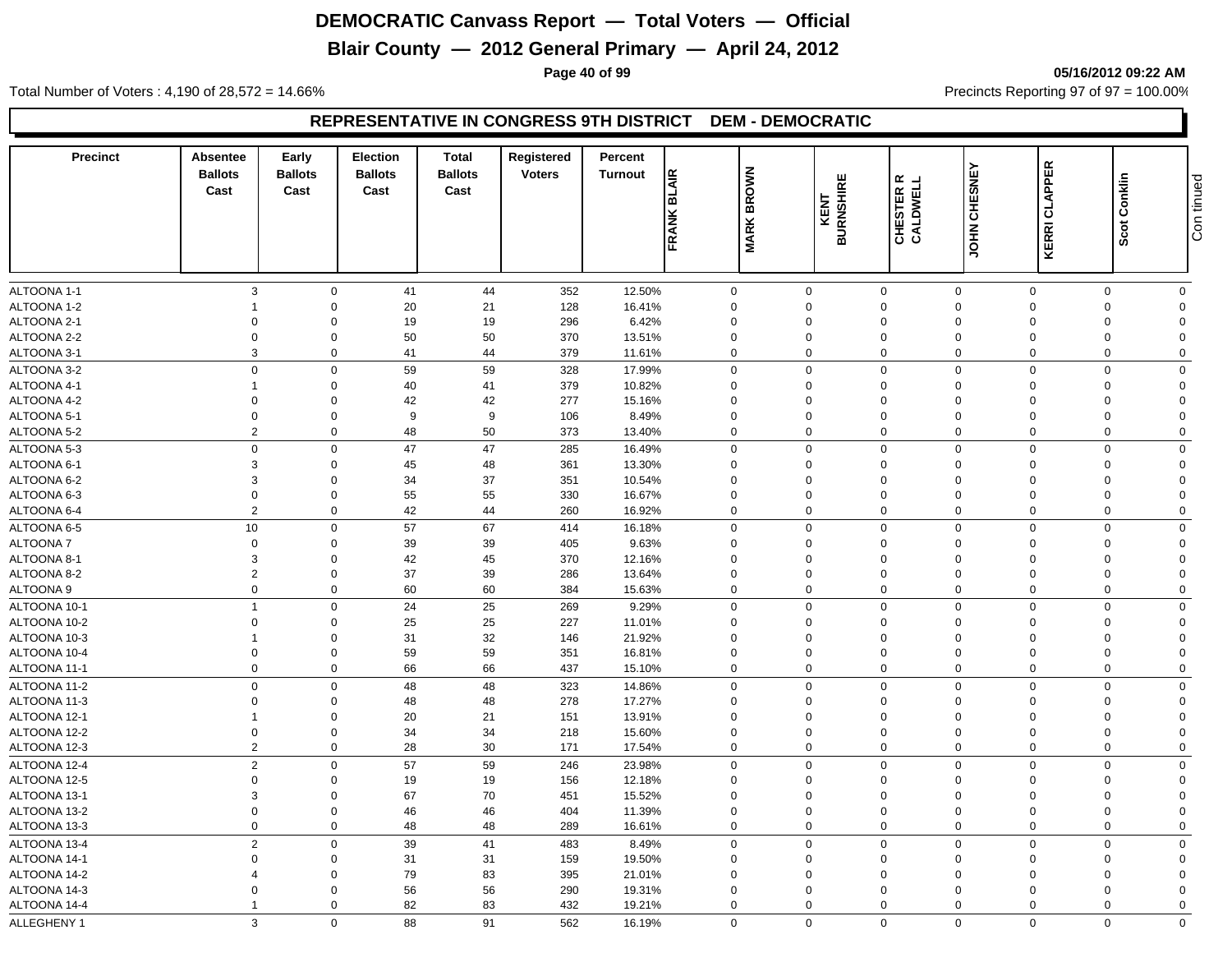# **Blair County — 2012 General Primary — April 24, 2012**

**Page 40 of 99 05/16/2012 09:22 AM**

Total Number of Voters : 4,190 of 28,572 = 14.66% Precincts Reporting 97 of 97 = 100.00%

| ALTOONA 1-1<br>3<br>41<br>352<br>12.50%<br>$\mathbf 0$<br>44<br>0<br>$\mathbf 0$<br>$\mathbf 0$<br>$\mathbf 0$<br>$\mathbf 0$<br>0<br>$\mathbf 0$<br>21<br>16.41%<br>ALTOONA 1-2<br>$\Omega$<br>20<br>128<br>$\mathbf 0$<br>0<br>$\mathbf 0$<br>$\Omega$<br>$\Omega$<br>$\mathbf 0$<br>$\Omega$<br>$\overline{1}$<br>19<br>ALTOONA 2-1<br>$\mathbf 0$<br>$\Omega$<br>19<br>296<br>6.42%<br>0<br>$\mathbf 0$<br>$\Omega$<br>$\mathbf 0$<br>$\Omega$<br>$\mathbf 0$<br>$\Omega$<br>50<br>ALTOONA 2-2<br>$\overline{0}$<br>$\Omega$<br>50<br>370<br>13.51%<br>$\Omega$<br>0<br>$\Omega$<br>$\Omega$<br>$\mathbf 0$<br>$\Omega$<br>$\Omega$<br>ALTOONA 3-1<br>3<br>$\mathbf 0$<br>41<br>44<br>379<br>11.61%<br>$\mathbf 0$<br>$\mathbf 0$<br>$\mathbf 0$<br>$\Omega$<br>$\mathbf 0$<br>$\mathbf 0$<br>$\mathbf 0$<br>59<br>ALTOONA 3-2<br>$\mathbf 0$<br>$\Omega$<br>59<br>328<br>17.99%<br>0<br>$\mathbf 0$<br>$\mathbf 0$<br>$\Omega$<br>$\Omega$<br>$\Omega$<br>$\Omega$<br>ALTOONA 4-1<br>$\Omega$<br>40<br>41<br>379<br>10.82%<br>$\mathbf 0$<br>$\mathbf 0$<br>$\Omega$<br>$\Omega$<br>$\overline{1}$<br>0<br>$\Omega$<br>$\Omega$<br>42<br>ALTOONA 4-2<br>$\Omega$<br>$\Omega$<br>42<br>277<br>15.16%<br>$\Omega$<br>$\Omega$<br>$\Omega$<br>$\Omega$<br>$\Omega$<br>$\Omega$<br>$\Omega$<br>$\Omega$<br>9<br>ALTOONA 5-1<br>$\Omega$<br>9<br>106<br>8.49%<br>$\mathbf 0$<br>$\Omega$<br>$\Omega$<br>$\Omega$<br>$\Omega$<br>$\Omega$<br>$\Omega$<br>$\overline{2}$<br>$\mathbf 0$<br>48<br>50<br>373<br>$\mathbf 0$<br>$\mathbf 0$<br>$\mathbf 0$<br>$\mathbf 0$<br>$\mathbf 0$<br>13.40%<br>$\mathbf 0$<br>$\mathbf 0$<br>$\mathbf 0$<br>47<br>ALTOONA 5-3<br>$\mathbf 0$<br>47<br>285<br>16.49%<br>$\mathbf 0$<br>$\mathbf 0$<br>$\mathbf 0$<br>$\mathbf 0$<br>$\Omega$<br>$\mathbf 0$<br>$\Omega$<br>3<br>45<br>48<br>$\Omega$<br>361<br>13.30%<br>$\Omega$<br>$\Omega$<br>$\Omega$<br>$\Omega$<br>$\Omega$<br>$\Omega$<br>$\Omega$<br>3<br>37<br>ALTOONA 6-2<br>$\Omega$<br>34<br>351<br>10.54%<br>$\mathbf 0$<br>$\Omega$<br>$\Omega$<br>$\Omega$<br>$\Omega$<br>$\Omega$<br>$\Omega$<br>ALTOONA 6-3<br>$\overline{0}$<br>$\Omega$<br>55<br>55<br>$\mathbf 0$<br>330<br>16.67%<br>$\mathbf 0$<br>$\Omega$<br>$\Omega$<br>$\Omega$<br>$\Omega$<br>$\Omega$<br>$\overline{2}$<br>$\mathbf 0$<br>42<br>44<br>260<br>16.92%<br>$\mathbf 0$<br>$\mathbf 0$<br>$\mathbf 0$<br>$\Omega$<br>$\Omega$<br>$\mathbf 0$<br>$\mathbf 0$<br>57<br>10<br>$\mathbf 0$<br>67<br>$\mathbf 0$<br>ALTOONA 6-5<br>414<br>16.18%<br>$\mathbf 0$<br>$\mathbf 0$<br>$\mathbf 0$<br>$\mathbf 0$<br>$\Omega$<br>$\Omega$<br>39<br>$\mathbf 0$<br>$\Omega$<br>39<br>$\mathbf 0$<br>$\mathbf 0$<br>$\Omega$<br>405<br>9.63%<br>$\mathbf 0$<br>$\Omega$<br>$\Omega$<br>$\Omega$<br>42<br>45<br>3<br>$\Omega$<br>370<br>$\Omega$<br>$\Omega$<br>$\Omega$<br>12.16%<br>$\Omega$<br>$\Omega$<br>$\Omega$<br>$\Omega$<br>39<br>$\overline{2}$<br>$\Omega$<br>37<br>286<br>13.64%<br>$\mathbf 0$<br>$\mathbf 0$<br>$\Omega$<br>$\Omega$<br>$\mathbf 0$<br>$\Omega$<br>$\Omega$<br>$\mathbf 0$<br>$\mathbf 0$<br>60<br>60<br>384<br>15.63%<br>$\mathbf 0$<br>$\mathbf 0$<br>$\mathbf 0$<br>$\mathbf 0$<br>$\mathbf 0$<br>$\Omega$<br>$\Omega$<br>24<br>25<br>$\mathbf 0$<br>$\overline{1}$<br>$\Omega$<br>9.29%<br>$\mathbf 0$<br>$\mathbf 0$<br>$\mathbf 0$<br>$\mathbf 0$<br>$\mathbf 0$<br>269<br>$\mathbf 0$<br>25<br>25<br>$\mathbf 0$<br>227<br>$\Omega$<br>$\Omega$<br>11.01%<br>$\Omega$<br>$\mathbf 0$<br>$\Omega$<br>$\Omega$<br>$\Omega$<br>$\Omega$<br>31<br>32<br>21.92%<br>$\overline{0}$<br>$\Omega$<br>146<br>$\mathbf 0$<br>$\mathbf 0$<br>$\mathbf 0$<br>$\Omega$<br>$\Omega$<br>$\overline{1}$<br>$\Omega$<br>59<br>59<br>$\mathbf 0$<br>$\Omega$<br>351<br>16.81%<br>$\mathbf 0$<br>$\mathbf 0$<br>$\mathbf 0$<br>$\mathbf 0$<br>$\Omega$<br>$\mathbf 0$<br>$\Omega$<br>$\mathbf 0$<br>$\mathbf 0$<br>66<br>66<br>437<br>15.10%<br>$\mathbf 0$<br>$\mathbf 0$<br>$\mathbf 0$<br>$\mathbf 0$<br>$\mathbf 0$<br>$\mathbf 0$<br>$\mathbf 0$<br>$\mathbf 0$<br>$\mathbf 0$<br>$\Omega$<br>48<br>48<br>323<br>$\mathbf 0$<br>$\mathbf 0$<br>$\Omega$<br>$\Omega$<br>$\Omega$<br>14.86%<br>$\Omega$<br>$\Omega$<br>48<br>48<br>278<br>$\Omega$<br>17.27%<br>$\mathbf 0$<br>$\Omega$<br>$\Omega$<br>$\Omega$<br>$\Omega$<br>$\Omega$<br>$\Omega$<br>20<br>21<br>$\Omega$<br>151<br>13.91%<br>$\mathbf 0$<br>$\Omega$<br>$\Omega$<br>$\Omega$<br>$\Omega$<br>$\Omega$<br>$\Omega$<br>-1<br>$\mathbf 0$<br>34<br>34<br>$\Omega$<br>218<br>15.60%<br>$\mathbf 0$<br>$\mathbf 0$<br>$\mathbf 0$<br>$\mathbf 0$<br>$\Omega$<br>$\mathbf 0$<br>$\Omega$<br>$\overline{2}$<br>30<br>$\mathbf 0$<br>28<br>171<br>17.54%<br>$\mathbf 0$<br>$\mathbf 0$<br>$\mathbf 0$<br>$\mathbf 0$<br>$\mathbf 0$<br>$\mathbf 0$<br>$\mathbf 0$<br>$\overline{2}$<br>$\mathbf 0$<br>57<br>59<br>$\mathbf 0$<br>$\mathbf 0$<br>$\mathbf 0$<br>$\mathbf 0$<br>246<br>23.98%<br>$\Omega$<br>$\Omega$<br>$\mathbf 0$<br>$\overline{0}$<br>$\Omega$<br>19<br>19<br>156<br>12.18%<br>$\mathbf 0$<br>$\mathbf 0$<br>$\Omega$<br>$\Omega$<br>$\Omega$<br>$\Omega$<br>$\Omega$<br>70<br>3<br>$\Omega$<br>67<br>451<br>15.52%<br>$\mathbf 0$<br>$\Omega$<br>$\Omega$<br>$\Omega$<br>$\mathbf{0}$<br>$\Omega$<br>$\Omega$<br>$\Omega$<br>$\Omega$<br>46<br>46<br>404<br>11.39%<br>$\mathbf 0$<br>$\Omega$<br>$\mathbf 0$<br>$\Omega$<br>$\Omega$<br>$\Omega$<br>$\Omega$<br>$\mathbf 0$<br>$\mathbf 0$<br>48<br>48<br>16.61%<br>$\mathbf 0$<br>$\mathbf 0$<br>$\Omega$<br>$\Omega$<br>$\mathbf 0$<br>289<br>0<br>$\Omega$<br>$\overline{2}$<br>$\mathbf 0$<br>39<br>$\mathsf 0$<br>41<br>483<br>8.49%<br>$\mathbf 0$<br>$\mathbf 0$<br>$\Omega$<br>$\Omega$<br>$\mathbf 0$<br>$\mathbf 0$<br>$\Omega$<br>$\Omega$<br>31<br>31<br>159<br>19.50%<br>$\mathbf 0$<br>$\mathbf 0$<br>$\Omega$<br>$\Omega$<br>$\Omega$<br>$\Omega$<br>$\Omega$<br>79<br>83<br>395<br>21.01%<br>$\Omega$<br>$\mathbf 0$<br>$\Omega$<br>$\Omega$<br>$\Omega$<br>$\Omega$<br>$\Omega$<br>$\Omega$<br>56<br>56<br>$\Omega$<br>$\Omega$<br>290<br>19.31%<br>$\Omega$<br>$\Omega$<br>$\Omega$<br>$\Omega$<br>$\Omega$<br>$\Omega$<br>$\Omega$<br>83<br>$\Omega$<br>82<br>432<br>$\mathbf 0$<br>19.21%<br>$\mathbf 0$<br>$\Omega$<br>$\Omega$<br>$\Omega$<br>$\Omega$<br>$\Omega$<br>3<br>$\mathbf 0$<br>88<br>91<br>$\mathbf 0$<br>$\mathbf 0$<br>$\mathbf 0$<br>562<br>16.19%<br>$\mathbf 0$<br>$\mathbf 0$<br>$\mathbf 0$<br>$\mathbf 0$ | <b>Precinct</b> | Absentee<br><b>Ballots</b><br>Cast | Early<br><b>Ballots</b><br>Cast | Election<br><b>Ballots</b><br>Cast | <b>Total</b><br><b>Ballots</b><br>Cast | Registered<br><b>Voters</b> | Percent<br><b>Turnout</b> | l≆<br>ᆸ<br>FRANK | <b>BROWN</b><br><b>MARK</b> | <b>KENT</b><br>BURNSHIRE | <b>CHESTER R<br/>CALDWELL</b> | CHESNEY<br><b>NHOL</b> | <b>CLAPPER</b><br><b>KERRI</b> | Conklin<br>Scot | Con tinued |
|-----------------------------------------------------------------------------------------------------------------------------------------------------------------------------------------------------------------------------------------------------------------------------------------------------------------------------------------------------------------------------------------------------------------------------------------------------------------------------------------------------------------------------------------------------------------------------------------------------------------------------------------------------------------------------------------------------------------------------------------------------------------------------------------------------------------------------------------------------------------------------------------------------------------------------------------------------------------------------------------------------------------------------------------------------------------------------------------------------------------------------------------------------------------------------------------------------------------------------------------------------------------------------------------------------------------------------------------------------------------------------------------------------------------------------------------------------------------------------------------------------------------------------------------------------------------------------------------------------------------------------------------------------------------------------------------------------------------------------------------------------------------------------------------------------------------------------------------------------------------------------------------------------------------------------------------------------------------------------------------------------------------------------------------------------------------------------------------------------------------------------------------------------------------------------------------------------------------------------------------------------------------------------------------------------------------------------------------------------------------------------------------------------------------------------------------------------------------------------------------------------------------------------------------------------------------------------------------------------------------------------------------------------------------------------------------------------------------------------------------------------------------------------------------------------------------------------------------------------------------------------------------------------------------------------------------------------------------------------------------------------------------------------------------------------------------------------------------------------------------------------------------------------------------------------------------------------------------------------------------------------------------------------------------------------------------------------------------------------------------------------------------------------------------------------------------------------------------------------------------------------------------------------------------------------------------------------------------------------------------------------------------------------------------------------------------------------------------------------------------------------------------------------------------------------------------------------------------------------------------------------------------------------------------------------------------------------------------------------------------------------------------------------------------------------------------------------------------------------------------------------------------------------------------------------------------------------------------------------------------------------------------------------------------------------------------------------------------------------------------------------------------------------------------------------------------------------------------------------------------------------------------------------------------------------------------------------------------------------------------------------------------------------------------------------------------------------------------------------------------------------------------------------------------------------------------------------------------------------------------------------------------------------------------------------------------------------------------------------------------------------------------------------------------------------------------------------------------------------------------------------------------------------------------------------------------------------------------------------------------------------------------------------------------------------------------------------------------------------------------------------------------------------------------------------------------------------------------------------------------------------------------------------------------------------------------------------------------------------------------------------------------------------------------------------------------------------------------------------------------------------------------------------------------------------------------------------------------------------------------------------------------------------------------------------------------------------------------------------------------------------------------------------------------------------------------------------------------------------------------------------------------------------------------------------------------------------------------------------------------------------------------------------------------------------------------------------------------------------------------------------------------------------------------------------------------------------------------|-----------------|------------------------------------|---------------------------------|------------------------------------|----------------------------------------|-----------------------------|---------------------------|------------------|-----------------------------|--------------------------|-------------------------------|------------------------|--------------------------------|-----------------|------------|
|                                                                                                                                                                                                                                                                                                                                                                                                                                                                                                                                                                                                                                                                                                                                                                                                                                                                                                                                                                                                                                                                                                                                                                                                                                                                                                                                                                                                                                                                                                                                                                                                                                                                                                                                                                                                                                                                                                                                                                                                                                                                                                                                                                                                                                                                                                                                                                                                                                                                                                                                                                                                                                                                                                                                                                                                                                                                                                                                                                                                                                                                                                                                                                                                                                                                                                                                                                                                                                                                                                                                                                                                                                                                                                                                                                                                                                                                                                                                                                                                                                                                                                                                                                                                                                                                                                                                                                                                                                                                                                                                                                                                                                                                                                                                                                                                                                                                                                                                                                                                                                                                                                                                                                                                                                                                                                                                                                                                                                                                                                                                                                                                                                                                                                                                                                                                                                                                                                                                                                                                                                                                                                                                                                                                                                                                                                                                                                                                                                                                 |                 |                                    |                                 |                                    |                                        |                             |                           |                  |                             |                          |                               |                        |                                |                 |            |
|                                                                                                                                                                                                                                                                                                                                                                                                                                                                                                                                                                                                                                                                                                                                                                                                                                                                                                                                                                                                                                                                                                                                                                                                                                                                                                                                                                                                                                                                                                                                                                                                                                                                                                                                                                                                                                                                                                                                                                                                                                                                                                                                                                                                                                                                                                                                                                                                                                                                                                                                                                                                                                                                                                                                                                                                                                                                                                                                                                                                                                                                                                                                                                                                                                                                                                                                                                                                                                                                                                                                                                                                                                                                                                                                                                                                                                                                                                                                                                                                                                                                                                                                                                                                                                                                                                                                                                                                                                                                                                                                                                                                                                                                                                                                                                                                                                                                                                                                                                                                                                                                                                                                                                                                                                                                                                                                                                                                                                                                                                                                                                                                                                                                                                                                                                                                                                                                                                                                                                                                                                                                                                                                                                                                                                                                                                                                                                                                                                                                 |                 |                                    |                                 |                                    |                                        |                             |                           |                  |                             |                          |                               |                        |                                |                 |            |
|                                                                                                                                                                                                                                                                                                                                                                                                                                                                                                                                                                                                                                                                                                                                                                                                                                                                                                                                                                                                                                                                                                                                                                                                                                                                                                                                                                                                                                                                                                                                                                                                                                                                                                                                                                                                                                                                                                                                                                                                                                                                                                                                                                                                                                                                                                                                                                                                                                                                                                                                                                                                                                                                                                                                                                                                                                                                                                                                                                                                                                                                                                                                                                                                                                                                                                                                                                                                                                                                                                                                                                                                                                                                                                                                                                                                                                                                                                                                                                                                                                                                                                                                                                                                                                                                                                                                                                                                                                                                                                                                                                                                                                                                                                                                                                                                                                                                                                                                                                                                                                                                                                                                                                                                                                                                                                                                                                                                                                                                                                                                                                                                                                                                                                                                                                                                                                                                                                                                                                                                                                                                                                                                                                                                                                                                                                                                                                                                                                                                 |                 |                                    |                                 |                                    |                                        |                             |                           |                  |                             |                          |                               |                        |                                |                 |            |
|                                                                                                                                                                                                                                                                                                                                                                                                                                                                                                                                                                                                                                                                                                                                                                                                                                                                                                                                                                                                                                                                                                                                                                                                                                                                                                                                                                                                                                                                                                                                                                                                                                                                                                                                                                                                                                                                                                                                                                                                                                                                                                                                                                                                                                                                                                                                                                                                                                                                                                                                                                                                                                                                                                                                                                                                                                                                                                                                                                                                                                                                                                                                                                                                                                                                                                                                                                                                                                                                                                                                                                                                                                                                                                                                                                                                                                                                                                                                                                                                                                                                                                                                                                                                                                                                                                                                                                                                                                                                                                                                                                                                                                                                                                                                                                                                                                                                                                                                                                                                                                                                                                                                                                                                                                                                                                                                                                                                                                                                                                                                                                                                                                                                                                                                                                                                                                                                                                                                                                                                                                                                                                                                                                                                                                                                                                                                                                                                                                                                 |                 |                                    |                                 |                                    |                                        |                             |                           |                  |                             |                          |                               |                        |                                |                 |            |
|                                                                                                                                                                                                                                                                                                                                                                                                                                                                                                                                                                                                                                                                                                                                                                                                                                                                                                                                                                                                                                                                                                                                                                                                                                                                                                                                                                                                                                                                                                                                                                                                                                                                                                                                                                                                                                                                                                                                                                                                                                                                                                                                                                                                                                                                                                                                                                                                                                                                                                                                                                                                                                                                                                                                                                                                                                                                                                                                                                                                                                                                                                                                                                                                                                                                                                                                                                                                                                                                                                                                                                                                                                                                                                                                                                                                                                                                                                                                                                                                                                                                                                                                                                                                                                                                                                                                                                                                                                                                                                                                                                                                                                                                                                                                                                                                                                                                                                                                                                                                                                                                                                                                                                                                                                                                                                                                                                                                                                                                                                                                                                                                                                                                                                                                                                                                                                                                                                                                                                                                                                                                                                                                                                                                                                                                                                                                                                                                                                                                 |                 |                                    |                                 |                                    |                                        |                             |                           |                  |                             |                          |                               |                        |                                |                 |            |
|                                                                                                                                                                                                                                                                                                                                                                                                                                                                                                                                                                                                                                                                                                                                                                                                                                                                                                                                                                                                                                                                                                                                                                                                                                                                                                                                                                                                                                                                                                                                                                                                                                                                                                                                                                                                                                                                                                                                                                                                                                                                                                                                                                                                                                                                                                                                                                                                                                                                                                                                                                                                                                                                                                                                                                                                                                                                                                                                                                                                                                                                                                                                                                                                                                                                                                                                                                                                                                                                                                                                                                                                                                                                                                                                                                                                                                                                                                                                                                                                                                                                                                                                                                                                                                                                                                                                                                                                                                                                                                                                                                                                                                                                                                                                                                                                                                                                                                                                                                                                                                                                                                                                                                                                                                                                                                                                                                                                                                                                                                                                                                                                                                                                                                                                                                                                                                                                                                                                                                                                                                                                                                                                                                                                                                                                                                                                                                                                                                                                 |                 |                                    |                                 |                                    |                                        |                             |                           |                  |                             |                          |                               |                        |                                |                 |            |
|                                                                                                                                                                                                                                                                                                                                                                                                                                                                                                                                                                                                                                                                                                                                                                                                                                                                                                                                                                                                                                                                                                                                                                                                                                                                                                                                                                                                                                                                                                                                                                                                                                                                                                                                                                                                                                                                                                                                                                                                                                                                                                                                                                                                                                                                                                                                                                                                                                                                                                                                                                                                                                                                                                                                                                                                                                                                                                                                                                                                                                                                                                                                                                                                                                                                                                                                                                                                                                                                                                                                                                                                                                                                                                                                                                                                                                                                                                                                                                                                                                                                                                                                                                                                                                                                                                                                                                                                                                                                                                                                                                                                                                                                                                                                                                                                                                                                                                                                                                                                                                                                                                                                                                                                                                                                                                                                                                                                                                                                                                                                                                                                                                                                                                                                                                                                                                                                                                                                                                                                                                                                                                                                                                                                                                                                                                                                                                                                                                                                 |                 |                                    |                                 |                                    |                                        |                             |                           |                  |                             |                          |                               |                        |                                |                 |            |
|                                                                                                                                                                                                                                                                                                                                                                                                                                                                                                                                                                                                                                                                                                                                                                                                                                                                                                                                                                                                                                                                                                                                                                                                                                                                                                                                                                                                                                                                                                                                                                                                                                                                                                                                                                                                                                                                                                                                                                                                                                                                                                                                                                                                                                                                                                                                                                                                                                                                                                                                                                                                                                                                                                                                                                                                                                                                                                                                                                                                                                                                                                                                                                                                                                                                                                                                                                                                                                                                                                                                                                                                                                                                                                                                                                                                                                                                                                                                                                                                                                                                                                                                                                                                                                                                                                                                                                                                                                                                                                                                                                                                                                                                                                                                                                                                                                                                                                                                                                                                                                                                                                                                                                                                                                                                                                                                                                                                                                                                                                                                                                                                                                                                                                                                                                                                                                                                                                                                                                                                                                                                                                                                                                                                                                                                                                                                                                                                                                                                 |                 |                                    |                                 |                                    |                                        |                             |                           |                  |                             |                          |                               |                        |                                |                 |            |
|                                                                                                                                                                                                                                                                                                                                                                                                                                                                                                                                                                                                                                                                                                                                                                                                                                                                                                                                                                                                                                                                                                                                                                                                                                                                                                                                                                                                                                                                                                                                                                                                                                                                                                                                                                                                                                                                                                                                                                                                                                                                                                                                                                                                                                                                                                                                                                                                                                                                                                                                                                                                                                                                                                                                                                                                                                                                                                                                                                                                                                                                                                                                                                                                                                                                                                                                                                                                                                                                                                                                                                                                                                                                                                                                                                                                                                                                                                                                                                                                                                                                                                                                                                                                                                                                                                                                                                                                                                                                                                                                                                                                                                                                                                                                                                                                                                                                                                                                                                                                                                                                                                                                                                                                                                                                                                                                                                                                                                                                                                                                                                                                                                                                                                                                                                                                                                                                                                                                                                                                                                                                                                                                                                                                                                                                                                                                                                                                                                                                 |                 |                                    |                                 |                                    |                                        |                             |                           |                  |                             |                          |                               |                        |                                |                 |            |
|                                                                                                                                                                                                                                                                                                                                                                                                                                                                                                                                                                                                                                                                                                                                                                                                                                                                                                                                                                                                                                                                                                                                                                                                                                                                                                                                                                                                                                                                                                                                                                                                                                                                                                                                                                                                                                                                                                                                                                                                                                                                                                                                                                                                                                                                                                                                                                                                                                                                                                                                                                                                                                                                                                                                                                                                                                                                                                                                                                                                                                                                                                                                                                                                                                                                                                                                                                                                                                                                                                                                                                                                                                                                                                                                                                                                                                                                                                                                                                                                                                                                                                                                                                                                                                                                                                                                                                                                                                                                                                                                                                                                                                                                                                                                                                                                                                                                                                                                                                                                                                                                                                                                                                                                                                                                                                                                                                                                                                                                                                                                                                                                                                                                                                                                                                                                                                                                                                                                                                                                                                                                                                                                                                                                                                                                                                                                                                                                                                                                 | ALTOONA 5-2     |                                    |                                 |                                    |                                        |                             |                           |                  |                             |                          |                               |                        |                                |                 |            |
|                                                                                                                                                                                                                                                                                                                                                                                                                                                                                                                                                                                                                                                                                                                                                                                                                                                                                                                                                                                                                                                                                                                                                                                                                                                                                                                                                                                                                                                                                                                                                                                                                                                                                                                                                                                                                                                                                                                                                                                                                                                                                                                                                                                                                                                                                                                                                                                                                                                                                                                                                                                                                                                                                                                                                                                                                                                                                                                                                                                                                                                                                                                                                                                                                                                                                                                                                                                                                                                                                                                                                                                                                                                                                                                                                                                                                                                                                                                                                                                                                                                                                                                                                                                                                                                                                                                                                                                                                                                                                                                                                                                                                                                                                                                                                                                                                                                                                                                                                                                                                                                                                                                                                                                                                                                                                                                                                                                                                                                                                                                                                                                                                                                                                                                                                                                                                                                                                                                                                                                                                                                                                                                                                                                                                                                                                                                                                                                                                                                                 |                 |                                    |                                 |                                    |                                        |                             |                           |                  |                             |                          |                               |                        |                                |                 |            |
|                                                                                                                                                                                                                                                                                                                                                                                                                                                                                                                                                                                                                                                                                                                                                                                                                                                                                                                                                                                                                                                                                                                                                                                                                                                                                                                                                                                                                                                                                                                                                                                                                                                                                                                                                                                                                                                                                                                                                                                                                                                                                                                                                                                                                                                                                                                                                                                                                                                                                                                                                                                                                                                                                                                                                                                                                                                                                                                                                                                                                                                                                                                                                                                                                                                                                                                                                                                                                                                                                                                                                                                                                                                                                                                                                                                                                                                                                                                                                                                                                                                                                                                                                                                                                                                                                                                                                                                                                                                                                                                                                                                                                                                                                                                                                                                                                                                                                                                                                                                                                                                                                                                                                                                                                                                                                                                                                                                                                                                                                                                                                                                                                                                                                                                                                                                                                                                                                                                                                                                                                                                                                                                                                                                                                                                                                                                                                                                                                                                                 | ALTOONA 6-1     |                                    |                                 |                                    |                                        |                             |                           |                  |                             |                          |                               |                        |                                |                 |            |
|                                                                                                                                                                                                                                                                                                                                                                                                                                                                                                                                                                                                                                                                                                                                                                                                                                                                                                                                                                                                                                                                                                                                                                                                                                                                                                                                                                                                                                                                                                                                                                                                                                                                                                                                                                                                                                                                                                                                                                                                                                                                                                                                                                                                                                                                                                                                                                                                                                                                                                                                                                                                                                                                                                                                                                                                                                                                                                                                                                                                                                                                                                                                                                                                                                                                                                                                                                                                                                                                                                                                                                                                                                                                                                                                                                                                                                                                                                                                                                                                                                                                                                                                                                                                                                                                                                                                                                                                                                                                                                                                                                                                                                                                                                                                                                                                                                                                                                                                                                                                                                                                                                                                                                                                                                                                                                                                                                                                                                                                                                                                                                                                                                                                                                                                                                                                                                                                                                                                                                                                                                                                                                                                                                                                                                                                                                                                                                                                                                                                 |                 |                                    |                                 |                                    |                                        |                             |                           |                  |                             |                          |                               |                        |                                |                 |            |
|                                                                                                                                                                                                                                                                                                                                                                                                                                                                                                                                                                                                                                                                                                                                                                                                                                                                                                                                                                                                                                                                                                                                                                                                                                                                                                                                                                                                                                                                                                                                                                                                                                                                                                                                                                                                                                                                                                                                                                                                                                                                                                                                                                                                                                                                                                                                                                                                                                                                                                                                                                                                                                                                                                                                                                                                                                                                                                                                                                                                                                                                                                                                                                                                                                                                                                                                                                                                                                                                                                                                                                                                                                                                                                                                                                                                                                                                                                                                                                                                                                                                                                                                                                                                                                                                                                                                                                                                                                                                                                                                                                                                                                                                                                                                                                                                                                                                                                                                                                                                                                                                                                                                                                                                                                                                                                                                                                                                                                                                                                                                                                                                                                                                                                                                                                                                                                                                                                                                                                                                                                                                                                                                                                                                                                                                                                                                                                                                                                                                 |                 |                                    |                                 |                                    |                                        |                             |                           |                  |                             |                          |                               |                        |                                |                 |            |
|                                                                                                                                                                                                                                                                                                                                                                                                                                                                                                                                                                                                                                                                                                                                                                                                                                                                                                                                                                                                                                                                                                                                                                                                                                                                                                                                                                                                                                                                                                                                                                                                                                                                                                                                                                                                                                                                                                                                                                                                                                                                                                                                                                                                                                                                                                                                                                                                                                                                                                                                                                                                                                                                                                                                                                                                                                                                                                                                                                                                                                                                                                                                                                                                                                                                                                                                                                                                                                                                                                                                                                                                                                                                                                                                                                                                                                                                                                                                                                                                                                                                                                                                                                                                                                                                                                                                                                                                                                                                                                                                                                                                                                                                                                                                                                                                                                                                                                                                                                                                                                                                                                                                                                                                                                                                                                                                                                                                                                                                                                                                                                                                                                                                                                                                                                                                                                                                                                                                                                                                                                                                                                                                                                                                                                                                                                                                                                                                                                                                 | ALTOONA 6-4     |                                    |                                 |                                    |                                        |                             |                           |                  |                             |                          |                               |                        |                                |                 |            |
|                                                                                                                                                                                                                                                                                                                                                                                                                                                                                                                                                                                                                                                                                                                                                                                                                                                                                                                                                                                                                                                                                                                                                                                                                                                                                                                                                                                                                                                                                                                                                                                                                                                                                                                                                                                                                                                                                                                                                                                                                                                                                                                                                                                                                                                                                                                                                                                                                                                                                                                                                                                                                                                                                                                                                                                                                                                                                                                                                                                                                                                                                                                                                                                                                                                                                                                                                                                                                                                                                                                                                                                                                                                                                                                                                                                                                                                                                                                                                                                                                                                                                                                                                                                                                                                                                                                                                                                                                                                                                                                                                                                                                                                                                                                                                                                                                                                                                                                                                                                                                                                                                                                                                                                                                                                                                                                                                                                                                                                                                                                                                                                                                                                                                                                                                                                                                                                                                                                                                                                                                                                                                                                                                                                                                                                                                                                                                                                                                                                                 |                 |                                    |                                 |                                    |                                        |                             |                           |                  |                             |                          |                               |                        |                                |                 |            |
|                                                                                                                                                                                                                                                                                                                                                                                                                                                                                                                                                                                                                                                                                                                                                                                                                                                                                                                                                                                                                                                                                                                                                                                                                                                                                                                                                                                                                                                                                                                                                                                                                                                                                                                                                                                                                                                                                                                                                                                                                                                                                                                                                                                                                                                                                                                                                                                                                                                                                                                                                                                                                                                                                                                                                                                                                                                                                                                                                                                                                                                                                                                                                                                                                                                                                                                                                                                                                                                                                                                                                                                                                                                                                                                                                                                                                                                                                                                                                                                                                                                                                                                                                                                                                                                                                                                                                                                                                                                                                                                                                                                                                                                                                                                                                                                                                                                                                                                                                                                                                                                                                                                                                                                                                                                                                                                                                                                                                                                                                                                                                                                                                                                                                                                                                                                                                                                                                                                                                                                                                                                                                                                                                                                                                                                                                                                                                                                                                                                                 | <b>ALTOONA7</b> |                                    |                                 |                                    |                                        |                             |                           |                  |                             |                          |                               |                        |                                |                 |            |
|                                                                                                                                                                                                                                                                                                                                                                                                                                                                                                                                                                                                                                                                                                                                                                                                                                                                                                                                                                                                                                                                                                                                                                                                                                                                                                                                                                                                                                                                                                                                                                                                                                                                                                                                                                                                                                                                                                                                                                                                                                                                                                                                                                                                                                                                                                                                                                                                                                                                                                                                                                                                                                                                                                                                                                                                                                                                                                                                                                                                                                                                                                                                                                                                                                                                                                                                                                                                                                                                                                                                                                                                                                                                                                                                                                                                                                                                                                                                                                                                                                                                                                                                                                                                                                                                                                                                                                                                                                                                                                                                                                                                                                                                                                                                                                                                                                                                                                                                                                                                                                                                                                                                                                                                                                                                                                                                                                                                                                                                                                                                                                                                                                                                                                                                                                                                                                                                                                                                                                                                                                                                                                                                                                                                                                                                                                                                                                                                                                                                 | ALTOONA 8-1     |                                    |                                 |                                    |                                        |                             |                           |                  |                             |                          |                               |                        |                                |                 |            |
|                                                                                                                                                                                                                                                                                                                                                                                                                                                                                                                                                                                                                                                                                                                                                                                                                                                                                                                                                                                                                                                                                                                                                                                                                                                                                                                                                                                                                                                                                                                                                                                                                                                                                                                                                                                                                                                                                                                                                                                                                                                                                                                                                                                                                                                                                                                                                                                                                                                                                                                                                                                                                                                                                                                                                                                                                                                                                                                                                                                                                                                                                                                                                                                                                                                                                                                                                                                                                                                                                                                                                                                                                                                                                                                                                                                                                                                                                                                                                                                                                                                                                                                                                                                                                                                                                                                                                                                                                                                                                                                                                                                                                                                                                                                                                                                                                                                                                                                                                                                                                                                                                                                                                                                                                                                                                                                                                                                                                                                                                                                                                                                                                                                                                                                                                                                                                                                                                                                                                                                                                                                                                                                                                                                                                                                                                                                                                                                                                                                                 | ALTOONA 8-2     |                                    |                                 |                                    |                                        |                             |                           |                  |                             |                          |                               |                        |                                |                 |            |
|                                                                                                                                                                                                                                                                                                                                                                                                                                                                                                                                                                                                                                                                                                                                                                                                                                                                                                                                                                                                                                                                                                                                                                                                                                                                                                                                                                                                                                                                                                                                                                                                                                                                                                                                                                                                                                                                                                                                                                                                                                                                                                                                                                                                                                                                                                                                                                                                                                                                                                                                                                                                                                                                                                                                                                                                                                                                                                                                                                                                                                                                                                                                                                                                                                                                                                                                                                                                                                                                                                                                                                                                                                                                                                                                                                                                                                                                                                                                                                                                                                                                                                                                                                                                                                                                                                                                                                                                                                                                                                                                                                                                                                                                                                                                                                                                                                                                                                                                                                                                                                                                                                                                                                                                                                                                                                                                                                                                                                                                                                                                                                                                                                                                                                                                                                                                                                                                                                                                                                                                                                                                                                                                                                                                                                                                                                                                                                                                                                                                 | ALTOONA 9       |                                    |                                 |                                    |                                        |                             |                           |                  |                             |                          |                               |                        |                                |                 |            |
|                                                                                                                                                                                                                                                                                                                                                                                                                                                                                                                                                                                                                                                                                                                                                                                                                                                                                                                                                                                                                                                                                                                                                                                                                                                                                                                                                                                                                                                                                                                                                                                                                                                                                                                                                                                                                                                                                                                                                                                                                                                                                                                                                                                                                                                                                                                                                                                                                                                                                                                                                                                                                                                                                                                                                                                                                                                                                                                                                                                                                                                                                                                                                                                                                                                                                                                                                                                                                                                                                                                                                                                                                                                                                                                                                                                                                                                                                                                                                                                                                                                                                                                                                                                                                                                                                                                                                                                                                                                                                                                                                                                                                                                                                                                                                                                                                                                                                                                                                                                                                                                                                                                                                                                                                                                                                                                                                                                                                                                                                                                                                                                                                                                                                                                                                                                                                                                                                                                                                                                                                                                                                                                                                                                                                                                                                                                                                                                                                                                                 | ALTOONA 10-1    |                                    |                                 |                                    |                                        |                             |                           |                  |                             |                          |                               |                        |                                |                 |            |
|                                                                                                                                                                                                                                                                                                                                                                                                                                                                                                                                                                                                                                                                                                                                                                                                                                                                                                                                                                                                                                                                                                                                                                                                                                                                                                                                                                                                                                                                                                                                                                                                                                                                                                                                                                                                                                                                                                                                                                                                                                                                                                                                                                                                                                                                                                                                                                                                                                                                                                                                                                                                                                                                                                                                                                                                                                                                                                                                                                                                                                                                                                                                                                                                                                                                                                                                                                                                                                                                                                                                                                                                                                                                                                                                                                                                                                                                                                                                                                                                                                                                                                                                                                                                                                                                                                                                                                                                                                                                                                                                                                                                                                                                                                                                                                                                                                                                                                                                                                                                                                                                                                                                                                                                                                                                                                                                                                                                                                                                                                                                                                                                                                                                                                                                                                                                                                                                                                                                                                                                                                                                                                                                                                                                                                                                                                                                                                                                                                                                 | ALTOONA 10-2    |                                    |                                 |                                    |                                        |                             |                           |                  |                             |                          |                               |                        |                                |                 |            |
|                                                                                                                                                                                                                                                                                                                                                                                                                                                                                                                                                                                                                                                                                                                                                                                                                                                                                                                                                                                                                                                                                                                                                                                                                                                                                                                                                                                                                                                                                                                                                                                                                                                                                                                                                                                                                                                                                                                                                                                                                                                                                                                                                                                                                                                                                                                                                                                                                                                                                                                                                                                                                                                                                                                                                                                                                                                                                                                                                                                                                                                                                                                                                                                                                                                                                                                                                                                                                                                                                                                                                                                                                                                                                                                                                                                                                                                                                                                                                                                                                                                                                                                                                                                                                                                                                                                                                                                                                                                                                                                                                                                                                                                                                                                                                                                                                                                                                                                                                                                                                                                                                                                                                                                                                                                                                                                                                                                                                                                                                                                                                                                                                                                                                                                                                                                                                                                                                                                                                                                                                                                                                                                                                                                                                                                                                                                                                                                                                                                                 | ALTOONA 10-3    |                                    |                                 |                                    |                                        |                             |                           |                  |                             |                          |                               |                        |                                |                 |            |
|                                                                                                                                                                                                                                                                                                                                                                                                                                                                                                                                                                                                                                                                                                                                                                                                                                                                                                                                                                                                                                                                                                                                                                                                                                                                                                                                                                                                                                                                                                                                                                                                                                                                                                                                                                                                                                                                                                                                                                                                                                                                                                                                                                                                                                                                                                                                                                                                                                                                                                                                                                                                                                                                                                                                                                                                                                                                                                                                                                                                                                                                                                                                                                                                                                                                                                                                                                                                                                                                                                                                                                                                                                                                                                                                                                                                                                                                                                                                                                                                                                                                                                                                                                                                                                                                                                                                                                                                                                                                                                                                                                                                                                                                                                                                                                                                                                                                                                                                                                                                                                                                                                                                                                                                                                                                                                                                                                                                                                                                                                                                                                                                                                                                                                                                                                                                                                                                                                                                                                                                                                                                                                                                                                                                                                                                                                                                                                                                                                                                 | ALTOONA 10-4    |                                    |                                 |                                    |                                        |                             |                           |                  |                             |                          |                               |                        |                                |                 |            |
|                                                                                                                                                                                                                                                                                                                                                                                                                                                                                                                                                                                                                                                                                                                                                                                                                                                                                                                                                                                                                                                                                                                                                                                                                                                                                                                                                                                                                                                                                                                                                                                                                                                                                                                                                                                                                                                                                                                                                                                                                                                                                                                                                                                                                                                                                                                                                                                                                                                                                                                                                                                                                                                                                                                                                                                                                                                                                                                                                                                                                                                                                                                                                                                                                                                                                                                                                                                                                                                                                                                                                                                                                                                                                                                                                                                                                                                                                                                                                                                                                                                                                                                                                                                                                                                                                                                                                                                                                                                                                                                                                                                                                                                                                                                                                                                                                                                                                                                                                                                                                                                                                                                                                                                                                                                                                                                                                                                                                                                                                                                                                                                                                                                                                                                                                                                                                                                                                                                                                                                                                                                                                                                                                                                                                                                                                                                                                                                                                                                                 | ALTOONA 11-1    |                                    |                                 |                                    |                                        |                             |                           |                  |                             |                          |                               |                        |                                |                 |            |
|                                                                                                                                                                                                                                                                                                                                                                                                                                                                                                                                                                                                                                                                                                                                                                                                                                                                                                                                                                                                                                                                                                                                                                                                                                                                                                                                                                                                                                                                                                                                                                                                                                                                                                                                                                                                                                                                                                                                                                                                                                                                                                                                                                                                                                                                                                                                                                                                                                                                                                                                                                                                                                                                                                                                                                                                                                                                                                                                                                                                                                                                                                                                                                                                                                                                                                                                                                                                                                                                                                                                                                                                                                                                                                                                                                                                                                                                                                                                                                                                                                                                                                                                                                                                                                                                                                                                                                                                                                                                                                                                                                                                                                                                                                                                                                                                                                                                                                                                                                                                                                                                                                                                                                                                                                                                                                                                                                                                                                                                                                                                                                                                                                                                                                                                                                                                                                                                                                                                                                                                                                                                                                                                                                                                                                                                                                                                                                                                                                                                 | ALTOONA 11-2    |                                    |                                 |                                    |                                        |                             |                           |                  |                             |                          |                               |                        |                                |                 |            |
|                                                                                                                                                                                                                                                                                                                                                                                                                                                                                                                                                                                                                                                                                                                                                                                                                                                                                                                                                                                                                                                                                                                                                                                                                                                                                                                                                                                                                                                                                                                                                                                                                                                                                                                                                                                                                                                                                                                                                                                                                                                                                                                                                                                                                                                                                                                                                                                                                                                                                                                                                                                                                                                                                                                                                                                                                                                                                                                                                                                                                                                                                                                                                                                                                                                                                                                                                                                                                                                                                                                                                                                                                                                                                                                                                                                                                                                                                                                                                                                                                                                                                                                                                                                                                                                                                                                                                                                                                                                                                                                                                                                                                                                                                                                                                                                                                                                                                                                                                                                                                                                                                                                                                                                                                                                                                                                                                                                                                                                                                                                                                                                                                                                                                                                                                                                                                                                                                                                                                                                                                                                                                                                                                                                                                                                                                                                                                                                                                                                                 | ALTOONA 11-3    |                                    |                                 |                                    |                                        |                             |                           |                  |                             |                          |                               |                        |                                |                 |            |
|                                                                                                                                                                                                                                                                                                                                                                                                                                                                                                                                                                                                                                                                                                                                                                                                                                                                                                                                                                                                                                                                                                                                                                                                                                                                                                                                                                                                                                                                                                                                                                                                                                                                                                                                                                                                                                                                                                                                                                                                                                                                                                                                                                                                                                                                                                                                                                                                                                                                                                                                                                                                                                                                                                                                                                                                                                                                                                                                                                                                                                                                                                                                                                                                                                                                                                                                                                                                                                                                                                                                                                                                                                                                                                                                                                                                                                                                                                                                                                                                                                                                                                                                                                                                                                                                                                                                                                                                                                                                                                                                                                                                                                                                                                                                                                                                                                                                                                                                                                                                                                                                                                                                                                                                                                                                                                                                                                                                                                                                                                                                                                                                                                                                                                                                                                                                                                                                                                                                                                                                                                                                                                                                                                                                                                                                                                                                                                                                                                                                 | ALTOONA 12-1    |                                    |                                 |                                    |                                        |                             |                           |                  |                             |                          |                               |                        |                                |                 |            |
|                                                                                                                                                                                                                                                                                                                                                                                                                                                                                                                                                                                                                                                                                                                                                                                                                                                                                                                                                                                                                                                                                                                                                                                                                                                                                                                                                                                                                                                                                                                                                                                                                                                                                                                                                                                                                                                                                                                                                                                                                                                                                                                                                                                                                                                                                                                                                                                                                                                                                                                                                                                                                                                                                                                                                                                                                                                                                                                                                                                                                                                                                                                                                                                                                                                                                                                                                                                                                                                                                                                                                                                                                                                                                                                                                                                                                                                                                                                                                                                                                                                                                                                                                                                                                                                                                                                                                                                                                                                                                                                                                                                                                                                                                                                                                                                                                                                                                                                                                                                                                                                                                                                                                                                                                                                                                                                                                                                                                                                                                                                                                                                                                                                                                                                                                                                                                                                                                                                                                                                                                                                                                                                                                                                                                                                                                                                                                                                                                                                                 | ALTOONA 12-2    |                                    |                                 |                                    |                                        |                             |                           |                  |                             |                          |                               |                        |                                |                 |            |
|                                                                                                                                                                                                                                                                                                                                                                                                                                                                                                                                                                                                                                                                                                                                                                                                                                                                                                                                                                                                                                                                                                                                                                                                                                                                                                                                                                                                                                                                                                                                                                                                                                                                                                                                                                                                                                                                                                                                                                                                                                                                                                                                                                                                                                                                                                                                                                                                                                                                                                                                                                                                                                                                                                                                                                                                                                                                                                                                                                                                                                                                                                                                                                                                                                                                                                                                                                                                                                                                                                                                                                                                                                                                                                                                                                                                                                                                                                                                                                                                                                                                                                                                                                                                                                                                                                                                                                                                                                                                                                                                                                                                                                                                                                                                                                                                                                                                                                                                                                                                                                                                                                                                                                                                                                                                                                                                                                                                                                                                                                                                                                                                                                                                                                                                                                                                                                                                                                                                                                                                                                                                                                                                                                                                                                                                                                                                                                                                                                                                 | ALTOONA 12-3    |                                    |                                 |                                    |                                        |                             |                           |                  |                             |                          |                               |                        |                                |                 |            |
|                                                                                                                                                                                                                                                                                                                                                                                                                                                                                                                                                                                                                                                                                                                                                                                                                                                                                                                                                                                                                                                                                                                                                                                                                                                                                                                                                                                                                                                                                                                                                                                                                                                                                                                                                                                                                                                                                                                                                                                                                                                                                                                                                                                                                                                                                                                                                                                                                                                                                                                                                                                                                                                                                                                                                                                                                                                                                                                                                                                                                                                                                                                                                                                                                                                                                                                                                                                                                                                                                                                                                                                                                                                                                                                                                                                                                                                                                                                                                                                                                                                                                                                                                                                                                                                                                                                                                                                                                                                                                                                                                                                                                                                                                                                                                                                                                                                                                                                                                                                                                                                                                                                                                                                                                                                                                                                                                                                                                                                                                                                                                                                                                                                                                                                                                                                                                                                                                                                                                                                                                                                                                                                                                                                                                                                                                                                                                                                                                                                                 | ALTOONA 12-4    |                                    |                                 |                                    |                                        |                             |                           |                  |                             |                          |                               |                        |                                |                 |            |
|                                                                                                                                                                                                                                                                                                                                                                                                                                                                                                                                                                                                                                                                                                                                                                                                                                                                                                                                                                                                                                                                                                                                                                                                                                                                                                                                                                                                                                                                                                                                                                                                                                                                                                                                                                                                                                                                                                                                                                                                                                                                                                                                                                                                                                                                                                                                                                                                                                                                                                                                                                                                                                                                                                                                                                                                                                                                                                                                                                                                                                                                                                                                                                                                                                                                                                                                                                                                                                                                                                                                                                                                                                                                                                                                                                                                                                                                                                                                                                                                                                                                                                                                                                                                                                                                                                                                                                                                                                                                                                                                                                                                                                                                                                                                                                                                                                                                                                                                                                                                                                                                                                                                                                                                                                                                                                                                                                                                                                                                                                                                                                                                                                                                                                                                                                                                                                                                                                                                                                                                                                                                                                                                                                                                                                                                                                                                                                                                                                                                 | ALTOONA 12-5    |                                    |                                 |                                    |                                        |                             |                           |                  |                             |                          |                               |                        |                                |                 |            |
|                                                                                                                                                                                                                                                                                                                                                                                                                                                                                                                                                                                                                                                                                                                                                                                                                                                                                                                                                                                                                                                                                                                                                                                                                                                                                                                                                                                                                                                                                                                                                                                                                                                                                                                                                                                                                                                                                                                                                                                                                                                                                                                                                                                                                                                                                                                                                                                                                                                                                                                                                                                                                                                                                                                                                                                                                                                                                                                                                                                                                                                                                                                                                                                                                                                                                                                                                                                                                                                                                                                                                                                                                                                                                                                                                                                                                                                                                                                                                                                                                                                                                                                                                                                                                                                                                                                                                                                                                                                                                                                                                                                                                                                                                                                                                                                                                                                                                                                                                                                                                                                                                                                                                                                                                                                                                                                                                                                                                                                                                                                                                                                                                                                                                                                                                                                                                                                                                                                                                                                                                                                                                                                                                                                                                                                                                                                                                                                                                                                                 | ALTOONA 13-1    |                                    |                                 |                                    |                                        |                             |                           |                  |                             |                          |                               |                        |                                |                 |            |
|                                                                                                                                                                                                                                                                                                                                                                                                                                                                                                                                                                                                                                                                                                                                                                                                                                                                                                                                                                                                                                                                                                                                                                                                                                                                                                                                                                                                                                                                                                                                                                                                                                                                                                                                                                                                                                                                                                                                                                                                                                                                                                                                                                                                                                                                                                                                                                                                                                                                                                                                                                                                                                                                                                                                                                                                                                                                                                                                                                                                                                                                                                                                                                                                                                                                                                                                                                                                                                                                                                                                                                                                                                                                                                                                                                                                                                                                                                                                                                                                                                                                                                                                                                                                                                                                                                                                                                                                                                                                                                                                                                                                                                                                                                                                                                                                                                                                                                                                                                                                                                                                                                                                                                                                                                                                                                                                                                                                                                                                                                                                                                                                                                                                                                                                                                                                                                                                                                                                                                                                                                                                                                                                                                                                                                                                                                                                                                                                                                                                 | ALTOONA 13-2    |                                    |                                 |                                    |                                        |                             |                           |                  |                             |                          |                               |                        |                                |                 |            |
|                                                                                                                                                                                                                                                                                                                                                                                                                                                                                                                                                                                                                                                                                                                                                                                                                                                                                                                                                                                                                                                                                                                                                                                                                                                                                                                                                                                                                                                                                                                                                                                                                                                                                                                                                                                                                                                                                                                                                                                                                                                                                                                                                                                                                                                                                                                                                                                                                                                                                                                                                                                                                                                                                                                                                                                                                                                                                                                                                                                                                                                                                                                                                                                                                                                                                                                                                                                                                                                                                                                                                                                                                                                                                                                                                                                                                                                                                                                                                                                                                                                                                                                                                                                                                                                                                                                                                                                                                                                                                                                                                                                                                                                                                                                                                                                                                                                                                                                                                                                                                                                                                                                                                                                                                                                                                                                                                                                                                                                                                                                                                                                                                                                                                                                                                                                                                                                                                                                                                                                                                                                                                                                                                                                                                                                                                                                                                                                                                                                                 | ALTOONA 13-3    |                                    |                                 |                                    |                                        |                             |                           |                  |                             |                          |                               |                        |                                |                 |            |
|                                                                                                                                                                                                                                                                                                                                                                                                                                                                                                                                                                                                                                                                                                                                                                                                                                                                                                                                                                                                                                                                                                                                                                                                                                                                                                                                                                                                                                                                                                                                                                                                                                                                                                                                                                                                                                                                                                                                                                                                                                                                                                                                                                                                                                                                                                                                                                                                                                                                                                                                                                                                                                                                                                                                                                                                                                                                                                                                                                                                                                                                                                                                                                                                                                                                                                                                                                                                                                                                                                                                                                                                                                                                                                                                                                                                                                                                                                                                                                                                                                                                                                                                                                                                                                                                                                                                                                                                                                                                                                                                                                                                                                                                                                                                                                                                                                                                                                                                                                                                                                                                                                                                                                                                                                                                                                                                                                                                                                                                                                                                                                                                                                                                                                                                                                                                                                                                                                                                                                                                                                                                                                                                                                                                                                                                                                                                                                                                                                                                 | ALTOONA 13-4    |                                    |                                 |                                    |                                        |                             |                           |                  |                             |                          |                               |                        |                                |                 |            |
|                                                                                                                                                                                                                                                                                                                                                                                                                                                                                                                                                                                                                                                                                                                                                                                                                                                                                                                                                                                                                                                                                                                                                                                                                                                                                                                                                                                                                                                                                                                                                                                                                                                                                                                                                                                                                                                                                                                                                                                                                                                                                                                                                                                                                                                                                                                                                                                                                                                                                                                                                                                                                                                                                                                                                                                                                                                                                                                                                                                                                                                                                                                                                                                                                                                                                                                                                                                                                                                                                                                                                                                                                                                                                                                                                                                                                                                                                                                                                                                                                                                                                                                                                                                                                                                                                                                                                                                                                                                                                                                                                                                                                                                                                                                                                                                                                                                                                                                                                                                                                                                                                                                                                                                                                                                                                                                                                                                                                                                                                                                                                                                                                                                                                                                                                                                                                                                                                                                                                                                                                                                                                                                                                                                                                                                                                                                                                                                                                                                                 | ALTOONA 14-1    |                                    |                                 |                                    |                                        |                             |                           |                  |                             |                          |                               |                        |                                |                 |            |
|                                                                                                                                                                                                                                                                                                                                                                                                                                                                                                                                                                                                                                                                                                                                                                                                                                                                                                                                                                                                                                                                                                                                                                                                                                                                                                                                                                                                                                                                                                                                                                                                                                                                                                                                                                                                                                                                                                                                                                                                                                                                                                                                                                                                                                                                                                                                                                                                                                                                                                                                                                                                                                                                                                                                                                                                                                                                                                                                                                                                                                                                                                                                                                                                                                                                                                                                                                                                                                                                                                                                                                                                                                                                                                                                                                                                                                                                                                                                                                                                                                                                                                                                                                                                                                                                                                                                                                                                                                                                                                                                                                                                                                                                                                                                                                                                                                                                                                                                                                                                                                                                                                                                                                                                                                                                                                                                                                                                                                                                                                                                                                                                                                                                                                                                                                                                                                                                                                                                                                                                                                                                                                                                                                                                                                                                                                                                                                                                                                                                 | ALTOONA 14-2    |                                    |                                 |                                    |                                        |                             |                           |                  |                             |                          |                               |                        |                                |                 |            |
|                                                                                                                                                                                                                                                                                                                                                                                                                                                                                                                                                                                                                                                                                                                                                                                                                                                                                                                                                                                                                                                                                                                                                                                                                                                                                                                                                                                                                                                                                                                                                                                                                                                                                                                                                                                                                                                                                                                                                                                                                                                                                                                                                                                                                                                                                                                                                                                                                                                                                                                                                                                                                                                                                                                                                                                                                                                                                                                                                                                                                                                                                                                                                                                                                                                                                                                                                                                                                                                                                                                                                                                                                                                                                                                                                                                                                                                                                                                                                                                                                                                                                                                                                                                                                                                                                                                                                                                                                                                                                                                                                                                                                                                                                                                                                                                                                                                                                                                                                                                                                                                                                                                                                                                                                                                                                                                                                                                                                                                                                                                                                                                                                                                                                                                                                                                                                                                                                                                                                                                                                                                                                                                                                                                                                                                                                                                                                                                                                                                                 | ALTOONA 14-3    |                                    |                                 |                                    |                                        |                             |                           |                  |                             |                          |                               |                        |                                |                 |            |
|                                                                                                                                                                                                                                                                                                                                                                                                                                                                                                                                                                                                                                                                                                                                                                                                                                                                                                                                                                                                                                                                                                                                                                                                                                                                                                                                                                                                                                                                                                                                                                                                                                                                                                                                                                                                                                                                                                                                                                                                                                                                                                                                                                                                                                                                                                                                                                                                                                                                                                                                                                                                                                                                                                                                                                                                                                                                                                                                                                                                                                                                                                                                                                                                                                                                                                                                                                                                                                                                                                                                                                                                                                                                                                                                                                                                                                                                                                                                                                                                                                                                                                                                                                                                                                                                                                                                                                                                                                                                                                                                                                                                                                                                                                                                                                                                                                                                                                                                                                                                                                                                                                                                                                                                                                                                                                                                                                                                                                                                                                                                                                                                                                                                                                                                                                                                                                                                                                                                                                                                                                                                                                                                                                                                                                                                                                                                                                                                                                                                 | ALTOONA 14-4    |                                    |                                 |                                    |                                        |                             |                           |                  |                             |                          |                               |                        |                                |                 |            |
|                                                                                                                                                                                                                                                                                                                                                                                                                                                                                                                                                                                                                                                                                                                                                                                                                                                                                                                                                                                                                                                                                                                                                                                                                                                                                                                                                                                                                                                                                                                                                                                                                                                                                                                                                                                                                                                                                                                                                                                                                                                                                                                                                                                                                                                                                                                                                                                                                                                                                                                                                                                                                                                                                                                                                                                                                                                                                                                                                                                                                                                                                                                                                                                                                                                                                                                                                                                                                                                                                                                                                                                                                                                                                                                                                                                                                                                                                                                                                                                                                                                                                                                                                                                                                                                                                                                                                                                                                                                                                                                                                                                                                                                                                                                                                                                                                                                                                                                                                                                                                                                                                                                                                                                                                                                                                                                                                                                                                                                                                                                                                                                                                                                                                                                                                                                                                                                                                                                                                                                                                                                                                                                                                                                                                                                                                                                                                                                                                                                                 | ALLEGHENY 1     |                                    |                                 |                                    |                                        |                             |                           |                  |                             |                          |                               |                        |                                |                 |            |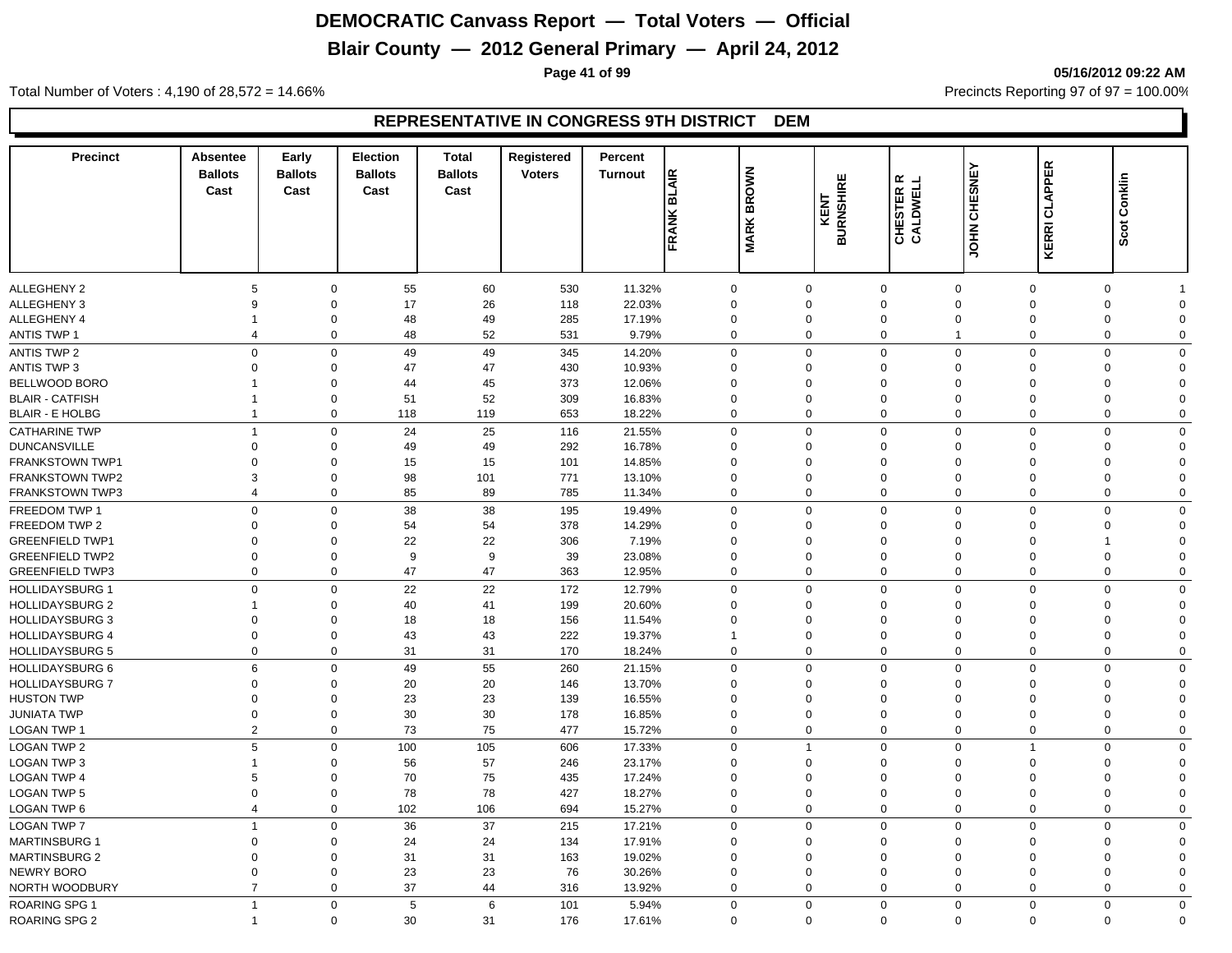# **Blair County — 2012 General Primary — April 24, 2012**

**Page 41 of 99 05/16/2012 09:22 AM**

Total Number of Voters : 4,190 of 28,572 = 14.66% Precincts Reporting 97 of 97 = 100.00%

| <b>Precinct</b>        | <b>Absentee</b><br><b>Ballots</b><br>Cast | Early<br><b>Ballots</b><br>Cast | <b>Election</b><br><b>Ballots</b><br>Cast | Total<br><b>Ballots</b><br>Cast | Registered<br><b>Voters</b> | Percent<br><b>Turnout</b> | <b>BLAIR</b>   |                   | ш                       | <b>CHESTER R<br/>CALDWELL</b> |                     |                      | Conklin     |
|------------------------|-------------------------------------------|---------------------------------|-------------------------------------------|---------------------------------|-----------------------------|---------------------------|----------------|-------------------|-------------------------|-------------------------------|---------------------|----------------------|-------------|
|                        |                                           |                                 |                                           |                                 |                             |                           | FRANK          | <b>MARK BROWN</b> | <b>BURNSHIR</b><br>KENT |                               | <b>JOHN CHESNEY</b> | <b>KERRI CLAPPER</b> | Scot        |
| <b>ALLEGHENY 2</b>     | 5                                         | 0                               | 55                                        | 60                              | 530                         | 11.32%                    | 0              | $\Omega$          |                         | $\mathbf 0$<br>$\Omega$       | $\Omega$            | 0                    |             |
| <b>ALLEGHENY 3</b>     | 9                                         | $\Omega$                        | 17                                        | 26                              | 118                         | 22.03%                    | $\mathbf 0$    | $\Omega$          |                         | $\mathbf 0$<br>$\Omega$       | $\Omega$            | 0                    | $\Omega$    |
| ALLEGHENY 4            |                                           | $\mathbf 0$                     | 48                                        | 49                              | 285                         | 17.19%                    | $\mathbf 0$    | $\mathbf 0$       |                         | $\mathbf 0$<br>$\mathbf 0$    | $\mathbf 0$         | 0                    | $\mathbf 0$ |
| <b>ANTIS TWP 1</b>     | $\overline{4}$                            | 0                               | 48                                        | 52                              | 531                         | 9.79%                     | $\mathbf 0$    | $\mathbf 0$       |                         | $\mathbf 0$<br>$\mathbf{1}$   | $\overline{0}$      | 0                    | $\mathbf 0$ |
| <b>ANTIS TWP 2</b>     | $\mathbf 0$                               | $\mathbf 0$                     | 49                                        | 49                              | 345                         | 14.20%                    | $\mathbf 0$    | $\mathbf 0$       |                         | $\mathbf 0$<br>$\mathbf 0$    | $\Omega$            | $\mathbf 0$          | $\Omega$    |
| <b>ANTIS TWP 3</b>     | $\mathbf 0$                               | $\Omega$                        | 47                                        | 47                              | 430                         | 10.93%                    | $\Omega$       | $\Omega$          |                         | $\mathbf 0$<br>$\Omega$       | $\Omega$            | $\mathbf 0$          | $\Omega$    |
| BELLWOOD BORO          |                                           | $\mathbf 0$                     | 44                                        | 45                              | 373                         | 12.06%                    | $\Omega$       | $\Omega$          |                         | $\mathbf 0$<br>$\Omega$       | $\Omega$            | $\Omega$             | $\Omega$    |
| <b>BLAIR - CATFISH</b> | -1                                        | $\mathbf 0$                     | 51                                        | 52                              | 309                         | 16.83%                    | $\Omega$       | $\Omega$          |                         | $\mathbf 0$<br>$\Omega$       | $\Omega$            | $\mathbf 0$          | $\Omega$    |
| <b>BLAIR - E HOLBG</b> | $\overline{1}$                            | $\mathbf 0$                     | 118                                       | 119                             | 653                         | 18.22%                    | $\mathbf 0$    | $\mathbf 0$       |                         | $\mathbf 0$<br>$\mathbf 0$    | $\overline{0}$      | $\mathbf 0$          | $\mathbf 0$ |
| <b>CATHARINE TWP</b>   | $\overline{1}$                            | $\mathbf 0$                     | 24                                        | 25                              | 116                         | 21.55%                    | $\Omega$       | $\mathbf 0$       |                         | $\mathbf 0$<br>$\mathbf 0$    | $\Omega$            | $\mathbf 0$          | $\Omega$    |
| <b>DUNCANSVILLE</b>    | $\mathbf 0$                               | $\mathbf 0$                     | 49                                        | 49                              | 292                         | 16.78%                    | $\Omega$       | $\mathbf 0$       |                         | $\mathbf 0$<br>$\Omega$       | $\Omega$            | $\mathbf 0$          | $\Omega$    |
| <b>FRANKSTOWN TWP1</b> | $\mathbf 0$                               | $\mathbf 0$                     | 15                                        | 15                              | 101                         | 14.85%                    | $\mathbf 0$    | $\mathbf 0$       |                         | $\mathbf 0$<br>$\Omega$       | $\Omega$            | 0                    | $\mathbf 0$ |
| <b>FRANKSTOWN TWP2</b> | 3                                         | $\mathbf 0$                     | 98                                        | 101                             | 771                         | 13.10%                    | $\mathbf 0$    | $\mathbf 0$       |                         | $\mathbf 0$<br>$\Omega$       | $\mathbf 0$         | 0                    | $\mathbf 0$ |
| <b>FRANKSTOWN TWP3</b> | $\overline{4}$                            | $\mathbf 0$                     | 85                                        | 89                              | 785                         | 11.34%                    | $\mathbf 0$    | $\mathbf 0$       |                         | $\mathbf 0$<br>$\mathbf 0$    | $\overline{0}$      | $\mathbf 0$          | $\mathbf 0$ |
| FREEDOM TWP 1          | $\mathbf 0$                               | $\mathbf 0$                     | 38                                        | 38                              | 195                         | 19.49%                    | $\Omega$       | $\mathbf 0$       |                         | $\mathbf 0$<br>$\Omega$       | $\Omega$            | $\mathbf 0$          | $\mathbf 0$ |
| FREEDOM TWP 2          | $\Omega$                                  | $\Omega$                        | 54                                        | 54                              | 378                         | 14.29%                    | $\Omega$       | $\Omega$          |                         | $\mathbf 0$<br>$\Omega$       | $\Omega$            | $\Omega$             | $\Omega$    |
| <b>GREENFIELD TWP1</b> | $\mathbf 0$                               | $\mathbf 0$                     | 22                                        | 22                              | 306                         | 7.19%                     | $\Omega$       | $\Omega$          |                         | $\mathbf 0$<br>$\Omega$       | $\Omega$            | 1                    | $\Omega$    |
| <b>GREENFIELD TWP2</b> | $\mathbf 0$                               | $\mathbf 0$                     | 9                                         | $\boldsymbol{9}$                | 39                          | 23.08%                    | $\Omega$       | $\Omega$          |                         | $\mathbf 0$<br>$\Omega$       | $\Omega$            | 0                    | $\Omega$    |
| <b>GREENFIELD TWP3</b> | $\mathbf 0$                               | $\mathbf 0$                     | 47                                        | 47                              | 363                         | 12.95%                    | $\mathbf 0$    | $\mathbf 0$       |                         | $\mathbf 0$<br>$\mathbf 0$    | $\Omega$            | 0                    | $\Omega$    |
| <b>HOLLIDAYSBURG 1</b> | $\mathbf 0$                               | $\mathbf 0$                     | 22                                        | 22                              | 172                         | 12.79%                    | $\mathbf 0$    | $\Omega$          |                         | $\mathbf 0$<br>$\mathbf 0$    | $\Omega$            | $\mathbf 0$          | $\Omega$    |
| <b>HOLLIDAYSBURG 2</b> |                                           | $\mathbf 0$                     | 40                                        | 41                              | 199                         | 20.60%                    | $\Omega$       | $\mathbf 0$       |                         | $\mathbf 0$<br>$\Omega$       | $\Omega$            | 0                    | $\Omega$    |
| <b>HOLLIDAYSBURG 3</b> | $\mathbf 0$                               | $\mathbf 0$                     | 18                                        | 18                              | 156                         | 11.54%                    | $\Omega$       | $\Omega$          |                         | $\mathbf 0$<br>$\Omega$       | $\Omega$            | $\mathbf 0$          | $\Omega$    |
| <b>HOLLIDAYSBURG 4</b> | $\mathbf 0$                               | $\mathbf 0$                     | 43                                        | 43                              | 222                         | 19.37%                    |                | $\mathbf 0$       |                         | $\mathbf 0$<br>$\mathbf 0$    | $\mathbf 0$         | 0                    | $\Omega$    |
| <b>HOLLIDAYSBURG 5</b> | $\mathbf 0$                               | $\mathbf 0$                     | 31                                        | 31                              | 170                         | 18.24%                    | $\mathbf 0$    | $\mathbf 0$       |                         | $\mathbf 0$<br>$\mathbf 0$    | $\overline{0}$      | 0                    | $\mathbf 0$ |
| HOLLIDAYSBURG 6        | 6                                         | $\Omega$                        | 49                                        | 55                              | 260                         | 21.15%                    | $\Omega$       | $\Omega$          |                         | $\mathbf 0$<br>$\Omega$       | $\Omega$            | $\Omega$             | $\Omega$    |
| <b>HOLLIDAYSBURG 7</b> | $\mathbf 0$                               | $\Omega$                        | 20                                        | 20                              | 146                         | 13.70%                    | $\Omega$       | $\Omega$          |                         | $\mathbf 0$<br>$\Omega$       | $\Omega$            | $\mathbf 0$          | $\Omega$    |
| <b>HUSTON TWP</b>      | $\mathbf 0$                               | $\mathbf 0$                     | 23                                        | 23                              | 139                         | 16.55%                    | $\Omega$       | $\Omega$          |                         | $\mathbf 0$<br>$\Omega$       | $\Omega$            | 0                    | $\Omega$    |
| JUNIATA TWP            | $\mathbf 0$                               | $\mathbf 0$                     | 30                                        | 30                              | 178                         | 16.85%                    | $\Omega$       | $\mathbf 0$       |                         | $\mathbf 0$<br>$\mathbf 0$    | $\Omega$            | 0                    | $\Omega$    |
| LOGAN TWP 1            | $\overline{2}$                            | 0                               | 73                                        | 75                              | 477                         | 15.72%                    | $\Omega$       | 0                 |                         | $\mathbf 0$<br>$\mathbf 0$    | $\Omega$            | 0                    | $\mathbf 0$ |
| <b>LOGAN TWP 2</b>     | 5                                         | $\Omega$                        | 100                                       | 105                             | 606                         | 17.33%                    | $\Omega$       | $\overline{1}$    |                         | $\mathbf 0$<br>$\mathbf 0$    | 1                   | $\mathbf 0$          | $\Omega$    |
| <b>LOGAN TWP 3</b>     | $\overline{1}$                            | $\mathbf 0$                     | 56                                        | 57                              | 246                         | 23.17%                    | $\mathbf 0$    | $\mathbf 0$       |                         | $\mathbf 0$<br>$\Omega$       | $\Omega$            | $\mathbf 0$          | $\Omega$    |
| <b>LOGAN TWP 4</b>     | 5                                         | $\mathbf 0$                     | 70                                        | 75                              | 435                         | 17.24%                    | $\Omega$       | $\mathbf 0$       |                         | $\mathbf 0$<br>$\Omega$       | $\Omega$            | 0                    | $\Omega$    |
| <b>LOGAN TWP 5</b>     | $\mathbf 0$                               | $\mathbf 0$                     | 78                                        | 78                              | 427                         | 18.27%                    | $\overline{0}$ | $\mathbf 0$       |                         | $\mathbf 0$<br>$\mathbf 0$    | $\mathbf 0$         | 0                    | $\Omega$    |
| LOGAN TWP 6            | $\overline{4}$                            | $\mathbf 0$                     | 102                                       | 106                             | 694                         | 15.27%                    | $\mathbf 0$    | $\mathbf 0$       |                         | $\mathbf 0$<br>$\mathbf 0$    | $\overline{0}$      | 0                    | $\mathbf 0$ |
| <b>LOGAN TWP 7</b>     | $\overline{1}$                            | $\Omega$                        | 36                                        | 37                              | 215                         | 17.21%                    | $\Omega$       | $\Omega$          |                         | $\mathbf 0$<br>$\Omega$       | $\Omega$            | $\mathbf 0$          | $\Omega$    |
| <b>MARTINSBURG 1</b>   | $\Omega$                                  | $\mathbf 0$                     | 24                                        | 24                              | 134                         | 17.91%                    | $\Omega$       | $\Omega$          |                         | $\mathbf 0$<br>$\Omega$       | $\Omega$            | 0                    | $\Omega$    |
| <b>MARTINSBURG 2</b>   | $\mathbf 0$                               | $\Omega$                        | 31                                        | 31                              | 163                         | 19.02%                    | $\Omega$       | $\Omega$          |                         | $\mathbf 0$<br>$\Omega$       | $\Omega$            | 0                    | $\Omega$    |
| NEWRY BORO             | $\Omega$                                  | $\mathbf 0$                     | 23                                        | 23                              | 76                          | 30.26%                    | $\Omega$       | $\Omega$          |                         | $\mathbf 0$<br>$\Omega$       | $\Omega$            | 0                    | $\Omega$    |
| NORTH WOODBURY         | $\overline{7}$                            | $\Omega$                        | 37                                        | 44                              | 316                         | 13.92%                    | $\Omega$       | $\Omega$          |                         | $\mathbf 0$<br>$\Omega$       | $\Omega$            | 0                    | $\Omega$    |
| <b>ROARING SPG 1</b>   | $\overline{1}$                            | $\mathbf 0$                     | 5                                         | 6                               | 101                         | 5.94%                     | $\mathbf 0$    | $\Omega$          |                         | $\mathbf 0$<br>$\mathbf 0$    | $\Omega$            | $\mathbf 0$          | $\Omega$    |
| <b>ROARING SPG 2</b>   | $\overline{1}$                            | $\mathbf 0$                     | 30                                        | 31                              | 176                         | 17.61%                    | $\Omega$       | $\mathbf 0$       |                         | $\mathbf 0$<br>$\mathbf 0$    | $\Omega$            | $\mathbf 0$          | $\Omega$    |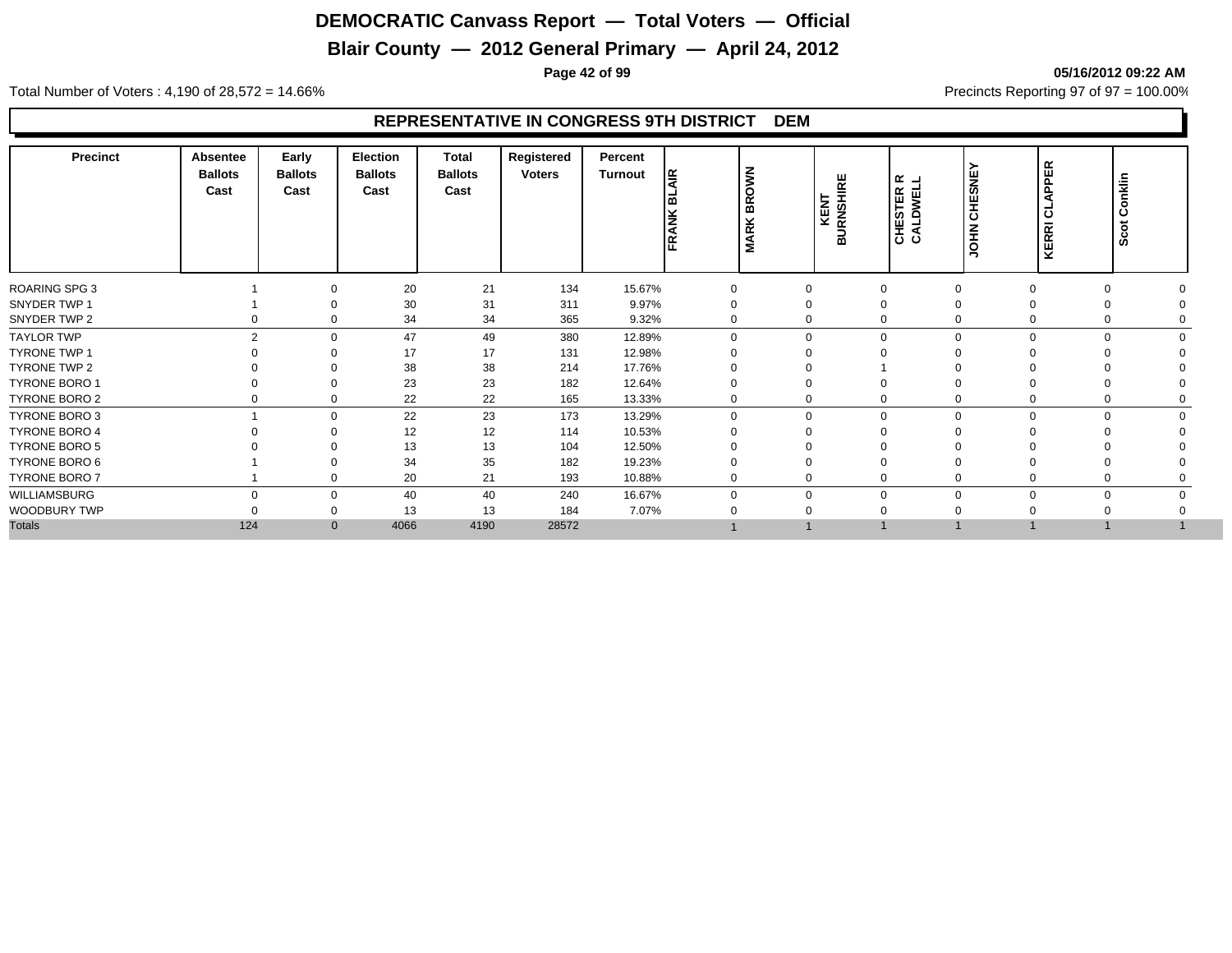# **Blair County — 2012 General Primary — April 24, 2012**

**Page 42 of 99 05/16/2012 09:22 AM**

Total Number of Voters : 4,190 of 28,572 = 14.66% Precincts Reporting 97 of 97 = 100.00%

| Precinct             | <b>Absentee</b><br><b>Ballots</b><br>Cast | Early<br><b>Ballots</b><br>Cast | <b>Election</b><br><b>Ballots</b><br>Cast | <b>Total</b><br><b>Ballots</b><br>Cast | Registered<br><b>Voters</b> | Percent<br>Turnout | ١¥<br>۱ω<br>FRANK | <b>BROWN</b><br><b>MARK</b> | <b>KENT<br/>BURNSHIRE</b> | $\alpha$ $\rightarrow$<br><b>CALDWEL</b><br>CALDWEL | <b>CHESNE</b><br><b>NHOL</b> | PER<br>$\overline{a}$<br>ਟ<br>ಕ<br><b>KERRI</b> | Conklin<br>Scot |
|----------------------|-------------------------------------------|---------------------------------|-------------------------------------------|----------------------------------------|-----------------------------|--------------------|-------------------|-----------------------------|---------------------------|-----------------------------------------------------|------------------------------|-------------------------------------------------|-----------------|
| <b>ROARING SPG 3</b> |                                           | $\Omega$                        | 20                                        | 21                                     | 134                         | 15.67%             |                   | $\Omega$                    | $\Omega$                  |                                                     | $\Omega$                     | $\Omega$                                        |                 |
| SNYDER TWP 1         |                                           |                                 | 30                                        | 31                                     | 311                         | 9.97%              | 0                 | 0                           | $\Omega$                  |                                                     |                              |                                                 |                 |
| SNYDER TWP 2         |                                           | 0<br>0                          | 34                                        | 34                                     | 365                         | 9.32%              | 0                 | 0                           | $\Omega$                  |                                                     | 0                            | 0                                               |                 |
| <b>TAYLOR TWP</b>    |                                           | $\overline{2}$<br>$\Omega$      | 47                                        | 49                                     | 380                         | 12.89%             | $\Omega$          | $\mathbf 0$                 |                           | $\Omega$                                            |                              | $\Omega$<br>$\Omega$                            |                 |
| <b>TYRONE TWP 1</b>  |                                           | $\Omega$                        | 17                                        | 17                                     | 131                         | 12.98%             |                   | $\Omega$                    |                           |                                                     |                              |                                                 |                 |
| TYRONE TWP 2         |                                           | $\Omega$                        | 38                                        | 38                                     | 214                         | 17.76%             |                   | 0                           |                           |                                                     |                              |                                                 |                 |
| <b>TYRONE BORO 1</b> |                                           | $\Omega$                        | 23                                        | 23                                     | 182                         | 12.64%             |                   | $\Omega$                    | $\Omega$                  |                                                     |                              |                                                 |                 |
| TYRONE BORO 2        |                                           | $\mathbf 0$<br>0                | 22                                        | 22                                     | 165                         | 13.33%             | 0                 | 0                           | 0                         |                                                     | 0                            | 0                                               |                 |
| TYRONE BORO 3        |                                           | $\mathbf 0$                     | 22                                        | 23                                     | 173                         | 13.29%             | $\Omega$          | 0                           | $\mathbf 0$               | $\Omega$                                            |                              | $\mathbf 0$<br>$\mathbf 0$                      |                 |
| <b>TYRONE BORO 4</b> |                                           | $\Omega$                        | 12                                        | 12                                     | 114                         | 10.53%             |                   | 0                           |                           |                                                     |                              |                                                 |                 |
| <b>TYRONE BORO 5</b> |                                           |                                 | 13                                        | 13                                     | 104                         | 12.50%             |                   |                             |                           |                                                     |                              |                                                 |                 |
| TYRONE BORO 6        |                                           |                                 | 34                                        | 35                                     | 182                         | 19.23%             |                   |                             |                           |                                                     |                              |                                                 |                 |
| TYRONE BORO 7        |                                           | $\Omega$                        | 20                                        | 21                                     | 193                         | 10.88%             | 0                 | 0                           | $\Omega$                  |                                                     |                              |                                                 |                 |
| WILLIAMSBURG         |                                           | $\Omega$<br>$\mathbf 0$         | 40                                        | 40                                     | 240                         | 16.67%             |                   | $\mathbf 0$                 | $\Omega$                  |                                                     | $\Omega$                     | $\Omega$                                        |                 |
| WOODBURY TWP         |                                           | 0                               | 13                                        | 13                                     | 184                         | 7.07%              |                   |                             |                           |                                                     |                              |                                                 |                 |
| <b>Totals</b>        | 124                                       | $\mathbf{0}$                    | 4066                                      | 4190                                   | 28572                       |                    |                   |                             |                           |                                                     |                              |                                                 |                 |
|                      |                                           |                                 |                                           |                                        |                             |                    |                   |                             |                           |                                                     |                              |                                                 |                 |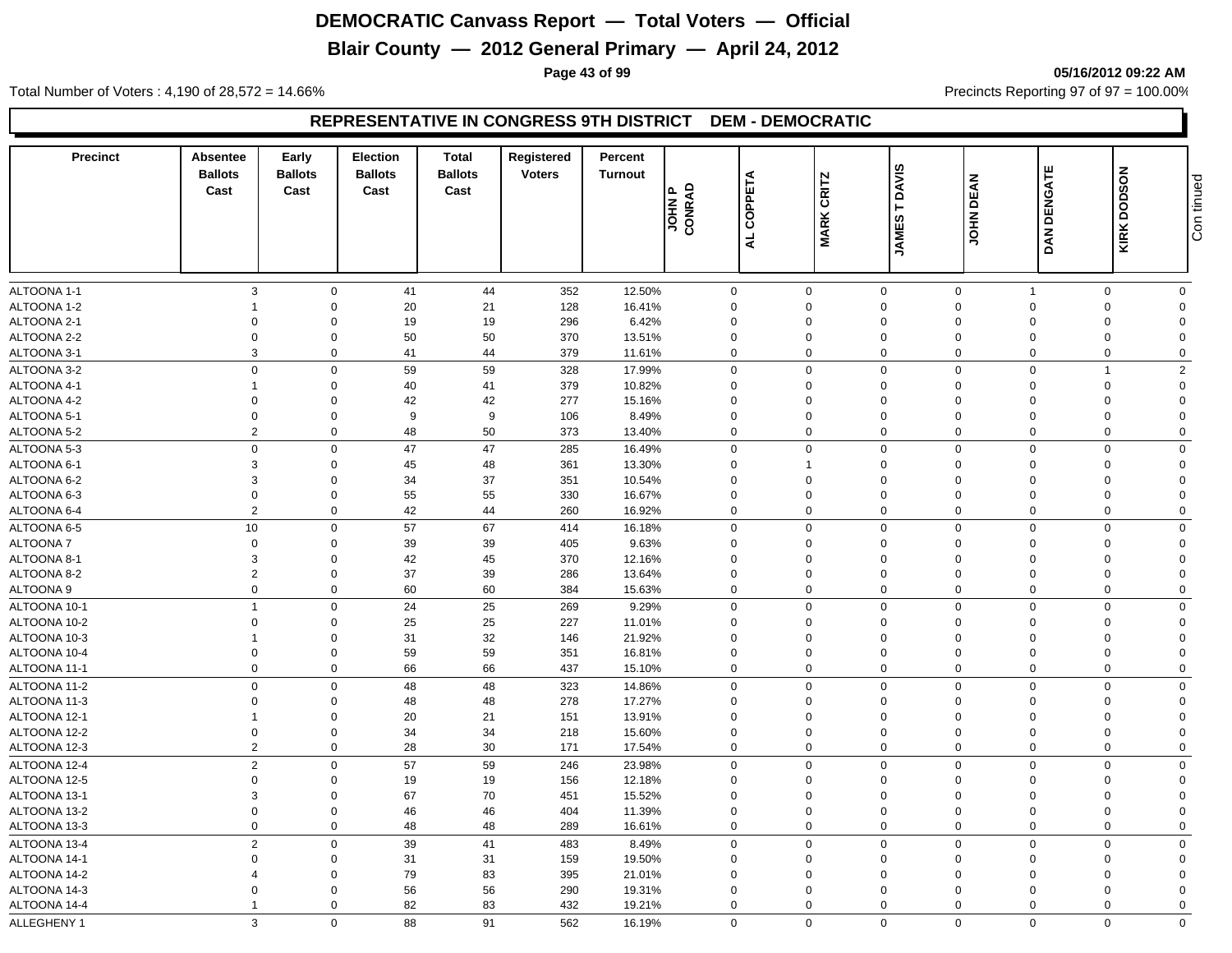# **Blair County — 2012 General Primary — April 24, 2012**

**Page 43 of 99 05/16/2012 09:22 AM**

Total Number of Voters : 4,190 of 28,572 = 14.66% Precincts Reporting 97 of 97 = 100.00%

| <b>Precinct</b>            | Absentee<br><b>Ballots</b><br>Cast | Early<br><b>Ballots</b><br>Cast | Election<br><b>Ballots</b><br>Cast | <b>Total</b><br><b>Ballots</b><br>Cast | Registered<br><b>Voters</b> | Percent<br><b>Turnout</b> | JOHN P<br>CONRAD | COPPETA<br>$\overline{a}$ | <b>CRITZ</b><br><b>MARK</b> | <b>DAVIS</b><br>Н<br>ဖာ<br><b>JAME</b> | <b>DEAN</b><br>INHOL    | DAN DENGATE          | <b>KIRK DODSON</b>   | Con tinued              |
|----------------------------|------------------------------------|---------------------------------|------------------------------------|----------------------------------------|-----------------------------|---------------------------|------------------|---------------------------|-----------------------------|----------------------------------------|-------------------------|----------------------|----------------------|-------------------------|
|                            |                                    |                                 |                                    |                                        |                             |                           |                  |                           |                             |                                        |                         | $\mathbf{1}$         |                      |                         |
| ALTOONA 1-1<br>ALTOONA 1-2 | 3<br>$\overline{1}$                | $\mathbf 0$<br>$\Omega$         | 41<br>20                           | 44<br>21                               | 352<br>128                  | 12.50%<br>16.41%          | 0<br>$\mathbf 0$ |                           | $\mathbf 0$<br>0            | $\mathbf 0$<br>$\mathbf 0$             | $\mathbf 0$<br>$\Omega$ | $\Omega$             | 0<br>$\mathbf 0$     | $\mathbf 0$<br>$\Omega$ |
| ALTOONA 2-1                | $\mathbf 0$                        | $\Omega$                        | 19                                 | 19                                     | 296                         | 6.42%                     | $\mathbf 0$      |                           | 0                           | $\mathbf 0$                            | $\Omega$                | $\Omega$             | $\mathbf 0$          | $\Omega$                |
| ALTOONA 2-2                | $\overline{0}$                     | $\Omega$                        | 50                                 | 50                                     | 370                         | 13.51%                    | $\Omega$         |                           | 0                           | $\Omega$                               | $\Omega$                | $\Omega$             | $\mathbf 0$          | $\Omega$                |
| ALTOONA 3-1                | 3                                  | $\mathbf 0$                     | 41                                 | 44                                     | 379                         | 11.61%                    | $\mathbf 0$      |                           | $\mathbf 0$                 | $\mathbf 0$                            | $\Omega$                | $\mathbf 0$          | $\mathbf 0$          | $\mathbf 0$             |
|                            |                                    | $\Omega$                        |                                    |                                        |                             |                           |                  |                           |                             |                                        |                         |                      |                      |                         |
| ALTOONA 3-2                | $\mathbf 0$                        |                                 | 59                                 | 59                                     | 328                         | 17.99%                    | 0                |                           | $\mathbf 0$                 | $\mathbf 0$                            | $\Omega$                | $\Omega$             | $\overline{1}$       | $\overline{2}$          |
| ALTOONA 4-1                | $\overline{1}$<br>$\Omega$         | $\Omega$<br>$\Omega$            | 40                                 | 41                                     | 379                         | 10.82%                    | 0<br>$\Omega$    |                           | $\mathbf 0$<br>$\Omega$     | $\mathbf 0$<br>$\Omega$                | $\Omega$<br>$\Omega$    | $\Omega$<br>$\Omega$ | $\Omega$<br>$\Omega$ | $\Omega$<br>$\Omega$    |
| ALTOONA 4-2                | $\Omega$                           | $\Omega$                        | 42<br>9                            | 42                                     | 277                         | 15.16%                    |                  |                           |                             |                                        | $\Omega$                | $\Omega$             |                      | $\Omega$                |
| ALTOONA 5-1                | $\overline{2}$                     | $\mathbf 0$                     |                                    | 9                                      | 106                         | 8.49%                     | $\mathbf 0$      |                           | $\Omega$                    | $\Omega$                               |                         |                      | $\Omega$             |                         |
| ALTOONA 5-2                |                                    |                                 | 48                                 | 50                                     | 373                         | 13.40%                    | $\mathbf 0$      |                           | $\mathbf 0$                 | $\mathbf 0$                            | $\mathbf 0$             | $\mathbf 0$          | $\mathbf 0$          | $\mathbf 0$             |
| ALTOONA 5-3                | $\mathbf 0$                        | $\mathbf 0$                     | 47                                 | 47                                     | 285                         | 16.49%                    | $\mathbf 0$      |                           | $\mathbf 0$                 | $\mathbf 0$                            | $\mathbf 0$             | $\Omega$             | $\mathbf 0$          | $\Omega$                |
| ALTOONA 6-1                | 3                                  | $\Omega$                        | 45                                 | 48                                     | 361                         | 13.30%                    | $\Omega$         |                           | 1                           | $\Omega$                               | $\Omega$                | $\Omega$             | $\Omega$             | $\Omega$                |
| ALTOONA 6-2                | 3                                  | $\Omega$                        | 34                                 | 37                                     | 351                         | 10.54%                    | $\Omega$         |                           | $\mathbf 0$                 | $\Omega$                               | $\Omega$                | $\Omega$             | $\Omega$             | $\Omega$                |
| ALTOONA 6-3                | $\overline{0}$                     | $\Omega$                        | 55                                 | 55                                     | 330                         | 16.67%                    | $\mathbf 0$      |                           | $\mathbf 0$                 | $\Omega$                               | $\Omega$                | $\Omega$             | $\Omega$             | $\Omega$                |
| ALTOONA 6-4                | $\overline{2}$                     | $\mathbf 0$                     | 42                                 | 44                                     | 260                         | 16.92%                    | $\mathbf 0$      |                           | $\mathbf 0$                 | $\mathbf 0$                            | $\Omega$                | $\Omega$             | $\mathbf 0$          | $\mathbf 0$             |
| ALTOONA 6-5                | 10                                 | $\mathbf 0$                     | 57                                 | 67                                     | 414                         | 16.18%                    | $\mathbf 0$      |                           | $\mathbf 0$                 | $\mathbf 0$                            | $\mathbf 0$             | $\mathbf 0$          | $\Omega$             | $\Omega$                |
| <b>ALTOONA7</b>            | $\mathbf 0$                        | $\Omega$                        | 39                                 | 39                                     | 405                         | 9.63%                     | $\mathbf 0$      |                           | $\mathbf 0$                 | $\mathbf 0$                            | $\Omega$                | $\Omega$             | $\Omega$             | $\Omega$                |
| ALTOONA 8-1                | 3                                  | $\Omega$                        | 42                                 | 45                                     | 370                         | 12.16%                    | $\Omega$         |                           | $\Omega$                    | $\Omega$                               | $\Omega$                | $\Omega$             | $\Omega$             | $\Omega$                |
| ALTOONA 8-2                | $\overline{2}$                     | $\Omega$                        | 37                                 | 39                                     | 286                         | 13.64%                    | $\mathbf 0$      |                           | $\mathbf 0$                 | $\mathbf 0$                            | $\Omega$                | $\Omega$             | $\Omega$             | $\Omega$                |
| ALTOONA 9                  | $\mathbf 0$                        | $\mathbf 0$                     | 60                                 | 60                                     | 384                         | 15.63%                    | $\mathbf 0$      |                           | $\mathbf 0$                 | $\mathbf 0$                            | $\mathbf 0$             | $\mathbf 0$          | $\mathbf 0$          | $\Omega$                |
| ALTOONA 10-1               | $\overline{1}$                     | $\Omega$                        | 24                                 | 25                                     | 269                         | 9.29%                     | $\mathbf 0$      |                           | $\mathsf 0$                 | $\mathbf 0$                            | $\mathbf 0$             | $\mathbf 0$          | $\mathbf 0$          | $\mathbf 0$             |
| ALTOONA 10-2               | $\mathbf 0$                        | $\Omega$                        | 25                                 | 25                                     | 227                         | 11.01%                    | $\Omega$         |                           | $\mathbf 0$                 | $\Omega$                               | $\Omega$                | $\Omega$             | $\Omega$             | $\Omega$                |
| ALTOONA 10-3               | $\overline{1}$                     | $\Omega$                        | 31                                 | 32                                     | 146                         | 21.92%                    | $\mathbf 0$      |                           | $\mathbf 0$                 | $\mathbf 0$                            | $\Omega$                | $\Omega$             | $\Omega$             | $\overline{0}$          |
| ALTOONA 10-4               | $\mathbf 0$                        | $\Omega$                        | 59                                 | 59                                     | 351                         | 16.81%                    | $\mathbf 0$      |                           | $\mathbf 0$                 | $\mathbf 0$                            | $\mathbf 0$             | $\Omega$             | $\mathbf 0$          | $\Omega$                |
| ALTOONA 11-1               | $\mathbf 0$                        | $\mathbf 0$                     | 66                                 | 66                                     | 437                         | 15.10%                    | $\mathbf 0$      |                           | $\mathbf 0$                 | $\mathbf 0$                            | $\mathbf 0$             | $\mathbf 0$          | $\mathbf 0$          | $\mathbf 0$             |
| ALTOONA 11-2               | $\mathbf 0$                        | $\Omega$                        | 48                                 | 48                                     | 323                         | 14.86%                    | $\mathbf 0$      |                           | $\mathbf 0$                 | $\mathbf 0$                            | $\Omega$                | $\Omega$             | $\Omega$             | $\Omega$                |
| ALTOONA 11-3               | $\Omega$                           | $\Omega$                        | 48                                 | 48                                     | 278                         | 17.27%                    | $\mathbf 0$      |                           | $\Omega$                    | $\Omega$                               | $\Omega$                | $\Omega$             | $\Omega$             | $\Omega$                |
| ALTOONA 12-1               | -1                                 | $\Omega$                        | 20                                 | 21                                     | 151                         | 13.91%                    | $\mathbf 0$      |                           | $\Omega$                    | $\Omega$                               | $\Omega$                | $\Omega$             | $\Omega$             | $\Omega$                |
| ALTOONA 12-2               | $\mathbf 0$                        | $\Omega$                        | 34                                 | 34                                     | 218                         | 15.60%                    | $\mathbf 0$      |                           | $\mathbf 0$                 | $\mathbf 0$                            | $\mathbf 0$             | $\Omega$             | $\mathbf 0$          | $\Omega$                |
| ALTOONA 12-3               | $\overline{2}$                     | $\mathbf 0$                     | 28                                 | 30                                     | 171                         | 17.54%                    | $\mathbf 0$      |                           | $\mathbf 0$                 | $\mathbf 0$                            | $\mathbf 0$             | $\mathbf 0$          | $\mathbf 0$          | $\mathbf 0$             |
| ALTOONA 12-4               | $\overline{2}$                     | $\mathbf 0$                     | 57                                 | 59                                     | 246                         | 23.98%                    | $\mathbf 0$      |                           | $\mathbf 0$                 | $\mathbf 0$                            | $\Omega$                | $\Omega$             | $\mathbf 0$          | $\mathbf 0$             |
| ALTOONA 12-5               | $\overline{0}$                     | $\Omega$                        | 19                                 | 19                                     | 156                         | 12.18%                    | $\mathbf 0$      |                           | $\mathbf 0$                 | $\Omega$                               | $\Omega$                | $\Omega$             | $\Omega$             | $\Omega$                |
| ALTOONA 13-1               | 3                                  | $\Omega$                        | 67                                 | 70                                     | 451                         | 15.52%                    | $\mathbf{0}$     |                           | $\mathbf 0$                 | $\Omega$                               | $\Omega$                | $\Omega$             | $\Omega$             | $\Omega$                |
| ALTOONA 13-2               | $\Omega$                           | $\mathbf 0$                     | 46                                 | 46                                     | 404                         | 11.39%                    | $\mathbf 0$      |                           | $\mathbf 0$                 | $\mathbf 0$                            | $\Omega$                | $\Omega$             | $\Omega$             | $\Omega$                |
| ALTOONA 13-3               | $\mathbf 0$                        | $\mathbf 0$                     | 48                                 | 48                                     | 289                         | 16.61%                    | 0                |                           | $\mathbf 0$                 | $\mathbf 0$                            | $\Omega$                | $\Omega$             | $\Omega$             | $\mathbf{0}$            |
| ALTOONA 13-4               | $\overline{2}$                     | $\mathbf 0$                     | 39                                 | 41                                     | 483                         | 8.49%                     | $\mathbf 0$      |                           | $\mathbf 0$                 | $\mathbf 0$                            | $\Omega$                | $\Omega$             | $\mathbf 0$          | $\mathbf 0$             |
| ALTOONA 14-1               | $\Omega$                           | $\Omega$                        | 31                                 | 31                                     | 159                         | 19.50%                    | $\mathbf 0$      |                           | $\mathbf 0$                 | $\Omega$                               | $\Omega$                | $\Omega$             | $\Omega$             | $\Omega$                |
| ALTOONA 14-2               |                                    | $\Omega$                        | 79                                 | 83                                     | 395                         | 21.01%                    | $\mathbf 0$      |                           | $\Omega$                    | $\Omega$                               | $\Omega$                | $\Omega$             | $\Omega$             | $\Omega$                |
| ALTOONA 14-3               | $\Omega$                           | $\Omega$                        | 56                                 | 56                                     | 290                         | 19.31%                    | $\Omega$         |                           | $\Omega$                    | $\Omega$                               | $\Omega$                | $\Omega$             | $\Omega$             | $\Omega$                |
| ALTOONA 14-4               |                                    | $\Omega$                        | 82                                 | 83                                     | 432                         | 19.21%                    | $\mathbf 0$      |                           | $\mathbf 0$                 | $\Omega$                               | $\Omega$                | $\Omega$             | $\Omega$             | $\Omega$                |
| ALLEGHENY 1                | 3                                  | $\mathbf 0$                     | 88                                 | 91                                     | 562                         | 16.19%                    | $\mathbf 0$      |                           | $\mathbf 0$                 | $\mathbf 0$                            | $\mathbf 0$             | $\mathbf 0$          | $\mathbf 0$          | $\mathbf 0$             |
|                            |                                    |                                 |                                    |                                        |                             |                           |                  |                           |                             |                                        |                         |                      |                      |                         |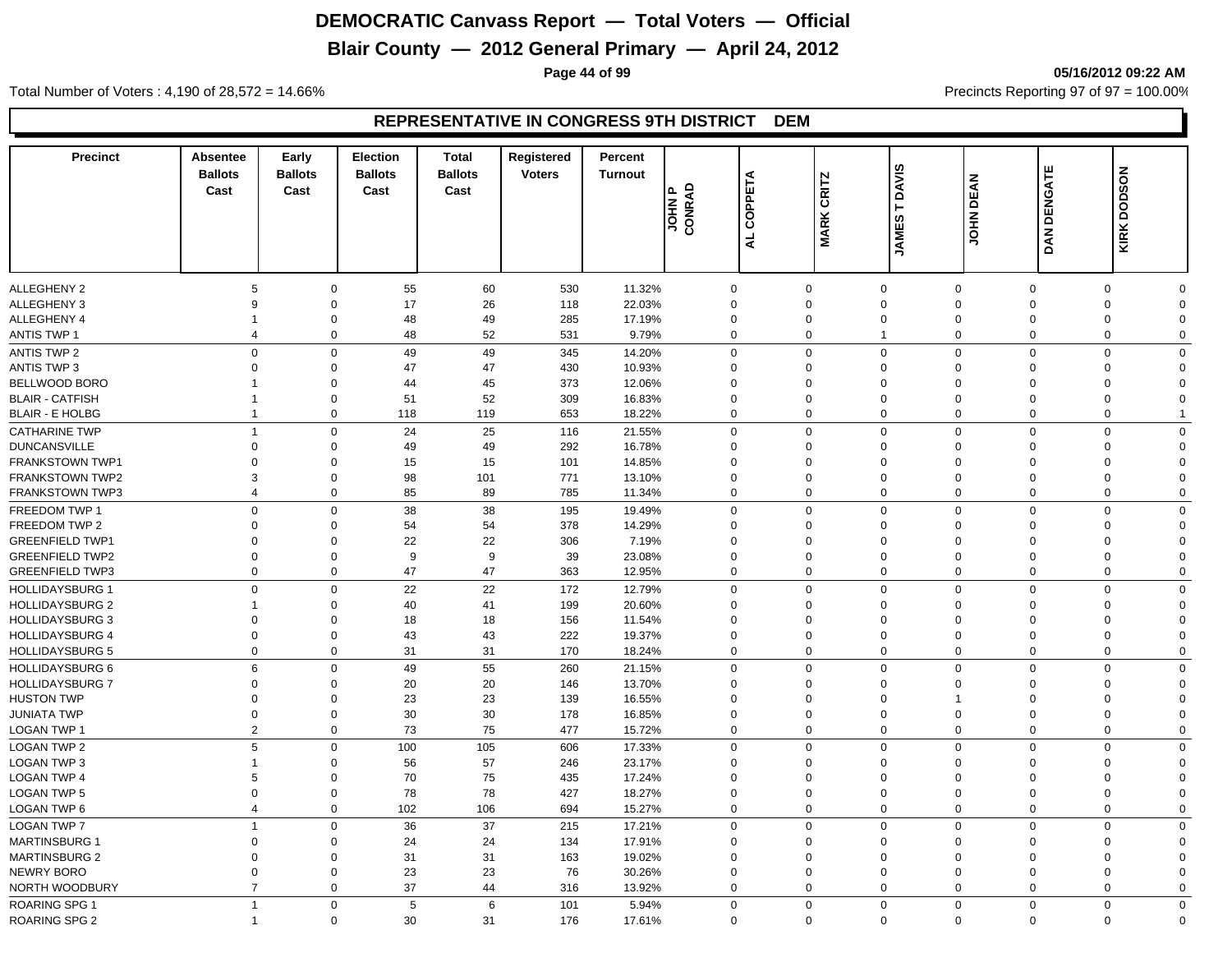# **Blair County — 2012 General Primary — April 24, 2012**

**Page 44 of 99 05/16/2012 09:22 AM**

Total Number of Voters : 4,190 of 28,572 = 14.66% Precincts Reporting 97 of 97 = 100.00%

| <b>Precinct</b>                         | Absentee<br><b>Ballots</b><br>Cast | Early<br><b>Ballots</b><br>Cast | <b>Election</b><br><b>Ballots</b><br>Cast | <b>Total</b><br><b>Ballots</b><br>Cast | Registered<br><b>Voters</b> | Percent<br><b>Turnout</b> | JOHN P<br>CONRAD | COPPETA        | <b>CRITZ</b><br><b>MARK</b> | <b>DAVIS</b><br>Н<br><b>JAMES</b> | <b>DEAN</b><br><b>NHOL</b> | <b>DAN DENGATE</b>   | <b>KIRK DODSON</b> |                      |
|-----------------------------------------|------------------------------------|---------------------------------|-------------------------------------------|----------------------------------------|-----------------------------|---------------------------|------------------|----------------|-----------------------------|-----------------------------------|----------------------------|----------------------|--------------------|----------------------|
|                                         |                                    |                                 |                                           |                                        |                             |                           |                  | $\overline{a}$ |                             |                                   |                            |                      |                    |                      |
| <b>ALLEGHENY 2</b>                      | 5                                  | 0                               | 55                                        | 60                                     | 530                         | 11.32%                    | $\mathbf 0$      |                | $\mathbf 0$                 | $\mathbf 0$                       | $\mathbf 0$                | $\mathbf 0$          | 0                  | $\Omega$             |
| <b>ALLEGHENY 3</b>                      | 9                                  | $\Omega$                        | 17                                        | 26                                     | 118                         | 22.03%                    | $\Omega$         |                | $\Omega$                    | $\mathbf 0$                       | $\mathbf 0$                | $\Omega$             | $\mathbf 0$        | $\Omega$             |
| <b>ALLEGHENY 4</b>                      | 1                                  | $\mathbf 0$                     | 48                                        | 49                                     | 285                         | 17.19%                    | $\Omega$         |                | $\Omega$                    | $\mathbf 0$                       | $\Omega$                   | $\Omega$             | $\mathbf 0$        | $\Omega$             |
| <b>ANTIS TWP 1</b>                      | $\overline{4}$                     | $\mathbf 0$                     | 48                                        | 52                                     | 531                         | 9.79%                     | $\mathbf 0$      |                | 0                           | $\overline{1}$                    | $\mathbf 0$                | $\mathbf 0$          | $\mathbf 0$        | $\mathbf 0$          |
| ANTIS TWP 2                             | $\mathsf 0$                        | $\mathbf 0$                     | 49                                        | 49                                     | 345                         | 14.20%                    | $\mathbf 0$      |                | $\mathbf 0$                 | $\mathbf 0$                       | $\mathbf 0$                | $\overline{0}$       | $\mathbf 0$        | $\Omega$             |
| <b>ANTIS TWP 3</b>                      | $\Omega$                           | $\Omega$                        | 47                                        | 47                                     | 430                         | 10.93%                    | $\Omega$         |                | $\Omega$                    | $\mathbf 0$                       | $\Omega$                   | $\Omega$             | $\mathbf 0$        | $\Omega$             |
| BELLWOOD BORO                           | 1                                  | $\mathbf 0$                     | 44                                        | 45                                     | 373                         | 12.06%                    | $\Omega$         |                | $\Omega$                    | $\mathbf 0$                       | $\Omega$                   | $\Omega$             | $\Omega$           | $\Omega$             |
| <b>BLAIR - CATFISH</b>                  | $\mathbf 1$                        | $\mathbf 0$                     | 51                                        | 52                                     | 309                         | 16.83%                    | $\mathbf 0$      |                | $\mathbf 0$                 | $\mathbf 0$                       | $\mathbf 0$                | $\mathbf 0$          | $\mathbf 0$        | $\Omega$             |
| <b>BLAIR - E HOLBG</b>                  | $\overline{1}$                     | 0                               | 118                                       | 119                                    | 653                         | 18.22%                    | $\mathbf 0$      |                | 0                           | $\mathbf 0$                       | $\mathbf 0$                | $\mathbf 0$          | $\mathbf 0$        |                      |
| <b>CATHARINE TWP</b>                    | $\overline{1}$                     | $\mathbf 0$                     | 24                                        | 25                                     | 116                         | 21.55%                    | $\Omega$         |                | $\Omega$                    | $\mathbf 0$                       | $\mathbf 0$                | $\Omega$             | $\mathbf 0$        | $\Omega$             |
| <b>DUNCANSVILLE</b>                     | $\Omega$                           | $\Omega$                        | 49                                        | 49                                     | 292                         | 16.78%                    | $\Omega$         |                | $\Omega$                    | $\mathbf 0$                       | $\Omega$                   | $\Omega$             | $\Omega$           | $\Omega$             |
| <b>FRANKSTOWN TWP1</b>                  | $\Omega$                           | $\Omega$                        | 15                                        | 15                                     | 101                         | 14.85%                    | $\Omega$         |                | $\Omega$                    | $\mathbf 0$                       | $\Omega$                   | $\Omega$             | 0                  | $\Omega$             |
| <b>FRANKSTOWN TWP2</b>                  | 3                                  | 0                               | 98                                        | 101                                    | 771                         | 13.10%                    | $\Omega$         |                | $\Omega$                    | $\mathbf 0$                       | $\Omega$                   | $\Omega$             | 0                  | $\Omega$             |
| <b>FRANKSTOWN TWP3</b>                  | $\overline{4}$                     | $\mathbf 0$                     | 85                                        | 89                                     | 785                         | 11.34%                    | $\mathbf 0$      |                | $\mathbf 0$                 | $\mathbf 0$                       | $\mathbf 0$                | $\overline{0}$       | $\mathbf 0$        | $\mathbf 0$          |
|                                         | $\mathbf 0$                        | $\mathbf 0$                     |                                           |                                        |                             |                           | $\Omega$         |                | $\Omega$                    |                                   |                            | $\mathbf 0$          | $\mathbf 0$        | $\Omega$             |
| FREEDOM TWP 1                           | $\Omega$                           | $\Omega$                        | 38                                        | 38                                     | 195<br>378                  | 19.49%                    | $\Omega$         |                |                             | $\mathbf 0$<br>$\mathbf 0$        | $\mathbf 0$                |                      | $\mathbf 0$        |                      |
| FREEDOM TWP 2<br><b>GREENFIELD TWP1</b> | $\Omega$                           | $\Omega$                        | 54<br>22                                  | 54<br>22                               | 306                         | 14.29%<br>7.19%           | $\Omega$         |                | $\Omega$<br>$\Omega$        | $\mathbf 0$                       | $\Omega$<br>$\Omega$       | $\Omega$<br>$\Omega$ | $\mathbf 0$        | $\Omega$<br>$\Omega$ |
|                                         |                                    | $\Omega$                        | 9                                         |                                        |                             |                           | $\Omega$         |                | $\Omega$                    |                                   | $\Omega$                   | $\Omega$             |                    | $\Omega$             |
| <b>GREENFIELD TWP2</b>                  | $\mathbf 0$<br>$\overline{0}$      |                                 | 47                                        | $9\,$<br>47                            | 39                          | 23.08%                    | $\Omega$         |                | $\Omega$                    | $\mathsf{O}\xspace$               | $\mathbf 0$                | $\Omega$             | 0<br>$\mathbf 0$   | $\Omega$             |
| <b>GREENFIELD TWP3</b>                  |                                    | 0                               |                                           |                                        | 363                         | 12.95%                    |                  |                |                             | $\mathbf 0$                       |                            |                      |                    |                      |
| <b>HOLLIDAYSBURG 1</b>                  | $\mathbf 0$                        | $\mathbf 0$                     | 22                                        | 22                                     | 172                         | 12.79%                    | $\mathbf 0$      |                | $\Omega$                    | $\mathbf{0}$                      | $\mathbf 0$                | $\Omega$             | $\mathbf 0$        | $\Omega$             |
| <b>HOLLIDAYSBURG 2</b>                  | 1                                  | $\mathbf 0$                     | 40                                        | 41                                     | 199                         | 20.60%                    | $\mathbf 0$      |                | $\mathbf 0$                 | $\mathbf 0$                       | $\Omega$                   | $\mathbf 0$          | $\mathbf 0$        | $\Omega$             |
| <b>HOLLIDAYSBURG 3</b>                  | $\overline{0}$                     | $\mathbf 0$                     | 18                                        | 18                                     | 156                         | 11.54%                    | $\Omega$         |                | $\Omega$                    | $\mathbf 0$                       | $\Omega$                   | $\Omega$             | $\mathbf 0$        | $\Omega$             |
| <b>HOLLIDAYSBURG 4</b>                  | $\overline{0}$                     | 0                               | 43                                        | 43                                     | 222                         | 19.37%                    | $\mathbf 0$      |                | $\mathbf 0$                 | $\mathbf 0$                       | $\mathbf 0$                | $\mathbf 0$          | 0                  | $\Omega$             |
| <b>HOLLIDAYSBURG 5</b>                  | $\overline{0}$                     | $\mathbf 0$                     | 31                                        | 31                                     | 170                         | 18.24%                    | $\mathbf 0$      |                | $\mathbf 0$                 | $\mathbf 0$                       | $\mathbf 0$                | $\overline{0}$       | $\mathbf 0$        | $\mathbf 0$          |
| <b>HOLLIDAYSBURG 6</b>                  | 6                                  | $\mathbf 0$                     | 49                                        | 55                                     | 260                         | 21.15%                    | $\mathbf 0$      |                | $\mathbf 0$                 | $\mathbf 0$                       | $\mathbf 0$                | $\overline{0}$       | $\mathbf 0$        | $\Omega$             |
| <b>HOLLIDAYSBURG 7</b>                  | $\mathbf 0$                        | $\mathbf 0$                     | 20                                        | 20                                     | 146                         | 13.70%                    | $\mathbf 0$      |                | $\mathbf 0$                 | $\mathbf 0$                       | $\Omega$                   | $\mathbf 0$          | 0                  | $\Omega$             |
| <b>HUSTON TWP</b>                       | $\mathbf 0$                        | $\mathbf 0$                     | 23                                        | 23                                     | 139                         | 16.55%                    | $\mathbf 0$      |                | $\mathbf 0$                 | $\mathbf 0$                       |                            | $\mathbf 0$          | 0                  | $\Omega$             |
| <b>JUNIATA TWP</b>                      | $\mathbf 0$                        | 0                               | 30                                        | 30                                     | 178                         | 16.85%                    | $\mathbf 0$      |                | $\mathbf 0$                 | $\mathbf 0$                       | $\mathbf 0$                | $\mathbf 0$          | 0                  | $\Omega$             |
| LOGAN TWP 1                             | $\overline{2}$                     | $\mathbf 0$                     | 73                                        | 75                                     | 477                         | 15.72%                    | $\Omega$         |                | $\Omega$                    | $\mathbf 0$                       | $\mathbf 0$                | $\Omega$             | $\mathbf 0$        | $\mathbf 0$          |
| <b>LOGAN TWP 2</b>                      | 5                                  | $\mathbf 0$                     | 100                                       | 105                                    | 606                         | 17.33%                    | $\mathbf 0$      |                | $\Omega$                    | $\mathbf 0$                       | $\mathbf 0$                | $\Omega$             | $\mathbf 0$        | $\Omega$             |
| LOGAN TWP 3                             | $\mathbf 1$                        | $\Omega$                        | 56                                        | 57                                     | 246                         | 23.17%                    | $\Omega$         |                | $\Omega$                    | $\mathbf 0$                       | $\Omega$                   | $\Omega$             | 0                  | $\Omega$             |
| <b>LOGAN TWP 4</b>                      | 5                                  | $\Omega$                        | 70                                        | 75                                     | 435                         | 17.24%                    | $\Omega$         |                | $\Omega$                    | $\mathbf 0$                       | $\Omega$                   | $\Omega$             | 0                  | $\Omega$             |
| <b>LOGAN TWP 5</b>                      | $\overline{0}$                     | 0                               | 78                                        | 78                                     | 427                         | 18.27%                    | $\mathbf 0$      |                | $\mathbf 0$                 | $\mathbf 0$                       | $\mathbf 0$                | $\mathbf 0$          | 0                  | $\Omega$             |
| LOGAN TWP 6                             | $\overline{4}$                     | $\mathbf 0$                     | 102                                       | 106                                    | 694                         | 15.27%                    | $\mathbf 0$      |                | $\Omega$                    | $\mathbf 0$                       | $\mathbf 0$                | $\overline{0}$       | $\mathbf 0$        | $\Omega$             |
| <b>LOGAN TWP 7</b>                      | $\overline{1}$                     | $\mathbf 0$                     | 36                                        | 37                                     | 215                         | 17.21%                    | $\Omega$         |                | $\mathbf 0$                 | $\mathbf 0$                       | $\mathbf 0$                | $\Omega$             | $\mathbf 0$        | $\mathbf 0$          |
| <b>MARTINSBURG 1</b>                    | $\Omega$                           | $\mathbf 0$                     | 24                                        | 24                                     | 134                         | 17.91%                    | $\Omega$         |                | $\Omega$                    | $\mathbf 0$                       | $\mathbf 0$                | $\Omega$             | 0                  | $\Omega$             |
| <b>MARTINSBURG 2</b>                    | $\Omega$                           | $\mathbf 0$                     | 31                                        | 31                                     | 163                         | 19.02%                    | $\Omega$         |                | $\Omega$                    | $\mathbf 0$                       | $\mathbf 0$                | $\Omega$             | $\mathbf 0$        | $\Omega$             |
| <b>NEWRY BORO</b>                       | $\mathbf 0$                        | $\mathbf 0$                     | 23                                        | 23                                     | 76                          | 30.26%                    | $\Omega$         |                | $\Omega$                    | $\mathbf 0$                       | $\mathbf 0$                | $\mathbf 0$          | 0                  | $\Omega$             |
| NORTH WOODBURY                          | $\overline{7}$                     | $\mathbf 0$                     | 37                                        | 44                                     | 316                         | 13.92%                    | $\Omega$         |                | $\Omega$                    | $\mathbf 0$                       | $\Omega$                   | $\Omega$             | $\mathbf 0$        | $\Omega$             |
| <b>ROARING SPG 1</b>                    | $\overline{1}$                     | $\mathbf 0$                     | 5                                         | 6                                      | 101                         | 5.94%                     | $\mathbf 0$      |                | $\mathbf 0$                 | $\mathbf 0$                       | $\mathbf 0$                | $\overline{0}$       | $\mathbf 0$        | $\mathbf 0$          |
| <b>ROARING SPG 2</b>                    | $\overline{1}$                     | $\mathbf 0$                     | 30                                        | 31                                     | 176                         | 17.61%                    | $\Omega$         |                | $\mathbf 0$                 | $\Omega$                          | $\mathbf 0$                | $\mathbf 0$          | $\mathbf 0$        | $\Omega$             |
|                                         |                                    |                                 |                                           |                                        |                             |                           |                  |                |                             |                                   |                            |                      |                    |                      |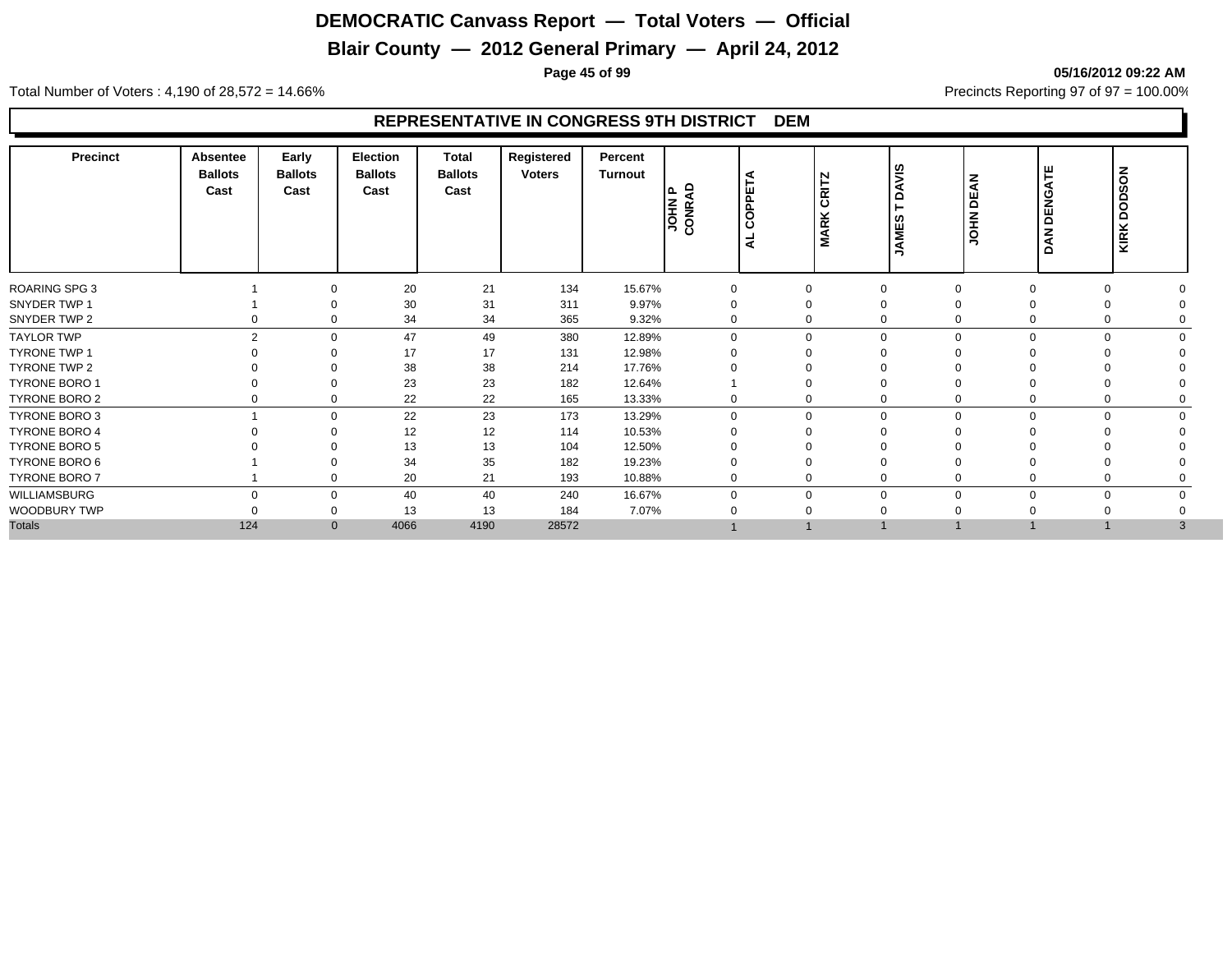# **Blair County — 2012 General Primary — April 24, 2012**

**Page 45 of 99 05/16/2012 09:22 AM**

Total Number of Voters : 4,190 of 28,572 = 14.66% Precincts Reporting 97 of 97 = 100.00%

| Precinct             | <b>Absentee</b><br><b>Ballots</b><br>Cast | Early<br><b>Ballots</b><br>Cast | <b>Election</b><br><b>Ballots</b><br>Cast | <b>Total</b><br><b>Ballots</b><br>Cast | Registered<br><b>Voters</b> | Percent<br>Turnout | ≏<br>١۵<br><b>NANCON</b> | OPPETA<br>Ō<br>₹ | <b>CRITZ</b><br><b>MARK</b> | šί<br>$\Omega$<br>AMES<br>∍ | <b>JOHN DEAN</b> | DENGATE<br><b>DAN</b>      | <b>NOSOOD</b><br><b>KIRK</b> |
|----------------------|-------------------------------------------|---------------------------------|-------------------------------------------|----------------------------------------|-----------------------------|--------------------|--------------------------|------------------|-----------------------------|-----------------------------|------------------|----------------------------|------------------------------|
| <b>ROARING SPG 3</b> |                                           | $\Omega$                        | 20                                        | 21                                     | 134                         | 15.67%             |                          |                  | $\mathbf 0$                 | $\Omega$                    |                  | $\Omega$<br>$\Omega$       |                              |
| SNYDER TWP 1         |                                           |                                 | 30                                        | 31                                     | 311                         | 9.97%              | 0                        |                  | 0                           | $\Omega$                    |                  |                            |                              |
| SNYDER TWP 2         |                                           | 0<br>0                          | 34                                        | 34                                     | 365                         | 9.32%              | 0                        |                  | 0                           | $\Omega$                    | 0                | 0                          |                              |
| <b>TAYLOR TWP</b>    |                                           | $\overline{2}$<br>$\Omega$      | 47                                        | 49                                     | 380                         | 12.89%             | $\Omega$                 |                  | $\mathbf 0$                 | $\Omega$                    |                  | $\Omega$<br>$\Omega$       |                              |
| <b>TYRONE TWP 1</b>  |                                           | $\Omega$                        | 17                                        | 17                                     | 131                         | 12.98%             |                          |                  | $\Omega$                    |                             |                  |                            |                              |
| TYRONE TWP 2         |                                           | $\Omega$                        | 38                                        | 38                                     | 214                         | 17.76%             |                          |                  | 0                           | $\Omega$                    |                  |                            |                              |
| <b>TYRONE BORO 1</b> |                                           | $\Omega$                        | 23                                        | 23                                     | 182                         | 12.64%             |                          |                  | $\Omega$                    | $\Omega$                    |                  |                            |                              |
| TYRONE BORO 2        |                                           | $\mathbf 0$<br>0                | 22                                        | 22                                     | 165                         | 13.33%             | 0                        |                  | 0                           | $\mathbf 0$                 |                  | 0<br>0                     |                              |
| TYRONE BORO 3        |                                           | $\mathbf 0$                     | 22                                        | 23                                     | 173                         | 13.29%             | $\Omega$                 |                  | 0                           | $\mathbf 0$                 | $\Omega$         | $\mathbf 0$<br>$\mathbf 0$ |                              |
| <b>TYRONE BORO 4</b> |                                           | $\Omega$                        | 12                                        | 12                                     | 114                         | 10.53%             |                          |                  | 0                           |                             |                  |                            |                              |
| <b>TYRONE BORO 5</b> |                                           |                                 | 13                                        | 13                                     | 104                         | 12.50%             |                          |                  |                             |                             |                  |                            |                              |
| TYRONE BORO 6        |                                           |                                 | 34                                        | 35                                     | 182                         | 19.23%             |                          |                  |                             |                             |                  |                            |                              |
| TYRONE BORO 7        |                                           | $\Omega$                        | 20                                        | 21                                     | 193                         | 10.88%             | 0                        |                  | 0                           | $\Omega$                    |                  |                            |                              |
| WILLIAMSBURG         |                                           | $\Omega$<br>$\mathbf 0$         | 40                                        | 40                                     | 240                         | 16.67%             |                          |                  | $\mathbf 0$                 | $\Omega$                    |                  | $\Omega$<br>$\Omega$       |                              |
| WOODBURY TWP         |                                           | 0                               | 13                                        | 13                                     | 184                         | 7.07%              |                          |                  |                             |                             |                  |                            |                              |
| <b>Totals</b>        | 124                                       | $\mathbf{0}$                    | 4066                                      | 4190                                   | 28572                       |                    |                          |                  |                             |                             |                  |                            | 3                            |
|                      |                                           |                                 |                                           |                                        |                             |                    |                          |                  |                             |                             |                  |                            |                              |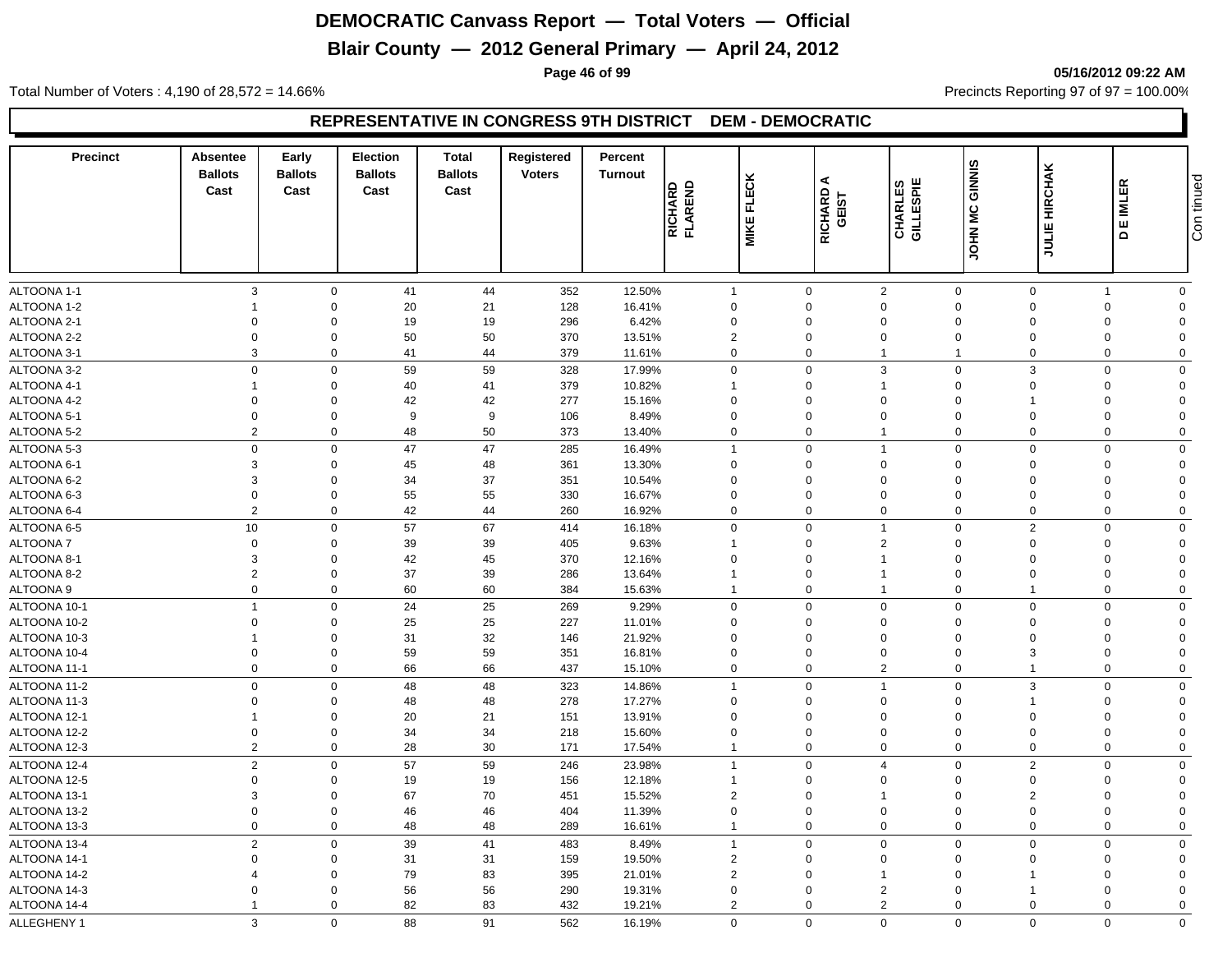# **Blair County — 2012 General Primary — April 24, 2012**

**Page 46 of 99 05/16/2012 09:22 AM**

Total Number of Voters : 4,190 of 28,572 = 14.66% Precincts Reporting 97 of 97 = 100.00%

| <b>Precinct</b>            | Absentee<br><b>Ballots</b><br>Cast | Early<br><b>Ballots</b><br>Cast | Election<br><b>Ballots</b><br>Cast | <b>Total</b><br><b>Ballots</b><br>Cast | Registered<br><b>Voters</b> | Percent<br><b>Turnout</b> | <b>RICHARD<br/>FLAREND</b> | <b>FLECK</b><br><b>MIKE</b> | ⋖<br>RICHARD<br>GEIST   | <b>CHARLES</b><br>GILLESPIE | GINNIS<br>JOHN MC       | JULIE HIRCHAK           | <b>IMLER</b><br>ш<br>$\Omega$ | tinued<br>ເດັ່ງ<br>ເວີ  |
|----------------------------|------------------------------------|---------------------------------|------------------------------------|----------------------------------------|-----------------------------|---------------------------|----------------------------|-----------------------------|-------------------------|-----------------------------|-------------------------|-------------------------|-------------------------------|-------------------------|
|                            |                                    |                                 |                                    |                                        |                             |                           |                            |                             |                         |                             |                         |                         |                               |                         |
| ALTOONA 1-1<br>ALTOONA 1-2 | $\mathbf{3}$<br>-1                 | $\mathbf 0$<br>$\Omega$         | 41<br>20                           | 44<br>21                               | 352<br>128                  | 12.50%<br>16.41%          | $\mathbf{1}$<br>0          |                             | $\mathbf 0$<br>$\Omega$ | 2<br>$\mathbf 0$            | $\mathbf 0$<br>$\Omega$ | $\mathbf 0$<br>$\Omega$ | $\overline{1}$<br>$\Omega$    | $\mathbf 0$<br>$\Omega$ |
| ALTOONA 2-1                | $\Omega$                           | $\Omega$                        |                                    |                                        | 296                         | 6.42%                     | $\mathbf 0$                |                             | 0                       | $\Omega$                    | $\Omega$                | $\Omega$                | $\Omega$                      | $\Omega$                |
| ALTOONA 2-2                | $\mathbf 0$                        | $\Omega$                        | 19<br>50                           | 19<br>50                               | 370                         | 13.51%                    | $\overline{2}$             |                             | 0                       | $\Omega$                    | $\Omega$                | $\Omega$                | $\Omega$                      | $\Omega$                |
| ALTOONA 3-1                | 3                                  | $\Omega$                        | 41                                 | 44                                     | 379                         | 11.61%                    | $\mathbf 0$                |                             | $\Omega$                | $\mathbf{1}$                | $\overline{1}$          | $\Omega$                | $\mathbf 0$                   | $\mathbf 0$             |
| ALTOONA 3-2                | $\mathbf 0$                        | $\Omega$                        |                                    |                                        | 328                         |                           | $\mathbf 0$                |                             | $\mathbf 0$             | 3                           | $\mathbf 0$             | 3                       | $\mathbf 0$                   | $\Omega$                |
|                            | $\overline{1}$                     | $\Omega$                        | 59                                 | 59                                     |                             | 17.99%                    |                            |                             |                         | $\mathbf{1}$                |                         | $\Omega$                |                               | $\Omega$                |
| ALTOONA 4-1                | $\overline{0}$                     | $\Omega$                        | 40                                 | 41<br>42                               | 379<br>277                  | 10.82%                    | $\overline{1}$<br>$\Omega$ |                             | $\mathbf 0$<br>0        | $\Omega$                    | $\mathbf 0$<br>$\Omega$ |                         | $\mathbf 0$<br>$\Omega$       | $\Omega$                |
| ALTOONA 4-2<br>ALTOONA 5-1 | $\overline{0}$                     | $\Omega$                        | 42<br>9                            | 9                                      | 106                         | 15.16%<br>8.49%           | $\mathbf 0$                |                             | $\mathbf 0$             | $\mathbf 0$                 | $\Omega$                | $\Omega$                | $\Omega$                      | $\Omega$                |
|                            | $\overline{2}$                     |                                 |                                    |                                        |                             |                           |                            |                             | $\mathbf 0$             |                             | $\Omega$                |                         |                               |                         |
| ALTOONA 5-2                |                                    | $\mathbf 0$                     | 48                                 | 50                                     | 373                         | 13.40%                    | $\mathbf 0$                |                             |                         | $\mathbf{1}$                |                         | $\mathbf 0$             | $\mathbf 0$                   | $\mathbf 0$             |
| ALTOONA 5-3                | $\mathbf 0$                        | $\mathbf 0$                     | 47                                 | 47                                     | 285                         | 16.49%                    | $\mathbf{1}$               |                             | $\mathbf 0$             | $\mathbf{1}$                | $\Omega$                | $\Omega$                | $\Omega$                      | $\mathbf 0$             |
| ALTOONA 6-1                | 3                                  | $\Omega$<br>$\Omega$            | 45                                 | 48                                     | 361                         | 13.30%                    | $\mathbf 0$                |                             | $\Omega$                | $\Omega$                    | $\Omega$                | $\Omega$                | $\Omega$                      | $\Omega$<br>$\Omega$    |
| ALTOONA 6-2                | 3                                  | $\Omega$                        | 34                                 | 37                                     | 351                         | 10.54%                    | $\Omega$                   |                             | 0                       | $\Omega$                    | $\Omega$                | $\Omega$                | $\Omega$                      |                         |
| ALTOONA 6-3                | $\mathbf 0$<br>$\overline{2}$      | $\Omega$                        | 55                                 | 55                                     | 330                         | 16.67%                    | $\Omega$                   |                             | $\mathbf 0$<br>$\Omega$ | $\Omega$                    | $\Omega$<br>$\Omega$    | $\Omega$<br>$\Omega$    | $\Omega$                      | $\Omega$                |
| ALTOONA 6-4                |                                    |                                 | 42                                 | 44                                     | 260                         | 16.92%                    | $\mathbf 0$                |                             |                         | $\mathbf 0$                 |                         |                         | 0                             | $\mathbf 0$             |
| ALTOONA 6-5                | 10                                 | $\mathbf 0$                     | 57                                 | 67                                     | 414                         | 16.18%                    | $\mathbf 0$                |                             | $\mathbf 0$             | $\mathbf{1}$                | $\mathbf 0$             | 2                       | $\mathbf 0$                   | $\mathbf 0$             |
| <b>ALTOONA7</b>            | $\mathbf 0$                        | $\Omega$                        | 39                                 | 39                                     | 405                         | 9.63%                     | $\overline{1}$             |                             | $\mathbf 0$             | $\overline{2}$              | $\Omega$                | $\Omega$                | $\Omega$                      | $\Omega$                |
| ALTOONA 8-1                | 3                                  | $\Omega$                        | 42                                 | 45                                     | 370                         | 12.16%                    | $\Omega$                   |                             | $\mathbf 0$             | $\overline{1}$              | $\Omega$                | $\Omega$                | $\Omega$                      | $\Omega$                |
| ALTOONA 8-2                | $\overline{2}$                     | $\Omega$                        | 37                                 | 39                                     | 286                         | 13.64%                    | $\overline{1}$             |                             | $\mathbf 0$             | $\mathbf 1$                 | $\Omega$                | $\Omega$                | $\Omega$                      | $\Omega$                |
| ALTOONA 9                  | $\mathbf 0$                        | $\mathbf 0$                     | 60                                 | 60                                     | 384                         | 15.63%                    | $\overline{1}$             |                             | $\mathbf 0$             | $\mathbf{1}$                | $\Omega$                | $\mathbf 1$             | $\mathbf 0$                   | $\mathbf 0$             |
| ALTOONA 10-1               | $\overline{\mathbf{1}}$            | $\Omega$                        | 24                                 | 25                                     | 269                         | 9.29%                     | 0                          |                             | $\mathbf 0$             | $\mathbf 0$                 | $\Omega$                | $\Omega$                | $\Omega$                      | $\Omega$                |
| ALTOONA 10-2               | $\mathbf 0$                        | $\Omega$                        | 25                                 | 25                                     | 227                         | 11.01%                    | $\mathbf 0$                |                             | 0                       | $\Omega$                    | $\Omega$                | $\Omega$                | $\Omega$                      | $\Omega$                |
| ALTOONA 10-3               |                                    | $\Omega$                        | 31                                 | 32                                     | 146                         | 21.92%                    | $\mathbf 0$                |                             | 0                       | $\mathbf 0$                 | $\Omega$                | $\Omega$                | $\mathbf 0$                   | $\Omega$                |
| ALTOONA 10-4               | $\mathbf 0$                        | $\Omega$                        | 59                                 | 59                                     | 351                         | 16.81%                    | $\mathbf 0$                |                             | $\mathbf 0$             | $\mathbf 0$                 | $\mathbf 0$             | 3                       | $\mathbf 0$                   | $\overline{0}$          |
| ALTOONA 11-1               | $\mathbf 0$                        | $\mathbf 0$                     | 66                                 | 66                                     | 437                         | 15.10%                    | $\mathbf 0$                |                             | $\mathbf 0$             | 2                           | $\mathbf 0$             | $\overline{1}$          | $\mathbf 0$                   | $\mathbf 0$             |
| ALTOONA 11-2               | $\mathbf 0$                        | $\Omega$                        | 48                                 | 48                                     | 323                         | 14.86%                    | $\overline{1}$             |                             | $\mathbf 0$             | $\mathbf{1}$                | $\Omega$                | 3                       | $\Omega$                      | $\Omega$                |
| ALTOONA 11-3               | $\overline{0}$                     | $\Omega$                        | 48                                 | 48                                     | 278                         | 17.27%                    | $\mathbf 0$                |                             | 0                       | $\mathbf 0$                 | $\Omega$                |                         | $\Omega$                      | $\Omega$                |
| ALTOONA 12-1               | $\overline{1}$                     | $\Omega$                        | 20                                 | 21                                     | 151                         | 13.91%                    | $\Omega$                   |                             | $\Omega$                | $\Omega$                    | $\Omega$                | $\Omega$                | $\Omega$                      | $\Omega$                |
| ALTOONA 12-2               | $\overline{0}$                     | $\Omega$                        | 34                                 | 34                                     | 218                         | 15.60%                    | $\mathbf 0$                |                             | $\mathbf 0$             | $\mathbf 0$                 | $\Omega$                | $\Omega$                | $\Omega$                      | $\Omega$                |
| ALTOONA 12-3               | $\overline{2}$                     | $\mathbf 0$                     | 28                                 | 30                                     | 171                         | 17.54%                    | $\overline{1}$             |                             | $\mathbf 0$             | $\mathbf 0$                 | $\Omega$                | $\mathbf 0$             | $\mathbf 0$                   | $\mathbf 0$             |
| ALTOONA 12-4               | $\overline{2}$                     | $\Omega$                        | 57                                 | 59                                     | 246                         | 23.98%                    | $\mathbf{1}$               |                             | $\overline{0}$          | $\overline{4}$              | $\mathbf 0$             | $\overline{2}$          | $\Omega$                      | $\mathbf 0$             |
| ALTOONA 12-5               | $\overline{0}$                     | $\Omega$                        | 19                                 | 19                                     | 156                         | 12.18%                    | $\overline{1}$             |                             | $\mathbf 0$             | $\Omega$                    | $\Omega$                | $\Omega$                | $\Omega$                      | $\Omega$                |
| ALTOONA 13-1               | 3                                  | $\Omega$                        | 67                                 | 70                                     | 451                         | 15.52%                    | $\overline{2}$             |                             | 0                       | $\overline{1}$              | $\Omega$                | $\overline{2}$          | $\Omega$                      | $\Omega$                |
| ALTOONA 13-2               | $\overline{0}$                     | $\Omega$                        | 46                                 | 46                                     | 404                         | 11.39%                    | $\mathbf 0$                |                             | $\mathbf 0$             | $\mathbf 0$                 | $\mathbf 0$             | $\mathbf 0$             | $\mathbf 0$                   | $\mathbf 0$             |
| ALTOONA 13-3               | $\overline{0}$                     | $\mathbf 0$                     | 48                                 | 48                                     | 289                         | 16.61%                    | $\mathbf{1}$               |                             | $\mathbf 0$             | $\mathbf 0$                 | $\mathbf 0$             | $\mathbf 0$             | 0                             | $\mathbf 0$             |
| ALTOONA 13-4               | $\overline{2}$                     | $\Omega$                        | $39\,$                             | 41                                     | 483                         | 8.49%                     | $\overline{1}$             |                             | $\mathbf 0$             | $\Omega$                    | $\Omega$                | $\Omega$                | $\Omega$                      | $\Omega$                |
| ALTOONA 14-1               | $\Omega$                           | $\Omega$                        | 31                                 | 31                                     | 159                         | 19.50%                    | $\overline{2}$             |                             | 0                       | $\mathbf 0$                 | $\Omega$                | $\Omega$                | $\Omega$                      | $\Omega$                |
| ALTOONA 14-2               | 4                                  | $\Omega$                        | 79                                 | 83                                     | 395                         | 21.01%                    | $\overline{2}$             |                             | $\Omega$                | $\mathbf 1$                 | $\Omega$                |                         | $\Omega$                      | $\Omega$                |
| ALTOONA 14-3               | $\Omega$                           | $\Omega$                        | 56                                 | 56                                     | 290                         | 19.31%                    | 0                          |                             | $\mathbf 0$             | $\overline{2}$              | $\Omega$                |                         | $\Omega$                      | $\Omega$                |
| ALTOONA 14-4               | -1                                 | $\mathbf 0$                     | 82                                 | 83                                     | 432                         | 19.21%                    | $\overline{2}$             |                             | $\Omega$                | $\overline{2}$              | $\Omega$                | $\Omega$                | $\mathbf 0$                   | $\Omega$                |
| ALLEGHENY 1                | 3                                  | $\Omega$                        | 88                                 | 91                                     | 562                         | 16.19%                    | $\Omega$                   |                             | $\Omega$                | $\Omega$                    | $\Omega$                | $\Omega$                | $\Omega$                      | $\Omega$                |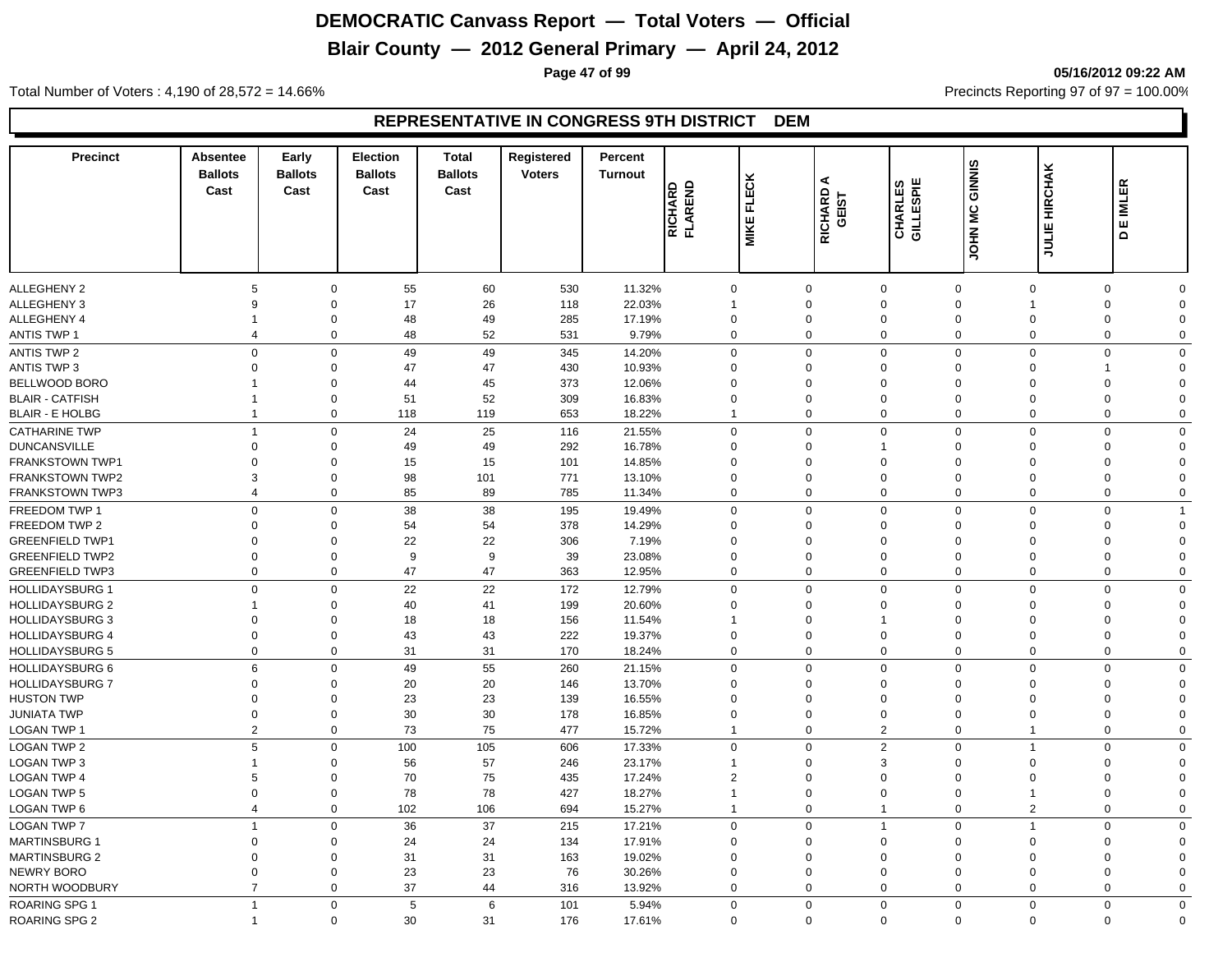# **Blair County — 2012 General Primary — April 24, 2012**

**Page 47 of 99 05/16/2012 09:22 AM**

Total Number of Voters : 4,190 of 28,572 = 14.66% Precincts Reporting 97 of 97 = 100.00%

| <b>Precinct</b>                       | <b>Absentee</b><br><b>Ballots</b><br>Cast | Early<br><b>Ballots</b><br>Cast | Election<br><b>Ballots</b><br>Cast | <b>Total</b><br><b>Ballots</b><br>Cast | Registered<br><b>Voters</b> | Percent<br><b>Turnout</b> | RICHARD<br>FLAREND | <b>MIKE FLECK</b> | ⋖<br>RICHARD<br>GEIST | CHARLES<br>GILLESPIE | <b>JOHN MC GINNIS</b> | <b>JULIE HIRCHAK</b>    | 띥<br>힐<br>ш<br>$\Omega$    |
|---------------------------------------|-------------------------------------------|---------------------------------|------------------------------------|----------------------------------------|-----------------------------|---------------------------|--------------------|-------------------|-----------------------|----------------------|-----------------------|-------------------------|----------------------------|
|                                       |                                           |                                 |                                    |                                        |                             |                           |                    |                   |                       |                      |                       |                         |                            |
| <b>ALLEGHENY 2</b>                    | 5                                         | $\Omega$                        | 55                                 | 60                                     | 530                         | 11.32%                    | $\mathbf 0$        |                   | $\Omega$              | $\mathbf 0$          | $\mathbf 0$           | $\Omega$                | $\mathbf 0$<br>$\Omega$    |
| <b>ALLEGHENY 3</b>                    | 9                                         | $\Omega$                        | 17                                 | 26                                     | 118                         | 22.03%                    |                    |                   | $\Omega$              | $\mathbf 0$          | $\mathbf 0$           | $\overline{1}$          | $\mathbf 0$<br>$\Omega$    |
| <b>ALLEGHENY 4</b>                    | 1                                         | $\Omega$                        | 48                                 | 49                                     | 285                         | 17.19%                    | $\Omega$           |                   | $\Omega$              | $\mathbf 0$          | $\Omega$              | $\Omega$                | $\mathbf 0$<br>$\Omega$    |
| ANTIS TWP 1                           | $\overline{4}$                            | 0                               | 48                                 | 52                                     | 531                         | 9.79%                     | $\Omega$           |                   | $\mathbf 0$           | $\mathsf{O}\xspace$  | $\mathbf 0$           | $\Omega$                | 0<br>$\Omega$              |
| <b>ANTIS TWP 2</b>                    | $\mathsf 0$                               | $\mathbf 0$                     | 49                                 | 49                                     | 345                         | 14.20%                    | $\mathbf 0$        |                   | 0                     | $\mathbf 0$          | $\mathbf 0$           | $\mathsf 0$             | $\mathbf 0$<br>$\Omega$    |
| <b>ANTIS TWP 3</b>                    | $\Omega$                                  | $\Omega$                        | 47                                 | 47                                     | 430                         | 10.93%                    | $\Omega$           |                   | $\Omega$              | $\mathbf 0$          | $\Omega$              | $\Omega$<br>$\mathbf 1$ | $\Omega$                   |
| BELLWOOD BORO                         |                                           | $\mathbf 0$                     | 44                                 | 45                                     | 373                         | 12.06%                    | $\Omega$           |                   | $\Omega$              | $\mathbf 0$          | $\Omega$              | $\Omega$                | $\mathbf 0$<br>$\Omega$    |
| <b>BLAIR - CATFISH</b>                | -1                                        | $\mathbf 0$                     | 51                                 | 52                                     | 309                         | 16.83%                    | $\mathbf 0$        |                   | $\mathbf 0$           | $\mathbf 0$          | $\mathbf 0$           | $\overline{0}$          | $\mathbf 0$<br>$\Omega$    |
| <b>BLAIR - E HOLBG</b>                | $\overline{1}$                            | 0                               | 118                                | 119                                    | 653                         | 18.22%                    |                    |                   | 0                     | $\mathbf 0$          | $\mathbf 0$           | $\overline{0}$          | $\mathbf 0$<br>$\mathbf 0$ |
| <b>CATHARINE TWP</b>                  | $\overline{1}$                            | $\mathbf 0$                     | 24                                 | 25                                     | 116                         | 21.55%                    | $\Omega$           |                   | $\Omega$              | $\mathsf{O}\xspace$  | $\mathbf 0$           | $\Omega$                | $\mathsf 0$<br>$\Omega$    |
| <b>DUNCANSVILLE</b>                   | $\mathbf 0$                               | $\Omega$                        | 49                                 | 49                                     | 292                         | 16.78%                    | $\Omega$           |                   | $\Omega$              | $\overline{1}$       | $\Omega$              | $\Omega$                | $\Omega$<br>$\Omega$       |
| <b>FRANKSTOWN TWP1</b>                | $\Omega$                                  | $\Omega$                        | 15                                 | 15                                     | 101                         | 14.85%                    | $\Omega$           |                   | $\Omega$              | $\mathbf 0$          | $\Omega$              | $\Omega$                | $\mathbf 0$<br>$\Omega$    |
| <b>FRANKSTOWN TWP2</b>                | 3                                         | 0                               | 98                                 | 101                                    | 771                         | 13.10%                    | $\Omega$           |                   | $\mathbf 0$           | $\mathbf 0$          | $\Omega$              | $\mathbf 0$             | 0<br>$\Omega$              |
| <b>FRANKSTOWN TWP3</b>                | $\overline{4}$                            | 0                               | 85                                 | 89                                     | 785                         | 11.34%                    | $\Omega$           |                   | $\mathbf 0$           | $\mathbf{0}$         | $\mathbf 0$           | $\mathbf 0$             | 0<br>$\Omega$              |
| FREEDOM TWP 1                         | $\mathsf 0$                               | $\mathbf 0$                     | 38                                 | 38                                     | 195                         | 19.49%                    | $\Omega$           |                   | $\mathbf 0$           | $\mathbf 0$          | $\mathbf 0$           | $\overline{0}$          | $\mathbf 0$                |
| FREEDOM TWP 2                         | $\Omega$                                  | $\Omega$                        | 54                                 | 54                                     | 378                         | 14.29%                    | $\Omega$           |                   | $\Omega$              | $\mathbf 0$          | $\Omega$              | $\Omega$                | $\Omega$<br>$\Omega$       |
| <b>GREENFIELD TWP1</b>                | $\mathbf 0$                               | $\mathbf 0$                     | 22                                 | 22                                     | 306                         | 7.19%                     | $\mathbf 0$        |                   | $\mathbf 0$           | $\mathbf 0$          | $\Omega$              | $\mathbf 0$             | 0<br>$\Omega$              |
| <b>GREENFIELD TWP2</b>                | $\overline{0}$                            | $\mathbf 0$                     | 9                                  | 9                                      | 39                          | 23.08%                    | $\mathbf 0$        |                   | $\mathbf 0$           | $\mathbf 0$          | $\Omega$              | $\overline{0}$          | $\mathbf 0$<br>$\Omega$    |
| <b>GREENFIELD TWP3</b>                | $\overline{0}$                            | 0                               | 47                                 | 47                                     | 363                         | 12.95%                    | $\mathbf 0$        |                   | $\mathbf 0$           | $\mathbf 0$          | $\mathbf 0$           | $\overline{0}$          | $\mathbf 0$<br>$\mathbf 0$ |
| <b>HOLLIDAYSBURG 1</b>                | $\mathbf 0$                               | $\mathbf 0$                     | 22                                 | 22                                     | 172                         | 12.79%                    | $\Omega$           |                   | $\Omega$              | $\mathbf 0$          | $\mathbf 0$           | $\Omega$                | $\mathbf 0$<br>$\Omega$    |
| <b>HOLLIDAYSBURG 2</b>                | 1                                         | $\Omega$                        | 40                                 | 41                                     | 199                         | 20.60%                    | $\Omega$           |                   | $\Omega$              | $\mathbf 0$          | $\Omega$              | $\Omega$                | $\mathbf 0$<br>$\Omega$    |
| <b>HOLLIDAYSBURG 3</b>                | $\Omega$                                  | $\Omega$                        | 18                                 | 18                                     | 156                         | 11.54%                    |                    |                   | $\Omega$              | $\overline{1}$       | $\Omega$              | $\Omega$                | $\mathbf 0$<br>$\Omega$    |
| <b>HOLLIDAYSBURG 4</b>                | $\mathbf 0$                               | 0                               | 43                                 | 43                                     | 222                         | 19.37%                    | $\mathbf 0$        |                   | $\mathbf 0$           | $\mathbf 0$          | $\mathbf 0$           | $\mathbf 0$             | 0<br>$\Omega$              |
| <b>HOLLIDAYSBURG 5</b>                | $\overline{0}$                            | $\mathbf 0$                     | 31                                 | 31                                     | 170                         | 18.24%                    | $\mathbf 0$        |                   | $\mathbf 0$           | $\mathbf 0$          | $\mathbf 0$           | $\Omega$                | $\mathbf 0$<br>$\mathbf 0$ |
| <b>HOLLIDAYSBURG 6</b>                | $6\phantom{1}6$                           | $\mathbf 0$                     | 49                                 | 55                                     | 260                         | 21.15%                    | $\Omega$           |                   | $\mathbf 0$           | $\mathbf 0$          | $\mathbf 0$           | $\overline{0}$          | $\mathbf 0$<br>$\Omega$    |
| <b>HOLLIDAYSBURG 7</b>                | $\Omega$                                  | $\Omega$                        | 20                                 | 20                                     | 146                         | 13.70%                    | $\Omega$           |                   | $\Omega$              | $\mathbf 0$          | $\Omega$              | $\Omega$                | $\Omega$<br>$\Omega$       |
| <b>HUSTON TWP</b>                     | $\mathbf 0$                               | $\mathbf 0$                     | 23                                 | 23                                     | 139                         | 16.55%                    | $\mathbf 0$        |                   | $\mathbf 0$           | $\mathbf 0$          | $\Omega$              | $\mathbf 0$             | $\mathbf 0$<br>$\Omega$    |
| <b>JUNIATA TWP</b>                    | $\mathbf 0$                               | 0                               | 30                                 | 30                                     | 178                         | 16.85%                    | $\mathbf 0$        |                   | $\mathbf 0$           | $\mathbf 0$          | $\mathbf 0$           | $\mathbf 0$             | 0<br>$\Omega$              |
| LOGAN TWP 1                           | $\overline{2}$                            | $\mathbf 0$                     | 73                                 | 75                                     | 477                         | 15.72%                    |                    |                   | 0                     | 2                    | $\mathbf 0$           | $\overline{1}$          | $\mathbf 0$<br>$\mathbf 0$ |
| <b>LOGAN TWP 2</b>                    | $5\phantom{.0}$                           | $\mathbf 0$                     | 100                                | 105                                    | 606                         | 17.33%                    | $\Omega$           |                   | $\Omega$              | 2                    | $\Omega$              | 1                       | $\mathbf 0$<br>$\Omega$    |
| <b>LOGAN TWP 3</b>                    | 1                                         | $\Omega$                        | 56                                 | 57                                     | 246                         | 23.17%                    |                    |                   | $\Omega$              | 3                    | $\Omega$              | $\Omega$                | $\mathbf 0$<br>$\Omega$    |
| <b>LOGAN TWP 4</b>                    | 5                                         | $\mathbf 0$                     | 70                                 | 75                                     | 435                         | 17.24%                    | $\overline{2}$     |                   | $\Omega$              | $\mathbf 0$          | $\Omega$              | $\Omega$                | $\mathbf 0$<br>$\Omega$    |
| <b>LOGAN TWP 5</b>                    | $\mathbf 0$                               | 0                               | 78                                 | 78                                     | 427                         | 18.27%                    |                    |                   | $\mathbf 0$           | $\mathbf 0$          | $\Omega$              | $\mathbf 1$             | 0<br>$\Omega$              |
| LOGAN TWP 6                           | $\overline{4}$                            | $\mathbf 0$                     | 102                                | 106                                    | 694                         | 15.27%                    | $\mathbf{1}$       |                   | $\mathbf 0$           | $\mathbf{1}$         | $\mathbf 0$           | $\overline{2}$          | $\mathbf 0$<br>$\Omega$    |
| <b>LOGAN TWP 7</b>                    | $\overline{1}$                            | $\mathbf 0$                     | 36                                 | 37                                     | 215                         | 17.21%                    | $\mathbf 0$        |                   | $\mathbf 0$           | $\overline{1}$       | $\mathbf 0$           | $\overline{1}$          | $\mathbf 0$<br>$\Omega$    |
| <b>MARTINSBURG 1</b>                  | $\mathbf 0$                               | $\mathbf 0$                     | 24                                 | 24                                     | 134                         | 17.91%                    | $\mathbf 0$        |                   | $\mathbf 0$           | $\mathbf 0$          | $\Omega$              | $\mathbf 0$             | 0<br>$\Omega$              |
| <b>MARTINSBURG 2</b>                  | $\mathbf 0$                               | $\mathbf 0$                     | 31                                 | 31                                     | 163                         | 19.02%                    | $\mathbf 0$        |                   | $\mathbf 0$           | $\mathbf 0$          | $\Omega$              | $\mathbf 0$             | $\mathbf 0$<br>$\Omega$    |
| NEWRY BORO                            | $\mathbf 0$                               | $\mathbf 0$                     | 23                                 | 23                                     | 76                          | 30.26%                    | $\mathbf 0$        |                   | $\mathbf 0$           | $\mathbf 0$          | $\mathbf 0$           | $\mathbf 0$             | 0<br>$\Omega$              |
| NORTH WOODBURY                        | $\overline{7}$                            | $\mathbf 0$                     | 37                                 | 44                                     | 316                         | 13.92%                    | $\mathbf 0$        |                   | $\mathbf 0$           | $\mathbf 0$          | $\mathbf 0$           | $\overline{0}$          | 0<br>$\Omega$              |
|                                       | $\overline{1}$                            | $\mathbf 0$                     | 5                                  | 6                                      | 101                         |                           | $\Omega$           |                   | $\Omega$              | $\mathbf 0$          | $\mathbf 0$           | $\mathbf 0$             | $\mathbf 0$<br>$\Omega$    |
| ROARING SPG 1<br><b>ROARING SPG 2</b> | -1                                        | $\mathbf 0$                     | 30                                 | 31                                     | 176                         | 5.94%<br>17.61%           | $\Omega$           |                   | $\mathbf 0$           | $\Omega$             | $\mathbf 0$           | $\mathbf 0$             | $\mathbf 0$<br>$\Omega$    |
|                                       |                                           |                                 |                                    |                                        |                             |                           |                    |                   |                       |                      |                       |                         |                            |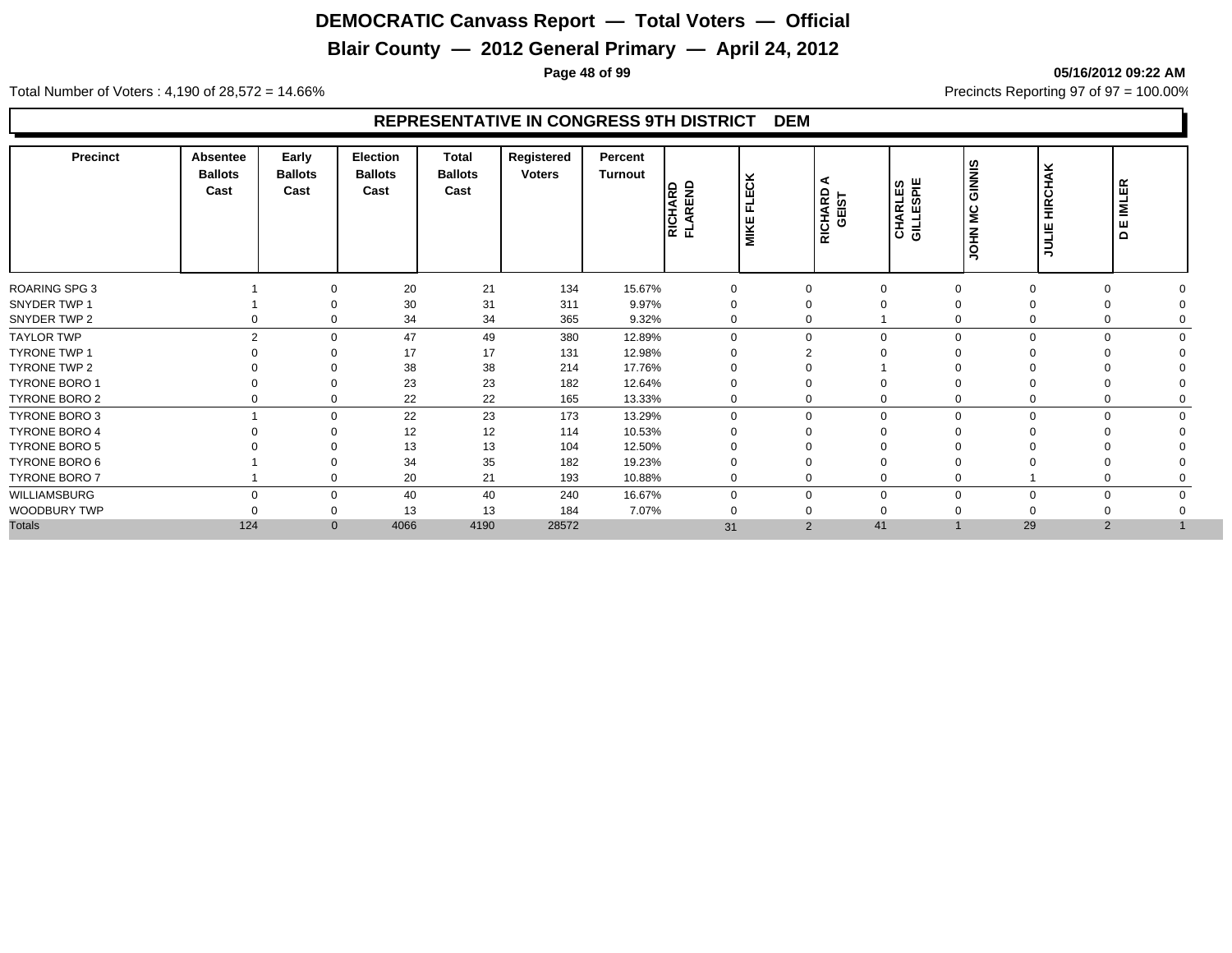# **Blair County — 2012 General Primary — April 24, 2012**

**Page 48 of 99 05/16/2012 09:22 AM**

Total Number of Voters : 4,190 of 28,572 = 14.66% Precincts Reporting 97 of 97 = 100.00%

| <b>Precinct</b>      | <b>Absentee</b><br><b>Ballots</b><br>Cast | Early<br><b>Ballots</b><br>Cast | <b>Election</b><br><b>Ballots</b><br>Cast | <b>Total</b><br><b>Ballots</b><br>Cast | Registered<br><b>Voters</b> | Percent<br>Turnout | <b>RICHARD</b><br>FLAREND | <b>FLECK</b><br><b>MIKE</b> | ∢<br>RICHARD<br>GEIST | <b>CHARLES</b><br>GILLESPIE | GINNIS<br><b>JOHN MC</b> | <b>HIRCHAK</b><br><b>HIR</b> | <b>IMLER</b><br>ш<br>$\mathbf \Omega$ |  |
|----------------------|-------------------------------------------|---------------------------------|-------------------------------------------|----------------------------------------|-----------------------------|--------------------|---------------------------|-----------------------------|-----------------------|-----------------------------|--------------------------|------------------------------|---------------------------------------|--|
| <b>ROARING SPG 3</b> |                                           | $\Omega$                        | 20                                        | 21                                     | 134                         | 15.67%             | 0                         |                             | $\Omega$              | $\Omega$                    |                          | $\Omega$                     | $\Omega$                              |  |
| SNYDER TWP 1         |                                           |                                 | 30                                        | 31                                     | 311                         | 9.97%              | 0                         |                             | 0                     | $\Omega$                    |                          |                              | $\Omega$                              |  |
| SNYDER TWP 2         |                                           | 0<br>0                          | 34                                        | 34                                     | 365                         | 9.32%              | 0                         |                             | 0                     |                             |                          | 0                            | 0                                     |  |
| <b>TAYLOR TWP</b>    |                                           | $\overline{2}$<br>$\Omega$      | 47                                        | 49                                     | 380                         | 12.89%             | $\Omega$                  |                             | $\mathbf 0$           | $\Omega$                    |                          | $\Omega$                     | $\Omega$                              |  |
| <b>TYRONE TWP 1</b>  |                                           | $\Omega$                        | 17                                        | 17                                     | 131                         | 12.98%             |                           |                             | ⌒                     |                             |                          |                              |                                       |  |
| TYRONE TWP 2         |                                           | $\Omega$                        | 38                                        | 38                                     | 214                         | 17.76%             |                           |                             | 0                     |                             |                          |                              |                                       |  |
| <b>TYRONE BORO 1</b> |                                           | $\Omega$                        | 23                                        | 23                                     | 182                         | 12.64%             |                           |                             | $\Omega$              | $\Omega$                    |                          |                              |                                       |  |
| TYRONE BORO 2        |                                           | $\mathbf 0$<br>0                | 22                                        | 22                                     | 165                         | 13.33%             | 0                         |                             | 0                     | $\mathbf 0$                 |                          | 0                            | 0                                     |  |
| TYRONE BORO 3        |                                           | $\mathbf 0$                     | 22                                        | 23                                     | 173                         | 13.29%             | $\Omega$                  |                             | 0                     | $\mathbf 0$                 | $\Omega$                 | $\mathbf 0$                  | $\mathbf 0$                           |  |
| <b>TYRONE BORO 4</b> |                                           | $\Omega$                        | 12                                        | 12                                     | 114                         | 10.53%             |                           |                             | 0                     | $\Omega$                    |                          |                              |                                       |  |
| <b>TYRONE BORO 5</b> |                                           |                                 | 13                                        | 13                                     | 104                         | 12.50%             |                           |                             |                       |                             |                          |                              |                                       |  |
| TYRONE BORO 6        |                                           |                                 | 34                                        | 35                                     | 182                         | 19.23%             |                           |                             | $\Omega$              |                             |                          |                              |                                       |  |
| TYRONE BORO 7        |                                           | $\Omega$                        | 20                                        | 21                                     | 193                         | 10.88%             | 0                         |                             | 0                     | $\Omega$                    |                          |                              |                                       |  |
| WILLIAMSBURG         |                                           | $\Omega$<br>$\mathbf 0$         | 40                                        | 40                                     | 240                         | 16.67%             | 0                         |                             | $\mathbf 0$           | $\Omega$                    |                          | $\Omega$                     | $\mathbf 0$                           |  |
| WOODBURY TWP         |                                           | 0                               | 13                                        | 13                                     | 184                         | 7.07%              |                           |                             | 0                     | $\Omega$                    |                          |                              |                                       |  |
| <b>Totals</b>        | 124                                       | $\mathbf{0}$                    | 4066                                      | 4190                                   | 28572                       |                    | 31                        |                             | $\overline{2}$        | 41                          |                          | 29                           | $\overline{2}$                        |  |
|                      |                                           |                                 |                                           |                                        |                             |                    |                           |                             |                       |                             |                          |                              |                                       |  |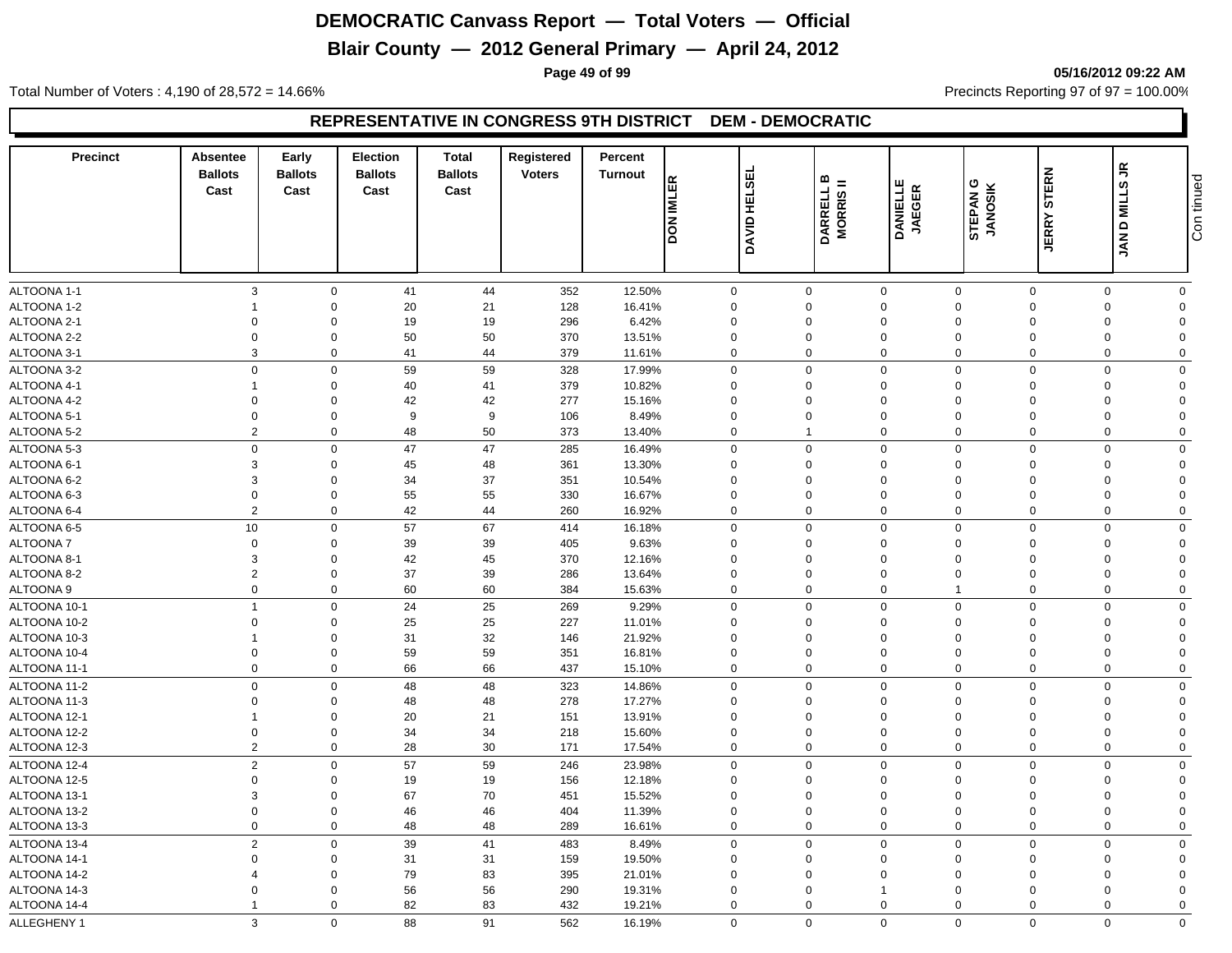# **Blair County — 2012 General Primary — April 24, 2012**

**Page 49 of 99 05/16/2012 09:22 AM**

Total Number of Voters : 4,190 of 28,572 = 14.66% Precincts Reporting 97 of 97 = 100.00%

| <b>Precinct</b> | Absentee<br><b>Ballots</b><br>Cast | Early<br><b>Ballots</b><br>Cast | Election<br><b>Ballots</b><br>Cast | <b>Total</b><br><b>Ballots</b><br>Cast | Registered<br><b>Voters</b> | Percent<br><b>Turnout</b> | <b>DON IMLER</b> | DAVID HELSEI | $\omega =$<br>DARRELL I<br>MORRIS II | <b>DANIELLE</b><br>JAEGER | STEPAN <sub>G</sub><br><b>JANOSIK</b> | STERN<br><b>JERRY</b> | <<br>ဖ<br>NILL<br>$\mathbf \Omega$<br><b>NAL</b> | Con tinued     |
|-----------------|------------------------------------|---------------------------------|------------------------------------|----------------------------------------|-----------------------------|---------------------------|------------------|--------------|--------------------------------------|---------------------------|---------------------------------------|-----------------------|--------------------------------------------------|----------------|
| ALTOONA 1-1     | 3                                  | $\mathbf 0$                     | 41                                 | 44                                     | 352                         | 12.50%                    | 0                |              | $\mathbf 0$                          | $\mathbf 0$               | $\mathbf 0$                           | $\mathbf 0$           | 0                                                | $\mathbf 0$    |
| ALTOONA 1-2     | $\overline{1}$                     | $\Omega$                        | 20                                 | 21                                     | 128                         | 16.41%                    | $\mathbf 0$      |              | 0                                    | $\mathbf 0$               | $\Omega$                              | $\Omega$              | $\mathbf 0$                                      | $\Omega$       |
| ALTOONA 2-1     | $\mathbf 0$                        | $\Omega$                        | 19                                 | 19                                     | 296                         | 6.42%                     | $\mathbf 0$      |              | 0                                    | $\mathbf 0$               | $\Omega$                              | $\Omega$              | $\mathbf 0$                                      | $\Omega$       |
| ALTOONA 2-2     | $\overline{0}$                     | $\Omega$                        | 50                                 | 50                                     | 370                         | 13.51%                    | $\Omega$         |              | 0                                    | $\Omega$                  | $\Omega$                              | $\Omega$              | $\mathbf 0$                                      | $\Omega$       |
| ALTOONA 3-1     | 3                                  | $\mathbf 0$                     | 41                                 | 44                                     | 379                         | 11.61%                    | $\mathbf 0$      |              | $\mathbf 0$                          | $\mathbf 0$               | $\Omega$                              | $\mathbf 0$           | $\mathbf 0$                                      | $\mathbf 0$    |
| ALTOONA 3-2     | $\mathbf 0$                        | $\Omega$                        | 59                                 | 59                                     | 328                         | 17.99%                    | 0                |              | $\mathbf 0$                          | $\mathbf 0$               | $\Omega$                              | $\Omega$              | $\Omega$                                         | $\Omega$       |
| ALTOONA 4-1     | $\overline{1}$                     | $\Omega$                        | 40                                 | 41                                     | 379                         | 10.82%                    | 0                |              | $\mathbf 0$                          | $\Omega$                  | $\Omega$                              | $\Omega$              | $\Omega$                                         | $\Omega$       |
| ALTOONA 4-2     | $\Omega$                           | $\Omega$                        | 42                                 | 42                                     | 277                         | 15.16%                    | $\Omega$         |              | $\Omega$                             | $\Omega$                  | $\Omega$                              | $\Omega$              | $\Omega$                                         | $\Omega$       |
| ALTOONA 5-1     | $\Omega$                           | $\Omega$                        | 9                                  | 9                                      | 106                         | 8.49%                     | $\mathbf 0$      |              | $\Omega$                             | $\Omega$                  | $\Omega$                              | $\Omega$              | $\Omega$                                         | $\Omega$       |
| ALTOONA 5-2     | $\overline{2}$                     | $\mathbf 0$                     | 48                                 | 50                                     | 373                         | 13.40%                    | $\mathbf 0$      |              | $\overline{1}$                       | $\mathbf 0$               | $\mathbf 0$                           | $\mathbf 0$           | $\mathbf 0$                                      | $\mathbf 0$    |
| ALTOONA 5-3     | $\overline{0}$                     | $\Omega$                        | 47                                 | 47                                     | 285                         | 16.49%                    | $\mathbf 0$      |              | $\mathbf 0$                          | $\mathbf 0$               | $\mathbf 0$                           | $\Omega$              | $\mathbf 0$                                      | $\Omega$       |
| ALTOONA 6-1     | 3                                  | $\Omega$                        | 45                                 | 48                                     | 361                         | 13.30%                    | $\Omega$         |              | 0                                    | $\Omega$                  | $\Omega$                              | $\Omega$              | $\Omega$                                         | $\Omega$       |
| ALTOONA 6-2     | 3                                  | $\Omega$                        | 34                                 | 37                                     | 351                         | 10.54%                    | $\Omega$         |              | $\mathbf 0$                          | $\Omega$                  | $\Omega$                              | $\Omega$              | $\Omega$                                         | $\Omega$       |
| ALTOONA 6-3     | $\overline{0}$                     | $\Omega$                        | 55                                 | 55                                     | 330                         | 16.67%                    | $\mathbf 0$      |              | $\overline{0}$                       | $\Omega$                  | $\Omega$                              | $\Omega$              | $\Omega$                                         | $\Omega$       |
| ALTOONA 6-4     | $\overline{2}$                     | $\mathbf 0$                     | 42                                 | 44                                     | 260                         | 16.92%                    | $\mathbf 0$      |              | $\mathbf 0$                          | $\mathbf 0$               | $\Omega$                              | $\Omega$              | $\mathbf 0$                                      | $\mathbf 0$    |
| ALTOONA 6-5     | 10                                 | $\mathbf 0$                     | 57                                 | 67                                     | 414                         | 16.18%                    | $\mathbf 0$      |              | $\mathbf 0$                          | $\mathbf 0$               | $\mathbf 0$                           | $\mathbf 0$           | $\Omega$                                         | $\Omega$       |
| <b>ALTOONA7</b> | $\mathbf 0$                        | $\Omega$                        | 39                                 | 39                                     | 405                         | 9.63%                     | $\mathbf 0$      |              | $\mathbf 0$                          | $\mathbf 0$               | $\Omega$                              | $\Omega$              | $\Omega$                                         | $\Omega$       |
| ALTOONA 8-1     | 3                                  | $\Omega$                        | 42                                 | 45                                     | 370                         | 12.16%                    | $\Omega$         |              | $\Omega$                             | $\Omega$                  | $\Omega$                              | $\Omega$              | $\Omega$                                         | $\Omega$       |
| ALTOONA 8-2     | $\overline{2}$                     | $\Omega$                        | 37                                 | 39                                     | 286                         | 13.64%                    | $\mathbf 0$      |              | $\mathbf 0$                          | $\mathbf 0$               | $\Omega$                              | $\Omega$              | $\Omega$                                         | $\Omega$       |
| ALTOONA 9       | $\overline{0}$                     | $\mathbf 0$                     | 60                                 | 60                                     | 384                         | 15.63%                    | $\mathbf 0$      |              | $\mathbf 0$                          | $\mathbf 0$               | -1                                    | $\Omega$              | $\mathbf 0$                                      | $\Omega$       |
| ALTOONA 10-1    | $\overline{1}$                     | $\Omega$                        | 24                                 | 25                                     | 269                         | 9.29%                     | $\mathbf 0$      |              | $\mathsf 0$                          | $\mathbf 0$               | $\mathbf 0$                           | $\mathbf 0$           | $\mathbf 0$                                      | $\mathbf 0$    |
| ALTOONA 10-2    | $\overline{0}$                     | $\Omega$                        | 25                                 | 25                                     | 227                         | 11.01%                    | $\Omega$         |              | $\mathbf 0$                          | $\Omega$                  | $\Omega$                              | $\Omega$              | $\Omega$                                         | $\Omega$       |
| ALTOONA 10-3    | $\mathbf 1$                        | $\Omega$                        | 31                                 | 32                                     | 146                         | 21.92%                    | $\mathbf 0$      |              | $\mathbf 0$                          | $\mathbf 0$               | $\Omega$                              | $\Omega$              | $\Omega$                                         | $\overline{0}$ |
| ALTOONA 10-4    | $\mathbf 0$                        | $\Omega$                        | 59                                 | 59                                     | 351                         | 16.81%                    | $\mathbf 0$      |              | $\mathbf 0$                          | $\mathbf 0$               | $\mathbf 0$                           | $\Omega$              | $\mathbf 0$                                      | $\Omega$       |
| ALTOONA 11-1    | $\mathbf 0$                        | $\mathbf 0$                     | 66                                 | 66                                     | 437                         | 15.10%                    | $\mathbf 0$      |              | $\mathbf 0$                          | $\mathbf 0$               | $\mathbf 0$                           | $\mathbf 0$           | $\mathbf 0$                                      | $\mathbf 0$    |
| ALTOONA 11-2    | $\mathbf 0$                        | $\Omega$                        | 48                                 | 48                                     | 323                         | 14.86%                    | $\mathbf 0$      |              | $\mathbf 0$                          | $\mathbf 0$               | $\Omega$                              | $\Omega$              | $\Omega$                                         | $\Omega$       |
| ALTOONA 11-3    | $\Omega$                           | $\Omega$                        | 48                                 | 48                                     | 278                         | 17.27%                    | $\mathbf 0$      |              | $\Omega$                             | $\Omega$                  | $\Omega$                              | $\Omega$              | $\Omega$                                         | $\Omega$       |
| ALTOONA 12-1    | -1                                 | $\Omega$                        | 20                                 | 21                                     | 151                         | 13.91%                    | $\mathbf 0$      |              | $\Omega$                             | $\Omega$                  | $\Omega$                              | $\Omega$              | $\Omega$                                         | $\Omega$       |
| ALTOONA 12-2    | $\overline{0}$                     | $\Omega$                        | 34                                 | 34                                     | 218                         | 15.60%                    | $\mathbf 0$      |              | $\mathbf 0$                          | $\mathbf 0$               | $\mathbf 0$                           | $\Omega$              | $\mathbf 0$                                      | $\Omega$       |
| ALTOONA 12-3    | $\overline{2}$                     | $\mathbf 0$                     | 28                                 | 30                                     | 171                         | 17.54%                    | $\mathbf 0$      |              | $\mathbf 0$                          | $\mathbf 0$               | $\mathbf 0$                           | $\mathbf 0$           | $\mathbf 0$                                      | $\mathbf 0$    |
| ALTOONA 12-4    | $\overline{2}$                     | $\mathbf 0$                     | 57                                 | 59                                     | 246                         | 23.98%                    | $\mathbf 0$      |              | $\mathsf 0$                          | $\mathbf 0$               | $\Omega$                              | $\Omega$              | $\mathbf 0$                                      | $\mathbf 0$    |
| ALTOONA 12-5    | $\overline{0}$                     | $\Omega$                        | 19                                 | 19                                     | 156                         | 12.18%                    | $\mathbf 0$      |              | $\mathbf 0$                          | $\Omega$                  | $\Omega$                              | $\Omega$              | $\Omega$                                         | $\Omega$       |
| ALTOONA 13-1    | 3                                  | $\Omega$                        | 67                                 | 70                                     | 451                         | 15.52%                    | $\mathbf{0}$     |              | $\mathbf 0$                          | $\Omega$                  | $\Omega$                              | $\Omega$              | $\Omega$                                         | $\Omega$       |
| ALTOONA 13-2    | $\Omega$                           | $\Omega$                        | 46                                 | 46                                     | 404                         | 11.39%                    | $\mathbf 0$      |              | $\Omega$                             | $\mathbf 0$               | $\Omega$                              | $\Omega$              | $\Omega$                                         | $\Omega$       |
| ALTOONA 13-3    | $\mathbf 0$                        | $\mathbf 0$                     | 48                                 | 48                                     | 289                         | 16.61%                    | 0                |              | $\mathbf 0$                          | $\mathbf 0$               | $\Omega$                              | $\Omega$              | $\Omega$                                         | $\mathbf 0$    |
| ALTOONA 13-4    | $\overline{2}$                     | $\mathbf 0$                     | 39                                 | 41                                     | 483                         | 8.49%                     | $\mathbf 0$      |              | $\mathsf 0$                          | $\mathbf 0$               | $\Omega$                              | $\Omega$              | $\mathbf 0$                                      | $\mathbf 0$    |
| ALTOONA 14-1    | $\Omega$                           | $\Omega$                        | 31                                 | 31                                     | 159                         | 19.50%                    | $\mathbf 0$      |              | $\mathbf 0$                          | $\Omega$                  | $\Omega$                              | $\Omega$              | $\Omega$                                         | $\Omega$       |
| ALTOONA 14-2    |                                    | $\Omega$                        | 79                                 | 83                                     | 395                         | 21.01%                    | $\mathbf 0$      |              | $\Omega$                             | $\Omega$                  | $\Omega$                              | $\Omega$              | $\Omega$                                         | $\Omega$       |
| ALTOONA 14-3    | $\Omega$                           | $\Omega$                        | 56                                 | 56                                     | 290                         | 19.31%                    | $\Omega$         |              | $\Omega$                             |                           | $\Omega$                              | $\Omega$              | $\Omega$                                         | $\Omega$       |
| ALTOONA 14-4    |                                    | $\Omega$                        | 82                                 | 83                                     | 432                         | 19.21%                    | $\mathbf 0$      |              | $\mathbf 0$                          | $\Omega$                  | $\Omega$                              | $\Omega$              | $\Omega$                                         | $\Omega$       |
| ALLEGHENY 1     | 3                                  | $\mathbf 0$                     | 88                                 | 91                                     | 562                         | 16.19%                    | $\mathbf 0$      |              | $\mathbf 0$                          | $\mathbf 0$               | $\mathbf 0$                           | $\mathbf 0$           | $\mathbf 0$                                      | $\mathbf 0$    |
|                 |                                    |                                 |                                    |                                        |                             |                           |                  |              |                                      |                           |                                       |                       |                                                  |                |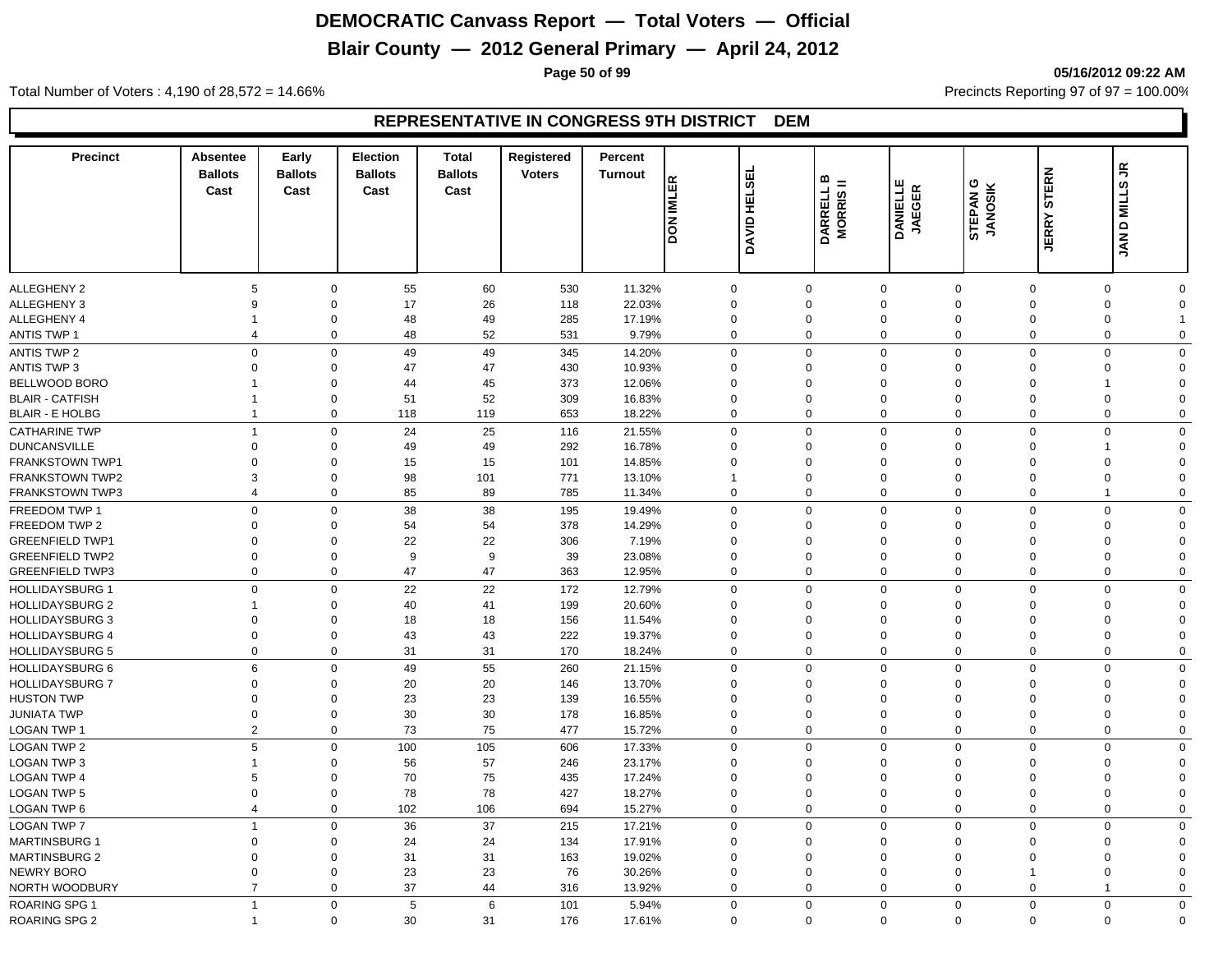# **Blair County — 2012 General Primary — April 24, 2012**

**Page 50 of 99 05/16/2012 09:22 AM**

Total Number of Voters : 4,190 of 28,572 = 14.66% Precincts Reporting 97 of 97 = 100.00%

| <b>Precinct</b>        | Absentee<br><b>Ballots</b><br>Cast | Early<br><b>Ballots</b><br>Cast | <b>Election</b><br><b>Ballots</b><br>Cast | <b>Total</b><br><b>Ballots</b><br>Cast | Registered<br><b>Voters</b> | Percent<br><b>Turnout</b> | <b>DON IMLER</b>           | DAVID HELSEL | ≃<br>Ξ<br>DARRELL I<br>MORRIS II | <b>DANIELLE</b><br><b>JAEGER</b> | ပ<br>STEPAN G<br>JANOSIK | <b>STERN</b><br><b>JERRY</b>  | £,<br><b>JAN D MILLS</b>      |
|------------------------|------------------------------------|---------------------------------|-------------------------------------------|----------------------------------------|-----------------------------|---------------------------|----------------------------|--------------|----------------------------------|----------------------------------|--------------------------|-------------------------------|-------------------------------|
|                        |                                    |                                 |                                           |                                        |                             |                           |                            |              |                                  |                                  |                          |                               |                               |
| <b>ALLEGHENY 2</b>     | 5                                  | $\Omega$                        | 55                                        | 60                                     | 530                         | 11.32%                    | $\mathbf 0$                |              | $\Omega$                         | $\mathbf 0$                      | $\mathbf 0$              | $\overline{0}$                | $\mathbf 0$<br>$\Omega$       |
| <b>ALLEGHENY 3</b>     | 9                                  | $\mathbf 0$                     | 17                                        | 26                                     | 118                         | 22.03%                    | $\mathbf 0$                |              | $\Omega$                         | $\mathbf 0$                      | $\Omega$                 | $\Omega$                      | $\mathbf 0$<br>$\Omega$       |
| <b>ALLEGHENY 4</b>     | -1                                 | $\mathbf 0$                     | 48                                        | 49                                     | 285                         | 17.19%                    | $\mathbf 0$                |              | 0                                | $\mathbf 0$                      | $\Omega$                 | $\mathbf 0$                   | 0                             |
| <b>ANTIS TWP 1</b>     | 4                                  | $\mathbf 0$                     | 48                                        | 52                                     | 531                         | 9.79%                     | $\mathbf 0$                |              | $\mathbf 0$                      | $\mathbf 0$                      | $\mathbf 0$              | $\overline{0}$                | $\mathbf 0$<br>$\mathbf 0$    |
| ANTIS TWP 2            | $\mathbf 0$                        | $\mathbf 0$                     | 49                                        | 49                                     | 345                         | 14.20%                    | $\mathbf 0$                |              | $\mathbf 0$                      | $\mathbf 0$                      | $\mathbf 0$              | $\overline{0}$                | $\mathbf 0$<br>$\Omega$       |
| <b>ANTIS TWP 3</b>     | $\overline{0}$                     | $\mathbf 0$                     | 47                                        | 47                                     | 430                         | 10.93%                    | $\mathbf 0$                |              | $\mathbf 0$                      | $\mathbf 0$                      | $\Omega$                 | $\mathbf 0$                   | 0<br>$\Omega$                 |
| BELLWOOD BORO          |                                    | $\mathbf 0$                     | 44                                        | 45                                     | 373                         | 12.06%                    | $\mathbf 0$                |              | $\mathbf 0$                      | $\mathbf 0$                      | $\Omega$                 | $\mathbf 0$                   | $\Omega$<br>1                 |
| <b>BLAIR - CATFISH</b> | $\mathbf 1$                        | 0                               | 51                                        | 52                                     | 309                         | 16.83%                    | $\mathbf 0$                |              | $\mathbf 0$                      | $\mathbf 0$                      | $\mathbf 0$              | $\mathbf 0$                   | 0<br>$\Omega$                 |
| <b>BLAIR - E HOLBG</b> | $\overline{1}$                     | 0                               | 118                                       | 119                                    | 653                         | 18.22%                    | $\mathbf 0$                |              | $\mathbf 0$                      | $\mathbf 0$                      | $\mathbf 0$              | $\overline{0}$                | 0<br>$\mathbf 0$              |
| <b>CATHARINE TWP</b>   | $\overline{1}$                     | $\mathbf 0$                     | 24                                        | 25                                     | 116                         | 21.55%                    | $\Omega$                   |              | $\Omega$                         | $\mathbf 0$                      | $\Omega$                 | $\Omega$                      | $\mathbf 0$<br>$\Omega$       |
| <b>DUNCANSVILLE</b>    | $\Omega$                           | $\Omega$                        | 49                                        | 49                                     | 292                         | 16.78%                    | $\Omega$                   |              | $\Omega$                         | $\mathbf 0$                      | $\Omega$                 | $\Omega$                      | $\Omega$<br>1                 |
| <b>FRANKSTOWN TWP1</b> | $\Omega$                           | $\mathbf 0$                     | 15                                        | 15                                     | 101                         | 14.85%                    | $\Omega$                   |              | $\Omega$                         | $\mathbf 0$                      | $\Omega$                 | $\Omega$                      | $\mathbf 0$<br>$\Omega$       |
| <b>FRANKSTOWN TWP2</b> | 3                                  | $\mathbf 0$                     | 98                                        | 101                                    | 771                         | 13.10%                    |                            |              | $\mathbf 0$                      | $\mathbf 0$                      | $\mathbf 0$              | $\Omega$                      | $\mathbf 0$<br>$\Omega$       |
| <b>FRANKSTOWN TWP3</b> | $\overline{4}$                     | $\mathbf 0$                     | 85                                        | 89                                     | 785                         | 11.34%                    | $\mathbf 0$                |              | $\mathbf 0$                      | $\mathbf 0$                      | $\mathbf 0$              | $\overline{0}$                | $\overline{1}$<br>$\mathbf 0$ |
| FREEDOM TWP 1          | $\mathsf 0$                        | $\mathbf 0$                     | 38                                        | 38                                     | 195                         | 19.49%                    | $\mathbf 0$                |              | $\mathbf 0$                      | $\mathbf 0$                      | $\Omega$                 | $\overline{0}$                | $\mathbf 0$<br>$\mathbf 0$    |
| FREEDOM TWP 2          | $\mathbf 0$                        | $\mathbf 0$                     | 54                                        | 54                                     | 378                         | 14.29%                    | $\mathbf 0$                |              | $\mathbf 0$                      | $\mathbf 0$                      | $\Omega$                 | $\mathbf 0$                   | 0<br>$\Omega$                 |
| <b>GREENFIELD TWP1</b> | $\mathbf 0$                        | $\mathbf 0$                     | 22                                        | 22                                     | 306                         | 7.19%                     | $\mathbf 0$                |              | $\mathbf 0$                      | $\mathbf 0$                      | $\Omega$                 | $\mathbf 0$                   | 0<br>$\mathbf 0$              |
| <b>GREENFIELD TWP2</b> | $\mathbf 0$                        | $\mathbf 0$                     | 9                                         | 9                                      | 39                          | 23.08%                    | $\mathbf 0$                |              | $\mathbf 0$                      | $\mathbf 0$                      | $\mathbf 0$              | $\mathbf 0$                   | $\mathbf 0$<br>$\Omega$       |
| <b>GREENFIELD TWP3</b> | $\overline{0}$                     | 0                               | 47                                        | 47                                     | 363                         | 12.95%                    | $\mathbf 0$                |              | $\mathbf 0$                      | $\mathbf 0$                      | $\mathbf 0$              | $\mathbf 0$                   | 0<br>$\mathbf 0$              |
| <b>HOLLIDAYSBURG 1</b> | $\mathbf 0$                        | $\mathbf 0$                     | 22                                        | 22                                     | 172                         | 12.79%                    | $\mathbf 0$                |              | $\Omega$                         | $\mathbf{0}$                     | $\mathbf 0$              | $\Omega$                      | $\mathbf 0$<br>$\Omega$       |
| <b>HOLLIDAYSBURG 2</b> | 1                                  | $\mathbf 0$                     | 40                                        | 41                                     | 199                         | 20.60%                    | $\Omega$                   |              | $\mathbf 0$                      | $\mathbf 0$                      | $\Omega$                 | $\Omega$                      | $\mathbf 0$<br>$\Omega$       |
| <b>HOLLIDAYSBURG 3</b> | $\Omega$                           | $\mathbf 0$                     | 18                                        | 18                                     | 156                         | 11.54%                    | $\Omega$                   |              | $\Omega$                         | $\mathbf 0$                      | $\Omega$                 | $\Omega$                      | $\mathbf 0$<br>$\Omega$       |
| <b>HOLLIDAYSBURG 4</b> | $\overline{0}$                     | $\mathbf 0$                     | 43                                        | 43                                     | 222                         | 19.37%                    | $\mathbf 0$                |              | 0                                | $\mathbf 0$                      | $\mathbf 0$              | $\overline{0}$                | $\mathbf 0$<br>$\Omega$       |
| <b>HOLLIDAYSBURG 5</b> | $\overline{0}$                     | $\mathbf 0$                     | 31                                        | 31                                     | 170                         | 18.24%                    | $\mathbf 0$                |              | $\mathbf 0$                      | $\mathbf 0$                      | $\mathbf 0$              | $\overline{0}$                | $\mathbf 0$<br>$\mathbf 0$    |
| HOLLIDAYSBURG 6        | 6                                  | $\mathbf 0$                     | 49                                        | 55                                     | 260                         | 21.15%                    | $\mathbf 0$                |              | $\Omega$                         | $\mathbf 0$                      | $\Omega$                 | $\Omega$                      | $\mathbf 0$<br>$\Omega$       |
| <b>HOLLIDAYSBURG 7</b> | $\mathbf 0$                        | $\mathbf 0$                     | 20                                        | 20                                     | 146                         | 13.70%                    | $\mathbf 0$                |              | $\mathbf 0$                      | $\mathbf 0$                      | $\Omega$                 | $\mathbf 0$                   | $\mathbf 0$<br>$\Omega$       |
| <b>HUSTON TWP</b>      | $\mathbf 0$                        | $\mathbf 0$                     | 23                                        | 23                                     | 139                         | 16.55%                    | $\mathbf 0$                |              | $\mathbf 0$                      | $\mathbf 0$                      | $\mathbf 0$              | $\mathbf 0$                   | 0<br>$\Omega$                 |
| <b>JUNIATA TWP</b>     | $\mathbf 0$                        | 0                               | 30                                        | 30                                     | 178                         | 16.85%                    | $\mathbf 0$                |              | $\mathbf 0$                      | $\mathbf 0$                      | $\mathbf 0$              | $\mathbf 0$                   | 0<br>$\Omega$                 |
| LOGAN TWP 1            | $\overline{2}$                     | $\mathbf 0$                     | 73                                        | 75                                     | 477                         | 15.72%                    | $\mathbf 0$                |              | $\mathbf 0$                      | $\mathbf 0$                      | $\mathbf 0$              | $\overline{0}$                | $\mathbf 0$<br>$\mathbf 0$    |
| <b>LOGAN TWP 2</b>     | 5                                  | $\mathbf 0$                     | 100                                       | 105                                    | 606                         | 17.33%                    | $\Omega$                   |              | $\Omega$                         | $\mathbf 0$                      | $\mathbf 0$              | $\Omega$                      | $\mathbf 0$<br>$\Omega$       |
| <b>LOGAN TWP 3</b>     | $\overline{1}$                     | $\mathbf 0$                     | 56                                        | 57                                     | 246                         | 23.17%                    | $\mathbf 0$                |              | $\mathbf 0$                      | $\mathbf 0$                      | $\Omega$                 | $\Omega$                      | $\mathbf 0$<br>$\Omega$       |
| <b>LOGAN TWP 4</b>     | 5                                  | $\mathbf 0$                     | 70                                        | 75                                     | 435                         | 17.24%                    | $\Omega$                   |              | $\Omega$                         | $\mathbf 0$                      | $\Omega$                 | $\Omega$                      | $\mathbf 0$<br>$\Omega$       |
| <b>LOGAN TWP 5</b>     | $\overline{0}$                     | $\mathbf 0$                     | 78                                        | 78                                     | 427                         | 18.27%                    | $\Omega$                   |              | $\mathbf 0$                      | $\mathbf 0$                      | $\mathbf 0$              | $\overline{0}$                | $\mathbf 0$<br>$\Omega$       |
| LOGAN TWP 6            | $\overline{4}$                     | $\mathbf 0$                     | 102                                       | 106                                    | 694                         | 15.27%                    | $\mathbf 0$                |              | $\mathbf 0$                      | $\mathbf 0$                      | $\mathbf 0$              | $\overline{0}$                | $\mathbf 0$<br>$\mathbf 0$    |
| <b>LOGAN TWP 7</b>     | $\mathbf{1}$                       | $\mathbf 0$                     | 36                                        | 37                                     |                             |                           | $\mathbf 0$                |              | $\mathbf 0$                      | $\mathbf 0$                      | $\mathbf 0$              | $\overline{0}$                | $\mathbf 0$<br>$\mathbf 0$    |
|                        | $\Omega$                           | $\Omega$                        |                                           |                                        | 215                         | 17.21%                    | $\Omega$                   |              | $\Omega$                         |                                  | $\Omega$                 | $\Omega$                      | $\Omega$                      |
| <b>MARTINSBURG 1</b>   |                                    |                                 | 24                                        | 24                                     | 134                         | 17.91%                    |                            |              |                                  | $\mathbf 0$                      | $\Omega$                 |                               | 0<br>$\Omega$                 |
| <b>MARTINSBURG 2</b>   | $\mathbf 0$                        | $\mathbf 0$<br>$\mathbf 0$      | 31                                        | 31                                     | 163                         | 19.02%                    | $\mathbf 0$<br>$\mathbf 0$ |              | $\mathbf 0$<br>$\mathbf 0$       | $\mathbf 0$                      |                          | $\mathbf 0$<br>$\overline{1}$ | 0<br>$\Omega$                 |
| NEWRY BORO             | $\mathbf 0$<br>$\overline{7}$      | $\mathbf 0$                     | 23<br>37                                  | 23<br>44                               | 76                          | 30.26%                    | $\mathbf 0$                |              | $\mathbf 0$                      | $\mathbf 0$<br>$\mathbf 0$       | $\mathbf 0$<br>$\Omega$  | $\overline{0}$                | 0<br>1<br>$\mathbf 0$         |
| NORTH WOODBURY         |                                    |                                 |                                           |                                        | 316                         | 13.92%                    |                            |              |                                  |                                  |                          |                               |                               |
| <b>ROARING SPG 1</b>   | $\overline{1}$                     | $\mathbf 0$                     | 5                                         | 6                                      | 101                         | 5.94%                     | $\Omega$                   |              | $\Omega$                         | $\mathbf 0$                      | $\mathbf 0$              | $\mathbf 0$                   | $\mathbf 0$<br>$\Omega$       |
| <b>ROARING SPG 2</b>   | $\overline{\mathbf{1}}$            | $\mathbf 0$                     | 30                                        | 31                                     | 176                         | 17.61%                    | $\Omega$                   |              | $\mathbf 0$                      | $\mathbf 0$                      | $\mathbf 0$              | $\mathbf 0$                   | $\mathbf 0$<br>$\Omega$       |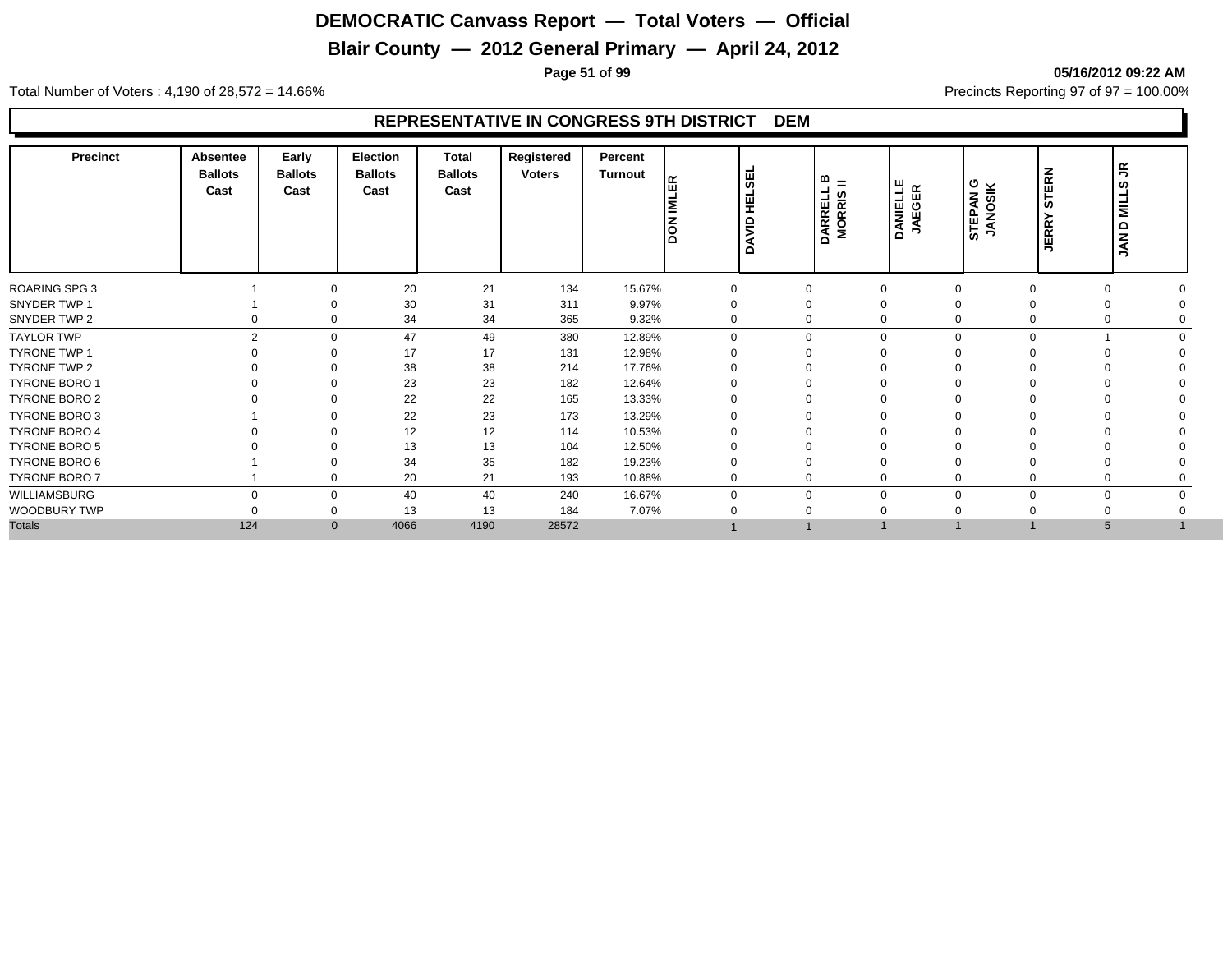# **Blair County — 2012 General Primary — April 24, 2012**

**Page 51 of 99 05/16/2012 09:22 AM**

Total Number of Voters : 4,190 of 28,572 = 14.66% Precincts Reporting 97 of 97 = 100.00%

| Precinct             | <b>Absentee</b><br><b>Ballots</b><br>Cast | Early<br><b>Ballots</b><br>Cast | <b>Election</b><br><b>Ballots</b><br>Cast | <b>Total</b><br><b>Ballots</b><br>Cast | Registered<br><b>Voters</b> | Percent<br>Turnout | ١Æ<br>İΣ<br><b>S</b> | l₩<br>∏≣<br>H<br>DAVID | $m_{\tilde{e}} =$<br>DARRELL<br>MORRIS I | <b>DANIELLE</b><br>JAEGER | STEPAN G<br>JANOSIK | <b>STERN</b><br><b>JERRY</b> | 뚝<br>ဖာ<br>MILL!<br>JAN D |
|----------------------|-------------------------------------------|---------------------------------|-------------------------------------------|----------------------------------------|-----------------------------|--------------------|----------------------|------------------------|------------------------------------------|---------------------------|---------------------|------------------------------|---------------------------|
| <b>ROARING SPG 3</b> |                                           | $\Omega$                        | 20                                        | 21                                     | 134                         | 15.67%             | 0                    |                        | $\mathbf 0$                              | $\Omega$                  | 0                   | $\Omega$                     |                           |
| SNYDER TWP 1         |                                           |                                 | 30                                        | 31                                     | 311                         | 9.97%              |                      |                        | 0                                        | $\Omega$                  |                     | $\Omega$                     |                           |
| SNYDER TWP 2         | 0                                         | $\Omega$                        | 34                                        | 34                                     | 365                         | 9.32%              | 0                    |                        | 0                                        | $\Omega$                  | 0                   | $\Omega$                     |                           |
| <b>TAYLOR TWP</b>    |                                           | $\overline{2}$<br>$\Omega$      | 47                                        | 49                                     | 380                         | 12.89%             | $\Omega$             |                        | $\mathbf 0$                              | $\Omega$<br>$\Omega$      | $\Omega$            |                              |                           |
| <b>TYRONE TWP 1</b>  |                                           |                                 | 17                                        | 17                                     | 131                         | 12.98%             |                      |                        | $\Omega$                                 |                           |                     |                              |                           |
| TYRONE TWP 2         |                                           | $\Omega$                        | 38                                        | 38                                     | 214                         | 17.76%             |                      |                        | 0                                        |                           |                     |                              |                           |
| <b>TYRONE BORO 1</b> |                                           | $\Omega$                        | 23                                        | 23                                     | 182                         | 12.64%             |                      |                        | 0                                        |                           |                     |                              |                           |
| TYRONE BORO 2        | 0                                         | $\mathbf 0$                     | 22                                        | 22                                     | 165                         | 13.33%             | 0                    |                        | 0                                        | $\mathbf 0$               | 0                   | 0                            |                           |
| TYRONE BORO 3        |                                           | $\Omega$                        | 22                                        | 23                                     | 173                         | 13.29%             | $\Omega$             |                        | 0                                        | $\Omega$                  | $\Omega$            | $\Omega$                     |                           |
| <b>TYRONE BORO 4</b> |                                           | $\Omega$                        | 12                                        | 12                                     | 114                         | 10.53%             |                      |                        | 0                                        |                           |                     |                              |                           |
| <b>TYRONE BORO 5</b> |                                           |                                 | 13                                        | 13                                     | 104                         | 12.50%             |                      |                        |                                          |                           |                     |                              |                           |
| TYRONE BORO 6        |                                           |                                 | 34                                        | 35                                     | 182                         | 19.23%             |                      |                        | 0                                        |                           |                     | $\Omega$                     |                           |
| TYRONE BORO 7        |                                           | $\mathbf 0$                     | 20                                        | 21                                     | 193                         | 10.88%             | $\mathbf 0$          |                        | 0                                        | $\mathbf 0$               |                     | 0                            |                           |
| WILLIAMSBURG         |                                           | $\Omega$<br>$\mathbf 0$         | 40                                        | 40                                     | 240                         | 16.67%             | 0                    |                        | 0                                        | $\Omega$<br>$\Omega$      | $\Omega$            | $\mathbf 0$                  |                           |
| WOODBURY TWP         |                                           | $\Omega$                        | 13                                        | 13                                     | 184                         | 7.07%              |                      |                        | $\Omega$                                 |                           |                     |                              |                           |
| <b>Totals</b>        | 124                                       | $\mathbf{0}$                    | 4066                                      | 4190                                   | 28572                       |                    |                      |                        |                                          |                           |                     | 5                            |                           |
|                      |                                           |                                 |                                           |                                        |                             |                    |                      |                        |                                          |                           |                     |                              |                           |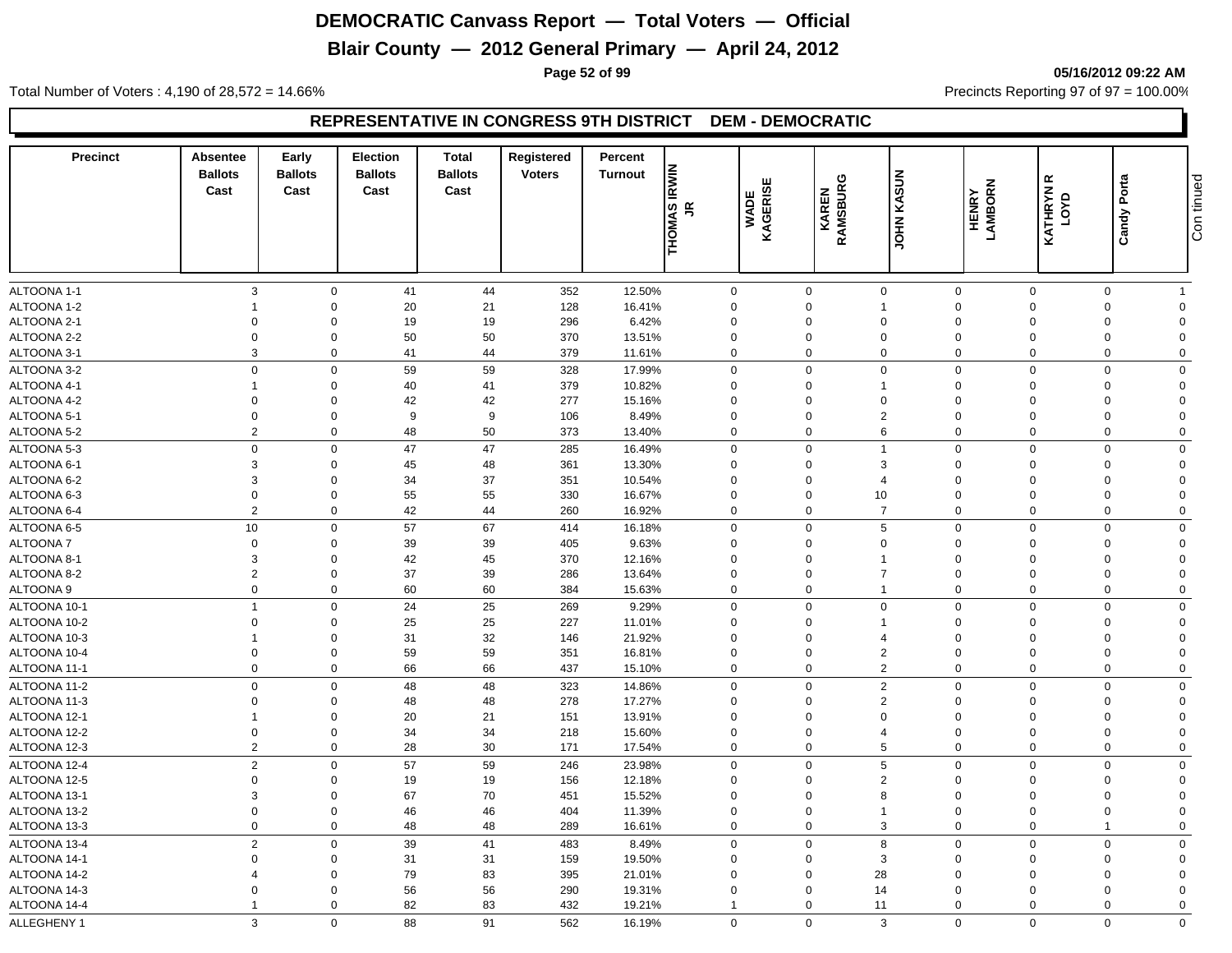# **Blair County — 2012 General Primary — April 24, 2012**

**Page 52 of 99 05/16/2012 09:22 AM**

Total Number of Voters : 4,190 of 28,572 = 14.66% Precincts Reporting 97 of 97 = 100.00%

| <b>Precinct</b>                | <b>Absentee</b><br><b>Ballots</b><br>Cast | Early<br><b>Ballots</b><br>Cast | Election<br><b>Ballots</b><br>Cast | <b>Total</b><br><b>Ballots</b><br>Cast | Registered<br><b>Voters</b> | Percent<br>Turnout | <b>THOMAS IRWIN</b><br>JR  | KAGERISE<br><b>WADE</b> | KAREN<br>RAMSBURG          | <b>UOHN KASUN</b>             | <b>HENRY</b><br>LAMBORN    | $\propto$<br><b>KATHRYN</b><br>LOYD | Porta<br>Candy          | Con tinued                 |
|--------------------------------|-------------------------------------------|---------------------------------|------------------------------------|----------------------------------------|-----------------------------|--------------------|----------------------------|-------------------------|----------------------------|-------------------------------|----------------------------|-------------------------------------|-------------------------|----------------------------|
|                                |                                           |                                 |                                    |                                        |                             |                    |                            |                         |                            |                               |                            |                                     |                         | $\overline{1}$             |
| ALTOONA 1-1<br>ALTOONA 1-2     | 3<br>-1                                   | $\mathbf 0$<br>$\mathbf 0$      | 41<br>20                           | 44<br>21                               | 352<br>128                  | 12.50%<br>16.41%   | $\mathbf 0$<br>$\mathbf 0$ |                         | $\mathbf 0$<br>0           | $\mathbf 0$<br>$\overline{1}$ | $\mathbf 0$<br>$\mathbf 0$ | $\mathbf 0$<br>$\Omega$             | 0<br>$\Omega$           | $\mathbf 0$                |
| ALTOONA 2-1                    | $\Omega$                                  | $\mathbf 0$                     | 19                                 | 19                                     | 296                         | 6.42%              | $\mathbf 0$                |                         | 0                          | $\mathbf 0$                   | $\mathbf 0$                | $\Omega$                            | $\Omega$                | $\Omega$                   |
| ALTOONA 2-2                    | $\overline{0}$                            | $\mathbf 0$                     | 50                                 | 50                                     | 370                         | 13.51%             | $\mathbf 0$                |                         | $\mathbf 0$                | $\mathbf 0$                   | $\mathbf 0$                | $\Omega$                            | $\mathbf 0$             | $\Omega$                   |
| ALTOONA 3-1                    | 3                                         | $\mathbf 0$                     | 41                                 | 44                                     | 379                         | 11.61%             | $\mathbf 0$                |                         | $\mathbf 0$                | $\mathbf 0$                   | $\mathbf 0$                | $\mathbf 0$                         | $\mathbf 0$             | $\mathbf 0$                |
|                                | $\Omega$                                  |                                 |                                    |                                        |                             |                    |                            |                         |                            |                               |                            |                                     |                         |                            |
| ALTOONA 3-2                    | $\overline{1}$                            | $\mathbf 0$                     | 59                                 | 59                                     | 328                         | 17.99%             | 0                          |                         | $\mathbf 0$                | $\mathbf 0$<br>$\overline{1}$ | $\mathbf 0$                | $\Omega$<br>$\Omega$                | $\Omega$                | $\mathbf 0$<br>$\Omega$    |
| ALTOONA 4-1                    | $\Omega$                                  | $\mathbf 0$<br>$\mathbf 0$      | 40                                 | 41                                     | 379                         | 10.82%             | 0<br>$\Omega$              |                         | 0<br>$\Omega$              |                               | $\Omega$<br>$\Omega$       | $\Omega$                            | $\Omega$<br>$\Omega$    | $\Omega$                   |
| ALTOONA 4-2                    | $\mathbf 0$                               | $\mathbf 0$                     | 42<br>9                            | 42<br>9                                | 277<br>106                  | 15.16%             | $\mathbf 0$                |                         | $\mathbf 0$                | $\mathbf 0$<br>$\overline{2}$ | $\Omega$                   | $\Omega$                            | $\Omega$                | $\mathbf 0$                |
| ALTOONA 5-1<br>ALTOONA 5-2     | $\overline{2}$                            | $\mathbf 0$                     | 48                                 | 50                                     | 373                         | 8.49%<br>13.40%    | $\mathbf 0$                |                         | $\mathbf 0$                | 6                             | $\mathbf 0$                | $\mathbf 0$                         | $\mathbf 0$             | $\mathbf 0$                |
|                                |                                           |                                 |                                    |                                        |                             |                    |                            |                         |                            |                               |                            |                                     |                         |                            |
| ALTOONA 5-3<br>ALTOONA 6-1     | $\mathbf 0$<br>3                          | $\mathbf 0$                     | 47                                 | 47<br>48                               | 285                         | 16.49%             | $\mathbf 0$<br>$\mathbf 0$ |                         | $\mathbf 0$<br>$\Omega$    | $\overline{1}$<br>3           | $\mathbf 0$<br>$\Omega$    | $\Omega$<br>$\Omega$                | $\Omega$<br>$\Omega$    | $\mathbf 0$<br>$\mathbf 0$ |
| ALTOONA 6-2                    | 3                                         | $\mathbf 0$<br>$\mathbf 0$      | 45<br>34                           | 37                                     | 361<br>351                  | 13.30%<br>10.54%   | $\mathbf 0$                |                         | $\mathbf 0$                | $\overline{4}$                | $\Omega$                   |                                     | $\Omega$                | $\Omega$                   |
| ALTOONA 6-3                    | $\mathbf 0$                               | $\mathsf 0$                     | 55                                 | 55                                     | 330                         | 16.67%             | $\mathbf 0$                |                         | $\overline{0}$             | $10$                          | $\Omega$                   | $\Omega$                            | $\Omega$                | $\mathbf 0$                |
| ALTOONA 6-4                    | $\overline{2}$                            | $\mathbf 0$                     | 42                                 | 44                                     | 260                         | 16.92%             | $\mathbf 0$                |                         | $\mathbf 0$                | $\overline{7}$                | $\Omega$                   | $\Omega$                            | $\mathbf 0$             | $\mathbf 0$                |
|                                |                                           |                                 |                                    |                                        |                             |                    |                            |                         | $\mathbf 0$                |                               |                            |                                     | $\Omega$                |                            |
| ALTOONA 6-5<br><b>ALTOONA7</b> | 10<br>$\mathbf 0$                         | $\mathsf 0$<br>$\mathbf 0$      | 57                                 | 67<br>39                               | 414                         | 16.18%<br>9.63%    | $\mathbf 0$<br>$\mathbf 0$ |                         | $\mathbf 0$                | $\sqrt{5}$<br>$\mathbf 0$     | $\mathbf 0$<br>$\Omega$    | $\mathbf 0$<br>$\Omega$             | $\Omega$                | $\mathbf 0$<br>$\Omega$    |
| ALTOONA 8-1                    | 3                                         | $\mathbf 0$                     | 39<br>42                           | 45                                     | 405<br>370                  |                    | $\Omega$                   |                         | $\Omega$                   | $\mathbf{1}$                  | $\Omega$                   | $\Omega$                            | $\Omega$                | $\Omega$                   |
| ALTOONA 8-2                    | $\overline{2}$                            | $\mathbf 0$                     | 37                                 | 39                                     | 286                         | 12.16%<br>13.64%   | $\mathbf 0$                |                         | $\mathbf 0$                | $\overline{7}$                | $\Omega$                   | $\Omega$                            | $\Omega$                | $\mathbf 0$                |
| ALTOONA 9                      | $\mathbf 0$                               | $\mathbf 0$                     | 60                                 | 60                                     | 384                         | 15.63%             | $\mathbf 0$                |                         | $\mathbf 0$                | $\overline{1}$                | $\mathbf 0$                | $\mathbf 0$                         | $\Omega$                | $\mathbf 0$                |
|                                |                                           |                                 |                                    |                                        |                             |                    |                            |                         |                            |                               |                            |                                     |                         |                            |
| ALTOONA 10-1                   | $\overline{1}$                            | $\mathbf 0$                     | 24                                 | 25                                     | 269                         | 9.29%              | $\mathbf 0$                |                         | $\mathbf 0$                | $\mathsf{O}\xspace$           | $\mathbf 0$                | $\Omega$                            | $\Omega$                | $\mathbf 0$                |
| ALTOONA 10-2                   | $\mathbf 0$                               | $\mathbf 0$                     | 25                                 | 25                                     | 227                         | 11.01%             | $\mathbf 0$                |                         | $\mathbf 0$                | $\mathbf{1}$                  | $\mathbf 0$                | $\Omega$<br>$\Omega$                | $\Omega$                | $\Omega$                   |
| ALTOONA 10-3                   |                                           | $\mathbf 0$                     | 31                                 | 32                                     | 146                         | 21.92%             | $\mathbf 0$                |                         | 0                          | $\overline{4}$                | $\mathbf 0$                | $\Omega$                            | $\Omega$                | $\mathbf 0$                |
| ALTOONA 10-4                   | $\mathbf 0$<br>$\mathbf 0$                | $\mathbf 0$<br>$\mathbf 0$      | 59                                 | 59<br>66                               | 351<br>437                  | 16.81%             | $\mathbf 0$<br>$\mathbf 0$ |                         | $\mathbf 0$<br>$\mathbf 0$ | $\overline{2}$<br>2           | $\mathbf 0$<br>$\mathbf 0$ | $\mathbf 0$                         | $\Omega$<br>$\mathbf 0$ | $\Omega$<br>$\mathbf 0$    |
| ALTOONA 11-1                   |                                           |                                 | 66                                 |                                        |                             | 15.10%             |                            |                         |                            |                               |                            |                                     |                         |                            |
| ALTOONA 11-2                   | $\mathbf 0$                               | $\mathbf 0$                     | 48                                 | 48                                     | 323                         | 14.86%             | $\mathbf 0$                |                         | $\mathbf 0$                | $\overline{2}$                | $\Omega$                   | $\Omega$                            | $\Omega$                | $\mathbf 0$                |
| ALTOONA 11-3                   | $\mathbf 0$                               | $\mathbf 0$                     | 48                                 | 48                                     | 278                         | 17.27%             | $\mathbf 0$<br>$\Omega$    |                         | $\mathbf 0$<br>$\Omega$    | $\overline{2}$                | $\Omega$<br>$\Omega$       | $\Omega$<br>$\Omega$                | $\Omega$<br>$\Omega$    | $\Omega$<br>$\Omega$       |
| ALTOONA 12-1                   | -1                                        | $\mathbf 0$                     | 20                                 | 21                                     | 151                         | 13.91%             |                            |                         |                            | $\mathbf{0}$                  |                            | $\Omega$                            | $\Omega$                | $\Omega$                   |
| ALTOONA 12-2                   | $\boldsymbol{0}$<br>$\overline{2}$        | $\mathbf 0$<br>$\mathbf 0$      | 34<br>28                           | 34<br>30                               | 218                         | 15.60%             | 0                          |                         | $\mathbf 0$<br>$\mathbf 0$ | $\overline{4}$                | $\mathbf 0$<br>$\mathbf 0$ | $\Omega$                            | $\Omega$                | $\mathbf 0$                |
| ALTOONA 12-3                   |                                           |                                 |                                    |                                        | 171                         | 17.54%             | 0                          |                         |                            | $5\phantom{.0}$               |                            |                                     |                         |                            |
| ALTOONA 12-4                   | $\overline{2}$                            | $\mathbf 0$                     | 57                                 | 59                                     | 246                         | 23.98%             | $\mathbf 0$                |                         | $\mathbf 0$                | $5\phantom{1}$                | $\Omega$                   | $\Omega$                            | $\mathbf 0$             | $\mathbf 0$                |
| ALTOONA 12-5                   | $\mathbf 0$                               | $\mathbf 0$                     | 19                                 | 19                                     | 156                         | 12.18%             | $\mathbf 0$                |                         | $\mathbf 0$                | 2                             | $\Omega$                   | $\Omega$                            | $\Omega$                | $\mathbf 0$                |
| ALTOONA 13-1                   | 3<br>$\Omega$                             | $\mathbf 0$                     | 67                                 | 70                                     | 451                         | 15.52%             | $\mathbf 0$                |                         | $\mathbf 0$<br>$\Omega$    | 8                             | $\Omega$                   | $\Omega$                            | $\Omega$                | $\Omega$                   |
| ALTOONA 13-2                   | $\mathbf 0$                               | $\mathbf 0$<br>$\mathbf 0$      | 46                                 | 46                                     | 404                         | 11.39%             | $\mathbf 0$                |                         | $\mathbf 0$                | $\mathbf{1}$                  | 0<br>$\mathbf 0$           | $\Omega$<br>$\Omega$                | $\Omega$<br>1           | $\mathbf 0$                |
| ALTOONA 13-3                   |                                           |                                 | 48                                 | 48                                     | 289                         | 16.61%             | 0                          |                         |                            | $\mathbf{3}$                  |                            |                                     |                         | $\mathbf 0$                |
| ALTOONA 13-4                   | $\overline{2}$                            | $\mathbf 0$                     | 39                                 | 41                                     | 483                         | 8.49%              | $\mathbf 0$                |                         | $\mathbf 0$                | 8                             | $\Omega$                   | $\mathbf 0$                         | $\mathbf 0$             | $\mathbf 0$                |
| ALTOONA 14-1                   | $\mathbf 0$                               | $\mathbf 0$                     | 31                                 | 31                                     | 159                         | 19.50%             | $\mathbf 0$                |                         | $\mathbf 0$                | 3                             | $\Omega$                   | $\Omega$                            | $\Omega$                | $\Omega$                   |
| ALTOONA 14-2                   | $\Omega$                                  | $\mathbf 0$<br>$\Omega$         | 79                                 | 83                                     | 395                         | 21.01%             | $\mathbf 0$                |                         | $\Omega$                   | 28                            | $\Omega$                   | $\Omega$<br>$\Omega$                | $\Omega$<br>$\Omega$    | $\Omega$                   |
| ALTOONA 14-3                   |                                           |                                 | 56                                 | 56                                     | 290                         | 19.31%             | $\mathbf 0$                |                         | $\Omega$                   | 14                            | $\Omega$                   |                                     |                         | $\Omega$                   |
| ALTOONA 14-4                   |                                           | $\Omega$                        | 82                                 | 83                                     | 432                         | 19.21%             | $\mathbf{1}$               |                         | $\mathbf 0$                | 11                            | $\mathbf 0$                | $\Omega$                            | $\Omega$                | $\Omega$                   |
| ALLEGHENY 1                    | 3                                         | $\mathbf 0$                     | 88                                 | 91                                     | 562                         | 16.19%             | $\mathbf 0$                |                         | $\mathbf 0$                | 3                             | $\mathbf{0}$               | $\mathbf 0$                         | $\mathbf 0$             | $\mathbf 0$                |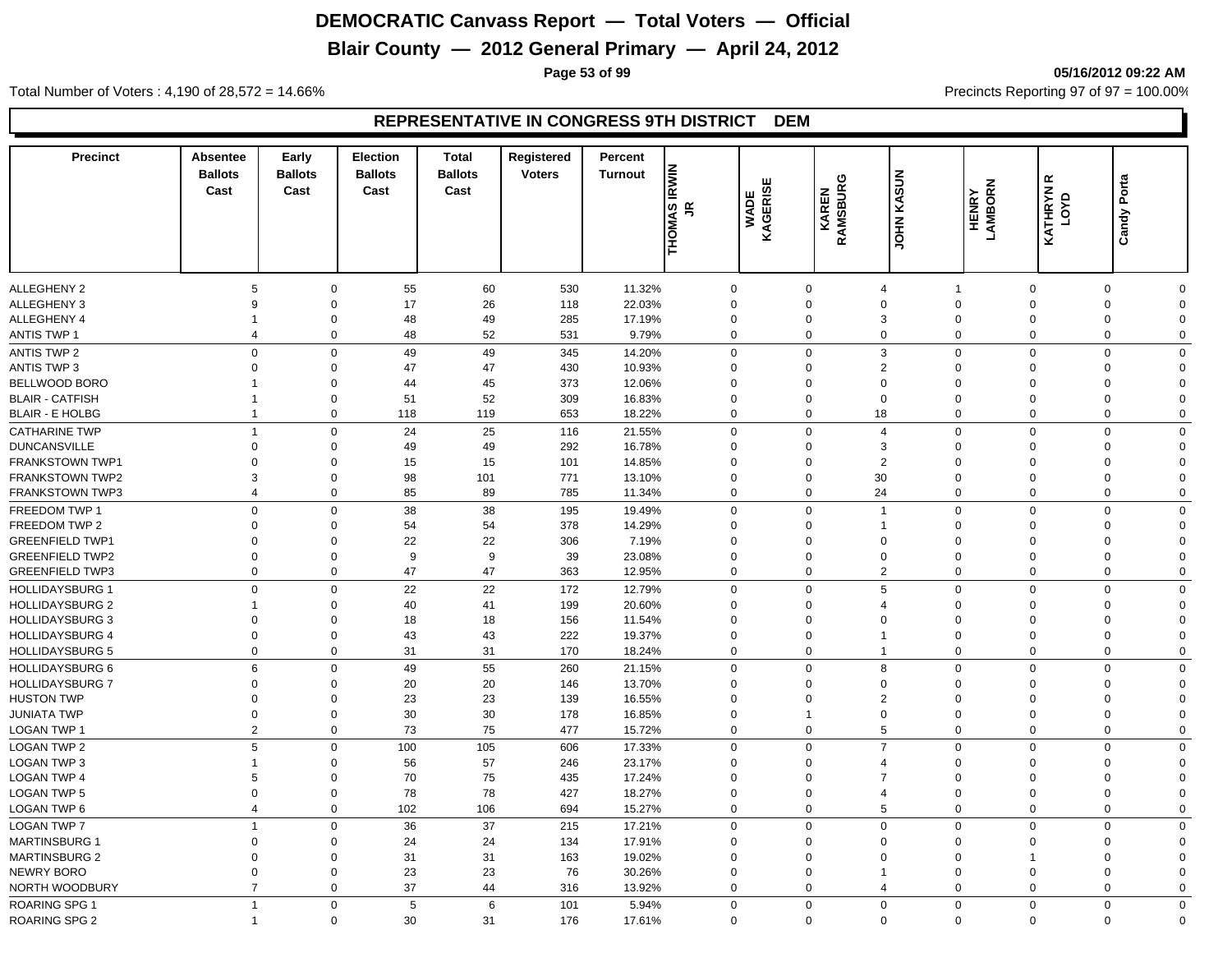# **Blair County — 2012 General Primary — April 24, 2012**

**Page 53 of 99 05/16/2012 09:22 AM**

Total Number of Voters : 4,190 of 28,572 = 14.66% Precincts Reporting 97 of 97 = 100.00%

| <b>Precinct</b>        | <b>Absentee</b><br><b>Ballots</b><br>Cast | Early<br><b>Ballots</b><br>Cast | <b>Election</b><br><b>Ballots</b><br>Cast | <b>Total</b><br><b>Ballots</b><br>Cast | Registered<br><b>Voters</b> | Percent<br><b>Turnout</b> | <b>THOMAS IRWIN</b><br>JR | WADE<br>KAGERISE | ပ<br><b>RAMSBUR</b><br>KAREN | <b>UDHN KASUN</b> | HENRY<br>LAMBORN | œ<br>KATHRYN<br>LOYD | Candy Porta                |
|------------------------|-------------------------------------------|---------------------------------|-------------------------------------------|----------------------------------------|-----------------------------|---------------------------|---------------------------|------------------|------------------------------|-------------------|------------------|----------------------|----------------------------|
|                        |                                           |                                 |                                           |                                        |                             |                           |                           |                  |                              |                   |                  |                      |                            |
| <b>ALLEGHENY 2</b>     | 5                                         | 0                               | 55                                        | 60                                     | 530                         | 11.32%                    | $\mathbf 0$               |                  | 0                            | $\overline{4}$    |                  | $\overline{0}$       | $\mathbf 0$<br>$\Omega$    |
| <b>ALLEGHENY 3</b>     | 9                                         | $\mathbf 0$                     | 17                                        | 26                                     | 118                         | 22.03%                    | $\mathbf 0$               |                  | $\mathbf 0$                  | $\mathbf 0$       | $\mathbf 0$      | $\Omega$             | $\mathbf 0$<br>$\Omega$    |
| ALLEGHENY 4            | $\mathbf 1$                               | $\mathbf 0$                     | 48                                        | 49                                     | 285                         | 17.19%                    | $\mathbf 0$               |                  | $\mathbf 0$                  | 3                 | $\mathbf 0$      | $\mathbf 0$          | 0<br>$\Omega$              |
| <b>ANTIS TWP 1</b>     | $\overline{4}$                            | $\mathbf 0$                     | 48                                        | 52                                     | 531                         | 9.79%                     | $\mathbf 0$               |                  | $\mathbf 0$                  | $\mathbf 0$       | $\mathbf 0$      | $\overline{0}$       | $\mathbf 0$<br>$\mathbf 0$ |
| <b>ANTIS TWP 2</b>     | $\mathbf 0$                               | $\mathbf 0$                     | 49                                        | 49                                     | 345                         | 14.20%                    | $\Omega$                  |                  | $\mathbf 0$                  | 3                 | $\mathbf 0$      | $\Omega$             | $\mathbf 0$<br>$\Omega$    |
| <b>ANTIS TWP 3</b>     | $\Omega$                                  | $\mathbf 0$                     | 47                                        | 47                                     | 430                         | 10.93%                    | $\Omega$                  |                  | $\Omega$                     | 2                 | $\Omega$         | $\Omega$             | 0<br>$\Omega$              |
| BELLWOOD BORO          |                                           | $\mathbf 0$                     | 44                                        | 45                                     | 373                         | 12.06%                    | $\Omega$                  |                  | $\Omega$                     | $\mathbf 0$       | $\Omega$         | $\Omega$             | 0<br>$\Omega$              |
| <b>BLAIR - CATFISH</b> | -1                                        | 0                               | 51                                        | 52                                     | 309                         | 16.83%                    | $\Omega$                  |                  | $\Omega$                     | $\mathbf 0$       | $\mathbf 0$      | $\Omega$             | 0<br>$\Omega$              |
| <b>BLAIR - E HOLBG</b> | $\overline{1}$                            | 0                               | 118                                       | 119                                    | 653                         | 18.22%                    | $\Omega$                  |                  | $\Omega$                     | 18                | $\mathbf 0$      | $\overline{0}$       | $\mathbf 0$<br>$\mathbf 0$ |
| <b>CATHARINE TWP</b>   | $\mathbf{1}$                              | $\mathbf 0$                     | 24                                        | 25                                     | 116                         | 21.55%                    | $\Omega$                  |                  | $\Omega$                     | $\overline{4}$    | $\mathbf 0$      | $\Omega$             | $\mathbf 0$<br>$\Omega$    |
| <b>DUNCANSVILLE</b>    | $\overline{0}$                            | $\mathbf 0$                     | 49                                        | 49                                     | 292                         | 16.78%                    | $\mathbf 0$               |                  | $\mathbf 0$                  | 3                 | $\mathbf 0$      | $\mathbf 0$          | $\mathbf 0$<br>$\Omega$    |
| FRANKSTOWN TWP1        | $\mathbf 0$                               | $\mathbf 0$                     | 15                                        | 15                                     | 101                         | 14.85%                    | $\mathbf 0$               |                  | $\mathbf 0$                  | $\overline{2}$    | $\Omega$         | $\mathbf 0$          | 0<br>$\mathbf 0$           |
| <b>FRANKSTOWN TWP2</b> | 3                                         | $\mathbf 0$                     | 98                                        | 101                                    | 771                         | 13.10%                    | $\mathbf 0$               |                  | $\mathbf 0$                  | 30                | $\mathbf 0$      | $\mathbf 0$          | 0<br>$\Omega$              |
| <b>FRANKSTOWN TWP3</b> | $\overline{4}$                            | 0                               | 85                                        | 89                                     | 785                         | 11.34%                    | $\mathbf 0$               |                  | $\mathbf 0$                  | 24                | $\mathbf 0$      | $\mathbf 0$          | 0<br>$\mathbf 0$           |
| FREEDOM TWP 1          | $\mathbf 0$                               | $\mathbf 0$                     | 38                                        | 38                                     | 195                         | 19.49%                    | $\Omega$                  |                  | $\Omega$                     | $\overline{1}$    | $\mathbf 0$      | $\Omega$             | $\mathbf 0$<br>$\mathbf 0$ |
| FREEDOM TWP 2          | $\Omega$                                  | $\mathbf 0$                     | 54                                        | 54                                     | 378                         | 14.29%                    | $\mathbf 0$               |                  | $\Omega$                     | $\overline{1}$    | $\Omega$         | $\Omega$             | $\mathbf 0$<br>$\Omega$    |
| <b>GREENFIELD TWP1</b> | $\mathbf 0$                               | $\mathbf 0$                     | 22                                        | 22                                     | 306                         | 7.19%                     | $\Omega$                  |                  | $\Omega$                     | $\mathbf 0$       | $\Omega$         | $\Omega$             | 0<br>$\Omega$              |
| <b>GREENFIELD TWP2</b> | $\overline{0}$                            | $\mathbf 0$                     | 9                                         | 9                                      | 39                          | 23.08%                    | $\Omega$                  |                  | $\Omega$                     | $\mathbf 0$       | $\mathbf 0$      | $\Omega$             | $\mathbf 0$<br>$\Omega$    |
| <b>GREENFIELD TWP3</b> | $\overline{0}$                            | $\mathbf 0$                     | 47                                        | 47                                     | 363                         | 12.95%                    | $\mathbf 0$               |                  | $\Omega$                     | $\overline{2}$    | $\mathbf 0$      | $\overline{0}$       | $\mathbf 0$<br>$\mathbf 0$ |
| <b>HOLLIDAYSBURG 1</b> | $\mathsf 0$                               | $\mathbf 0$                     | 22                                        | 22                                     | 172                         | 12.79%                    | $\mathbf 0$               |                  | $\Omega$                     | 5                 | $\mathbf 0$      | $\Omega$             | $\mathbf 0$<br>$\mathbf 0$ |
| <b>HOLLIDAYSBURG 2</b> | 1                                         | $\Omega$                        | 40                                        | 41                                     | 199                         | 20.60%                    | $\Omega$                  |                  | $\Omega$                     | $\overline{4}$    | $\Omega$         | $\Omega$             | 0<br>$\Omega$              |
| <b>HOLLIDAYSBURG 3</b> | $\Omega$                                  | $\Omega$                        | 18                                        | 18                                     | 156                         | 11.54%                    | $\Omega$                  |                  | $\Omega$                     | $\mathbf 0$       | $\Omega$         | $\Omega$             | 0<br>$\Omega$              |
| <b>HOLLIDAYSBURG 4</b> | $\mathbf 0$                               | $\mathbf 0$                     | 43                                        | 43                                     | 222                         | 19.37%                    | $\Omega$                  |                  | $\Omega$                     | $\mathbf{1}$      | 0                | $\Omega$             | 0<br>$\Omega$              |
| <b>HOLLIDAYSBURG 5</b> | $\overline{0}$                            | $\mathbf 0$                     | 31                                        | 31                                     | 170                         | 18.24%                    | $\mathbf 0$               |                  | $\Omega$                     | $\mathbf{1}$      | $\mathbf 0$      | $\Omega$             | $\mathbf 0$<br>$\mathbf 0$ |
| <b>HOLLIDAYSBURG 6</b> | 6                                         | $\mathbf 0$                     | 49                                        | 55                                     | 260                         | 21.15%                    | $\Omega$                  |                  | $\Omega$                     | 8                 | $\mathbf 0$      | $\Omega$             | $\mathbf 0$<br>$\Omega$    |
| <b>HOLLIDAYSBURG 7</b> | $\overline{0}$                            | $\mathbf 0$                     | 20                                        | 20                                     | 146                         | 13.70%                    | $\mathbf 0$               |                  | $\Omega$                     | $\mathbf 0$       | $\Omega$         | $\Omega$             | $\mathbf 0$<br>$\Omega$    |
| <b>HUSTON TWP</b>      | $\mathbf 0$                               | $\mathbf 0$                     | 23                                        | 23                                     | 139                         | 16.55%                    | $\mathbf 0$               |                  | $\mathbf 0$                  | $\overline{2}$    | $\Omega$         | $\mathbf 0$          | 0<br>$\Omega$              |
| <b>JUNIATA TWP</b>     | $\mathbf 0$                               | $\mathbf 0$                     | 30                                        | 30                                     | 178                         | 16.85%                    | $\mathbf 0$               |                  | $\mathbf{1}$                 | $\mathbf 0$       | $\mathbf 0$      | $\mathbf 0$          | 0<br>$\Omega$              |
| LOGAN TWP 1            | $\overline{2}$                            | $\mathbf 0$                     | 73                                        | 75                                     | 477                         | 15.72%                    | $\mathbf 0$               |                  | $\mathbf 0$                  | $\overline{5}$    | $\mathbf 0$      | $\overline{0}$       | $\mathbf 0$<br>$\mathbf 0$ |
| <b>LOGAN TWP 2</b>     | 5                                         | $\mathbf 0$                     | 100                                       | 105                                    | 606                         | 17.33%                    | $\Omega$                  |                  | $\Omega$                     | $\overline{7}$    | $\mathbf 0$      | $\Omega$             | $\mathbf 0$<br>$\Omega$    |
| <b>LOGAN TWP 3</b>     | $\overline{1}$                            | $\mathbf 0$                     | 56                                        | 57                                     | 246                         | 23.17%                    | $\Omega$                  |                  | $\mathbf 0$                  | $\overline{4}$    | $\Omega$         | $\Omega$             | 0<br>$\Omega$              |
| <b>LOGAN TWP 4</b>     | 5                                         | $\mathbf 0$                     | 70                                        | 75                                     | 435                         | 17.24%                    | $\Omega$                  |                  | $\Omega$                     | $\overline{7}$    | $\Omega$         | $\Omega$             | $\mathbf 0$<br>$\Omega$    |
| <b>LOGAN TWP 5</b>     | $\Omega$                                  | 0                               | 78                                        | 78                                     | 427                         | 18.27%                    | $\Omega$                  |                  | $\Omega$                     | $\overline{4}$    | $\mathbf 0$      | $\mathbf 0$          | 0<br>$\Omega$              |
| <b>LOGAN TWP 6</b>     | $\overline{4}$                            | 0                               | 102                                       | 106                                    | 694                         | 15.27%                    | $\mathbf 0$               |                  | $\mathbf 0$                  | 5                 | $\mathbf 0$      | $\mathbf 0$          | 0<br>$\mathbf 0$           |
| <b>LOGAN TWP 7</b>     | $\mathbf{1}$                              | $\mathbf 0$                     | 36                                        | 37                                     | 215                         | 17.21%                    | $\mathbf 0$               |                  | $\mathbf 0$                  | $\mathbf 0$       | $\mathbf 0$      | $\overline{0}$       | $\mathbf 0$<br>$\mathbf 0$ |
| <b>MARTINSBURG 1</b>   | $\mathbf 0$                               | $\mathbf 0$                     | 24                                        | 24                                     | 134                         | 17.91%                    | $\mathbf 0$               |                  | $\mathbf 0$                  | $\mathbf 0$       | $\Omega$         | $\Omega$             | 0<br>$\mathbf 0$           |
| <b>MARTINSBURG 2</b>   | $\mathbf 0$                               | $\mathbf 0$                     | 31                                        | 31                                     | 163                         | 19.02%                    | $\mathbf 0$               |                  | $\mathbf 0$                  | $\mathbf 0$       | $\Omega$         | -1                   | 0<br>$\mathbf 0$           |
| <b>NEWRY BORO</b>      | $\mathbf 0$                               | $\mathbf 0$                     | 23                                        | 23                                     | 76                          | 30.26%                    | $\mathbf 0$               |                  | $\mathbf 0$                  | $\overline{1}$    | $\mathbf 0$      | $\mathbf 0$          | 0<br>$\Omega$              |
| NORTH WOODBURY         | $\overline{7}$                            | $\mathbf 0$                     | 37                                        | 44                                     | 316                         | 13.92%                    | $\mathbf 0$               |                  | $\mathbf 0$                  | $\overline{4}$    | $\Omega$         | $\overline{0}$       | 0<br>$\mathbf 0$           |
| <b>ROARING SPG 1</b>   | $\overline{1}$                            | $\mathbf 0$                     | 5                                         | 6                                      | 101                         | 5.94%                     | $\Omega$                  |                  | $\Omega$                     | $\mathbf 0$       | $\mathbf 0$      | $\mathbf 0$          | $\mathbf 0$<br>$\Omega$    |
| <b>ROARING SPG 2</b>   | $\overline{1}$                            | $\mathbf 0$                     | 30                                        | 31                                     | 176                         | 17.61%                    | $\Omega$                  |                  | $\mathbf 0$                  | $\mathbf 0$       | $\mathbf 0$      | $\mathbf 0$          | $\mathbf 0$<br>$\Omega$    |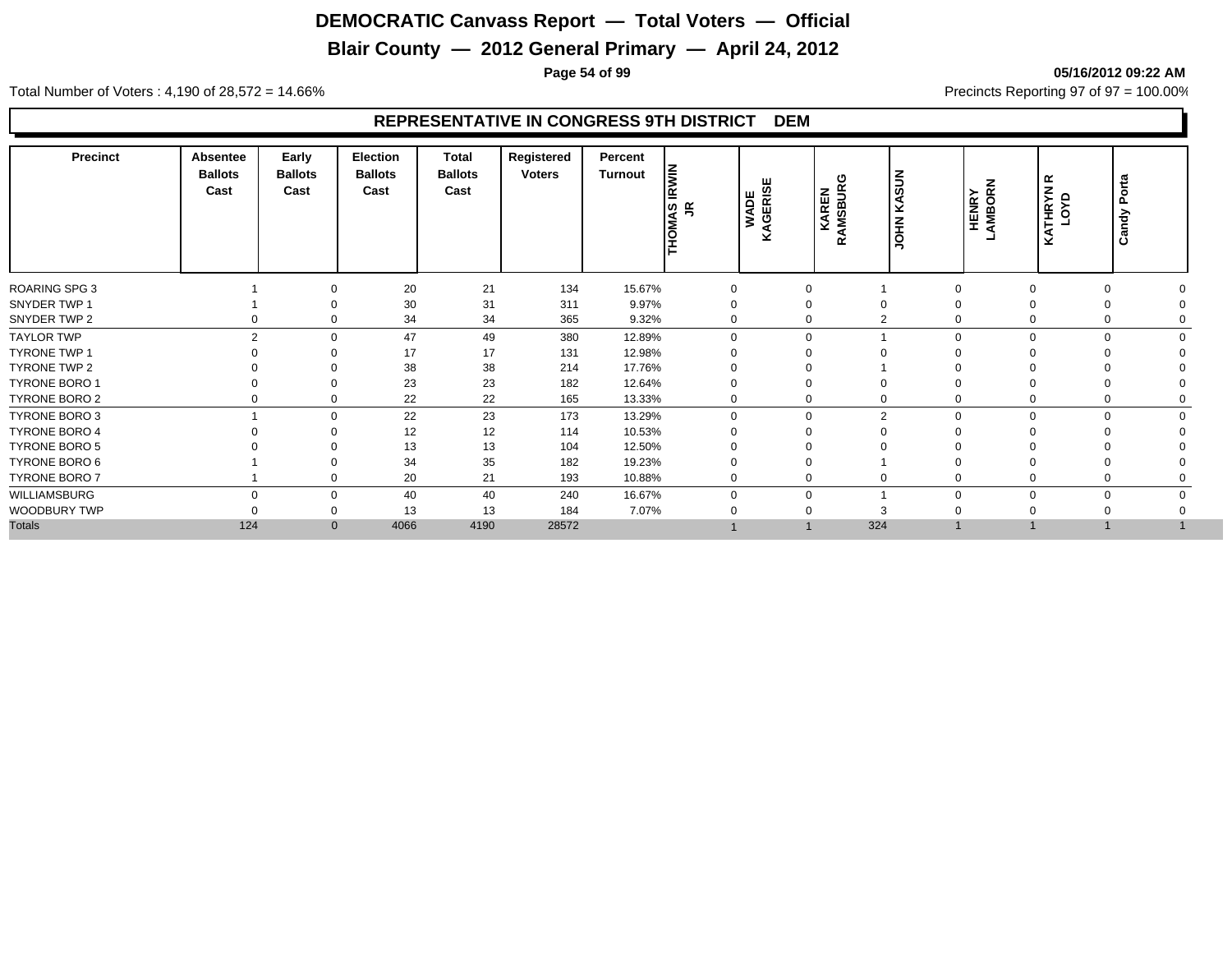# **Blair County — 2012 General Primary — April 24, 2012**

**Page 54 of 99 05/16/2012 09:22 AM**

Total Number of Voters : 4,190 of 28,572 = 14.66% Precincts Reporting 97 of 97 = 100.00%

| <b>Precinct</b>      | Absentee<br><b>Ballots</b><br>Cast | Early<br><b>Ballots</b><br>Cast | Election<br><b>Ballots</b><br>Cast | <b>Total</b><br><b>Ballots</b><br>Cast | Registered<br><b>Voters</b> | Percent<br>Turnout | Ē<br>Ē<br>THOMAS I | KAGERISE<br><b>WADE</b> | ω<br><b>KAREN</b><br>!AMSBUR(<br>œ | KASUN<br><b>NHOL</b> | HENRY<br>AMBORN         | œ<br>LOYD<br>Š | Porta<br>Candy |
|----------------------|------------------------------------|---------------------------------|------------------------------------|----------------------------------------|-----------------------------|--------------------|--------------------|-------------------------|------------------------------------|----------------------|-------------------------|----------------|----------------|
| ROARING SPG 3        |                                    | ∩                               | 20                                 | 21                                     | 134                         | 15.67%             | 0                  | 0                       |                                    |                      | $\Omega$                | 0              |                |
| SNYDER TWP 1         |                                    |                                 | 30                                 | 31                                     | 311                         | 9.97%              | $\Omega$           | $\mathbf 0$             | $\Omega$                           |                      | $\Omega$                |                |                |
| SNYDER TWP 2         |                                    | $\Omega$                        | 34                                 | 34                                     | 365                         | 9.32%              | $\Omega$           | 0                       | $\overline{2}$                     |                      | $\Omega$                | 0              |                |
| <b>TAYLOR TWP</b>    | $\overline{2}$                     | $\Omega$                        | 47                                 | 49                                     | 380                         | 12.89%             | $\Omega$           | $\mathbf 0$             |                                    |                      | $\Omega$<br>$\Omega$    | $\Omega$       |                |
| <b>TYRONE TWP 1</b>  |                                    | ∩                               | 17                                 | 17                                     | 131                         | 12.98%             |                    | 0                       |                                    |                      |                         |                |                |
| TYRONE TWP 2         |                                    |                                 | 38                                 | 38                                     | 214                         | 17.76%             |                    | 0                       |                                    |                      |                         |                |                |
| TYRONE BORO 1        |                                    | $\Omega$                        | 23                                 | 23                                     | 182                         | 12.64%             |                    | $\Omega$                | $\Omega$                           |                      |                         |                |                |
| TYRONE BORO 2        |                                    | 0                               | 22                                 | 22                                     | 165                         | 13.33%             | 0                  | 0                       | $\mathbf 0$                        |                      | 0                       | 0              |                |
| <b>TYRONE BORO 3</b> |                                    | $\Omega$                        | 22                                 | 23                                     | 173                         | 13.29%             | $\Omega$           | 0                       | $\overline{2}$                     |                      | $\mathbf 0$<br>$\Omega$ | $\mathbf 0$    |                |
| <b>TYRONE BORO 4</b> |                                    | $\Omega$                        | 12                                 | 12                                     | 114                         | 10.53%             |                    | 0                       | $\Omega$                           |                      |                         |                |                |
| <b>TYRONE BORO 5</b> |                                    |                                 | 13                                 | 13                                     | 104                         | 12.50%             |                    |                         |                                    |                      |                         |                |                |
| TYRONE BORO 6        |                                    | $\Omega$                        | 34                                 | 35                                     | 182                         | 19.23%             |                    | 0                       |                                    |                      |                         |                |                |
| TYRONE BORO 7        |                                    | 0                               | 20                                 | 21                                     | 193                         | 10.88%             | 0                  | 0                       | $\mathbf 0$                        |                      |                         |                |                |
| WILLIAMSBURG         | $\Omega$                           | $\Omega$                        | 40                                 | 40                                     | 240                         | 16.67%             | $\Omega$           | 0                       |                                    | $\Omega$             | $\Omega$                | $\mathbf 0$    |                |
| WOODBURY TWP         |                                    | $\Omega$                        | 13                                 | 13                                     | 184                         | 7.07%              |                    | 0                       | 3                                  |                      |                         |                |                |
| <b>Totals</b>        | 124                                | $\mathbf{0}$                    | 4066                               | 4190                                   | 28572                       |                    |                    |                         | 324                                |                      |                         |                |                |
|                      |                                    |                                 |                                    |                                        |                             |                    |                    |                         |                                    |                      |                         |                |                |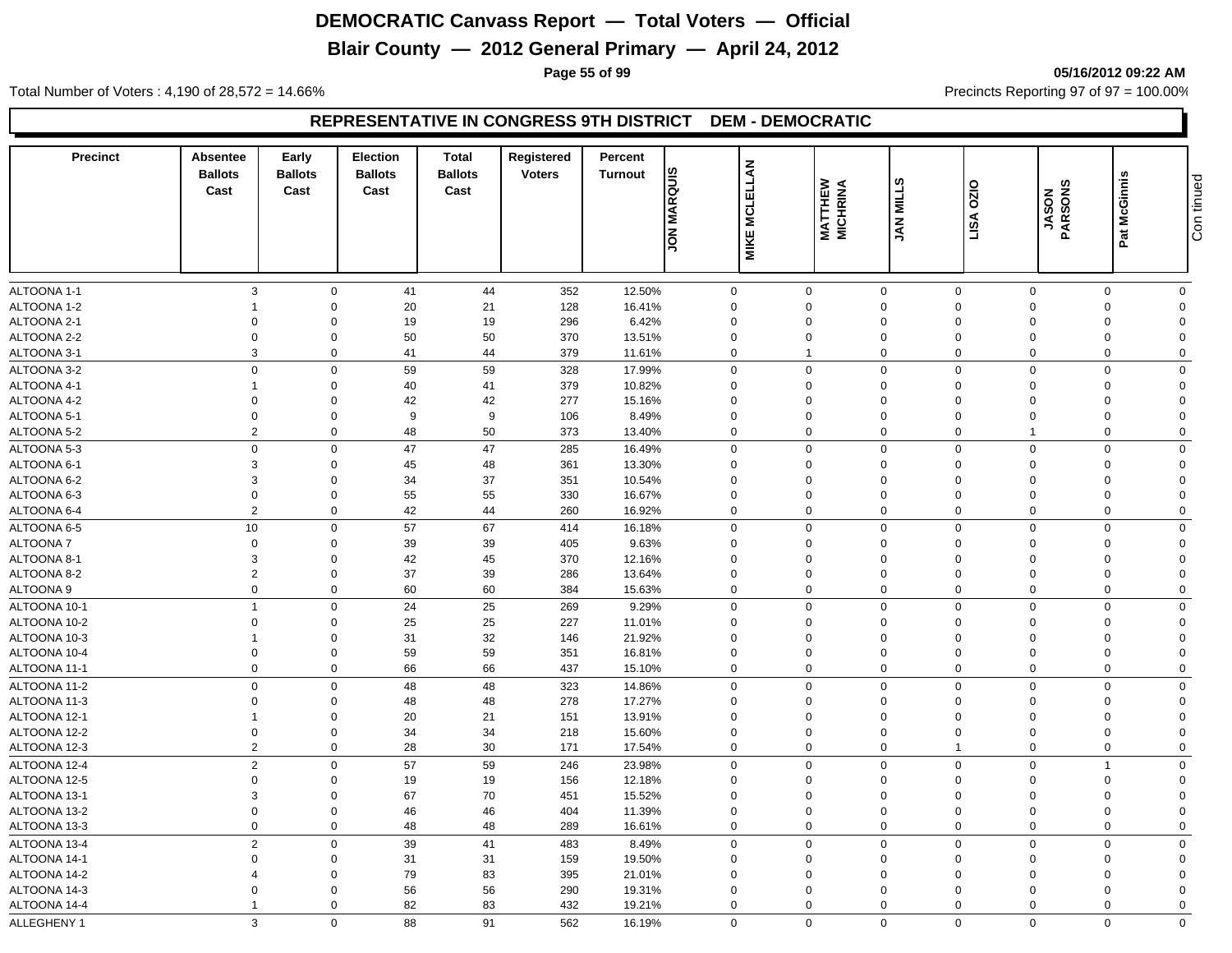# **Blair County — 2012 General Primary — April 24, 2012**

**Page 55 of 99 05/16/2012 09:22 AM**

Total Number of Voters : 4,190 of 28,572 = 14.66% Precincts Reporting 97 of 97 = 100.00%

| <b>Precinct</b> | Absentee<br><b>Ballots</b><br>Cast | Early<br><b>Ballots</b><br>Cast | <b>Election</b><br><b>Ballots</b><br>Cast | <b>Total</b><br><b>Ballots</b><br>Cast | Registered<br><b>Voters</b> | Percent<br><b>Turnout</b> | <b>JON MARQUIS</b> | <b>MCLELLAN</b><br><b>MIKE</b> | <b>MATTHEW</b><br>MICHRINA | ဖာ<br><b>JAN MILL</b> | 0ZIO<br>LISA | JASON<br>PARSONS | Pat McGinnis | tinued<br>Con  |
|-----------------|------------------------------------|---------------------------------|-------------------------------------------|----------------------------------------|-----------------------------|---------------------------|--------------------|--------------------------------|----------------------------|-----------------------|--------------|------------------|--------------|----------------|
| ALTOONA 1-1     | $\mathbf{3}$                       | $\mathbf 0$                     | 41                                        | 44                                     | 352                         | 12.50%                    | $\mathbf 0$        |                                | $\mathbf 0$                | $\mathbf 0$           | $\mathbf 0$  | $\Omega$         | $\mathbf 0$  | $\mathbf 0$    |
| ALTOONA 1-2     | -1                                 | $\Omega$                        | 20                                        | 21                                     | 128                         | 16.41%                    | $\mathbf 0$        |                                | $\Omega$                   | $\Omega$              | $\Omega$     | $\Omega$         | $\Omega$     | $\Omega$       |
| ALTOONA 2-1     | $\Omega$                           | $\Omega$                        | 19                                        | 19                                     | 296                         | 6.42%                     | $\mathbf 0$        |                                | $\Omega$                   | $\Omega$              | $\Omega$     | $\Omega$         | $\Omega$     | $\Omega$       |
| ALTOONA 2-2     | $\mathbf 0$                        | $\Omega$                        | 50                                        | 50                                     | 370                         | 13.51%                    | $\Omega$           |                                | 0                          | $\Omega$              | $\Omega$     | $\Omega$         | $\Omega$     | $\Omega$       |
| ALTOONA 3-1     | 3                                  | $\Omega$                        | 41                                        | 44                                     | 379                         | 11.61%                    | $\mathbf 0$        |                                | $\mathbf{1}$               | $\mathbf 0$           | $\Omega$     | $\Omega$         | $\mathbf 0$  | $\mathbf 0$    |
| ALTOONA 3-2     | $\mathbf 0$                        | $\Omega$                        | 59                                        | 59                                     | 328                         | 17.99%                    | $\mathbf 0$        |                                | $\mathbf 0$                | $\mathbf 0$           | $\mathbf 0$  | $\Omega$         | $\mathbf 0$  | $\Omega$       |
| ALTOONA 4-1     | $\overline{1}$                     | $\Omega$                        | 40                                        | 41                                     | 379                         | 10.82%                    | $\mathbf 0$        |                                | $\mathbf 0$                | $\mathbf 0$           | $\mathbf 0$  | $\Omega$         | $\mathbf 0$  | $\Omega$       |
| ALTOONA 4-2     | $\overline{0}$                     | $\Omega$                        | 42                                        | 42                                     | 277                         | 15.16%                    | $\Omega$           |                                | 0                          | $\Omega$              | $\Omega$     | $\Omega$         | $\Omega$     | $\Omega$       |
| ALTOONA 5-1     | $\overline{0}$                     | $\Omega$                        | 9                                         | 9                                      | 106                         | 8.49%                     | $\mathbf 0$        |                                | $\mathbf 0$                | $\mathbf 0$           | $\Omega$     | $\Omega$         | $\Omega$     | $\Omega$       |
| ALTOONA 5-2     | $\overline{2}$                     | $\mathbf 0$                     | 48                                        | 50                                     | 373                         | 13.40%                    | $\mathbf 0$        |                                | $\mathbf 0$                | $\mathbf 0$           | $\Omega$     | $\overline{1}$   | $\mathbf 0$  | $\mathbf 0$    |
| ALTOONA 5-3     | $\mathbf 0$                        | $\mathbf 0$                     | 47                                        | 47                                     | 285                         | 16.49%                    | 0                  |                                | $\mathbf 0$                | $\mathbf 0$           | $\Omega$     | $\Omega$         | $\Omega$     | $\mathbf 0$    |
| ALTOONA 6-1     | 3                                  | $\Omega$                        | 45                                        | 48                                     | 361                         | 13.30%                    | 0                  |                                | $\Omega$                   | $\Omega$              | $\Omega$     | $\Omega$         | $\Omega$     | $\Omega$       |
| ALTOONA 6-2     | 3                                  | $\Omega$                        | 34                                        | 37                                     | 351                         | 10.54%                    | $\Omega$           |                                | 0                          | $\Omega$              | $\Omega$     | $\Omega$         | $\Omega$     | $\Omega$       |
| ALTOONA 6-3     | $\mathbf 0$                        | $\Omega$                        | 55                                        | 55                                     | 330                         | 16.67%                    | $\Omega$           |                                | $\mathbf 0$                | $\Omega$              | $\Omega$     | $\Omega$         | $\Omega$     | $\Omega$       |
| ALTOONA 6-4     | $\overline{2}$                     | $\Omega$                        | 42                                        | 44                                     | 260                         | 16.92%                    | $\mathbf 0$        |                                | $\mathbf 0$                | $\mathbf 0$           | $\Omega$     | $\Omega$         | 0            | $\mathbf 0$    |
| ALTOONA 6-5     | 10                                 | $\mathbf 0$                     | 57                                        | 67                                     | 414                         | 16.18%                    | $\mathbf 0$        |                                | $\mathbf 0$                | $\mathbf 0$           | $\mathbf 0$  | $\mathbf 0$      | $\mathbf 0$  | $\mathbf 0$    |
| <b>ALTOONA7</b> | $\mathbf 0$                        | $\Omega$                        | 39                                        | 39                                     | 405                         | 9.63%                     | $\mathbf 0$        |                                | $\mathbf 0$                | $\mathbf 0$           | $\Omega$     | $\Omega$         | $\Omega$     | $\Omega$       |
| ALTOONA 8-1     | 3                                  | $\Omega$                        | 42                                        | 45                                     | 370                         | 12.16%                    | $\Omega$           |                                | 0                          | $\Omega$              | $\Omega$     | $\Omega$         | $\Omega$     | $\Omega$       |
| ALTOONA 8-2     | $\overline{2}$                     | $\Omega$                        | 37                                        | 39                                     | 286                         | 13.64%                    | $\mathbf 0$        |                                | $\mathbf 0$                | $\mathbf 0$           | $\Omega$     | $\Omega$         | $\Omega$     | $\Omega$       |
| ALTOONA 9       | $\mathbf 0$                        | $\mathbf 0$                     | 60                                        | 60                                     | 384                         | 15.63%                    | $\mathbf 0$        |                                | $\mathbf 0$                | $\mathbf 0$           | $\Omega$     | $\Omega$         | $\mathbf 0$  | $\mathbf 0$    |
| ALTOONA 10-1    | $\overline{1}$                     | $\Omega$                        | 24                                        | 25                                     | 269                         | 9.29%                     | 0                  |                                | $\mathbf 0$                | $\mathbf 0$           | $\Omega$     | $\Omega$         | $\Omega$     | $\Omega$       |
| ALTOONA 10-2    | $\mathbf 0$                        | $\Omega$                        | 25                                        | 25                                     | 227                         | 11.01%                    | $\mathbf 0$        |                                | 0                          | $\Omega$              | $\Omega$     | $\Omega$         | $\mathbf 0$  | $\Omega$       |
| ALTOONA 10-3    |                                    | $\Omega$                        | 31                                        | 32                                     | 146                         | 21.92%                    | $\mathbf 0$        |                                | 0                          | $\mathbf 0$           | $\Omega$     | $\Omega$         | $\mathbf 0$  | $\Omega$       |
| ALTOONA 10-4    | $\mathbf 0$                        | $\Omega$                        | 59                                        | 59                                     | 351                         | 16.81%                    | $\mathbf 0$        |                                | $\mathbf 0$                | $\mathbf 0$           | $\mathbf 0$  | $\Omega$         | $\mathbf 0$  | $\overline{0}$ |
| ALTOONA 11-1    | $\mathbf 0$                        | $\mathbf 0$                     | 66                                        | 66                                     | 437                         | 15.10%                    | $\mathbf 0$        |                                | $\mathbf 0$                | $\mathbf 0$           | $\mathbf 0$  | $\mathbf 0$      | $\mathbf 0$  | $\mathbf 0$    |
| ALTOONA 11-2    | $\mathbf 0$                        | $\Omega$                        | 48                                        | 48                                     | 323                         | 14.86%                    | $\mathbf 0$        |                                | $\mathbf 0$                | $\mathbf 0$           | $\Omega$     | $\Omega$         | $\Omega$     | $\Omega$       |
| ALTOONA 11-3    | $\overline{0}$                     | $\Omega$                        | 48                                        | 48                                     | 278                         | 17.27%                    | $\mathbf 0$        |                                | $\mathbf 0$                | $\mathbf 0$           | $\Omega$     | $\Omega$         | $\Omega$     | $\Omega$       |
| ALTOONA 12-1    | -1                                 | $\Omega$                        | 20                                        | 21                                     | 151                         | 13.91%                    | $\Omega$           |                                | $\Omega$                   | $\Omega$              | $\Omega$     | $\Omega$         | $\Omega$     | $\Omega$       |
| ALTOONA 12-2    | $\overline{0}$                     | $\Omega$                        | 34                                        | 34                                     | 218                         | 15.60%                    | $\mathbf 0$        |                                | $\mathbf 0$                | $\mathbf 0$           | $\Omega$     | $\Omega$         | $\Omega$     | $\Omega$       |
| ALTOONA 12-3    | $\overline{2}$                     | $\mathbf 0$                     | 28                                        | 30                                     | 171                         | 17.54%                    | $\mathbf 0$        |                                | $\mathbf 0$                | $\mathbf 0$           | $\mathbf{1}$ | $\mathbf 0$      | $\mathbf 0$  | $\mathbf 0$    |
| ALTOONA 12-4    | $\overline{2}$                     | $\Omega$                        | 57                                        | 59                                     | 246                         | 23.98%                    | $\mathbf 0$        |                                | $\overline{0}$             | $\mathbf 0$           | $\mathbf 0$  | $\Omega$         | 1            | $\mathbf 0$    |
| ALTOONA 12-5    | $\overline{0}$                     | $\Omega$                        | 19                                        | 19                                     | 156                         | 12.18%                    | $\mathbf 0$        |                                | $\mathbf 0$                | $\Omega$              | $\Omega$     | $\Omega$         | $\Omega$     | $\Omega$       |
| ALTOONA 13-1    | 3                                  | $\Omega$                        | 67                                        | 70                                     | 451                         | 15.52%                    | $\mathbf 0$        |                                | $\mathbf 0$                | $\mathbf 0$           | $\Omega$     | $\Omega$         | $\Omega$     | $\Omega$       |
| ALTOONA 13-2    | $\overline{0}$                     | $\Omega$                        | 46                                        | 46                                     | 404                         | 11.39%                    | $\mathbf 0$        |                                | $\mathbf 0$                | $\mathbf 0$           | $\mathbf 0$  | $\Omega$         | $\mathbf 0$  | $\mathbf 0$    |
| ALTOONA 13-3    | $\overline{0}$                     | $\mathbf 0$                     | 48                                        | 48                                     | 289                         | 16.61%                    | $\mathbf 0$        |                                | $\mathbf 0$                | $\mathbf 0$           | $\mathbf 0$  | $\mathbf 0$      | $\mathbf 0$  | $\mathbf 0$    |
| ALTOONA 13-4    | $\overline{2}$                     | $\Omega$                        | $39\,$                                    | 41                                     | 483                         | 8.49%                     | $\mathbf 0$        |                                | $\mathbf 0$                | $\Omega$              | $\Omega$     | $\Omega$         | $\Omega$     | $\Omega$       |
| ALTOONA 14-1    | $\Omega$                           | $\Omega$                        | 31                                        | 31                                     | 159                         | 19.50%                    | $\Omega$           |                                | 0                          | $\mathbf 0$           | $\Omega$     | $\Omega$         | $\Omega$     | $\Omega$       |
| ALTOONA 14-2    | 4                                  | $\Omega$                        | 79                                        | 83                                     | 395                         | 21.01%                    | $\Omega$           |                                | $\Omega$                   | $\Omega$              | $\Omega$     | $\Omega$         | $\Omega$     | $\Omega$       |
| ALTOONA 14-3    | $\Omega$                           | $\Omega$                        | 56                                        | 56                                     | 290                         | 19.31%                    | $\mathbf{0}$       |                                | $\mathbf 0$                | $\Omega$              | $\Omega$     | $\Omega$         | $\Omega$     | $\Omega$       |
| ALTOONA 14-4    | -1                                 | $\mathbf 0$                     | 82                                        | 83                                     | 432                         | 19.21%                    | $\mathbf 0$        |                                | $\Omega$                   | $\mathbf 0$           | $\Omega$     | $\Omega$         | $\mathbf 0$  | $\Omega$       |
| ALLEGHENY 1     | 3                                  | $\Omega$                        | 88                                        | 91                                     | 562                         | 16.19%                    | $\Omega$           |                                | $\Omega$                   | $\Omega$              | $\Omega$     | $\Omega$         | $\Omega$     | $\Omega$       |
|                 |                                    |                                 |                                           |                                        |                             |                           |                    |                                |                            |                       |              |                  |              |                |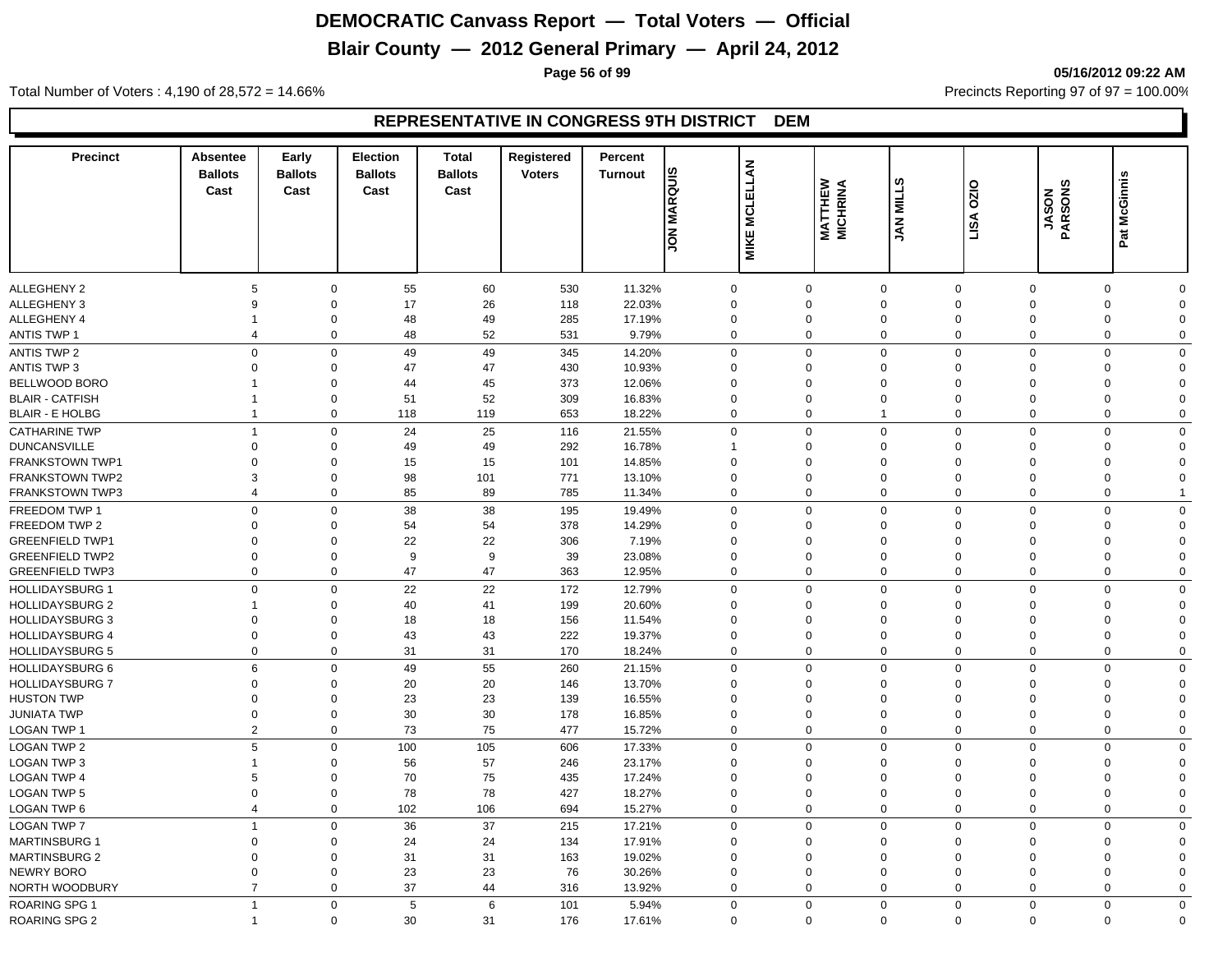# **Blair County — 2012 General Primary — April 24, 2012**

**Page 56 of 99 05/16/2012 09:22 AM**

Total Number of Voters : 4,190 of 28,572 = 14.66% Precincts Reporting 97 of 97 = 100.00%

| <b>MCLELLAN</b><br><b>JON MARQUIS</b><br>Pat McGinnis<br><b>MATTHEW</b><br>MICHRINA<br>0Z0<br>JASON<br>PARSONS<br>Cast<br>Cast<br>Cast<br>Cast<br><b>JAN MILL</b><br>LISA<br><b>MIKE</b><br><b>ALLEGHENY 2</b><br>55<br>60<br>530<br>11.32%<br>$\mathbf 0$<br>5<br>$\mathbf 0$<br>$\mathbf 0$<br>$\mathbf 0$<br>$\mathbf 0$<br>$\mathbf 0$<br>0<br>$\Omega$<br><b>ALLEGHENY 3</b><br>9<br>$\mathbf 0$<br>17<br>26<br>118<br>22.03%<br>$\mathbf 0$<br>$\mathbf 0$<br>$\Omega$<br>$\Omega$<br>$\mathbf 0$<br>$\Omega$<br>$\Omega$<br>ALLEGHENY 4<br>48<br>49<br>285<br>17.19%<br>$\mathbf 0$<br>$\overline{0}$<br>$\mathbf 0$<br>$\mathbf 0$<br>$\mathbf 0$<br>$\mathbf 0$<br>$\Omega$<br>$\Omega$<br>$\mathbf 1$<br>52<br><b>ANTIS TWP 1</b><br>$\mathbf 0$<br>48<br>531<br>9.79%<br>$\mathbf 0$<br>$\mathbf 0$<br>$\mathbf 0$<br>$\mathbf 0$<br>$\overline{0}$<br>$\mathbf 0$<br>$\overline{4}$<br>$\mathbf 0$<br>$\mathsf 0$<br>$\mathbf 0$<br>$\mathbf 0$<br><b>ANTIS TWP 2</b><br>$\mathbf 0$<br>49<br>49<br>345<br>14.20%<br>$\Omega$<br>0<br>$\Omega$<br>$\mathbf 0$<br>$\Omega$<br><b>ANTIS TWP 3</b><br>$\overline{0}$<br>$\mathbf 0$<br>47<br>47<br>430<br>10.93%<br>$\mathbf 0$<br>$\mathbf 0$<br>$\mathbf 0$<br>$\mathbf 0$<br>$\mathbf 0$<br>0<br>$\Omega$<br>BELLWOOD BORO<br>45<br>373<br>12.06%<br>$\mathbf 0$<br>$\mathbf 0$<br>$\mathbf 0$<br>44<br>$\mathbf 0$<br>$\mathbf 0$<br>$\Omega$<br>$\mathbf 0$<br>$\Omega$<br>51<br>52<br>309<br>$\mathbf 0$<br><b>BLAIR - CATFISH</b><br>0<br>16.83%<br>$\mathbf 0$<br>$\mathbf 0$<br>$\mathbf 0$<br>$\mathbf 0$<br>0<br>$\Omega$<br>-1<br>653<br>$\overline{0}$<br><b>BLAIR - E HOLBG</b><br>$\overline{1}$<br>0<br>118<br>119<br>18.22%<br>$\mathbf 0$<br>$\mathbf 0$<br>$\overline{1}$<br>$\mathbf 0$<br>0<br>$\mathbf 0$<br>25<br>$\mathbf 0$<br>$\mathbf 0$<br>24<br>116<br>21.55%<br>$\Omega$<br>$\Omega$<br>$\Omega$<br>$\mathbf 0$<br><b>CATHARINE TWP</b><br>$\overline{1}$<br>$\Omega$<br>$\Omega$<br>49<br>292<br>$\mathbf 0$<br><b>DUNCANSVILLE</b><br>$\Omega$<br>$\mathbf 0$<br>49<br>16.78%<br>$\Omega$<br>$\Omega$<br>$\Omega$<br>$\mathbf 0$<br>$\Omega$<br>FRANKSTOWN TWP1<br>$\Omega$<br>$\Omega$<br>15<br>15<br>101<br>14.85%<br>$\Omega$<br>$\mathbf 0$<br>$\Omega$<br>$\Omega$<br>$\mathbf 0$<br>$\Omega$<br>$\Omega$<br>771<br><b>FRANKSTOWN TWP2</b><br>3<br>0<br>98<br>101<br>13.10%<br>$\Omega$<br>$\mathbf 0$<br>$\Omega$<br>0<br>$\Omega$<br>$\mathbf 0$<br>$\Omega$<br>85<br>89<br>785<br><b>FRANKSTOWN TWP3</b><br>$\overline{4}$<br>0<br>11.34%<br>$\mathbf 0$<br>$\mathbf 0$<br>$\mathbf 0$<br>$\mathbf 0$<br>$\mathbf 0$<br>0<br>FREEDOM TWP 1<br>$\mathbf 0$<br>$\mathbf 0$<br>38<br>38<br>$\mathbf 0$<br>$\Omega$<br>$\mathbf 0$<br>195<br>19.49%<br>$\Omega$<br>$\Omega$<br>$\mathbf 0$<br>$\mathbf 0$<br>FREEDOM TWP 2<br>$\mathbf 0$<br>54<br>54<br>378<br>14.29%<br>$\mathbf 0$<br>$\mathbf 0$<br>$\mathbf 0$<br>$\Omega$<br>$\Omega$<br>$\Omega$<br>$\Omega$<br>$\Omega$<br>22<br>22<br>306<br>7.19%<br>$\mathbf 0$<br><b>GREENFIELD TWP1</b><br>$\Omega$<br>$\mathbf 0$<br>$\Omega$<br>$\Omega$<br>$\Omega$<br>$\Omega$<br>0<br>$\Omega$<br><b>GREENFIELD TWP2</b><br>$\Omega$<br>$\Omega$<br>9<br>9<br>39<br>23.08%<br>$\Omega$<br>$\Omega$<br>$\mathbf 0$<br>$\mathbf 0$<br>$\Omega$<br>$\mathbf 0$<br>$\Omega$<br>$\overline{0}$<br>47<br>47<br>$\mathbf 0$<br><b>GREENFIELD TWP3</b><br>$\mathbf 0$<br>363<br>12.95%<br>$\Omega$<br>$\Omega$<br>$\mathbf 0$<br>$\Omega$<br>$\mathbf 0$<br>$\mathbf 0$<br>$\mathbf 0$<br>22<br>22<br>172<br>$\mathbf 0$<br><b>HOLLIDAYSBURG 1</b><br>$\mathbf 0$<br>12.79%<br>$\mathbf 0$<br>$\mathbf 0$<br>$\mathbf 0$<br>$\overline{0}$<br>$\mathbf 0$<br>$\mathbf 0$<br>41<br>199<br><b>HOLLIDAYSBURG 2</b><br>$\mathbf 0$<br>40<br>20.60%<br>$\Omega$<br>$\mathbf 0$<br>$\mathbf 0$<br>$\Omega$<br>0<br>$\overline{1}$<br>$\Omega$<br>$\Omega$<br><b>HOLLIDAYSBURG 3</b><br>18<br>18<br>156<br>11.54%<br>$\mathbf 0$<br>$\mathbf 0$<br>$\mathbf 0$<br>$\mathbf 0$<br>$\mathbf 0$<br>$\mathbf 0$<br>$\Omega$<br>$\Omega$<br>$\Omega$<br>$\overline{0}$<br>43<br>43<br>222<br>$\mathbf 0$<br><b>HOLLIDAYSBURG 4</b><br>$\mathbf 0$<br>19.37%<br>$\mathbf 0$<br>$\Omega$<br>$\mathbf{0}$<br>$\mathbf 0$<br>0<br>$\Omega$<br>$\Omega$<br>$\mathbf 0$<br>31<br>170<br>$\mathbf{0}$<br><b>HOLLIDAYSBURG 5</b><br>31<br>$\mathbf 0$<br>$\Omega$<br>$\mathbf 0$<br>$\Omega$<br>$\mathbf 0$<br>$\Omega$<br>18.24%<br>6<br>49<br>55<br>$\mathbf 0$<br><b>HOLLIDAYSBURG 6</b><br>$\mathbf 0$<br>260<br>21.15%<br>$\mathbf 0$<br>0<br>$\mathbf 0$<br>$\overline{0}$<br>$\mathbf 0$<br>$\Omega$<br>20<br>20<br><b>HOLLIDAYSBURG 7</b><br>$\mathbf 0$<br>0<br>146<br>13.70%<br>$\mathbf 0$<br>$\mathbf 0$<br>$\mathbf 0$<br>$\mathbf 0$<br>$\mathbf 0$<br>0<br>$\mathbf 0$<br>23<br>23<br><b>HUSTON TWP</b><br>$\mathbf 0$<br>$\mathbf 0$<br>139<br>16.55%<br>$\mathbf 0$<br>$\mathbf 0$<br>$\mathbf 0$<br>$\mathbf 0$<br>0<br>$\Omega$<br>0<br>30<br>30<br>$\mathbf 0$<br>$\mathbf 0$<br>178<br>$\mathbf 0$<br>$\overline{0}$<br>$\mathbf 0$<br><b>JUNIATA TWP</b><br>16.85%<br>$\mathbf 0$<br>$\mathbf 0$<br>$\mathbf 0$<br>$\Omega$<br>2<br>73<br>75<br>$\mathbf 0$<br>$\mathbf 0$<br>477<br>$\mathbf 0$<br>$\mathbf 0$<br>$\mathbf 0$<br>$\mathbf 0$<br>$\mathbf 0$<br>LOGAN TWP 1<br>15.72%<br>$\Omega$<br>5<br>$\mathbf 0$<br>100<br>105<br>$\Omega$<br>$\mathbf{0}$<br>$\mathbf 0$<br>606<br>17.33%<br>$\mathbf 0$<br>$\mathbf{0}$<br>$\Omega$<br>$\Omega$<br>LOGAN TWP 3<br>56<br>57<br>246<br>23.17%<br>$\mathbf 0$<br>0<br>$\overline{1}$<br>0<br>$\Omega$<br>0<br>$\mathbf 0$<br>$\Omega$<br>$\Omega$<br>70<br>75<br><b>LOGAN TWP 4</b><br>5<br>$\Omega$<br>435<br>$\mathbf 0$<br>17.24%<br>$\Omega$<br>$\Omega$<br>$\Omega$<br>$\Omega$<br>$\mathbf 0$<br>$\Omega$<br>$\Omega$<br>78<br>78<br>427<br>$\mathbf 0$<br><b>LOGAN TWP 5</b><br>$\Omega$<br>18.27%<br>$\Omega$<br>$\Omega$<br>$\mathbf 0$<br>$\Omega$<br>0<br>$\Omega$<br>$\mathbf 0$<br>102<br>106<br>694<br>$\mathbf 0$<br>0<br>$\mathbf 0$<br>$\mathbf 0$<br>$\mathbf 0$<br>LOGAN TWP 6<br>$\overline{4}$<br>15.27%<br>$\mathbf 0$<br>$\Omega$<br>$\mathbf 0$<br>36<br>37<br>215<br>17.21%<br>$\mathbf 0$<br>$\mathbf 0$<br>$\mathbf 0$<br>$\Omega$<br>$\mathbf 0$<br>$\overline{1}$<br>$\mathbf{0}$<br>$\mathbf 0$<br><b>MARTINSBURG 1</b><br>24<br>24<br>$\Omega$<br>$\mathbf 0$<br>134<br>17.91%<br>$\Omega$<br>$\Omega$<br>$\mathbf 0$<br>$\mathbf{0}$<br>$\Omega$<br>0<br>$\Omega$<br>31<br><b>MARTINSBURG 2</b><br>$\Omega$<br>31<br>163<br>19.02%<br>$\mathbf 0$<br>$\Omega$<br>$\Omega$<br>$\Omega$<br>$\mathbf{0}$<br>$\Omega$<br>0<br>$\Omega$<br>23<br>23<br>76<br>$\mathbf 0$<br>$\mathbf 0$<br>$\Omega$<br>30.26%<br>$\Omega$<br>$\Omega$<br>$\mathbf 0$<br>$\Omega$<br>$\mathbf 0$<br>$\Omega$<br>37<br>NORTH WOODBURY<br>$\overline{7}$<br>$\mathbf 0$<br>44<br>316<br>13.92%<br>$\Omega$<br>$\mathbf 0$<br>$\mathbf 0$<br>$\mathbf 0$<br>$\mathbf 0$<br>$\mathbf 0$<br>$\Omega$<br><b>ROARING SPG 1</b><br>$\mathbf 0$<br>5<br>6<br>101<br>5.94%<br>$\mathbf 0$<br>$\Omega$<br>$\mathbf 0$<br>$\mathbf 0$<br>$\Omega$<br>$\mathbf 0$<br>$\mathbf 0$<br>$\overline{1}$<br>ROARING SPG 2<br>30<br>31<br>176<br>$\mathbf 0$<br>$\Omega$<br>$\Omega$<br>$\mathbf 0$<br>17.61%<br>$\Omega$<br>$\mathbf 0$<br>$\Omega$<br>$\mathbf 0$<br>$\overline{1}$ | <b>Precinct</b>    | Absentee<br><b>Ballots</b> | Early<br><b>Ballots</b> | <b>Election</b><br><b>Ballots</b> | <b>Total</b><br><b>Ballots</b> | Registered<br><b>Voters</b> | Percent<br><b>Turnout</b> |  | ဖာ |  |  |
|--------------------------------------------------------------------------------------------------------------------------------------------------------------------------------------------------------------------------------------------------------------------------------------------------------------------------------------------------------------------------------------------------------------------------------------------------------------------------------------------------------------------------------------------------------------------------------------------------------------------------------------------------------------------------------------------------------------------------------------------------------------------------------------------------------------------------------------------------------------------------------------------------------------------------------------------------------------------------------------------------------------------------------------------------------------------------------------------------------------------------------------------------------------------------------------------------------------------------------------------------------------------------------------------------------------------------------------------------------------------------------------------------------------------------------------------------------------------------------------------------------------------------------------------------------------------------------------------------------------------------------------------------------------------------------------------------------------------------------------------------------------------------------------------------------------------------------------------------------------------------------------------------------------------------------------------------------------------------------------------------------------------------------------------------------------------------------------------------------------------------------------------------------------------------------------------------------------------------------------------------------------------------------------------------------------------------------------------------------------------------------------------------------------------------------------------------------------------------------------------------------------------------------------------------------------------------------------------------------------------------------------------------------------------------------------------------------------------------------------------------------------------------------------------------------------------------------------------------------------------------------------------------------------------------------------------------------------------------------------------------------------------------------------------------------------------------------------------------------------------------------------------------------------------------------------------------------------------------------------------------------------------------------------------------------------------------------------------------------------------------------------------------------------------------------------------------------------------------------------------------------------------------------------------------------------------------------------------------------------------------------------------------------------------------------------------------------------------------------------------------------------------------------------------------------------------------------------------------------------------------------------------------------------------------------------------------------------------------------------------------------------------------------------------------------------------------------------------------------------------------------------------------------------------------------------------------------------------------------------------------------------------------------------------------------------------------------------------------------------------------------------------------------------------------------------------------------------------------------------------------------------------------------------------------------------------------------------------------------------------------------------------------------------------------------------------------------------------------------------------------------------------------------------------------------------------------------------------------------------------------------------------------------------------------------------------------------------------------------------------------------------------------------------------------------------------------------------------------------------------------------------------------------------------------------------------------------------------------------------------------------------------------------------------------------------------------------------------------------------------------------------------------------------------------------------------------------------------------------------------------------------------------------------------------------------------------------------------------------------------------------------------------------------------------------------------------------------------------------------------------------------------------------------------------------------------------------------------------------------------------------------------------------------------------------------------------------------------------------------------------------------------------------------------------------------------------------------------------------------------------------------------------------------------------------------------------------------------------------------------------------------------------------------------------------------------------------------------------------------------------------------------------------------------------------------------------------------------------------------------------------------------------------------------------------------------------------------------------------------------------------------------------------------------------------------------------------------------------------------------------------------------------------------------------------------------------------------------------------------------------------------------------------------------------------------------------------------------------------------------------------------------------------------------------------------------------------------------------------------------------------------------------------------------------------------------------------------------------------------------------------------------------------------------------------------------------------------------------------------------------|--------------------|----------------------------|-------------------------|-----------------------------------|--------------------------------|-----------------------------|---------------------------|--|----|--|--|
|                                                                                                                                                                                                                                                                                                                                                                                                                                                                                                                                                                                                                                                                                                                                                                                                                                                                                                                                                                                                                                                                                                                                                                                                                                                                                                                                                                                                                                                                                                                                                                                                                                                                                                                                                                                                                                                                                                                                                                                                                                                                                                                                                                                                                                                                                                                                                                                                                                                                                                                                                                                                                                                                                                                                                                                                                                                                                                                                                                                                                                                                                                                                                                                                                                                                                                                                                                                                                                                                                                                                                                                                                                                                                                                                                                                                                                                                                                                                                                                                                                                                                                                                                                                                                                                                                                                                                                                                                                                                                                                                                                                                                                                                                                                                                                                                                                                                                                                                                                                                                                                                                                                                                                                                                                                                                                                                                                                                                                                                                                                                                                                                                                                                                                                                                                                                                                                                                                                                                                                                                                                                                                                                                                                                                                                                                                                                                                                                                                                                                                                                                                                                                                                                                                                                                                                                                                                                                                                                                                                                                                                                                                                                                                                                                                                                                                                                                                          |                    |                            |                         |                                   |                                |                             |                           |  |    |  |  |
|                                                                                                                                                                                                                                                                                                                                                                                                                                                                                                                                                                                                                                                                                                                                                                                                                                                                                                                                                                                                                                                                                                                                                                                                                                                                                                                                                                                                                                                                                                                                                                                                                                                                                                                                                                                                                                                                                                                                                                                                                                                                                                                                                                                                                                                                                                                                                                                                                                                                                                                                                                                                                                                                                                                                                                                                                                                                                                                                                                                                                                                                                                                                                                                                                                                                                                                                                                                                                                                                                                                                                                                                                                                                                                                                                                                                                                                                                                                                                                                                                                                                                                                                                                                                                                                                                                                                                                                                                                                                                                                                                                                                                                                                                                                                                                                                                                                                                                                                                                                                                                                                                                                                                                                                                                                                                                                                                                                                                                                                                                                                                                                                                                                                                                                                                                                                                                                                                                                                                                                                                                                                                                                                                                                                                                                                                                                                                                                                                                                                                                                                                                                                                                                                                                                                                                                                                                                                                                                                                                                                                                                                                                                                                                                                                                                                                                                                                                          |                    |                            |                         |                                   |                                |                             |                           |  |    |  |  |
|                                                                                                                                                                                                                                                                                                                                                                                                                                                                                                                                                                                                                                                                                                                                                                                                                                                                                                                                                                                                                                                                                                                                                                                                                                                                                                                                                                                                                                                                                                                                                                                                                                                                                                                                                                                                                                                                                                                                                                                                                                                                                                                                                                                                                                                                                                                                                                                                                                                                                                                                                                                                                                                                                                                                                                                                                                                                                                                                                                                                                                                                                                                                                                                                                                                                                                                                                                                                                                                                                                                                                                                                                                                                                                                                                                                                                                                                                                                                                                                                                                                                                                                                                                                                                                                                                                                                                                                                                                                                                                                                                                                                                                                                                                                                                                                                                                                                                                                                                                                                                                                                                                                                                                                                                                                                                                                                                                                                                                                                                                                                                                                                                                                                                                                                                                                                                                                                                                                                                                                                                                                                                                                                                                                                                                                                                                                                                                                                                                                                                                                                                                                                                                                                                                                                                                                                                                                                                                                                                                                                                                                                                                                                                                                                                                                                                                                                                                          |                    |                            |                         |                                   |                                |                             |                           |  |    |  |  |
|                                                                                                                                                                                                                                                                                                                                                                                                                                                                                                                                                                                                                                                                                                                                                                                                                                                                                                                                                                                                                                                                                                                                                                                                                                                                                                                                                                                                                                                                                                                                                                                                                                                                                                                                                                                                                                                                                                                                                                                                                                                                                                                                                                                                                                                                                                                                                                                                                                                                                                                                                                                                                                                                                                                                                                                                                                                                                                                                                                                                                                                                                                                                                                                                                                                                                                                                                                                                                                                                                                                                                                                                                                                                                                                                                                                                                                                                                                                                                                                                                                                                                                                                                                                                                                                                                                                                                                                                                                                                                                                                                                                                                                                                                                                                                                                                                                                                                                                                                                                                                                                                                                                                                                                                                                                                                                                                                                                                                                                                                                                                                                                                                                                                                                                                                                                                                                                                                                                                                                                                                                                                                                                                                                                                                                                                                                                                                                                                                                                                                                                                                                                                                                                                                                                                                                                                                                                                                                                                                                                                                                                                                                                                                                                                                                                                                                                                                                          |                    |                            |                         |                                   |                                |                             |                           |  |    |  |  |
|                                                                                                                                                                                                                                                                                                                                                                                                                                                                                                                                                                                                                                                                                                                                                                                                                                                                                                                                                                                                                                                                                                                                                                                                                                                                                                                                                                                                                                                                                                                                                                                                                                                                                                                                                                                                                                                                                                                                                                                                                                                                                                                                                                                                                                                                                                                                                                                                                                                                                                                                                                                                                                                                                                                                                                                                                                                                                                                                                                                                                                                                                                                                                                                                                                                                                                                                                                                                                                                                                                                                                                                                                                                                                                                                                                                                                                                                                                                                                                                                                                                                                                                                                                                                                                                                                                                                                                                                                                                                                                                                                                                                                                                                                                                                                                                                                                                                                                                                                                                                                                                                                                                                                                                                                                                                                                                                                                                                                                                                                                                                                                                                                                                                                                                                                                                                                                                                                                                                                                                                                                                                                                                                                                                                                                                                                                                                                                                                                                                                                                                                                                                                                                                                                                                                                                                                                                                                                                                                                                                                                                                                                                                                                                                                                                                                                                                                                                          |                    |                            |                         |                                   |                                |                             |                           |  |    |  |  |
|                                                                                                                                                                                                                                                                                                                                                                                                                                                                                                                                                                                                                                                                                                                                                                                                                                                                                                                                                                                                                                                                                                                                                                                                                                                                                                                                                                                                                                                                                                                                                                                                                                                                                                                                                                                                                                                                                                                                                                                                                                                                                                                                                                                                                                                                                                                                                                                                                                                                                                                                                                                                                                                                                                                                                                                                                                                                                                                                                                                                                                                                                                                                                                                                                                                                                                                                                                                                                                                                                                                                                                                                                                                                                                                                                                                                                                                                                                                                                                                                                                                                                                                                                                                                                                                                                                                                                                                                                                                                                                                                                                                                                                                                                                                                                                                                                                                                                                                                                                                                                                                                                                                                                                                                                                                                                                                                                                                                                                                                                                                                                                                                                                                                                                                                                                                                                                                                                                                                                                                                                                                                                                                                                                                                                                                                                                                                                                                                                                                                                                                                                                                                                                                                                                                                                                                                                                                                                                                                                                                                                                                                                                                                                                                                                                                                                                                                                                          |                    |                            |                         |                                   |                                |                             |                           |  |    |  |  |
|                                                                                                                                                                                                                                                                                                                                                                                                                                                                                                                                                                                                                                                                                                                                                                                                                                                                                                                                                                                                                                                                                                                                                                                                                                                                                                                                                                                                                                                                                                                                                                                                                                                                                                                                                                                                                                                                                                                                                                                                                                                                                                                                                                                                                                                                                                                                                                                                                                                                                                                                                                                                                                                                                                                                                                                                                                                                                                                                                                                                                                                                                                                                                                                                                                                                                                                                                                                                                                                                                                                                                                                                                                                                                                                                                                                                                                                                                                                                                                                                                                                                                                                                                                                                                                                                                                                                                                                                                                                                                                                                                                                                                                                                                                                                                                                                                                                                                                                                                                                                                                                                                                                                                                                                                                                                                                                                                                                                                                                                                                                                                                                                                                                                                                                                                                                                                                                                                                                                                                                                                                                                                                                                                                                                                                                                                                                                                                                                                                                                                                                                                                                                                                                                                                                                                                                                                                                                                                                                                                                                                                                                                                                                                                                                                                                                                                                                                                          |                    |                            |                         |                                   |                                |                             |                           |  |    |  |  |
|                                                                                                                                                                                                                                                                                                                                                                                                                                                                                                                                                                                                                                                                                                                                                                                                                                                                                                                                                                                                                                                                                                                                                                                                                                                                                                                                                                                                                                                                                                                                                                                                                                                                                                                                                                                                                                                                                                                                                                                                                                                                                                                                                                                                                                                                                                                                                                                                                                                                                                                                                                                                                                                                                                                                                                                                                                                                                                                                                                                                                                                                                                                                                                                                                                                                                                                                                                                                                                                                                                                                                                                                                                                                                                                                                                                                                                                                                                                                                                                                                                                                                                                                                                                                                                                                                                                                                                                                                                                                                                                                                                                                                                                                                                                                                                                                                                                                                                                                                                                                                                                                                                                                                                                                                                                                                                                                                                                                                                                                                                                                                                                                                                                                                                                                                                                                                                                                                                                                                                                                                                                                                                                                                                                                                                                                                                                                                                                                                                                                                                                                                                                                                                                                                                                                                                                                                                                                                                                                                                                                                                                                                                                                                                                                                                                                                                                                                                          |                    |                            |                         |                                   |                                |                             |                           |  |    |  |  |
|                                                                                                                                                                                                                                                                                                                                                                                                                                                                                                                                                                                                                                                                                                                                                                                                                                                                                                                                                                                                                                                                                                                                                                                                                                                                                                                                                                                                                                                                                                                                                                                                                                                                                                                                                                                                                                                                                                                                                                                                                                                                                                                                                                                                                                                                                                                                                                                                                                                                                                                                                                                                                                                                                                                                                                                                                                                                                                                                                                                                                                                                                                                                                                                                                                                                                                                                                                                                                                                                                                                                                                                                                                                                                                                                                                                                                                                                                                                                                                                                                                                                                                                                                                                                                                                                                                                                                                                                                                                                                                                                                                                                                                                                                                                                                                                                                                                                                                                                                                                                                                                                                                                                                                                                                                                                                                                                                                                                                                                                                                                                                                                                                                                                                                                                                                                                                                                                                                                                                                                                                                                                                                                                                                                                                                                                                                                                                                                                                                                                                                                                                                                                                                                                                                                                                                                                                                                                                                                                                                                                                                                                                                                                                                                                                                                                                                                                                                          |                    |                            |                         |                                   |                                |                             |                           |  |    |  |  |
|                                                                                                                                                                                                                                                                                                                                                                                                                                                                                                                                                                                                                                                                                                                                                                                                                                                                                                                                                                                                                                                                                                                                                                                                                                                                                                                                                                                                                                                                                                                                                                                                                                                                                                                                                                                                                                                                                                                                                                                                                                                                                                                                                                                                                                                                                                                                                                                                                                                                                                                                                                                                                                                                                                                                                                                                                                                                                                                                                                                                                                                                                                                                                                                                                                                                                                                                                                                                                                                                                                                                                                                                                                                                                                                                                                                                                                                                                                                                                                                                                                                                                                                                                                                                                                                                                                                                                                                                                                                                                                                                                                                                                                                                                                                                                                                                                                                                                                                                                                                                                                                                                                                                                                                                                                                                                                                                                                                                                                                                                                                                                                                                                                                                                                                                                                                                                                                                                                                                                                                                                                                                                                                                                                                                                                                                                                                                                                                                                                                                                                                                                                                                                                                                                                                                                                                                                                                                                                                                                                                                                                                                                                                                                                                                                                                                                                                                                                          |                    |                            |                         |                                   |                                |                             |                           |  |    |  |  |
|                                                                                                                                                                                                                                                                                                                                                                                                                                                                                                                                                                                                                                                                                                                                                                                                                                                                                                                                                                                                                                                                                                                                                                                                                                                                                                                                                                                                                                                                                                                                                                                                                                                                                                                                                                                                                                                                                                                                                                                                                                                                                                                                                                                                                                                                                                                                                                                                                                                                                                                                                                                                                                                                                                                                                                                                                                                                                                                                                                                                                                                                                                                                                                                                                                                                                                                                                                                                                                                                                                                                                                                                                                                                                                                                                                                                                                                                                                                                                                                                                                                                                                                                                                                                                                                                                                                                                                                                                                                                                                                                                                                                                                                                                                                                                                                                                                                                                                                                                                                                                                                                                                                                                                                                                                                                                                                                                                                                                                                                                                                                                                                                                                                                                                                                                                                                                                                                                                                                                                                                                                                                                                                                                                                                                                                                                                                                                                                                                                                                                                                                                                                                                                                                                                                                                                                                                                                                                                                                                                                                                                                                                                                                                                                                                                                                                                                                                                          |                    |                            |                         |                                   |                                |                             |                           |  |    |  |  |
|                                                                                                                                                                                                                                                                                                                                                                                                                                                                                                                                                                                                                                                                                                                                                                                                                                                                                                                                                                                                                                                                                                                                                                                                                                                                                                                                                                                                                                                                                                                                                                                                                                                                                                                                                                                                                                                                                                                                                                                                                                                                                                                                                                                                                                                                                                                                                                                                                                                                                                                                                                                                                                                                                                                                                                                                                                                                                                                                                                                                                                                                                                                                                                                                                                                                                                                                                                                                                                                                                                                                                                                                                                                                                                                                                                                                                                                                                                                                                                                                                                                                                                                                                                                                                                                                                                                                                                                                                                                                                                                                                                                                                                                                                                                                                                                                                                                                                                                                                                                                                                                                                                                                                                                                                                                                                                                                                                                                                                                                                                                                                                                                                                                                                                                                                                                                                                                                                                                                                                                                                                                                                                                                                                                                                                                                                                                                                                                                                                                                                                                                                                                                                                                                                                                                                                                                                                                                                                                                                                                                                                                                                                                                                                                                                                                                                                                                                                          |                    |                            |                         |                                   |                                |                             |                           |  |    |  |  |
|                                                                                                                                                                                                                                                                                                                                                                                                                                                                                                                                                                                                                                                                                                                                                                                                                                                                                                                                                                                                                                                                                                                                                                                                                                                                                                                                                                                                                                                                                                                                                                                                                                                                                                                                                                                                                                                                                                                                                                                                                                                                                                                                                                                                                                                                                                                                                                                                                                                                                                                                                                                                                                                                                                                                                                                                                                                                                                                                                                                                                                                                                                                                                                                                                                                                                                                                                                                                                                                                                                                                                                                                                                                                                                                                                                                                                                                                                                                                                                                                                                                                                                                                                                                                                                                                                                                                                                                                                                                                                                                                                                                                                                                                                                                                                                                                                                                                                                                                                                                                                                                                                                                                                                                                                                                                                                                                                                                                                                                                                                                                                                                                                                                                                                                                                                                                                                                                                                                                                                                                                                                                                                                                                                                                                                                                                                                                                                                                                                                                                                                                                                                                                                                                                                                                                                                                                                                                                                                                                                                                                                                                                                                                                                                                                                                                                                                                                                          |                    |                            |                         |                                   |                                |                             |                           |  |    |  |  |
|                                                                                                                                                                                                                                                                                                                                                                                                                                                                                                                                                                                                                                                                                                                                                                                                                                                                                                                                                                                                                                                                                                                                                                                                                                                                                                                                                                                                                                                                                                                                                                                                                                                                                                                                                                                                                                                                                                                                                                                                                                                                                                                                                                                                                                                                                                                                                                                                                                                                                                                                                                                                                                                                                                                                                                                                                                                                                                                                                                                                                                                                                                                                                                                                                                                                                                                                                                                                                                                                                                                                                                                                                                                                                                                                                                                                                                                                                                                                                                                                                                                                                                                                                                                                                                                                                                                                                                                                                                                                                                                                                                                                                                                                                                                                                                                                                                                                                                                                                                                                                                                                                                                                                                                                                                                                                                                                                                                                                                                                                                                                                                                                                                                                                                                                                                                                                                                                                                                                                                                                                                                                                                                                                                                                                                                                                                                                                                                                                                                                                                                                                                                                                                                                                                                                                                                                                                                                                                                                                                                                                                                                                                                                                                                                                                                                                                                                                                          |                    |                            |                         |                                   |                                |                             |                           |  |    |  |  |
|                                                                                                                                                                                                                                                                                                                                                                                                                                                                                                                                                                                                                                                                                                                                                                                                                                                                                                                                                                                                                                                                                                                                                                                                                                                                                                                                                                                                                                                                                                                                                                                                                                                                                                                                                                                                                                                                                                                                                                                                                                                                                                                                                                                                                                                                                                                                                                                                                                                                                                                                                                                                                                                                                                                                                                                                                                                                                                                                                                                                                                                                                                                                                                                                                                                                                                                                                                                                                                                                                                                                                                                                                                                                                                                                                                                                                                                                                                                                                                                                                                                                                                                                                                                                                                                                                                                                                                                                                                                                                                                                                                                                                                                                                                                                                                                                                                                                                                                                                                                                                                                                                                                                                                                                                                                                                                                                                                                                                                                                                                                                                                                                                                                                                                                                                                                                                                                                                                                                                                                                                                                                                                                                                                                                                                                                                                                                                                                                                                                                                                                                                                                                                                                                                                                                                                                                                                                                                                                                                                                                                                                                                                                                                                                                                                                                                                                                                                          |                    |                            |                         |                                   |                                |                             |                           |  |    |  |  |
|                                                                                                                                                                                                                                                                                                                                                                                                                                                                                                                                                                                                                                                                                                                                                                                                                                                                                                                                                                                                                                                                                                                                                                                                                                                                                                                                                                                                                                                                                                                                                                                                                                                                                                                                                                                                                                                                                                                                                                                                                                                                                                                                                                                                                                                                                                                                                                                                                                                                                                                                                                                                                                                                                                                                                                                                                                                                                                                                                                                                                                                                                                                                                                                                                                                                                                                                                                                                                                                                                                                                                                                                                                                                                                                                                                                                                                                                                                                                                                                                                                                                                                                                                                                                                                                                                                                                                                                                                                                                                                                                                                                                                                                                                                                                                                                                                                                                                                                                                                                                                                                                                                                                                                                                                                                                                                                                                                                                                                                                                                                                                                                                                                                                                                                                                                                                                                                                                                                                                                                                                                                                                                                                                                                                                                                                                                                                                                                                                                                                                                                                                                                                                                                                                                                                                                                                                                                                                                                                                                                                                                                                                                                                                                                                                                                                                                                                                                          |                    |                            |                         |                                   |                                |                             |                           |  |    |  |  |
|                                                                                                                                                                                                                                                                                                                                                                                                                                                                                                                                                                                                                                                                                                                                                                                                                                                                                                                                                                                                                                                                                                                                                                                                                                                                                                                                                                                                                                                                                                                                                                                                                                                                                                                                                                                                                                                                                                                                                                                                                                                                                                                                                                                                                                                                                                                                                                                                                                                                                                                                                                                                                                                                                                                                                                                                                                                                                                                                                                                                                                                                                                                                                                                                                                                                                                                                                                                                                                                                                                                                                                                                                                                                                                                                                                                                                                                                                                                                                                                                                                                                                                                                                                                                                                                                                                                                                                                                                                                                                                                                                                                                                                                                                                                                                                                                                                                                                                                                                                                                                                                                                                                                                                                                                                                                                                                                                                                                                                                                                                                                                                                                                                                                                                                                                                                                                                                                                                                                                                                                                                                                                                                                                                                                                                                                                                                                                                                                                                                                                                                                                                                                                                                                                                                                                                                                                                                                                                                                                                                                                                                                                                                                                                                                                                                                                                                                                                          |                    |                            |                         |                                   |                                |                             |                           |  |    |  |  |
|                                                                                                                                                                                                                                                                                                                                                                                                                                                                                                                                                                                                                                                                                                                                                                                                                                                                                                                                                                                                                                                                                                                                                                                                                                                                                                                                                                                                                                                                                                                                                                                                                                                                                                                                                                                                                                                                                                                                                                                                                                                                                                                                                                                                                                                                                                                                                                                                                                                                                                                                                                                                                                                                                                                                                                                                                                                                                                                                                                                                                                                                                                                                                                                                                                                                                                                                                                                                                                                                                                                                                                                                                                                                                                                                                                                                                                                                                                                                                                                                                                                                                                                                                                                                                                                                                                                                                                                                                                                                                                                                                                                                                                                                                                                                                                                                                                                                                                                                                                                                                                                                                                                                                                                                                                                                                                                                                                                                                                                                                                                                                                                                                                                                                                                                                                                                                                                                                                                                                                                                                                                                                                                                                                                                                                                                                                                                                                                                                                                                                                                                                                                                                                                                                                                                                                                                                                                                                                                                                                                                                                                                                                                                                                                                                                                                                                                                                                          |                    |                            |                         |                                   |                                |                             |                           |  |    |  |  |
|                                                                                                                                                                                                                                                                                                                                                                                                                                                                                                                                                                                                                                                                                                                                                                                                                                                                                                                                                                                                                                                                                                                                                                                                                                                                                                                                                                                                                                                                                                                                                                                                                                                                                                                                                                                                                                                                                                                                                                                                                                                                                                                                                                                                                                                                                                                                                                                                                                                                                                                                                                                                                                                                                                                                                                                                                                                                                                                                                                                                                                                                                                                                                                                                                                                                                                                                                                                                                                                                                                                                                                                                                                                                                                                                                                                                                                                                                                                                                                                                                                                                                                                                                                                                                                                                                                                                                                                                                                                                                                                                                                                                                                                                                                                                                                                                                                                                                                                                                                                                                                                                                                                                                                                                                                                                                                                                                                                                                                                                                                                                                                                                                                                                                                                                                                                                                                                                                                                                                                                                                                                                                                                                                                                                                                                                                                                                                                                                                                                                                                                                                                                                                                                                                                                                                                                                                                                                                                                                                                                                                                                                                                                                                                                                                                                                                                                                                                          |                    |                            |                         |                                   |                                |                             |                           |  |    |  |  |
|                                                                                                                                                                                                                                                                                                                                                                                                                                                                                                                                                                                                                                                                                                                                                                                                                                                                                                                                                                                                                                                                                                                                                                                                                                                                                                                                                                                                                                                                                                                                                                                                                                                                                                                                                                                                                                                                                                                                                                                                                                                                                                                                                                                                                                                                                                                                                                                                                                                                                                                                                                                                                                                                                                                                                                                                                                                                                                                                                                                                                                                                                                                                                                                                                                                                                                                                                                                                                                                                                                                                                                                                                                                                                                                                                                                                                                                                                                                                                                                                                                                                                                                                                                                                                                                                                                                                                                                                                                                                                                                                                                                                                                                                                                                                                                                                                                                                                                                                                                                                                                                                                                                                                                                                                                                                                                                                                                                                                                                                                                                                                                                                                                                                                                                                                                                                                                                                                                                                                                                                                                                                                                                                                                                                                                                                                                                                                                                                                                                                                                                                                                                                                                                                                                                                                                                                                                                                                                                                                                                                                                                                                                                                                                                                                                                                                                                                                                          |                    |                            |                         |                                   |                                |                             |                           |  |    |  |  |
|                                                                                                                                                                                                                                                                                                                                                                                                                                                                                                                                                                                                                                                                                                                                                                                                                                                                                                                                                                                                                                                                                                                                                                                                                                                                                                                                                                                                                                                                                                                                                                                                                                                                                                                                                                                                                                                                                                                                                                                                                                                                                                                                                                                                                                                                                                                                                                                                                                                                                                                                                                                                                                                                                                                                                                                                                                                                                                                                                                                                                                                                                                                                                                                                                                                                                                                                                                                                                                                                                                                                                                                                                                                                                                                                                                                                                                                                                                                                                                                                                                                                                                                                                                                                                                                                                                                                                                                                                                                                                                                                                                                                                                                                                                                                                                                                                                                                                                                                                                                                                                                                                                                                                                                                                                                                                                                                                                                                                                                                                                                                                                                                                                                                                                                                                                                                                                                                                                                                                                                                                                                                                                                                                                                                                                                                                                                                                                                                                                                                                                                                                                                                                                                                                                                                                                                                                                                                                                                                                                                                                                                                                                                                                                                                                                                                                                                                                                          |                    |                            |                         |                                   |                                |                             |                           |  |    |  |  |
|                                                                                                                                                                                                                                                                                                                                                                                                                                                                                                                                                                                                                                                                                                                                                                                                                                                                                                                                                                                                                                                                                                                                                                                                                                                                                                                                                                                                                                                                                                                                                                                                                                                                                                                                                                                                                                                                                                                                                                                                                                                                                                                                                                                                                                                                                                                                                                                                                                                                                                                                                                                                                                                                                                                                                                                                                                                                                                                                                                                                                                                                                                                                                                                                                                                                                                                                                                                                                                                                                                                                                                                                                                                                                                                                                                                                                                                                                                                                                                                                                                                                                                                                                                                                                                                                                                                                                                                                                                                                                                                                                                                                                                                                                                                                                                                                                                                                                                                                                                                                                                                                                                                                                                                                                                                                                                                                                                                                                                                                                                                                                                                                                                                                                                                                                                                                                                                                                                                                                                                                                                                                                                                                                                                                                                                                                                                                                                                                                                                                                                                                                                                                                                                                                                                                                                                                                                                                                                                                                                                                                                                                                                                                                                                                                                                                                                                                                                          |                    |                            |                         |                                   |                                |                             |                           |  |    |  |  |
|                                                                                                                                                                                                                                                                                                                                                                                                                                                                                                                                                                                                                                                                                                                                                                                                                                                                                                                                                                                                                                                                                                                                                                                                                                                                                                                                                                                                                                                                                                                                                                                                                                                                                                                                                                                                                                                                                                                                                                                                                                                                                                                                                                                                                                                                                                                                                                                                                                                                                                                                                                                                                                                                                                                                                                                                                                                                                                                                                                                                                                                                                                                                                                                                                                                                                                                                                                                                                                                                                                                                                                                                                                                                                                                                                                                                                                                                                                                                                                                                                                                                                                                                                                                                                                                                                                                                                                                                                                                                                                                                                                                                                                                                                                                                                                                                                                                                                                                                                                                                                                                                                                                                                                                                                                                                                                                                                                                                                                                                                                                                                                                                                                                                                                                                                                                                                                                                                                                                                                                                                                                                                                                                                                                                                                                                                                                                                                                                                                                                                                                                                                                                                                                                                                                                                                                                                                                                                                                                                                                                                                                                                                                                                                                                                                                                                                                                                                          |                    |                            |                         |                                   |                                |                             |                           |  |    |  |  |
|                                                                                                                                                                                                                                                                                                                                                                                                                                                                                                                                                                                                                                                                                                                                                                                                                                                                                                                                                                                                                                                                                                                                                                                                                                                                                                                                                                                                                                                                                                                                                                                                                                                                                                                                                                                                                                                                                                                                                                                                                                                                                                                                                                                                                                                                                                                                                                                                                                                                                                                                                                                                                                                                                                                                                                                                                                                                                                                                                                                                                                                                                                                                                                                                                                                                                                                                                                                                                                                                                                                                                                                                                                                                                                                                                                                                                                                                                                                                                                                                                                                                                                                                                                                                                                                                                                                                                                                                                                                                                                                                                                                                                                                                                                                                                                                                                                                                                                                                                                                                                                                                                                                                                                                                                                                                                                                                                                                                                                                                                                                                                                                                                                                                                                                                                                                                                                                                                                                                                                                                                                                                                                                                                                                                                                                                                                                                                                                                                                                                                                                                                                                                                                                                                                                                                                                                                                                                                                                                                                                                                                                                                                                                                                                                                                                                                                                                                                          |                    |                            |                         |                                   |                                |                             |                           |  |    |  |  |
|                                                                                                                                                                                                                                                                                                                                                                                                                                                                                                                                                                                                                                                                                                                                                                                                                                                                                                                                                                                                                                                                                                                                                                                                                                                                                                                                                                                                                                                                                                                                                                                                                                                                                                                                                                                                                                                                                                                                                                                                                                                                                                                                                                                                                                                                                                                                                                                                                                                                                                                                                                                                                                                                                                                                                                                                                                                                                                                                                                                                                                                                                                                                                                                                                                                                                                                                                                                                                                                                                                                                                                                                                                                                                                                                                                                                                                                                                                                                                                                                                                                                                                                                                                                                                                                                                                                                                                                                                                                                                                                                                                                                                                                                                                                                                                                                                                                                                                                                                                                                                                                                                                                                                                                                                                                                                                                                                                                                                                                                                                                                                                                                                                                                                                                                                                                                                                                                                                                                                                                                                                                                                                                                                                                                                                                                                                                                                                                                                                                                                                                                                                                                                                                                                                                                                                                                                                                                                                                                                                                                                                                                                                                                                                                                                                                                                                                                                                          |                    |                            |                         |                                   |                                |                             |                           |  |    |  |  |
|                                                                                                                                                                                                                                                                                                                                                                                                                                                                                                                                                                                                                                                                                                                                                                                                                                                                                                                                                                                                                                                                                                                                                                                                                                                                                                                                                                                                                                                                                                                                                                                                                                                                                                                                                                                                                                                                                                                                                                                                                                                                                                                                                                                                                                                                                                                                                                                                                                                                                                                                                                                                                                                                                                                                                                                                                                                                                                                                                                                                                                                                                                                                                                                                                                                                                                                                                                                                                                                                                                                                                                                                                                                                                                                                                                                                                                                                                                                                                                                                                                                                                                                                                                                                                                                                                                                                                                                                                                                                                                                                                                                                                                                                                                                                                                                                                                                                                                                                                                                                                                                                                                                                                                                                                                                                                                                                                                                                                                                                                                                                                                                                                                                                                                                                                                                                                                                                                                                                                                                                                                                                                                                                                                                                                                                                                                                                                                                                                                                                                                                                                                                                                                                                                                                                                                                                                                                                                                                                                                                                                                                                                                                                                                                                                                                                                                                                                                          |                    |                            |                         |                                   |                                |                             |                           |  |    |  |  |
|                                                                                                                                                                                                                                                                                                                                                                                                                                                                                                                                                                                                                                                                                                                                                                                                                                                                                                                                                                                                                                                                                                                                                                                                                                                                                                                                                                                                                                                                                                                                                                                                                                                                                                                                                                                                                                                                                                                                                                                                                                                                                                                                                                                                                                                                                                                                                                                                                                                                                                                                                                                                                                                                                                                                                                                                                                                                                                                                                                                                                                                                                                                                                                                                                                                                                                                                                                                                                                                                                                                                                                                                                                                                                                                                                                                                                                                                                                                                                                                                                                                                                                                                                                                                                                                                                                                                                                                                                                                                                                                                                                                                                                                                                                                                                                                                                                                                                                                                                                                                                                                                                                                                                                                                                                                                                                                                                                                                                                                                                                                                                                                                                                                                                                                                                                                                                                                                                                                                                                                                                                                                                                                                                                                                                                                                                                                                                                                                                                                                                                                                                                                                                                                                                                                                                                                                                                                                                                                                                                                                                                                                                                                                                                                                                                                                                                                                                                          |                    |                            |                         |                                   |                                |                             |                           |  |    |  |  |
|                                                                                                                                                                                                                                                                                                                                                                                                                                                                                                                                                                                                                                                                                                                                                                                                                                                                                                                                                                                                                                                                                                                                                                                                                                                                                                                                                                                                                                                                                                                                                                                                                                                                                                                                                                                                                                                                                                                                                                                                                                                                                                                                                                                                                                                                                                                                                                                                                                                                                                                                                                                                                                                                                                                                                                                                                                                                                                                                                                                                                                                                                                                                                                                                                                                                                                                                                                                                                                                                                                                                                                                                                                                                                                                                                                                                                                                                                                                                                                                                                                                                                                                                                                                                                                                                                                                                                                                                                                                                                                                                                                                                                                                                                                                                                                                                                                                                                                                                                                                                                                                                                                                                                                                                                                                                                                                                                                                                                                                                                                                                                                                                                                                                                                                                                                                                                                                                                                                                                                                                                                                                                                                                                                                                                                                                                                                                                                                                                                                                                                                                                                                                                                                                                                                                                                                                                                                                                                                                                                                                                                                                                                                                                                                                                                                                                                                                                                          |                    |                            |                         |                                   |                                |                             |                           |  |    |  |  |
|                                                                                                                                                                                                                                                                                                                                                                                                                                                                                                                                                                                                                                                                                                                                                                                                                                                                                                                                                                                                                                                                                                                                                                                                                                                                                                                                                                                                                                                                                                                                                                                                                                                                                                                                                                                                                                                                                                                                                                                                                                                                                                                                                                                                                                                                                                                                                                                                                                                                                                                                                                                                                                                                                                                                                                                                                                                                                                                                                                                                                                                                                                                                                                                                                                                                                                                                                                                                                                                                                                                                                                                                                                                                                                                                                                                                                                                                                                                                                                                                                                                                                                                                                                                                                                                                                                                                                                                                                                                                                                                                                                                                                                                                                                                                                                                                                                                                                                                                                                                                                                                                                                                                                                                                                                                                                                                                                                                                                                                                                                                                                                                                                                                                                                                                                                                                                                                                                                                                                                                                                                                                                                                                                                                                                                                                                                                                                                                                                                                                                                                                                                                                                                                                                                                                                                                                                                                                                                                                                                                                                                                                                                                                                                                                                                                                                                                                                                          |                    |                            |                         |                                   |                                |                             |                           |  |    |  |  |
|                                                                                                                                                                                                                                                                                                                                                                                                                                                                                                                                                                                                                                                                                                                                                                                                                                                                                                                                                                                                                                                                                                                                                                                                                                                                                                                                                                                                                                                                                                                                                                                                                                                                                                                                                                                                                                                                                                                                                                                                                                                                                                                                                                                                                                                                                                                                                                                                                                                                                                                                                                                                                                                                                                                                                                                                                                                                                                                                                                                                                                                                                                                                                                                                                                                                                                                                                                                                                                                                                                                                                                                                                                                                                                                                                                                                                                                                                                                                                                                                                                                                                                                                                                                                                                                                                                                                                                                                                                                                                                                                                                                                                                                                                                                                                                                                                                                                                                                                                                                                                                                                                                                                                                                                                                                                                                                                                                                                                                                                                                                                                                                                                                                                                                                                                                                                                                                                                                                                                                                                                                                                                                                                                                                                                                                                                                                                                                                                                                                                                                                                                                                                                                                                                                                                                                                                                                                                                                                                                                                                                                                                                                                                                                                                                                                                                                                                                                          |                    |                            |                         |                                   |                                |                             |                           |  |    |  |  |
|                                                                                                                                                                                                                                                                                                                                                                                                                                                                                                                                                                                                                                                                                                                                                                                                                                                                                                                                                                                                                                                                                                                                                                                                                                                                                                                                                                                                                                                                                                                                                                                                                                                                                                                                                                                                                                                                                                                                                                                                                                                                                                                                                                                                                                                                                                                                                                                                                                                                                                                                                                                                                                                                                                                                                                                                                                                                                                                                                                                                                                                                                                                                                                                                                                                                                                                                                                                                                                                                                                                                                                                                                                                                                                                                                                                                                                                                                                                                                                                                                                                                                                                                                                                                                                                                                                                                                                                                                                                                                                                                                                                                                                                                                                                                                                                                                                                                                                                                                                                                                                                                                                                                                                                                                                                                                                                                                                                                                                                                                                                                                                                                                                                                                                                                                                                                                                                                                                                                                                                                                                                                                                                                                                                                                                                                                                                                                                                                                                                                                                                                                                                                                                                                                                                                                                                                                                                                                                                                                                                                                                                                                                                                                                                                                                                                                                                                                                          |                    |                            |                         |                                   |                                |                             |                           |  |    |  |  |
|                                                                                                                                                                                                                                                                                                                                                                                                                                                                                                                                                                                                                                                                                                                                                                                                                                                                                                                                                                                                                                                                                                                                                                                                                                                                                                                                                                                                                                                                                                                                                                                                                                                                                                                                                                                                                                                                                                                                                                                                                                                                                                                                                                                                                                                                                                                                                                                                                                                                                                                                                                                                                                                                                                                                                                                                                                                                                                                                                                                                                                                                                                                                                                                                                                                                                                                                                                                                                                                                                                                                                                                                                                                                                                                                                                                                                                                                                                                                                                                                                                                                                                                                                                                                                                                                                                                                                                                                                                                                                                                                                                                                                                                                                                                                                                                                                                                                                                                                                                                                                                                                                                                                                                                                                                                                                                                                                                                                                                                                                                                                                                                                                                                                                                                                                                                                                                                                                                                                                                                                                                                                                                                                                                                                                                                                                                                                                                                                                                                                                                                                                                                                                                                                                                                                                                                                                                                                                                                                                                                                                                                                                                                                                                                                                                                                                                                                                                          | <b>LOGAN TWP 2</b> |                            |                         |                                   |                                |                             |                           |  |    |  |  |
|                                                                                                                                                                                                                                                                                                                                                                                                                                                                                                                                                                                                                                                                                                                                                                                                                                                                                                                                                                                                                                                                                                                                                                                                                                                                                                                                                                                                                                                                                                                                                                                                                                                                                                                                                                                                                                                                                                                                                                                                                                                                                                                                                                                                                                                                                                                                                                                                                                                                                                                                                                                                                                                                                                                                                                                                                                                                                                                                                                                                                                                                                                                                                                                                                                                                                                                                                                                                                                                                                                                                                                                                                                                                                                                                                                                                                                                                                                                                                                                                                                                                                                                                                                                                                                                                                                                                                                                                                                                                                                                                                                                                                                                                                                                                                                                                                                                                                                                                                                                                                                                                                                                                                                                                                                                                                                                                                                                                                                                                                                                                                                                                                                                                                                                                                                                                                                                                                                                                                                                                                                                                                                                                                                                                                                                                                                                                                                                                                                                                                                                                                                                                                                                                                                                                                                                                                                                                                                                                                                                                                                                                                                                                                                                                                                                                                                                                                                          |                    |                            |                         |                                   |                                |                             |                           |  |    |  |  |
|                                                                                                                                                                                                                                                                                                                                                                                                                                                                                                                                                                                                                                                                                                                                                                                                                                                                                                                                                                                                                                                                                                                                                                                                                                                                                                                                                                                                                                                                                                                                                                                                                                                                                                                                                                                                                                                                                                                                                                                                                                                                                                                                                                                                                                                                                                                                                                                                                                                                                                                                                                                                                                                                                                                                                                                                                                                                                                                                                                                                                                                                                                                                                                                                                                                                                                                                                                                                                                                                                                                                                                                                                                                                                                                                                                                                                                                                                                                                                                                                                                                                                                                                                                                                                                                                                                                                                                                                                                                                                                                                                                                                                                                                                                                                                                                                                                                                                                                                                                                                                                                                                                                                                                                                                                                                                                                                                                                                                                                                                                                                                                                                                                                                                                                                                                                                                                                                                                                                                                                                                                                                                                                                                                                                                                                                                                                                                                                                                                                                                                                                                                                                                                                                                                                                                                                                                                                                                                                                                                                                                                                                                                                                                                                                                                                                                                                                                                          |                    |                            |                         |                                   |                                |                             |                           |  |    |  |  |
|                                                                                                                                                                                                                                                                                                                                                                                                                                                                                                                                                                                                                                                                                                                                                                                                                                                                                                                                                                                                                                                                                                                                                                                                                                                                                                                                                                                                                                                                                                                                                                                                                                                                                                                                                                                                                                                                                                                                                                                                                                                                                                                                                                                                                                                                                                                                                                                                                                                                                                                                                                                                                                                                                                                                                                                                                                                                                                                                                                                                                                                                                                                                                                                                                                                                                                                                                                                                                                                                                                                                                                                                                                                                                                                                                                                                                                                                                                                                                                                                                                                                                                                                                                                                                                                                                                                                                                                                                                                                                                                                                                                                                                                                                                                                                                                                                                                                                                                                                                                                                                                                                                                                                                                                                                                                                                                                                                                                                                                                                                                                                                                                                                                                                                                                                                                                                                                                                                                                                                                                                                                                                                                                                                                                                                                                                                                                                                                                                                                                                                                                                                                                                                                                                                                                                                                                                                                                                                                                                                                                                                                                                                                                                                                                                                                                                                                                                                          |                    |                            |                         |                                   |                                |                             |                           |  |    |  |  |
|                                                                                                                                                                                                                                                                                                                                                                                                                                                                                                                                                                                                                                                                                                                                                                                                                                                                                                                                                                                                                                                                                                                                                                                                                                                                                                                                                                                                                                                                                                                                                                                                                                                                                                                                                                                                                                                                                                                                                                                                                                                                                                                                                                                                                                                                                                                                                                                                                                                                                                                                                                                                                                                                                                                                                                                                                                                                                                                                                                                                                                                                                                                                                                                                                                                                                                                                                                                                                                                                                                                                                                                                                                                                                                                                                                                                                                                                                                                                                                                                                                                                                                                                                                                                                                                                                                                                                                                                                                                                                                                                                                                                                                                                                                                                                                                                                                                                                                                                                                                                                                                                                                                                                                                                                                                                                                                                                                                                                                                                                                                                                                                                                                                                                                                                                                                                                                                                                                                                                                                                                                                                                                                                                                                                                                                                                                                                                                                                                                                                                                                                                                                                                                                                                                                                                                                                                                                                                                                                                                                                                                                                                                                                                                                                                                                                                                                                                                          |                    |                            |                         |                                   |                                |                             |                           |  |    |  |  |
|                                                                                                                                                                                                                                                                                                                                                                                                                                                                                                                                                                                                                                                                                                                                                                                                                                                                                                                                                                                                                                                                                                                                                                                                                                                                                                                                                                                                                                                                                                                                                                                                                                                                                                                                                                                                                                                                                                                                                                                                                                                                                                                                                                                                                                                                                                                                                                                                                                                                                                                                                                                                                                                                                                                                                                                                                                                                                                                                                                                                                                                                                                                                                                                                                                                                                                                                                                                                                                                                                                                                                                                                                                                                                                                                                                                                                                                                                                                                                                                                                                                                                                                                                                                                                                                                                                                                                                                                                                                                                                                                                                                                                                                                                                                                                                                                                                                                                                                                                                                                                                                                                                                                                                                                                                                                                                                                                                                                                                                                                                                                                                                                                                                                                                                                                                                                                                                                                                                                                                                                                                                                                                                                                                                                                                                                                                                                                                                                                                                                                                                                                                                                                                                                                                                                                                                                                                                                                                                                                                                                                                                                                                                                                                                                                                                                                                                                                                          | <b>LOGAN TWP 7</b> |                            |                         |                                   |                                |                             |                           |  |    |  |  |
|                                                                                                                                                                                                                                                                                                                                                                                                                                                                                                                                                                                                                                                                                                                                                                                                                                                                                                                                                                                                                                                                                                                                                                                                                                                                                                                                                                                                                                                                                                                                                                                                                                                                                                                                                                                                                                                                                                                                                                                                                                                                                                                                                                                                                                                                                                                                                                                                                                                                                                                                                                                                                                                                                                                                                                                                                                                                                                                                                                                                                                                                                                                                                                                                                                                                                                                                                                                                                                                                                                                                                                                                                                                                                                                                                                                                                                                                                                                                                                                                                                                                                                                                                                                                                                                                                                                                                                                                                                                                                                                                                                                                                                                                                                                                                                                                                                                                                                                                                                                                                                                                                                                                                                                                                                                                                                                                                                                                                                                                                                                                                                                                                                                                                                                                                                                                                                                                                                                                                                                                                                                                                                                                                                                                                                                                                                                                                                                                                                                                                                                                                                                                                                                                                                                                                                                                                                                                                                                                                                                                                                                                                                                                                                                                                                                                                                                                                                          |                    |                            |                         |                                   |                                |                             |                           |  |    |  |  |
|                                                                                                                                                                                                                                                                                                                                                                                                                                                                                                                                                                                                                                                                                                                                                                                                                                                                                                                                                                                                                                                                                                                                                                                                                                                                                                                                                                                                                                                                                                                                                                                                                                                                                                                                                                                                                                                                                                                                                                                                                                                                                                                                                                                                                                                                                                                                                                                                                                                                                                                                                                                                                                                                                                                                                                                                                                                                                                                                                                                                                                                                                                                                                                                                                                                                                                                                                                                                                                                                                                                                                                                                                                                                                                                                                                                                                                                                                                                                                                                                                                                                                                                                                                                                                                                                                                                                                                                                                                                                                                                                                                                                                                                                                                                                                                                                                                                                                                                                                                                                                                                                                                                                                                                                                                                                                                                                                                                                                                                                                                                                                                                                                                                                                                                                                                                                                                                                                                                                                                                                                                                                                                                                                                                                                                                                                                                                                                                                                                                                                                                                                                                                                                                                                                                                                                                                                                                                                                                                                                                                                                                                                                                                                                                                                                                                                                                                                                          |                    |                            |                         |                                   |                                |                             |                           |  |    |  |  |
|                                                                                                                                                                                                                                                                                                                                                                                                                                                                                                                                                                                                                                                                                                                                                                                                                                                                                                                                                                                                                                                                                                                                                                                                                                                                                                                                                                                                                                                                                                                                                                                                                                                                                                                                                                                                                                                                                                                                                                                                                                                                                                                                                                                                                                                                                                                                                                                                                                                                                                                                                                                                                                                                                                                                                                                                                                                                                                                                                                                                                                                                                                                                                                                                                                                                                                                                                                                                                                                                                                                                                                                                                                                                                                                                                                                                                                                                                                                                                                                                                                                                                                                                                                                                                                                                                                                                                                                                                                                                                                                                                                                                                                                                                                                                                                                                                                                                                                                                                                                                                                                                                                                                                                                                                                                                                                                                                                                                                                                                                                                                                                                                                                                                                                                                                                                                                                                                                                                                                                                                                                                                                                                                                                                                                                                                                                                                                                                                                                                                                                                                                                                                                                                                                                                                                                                                                                                                                                                                                                                                                                                                                                                                                                                                                                                                                                                                                                          | <b>NEWRY BORO</b>  |                            |                         |                                   |                                |                             |                           |  |    |  |  |
|                                                                                                                                                                                                                                                                                                                                                                                                                                                                                                                                                                                                                                                                                                                                                                                                                                                                                                                                                                                                                                                                                                                                                                                                                                                                                                                                                                                                                                                                                                                                                                                                                                                                                                                                                                                                                                                                                                                                                                                                                                                                                                                                                                                                                                                                                                                                                                                                                                                                                                                                                                                                                                                                                                                                                                                                                                                                                                                                                                                                                                                                                                                                                                                                                                                                                                                                                                                                                                                                                                                                                                                                                                                                                                                                                                                                                                                                                                                                                                                                                                                                                                                                                                                                                                                                                                                                                                                                                                                                                                                                                                                                                                                                                                                                                                                                                                                                                                                                                                                                                                                                                                                                                                                                                                                                                                                                                                                                                                                                                                                                                                                                                                                                                                                                                                                                                                                                                                                                                                                                                                                                                                                                                                                                                                                                                                                                                                                                                                                                                                                                                                                                                                                                                                                                                                                                                                                                                                                                                                                                                                                                                                                                                                                                                                                                                                                                                                          |                    |                            |                         |                                   |                                |                             |                           |  |    |  |  |
|                                                                                                                                                                                                                                                                                                                                                                                                                                                                                                                                                                                                                                                                                                                                                                                                                                                                                                                                                                                                                                                                                                                                                                                                                                                                                                                                                                                                                                                                                                                                                                                                                                                                                                                                                                                                                                                                                                                                                                                                                                                                                                                                                                                                                                                                                                                                                                                                                                                                                                                                                                                                                                                                                                                                                                                                                                                                                                                                                                                                                                                                                                                                                                                                                                                                                                                                                                                                                                                                                                                                                                                                                                                                                                                                                                                                                                                                                                                                                                                                                                                                                                                                                                                                                                                                                                                                                                                                                                                                                                                                                                                                                                                                                                                                                                                                                                                                                                                                                                                                                                                                                                                                                                                                                                                                                                                                                                                                                                                                                                                                                                                                                                                                                                                                                                                                                                                                                                                                                                                                                                                                                                                                                                                                                                                                                                                                                                                                                                                                                                                                                                                                                                                                                                                                                                                                                                                                                                                                                                                                                                                                                                                                                                                                                                                                                                                                                                          |                    |                            |                         |                                   |                                |                             |                           |  |    |  |  |
|                                                                                                                                                                                                                                                                                                                                                                                                                                                                                                                                                                                                                                                                                                                                                                                                                                                                                                                                                                                                                                                                                                                                                                                                                                                                                                                                                                                                                                                                                                                                                                                                                                                                                                                                                                                                                                                                                                                                                                                                                                                                                                                                                                                                                                                                                                                                                                                                                                                                                                                                                                                                                                                                                                                                                                                                                                                                                                                                                                                                                                                                                                                                                                                                                                                                                                                                                                                                                                                                                                                                                                                                                                                                                                                                                                                                                                                                                                                                                                                                                                                                                                                                                                                                                                                                                                                                                                                                                                                                                                                                                                                                                                                                                                                                                                                                                                                                                                                                                                                                                                                                                                                                                                                                                                                                                                                                                                                                                                                                                                                                                                                                                                                                                                                                                                                                                                                                                                                                                                                                                                                                                                                                                                                                                                                                                                                                                                                                                                                                                                                                                                                                                                                                                                                                                                                                                                                                                                                                                                                                                                                                                                                                                                                                                                                                                                                                                                          |                    |                            |                         |                                   |                                |                             |                           |  |    |  |  |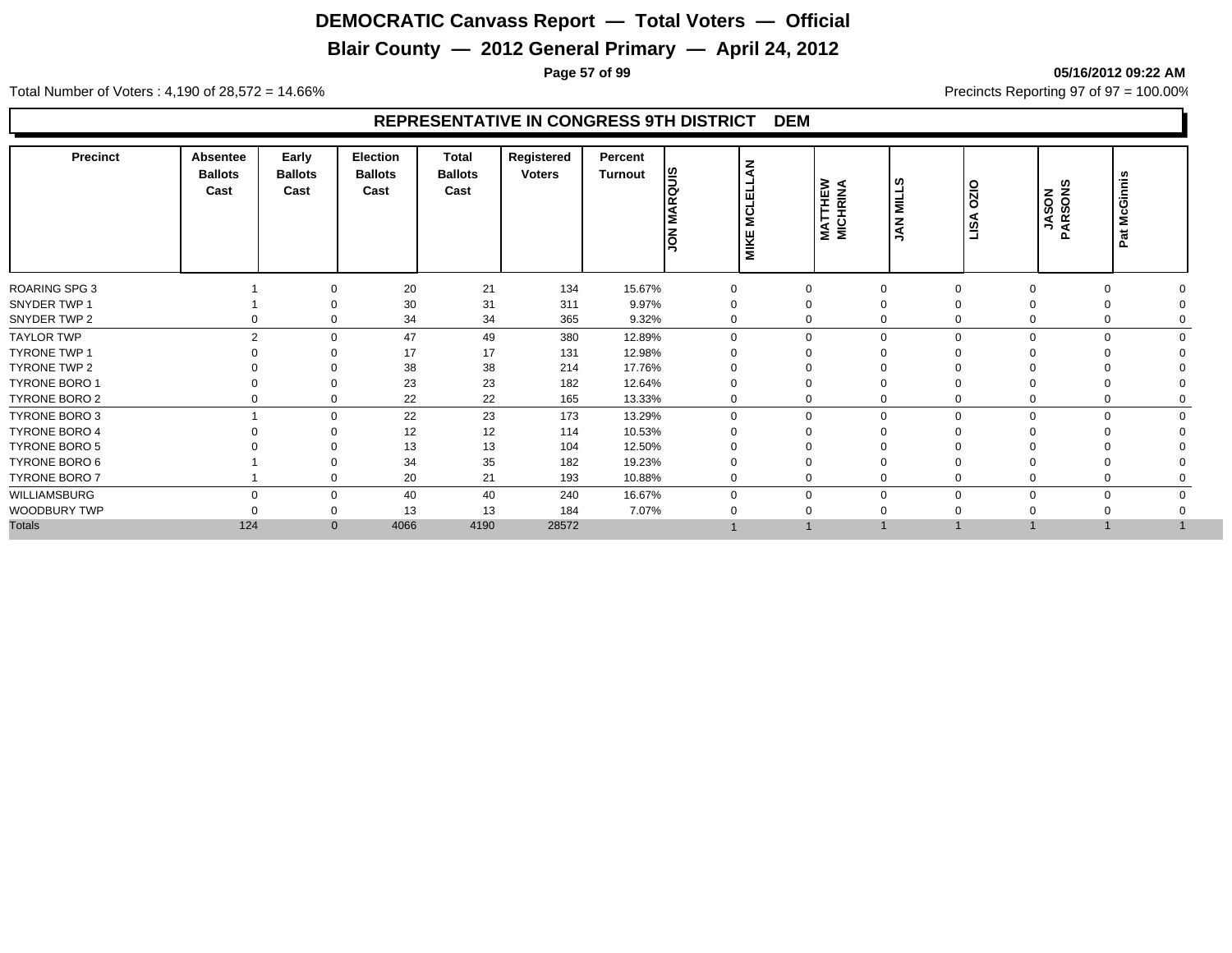# **Blair County — 2012 General Primary — April 24, 2012**

**Page 57 of 99 05/16/2012 09:22 AM**

Total Number of Voters : 4,190 of 28,572 = 14.66% Precincts Reporting 97 of 97 = 100.00%

| Precinct             | <b>Absentee</b><br><b>Ballots</b><br>Cast | Early<br><b>Ballots</b><br>Cast | <b>Election</b><br><b>Ballots</b><br>Cast | <b>Total</b><br><b>Ballots</b><br>Cast | Registered<br><b>Voters</b> | Percent<br>Turnout | <b>Sino</b><br><b>JON MAR</b> | <b>MCLELLAN</b><br><b>MIKE</b> | <b>MATTHEW<br/>MICHRINA</b> | ဖာ<br>NILL:<br>$rac{Z}{2}$ | $\overline{OZO}$<br>LISA | <b>JASON<br/>ARSONS</b><br>$\mathbf{a}$ | Pat McGinnis |
|----------------------|-------------------------------------------|---------------------------------|-------------------------------------------|----------------------------------------|-----------------------------|--------------------|-------------------------------|--------------------------------|-----------------------------|----------------------------|--------------------------|-----------------------------------------|--------------|
| <b>ROARING SPG 3</b> |                                           | $\Omega$                        | 20                                        | 21                                     | 134                         | 15.67%             | 0                             |                                | $\Omega$                    | $\Omega$                   | $\Omega$                 | $\Omega$                                |              |
| SNYDER TWP 1         |                                           |                                 | 30                                        | 31                                     | 311                         | 9.97%              | 0                             |                                | 0                           | $\Omega$                   |                          |                                         |              |
| SNYDER TWP 2         |                                           | 0<br>0                          | 34                                        | 34                                     | 365                         | 9.32%              | 0                             |                                | 0                           | $\Omega$                   | 0                        | 0                                       |              |
| <b>TAYLOR TWP</b>    |                                           | $\overline{2}$<br>$\Omega$      | 47                                        | 49                                     | 380                         | 12.89%             | $\Omega$                      |                                | $\mathbf 0$                 | $\Omega$                   | $\Omega$                 |                                         | $\Omega$     |
| <b>TYRONE TWP 1</b>  |                                           | $\Omega$                        | 17                                        | 17                                     | 131                         | 12.98%             |                               |                                | $\Omega$                    |                            |                          |                                         |              |
| TYRONE TWP 2         |                                           | $\Omega$                        | 38                                        | 38                                     | 214                         | 17.76%             |                               |                                | 0                           | $\Omega$                   |                          |                                         |              |
| <b>TYRONE BORO 1</b> |                                           | $\Omega$                        | 23                                        | 23                                     | 182                         | 12.64%             |                               |                                | $\Omega$                    | $\Omega$                   |                          |                                         |              |
| TYRONE BORO 2        |                                           | $\mathbf 0$<br>0                | 22                                        | 22                                     | 165                         | 13.33%             | 0                             |                                | 0                           | $\mathbf 0$                | 0                        | 0                                       |              |
| TYRONE BORO 3        |                                           | $\mathbf 0$                     | 22                                        | 23                                     | 173                         | 13.29%             | $\Omega$                      |                                | 0                           | $\mathbf 0$                | $\mathbf 0$<br>$\Omega$  |                                         | $\mathbf 0$  |
| <b>TYRONE BORO 4</b> |                                           | $\Omega$                        | 12                                        | 12                                     | 114                         | 10.53%             |                               |                                | 0                           |                            |                          |                                         |              |
| <b>TYRONE BORO 5</b> |                                           |                                 | 13                                        | 13                                     | 104                         | 12.50%             |                               |                                |                             |                            |                          |                                         |              |
| TYRONE BORO 6        |                                           |                                 | 34                                        | 35                                     | 182                         | 19.23%             |                               |                                | $\Omega$                    |                            |                          |                                         |              |
| TYRONE BORO 7        |                                           | $\Omega$                        | 20                                        | 21                                     | 193                         | 10.88%             | 0                             |                                | 0                           | $\Omega$                   |                          |                                         |              |
| WILLIAMSBURG         |                                           | $\Omega$<br>$\mathbf 0$         | 40                                        | 40                                     | 240                         | 16.67%             |                               |                                | $\mathbf 0$                 | $\Omega$                   | $\Omega$                 |                                         | $\Omega$     |
| WOODBURY TWP         |                                           | 0                               | 13                                        | 13                                     | 184                         | 7.07%              |                               |                                |                             |                            |                          |                                         |              |
| <b>Totals</b>        | 124                                       | $\mathbf{0}$                    | 4066                                      | 4190                                   | 28572                       |                    |                               |                                |                             |                            |                          |                                         |              |
|                      |                                           |                                 |                                           |                                        |                             |                    |                               |                                |                             |                            |                          |                                         |              |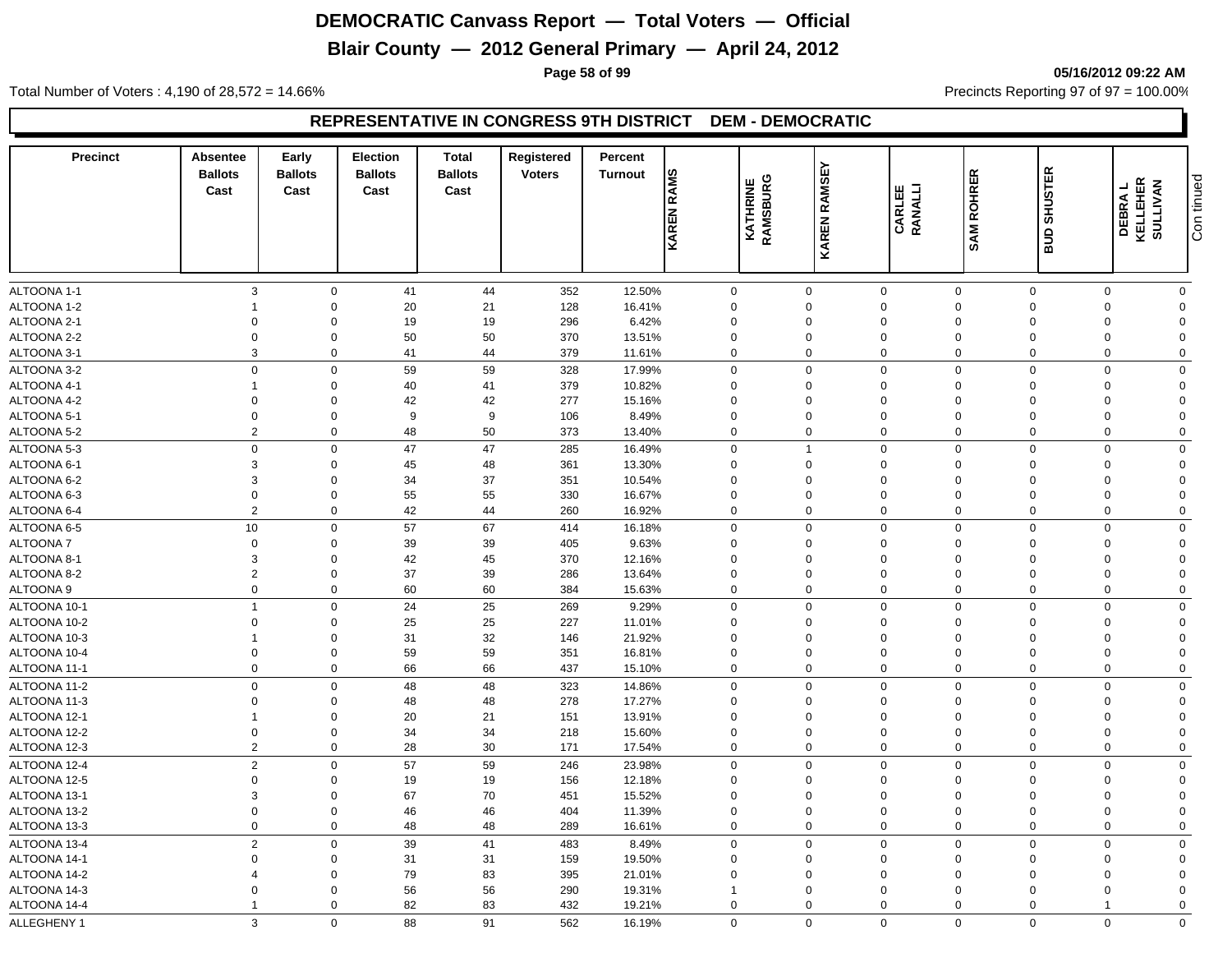# **Blair County — 2012 General Primary — April 24, 2012**

**Page 58 of 99 05/16/2012 09:22 AM**

Total Number of Voters : 4,190 of 28,572 = 14.66% Precincts Reporting 97 of 97 = 100.00%

| <b>Precinct</b>                | <b>Absentee</b><br><b>Ballots</b><br>Cast | Early<br><b>Ballots</b><br>Cast | Election<br><b>Ballots</b><br>Cast | <b>Total</b><br><b>Ballots</b><br>Cast | Registered<br><b>Voters</b> | Percent<br>Turnout | <b>RAMS</b><br>KAREN       | <b>KATHRINE</b><br>RAMSBURG | <b>RAMSEY</b><br><b>KAREN</b> | CARLEE<br>RANALLI          | <b>SAM ROHRER</b>          | <b>SHUSTER</b><br>ans   | <b>DEBRAL</b><br>KELLEHER<br>NELLEHER | Con tinued                 |
|--------------------------------|-------------------------------------------|---------------------------------|------------------------------------|----------------------------------------|-----------------------------|--------------------|----------------------------|-----------------------------|-------------------------------|----------------------------|----------------------------|-------------------------|---------------------------------------|----------------------------|
|                                |                                           |                                 |                                    |                                        |                             |                    |                            |                             |                               |                            |                            |                         |                                       |                            |
| ALTOONA 1-1<br>ALTOONA 1-2     | 3                                         | $\mathbf 0$<br>$\mathbf 0$      | 41<br>20                           | 44<br>21                               | 352<br>128                  | 12.50%<br>16.41%   | 0<br>$\mathbf 0$           |                             | $\mathbf 0$<br>0              | $\mathbf 0$<br>$\mathbf 0$ | $\mathbf 0$<br>$\mathbf 0$ | $\mathbf 0$<br>$\Omega$ | 0<br>$\Omega$                         | $\mathbf 0$<br>$\mathbf 0$ |
| ALTOONA 2-1                    | $\mathbf 0$                               | $\mathbf 0$                     | 19                                 | 19                                     | 296                         | 6.42%              | $\mathbf 0$                |                             | 0                             | $\mathbf 0$                | $\mathbf 0$                | $\Omega$                | $\Omega$                              | $\Omega$                   |
| ALTOONA 2-2                    | $\overline{0}$                            | $\mathbf 0$                     | 50                                 | 50                                     | 370                         | 13.51%             | $\mathbf 0$                |                             | $\mathbf 0$                   | $\mathbf 0$                | $\mathbf 0$                | $\Omega$                | $\Omega$                              | $\Omega$                   |
| ALTOONA 3-1                    | 3                                         | $\mathbf 0$                     | 41                                 | 44                                     | 379                         | 11.61%             | $\mathbf 0$                |                             | $\mathbf 0$                   | $\mathbf 0$                | $\mathbf 0$                | $\mathbf 0$             | $\mathbf 0$                           | $\mathbf 0$                |
|                                | $\Omega$                                  |                                 |                                    |                                        |                             |                    |                            |                             |                               |                            |                            |                         |                                       |                            |
| ALTOONA 3-2                    | $\overline{1}$                            | $\mathbf 0$                     | 59                                 | 59                                     | 328                         | 17.99%             | 0                          |                             | $\mathbf 0$                   | $\mathbf 0$                | $\mathbf 0$                | $\Omega$<br>$\Omega$    | $\Omega$                              | $\mathbf 0$<br>$\Omega$    |
| ALTOONA 4-1                    | $\Omega$                                  | $\mathbf 0$<br>$\mathbf 0$      | 40                                 | 41                                     | 379                         | 10.82%             | 0<br>$\Omega$              |                             | 0<br>$\Omega$                 | $\mathbf 0$<br>$\mathbf 0$ | $\Omega$<br>$\Omega$       | $\Omega$                | $\Omega$<br>$\Omega$                  | $\Omega$                   |
| ALTOONA 4-2<br>ALTOONA 5-1     | $\mathbf 0$                               | $\mathbf 0$                     | 42<br>9                            | 42<br>9                                | 277<br>106                  | 15.16%<br>8.49%    | $\mathbf 0$                |                             | $\mathbf 0$                   | $\mathbf 0$                | $\Omega$                   | $\Omega$                | $\Omega$                              | $\mathbf 0$                |
|                                | $\overline{2}$                            | $\mathbf 0$                     | 48                                 | 50                                     | 373                         |                    | $\mathbf 0$                |                             | $\mathbf 0$                   | $\mathbf 0$                | $\mathbf 0$                | $\mathbf 0$             | $\mathbf 0$                           | $\mathbf 0$                |
| ALTOONA 5-2                    |                                           |                                 |                                    |                                        |                             | 13.40%             |                            |                             |                               |                            |                            | $\Omega$                | $\Omega$                              |                            |
| ALTOONA 5-3<br>ALTOONA 6-1     | $\mathbf 0$<br>3                          | $\mathbf 0$                     | 47                                 | 47<br>48                               | 285                         | 16.49%             | $\mathbf 0$<br>$\Omega$    |                             | $\mathbf{1}$<br>0             | $\mathbf 0$<br>$\mathbf 0$ | $\overline{0}$<br>$\Omega$ | $\Omega$                | $\Omega$                              | $\mathbf 0$<br>$\Omega$    |
| ALTOONA 6-2                    | 3                                         | $\mathbf 0$<br>$\mathbf 0$      | 45<br>34                           | 37                                     | 361<br>351                  | 13.30%<br>10.54%   | $\mathbf 0$                |                             | $\mathbf 0$                   | $\mathbf 0$                | $\Omega$                   |                         | $\Omega$                              | $\Omega$                   |
| ALTOONA 6-3                    | $\mathbf 0$                               | $\mathsf 0$                     | 55                                 | 55                                     | 330                         | 16.67%             | $\mathbf 0$                |                             | $\overline{0}$                | $\mathbf 0$                | $\Omega$                   | $\Omega$                | $\Omega$                              | $\Omega$                   |
| ALTOONA 6-4                    | $\overline{2}$                            | $\mathbf 0$                     | 42                                 | 44                                     | 260                         | 16.92%             | $\mathbf 0$                |                             | $\mathbf 0$                   | $\mathbf 0$                | $\Omega$                   | $\Omega$                | $\mathbf 0$                           | $\mathbf 0$                |
|                                |                                           |                                 |                                    |                                        |                             |                    |                            |                             | $\mathbf 0$                   |                            |                            |                         | $\Omega$                              |                            |
| ALTOONA 6-5<br><b>ALTOONA7</b> | 10<br>$\mathbf 0$                         | $\mathbf 0$<br>$\mathbf 0$      | 57                                 | 67<br>39                               | 414                         | 16.18%<br>9.63%    | $\mathbf 0$<br>$\mathbf 0$ |                             | $\mathbf 0$                   | $\mathbf 0$<br>$\mathbf 0$ | $\mathbf 0$<br>$\Omega$    | $\mathbf 0$<br>$\Omega$ | $\Omega$                              | $\mathbf 0$<br>$\Omega$    |
| ALTOONA 8-1                    | 3                                         | $\mathbf 0$                     | 39<br>42                           | 45                                     | 405<br>370                  |                    | $\Omega$                   |                             | $\Omega$                      | $\mathbf 0$                | $\Omega$                   | $\Omega$                | $\Omega$                              | $\Omega$                   |
| ALTOONA 8-2                    | $\overline{2}$                            | $\mathbf 0$                     | 37                                 | 39                                     | 286                         | 12.16%<br>13.64%   | $\mathbf 0$                |                             | $\mathbf 0$                   | $\mathbf 0$                | $\Omega$                   | $\Omega$                | $\Omega$                              | $\Omega$                   |
| ALTOONA 9                      | $\mathbf 0$                               | $\mathbf 0$                     | 60                                 | 60                                     | 384                         | 15.63%             | $\mathbf 0$                |                             | $\mathbf 0$                   | $\mathbf 0$                | $\mathbf 0$                | $\mathbf 0$             | $\Omega$                              | $\mathbf 0$                |
|                                | $\overline{1}$                            |                                 |                                    |                                        |                             |                    |                            |                             |                               |                            |                            |                         | $\Omega$                              |                            |
| ALTOONA 10-1                   |                                           | $\mathbf 0$                     | 24                                 | 25                                     | 269                         | 9.29%              | $\mathbf 0$                |                             | $\mathbf 0$                   | $\mathbf 0$                | $\mathbf 0$                | $\Omega$                |                                       | $\mathbf 0$                |
| ALTOONA 10-2                   | $\mathbf 0$                               | $\mathbf 0$                     | 25                                 | 25                                     | 227                         | 11.01%             | $\mathbf 0$                |                             | $\mathbf 0$                   | $\mathbf 0$                | $\Omega$                   | $\Omega$<br>$\Omega$    | $\Omega$                              | $\Omega$                   |
| ALTOONA 10-3                   |                                           | $\mathbf 0$                     | 31                                 | 32                                     | 146                         | 21.92%             | $\mathbf 0$                |                             | 0                             | $\mathbf 0$                | $\mathbf 0$                | $\Omega$                | $\Omega$<br>$\Omega$                  | $\overline{0}$<br>$\Omega$ |
| ALTOONA 10-4                   | $\mathbf 0$                               | $\mathbf 0$                     | 59                                 | 59                                     | 351                         | 16.81%             | $\mathbf 0$                |                             | $\mathbf 0$                   | $\mathbf 0$                | $\mathbf 0$                |                         |                                       |                            |
| ALTOONA 11-1                   | $\mathbf 0$                               | $\mathbf 0$                     | 66                                 | 66                                     | 437                         | 15.10%             | $\mathbf 0$                |                             | $\mathbf 0$                   | $\mathbf 0$                | $\mathbf 0$                | $\mathbf 0$             | $\mathbf 0$                           | $\mathbf 0$                |
| ALTOONA 11-2                   | $\overline{0}$                            | $\mathbf 0$                     | 48                                 | 48                                     | 323                         | 14.86%             | $\mathbf 0$                |                             | $\mathbf 0$                   | $\mathbf 0$                | $\Omega$                   | $\Omega$                | $\Omega$                              | $\mathbf 0$                |
| ALTOONA 11-3                   | $\overline{0}$                            | $\mathbf 0$                     | 48                                 | 48                                     | 278                         | 17.27%             | $\mathbf 0$<br>$\Omega$    |                             | $\mathbf 0$<br>$\Omega$       | $\mathbf 0$                | $\Omega$                   | $\Omega$<br>$\Omega$    | $\Omega$<br>$\Omega$                  | $\Omega$<br>$\Omega$       |
| ALTOONA 12-1                   | -1                                        | $\mathbf 0$                     | 20                                 | 21                                     | 151                         | 13.91%             |                            |                             |                               | $\mathbf 0$                | $\Omega$                   | $\Omega$                | $\Omega$                              | $\Omega$                   |
| ALTOONA 12-2                   | $\boldsymbol{0}$<br>$\overline{2}$        | $\mathbf 0$<br>$\mathbf 0$      | 34<br>28                           | 34<br>30                               | 218                         | 15.60%             | $\mathbf 0$                |                             | $\mathbf 0$<br>$\mathbf 0$    | $\mathbf 0$<br>$\mathbf 0$ | $\mathbf 0$<br>$\mathbf 0$ | $\Omega$                | $\Omega$                              | $\mathbf 0$                |
| ALTOONA 12-3                   |                                           |                                 |                                    |                                        | 171                         | 17.54%             | 0                          |                             |                               |                            |                            |                         |                                       |                            |
| ALTOONA 12-4                   | $\overline{2}$                            | $\mathbf 0$                     | 57                                 | 59                                     | 246                         | 23.98%             | $\mathbf 0$                |                             | $\mathbf 0$                   | $\mathbf 0$                | $\Omega$                   | $\Omega$                | $\mathbf 0$                           | $\mathbf 0$                |
| ALTOONA 12-5                   | $\mathbf 0$                               | $\mathbf 0$                     | 19                                 | 19                                     | 156                         | 12.18%             | $\mathbf 0$                |                             | $\mathbf 0$                   | $\mathbf 0$                | $\Omega$                   | $\Omega$                | $\Omega$                              | $\mathbf 0$                |
| ALTOONA 13-1                   | 3<br>$\Omega$                             | $\mathbf 0$                     | 67                                 | 70                                     | 451                         | 15.52%             | $\mathbf 0$                |                             | $\mathbf 0$<br>$\Omega$       | $\mathbf 0$                | $\Omega$                   | $\Omega$                | $\Omega$                              | $\Omega$                   |
| ALTOONA 13-2                   | $\mathbf 0$                               | $\mathbf 0$<br>$\mathbf 0$      | 46                                 | 46                                     | 404                         | 11.39%             | $\mathbf 0$                |                             | $\mathbf 0$                   | $\mathbf 0$                | 0<br>$\mathbf 0$           | $\Omega$<br>$\Omega$    | $\Omega$<br>$\Omega$                  | $\mathbf 0$                |
| ALTOONA 13-3                   |                                           |                                 | 48                                 | 48                                     | 289                         | 16.61%             | 0                          |                             |                               | $\mathbf 0$                |                            |                         |                                       | $\mathbf 0$                |
| ALTOONA 13-4                   | $\overline{2}$                            | $\mathbf 0$                     | 39                                 | 41                                     | 483                         | 8.49%              | $\mathbf 0$                |                             | $\mathbf 0$                   | $\mathbf 0$                | $\Omega$                   | $\mathbf 0$             | $\mathbf 0$                           | $\mathbf 0$                |
| ALTOONA 14-1                   | $\mathbf 0$                               | $\mathbf 0$                     | 31                                 | 31                                     | 159                         | 19.50%             | $\mathbf 0$                |                             | $\mathbf 0$                   | $\mathbf 0$                | $\Omega$                   | $\Omega$                | $\Omega$                              | $\Omega$                   |
| ALTOONA 14-2                   | $\Omega$                                  | $\mathbf 0$<br>$\Omega$         | 79                                 | 83                                     | 395                         | 21.01%             | $\mathbf 0$                |                             | $\Omega$                      | $\mathbf 0$                | $\Omega$                   | $\Omega$<br>$\Omega$    | $\Omega$<br>$\Omega$                  | $\Omega$                   |
| ALTOONA 14-3                   |                                           |                                 | 56                                 | 56                                     | 290                         | 19.31%             | $\overline{1}$             |                             | $\Omega$                      | $\Omega$                   | $\Omega$                   |                         |                                       | $\Omega$                   |
| ALTOONA 14-4                   |                                           | $\Omega$                        | 82                                 | 83                                     | 432                         | 19.21%             | $\mathbf 0$                |                             | $\mathbf 0$                   | $\Omega$                   | $\Omega$                   | $\Omega$                |                                       | $\Omega$                   |
| ALLEGHENY 1                    | 3                                         | $\mathbf 0$                     | 88                                 | 91                                     | 562                         | 16.19%             | $\mathbf 0$                |                             | $\mathbf 0$                   | $\mathbf 0$                | $\mathbf{0}$               | $\mathbf 0$             | $\mathbf 0$                           | $\mathbf 0$                |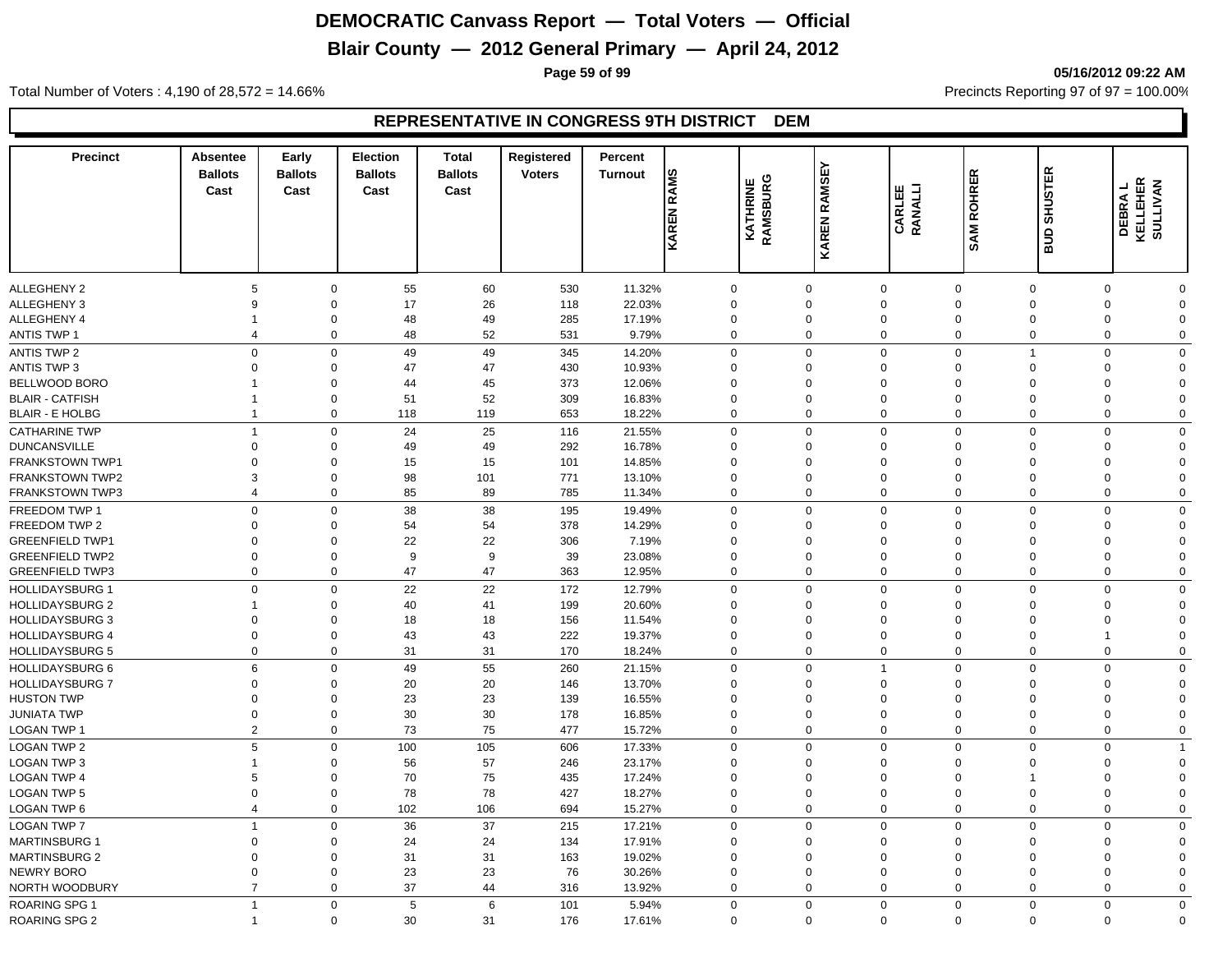# **Blair County — 2012 General Primary — April 24, 2012**

**Page 59 of 99 05/16/2012 09:22 AM**

Total Number of Voters : 4,190 of 28,572 = 14.66% Precincts Reporting 97 of 97 = 100.00%

| KAREN<br>aua<br><b>ALLEGHENY 2</b><br>55<br>60<br>11.32%<br>$\mathbf 0$<br>530<br>$\mathbf 0$<br>$\mathbf 0$<br>$\mathbf 0$<br>$\mathbf 0$<br>$\mathbf 0$<br>$\Omega$<br>5<br>$\mathbf 0$<br><b>ALLEGHENY 3</b><br>17<br>26<br>118<br>22.03%<br>$\Omega$<br>$\Omega$<br>$\Omega$<br>$\Omega$<br>$\Omega$<br>$\mathbf 0$<br>9<br>$\Omega$<br>$\Omega$<br>48<br>49<br>285<br>17.19%<br>$\Omega$<br>$\Omega$<br>$\mathbf 0$<br>$\Omega$<br>$\mathbf 0$<br>$\Omega$<br>$\Omega$<br>$\Omega$<br><b>ANTIS TWP 1</b><br>48<br>52<br>531<br>9.79%<br>$\mathbf 0$<br>$\Omega$<br>$\mathbf 0$<br>$\mathbf 0$<br>$\Omega$<br>$\mathbf 0$<br>$\mathbf 0$<br>$\Omega$<br>4<br><b>ANTIS TWP 2</b><br>$\Omega$<br>$\Omega$<br>49<br>49<br>345<br>14.20%<br>$\Omega$<br>$\Omega$<br>$\Omega$<br>0<br>$\Omega$<br>$\mathbf 0$<br>-1<br>47<br><b>ANTIS TWP 3</b><br>47<br>430<br>10.93%<br>$\Omega$<br>$\Omega$<br>$\mathbf 0$<br>$\Omega$<br>$\Omega$<br>$\Omega$<br>$\Omega$<br>$\Omega$<br>0<br>44<br>45<br>373<br>12.06%<br>$\Omega$<br>$\Omega$<br>$\Omega$<br>$\mathbf 0$<br>$\Omega$<br>$\Omega$<br>0<br>$\Omega$<br>51<br>52<br>309<br>16.83%<br>$\Omega$<br>$\Omega$<br>$\Omega$<br>$\Omega$<br>$\mathbf 0$<br>$\Omega$<br>$\Omega$<br>$\Omega$<br>18.22%<br>$\mathbf 0$<br>$\mathbf 0$<br>118<br>119<br>653<br>$\mathbf 0$<br>$\mathbf 0$<br>$\Omega$<br>$\mathbf 0$<br>$\Omega$<br>$\Omega$<br>24<br>25<br><b>CATHARINE TWP</b><br>$\Omega$<br>116<br>21.55%<br>$\Omega$<br>$\Omega$<br>$\mathbf 0$<br>$\Omega$<br>$\Omega$<br>$\mathbf 0$<br>$\Omega$<br>-1<br>49<br>49<br>292<br>16.78%<br>$\Omega$<br>$\Omega$<br>$\Omega$<br>$\Omega$<br>$\Omega$<br>$\Omega$<br>$\Omega$<br>$\mathbf 0$<br>$\Omega$<br>15<br>FRANKSTOWN TWP1<br>15<br>101<br>14.85%<br>$\Omega$<br>$\mathbf 0$<br>$\Omega$<br>$\Omega$<br>$\Omega$<br>$\Omega$<br>$\Omega$<br>$\Omega$<br>$\Omega$<br><b>FRANKSTOWN TWP2</b><br>98<br>101<br>771<br>13.10%<br>$\mathbf 0$<br>$\mathbf 0$<br>$\Omega$<br>$\mathbf 0$<br>$\mathbf 0$<br>3<br>$\mathbf 0$<br>$\Omega$<br>$\Omega$<br>85<br><b>FRANKSTOWN TWP3</b><br>$\mathbf 0$<br>89<br>785<br>11.34%<br>$\mathbf 0$<br>$\Omega$<br>$\mathbf 0$<br>$\mathbf 0$<br>$\Omega$<br>$\mathbf 0$<br>$\Omega$<br>4<br>$\Omega$<br>38<br>38<br>$\Omega$<br>$\mathbf 0$<br>FREEDOM TWP 1<br>$\mathbf 0$<br>195<br>19.49%<br>$\mathbf 0$<br>$\mathbf 0$<br>$\mathbf 0$<br>$\Omega$<br>$\Omega$<br>FREEDOM TWP 2<br>54<br>54<br>378<br>14.29%<br>$\Omega$<br>$\Omega$<br>$\Omega$<br>$\Omega$<br>$\mathbf 0$<br>$\Omega$<br>$\Omega$<br>$\Omega$<br>∩<br>22<br>22<br>306<br>7.19%<br>$\mathbf 0$<br>$\Omega$<br>$\mathbf 0$<br>$\mathbf 0$<br>$\mathbf 0$<br>$\Omega$<br>$\Omega$<br>$\Omega$<br>$\Omega$<br>9<br>9<br>39<br>23.08%<br>$\Omega$<br>$\mathbf 0$<br>$\mathbf 0$<br>0<br>$\mathbf 0$<br>$\Omega$<br>$\Omega$<br>$\Omega$<br>$\Omega$<br>47<br>47<br>363<br>12.95%<br>$\mathbf 0$<br><b>GREENFIELD TWP3</b><br>$\mathbf 0$<br>$\mathbf 0$<br>$\Omega$<br>$\Omega$<br>$\mathbf 0$<br>$\mathbf 0$<br>0<br>$\Omega$<br>22<br>22<br>$\mathbf 0$<br><b>HOLLIDAYSBURG 1</b><br>$\Omega$<br>$\Omega$<br>172<br>$\Omega$<br>$\Omega$<br>$\Omega$<br>$\Omega$<br>$\Omega$<br>12.79%<br>$\Omega$<br><b>HOLLIDAYSBURG 2</b><br>40<br>41<br>199<br>20.60%<br>$\Omega$<br>$\Omega$<br>$\Omega$<br>$\mathbf 0$<br>$\Omega$<br>$\Omega$<br>$\Omega$<br>$\Omega$<br><b>HOLLIDAYSBURG 3</b><br>18<br>18<br>156<br>11.54%<br>$\Omega$<br>$\Omega$<br>$\Omega$<br>$\Omega$<br>$\mathbf 0$<br>$\Omega$<br>$\Omega$<br>$\Omega$<br>$\Omega$<br>43<br>43<br>222<br>19.37%<br><b>HOLLIDAYSBURG 4</b><br>$\mathbf 0$<br>$\mathbf 0$<br>$\Omega$<br>$\mathbf 0$<br>$\Omega$<br>0<br>$\Omega$<br>$\Omega$<br>31<br>31<br><b>HOLLIDAYSBURG 5</b><br>$\mathbf 0$<br>170<br>18.24%<br>$\mathbf 0$<br>$\Omega$<br>$\Omega$<br>$\mathbf 0$<br>$\mathbf 0$<br>$\Omega$<br>$\mathbf 0$<br>$\Omega$<br>49<br>55<br>260<br><b>HOLLIDAYSBURG 6</b><br>21.15%<br>$\Omega$<br>$\Omega$<br>$\mathbf 0$<br>$\mathbf 0$<br>6<br>$\mathbf 0$<br>$\Omega$<br>$\mathbf{1}$<br>$\Omega$<br><b>HOLLIDAYSBURG 7</b><br>20<br>20<br>146<br>13.70%<br>$\Omega$<br>$\Omega$<br>$\mathbf 0$<br>$\Omega$<br>$\Omega$<br>$\Omega$<br>$\Omega$<br>$\Omega$<br>$\Omega$<br>23<br><b>HUSTON TWP</b><br>23<br>139<br>16.55%<br>$\mathbf 0$<br>$\Omega$<br>$\mathbf 0$<br>$\Omega$<br>$\Omega$<br>$\Omega$<br>$\Omega$<br>$\Omega$<br>$\Omega$<br>30<br><b>JUNIATA TWP</b><br>30<br>178<br>16.85%<br>$\Omega$<br>$\mathbf 0$<br>$\mathbf 0$<br>$\Omega$<br>$\Omega$<br>$\Omega$<br>$\mathbf 0$<br>$\Omega$<br>$\Omega$<br>73<br>75<br>$\mathbf 0$<br><b>LOGAN TWP 1</b><br>$\overline{2}$<br>$\mathbf 0$<br>477<br>15.72%<br>$\mathbf 0$<br>$\Omega$<br>$\mathbf 0$<br>$\mathbf 0$<br>$\Omega$<br>$\Omega$<br>5<br>$\mathbf 0$<br>100<br>105<br>606<br>17.33%<br>$\Omega$<br>$\Omega$<br>$\mathbf 0$<br>$\Omega$<br>$\Omega$<br>$\Omega$<br>$\overline{1}$<br>56<br>57<br>23.17%<br>$\mathbf 0$<br>246<br>$\Omega$<br>$\Omega$<br>$\mathbf 0$<br>$\mathbf 0$<br>0<br>$\Omega$<br>$\Omega$<br>LOGAN TWP 4<br>70<br>17.24%<br>75<br>435<br>$\Omega$<br>$\mathbf 0$<br>$\mathbf 0$<br>$\mathbf 0$<br>5<br>$\Omega$<br>$\Omega$<br>$\Omega$<br>$\overline{\mathbf{1}}$<br>78<br>78<br>427<br>18.27%<br>$\mathbf 0$<br>$\mathbf 0$<br>$\mathbf 0$<br>$\mathbf 0$<br>$\mathbf 0$<br>$\mathbf 0$<br>$\Omega$<br>$\Omega$<br>$\Omega$<br>106<br>$\Omega$<br>$\mathbf 0$<br>$\mathbf 0$<br>$\mathbf 0$<br>LOGAN TWP 6<br>$\overline{4}$<br>$\mathbf 0$<br>102<br>694<br>15.27%<br>$\mathbf 0$<br>$\Omega$<br>$\mathbf 0$<br>LOGAN TWP 7<br>$\mathbf 0$<br>36<br>37<br>215<br>$\mathbf 0$<br>$\overline{1}$<br>17.21%<br>$\mathbf 0$<br>$\Omega$<br>$\Omega$<br>$\mathbf 0$<br>$\Omega$<br>$\Omega$<br>24<br><b>MARTINSBURG 1</b><br>24<br>134<br>17.91%<br>$\mathbf 0$<br>$\Omega$<br>$\Omega$<br>$\mathbf{0}$<br>$\Omega$<br>$\Omega$<br>$\Omega$<br>$\Omega$<br>$\Omega$<br>31<br><b>MARTINSBURG 2</b><br>31<br>163<br>19.02%<br>$\mathbf 0$<br>$\Omega$<br>$\Omega$<br>$\mathbf 0$<br>$\Omega$<br>$\Omega$<br>$\Omega$<br>$\Omega$<br>$\Omega$<br>23<br>23<br><b>NEWRY BORO</b><br>76<br>30.26%<br>$\Omega$<br>$\mathbf 0$<br>$\Omega$<br>$\Omega$<br>$\mathbf 0$<br>$\Omega$<br>$\Omega$<br>$\Omega$<br>$\Omega$<br>37<br>NORTH WOODBURY<br>$\overline{7}$<br>$\Omega$<br>44<br>316<br>13.92%<br>$\Omega$<br>$\mathbf 0$<br>$\Omega$<br>$\Omega$<br>$\mathbf 0$<br>$\Omega$<br>$\Omega$<br>ROARING SPG 1<br>$\mathbf 0$<br>5<br>6<br>101<br>5.94%<br>$\Omega$<br>$\mathbf 0$<br>$\Omega$<br>$\Omega$<br>$\mathbf 0$<br>$\mathbf 0$<br>$\Omega$<br>$\overline{1}$<br>$\Omega$<br>30<br>31<br>176<br>17.61%<br>$\Omega$<br>$\mathbf 0$<br>$\mathbf 0$<br>$\Omega$<br>$\Omega$<br>$\mathbf 0$<br>$\Omega$ | <b>Precinct</b>        | Absentee<br><b>Ballots</b><br>Cast | Early<br><b>Ballots</b><br>Cast | <b>Election</b><br><b>Ballots</b><br>Cast | <b>Total</b><br><b>Ballots</b><br>Cast | Registered<br><b>Voters</b> | Percent<br><b>Turnout</b><br>RAMS | <b>KATHRINE</b><br>RAMSBURG | <b>KAREN RAMSEY</b> | <b>CARLEE</b><br>RANALLI | <b>SAM ROHRER</b> | <b>SHUSTER</b> | <b>DEBRAL</b><br>KELLEHER<br>KELLEHER |  |
|------------------------------------------------------------------------------------------------------------------------------------------------------------------------------------------------------------------------------------------------------------------------------------------------------------------------------------------------------------------------------------------------------------------------------------------------------------------------------------------------------------------------------------------------------------------------------------------------------------------------------------------------------------------------------------------------------------------------------------------------------------------------------------------------------------------------------------------------------------------------------------------------------------------------------------------------------------------------------------------------------------------------------------------------------------------------------------------------------------------------------------------------------------------------------------------------------------------------------------------------------------------------------------------------------------------------------------------------------------------------------------------------------------------------------------------------------------------------------------------------------------------------------------------------------------------------------------------------------------------------------------------------------------------------------------------------------------------------------------------------------------------------------------------------------------------------------------------------------------------------------------------------------------------------------------------------------------------------------------------------------------------------------------------------------------------------------------------------------------------------------------------------------------------------------------------------------------------------------------------------------------------------------------------------------------------------------------------------------------------------------------------------------------------------------------------------------------------------------------------------------------------------------------------------------------------------------------------------------------------------------------------------------------------------------------------------------------------------------------------------------------------------------------------------------------------------------------------------------------------------------------------------------------------------------------------------------------------------------------------------------------------------------------------------------------------------------------------------------------------------------------------------------------------------------------------------------------------------------------------------------------------------------------------------------------------------------------------------------------------------------------------------------------------------------------------------------------------------------------------------------------------------------------------------------------------------------------------------------------------------------------------------------------------------------------------------------------------------------------------------------------------------------------------------------------------------------------------------------------------------------------------------------------------------------------------------------------------------------------------------------------------------------------------------------------------------------------------------------------------------------------------------------------------------------------------------------------------------------------------------------------------------------------------------------------------------------------------------------------------------------------------------------------------------------------------------------------------------------------------------------------------------------------------------------------------------------------------------------------------------------------------------------------------------------------------------------------------------------------------------------------------------------------------------------------------------------------------------------------------------------------------------------------------------------------------------------------------------------------------------------------------------------------------------------------------------------------------------------------------------------------------------------------------------------------------------------------------------------------------------------------------------------------------------------------------------------------------------------------------------------------------------------------------------------------------------------------------------------------------------------------------------------------------------------------------------------------------------------------------------------------------------------------------------------------------------------------------------------------------------------------------------------------------------------------------------------------------------------------------------------------------------------------------------------------------------------------------------------------------------------------------------------------------------------------------------------------------------------------------------------------------------------------------------------------------------------------------------------------------------------------------------------------------------------------------------------------------------------------------------------------------------------------------------------------------------------------------------------------------------------------------------------------------------------------------------------------------------------------------------------------------------------------------------------------------------------------------------------------------------------|------------------------|------------------------------------|---------------------------------|-------------------------------------------|----------------------------------------|-----------------------------|-----------------------------------|-----------------------------|---------------------|--------------------------|-------------------|----------------|---------------------------------------|--|
|                                                                                                                                                                                                                                                                                                                                                                                                                                                                                                                                                                                                                                                                                                                                                                                                                                                                                                                                                                                                                                                                                                                                                                                                                                                                                                                                                                                                                                                                                                                                                                                                                                                                                                                                                                                                                                                                                                                                                                                                                                                                                                                                                                                                                                                                                                                                                                                                                                                                                                                                                                                                                                                                                                                                                                                                                                                                                                                                                                                                                                                                                                                                                                                                                                                                                                                                                                                                                                                                                                                                                                                                                                                                                                                                                                                                                                                                                                                                                                                                                                                                                                                                                                                                                                                                                                                                                                                                                                                                                                                                                                                                                                                                                                                                                                                                                                                                                                                                                                                                                                                                                                                                                                                                                                                                                                                                                                                                                                                                                                                                                                                                                                                                                                                                                                                                                                                                                                                                                                                                                                                                                                                                                                                                                                                                                                                                                                                                                                                                                                                                                                                                                                                                                                                                                      |                        |                                    |                                 |                                           |                                        |                             |                                   |                             |                     |                          |                   |                |                                       |  |
|                                                                                                                                                                                                                                                                                                                                                                                                                                                                                                                                                                                                                                                                                                                                                                                                                                                                                                                                                                                                                                                                                                                                                                                                                                                                                                                                                                                                                                                                                                                                                                                                                                                                                                                                                                                                                                                                                                                                                                                                                                                                                                                                                                                                                                                                                                                                                                                                                                                                                                                                                                                                                                                                                                                                                                                                                                                                                                                                                                                                                                                                                                                                                                                                                                                                                                                                                                                                                                                                                                                                                                                                                                                                                                                                                                                                                                                                                                                                                                                                                                                                                                                                                                                                                                                                                                                                                                                                                                                                                                                                                                                                                                                                                                                                                                                                                                                                                                                                                                                                                                                                                                                                                                                                                                                                                                                                                                                                                                                                                                                                                                                                                                                                                                                                                                                                                                                                                                                                                                                                                                                                                                                                                                                                                                                                                                                                                                                                                                                                                                                                                                                                                                                                                                                                                      |                        |                                    |                                 |                                           |                                        |                             |                                   |                             |                     |                          |                   |                |                                       |  |
|                                                                                                                                                                                                                                                                                                                                                                                                                                                                                                                                                                                                                                                                                                                                                                                                                                                                                                                                                                                                                                                                                                                                                                                                                                                                                                                                                                                                                                                                                                                                                                                                                                                                                                                                                                                                                                                                                                                                                                                                                                                                                                                                                                                                                                                                                                                                                                                                                                                                                                                                                                                                                                                                                                                                                                                                                                                                                                                                                                                                                                                                                                                                                                                                                                                                                                                                                                                                                                                                                                                                                                                                                                                                                                                                                                                                                                                                                                                                                                                                                                                                                                                                                                                                                                                                                                                                                                                                                                                                                                                                                                                                                                                                                                                                                                                                                                                                                                                                                                                                                                                                                                                                                                                                                                                                                                                                                                                                                                                                                                                                                                                                                                                                                                                                                                                                                                                                                                                                                                                                                                                                                                                                                                                                                                                                                                                                                                                                                                                                                                                                                                                                                                                                                                                                                      |                        |                                    |                                 |                                           |                                        |                             |                                   |                             |                     |                          |                   |                |                                       |  |
|                                                                                                                                                                                                                                                                                                                                                                                                                                                                                                                                                                                                                                                                                                                                                                                                                                                                                                                                                                                                                                                                                                                                                                                                                                                                                                                                                                                                                                                                                                                                                                                                                                                                                                                                                                                                                                                                                                                                                                                                                                                                                                                                                                                                                                                                                                                                                                                                                                                                                                                                                                                                                                                                                                                                                                                                                                                                                                                                                                                                                                                                                                                                                                                                                                                                                                                                                                                                                                                                                                                                                                                                                                                                                                                                                                                                                                                                                                                                                                                                                                                                                                                                                                                                                                                                                                                                                                                                                                                                                                                                                                                                                                                                                                                                                                                                                                                                                                                                                                                                                                                                                                                                                                                                                                                                                                                                                                                                                                                                                                                                                                                                                                                                                                                                                                                                                                                                                                                                                                                                                                                                                                                                                                                                                                                                                                                                                                                                                                                                                                                                                                                                                                                                                                                                                      | ALLEGHENY 4            |                                    |                                 |                                           |                                        |                             |                                   |                             |                     |                          |                   |                |                                       |  |
|                                                                                                                                                                                                                                                                                                                                                                                                                                                                                                                                                                                                                                                                                                                                                                                                                                                                                                                                                                                                                                                                                                                                                                                                                                                                                                                                                                                                                                                                                                                                                                                                                                                                                                                                                                                                                                                                                                                                                                                                                                                                                                                                                                                                                                                                                                                                                                                                                                                                                                                                                                                                                                                                                                                                                                                                                                                                                                                                                                                                                                                                                                                                                                                                                                                                                                                                                                                                                                                                                                                                                                                                                                                                                                                                                                                                                                                                                                                                                                                                                                                                                                                                                                                                                                                                                                                                                                                                                                                                                                                                                                                                                                                                                                                                                                                                                                                                                                                                                                                                                                                                                                                                                                                                                                                                                                                                                                                                                                                                                                                                                                                                                                                                                                                                                                                                                                                                                                                                                                                                                                                                                                                                                                                                                                                                                                                                                                                                                                                                                                                                                                                                                                                                                                                                                      |                        |                                    |                                 |                                           |                                        |                             |                                   |                             |                     |                          |                   |                |                                       |  |
|                                                                                                                                                                                                                                                                                                                                                                                                                                                                                                                                                                                                                                                                                                                                                                                                                                                                                                                                                                                                                                                                                                                                                                                                                                                                                                                                                                                                                                                                                                                                                                                                                                                                                                                                                                                                                                                                                                                                                                                                                                                                                                                                                                                                                                                                                                                                                                                                                                                                                                                                                                                                                                                                                                                                                                                                                                                                                                                                                                                                                                                                                                                                                                                                                                                                                                                                                                                                                                                                                                                                                                                                                                                                                                                                                                                                                                                                                                                                                                                                                                                                                                                                                                                                                                                                                                                                                                                                                                                                                                                                                                                                                                                                                                                                                                                                                                                                                                                                                                                                                                                                                                                                                                                                                                                                                                                                                                                                                                                                                                                                                                                                                                                                                                                                                                                                                                                                                                                                                                                                                                                                                                                                                                                                                                                                                                                                                                                                                                                                                                                                                                                                                                                                                                                                                      |                        |                                    |                                 |                                           |                                        |                             |                                   |                             |                     |                          |                   |                |                                       |  |
|                                                                                                                                                                                                                                                                                                                                                                                                                                                                                                                                                                                                                                                                                                                                                                                                                                                                                                                                                                                                                                                                                                                                                                                                                                                                                                                                                                                                                                                                                                                                                                                                                                                                                                                                                                                                                                                                                                                                                                                                                                                                                                                                                                                                                                                                                                                                                                                                                                                                                                                                                                                                                                                                                                                                                                                                                                                                                                                                                                                                                                                                                                                                                                                                                                                                                                                                                                                                                                                                                                                                                                                                                                                                                                                                                                                                                                                                                                                                                                                                                                                                                                                                                                                                                                                                                                                                                                                                                                                                                                                                                                                                                                                                                                                                                                                                                                                                                                                                                                                                                                                                                                                                                                                                                                                                                                                                                                                                                                                                                                                                                                                                                                                                                                                                                                                                                                                                                                                                                                                                                                                                                                                                                                                                                                                                                                                                                                                                                                                                                                                                                                                                                                                                                                                                                      |                        |                                    |                                 |                                           |                                        |                             |                                   |                             |                     |                          |                   |                |                                       |  |
|                                                                                                                                                                                                                                                                                                                                                                                                                                                                                                                                                                                                                                                                                                                                                                                                                                                                                                                                                                                                                                                                                                                                                                                                                                                                                                                                                                                                                                                                                                                                                                                                                                                                                                                                                                                                                                                                                                                                                                                                                                                                                                                                                                                                                                                                                                                                                                                                                                                                                                                                                                                                                                                                                                                                                                                                                                                                                                                                                                                                                                                                                                                                                                                                                                                                                                                                                                                                                                                                                                                                                                                                                                                                                                                                                                                                                                                                                                                                                                                                                                                                                                                                                                                                                                                                                                                                                                                                                                                                                                                                                                                                                                                                                                                                                                                                                                                                                                                                                                                                                                                                                                                                                                                                                                                                                                                                                                                                                                                                                                                                                                                                                                                                                                                                                                                                                                                                                                                                                                                                                                                                                                                                                                                                                                                                                                                                                                                                                                                                                                                                                                                                                                                                                                                                                      | BELLWOOD BORO          |                                    |                                 |                                           |                                        |                             |                                   |                             |                     |                          |                   |                |                                       |  |
|                                                                                                                                                                                                                                                                                                                                                                                                                                                                                                                                                                                                                                                                                                                                                                                                                                                                                                                                                                                                                                                                                                                                                                                                                                                                                                                                                                                                                                                                                                                                                                                                                                                                                                                                                                                                                                                                                                                                                                                                                                                                                                                                                                                                                                                                                                                                                                                                                                                                                                                                                                                                                                                                                                                                                                                                                                                                                                                                                                                                                                                                                                                                                                                                                                                                                                                                                                                                                                                                                                                                                                                                                                                                                                                                                                                                                                                                                                                                                                                                                                                                                                                                                                                                                                                                                                                                                                                                                                                                                                                                                                                                                                                                                                                                                                                                                                                                                                                                                                                                                                                                                                                                                                                                                                                                                                                                                                                                                                                                                                                                                                                                                                                                                                                                                                                                                                                                                                                                                                                                                                                                                                                                                                                                                                                                                                                                                                                                                                                                                                                                                                                                                                                                                                                                                      | <b>BLAIR - CATFISH</b> |                                    |                                 |                                           |                                        |                             |                                   |                             |                     |                          |                   |                |                                       |  |
|                                                                                                                                                                                                                                                                                                                                                                                                                                                                                                                                                                                                                                                                                                                                                                                                                                                                                                                                                                                                                                                                                                                                                                                                                                                                                                                                                                                                                                                                                                                                                                                                                                                                                                                                                                                                                                                                                                                                                                                                                                                                                                                                                                                                                                                                                                                                                                                                                                                                                                                                                                                                                                                                                                                                                                                                                                                                                                                                                                                                                                                                                                                                                                                                                                                                                                                                                                                                                                                                                                                                                                                                                                                                                                                                                                                                                                                                                                                                                                                                                                                                                                                                                                                                                                                                                                                                                                                                                                                                                                                                                                                                                                                                                                                                                                                                                                                                                                                                                                                                                                                                                                                                                                                                                                                                                                                                                                                                                                                                                                                                                                                                                                                                                                                                                                                                                                                                                                                                                                                                                                                                                                                                                                                                                                                                                                                                                                                                                                                                                                                                                                                                                                                                                                                                                      | <b>BLAIR - E HOLBG</b> |                                    |                                 |                                           |                                        |                             |                                   |                             |                     |                          |                   |                |                                       |  |
|                                                                                                                                                                                                                                                                                                                                                                                                                                                                                                                                                                                                                                                                                                                                                                                                                                                                                                                                                                                                                                                                                                                                                                                                                                                                                                                                                                                                                                                                                                                                                                                                                                                                                                                                                                                                                                                                                                                                                                                                                                                                                                                                                                                                                                                                                                                                                                                                                                                                                                                                                                                                                                                                                                                                                                                                                                                                                                                                                                                                                                                                                                                                                                                                                                                                                                                                                                                                                                                                                                                                                                                                                                                                                                                                                                                                                                                                                                                                                                                                                                                                                                                                                                                                                                                                                                                                                                                                                                                                                                                                                                                                                                                                                                                                                                                                                                                                                                                                                                                                                                                                                                                                                                                                                                                                                                                                                                                                                                                                                                                                                                                                                                                                                                                                                                                                                                                                                                                                                                                                                                                                                                                                                                                                                                                                                                                                                                                                                                                                                                                                                                                                                                                                                                                                                      |                        |                                    |                                 |                                           |                                        |                             |                                   |                             |                     |                          |                   |                |                                       |  |
|                                                                                                                                                                                                                                                                                                                                                                                                                                                                                                                                                                                                                                                                                                                                                                                                                                                                                                                                                                                                                                                                                                                                                                                                                                                                                                                                                                                                                                                                                                                                                                                                                                                                                                                                                                                                                                                                                                                                                                                                                                                                                                                                                                                                                                                                                                                                                                                                                                                                                                                                                                                                                                                                                                                                                                                                                                                                                                                                                                                                                                                                                                                                                                                                                                                                                                                                                                                                                                                                                                                                                                                                                                                                                                                                                                                                                                                                                                                                                                                                                                                                                                                                                                                                                                                                                                                                                                                                                                                                                                                                                                                                                                                                                                                                                                                                                                                                                                                                                                                                                                                                                                                                                                                                                                                                                                                                                                                                                                                                                                                                                                                                                                                                                                                                                                                                                                                                                                                                                                                                                                                                                                                                                                                                                                                                                                                                                                                                                                                                                                                                                                                                                                                                                                                                                      | <b>DUNCANSVILLE</b>    |                                    |                                 |                                           |                                        |                             |                                   |                             |                     |                          |                   |                |                                       |  |
|                                                                                                                                                                                                                                                                                                                                                                                                                                                                                                                                                                                                                                                                                                                                                                                                                                                                                                                                                                                                                                                                                                                                                                                                                                                                                                                                                                                                                                                                                                                                                                                                                                                                                                                                                                                                                                                                                                                                                                                                                                                                                                                                                                                                                                                                                                                                                                                                                                                                                                                                                                                                                                                                                                                                                                                                                                                                                                                                                                                                                                                                                                                                                                                                                                                                                                                                                                                                                                                                                                                                                                                                                                                                                                                                                                                                                                                                                                                                                                                                                                                                                                                                                                                                                                                                                                                                                                                                                                                                                                                                                                                                                                                                                                                                                                                                                                                                                                                                                                                                                                                                                                                                                                                                                                                                                                                                                                                                                                                                                                                                                                                                                                                                                                                                                                                                                                                                                                                                                                                                                                                                                                                                                                                                                                                                                                                                                                                                                                                                                                                                                                                                                                                                                                                                                      |                        |                                    |                                 |                                           |                                        |                             |                                   |                             |                     |                          |                   |                |                                       |  |
|                                                                                                                                                                                                                                                                                                                                                                                                                                                                                                                                                                                                                                                                                                                                                                                                                                                                                                                                                                                                                                                                                                                                                                                                                                                                                                                                                                                                                                                                                                                                                                                                                                                                                                                                                                                                                                                                                                                                                                                                                                                                                                                                                                                                                                                                                                                                                                                                                                                                                                                                                                                                                                                                                                                                                                                                                                                                                                                                                                                                                                                                                                                                                                                                                                                                                                                                                                                                                                                                                                                                                                                                                                                                                                                                                                                                                                                                                                                                                                                                                                                                                                                                                                                                                                                                                                                                                                                                                                                                                                                                                                                                                                                                                                                                                                                                                                                                                                                                                                                                                                                                                                                                                                                                                                                                                                                                                                                                                                                                                                                                                                                                                                                                                                                                                                                                                                                                                                                                                                                                                                                                                                                                                                                                                                                                                                                                                                                                                                                                                                                                                                                                                                                                                                                                                      |                        |                                    |                                 |                                           |                                        |                             |                                   |                             |                     |                          |                   |                |                                       |  |
|                                                                                                                                                                                                                                                                                                                                                                                                                                                                                                                                                                                                                                                                                                                                                                                                                                                                                                                                                                                                                                                                                                                                                                                                                                                                                                                                                                                                                                                                                                                                                                                                                                                                                                                                                                                                                                                                                                                                                                                                                                                                                                                                                                                                                                                                                                                                                                                                                                                                                                                                                                                                                                                                                                                                                                                                                                                                                                                                                                                                                                                                                                                                                                                                                                                                                                                                                                                                                                                                                                                                                                                                                                                                                                                                                                                                                                                                                                                                                                                                                                                                                                                                                                                                                                                                                                                                                                                                                                                                                                                                                                                                                                                                                                                                                                                                                                                                                                                                                                                                                                                                                                                                                                                                                                                                                                                                                                                                                                                                                                                                                                                                                                                                                                                                                                                                                                                                                                                                                                                                                                                                                                                                                                                                                                                                                                                                                                                                                                                                                                                                                                                                                                                                                                                                                      |                        |                                    |                                 |                                           |                                        |                             |                                   |                             |                     |                          |                   |                |                                       |  |
|                                                                                                                                                                                                                                                                                                                                                                                                                                                                                                                                                                                                                                                                                                                                                                                                                                                                                                                                                                                                                                                                                                                                                                                                                                                                                                                                                                                                                                                                                                                                                                                                                                                                                                                                                                                                                                                                                                                                                                                                                                                                                                                                                                                                                                                                                                                                                                                                                                                                                                                                                                                                                                                                                                                                                                                                                                                                                                                                                                                                                                                                                                                                                                                                                                                                                                                                                                                                                                                                                                                                                                                                                                                                                                                                                                                                                                                                                                                                                                                                                                                                                                                                                                                                                                                                                                                                                                                                                                                                                                                                                                                                                                                                                                                                                                                                                                                                                                                                                                                                                                                                                                                                                                                                                                                                                                                                                                                                                                                                                                                                                                                                                                                                                                                                                                                                                                                                                                                                                                                                                                                                                                                                                                                                                                                                                                                                                                                                                                                                                                                                                                                                                                                                                                                                                      |                        |                                    |                                 |                                           |                                        |                             |                                   |                             |                     |                          |                   |                |                                       |  |
|                                                                                                                                                                                                                                                                                                                                                                                                                                                                                                                                                                                                                                                                                                                                                                                                                                                                                                                                                                                                                                                                                                                                                                                                                                                                                                                                                                                                                                                                                                                                                                                                                                                                                                                                                                                                                                                                                                                                                                                                                                                                                                                                                                                                                                                                                                                                                                                                                                                                                                                                                                                                                                                                                                                                                                                                                                                                                                                                                                                                                                                                                                                                                                                                                                                                                                                                                                                                                                                                                                                                                                                                                                                                                                                                                                                                                                                                                                                                                                                                                                                                                                                                                                                                                                                                                                                                                                                                                                                                                                                                                                                                                                                                                                                                                                                                                                                                                                                                                                                                                                                                                                                                                                                                                                                                                                                                                                                                                                                                                                                                                                                                                                                                                                                                                                                                                                                                                                                                                                                                                                                                                                                                                                                                                                                                                                                                                                                                                                                                                                                                                                                                                                                                                                                                                      |                        |                                    |                                 |                                           |                                        |                             |                                   |                             |                     |                          |                   |                |                                       |  |
|                                                                                                                                                                                                                                                                                                                                                                                                                                                                                                                                                                                                                                                                                                                                                                                                                                                                                                                                                                                                                                                                                                                                                                                                                                                                                                                                                                                                                                                                                                                                                                                                                                                                                                                                                                                                                                                                                                                                                                                                                                                                                                                                                                                                                                                                                                                                                                                                                                                                                                                                                                                                                                                                                                                                                                                                                                                                                                                                                                                                                                                                                                                                                                                                                                                                                                                                                                                                                                                                                                                                                                                                                                                                                                                                                                                                                                                                                                                                                                                                                                                                                                                                                                                                                                                                                                                                                                                                                                                                                                                                                                                                                                                                                                                                                                                                                                                                                                                                                                                                                                                                                                                                                                                                                                                                                                                                                                                                                                                                                                                                                                                                                                                                                                                                                                                                                                                                                                                                                                                                                                                                                                                                                                                                                                                                                                                                                                                                                                                                                                                                                                                                                                                                                                                                                      | <b>GREENFIELD TWP1</b> |                                    |                                 |                                           |                                        |                             |                                   |                             |                     |                          |                   |                |                                       |  |
|                                                                                                                                                                                                                                                                                                                                                                                                                                                                                                                                                                                                                                                                                                                                                                                                                                                                                                                                                                                                                                                                                                                                                                                                                                                                                                                                                                                                                                                                                                                                                                                                                                                                                                                                                                                                                                                                                                                                                                                                                                                                                                                                                                                                                                                                                                                                                                                                                                                                                                                                                                                                                                                                                                                                                                                                                                                                                                                                                                                                                                                                                                                                                                                                                                                                                                                                                                                                                                                                                                                                                                                                                                                                                                                                                                                                                                                                                                                                                                                                                                                                                                                                                                                                                                                                                                                                                                                                                                                                                                                                                                                                                                                                                                                                                                                                                                                                                                                                                                                                                                                                                                                                                                                                                                                                                                                                                                                                                                                                                                                                                                                                                                                                                                                                                                                                                                                                                                                                                                                                                                                                                                                                                                                                                                                                                                                                                                                                                                                                                                                                                                                                                                                                                                                                                      | <b>GREENFIELD TWP2</b> |                                    |                                 |                                           |                                        |                             |                                   |                             |                     |                          |                   |                |                                       |  |
|                                                                                                                                                                                                                                                                                                                                                                                                                                                                                                                                                                                                                                                                                                                                                                                                                                                                                                                                                                                                                                                                                                                                                                                                                                                                                                                                                                                                                                                                                                                                                                                                                                                                                                                                                                                                                                                                                                                                                                                                                                                                                                                                                                                                                                                                                                                                                                                                                                                                                                                                                                                                                                                                                                                                                                                                                                                                                                                                                                                                                                                                                                                                                                                                                                                                                                                                                                                                                                                                                                                                                                                                                                                                                                                                                                                                                                                                                                                                                                                                                                                                                                                                                                                                                                                                                                                                                                                                                                                                                                                                                                                                                                                                                                                                                                                                                                                                                                                                                                                                                                                                                                                                                                                                                                                                                                                                                                                                                                                                                                                                                                                                                                                                                                                                                                                                                                                                                                                                                                                                                                                                                                                                                                                                                                                                                                                                                                                                                                                                                                                                                                                                                                                                                                                                                      |                        |                                    |                                 |                                           |                                        |                             |                                   |                             |                     |                          |                   |                |                                       |  |
|                                                                                                                                                                                                                                                                                                                                                                                                                                                                                                                                                                                                                                                                                                                                                                                                                                                                                                                                                                                                                                                                                                                                                                                                                                                                                                                                                                                                                                                                                                                                                                                                                                                                                                                                                                                                                                                                                                                                                                                                                                                                                                                                                                                                                                                                                                                                                                                                                                                                                                                                                                                                                                                                                                                                                                                                                                                                                                                                                                                                                                                                                                                                                                                                                                                                                                                                                                                                                                                                                                                                                                                                                                                                                                                                                                                                                                                                                                                                                                                                                                                                                                                                                                                                                                                                                                                                                                                                                                                                                                                                                                                                                                                                                                                                                                                                                                                                                                                                                                                                                                                                                                                                                                                                                                                                                                                                                                                                                                                                                                                                                                                                                                                                                                                                                                                                                                                                                                                                                                                                                                                                                                                                                                                                                                                                                                                                                                                                                                                                                                                                                                                                                                                                                                                                                      |                        |                                    |                                 |                                           |                                        |                             |                                   |                             |                     |                          |                   |                |                                       |  |
|                                                                                                                                                                                                                                                                                                                                                                                                                                                                                                                                                                                                                                                                                                                                                                                                                                                                                                                                                                                                                                                                                                                                                                                                                                                                                                                                                                                                                                                                                                                                                                                                                                                                                                                                                                                                                                                                                                                                                                                                                                                                                                                                                                                                                                                                                                                                                                                                                                                                                                                                                                                                                                                                                                                                                                                                                                                                                                                                                                                                                                                                                                                                                                                                                                                                                                                                                                                                                                                                                                                                                                                                                                                                                                                                                                                                                                                                                                                                                                                                                                                                                                                                                                                                                                                                                                                                                                                                                                                                                                                                                                                                                                                                                                                                                                                                                                                                                                                                                                                                                                                                                                                                                                                                                                                                                                                                                                                                                                                                                                                                                                                                                                                                                                                                                                                                                                                                                                                                                                                                                                                                                                                                                                                                                                                                                                                                                                                                                                                                                                                                                                                                                                                                                                                                                      |                        |                                    |                                 |                                           |                                        |                             |                                   |                             |                     |                          |                   |                |                                       |  |
|                                                                                                                                                                                                                                                                                                                                                                                                                                                                                                                                                                                                                                                                                                                                                                                                                                                                                                                                                                                                                                                                                                                                                                                                                                                                                                                                                                                                                                                                                                                                                                                                                                                                                                                                                                                                                                                                                                                                                                                                                                                                                                                                                                                                                                                                                                                                                                                                                                                                                                                                                                                                                                                                                                                                                                                                                                                                                                                                                                                                                                                                                                                                                                                                                                                                                                                                                                                                                                                                                                                                                                                                                                                                                                                                                                                                                                                                                                                                                                                                                                                                                                                                                                                                                                                                                                                                                                                                                                                                                                                                                                                                                                                                                                                                                                                                                                                                                                                                                                                                                                                                                                                                                                                                                                                                                                                                                                                                                                                                                                                                                                                                                                                                                                                                                                                                                                                                                                                                                                                                                                                                                                                                                                                                                                                                                                                                                                                                                                                                                                                                                                                                                                                                                                                                                      |                        |                                    |                                 |                                           |                                        |                             |                                   |                             |                     |                          |                   |                |                                       |  |
|                                                                                                                                                                                                                                                                                                                                                                                                                                                                                                                                                                                                                                                                                                                                                                                                                                                                                                                                                                                                                                                                                                                                                                                                                                                                                                                                                                                                                                                                                                                                                                                                                                                                                                                                                                                                                                                                                                                                                                                                                                                                                                                                                                                                                                                                                                                                                                                                                                                                                                                                                                                                                                                                                                                                                                                                                                                                                                                                                                                                                                                                                                                                                                                                                                                                                                                                                                                                                                                                                                                                                                                                                                                                                                                                                                                                                                                                                                                                                                                                                                                                                                                                                                                                                                                                                                                                                                                                                                                                                                                                                                                                                                                                                                                                                                                                                                                                                                                                                                                                                                                                                                                                                                                                                                                                                                                                                                                                                                                                                                                                                                                                                                                                                                                                                                                                                                                                                                                                                                                                                                                                                                                                                                                                                                                                                                                                                                                                                                                                                                                                                                                                                                                                                                                                                      |                        |                                    |                                 |                                           |                                        |                             |                                   |                             |                     |                          |                   |                |                                       |  |
|                                                                                                                                                                                                                                                                                                                                                                                                                                                                                                                                                                                                                                                                                                                                                                                                                                                                                                                                                                                                                                                                                                                                                                                                                                                                                                                                                                                                                                                                                                                                                                                                                                                                                                                                                                                                                                                                                                                                                                                                                                                                                                                                                                                                                                                                                                                                                                                                                                                                                                                                                                                                                                                                                                                                                                                                                                                                                                                                                                                                                                                                                                                                                                                                                                                                                                                                                                                                                                                                                                                                                                                                                                                                                                                                                                                                                                                                                                                                                                                                                                                                                                                                                                                                                                                                                                                                                                                                                                                                                                                                                                                                                                                                                                                                                                                                                                                                                                                                                                                                                                                                                                                                                                                                                                                                                                                                                                                                                                                                                                                                                                                                                                                                                                                                                                                                                                                                                                                                                                                                                                                                                                                                                                                                                                                                                                                                                                                                                                                                                                                                                                                                                                                                                                                                                      |                        |                                    |                                 |                                           |                                        |                             |                                   |                             |                     |                          |                   |                |                                       |  |
|                                                                                                                                                                                                                                                                                                                                                                                                                                                                                                                                                                                                                                                                                                                                                                                                                                                                                                                                                                                                                                                                                                                                                                                                                                                                                                                                                                                                                                                                                                                                                                                                                                                                                                                                                                                                                                                                                                                                                                                                                                                                                                                                                                                                                                                                                                                                                                                                                                                                                                                                                                                                                                                                                                                                                                                                                                                                                                                                                                                                                                                                                                                                                                                                                                                                                                                                                                                                                                                                                                                                                                                                                                                                                                                                                                                                                                                                                                                                                                                                                                                                                                                                                                                                                                                                                                                                                                                                                                                                                                                                                                                                                                                                                                                                                                                                                                                                                                                                                                                                                                                                                                                                                                                                                                                                                                                                                                                                                                                                                                                                                                                                                                                                                                                                                                                                                                                                                                                                                                                                                                                                                                                                                                                                                                                                                                                                                                                                                                                                                                                                                                                                                                                                                                                                                      |                        |                                    |                                 |                                           |                                        |                             |                                   |                             |                     |                          |                   |                |                                       |  |
|                                                                                                                                                                                                                                                                                                                                                                                                                                                                                                                                                                                                                                                                                                                                                                                                                                                                                                                                                                                                                                                                                                                                                                                                                                                                                                                                                                                                                                                                                                                                                                                                                                                                                                                                                                                                                                                                                                                                                                                                                                                                                                                                                                                                                                                                                                                                                                                                                                                                                                                                                                                                                                                                                                                                                                                                                                                                                                                                                                                                                                                                                                                                                                                                                                                                                                                                                                                                                                                                                                                                                                                                                                                                                                                                                                                                                                                                                                                                                                                                                                                                                                                                                                                                                                                                                                                                                                                                                                                                                                                                                                                                                                                                                                                                                                                                                                                                                                                                                                                                                                                                                                                                                                                                                                                                                                                                                                                                                                                                                                                                                                                                                                                                                                                                                                                                                                                                                                                                                                                                                                                                                                                                                                                                                                                                                                                                                                                                                                                                                                                                                                                                                                                                                                                                                      |                        |                                    |                                 |                                           |                                        |                             |                                   |                             |                     |                          |                   |                |                                       |  |
|                                                                                                                                                                                                                                                                                                                                                                                                                                                                                                                                                                                                                                                                                                                                                                                                                                                                                                                                                                                                                                                                                                                                                                                                                                                                                                                                                                                                                                                                                                                                                                                                                                                                                                                                                                                                                                                                                                                                                                                                                                                                                                                                                                                                                                                                                                                                                                                                                                                                                                                                                                                                                                                                                                                                                                                                                                                                                                                                                                                                                                                                                                                                                                                                                                                                                                                                                                                                                                                                                                                                                                                                                                                                                                                                                                                                                                                                                                                                                                                                                                                                                                                                                                                                                                                                                                                                                                                                                                                                                                                                                                                                                                                                                                                                                                                                                                                                                                                                                                                                                                                                                                                                                                                                                                                                                                                                                                                                                                                                                                                                                                                                                                                                                                                                                                                                                                                                                                                                                                                                                                                                                                                                                                                                                                                                                                                                                                                                                                                                                                                                                                                                                                                                                                                                                      |                        |                                    |                                 |                                           |                                        |                             |                                   |                             |                     |                          |                   |                |                                       |  |
|                                                                                                                                                                                                                                                                                                                                                                                                                                                                                                                                                                                                                                                                                                                                                                                                                                                                                                                                                                                                                                                                                                                                                                                                                                                                                                                                                                                                                                                                                                                                                                                                                                                                                                                                                                                                                                                                                                                                                                                                                                                                                                                                                                                                                                                                                                                                                                                                                                                                                                                                                                                                                                                                                                                                                                                                                                                                                                                                                                                                                                                                                                                                                                                                                                                                                                                                                                                                                                                                                                                                                                                                                                                                                                                                                                                                                                                                                                                                                                                                                                                                                                                                                                                                                                                                                                                                                                                                                                                                                                                                                                                                                                                                                                                                                                                                                                                                                                                                                                                                                                                                                                                                                                                                                                                                                                                                                                                                                                                                                                                                                                                                                                                                                                                                                                                                                                                                                                                                                                                                                                                                                                                                                                                                                                                                                                                                                                                                                                                                                                                                                                                                                                                                                                                                                      |                        |                                    |                                 |                                           |                                        |                             |                                   |                             |                     |                          |                   |                |                                       |  |
|                                                                                                                                                                                                                                                                                                                                                                                                                                                                                                                                                                                                                                                                                                                                                                                                                                                                                                                                                                                                                                                                                                                                                                                                                                                                                                                                                                                                                                                                                                                                                                                                                                                                                                                                                                                                                                                                                                                                                                                                                                                                                                                                                                                                                                                                                                                                                                                                                                                                                                                                                                                                                                                                                                                                                                                                                                                                                                                                                                                                                                                                                                                                                                                                                                                                                                                                                                                                                                                                                                                                                                                                                                                                                                                                                                                                                                                                                                                                                                                                                                                                                                                                                                                                                                                                                                                                                                                                                                                                                                                                                                                                                                                                                                                                                                                                                                                                                                                                                                                                                                                                                                                                                                                                                                                                                                                                                                                                                                                                                                                                                                                                                                                                                                                                                                                                                                                                                                                                                                                                                                                                                                                                                                                                                                                                                                                                                                                                                                                                                                                                                                                                                                                                                                                                                      |                        |                                    |                                 |                                           |                                        |                             |                                   |                             |                     |                          |                   |                |                                       |  |
|                                                                                                                                                                                                                                                                                                                                                                                                                                                                                                                                                                                                                                                                                                                                                                                                                                                                                                                                                                                                                                                                                                                                                                                                                                                                                                                                                                                                                                                                                                                                                                                                                                                                                                                                                                                                                                                                                                                                                                                                                                                                                                                                                                                                                                                                                                                                                                                                                                                                                                                                                                                                                                                                                                                                                                                                                                                                                                                                                                                                                                                                                                                                                                                                                                                                                                                                                                                                                                                                                                                                                                                                                                                                                                                                                                                                                                                                                                                                                                                                                                                                                                                                                                                                                                                                                                                                                                                                                                                                                                                                                                                                                                                                                                                                                                                                                                                                                                                                                                                                                                                                                                                                                                                                                                                                                                                                                                                                                                                                                                                                                                                                                                                                                                                                                                                                                                                                                                                                                                                                                                                                                                                                                                                                                                                                                                                                                                                                                                                                                                                                                                                                                                                                                                                                                      | <b>LOGAN TWP 2</b>     |                                    |                                 |                                           |                                        |                             |                                   |                             |                     |                          |                   |                |                                       |  |
|                                                                                                                                                                                                                                                                                                                                                                                                                                                                                                                                                                                                                                                                                                                                                                                                                                                                                                                                                                                                                                                                                                                                                                                                                                                                                                                                                                                                                                                                                                                                                                                                                                                                                                                                                                                                                                                                                                                                                                                                                                                                                                                                                                                                                                                                                                                                                                                                                                                                                                                                                                                                                                                                                                                                                                                                                                                                                                                                                                                                                                                                                                                                                                                                                                                                                                                                                                                                                                                                                                                                                                                                                                                                                                                                                                                                                                                                                                                                                                                                                                                                                                                                                                                                                                                                                                                                                                                                                                                                                                                                                                                                                                                                                                                                                                                                                                                                                                                                                                                                                                                                                                                                                                                                                                                                                                                                                                                                                                                                                                                                                                                                                                                                                                                                                                                                                                                                                                                                                                                                                                                                                                                                                                                                                                                                                                                                                                                                                                                                                                                                                                                                                                                                                                                                                      | <b>LOGAN TWP 3</b>     |                                    |                                 |                                           |                                        |                             |                                   |                             |                     |                          |                   |                |                                       |  |
|                                                                                                                                                                                                                                                                                                                                                                                                                                                                                                                                                                                                                                                                                                                                                                                                                                                                                                                                                                                                                                                                                                                                                                                                                                                                                                                                                                                                                                                                                                                                                                                                                                                                                                                                                                                                                                                                                                                                                                                                                                                                                                                                                                                                                                                                                                                                                                                                                                                                                                                                                                                                                                                                                                                                                                                                                                                                                                                                                                                                                                                                                                                                                                                                                                                                                                                                                                                                                                                                                                                                                                                                                                                                                                                                                                                                                                                                                                                                                                                                                                                                                                                                                                                                                                                                                                                                                                                                                                                                                                                                                                                                                                                                                                                                                                                                                                                                                                                                                                                                                                                                                                                                                                                                                                                                                                                                                                                                                                                                                                                                                                                                                                                                                                                                                                                                                                                                                                                                                                                                                                                                                                                                                                                                                                                                                                                                                                                                                                                                                                                                                                                                                                                                                                                                                      |                        |                                    |                                 |                                           |                                        |                             |                                   |                             |                     |                          |                   |                |                                       |  |
|                                                                                                                                                                                                                                                                                                                                                                                                                                                                                                                                                                                                                                                                                                                                                                                                                                                                                                                                                                                                                                                                                                                                                                                                                                                                                                                                                                                                                                                                                                                                                                                                                                                                                                                                                                                                                                                                                                                                                                                                                                                                                                                                                                                                                                                                                                                                                                                                                                                                                                                                                                                                                                                                                                                                                                                                                                                                                                                                                                                                                                                                                                                                                                                                                                                                                                                                                                                                                                                                                                                                                                                                                                                                                                                                                                                                                                                                                                                                                                                                                                                                                                                                                                                                                                                                                                                                                                                                                                                                                                                                                                                                                                                                                                                                                                                                                                                                                                                                                                                                                                                                                                                                                                                                                                                                                                                                                                                                                                                                                                                                                                                                                                                                                                                                                                                                                                                                                                                                                                                                                                                                                                                                                                                                                                                                                                                                                                                                                                                                                                                                                                                                                                                                                                                                                      | <b>LOGAN TWP 5</b>     |                                    |                                 |                                           |                                        |                             |                                   |                             |                     |                          |                   |                |                                       |  |
|                                                                                                                                                                                                                                                                                                                                                                                                                                                                                                                                                                                                                                                                                                                                                                                                                                                                                                                                                                                                                                                                                                                                                                                                                                                                                                                                                                                                                                                                                                                                                                                                                                                                                                                                                                                                                                                                                                                                                                                                                                                                                                                                                                                                                                                                                                                                                                                                                                                                                                                                                                                                                                                                                                                                                                                                                                                                                                                                                                                                                                                                                                                                                                                                                                                                                                                                                                                                                                                                                                                                                                                                                                                                                                                                                                                                                                                                                                                                                                                                                                                                                                                                                                                                                                                                                                                                                                                                                                                                                                                                                                                                                                                                                                                                                                                                                                                                                                                                                                                                                                                                                                                                                                                                                                                                                                                                                                                                                                                                                                                                                                                                                                                                                                                                                                                                                                                                                                                                                                                                                                                                                                                                                                                                                                                                                                                                                                                                                                                                                                                                                                                                                                                                                                                                                      |                        |                                    |                                 |                                           |                                        |                             |                                   |                             |                     |                          |                   |                |                                       |  |
|                                                                                                                                                                                                                                                                                                                                                                                                                                                                                                                                                                                                                                                                                                                                                                                                                                                                                                                                                                                                                                                                                                                                                                                                                                                                                                                                                                                                                                                                                                                                                                                                                                                                                                                                                                                                                                                                                                                                                                                                                                                                                                                                                                                                                                                                                                                                                                                                                                                                                                                                                                                                                                                                                                                                                                                                                                                                                                                                                                                                                                                                                                                                                                                                                                                                                                                                                                                                                                                                                                                                                                                                                                                                                                                                                                                                                                                                                                                                                                                                                                                                                                                                                                                                                                                                                                                                                                                                                                                                                                                                                                                                                                                                                                                                                                                                                                                                                                                                                                                                                                                                                                                                                                                                                                                                                                                                                                                                                                                                                                                                                                                                                                                                                                                                                                                                                                                                                                                                                                                                                                                                                                                                                                                                                                                                                                                                                                                                                                                                                                                                                                                                                                                                                                                                                      |                        |                                    |                                 |                                           |                                        |                             |                                   |                             |                     |                          |                   |                |                                       |  |
|                                                                                                                                                                                                                                                                                                                                                                                                                                                                                                                                                                                                                                                                                                                                                                                                                                                                                                                                                                                                                                                                                                                                                                                                                                                                                                                                                                                                                                                                                                                                                                                                                                                                                                                                                                                                                                                                                                                                                                                                                                                                                                                                                                                                                                                                                                                                                                                                                                                                                                                                                                                                                                                                                                                                                                                                                                                                                                                                                                                                                                                                                                                                                                                                                                                                                                                                                                                                                                                                                                                                                                                                                                                                                                                                                                                                                                                                                                                                                                                                                                                                                                                                                                                                                                                                                                                                                                                                                                                                                                                                                                                                                                                                                                                                                                                                                                                                                                                                                                                                                                                                                                                                                                                                                                                                                                                                                                                                                                                                                                                                                                                                                                                                                                                                                                                                                                                                                                                                                                                                                                                                                                                                                                                                                                                                                                                                                                                                                                                                                                                                                                                                                                                                                                                                                      |                        |                                    |                                 |                                           |                                        |                             |                                   |                             |                     |                          |                   |                |                                       |  |
|                                                                                                                                                                                                                                                                                                                                                                                                                                                                                                                                                                                                                                                                                                                                                                                                                                                                                                                                                                                                                                                                                                                                                                                                                                                                                                                                                                                                                                                                                                                                                                                                                                                                                                                                                                                                                                                                                                                                                                                                                                                                                                                                                                                                                                                                                                                                                                                                                                                                                                                                                                                                                                                                                                                                                                                                                                                                                                                                                                                                                                                                                                                                                                                                                                                                                                                                                                                                                                                                                                                                                                                                                                                                                                                                                                                                                                                                                                                                                                                                                                                                                                                                                                                                                                                                                                                                                                                                                                                                                                                                                                                                                                                                                                                                                                                                                                                                                                                                                                                                                                                                                                                                                                                                                                                                                                                                                                                                                                                                                                                                                                                                                                                                                                                                                                                                                                                                                                                                                                                                                                                                                                                                                                                                                                                                                                                                                                                                                                                                                                                                                                                                                                                                                                                                                      |                        |                                    |                                 |                                           |                                        |                             |                                   |                             |                     |                          |                   |                |                                       |  |
|                                                                                                                                                                                                                                                                                                                                                                                                                                                                                                                                                                                                                                                                                                                                                                                                                                                                                                                                                                                                                                                                                                                                                                                                                                                                                                                                                                                                                                                                                                                                                                                                                                                                                                                                                                                                                                                                                                                                                                                                                                                                                                                                                                                                                                                                                                                                                                                                                                                                                                                                                                                                                                                                                                                                                                                                                                                                                                                                                                                                                                                                                                                                                                                                                                                                                                                                                                                                                                                                                                                                                                                                                                                                                                                                                                                                                                                                                                                                                                                                                                                                                                                                                                                                                                                                                                                                                                                                                                                                                                                                                                                                                                                                                                                                                                                                                                                                                                                                                                                                                                                                                                                                                                                                                                                                                                                                                                                                                                                                                                                                                                                                                                                                                                                                                                                                                                                                                                                                                                                                                                                                                                                                                                                                                                                                                                                                                                                                                                                                                                                                                                                                                                                                                                                                                      |                        |                                    |                                 |                                           |                                        |                             |                                   |                             |                     |                          |                   |                |                                       |  |
|                                                                                                                                                                                                                                                                                                                                                                                                                                                                                                                                                                                                                                                                                                                                                                                                                                                                                                                                                                                                                                                                                                                                                                                                                                                                                                                                                                                                                                                                                                                                                                                                                                                                                                                                                                                                                                                                                                                                                                                                                                                                                                                                                                                                                                                                                                                                                                                                                                                                                                                                                                                                                                                                                                                                                                                                                                                                                                                                                                                                                                                                                                                                                                                                                                                                                                                                                                                                                                                                                                                                                                                                                                                                                                                                                                                                                                                                                                                                                                                                                                                                                                                                                                                                                                                                                                                                                                                                                                                                                                                                                                                                                                                                                                                                                                                                                                                                                                                                                                                                                                                                                                                                                                                                                                                                                                                                                                                                                                                                                                                                                                                                                                                                                                                                                                                                                                                                                                                                                                                                                                                                                                                                                                                                                                                                                                                                                                                                                                                                                                                                                                                                                                                                                                                                                      |                        |                                    |                                 |                                           |                                        |                             |                                   |                             |                     |                          |                   |                |                                       |  |
|                                                                                                                                                                                                                                                                                                                                                                                                                                                                                                                                                                                                                                                                                                                                                                                                                                                                                                                                                                                                                                                                                                                                                                                                                                                                                                                                                                                                                                                                                                                                                                                                                                                                                                                                                                                                                                                                                                                                                                                                                                                                                                                                                                                                                                                                                                                                                                                                                                                                                                                                                                                                                                                                                                                                                                                                                                                                                                                                                                                                                                                                                                                                                                                                                                                                                                                                                                                                                                                                                                                                                                                                                                                                                                                                                                                                                                                                                                                                                                                                                                                                                                                                                                                                                                                                                                                                                                                                                                                                                                                                                                                                                                                                                                                                                                                                                                                                                                                                                                                                                                                                                                                                                                                                                                                                                                                                                                                                                                                                                                                                                                                                                                                                                                                                                                                                                                                                                                                                                                                                                                                                                                                                                                                                                                                                                                                                                                                                                                                                                                                                                                                                                                                                                                                                                      |                        |                                    |                                 |                                           |                                        |                             |                                   |                             |                     |                          |                   |                |                                       |  |
|                                                                                                                                                                                                                                                                                                                                                                                                                                                                                                                                                                                                                                                                                                                                                                                                                                                                                                                                                                                                                                                                                                                                                                                                                                                                                                                                                                                                                                                                                                                                                                                                                                                                                                                                                                                                                                                                                                                                                                                                                                                                                                                                                                                                                                                                                                                                                                                                                                                                                                                                                                                                                                                                                                                                                                                                                                                                                                                                                                                                                                                                                                                                                                                                                                                                                                                                                                                                                                                                                                                                                                                                                                                                                                                                                                                                                                                                                                                                                                                                                                                                                                                                                                                                                                                                                                                                                                                                                                                                                                                                                                                                                                                                                                                                                                                                                                                                                                                                                                                                                                                                                                                                                                                                                                                                                                                                                                                                                                                                                                                                                                                                                                                                                                                                                                                                                                                                                                                                                                                                                                                                                                                                                                                                                                                                                                                                                                                                                                                                                                                                                                                                                                                                                                                                                      | <b>ROARING SPG 2</b>   |                                    |                                 |                                           |                                        |                             |                                   |                             |                     |                          |                   |                |                                       |  |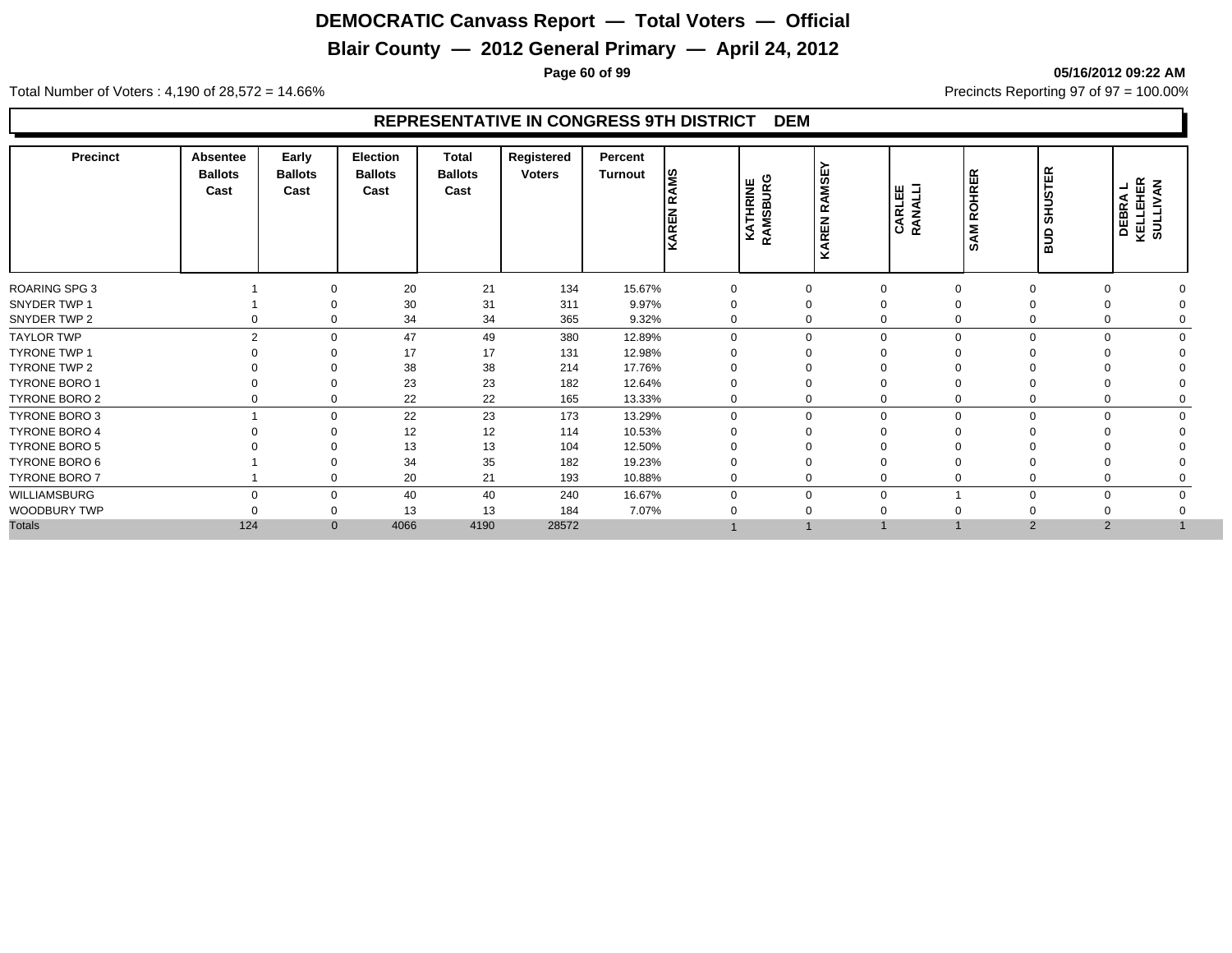# **Blair County — 2012 General Primary — April 24, 2012**

**Page 60 of 99 05/16/2012 09:22 AM**

Total Number of Voters : 4,190 of 28,572 = 14.66% Precincts Reporting 97 of 97 = 100.00%

| <b>Precinct</b>      | <b>Absentee</b><br><b>Ballots</b><br>Cast | Early<br><b>Ballots</b><br>Cast | Election<br><b>Ballots</b><br>Cast | Total<br><b>Ballots</b><br>Cast | Registered<br><b>Voters</b> | Percent<br><b>Turnout</b> | l≌<br>KAREN | <b>KATHRINE</b><br>RAMSBURG | <b>KAREN RAMSE</b> | <b>CARLEE</b><br>RANALLI | ١Æ<br>ROHRI<br><b>SAM</b> | <b>SHUSTER</b><br>ans | KELLEHER<br>SULLIVAN<br>┙<br><b>DEBRA</b><br>KELLEHE |  |
|----------------------|-------------------------------------------|---------------------------------|------------------------------------|---------------------------------|-----------------------------|---------------------------|-------------|-----------------------------|--------------------|--------------------------|---------------------------|-----------------------|------------------------------------------------------|--|
| ROARING SPG 3        |                                           | $\Omega$                        | 20                                 | 21                              | 134                         | 15.67%                    |             |                             |                    | $\Omega$                 | $\Omega$                  |                       |                                                      |  |
| SNYDER TWP 1         |                                           |                                 | 30                                 | 31                              | 311                         | 9.97%                     |             |                             |                    |                          |                           |                       |                                                      |  |
| SNYDER TWP 2         |                                           | $\mathbf 0$                     | 34                                 | 34                              | 365                         | 9.32%                     |             |                             |                    | $\Omega$                 |                           |                       |                                                      |  |
| <b>TAYLOR TWP</b>    | C                                         |                                 | $\mathbf 0$<br>47                  | 49                              | 380                         | 12.89%                    |             |                             | $\Omega$           | $\Omega$                 | $\Omega$                  | $\Omega$              | $\Omega$                                             |  |
| <b>TYRONE TWP 1</b>  |                                           |                                 | 17                                 | 17                              | 131                         | 12.98%                    |             |                             |                    |                          |                           |                       |                                                      |  |
| TYRONE TWP 2         |                                           |                                 | 38                                 | 38                              | 214                         | 17.76%                    |             |                             |                    |                          |                           |                       |                                                      |  |
| TYRONE BORO 1        |                                           |                                 | 23                                 | 23                              | 182                         | 12.64%                    |             |                             |                    |                          |                           |                       |                                                      |  |
| TYRONE BORO 2        |                                           | $\mathbf 0$                     | 22                                 | 22                              | 165                         | 13.33%                    |             |                             |                    |                          | 0                         |                       |                                                      |  |
| <b>TYRONE BORO 3</b> |                                           |                                 | 22<br>0                            | 23                              | 173                         | 13.29%                    | $\Omega$    |                             | $\Omega$           | $\Omega$                 | 0                         | $\Omega$              | $\Omega$                                             |  |
| <b>TYRONE BORO 4</b> |                                           | $\Omega$                        | 12                                 | 12                              | 114                         | 10.53%                    |             |                             |                    |                          |                           |                       |                                                      |  |
| TYRONE BORO 5        |                                           |                                 | 13                                 | 13                              | 104                         | 12.50%                    |             |                             |                    |                          |                           |                       |                                                      |  |
| TYRONE BORO 6        |                                           |                                 | 34                                 | 35                              | 182                         | 19.23%                    |             |                             |                    |                          |                           |                       |                                                      |  |
| TYRONE BORO 7        |                                           | $\Omega$                        | 20                                 | 21                              | 193                         | 10.88%                    |             |                             |                    | $\Omega$                 |                           |                       |                                                      |  |
| WILLIAMSBURG         |                                           |                                 | 40<br>$\mathbf 0$                  | 40                              | 240                         | 16.67%                    |             |                             | $\Omega$           | $\Omega$                 |                           | C                     | 0                                                    |  |
| WOODBURY TWP         |                                           | 0                               | 13                                 | 13                              | 184                         | 7.07%                     |             |                             |                    |                          |                           |                       |                                                      |  |
| <b>Totals</b>        | 124                                       |                                 | $\mathbf{0}$<br>4066               | 4190                            | 28572                       |                           |             |                             |                    |                          |                           | $\overline{2}$        | $\overline{2}$                                       |  |
|                      |                                           |                                 |                                    |                                 |                             |                           |             |                             |                    |                          |                           |                       |                                                      |  |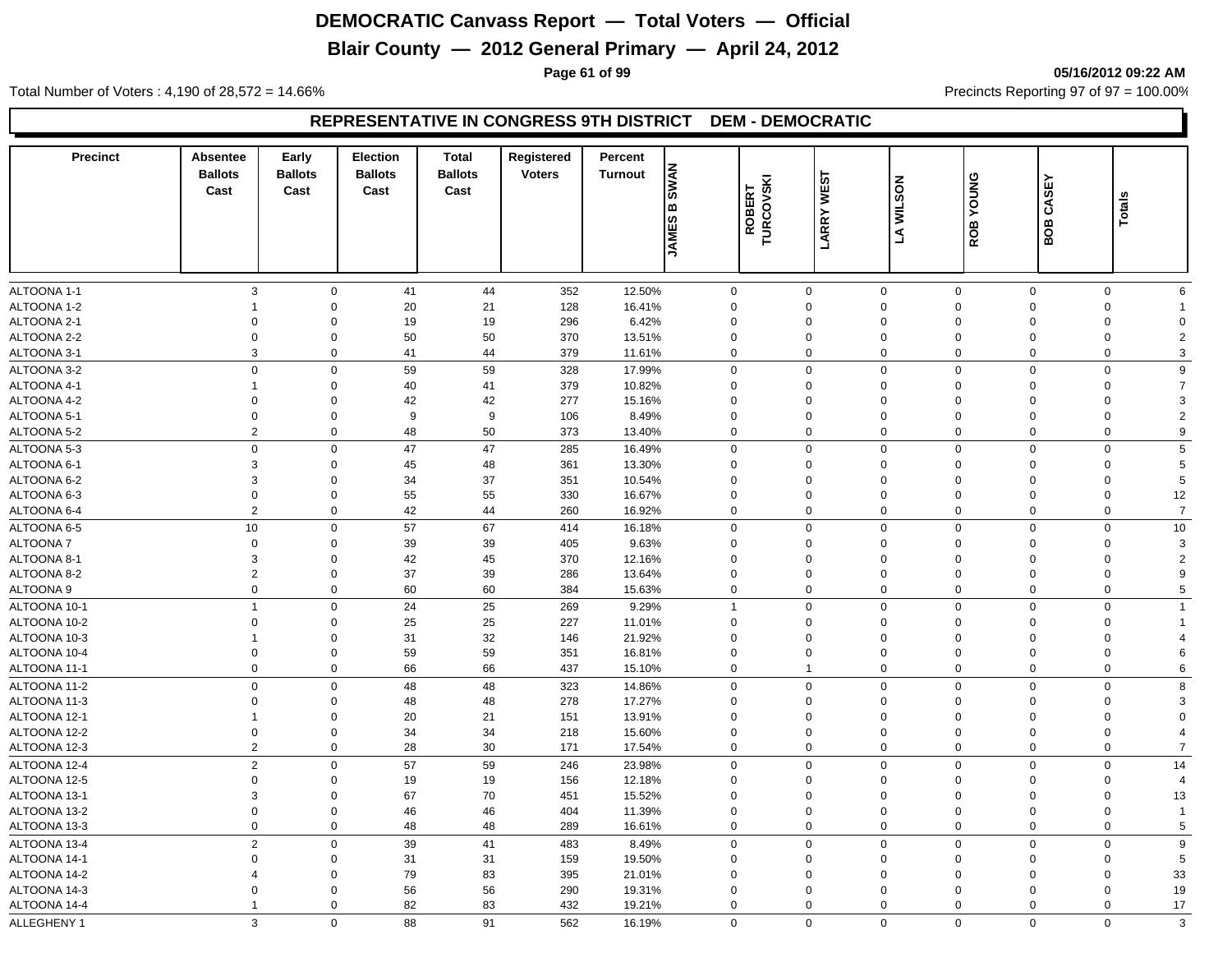# **Blair County — 2012 General Primary — April 24, 2012**

**Page 61 of 99 05/16/2012 09:22 AM**

Total Number of Voters : 4,190 of 28,572 = 14.66% Precincts Reporting 97 of 97 = 100.00%

| <b>Precinct</b> | Absentee<br><b>Ballots</b><br>Cast | Early<br><b>Ballots</b><br>Cast | <b>Election</b><br><b>Ballots</b><br>Cast | <b>Total</b><br><b>Ballots</b><br>Cast | Registered<br><b>Voters</b> | Percent<br><b>Turnout</b> | <b>SWAN</b><br>۱œ<br> ဟ<br><b>SINKL</b> | <b>WEST</b><br>ROBERT<br>TURCOVSKI<br>LARRY | <b>WILSON</b><br>J  | YOUNG<br>ROB | CASEY<br>BOB   | Total       |                |
|-----------------|------------------------------------|---------------------------------|-------------------------------------------|----------------------------------------|-----------------------------|---------------------------|-----------------------------------------|---------------------------------------------|---------------------|--------------|----------------|-------------|----------------|
| ALTOONA 1-1     | 3                                  | $\mathbf 0$                     | 41                                        | 44                                     | 352                         | 12.50%                    | $\Omega$                                | $\mathbf 0$                                 | $\mathbf 0$         | $\mathbf 0$  | $\mathbf 0$    | $\mathbf 0$ | 6              |
| ALTOONA 1-2     | 1                                  | $\mathbf 0$                     | 20                                        | 21                                     | 128                         | 16.41%                    | $\Omega$                                | $\Omega$                                    | $\mathbf 0$         | $\Omega$     | $\Omega$       | $\mathbf 0$ |                |
| ALTOONA 2-1     | $\Omega$                           | $\Omega$                        | 19                                        | 19                                     | 296                         | 6.42%                     | $\Omega$                                | $\Omega$                                    | $\mathbf 0$         | $\Omega$     | $\Omega$       | $\mathbf 0$ | $\Omega$       |
| ALTOONA 2-2     | $\mathbf 0$                        | $\mathbf 0$                     | 50                                        | 50                                     | 370                         | 13.51%                    | $\mathbf 0$                             | 0                                           | $\mathbf 0$         | $\mathbf 0$  | $\mathbf 0$    | 0           | $\overline{2}$ |
| ALTOONA 3-1     | 3                                  | $\mathbf 0$                     | 41                                        | 44                                     | 379                         | 11.61%                    | $\Omega$                                | 0                                           | $\mathbf 0$         | $\mathbf 0$  | $\mathbf 0$    | 0           | 3              |
| ALTOONA 3-2     | $\mathbf 0$                        | $\mathbf 0$                     | 59                                        | 59                                     | 328                         | 17.99%                    | $\Omega$                                | $\Omega$                                    | $\mathbf 0$         | $\mathbf 0$  | $\mathbf 0$    | $\mathbf 0$ | 9              |
| ALTOONA 4-1     | 1                                  | $\Omega$                        | 40                                        | 41                                     | 379                         | 10.82%                    | $\Omega$                                | $\mathbf 0$                                 | $\mathbf 0$         | $\Omega$     | $\Omega$       | $\mathbf 0$ | $\overline{7}$ |
| ALTOONA 4-2     | $\Omega$                           | $\mathbf 0$                     | 42                                        | 42                                     | 277                         | 15.16%                    | $\mathbf 0$                             | $\mathbf 0$                                 | $\mathbf 0$         | $\Omega$     | $\Omega$       | $\mathbf 0$ | 3              |
| ALTOONA 5-1     | $\mathbf 0$                        | $\mathbf 0$                     | 9                                         | 9                                      | 106                         | 8.49%                     | $\Omega$                                | $\mathbf 0$                                 | $\mathbf 0$         | $\Omega$     | $\mathbf 0$    | 0           | 2              |
| ALTOONA 5-2     | $\overline{2}$                     | $\mathbf 0$                     | 48                                        | 50                                     | 373                         | 13.40%                    | $\mathbf 0$                             | 0                                           | $\mathbf 0$         | $\mathbf 0$  | $\mathbf 0$    | 0           | 9              |
| ALTOONA 5-3     | $\mathbf 0$                        | $\mathbf 0$                     | 47                                        | 47                                     | 285                         | 16.49%                    | $\Omega$                                | $\mathbf 0$                                 | $\mathbf 0$         | $\Omega$     | $\mathbf 0$    | $\mathbf 0$ | 5              |
| ALTOONA 6-1     | 3                                  | $\mathbf 0$                     | 45                                        | 48                                     | 361                         | 13.30%                    | $\mathbf 0$                             | $\mathbf 0$                                 | $\mathbf 0$         | $\mathbf 0$  | $\mathbf 0$    | $\mathbf 0$ | 5              |
| ALTOONA 6-2     | 3                                  | $\mathbf 0$                     | 34                                        | 37                                     | 351                         | 10.54%                    | $\mathbf 0$                             | $\mathbf 0$                                 | $\mathbf 0$         | $\Omega$     | $\mathbf 0$    | 0           | 5              |
| ALTOONA 6-3     | $\mathbf 0$                        | $\mathbf 0$                     | 55                                        | 55                                     | 330                         | 16.67%                    | $\mathbf 0$                             | $\mathbf 0$                                 | $\mathbf 0$         | $\mathbf 0$  | $\overline{0}$ | $\mathbf 0$ | 12             |
| ALTOONA 6-4     | $\overline{2}$                     | $\mathbf 0$                     | 42                                        | 44                                     | 260                         | 16.92%                    | $\mathbf 0$                             | $\mathbf 0$                                 | $\mathbf 0$         | $\Omega$     | $\overline{0}$ | $\mathbf 0$ | $\overline{7}$ |
| ALTOONA 6-5     | 10                                 | $\mathbf 0$                     | 57                                        | 67                                     | 414                         | 16.18%                    | $\mathbf 0$                             | $\mathbf 0$                                 | $\mathbf 0$         | $\mathbf 0$  | $\mathbf 0$    | $\mathbf 0$ | 10             |
| ALTOONA 7       | $\mathbf 0$                        | $\mathbf 0$                     | 39                                        | 39                                     | 405                         | 9.63%                     | $\mathbf 0$                             | $\mathbf 0$                                 | $\mathbf 0$         | $\mathbf 0$  | $\mathbf 0$    | 0           | 3              |
| ALTOONA 8-1     | 3                                  | $\mathbf 0$                     | 42                                        | 45                                     | 370                         | 12.16%                    | $\mathbf 0$                             | $\mathbf 0$                                 | $\mathbf 0$         | $\Omega$     | $\mathbf 0$    | $\mathbf 0$ | $\overline{2}$ |
| ALTOONA 8-2     | $\overline{2}$                     | $\mathbf 0$                     | 37                                        | 39                                     | 286                         | 13.64%                    | $\mathbf 0$                             | $\mathbf 0$                                 | $\mathbf 0$         | $\mathbf 0$  | $\mathbf 0$    | 0           | 9              |
| ALTOONA 9       | $\mathbf 0$                        | $\mathbf 0$                     | 60                                        | 60                                     | 384                         | 15.63%                    | $\mathbf 0$                             | $\mathbf 0$                                 | $\mathbf 0$         | $\mathbf 0$  | $\mathbf 0$    | $\mathbf 0$ | 5              |
| ALTOONA 10-1    | $\overline{1}$                     | $\mathbf 0$                     | 24                                        | 25                                     | 269                         | 9.29%                     |                                         | 0                                           | $\mathbf 0$         | $\mathbf 0$  | $\Omega$       | $\mathbf 0$ |                |
| ALTOONA 10-2    | $\mathbf 0$                        | $\mathbf 0$                     | 25                                        | 25                                     | 227                         | 11.01%                    | $\mathbf 0$                             | $\mathbf 0$                                 | $\mathbf 0$         | $\mathbf 0$  | $\mathbf 0$    | 0           |                |
| ALTOONA 10-3    | $\overline{1}$                     | $\mathbf 0$                     | 31                                        | 32                                     | 146                         | 21.92%                    | $\mathbf 0$                             | 0                                           | $\mathbf 0$         | $\mathbf 0$  | $\mathbf 0$    | 0           | 4              |
| ALTOONA 10-4    | $\mathbf 0$                        | $\mathbf 0$                     | 59                                        | 59                                     | 351                         | 16.81%                    | $\mathbf 0$                             | $\mathbf 0$                                 | $\mathbf 0$         | $\mathbf 0$  | $\mathbf 0$    | 0           | 6              |
| ALTOONA 11-1    | $\Omega$                           | $\mathbf 0$                     | 66                                        | 66                                     | 437                         | 15.10%                    | $\Omega$                                | $\overline{1}$                              | $\mathbf 0$         | $\mathbf 0$  | $\mathbf 0$    | $\mathbf 0$ | 6              |
| ALTOONA 11-2    | $\Omega$                           | $\mathbf 0$                     | 48                                        | 48                                     | 323                         | 14.86%                    | $\Omega$                                | $\mathbf 0$                                 | $\mathbf 0$         | $\mathbf 0$  | $\mathbf 0$    | 0           | 8              |
| ALTOONA 11-3    | $\mathbf 0$                        | $\mathbf 0$                     | 48                                        | 48                                     | 278                         | 17.27%                    | $\Omega$                                | 0                                           | $\mathbf 0$         | $\Omega$     | $\Omega$       | 0           | 3              |
| ALTOONA 12-1    | $\overline{1}$                     | $\Omega$                        | 20                                        | 21                                     | 151                         | 13.91%                    | $\Omega$                                | $\Omega$                                    | $\mathbf 0$         | $\Omega$     | $\Omega$       | $\mathbf 0$ | $\Omega$       |
| ALTOONA 12-2    | $\mathbf 0$                        | $\mathbf 0$                     | 34                                        | 34                                     | 218                         | 15.60%                    | $\mathbf 0$                             | $\mathbf 0$                                 | $\mathbf 0$         | $\mathbf 0$  | $\mathbf 0$    | 0           | 4              |
| ALTOONA 12-3    | $\overline{2}$                     | $\mathbf 0$                     | 28                                        | 30                                     | 171                         | 17.54%                    | $\mathbf 0$                             | $\mathbf 0$                                 | $\mathbf 0$         | $\mathbf 0$  | $\overline{0}$ | $\mathbf 0$ | $\overline{7}$ |
| ALTOONA 12-4    | $\overline{2}$                     | $\mathbf 0$                     | 57                                        | 59                                     | 246                         | 23.98%                    | $\mathbf 0$                             | $\mathbf 0$                                 | $\mathbf 0$         | $\mathbf 0$  | $\Omega$       | $\mathbf 0$ | 14             |
| ALTOONA 12-5    | $\mathbf 0$                        | $\mathbf 0$                     | 19                                        | 19                                     | 156                         | 12.18%                    | $\mathbf 0$                             | $\Omega$                                    | $\mathbf 0$         | $\Omega$     | $\mathbf 0$    | 0           | $\overline{4}$ |
| ALTOONA 13-1    | 3                                  | $\Omega$                        | 67                                        | 70                                     | 451                         | 15.52%                    | $\mathbf 0$                             | $\mathbf 0$                                 | $\mathbf 0$         | $\Omega$     | $\mathbf 0$    | 0           | 13             |
| ALTOONA 13-2    | $\Omega$                           | $\mathbf 0$                     | 46                                        | 46                                     | 404                         | 11.39%                    | $\mathbf 0$                             | $\Omega$                                    | $\mathsf{O}\xspace$ | $\mathbf 0$  | $\Omega$       | $\mathbf 0$ | $\overline{1}$ |
| ALTOONA 13-3    | 0                                  | $\mathbf 0$                     | 48                                        | 48                                     | 289                         | 16.61%                    | $\Omega$                                | $\mathbf 0$                                 | $\mathbf 0$         | $\mathbf{0}$ | $\mathbf 0$    | 0           | 5              |
| ALTOONA 13-4    | $\overline{2}$                     | $\mathbf 0$                     | 39                                        | 41                                     | 483                         | 8.49%                     | $\mathbf 0$                             | $\mathbf 0$                                 | $\mathbf 0$         | $\mathbf 0$  | $\overline{0}$ | $\mathbf 0$ | 9              |
| ALTOONA 14-1    | $\Omega$                           | $\mathbf 0$                     | 31                                        | 31                                     | 159                         | 19.50%                    | $\Omega$                                | $\mathbf 0$                                 | $\mathbf 0$         | $\Omega$     | $\mathbf 0$    | 0           | 5              |
| ALTOONA 14-2    | 4                                  | $\Omega$                        | 79                                        | 83                                     | 395                         | 21.01%                    | $\mathbf 0$                             | $\Omega$                                    | $\mathbf 0$         | $\Omega$     | $\Omega$       | $\mathbf 0$ | 33             |
| ALTOONA 14-3    | $\Omega$                           | $\mathbf 0$                     | 56                                        | 56                                     | 290                         | 19.31%                    | $\Omega$                                | $\Omega$                                    | $\mathbf 0$         | $\Omega$     | $\Omega$       | $\mathbf 0$ | 19             |
| ALTOONA 14-4    | $\mathbf{1}$                       | $\mathbf 0$                     | 82                                        | 83                                     | 432                         | 19.21%                    | $\Omega$                                | $\mathbf 0$                                 | $\mathbf 0$         | $\Omega$     | $\mathbf 0$    | $\mathbf 0$ | 17             |
| ALLEGHENY 1     | 3                                  | $\Omega$                        | 88                                        | 91                                     | 562                         | 16.19%                    | $\mathbf 0$                             | $\Omega$                                    | $\mathbf{0}$        | $\mathbf 0$  | $\Omega$       | $\Omega$    | 3              |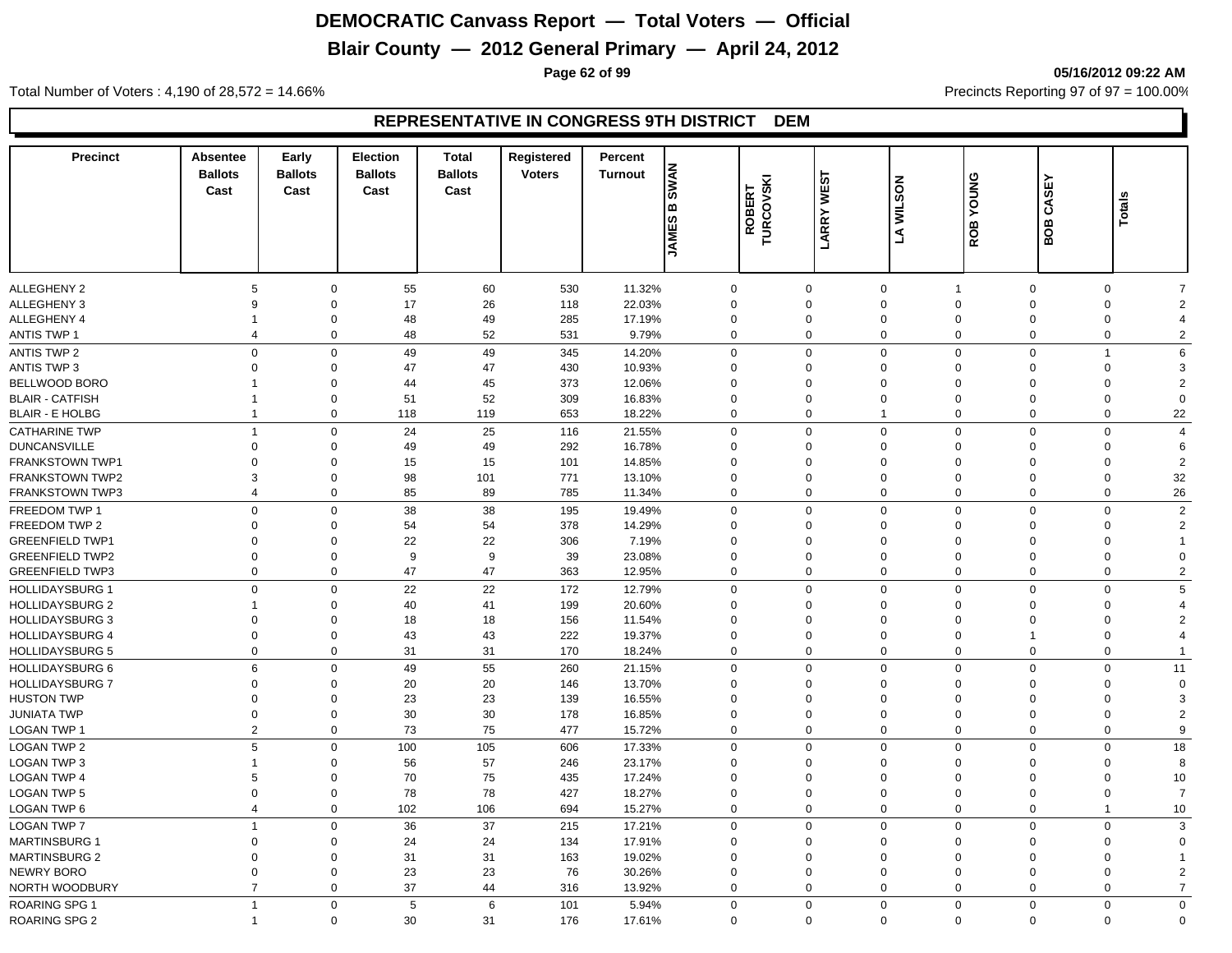# **Blair County — 2012 General Primary — April 24, 2012**

**Page 62 of 99 05/16/2012 09:22 AM**

Total Number of Voters : 4,190 of 28,572 = 14.66% Precincts Reporting 97 of 97 = 100.00%

| <b>Precinct</b>        | Absentee<br><b>Ballots</b><br>Cast | Early<br><b>Ballots</b><br>Cast | <b>Election</b><br><b>Ballots</b><br>Cast | <b>Total</b><br><b>Ballots</b><br>Cast | Registered<br><b>Voters</b> | Percent<br><b>Turnout</b> | <b>SWAN</b><br>۱œ<br><b>JAMES</b> | ROBERT<br>TURCOVSKI | <b>WEST</b><br><b>LARRY</b> | <b>WILSON</b><br>L  | YOUNG<br>ROB | CASEY<br><b>BOB</b> | Totals         |                       |
|------------------------|------------------------------------|---------------------------------|-------------------------------------------|----------------------------------------|-----------------------------|---------------------------|-----------------------------------|---------------------|-----------------------------|---------------------|--------------|---------------------|----------------|-----------------------|
|                        |                                    |                                 |                                           |                                        |                             |                           |                                   |                     |                             |                     |              |                     |                |                       |
| <b>ALLEGHENY 2</b>     | 5                                  | 0                               | 55                                        | 60                                     | 530                         | 11.32%                    | $\mathbf 0$                       |                     | $\mathbf 0$                 | $\mathbf 0$         |              | $\mathbf 0$         | 0              |                       |
| <b>ALLEGHENY 3</b>     | 9                                  | $\mathbf 0$                     | 17                                        | 26                                     | 118                         | 22.03%                    | $\mathbf 0$                       |                     | $\Omega$                    | $\mathbf 0$         | $\Omega$     | $\Omega$            | $\mathbf 0$    | $\overline{2}$        |
| <b>ALLEGHENY 4</b>     | 1                                  | $\mathbf 0$                     | 48                                        | 49                                     | 285                         | 17.19%                    | $\mathbf 0$                       |                     | 0                           | $\mathbf 0$         | $\mathbf 0$  | $\mathbf 0$         | $\mathbf 0$    | $\boldsymbol{\Delta}$ |
| <b>ANTIS TWP 1</b>     | $\overline{4}$                     | $\mathbf 0$                     | 48                                        | 52                                     | 531                         | 9.79%                     | $\mathbf 0$                       |                     | 0                           | $\mathbf 0$         | $\mathbf 0$  | $\mathbf 0$         | $\mathbf 0$    | $\overline{2}$        |
| <b>ANTIS TWP 2</b>     | $\mathbf 0$                        | $\mathbf 0$                     | 49                                        | 49                                     | 345                         | 14.20%                    | $\mathbf 0$                       |                     | 0                           | $\mathbf 0$         | $\mathbf 0$  | $\mathbf 0$         | $\overline{1}$ | 6                     |
| <b>ANTIS TWP 3</b>     | $\Omega$                           | $\Omega$                        | 47                                        | 47                                     | 430                         | 10.93%                    | $\Omega$                          |                     | $\Omega$                    | $\mathbf 0$         | $\Omega$     | $\Omega$            | $\mathbf 0$    | 3                     |
| BELLWOOD BORO          |                                    | $\Omega$                        | 44                                        | 45                                     | 373                         | 12.06%                    | $\Omega$                          |                     | $\Omega$                    | $\mathbf 0$         | $\Omega$     | $\Omega$            | $\Omega$       | $\overline{2}$        |
| <b>BLAIR - CATFISH</b> | -1                                 | $\mathbf 0$                     | 51                                        | 52                                     | 309                         | 16.83%                    | $\Omega$                          |                     | $\Omega$                    | $\mathbf 0$         | $\mathbf 0$  | $\Omega$            | $\mathbf 0$    | $\Omega$              |
| <b>BLAIR - E HOLBG</b> | $\overline{1}$                     | $\mathbf 0$                     | 118                                       | 119                                    | 653                         | 18.22%                    | $\Omega$                          |                     | 0                           | $\mathbf{1}$        | $\mathbf 0$  | $\Omega$            | $\mathbf 0$    | 22                    |
| <b>CATHARINE TWP</b>   | $\overline{1}$                     | $\mathbf 0$                     | 24                                        | 25                                     | 116                         | 21.55%                    | $\Omega$                          |                     | 0                           | $\mathbf 0$         | $\mathbf 0$  | $\mathbf 0$         | $\mathbf 0$    | $\overline{4}$        |
| <b>DUNCANSVILLE</b>    | $\mathbf 0$                        | 0                               | 49                                        | 49                                     | 292                         | 16.78%                    | $\Omega$                          |                     | $\Omega$                    | $\mathbf 0$         | $\mathbf{0}$ | $\Omega$            | $\mathbf 0$    | 6                     |
| <b>FRANKSTOWN TWP1</b> | $\Omega$                           | $\mathbf 0$                     | 15                                        | 15                                     | 101                         | 14.85%                    | $\Omega$                          |                     | $\Omega$                    | $\mathbf 0$         | $\Omega$     | $\Omega$            | $\Omega$       | 2                     |
| <b>FRANKSTOWN TWP2</b> | 3                                  | 0                               | 98                                        | 101                                    | 771                         | 13.10%                    | $\mathbf 0$                       |                     | $\mathbf 0$                 | $\mathbf 0$         | $\mathbf 0$  | $\mathbf 0$         | 0              | 32                    |
| <b>FRANKSTOWN TWP3</b> | $\overline{4}$                     | $\mathbf 0$                     | 85                                        | 89                                     | 785                         | 11.34%                    | $\mathbf 0$                       |                     | $\mathbf 0$                 | $\mathbf 0$         | $\mathbf 0$  | $\overline{0}$      | $\mathbf 0$    | 26                    |
| FREEDOM TWP 1          | $\mathbf 0$                        | $\mathbf 0$                     | 38                                        | 38                                     | 195                         | 19.49%                    | $\mathbf 0$                       |                     | $\mathbf 0$                 | $\mathsf{O}\xspace$ | $\mathbf{0}$ | $\mathbf 0$         | $\mathbf 0$    | $\overline{2}$        |
| FREEDOM TWP 2          | $\Omega$                           | $\Omega$                        | 54                                        | 54                                     | 378                         | 14.29%                    | $\Omega$                          |                     | $\Omega$                    | $\mathbf 0$         | $\Omega$     | $\Omega$            | $\Omega$       | $\overline{2}$        |
| <b>GREENFIELD TWP1</b> | $\Omega$                           | $\Omega$                        | 22                                        | 22                                     | 306                         | 7.19%                     | $\Omega$                          |                     | $\Omega$                    | $\mathbf 0$         | $\Omega$     | $\Omega$            | $\mathbf 0$    |                       |
| <b>GREENFIELD TWP2</b> | $\Omega$                           | $\Omega$                        | 9                                         | 9                                      | 39                          | 23.08%                    | $\Omega$                          |                     | $\Omega$                    | $\mathbf 0$         | $\Omega$     | $\Omega$            | $\mathbf 0$    | $\Omega$              |
| <b>GREENFIELD TWP3</b> | $\Omega$                           | $\mathbf 0$                     | 47                                        | 47                                     | 363                         | 12.95%                    | $\Omega$                          |                     | $\mathbf 0$                 | $\mathbf 0$         | $\Omega$     | $\mathbf 0$         | $\mathbf 0$    | $\overline{2}$        |
| <b>HOLLIDAYSBURG 1</b> | $\mathbf 0$                        | $\mathbf 0$                     | 22                                        | 22                                     | 172                         | 12.79%                    | $\Omega$                          |                     | $\Omega$                    | $\mathbf 0$         | $\mathbf 0$  | $\Omega$            | $\mathbf 0$    | 5                     |
| <b>HOLLIDAYSBURG 2</b> | 1                                  | $\mathbf 0$                     | 40                                        | 41                                     | 199                         | 20.60%                    | $\Omega$                          |                     | $\Omega$                    | $\mathbf 0$         | $\Omega$     | $\Omega$            | $\Omega$       |                       |
| <b>HOLLIDAYSBURG 3</b> | $\overline{0}$                     | $\Omega$                        | 18                                        | 18                                     | 156                         | 11.54%                    | $\Omega$                          |                     | $\Omega$                    | $\mathbf 0$         | $\Omega$     | $\Omega$            | $\mathbf 0$    | $\overline{2}$        |
| HOLLIDAYSBURG 4        | $\mathbf 0$                        | $\mathbf 0$                     | 43                                        | 43                                     | 222                         | 19.37%                    | $\mathbf 0$                       |                     | $\mathbf 0$                 | $\mathbf 0$         | $\mathbf 0$  | $\overline{1}$      | $\mathbf 0$    | 4                     |
| <b>HOLLIDAYSBURG 5</b> | $\overline{0}$                     | $\mathbf 0$                     | 31                                        | 31                                     | 170                         | 18.24%                    | $\mathbf 0$                       |                     | 0                           | $\mathbf 0$         | $\mathbf 0$  | $\overline{0}$      | $\mathbf 0$    |                       |
| <b>HOLLIDAYSBURG 6</b> | 6                                  | $\mathbf 0$                     | 49                                        | 55                                     | 260                         | 21.15%                    | $\mathbf 0$                       |                     | 0                           | $\mathbf 0$         | $\mathbf 0$  | $\mathbf 0$         | $\mathbf 0$    | 11                    |
| <b>HOLLIDAYSBURG 7</b> | $\Omega$                           | $\Omega$                        | 20                                        | 20                                     | 146                         | 13.70%                    | $\Omega$                          |                     | $\Omega$                    | $\mathbf 0$         | $\Omega$     | $\Omega$            | $\Omega$       | $\Omega$              |
| <b>HUSTON TWP</b>      | $\Omega$                           | $\Omega$                        | 23                                        | 23                                     | 139                         | 16.55%                    | $\Omega$                          |                     | $\Omega$                    | $\mathbf 0$         | $\Omega$     | $\Omega$            | 0              | 3                     |
| <b>JUNIATA TWP</b>     | $\mathbf 0$                        | 0                               | 30                                        | 30                                     | 178                         | 16.85%                    | $\Omega$                          |                     | $\Omega$                    | $\mathbf 0$         | $\mathbf 0$  | $\Omega$            | 0              | $\overline{2}$        |
| LOGAN TWP 1            | $\overline{2}$                     | $\mathbf 0$                     | 73                                        | 75                                     | 477                         | 15.72%                    | $\mathbf 0$                       |                     | 0                           | $\mathbf 0$         | $\mathbf 0$  | $\mathbf 0$         | $\mathbf 0$    | 9                     |
| <b>LOGAN TWP 2</b>     | $5\phantom{.0}$                    | $\mathbf 0$                     | 100                                       | 105                                    | 606                         | 17.33%                    | $\Omega$                          |                     | $\Omega$                    | $\mathbf 0$         | $\mathbf 0$  | $\Omega$            | $\mathbf 0$    | 18                    |
| <b>LOGAN TWP 3</b>     | 1                                  | $\Omega$                        | 56                                        | 57                                     | 246                         | 23.17%                    | $\Omega$                          |                     | $\Omega$                    | $\mathbf 0$         | $\Omega$     | $\Omega$            | $\mathbf 0$    | 8                     |
| <b>LOGAN TWP 4</b>     | 5                                  | $\mathbf 0$                     | 70                                        | 75                                     | 435                         | 17.24%                    | $\Omega$                          |                     | $\Omega$                    | $\mathbf 0$         | $\Omega$     | $\Omega$            | $\mathbf 0$    | 10                    |
| <b>LOGAN TWP 5</b>     | $\overline{0}$                     | $\mathbf 0$                     | 78                                        | 78                                     | 427                         | 18.27%                    | $\Omega$                          |                     | $\mathbf 0$                 | $\mathbf 0$         | $\Omega$     | $\overline{0}$      | $\mathbf 0$    | $\overline{7}$        |
| <b>LOGAN TWP 6</b>     | $\overline{4}$                     | $\mathbf 0$                     | 102                                       | 106                                    | 694                         | 15.27%                    | $\mathbf 0$                       |                     | $\mathbf 0$                 | $\mathbf 0$         | $\mathbf 0$  | $\mathbf 0$         | $\overline{1}$ | 10                    |
| <b>LOGAN TWP 7</b>     | $\mathbf{1}$                       | $\mathbf 0$                     | 36                                        | 37                                     |                             | 17.21%                    | $\mathbf 0$                       |                     | $\mathbf 0$                 | $\mathbf 0$         | $\mathbf 0$  | $\overline{0}$      | $\mathbf 0$    | 3                     |
| <b>MARTINSBURG 1</b>   | $\mathbf 0$                        | 0                               | 24                                        | 24                                     | 215<br>134                  | 17.91%                    | $\mathbf 0$                       |                     | $\mathbf 0$                 | $\mathbf 0$         | $\mathbf 0$  | $\mathbf 0$         | 0              | $\Omega$              |
| <b>MARTINSBURG 2</b>   | $\mathbf 0$                        | $\mathbf 0$                     | 31                                        | 31                                     | 163                         | 19.02%                    | $\mathbf 0$                       |                     | $\mathbf 0$                 | $\mathbf 0$         | $\mathbf 0$  | $\mathbf 0$         | 0              |                       |
| NEWRY BORO             | $\mathbf 0$                        | $\mathbf 0$                     | 23                                        | 23                                     | 76                          | 30.26%                    | $\mathbf 0$                       |                     | $\mathbf 0$                 | $\mathbf 0$         | $\mathbf 0$  | $\mathbf 0$         | 0              | $\overline{2}$        |
| NORTH WOODBURY         | $\overline{7}$                     | 0                               | 37                                        | 44                                     | 316                         | 13.92%                    | $\mathbf 0$                       |                     | $\mathbf 0$                 | $\mathbf 0$         | $\mathbf 0$  | $\mathbf 0$         | 0              |                       |
|                        |                                    |                                 |                                           |                                        |                             |                           |                                   |                     |                             |                     |              |                     |                |                       |
| ROARING SPG 1          | $\overline{1}$                     | $\mathbf 0$                     | 5                                         | 6                                      | 101                         | 5.94%                     | $\Omega$                          |                     | $\Omega$                    | $\mathbf{0}$        | $\mathbf 0$  | $\mathbf 0$         | $\mathbf 0$    | $\mathbf 0$           |
| <b>ROARING SPG 2</b>   | -1                                 | $\mathbf 0$                     | 30                                        | 31                                     | 176                         | 17.61%                    | $\Omega$                          |                     | $\mathbf 0$                 | $\Omega$            | $\mathbf 0$  | $\mathbf 0$         | $\mathbf 0$    | $\Omega$              |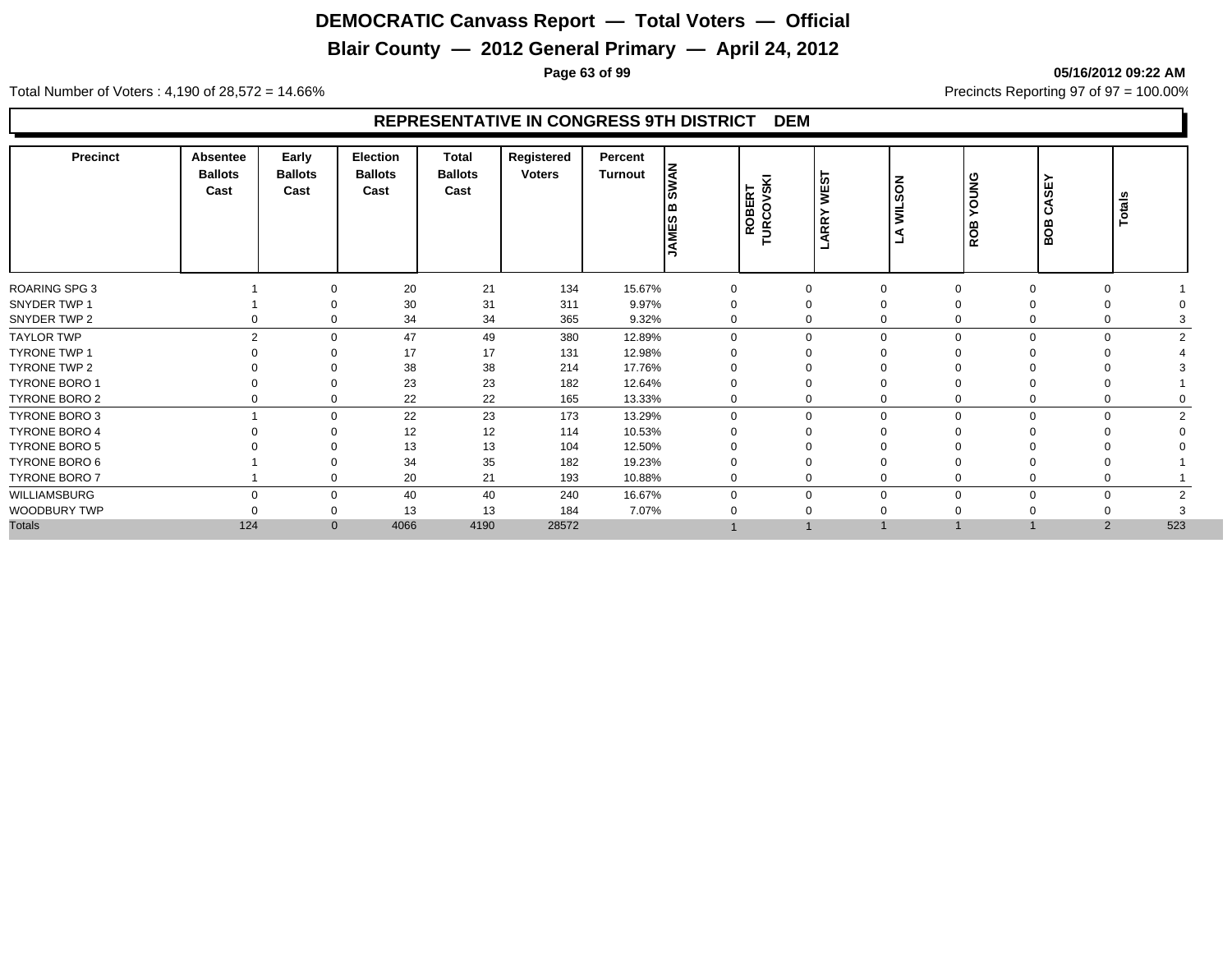# **Blair County — 2012 General Primary — April 24, 2012**

**Page 63 of 99 05/16/2012 09:22 AM**

Total Number of Voters : 4,190 of 28,572 = 14.66% Precincts Reporting 97 of 97 = 100.00%

| Precinct             | <b>Absentee</b><br><b>Ballots</b><br>Cast | Early<br><b>Ballots</b><br>Cast | <b>Election</b><br><b>Ballots</b><br>Cast | <b>Total</b><br><b>Ballots</b><br>Cast | Registered<br><b>Voters</b> | Percent<br>Turnout | <b>SWAN</b><br>۱ω<br><b>JAMES</b> | ROBERT<br>URCOVSKI | WES <sup>-</sup><br>ARRY | <b>WILSON</b> | <b>SNNO</b><br>ROB   | ≻<br>e€<br>∢<br>ت<br>BOB | Totals |
|----------------------|-------------------------------------------|---------------------------------|-------------------------------------------|----------------------------------------|-----------------------------|--------------------|-----------------------------------|--------------------|--------------------------|---------------|----------------------|--------------------------|--------|
| <b>ROARING SPG 3</b> |                                           | $\Omega$                        | 20                                        | 21                                     | 134                         | 15.67%             |                                   |                    | $\mathbf 0$              | $\Omega$      |                      | $\Omega$                 |        |
| SNYDER TWP 1         |                                           |                                 | 30                                        | 31                                     | 311                         | 9.97%              | 0                                 |                    | 0                        | $\Omega$      |                      |                          |        |
| SNYDER TWP 2         |                                           | 0<br>0                          | 34                                        | 34                                     | 365                         | 9.32%              |                                   | 0                  | 0                        | $\Omega$      | 0                    | $\Omega$                 |        |
| <b>TAYLOR TWP</b>    |                                           | $\overline{2}$<br>$\Omega$      | 47                                        | 49                                     | 380                         | 12.89%             | $\Omega$                          |                    | $\mathbf 0$              | $\Omega$      |                      | $\Omega$<br>$\Omega$     | $\sim$ |
| <b>TYRONE TWP 1</b>  |                                           | $\Omega$                        | 17                                        | 17                                     | 131                         | 12.98%             |                                   |                    | $\Omega$                 |               |                      |                          |        |
| <b>TYRONE TWP 2</b>  |                                           | $\Omega$                        | 38                                        | 38                                     | 214                         | 17.76%             |                                   |                    | 0                        |               |                      |                          |        |
| <b>TYRONE BORO 1</b> |                                           | $\Omega$                        | 23                                        | 23                                     | 182                         | 12.64%             |                                   |                    | 0                        | $\Omega$      |                      |                          |        |
| TYRONE BORO 2        |                                           | $\mathbf 0$<br>0                | 22                                        | 22                                     | 165                         | 13.33%             | 0                                 |                    | 0                        | $\Omega$      | 0                    | $\Omega$                 |        |
| TYRONE BORO 3        |                                           | $\Omega$                        | 22                                        | 23                                     | 173                         | 13.29%             |                                   | $\Omega$           | $\mathbf 0$              | $\mathbf 0$   | $\Omega$             | $\Omega$                 |        |
| <b>TYRONE BORO 4</b> |                                           | $\Omega$                        | 12                                        | 12                                     | 114                         | 10.53%             |                                   |                    | 0                        |               |                      |                          |        |
| <b>TYRONE BORO 5</b> |                                           |                                 | 13                                        | 13                                     | 104                         | 12.50%             |                                   |                    |                          |               |                      |                          |        |
| TYRONE BORO 6        |                                           |                                 | 34                                        | 35                                     | 182                         | 19.23%             |                                   |                    | 0                        |               |                      | $\Omega$                 |        |
| <b>TYRONE BORO 7</b> |                                           | 0                               | 20                                        | 21                                     | 193                         | 10.88%             | $\mathbf 0$                       |                    | 0                        | $\mathbf 0$   |                      | 0                        |        |
| WILLIAMSBURG         |                                           | $\Omega$<br>$\mathbf 0$         | 40                                        | 40                                     | 240                         | 16.67%             | $\Omega$                          |                    | 0                        | $\mathbf 0$   | $\Omega$<br>$\Omega$ | $\mathbf 0$              |        |
| WOODBURY TWP         |                                           | $\Omega$                        | 13                                        | 13                                     | 184                         | 7.07%              |                                   |                    | $\Omega$                 | $\Omega$      |                      |                          |        |
| <b>Totals</b>        | 124                                       | $\mathbf{0}$                    | 4066                                      | 4190                                   | 28572                       |                    |                                   |                    |                          |               |                      | $\overline{2}$           | 523    |
|                      |                                           |                                 |                                           |                                        |                             |                    |                                   |                    |                          |               |                      |                          |        |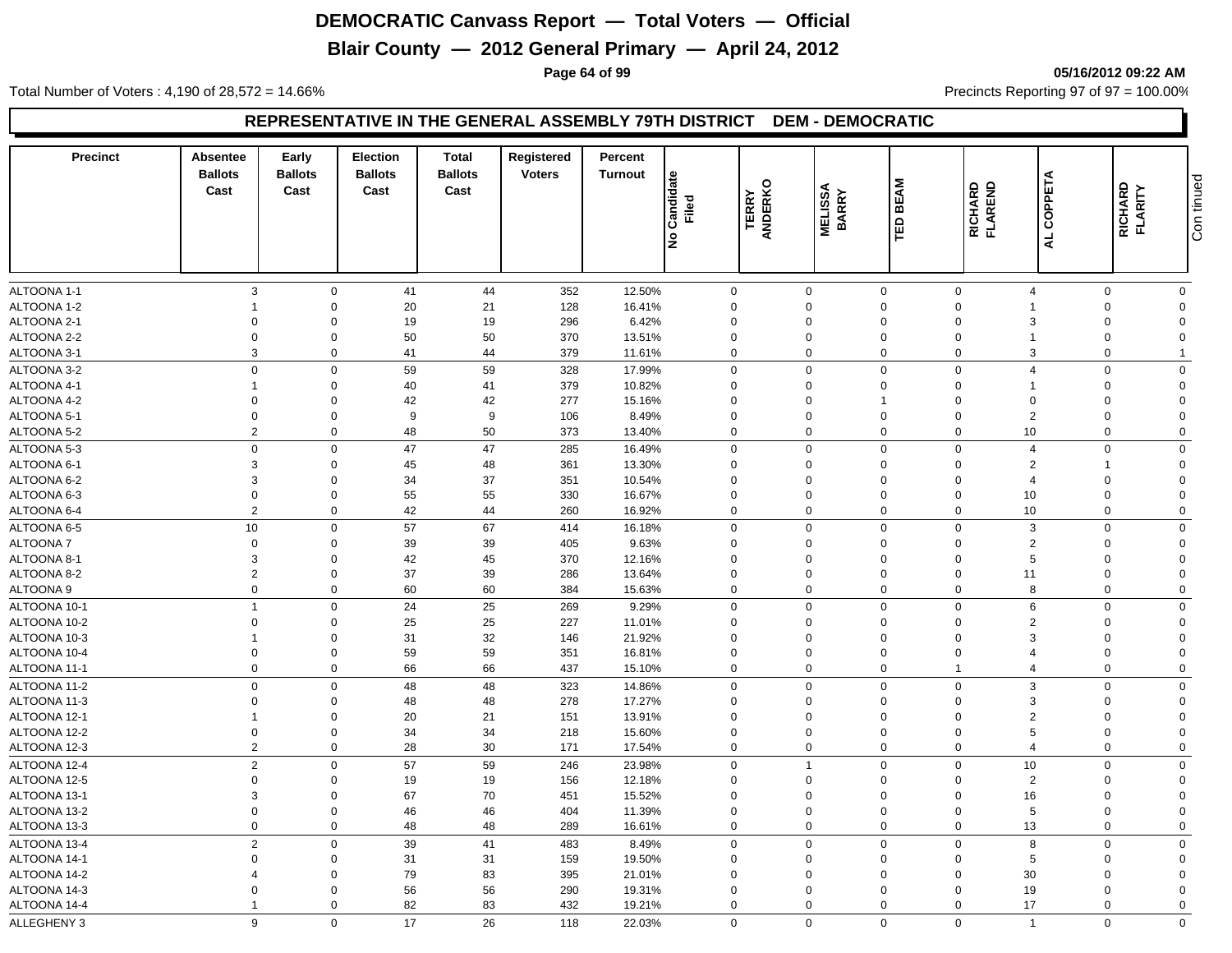# **Blair County — 2012 General Primary — April 24, 2012**

**Page 64 of 99 05/16/2012 09:22 AM**

Total Number of Voters : 4,190 of 28,572 = 14.66% Precincts Reporting 97 of 97 = 100.00%

#### **REPRESENTATIVE IN THE GENERAL ASSEMBLY 79TH DISTRICT DEM - DEMOCRATIC**

| <b>Precinct</b>              | Absentee<br><b>Ballots</b><br>Cast | Early<br><b>Ballots</b><br>Cast | <b>Election</b><br><b>Ballots</b><br>Cast | <b>Total</b><br><b>Ballots</b><br>Cast | Registered<br><b>Voters</b> | Percent<br><b>Turnout</b> | Candidate<br>Filed<br>Ιş | <b>TERRY</b><br>ANDERKO | <b>MELISSA</b><br>BARRY    | <b>BEAM</b><br>ΈD          | RICHARD<br>FLAREND            | AL COPPETA            | RICHARD<br>FLARITY   | Con tinued              |
|------------------------------|------------------------------------|---------------------------------|-------------------------------------------|----------------------------------------|-----------------------------|---------------------------|--------------------------|-------------------------|----------------------------|----------------------------|-------------------------------|-----------------------|----------------------|-------------------------|
| ALTOONA 1-1                  | $\mathbf{3}$                       | $\mathbf 0$                     | 41                                        | 44                                     | 352                         | 12.50%                    |                          | 0                       | $\mathbf 0$                | $\mathbf 0$                | $\mathbf 0$                   | $\boldsymbol{\Delta}$ | $\Omega$             | $\mathbf 0$             |
| ALTOONA 1-2                  |                                    | $\mathbf 0$                     | 20                                        | 21                                     | 128                         | 16.41%                    |                          | $\Omega$                | $\Omega$                   | $\mathbf 0$                | $\Omega$                      |                       | $\Omega$             | $\Omega$                |
| ALTOONA 2-1                  | $\Omega$                           | $\Omega$                        | 19                                        | $19$                                   | 296                         | 6.42%                     |                          | $\Omega$                | $\Omega$                   | $\mathbf 0$                | $\Omega$                      |                       | $\Omega$             | $\Omega$                |
| ALTOONA 2-2                  | $\mathbf 0$                        | $\mathbf 0$                     | 50                                        | 50                                     | 370                         | 13.51%                    |                          | $\Omega$                | $\mathbf 0$                | $\mathbf 0$                | $\mathbf 0$                   |                       | $\Omega$             | $\Omega$                |
| ALTOONA 3-1                  | $\mathbf{3}$                       | $\mathbf 0$                     | 41                                        | 44                                     | 379                         | 11.61%                    |                          | $\mathbf 0$             | $\mathbf 0$                | $\mathbf 0$                | $\mathbf 0$                   | 3                     | $\Omega$             | $\overline{1}$          |
| ALTOONA 3-2                  | $\mathbf 0$                        | $\mathbf 0$                     | 59                                        | 59                                     | 328                         | 17.99%                    |                          | $\Omega$                | $\Omega$                   | $\mathbf 0$                | $\mathbf 0$                   | $\overline{4}$        | $\Omega$             | $\mathbf 0$             |
| ALTOONA 4-1                  |                                    | $\mathbf 0$                     | 40                                        | 41                                     | 379                         | 10.82%                    |                          | $\mathbf 0$             | $\mathbf 0$                | $\mathbf 0$                | $\mathbf 0$                   |                       | $\Omega$             | $\Omega$                |
| ALTOONA 4-2                  | $\overline{0}$                     | $\mathbf 0$                     | 42                                        | 42                                     | 277                         | 15.16%                    |                          | $\Omega$                | $\mathbf 0$                | $\overline{1}$             | $\Omega$                      | $\Omega$              | $\Omega$             | $\Omega$                |
| ALTOONA 5-1                  | $\mathbf 0$                        | $\mathbf 0$                     | 9                                         | 9                                      | 106                         | 8.49%                     |                          | $\mathbf 0$             | $\mathbf 0$                | $\mathbf 0$                | $\overline{0}$                | 2                     | $\Omega$             | $\Omega$                |
| ALTOONA 5-2                  | $\overline{2}$                     | $\mathbf 0$                     | 48                                        | 50                                     | 373                         | 13.40%                    |                          | $\mathbf 0$             | $\mathbf 0$                | $\mathbf 0$                | $\mathbf 0$                   | 10                    | $\Omega$             | $\mathbf 0$             |
| ALTOONA 5-3                  | $\mathbf 0$                        | $\mathbf 0$                     | 47                                        | 47                                     | 285                         | 16.49%                    |                          | 0                       | $\mathbf 0$                | $\mathsf 0$                | $\mathbf 0$                   | $\overline{4}$        | $\Omega$             | $\mathbf 0$             |
| ALTOONA 6-1                  | 3                                  | $\mathbf 0$                     | 45                                        | 48                                     | 361                         | 13.30%                    |                          | $\mathbf 0$             | $\mathbf 0$                | $\mathbf 0$                | $\mathbf 0$                   | $\overline{2}$        |                      | $\Omega$                |
| ALTOONA 6-2                  | 3                                  | $\mathbf 0$                     | 34                                        | 37                                     | 351                         | 10.54%                    |                          | $\mathbf 0$             | $\mathbf 0$                | $\mathbf 0$                | $\mathbf 0$                   | $\overline{4}$        | $\Omega$             | $\Omega$                |
| ALTOONA 6-3                  | $\mathbf 0$                        | $\mathbf 0$                     | 55                                        | 55                                     | 330                         | 16.67%                    |                          | $\mathbf 0$             | $\mathbf 0$                | $\mathbf 0$                | $\mathbf 0$                   | 10                    | $\Omega$             | $\Omega$                |
| ALTOONA 6-4                  | $\overline{2}$                     | $\mathbf 0$                     | 42                                        | 44                                     | 260                         | 16.92%                    |                          | $\mathbf 0$             | $\mathbf 0$                | $\mathbf 0$                | $\mathbf 0$                   | 10                    | $\Omega$             | $\mathbf 0$             |
| ALTOONA 6-5                  | 10                                 | $\mathbf 0$                     | 57                                        | 67                                     | 414                         | 16.18%                    |                          | 0                       | $\mathbf 0$                | $\mathsf 0$                | $\mathbf 0$                   | 3                     | $\Omega$             | $\mathbf 0$             |
| ALTOONA 7                    | $\mathbf 0$                        | $\mathbf 0$                     | 39                                        | 39                                     | 405                         | 9.63%                     |                          | $\mathbf 0$             | $\mathbf 0$                | $\mathbf 0$                | $\mathbf 0$                   | $\overline{2}$        | $\Omega$             | $\Omega$                |
| ALTOONA 8-1                  | $\mathbf{3}$                       | $\mathbf 0$                     | 42                                        | 45                                     | 370                         | 12.16%                    |                          | $\mathbf 0$             | $\mathbf 0$                | $\mathbf 0$                | $\mathbf 0$                   | 5                     | $\Omega$             | $\Omega$                |
| ALTOONA 8-2                  | $\overline{2}$                     | $\mathbf 0$                     | 37                                        | 39                                     | 286                         | 13.64%                    |                          | $\mathbf 0$             | $\mathbf 0$                | $\pmb{0}$                  | $\overline{0}$                | 11                    | $\Omega$             | $\Omega$                |
| ALTOONA 9                    | $\mathbf 0$                        | $\mathbf 0$                     | 60                                        | 60                                     | 384                         | 15.63%                    |                          | $\Omega$                | $\mathbf 0$                | $\mathbf 0$                | $\mathbf 0$                   | 8                     | $\Omega$             | $\Omega$                |
|                              | $\overline{1}$                     | $\mathbf 0$                     | 24                                        | 25                                     |                             | 9.29%                     |                          |                         | $\mathbf 0$                | $\mathbf 0$                | $\mathbf 0$                   | 6                     | $\Omega$             | $\mathbf 0$             |
| ALTOONA 10-1                 |                                    |                                 |                                           | 25                                     | 269                         |                           |                          | 0<br>$\mathbf 0$        | $\mathbf 0$                |                            | $\mathbf 0$                   | $\mathcal{P}$         | $\mathbf 0$          | $\Omega$                |
| ALTOONA 10-2                 | $\mathbf 0$                        | $\mathbf 0$<br>$\mathbf 0$      | 25<br>31                                  |                                        | 227                         | 11.01%                    |                          | $\mathbf 0$             | 0                          | $\mathbf 0$                | $\mathbf 0$                   | з                     | $\Omega$             | $\Omega$                |
| ALTOONA 10-3                 | $\mathbf 0$                        | $\mathbf 0$                     | 59                                        | 32<br>59                               | 146<br>351                  | 21.92%                    |                          | $\mathbf 0$             | $\mathbf 0$                | $\mathbf 0$<br>$\mathbf 0$ | $\mathbf 0$                   |                       | $\mathbf 0$          | $\Omega$                |
| ALTOONA 10-4<br>ALTOONA 11-1 | $\mathbf 0$                        | $\mathbf 0$                     | 66                                        | 66                                     | 437                         | 16.81%<br>15.10%          |                          | $\mathbf 0$             | $\mathbf 0$                | $\mathbf 0$                | $\mathbf{1}$                  | $\overline{4}$        | $\mathbf 0$          | $\mathbf 0$             |
|                              | $\mathbf 0$                        |                                 |                                           |                                        |                             |                           |                          |                         | $\mathbf 0$                | $\mathbf 0$                | $\mathbf 0$                   |                       |                      | $\mathbf 0$             |
| ALTOONA 11-2                 | $\mathbf 0$                        | $\mathbf 0$<br>$\mathbf 0$      | 48                                        | 48                                     | 323                         | 14.86%                    |                          | $\Omega$                | $\mathbf 0$                |                            | $\mathbf 0$                   | 3<br>3                | $\Omega$<br>$\Omega$ | $\Omega$                |
| ALTOONA 11-3<br>ALTOONA 12-1 | $\mathbf 1$                        | $\Omega$                        | 48<br>20                                  | 48<br>21                               | 278<br>151                  | 17.27%<br>13.91%          |                          | $\mathbf 0$<br>$\Omega$ | $\Omega$                   | $\mathbf 0$<br>$\mathbf 0$ | $\Omega$                      | $\overline{2}$        | $\Omega$             | $\Omega$                |
| ALTOONA 12-2                 | $\boldsymbol{0}$                   | $\mathbf 0$                     | 34                                        | 34                                     | 218                         | 15.60%                    |                          | $\mathbf 0$             | 0                          | $\pmb{0}$                  | $\mathbf 0$                   | 5                     | $\mathbf 0$          | $\Omega$                |
| ALTOONA 12-3                 | $\overline{2}$                     | $\mathbf 0$                     | 28                                        | 30                                     | 171                         | 17.54%                    |                          | 0                       | $\mathbf 0$                | $\mathbf 0$                | $\mathbf 0$                   | $\overline{4}$        | $\mathbf 0$          | $\mathbf 0$             |
|                              |                                    |                                 |                                           |                                        |                             |                           |                          |                         | $\overline{1}$             |                            |                               |                       | $\Omega$             |                         |
| ALTOONA 12-4                 | $\overline{2}$                     | $\mathbf 0$                     | 57                                        | 59                                     | 246                         | 23.98%                    |                          | $\mathbf 0$<br>$\Omega$ |                            | $\mathbf 0$                | $\overline{0}$                | 10                    | $\Omega$             | $\mathbf 0$<br>$\Omega$ |
| ALTOONA 12-5                 | $\mathbf 0$                        | $\mathbf 0$                     | 19                                        | 19                                     | 156                         | 12.18%                    |                          |                         | $\mathbf 0$                | $\mathbf 0$                | $\mathbf 0$                   | 2                     |                      |                         |
| ALTOONA 13-1                 | $\mathbf{3}$                       | $\mathbf 0$<br>$\mathbf 0$      | 67                                        | 70                                     | 451                         | 15.52%                    |                          | $\Omega$<br>$\Omega$    | $\mathbf 0$<br>$\mathbf 0$ | $\mathbf 0$                | $\overline{0}$<br>$\mathbf 0$ | 16<br>5               | $\Omega$<br>$\Omega$ | $\Omega$<br>$\Omega$    |
| ALTOONA 13-2                 | $\mathbf 0$                        | $\mathbf 0$                     | 46                                        | 46                                     | 404                         | 11.39%                    |                          | $\mathbf 0$             |                            | $\mathbf 0$<br>$\mathbf 0$ | $\Omega$                      |                       | $\mathbf 0$          |                         |
| ALTOONA 13-3                 | $\boldsymbol{0}$                   |                                 | 48                                        | 48                                     | 289                         | 16.61%                    |                          |                         | $\pmb{0}$                  |                            |                               | 13                    |                      | $\mathbf 0$             |
| ALTOONA 13-4                 | $\overline{2}$                     | $\Omega$                        | 39                                        | 41                                     | 483                         | 8.49%                     |                          | $\mathbf 0$             | $\mathbf 0$                | $\mathsf 0$                | $\mathbf 0$                   | 8                     | $\Omega$             | $\mathbf 0$             |
| ALTOONA 14-1                 | $\Omega$                           | $\Omega$                        | 31                                        | 31                                     | 159                         | 19.50%                    |                          | $\mathbf 0$             | $\mathbf 0$                | $\mathbf 0$                | $\mathbf 0$                   | 5                     | $\Omega$             | $\Omega$                |
| ALTOONA 14-2                 | 4                                  | $\mathbf 0$                     | 79                                        | 83                                     | 395                         | 21.01%                    |                          | $\Omega$                | $\Omega$                   | $\mathbf 0$                | $\Omega$                      | 30                    | $\Omega$             | $\Omega$                |
| ALTOONA 14-3                 | $\Omega$                           | $\mathbf 0$                     | 56                                        | 56                                     | 290                         | 19.31%                    |                          | $\mathbf 0$             | $\mathbf 0$                | $\mathbf 0$                | $\Omega$                      | 19                    | $\Omega$             | $\Omega$                |
| ALTOONA 14-4                 | $\overline{1}$                     | $\Omega$                        | 82                                        | 83                                     | 432                         | 19.21%                    |                          | $\mathbf 0$             | $\Omega$                   | $\mathbf 0$                | $\Omega$                      | 17                    | $\Omega$             | $\Omega$                |
| ALLEGHENY 3                  | 9                                  | $\Omega$                        | 17                                        | 26                                     | 118                         | 22.03%                    |                          | $\Omega$                | $\mathbf 0$                | $\mathbf 0$                | $\mathbf 0$                   | $\overline{1}$        | $\Omega$             | $\mathbf 0$             |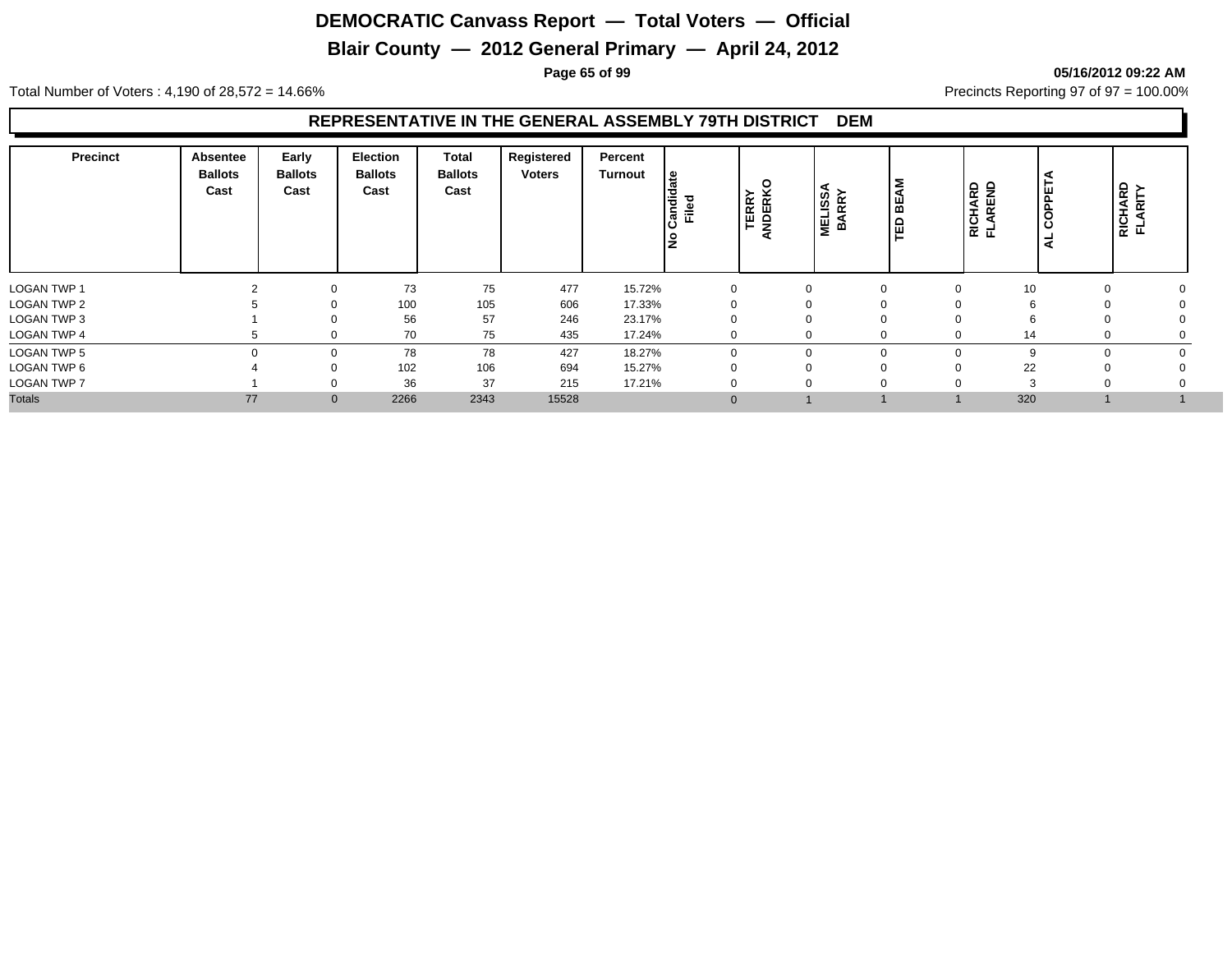# **Blair County — 2012 General Primary — April 24, 2012**

**Page 65 of 99 05/16/2012 09:22 AM**

Total Number of Voters : 4,190 of 28,572 = 14.66% Precincts Reporting 97 of 97 = 100.00%

#### **REPRESENTATIVE IN THE GENERAL ASSEMBLY 79TH DISTRICT DEM**

| Precinct           | <b>Absentee</b><br><b>Ballots</b><br>Cast | Early<br><b>Ballots</b><br>Cast | <b>Election</b><br><b>Ballots</b><br>Cast | Total<br><b>Ballots</b><br>Cast | Registered<br><b>Voters</b> | Percent<br><b>Turnout</b> | දූ<br>Candida<br>Filed<br>l是 | ့<br><b>TERRY</b><br>NDERK | <b>LISSA</b><br>RRY<br><b>NET</b><br>BVE | 2<br>BEA<br>品 | RICHARD<br>FLAREND | COPPE<br>۰<br>⋖ | RICHARD<br>FLARITY |
|--------------------|-------------------------------------------|---------------------------------|-------------------------------------------|---------------------------------|-----------------------------|---------------------------|------------------------------|----------------------------|------------------------------------------|---------------|--------------------|-----------------|--------------------|
| <b>LOGAN TWP 1</b> |                                           | $\Omega$                        | 73                                        | 75                              | 477                         | 15.72%                    | $\Omega$                     |                            |                                          |               | 10                 |                 |                    |
| <b>LOGAN TWP 2</b> |                                           | $\Omega$                        | 100                                       | 105                             | 606                         | 17.33%                    |                              |                            |                                          |               |                    |                 |                    |
| LOGAN TWP 3        |                                           | 0                               | 56                                        | 57                              | 246                         | 23.17%                    | $\Omega$                     |                            |                                          |               | n                  |                 |                    |
| <b>LOGAN TWP 4</b> |                                           | 0                               | 70                                        | 75                              | 435                         | 17.24%                    | $\Omega$                     |                            | $\Omega$                                 |               | 14                 |                 |                    |
| <b>LOGAN TWP 5</b> | $\Omega$                                  | 0                               | 78                                        | 78                              | 427                         | 18.27%                    | $\Omega$                     |                            | $\Omega$                                 |               | 9                  |                 |                    |
| LOGAN TWP 6        |                                           | 0                               | 102                                       | 106                             | 694                         | 15.27%                    | $\Omega$                     |                            |                                          |               | 22                 |                 |                    |
| <b>LOGAN TWP 7</b> |                                           | 0                               | 36                                        | 37                              | 215                         | 17.21%                    | 0                            |                            |                                          |               | $\sim$             |                 |                    |
| <b>Totals</b>      | 77                                        | $\mathbf 0$                     | 2266                                      | 2343                            | 15528                       |                           | $\Omega$                     |                            |                                          |               | 320                |                 |                    |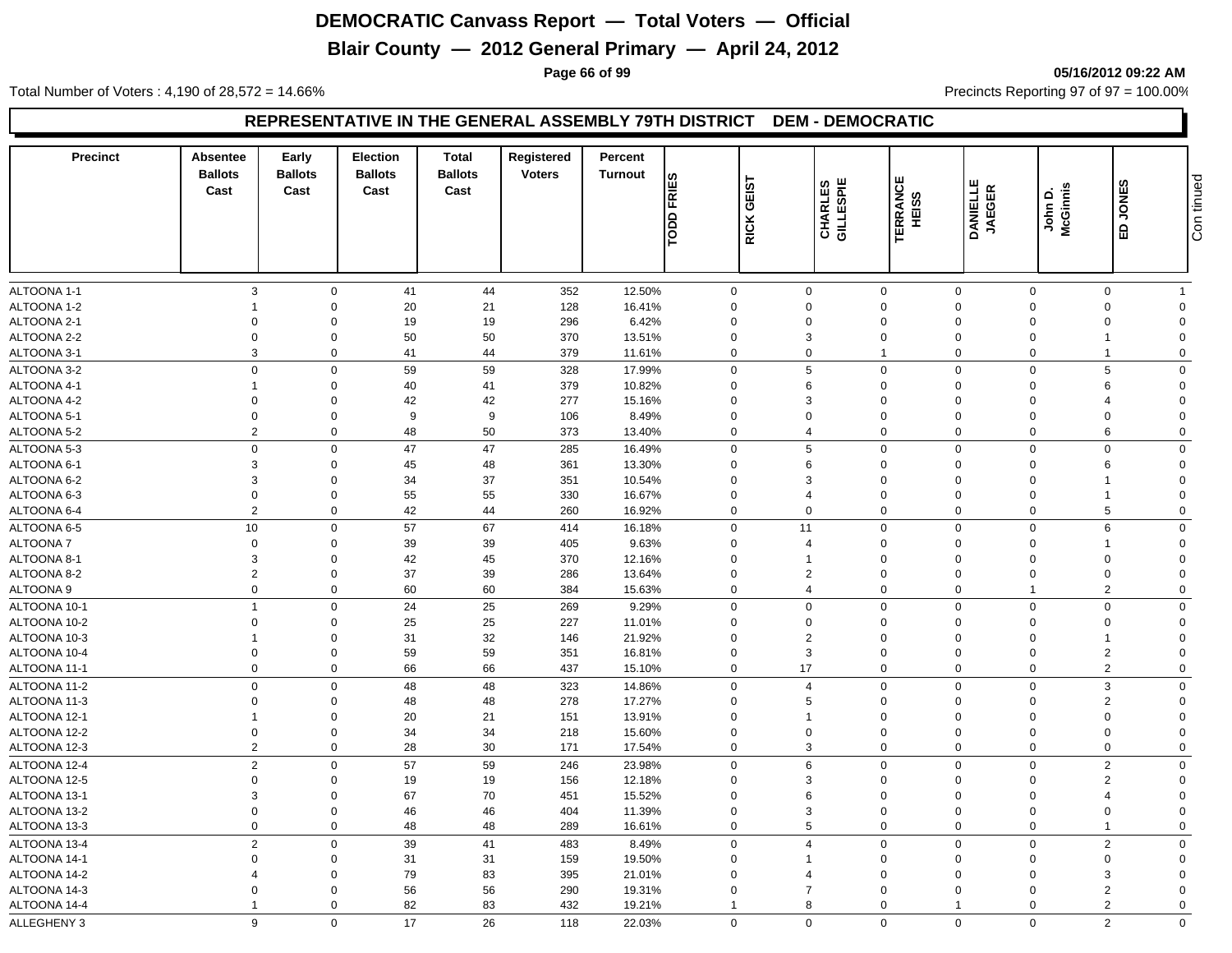# **Blair County — 2012 General Primary — April 24, 2012**

**Page 66 of 99 05/16/2012 09:22 AM**

Total Number of Voters : 4,190 of 28,572 = 14.66% Precincts Reporting 97 of 97 = 100.00%

#### **REPRESENTATIVE IN THE GENERAL ASSEMBLY 79TH DISTRICT DEM - DEMOCRATIC**

| <b>Precinct</b>            | <b>Absentee</b><br><b>Ballots</b><br>Cast | Early<br><b>Ballots</b><br>Cast | Election<br><b>Ballots</b><br>Cast | <b>Total</b><br><b>Ballots</b><br>Cast | Registered<br><b>Voters</b> | Percent<br><b>Turnout</b> | ທ<br><b>FRIE:</b><br>$\frac{1}{2}$ | GEIST<br><b>RICK</b> | <b>CHARLES</b><br>GILLESPIE    | ш<br>TERRANCE<br>HEISS     | DANIELLE<br>JAEGER            | John D.<br>McGinnis     | JONES<br>品                       | Con tinued                    |
|----------------------------|-------------------------------------------|---------------------------------|------------------------------------|----------------------------------------|-----------------------------|---------------------------|------------------------------------|----------------------|--------------------------------|----------------------------|-------------------------------|-------------------------|----------------------------------|-------------------------------|
|                            | 3                                         | $\mathbf 0$                     |                                    |                                        |                             |                           |                                    |                      |                                |                            | $\mathbf{0}$                  | $\Omega$                |                                  | $\mathbf{1}$                  |
| ALTOONA 1-1<br>ALTOONA 1-2 |                                           | $\mathbf 0$                     | 41<br>20                           | 44<br>21                               | 352<br>128                  | 12.50%<br>16.41%          | $\mathbf 0$<br>$\Omega$            |                      | $\mathbf 0$<br>$\Omega$        | $\mathbf 0$<br>$\mathbf 0$ | $\Omega$                      | $\Omega$                | $\mathbf 0$<br>$\Omega$          | $\Omega$                      |
| ALTOONA 2-1                | $\Omega$                                  | $\mathbf 0$                     | 19                                 | 19                                     | 296                         | 6.42%                     | $\Omega$                           |                      | $\Omega$                       | $\mathbf 0$                | $\Omega$                      |                         | $\Omega$                         | $\Omega$                      |
| ALTOONA 2-2                | $\mathbf 0$                               | $\mathbf 0$                     | 50                                 | 50                                     | 370                         | 13.51%                    | $\mathbf 0$                        |                      | 3                              | $\mathbf 0$                | $\Omega$                      | $\Omega$                | 1                                | $\Omega$                      |
| ALTOONA 3-1                | 3                                         | $\mathbf 0$                     | 41                                 | 44                                     | 379                         | 11.61%                    | 0                                  |                      | $\mathbf 0$                    | $\overline{1}$             | $\mathbf 0$                   | $\Omega$                | 1                                | $\Omega$                      |
| ALTOONA 3-2                | $\overline{0}$                            | $\mathbf 0$                     | 59                                 | 59                                     | 328                         | 17.99%                    | $\mathbf 0$                        |                      | 5                              | $\mathbf 0$                | $\Omega$                      | $\Omega$                | 5                                | $\Omega$                      |
| ALTOONA 4-1                |                                           | $\mathbf 0$                     | 40                                 | 41                                     | 379                         |                           | $\mathbf 0$                        |                      | 6                              | $\mathbf 0$                | $\Omega$                      | $\Omega$                | 6                                | $\Omega$                      |
| ALTOONA 4-2                | $\mathbf 0$                               | $\mathbf 0$                     | 42                                 | 42                                     | 277                         | 10.82%<br>15.16%          | $\mathbf 0$                        |                      | 3                              | $\mathbf 0$                | $\Omega$                      | $\Omega$                | 4                                | $\Omega$                      |
| ALTOONA 5-1                | $\mathbf 0$                               | $\mathbf 0$                     | 9                                  | 9                                      | 106                         | 8.49%                     | $\mathbf 0$                        |                      | 0                              | $\mathbf 0$                | $\overline{0}$                | $\Omega$                | $\Omega$                         | $\Omega$                      |
|                            | $\overline{2}$                            | $\mathbf 0$                     |                                    | 50                                     |                             |                           |                                    |                      | $\overline{4}$                 |                            | $\mathbf 0$                   | $\mathbf 0$             |                                  | $\mathbf 0$                   |
| ALTOONA 5-2                |                                           |                                 | 48                                 |                                        | 373                         | 13.40%                    | 0                                  |                      | 5                              | $\mathbf 0$                |                               |                         | 6                                |                               |
| ALTOONA 5-3<br>ALTOONA 6-1 | $\mathbf 0$<br>3                          | $\mathbf 0$<br>$\mathbf 0$      | 47                                 | 47<br>48                               | 285                         | 16.49%                    | $\mathbf 0$<br>$\mathbf 0$         |                      | 6                              | $\mathbf 0$<br>$\mathbf 0$ | $\mathbf 0$<br>$\Omega$       | $\Omega$<br>$\Omega$    | $\Omega$<br>6                    | $\mathbf 0$<br>$\overline{0}$ |
| ALTOONA 6-2                | 3                                         | $\mathbf 0$                     | 45<br>34                           | 37                                     | 361<br>351                  | 13.30%<br>10.54%          | $\mathbf 0$                        |                      | 3                              | $\mathbf 0$                | $\Omega$                      | $\Omega$                |                                  | $\Omega$                      |
| ALTOONA 6-3                | $\mathbf 0$                               | $\mathbf 0$                     | 55                                 | 55                                     | 330                         | 16.67%                    | $\mathbf 0$                        |                      | $\overline{4}$                 | $\mathbf 0$                | $\mathbf 0$                   | $\Omega$                | 1                                | $\Omega$                      |
| ALTOONA 6-4                | $\overline{2}$                            | $\mathsf 0$                     | 42                                 | 44                                     | 260                         | 16.92%                    | $\mathbf 0$                        |                      | $\mathbf 0$                    | $\mathbf 0$                | $\mathbf 0$                   | $\Omega$                | 5                                | $\mathbf 0$                   |
|                            |                                           |                                 |                                    |                                        |                             |                           |                                    |                      |                                |                            |                               |                         |                                  |                               |
| ALTOONA 6-5                | 10<br>$\mathbf 0$                         | $\mathbf 0$                     | 57                                 | 67                                     | 414                         | 16.18%                    | $\mathbf 0$                        |                      | 11                             | $\mathbf 0$                | $\mathbf 0$<br>$\mathbf 0$    | $\mathbf 0$<br>$\Omega$ | 6                                | $\mathbf 0$<br>$\Omega$       |
| ALTOONA 7                  |                                           | $\mathbf 0$                     | 39                                 | 39                                     | 405                         | 9.63%                     | $\mathbf 0$                        |                      | $\overline{4}$                 | $\mathbf 0$                |                               | $\Omega$                | $\Omega$                         | $\Omega$                      |
| ALTOONA 8-1                | 3<br>$\overline{2}$                       | $\mathbf 0$<br>$\mathbf 0$      | 42<br>37                           | 45<br>39                               | 370                         | 12.16%                    | $\mathbf 0$<br>$\mathbf 0$         |                      | $\mathbf{1}$<br>$\overline{2}$ | $\mathbf 0$                | $\mathbf 0$<br>$\overline{0}$ | $\Omega$                | $\Omega$                         | $\Omega$                      |
| ALTOONA 8-2<br>ALTOONA 9   | $\mathbf 0$                               | $\mathbf 0$                     | 60                                 | 60                                     | 286<br>384                  | 13.64%<br>15.63%          | $\mathbf 0$                        |                      | $\overline{4}$                 | $\mathbf 0$<br>$\mathbf 0$ | $\Omega$                      | $\mathbf 1$             | $\overline{2}$                   | $\Omega$                      |
|                            |                                           |                                 |                                    |                                        |                             |                           |                                    |                      |                                |                            |                               |                         |                                  |                               |
| ALTOONA 10-1               | $\overline{1}$                            | $\mathbf 0$                     | 24                                 | 25                                     | 269                         | 9.29%                     | 0                                  |                      | $\mathbf 0$                    | $\mathbf 0$                | $\Omega$                      | $\Omega$                | $\Omega$                         | $\mathbf 0$                   |
| ALTOONA 10-2               | $\mathbf 0$                               | $\mathbf 0$                     | 25                                 | 25                                     | 227                         | 11.01%                    | $\mathbf 0$                        |                      | $\mathbf 0$                    | $\mathbf 0$                | $\mathbf 0$                   | $\Omega$                | $\mathbf 0$                      | $\Omega$                      |
| ALTOONA 10-3               |                                           | $\mathbf 0$                     | 31                                 | 32                                     | 146                         | 21.92%                    | 0                                  |                      | $\overline{2}$                 | $\mathbf 0$                | $\mathbf 0$                   | $\Omega$                | 1                                | $\Omega$                      |
| ALTOONA 10-4               | $\mathbf 0$<br>$\mathbf 0$                | $\mathbf 0$<br>$\mathbf 0$      | 59<br>66                           | 59                                     | 351                         | 16.81%                    | $\mathbf 0$<br>$\mathbf 0$         |                      | 3<br>17                        | $\mathbf 0$<br>$\mathbf 0$ | $\mathbf 0$<br>$\Omega$       | $\Omega$<br>$\mathbf 0$ | $\overline{2}$<br>$\overline{2}$ | $\Omega$                      |
| ALTOONA 11-1               |                                           |                                 |                                    | 66                                     | 437                         | 15.10%                    |                                    |                      |                                |                            |                               |                         |                                  | $\mathbf 0$                   |
| ALTOONA 11-2               | $\mathbf 0$                               | $\mathbf 0$                     | 48                                 | 48                                     | 323                         | 14.86%                    | $\mathsf{O}\xspace$                |                      | $\overline{4}$                 | $\mathbf 0$                | $\Omega$                      | $\Omega$                | 3                                | $\mathbf 0$                   |
| ALTOONA 11-3               | $\Omega$                                  | $\mathbf 0$                     | 48                                 | 48                                     | 278                         | 17.27%                    | 0                                  |                      | 5                              | $\mathbf 0$                | $\Omega$                      | $\Omega$                | $\overline{2}$                   | $\Omega$                      |
| ALTOONA 12-1               |                                           | $\mathbf 0$                     | 20                                 | 21                                     | 151                         | 13.91%                    | $\Omega$                           |                      | 1                              | $\mathbf 0$                | $\Omega$                      | $\Omega$                | $\Omega$                         | $\Omega$                      |
| ALTOONA 12-2               | $\mathbf 0$                               | $\mathbf 0$                     | 34                                 | 34                                     | 218                         | 15.60%                    | $\mathbf 0$                        |                      | $\mathbf 0$                    | $\mathbf 0$                | $\overline{0}$                | $\Omega$                | $\mathbf 0$                      | $\Omega$                      |
| ALTOONA 12-3               | $\overline{2}$                            | $\mathbf 0$                     | 28                                 | 30                                     | 171                         | 17.54%                    | $\mathbf 0$                        |                      | 3                              | $\mathbf 0$                | $\mathbf 0$                   | $\mathbf 0$             | $\mathbf 0$                      | $\mathbf 0$                   |
| ALTOONA 12-4               | $\overline{2}$                            | $\mathbf 0$                     | 57                                 | 59                                     | 246                         | 23.98%                    | $\mathbf 0$                        |                      | 6                              | $\mathbf 0$                | $\mathbf 0$                   | $\Omega$                | $\overline{2}$                   | $\mathbf 0$                   |
| ALTOONA 12-5               | $\Omega$                                  | $\mathbf 0$                     | 19                                 | 19                                     | 156                         | 12.18%                    | $\mathbf 0$                        |                      | 3                              | $\mathbf 0$                | $\Omega$                      | $\Omega$                | 2                                | $\Omega$                      |
| ALTOONA 13-1               | 3                                         | $\mathbf 0$                     | 67                                 | 70                                     | 451                         | 15.52%                    | $\mathbf 0$                        |                      | 6                              | $\mathbf 0$                | $\Omega$                      | $\Omega$                | $\overline{4}$                   | $\Omega$                      |
| ALTOONA 13-2               | $\mathbf 0$                               | $\mathsf 0$                     | 46                                 | 46                                     | 404                         | 11.39%                    | $\Omega$                           |                      | 3                              | $\mathbf 0$                | $\Omega$                      | $\Omega$                | $\Omega$                         | $\Omega$                      |
| ALTOONA 13-3               | $\mathbf 0$                               | $\mathbf 0$                     | 48                                 | 48                                     | 289                         | 16.61%                    | 0                                  |                      | 5                              | $\mathbf 0$                | $\Omega$                      | $\Omega$                | $\mathbf{1}$                     | $\mathbf 0$                   |
| ALTOONA 13-4               | $\overline{2}$                            | $\mathbf 0$                     | 39                                 | 41                                     | 483                         | 8.49%                     | $\mathbf 0$                        |                      | $\overline{\mathbf{4}}$        | $\mathbf 0$                | $\mathbf 0$                   | $\Omega$                | $\overline{2}$                   | $\Omega$                      |
| ALTOONA 14-1               | $\Omega$                                  | $\mathbf 0$                     | 31                                 | 31                                     | 159                         | 19.50%                    | $\mathbf 0$                        |                      |                                | $\mathbf 0$                | $\Omega$                      | $\Omega$                | $\Omega$                         | $\Omega$                      |
| ALTOONA 14-2               | 4                                         | $\mathbf 0$                     | 79                                 | 83                                     | 395                         | 21.01%                    | $\Omega$                           |                      |                                | $\mathbf 0$                | $\Omega$                      | $\Omega$                | 3                                | $\Omega$                      |
| ALTOONA 14-3               | $\Omega$                                  | $\mathbf 0$                     | 56                                 | 56                                     | 290                         | 19.31%                    | $\mathbf 0$                        |                      | 7                              | $\mathbf 0$                | $\Omega$                      | $\Omega$                | 2                                | $\Omega$                      |
| ALTOONA 14-4               | -1                                        | $\mathbf 0$                     | 82                                 | 83                                     | 432                         | 19.21%                    | $\overline{1}$                     |                      | 8                              | $\Omega$                   | -1                            | $\Omega$                | $\overline{2}$                   | $\Omega$                      |
| ALLEGHENY 3                | $\mathbf{q}$                              | $\mathbf 0$                     | 17                                 | 26                                     | 118                         | 22.03%                    | $\Omega$                           |                      | $\mathbf 0$                    | $\mathbf 0$                | $\mathbf{0}$                  | $\Omega$                | $\overline{2}$                   | $\mathbf 0$                   |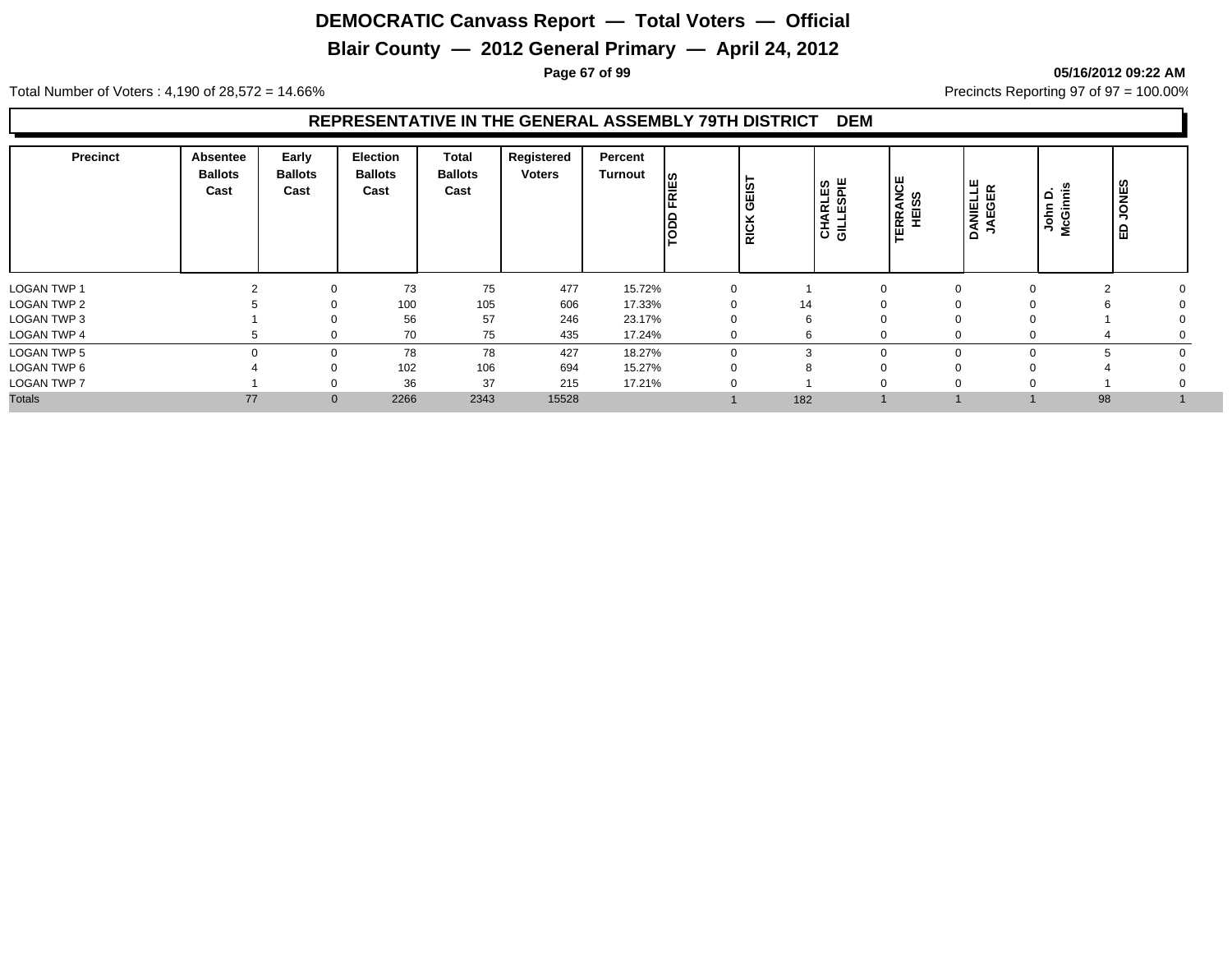# **Blair County — 2012 General Primary — April 24, 2012**

**Page 67 of 99 05/16/2012 09:22 AM**

Total Number of Voters : 4,190 of 28,572 = 14.66% Precincts Reporting 97 of 97 = 100.00%

#### **REPRESENTATIVE IN THE GENERAL ASSEMBLY 79TH DISTRICT DEM**

| Precinct           | Absentee<br><b>Ballots</b><br>Cast | Early<br><b>Ballots</b><br>Cast | <b>Election</b><br><b>Ballots</b><br>Cast | <b>Total</b><br><b>Ballots</b><br>Cast | Registered<br><b>Voters</b> | Percent<br>Turnout | ∣≌<br>le | GEIST<br><b>RICK</b> | <b>CHARLES</b><br>GILLESPIE | <b>TERRANCE<br/>HEISS</b> | DANIELLE<br>JAEGER | Ë<br>$\mathbf{\Omega}$<br>John  <br>McGini | <b>JONES</b><br>品 |
|--------------------|------------------------------------|---------------------------------|-------------------------------------------|----------------------------------------|-----------------------------|--------------------|----------|----------------------|-----------------------------|---------------------------|--------------------|--------------------------------------------|-------------------|
| <b>LOGAN TWP 1</b> |                                    | $\Omega$                        | 73                                        | 75                                     | 477                         | 15.72%             |          |                      |                             |                           |                    | $\sim$                                     |                   |
| <b>LOGAN TWP 2</b> |                                    |                                 | 100                                       | 105                                    | 606                         | 17.33%             |          | 14                   |                             |                           |                    | h                                          |                   |
| LOGAN TWP 3        |                                    | $\Omega$                        | 56                                        | 57                                     | 246                         | 23.17%             |          | 6                    |                             |                           |                    |                                            |                   |
| <b>LOGAN TWP 4</b> |                                    | $\Omega$                        | 70                                        | 75                                     | 435                         | 17.24%             |          | 6                    |                             |                           | $\Omega$           | 4                                          |                   |
| LOGAN TWP 5        |                                    | $\Omega$                        | 78                                        | 78                                     | 427                         | 18.27%             |          | 3                    | $\Omega$                    |                           |                    | 5                                          |                   |
| LOGAN TWP 6        |                                    | $\Omega$                        | 102                                       | 106                                    | 694                         | 15.27%             |          |                      |                             |                           |                    |                                            |                   |
| <b>LOGAN TWP 7</b> |                                    | $\Omega$                        | 36                                        | 37                                     | 215                         | 17.21%             |          |                      |                             |                           |                    |                                            |                   |
| <b>Totals</b>      | 77                                 | $\mathbf 0$                     | 2266                                      | 2343                                   | 15528                       |                    |          | 182                  |                             |                           |                    | 98                                         |                   |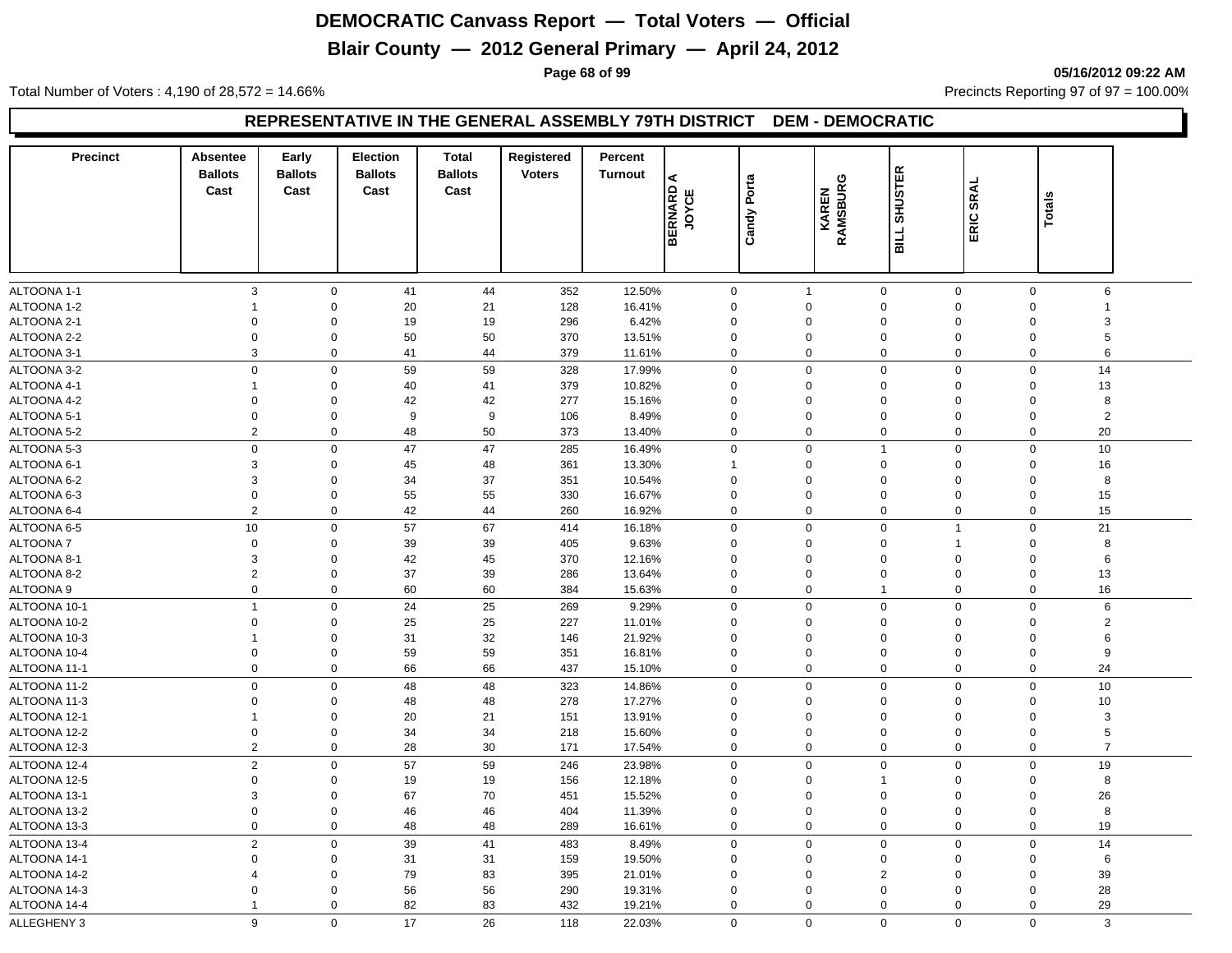# **Blair County — 2012 General Primary — April 24, 2012**

**Page 68 of 99 05/16/2012 09:22 AM**

Total Number of Voters : 4,190 of 28,572 = 14.66% Precincts Reporting 97 of 97 = 100.00%

#### **REPRESENTATIVE IN THE GENERAL ASSEMBLY 79TH DISTRICT DEM - DEMOCRATIC**

| <b>Precinct</b>            | <b>Absentee</b>        | Early                      | <b>Election</b>        | <b>Total</b>           | Registered    | Percent          |                  |             |                   |                               |             |                               |  |
|----------------------------|------------------------|----------------------------|------------------------|------------------------|---------------|------------------|------------------|-------------|-------------------|-------------------------------|-------------|-------------------------------|--|
|                            | <b>Ballots</b><br>Cast | <b>Ballots</b><br>Cast     | <b>Ballots</b><br>Cast | <b>Ballots</b><br>Cast | <b>Voters</b> | <b>Turnout</b>   | ⋖                |             |                   | BILL SHUSTER                  |             |                               |  |
|                            |                        |                            |                        |                        |               |                  | <b>JOYCE</b>     | Candy Porta | RAMSBURG<br>KAREN |                               | SRAL        | <b>Totals</b>                 |  |
|                            |                        |                            |                        |                        |               |                  |                  |             |                   |                               | ERIC.       |                               |  |
|                            |                        |                            |                        |                        |               |                  | ⋒                |             |                   |                               |             |                               |  |
|                            |                        |                            |                        |                        |               |                  |                  |             |                   |                               |             |                               |  |
|                            | 3                      |                            | 41                     | 44                     |               |                  |                  |             | $\mathbf{1}$      | $\mathbf 0$                   | $\mathbf 0$ | $\mathbf 0$<br>6              |  |
| ALTOONA 1-1<br>ALTOONA 1-2 | $\mathbf{1}$           | $\mathbf 0$<br>$\mathbf 0$ | 20                     | 21                     | 352<br>128    | 12.50%<br>16.41% | $\mathbf 0$<br>0 |             | $\mathbf 0$       | $\mathbf 0$                   | $\mathbf 0$ | $\Omega$<br>$\mathbf{1}$      |  |
| ALTOONA 2-1                | $\Omega$               | $\mathbf 0$                | 19                     | 19                     | 296           | 6.42%            | $\Omega$         |             | $\Omega$          | $\Omega$<br>$\Omega$          |             | $\Omega$<br>3                 |  |
| ALTOONA 2-2                | $\Omega$               | $\Omega$                   | 50                     | 50                     | 370           | 13.51%           | $\Omega$         |             | $\Omega$          | $\mathbf 0$<br>$\Omega$       |             | 5<br>$\Omega$                 |  |
| ALTOONA 3-1                | 3                      | $\mathbf 0$                | 41                     | 44                     | 379           | 11.61%           | 0                |             | $\mathbf 0$       | $\mathbf 0$                   | 0           | 6<br>$\mathbf 0$              |  |
| ALTOONA 3-2                | $\mathbf 0$            | $\overline{0}$             | 59                     | 59                     | 328           | 17.99%           | 0                |             | $\Omega$          | $\Omega$                      | 0           | 14<br>$\mathbf 0$             |  |
| ALTOONA 4-1                | -1                     | $\mathbf 0$                | 40                     | 41                     | 379           | 10.82%           | 0                |             | $\Omega$          | $\mathbf 0$                   | 0           | 13<br>$\mathbf 0$             |  |
| ALTOONA 4-2                | $\Omega$               | $\Omega$                   | 42                     | 42                     | 277           | 15.16%           | $\Omega$         |             | $\Omega$          | $\Omega$<br>$\Omega$          |             | 8<br>$\Omega$                 |  |
| ALTOONA 5-1                | $\Omega$               | $\mathbf 0$                | 9                      | 9                      | 106           | 8.49%            | 0                |             | $\Omega$          | $\mathbf 0$                   | 0           | $\overline{2}$<br>$\Omega$    |  |
| ALTOONA 5-2                | $\overline{2}$         | $\mathbf 0$                | 48                     | 50                     | 373           | 13.40%           | 0                |             | $\mathbf 0$       | $\mathbf 0$                   | 0           | 20<br>$\mathbf 0$             |  |
| ALTOONA 5-3                | $\mathsf 0$            | $\mathsf 0$                | 47                     | 47                     | 285           | 16.49%           | 0                |             | $\mathsf 0$       | $\overline{1}$                | 0           | 10<br>$\mathbf 0$             |  |
| ALTOONA 6-1                | 3                      | $\Omega$                   | 45                     | 48                     | 361           | 13.30%           | $\mathbf{1}$     |             | $\Omega$          | $\mathbf 0$<br>$\Omega$       |             | 16<br>$\Omega$                |  |
| ALTOONA 6-2                | 3                      | 0                          | 34                     | 37                     | 351           | 10.54%           | 0                |             | $\Omega$          | $\mathbf 0$                   | 0           | 8<br>$\mathbf 0$              |  |
| ALTOONA 6-3                | $\mathsf 0$            | $\mathbf 0$                | 55                     | 55                     | 330           | 16.67%           | $\mathbf 0$      |             | $\mathbf 0$       | $\mathbf 0$<br>$\Omega$       |             | 15<br>$\mathbf 0$             |  |
| ALTOONA 6-4                | $\overline{2}$         | 0                          | 42                     | 44                     | 260           | 16.92%           | 0                |             | $\mathbf 0$       | $\mathbf 0$                   | 0           | 15<br>$\Omega$                |  |
| ALTOONA 6-5                | 10                     | $\mathbf 0$                | 57                     | 67                     | 414           | 16.18%           | 0                |             | $\Omega$          | $\mathbf 0$<br>$\overline{1}$ |             | $\mathbf 0$<br>21             |  |
| ALTOONA 7                  | $\mathbf 0$            | 0                          | 39                     | 39                     | 405           | 9.63%            | $\mathbf 0$      |             | $\Omega$          | $\mathbf 0$<br>$\overline{1}$ |             | 8<br>$\mathbf 0$              |  |
| ALTOONA 8-1                | 3                      | $\Omega$                   | 42                     | 45                     | 370           | 12.16%           | $\Omega$         |             | $\Omega$          | $\mathbf 0$<br>$\Omega$       |             | 6<br>$\Omega$                 |  |
| ALTOONA 8-2                | 2                      | $\mathbf 0$                | 37                     | 39                     | 286           | 13.64%           | 0                |             | $\mathbf 0$       | $\mathbf 0$                   | 0           | 13<br>$\mathbf 0$             |  |
| ALTOONA 9                  | $\mathsf 0$            | $\mathbf 0$                | 60                     | 60                     | 384           | 15.63%           | 0                |             | $\Omega$          | $\overline{1}$                | 0           | $\Omega$<br>16                |  |
| ALTOONA 10-1               | $\overline{1}$         | $\mathbf 0$                | 24                     | 25                     | 269           | 9.29%            | 0                |             | $\mathbf 0$       | $\pmb{0}$                     | 0           | $\mathsf 0$<br>6              |  |
| ALTOONA 10-2               | $\Omega$               | $\mathbf 0$                | 25                     | 25                     | 227           | 11.01%           | 0                |             | $\mathbf 0$       | $\mathbf 0$                   | 0           | $\overline{2}$<br>$\Omega$    |  |
| ALTOONA 10-3               | $\mathbf{1}$           | 0                          | 31                     | 32                     | 146           | 21.92%           | 0                |             | $\mathbf 0$       | $\mathbf 0$                   | 0           | 6<br>$\mathbf 0$              |  |
| ALTOONA 10-4               | $\mathbf 0$            | $\mathbf 0$                | 59                     | 59                     | 351           | 16.81%           | 0                |             | $\mathbf 0$       | $\mathbf 0$<br>$\mathbf 0$    |             | 9<br>$\mathbf 0$              |  |
| ALTOONA 11-1               | $\mathbf 0$            | $\mathsf 0$                | 66                     | 66                     | 437           | 15.10%           | 0                |             | $\mathbf 0$       | $\mathbf 0$                   | 0           | 24<br>$\Omega$                |  |
| ALTOONA 11-2               | $\Omega$               | $\mathbf 0$                | 48                     | 48                     | 323           | 14.86%           | 0                |             | $\Omega$          | $\mathbf 0$                   | $\mathbf 0$ | 10<br>$\mathbf 0$             |  |
| ALTOONA 11-3               | $\mathbf 0$            | 0                          | 48                     | 48                     | 278           | 17.27%           | 0                |             | $\mathbf 0$       | $\mathbf 0$                   | 0           | 10<br>$\mathbf 0$             |  |
| ALTOONA 12-1               | $\mathbf{1}$           | $\mathbf 0$                | 20                     | 21                     | 151           | 13.91%           | 0                |             | $\mathbf 0$       | $\mathbf 0$<br>$\Omega$       |             | 3<br>$\Omega$                 |  |
| ALTOONA 12-2               | $\mathbf 0$            | $\overline{0}$             | 34                     | 34                     | 218           | 15.60%           | 0                |             | $\mathbf 0$       | $\mathbf 0$                   | $\mathbf 0$ | 5<br>$\Omega$                 |  |
| ALTOONA 12-3               | 2                      | $\mathbf{0}$               | 28                     | 30                     | 171           | 17.54%           | $\mathbf 0$      |             | $\mathbf 0$       | $\mathbf 0$                   | $\mathbf 0$ | $\overline{7}$<br>$\mathbf 0$ |  |
| ALTOONA 12-4               | 2                      | $\mathbf 0$                | 57                     | 59                     | 246           | 23.98%           | $\mathbf 0$      |             | $\mathbf 0$       | $\mathbf 0$                   | 0           | 19<br>$\mathbf 0$             |  |
| ALTOONA 12-5               | $\mathbf 0$            | $\mathbf 0$                | 19                     | 19                     | 156           | 12.18%           | 0                |             | $\mathbf 0$       | $\mathbf 0$<br>$\mathbf{1}$   |             | 8<br>$\mathbf 0$              |  |
| ALTOONA 13-1               | 3                      | $\mathbf 0$                | 67                     | 70                     | 451           | 15.52%           | 0                |             | $\mathbf 0$       | $\mathbf 0$                   | 0           | 26<br>$\mathbf 0$             |  |
| ALTOONA 13-2               | $\mathbf 0$            | $\mathbf 0$                | 46                     | 46                     | 404           | 11.39%           | 0                |             | $\mathbf 0$       | $\mathbf 0$                   | $\mathbf 0$ | 8<br>$\mathsf 0$              |  |
| ALTOONA 13-3               | $\mathbf 0$            | $\mathbf 0$                | 48                     | 48                     | 289           | 16.61%           | 0                |             | $\mathbf 0$       | $\mathbf 0$                   | 0           | $\mathbf 0$<br>19             |  |
| ALTOONA 13-4               | $\sqrt{2}$             | $\mathbf 0$                | 39                     | 41                     | 483           | 8.49%            | 0                |             | $\mathbf 0$       | $\mathbf 0$                   | 0           | 14<br>$\mathbf 0$             |  |
| ALTOONA 14-1               | $\Omega$               | $\mathbf 0$                | 31                     | 31                     | 159           | 19.50%           | 0                |             | $\mathbf 0$       | $\mathbf 0$                   | 0           | $\mathbf 0$<br>6              |  |
| ALTOONA 14-2               | $\overline{4}$         | $\mathbf 0$                | 79                     | 83                     | 395           | 21.01%           | $\Omega$         |             | $\Omega$          | $\overline{2}$<br>$\Omega$    |             | 39<br>$\Omega$                |  |
| ALTOONA 14-3               | $\Omega$               | $\Omega$                   | 56                     | 56                     | 290           | 19.31%           | 0                |             | $\Omega$          | $\mathbf 0$                   | $\mathbf 0$ | $\Omega$<br>28                |  |
| ALTOONA 14-4               | $\mathbf{1}$           | $\mathbf 0$                | 82                     | 83                     | 432           | 19.21%           | $\mathbf 0$      |             | $\mathbf 0$       | $\mathbf 0$                   | $\mathbf 0$ | 29<br>$\mathbf 0$             |  |
| ALLEGHENY 3                | 9                      | $\mathbf 0$                | 17                     | 26                     | 118           | 22.03%           | $\mathbf 0$      |             | $\mathbf 0$       | $\Omega$                      | $\Omega$    | $\Omega$<br>3                 |  |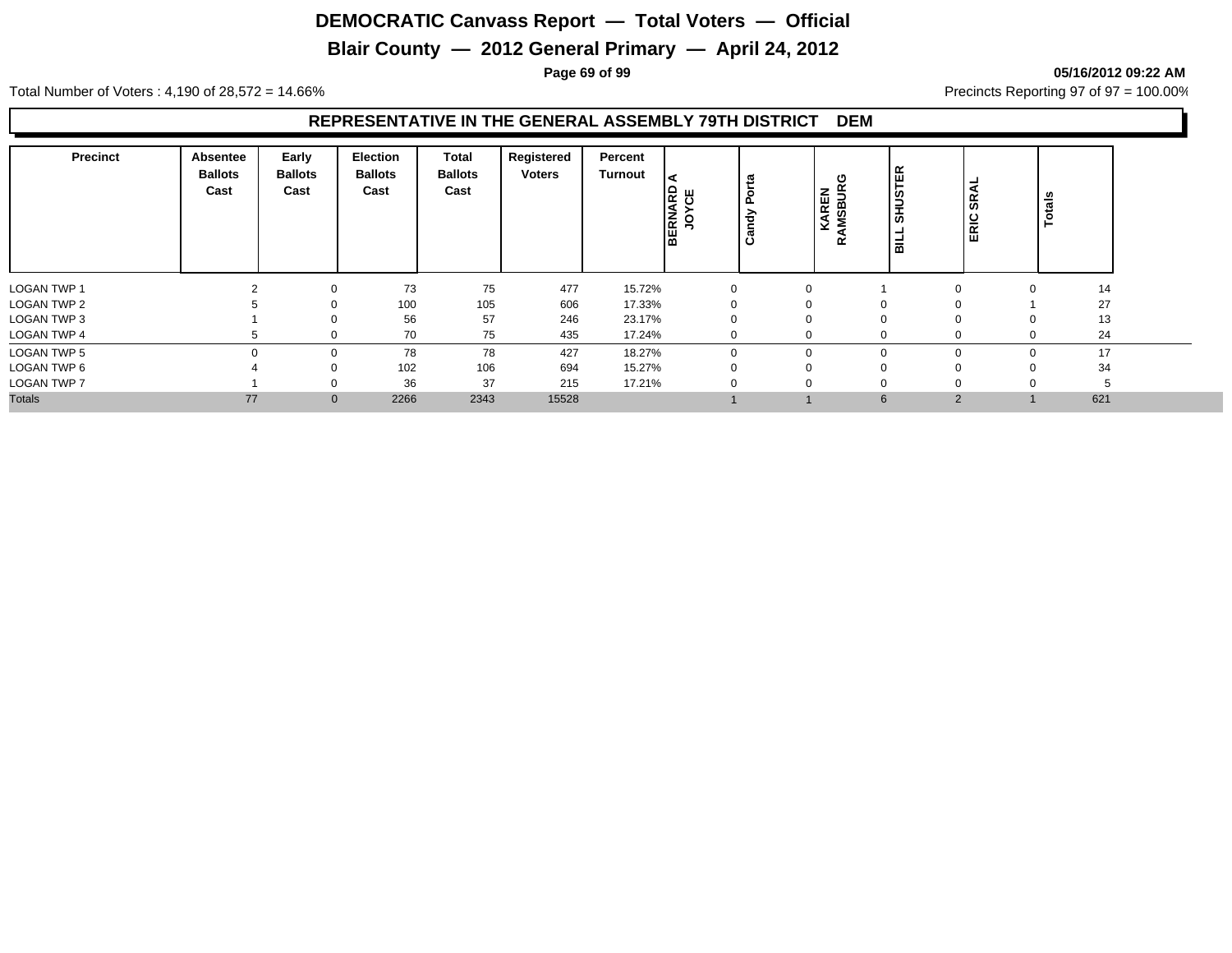# **Blair County — 2012 General Primary — April 24, 2012**

**Page 69 of 99 05/16/2012 09:22 AM**

Total Number of Voters : 4,190 of 28,572 = 14.66% Precincts Reporting 97 of 97 = 100.00%

#### **REPRESENTATIVE IN THE GENERAL ASSEMBLY 79TH DISTRICT DEM**

| <b>Precinct</b>    | Absentee<br><b>Ballots</b><br>Cast | Early<br><b>Ballots</b><br>Cast | <b>Election</b><br><b>Ballots</b><br>Cast | Total<br><b>Ballots</b><br>Cast | Registered<br><b>Voters</b> | Percent<br>Turnout | l <t<br><b>BERNARD</b><br/>ш<br/>ပ<br/><u>o</u></t<br> | 73<br>ပ     | υ<br><b>AMSBUR</b><br>KAREN<br>œ | <b>SHUSTER</b><br>温 | -<br>SRAI<br>ERIC | Totals   |     |
|--------------------|------------------------------------|---------------------------------|-------------------------------------------|---------------------------------|-----------------------------|--------------------|--------------------------------------------------------|-------------|----------------------------------|---------------------|-------------------|----------|-----|
| <b>LOGAN TWP 1</b> |                                    |                                 | 73                                        | 75                              | 477                         | 15.72%             |                                                        | 0           |                                  |                     | $\Omega$          | $\Omega$ | 14  |
| <b>LOGAN TWP 2</b> |                                    |                                 | 100                                       | 105                             | 606                         | 17.33%             |                                                        |             |                                  | $\mathbf 0$         |                   |          | 27  |
| LOGAN TWP 3        |                                    |                                 | 56                                        | 57                              | 246                         | 23.17%             |                                                        | 0           |                                  | $\mathbf 0$         | $\mathbf 0$       | $\Omega$ | 13  |
| <b>LOGAN TWP 4</b> |                                    |                                 | 70                                        | 75                              | 435                         | 17.24%             |                                                        | $\mathbf 0$ | $\Omega$                         | $\Omega$            | $\mathbf 0$       | $\Omega$ | 24  |
| LOGAN TWP 5        |                                    |                                 | 78                                        | 78                              | 427                         | 18.27%             |                                                        | $\Omega$    |                                  | $\mathbf 0$         | $\mathbf 0$       | $\Omega$ | 17  |
| LOGAN TWP 6        |                                    |                                 | 102                                       | 106                             | 694                         | 15.27%             |                                                        | υ           |                                  | 0                   | 0                 |          | 34  |
| <b>LOGAN TWP 7</b> |                                    |                                 | 36                                        | 37                              | 215                         | 17.21%             |                                                        |             |                                  | $\Omega$            |                   |          |     |
| <b>Totals</b>      | 77                                 | $\mathbf{0}$                    | 2266                                      | 2343                            | 15528                       |                    |                                                        |             |                                  | 6                   | 2                 |          | 621 |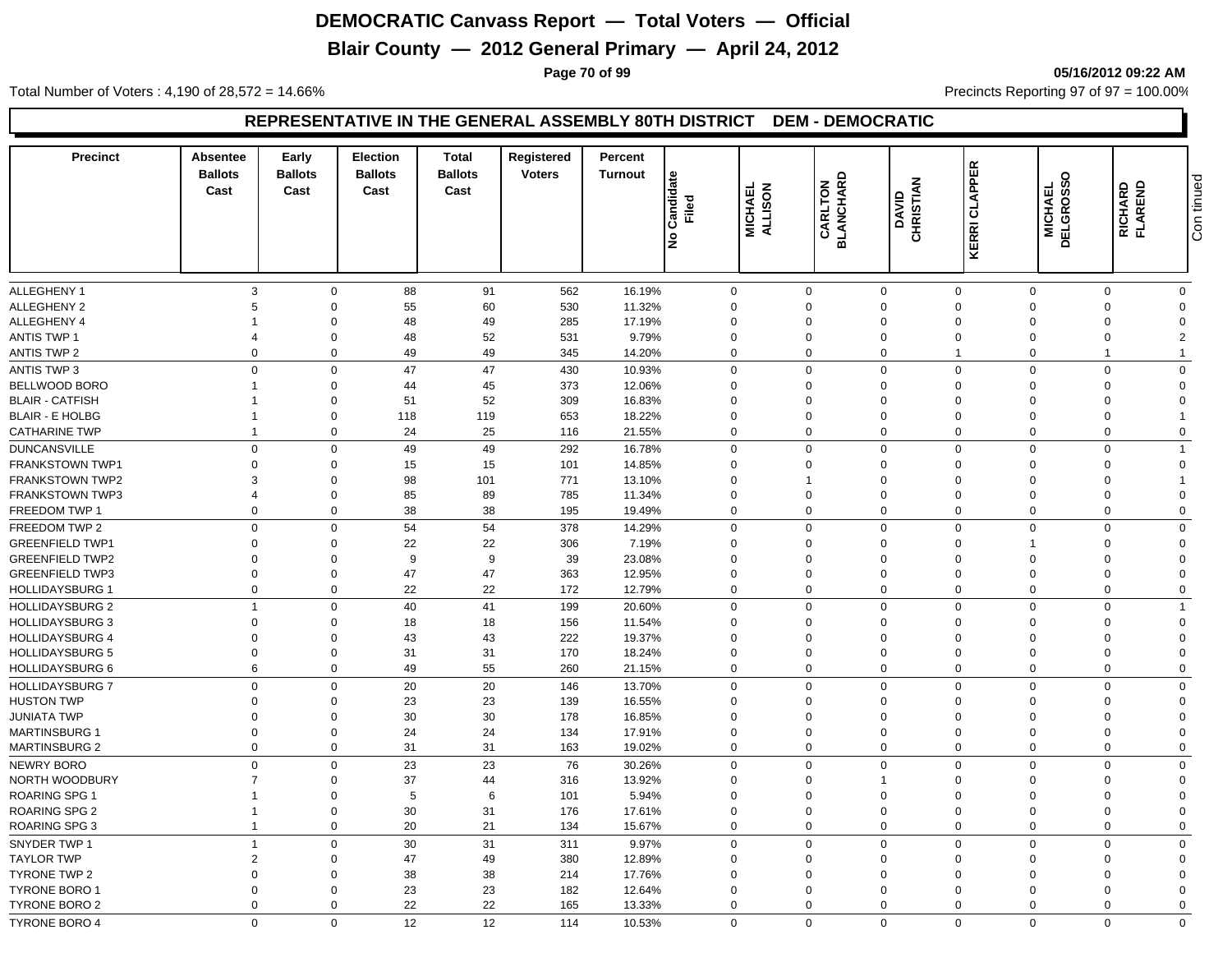# **Blair County — 2012 General Primary — April 24, 2012**

**Page 70 of 99 05/16/2012 09:22 AM**

Total Number of Voters : 4,190 of 28,572 = 14.66% Precincts Reporting 97 of 97 = 100.00%

#### **REPRESENTATIVE IN THE GENERAL ASSEMBLY 80TH DISTRICT DEM - DEMOCRATIC**

| <b>Precinct</b>                                  | Absentee<br><b>Ballots</b><br>Cast | Early<br><b>Ballots</b><br>Cast | <b>Election</b><br><b>Ballots</b><br>Cast | <b>Total</b><br><b>Ballots</b><br>Cast | Registered<br><b>Voters</b> | Percent<br><b>Turnout</b> | Candidate<br>Filed<br>ے∣ | MICHAEL<br>ALLISON   | <b>CARLTON</b><br>BLANCHARD | CHRISTIAN<br><b>OAVID</b> | <b>KERRI CLAPPER</b> | <b>MICHAEL<br/>DELGROSSO</b> | <b>RICHARD</b><br>FLAREND | Con tinued     |
|--------------------------------------------------|------------------------------------|---------------------------------|-------------------------------------------|----------------------------------------|-----------------------------|---------------------------|--------------------------|----------------------|-----------------------------|---------------------------|----------------------|------------------------------|---------------------------|----------------|
| <b>ALLEGHENY 1</b>                               | 3                                  | $\mathbf 0$                     | 88                                        | 91                                     | 562                         | 16.19%                    |                          | 0                    | $\mathbf 0$                 | $\mathbf 0$               | $\mathbf 0$          | $\mathbf 0$                  | $\Omega$                  | $\mathbf{0}$   |
| <b>ALLEGHENY 2</b>                               | 5                                  | $\mathbf 0$                     | 55                                        | 60                                     | 530                         | 11.32%                    |                          | $\Omega$             | $\mathbf 0$                 | $\mathbf 0$               | $\overline{0}$       | $\Omega$                     | $\Omega$                  | $\Omega$       |
| ALLEGHENY 4                                      |                                    | $\mathbf 0$                     | 48                                        | 49                                     | 285                         | 17.19%                    |                          | $\Omega$             | $\mathbf 0$                 | $\mathbf 0$               | $\Omega$             | $\Omega$                     | $\Omega$                  | $\Omega$       |
| <b>ANTIS TWP 1</b>                               | $\overline{4}$                     | $\mathbf 0$                     | 48                                        | 52                                     | 531                         | 9.79%                     |                          | $\mathbf 0$          | $\mathbf 0$                 | $\mathbf 0$               | $\overline{0}$       | $\Omega$                     | $\Omega$                  | $\overline{2}$ |
| <b>ANTIS TWP 2</b>                               | $\Omega$                           | $\mathbf 0$                     | 49                                        | 49                                     | 345                         | 14.20%                    |                          | $\mathbf 0$          | $\mathbf 0$                 | $\mathbf 0$               | $\overline{1}$       | $\Omega$                     | 1                         | $\overline{1}$ |
| <b>ANTIS TWP 3</b>                               | $\Omega$                           | $\mathbf 0$                     | 47                                        | 47                                     | 430                         | 10.93%                    |                          | $\mathbf 0$          | $\mathbf 0$                 | $\mathbf 0$               | $\mathbf 0$          | $\Omega$                     | $\Omega$                  | $\overline{0}$ |
| BELLWOOD BORO                                    |                                    | $\mathbf 0$                     | 44                                        | 45                                     | 373                         | 12.06%                    |                          | $\mathbf 0$          | $\mathbf 0$                 | $\mathbf 0$               | $\overline{0}$       | $\Omega$                     | $\Omega$                  | $\Omega$       |
| <b>BLAIR - CATFISH</b>                           |                                    | $\mathbf 0$                     | 51                                        | 52                                     | 309                         | 16.83%                    |                          | $\mathbf 0$          | $\mathbf 0$                 | $\mathbf 0$               | $\overline{0}$       | $\Omega$                     | $\Omega$                  | $\Omega$       |
| <b>BLAIR - E HOLBG</b>                           |                                    | $\mathbf 0$                     | 118                                       | 119                                    | 653                         | 18.22%                    |                          | $\mathbf 0$          | $\mathbf 0$                 | $\mathbf 0$               | $\overline{0}$       | $\Omega$                     | $\Omega$                  |                |
| <b>CATHARINE TWP</b>                             | $\overline{1}$                     | $\mathbf 0$                     | 24                                        | 25                                     | 116                         | 21.55%                    |                          | $\mathbf 0$          | $\mathbf 0$                 | $\mathbf 0$               | $\mathbf 0$          | $\mathbf 0$                  | $\Omega$                  | $\overline{0}$ |
| <b>DUNCANSVILLE</b>                              | $\mathbf 0$                        | $\mathbf 0$                     | 49                                        | 49                                     | 292                         | 16.78%                    |                          | $\Omega$             | $\mathbf 0$                 | $\mathbf 0$               | $\overline{0}$       | $\Omega$                     | $\Omega$                  | $\overline{1}$ |
|                                                  | $\Omega$                           | $\mathbf 0$                     |                                           | 15                                     |                             | 14.85%                    |                          | $\Omega$             | $\Omega$                    | $\mathbf 0$               | $\Omega$             | $\Omega$                     | $\Omega$                  | $\Omega$       |
| <b>FRANKSTOWN TWP1</b><br><b>FRANKSTOWN TWP2</b> | 3                                  | $\mathbf 0$                     | 15<br>98                                  | 101                                    | 101<br>771                  | 13.10%                    |                          | $\Omega$             |                             | $\mathbf 0$               | $\Omega$             | $\Omega$                     | $\Omega$                  |                |
| <b>FRANKSTOWN TWP3</b>                           | $\overline{\mathcal{A}}$           | $\mathbf 0$                     | 85                                        | 89                                     | 785                         | 11.34%                    |                          | $\mathbf 0$          | $\mathbf 0$                 | $\mathbf 0$               | $\overline{0}$       | $\Omega$                     | $\Omega$                  | $\Omega$       |
| FREEDOM TWP 1                                    | $\Omega$                           | $\mathbf 0$                     | 38                                        | 38                                     | 195                         | 19.49%                    |                          | $\mathbf 0$          | $\mathbf 0$                 | $\mathbf 0$               | $\overline{0}$       | $\Omega$                     | $\Omega$                  | $\mathbf 0$    |
|                                                  |                                    |                                 |                                           |                                        |                             |                           |                          | $\Omega$             |                             |                           |                      |                              |                           |                |
| FREEDOM TWP 2                                    | $\mathbf 0$<br>$\Omega$            | $\mathbf 0$                     | 54                                        | 54                                     | 378                         | 14.29%                    |                          |                      | $\mathbf 0$                 | $\mathbf 0$               | $\mathbf 0$          | $\mathbf 0$                  | $\Omega$                  | $\mathbf 0$    |
| <b>GREENFIELD TWP1</b>                           | $\Omega$                           | $\mathbf 0$                     | 22                                        | 22                                     | 306                         | 7.19%                     |                          | $\mathbf 0$          | $\mathbf 0$                 | $\mathbf 0$               | $\Omega$             |                              | $\Omega$                  | $\Omega$       |
| <b>GREENFIELD TWP2</b>                           |                                    | $\Omega$                        | 9                                         | 9                                      | 39                          | 23.08%                    |                          | $\Omega$             | $\Omega$                    | $\mathbf 0$               | $\Omega$             | $\Omega$                     | $\Omega$                  | $\Omega$       |
| <b>GREENFIELD TWP3</b>                           | $\Omega$<br>$\Omega$               | $\mathbf 0$                     | 47                                        | 47                                     | 363                         | 12.95%                    |                          | $\Omega$<br>$\Omega$ | $\mathbf 0$                 | $\mathbf 0$               | $\Omega$             | $\Omega$                     | $\Omega$                  | $\Omega$       |
| <b>HOLLIDAYSBURG 1</b>                           |                                    | $\mathbf 0$                     | 22                                        | 22                                     | 172                         | 12.79%                    |                          |                      | $\mathbf 0$                 | $\mathbf 0$               | $\mathbf 0$          | $\Omega$                     | $\Omega$                  | $\mathbf 0$    |
| <b>HOLLIDAYSBURG 2</b>                           | $\overline{1}$                     | $\mathbf 0$                     | 40                                        | 41                                     | 199                         | 20.60%                    |                          | 0                    | $\mathbf 0$                 | $\mathbf 0$               | $\overline{0}$       | $\Omega$                     | $\Omega$                  | $\overline{1}$ |
| <b>HOLLIDAYSBURG 3</b>                           | $\Omega$                           | $\mathbf 0$                     | 18                                        | 18                                     | 156                         | 11.54%                    |                          | $\mathbf 0$          | $\mathbf 0$                 | $\mathbf 0$               | $\overline{0}$       | $\Omega$                     | $\Omega$                  | $\mathbf 0$    |
| <b>HOLLIDAYSBURG 4</b>                           | $\Omega$                           | $\mathbf 0$                     | 43                                        | 43                                     | 222                         | 19.37%                    |                          | $\mathbf 0$          | $\mathbf 0$                 | $\mathbf 0$               | $\overline{0}$       | $\Omega$                     | $\Omega$                  | $\Omega$       |
| <b>HOLLIDAYSBURG 5</b>                           | $\Omega$                           | $\mathbf 0$                     | 31                                        | 31                                     | 170                         | 18.24%                    |                          | $\Omega$             | $\mathbf 0$                 | $\mathbf 0$               | $\overline{0}$       | $\Omega$                     | $\Omega$                  | $\Omega$       |
| <b>HOLLIDAYSBURG 6</b>                           | 6                                  | $\mathbf 0$                     | 49                                        | 55                                     | 260                         | 21.15%                    |                          | $\Omega$             | $\mathbf 0$                 | $\mathbf 0$               | $\mathbf 0$          | $\mathbf 0$                  | $\mathbf{0}$              | $\mathbf 0$    |
| <b>HOLLIDAYSBURG 7</b>                           | $\Omega$                           | $\mathbf 0$                     | 20                                        | 20                                     | 146                         | 13.70%                    |                          | $\mathbf 0$          | $\mathbf 0$                 | $\mathbf 0$               | $\overline{0}$       | $\Omega$                     | $\mathbf 0$               | $\mathbf 0$    |
| <b>HUSTON TWP</b>                                | $\Omega$                           | $\mathbf 0$                     | 23                                        | 23                                     | 139                         | 16.55%                    |                          | $\mathbf 0$          | $\mathbf 0$                 | $\mathbf 0$               | $\overline{0}$       | $\Omega$                     | $\Omega$                  | $\Omega$       |
| <b>JUNIATA TWP</b>                               | $\Omega$                           | $\mathbf 0$                     | 30                                        | 30                                     | 178                         | 16.85%                    |                          | $\Omega$             | $\mathbf 0$                 | $\mathbf 0$               | $\overline{0}$       | $\Omega$                     | $\Omega$                  | $\Omega$       |
| <b>MARTINSBURG 1</b>                             | $\Omega$                           | $\mathbf 0$                     | 24                                        | 24                                     | 134                         | 17.91%                    |                          | $\mathbf 0$          | $\mathbf 0$                 | $\mathbf 0$               | $\overline{0}$       | $\Omega$                     | $\Omega$                  | $\Omega$       |
| <b>MARTINSBURG 2</b>                             | $\mathbf 0$                        | $\mathbf 0$                     | 31                                        | 31                                     | 163                         | 19.02%                    |                          | 0                    | $\mathbf 0$                 | $\mathbf 0$               | $\mathbf 0$          | $\mathbf 0$                  | $\mathbf{0}$              | $\mathbf 0$    |
| NEWRY BORO                                       | $\mathbf 0$                        | $\mathbf 0$                     | 23                                        | 23                                     | 76                          | 30.26%                    |                          | $\mathbf 0$          | $\mathbf 0$                 | $\mathbf 0$               | $\overline{0}$       | $\Omega$                     | $\Omega$                  | $\mathbf{0}$   |
| <b>NORTH WOODBURY</b>                            | $\overline{7}$                     | 0                               | 37                                        | 44                                     | 316                         | 13.92%                    |                          | $\Omega$             | $\Omega$                    | $\mathbf{1}$              | $\Omega$             | $\Omega$                     | $\Omega$                  | $\Omega$       |
| <b>ROARING SPG 1</b>                             |                                    | $\mathbf 0$                     | $5\phantom{.0}$                           | 6                                      | 101                         | 5.94%                     |                          | $\Omega$             | $\Omega$                    | $\mathbf 0$               | $\Omega$             | $\Omega$                     | $\Omega$                  | $\Omega$       |
| <b>ROARING SPG 2</b>                             | $\mathbf 1$                        | $\mathbf 0$                     | 30                                        | 31                                     | 176                         | 17.61%                    |                          | $\Omega$             | $\mathbf 0$                 | $\mathsf 0$               | $\mathbf 0$          | $\Omega$                     | $\Omega$                  | $\Omega$       |
| <b>ROARING SPG 3</b>                             | $\overline{1}$                     | $\mathbf 0$                     | 20                                        | 21                                     | 134                         | 15.67%                    |                          | 0                    | $\mathbf 0$                 | $\mathbf 0$               | $\mathbf 0$          | $\mathbf 0$                  | 0                         | $\mathbf 0$    |
| SNYDER TWP 1                                     | $\overline{1}$                     | $\mathbf 0$                     | 30                                        | 31                                     | 311                         | 9.97%                     |                          | $\Omega$             | $\mathbf 0$                 | $\mathbf 0$               | $\overline{0}$       | $\Omega$                     | $\Omega$                  | $\mathbf 0$    |
| <b>TAYLOR TWP</b>                                | $\overline{2}$                     | $\mathbf 0$                     | 47                                        | 49                                     | 380                         | 12.89%                    |                          | $\Omega$             | $\mathbf 0$                 | $\mathbf 0$               | $\Omega$             | $\Omega$                     | $\Omega$                  | $\Omega$       |
| <b>TYRONE TWP 2</b>                              | $\Omega$                           | $\mathbf 0$                     | 38                                        | 38                                     | 214                         | 17.76%                    |                          | $\Omega$             | $\Omega$                    | $\mathbf 0$               | $\Omega$             | $\Omega$                     | $\Omega$                  | $\Omega$       |
| <b>TYRONE BORO 1</b>                             | $\Omega$                           | $\mathbf 0$                     | 23                                        | 23                                     | 182                         | 12.64%                    |                          | $\Omega$             | $\mathbf 0$                 | $\mathbf 0$               | $\Omega$             | $\Omega$                     | $\Omega$                  | $\Omega$       |
| <b>TYRONE BORO 2</b>                             | $\Omega$                           | $\mathbf 0$                     | 22                                        | 22                                     | 165                         | 13.33%                    |                          | $\mathbf{0}$         | $\Omega$                    | $\Omega$                  | $\Omega$             | $\Omega$                     | $\Omega$                  | $\Omega$       |
| <b>TYRONE BORO 4</b>                             | $\Omega$                           | $\Omega$                        | 12                                        | 12                                     | 114                         | 10.53%                    |                          | $\Omega$             | $\Omega$                    | $\Omega$                  | $\Omega$             | $\Omega$                     | $\Omega$                  | $\Omega$       |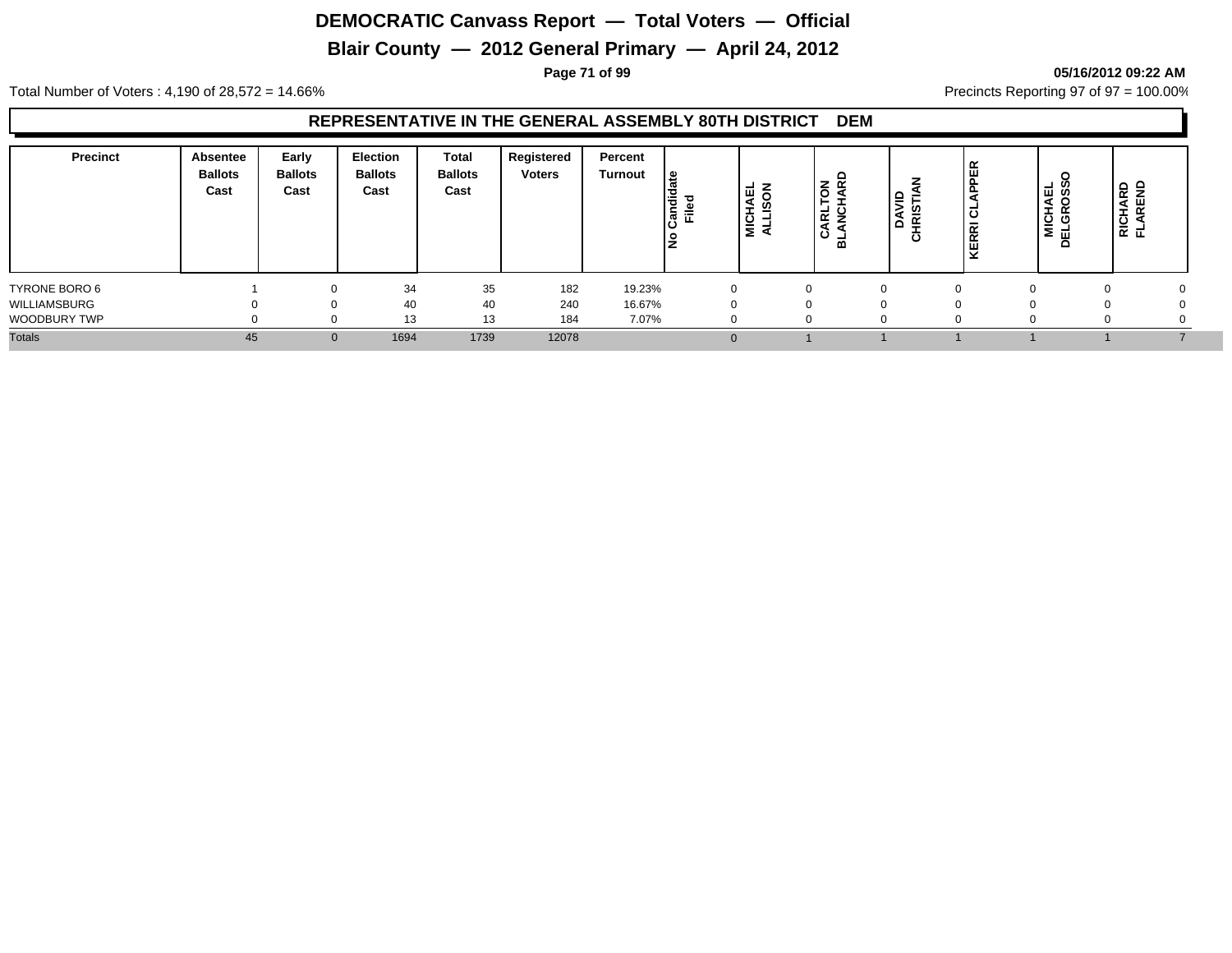# **Blair County — 2012 General Primary — April 24, 2012**

**Page 71 of 99 05/16/2012 09:22 AM**

Total Number of Voters : 4,190 of 28,572 = 14.66% Precincts Reporting 97 of 97 = 100.00%

#### **REPRESENTATIVE IN THE GENERAL ASSEMBLY 80TH DISTRICT DEM**

| <b>Precinct</b> | Absentee<br><b>Ballots</b><br>Cast | Early<br><b>Ballots</b><br>Cast | <b>Election</b><br><b>Ballots</b><br>Cast | Total<br><b>Ballots</b><br>Cast | Registered<br><b>Voters</b> | Percent<br><b>Turnout</b> | ு<br>Candid<br>Filed<br>١£ | —<br>MICHAEL<br>ALLISON | $\overline{\sigma}$ $\overline{\sigma}$<br>►<br>ARL'<br>Ö<br>$\overline{m}$ | ≘ | $\tilde{}$<br>$\sim$<br>× | AEL<br>OSS<br>NICH<br>ELGR<br>≏ | <b>RICHARD<br/>FLAREND</b> |
|-----------------|------------------------------------|---------------------------------|-------------------------------------------|---------------------------------|-----------------------------|---------------------------|----------------------------|-------------------------|-----------------------------------------------------------------------------|---|---------------------------|---------------------------------|----------------------------|
| TYRONE BORO 6   |                                    |                                 | 34                                        | 35                              | 182                         | 19.23%                    | $\Omega$                   |                         |                                                                             |   |                           |                                 |                            |
| WILLIAMSBURG    |                                    |                                 | 40                                        | 40                              | 240                         | 16.67%                    |                            |                         |                                                                             |   |                           |                                 |                            |
| WOODBURY TWP    |                                    |                                 | 13                                        | 13                              | 184                         | 7.07%                     |                            |                         |                                                                             |   |                           |                                 |                            |
| <b>Totals</b>   | 45                                 | $\mathbf{0}$                    | 1694                                      | 1739                            | 12078                       |                           |                            |                         |                                                                             |   |                           |                                 |                            |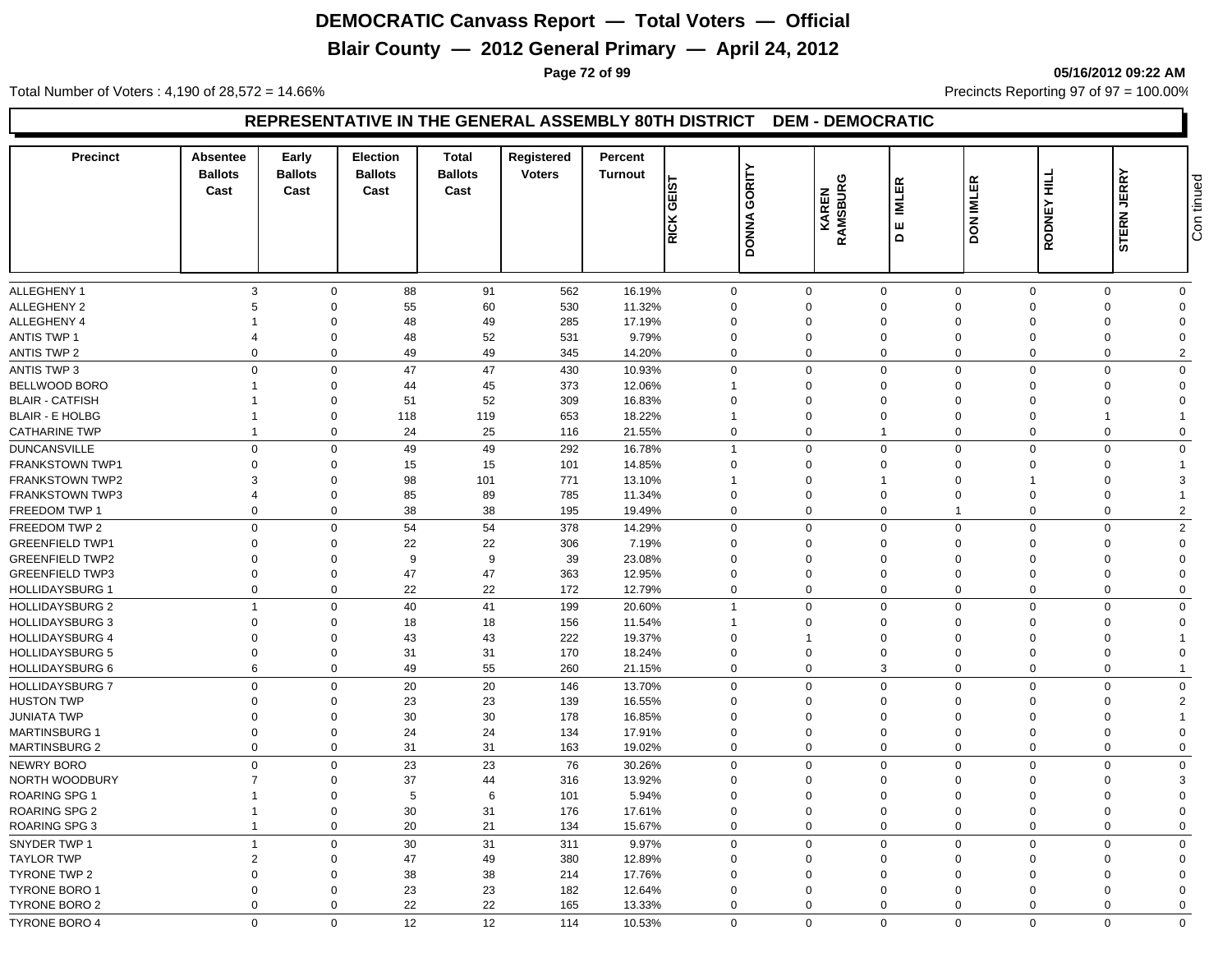# **Blair County — 2012 General Primary — April 24, 2012**

**Page 72 of 99 05/16/2012 09:22 AM**

Total Number of Voters : 4,190 of 28,572 = 14.66% Precincts Reporting 97 of 97 = 100.00%

#### **REPRESENTATIVE IN THE GENERAL ASSEMBLY 80TH DISTRICT DEM - DEMOCRATIC**

| <b>Precinct</b>        | Absentee<br><b>Ballots</b><br>Cast | Early<br><b>Ballots</b><br>Cast | <b>Election</b><br><b>Ballots</b><br>Cast | <b>Total</b><br><b>Ballots</b><br>Cast | Registered<br><b>Voters</b> | Percent<br><b>Turnout</b> | <b>GEIST</b><br><b>RICK</b> | GORITY<br><b>DONNA</b> | RAMSBURG<br>KAREN          | 띥<br>Ē<br>ш<br>$\mathbf{\Omega}$ | DON IMLER                     | RODNEY HILL          | <b>JERRY</b><br><b>STERN</b> | Con tinued              |
|------------------------|------------------------------------|---------------------------------|-------------------------------------------|----------------------------------------|-----------------------------|---------------------------|-----------------------------|------------------------|----------------------------|----------------------------------|-------------------------------|----------------------|------------------------------|-------------------------|
| <b>ALLEGHENY 1</b>     | 3                                  | $\mathbf 0$                     |                                           |                                        |                             |                           |                             |                        |                            |                                  |                               | $\mathbf 0$          | $\Omega$                     |                         |
| <b>ALLEGHENY 2</b>     | 5                                  | $\mathbf 0$                     | 88<br>55                                  | 91<br>60                               | 562<br>530                  | 16.19%<br>11.32%          | 0<br>$\Omega$               |                        | $\mathbf 0$<br>$\mathbf 0$ | $\mathbf 0$<br>$\mathbf 0$       | $\mathbf 0$<br>$\overline{0}$ | $\Omega$             | $\Omega$                     | $\mathbf 0$<br>$\Omega$ |
| ALLEGHENY 4            |                                    | $\mathbf 0$                     | 48                                        | 49                                     | 285                         | 17.19%                    | $\mathbf 0$                 |                        | $\mathbf 0$                | $\mathbf 0$                      | $\Omega$                      | $\Omega$             | $\Omega$                     | $\Omega$                |
| <b>ANTIS TWP 1</b>     | $\overline{4}$                     | $\mathbf 0$                     | 48                                        | 52                                     | 531                         | 9.79%                     | $\mathbf 0$                 |                        | $\mathbf 0$                | $\mathbf 0$                      | $\overline{0}$                | $\Omega$             | $\Omega$                     | $\Omega$                |
| <b>ANTIS TWP 2</b>     | $\Omega$                           | $\mathbf 0$                     | 49                                        | 49                                     | 345                         | 14.20%                    | $\mathbf 0$                 |                        | $\mathbf 0$                | $\mathbf 0$                      | $\overline{0}$                | $\Omega$             | $\Omega$                     | $\overline{2}$          |
|                        |                                    |                                 |                                           |                                        |                             |                           |                             |                        |                            |                                  |                               |                      |                              |                         |
| <b>ANTIS TWP 3</b>     | $\Omega$                           | $\mathbf 0$                     | 47                                        | 47                                     | 430                         | 10.93%                    | $\mathbf 0$                 |                        | $\mathbf 0$                | $\mathbf 0$                      | $\mathbf 0$                   | $\Omega$             | $\Omega$                     | $\overline{0}$          |
| BELLWOOD BORO          |                                    | $\mathbf 0$                     | 44                                        | 45                                     | 373                         | 12.06%                    | $\mathbf{1}$                |                        | $\mathbf 0$                | $\mathbf 0$                      | $\overline{0}$                | $\Omega$             | $\Omega$                     | $\Omega$<br>$\Omega$    |
| <b>BLAIR - CATFISH</b> |                                    | $\mathbf 0$                     | 51                                        | 52                                     | 309                         | 16.83%                    | $\mathbf 0$                 |                        | $\mathbf 0$                | $\mathbf 0$                      | $\overline{0}$                | $\Omega$<br>$\Omega$ | $\Omega$                     |                         |
| <b>BLAIR - E HOLBG</b> |                                    | $\mathbf 0$                     | 118                                       | 119                                    | 653                         | 18.22%                    | $\mathbf{1}$                |                        | $\mathbf 0$                | $\mathsf 0$                      | $\overline{0}$                |                      |                              |                         |
| <b>CATHARINE TWP</b>   | $\overline{1}$                     | $\mathbf 0$                     | 24                                        | 25                                     | 116                         | 21.55%                    | $\pmb{0}$                   |                        | $\boldsymbol{0}$           | $\mathbf{1}$                     | $\mathbf 0$                   | $\mathbf 0$          | $\Omega$                     | $\overline{0}$          |
| <b>DUNCANSVILLE</b>    | $\mathbf 0$                        | $\mathbf 0$                     | 49                                        | 49                                     | 292                         | 16.78%                    | $\overline{1}$              |                        | $\mathbf 0$                | $\mathbf 0$                      | $\mathbf 0$                   | $\Omega$             | $\Omega$                     | $\mathbf 0$             |
| <b>FRANKSTOWN TWP1</b> | $\Omega$                           | $\mathbf 0$                     | 15                                        | 15                                     | 101                         | 14.85%                    | $\Omega$                    |                        | $\Omega$                   | $\mathbf 0$                      | $\Omega$                      | $\Omega$             | $\Omega$                     |                         |
| <b>FRANKSTOWN TWP2</b> | 3                                  | $\mathbf 0$                     | 98                                        | 101                                    | 771                         | 13.10%                    | -1                          |                        | 0                          | $\mathbf{1}$                     | $\Omega$                      |                      | $\Omega$                     | 3                       |
| <b>FRANKSTOWN TWP3</b> | $\overline{\mathcal{A}}$           | $\mathbf 0$                     | 85                                        | 89                                     | 785                         | 11.34%                    | $\mathbf 0$                 |                        | $\mathbf 0$                | $\mathsf 0$                      | $\mathbf 0$                   | $\Omega$             | $\Omega$                     | $\overline{1}$          |
| FREEDOM TWP 1          | $\Omega$                           | $\mathbf 0$                     | 38                                        | 38                                     | 195                         | 19.49%                    | $\mathbf 0$                 |                        | $\mathbf 0$                | $\mathbf 0$                      | $\overline{1}$                | $\Omega$             | $\Omega$                     | $\overline{c}$          |
| FREEDOM TWP 2          | $\mathbf 0$                        | $\mathbf 0$                     | 54                                        | 54                                     | 378                         | 14.29%                    | $\Omega$                    |                        | $\mathbf 0$                | $\mathbf 0$                      | $\mathbf 0$                   | $\mathbf 0$          | $\Omega$                     | 2                       |
| <b>GREENFIELD TWP1</b> | $\Omega$                           | $\mathbf 0$                     | 22                                        | 22                                     | 306                         | 7.19%                     | $\mathbf 0$                 |                        | $\mathbf 0$                | $\mathbf 0$                      | $\Omega$                      | $\Omega$             | $\Omega$                     | $\Omega$                |
| <b>GREENFIELD TWP2</b> | $\Omega$                           | $\Omega$                        | 9                                         | 9                                      | 39                          | 23.08%                    | $\Omega$                    |                        | $\Omega$                   | $\mathbf 0$                      | $\Omega$                      | $\Omega$             | $\Omega$                     | $\Omega$                |
| <b>GREENFIELD TWP3</b> | $\Omega$                           | $\mathbf 0$                     | 47                                        | 47                                     | 363                         | 12.95%                    | $\Omega$                    |                        | $\mathbf 0$                | $\mathbf 0$                      | $\overline{0}$                | $\Omega$             | $\Omega$                     | $\Omega$                |
| <b>HOLLIDAYSBURG 1</b> | $\Omega$                           | $\mathbf 0$                     | 22                                        | 22                                     | 172                         | 12.79%                    | $\Omega$                    |                        | $\mathbf 0$                | $\mathbf 0$                      | $\mathbf 0$                   | $\Omega$             | $\Omega$                     | $\mathbf 0$             |
| <b>HOLLIDAYSBURG 2</b> | $\overline{1}$                     | $\mathbf 0$                     | 40                                        | 41                                     | 199                         | 20.60%                    | $\mathbf{1}$                |                        | $\mathbf 0$                | $\mathbf 0$                      | $\overline{0}$                | $\Omega$             | $\Omega$                     | $\mathbf 0$             |
| <b>HOLLIDAYSBURG 3</b> | $\Omega$                           | $\mathbf 0$                     | 18                                        | 18                                     | 156                         | 11.54%                    | $\mathbf{1}$                |                        | $\mathbf 0$                | $\mathbf 0$                      | $\Omega$                      | $\Omega$             | $\Omega$                     | $\Omega$                |
| HOLLIDAYSBURG 4        | $\Omega$                           | $\mathbf 0$                     | 43                                        | 43                                     | 222                         | 19.37%                    | $\mathbf 0$                 |                        |                            | $\mathbf 0$                      | $\overline{0}$                | $\Omega$             | $\Omega$                     |                         |
| <b>HOLLIDAYSBURG 5</b> | $\Omega$                           | $\mathbf 0$                     | 31                                        | 31                                     | 170                         | 18.24%                    | $\Omega$                    |                        | $\mathbf 0$                | $\mathbf 0$                      | $\overline{0}$                | $\Omega$             | $\Omega$                     | $\Omega$                |
| <b>HOLLIDAYSBURG 6</b> | 6                                  | $\mathbf 0$                     | 49                                        | 55                                     | 260                         | 21.15%                    | $\Omega$                    |                        | $\mathbf 0$                | 3                                | $\mathbf 0$                   | $\mathbf 0$          | $\mathbf{0}$                 | $\overline{1}$          |
| <b>HOLLIDAYSBURG 7</b> | $\Omega$                           | $\mathbf 0$                     | 20                                        | 20                                     | 146                         | 13.70%                    | $\mathbf 0$                 |                        | $\mathbf 0$                | $\mathbf 0$                      | $\mathbf 0$                   | $\mathbf 0$          | $\mathbf 0$                  | $\mathbf 0$             |
| <b>HUSTON TWP</b>      | $\Omega$                           | $\mathbf 0$                     | 23                                        | 23                                     | 139                         | 16.55%                    | $\mathbf 0$                 |                        | $\mathbf 0$                | $\mathbf 0$                      | $\overline{0}$                | $\Omega$             | $\Omega$                     | $\overline{2}$          |
| <b>JUNIATA TWP</b>     | $\Omega$                           | $\mathbf 0$                     | 30                                        | 30                                     | 178                         | 16.85%                    | $\Omega$                    |                        | $\mathbf 0$                | $\mathbf 0$                      | $\overline{0}$                | $\Omega$             | $\Omega$                     |                         |
| <b>MARTINSBURG 1</b>   | $\Omega$                           | $\mathbf 0$                     | 24                                        | 24                                     | 134                         | 17.91%                    | $\mathbf 0$                 |                        | $\mathbf 0$                | $\mathbf 0$                      | $\overline{0}$                | $\Omega$             | $\Omega$                     | $\Omega$                |
| <b>MARTINSBURG 2</b>   | $\mathbf 0$                        | $\mathbf 0$                     | 31                                        | 31                                     | 163                         | 19.02%                    | 0                           |                        | $\mathbf 0$                | $\mathbf 0$                      | $\mathbf 0$                   | $\mathbf 0$          | $\mathbf{0}$                 | $\mathbf 0$             |
| NEWRY BORO             | $\mathbf 0$                        | $\mathbf 0$                     | 23                                        | 23                                     | 76                          | 30.26%                    | $\mathbf 0$                 |                        | $\mathbf 0$                | $\mathbf 0$                      | $\overline{0}$                | $\Omega$             | $\Omega$                     | $\mathbf{0}$            |
| <b>NORTH WOODBURY</b>  | $\overline{7}$                     | 0                               | 37                                        | 44                                     | 316                         | 13.92%                    | $\Omega$                    |                        | $\Omega$                   | $\mathbf 0$                      | $\Omega$                      | $\Omega$             | $\Omega$                     | 3                       |
| <b>ROARING SPG 1</b>   |                                    | $\mathbf 0$                     | $5\phantom{.0}$                           | 6                                      | 101                         | 5.94%                     | $\Omega$                    |                        | $\mathbf 0$                | $\mathbf 0$                      | $\Omega$                      | $\Omega$             | $\Omega$                     | $\Omega$                |
| <b>ROARING SPG 2</b>   | $\mathbf 1$                        | $\mathbf 0$                     | 30                                        | 31                                     | 176                         | 17.61%                    | $\Omega$                    |                        | $\mathbf 0$                | $\mathsf 0$                      | $\mathbf 0$                   | $\Omega$             | $\Omega$                     | $\Omega$                |
| <b>ROARING SPG 3</b>   | $\overline{1}$                     | $\mathbf 0$                     | 20                                        | 21                                     | 134                         | 15.67%                    | 0                           |                        | $\mathbf 0$                | $\mathbf 0$                      | $\mathbf 0$                   | $\mathbf 0$          | 0                            | $\mathbf 0$             |
| SNYDER TWP 1           | $\overline{1}$                     | $\mathbf 0$                     | 30                                        | 31                                     | 311                         | 9.97%                     | $\Omega$                    |                        | $\mathbf 0$                | $\mathbf 0$                      | $\overline{0}$                | $\Omega$             | $\Omega$                     | $\mathbf 0$             |
| <b>TAYLOR TWP</b>      | $\overline{2}$                     | $\mathbf 0$                     | 47                                        | 49                                     | 380                         | 12.89%                    | $\Omega$                    |                        | $\mathbf 0$                | $\mathbf 0$                      | $\Omega$                      | $\Omega$             | $\Omega$                     | $\Omega$                |
| <b>TYRONE TWP 2</b>    | $\Omega$                           | $\mathbf 0$                     | 38                                        | 38                                     | 214                         | 17.76%                    | $\Omega$                    |                        | $\Omega$                   | $\mathbf 0$                      | $\Omega$                      | $\Omega$             | $\Omega$                     | $\Omega$                |
| <b>TYRONE BORO 1</b>   | $\Omega$                           | $\mathbf 0$                     | 23                                        | 23                                     | 182                         | 12.64%                    | $\Omega$                    |                        | $\mathbf 0$                | $\mathbf 0$                      | $\Omega$                      | $\Omega$             | $\Omega$                     | $\Omega$                |
| <b>TYRONE BORO 2</b>   | $\Omega$                           | $\mathbf 0$                     | 22                                        | 22                                     | 165                         | 13.33%                    | $\mathbf 0$                 |                        | $\mathbf 0$                | $\mathbf 0$                      | $\Omega$                      | $\Omega$             | $\Omega$                     | $\Omega$                |
| <b>TYRONE BORO 4</b>   | $\Omega$                           | $\Omega$                        | 12                                        | 12                                     | 114                         | 10.53%                    | $\Omega$                    |                        | $\Omega$                   | $\Omega$                         | $\Omega$                      | $\Omega$             | $\Omega$                     | $\Omega$                |
|                        |                                    |                                 |                                           |                                        |                             |                           |                             |                        |                            |                                  |                               |                      |                              |                         |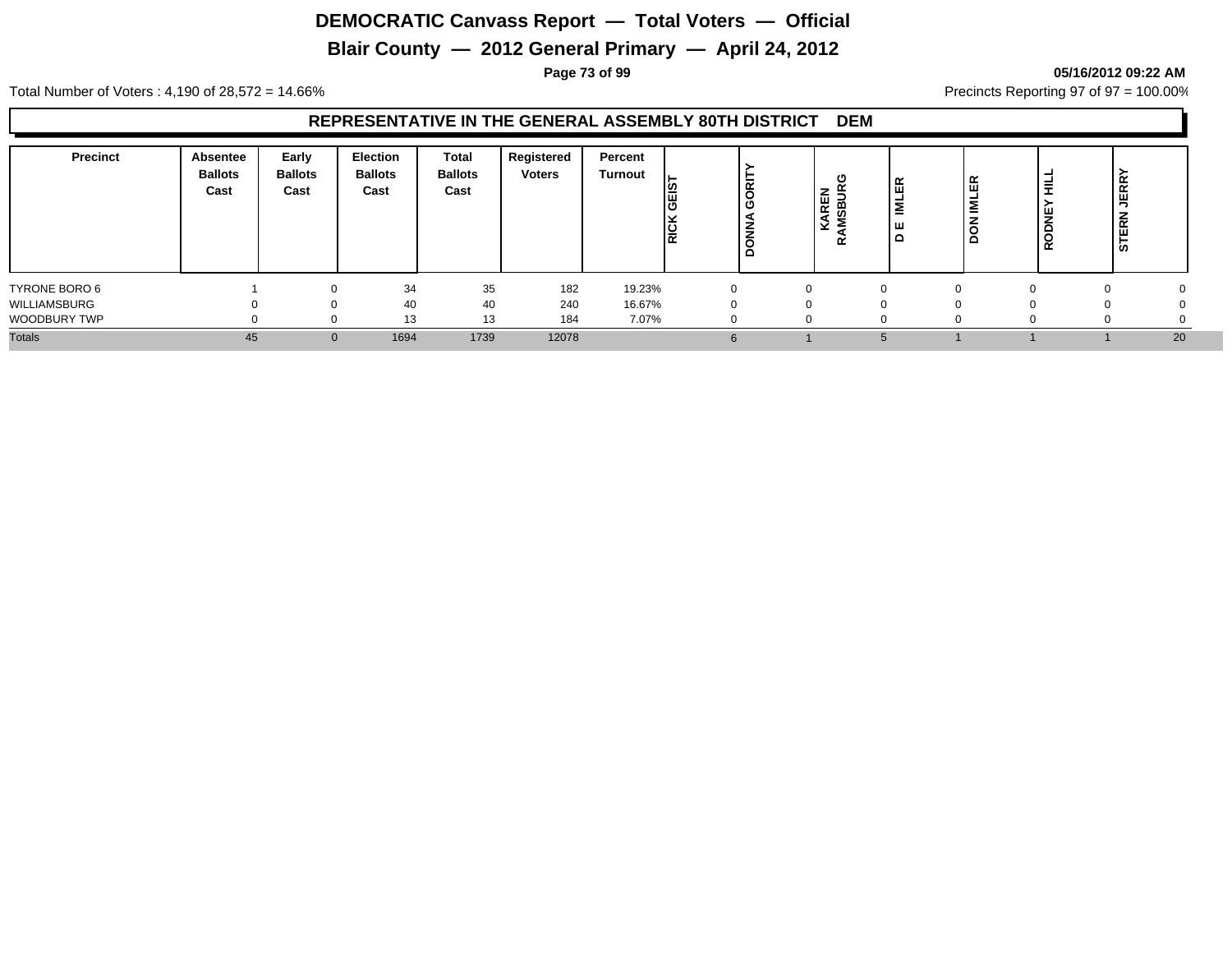# **Blair County — 2012 General Primary — April 24, 2012**

**Page 73 of 99 05/16/2012 09:22 AM**

Total Number of Voters : 4,190 of 28,572 = 14.66% Precincts Reporting 97 of 97 = 100.00%

#### **REPRESENTATIVE IN THE GENERAL ASSEMBLY 80TH DISTRICT DEM**

| <b>Precinct</b> | Absentee<br><b>Ballots</b><br>Cast | Early<br><b>Ballots</b><br>Cast | <b>Election</b><br><b>Ballots</b><br>Cast | Total<br><b>Ballots</b><br>Cast | Registered<br><b>Voters</b> | Percent<br><b>Turnout</b> | <b>SEIS</b><br><b>RICK</b> | ξ<br>۱Ž  | O<br>$\overline{\phantom{0}}$<br>▰<br>ш<br>$\alpha$<br>ø<br>٩<br>v<br>≃ | 띥<br>=<br>ш<br>≏ | 띥<br>İΣ | ≢<br>ž<br>≍<br>ะ | <b>JERR</b><br><b>STERN</b> |
|-----------------|------------------------------------|---------------------------------|-------------------------------------------|---------------------------------|-----------------------------|---------------------------|----------------------------|----------|-------------------------------------------------------------------------|------------------|---------|------------------|-----------------------------|
| TYRONE BORO 6   |                                    |                                 | 34                                        | 35                              | 182                         | 19.23%                    | $\Omega$                   | $\Omega$ |                                                                         |                  |         |                  | $\Omega$                    |
| WILLIAMSBURG    |                                    |                                 | 40                                        | 40                              | 240                         | 16.67%                    |                            | 0        |                                                                         |                  |         |                  |                             |
| WOODBURY TWP    |                                    |                                 | 13                                        | 13                              | 184                         | 7.07%                     |                            | 0        |                                                                         |                  |         |                  |                             |
| <b>Totals</b>   | 45                                 |                                 | 1694                                      | 1739                            | 12078                       |                           |                            |          |                                                                         |                  |         |                  | 20                          |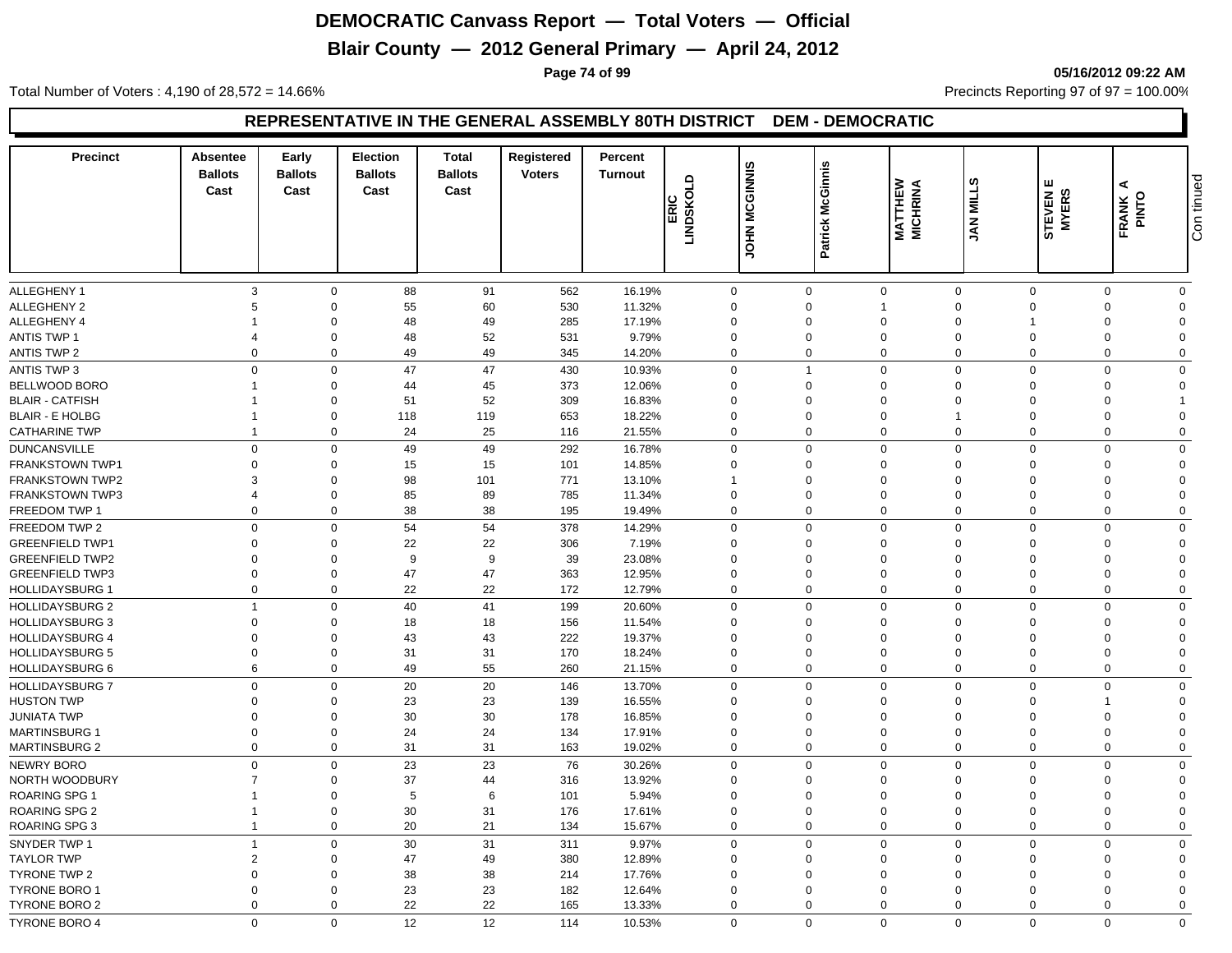# **Blair County — 2012 General Primary — April 24, 2012**

**Page 74 of 99 05/16/2012 09:22 AM**

Total Number of Voters : 4,190 of 28,572 = 14.66% Precincts Reporting 97 of 97 = 100.00%

#### **REPRESENTATIVE IN THE GENERAL ASSEMBLY 80TH DISTRICT DEM - DEMOCRATIC**

| <b>Precinct</b>                                  | Absentee<br><b>Ballots</b><br>Cast | Early<br><b>Ballots</b><br>Cast | <b>Election</b><br><b>Ballots</b><br>Cast | <b>Total</b><br><b>Ballots</b><br>Cast | Registered<br><b>Voters</b> | Percent<br><b>Turnout</b> | LINDSKOLD<br>LINDSKOLD | <b>MCGINNIS</b><br><b>NHOL</b> | Patrick McGinnis        | <b>MATTHEW<br/>MICHRINA</b> | ဖာ<br><b>JAN MILL</b>    | STEVEN E<br>MYERS    | ⋖<br>FRANK           | Con tinued              |
|--------------------------------------------------|------------------------------------|---------------------------------|-------------------------------------------|----------------------------------------|-----------------------------|---------------------------|------------------------|--------------------------------|-------------------------|-----------------------------|--------------------------|----------------------|----------------------|-------------------------|
| <b>ALLEGHENY 1</b>                               | 3                                  | $\mathbf 0$                     | 88                                        | 91                                     | 562                         | 16.19%                    | $\mathbf 0$            |                                | $\mathbf 0$             | $\mathbf 0$                 | $\mathbf 0$              | $\mathbf 0$          | $\Omega$             | $\mathbf 0$             |
| <b>ALLEGHENY 2</b>                               | 5                                  | $\mathbf 0$                     | 55                                        | 60                                     | 530                         | 11.32%                    | $\Omega$               |                                | $\mathbf 0$             | $\mathbf{1}$                | $\overline{0}$           | $\Omega$             | $\Omega$             | $\Omega$                |
| ALLEGHENY 4                                      |                                    | $\mathbf 0$                     | 48                                        | 49                                     | 285                         | 17.19%                    | $\mathbf 0$            |                                | $\mathbf 0$             | $\mathbf 0$                 | $\overline{0}$           |                      | $\Omega$             | $\Omega$                |
| <b>ANTIS TWP 1</b>                               | $\overline{4}$                     | $\mathbf 0$                     | 48                                        | 52                                     | 531                         | 9.79%                     | $\mathbf 0$            |                                | $\mathbf 0$             | $\mathbf 0$                 | $\overline{0}$           | $\Omega$             | $\Omega$             | $\Omega$                |
| <b>ANTIS TWP 2</b>                               | $\Omega$                           | $\mathbf 0$                     | 49                                        | 49                                     | 345                         | 14.20%                    | $\mathbf 0$            |                                | $\mathbf 0$             | $\mathbf 0$                 | $\overline{0}$           | $\Omega$             | $\Omega$             | $\Omega$                |
| <b>ANTIS TWP 3</b>                               | $\Omega$                           | $\mathbf 0$                     | 47                                        | 47                                     | 430                         | 10.93%                    | $\mathbf 0$            |                                | $\overline{1}$          | $\mathbf 0$                 | $\mathbf 0$              | $\Omega$             | $\Omega$             | $\overline{0}$          |
| BELLWOOD BORO                                    |                                    | $\mathbf 0$                     | 44                                        | 45                                     | 373                         | 12.06%                    | $\mathbf 0$            |                                | $\mathbf 0$             | $\mathbf 0$                 | $\overline{0}$           | $\Omega$             | $\Omega$             | $\Omega$                |
| <b>BLAIR - CATFISH</b>                           |                                    | $\mathbf 0$                     | 51                                        | 52                                     | 309                         | 16.83%                    | $\mathbf 0$            |                                | $\mathbf 0$             | $\mathbf 0$                 | $\overline{0}$           | $\Omega$             | $\Omega$             |                         |
| <b>BLAIR - E HOLBG</b>                           |                                    | $\mathbf 0$                     | 118                                       | 119                                    | 653                         | 18.22%                    | $\mathbf 0$            |                                | $\mathbf 0$             | $\mathbf 0$                 | $\overline{\mathbf{1}}$  | $\Omega$             | $\Omega$             | $\Omega$                |
| <b>CATHARINE TWP</b>                             | $\overline{1}$                     | $\mathbf 0$                     | 24                                        | 25                                     | 116                         | 21.55%                    | $\mathbf 0$            |                                | $\mathbf 0$             | $\mathbf 0$                 | $\mathbf 0$              | $\mathbf 0$          | $\Omega$             | $\overline{0}$          |
|                                                  |                                    |                                 |                                           |                                        |                             |                           |                        |                                |                         |                             |                          |                      |                      |                         |
| <b>DUNCANSVILLE</b>                              | $\mathbf 0$<br>$\Omega$            | $\mathbf 0$                     | 49                                        | 49                                     | 292                         | 16.78%                    | $\Omega$<br>$\Omega$   |                                | $\mathbf 0$<br>$\Omega$ | $\mathbf 0$                 | $\mathbf{0}$<br>$\Omega$ | $\Omega$             | $\Omega$<br>$\Omega$ | $\mathbf 0$<br>$\Omega$ |
| <b>FRANKSTOWN TWP1</b><br><b>FRANKSTOWN TWP2</b> | 3                                  | $\mathbf 0$<br>$\mathbf 0$      | 15<br>98                                  | 15<br>101                              | 101<br>771                  | 14.85%<br>13.10%          | -1                     |                                |                         | $\mathbf 0$<br>$\mathbf 0$  | $\Omega$                 | $\Omega$<br>$\Omega$ | $\Omega$             | $\Omega$                |
| <b>FRANKSTOWN TWP3</b>                           | $\overline{\mathcal{A}}$           | $\mathbf 0$                     | 85                                        | 89                                     | 785                         |                           | $\mathbf 0$            |                                | 0<br>$\mathbf 0$        | $\mathbf 0$                 | $\overline{0}$           | $\Omega$             | $\Omega$             | $\Omega$                |
| FREEDOM TWP 1                                    | $\Omega$                           | $\mathbf 0$                     | 38                                        | 38                                     | 195                         | 11.34%<br>19.49%          | $\mathbf 0$            |                                | $\mathbf 0$             | $\mathbf 0$                 | $\overline{0}$           | $\Omega$             | $\Omega$             | $\mathbf 0$             |
|                                                  |                                    |                                 |                                           |                                        |                             |                           | $\Omega$               |                                |                         |                             |                          |                      |                      |                         |
| FREEDOM TWP 2                                    | $\mathbf 0$<br>$\Omega$            | $\mathbf 0$                     | 54                                        | 54                                     | 378                         | 14.29%                    |                        |                                | $\mathbf 0$             | $\mathbf 0$                 | $\mathbf 0$              | $\mathbf 0$          | $\Omega$<br>$\Omega$ | $\mathbf 0$<br>$\Omega$ |
| <b>GREENFIELD TWP1</b>                           | $\Omega$                           | $\mathbf 0$<br>$\Omega$         | 22                                        | 22<br>9                                | 306                         | 7.19%                     | $\mathbf 0$            |                                | $\mathbf 0$             | $\mathbf 0$                 | $\Omega$<br>$\Omega$     | $\Omega$             |                      |                         |
| <b>GREENFIELD TWP2</b>                           | $\Omega$                           | $\mathbf 0$                     | 9                                         |                                        | 39                          | 23.08%                    | $\Omega$               |                                | $\Omega$                | $\mathbf 0$                 | $\overline{0}$           | $\Omega$<br>$\Omega$ | $\Omega$<br>$\Omega$ | $\Omega$                |
| <b>GREENFIELD TWP3</b>                           | $\Omega$                           | $\mathbf 0$                     | 47<br>22                                  | 47<br>22                               | 363<br>172                  | 12.95%                    | $\Omega$<br>$\Omega$   |                                | 0<br>$\mathbf 0$        | $\mathbf 0$<br>$\mathbf 0$  | $\mathbf 0$              | $\Omega$             | $\Omega$             | $\Omega$<br>$\mathbf 0$ |
| <b>HOLLIDAYSBURG 1</b>                           |                                    |                                 |                                           |                                        |                             | 12.79%                    |                        |                                |                         |                             |                          |                      |                      |                         |
| <b>HOLLIDAYSBURG 2</b>                           | $\overline{1}$                     | $\mathbf 0$                     | 40                                        | 41                                     | 199                         | 20.60%                    | 0                      |                                | $\mathbf 0$             | $\mathbf 0$                 | $\overline{0}$           | $\Omega$             | $\Omega$             | $\mathbf 0$             |
| <b>HOLLIDAYSBURG 3</b>                           | $\Omega$                           | $\mathbf 0$                     | 18                                        | 18                                     | 156                         | 11.54%                    | $\mathbf 0$            |                                | $\mathbf 0$             | $\mathbf 0$                 | $\Omega$                 | $\Omega$             | $\Omega$             | $\Omega$                |
| HOLLIDAYSBURG 4                                  | $\Omega$                           | $\mathbf 0$                     | 43                                        | 43                                     | 222                         | 19.37%                    | $\mathbf 0$            |                                | $\mathbf 0$             | $\mathbf 0$                 | $\overline{0}$           | $\Omega$             | $\Omega$             | $\Omega$                |
| <b>HOLLIDAYSBURG 5</b>                           | $\Omega$                           | $\mathbf 0$                     | 31                                        | 31                                     | 170                         | 18.24%                    | $\Omega$               |                                | $\mathbf 0$             | $\mathbf 0$                 | $\overline{0}$           | $\Omega$             | $\Omega$             | $\Omega$                |
| <b>HOLLIDAYSBURG 6</b>                           | 6                                  | $\mathbf 0$                     | 49                                        | 55                                     | 260                         | 21.15%                    | $\Omega$               |                                | $\mathbf 0$             | $\mathbf 0$                 | $\mathbf{0}$             | $\mathbf 0$          | $\mathbf{0}$         | $\mathbf 0$             |
| <b>HOLLIDAYSBURG 7</b>                           | $\Omega$                           | $\mathbf 0$                     | 20                                        | 20                                     | 146                         | 13.70%                    | $\mathbf 0$            |                                | $\mathbf 0$             | $\mathbf 0$                 | $\mathbf 0$              | $\Omega$             | $\mathbf 0$          | $\mathbf 0$             |
| <b>HUSTON TWP</b>                                | $\Omega$                           | $\mathbf 0$                     | 23                                        | 23                                     | 139                         | 16.55%                    | $\mathbf 0$            |                                | $\mathbf 0$             | $\mathbf 0$                 | $\overline{0}$           | $\Omega$             |                      | $\Omega$                |
| <b>JUNIATA TWP</b>                               | $\Omega$                           | $\mathbf 0$                     | 30                                        | 30                                     | 178                         | 16.85%                    | $\Omega$               |                                | $\mathbf 0$             | $\mathbf 0$                 | $\overline{0}$           | $\Omega$             | $\Omega$             | $\Omega$                |
| <b>MARTINSBURG 1</b>                             | $\Omega$                           | $\mathbf 0$                     | 24                                        | 24                                     | 134                         | 17.91%                    | $\mathbf 0$            |                                | $\mathbf 0$             | $\mathbf 0$                 | $\overline{0}$           | $\Omega$             | $\Omega$             | $\Omega$                |
| <b>MARTINSBURG 2</b>                             | $\mathbf 0$                        | $\mathbf 0$                     | 31                                        | 31                                     | 163                         | 19.02%                    | 0                      |                                | $\mathbf 0$             | $\mathbf 0$                 | $\mathbf 0$              | $\mathbf 0$          | $\mathbf{0}$         | $\mathbf 0$             |
| NEWRY BORO                                       | $\mathbf 0$                        | $\mathbf 0$                     | 23                                        | 23                                     | 76                          | 30.26%                    | $\mathbf 0$            |                                | $\mathbf 0$             | $\mathbf 0$                 | $\overline{0}$           | $\Omega$             | $\Omega$             | $\mathbf{0}$            |
| <b>NORTH WOODBURY</b>                            | $\overline{7}$                     | 0                               | 37                                        | 44                                     | 316                         | 13.92%                    | $\Omega$               |                                | $\Omega$                | $\mathbf 0$                 | $\Omega$                 | $\Omega$             | $\Omega$             | $\Omega$                |
| <b>ROARING SPG 1</b>                             |                                    | $\mathbf 0$                     | $5\phantom{.0}$                           | 6                                      | 101                         | 5.94%                     | $\Omega$               |                                | $\Omega$                | $\mathbf 0$                 | $\Omega$                 | $\Omega$             | $\Omega$             | $\Omega$                |
| <b>ROARING SPG 2</b>                             | $\mathbf 1$                        | $\mathbf 0$                     | 30                                        | 31                                     | 176                         | 17.61%                    | $\Omega$               |                                | $\mathbf 0$             | $\mathsf 0$                 | $\mathbf 0$              | $\Omega$             | $\Omega$             | $\Omega$                |
| <b>ROARING SPG 3</b>                             | $\overline{1}$                     | $\mathbf 0$                     | 20                                        | 21                                     | 134                         | 15.67%                    | 0                      |                                | $\mathbf 0$             | $\mathbf 0$                 | $\mathbf 0$              | $\mathbf 0$          | 0                    | $\mathbf 0$             |
| SNYDER TWP 1                                     | $\overline{1}$                     | $\mathbf 0$                     | 30                                        | 31                                     | 311                         | 9.97%                     | $\Omega$               |                                | $\mathbf 0$             | $\mathbf 0$                 | $\overline{0}$           | $\Omega$             | $\Omega$             | $\mathbf 0$             |
| <b>TAYLOR TWP</b>                                | $\overline{2}$                     | $\mathbf 0$                     | 47                                        | 49                                     | 380                         | 12.89%                    | $\Omega$               |                                | $\mathbf 0$             | $\mathbf 0$                 | $\Omega$                 | $\Omega$             | $\Omega$             | $\Omega$                |
| <b>TYRONE TWP 2</b>                              | $\Omega$                           | $\mathbf 0$                     | 38                                        | 38                                     | 214                         | 17.76%                    | $\Omega$               |                                | $\Omega$                | $\mathbf 0$                 | $\Omega$                 | $\Omega$             | $\Omega$             | $\Omega$                |
| <b>TYRONE BORO 1</b>                             | $\Omega$                           | $\mathbf 0$                     | 23                                        | 23                                     | 182                         | 12.64%                    | $\Omega$               |                                | $\mathbf 0$             | $\mathbf 0$                 | $\Omega$                 | $\Omega$             | $\Omega$             | $\Omega$                |
| <b>TYRONE BORO 2</b>                             | $\Omega$                           | $\mathbf 0$                     | 22                                        | 22                                     | 165                         | 13.33%                    | $\mathbf{0}$           |                                | $\Omega$                | $\mathbf 0$                 | $\Omega$                 | $\Omega$             | $\Omega$             | $\Omega$                |
| <b>TYRONE BORO 4</b>                             | $\Omega$                           | $\Omega$                        | 12                                        | 12                                     | 114                         | 10.53%                    | $\Omega$               |                                | $\Omega$                | $\Omega$                    | $\Omega$                 | $\Omega$             | $\Omega$             | $\Omega$                |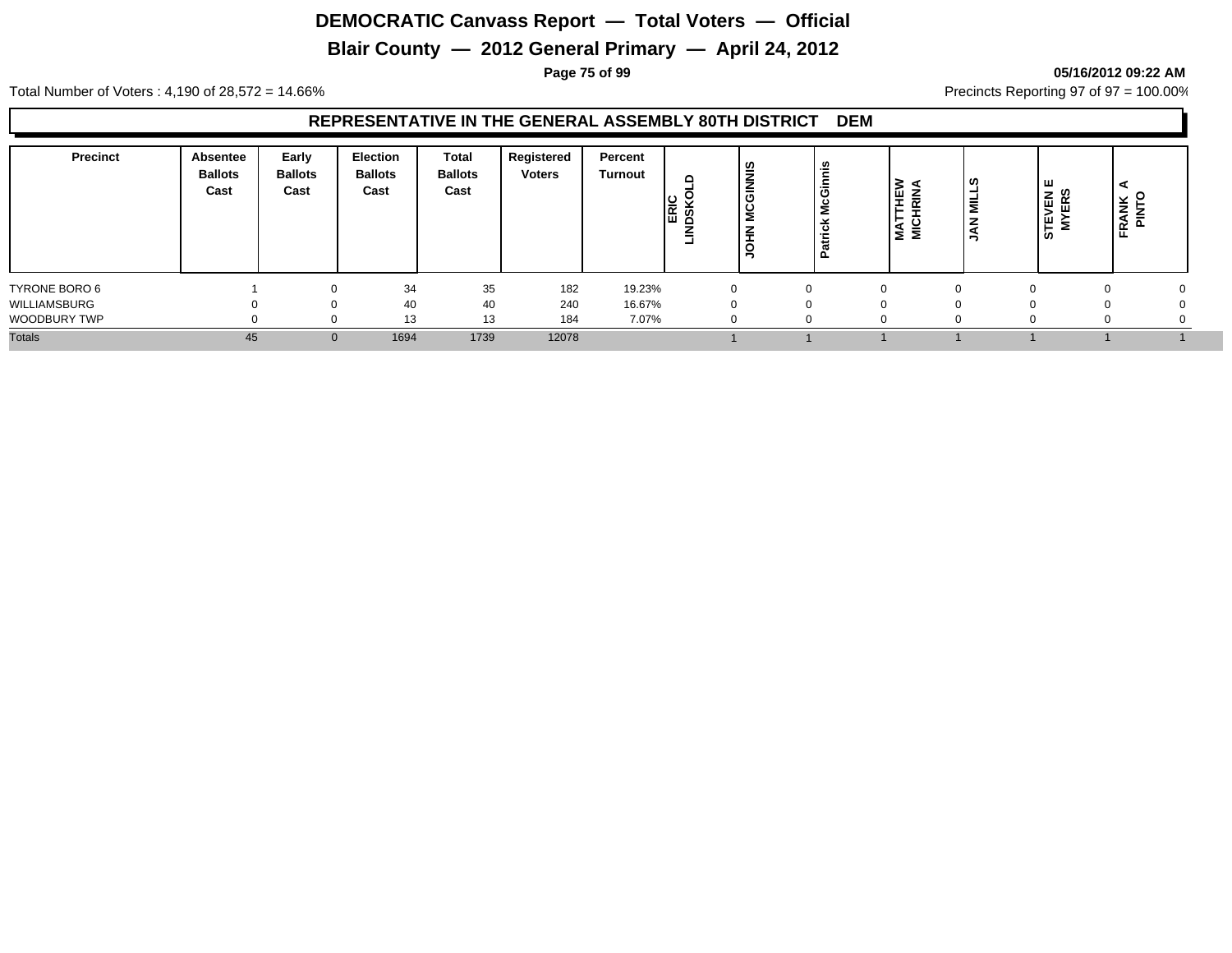# **Blair County — 2012 General Primary — April 24, 2012**

**Page 75 of 99 05/16/2012 09:22 AM**

Total Number of Voters : 4,190 of 28,572 = 14.66% Precincts Reporting 97 of 97 = 100.00%

#### **REPRESENTATIVE IN THE GENERAL ASSEMBLY 80TH DISTRICT DEM**

| <b>ERIC</b><br>DSKC<br>NE À<br>.≝<br>z<br>농<br>່ທ<br>۔۔<br>=<br>∍<br>Ð<br>-<br>œ |
|----------------------------------------------------------------------------------|
| TYRONE BORO 6<br>35<br>182<br>19.23%<br>34<br>$\Omega$                           |
| WILLIAMSBURG<br>40<br>240<br>16.67%<br>40<br>$\Omega$                            |
| WOODBURY TWP<br>13<br>13<br>184<br>7.07%                                         |
| <b>Totals</b><br>1739<br>12078<br>1694<br>45<br>$\mathbf{0}$                     |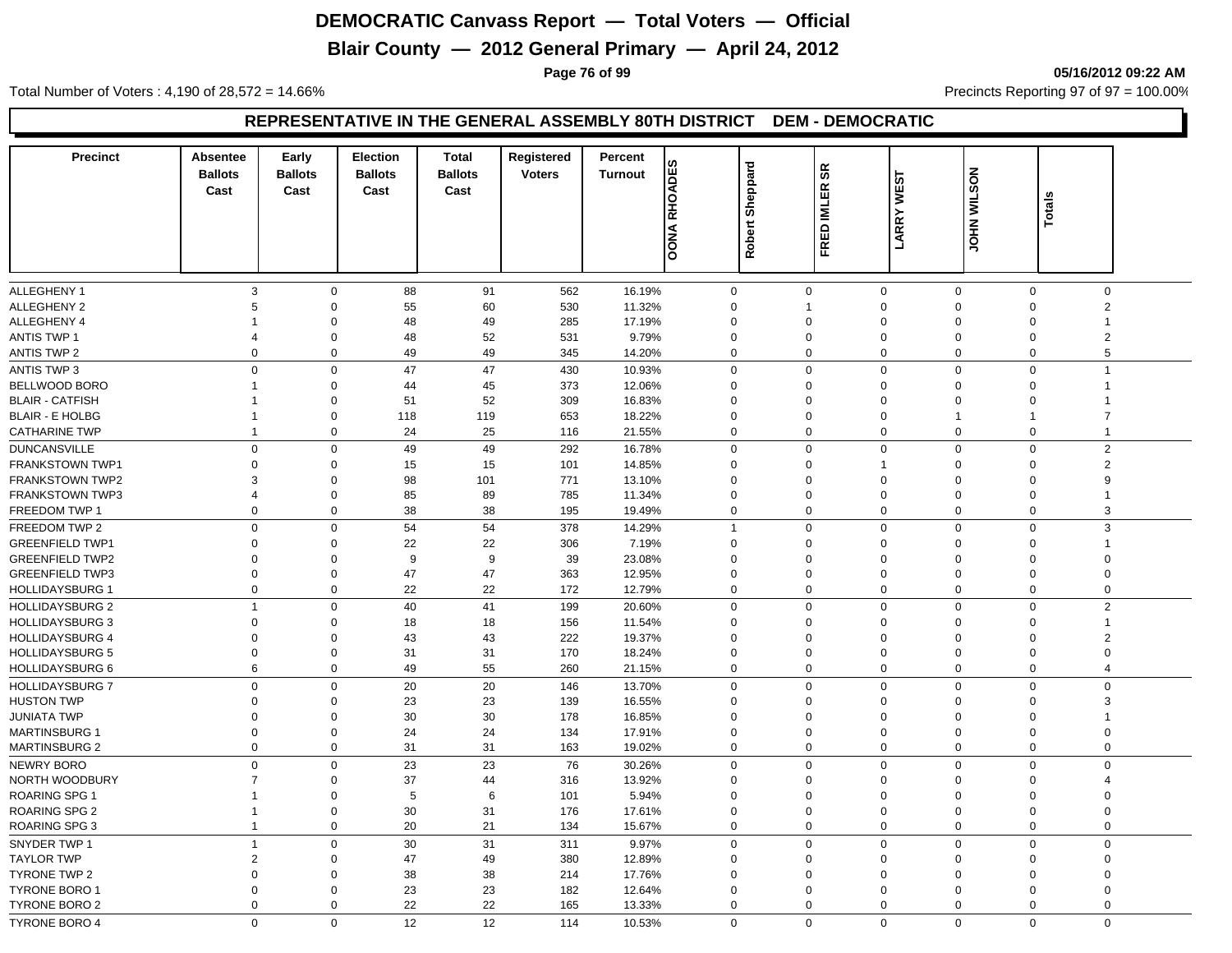# **Blair County — 2012 General Primary — April 24, 2012**

**Page 76 of 99 05/16/2012 09:22 AM**

Total Number of Voters : 4,190 of 28,572 = 14.66% Precincts Reporting 97 of 97 = 100.00%

#### **REPRESENTATIVE IN THE GENERAL ASSEMBLY 80TH DISTRICT DEM - DEMOCRATIC**

| <b>Precinct</b>                             | <b>Absentee</b> | Early          | <b>Election</b> | <b>Total</b>   | Registered    | Percent<br>ဖာ                   |                         |              |                   |                |             |                |
|---------------------------------------------|-----------------|----------------|-----------------|----------------|---------------|---------------------------------|-------------------------|--------------|-------------------|----------------|-------------|----------------|
|                                             | <b>Ballots</b>  | <b>Ballots</b> | <b>Ballots</b>  | <b>Ballots</b> | <b>Voters</b> | <b>RHOADE</b><br><b>Turnout</b> | Sheppard                | æ            |                   | JOHN WILSON    |             |                |
|                                             | Cast            | Cast           | Cast            | Cast           |               |                                 |                         | <b>IMLER</b> | <b>LARRY WEST</b> |                |             |                |
|                                             |                 |                |                 |                |               |                                 |                         |              |                   |                | Totals      |                |
|                                             |                 |                |                 |                |               | <b>OONA</b>                     | Robert                  | <b>FRED</b>  |                   |                |             |                |
|                                             |                 |                |                 |                |               |                                 |                         |              |                   |                |             |                |
|                                             |                 |                |                 |                |               |                                 |                         |              |                   |                |             |                |
| <b>ALLEGHENY 1</b>                          | 3               | $\mathbf 0$    | 88              | 91             | 562           | 16.19%                          | $\mathbf 0$             | $\mathbf 0$  | $\mathbf 0$       | $\mathbf 0$    | $\mathbf 0$ | $\mathbf 0$    |
| <b>ALLEGHENY 2</b>                          | 5               | $\Omega$       | 55              | 60             | 530           | 11.32%                          | $\Omega$                | -1           | $\Omega$          | $\Omega$       | $\Omega$    | $\overline{2}$ |
| <b>ALLEGHENY 4</b>                          |                 | $\Omega$       | 48              | 49             | 285           | 17.19%                          | $\Omega$                | $\Omega$     | $\Omega$          | $\Omega$       | $\Omega$    |                |
| <b>ANTIS TWP 1</b>                          | 4               | $\Omega$       | 48              | 52             | 531           | 9.79%                           | $\Omega$                | $\Omega$     | $\Omega$          | $\Omega$       | $\Omega$    | $\overline{2}$ |
| <b>ANTIS TWP 2</b>                          | $\mathbf 0$     | 0              | 49              | 49             | 345           | 14.20%                          | 0                       | $\mathbf 0$  | $\Omega$          | $\mathbf 0$    | $\mathbf 0$ | 5              |
| <b>ANTIS TWP 3</b>                          | $\Omega$        | $\Omega$       | 47              | 47             | 430           | 10.93%                          | 0                       | $\Omega$     | $\overline{0}$    | $\mathbf 0$    | $\mathbf 0$ | $\overline{1}$ |
| BELLWOOD BORO                               | $\mathbf{1}$    | $\Omega$       | 44              | 45             | 373           | 12.06%                          | $\Omega$                | $\Omega$     | $\Omega$          | $\mathbf 0$    | $\Omega$    |                |
| <b>BLAIR - CATFISH</b>                      | $\mathbf 1$     | $\Omega$       | 51              | 52             | 309           | 16.83%                          | $\Omega$                | $\Omega$     | $\Omega$          | $\Omega$       | $\Omega$    |                |
| <b>BLAIR - E HOLBG</b>                      | $\mathbf{1}$    | $\mathbf 0$    | 118             | 119            | 653           | 18.22%                          | $\mathbf 0$             | $\Omega$     | $\overline{0}$    | $\overline{1}$ |             | 7              |
| <b>CATHARINE TWP</b>                        | 1               | $\mathbf 0$    | 24              | 25             | 116           | 21.55%                          | 0                       | $\mathbf 0$  | $\overline{0}$    | $\mathbf 0$    | $\mathbf 0$ | $\mathbf{1}$   |
| <b>DUNCANSVILLE</b>                         | 0               | $\Omega$       | 49              | 49             | 292           | 16.78%                          | 0                       | $\mathbf 0$  | $\overline{0}$    | $\mathbf 0$    | $\mathbf 0$ | $\overline{c}$ |
| FRANKSTOWN TWP1                             | $\Omega$        | $\mathbf 0$    | 15              | 15             | 101           | 14.85%                          | $\Omega$                | $\Omega$     | -1                | $\Omega$       | $\Omega$    | 2              |
| <b>FRANKSTOWN TWP2</b>                      | 3               | $\mathbf 0$    | 98              | 101            | 771           | 13.10%                          | $\Omega$                | $\Omega$     | $\overline{0}$    | $\Omega$       | $\Omega$    | 9              |
| <b>FRANKSTOWN TWP3</b>                      | $\overline{4}$  | $\mathbf 0$    | 85              | 89             | 785           | 11.34%                          | 0                       | $\Omega$     | $\overline{0}$    | $\Omega$       | $\Omega$    |                |
| FREEDOM TWP 1                               | 0               | 0              | 38              | 38             | 195           | 19.49%                          | 0                       | $\Omega$     | $\mathbf 0$       | $\mathbf 0$    | $\mathbf 0$ | 3              |
| FREEDOM TWP 2                               | $\mathbf 0$     | $\mathbf 0$    | 54              | 54             | 378           | 14.29%                          | $\overline{1}$          | $\Omega$     | $\Omega$          | $\Omega$       | $\Omega$    | 3              |
| <b>GREENFIELD TWP1</b>                      | $\Omega$        | $\Omega$       | 22              | 22             | 306           | 7.19%                           | $\Omega$                | $\Omega$     | $\Omega$          | $\mathbf 0$    | $\Omega$    |                |
| <b>GREENFIELD TWP2</b>                      | $\Omega$        | $\Omega$       | 9               | 9              | 39            | 23.08%                          | $\Omega$                | $\Omega$     | $\Omega$          | $\Omega$       | $\Omega$    | $\Omega$       |
| <b>GREENFIELD TWP3</b>                      | $\Omega$        | $\Omega$       | 47              | 47             | 363           | 12.95%                          | 0                       | $\Omega$     | $\Omega$          | $\mathbf 0$    | $\Omega$    | 0              |
| <b>HOLLIDAYSBURG 1</b>                      | $\Omega$        | $\Omega$       | 22              | 22             | 172           | 12.79%                          | 0                       | $\Omega$     | $\Omega$          | $\mathbf 0$    | 0           | 0              |
| <b>HOLLIDAYSBURG 2</b>                      | $\mathbf{1}$    | $\Omega$       | 40              | 41             | 199           | 20.60%                          | $\mathbf 0$             | $\mathbf 0$  | $\Omega$          | $\mathbf 0$    | $\mathbf 0$ | $\overline{2}$ |
| <b>HOLLIDAYSBURG 3</b>                      | $\Omega$        | $\Omega$       | 18              | 18             | 156           | 11.54%                          | $\Omega$                | $\Omega$     | $\Omega$          | $\Omega$       | $\Omega$    | 1              |
| <b>HOLLIDAYSBURG 4</b>                      | $\Omega$        | $\Omega$       | 43              | 43             | 222           | 19.37%                          | $\mathbf 0$             | $\Omega$     | $\overline{0}$    | $\Omega$       | $\Omega$    | $\overline{2}$ |
| <b>HOLLIDAYSBURG 5</b>                      | $\mathbf 0$     | 0              | 31              | 31             | 170           | 18.24%                          | 0                       | $\Omega$     | $\overline{0}$    | $\mathbf 0$    | $\Omega$    | 0              |
| <b>HOLLIDAYSBURG 6</b>                      | 6               | $\Omega$       | 49              | 55             | 260           | 21.15%                          | $\mathbf 0$             | $\mathbf 0$  | $\Omega$          | $\mathbf 0$    | $\mathbf 0$ | 4              |
| <b>HOLLIDAYSBURG 7</b>                      | $\Omega$        | $\Omega$       | 20              | 20             | 146           | 13.70%                          | $\mathbf 0$             | $\Omega$     | $\Omega$          | $\mathbf 0$    | $\mathbf 0$ | $\Omega$       |
| <b>HUSTON TWP</b>                           | $\mathbf 0$     | $\mathbf 0$    | 23              | 23             | 139           | 16.55%                          | 0                       | $\Omega$     | $\overline{0}$    | $\mathbf 0$    | $\Omega$    | 3              |
| <b>JUNIATA TWP</b>                          | $\mathbf 0$     | $\mathbf 0$    | 30              | 30             | 178           | 16.85%                          | $\mathbf 0$             | $\Omega$     | $\mathbf 0$       | $\Omega$       | $\Omega$    |                |
| <b>MARTINSBURG 1</b>                        | $\mathbf 0$     | $\mathbf 0$    | 24              | 24             | 134           | 17.91%                          | 0                       | $\Omega$     | $\mathbf 0$       | $\mathbf 0$    | $\Omega$    | $\Omega$       |
| <b>MARTINSBURG 2</b>                        | $\mathbf 0$     | $\mathbf 0$    | 31              | 31             | 163           | 19.02%                          | 0                       | $\mathbf 0$  | $\mathbf 0$       | $\mathbf 0$    | 0           | 0              |
| NEWRY BORO                                  | 0               | $\mathbf 0$    | 23              | 23             | 76            | 30.26%                          | 0                       | $\Omega$     | $\overline{0}$    | $\mathbf 0$    | $\Omega$    | 0              |
| NORTH WOODBURY                              | $\overline{7}$  | $\mathbf 0$    | 37              | 44             | 316           | 13.92%                          | 0                       | $\Omega$     | $\mathbf 0$       | $\mathbf 0$    | $\Omega$    | 4              |
| ROARING SPG 1                               | $\mathbf 1$     | $\mathbf 0$    | 5               | 6              | 101           | 5.94%                           | 0                       | $\Omega$     | $\mathbf 0$       | $\mathbf 0$    | $\Omega$    | 0              |
| ROARING SPG 2                               | 1               | $\mathbf 0$    | 30              | 31             | 176           | 17.61%                          | 0                       | $\Omega$     | $\overline{0}$    | $\mathbf 0$    | $\Omega$    | 0              |
| ROARING SPG 3                               | $\mathbf{1}$    | 0              | 20              | 21             | 134           | 15.67%                          | 0                       | $\mathbf 0$  | $\overline{0}$    | $\mathbf 0$    | $\mathbf 0$ | 0              |
| SNYDER TWP 1                                | $\mathbf{1}$    | $\Omega$       | 30              | 31             | 311           | 9.97%                           | $\mathbf{0}$            | $\Omega$     | $\Omega$          | $\mathbf 0$    | $\Omega$    | $\Omega$       |
|                                             | $\overline{2}$  | $\Omega$       |                 |                |               |                                 |                         | $\Omega$     | $\Omega$          | $\Omega$       | $\Omega$    | $\Omega$       |
| <b>TAYLOR TWP</b>                           | $\Omega$        | $\Omega$       | 47              | 49             | 380           | 12.89%                          | $\mathbf 0$<br>$\Omega$ | $\Omega$     | $\Omega$          | $\Omega$       | $\Omega$    | $\Omega$       |
| <b>TYRONE TWP 2</b><br><b>TYRONE BORO 1</b> | $\Omega$        | $\Omega$       | 38              | 38             | 214           | 17.76%                          | $\Omega$                | $\Omega$     | $\Omega$          | $\Omega$       | $\Omega$    | 0              |
|                                             | $\Omega$        | 0              | 23<br>22        | 23<br>22       | 182           | 12.64%                          | $\mathbf 0$             | $\Omega$     | $\mathbf 0$       | $\mathbf 0$    | $\mathbf 0$ | $\Omega$       |
| TYRONE BORO 2                               |                 |                |                 |                | 165           | 13.33%                          |                         |              |                   |                |             |                |
| <b>TYRONE BORO 4</b>                        | $\Omega$        | $\mathbf{0}$   | 12              | 12             | 114           | 10.53%                          | $\mathbf{0}$            | $\Omega$     | $\Omega$          | $\Omega$       | $\Omega$    | $\mathbf 0$    |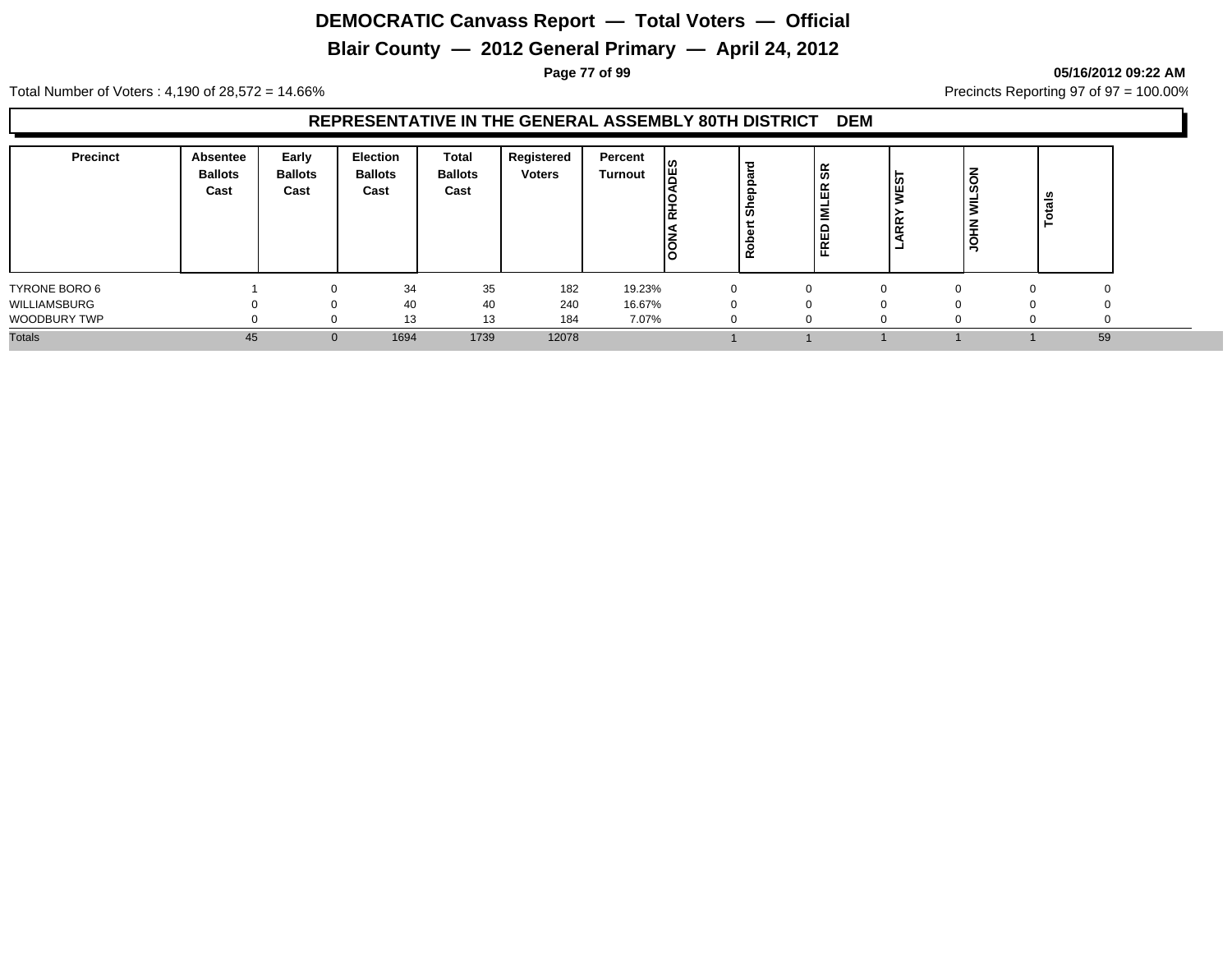# **Blair County — 2012 General Primary — April 24, 2012**

**Page 77 of 99 05/16/2012 09:22 AM**

Total Number of Voters : 4,190 of 28,572 = 14.66% Precincts Reporting 97 of 97 = 100.00%

#### **REPRESENTATIVE IN THE GENERAL ASSEMBLY 80TH DISTRICT DEM**

| <b>Precinct</b>     | Absentee<br><b>Ballots</b><br>Cast | Early<br><b>Ballots</b><br>Cast | <b>Election</b><br><b>Ballots</b><br>Cast | Total<br><b>Ballots</b><br>Cast | Registered<br><b>Voters</b> | Percent<br>Turnout | ၊ဖ<br>I₩<br>볹<br><b>NOON</b> | ಕ<br>ഗ<br>$\alpha$ | န္တ<br>띥<br><b>NE</b><br><b>FRED</b> | <b>NEST</b><br>ARRY<br>- | ĝ<br>÷   | -<br>$\mathbf{a}$ |          |
|---------------------|------------------------------------|---------------------------------|-------------------------------------------|---------------------------------|-----------------------------|--------------------|------------------------------|--------------------|--------------------------------------|--------------------------|----------|-------------------|----------|
| TYRONE BORO 6       |                                    |                                 | 34                                        | 35                              | 182                         | 19.23%             |                              | 0                  |                                      |                          | $\Omega$ |                   | 0        |
| WILLIAMSBURG        |                                    |                                 | 40                                        | 40                              | 240                         | 16.67%             |                              | 0                  |                                      |                          |          |                   | 0        |
| <b>WOODBURY TWP</b> |                                    |                                 | 13                                        | 13                              | 184                         | 7.07%              |                              | 0                  |                                      |                          | $\Omega$ |                   | $\Omega$ |
| <b>Totals</b>       | 45                                 | $\Omega$                        | 1694                                      | 1739                            | 12078                       |                    |                              |                    |                                      |                          |          |                   | 59       |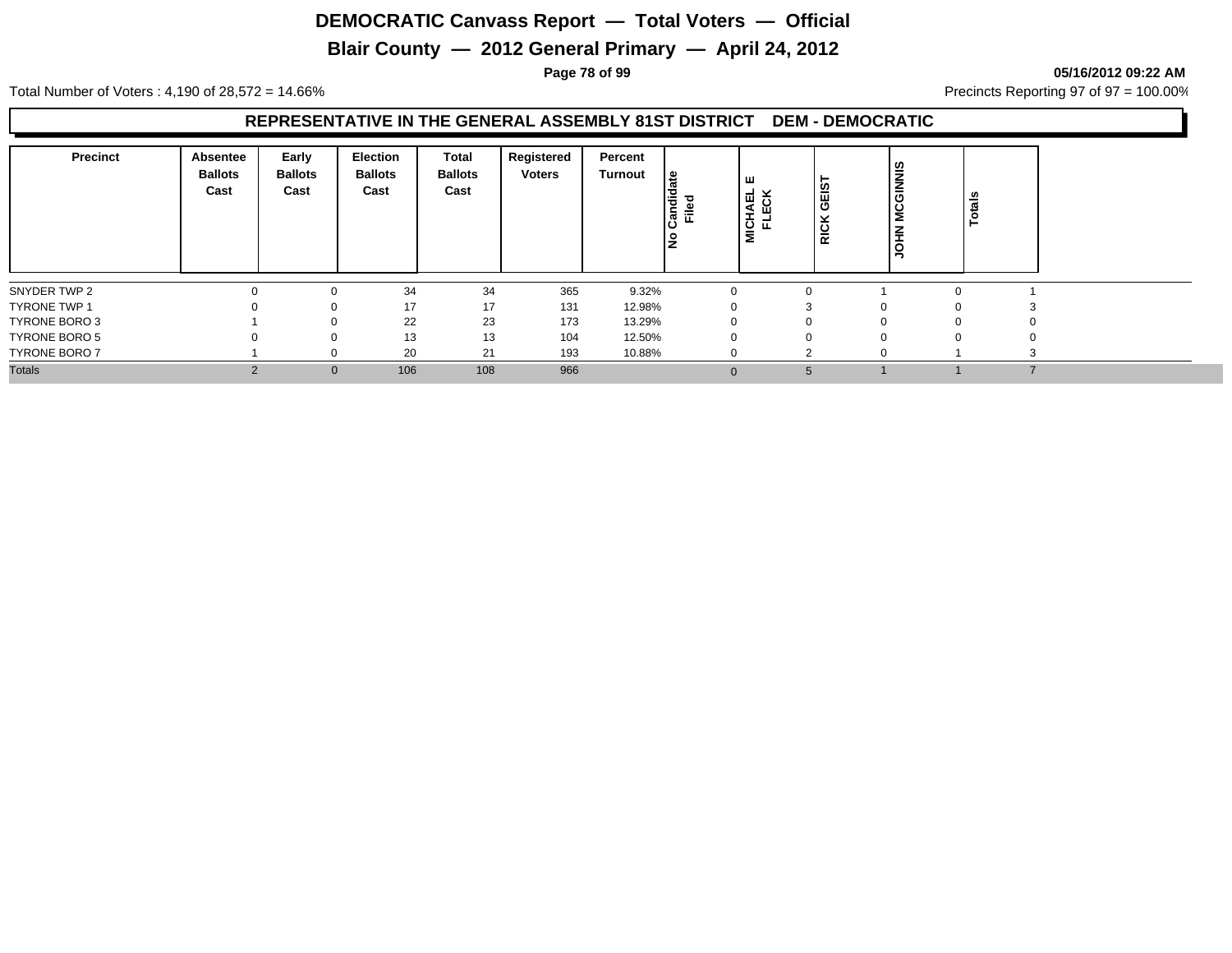# **Blair County — 2012 General Primary — April 24, 2012**

**Page 78 of 99 05/16/2012 09:22 AM**

Total Number of Voters : 4,190 of 28,572 = 14.66% Precincts Reporting 97 of 97 = 100.00%

#### **REPRESENTATIVE IN THE GENERAL ASSEMBLY 81ST DISTRICT DEM - DEMOCRATIC**

| <b>Precinct</b>      | Absentee<br><b>Ballots</b><br>Cast | Early<br><b>Ballots</b><br>Cast | <b>Election</b><br><b>Ballots</b><br>Cast | Total<br><b>Ballots</b><br>Cast | Registered<br><b>Voters</b> | Percent<br>Turnout | දූ<br>Candid<br>Filed | ш<br>−<br>ш<br>⋖<br>MICH <sub>2</sub><br>ᅚ | GEIST<br>⊻<br><b>RICI</b> | <b>MCGINNIS</b><br><b>NHOL</b> | Totals         |  |
|----------------------|------------------------------------|---------------------------------|-------------------------------------------|---------------------------------|-----------------------------|--------------------|-----------------------|--------------------------------------------|---------------------------|--------------------------------|----------------|--|
| SNYDER TWP 2         |                                    | $\Omega$                        | 34                                        | 34                              | 365                         | 9.32%              |                       |                                            |                           |                                |                |  |
| <b>TYRONE TWP 1</b>  |                                    | $\Omega$                        | 17                                        | 17                              | 131                         | 12.98%             |                       |                                            |                           |                                |                |  |
| TYRONE BORO 3        |                                    | $\Omega$                        | 22                                        | 23                              | 173                         | 13.29%             |                       |                                            |                           |                                |                |  |
| TYRONE BORO 5        |                                    |                                 | 13                                        | 13                              | 104                         | 12.50%             |                       |                                            |                           |                                |                |  |
| <b>TYRONE BORO 7</b> |                                    | $\Omega$                        | 20                                        | 21                              | 193                         | 10.88%             |                       |                                            |                           |                                |                |  |
| <b>Totals</b>        | $\Omega$<br>$\epsilon$             | $\mathbf{0}$                    | 106                                       | 108                             | 966                         |                    | $\Omega$              | 5                                          |                           |                                | $\overline{ }$ |  |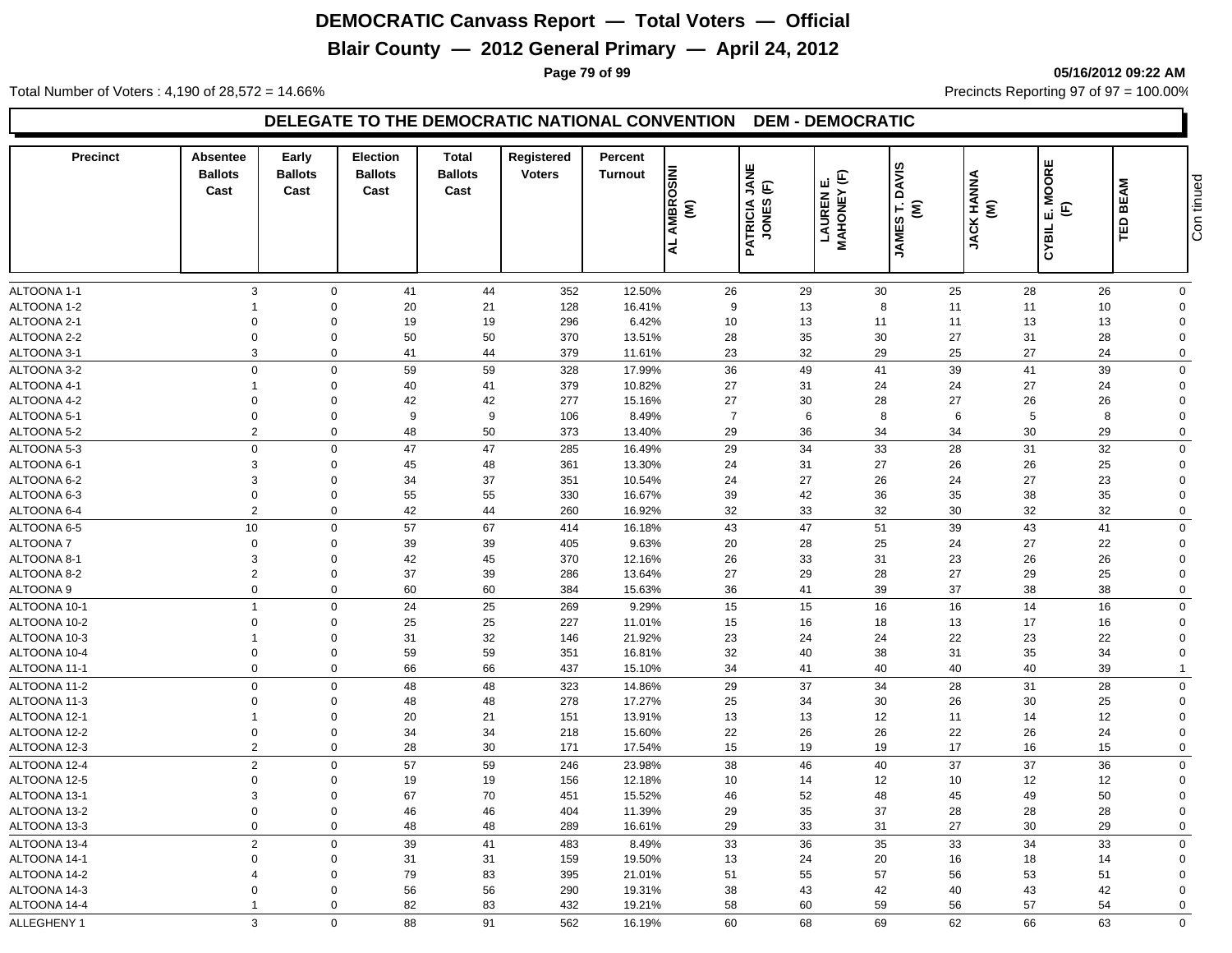# **Blair County — 2012 General Primary — April 24, 2012**

**Page 79 of 99 05/16/2012 09:22 AM**

Total Number of Voters : 4,190 of 28,572 = 14.66% Precincts Reporting 97 of 97 = 100.00%

| <b>Precinct</b>              | Absentee<br><b>Ballots</b><br>Cast | Early<br><b>Ballots</b><br>Cast | <b>Election</b><br><b>Ballots</b><br>Cast | Total<br><b>Ballots</b><br>Cast | Registered<br><b>Voters</b> | Percent<br><b>Turnout</b> | <b>INIS</b><br>AMBROS<br>$\widehat{\boldsymbol{\epsilon}}$ | JANE<br>$\widehat{\mathsf{E}}$<br>PATRICIA<br>JONES ( | <b>LAUREN E.<br/>MAHONEY (F)</b> | <b>DAVIS</b><br>$\widehat{\boldsymbol{\epsilon}}$ | JACK HANNA<br>(M) | E. MOORE<br>$\widehat{\mathbb{E}}$ | <b>BEAM</b> | Con tinued                 |
|------------------------------|------------------------------------|---------------------------------|-------------------------------------------|---------------------------------|-----------------------------|---------------------------|------------------------------------------------------------|-------------------------------------------------------|----------------------------------|---------------------------------------------------|-------------------|------------------------------------|-------------|----------------------------|
|                              |                                    |                                 |                                           |                                 |                             |                           | k                                                          |                                                       |                                  | <b>JAMEST.</b>                                    |                   | CYBIL                              | ΓĒ          |                            |
| ALTOONA 1-1                  | 3                                  | $\mathbf 0$                     | 41                                        | 44                              | 352                         | 12.50%                    | 26                                                         | 29                                                    |                                  | 30                                                | 25                | 28                                 | 26          | $\mathbf 0$                |
| ALTOONA 1-2                  | $\overline{1}$                     | $\mathbf 0$                     | 20                                        | 21                              | 128                         | 16.41%                    | 9                                                          | 13                                                    |                                  | 8                                                 | 11                | 11                                 | 10          | $\mathbf 0$                |
| ALTOONA 2-1                  | $\Omega$                           | $\Omega$                        | 19                                        | 19                              | 296                         | 6.42%                     | 10                                                         | 13                                                    |                                  | 11                                                | 11                | 13                                 | 13          | $\Omega$                   |
| ALTOONA 2-2                  | $\mathbf 0$                        | $\mathbf 0$                     | 50                                        | 50                              | 370                         | 13.51%                    | 28                                                         | 35                                                    |                                  | 30                                                | 27                | 31                                 | 28          | $\Omega$                   |
| ALTOONA 3-1                  | 3                                  | $\mathbf 0$                     | 41                                        | 44                              | 379                         | 11.61%                    | 23                                                         | 32                                                    |                                  | 29                                                | 25                | 27                                 | 24          | $\mathbf 0$                |
| ALTOONA 3-2                  | $\mathbf 0$                        | $\Omega$                        | 59                                        | 59                              | 328                         | 17.99%                    | 36                                                         | 49                                                    |                                  | 41                                                | 39                | 41                                 | 39          | $\mathbf 0$                |
| ALTOONA 4-1                  | -1                                 | $\Omega$                        | 40                                        | 41                              | 379                         | 10.82%                    | 27                                                         | 31                                                    |                                  | 24                                                | 24                | 27                                 | 24          | $\mathbf 0$                |
| ALTOONA 4-2                  | $\Omega$                           | $\mathbf 0$                     | 42                                        | 42                              | 277                         | 15.16%                    | 27                                                         | 30                                                    |                                  | 28                                                | 27                | 26                                 | 26          | $\Omega$                   |
| ALTOONA 5-1                  | $\mathbf 0$                        | $\mathbf 0$                     | 9                                         | 9                               | 106                         | 8.49%                     | $\overline{7}$                                             |                                                       | 6                                | 8                                                 | 6                 | 5                                  | 8           | $\mathbf 0$                |
| ALTOONA 5-2                  | $\overline{2}$                     | $\mathbf 0$                     | 48                                        | 50                              | 373                         | 13.40%                    | 29                                                         | 36                                                    |                                  | 34                                                | 34                | 30                                 | 29          | $\mathbf 0$                |
| ALTOONA 5-3                  | $\mathbf 0$                        | $\Omega$                        | 47                                        | 47                              | 285                         | 16.49%                    | 29                                                         | 34                                                    |                                  | 33                                                | 28                | 31                                 | 32          | $\mathbf 0$                |
| ALTOONA 6-1                  | 3                                  | $\mathbf 0$                     | 45                                        | 48                              | 361                         | 13.30%                    | 24                                                         | 31                                                    |                                  | 27                                                | 26                | 26                                 | 25          | $\mathbf 0$                |
| ALTOONA 6-2                  | 3                                  | $\mathbf 0$                     | 34                                        | 37                              | 351                         | 10.54%                    | 24                                                         | 27                                                    |                                  | 26                                                | 24                | 27                                 | 23          | $\mathbf 0$                |
| ALTOONA 6-3                  | $\mathbf 0$                        | $\mathbf 0$                     | 55                                        | 55                              | 330                         | 16.67%                    | 39                                                         | 42                                                    |                                  | 36                                                | 35                | 38                                 | 35          | $\mathbf 0$                |
| ALTOONA 6-4                  | $\overline{2}$                     | $\Omega$                        | 42                                        | 44                              | 260                         | 16.92%                    | 32                                                         | 33                                                    |                                  | 32                                                | 30                | 32                                 | 32          | $\mathbf 0$                |
| ALTOONA 6-5                  | 10                                 | $\mathbf 0$                     | 57                                        | 67                              | 414                         | 16.18%                    | 43                                                         | 47                                                    |                                  | 51                                                | 39                | 43                                 | 41          | $\mathbf 0$                |
| ALTOONA 7                    | $\mathbf 0$                        | $\mathbf 0$                     | 39                                        | 39                              | 405                         | 9.63%                     | 20                                                         | 28                                                    |                                  | 25                                                | 24                | 27                                 | 22          | $\mathbf 0$                |
| ALTOONA 8-1                  | 3                                  | $\mathbf 0$                     | 42                                        | 45                              | 370                         | 12.16%                    | 26                                                         | 33                                                    |                                  | 31                                                | 23                | 26                                 | 26          | $\overline{0}$             |
| ALTOONA 8-2                  | $\overline{2}$                     | $\mathbf 0$                     | 37                                        | 39                              | 286                         | 13.64%                    | 27                                                         | 29                                                    |                                  | 28                                                | 27                | 29                                 | 25          | $\mathbf 0$                |
| ALTOONA 9                    | $\mathbf 0$                        | $\Omega$                        | 60                                        | 60                              | 384                         | 15.63%                    | 36                                                         | 41                                                    |                                  | 39                                                | 37                | 38                                 | 38          | $\mathbf 0$                |
| ALTOONA 10-1                 | $\overline{1}$                     | $\mathbf 0$                     | 24                                        | 25                              | 269                         | 9.29%                     | 15                                                         | 15                                                    |                                  | 16                                                | 16                | 14                                 | 16          | $\mathbf 0$                |
| ALTOONA 10-2                 | $\mathbf 0$                        | $\mathbf 0$                     | 25                                        | 25                              | 227                         | 11.01%                    | 15                                                         | 16                                                    |                                  | 18                                                | 13                | 17                                 | 16          | $\mathbf 0$                |
| ALTOONA 10-3                 | $\overline{1}$                     | $\mathbf 0$                     | 31                                        | 32                              | 146                         | 21.92%                    | 23                                                         | 24                                                    |                                  | 24                                                | 22                | 23                                 | 22          | $\mathbf 0$                |
| ALTOONA 10-4                 | $\mathbf 0$                        | $\mathbf 0$                     | 59                                        | 59                              | 351                         | 16.81%                    | 32                                                         | 40                                                    |                                  | 38                                                | 31                | 35                                 | 34          | $\mathbf 0$                |
| ALTOONA 11-1                 | $\mathbf 0$                        | $\mathbf 0$                     | 66                                        | 66                              | 437                         | 15.10%                    | 34                                                         | 41                                                    |                                  | 40                                                | 40                | 40                                 | 39          | $\mathbf{1}$               |
| ALTOONA 11-2                 | $\mathbf 0$                        | $\mathbf 0$                     | 48                                        | 48                              | 323                         | 14.86%                    | 29                                                         | 37                                                    |                                  | 34                                                | 28                | 31                                 | 28          | $\mathbf 0$                |
| ALTOONA 11-3                 | $\boldsymbol{0}$                   | $\mathbf 0$                     | 48                                        | 48                              | 278                         | 17.27%                    | 25                                                         | 34                                                    |                                  | 30                                                | 26                | 30                                 | 25          | $\mathbf 0$                |
| ALTOONA 12-1                 | $\overline{1}$                     | $\mathbf 0$                     | 20                                        | 21                              | 151                         | 13.91%                    | 13                                                         | 13                                                    |                                  | 12                                                | 11                | 14                                 | 12          | $\mathbf 0$                |
| ALTOONA 12-2                 | $\mathbf 0$                        | $\mathbf 0$                     | 34                                        | 34                              | 218                         | 15.60%                    | 22                                                         | 26                                                    |                                  | 26                                                | 22                | 26                                 | 24          | $\mathbf 0$                |
| ALTOONA 12-3                 | $\overline{2}$                     | $\mathbf 0$                     | 28                                        | 30                              | 171                         | 17.54%                    | 15                                                         | 19                                                    |                                  | 19                                                | 17                | 16                                 | 15          | $\mathbf 0$                |
| ALTOONA 12-4                 | $\overline{2}$                     | $\Omega$                        | 57                                        | 59                              | 246                         | 23.98%                    | 38                                                         | 46                                                    |                                  | 40                                                | 37                | 37                                 | 36          | $\mathbf 0$                |
| ALTOONA 12-5                 | $\mathbf 0$                        | $\mathbf 0$                     | 19                                        | 19                              | 156                         | 12.18%                    | 10                                                         | 14                                                    |                                  | 12                                                | 10                | 12                                 | 12          | $\mathbf 0$                |
|                              | 3                                  |                                 |                                           |                                 |                             |                           |                                                            |                                                       |                                  |                                                   |                   |                                    |             |                            |
| ALTOONA 13-1<br>ALTOONA 13-2 | $\Omega$                           | $\mathbf 0$<br>$\mathbf 0$      | 67<br>46                                  | 70<br>46                        | 451<br>404                  | 15.52%<br>11.39%          | 46                                                         | 52<br>35                                              |                                  | 48<br>37                                          | 45<br>28          | 49<br>28                           | 50          | $\mathbf 0$<br>$\mathbf 0$ |
| ALTOONA 13-3                 | $\mathbf 0$                        | $\mathbf 0$                     | 48                                        | 48                              | 289                         | 16.61%                    | 29<br>29                                                   | 33                                                    |                                  | 31                                                | 27                | 30                                 | 28<br>29    | $\mathbf 0$                |
|                              |                                    |                                 |                                           |                                 |                             |                           |                                                            |                                                       |                                  |                                                   |                   |                                    |             |                            |
| ALTOONA 13-4                 | $\overline{2}$                     | $\mathbf 0$                     | 39                                        | 41                              | 483                         | 8.49%                     | 33                                                         | 36                                                    |                                  | 35                                                | 33                | 34                                 | 33          | $\mathbf 0$                |
| ALTOONA 14-1                 | $\mathbf 0$                        | $\mathbf 0$                     | 31                                        | 31                              | 159                         | 19.50%                    | 13                                                         | 24                                                    |                                  | 20                                                | 16                | 18                                 | 14          | $\mathbf 0$                |
| ALTOONA 14-2                 | $\overline{4}$                     | $\mathbf 0$                     | 79                                        | 83                              | 395                         | 21.01%                    | 51                                                         | 55                                                    |                                  | 57                                                | 56                | 53                                 | 51          | $\Omega$                   |
| ALTOONA 14-3                 | $\mathbf 0$                        | $\mathbf 0$                     | 56                                        | 56                              | 290                         | 19.31%                    | 38                                                         | 43                                                    |                                  | 42                                                | 40                | 43                                 | 42          | $\Omega$                   |
| ALTOONA 14-4                 | $\overline{1}$                     | $\mathbf 0$                     | 82                                        | 83                              | 432                         | 19.21%                    | 58                                                         | 60                                                    |                                  | 59                                                | 56                | 57                                 | 54          | $\mathbf 0$                |
| ALLEGHENY 1                  | 3                                  | $\Omega$                        | 88                                        | 91                              | 562                         | 16.19%                    | 60                                                         | 68                                                    |                                  | 69                                                | 62                | 66                                 | 63          | $\mathbf 0$                |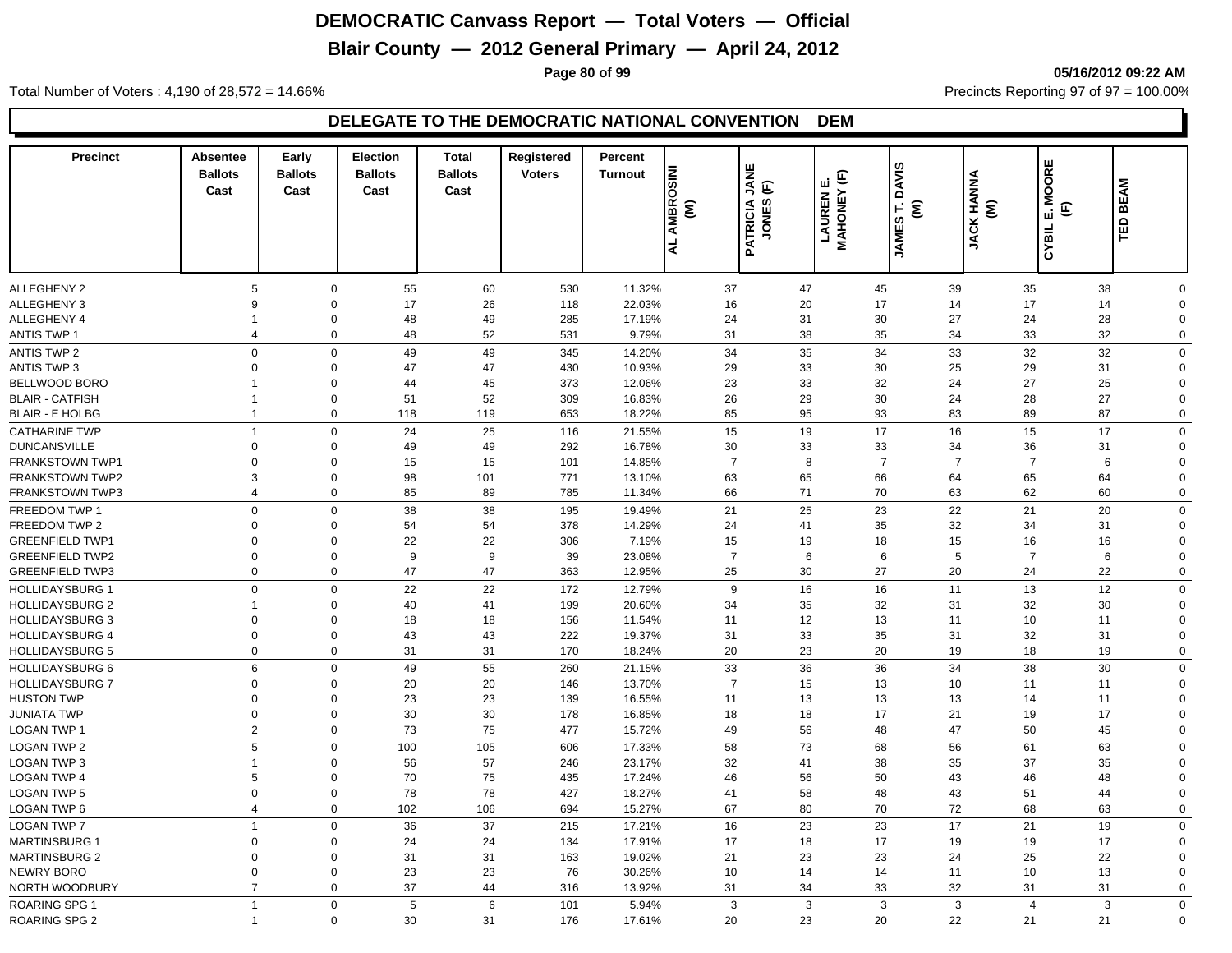# **Blair County — 2012 General Primary — April 24, 2012**

**Page 80 of 99 05/16/2012 09:22 AM**

Total Number of Voters : 4,190 of 28,572 = 14.66% Precincts Reporting 97 of 97 = 100.00%

| <b>Precinct</b>        | Absentee<br><b>Ballots</b><br>Cast | Early<br><b>Ballots</b><br>Cast | <b>Election</b><br><b>Ballots</b><br>Cast | <b>Total</b><br><b>Ballots</b><br>Cast | Registered<br><b>Voters</b> | Percent<br><b>Turnout</b> | AL AMBROSINI<br>ξ | JANE<br>$\widehat{\mathbb{E}}$<br>PATRICIA | <b>MAHONEY (F)</b><br>ய்<br>LAUREN | <b>DAVIS</b><br>ξ<br>É<br><b>JAMES</b> | <b>JACK HANNA</b><br>$\widehat{\boldsymbol{\epsilon}}$ | <b>MOORE</b><br>E<br>ய்<br>CYBIL | <b>BEAM</b><br>TED |  |
|------------------------|------------------------------------|---------------------------------|-------------------------------------------|----------------------------------------|-----------------------------|---------------------------|-------------------|--------------------------------------------|------------------------------------|----------------------------------------|--------------------------------------------------------|----------------------------------|--------------------|--|
|                        |                                    |                                 |                                           |                                        |                             |                           |                   |                                            |                                    |                                        |                                                        |                                  |                    |  |
| <b>ALLEGHENY 2</b>     | 5                                  | $\mathbf 0$                     | 55                                        | 60                                     | 530                         | 11.32%                    | 37                | 47                                         | 45                                 | 39                                     | 35                                                     | 38                               | 0                  |  |
| <b>ALLEGHENY 3</b>     | 9                                  | $\mathbf 0$                     | 17                                        | 26                                     | 118                         | 22.03%                    | 16                | 20                                         | 17                                 | 14                                     | 17                                                     | 14                               | $\Omega$           |  |
| ALLEGHENY 4            | 1                                  | 0                               | 48                                        | 49                                     | 285                         | 17.19%                    | 24                | 31                                         | 30                                 | 27                                     | 24                                                     | 28                               | 0                  |  |
| <b>ANTIS TWP 1</b>     | $\overline{4}$                     | $\mathbf 0$                     | 48                                        | 52                                     | 531                         | 9.79%                     | 31                | 38                                         | 35                                 | 34                                     | 33                                                     | 32                               | 0                  |  |
| <b>ANTIS TWP 2</b>     | $\Omega$                           | $\mathbf 0$                     | 49                                        | 49                                     | 345                         | 14.20%                    | 34                | 35                                         | 34                                 | 33                                     | 32                                                     | 32                               | 0                  |  |
| <b>ANTIS TWP 3</b>     | $\Omega$                           | $\mathbf 0$                     | 47                                        | 47                                     | 430                         | 10.93%                    | 29                | 33                                         | 30                                 | 25                                     | 29                                                     | 31                               | $\mathbf 0$        |  |
| <b>BELLWOOD BORO</b>   |                                    | $\mathbf 0$                     | 44                                        | 45                                     | 373                         | 12.06%                    | 23                | 33                                         | 32                                 | 24                                     | 27                                                     | 25                               | $\mathbf 0$        |  |
| <b>BLAIR - CATFISH</b> | 1                                  | $\overline{0}$                  | 51                                        | 52                                     | 309                         | 16.83%                    | 26                | 29                                         | 30                                 | 24                                     | 28                                                     | 27                               | $\Omega$           |  |
| <b>BLAIR - E HOLBG</b> | $\mathbf{1}$                       | $\mathbf 0$                     | 118                                       | 119                                    | 653                         | 18.22%                    | 85                | 95                                         | 93                                 | 83                                     | 89                                                     | 87                               | 0                  |  |
| <b>CATHARINE TWP</b>   | $\overline{1}$                     | $\mathbf 0$                     | 24                                        | 25                                     | 116                         | 21.55%                    | 15                | 19                                         | 17                                 | 16                                     | 15                                                     | 17                               | 0                  |  |
| <b>DUNCANSVILLE</b>    | $\Omega$                           | 0                               | 49                                        | 49                                     | 292                         | 16.78%                    | 30                | 33                                         | 33                                 | 34                                     | 36                                                     | 31                               | $\Omega$           |  |
| <b>FRANKSTOWN TWP1</b> | $\Omega$                           | $\Omega$                        | 15                                        | 15                                     | 101                         | 14.85%                    | $\overline{7}$    | 8                                          | $\overline{7}$                     | $\overline{7}$                         | $\overline{7}$                                         | 6                                | $\Omega$           |  |
| <b>FRANKSTOWN TWP2</b> | 3                                  | $\mathbf 0$                     | 98                                        | 101                                    | 771                         | 13.10%                    | 63                | 65                                         | 66                                 | 64                                     | 65                                                     | 64                               | $\Omega$           |  |
| <b>FRANKSTOWN TWP3</b> | $\overline{4}$                     | $\mathbf 0$                     | 85                                        | 89                                     | 785                         | 11.34%                    | 66                | 71                                         | 70                                 | 63                                     | 62                                                     | 60                               | 0                  |  |
| FREEDOM TWP 1          | $\mathbf 0$                        | $\mathbf 0$                     | 38                                        | 38                                     | 195                         | 19.49%                    | 21                | 25                                         | 23                                 | 22                                     | 21                                                     | 20                               | 0                  |  |
| FREEDOM TWP 2          | $\Omega$                           | $\mathbf 0$                     | 54                                        | 54                                     | 378                         | 14.29%                    | 24                | 41                                         | 35                                 | 32                                     | 34                                                     | 31                               | $\mathbf 0$        |  |
| <b>GREENFIELD TWP1</b> | 0                                  | 0                               | 22                                        | 22                                     | 306                         | 7.19%                     | 15                | 19                                         | 18                                 | 15                                     | 16                                                     | 16                               | $\mathbf 0$        |  |
| <b>GREENFIELD TWP2</b> | $\Omega$                           | $\mathbf 0$                     | 9                                         | 9                                      | 39                          | 23.08%                    | $\overline{7}$    | 6                                          | 6                                  | 5                                      | $\overline{7}$                                         | 6                                | $\Omega$           |  |
| <b>GREENFIELD TWP3</b> | $\Omega$                           | $\mathbf 0$                     | 47                                        | 47                                     | 363                         | 12.95%                    | 25                | 30                                         | 27                                 | 20                                     | 24                                                     | 22                               | $\mathbf 0$        |  |
| <b>HOLLIDAYSBURG 1</b> | $\Omega$                           | $\mathbf 0$                     | 22                                        | 22                                     | 172                         | 12.79%                    | 9                 | 16                                         | 16                                 | 11                                     | 13                                                     | 12                               | 0                  |  |
| <b>HOLLIDAYSBURG 2</b> |                                    | $\mathbf 0$                     | 40                                        | 41                                     | 199                         | 20.60%                    | 34                | 35                                         | 32                                 | 31                                     | 32                                                     | 30                               | $\Omega$           |  |
| <b>HOLLIDAYSBURG 3</b> | 0                                  | 0                               | 18                                        | 18                                     | 156                         | 11.54%                    | 11                | 12                                         | 13                                 | 11                                     | 10                                                     | 11                               | $\Omega$           |  |
| <b>HOLLIDAYSBURG 4</b> | $\Omega$                           | $\mathbf 0$                     | 43                                        | 43                                     | 222                         | 19.37%                    | 31                | 33                                         | 35                                 | 31                                     | 32                                                     | 31                               | $\Omega$           |  |
| <b>HOLLIDAYSBURG 5</b> | $\Omega$                           | $\mathbf 0$                     | 31                                        | 31                                     | 170                         | 18.24%                    | 20                | 23                                         | 20                                 | 19                                     | 18                                                     | 19                               | 0                  |  |
| <b>HOLLIDAYSBURG 6</b> | 6                                  | $\mathbf 0$                     | 49                                        | 55                                     | 260                         | 21.15%                    | 33                | 36                                         | 36                                 | 34                                     | 38                                                     | 30                               | $\mathbf 0$        |  |
| <b>HOLLIDAYSBURG 7</b> | 0                                  | $\mathbf 0$                     | 20                                        | 20                                     | 146                         | 13.70%                    | $\overline{7}$    | 15                                         | 13                                 | 10                                     | 11                                                     | 11                               | $\mathbf 0$        |  |
| <b>HUSTON TWP</b>      | 0                                  | 0                               | 23                                        | 23                                     | 139                         | 16.55%                    | 11                | 13                                         | 13                                 | 13                                     | 14                                                     | 11                               | $\mathbf 0$        |  |
| <b>JUNIATA TWP</b>     | $\mathbf 0$                        | $\mathbf 0$                     | 30                                        | 30                                     | 178                         | 16.85%                    | 18                | 18                                         | 17                                 | 21                                     | 19                                                     | 17                               | $\Omega$           |  |
| <b>LOGAN TWP 1</b>     | 2                                  | $\mathbf 0$                     | 73                                        | 75                                     | 477                         | 15.72%                    | 49                | 56                                         | 48                                 | 47                                     | 50                                                     | 45                               | 0                  |  |
| <b>LOGAN TWP 2</b>     | 5                                  | $\mathbf 0$                     | 100                                       | 105                                    | 606                         | 17.33%                    | 58                | 73                                         | 68                                 | 56                                     | 61                                                     | 63                               | $\mathbf 0$        |  |
| <b>LOGAN TWP 3</b>     |                                    | 0                               | 56                                        | 57                                     | 246                         | 23.17%                    | 32                | 41                                         | 38                                 | 35                                     | 37                                                     | 35                               | $\mathbf 0$        |  |
| <b>LOGAN TWP 4</b>     | 5                                  | $\mathbf 0$                     | 70                                        | 75                                     | 435                         | 17.24%                    | 46                | 56                                         | 50                                 | 43                                     | 46                                                     | 48                               | $\Omega$           |  |
| <b>LOGAN TWP 5</b>     | $\Omega$                           | $\mathbf 0$                     | 78                                        | 78                                     | 427                         | 18.27%                    | 41                | 58                                         | 48                                 | 43                                     | 51                                                     | 44                               | $\Omega$           |  |
| <b>LOGAN TWP 6</b>     | $\overline{4}$                     | $\mathbf 0$                     | 102                                       | 106                                    | 694                         | 15.27%                    | 67                | 80                                         | 70                                 | 72                                     | 68                                                     | 63                               | 0                  |  |
| <b>LOGAN TWP 7</b>     | $\mathbf 1$                        | $\mathbf 0$                     | 36                                        | 37                                     | 215                         | 17.21%                    | 16                | 23                                         | 23                                 | 17                                     | 21                                                     | 19                               | $\mathbf 0$        |  |
| <b>MARTINSBURG 1</b>   | $\Omega$                           | $\Omega$                        | 24                                        | 24                                     | 134                         | 17.91%                    | 17                | 18                                         | 17                                 | 19                                     | 19                                                     | 17                               | $\Omega$           |  |
| <b>MARTINSBURG 2</b>   | $\Omega$                           | 0                               | 31                                        | 31                                     | 163                         | 19.02%                    | 21                | 23                                         | 23                                 | 24                                     | 25                                                     | 22                               | $\Omega$           |  |
| <b>NEWRY BORO</b>      | $\Omega$                           | $\Omega$                        | 23                                        | 23                                     | 76                          | 30.26%                    | 10                | 14                                         | 14                                 | 11                                     | 10                                                     | 13                               | $\Omega$           |  |
| NORTH WOODBURY         | $\overline{7}$                     | $\mathbf 0$                     | 37                                        | 44                                     | 316                         | 13.92%                    | 31                | 34                                         | 33                                 | 32                                     | 31                                                     | 31                               | $\Omega$           |  |
| <b>ROARING SPG 1</b>   | $\mathbf{1}$                       | $\mathbf 0$                     | 5                                         | 6                                      | 101                         | 5.94%                     | 3                 | 3                                          | 3                                  | 3                                      | $\overline{4}$                                         | 3                                | 0                  |  |
| ROARING SPG 2          | $\overline{1}$                     | $\mathbf 0$                     | 30                                        | 31                                     | 176                         | 17.61%                    | 20                | 23                                         | 20                                 | 22                                     | 21                                                     | 21                               | $\mathbf 0$        |  |
|                        |                                    |                                 |                                           |                                        |                             |                           |                   |                                            |                                    |                                        |                                                        |                                  |                    |  |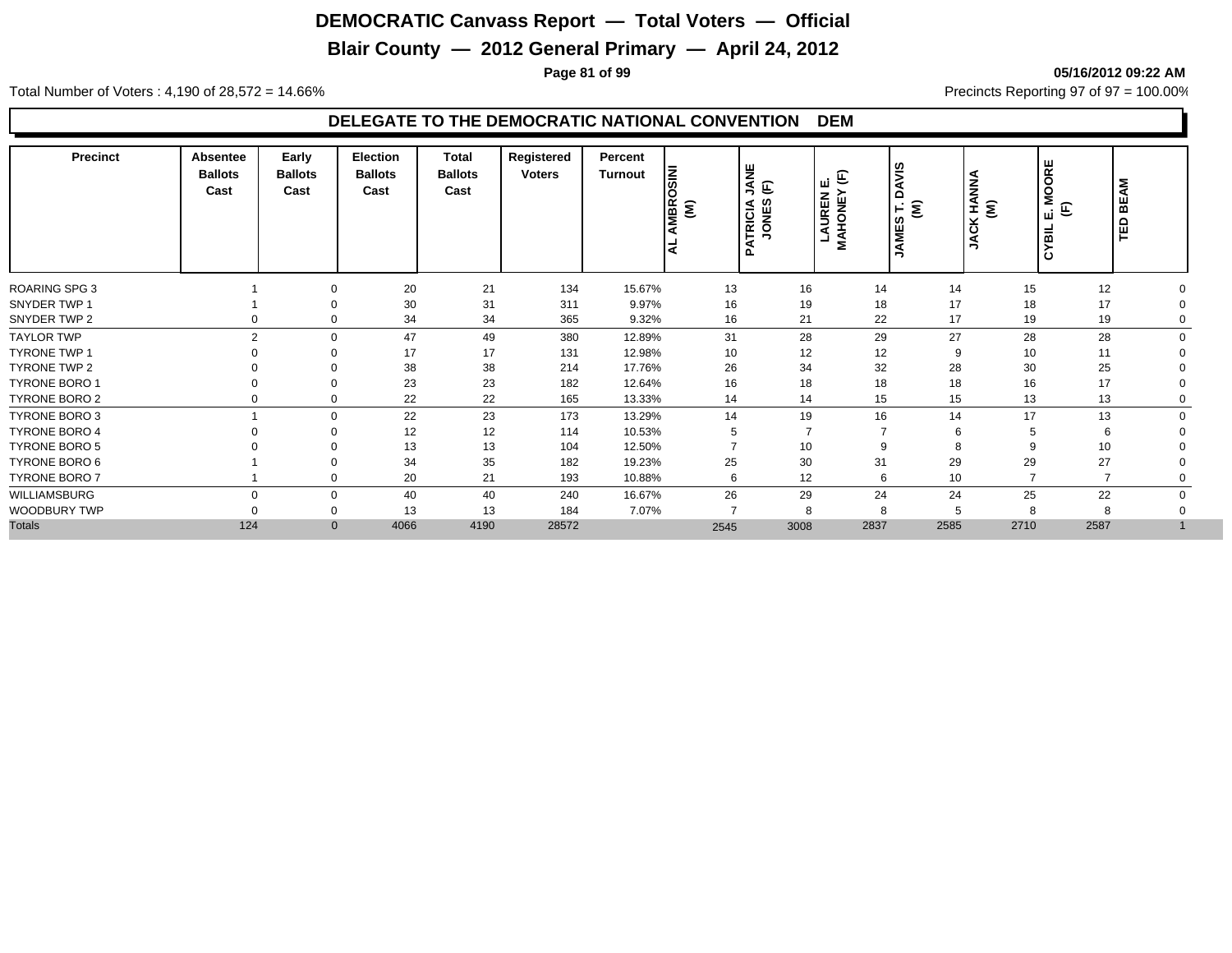# **Blair County — 2012 General Primary — April 24, 2012**

**Page 81 of 99 05/16/2012 09:22 AM**

Total Number of Voters : 4,190 of 28,572 = 14.66% Precincts Reporting 97 of 97 = 100.00%

| <b>Precinct</b>      | Absentee<br><b>Ballots</b><br>Cast | Early<br><b>Ballots</b><br>Cast | Election<br><b>Ballots</b><br>Cast | Total<br><b>Ballots</b><br>Cast | Registered<br><b>Voters</b> | Percent<br><b>Turnout</b> | l≅<br>O<br>MBR <sub>(</sub><br>l C | <b>BINK</b><br>$\mathop{\mathbb{E}}$<br>ATRICIA<br>Ω | $\mathbf{E}$<br>ш<br><b>MAHONEY</b><br>LAUREN | <b>SINVO</b><br>$E \equiv$<br><b>JAMES</b> | (M)<br>(W)<br>$\overline{c}$<br>⋚ | ш<br>Ιğ<br>$\circ$<br>Ž.<br>E<br>ш<br>룹<br>ن ا | Š<br>볾<br>旨 |  |
|----------------------|------------------------------------|---------------------------------|------------------------------------|---------------------------------|-----------------------------|---------------------------|------------------------------------|------------------------------------------------------|-----------------------------------------------|--------------------------------------------|-----------------------------------|------------------------------------------------|-------------|--|
| ROARING SPG 3        |                                    |                                 | 20                                 | 21                              | 134                         | 15.67%                    | 13                                 | 16                                                   | 14                                            | 14                                         | 15                                | 12                                             |             |  |
| SNYDER TWP 1         |                                    |                                 | 30                                 | 31                              | 311                         | 9.97%                     | 16                                 | 19                                                   | 18                                            | 17                                         | 18                                | 17                                             |             |  |
| SNYDER TWP 2         |                                    | $\mathbf 0$                     | 34                                 | 34                              | 365                         | 9.32%                     | 16                                 | 21                                                   | 22                                            | 17                                         | 19                                | 19                                             |             |  |
| <b>TAYLOR TWP</b>    | $\mathfrak{p}$                     | $\mathbf 0$                     | 47                                 | 49                              | 380                         | 12.89%                    | 31                                 | 28                                                   | 29                                            | 27                                         | 28                                | 28                                             |             |  |
| <b>TYRONE TWP 1</b>  |                                    |                                 | 17                                 | 17                              | 131                         | 12.98%                    | 10                                 | 12                                                   | 12                                            | 9                                          | 10                                | 11                                             |             |  |
| TYRONE TWP 2         |                                    |                                 | 38                                 | 38                              | 214                         | 17.76%                    | 26                                 | 34                                                   | 32                                            | 28                                         | 30                                | 25                                             |             |  |
| <b>TYRONE BORO 1</b> |                                    | 0                               | 23                                 | 23                              | 182                         | 12.64%                    | 16                                 | 18                                                   | 18                                            | 18                                         | 16                                | 17                                             |             |  |
| TYRONE BORO 2        |                                    | 0                               | 22                                 | 22                              | 165                         | 13.33%                    | 14                                 | 14                                                   | 15                                            | 15                                         | 13                                | 13                                             |             |  |
| TYRONE BORO 3        |                                    | $\Omega$                        | 22                                 | 23                              | 173                         | 13.29%                    | 14                                 | 19                                                   | 16                                            | 14                                         | 17                                | 13                                             |             |  |
| <b>TYRONE BORO 4</b> |                                    |                                 | 12                                 | 12                              | 114                         | 10.53%                    | 5                                  |                                                      |                                               | 6                                          | 5                                 | 6                                              |             |  |
| TYRONE BORO 5        |                                    |                                 | 13                                 | 13                              | 104                         | 12.50%                    |                                    | 10                                                   | 9                                             | 8                                          | 9                                 | 10                                             |             |  |
| TYRONE BORO 6        |                                    |                                 | 34                                 | 35                              | 182                         | 19.23%                    | 25                                 | 30                                                   | 31                                            | 29                                         | 29                                | 27                                             |             |  |
| TYRONE BORO 7        |                                    | $\mathbf 0$                     | 20                                 | 21                              | 193                         | 10.88%                    | 6                                  | 12                                                   | 6                                             | 10 <sup>10</sup>                           | -                                 | $\overline{ }$                                 |             |  |
| WILLIAMSBURG         |                                    | $\mathbf 0$                     | 40                                 | 40                              | 240                         | 16.67%                    | 26                                 | 29                                                   | 24                                            | 24                                         | 25                                | 22                                             |             |  |
| WOODBURY TWP         |                                    | $\mathbf 0$                     | 13                                 | 13                              | 184                         | 7.07%                     | $\overline{ }$                     | 8                                                    | 8                                             | 5                                          | 8                                 | 8                                              |             |  |
| <b>Totals</b>        | 124                                | $\mathbf{0}$                    | 4066                               | 4190                            | 28572                       |                           | 2545                               | 3008                                                 | 2837                                          | 2585                                       | 2710                              | 2587                                           |             |  |
|                      |                                    |                                 |                                    |                                 |                             |                           |                                    |                                                      |                                               |                                            |                                   |                                                |             |  |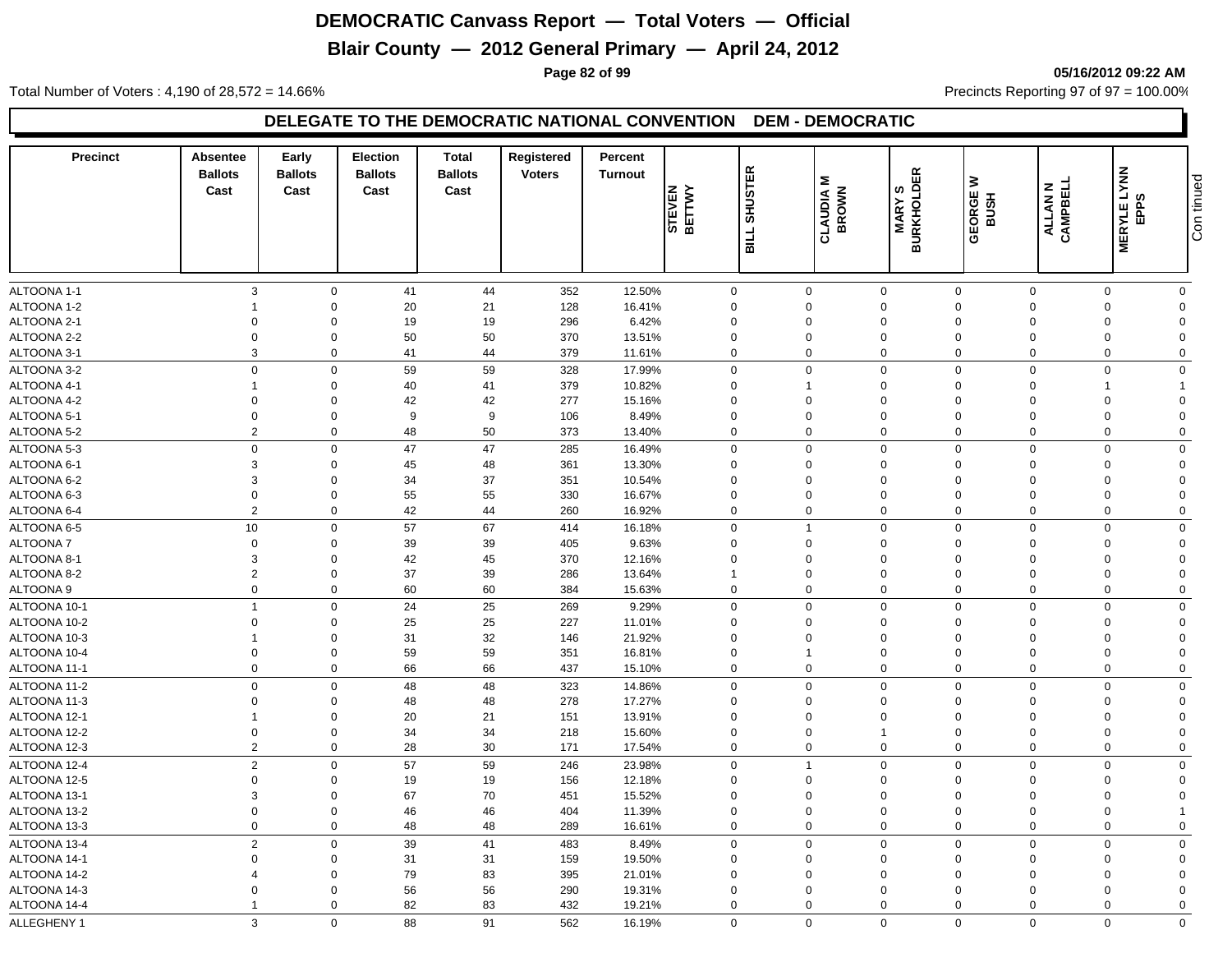# **Blair County — 2012 General Primary — April 24, 2012**

**Page 82 of 99 05/16/2012 09:22 AM**

Total Number of Voters : 4,190 of 28,572 = 14.66% Precincts Reporting 97 of 97 = 100.00%

| <b>Precinct</b> | Absentee<br><b>Ballots</b><br>Cast | Early<br><b>Ballots</b><br>Cast | <b>Election</b><br><b>Ballots</b><br>Cast | Total<br><b>Ballots</b><br>Cast | Registered<br><b>Voters</b> | Percent<br><b>Turnout</b> | STEVEN<br>BETTWY | <b>SHUSTER</b><br><b>SILL</b> | <b>CLAUDIA M</b><br>BROWN | 띥<br><b>MARY S<br/>BURKHOLDE</b> | ≥<br>GEORGE<br>BUSH | ALLAN N<br>CAMPBELL | <b>MERYLE LYNN</b><br>EPPS | Con tinued     |
|-----------------|------------------------------------|---------------------------------|-------------------------------------------|---------------------------------|-----------------------------|---------------------------|------------------|-------------------------------|---------------------------|----------------------------------|---------------------|---------------------|----------------------------|----------------|
|                 |                                    |                                 |                                           |                                 |                             |                           |                  |                               |                           |                                  |                     |                     |                            |                |
| ALTOONA 1-1     | 3                                  | $\mathbf 0$                     | 41                                        | 44                              | 352                         | 12.50%                    | 0                |                               | $\mathbf 0$               | $\mathbf 0$                      | $\mathbf 0$         | $\Omega$            | $\Omega$                   | $\mathbf 0$    |
| ALTOONA 1-2     |                                    | $\Omega$                        | 20                                        | 21                              | 128                         | 16.41%                    | $\Omega$         |                               | $\Omega$                  | $\mathbf 0$                      | $\Omega$            | $\Omega$            | $\Omega$                   | $\Omega$       |
| ALTOONA 2-1     | $\mathbf 0$                        | $\Omega$                        | 19                                        | 19                              | 296                         | 6.42%                     | $\mathbf 0$      |                               | $\Omega$                  | $\mathbf 0$                      | $\Omega$            | $\Omega$            | $\Omega$                   | $\Omega$       |
| ALTOONA 2-2     | $\mathbf 0$                        | $\mathbf 0$                     | 50                                        | 50                              | 370                         | 13.51%                    | $\mathbf 0$      |                               | $\mathbf 0$               | $\mathbf 0$                      | $\mathbf 0$         | $\Omega$            | $\mathbf 0$                | $\Omega$       |
| ALTOONA 3-1     | 3                                  | $\mathbf 0$                     | 41                                        | 44                              | 379                         | 11.61%                    | $\mathbf 0$      |                               | $\mathbf 0$               | $\mathbf 0$                      | $\mathbf 0$         | $\mathbf 0$         | $\mathbf 0$                | $\overline{0}$ |
| ALTOONA 3-2     | $\mathbf 0$                        | $\mathbf 0$                     | 59                                        | 59                              | 328                         | 17.99%                    | $\Omega$         |                               | $\Omega$                  | $\mathbf 0$                      | $\Omega$            | $\Omega$            | $\Omega$                   | $\Omega$       |
| ALTOONA 4-1     |                                    | $\mathbf 0$                     | 40                                        | 41                              | 379                         | 10.82%                    | $\Omega$         |                               | 1                         | $\mathbf 0$                      | $\Omega$            | $\Omega$            |                            |                |
| ALTOONA 4-2     | $\mathbf 0$                        | $\mathbf 0$                     | 42                                        | 42                              | 277                         | 15.16%                    | $\mathbf 0$      |                               | $\mathbf 0$               | $\mathbf 0$                      | $\mathbf 0$         | $\Omega$            | $\Omega$                   | $\Omega$       |
| ALTOONA 5-1     | $\mathbf 0$                        | $\mathbf 0$                     | 9                                         | 9                               | 106                         | 8.49%                     | $\mathbf 0$      |                               | $\mathbf 0$               | $\mathbf 0$                      | $\mathbf 0$         | $\Omega$            | $\mathbf 0$                | $\Omega$       |
| ALTOONA 5-2     | $\overline{2}$                     | $\mathbf 0$                     | 48                                        | 50                              | 373                         | 13.40%                    | $\mathbf 0$      |                               | $\mathbf 0$               | $\mathbf 0$                      | $\mathbf 0$         | $\mathbf 0$         | $\mathbf 0$                | $\mathbf 0$    |
| ALTOONA 5-3     | $\overline{0}$                     | $\mathbf 0$                     | 47                                        | 47                              | 285                         | 16.49%                    | 0                |                               | $\Omega$                  | $\mathbf 0$                      | $\Omega$            | $\Omega$            | $\Omega$                   | $\mathbf 0$    |
| ALTOONA 6-1     | 3                                  | $\mathbf 0$                     | 45                                        | 48                              | 361                         | 13.30%                    | $\Omega$         |                               | $\Omega$                  | $\mathbf 0$                      | $\Omega$            | $\Omega$            | $\Omega$                   | $\Omega$       |
| ALTOONA 6-2     | 3                                  | $\mathbf 0$                     | 34                                        | 37                              | 351                         | 10.54%                    | 0                |                               | 0                         | $\mathbf 0$                      | $\Omega$            | $\Omega$            | $\Omega$                   | $\Omega$       |
| ALTOONA 6-3     | $\mathbf 0$                        | $\mathbf 0$                     | 55                                        | 55                              | 330                         | 16.67%                    | $\mathbf 0$      |                               | 0                         | $\mathbf 0$                      | $\mathbf 0$         | $\Omega$            | $\mathbf 0$                | $\Omega$       |
| ALTOONA 6-4     | $\overline{2}$                     | $\mathbf 0$                     | 42                                        | 44                              | 260                         | 16.92%                    | 0                |                               | $\mathbf 0$               | $\mathbf 0$                      | $\mathbf 0$         | $\Omega$            | $\Omega$                   | $\mathbf 0$    |
| ALTOONA 6-5     | $10$                               | $\mathbf 0$                     | 57                                        | 67                              | 414                         | 16.18%                    | $\mathbf 0$      |                               | $\mathbf{1}$              | $\mathbf 0$                      | $\Omega$            | $\Omega$            | $\Omega$                   | $\mathbf 0$    |
| <b>ALTOONA7</b> | $\mathbf 0$                        | $\mathbf 0$                     | 39                                        | 39                              | 405                         | 9.63%                     | $\mathbf 0$      |                               | $\mathbf 0$               | $\mathbf 0$                      | $\Omega$            | $\Omega$            | $\Omega$                   | $\Omega$       |
| ALTOONA 8-1     | 3                                  | $\mathbf 0$                     | 42                                        | 45                              | 370                         | 12.16%                    | $\Omega$         |                               | $\mathbf 0$               | $\mathbf 0$                      | $\Omega$            | $\Omega$            | $\Omega$                   | $\Omega$       |
| ALTOONA 8-2     | $\overline{2}$                     | $\mathbf 0$                     | 37                                        | 39                              | 286                         | 13.64%                    | $\mathbf{1}$     |                               | $\mathbf 0$               | $\mathbf 0$                      | $\Omega$            | $\Omega$            | $\Omega$                   | $\mathbf 0$    |
| ALTOONA 9       | $\mathbf 0$                        | $\mathbf 0$                     | 60                                        | 60                              | 384                         | 15.63%                    | $\mathbf 0$      |                               | $\boldsymbol{0}$          | $\mathbf 0$                      | $\mathbf 0$         | $\mathbf 0$         | $\mathbf 0$                | $\mathbf 0$    |
| ALTOONA 10-1    | $\overline{1}$                     | $\mathbf 0$                     | 24                                        | 25                              | 269                         | 9.29%                     | $\mathbf 0$      |                               | $\mathbf 0$               | $\mathbf 0$                      | $\mathbf 0$         | $\Omega$            | $\Omega$                   | $\mathbf 0$    |
| ALTOONA 10-2    | $\mathbf 0$                        | $\mathbf 0$                     | 25                                        | 25                              | 227                         | 11.01%                    | $\Omega$         |                               | $\Omega$                  | $\mathbf 0$                      | $\Omega$            | $\Omega$            | $\Omega$                   | $\Omega$       |
| ALTOONA 10-3    |                                    | $\mathbf 0$                     | 31                                        | 32                              | 146                         | 21.92%                    | $\mathbf 0$      |                               | 0                         | $\mathbf 0$                      | $\Omega$            | $\Omega$            | $\Omega$                   | $\mathbf 0$    |
| ALTOONA 10-4    | $\Omega$                           | $\mathbf 0$                     | 59                                        | 59                              | 351                         | 16.81%                    | $\mathbf 0$      |                               | 1                         | $\mathbf 0$                      | $\Omega$            | $\Omega$            | $\Omega$                   | $\Omega$       |
| ALTOONA 11-1    | $\mathbf 0$                        | $\mathbf 0$                     | 66                                        | 66                              | 437                         | 15.10%                    | $\mathbf 0$      |                               | $\mathbf 0$               | $\mathbf 0$                      | $\mathbf 0$         | $\mathbf 0$         | $\mathbf 0$                | $\mathbf 0$    |
| ALTOONA 11-2    | $\mathbf 0$                        | $\mathbf 0$                     | 48                                        | 48                              | 323                         | 14.86%                    | $\mathbf 0$      |                               | $\mathbf 0$               | $\mathbf 0$                      | $\Omega$            | $\Omega$            | $\Omega$                   | $\mathbf 0$    |
| ALTOONA 11-3    | $\mathbf 0$                        | $\mathbf 0$                     | 48                                        | 48                              | 278                         | 17.27%                    | $\mathbf 0$      |                               | $\mathbf 0$               | $\mathbf 0$                      | $\mathbf 0$         | $\Omega$            | $\Omega$                   | $\Omega$       |
| ALTOONA 12-1    | -1                                 | $\mathbf 0$                     | 20                                        | 21                              | 151                         | 13.91%                    | $\Omega$         |                               | $\mathbf 0$               | 0                                | $\Omega$            | $\Omega$            | $\Omega$                   | $\Omega$       |
| ALTOONA 12-2    | $\mathbf 0$                        | $\mathbf 0$                     | 34                                        | 34                              | 218                         | 15.60%                    | $\mathbf 0$      |                               | $\mathbf 0$               | $\mathbf{1}$                     | $\Omega$            | $\Omega$            | $\Omega$                   | $\Omega$       |
| ALTOONA 12-3    | $\overline{2}$                     | $\mathbf 0$                     | 28                                        | 30                              | 171                         | 17.54%                    | $\mathbf 0$      |                               | $\mathbf 0$               | $\mathbf 0$                      | $\Omega$            | $\Omega$            | 0                          | $\mathbf 0$    |
| ALTOONA 12-4    | $\overline{2}$                     | $\mathbf 0$                     | 57                                        | 59                              | 246                         | 23.98%                    | $\mathbf 0$      |                               | $\overline{1}$            | $\mathbf 0$                      | $\overline{0}$      | $\Omega$            | $\mathbf 0$                | $\mathbf 0$    |
| ALTOONA 12-5    | $\mathbf 0$                        | $\mathbf 0$                     | 19                                        | 19                              | 156                         | 12.18%                    | $\mathbf 0$      |                               | 0                         | $\mathbf 0$                      | $\Omega$            | $\Omega$            | $\Omega$                   | $\Omega$       |
| ALTOONA 13-1    | 3                                  | $\mathbf 0$                     | 67                                        | 70                              | 451                         | 15.52%                    | $\mathbf 0$      |                               | 0                         | $\mathbf 0$                      | $\Omega$            | $\Omega$            | $\Omega$                   | $\Omega$       |
| ALTOONA 13-2    | $\mathbf 0$                        | $\mathbf 0$                     | 46                                        | 46                              | 404                         | 11.39%                    | $\mathbf 0$      |                               | $\overline{0}$            | $\mathbf 0$                      | $\Omega$            | $\Omega$            | $\Omega$                   |                |
| ALTOONA 13-3    | $\mathbf 0$                        | $\mathbf 0$                     | 48                                        | 48                              | 289                         | 16.61%                    | 0                |                               | $\mathbf 0$               | $\mathbf 0$                      | $\Omega$            | $\Omega$            | $\mathbf 0$                | $\mathbf 0$    |
| ALTOONA 13-4    | $\overline{2}$                     | $\mathbf 0$                     | 39                                        | 41                              | 483                         | 8.49%                     | $\mathbf 0$      |                               | $\mathbf 0$               | $\mathbf 0$                      | $\mathbf 0$         | $\Omega$            | $\Omega$                   | $\mathbf 0$    |
| ALTOONA 14-1    | $\Omega$                           | $\mathbf 0$                     | 31                                        | 31                              | 159                         | 19.50%                    | $\mathbf 0$      |                               | 0                         | $\mathbf 0$                      | $\Omega$            | $\Omega$            | $\Omega$                   | $\Omega$       |
| ALTOONA 14-2    | $\overline{4}$                     | $\mathbf 0$                     | 79                                        | 83                              | 395                         | 21.01%                    | $\Omega$         |                               | $\Omega$                  | $\mathbf 0$                      | $\Omega$            | $\Omega$            | $\Omega$                   | $\Omega$       |
| ALTOONA 14-3    | $\Omega$                           | $\mathbf 0$                     | 56                                        | 56                              | 290                         | 19.31%                    | $\mathbf 0$      |                               | $\mathbf 0$               | $\mathbf 0$                      | $\Omega$            | $\Omega$            | $\Omega$                   | $\Omega$       |
| ALTOONA 14-4    | -1                                 | $\mathbf 0$                     | 82                                        | 83                              | 432                         | 19.21%                    | $\mathbf 0$      |                               | $\Omega$                  | $\mathbf 0$                      | $\Omega$            | $\Omega$            | $\mathbf 0$                | $\Omega$       |
| ALLEGHENY 1     | 3                                  | $\Omega$                        | 88                                        | 91                              | 562                         | 16.19%                    | $\Omega$         |                               | $\Omega$                  | $\Omega$                         | $\Omega$            | $\Omega$            | $\Omega$                   | $\mathbf 0$    |
|                 |                                    |                                 |                                           |                                 |                             |                           |                  |                               |                           |                                  |                     |                     |                            |                |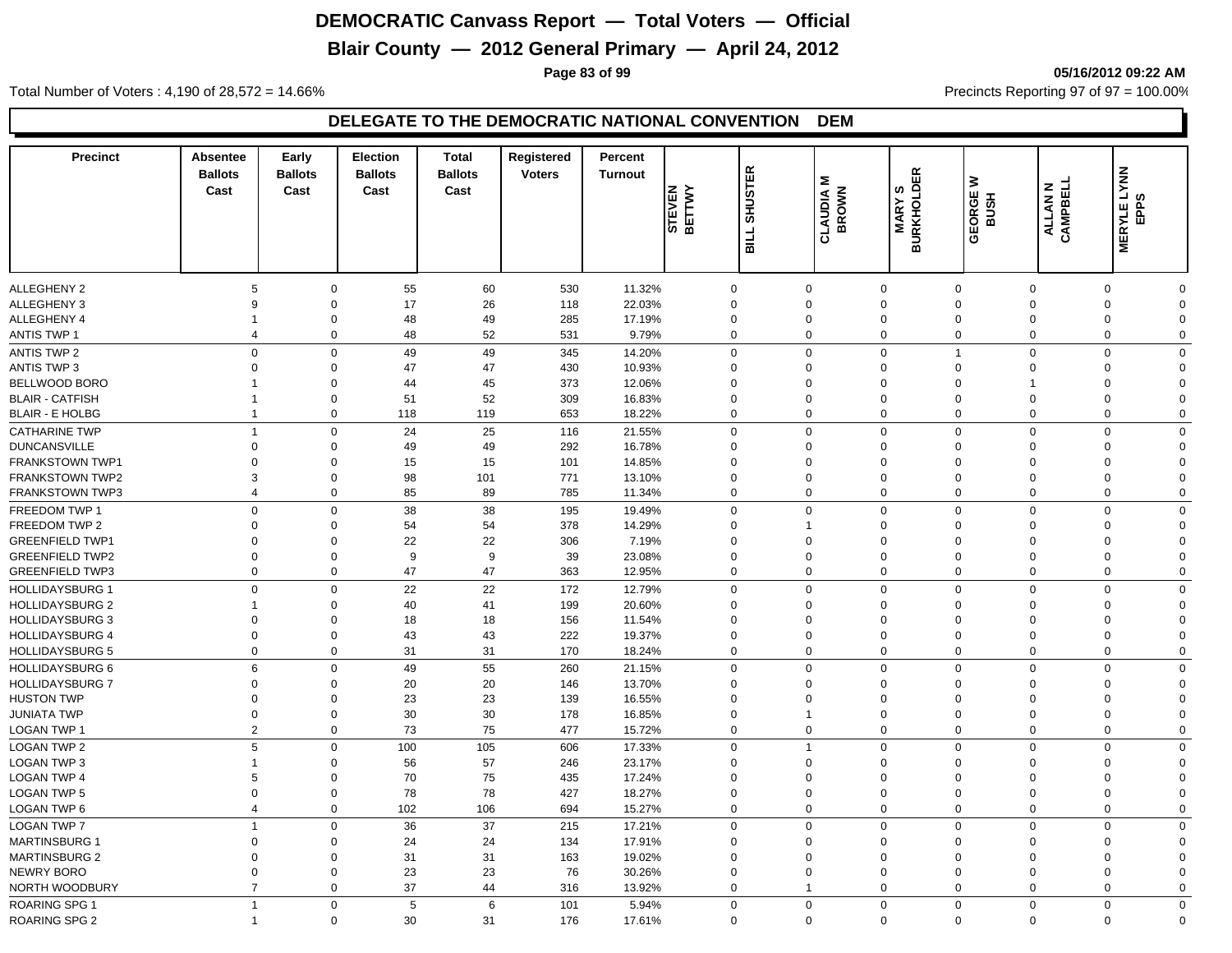# **Blair County — 2012 General Primary — April 24, 2012**

**Page 83 of 99 05/16/2012 09:22 AM**

Total Number of Voters : 4,190 of 28,572 = 14.66% Precincts Reporting 97 of 97 = 100.00%

| <b>Precinct</b>        | Absentee<br><b>Ballots</b><br>Cast | Early<br><b>Ballots</b><br>Cast | <b>Election</b><br><b>Ballots</b><br>Cast | <b>Total</b><br><b>Ballots</b><br>Cast | <b>Registered</b><br><b>Voters</b> | Percent<br><b>Turnout</b> | <b>BETTWY</b><br><b>STEVEN</b> | <b>SHUSTER</b><br><b>SILL</b> | Σ<br><b>BROWN</b><br>CLAUDIA | <b>BURKHOLDER</b><br>BURKHOLDER | ≥<br><b>GEORGE</b><br><b>BUSH</b> | ALLAN N<br>CAMPBELL | <b>MERYLE LYNN</b><br>ဖ<br><b>BP</b> |             |
|------------------------|------------------------------------|---------------------------------|-------------------------------------------|----------------------------------------|------------------------------------|---------------------------|--------------------------------|-------------------------------|------------------------------|---------------------------------|-----------------------------------|---------------------|--------------------------------------|-------------|
| ALLEGHENY 2            | 5                                  |                                 | 55<br>$\mathbf 0$                         | 60                                     | 530                                | 11.32%                    | $\mathbf 0$                    |                               | $\mathbf 0$                  | $\mathbf 0$                     | $\mathbf 0$                       | $\mathbf 0$         | $\mathbf 0$                          | $\mathbf 0$ |
| <b>ALLEGHENY 3</b>     | 9                                  | $\mathbf 0$                     | 17                                        | 26                                     | 118                                | 22.03%                    | $\mathbf 0$                    |                               | $\Omega$                     | $\mathbf 0$                     | $\Omega$                          | $\mathbf 0$         | $\Omega$                             | $\Omega$    |
| ALLEGHENY 4            | -1                                 | $\mathbf 0$                     | 48                                        | 49                                     | 285                                | 17.19%                    | $\Omega$                       |                               | $\overline{0}$               | $\mathbf 0$                     | $\Omega$                          | $\Omega$            | $\Omega$                             | $\mathbf 0$ |
| <b>ANTIS TWP 1</b>     | $\overline{4}$                     |                                 | $\mathbf 0$<br>48                         | 52                                     | 531                                | 9.79%                     | $\mathbf 0$                    |                               | $\mathbf 0$                  | $\mathbf 0$                     | $\mathbf 0$                       | $\mathbf 0$         | $\Omega$                             | $\mathbf 0$ |
| <b>ANTIS TWP 2</b>     | $\mathbf 0$                        | $\mathbf 0$                     | 49                                        | 49                                     | 345                                | 14.20%                    | $\mathbf 0$                    |                               | $\mathbf 0$                  | $\mathbf 0$                     | $\mathbf{1}$                      | $\mathbf 0$         | $\mathbf 0$                          | $\mathbf 0$ |
| <b>ANTIS TWP 3</b>     | $\Omega$                           | $\mathbf 0$                     | 47                                        | 47                                     | 430                                | 10.93%                    | $\Omega$                       |                               | $\Omega$                     | $\mathbf 0$                     | $\Omega$                          | $\mathbf 0$         | $\Omega$                             | $\mathbf 0$ |
| BELLWOOD BORO          | -1                                 | $\mathbf 0$                     | 44                                        | 45                                     | 373                                | 12.06%                    | $\Omega$                       |                               | $\mathbf 0$                  | $\mathbf 0$                     | $\mathbf 0$                       | $\mathbf 1$         | $\Omega$                             | $\mathbf 0$ |
| <b>BLAIR - CATFISH</b> | $\mathbf{1}$                       | $\mathbf 0$                     | 51                                        | 52                                     | 309                                | 16.83%                    | $\Omega$                       |                               | $\Omega$                     | $\mathbf 0$                     | $\mathbf 0$                       | $\mathbf 0$         | $\Omega$                             | $\mathbf 0$ |
| <b>BLAIR - E HOLBG</b> | $\overline{1}$                     |                                 | $\mathbf 0$<br>118                        | 119                                    | 653                                | 18.22%                    | $\mathbf 0$                    |                               | $\mathbf 0$                  | $\mathbf 0$                     | $\mathbf 0$                       | $\mathbf 0$         | $\mathbf 0$                          | $\mathbf 0$ |
| <b>CATHARINE TWP</b>   | $\overline{1}$                     |                                 | 24<br>$\mathbf 0$                         | 25                                     | 116                                | 21.55%                    | $\mathbf 0$                    |                               | $\Omega$                     | $\mathbf 0$                     | $\Omega$                          | $\mathbf 0$         | $\mathbf 0$                          | $\mathbf 0$ |
| <b>DUNCANSVILLE</b>    | $\Omega$                           | $\mathbf 0$                     | 49                                        | 49                                     | 292                                | 16.78%                    | $\Omega$                       |                               | $\mathbf 0$                  | $\mathbf 0$                     | $\Omega$                          | $\mathbf 0$         | $\Omega$                             | $\Omega$    |
| FRANKSTOWN TWP1        | $\Omega$                           | $\mathbf 0$                     | 15                                        | 15                                     | 101                                | 14.85%                    | $\Omega$                       |                               | $\Omega$                     | $\Omega$                        | $\Omega$                          | $\Omega$            | $\Omega$                             | $\Omega$    |
| <b>FRANKSTOWN TWP2</b> | 3                                  | $\Omega$                        | 98                                        | 101                                    | 771                                | 13.10%                    | $\Omega$                       |                               | $\Omega$                     | $\Omega$                        | $\Omega$                          | $\mathbf 0$         | $\Omega$                             | $\mathbf 0$ |
| FRANKSTOWN TWP3        | $\overline{4}$                     |                                 | $\mathbf 0$<br>85                         | 89                                     | 785                                | 11.34%                    | $\Omega$                       |                               | $\mathbf 0$                  | $\mathbf 0$                     | $\Omega$                          | $\Omega$            | $\Omega$                             | $\mathbf 0$ |
| FREEDOM TWP 1          | $\mathbf 0$                        | $\mathbf 0$                     | 38                                        | 38                                     | 195                                | 19.49%                    | $\mathbf 0$                    |                               | $\mathbf 0$                  | $\mathbf 0$                     | $\mathbf 0$                       | $\mathbf 0$         | $\mathbf 0$                          | $\mathbf 0$ |
| FREEDOM TWP 2          | $\Omega$                           | $\mathbf 0$                     | 54                                        | 54                                     | 378                                | 14.29%                    | $\Omega$                       |                               | $\overline{1}$               | $\mathbf 0$                     | $\Omega$                          | $\Omega$            | $\Omega$                             | $\mathbf 0$ |
| <b>GREENFIELD TWP1</b> | $\Omega$                           | $\mathbf 0$                     | 22                                        | 22                                     | 306                                | 7.19%                     | $\Omega$                       |                               | $\Omega$                     | $\mathbf 0$                     | $\Omega$                          | $\Omega$            | $\Omega$                             | $\mathbf 0$ |
| <b>GREENFIELD TWP2</b> | $\mathbf 0$                        | $\mathbf 0$                     | 9                                         | 9                                      | 39                                 | 23.08%                    | $\Omega$                       |                               | $\Omega$                     | $\mathbf 0$                     | $\Omega$                          | $\mathbf 0$         | $\Omega$                             | $\mathbf 0$ |
| <b>GREENFIELD TWP3</b> | $\mathbf 0$                        |                                 | $\mathbf 0$<br>47                         | 47                                     | 363                                | 12.95%                    | $\mathbf 0$                    |                               | $\mathbf 0$                  | $\mathbf 0$                     | $\mathbf 0$                       | $\mathbf 0$         | $\mathbf 0$                          | $\mathbf 0$ |
| <b>HOLLIDAYSBURG 1</b> | $\Omega$                           | $\Omega$                        | 22                                        | 22                                     | 172                                | 12.79%                    | $\Omega$                       |                               | $\Omega$                     | $\mathbf 0$                     | $\Omega$                          | $\Omega$            | $\Omega$                             | $\mathbf 0$ |
| <b>HOLLIDAYSBURG 2</b> | $\mathbf 1$                        | $\Omega$                        | 40                                        | 41                                     | 199                                | 20.60%                    | $\Omega$                       |                               | $\Omega$                     | $\mathbf 0$                     | $\Omega$                          | $\Omega$            | $\Omega$                             | $\mathbf 0$ |
| <b>HOLLIDAYSBURG 3</b> | $\Omega$                           | $\Omega$                        | 18                                        | 18                                     | 156                                | 11.54%                    | $\Omega$                       |                               | $\Omega$                     | $\Omega$                        | $\Omega$                          | $\Omega$            | $\Omega$                             | $\Omega$    |
| <b>HOLLIDAYSBURG 4</b> | $\Omega$                           | $\Omega$                        | 43                                        | 43                                     | 222                                | 19.37%                    | $\Omega$                       |                               | $\Omega$                     | $\mathbf 0$                     | $\Omega$                          | $\mathbf 0$         | $\Omega$                             | $\mathbf 0$ |
| <b>HOLLIDAYSBURG 5</b> | $\mathbf 0$                        |                                 | 31<br>0                                   | 31                                     | 170                                | 18.24%                    | $\mathbf 0$                    |                               | $\mathbf 0$                  | $\mathbf 0$                     | 0                                 | $\mathbf 0$         | $\Omega$                             | $\mathbf 0$ |
| <b>HOLLIDAYSBURG 6</b> | 6                                  | $\mathbf 0$                     | 49                                        | 55                                     | 260                                | 21.15%                    | $\mathbf 0$                    |                               | $\mathbf 0$                  | $\mathbf 0$                     | $\mathbf 0$                       | $\mathbf 0$         | $\Omega$                             | $\mathbf 0$ |
| <b>HOLLIDAYSBURG 7</b> | $\Omega$                           | $\mathbf 0$                     | 20                                        | 20                                     | 146                                | 13.70%                    | $\Omega$                       |                               | $\Omega$                     | $\mathbf 0$                     | $\Omega$                          | $\Omega$            | $\Omega$                             | $\mathbf 0$ |
| <b>HUSTON TWP</b>      | $\Omega$                           | $\mathbf 0$                     | 23                                        | 23                                     | 139                                | 16.55%                    | $\Omega$                       |                               | $\Omega$                     | $\mathbf 0$                     | $\Omega$                          | $\mathbf 0$         | $\Omega$                             | $\mathbf 0$ |
| <b>JUNIATA TWP</b>     | $\mathbf 0$                        | $\mathbf 0$                     | 30                                        | 30                                     | 178                                | 16.85%                    | $\Omega$                       |                               | $\overline{1}$               | $\mathbf 0$                     | $\mathbf 0$                       | $\mathbf 0$         | $\Omega$                             | $\mathbf 0$ |
| <b>LOGAN TWP 1</b>     | $\overline{2}$                     |                                 | 73<br>$\mathbf 0$                         | 75                                     | 477                                | 15.72%                    | $\mathbf 0$                    |                               | $\mathbf 0$                  | $\mathbf 0$                     | $\mathbf 0$                       | $\mathbf 0$         | $\mathbf 0$                          | $\mathbf 0$ |
| LOGAN TWP 2            | 5                                  | $\mathbf 0$                     | 100                                       | 105                                    | 606                                | 17.33%                    | $\Omega$                       |                               | $\overline{1}$               | $\mathbf 0$                     | $\Omega$                          | $\mathbf 0$         | $\Omega$                             | $\mathbf 0$ |
| LOGAN TWP 3            | $\mathbf 1$                        | $\mathbf 0$                     | 56                                        | 57                                     | 246                                | 23.17%                    | $\Omega$                       |                               | $\mathbf 0$                  | $\mathbf 0$                     | $\mathbf 0$                       | $\mathbf 0$         | $\Omega$                             | $\mathbf 0$ |
| <b>LOGAN TWP 4</b>     | 5                                  | $\mathbf 0$                     | 70                                        | 75                                     | 435                                | 17.24%                    | $\mathbf 0$                    |                               | $\Omega$                     | $\mathbf 0$                     | $\mathbf 0$                       | $\mathbf 0$         | $\Omega$                             | $\mathbf 0$ |
| <b>LOGAN TWP 5</b>     | $\mathbf 0$                        | $\mathbf 0$                     | 78                                        | 78                                     | 427                                | 18.27%                    | $\Omega$                       |                               | $\Omega$                     | $\mathbf 0$                     | $\mathbf 0$                       | $\mathbf 0$         | $\Omega$                             | $\mathbf 0$ |
| LOGAN TWP 6            | $\overline{4}$                     |                                 | 102<br>0                                  | 106                                    | 694                                | 15.27%                    | $\mathbf 0$                    |                               | $\mathbf 0$                  | $\mathbf 0$                     | 0                                 | $\mathbf 0$         | $\mathbf 0$                          | $\mathbf 0$ |
| <b>LOGAN TWP 7</b>     | $\overline{1}$                     | $\mathbf 0$                     | 36                                        | 37                                     | 215                                | 17.21%                    | $\mathbf 0$                    |                               | $\mathbf 0$                  | $\mathbf 0$                     | $\Omega$                          | $\Omega$            | $\Omega$                             | $\mathbf 0$ |
| <b>MARTINSBURG 1</b>   | $\Omega$                           | $\Omega$                        | 24                                        | 24                                     | 134                                | 17.91%                    | $\Omega$                       |                               | $\Omega$                     | $\Omega$                        | $\Omega$                          | $\Omega$            | $\Omega$                             | $\mathbf 0$ |
| <b>MARTINSBURG 2</b>   | $\Omega$                           | $\Omega$                        | 31                                        | 31                                     | 163                                | 19.02%                    | $\Omega$                       |                               | $\Omega$                     | $\Omega$                        | $\Omega$                          | $\mathbf 0$         | $\Omega$                             | $\mathbf 0$ |
| NEWRY BORO             | $\mathbf 0$                        | $\mathbf 0$                     | 23                                        | 23                                     | 76                                 | 30.26%                    | $\mathbf 0$                    |                               | $\mathbf 0$                  | $\mathbf 0$                     | $\Omega$                          | $\mathbf 0$         | $\Omega$                             | $\mathbf 0$ |
| NORTH WOODBURY         | $\overline{7}$                     |                                 | 37<br>$\mathbf 0$                         | 44                                     | 316                                | 13.92%                    | $\Omega$                       |                               | $\overline{1}$               | $\mathbf 0$                     | $\Omega$                          | $\mathbf 0$         | $\Omega$                             | $\mathbf 0$ |
|                        |                                    |                                 |                                           |                                        |                                    |                           |                                |                               |                              |                                 |                                   |                     |                                      |             |
| ROARING SPG 1          | $\overline{1}$                     | $\mathbf 0$                     | $\overline{5}$                            | 6                                      | 101                                | 5.94%                     | $\Omega$                       |                               | $\mathbf 0$                  | $\mathbf 0$                     | $\Omega$                          | $\Omega$            | $\Omega$                             | $\mathbf 0$ |
| <b>ROARING SPG 2</b>   | $\overline{1}$                     |                                 | $\mathbf 0$<br>30                         | 31                                     | 176                                | 17.61%                    | $\Omega$                       |                               | $\mathbf 0$                  | $\mathbf 0$                     | $\mathbf 0$                       | $\mathbf 0$         | $\mathbf 0$                          | $\mathbf 0$ |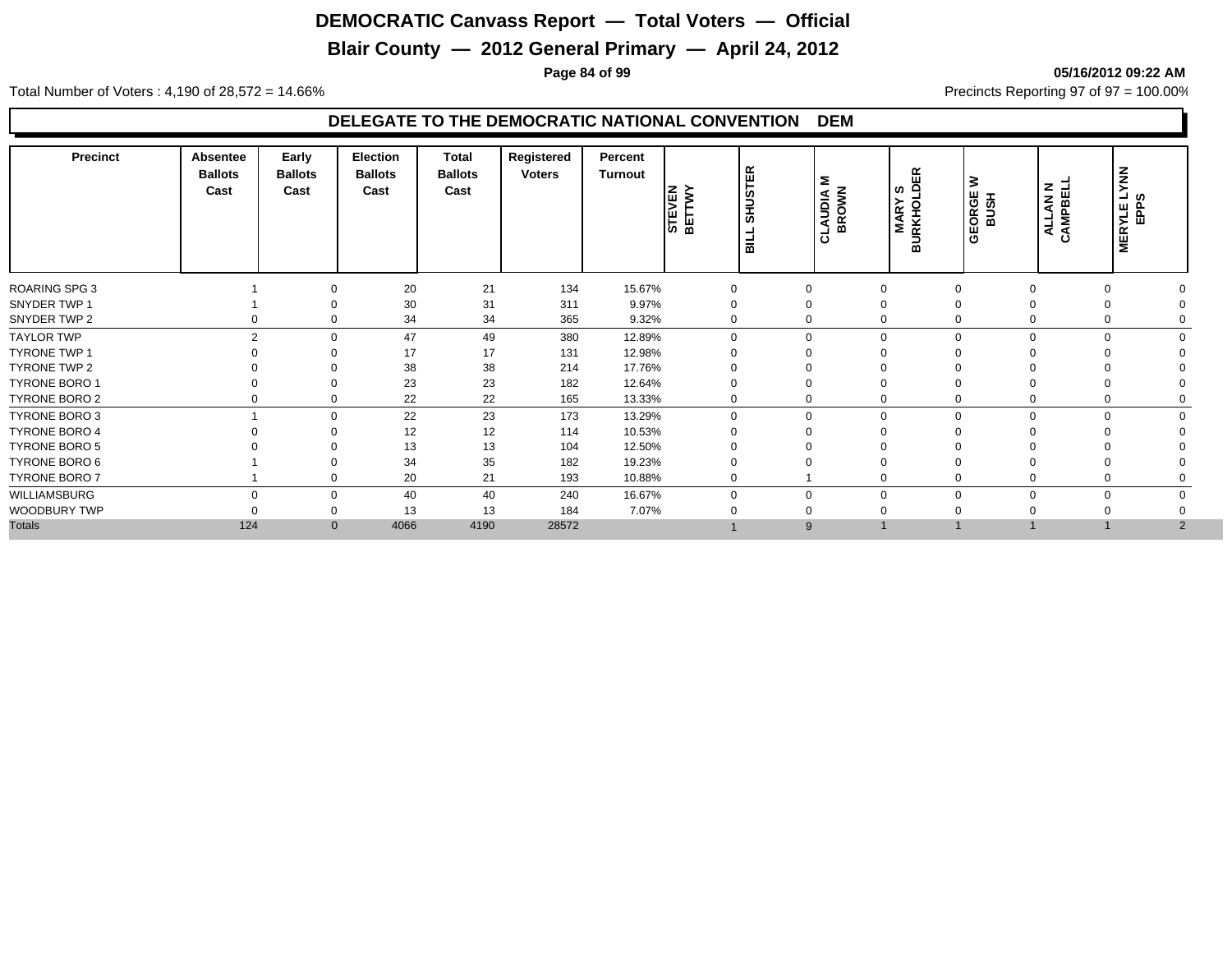# **Blair County — 2012 General Primary — April 24, 2012**

**Page 84 of 99 05/16/2012 09:22 AM**

Total Number of Voters : 4,190 of 28,572 = 14.66% Precincts Reporting 97 of 97 = 100.00%

| <b>Precinct</b>      | Absentee<br><b>Ballots</b><br>Cast | Early<br><b>Ballots</b><br>Cast | <b>Election</b><br><b>Ballots</b><br>Cast | Total<br><b>Ballots</b><br>Cast | Registered<br><b>Voters</b> | Percent<br>Turnout | STEVEN<br>BETTWY | <b>SHUSTER</b><br>BILL | Σ<br><b>BROWN</b><br><b>AUDIA</b><br>금 | 띥<br>ທ ≏<br><b>MARY</b><br>BURKHOL | ₹<br>GEORGE<br>BUSH | $z \exists$<br>CAMPBE<br>$\mathbf{z}$<br>ALL | <b>NNX</b><br>ົ⊣ ທ<br><b>MERYLE</b><br>EPPS |  |
|----------------------|------------------------------------|---------------------------------|-------------------------------------------|---------------------------------|-----------------------------|--------------------|------------------|------------------------|----------------------------------------|------------------------------------|---------------------|----------------------------------------------|---------------------------------------------|--|
| ROARING SPG 3        |                                    | $\Omega$                        | 20                                        | 21                              | 134                         | 15.67%             | 0                |                        | $\Omega$                               | 0                                  | $\Omega$            | $\Omega$                                     |                                             |  |
| SNYDER TWP 1         |                                    | $\Omega$                        | 30                                        | 31                              | 311                         | 9.97%              | $\Omega$         |                        | 0                                      | 0                                  |                     |                                              |                                             |  |
| SNYDER TWP 2         | 0                                  | $\mathbf 0$                     | 34                                        | 34                              | 365                         | 9.32%              | 0                |                        | $\mathbf 0$                            | $\mathbf 0$                        | 0                   | $\Omega$                                     |                                             |  |
| <b>TAYLOR TWP</b>    | $\mathfrak{p}$                     | $\Omega$                        | 47                                        | 49                              | 380                         | 12.89%             | $\Omega$         |                        | $\Omega$                               | $\mathbf 0$                        | $\Omega$            | $\Omega$                                     | $\cap$                                      |  |
| <b>TYRONE TWP 1</b>  |                                    | $\Omega$                        | 17                                        | 17                              | 131                         | 12.98%             | $\Omega$         |                        |                                        |                                    |                     |                                              |                                             |  |
| TYRONE TWP 2         |                                    | $\Omega$                        | 38                                        | 38                              | 214                         | 17.76%             | $\Omega$         |                        |                                        | $\Omega$                           |                     |                                              |                                             |  |
| <b>TYRONE BORO 1</b> |                                    | $\Omega$                        | 23                                        | 23                              | 182                         | 12.64%             | $\Omega$         |                        |                                        | 0                                  |                     |                                              |                                             |  |
| TYRONE BORO 2        | 0                                  | $\mathbf 0$                     | 22                                        | 22                              | 165                         | 13.33%             | 0                |                        | 0                                      | 0                                  |                     |                                              |                                             |  |
| <b>TYRONE BORO 3</b> |                                    | $\Omega$                        | 22                                        | 23                              | 173                         | 13.29%             | $\Omega$         |                        | $\Omega$                               | $\mathbf 0$                        | $\Omega$            | $\Omega$                                     | $\Omega$<br>$\Omega$                        |  |
| <b>TYRONE BORO 4</b> |                                    | $\Omega$                        | 12                                        | 12                              | 114                         | 10.53%             | $\Omega$         |                        |                                        | $\Omega$                           |                     |                                              |                                             |  |
| <b>TYRONE BORO 5</b> |                                    |                                 | 13                                        | 13                              | 104                         | 12.50%             | 0                |                        |                                        |                                    |                     |                                              |                                             |  |
| TYRONE BORO 6        |                                    | $\Omega$                        | 34                                        | 35                              | 182                         | 19.23%             | 0                |                        |                                        |                                    |                     |                                              |                                             |  |
| TYRONE BORO 7        |                                    | $\mathbf 0$                     | 20                                        | 21                              | 193                         | 10.88%             | $\Omega$         |                        |                                        | $\mathbf 0$                        |                     | $\Omega$                                     |                                             |  |
| WILLIAMSBURG         | $\Omega$                           | $\mathbf 0$                     | 40                                        | 40                              | 240                         | 16.67%             | $\Omega$         |                        | $\Omega$                               | $\mathbf{0}$                       | $\Omega$            | $\Omega$                                     | $\Omega$                                    |  |
| WOODBURY TWP         |                                    | 0                               | 13                                        | 13                              | 184                         | 7.07%              |                  |                        |                                        |                                    |                     |                                              |                                             |  |
| <b>Totals</b>        | 124                                | $\mathbf{0}$                    | 4066                                      | 4190                            | 28572                       |                    |                  |                        | 9                                      |                                    |                     |                                              | $\overline{2}$                              |  |
|                      |                                    |                                 |                                           |                                 |                             |                    |                  |                        |                                        |                                    |                     |                                              |                                             |  |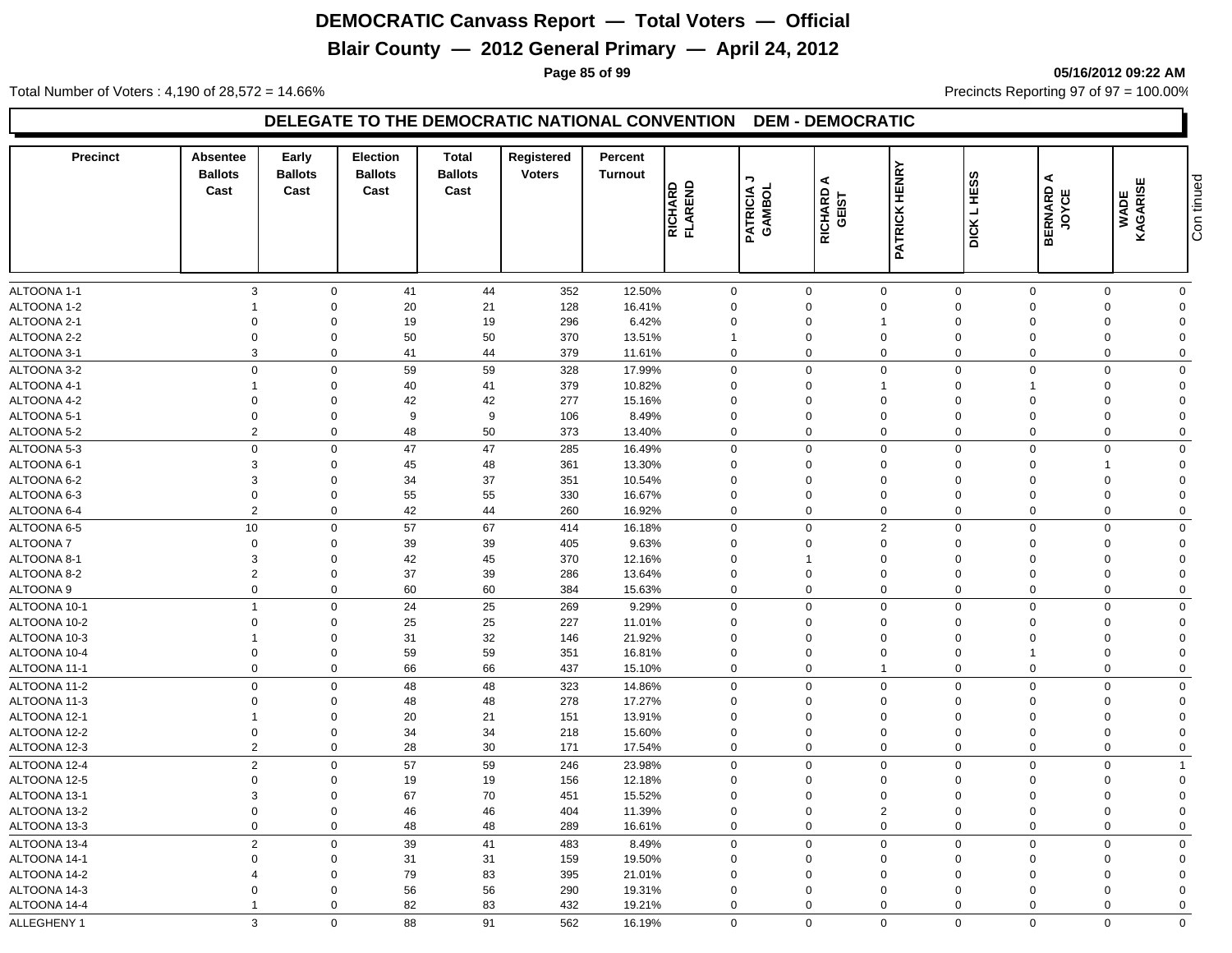# **Blair County — 2012 General Primary — April 24, 2012**

**Page 85 of 99 05/16/2012 09:22 AM**

Total Number of Voters : 4,190 of 28,572 = 14.66% Precincts Reporting 97 of 97 = 100.00%

| ALTOONA 1-1<br>$\mathbf{3}$<br>44<br>352<br>12.50%<br>$\mathbf 0$<br>$\mathbf 0$<br>$\mathbf 0$<br>41<br>0<br>$\mathbf 0$<br>$\mathbf 0$<br>$\Omega$<br>$\mathbf 0$<br>ALTOONA 1-2<br>$\mathbf 0$<br>21<br>128<br>16.41%<br>$\Omega$<br>$\mathbf 0$<br>20<br>$\Omega$<br>$\Omega$<br>$\Omega$<br>$\Omega$<br>$\Omega$<br>19<br>ALTOONA 2-1<br>296<br>6.42%<br>$\mathbf 0$<br>$\Omega$<br>19<br>$\Omega$<br>$\Omega$<br>$\overline{\mathbf{1}}$<br>$\Omega$<br>$\Omega$<br>$\Omega$<br>$\Omega$<br>50<br>ALTOONA 2-2<br>$\mathbf 0$<br>$\mathbf 0$<br>50<br>370<br>13.51%<br>$\mathbf 0$<br>$\mathbf 0$<br>$\mathbf 0$<br>$\mathbf{1}$<br>$\Omega$<br>$\Omega$<br>$\Omega$<br>ALTOONA 3-1<br>3<br>$\mathbf 0$<br>41<br>44<br>379<br>$\mathbf 0$<br>$\mathbf 0$<br>$\mathbf 0$<br>$\mathbf 0$<br>11.61%<br>$\Omega$<br>$\Omega$<br>$\Omega$<br>59<br>59<br>$\mathbf 0$<br>$\mathsf 0$<br>$\mathbf 0$<br>ALTOONA 3-2<br>$\mathbf 0$<br>$\Omega$<br>328<br>17.99%<br>$\mathbf 0$<br>$\Omega$<br>$\Omega$<br>$\Omega$<br>ALTOONA 4-1<br>40<br>41<br>379<br>10.82%<br>$\mathbf 0$<br>$\Omega$<br>$\mathbf 0$<br>$\mathbf 0$<br>$\Omega$<br>$\mathbf{1}$<br>$\Omega$<br>ALTOONA 4-2<br>$\overline{0}$<br>$\mathbf 0$<br>42<br>42<br>277<br>15.16%<br>$\mathbf 0$<br>$\mathbf 0$<br>$\mathbf 0$<br>$\mathbf 0$<br>$\Omega$<br>$\Omega$<br>$\Omega$<br>ALTOONA 5-1<br>$\mathbf 0$<br>$\mathbf 0$<br>9<br>9<br>8.49%<br>$\mathbf 0$<br>106<br>$\mathbf 0$<br>$\mathbf 0$<br>$\overline{0}$<br>$\Omega$<br>$\Omega$<br>$\Omega$<br>$\overline{2}$<br>50<br>ALTOONA 5-2<br>$\mathbf 0$<br>48<br>373<br>13.40%<br>$\mathbf 0$<br>$\mathbf 0$<br>$\mathbf 0$<br>$\mathbf 0$<br>$\Omega$<br>$\mathbf 0$<br>$\Omega$<br>$\mathbf 0$<br>47<br>$\mathsf 0$<br>ALTOONA 5-3<br>$\mathbf 0$<br>47<br>285<br>0<br>$\mathbf 0$<br>$\mathbf 0$<br>$\Omega$<br>$\Omega$<br>$\mathbf 0$<br>16.49%<br>ALTOONA 6-1<br>3<br>$\mathbf 0$<br>45<br>48<br>13.30%<br>$\mathbf 0$<br>$\mathbf 0$<br>361<br>$\mathbf 0$<br>$\mathbf 0$<br>$\Omega$<br>$\Omega$<br>ALTOONA 6-2<br>3<br>34<br>37<br>$\mathbf 0$<br>$\mathbf 0$<br>351<br>10.54%<br>$\mathbf 0$<br>$\mathbf 0$<br>$\mathbf 0$<br>$\Omega$<br>$\Omega$<br>$\Omega$<br>55<br>ALTOONA 6-3<br>$\mathbf 0$<br>$\mathbf 0$<br>55<br>330<br>16.67%<br>$\mathbf 0$<br>$\mathbf 0$<br>$\mathbf 0$<br>$\mathbf 0$<br>$\Omega$<br>$\mathbf 0$<br>$\Omega$<br>$\overline{2}$<br>$\mathbf 0$<br>42<br>44<br>16.92%<br>$\mathbf 0$<br>$\mathbf 0$<br>$\mathbf 0$<br>$\Omega$<br>$\mathbf 0$<br>ALTOONA 6-4<br>260<br>$\mathbf 0$<br>$\Omega$<br>10<br>57<br>67<br>$\mathbf 0$<br>2<br>$\mathbf 0$<br>ALTOONA 6-5<br>$\mathbf 0$<br>414<br>16.18%<br>0<br>$\mathbf 0$<br>$\Omega$<br>$\Omega$<br>$\mathbf 0$<br>39<br>39<br>9.63%<br>$\mathbf 0$<br><b>ALTOONA 7</b><br>$\mathbf 0$<br>405<br>$\mathbf 0$<br>$\mathbf 0$<br>$\mathbf 0$<br>$\Omega$<br>$\Omega$<br>$\Omega$<br>ALTOONA 8-1<br>3<br>$\mathbf 0$<br>42<br>45<br>370<br>12.16%<br>$\mathbf 0$<br>$\mathbf 0$<br>$\Omega$<br>$\Omega$<br>$\Omega$<br>$\Omega$<br>$\overline{2}$<br>39<br>$\mathbf 0$<br>37<br>$\pmb{0}$<br>ALTOONA 8-2<br>286<br>13.64%<br>$\mathbf 0$<br>$\mathbf 0$<br>$\overline{0}$<br>$\Omega$<br>$\Omega$<br>$\Omega$<br>$\mathbf{0}$<br>60<br>60<br>$\mathbf 0$<br>$\mathbf 0$<br>ALTOONA 9<br>$\mathbf 0$<br>384<br>$\mathbf 0$<br>$\mathbf 0$<br>$\mathbf 0$<br>$\mathbf 0$<br>15.63%<br>$\mathbf 0$<br>25<br>ALTOONA 10-1<br>$\overline{1}$<br>$\mathbf 0$<br>24<br>269<br>9.29%<br>0<br>$\mathbf 0$<br>$\mathbf 0$<br>$\mathbf 0$<br>$\mathbf 0$<br>$\mathbf 0$<br>$\Omega$<br>25<br>$\mathbf 0$<br>25<br>227<br>11.01%<br>$\mathbf 0$<br>$\mathbf 0$<br>$\mathbf 0$<br>$\mathbf 0$<br>$\mathbf 0$<br>$\mathbf 0$<br>$\Omega$<br>$\Omega$<br>32<br>31<br>ALTOONA 10-3<br>$\mathbf 0$<br>146<br>21.92%<br>$\mathbf 0$<br>0<br>$\mathbf 0$<br>$\mathbf 0$<br>$\Omega$<br>$\Omega$<br>$\overline{1}$<br>$\Omega$<br>59<br>59<br>$\mathbf 0$<br>ALTOONA 10-4<br>$\mathbf 0$<br>$\mathbf 0$<br>351<br>$\mathbf 0$<br>$\mathbf 0$<br>$\Omega$<br>16.81%<br>$\mathbf 0$<br>$\Omega$<br>$\mathbf{0}$<br>$\mathbf 0$<br>66<br>66<br>$\mathbf 0$<br>$\mathbf 0$<br>$\mathbf 0$<br>ALTOONA 11-1<br>437<br>15.10%<br>$\mathbf 0$<br>$\mathbf{1}$<br>$\Omega$<br>$\mathbf 0$<br>48<br>48<br>323<br>14.86%<br>$\mathbf 0$<br>$\mathbf 0$<br>$\mathbf 0$<br>$\mathbf 0$<br>$\mathbf 0$<br>$\mathbf 0$<br>$\Omega$<br>$\mathbf 0$<br>$\mathbf 0$<br>$\mathbf 0$<br>48<br>$\mathbf 0$<br>48<br>278<br>17.27%<br>$\mathbf 0$<br>0<br>$\mathbf 0$<br>$\mathbf 0$<br>$\Omega$<br>$\Omega$<br>$\Omega$<br>21<br>$\mathbf 0$<br>20<br>$\mathbf 0$<br>151<br>13.91%<br>$\Omega$<br>$\mathbf 0$<br>$\Omega$<br>$\Omega$<br>$\Omega$<br>$\overline{1}$<br>$\Omega$<br>34<br>$\mathsf 0$<br>$\mathbf 0$<br>$\mathbf 0$<br>34<br>218<br>15.60%<br>$\mathbf 0$<br>$\Omega$<br>$\Omega$<br>$\Omega$<br>$\Omega$<br>$\Omega$<br>30<br>$\overline{2}$<br>$\mathbf 0$<br>28<br>171<br>17.54%<br>0<br>$\mathbf 0$<br>$\mathbf 0$<br>$\mathbf 0$<br>$\mathbf 0$<br>$\mathbf 0$<br>$\mathbf 0$<br>59<br>$\overline{2}$<br>57<br>$\mathsf 0$<br>$\mathbf 0$<br>246<br>23.98%<br>$\mathbf 0$<br>$\mathbf 0$<br>$\overline{0}$<br>$\Omega$<br>$\Omega$<br>$\overline{1}$<br>19<br>$\mathbf 0$<br>19<br>$\mathbf 0$<br>$\mathbf 0$<br>156<br>12.18%<br>$\Omega$<br>$\mathbf 0$<br>$\mathbf 0$<br>$\Omega$<br>$\Omega$<br>$\Omega$<br>$\mathbf{3}$<br>67<br>70<br>$\mathbf 0$<br>15.52%<br>$\mathbf 0$<br>$\mathbf 0$<br>$\Omega$<br>451<br>$\mathbf 0$<br>$\mathbf 0$<br>$\Omega$<br>$\Omega$<br>2<br>$\mathbf 0$<br>$\mathbf 0$<br>46<br>46<br>404<br>11.39%<br>0<br>$\mathbf 0$<br>$\mathbf 0$<br>$\Omega$<br>$\mathbf 0$<br>$\Omega$<br>$\mathbf 0$<br>$\mathbf 0$<br>48<br>48<br>289<br>16.61%<br>$\mathbf 0$<br>$\mathbf 0$<br>$\mathbf 0$<br>$\Omega$<br>$\Omega$<br>$\mathbf 0$<br>0<br>$\overline{2}$<br>39<br>41<br>$\mathsf 0$<br>$\mathbf 0$<br>$\mathbf 0$<br>$\mathbf 0$<br>$\mathbf 0$<br>$\mathbf 0$<br>483<br>8.49%<br>$\mathbf 0$<br>$\Omega$<br>$\mathbf 0$<br>31<br>31<br>$\mathbf 0$<br>$\mathbf 0$<br>$\Omega$<br>159<br>19.50%<br>$\Omega$<br>$\Omega$<br>$\Omega$<br>$\Omega$<br>$\Omega$<br>$\mathbf 0$<br>79<br>83<br>395<br>21.01%<br>$\mathbf 0$<br>$\mathbf 0$<br>$\mathbf 0$<br>$\Omega$<br>$\Omega$<br>$\Omega$<br>$\Omega$<br>$\overline{4}$<br>$\mathbf 0$<br>56<br>56<br>290<br>19.31%<br>$\mathbf 0$<br>$\mathbf 0$<br>$\mathbf 0$<br>$\mathbf 0$<br>$\Omega$<br>$\Omega$<br>$\Omega$<br>$\Omega$<br>$\Omega$<br>82<br>83<br>432<br>19.21%<br>$\mathbf 0$<br>$\Omega$<br>$\mathbf 0$<br>$\Omega$<br>$\Omega$<br>$\mathbf 0$<br>$\overline{1}$<br>$\Omega$<br>3<br>88<br>91<br>562<br>$\mathbf 0$<br>$\mathbf 0$<br>$\mathbf 0$<br>$\mathbf 0$<br>$\mathbf 0$<br>$\mathbf 0$<br>$\mathbf 0$<br>$\mathbf 0$<br>16.19% | <b>Precinct</b> | Absentee<br><b>Ballots</b><br>Cast | Early<br><b>Ballots</b><br>Cast | <b>Election</b><br><b>Ballots</b><br>Cast | Total<br><b>Ballots</b><br>Cast | Registered<br><b>Voters</b> | Percent<br><b>Turnout</b> | <b>RICHARD</b><br>FLAREND | ¬<br>PATRICIA<br>GAMBOL | ⋖<br>RICHARD<br>GEIST | <b>PATRICK HENRY</b> | <b>DICK L HESS</b> | ⋖<br><b>BERNARD</b><br>JOYCE | WADE<br>KAGARISE | Con tinued |
|------------------------------------------------------------------------------------------------------------------------------------------------------------------------------------------------------------------------------------------------------------------------------------------------------------------------------------------------------------------------------------------------------------------------------------------------------------------------------------------------------------------------------------------------------------------------------------------------------------------------------------------------------------------------------------------------------------------------------------------------------------------------------------------------------------------------------------------------------------------------------------------------------------------------------------------------------------------------------------------------------------------------------------------------------------------------------------------------------------------------------------------------------------------------------------------------------------------------------------------------------------------------------------------------------------------------------------------------------------------------------------------------------------------------------------------------------------------------------------------------------------------------------------------------------------------------------------------------------------------------------------------------------------------------------------------------------------------------------------------------------------------------------------------------------------------------------------------------------------------------------------------------------------------------------------------------------------------------------------------------------------------------------------------------------------------------------------------------------------------------------------------------------------------------------------------------------------------------------------------------------------------------------------------------------------------------------------------------------------------------------------------------------------------------------------------------------------------------------------------------------------------------------------------------------------------------------------------------------------------------------------------------------------------------------------------------------------------------------------------------------------------------------------------------------------------------------------------------------------------------------------------------------------------------------------------------------------------------------------------------------------------------------------------------------------------------------------------------------------------------------------------------------------------------------------------------------------------------------------------------------------------------------------------------------------------------------------------------------------------------------------------------------------------------------------------------------------------------------------------------------------------------------------------------------------------------------------------------------------------------------------------------------------------------------------------------------------------------------------------------------------------------------------------------------------------------------------------------------------------------------------------------------------------------------------------------------------------------------------------------------------------------------------------------------------------------------------------------------------------------------------------------------------------------------------------------------------------------------------------------------------------------------------------------------------------------------------------------------------------------------------------------------------------------------------------------------------------------------------------------------------------------------------------------------------------------------------------------------------------------------------------------------------------------------------------------------------------------------------------------------------------------------------------------------------------------------------------------------------------------------------------------------------------------------------------------------------------------------------------------------------------------------------------------------------------------------------------------------------------------------------------------------------------------------------------------------------------------------------------------------------------------------------------------------------------------------------------------------------------------------------------------------------------------------------------------------------------------------------------------------------------------------------------------------------------------------------------------------------------------------------------------------------------------------------------------------------------------------------------------------------------------------------------------------------------------------------------------------------------------------------------------------------------------------------------------------------------------------------------------------------------------------------------------------------------------------------------------------------------------------------------------------------------------------------------------------------------------------------------------------------------------------------------------------------------------------------------------------------------------------------------------------------------------------------------------------------------------------------------------------------------------------------------------------------------------------------------------------------------------------------------------------------------------------------------------------------------------------------------------------------------------------------------------------------------|-----------------|------------------------------------|---------------------------------|-------------------------------------------|---------------------------------|-----------------------------|---------------------------|---------------------------|-------------------------|-----------------------|----------------------|--------------------|------------------------------|------------------|------------|
|                                                                                                                                                                                                                                                                                                                                                                                                                                                                                                                                                                                                                                                                                                                                                                                                                                                                                                                                                                                                                                                                                                                                                                                                                                                                                                                                                                                                                                                                                                                                                                                                                                                                                                                                                                                                                                                                                                                                                                                                                                                                                                                                                                                                                                                                                                                                                                                                                                                                                                                                                                                                                                                                                                                                                                                                                                                                                                                                                                                                                                                                                                                                                                                                                                                                                                                                                                                                                                                                                                                                                                                                                                                                                                                                                                                                                                                                                                                                                                                                                                                                                                                                                                                                                                                                                                                                                                                                                                                                                                                                                                                                                                                                                                                                                                                                                                                                                                                                                                                                                                                                                                                                                                                                                                                                                                                                                                                                                                                                                                                                                                                                                                                                                                                                                                                                                                                                                                                                                                                                                                                                                                                                                                                                                                                                                                                                                                                                                                                                                                                                                                                                                                                                                                                                                                                                                  |                 |                                    |                                 |                                           |                                 |                             |                           |                           |                         |                       |                      |                    |                              |                  |            |
|                                                                                                                                                                                                                                                                                                                                                                                                                                                                                                                                                                                                                                                                                                                                                                                                                                                                                                                                                                                                                                                                                                                                                                                                                                                                                                                                                                                                                                                                                                                                                                                                                                                                                                                                                                                                                                                                                                                                                                                                                                                                                                                                                                                                                                                                                                                                                                                                                                                                                                                                                                                                                                                                                                                                                                                                                                                                                                                                                                                                                                                                                                                                                                                                                                                                                                                                                                                                                                                                                                                                                                                                                                                                                                                                                                                                                                                                                                                                                                                                                                                                                                                                                                                                                                                                                                                                                                                                                                                                                                                                                                                                                                                                                                                                                                                                                                                                                                                                                                                                                                                                                                                                                                                                                                                                                                                                                                                                                                                                                                                                                                                                                                                                                                                                                                                                                                                                                                                                                                                                                                                                                                                                                                                                                                                                                                                                                                                                                                                                                                                                                                                                                                                                                                                                                                                                                  |                 |                                    |                                 |                                           |                                 |                             |                           |                           |                         |                       |                      |                    |                              |                  |            |
|                                                                                                                                                                                                                                                                                                                                                                                                                                                                                                                                                                                                                                                                                                                                                                                                                                                                                                                                                                                                                                                                                                                                                                                                                                                                                                                                                                                                                                                                                                                                                                                                                                                                                                                                                                                                                                                                                                                                                                                                                                                                                                                                                                                                                                                                                                                                                                                                                                                                                                                                                                                                                                                                                                                                                                                                                                                                                                                                                                                                                                                                                                                                                                                                                                                                                                                                                                                                                                                                                                                                                                                                                                                                                                                                                                                                                                                                                                                                                                                                                                                                                                                                                                                                                                                                                                                                                                                                                                                                                                                                                                                                                                                                                                                                                                                                                                                                                                                                                                                                                                                                                                                                                                                                                                                                                                                                                                                                                                                                                                                                                                                                                                                                                                                                                                                                                                                                                                                                                                                                                                                                                                                                                                                                                                                                                                                                                                                                                                                                                                                                                                                                                                                                                                                                                                                                                  |                 |                                    |                                 |                                           |                                 |                             |                           |                           |                         |                       |                      |                    |                              |                  |            |
|                                                                                                                                                                                                                                                                                                                                                                                                                                                                                                                                                                                                                                                                                                                                                                                                                                                                                                                                                                                                                                                                                                                                                                                                                                                                                                                                                                                                                                                                                                                                                                                                                                                                                                                                                                                                                                                                                                                                                                                                                                                                                                                                                                                                                                                                                                                                                                                                                                                                                                                                                                                                                                                                                                                                                                                                                                                                                                                                                                                                                                                                                                                                                                                                                                                                                                                                                                                                                                                                                                                                                                                                                                                                                                                                                                                                                                                                                                                                                                                                                                                                                                                                                                                                                                                                                                                                                                                                                                                                                                                                                                                                                                                                                                                                                                                                                                                                                                                                                                                                                                                                                                                                                                                                                                                                                                                                                                                                                                                                                                                                                                                                                                                                                                                                                                                                                                                                                                                                                                                                                                                                                                                                                                                                                                                                                                                                                                                                                                                                                                                                                                                                                                                                                                                                                                                                                  |                 |                                    |                                 |                                           |                                 |                             |                           |                           |                         |                       |                      |                    |                              |                  |            |
|                                                                                                                                                                                                                                                                                                                                                                                                                                                                                                                                                                                                                                                                                                                                                                                                                                                                                                                                                                                                                                                                                                                                                                                                                                                                                                                                                                                                                                                                                                                                                                                                                                                                                                                                                                                                                                                                                                                                                                                                                                                                                                                                                                                                                                                                                                                                                                                                                                                                                                                                                                                                                                                                                                                                                                                                                                                                                                                                                                                                                                                                                                                                                                                                                                                                                                                                                                                                                                                                                                                                                                                                                                                                                                                                                                                                                                                                                                                                                                                                                                                                                                                                                                                                                                                                                                                                                                                                                                                                                                                                                                                                                                                                                                                                                                                                                                                                                                                                                                                                                                                                                                                                                                                                                                                                                                                                                                                                                                                                                                                                                                                                                                                                                                                                                                                                                                                                                                                                                                                                                                                                                                                                                                                                                                                                                                                                                                                                                                                                                                                                                                                                                                                                                                                                                                                                                  |                 |                                    |                                 |                                           |                                 |                             |                           |                           |                         |                       |                      |                    |                              |                  |            |
|                                                                                                                                                                                                                                                                                                                                                                                                                                                                                                                                                                                                                                                                                                                                                                                                                                                                                                                                                                                                                                                                                                                                                                                                                                                                                                                                                                                                                                                                                                                                                                                                                                                                                                                                                                                                                                                                                                                                                                                                                                                                                                                                                                                                                                                                                                                                                                                                                                                                                                                                                                                                                                                                                                                                                                                                                                                                                                                                                                                                                                                                                                                                                                                                                                                                                                                                                                                                                                                                                                                                                                                                                                                                                                                                                                                                                                                                                                                                                                                                                                                                                                                                                                                                                                                                                                                                                                                                                                                                                                                                                                                                                                                                                                                                                                                                                                                                                                                                                                                                                                                                                                                                                                                                                                                                                                                                                                                                                                                                                                                                                                                                                                                                                                                                                                                                                                                                                                                                                                                                                                                                                                                                                                                                                                                                                                                                                                                                                                                                                                                                                                                                                                                                                                                                                                                                                  |                 |                                    |                                 |                                           |                                 |                             |                           |                           |                         |                       |                      |                    |                              |                  |            |
|                                                                                                                                                                                                                                                                                                                                                                                                                                                                                                                                                                                                                                                                                                                                                                                                                                                                                                                                                                                                                                                                                                                                                                                                                                                                                                                                                                                                                                                                                                                                                                                                                                                                                                                                                                                                                                                                                                                                                                                                                                                                                                                                                                                                                                                                                                                                                                                                                                                                                                                                                                                                                                                                                                                                                                                                                                                                                                                                                                                                                                                                                                                                                                                                                                                                                                                                                                                                                                                                                                                                                                                                                                                                                                                                                                                                                                                                                                                                                                                                                                                                                                                                                                                                                                                                                                                                                                                                                                                                                                                                                                                                                                                                                                                                                                                                                                                                                                                                                                                                                                                                                                                                                                                                                                                                                                                                                                                                                                                                                                                                                                                                                                                                                                                                                                                                                                                                                                                                                                                                                                                                                                                                                                                                                                                                                                                                                                                                                                                                                                                                                                                                                                                                                                                                                                                                                  |                 |                                    |                                 |                                           |                                 |                             |                           |                           |                         |                       |                      |                    |                              |                  |            |
|                                                                                                                                                                                                                                                                                                                                                                                                                                                                                                                                                                                                                                                                                                                                                                                                                                                                                                                                                                                                                                                                                                                                                                                                                                                                                                                                                                                                                                                                                                                                                                                                                                                                                                                                                                                                                                                                                                                                                                                                                                                                                                                                                                                                                                                                                                                                                                                                                                                                                                                                                                                                                                                                                                                                                                                                                                                                                                                                                                                                                                                                                                                                                                                                                                                                                                                                                                                                                                                                                                                                                                                                                                                                                                                                                                                                                                                                                                                                                                                                                                                                                                                                                                                                                                                                                                                                                                                                                                                                                                                                                                                                                                                                                                                                                                                                                                                                                                                                                                                                                                                                                                                                                                                                                                                                                                                                                                                                                                                                                                                                                                                                                                                                                                                                                                                                                                                                                                                                                                                                                                                                                                                                                                                                                                                                                                                                                                                                                                                                                                                                                                                                                                                                                                                                                                                                                  |                 |                                    |                                 |                                           |                                 |                             |                           |                           |                         |                       |                      |                    |                              |                  |            |
|                                                                                                                                                                                                                                                                                                                                                                                                                                                                                                                                                                                                                                                                                                                                                                                                                                                                                                                                                                                                                                                                                                                                                                                                                                                                                                                                                                                                                                                                                                                                                                                                                                                                                                                                                                                                                                                                                                                                                                                                                                                                                                                                                                                                                                                                                                                                                                                                                                                                                                                                                                                                                                                                                                                                                                                                                                                                                                                                                                                                                                                                                                                                                                                                                                                                                                                                                                                                                                                                                                                                                                                                                                                                                                                                                                                                                                                                                                                                                                                                                                                                                                                                                                                                                                                                                                                                                                                                                                                                                                                                                                                                                                                                                                                                                                                                                                                                                                                                                                                                                                                                                                                                                                                                                                                                                                                                                                                                                                                                                                                                                                                                                                                                                                                                                                                                                                                                                                                                                                                                                                                                                                                                                                                                                                                                                                                                                                                                                                                                                                                                                                                                                                                                                                                                                                                                                  |                 |                                    |                                 |                                           |                                 |                             |                           |                           |                         |                       |                      |                    |                              |                  |            |
|                                                                                                                                                                                                                                                                                                                                                                                                                                                                                                                                                                                                                                                                                                                                                                                                                                                                                                                                                                                                                                                                                                                                                                                                                                                                                                                                                                                                                                                                                                                                                                                                                                                                                                                                                                                                                                                                                                                                                                                                                                                                                                                                                                                                                                                                                                                                                                                                                                                                                                                                                                                                                                                                                                                                                                                                                                                                                                                                                                                                                                                                                                                                                                                                                                                                                                                                                                                                                                                                                                                                                                                                                                                                                                                                                                                                                                                                                                                                                                                                                                                                                                                                                                                                                                                                                                                                                                                                                                                                                                                                                                                                                                                                                                                                                                                                                                                                                                                                                                                                                                                                                                                                                                                                                                                                                                                                                                                                                                                                                                                                                                                                                                                                                                                                                                                                                                                                                                                                                                                                                                                                                                                                                                                                                                                                                                                                                                                                                                                                                                                                                                                                                                                                                                                                                                                                                  |                 |                                    |                                 |                                           |                                 |                             |                           |                           |                         |                       |                      |                    |                              |                  |            |
|                                                                                                                                                                                                                                                                                                                                                                                                                                                                                                                                                                                                                                                                                                                                                                                                                                                                                                                                                                                                                                                                                                                                                                                                                                                                                                                                                                                                                                                                                                                                                                                                                                                                                                                                                                                                                                                                                                                                                                                                                                                                                                                                                                                                                                                                                                                                                                                                                                                                                                                                                                                                                                                                                                                                                                                                                                                                                                                                                                                                                                                                                                                                                                                                                                                                                                                                                                                                                                                                                                                                                                                                                                                                                                                                                                                                                                                                                                                                                                                                                                                                                                                                                                                                                                                                                                                                                                                                                                                                                                                                                                                                                                                                                                                                                                                                                                                                                                                                                                                                                                                                                                                                                                                                                                                                                                                                                                                                                                                                                                                                                                                                                                                                                                                                                                                                                                                                                                                                                                                                                                                                                                                                                                                                                                                                                                                                                                                                                                                                                                                                                                                                                                                                                                                                                                                                                  |                 |                                    |                                 |                                           |                                 |                             |                           |                           |                         |                       |                      |                    |                              |                  |            |
|                                                                                                                                                                                                                                                                                                                                                                                                                                                                                                                                                                                                                                                                                                                                                                                                                                                                                                                                                                                                                                                                                                                                                                                                                                                                                                                                                                                                                                                                                                                                                                                                                                                                                                                                                                                                                                                                                                                                                                                                                                                                                                                                                                                                                                                                                                                                                                                                                                                                                                                                                                                                                                                                                                                                                                                                                                                                                                                                                                                                                                                                                                                                                                                                                                                                                                                                                                                                                                                                                                                                                                                                                                                                                                                                                                                                                                                                                                                                                                                                                                                                                                                                                                                                                                                                                                                                                                                                                                                                                                                                                                                                                                                                                                                                                                                                                                                                                                                                                                                                                                                                                                                                                                                                                                                                                                                                                                                                                                                                                                                                                                                                                                                                                                                                                                                                                                                                                                                                                                                                                                                                                                                                                                                                                                                                                                                                                                                                                                                                                                                                                                                                                                                                                                                                                                                                                  |                 |                                    |                                 |                                           |                                 |                             |                           |                           |                         |                       |                      |                    |                              |                  |            |
|                                                                                                                                                                                                                                                                                                                                                                                                                                                                                                                                                                                                                                                                                                                                                                                                                                                                                                                                                                                                                                                                                                                                                                                                                                                                                                                                                                                                                                                                                                                                                                                                                                                                                                                                                                                                                                                                                                                                                                                                                                                                                                                                                                                                                                                                                                                                                                                                                                                                                                                                                                                                                                                                                                                                                                                                                                                                                                                                                                                                                                                                                                                                                                                                                                                                                                                                                                                                                                                                                                                                                                                                                                                                                                                                                                                                                                                                                                                                                                                                                                                                                                                                                                                                                                                                                                                                                                                                                                                                                                                                                                                                                                                                                                                                                                                                                                                                                                                                                                                                                                                                                                                                                                                                                                                                                                                                                                                                                                                                                                                                                                                                                                                                                                                                                                                                                                                                                                                                                                                                                                                                                                                                                                                                                                                                                                                                                                                                                                                                                                                                                                                                                                                                                                                                                                                                                  |                 |                                    |                                 |                                           |                                 |                             |                           |                           |                         |                       |                      |                    |                              |                  |            |
|                                                                                                                                                                                                                                                                                                                                                                                                                                                                                                                                                                                                                                                                                                                                                                                                                                                                                                                                                                                                                                                                                                                                                                                                                                                                                                                                                                                                                                                                                                                                                                                                                                                                                                                                                                                                                                                                                                                                                                                                                                                                                                                                                                                                                                                                                                                                                                                                                                                                                                                                                                                                                                                                                                                                                                                                                                                                                                                                                                                                                                                                                                                                                                                                                                                                                                                                                                                                                                                                                                                                                                                                                                                                                                                                                                                                                                                                                                                                                                                                                                                                                                                                                                                                                                                                                                                                                                                                                                                                                                                                                                                                                                                                                                                                                                                                                                                                                                                                                                                                                                                                                                                                                                                                                                                                                                                                                                                                                                                                                                                                                                                                                                                                                                                                                                                                                                                                                                                                                                                                                                                                                                                                                                                                                                                                                                                                                                                                                                                                                                                                                                                                                                                                                                                                                                                                                  |                 |                                    |                                 |                                           |                                 |                             |                           |                           |                         |                       |                      |                    |                              |                  |            |
|                                                                                                                                                                                                                                                                                                                                                                                                                                                                                                                                                                                                                                                                                                                                                                                                                                                                                                                                                                                                                                                                                                                                                                                                                                                                                                                                                                                                                                                                                                                                                                                                                                                                                                                                                                                                                                                                                                                                                                                                                                                                                                                                                                                                                                                                                                                                                                                                                                                                                                                                                                                                                                                                                                                                                                                                                                                                                                                                                                                                                                                                                                                                                                                                                                                                                                                                                                                                                                                                                                                                                                                                                                                                                                                                                                                                                                                                                                                                                                                                                                                                                                                                                                                                                                                                                                                                                                                                                                                                                                                                                                                                                                                                                                                                                                                                                                                                                                                                                                                                                                                                                                                                                                                                                                                                                                                                                                                                                                                                                                                                                                                                                                                                                                                                                                                                                                                                                                                                                                                                                                                                                                                                                                                                                                                                                                                                                                                                                                                                                                                                                                                                                                                                                                                                                                                                                  |                 |                                    |                                 |                                           |                                 |                             |                           |                           |                         |                       |                      |                    |                              |                  |            |
|                                                                                                                                                                                                                                                                                                                                                                                                                                                                                                                                                                                                                                                                                                                                                                                                                                                                                                                                                                                                                                                                                                                                                                                                                                                                                                                                                                                                                                                                                                                                                                                                                                                                                                                                                                                                                                                                                                                                                                                                                                                                                                                                                                                                                                                                                                                                                                                                                                                                                                                                                                                                                                                                                                                                                                                                                                                                                                                                                                                                                                                                                                                                                                                                                                                                                                                                                                                                                                                                                                                                                                                                                                                                                                                                                                                                                                                                                                                                                                                                                                                                                                                                                                                                                                                                                                                                                                                                                                                                                                                                                                                                                                                                                                                                                                                                                                                                                                                                                                                                                                                                                                                                                                                                                                                                                                                                                                                                                                                                                                                                                                                                                                                                                                                                                                                                                                                                                                                                                                                                                                                                                                                                                                                                                                                                                                                                                                                                                                                                                                                                                                                                                                                                                                                                                                                                                  |                 |                                    |                                 |                                           |                                 |                             |                           |                           |                         |                       |                      |                    |                              |                  |            |
|                                                                                                                                                                                                                                                                                                                                                                                                                                                                                                                                                                                                                                                                                                                                                                                                                                                                                                                                                                                                                                                                                                                                                                                                                                                                                                                                                                                                                                                                                                                                                                                                                                                                                                                                                                                                                                                                                                                                                                                                                                                                                                                                                                                                                                                                                                                                                                                                                                                                                                                                                                                                                                                                                                                                                                                                                                                                                                                                                                                                                                                                                                                                                                                                                                                                                                                                                                                                                                                                                                                                                                                                                                                                                                                                                                                                                                                                                                                                                                                                                                                                                                                                                                                                                                                                                                                                                                                                                                                                                                                                                                                                                                                                                                                                                                                                                                                                                                                                                                                                                                                                                                                                                                                                                                                                                                                                                                                                                                                                                                                                                                                                                                                                                                                                                                                                                                                                                                                                                                                                                                                                                                                                                                                                                                                                                                                                                                                                                                                                                                                                                                                                                                                                                                                                                                                                                  |                 |                                    |                                 |                                           |                                 |                             |                           |                           |                         |                       |                      |                    |                              |                  |            |
|                                                                                                                                                                                                                                                                                                                                                                                                                                                                                                                                                                                                                                                                                                                                                                                                                                                                                                                                                                                                                                                                                                                                                                                                                                                                                                                                                                                                                                                                                                                                                                                                                                                                                                                                                                                                                                                                                                                                                                                                                                                                                                                                                                                                                                                                                                                                                                                                                                                                                                                                                                                                                                                                                                                                                                                                                                                                                                                                                                                                                                                                                                                                                                                                                                                                                                                                                                                                                                                                                                                                                                                                                                                                                                                                                                                                                                                                                                                                                                                                                                                                                                                                                                                                                                                                                                                                                                                                                                                                                                                                                                                                                                                                                                                                                                                                                                                                                                                                                                                                                                                                                                                                                                                                                                                                                                                                                                                                                                                                                                                                                                                                                                                                                                                                                                                                                                                                                                                                                                                                                                                                                                                                                                                                                                                                                                                                                                                                                                                                                                                                                                                                                                                                                                                                                                                                                  |                 |                                    |                                 |                                           |                                 |                             |                           |                           |                         |                       |                      |                    |                              |                  |            |
|                                                                                                                                                                                                                                                                                                                                                                                                                                                                                                                                                                                                                                                                                                                                                                                                                                                                                                                                                                                                                                                                                                                                                                                                                                                                                                                                                                                                                                                                                                                                                                                                                                                                                                                                                                                                                                                                                                                                                                                                                                                                                                                                                                                                                                                                                                                                                                                                                                                                                                                                                                                                                                                                                                                                                                                                                                                                                                                                                                                                                                                                                                                                                                                                                                                                                                                                                                                                                                                                                                                                                                                                                                                                                                                                                                                                                                                                                                                                                                                                                                                                                                                                                                                                                                                                                                                                                                                                                                                                                                                                                                                                                                                                                                                                                                                                                                                                                                                                                                                                                                                                                                                                                                                                                                                                                                                                                                                                                                                                                                                                                                                                                                                                                                                                                                                                                                                                                                                                                                                                                                                                                                                                                                                                                                                                                                                                                                                                                                                                                                                                                                                                                                                                                                                                                                                                                  |                 |                                    |                                 |                                           |                                 |                             |                           |                           |                         |                       |                      |                    |                              |                  |            |
|                                                                                                                                                                                                                                                                                                                                                                                                                                                                                                                                                                                                                                                                                                                                                                                                                                                                                                                                                                                                                                                                                                                                                                                                                                                                                                                                                                                                                                                                                                                                                                                                                                                                                                                                                                                                                                                                                                                                                                                                                                                                                                                                                                                                                                                                                                                                                                                                                                                                                                                                                                                                                                                                                                                                                                                                                                                                                                                                                                                                                                                                                                                                                                                                                                                                                                                                                                                                                                                                                                                                                                                                                                                                                                                                                                                                                                                                                                                                                                                                                                                                                                                                                                                                                                                                                                                                                                                                                                                                                                                                                                                                                                                                                                                                                                                                                                                                                                                                                                                                                                                                                                                                                                                                                                                                                                                                                                                                                                                                                                                                                                                                                                                                                                                                                                                                                                                                                                                                                                                                                                                                                                                                                                                                                                                                                                                                                                                                                                                                                                                                                                                                                                                                                                                                                                                                                  |                 |                                    |                                 |                                           |                                 |                             |                           |                           |                         |                       |                      |                    |                              |                  |            |
|                                                                                                                                                                                                                                                                                                                                                                                                                                                                                                                                                                                                                                                                                                                                                                                                                                                                                                                                                                                                                                                                                                                                                                                                                                                                                                                                                                                                                                                                                                                                                                                                                                                                                                                                                                                                                                                                                                                                                                                                                                                                                                                                                                                                                                                                                                                                                                                                                                                                                                                                                                                                                                                                                                                                                                                                                                                                                                                                                                                                                                                                                                                                                                                                                                                                                                                                                                                                                                                                                                                                                                                                                                                                                                                                                                                                                                                                                                                                                                                                                                                                                                                                                                                                                                                                                                                                                                                                                                                                                                                                                                                                                                                                                                                                                                                                                                                                                                                                                                                                                                                                                                                                                                                                                                                                                                                                                                                                                                                                                                                                                                                                                                                                                                                                                                                                                                                                                                                                                                                                                                                                                                                                                                                                                                                                                                                                                                                                                                                                                                                                                                                                                                                                                                                                                                                                                  |                 |                                    |                                 |                                           |                                 |                             |                           |                           |                         |                       |                      |                    |                              |                  |            |
|                                                                                                                                                                                                                                                                                                                                                                                                                                                                                                                                                                                                                                                                                                                                                                                                                                                                                                                                                                                                                                                                                                                                                                                                                                                                                                                                                                                                                                                                                                                                                                                                                                                                                                                                                                                                                                                                                                                                                                                                                                                                                                                                                                                                                                                                                                                                                                                                                                                                                                                                                                                                                                                                                                                                                                                                                                                                                                                                                                                                                                                                                                                                                                                                                                                                                                                                                                                                                                                                                                                                                                                                                                                                                                                                                                                                                                                                                                                                                                                                                                                                                                                                                                                                                                                                                                                                                                                                                                                                                                                                                                                                                                                                                                                                                                                                                                                                                                                                                                                                                                                                                                                                                                                                                                                                                                                                                                                                                                                                                                                                                                                                                                                                                                                                                                                                                                                                                                                                                                                                                                                                                                                                                                                                                                                                                                                                                                                                                                                                                                                                                                                                                                                                                                                                                                                                                  |                 |                                    |                                 |                                           |                                 |                             |                           |                           |                         |                       |                      |                    |                              |                  |            |
|                                                                                                                                                                                                                                                                                                                                                                                                                                                                                                                                                                                                                                                                                                                                                                                                                                                                                                                                                                                                                                                                                                                                                                                                                                                                                                                                                                                                                                                                                                                                                                                                                                                                                                                                                                                                                                                                                                                                                                                                                                                                                                                                                                                                                                                                                                                                                                                                                                                                                                                                                                                                                                                                                                                                                                                                                                                                                                                                                                                                                                                                                                                                                                                                                                                                                                                                                                                                                                                                                                                                                                                                                                                                                                                                                                                                                                                                                                                                                                                                                                                                                                                                                                                                                                                                                                                                                                                                                                                                                                                                                                                                                                                                                                                                                                                                                                                                                                                                                                                                                                                                                                                                                                                                                                                                                                                                                                                                                                                                                                                                                                                                                                                                                                                                                                                                                                                                                                                                                                                                                                                                                                                                                                                                                                                                                                                                                                                                                                                                                                                                                                                                                                                                                                                                                                                                                  | ALTOONA 10-2    |                                    |                                 |                                           |                                 |                             |                           |                           |                         |                       |                      |                    |                              |                  |            |
|                                                                                                                                                                                                                                                                                                                                                                                                                                                                                                                                                                                                                                                                                                                                                                                                                                                                                                                                                                                                                                                                                                                                                                                                                                                                                                                                                                                                                                                                                                                                                                                                                                                                                                                                                                                                                                                                                                                                                                                                                                                                                                                                                                                                                                                                                                                                                                                                                                                                                                                                                                                                                                                                                                                                                                                                                                                                                                                                                                                                                                                                                                                                                                                                                                                                                                                                                                                                                                                                                                                                                                                                                                                                                                                                                                                                                                                                                                                                                                                                                                                                                                                                                                                                                                                                                                                                                                                                                                                                                                                                                                                                                                                                                                                                                                                                                                                                                                                                                                                                                                                                                                                                                                                                                                                                                                                                                                                                                                                                                                                                                                                                                                                                                                                                                                                                                                                                                                                                                                                                                                                                                                                                                                                                                                                                                                                                                                                                                                                                                                                                                                                                                                                                                                                                                                                                                  |                 |                                    |                                 |                                           |                                 |                             |                           |                           |                         |                       |                      |                    |                              |                  |            |
|                                                                                                                                                                                                                                                                                                                                                                                                                                                                                                                                                                                                                                                                                                                                                                                                                                                                                                                                                                                                                                                                                                                                                                                                                                                                                                                                                                                                                                                                                                                                                                                                                                                                                                                                                                                                                                                                                                                                                                                                                                                                                                                                                                                                                                                                                                                                                                                                                                                                                                                                                                                                                                                                                                                                                                                                                                                                                                                                                                                                                                                                                                                                                                                                                                                                                                                                                                                                                                                                                                                                                                                                                                                                                                                                                                                                                                                                                                                                                                                                                                                                                                                                                                                                                                                                                                                                                                                                                                                                                                                                                                                                                                                                                                                                                                                                                                                                                                                                                                                                                                                                                                                                                                                                                                                                                                                                                                                                                                                                                                                                                                                                                                                                                                                                                                                                                                                                                                                                                                                                                                                                                                                                                                                                                                                                                                                                                                                                                                                                                                                                                                                                                                                                                                                                                                                                                  |                 |                                    |                                 |                                           |                                 |                             |                           |                           |                         |                       |                      |                    |                              |                  |            |
|                                                                                                                                                                                                                                                                                                                                                                                                                                                                                                                                                                                                                                                                                                                                                                                                                                                                                                                                                                                                                                                                                                                                                                                                                                                                                                                                                                                                                                                                                                                                                                                                                                                                                                                                                                                                                                                                                                                                                                                                                                                                                                                                                                                                                                                                                                                                                                                                                                                                                                                                                                                                                                                                                                                                                                                                                                                                                                                                                                                                                                                                                                                                                                                                                                                                                                                                                                                                                                                                                                                                                                                                                                                                                                                                                                                                                                                                                                                                                                                                                                                                                                                                                                                                                                                                                                                                                                                                                                                                                                                                                                                                                                                                                                                                                                                                                                                                                                                                                                                                                                                                                                                                                                                                                                                                                                                                                                                                                                                                                                                                                                                                                                                                                                                                                                                                                                                                                                                                                                                                                                                                                                                                                                                                                                                                                                                                                                                                                                                                                                                                                                                                                                                                                                                                                                                                                  |                 |                                    |                                 |                                           |                                 |                             |                           |                           |                         |                       |                      |                    |                              |                  |            |
|                                                                                                                                                                                                                                                                                                                                                                                                                                                                                                                                                                                                                                                                                                                                                                                                                                                                                                                                                                                                                                                                                                                                                                                                                                                                                                                                                                                                                                                                                                                                                                                                                                                                                                                                                                                                                                                                                                                                                                                                                                                                                                                                                                                                                                                                                                                                                                                                                                                                                                                                                                                                                                                                                                                                                                                                                                                                                                                                                                                                                                                                                                                                                                                                                                                                                                                                                                                                                                                                                                                                                                                                                                                                                                                                                                                                                                                                                                                                                                                                                                                                                                                                                                                                                                                                                                                                                                                                                                                                                                                                                                                                                                                                                                                                                                                                                                                                                                                                                                                                                                                                                                                                                                                                                                                                                                                                                                                                                                                                                                                                                                                                                                                                                                                                                                                                                                                                                                                                                                                                                                                                                                                                                                                                                                                                                                                                                                                                                                                                                                                                                                                                                                                                                                                                                                                                                  | ALTOONA 11-2    |                                    |                                 |                                           |                                 |                             |                           |                           |                         |                       |                      |                    |                              |                  |            |
|                                                                                                                                                                                                                                                                                                                                                                                                                                                                                                                                                                                                                                                                                                                                                                                                                                                                                                                                                                                                                                                                                                                                                                                                                                                                                                                                                                                                                                                                                                                                                                                                                                                                                                                                                                                                                                                                                                                                                                                                                                                                                                                                                                                                                                                                                                                                                                                                                                                                                                                                                                                                                                                                                                                                                                                                                                                                                                                                                                                                                                                                                                                                                                                                                                                                                                                                                                                                                                                                                                                                                                                                                                                                                                                                                                                                                                                                                                                                                                                                                                                                                                                                                                                                                                                                                                                                                                                                                                                                                                                                                                                                                                                                                                                                                                                                                                                                                                                                                                                                                                                                                                                                                                                                                                                                                                                                                                                                                                                                                                                                                                                                                                                                                                                                                                                                                                                                                                                                                                                                                                                                                                                                                                                                                                                                                                                                                                                                                                                                                                                                                                                                                                                                                                                                                                                                                  | ALTOONA 11-3    |                                    |                                 |                                           |                                 |                             |                           |                           |                         |                       |                      |                    |                              |                  |            |
|                                                                                                                                                                                                                                                                                                                                                                                                                                                                                                                                                                                                                                                                                                                                                                                                                                                                                                                                                                                                                                                                                                                                                                                                                                                                                                                                                                                                                                                                                                                                                                                                                                                                                                                                                                                                                                                                                                                                                                                                                                                                                                                                                                                                                                                                                                                                                                                                                                                                                                                                                                                                                                                                                                                                                                                                                                                                                                                                                                                                                                                                                                                                                                                                                                                                                                                                                                                                                                                                                                                                                                                                                                                                                                                                                                                                                                                                                                                                                                                                                                                                                                                                                                                                                                                                                                                                                                                                                                                                                                                                                                                                                                                                                                                                                                                                                                                                                                                                                                                                                                                                                                                                                                                                                                                                                                                                                                                                                                                                                                                                                                                                                                                                                                                                                                                                                                                                                                                                                                                                                                                                                                                                                                                                                                                                                                                                                                                                                                                                                                                                                                                                                                                                                                                                                                                                                  | ALTOONA 12-1    |                                    |                                 |                                           |                                 |                             |                           |                           |                         |                       |                      |                    |                              |                  |            |
|                                                                                                                                                                                                                                                                                                                                                                                                                                                                                                                                                                                                                                                                                                                                                                                                                                                                                                                                                                                                                                                                                                                                                                                                                                                                                                                                                                                                                                                                                                                                                                                                                                                                                                                                                                                                                                                                                                                                                                                                                                                                                                                                                                                                                                                                                                                                                                                                                                                                                                                                                                                                                                                                                                                                                                                                                                                                                                                                                                                                                                                                                                                                                                                                                                                                                                                                                                                                                                                                                                                                                                                                                                                                                                                                                                                                                                                                                                                                                                                                                                                                                                                                                                                                                                                                                                                                                                                                                                                                                                                                                                                                                                                                                                                                                                                                                                                                                                                                                                                                                                                                                                                                                                                                                                                                                                                                                                                                                                                                                                                                                                                                                                                                                                                                                                                                                                                                                                                                                                                                                                                                                                                                                                                                                                                                                                                                                                                                                                                                                                                                                                                                                                                                                                                                                                                                                  | ALTOONA 12-2    |                                    |                                 |                                           |                                 |                             |                           |                           |                         |                       |                      |                    |                              |                  |            |
|                                                                                                                                                                                                                                                                                                                                                                                                                                                                                                                                                                                                                                                                                                                                                                                                                                                                                                                                                                                                                                                                                                                                                                                                                                                                                                                                                                                                                                                                                                                                                                                                                                                                                                                                                                                                                                                                                                                                                                                                                                                                                                                                                                                                                                                                                                                                                                                                                                                                                                                                                                                                                                                                                                                                                                                                                                                                                                                                                                                                                                                                                                                                                                                                                                                                                                                                                                                                                                                                                                                                                                                                                                                                                                                                                                                                                                                                                                                                                                                                                                                                                                                                                                                                                                                                                                                                                                                                                                                                                                                                                                                                                                                                                                                                                                                                                                                                                                                                                                                                                                                                                                                                                                                                                                                                                                                                                                                                                                                                                                                                                                                                                                                                                                                                                                                                                                                                                                                                                                                                                                                                                                                                                                                                                                                                                                                                                                                                                                                                                                                                                                                                                                                                                                                                                                                                                  | ALTOONA 12-3    |                                    |                                 |                                           |                                 |                             |                           |                           |                         |                       |                      |                    |                              |                  |            |
|                                                                                                                                                                                                                                                                                                                                                                                                                                                                                                                                                                                                                                                                                                                                                                                                                                                                                                                                                                                                                                                                                                                                                                                                                                                                                                                                                                                                                                                                                                                                                                                                                                                                                                                                                                                                                                                                                                                                                                                                                                                                                                                                                                                                                                                                                                                                                                                                                                                                                                                                                                                                                                                                                                                                                                                                                                                                                                                                                                                                                                                                                                                                                                                                                                                                                                                                                                                                                                                                                                                                                                                                                                                                                                                                                                                                                                                                                                                                                                                                                                                                                                                                                                                                                                                                                                                                                                                                                                                                                                                                                                                                                                                                                                                                                                                                                                                                                                                                                                                                                                                                                                                                                                                                                                                                                                                                                                                                                                                                                                                                                                                                                                                                                                                                                                                                                                                                                                                                                                                                                                                                                                                                                                                                                                                                                                                                                                                                                                                                                                                                                                                                                                                                                                                                                                                                                  | ALTOONA 12-4    |                                    |                                 |                                           |                                 |                             |                           |                           |                         |                       |                      |                    |                              |                  |            |
|                                                                                                                                                                                                                                                                                                                                                                                                                                                                                                                                                                                                                                                                                                                                                                                                                                                                                                                                                                                                                                                                                                                                                                                                                                                                                                                                                                                                                                                                                                                                                                                                                                                                                                                                                                                                                                                                                                                                                                                                                                                                                                                                                                                                                                                                                                                                                                                                                                                                                                                                                                                                                                                                                                                                                                                                                                                                                                                                                                                                                                                                                                                                                                                                                                                                                                                                                                                                                                                                                                                                                                                                                                                                                                                                                                                                                                                                                                                                                                                                                                                                                                                                                                                                                                                                                                                                                                                                                                                                                                                                                                                                                                                                                                                                                                                                                                                                                                                                                                                                                                                                                                                                                                                                                                                                                                                                                                                                                                                                                                                                                                                                                                                                                                                                                                                                                                                                                                                                                                                                                                                                                                                                                                                                                                                                                                                                                                                                                                                                                                                                                                                                                                                                                                                                                                                                                  | ALTOONA 12-5    |                                    |                                 |                                           |                                 |                             |                           |                           |                         |                       |                      |                    |                              |                  |            |
|                                                                                                                                                                                                                                                                                                                                                                                                                                                                                                                                                                                                                                                                                                                                                                                                                                                                                                                                                                                                                                                                                                                                                                                                                                                                                                                                                                                                                                                                                                                                                                                                                                                                                                                                                                                                                                                                                                                                                                                                                                                                                                                                                                                                                                                                                                                                                                                                                                                                                                                                                                                                                                                                                                                                                                                                                                                                                                                                                                                                                                                                                                                                                                                                                                                                                                                                                                                                                                                                                                                                                                                                                                                                                                                                                                                                                                                                                                                                                                                                                                                                                                                                                                                                                                                                                                                                                                                                                                                                                                                                                                                                                                                                                                                                                                                                                                                                                                                                                                                                                                                                                                                                                                                                                                                                                                                                                                                                                                                                                                                                                                                                                                                                                                                                                                                                                                                                                                                                                                                                                                                                                                                                                                                                                                                                                                                                                                                                                                                                                                                                                                                                                                                                                                                                                                                                                  | ALTOONA 13-1    |                                    |                                 |                                           |                                 |                             |                           |                           |                         |                       |                      |                    |                              |                  |            |
|                                                                                                                                                                                                                                                                                                                                                                                                                                                                                                                                                                                                                                                                                                                                                                                                                                                                                                                                                                                                                                                                                                                                                                                                                                                                                                                                                                                                                                                                                                                                                                                                                                                                                                                                                                                                                                                                                                                                                                                                                                                                                                                                                                                                                                                                                                                                                                                                                                                                                                                                                                                                                                                                                                                                                                                                                                                                                                                                                                                                                                                                                                                                                                                                                                                                                                                                                                                                                                                                                                                                                                                                                                                                                                                                                                                                                                                                                                                                                                                                                                                                                                                                                                                                                                                                                                                                                                                                                                                                                                                                                                                                                                                                                                                                                                                                                                                                                                                                                                                                                                                                                                                                                                                                                                                                                                                                                                                                                                                                                                                                                                                                                                                                                                                                                                                                                                                                                                                                                                                                                                                                                                                                                                                                                                                                                                                                                                                                                                                                                                                                                                                                                                                                                                                                                                                                                  | ALTOONA 13-2    |                                    |                                 |                                           |                                 |                             |                           |                           |                         |                       |                      |                    |                              |                  |            |
|                                                                                                                                                                                                                                                                                                                                                                                                                                                                                                                                                                                                                                                                                                                                                                                                                                                                                                                                                                                                                                                                                                                                                                                                                                                                                                                                                                                                                                                                                                                                                                                                                                                                                                                                                                                                                                                                                                                                                                                                                                                                                                                                                                                                                                                                                                                                                                                                                                                                                                                                                                                                                                                                                                                                                                                                                                                                                                                                                                                                                                                                                                                                                                                                                                                                                                                                                                                                                                                                                                                                                                                                                                                                                                                                                                                                                                                                                                                                                                                                                                                                                                                                                                                                                                                                                                                                                                                                                                                                                                                                                                                                                                                                                                                                                                                                                                                                                                                                                                                                                                                                                                                                                                                                                                                                                                                                                                                                                                                                                                                                                                                                                                                                                                                                                                                                                                                                                                                                                                                                                                                                                                                                                                                                                                                                                                                                                                                                                                                                                                                                                                                                                                                                                                                                                                                                                  | ALTOONA 13-3    |                                    |                                 |                                           |                                 |                             |                           |                           |                         |                       |                      |                    |                              |                  |            |
|                                                                                                                                                                                                                                                                                                                                                                                                                                                                                                                                                                                                                                                                                                                                                                                                                                                                                                                                                                                                                                                                                                                                                                                                                                                                                                                                                                                                                                                                                                                                                                                                                                                                                                                                                                                                                                                                                                                                                                                                                                                                                                                                                                                                                                                                                                                                                                                                                                                                                                                                                                                                                                                                                                                                                                                                                                                                                                                                                                                                                                                                                                                                                                                                                                                                                                                                                                                                                                                                                                                                                                                                                                                                                                                                                                                                                                                                                                                                                                                                                                                                                                                                                                                                                                                                                                                                                                                                                                                                                                                                                                                                                                                                                                                                                                                                                                                                                                                                                                                                                                                                                                                                                                                                                                                                                                                                                                                                                                                                                                                                                                                                                                                                                                                                                                                                                                                                                                                                                                                                                                                                                                                                                                                                                                                                                                                                                                                                                                                                                                                                                                                                                                                                                                                                                                                                                  | ALTOONA 13-4    |                                    |                                 |                                           |                                 |                             |                           |                           |                         |                       |                      |                    |                              |                  |            |
|                                                                                                                                                                                                                                                                                                                                                                                                                                                                                                                                                                                                                                                                                                                                                                                                                                                                                                                                                                                                                                                                                                                                                                                                                                                                                                                                                                                                                                                                                                                                                                                                                                                                                                                                                                                                                                                                                                                                                                                                                                                                                                                                                                                                                                                                                                                                                                                                                                                                                                                                                                                                                                                                                                                                                                                                                                                                                                                                                                                                                                                                                                                                                                                                                                                                                                                                                                                                                                                                                                                                                                                                                                                                                                                                                                                                                                                                                                                                                                                                                                                                                                                                                                                                                                                                                                                                                                                                                                                                                                                                                                                                                                                                                                                                                                                                                                                                                                                                                                                                                                                                                                                                                                                                                                                                                                                                                                                                                                                                                                                                                                                                                                                                                                                                                                                                                                                                                                                                                                                                                                                                                                                                                                                                                                                                                                                                                                                                                                                                                                                                                                                                                                                                                                                                                                                                                  | ALTOONA 14-1    |                                    |                                 |                                           |                                 |                             |                           |                           |                         |                       |                      |                    |                              |                  |            |
|                                                                                                                                                                                                                                                                                                                                                                                                                                                                                                                                                                                                                                                                                                                                                                                                                                                                                                                                                                                                                                                                                                                                                                                                                                                                                                                                                                                                                                                                                                                                                                                                                                                                                                                                                                                                                                                                                                                                                                                                                                                                                                                                                                                                                                                                                                                                                                                                                                                                                                                                                                                                                                                                                                                                                                                                                                                                                                                                                                                                                                                                                                                                                                                                                                                                                                                                                                                                                                                                                                                                                                                                                                                                                                                                                                                                                                                                                                                                                                                                                                                                                                                                                                                                                                                                                                                                                                                                                                                                                                                                                                                                                                                                                                                                                                                                                                                                                                                                                                                                                                                                                                                                                                                                                                                                                                                                                                                                                                                                                                                                                                                                                                                                                                                                                                                                                                                                                                                                                                                                                                                                                                                                                                                                                                                                                                                                                                                                                                                                                                                                                                                                                                                                                                                                                                                                                  | ALTOONA 14-2    |                                    |                                 |                                           |                                 |                             |                           |                           |                         |                       |                      |                    |                              |                  |            |
|                                                                                                                                                                                                                                                                                                                                                                                                                                                                                                                                                                                                                                                                                                                                                                                                                                                                                                                                                                                                                                                                                                                                                                                                                                                                                                                                                                                                                                                                                                                                                                                                                                                                                                                                                                                                                                                                                                                                                                                                                                                                                                                                                                                                                                                                                                                                                                                                                                                                                                                                                                                                                                                                                                                                                                                                                                                                                                                                                                                                                                                                                                                                                                                                                                                                                                                                                                                                                                                                                                                                                                                                                                                                                                                                                                                                                                                                                                                                                                                                                                                                                                                                                                                                                                                                                                                                                                                                                                                                                                                                                                                                                                                                                                                                                                                                                                                                                                                                                                                                                                                                                                                                                                                                                                                                                                                                                                                                                                                                                                                                                                                                                                                                                                                                                                                                                                                                                                                                                                                                                                                                                                                                                                                                                                                                                                                                                                                                                                                                                                                                                                                                                                                                                                                                                                                                                  | ALTOONA 14-3    |                                    |                                 |                                           |                                 |                             |                           |                           |                         |                       |                      |                    |                              |                  |            |
|                                                                                                                                                                                                                                                                                                                                                                                                                                                                                                                                                                                                                                                                                                                                                                                                                                                                                                                                                                                                                                                                                                                                                                                                                                                                                                                                                                                                                                                                                                                                                                                                                                                                                                                                                                                                                                                                                                                                                                                                                                                                                                                                                                                                                                                                                                                                                                                                                                                                                                                                                                                                                                                                                                                                                                                                                                                                                                                                                                                                                                                                                                                                                                                                                                                                                                                                                                                                                                                                                                                                                                                                                                                                                                                                                                                                                                                                                                                                                                                                                                                                                                                                                                                                                                                                                                                                                                                                                                                                                                                                                                                                                                                                                                                                                                                                                                                                                                                                                                                                                                                                                                                                                                                                                                                                                                                                                                                                                                                                                                                                                                                                                                                                                                                                                                                                                                                                                                                                                                                                                                                                                                                                                                                                                                                                                                                                                                                                                                                                                                                                                                                                                                                                                                                                                                                                                  | ALTOONA 14-4    |                                    |                                 |                                           |                                 |                             |                           |                           |                         |                       |                      |                    |                              |                  |            |
|                                                                                                                                                                                                                                                                                                                                                                                                                                                                                                                                                                                                                                                                                                                                                                                                                                                                                                                                                                                                                                                                                                                                                                                                                                                                                                                                                                                                                                                                                                                                                                                                                                                                                                                                                                                                                                                                                                                                                                                                                                                                                                                                                                                                                                                                                                                                                                                                                                                                                                                                                                                                                                                                                                                                                                                                                                                                                                                                                                                                                                                                                                                                                                                                                                                                                                                                                                                                                                                                                                                                                                                                                                                                                                                                                                                                                                                                                                                                                                                                                                                                                                                                                                                                                                                                                                                                                                                                                                                                                                                                                                                                                                                                                                                                                                                                                                                                                                                                                                                                                                                                                                                                                                                                                                                                                                                                                                                                                                                                                                                                                                                                                                                                                                                                                                                                                                                                                                                                                                                                                                                                                                                                                                                                                                                                                                                                                                                                                                                                                                                                                                                                                                                                                                                                                                                                                  | ALLEGHENY 1     |                                    |                                 |                                           |                                 |                             |                           |                           |                         |                       |                      |                    |                              |                  |            |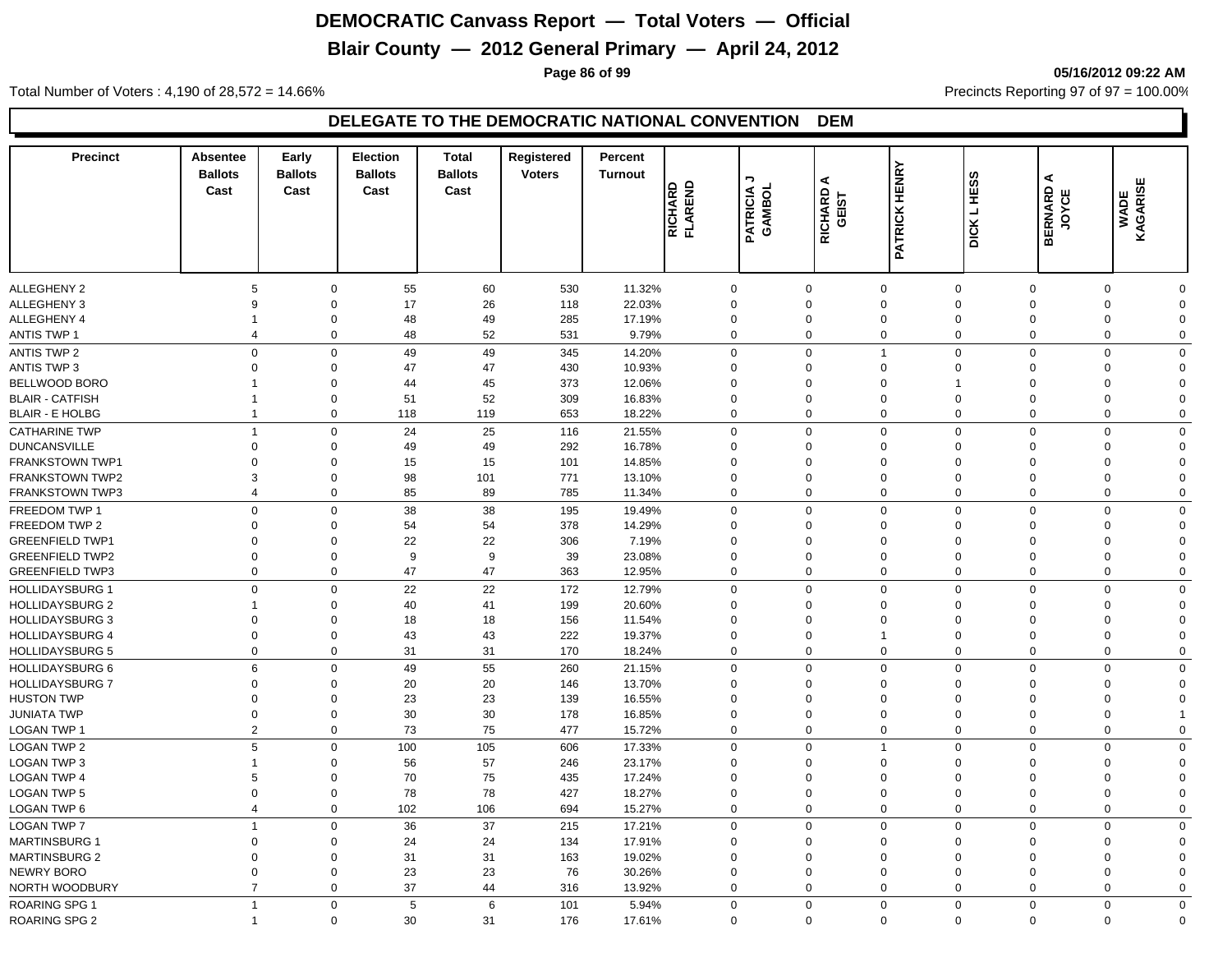# **Blair County — 2012 General Primary — April 24, 2012**

**Page 86 of 99 05/16/2012 09:22 AM**

Total Number of Voters : 4,190 of 28,572 = 14.66% Precincts Reporting 97 of 97 = 100.00%

| <b>Precinct</b>        | Absentee<br><b>Ballots</b><br>Cast | Early<br><b>Ballots</b><br>Cast | <b>Election</b><br><b>Ballots</b><br>Cast | <b>Total</b><br><b>Ballots</b><br>Cast | Registered<br><b>Voters</b> | Percent<br><b>Turnout</b> | RICHARD<br>FLAREND | ¬<br>PATRICIA<br>GAMBOL | ⋖<br>RICHARD<br>GEIST | <b>PATRICK HENRY</b> | ဖာ<br>DICK L HES | ⋖<br><b>BERNARD</b><br>JOYCE | ш<br>WADE<br>KAGARISI |                |
|------------------------|------------------------------------|---------------------------------|-------------------------------------------|----------------------------------------|-----------------------------|---------------------------|--------------------|-------------------------|-----------------------|----------------------|------------------|------------------------------|-----------------------|----------------|
|                        |                                    |                                 |                                           |                                        |                             |                           |                    |                         |                       |                      |                  |                              |                       |                |
| <b>ALLEGHENY 2</b>     | 5                                  | $\mathbf 0$                     | 55                                        | 60                                     | 530                         | 11.32%                    | $\mathbf 0$        |                         | $\mathbf 0$           | $\mathbf 0$          | $\mathbf 0$      | $\mathbf 0$                  | $\mathbf 0$           | $\mathbf 0$    |
| <b>ALLEGHENY 3</b>     | 9                                  | $\mathbf 0$                     | 17                                        | 26                                     | 118                         | 22.03%                    | $\mathbf 0$        |                         | $\Omega$              | $\mathbf 0$          | $\Omega$         | $\mathbf 0$                  | $\Omega$              | $\mathbf 0$    |
| <b>ALLEGHENY 4</b>     | $\mathbf{1}$                       | $\overline{0}$                  | 48                                        | 49                                     | 285                         | 17.19%                    | $\mathbf 0$        |                         | $\mathbf 0$           | $\mathbf 0$          | $\Omega$         | $\mathbf 0$                  | $\Omega$              | $\mathbf 0$    |
| <b>ANTIS TWP 1</b>     | $\overline{4}$                     | $\mathbf 0$                     | 48                                        | 52                                     | 531                         | 9.79%                     | $\mathbf 0$        |                         | $\mathbf 0$           | $\mathbf 0$          | 0                | $\mathbf 0$                  | $\mathbf 0$           | $\mathbf 0$    |
| <b>ANTIS TWP 2</b>     | $\mathbf 0$                        | $\mathbf 0$                     | 49                                        | 49                                     | 345                         | 14.20%                    | $\mathbf 0$        |                         | $\Omega$              | $\overline{1}$       | $\mathbf 0$      | $\mathbf 0$                  | $\mathbf 0$           | $\mathbf 0$    |
| <b>ANTIS TWP 3</b>     | $\mathbf 0$                        | $\mathbf 0$                     | 47                                        | 47                                     | 430                         | 10.93%                    | $\Omega$           |                         | $\Omega$              | $\mathbf 0$          | $\Omega$         | $\mathbf 0$                  | $\Omega$              | $\mathbf 0$    |
| BELLWOOD BORO          | -1                                 | $\overline{0}$                  | 44                                        | 45                                     | 373                         | 12.06%                    | $\Omega$           |                         | $\Omega$              | $\mathbf 0$          | 1                | $\Omega$                     | $\Omega$              | $\mathbf 0$    |
| <b>BLAIR - CATFISH</b> | -1                                 | $\Omega$                        | 51                                        | 52                                     | 309                         | 16.83%                    | $\Omega$           |                         | $\Omega$              | $\overline{0}$       | $\Omega$         | $\mathbf 0$                  | $\Omega$              | $\mathbf 0$    |
| <b>BLAIR - E HOLBG</b> | $\mathbf{1}$                       | $\mathbf 0$                     | 118                                       | 119                                    | 653                         | 18.22%                    | $\mathbf 0$        |                         | $\mathbf 0$           | $\mathbf 0$          | $\mathbf 0$      | $\mathbf 0$                  | $\mathbf 0$           | $\mathbf 0$    |
| <b>CATHARINE TWP</b>   | $\overline{1}$                     | $\mathbf 0$                     | 24                                        | 25                                     | 116                         | 21.55%                    | $\mathbf 0$        |                         | $\Omega$              | $\mathbf 0$          | $\mathbf 0$      | $\mathbf 0$                  | $\mathbf 0$           | $\mathbf 0$    |
| <b>DUNCANSVILLE</b>    | $\mathbf 0$                        | $\mathbf 0$                     | 49                                        | 49                                     | 292                         | 16.78%                    | $\Omega$           |                         | $\Omega$              | $\mathbf 0$          | $\Omega$         | $\mathbf 0$                  | $\Omega$              | $\mathbf 0$    |
| FRANKSTOWN TWP1        | $\Omega$                           | $\Omega$                        | 15                                        | 15                                     | 101                         | 14.85%                    | $\Omega$           |                         | $\Omega$              | $\Omega$             | $\Omega$         | $\Omega$                     | $\Omega$              | $\Omega$       |
| <b>FRANKSTOWN TWP2</b> | 3                                  | $\Omega$                        | 98                                        | 101                                    | 771                         | 13.10%                    | $\Omega$           |                         | $\Omega$              | $\Omega$             | $\Omega$         | $\mathbf 0$                  | $\Omega$              | $\mathbf 0$    |
| <b>FRANKSTOWN TWP3</b> | $\overline{4}$                     | $\mathbf 0$                     | 85                                        | 89                                     | 785                         | 11.34%                    | $\mathbf 0$        |                         | $\Omega$              | $\mathbf 0$          | 0                | $\mathbf 0$                  | $\Omega$              | $\mathbf 0$    |
| FREEDOM TWP 1          | $\mathbf 0$                        | $\mathbf 0$                     | 38                                        | 38                                     | 195                         | 19.49%                    | $\mathbf 0$        |                         | $\Omega$              | $\mathbf 0$          | $\mathbf 0$      | $\mathbf 0$                  | $\mathbf 0$           | $\mathbf 0$    |
| FREEDOM TWP 2          | $\mathbf 0$                        | $\mathbf 0$                     | 54                                        | 54                                     | 378                         | 14.29%                    | $\Omega$           |                         | $\Omega$              | 0                    | $\Omega$         | $\mathbf 0$                  | $\Omega$              | $\mathbf 0$    |
| <b>GREENFIELD TWP1</b> | $\mathbf 0$                        | $\overline{0}$                  | 22                                        | 22                                     | 306                         | 7.19%                     | $\Omega$           |                         | $\Omega$              | $\mathbf 0$          | $\Omega$         | $\mathbf 0$                  | $\Omega$              | $\mathbf 0$    |
| <b>GREENFIELD TWP2</b> | $\mathbf 0$                        | $\mathbf 0$                     | 9                                         | $\boldsymbol{9}$                       | 39                          | 23.08%                    | $\Omega$           |                         | $\Omega$              | $\overline{0}$       | $\Omega$         | $\mathbf 0$                  | $\Omega$              | $\mathbf 0$    |
| <b>GREENFIELD TWP3</b> | $\mathbf 0$                        | $\mathbf 0$                     | 47                                        | 47                                     | 363                         | 12.95%                    | $\mathbf 0$        |                         | $\mathbf 0$           | $\mathbf 0$          | $\Omega$         | $\mathbf 0$                  | $\mathbf 0$           | $\mathbf 0$    |
|                        |                                    |                                 |                                           |                                        |                             |                           |                    |                         |                       |                      |                  |                              |                       |                |
| <b>HOLLIDAYSBURG 1</b> | $\mathbf 0$                        | $\mathbf 0$                     | 22                                        | 22                                     | 172                         | 12.79%                    | $\mathbf 0$        |                         | $\Omega$              | $\mathbf 0$          | $\Omega$         | $\mathbf 0$                  | $\Omega$              | $\mathbf 0$    |
| <b>HOLLIDAYSBURG 2</b> | $\overline{1}$                     | $\mathbf 0$                     | 40                                        | 41                                     | 199                         | 20.60%                    | $\Omega$           |                         | $\Omega$              | $\overline{0}$       | $\Omega$         | $\Omega$                     | $\Omega$              | $\mathbf 0$    |
| <b>HOLLIDAYSBURG 3</b> | $\mathbf 0$                        | $\mathbf 0$                     | 18                                        | 18                                     | 156                         | 11.54%                    | $\Omega$           |                         | $\Omega$              | 0                    | $\Omega$         | $\Omega$                     | $\Omega$              | $\mathbf 0$    |
| <b>HOLLIDAYSBURG 4</b> | $\mathbf 0$                        | $\Omega$                        | 43                                        | 43                                     | 222                         | 19.37%                    | $\Omega$           |                         | $\Omega$              | 1                    | $\Omega$         | $\mathbf 0$                  | $\Omega$              | $\mathbf 0$    |
| <b>HOLLIDAYSBURG 5</b> | $\mathbf 0$                        | $\mathbf 0$                     | 31                                        | 31                                     | 170                         | 18.24%                    | $\mathbf 0$        |                         | $\mathbf 0$           | $\mathbf 0$          | $\mathbf 0$      | $\mathbf 0$                  | $\mathbf 0$           | $\mathbf 0$    |
| <b>HOLLIDAYSBURG 6</b> | 6                                  | $\mathbf 0$                     | 49                                        | 55                                     | 260                         | 21.15%                    | $\mathbf 0$        |                         | $\mathbf 0$           | $\mathbf 0$          | $\mathbf 0$      | $\mathbf 0$                  | $\Omega$              | $\mathbf 0$    |
| <b>HOLLIDAYSBURG 7</b> | $\mathbf 0$                        | $\mathbf 0$                     | 20                                        | 20                                     | 146                         | 13.70%                    | $\Omega$           |                         | $\Omega$              | $\mathbf 0$          | $\Omega$         | $\mathbf 0$                  | $\Omega$              | $\mathbf 0$    |
| <b>HUSTON TWP</b>      | $\overline{0}$                     | $\mathbf 0$                     | 23                                        | 23                                     | 139                         | 16.55%                    | $\mathbf 0$        |                         | $\Omega$              | $\mathbf 0$          | $\Omega$         | $\mathbf 0$                  | $\Omega$              | $\mathbf 0$    |
| <b>JUNIATA TWP</b>     | $\mathbf 0$                        | $\mathbf 0$                     | 30                                        | 30                                     | 178                         | 16.85%                    | $\mathbf 0$        |                         | $\Omega$              | $\pmb{0}$            | $\mathbf 0$      | $\mathbf 0$                  | $\Omega$              | $\overline{1}$ |
| LOGAN TWP 1            | $\overline{2}$                     | $\mathbf 0$                     | 73                                        | 75                                     | 477                         | 15.72%                    | $\mathbf 0$        |                         | $\mathbf 0$           | $\mathbf 0$          | $\Omega$         | $\mathbf 0$                  | $\mathbf 0$           | $\mathbf 0$    |
| <b>LOGAN TWP 2</b>     | 5                                  | $\mathbf 0$                     | 100                                       | 105                                    | 606                         | 17.33%                    | $\mathbf 0$        |                         | $\Omega$              | $\overline{1}$       | $\Omega$         | $\mathbf 0$                  | $\Omega$              | $\mathbf 0$    |
| <b>LOGAN TWP 3</b>     | $\overline{1}$                     | $\overline{0}$                  | 56                                        | 57                                     | 246                         | 23.17%                    | $\Omega$           |                         | $\Omega$              | $\mathbf 0$          | $\Omega$         | $\mathbf 0$                  | $\Omega$              | $\mathbf 0$    |
| <b>LOGAN TWP 4</b>     | 5                                  | $\Omega$                        | 70                                        | 75                                     | 435                         | 17.24%                    | $\Omega$           |                         | $\Omega$              | $\Omega$             | $\Omega$         | $\mathbf 0$                  | $\Omega$              | $\Omega$       |
| <b>LOGAN TWP 5</b>     | $\mathbf 0$                        | $\mathbf 0$                     | 78                                        | 78                                     | 427                         | 18.27%                    | $\Omega$           |                         | $\Omega$              | $\mathbf 0$          | $\Omega$         | $\mathbf 0$                  | $\Omega$              | $\mathbf 0$    |
| LOGAN TWP 6            | $\overline{4}$                     | $\mathbf 0$                     | 102                                       | 106                                    | 694                         | 15.27%                    | $\mathbf 0$        |                         | $\mathbf 0$           | $\mathbf 0$          | $\mathbf 0$      | $\mathbf 0$                  | $\mathbf 0$           | $\mathbf 0$    |
| <b>LOGAN TWP 7</b>     | $\overline{1}$                     | $\mathbf 0$                     | 36                                        | 37                                     | 215                         | 17.21%                    | $\mathbf 0$        |                         | $\Omega$              | $\Omega$             | $\Omega$         | $\mathbf 0$                  | $\Omega$              | $\mathbf 0$    |
| <b>MARTINSBURG 1</b>   | $\Omega$                           | $\Omega$                        | 24                                        | 24                                     | 134                         | 17.91%                    | $\Omega$           |                         | $\Omega$              | $\Omega$             | $\Omega$         | $\Omega$                     | $\Omega$              | $\mathbf 0$    |
| <b>MARTINSBURG 2</b>   | $\mathbf 0$                        | $\Omega$                        | 31                                        | 31                                     | 163                         | 19.02%                    | $\Omega$           |                         | $\Omega$              | 0                    | $\Omega$         | $\Omega$                     | $\Omega$              | $\mathbf 0$    |
| <b>NEWRY BORO</b>      | $\mathbf 0$                        | $\Omega$                        | 23                                        | 23                                     | 76                          | 30.26%                    | $\Omega$           |                         | $\Omega$              | $\Omega$             | $\Omega$         | $\mathbf 0$                  | $\Omega$              | $\mathbf 0$    |
| NORTH WOODBURY         | $\overline{7}$                     | $\Omega$                        | 37                                        | 44                                     | 316                         | 13.92%                    | $\mathbf 0$        |                         | $\Omega$              | $\Omega$             | $\Omega$         | $\mathbf 0$                  | $\mathbf 0$           | $\mathbf 0$    |
| <b>ROARING SPG 1</b>   | $\mathbf{1}$                       | $\mathbf 0$                     | 5                                         | 6                                      | 101                         | 5.94%                     | $\mathbf 0$        |                         | $\Omega$              | $\mathbf 0$          | $\Omega$         | $\mathbf 0$                  | $\Omega$              | $\overline{0}$ |
| ROARING SPG 2          | $\mathbf{1}$                       | $\mathbf 0$                     | 30                                        | 31                                     | 176                         | 17.61%                    | $\Omega$           |                         | $\mathbf 0$           | $\mathbf 0$          | $\Omega$         | $\mathbf 0$                  | $\mathbf 0$           | $\mathbf 0$    |
|                        |                                    |                                 |                                           |                                        |                             |                           |                    |                         |                       |                      |                  |                              |                       |                |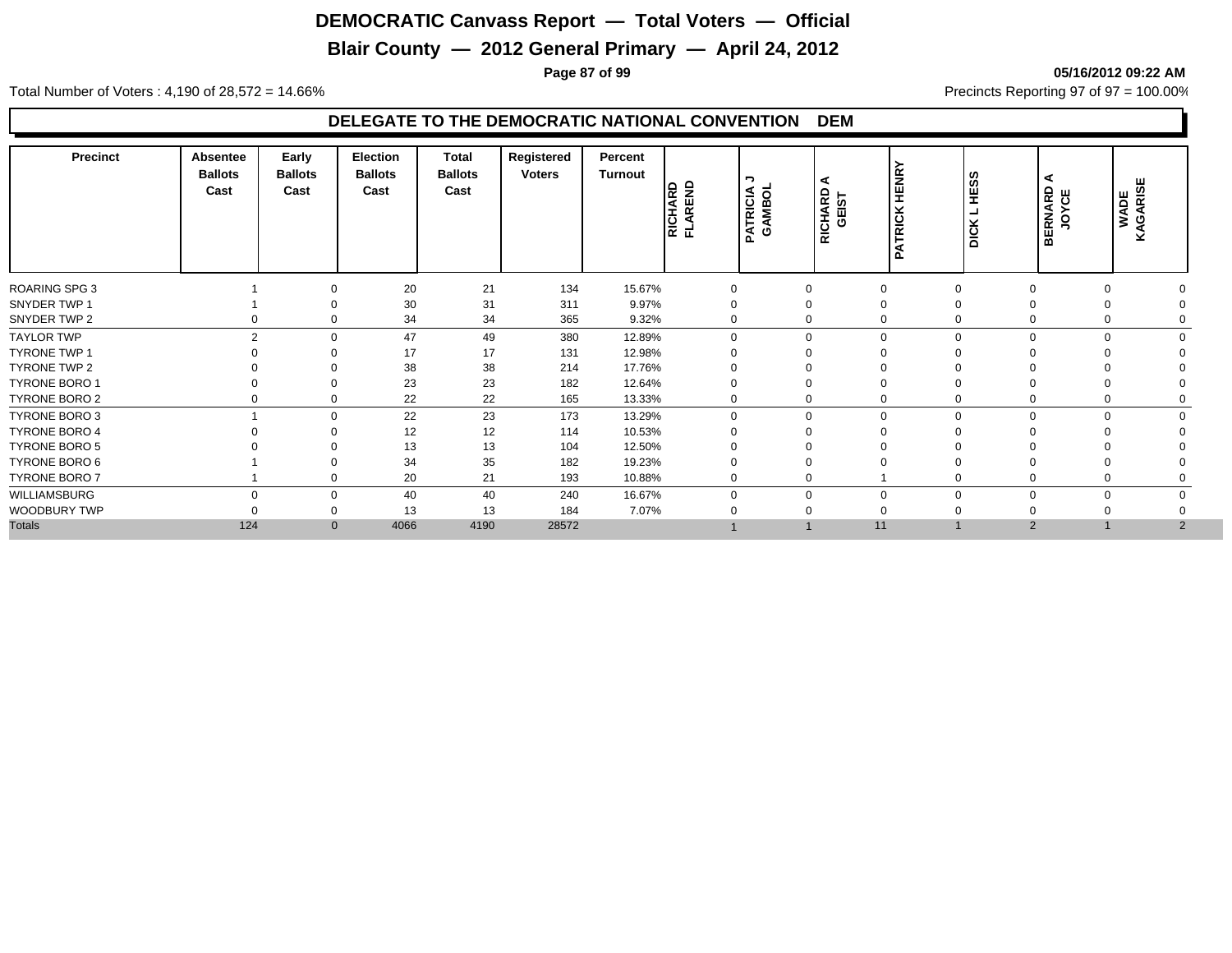# **Blair County — 2012 General Primary — April 24, 2012**

**Page 87 of 99 05/16/2012 09:22 AM**

Total Number of Voters : 4,190 of 28,572 = 14.66% Precincts Reporting 97 of 97 = 100.00%

| <b>Precinct</b>      | <b>Absentee</b><br><b>Ballots</b><br>Cast | Early<br><b>Ballots</b><br>Cast | Election<br><b>Ballots</b><br>Cast | Total<br><b>Ballots</b><br>Cast | Registered<br><b>Voters</b> | Percent<br>Turnout | AREND<br>RICHARD<br>군 | ¬<br>PATRICIA<br>GAMBOL<br>ಠ<br>AMB | RICHARD<br>GEIST | È<br>뿦<br><b>RICK</b> | S,<br>ן פֵּן<br>¥<br>$\overline{\text{max}}$ | ⋖<br><b>BERNARD</b><br>JOYCE | WADE<br>KAGARISE |  |
|----------------------|-------------------------------------------|---------------------------------|------------------------------------|---------------------------------|-----------------------------|--------------------|-----------------------|-------------------------------------|------------------|-----------------------|----------------------------------------------|------------------------------|------------------|--|
| <b>ROARING SPG 3</b> |                                           | 0                               | 20                                 | 21                              | 134                         | 15.67%             | 0                     |                                     |                  | $\mathbf 0$           | $\Omega$                                     | $\Omega$                     |                  |  |
| SNYDER TWP 1         |                                           | 0                               | 30                                 | 31                              | 311                         | 9.97%              | $\Omega$              |                                     |                  | 0                     |                                              |                              |                  |  |
| SNYDER TWP 2         |                                           | 0                               | 34                                 | 34                              | 365                         | 9.32%              | $\Omega$              |                                     | $\Omega$         | 0                     |                                              | $\Omega$                     |                  |  |
| <b>TAYLOR TWP</b>    | $\mathcal{D}$                             | $\Omega$                        | 47                                 | 49                              | 380                         | 12.89%             | $\Omega$              |                                     | $\Omega$         | $\mathbf 0$           | $\Omega$                                     | $\Omega$                     | $\Omega$         |  |
| TYRONE TWP 1         |                                           |                                 | 17                                 | 17                              | 131                         | 12.98%             | $\Omega$              |                                     |                  |                       |                                              |                              |                  |  |
| TYRONE TWP 2         |                                           |                                 | 38                                 | 38                              | 214                         | 17.76%             |                       |                                     |                  |                       |                                              |                              |                  |  |
| TYRONE BORO 1        |                                           | 0                               | 23                                 | 23                              | 182                         | 12.64%             | $\Omega$              |                                     |                  | $\Omega$              |                                              |                              |                  |  |
| TYRONE BORO 2        |                                           | 0                               | 22                                 | 22                              | 165                         | 13.33%             | $\mathbf 0$           |                                     |                  | 0                     |                                              |                              |                  |  |
| TYRONE BORO 3        |                                           | $\mathbf{0}$                    | 22                                 | 23                              | 173                         | 13.29%             | $\mathbf 0$           |                                     | $\Omega$         | $\mathbf 0$           | $\Omega$                                     | $\Omega$                     | $\Omega$         |  |
| <b>TYRONE BORO 4</b> |                                           | $\Omega$                        | 12                                 | 12                              | 114                         | 10.53%             | $\Omega$              |                                     |                  | $\Omega$              |                                              |                              |                  |  |
| TYRONE BORO 5        |                                           |                                 | 13                                 | 13                              | 104                         | 12.50%             | $\Omega$              |                                     |                  |                       |                                              |                              |                  |  |
| TYRONE BORO 6        |                                           |                                 | 34                                 | 35                              | 182                         | 19.23%             | $\mathbf 0$           |                                     |                  |                       |                                              |                              |                  |  |
| TYRONE BORO 7        |                                           | 0                               | 20                                 | 21                              | 193                         | 10.88%             | $\mathbf 0$           |                                     | $\Omega$         |                       |                                              | $\Omega$                     |                  |  |
| WILLIAMSBURG         | $\Omega$                                  | $\Omega$                        | 40                                 | 40                              | 240                         | 16.67%             | $\Omega$              |                                     |                  | $\mathbf 0$           | $\Omega$                                     | $\Omega$                     | $\Omega$         |  |
| WOODBURY TWP         |                                           | 0                               | 13                                 | 13                              | 184                         | 7.07%              | $\Omega$              |                                     |                  |                       |                                              |                              |                  |  |
| <b>Totals</b>        | 124                                       | $\mathbf{0}$                    | 4066                               | 4190                            | 28572                       |                    |                       |                                     | 11               |                       |                                              | 2                            | $\overline{2}$   |  |
|                      |                                           |                                 |                                    |                                 |                             |                    |                       |                                     |                  |                       |                                              |                              |                  |  |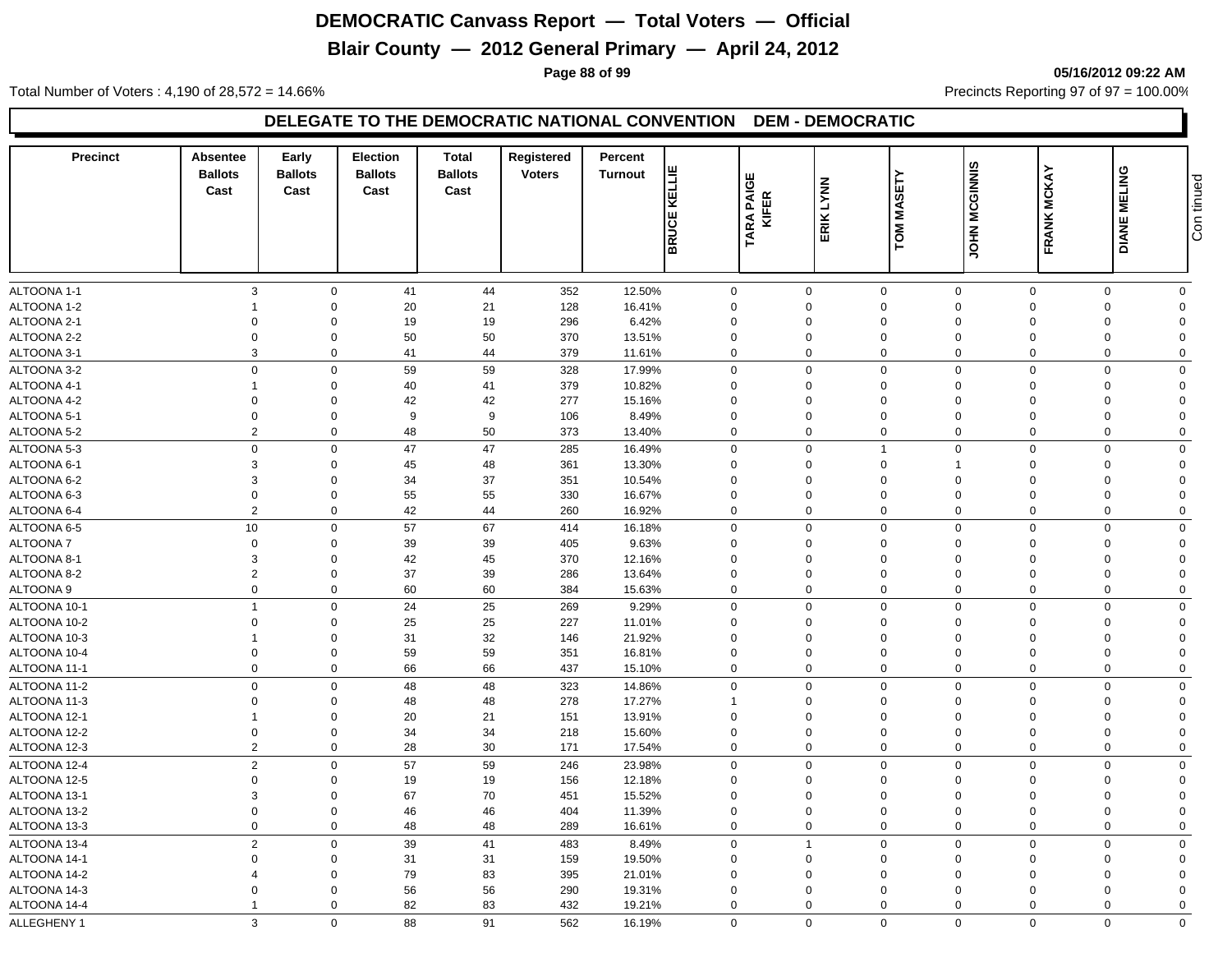# **Blair County — 2012 General Primary — April 24, 2012**

**Page 88 of 99 05/16/2012 09:22 AM**

Total Number of Voters : 4,190 of 28,572 = 14.66% Precincts Reporting 97 of 97 = 100.00%

| <b>Precinct</b>              | Absentee<br><b>Ballots</b><br>Cast | Early<br><b>Ballots</b><br>Cast | <b>Election</b><br><b>Ballots</b><br>Cast | Total<br><b>Ballots</b><br>Cast | Registered<br><b>Voters</b> | Percent<br><b>Turnout</b> | KELLIE              | ш<br>RA PAIGE<br>KIFER |                | <b>MASETY</b>  |                |                      |              |                |
|------------------------------|------------------------------------|---------------------------------|-------------------------------------------|---------------------------------|-----------------------------|---------------------------|---------------------|------------------------|----------------|----------------|----------------|----------------------|--------------|----------------|
|                              |                                    |                                 |                                           |                                 |                             |                           | ш<br><b>BRUCI</b>   | TARA                   | ERIK LYNN      | <b>TOM</b>     | JOHN MCGINNIS  | <b>FRANK MCKAY</b>   | DIANE MELING | Con tinued     |
| ALTOONA 1-1                  | 3                                  | $\mathbf 0$                     | 41                                        | 44                              | 352                         | 12.50%                    | $\mathbf 0$         |                        | $\mathbf 0$    | $\mathbf 0$    | $\mathbf{0}$   | $\mathbf 0$          | $\mathbf 0$  | $\mathbf 0$    |
| ALTOONA 1-2                  |                                    | $\mathbf 0$                     | 20                                        | 21                              | 128                         | 16.41%                    | $\mathbf 0$         |                        | $\Omega$       | $\mathbf 0$    | $\Omega$       | $\Omega$             | $\Omega$     | $\Omega$       |
| ALTOONA 2-1                  | $\Omega$                           | $\Omega$                        | 19                                        | 19                              | 296                         | 6.42%                     | $\Omega$            |                        | $\Omega$       | $\mathbf 0$    | $\Omega$       | $\Omega$             | $\Omega$     | $\Omega$       |
| ALTOONA 2-2                  | $\Omega$                           | $\mathbf 0$                     | 50                                        | 50                              | 370                         | 13.51%                    | $\Omega$            |                        | $\Omega$       | $\mathbf 0$    | $\Omega$       | $\Omega$             | $\Omega$     | $\Omega$       |
| ALTOONA 3-1                  | 3                                  | $\mathbf 0$                     | 41                                        | 44                              | 379                         | 11.61%                    | $\mathbf 0$         |                        | $\Omega$       | $\mathbf 0$    | $\Omega$       | $\mathbf 0$          | $\Omega$     | $\Omega$       |
| ALTOONA 3-2                  | $\mathbf 0$                        | $\mathbf 0$                     | 59                                        | 59                              | 328                         | 17.99%                    | $\mathbf 0$         |                        | $\mathbf 0$    | $\mathbf 0$    | $\mathbf 0$    | $\Omega$             | $\Omega$     | $\Omega$       |
| ALTOONA 4-1                  | -1                                 | $\mathbf 0$                     | 40                                        | 41                              | 379                         | 10.82%                    | $\mathbf{0}$        |                        | $\Omega$       | $\mathbf 0$    | $\Omega$       | $\Omega$             | $\Omega$     | $\Omega$       |
| ALTOONA 4-2                  | $\Omega$                           | $\mathbf 0$                     | 42                                        | 42                              | 277                         | 15.16%                    | $\Omega$            |                        | $\Omega$       | $\mathbf 0$    | $\Omega$       | $\Omega$             | $\Omega$     | $\Omega$       |
| ALTOONA 5-1                  | $\mathbf 0$                        | $\mathbf 0$                     | 9                                         | 9                               | 106                         | 8.49%                     | $\Omega$            |                        | $\Omega$       | $\mathbf 0$    | $\Omega$       | $\Omega$             | $\Omega$     | $\Omega$       |
| ALTOONA 5-2                  | $\overline{2}$                     | $\mathbf 0$                     | 48                                        | 50                              | 373                         | 13.40%                    | $\mathbf 0$         |                        | $\mathbf 0$    | $\mathbf 0$    | $\mathbf 0$    | $\mathbf 0$          | $\mathbf 0$  | $\mathbf 0$    |
| ALTOONA 5-3                  | $\mathbf 0$                        | $\mathbf 0$                     | 47                                        | 47                              | 285                         | 16.49%                    | $\mathbf 0$         |                        | $\mathbf 0$    | $\overline{1}$ | $\Omega$       | $\Omega$             | $\Omega$     | $\Omega$       |
| ALTOONA 6-1                  | 3                                  | $\mathbf 0$                     | 45                                        | 48                              | 361                         | 13.30%                    | $\Omega$            |                        | $\Omega$       | $\mathbf 0$    |                | $\Omega$             | $\Omega$     | $\Omega$       |
| ALTOONA 6-2                  | 3                                  | $\mathbf 0$                     | 34                                        | 37                              | 351                         | 10.54%                    | $\Omega$            |                        | $\Omega$       | $\mathbf 0$    | $\Omega$       | $\Omega$             | $\Omega$     | $\Omega$       |
| ALTOONA 6-3                  | $\mathbf 0$                        | $\mathbf 0$                     | 55                                        | 55                              | 330                         | 16.67%                    | $\mathbf 0$         |                        | $\mathbf 0$    | $\mathbf 0$    | $\mathbf 0$    | $\Omega$             | $\mathbf 0$  | $\mathbf 0$    |
| ALTOONA 6-4                  | $\overline{2}$                     | $\mathbf 0$                     | 42                                        | 44                              | 260                         | 16.92%                    | $\mathbf 0$         |                        | $\mathbf 0$    | $\mathbf 0$    | $\mathbf 0$    | $\mathbf 0$          | $\mathbf 0$  | $\mathbf 0$    |
| ALTOONA 6-5                  | 10                                 | $\mathbf 0$                     | 57                                        | 67                              | 414                         | 16.18%                    | $\mathbf 0$         |                        | $\Omega$       | $\mathbf 0$    | $\Omega$       | $\Omega$             | $\Omega$     | $\mathbf 0$    |
| ALTOONA 7                    | $\mathbf 0$                        | $\mathbf 0$                     | 39                                        | 39                              | 405                         | 9.63%                     | $\Omega$            |                        | $\Omega$       | $\mathbf 0$    | $\Omega$       | $\Omega$             | $\Omega$     | $\Omega$       |
| ALTOONA 8-1                  | 3                                  | $\mathbf 0$                     | 42                                        | 45                              | 370                         | 12.16%                    | $\mathbf 0$         |                        | $\mathbf 0$    | $\mathbf 0$    | $\Omega$       | $\Omega$             | $\Omega$     | $\overline{0}$ |
| ALTOONA 8-2                  | $\overline{2}$                     | $\mathbf 0$                     | 37                                        | 39                              | 286                         | 13.64%                    | 0                   |                        | $\mathbf 0$    | $\mathbf 0$    | $\mathbf 0$    | $\Omega$             | $\mathbf 0$  | $\Omega$       |
| ALTOONA 9                    | $\mathbf 0$                        | $\mathbf 0$                     | 60                                        | 60                              | 384                         | 15.63%                    | $\mathbf 0$         |                        | $\mathbf 0$    | $\mathbf 0$    | $\mathbf 0$    | $\mathbf 0$          | $\Omega$     | $\mathbf 0$    |
| ALTOONA 10-1                 | $\overline{1}$                     | $\mathbf 0$                     | 24                                        | 25                              | 269                         | 9.29%                     | $\mathsf{O}\xspace$ |                        | $\mathbf 0$    | $\mathbf 0$    | $\Omega$       | $\Omega$             | $\Omega$     | $\mathbf 0$    |
| ALTOONA 10-2                 | $\mathbf 0$                        | $\mathbf 0$                     | 25                                        | 25                              | 227                         | 11.01%                    | $\mathbf 0$         |                        | $\mathbf 0$    | $\mathbf 0$    | $\Omega$       | $\Omega$             | $\Omega$     | $\overline{0}$ |
| ALTOONA 10-3                 |                                    | $\mathbf 0$                     | 31                                        | 32                              | 146                         | 21.92%                    | $\mathbf 0$         |                        | $\mathbf 0$    | $\mathbf 0$    | $\mathbf 0$    | $\Omega$             | $\mathbf 0$  | $\Omega$       |
| ALTOONA 10-4                 | $\mathbf 0$                        | $\mathbf 0$                     | 59                                        | 59                              | 351                         | 16.81%                    | $\mathbf 0$         |                        | 0              | $\mathbf 0$    | $\mathbf 0$    | $\Omega$             | $\mathbf 0$  | $\Omega$       |
| ALTOONA 11-1                 | $\Omega$                           | $\mathbf 0$                     | 66                                        | 66                              | 437                         | 15.10%                    | $\mathbf 0$         |                        | $\mathbf 0$    | $\mathbf 0$    | $\mathbf 0$    | $\mathbf 0$          | $\mathbf 0$  | $\mathbf 0$    |
| ALTOONA 11-2                 | $\mathbf 0$                        | $\mathbf 0$                     | 48                                        | 48                              | 323                         | 14.86%                    | $\mathbf 0$         |                        | $\Omega$       | $\mathbf 0$    | $\Omega$       | $\Omega$             | $\Omega$     | $\mathbf 0$    |
| ALTOONA 11-3                 | $\mathbf 0$                        | $\mathbf 0$                     | 48                                        | 48                              | 278                         | 17.27%                    | $\mathbf{1}$        |                        | $\mathbf 0$    | $\mathbf 0$    | $\mathbf 0$    | $\Omega$             | $\mathbf 0$  | $\Omega$       |
| ALTOONA 12-1                 | -1                                 | $\mathbf 0$                     | 20                                        | 21                              | 151                         | 13.91%                    | $\mathbf 0$         |                        | 0              | $\mathbf 0$    | $\mathbf 0$    | $\Omega$             | $\Omega$     | $\Omega$       |
| ALTOONA 12-2                 | $\mathbf 0$                        | $\mathbf 0$                     | 34                                        | 34                              | 218                         | 15.60%                    | $\mathbf 0$         |                        | $\mathbf 0$    | $\mathbf 0$    | $\mathbf 0$    | $\Omega$             | $\Omega$     | $\Omega$       |
| ALTOONA 12-3                 | $\overline{2}$                     | $\mathbf 0$                     | 28                                        | 30                              | 171                         | 17.54%                    | $\mathbf 0$         |                        | $\Omega$       | $\mathbf 0$    | $\Omega$       | $\mathbf 0$          | $\mathbf 0$  | $\mathbf 0$    |
| ALTOONA 12-4                 | $\overline{2}$                     | $\mathbf 0$                     | 57                                        | 59                              |                             | 23.98%                    | $\mathbf 0$         |                        | $\mathbf 0$    | $\mathbf 0$    | $\overline{0}$ | $\Omega$             | $\mathbf 0$  | $\mathbf 0$    |
| ALTOONA 12-5                 | $\mathbf 0$                        | $\mathbf 0$                     | 19                                        | 19                              | 246<br>156                  | 12.18%                    | $\mathbf 0$         |                        | 0              | $\mathbf 0$    | $\mathbf 0$    | $\Omega$             | $\Omega$     | $\mathbf 0$    |
|                              | 3                                  | $\mathbf 0$                     | 67                                        | 70                              |                             |                           | $\mathbf 0$         |                        | 0              | $\mathbf 0$    | $\mathbf 0$    | $\Omega$             | $\Omega$     | $\Omega$       |
| ALTOONA 13-1<br>ALTOONA 13-2 | $\mathbf 0$                        | $\mathbf 0$                     | 46                                        | 46                              | 451<br>404                  | 15.52%<br>11.39%          | $\mathbf 0$         |                        | $\overline{0}$ | $\mathbf 0$    | $\mathbf 0$    | $\Omega$             | $\mathbf 0$  | $\overline{0}$ |
| ALTOONA 13-3                 | $\mathbf 0$                        | $\mathbf 0$                     | 48                                        | 48                              | 289                         | 16.61%                    | $\mathbf 0$         |                        | $\mathbf 0$    | $\mathbf 0$    | $\Omega$       | $\mathbf 0$          | $\mathbf 0$  | $\mathbf 0$    |
|                              |                                    |                                 |                                           |                                 |                             |                           |                     |                        |                |                |                |                      |              |                |
| ALTOONA 13-4                 | $\overline{2}$                     | $\mathbf 0$                     | 39                                        | 41                              | 483                         | 8.49%                     | $\mathbf 0$         |                        | $\overline{1}$ | $\mathbf 0$    | $\mathbf 0$    | $\Omega$             | $\Omega$     | $\mathbf 0$    |
| ALTOONA 14-1                 | $\Omega$                           | $\mathbf 0$                     | 31                                        | 31                              | 159                         | 19.50%                    | $\mathbf 0$         |                        | 0              | $\mathbf 0$    | $\mathbf 0$    | $\Omega$             | $\Omega$     | $\Omega$       |
| ALTOONA 14-2                 | $\overline{4}$<br>$\Omega$         | $\mathbf 0$                     | 79                                        | 83                              | 395                         | 21.01%                    | $\Omega$            |                        | $\mathbf 0$    | $\mathbf 0$    | $\Omega$       | $\Omega$<br>$\Omega$ | $\Omega$     | $\Omega$       |
| ALTOONA 14-3                 |                                    | $\mathbf 0$                     | 56                                        | 56                              | 290                         | 19.31%                    | $\mathbf 0$         |                        | $\mathbf 0$    | $\mathbf 0$    | $\Omega$       |                      | $\Omega$     | $\Omega$       |
| ALTOONA 14-4                 | -1                                 | $\mathbf 0$                     | 82                                        | 83                              | 432                         | 19.21%                    | $\mathbf 0$         |                        | $\Omega$       | $\mathbf 0$    | $\Omega$       | $\Omega$             | $\mathbf 0$  | $\Omega$       |
| ALLEGHENY 1                  | 3                                  | $\mathbf 0$                     | 88                                        | 91                              | 562                         | 16.19%                    | $\Omega$            |                        | $\mathbf 0$    | $\mathbf 0$    | $\Omega$       | $\Omega$             | $\Omega$     | $\Omega$       |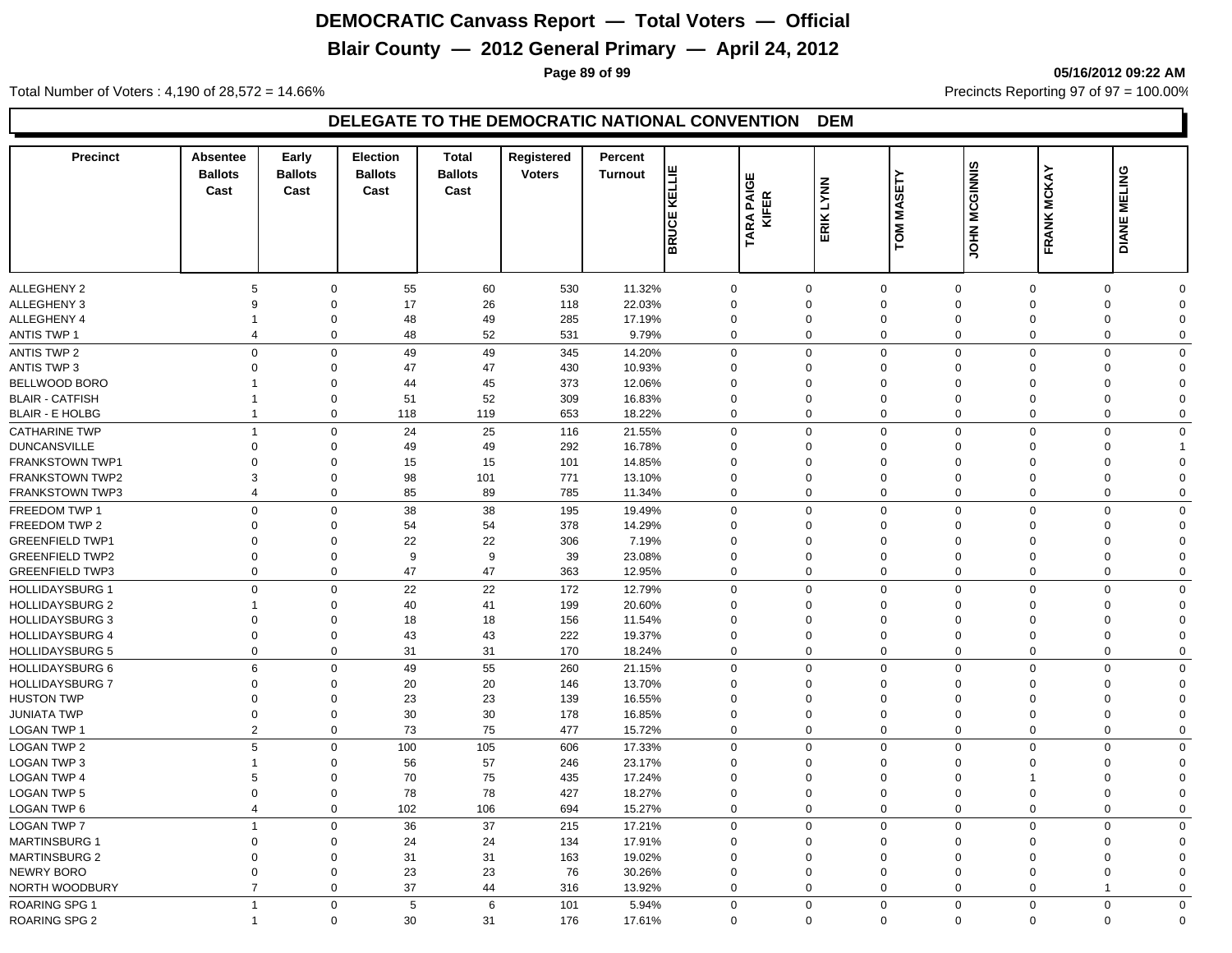# **Blair County — 2012 General Primary — April 24, 2012**

**Page 89 of 99 05/16/2012 09:22 AM**

Total Number of Voters : 4,190 of 28,572 = 14.66% Precincts Reporting 97 of 97 = 100.00%

| <b>Precinct</b>        | <b>Absentee</b><br><b>Ballots</b><br>Cast | Early<br><b>Ballots</b><br>Cast | <b>Election</b><br><b>Ballots</b><br>Cast | <b>Total</b><br><b>Ballots</b><br>Cast | Registered<br><b>Voters</b> | Percent<br><b>Turnout</b> | KELLIE<br><b>BRUCE</b> | ш<br>PAIGI<br>KIFER<br>TARA | ERIK LYNN   | <b>MASETY</b><br>TOM       | <b>MCGINNIS</b><br><b>ININO</b> | <b>FRANK MCKAY</b>         | <b>MELING</b><br><b>DIANE</b> |                               |
|------------------------|-------------------------------------------|---------------------------------|-------------------------------------------|----------------------------------------|-----------------------------|---------------------------|------------------------|-----------------------------|-------------|----------------------------|---------------------------------|----------------------------|-------------------------------|-------------------------------|
|                        |                                           |                                 |                                           |                                        |                             |                           |                        |                             |             |                            |                                 |                            |                               |                               |
|                        |                                           |                                 |                                           |                                        |                             |                           |                        |                             |             |                            |                                 |                            |                               |                               |
| <b>ALLEGHENY 2</b>     | 5                                         | $\mathbf 0$                     | 55                                        | 60                                     | 530                         | 11.32%                    |                        | 0                           | $\mathbf 0$ | $\mathbf 0$                | $\mathbf 0$                     | $\mathbf 0$                | $\Omega$                      | $\Omega$                      |
| ALLEGHENY 3            | 9                                         | $\Omega$                        | 17                                        | 26                                     | 118                         | 22.03%                    |                        | $\Omega$                    | $\Omega$    | $\mathbf 0$                | $\Omega$                        | $\Omega$                   | $\Omega$                      | $\mathbf 0$                   |
| ALLEGHENY 4            | $\mathbf 1$                               | $\Omega$                        | 48                                        | 49                                     | 285                         | 17.19%                    |                        | $\mathbf 0$                 | $\Omega$    | $\mathbf 0$                | $\Omega$                        | $\Omega$                   | $\Omega$                      | $\mathbf 0$                   |
| <b>ANTIS TWP 1</b>     | $\overline{\mathbf{4}}$                   | $\mathbf 0$                     | 48                                        | 52                                     | 531                         | 9.79%                     |                        | $\mathbf 0$                 | $\Omega$    | $\Omega$                   | $\mathbf 0$                     | $\Omega$                   | $\Omega$                      | $\mathbf 0$                   |
| <b>ANTIS TWP 2</b>     |                                           | $\mathbf 0$<br>$\mathbf 0$      | 49                                        | 49                                     | 345                         | 14.20%                    |                        | $\mathbf 0$                 | $\Omega$    | $\mathbf 0$                | $\mathbf 0$                     | $\mathbf 0$                | $\mathbf 0$                   | $\mathbf 0$                   |
| <b>ANTIS TWP 3</b>     | $\mathbf 0$                               | $\mathbf 0$                     | 47                                        | 47                                     | 430                         | 10.93%                    |                        | 0                           | $\mathbf 0$ | $\mathbf 0$                | $\Omega$                        | $\Omega$                   | $\Omega$                      | $\mathbf 0$                   |
| BELLWOOD BORO          | $\mathbf{1}$                              | $\mathbf 0$                     | 44                                        | 45                                     | 373                         | 12.06%                    |                        | $\mathbf 0$                 | $\Omega$    | $\mathbf 0$                | $\Omega$                        | $\Omega$                   | $\Omega$                      | $\mathbf 0$                   |
| <b>BLAIR - CATFISH</b> | $\mathbf{1}$                              | $\mathbf 0$                     | 51                                        | 52                                     | 309                         | 16.83%                    |                        | $\mathbf 0$                 | $\Omega$    | $\mathbf 0$                | $\Omega$                        | $\Omega$                   | $\Omega$                      | $\Omega$                      |
| <b>BLAIR - E HOLBG</b> | $\mathbf{1}$                              | $\mathbf 0$                     | 118                                       | 119                                    | 653                         | 18.22%                    |                        | $\mathbf 0$                 | $\Omega$    | $\mathbf 0$                | $\mathbf 0$                     | $\mathbf 0$                | $\mathbf 0$                   | $\mathbf 0$                   |
| <b>CATHARINE TWP</b>   | $\mathbf{1}$                              | $\pmb{0}$                       | 24                                        | 25                                     | 116                         | 21.55%                    |                        | $\Omega$                    | $\mathbf 0$ | $\Omega$                   | $\Omega$                        | $\mathbf 0$                | $\Omega$                      | $\mathbf 0$                   |
| <b>DUNCANSVILLE</b>    | $\mathbf 0$                               | $\mathbf 0$                     | 49                                        | 49                                     | 292                         | 16.78%                    |                        | 0                           | $\Omega$    | $\mathbf 0$                | $\Omega$                        | $\Omega$                   | $\Omega$                      |                               |
| FRANKSTOWN TWP1        | $\Omega$                                  | $\Omega$                        | 15                                        | 15                                     | 101                         | 14.85%                    |                        | $\Omega$                    | $\Omega$    | $\mathbf 0$                | $\Omega$                        | $\Omega$                   | $\Omega$                      | $\Omega$                      |
| <b>FRANKSTOWN TWP2</b> | 3                                         | $\Omega$                        | 98                                        | 101                                    | 771                         | 13.10%                    |                        | $\Omega$                    | $\Omega$    | $\mathbf 0$                | $\Omega$                        | $\Omega$                   | $\Omega$                      | $\Omega$                      |
| <b>FRANKSTOWN TWP3</b> | $\overline{4}$                            | $\mathbf 0$                     | 85                                        | 89                                     | 785                         | 11.34%                    |                        | $\Omega$                    | $\Omega$    | $\Omega$                   | $\mathbf 0$                     | $\Omega$                   | $\Omega$                      | $\mathbf 0$                   |
| FREEDOM TWP 1          |                                           | $\mathbf 0$<br>$\mathbf 0$      | 38                                        | 38                                     | 195                         | 19.49%                    |                        | $\mathbf 0$                 | $\mathbf 0$ | $\mathbf 0$                | $\mathbf 0$                     | $\mathbf 0$                | $\Omega$                      | $\mathbf 0$                   |
| FREEDOM TWP 2          | $\mathbf 0$                               | $\mathbf 0$                     | 54                                        | 54                                     | 378                         | 14.29%                    |                        | $\mathbf 0$                 | $\Omega$    | $\mathbf 0$                | $\Omega$                        | $\Omega$                   | $\Omega$                      | $\mathbf 0$                   |
| <b>GREENFIELD TWP1</b> | $\mathbf 0$                               | $\Omega$                        | 22                                        | 22                                     | 306                         | 7.19%                     |                        | $\mathbf 0$                 | $\Omega$    | $\mathbf 0$                | $\Omega$                        | $\Omega$                   | $\Omega$                      | $\mathbf 0$                   |
| <b>GREENFIELD TWP2</b> | $\mathbf 0$                               | $\Omega$                        | $\boldsymbol{9}$                          | $\boldsymbol{9}$                       | 39                          | 23.08%                    |                        | $\Omega$                    | $\Omega$    | $\mathbf 0$                | $\Omega$                        | $\Omega$                   | $\Omega$                      | $\Omega$                      |
| <b>GREENFIELD TWP3</b> | $\Omega$                                  | $\mathbf{0}$                    | 47                                        | 47                                     | 363                         | 12.95%                    |                        | $\mathbf 0$                 | $\mathbf 0$ | $\mathbf 0$                | $\mathbf 0$                     | $\Omega$                   | $\Omega$                      | $\mathbf 0$                   |
|                        |                                           | $\mathbf 0$<br>$\mathbf 0$      | 22                                        | 22                                     | 172                         | 12.79%                    |                        | 0                           | $\mathbf 0$ | $\mathbf 0$                | $\mathbf 0$                     | $\mathbf 0$                | $\Omega$                      | $\mathbf 0$                   |
| <b>HOLLIDAYSBURG 1</b> | $\mathbf{1}$                              | $\Omega$                        |                                           |                                        |                             |                           |                        | $\Omega$                    | $\Omega$    | $\mathbf 0$                | $\Omega$                        | $\Omega$                   | $\Omega$                      | $\Omega$                      |
| <b>HOLLIDAYSBURG 2</b> |                                           | $\Omega$                        | 40                                        | 41                                     | 199                         | 20.60%                    |                        |                             | $\Omega$    |                            | $\Omega$                        | $\Omega$                   | $\Omega$                      |                               |
| <b>HOLLIDAYSBURG 3</b> | $\mathbf 0$<br>$\mathbf 0$                | $\mathbf 0$                     | 18                                        | 18                                     | 156                         | 11.54%                    |                        | $\mathbf 0$                 | $\Omega$    | $\mathbf 0$                |                                 |                            | $\Omega$                      | $\mathbf 0$                   |
| <b>HOLLIDAYSBURG 4</b> | $\mathbf 0$                               | $\mathbf 0$                     | 43<br>31                                  | 43<br>31                               | 222<br>170                  | 19.37%                    |                        | $\mathbf 0$<br>$\mathbf 0$  | $\mathbf 0$ | $\mathbf 0$<br>$\mathbf 0$ | $\mathbf 0$<br>$\mathbf 0$      | $\mathbf 0$<br>$\mathbf 0$ | $\mathbf 0$                   | $\overline{0}$<br>$\mathbf 0$ |
| <b>HOLLIDAYSBURG 5</b> |                                           |                                 |                                           |                                        |                             | 18.24%                    |                        |                             |             |                            |                                 |                            |                               |                               |
| <b>HOLLIDAYSBURG 6</b> | 6                                         | $\mathbf 0$                     | 49                                        | 55                                     | 260                         | 21.15%                    |                        | $\Omega$                    | $\Omega$    | $\mathbf 0$                | $\mathbf 0$                     | $\mathbf 0$                | $\Omega$                      | $\mathbf 0$                   |
| <b>HOLLIDAYSBURG 7</b> | $\mathbf 0$                               | $\Omega$                        | 20                                        | 20                                     | 146                         | 13.70%                    |                        | $\Omega$                    | $\Omega$    | $\mathbf 0$                | $\Omega$                        | $\Omega$                   | $\Omega$                      | $\mathbf 0$                   |
| <b>HUSTON TWP</b>      | $\mathbf 0$                               | $\mathbf 0$                     | 23                                        | 23                                     | 139                         | 16.55%                    |                        | $\mathbf 0$                 | $\Omega$    | $\Omega$                   | $\Omega$                        | $\Omega$                   | $\Omega$                      | $\mathbf 0$                   |
| <b>JUNIATA TWP</b>     | $\mathbf 0$                               | $\mathbf 0$                     | 30                                        | 30                                     | 178                         | 16.85%                    |                        | $\mathbf 0$                 | $\Omega$    | $\mathbf 0$                | $\Omega$                        | $\Omega$                   | $\mathbf 0$                   | $\mathbf 0$                   |
| LOGAN TWP 1            |                                           | 2<br>$\mathbf{0}$               | 73                                        | 75                                     | 477                         | 15.72%                    |                        | $\mathbf 0$                 | $\mathbf 0$ | $\mathbf{0}$               | $\mathbf 0$                     | $\mathbf 0$                | $\Omega$                      | $\mathbf 0$                   |
| <b>LOGAN TWP 2</b>     | 5                                         | $\mathbf 0$                     | 100                                       | 105                                    | 606                         | 17.33%                    |                        | $\mathbf 0$                 | $\mathbf 0$ | $\mathbf 0$                | $\mathbf 0$                     | $\mathbf 0$                | $\mathbf 0$                   | $\mathbf 0$                   |
| <b>LOGAN TWP 3</b>     | $\mathbf{1}$                              | $\mathbf 0$                     | 56                                        | 57                                     | 246                         | 23.17%                    |                        | $\mathbf 0$                 | $\Omega$    | $\mathbf 0$                | $\mathbf 0$                     | $\mathbf 0$                | $\Omega$                      | $\mathbf 0$                   |
| <b>LOGAN TWP 4</b>     | 5                                         | $\Omega$                        | 70                                        | 75                                     | 435                         | 17.24%                    |                        | $\Omega$                    | $\Omega$    | $\mathbf 0$                | $\Omega$                        | $\overline{1}$             | $\Omega$                      | $\Omega$                      |
| <b>LOGAN TWP 5</b>     | $\mathbf 0$                               | $\mathbf 0$                     | 78                                        | 78                                     | 427                         | 18.27%                    |                        | $\mathbf 0$                 | $\Omega$    | $\mathbf 0$                | $\Omega$                        | $\mathbf 0$                | $\Omega$                      | $\Omega$                      |
| <b>LOGAN TWP 6</b>     |                                           | $\overline{4}$<br>$\mathbf 0$   | 102                                       | 106                                    | 694                         | 15.27%                    |                        | $\mathbf 0$                 | $\mathbf 0$ | $\mathbf 0$                | $\mathbf 0$                     | $\mathbf 0$                | $\mathbf 0$                   | $\mathbf 0$                   |
| <b>LOGAN TWP 7</b>     | $\mathbf{1}$                              | $\mathbf 0$                     | 36                                        | 37                                     | 215                         | 17.21%                    |                        | $\mathbf 0$                 | $\Omega$    | $\mathbf 0$                | $\mathbf 0$                     | $\mathbf 0$                | $\Omega$                      | $\mathbf 0$                   |
| <b>MARTINSBURG 1</b>   | $\Omega$                                  | $\mathbf 0$                     | 24                                        | 24                                     | 134                         | 17.91%                    |                        | $\Omega$                    | $\Omega$    | $\Omega$                   | $\Omega$                        | $\Omega$                   | $\Omega$                      | $\mathbf 0$                   |
| <b>MARTINSBURG 2</b>   | $\Omega$                                  | $\Omega$                        | 31                                        | 31                                     | 163                         | 19.02%                    |                        | $\Omega$                    | $\Omega$    | $\mathbf 0$                | $\Omega$                        | $\Omega$                   | $\Omega$                      | $\mathbf 0$                   |
| <b>NEWRY BORO</b>      | $\Omega$                                  | $\mathbf 0$                     | 23                                        | 23                                     | 76                          | 30.26%                    |                        | $\mathbf 0$                 | $\Omega$    | $\mathbf 0$                | $\Omega$                        | $\Omega$                   | $\Omega$                      | $\mathbf 0$                   |
| NORTH WOODBURY         |                                           | $\overline{7}$<br>$\mathbf 0$   | 37                                        | 44                                     | 316                         | 13.92%                    |                        | $\mathbf 0$                 | $\mathbf 0$ | $\mathbf 0$                | $\mathbf 0$                     | $\mathbf 0$                | $\overline{1}$                | $\mathbf 0$                   |
| <b>ROARING SPG 1</b>   | $\mathbf{1}$                              | $\mathbf 0$                     | 5                                         | 6                                      | 101                         | 5.94%                     |                        | $\mathbf 0$                 | $\mathbf 0$ | $\Omega$                   | $\mathbf 0$                     | $\mathbf 0$                | $\mathbf 0$                   | $\mathbf 0$                   |
| <b>ROARING SPG 2</b>   | $\mathbf{1}$                              | $\mathbf 0$                     | 30                                        | 31                                     | 176                         | 17.61%                    |                        | $\Omega$                    | $\Omega$    | $\Omega$                   | $\mathbf 0$                     | $\Omega$                   | $\Omega$                      | $\mathbf 0$                   |
|                        |                                           |                                 |                                           |                                        |                             |                           |                        |                             |             |                            |                                 |                            |                               |                               |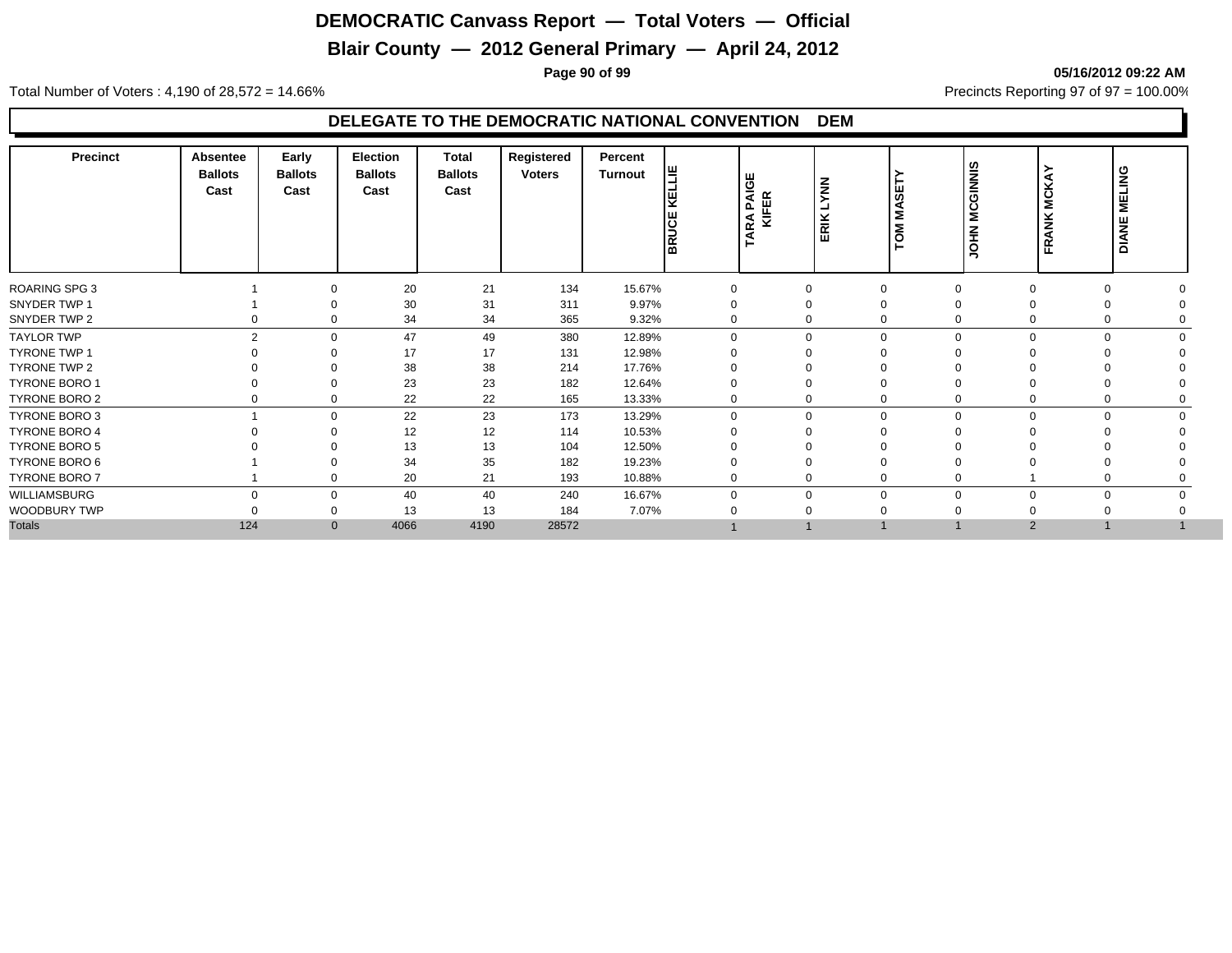# **Blair County — 2012 General Primary — April 24, 2012**

#### **Page 90 of 99 05/16/2012 09:22 AM**

Total Number of Voters : 4,190 of 28,572 = 14.66% Precincts Reporting 97 of 97 = 100.00%

| <b>Precinct</b>      | Absentee<br><b>Ballots</b><br>Cast | Early<br><b>Ballots</b><br>Cast | <b>Election</b><br><b>Ballots</b><br>Cast | <b>Total</b><br><b>Ballots</b><br>Cast | Registered<br><b>Voters</b> | Percent<br><b>Turnout</b> | 恺<br>KΕ<br><b>BRUCE</b> | RA PAIGE<br>KIFER<br>٩Á | <b>NNAT</b><br>ERIK | SET<br>Š<br>δÑ | <b>GINNIS</b><br>Š<br>줖<br>$\circ$ | ≻<br>◀<br>⊻<br>š<br>×<br>z<br>≃<br>匹 | <b>MELING</b><br><b>DIANE</b> |  |
|----------------------|------------------------------------|---------------------------------|-------------------------------------------|----------------------------------------|-----------------------------|---------------------------|-------------------------|-------------------------|---------------------|----------------|------------------------------------|--------------------------------------|-------------------------------|--|
| ROARING SPG 3        |                                    |                                 | 20                                        | 21                                     | 134                         | 15.67%                    | $\mathbf 0$             | $\Omega$                | $\Omega$            |                | $\Omega$                           |                                      |                               |  |
| SNYDER TWP 1         |                                    |                                 | 30                                        | 31                                     | 311                         | 9.97%                     |                         | $\Omega$                | $\Omega$            |                |                                    |                                      |                               |  |
| SNYDER TWP 2         |                                    | $\Omega$                        | 34                                        | 34                                     | 365                         | 9.32%                     | 0                       | $\Omega$                | $\mathbf 0$         |                | $\mathbf 0$                        |                                      |                               |  |
| <b>TAYLOR TWP</b>    | 2                                  | $\Omega$                        | 47                                        | 49                                     | 380                         | 12.89%                    | $\Omega$                | $\Omega$                | $\Omega$            |                | $\Omega$<br>$\Omega$               |                                      |                               |  |
| <b>TYRONE TWP 1</b>  |                                    |                                 | 17                                        | 17                                     | 131                         | 12.98%                    |                         |                         | $\Omega$            |                |                                    |                                      |                               |  |
| TYRONE TWP 2         |                                    |                                 | 38                                        | 38                                     | 214                         | 17.76%                    |                         |                         | $\Omega$            |                |                                    |                                      |                               |  |
| <b>TYRONE BORO 1</b> |                                    |                                 | 23                                        | 23                                     | 182                         | 12.64%                    |                         |                         | $\Omega$            |                |                                    |                                      |                               |  |
| TYRONE BORO 2        |                                    |                                 | 22                                        | 22                                     | 165                         | 13.33%                    |                         | $\Omega$                | 0                   | $\mathbf 0$    |                                    |                                      |                               |  |
| TYRONE BORO 3        |                                    | $\Omega$                        | 22                                        | 23                                     | 173                         | 13.29%                    | $\Omega$                | $\Omega$                | $\mathbf 0$         |                | $\mathbf 0$<br>$\Omega$            |                                      |                               |  |
| <b>TYRONE BORO 4</b> |                                    |                                 | 12                                        | 12                                     | 114                         | 10.53%                    |                         |                         | $\Omega$            |                |                                    |                                      |                               |  |
| TYRONE BORO 5        |                                    |                                 | 13                                        | 13                                     | 104                         | 12.50%                    |                         |                         |                     |                |                                    |                                      |                               |  |
| TYRONE BORO 6        |                                    |                                 | 34                                        | 35                                     | 182                         | 19.23%                    |                         |                         | $\Omega$            |                |                                    |                                      |                               |  |
| <b>TYRONE BORO 7</b> |                                    | $\Omega$                        | 20                                        | 21                                     | 193                         | 10.88%                    |                         | $\Omega$                | $\mathbf 0$         | $\mathbf 0$    |                                    |                                      |                               |  |
| WILLIAMSBURG         | $\Omega$                           | $\mathbf 0$                     | 40                                        | 40                                     | 240                         | 16.67%                    | $\Omega$                | $\Omega$                | $\mathbf 0$         |                | $\mathbf 0$<br>$\Omega$            |                                      |                               |  |
| WOODBURY TWP         |                                    |                                 | 13                                        | 13                                     | 184                         | 7.07%                     |                         |                         | $\Omega$            |                |                                    |                                      |                               |  |
| <b>Totals</b>        | 124                                | $\mathbf{0}$                    | 4066                                      | 4190                                   | 28572                       |                           |                         |                         |                     |                | $\overline{2}$                     |                                      |                               |  |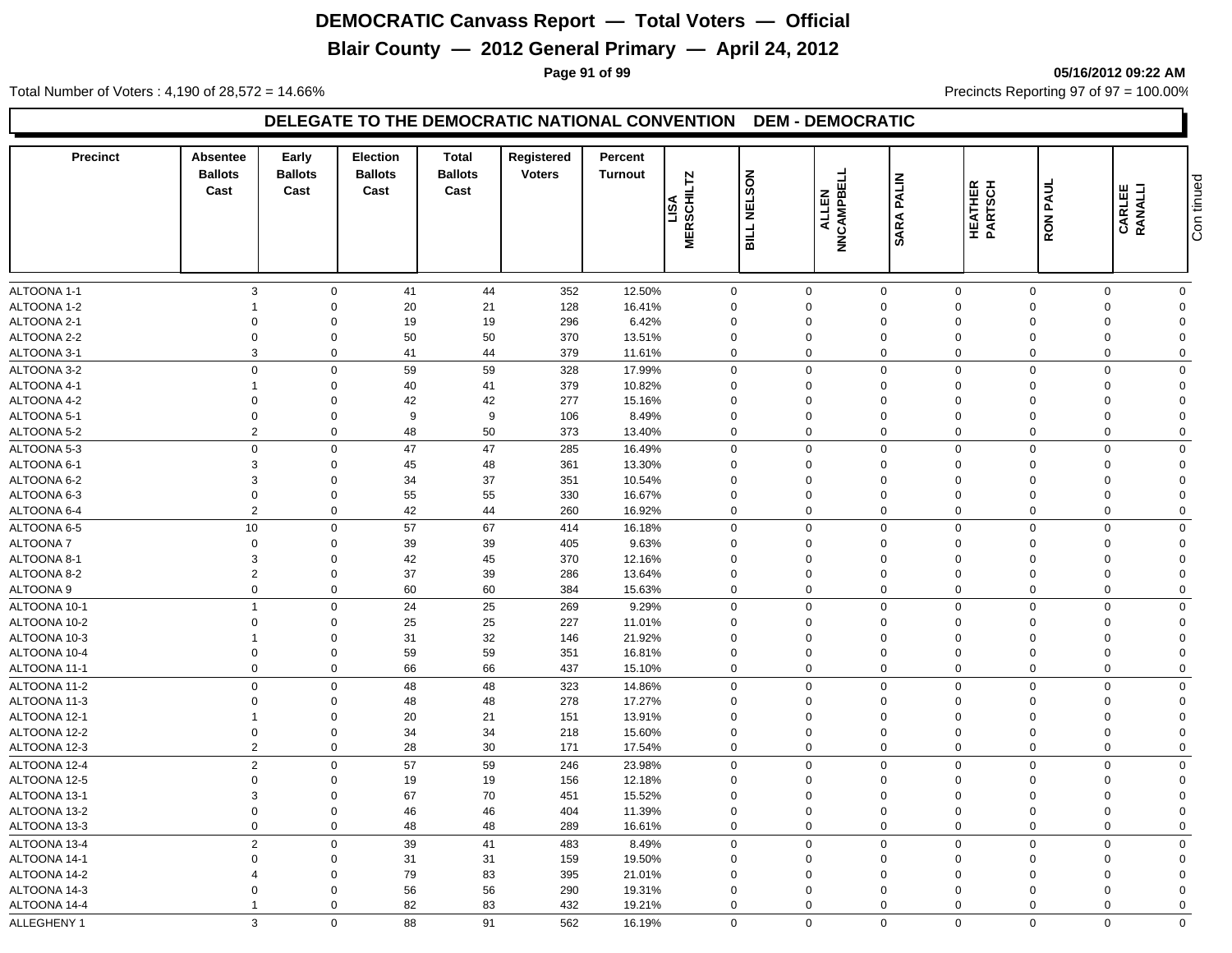# **Blair County — 2012 General Primary — April 24, 2012**

**Page 91 of 99 05/16/2012 09:22 AM**

Total Number of Voters : 4,190 of 28,572 = 14.66% Precincts Reporting 97 of 97 = 100.00%

| <b>Precinct</b> | Absentee<br><b>Ballots</b><br>Cast | Early<br><b>Ballots</b><br>Cast | <b>Election</b><br><b>Ballots</b><br>Cast | <b>Total</b><br><b>Ballots</b><br>Cast | Registered<br><b>Voters</b> | Percent<br><b>Turnout</b> | MERSCHILTZ              | SON<br><b>TEL</b><br><b>SILL</b> | <b>NNCAMPBELL</b><br>ALLEN | <b>PALIN</b><br><b>SARA</b> | HEATHER<br>PARTSCH   | RON PAUL    | <b>CARLEE</b><br>RANALLI | Con tinued     |
|-----------------|------------------------------------|---------------------------------|-------------------------------------------|----------------------------------------|-----------------------------|---------------------------|-------------------------|----------------------------------|----------------------------|-----------------------------|----------------------|-------------|--------------------------|----------------|
| ALTOONA 1-1     | 3                                  | $\mathbf 0$                     | 41                                        | 44                                     | 352                         | 12.50%                    | $\mathbf 0$             |                                  | $\mathbf 0$                | $\mathbf 0$                 | $\mathbf 0$          | $\Omega$    | $\mathbf 0$              | $\mathbf 0$    |
| ALTOONA 1-2     |                                    | $\mathbf 0$                     | 20                                        | 21                                     | 128                         | 16.41%                    | $\mathbf{0}$            |                                  | $\Omega$                   | $\mathbf 0$                 | $\Omega$             | $\Omega$    | $\Omega$                 | $\Omega$       |
| ALTOONA 2-1     | $\Omega$                           | $\Omega$                        | 19                                        | 19                                     | 296                         | 6.42%                     | $\Omega$                |                                  | $\Omega$                   | $\mathbf 0$                 | $\Omega$             | $\Omega$    | $\Omega$                 | $\Omega$       |
| ALTOONA 2-2     | $\Omega$                           | $\mathbf 0$                     | 50                                        | 50                                     | 370                         | 13.51%                    | $\Omega$                |                                  | $\Omega$                   | $\mathbf 0$                 | $\Omega$             | $\Omega$    | $\Omega$                 | $\Omega$       |
| ALTOONA 3-1     | 3                                  | $\mathbf 0$                     | 41                                        | 44                                     | 379                         | 11.61%                    | $\mathbf 0$             |                                  | $\mathbf 0$                | $\mathbf 0$                 | $\Omega$             | $\mathbf 0$ | $\Omega$                 | $\Omega$       |
| ALTOONA 3-2     | $\overline{0}$                     | $\mathbf 0$                     | 59                                        | 59                                     | 328                         | 17.99%                    | $\mathbf 0$             |                                  | $\Omega$                   | $\mathbf 0$                 | $\mathbf 0$          | $\Omega$    | $\Omega$                 | $\Omega$       |
| ALTOONA 4-1     |                                    | $\mathbf 0$                     | 40                                        | 41                                     | 379                         | 10.82%                    | $\mathbf 0$             |                                  | $\Omega$                   | $\mathbf 0$                 | $\Omega$             | $\Omega$    | $\Omega$                 | $\Omega$       |
| ALTOONA 4-2     | $\Omega$                           | $\mathbf 0$                     | 42                                        | 42                                     | 277                         | 15.16%                    | $\Omega$                |                                  | $\Omega$                   | $\mathbf 0$                 | $\Omega$             | $\Omega$    | $\Omega$                 | $\Omega$       |
| ALTOONA 5-1     | $\mathbf 0$                        | $\mathbf 0$                     | 9                                         | 9                                      | 106                         | 8.49%                     | $\mathbf 0$             |                                  | $\mathbf 0$                | $\mathbf 0$                 | $\Omega$             | $\Omega$    | $\Omega$                 | $\Omega$       |
| ALTOONA 5-2     | $\overline{2}$                     | $\mathbf 0$                     | 48                                        | 50                                     | 373                         | 13.40%                    | 0                       |                                  | $\mathbf 0$                | $\mathbf 0$                 | $\mathbf 0$          | $\mathbf 0$ | $\Omega$                 | $\mathbf 0$    |
| ALTOONA 5-3     | $\mathbf 0$                        | $\mathsf 0$                     | 47                                        | 47                                     | 285                         | 16.49%                    | $\mathbf 0$             |                                  | $\mathbf 0$                | $\mathbf 0$                 | $\mathbf 0$          | $\Omega$    | $\Omega$                 | $\mathbf 0$    |
| ALTOONA 6-1     | 3                                  | $\mathbf 0$                     | 45                                        | 48                                     | 361                         | 13.30%                    | $\Omega$                |                                  | $\Omega$                   | $\mathbf 0$                 | $\Omega$             | $\Omega$    | $\Omega$                 | $\Omega$       |
| ALTOONA 6-2     | 3                                  | $\mathbf 0$                     | 34                                        | 37                                     | 351                         | 10.54%                    | $\mathbf 0$             |                                  | $\mathbf 0$                | $\mathbf 0$                 | $\Omega$             | $\Omega$    | $\Omega$                 | $\Omega$       |
| ALTOONA 6-3     | $\mathbf 0$                        | $\mathbf 0$                     | 55                                        | 55                                     | 330                         | 16.67%                    | $\mathbf 0$             |                                  | $\mathbf 0$                | $\mathbf 0$                 | $\Omega$             | $\Omega$    | $\Omega$                 | $\Omega$       |
| ALTOONA 6-4     | $\overline{2}$                     | $\mathbf 0$                     | 42                                        | 44                                     | 260                         | 16.92%                    | $\mathbf 0$             |                                  | $\mathbf 0$                | $\mathbf 0$                 | $\mathbf 0$          | $\Omega$    | $\Omega$                 | $\mathbf 0$    |
| ALTOONA 6-5     | 10                                 | $\mathbf 0$                     | 57                                        | 67                                     | 414                         | 16.18%                    | $\mathbf 0$             |                                  | $\Omega$                   | $\mathbf 0$                 | $\Omega$             | $\mathbf 0$ | $\Omega$                 | $\mathbf 0$    |
| ALTOONA 7       | $\mathbf 0$                        | $\mathbf 0$                     | 39                                        | 39                                     | 405                         | 9.63%                     | $\mathbf 0$             |                                  | $\mathbf 0$                | $\mathbf 0$                 | $\Omega$             | $\Omega$    | $\Omega$                 | $\Omega$       |
| ALTOONA 8-1     | 3                                  | $\mathbf 0$                     | 42                                        | 45                                     | 370                         | 12.16%                    | $\mathbf 0$             |                                  | $\mathbf 0$                | $\mathbf 0$                 | $\Omega$             | $\Omega$    | $\Omega$                 | $\Omega$       |
| ALTOONA 8-2     | $\overline{2}$                     | $\mathbf 0$                     | 37                                        | 39                                     | 286                         | 13.64%                    | $\mathbf 0$             |                                  | $\mathbf 0$                | $\mathbf 0$                 | $\overline{0}$       | $\Omega$    | $\mathbf 0$              | $\Omega$       |
| ALTOONA 9       | $\mathbf 0$                        | $\mathbf 0$                     | 60                                        | 60                                     | 384                         | 15.63%                    | $\mathbf 0$             |                                  | $\mathbf 0$                | $\mathbf 0$                 | $\mathbf 0$          | $\Omega$    | $\Omega$                 | $\mathbf 0$    |
| ALTOONA 10-1    | $\overline{1}$                     | $\mathbf 0$                     | 24                                        | 25                                     | 269                         | 9.29%                     | $\mathbf 0$             |                                  | $\mathbf 0$                | $\mathbf 0$                 | $\mathbf 0$          | $\Omega$    | $\Omega$                 | $\mathbf 0$    |
| ALTOONA 10-2    | $\mathbf 0$                        | $\mathbf 0$                     | 25                                        | 25                                     | 227                         | 11.01%                    | $\mathbf 0$             |                                  | $\mathbf 0$                | $\mathbf 0$                 | $\Omega$             | $\Omega$    | $\Omega$                 | $\overline{0}$ |
| ALTOONA 10-3    | $\overline{1}$                     | $\mathbf 0$                     | 31                                        | 32                                     | 146                         | 21.92%                    | $\mathbf 0$             |                                  | 0                          | $\mathbf 0$                 | $\mathbf 0$          | $\Omega$    | $\mathbf 0$              | $\Omega$       |
| ALTOONA 10-4    | $\mathbf 0$                        | $\mathbf 0$                     | 59                                        | 59                                     | 351                         | 16.81%                    | $\mathbf 0$             |                                  | 0                          | $\mathbf 0$                 | $\mathbf 0$          | $\Omega$    | $\mathbf 0$              | $\Omega$       |
| ALTOONA 11-1    | $\mathbf 0$                        | $\mathsf 0$                     | 66                                        | 66                                     | 437                         | 15.10%                    | $\mathbf 0$             |                                  | $\pmb{0}$                  | $\mathbf 0$                 | $\mathbf 0$          | $\Omega$    | $\Omega$                 | $\mathbf 0$    |
| ALTOONA 11-2    | $\mathbf 0$                        | $\mathbf 0$                     | 48                                        | 48                                     |                             |                           | $\mathbf 0$             |                                  | $\Omega$                   | $\mathbf 0$                 | $\Omega$             | $\Omega$    | $\Omega$                 | $\Omega$       |
| ALTOONA 11-3    | $\mathbf 0$                        | $\mathbf 0$                     | 48                                        | 48                                     | 323<br>278                  | 14.86%<br>17.27%          | $\mathbf 0$             |                                  | $\mathbf 0$                | $\mathbf 0$                 | $\Omega$             | $\Omega$    | $\Omega$                 | $\Omega$       |
| ALTOONA 12-1    | $\overline{1}$                     | $\mathbf 0$                     | 20                                        | 21                                     | 151                         | 13.91%                    | $\Omega$                |                                  | $\Omega$                   | $\mathbf 0$                 | $\Omega$             | $\Omega$    | $\Omega$                 | $\Omega$       |
| ALTOONA 12-2    | $\mathbf 0$                        | $\mathbf 0$                     | 34                                        | 34                                     | 218                         | 15.60%                    | 0                       |                                  | $\mathbf 0$                | $\mathbf 0$                 | $\overline{0}$       | $\Omega$    | $\Omega$                 | $\Omega$       |
| ALTOONA 12-3    | $\overline{2}$                     | $\mathbf 0$                     | 28                                        | 30                                     | 171                         | 17.54%                    | $\mathbf 0$             |                                  | $\mathbf 0$                | $\mathbf 0$                 | $\mathbf 0$          | $\mathbf 0$ | $\mathbf 0$              | $\mathbf 0$    |
|                 |                                    |                                 |                                           |                                        |                             |                           |                         |                                  | $\mathbf 0$                | $\mathbf 0$                 | $\Omega$             | $\Omega$    | $\Omega$                 | $\mathbf 0$    |
| ALTOONA 12-4    | $\overline{2}$<br>$\Omega$         | $\mathbf 0$<br>$\mathbf 0$      | 57                                        | 59                                     | 246                         | 23.98%                    | $\mathbf 0$             |                                  | $\Omega$                   | $\mathbf 0$                 |                      | $\Omega$    |                          | $\Omega$       |
| ALTOONA 12-5    |                                    |                                 | 19                                        | 19                                     | 156                         | 12.18%                    | $\mathbf 0$             |                                  |                            |                             | $\Omega$             | $\Omega$    | $\Omega$                 | $\Omega$       |
| ALTOONA 13-1    | 3<br>$\Omega$                      | $\mathbf 0$                     | 67                                        | 70                                     | 451                         | 15.52%                    | 0                       |                                  | 0                          | $\mathbf 0$                 | $\Omega$<br>$\Omega$ | $\Omega$    | $\Omega$<br>$\Omega$     | $\Omega$       |
| ALTOONA 13-2    | $\mathbf 0$                        | $\mathbf 0$<br>$\mathbf 0$      | 46                                        | 46<br>48                               | 404                         | 11.39%                    | $\Omega$<br>$\mathbf 0$ |                                  | $\mathbf 0$<br>$\Omega$    | $\mathbf 0$<br>$\mathbf 0$  | $\Omega$             | $\Omega$    | $\Omega$                 | $\mathbf 0$    |
| ALTOONA 13-3    |                                    |                                 | 48                                        |                                        | 289                         | 16.61%                    |                         |                                  |                            |                             |                      |             |                          |                |
| ALTOONA 13-4    | $\overline{2}$                     | $\mathbf 0$                     | 39                                        | 41                                     | 483                         | 8.49%                     | $\mathbf 0$             |                                  | $\mathbf 0$                | $\mathbf 0$                 | $\mathbf 0$          | $\Omega$    | $\Omega$                 | $\mathbf 0$    |
| ALTOONA 14-1    | $\Omega$                           | $\mathbf 0$                     | 31                                        | 31                                     | 159                         | 19.50%                    | 0                       |                                  | $\mathbf 0$                | $\mathbf 0$                 | $\Omega$             | $\Omega$    | $\Omega$                 | $\Omega$       |
| ALTOONA 14-2    | $\overline{4}$                     | $\mathbf 0$                     | 79                                        | 83                                     | 395                         | 21.01%                    | $\Omega$                |                                  | $\mathbf 0$                | $\mathbf 0$                 | $\Omega$             | $\Omega$    | $\Omega$                 | $\Omega$       |
| ALTOONA 14-3    | $\Omega$                           | $\mathbf 0$                     | 56                                        | 56                                     | 290                         | 19.31%                    | $\Omega$                |                                  | $\mathbf 0$                | $\mathbf 0$                 | $\Omega$             | $\Omega$    | $\Omega$                 | $\Omega$       |
| ALTOONA 14-4    | $\overline{1}$                     | $\mathbf 0$                     | 82                                        | 83                                     | 432                         | 19.21%                    | $\mathbf 0$             |                                  | $\Omega$                   | $\mathbf 0$                 | $\Omega$             | $\Omega$    | 0                        | $\mathbf 0$    |
| ALLEGHENY 1     | 3                                  | $\Omega$                        | 88                                        | 91                                     | 562                         | 16.19%                    | $\mathbf 0$             |                                  | $\Omega$                   | $\Omega$                    | $\Omega$             | $\Omega$    | $\Omega$                 | $\Omega$       |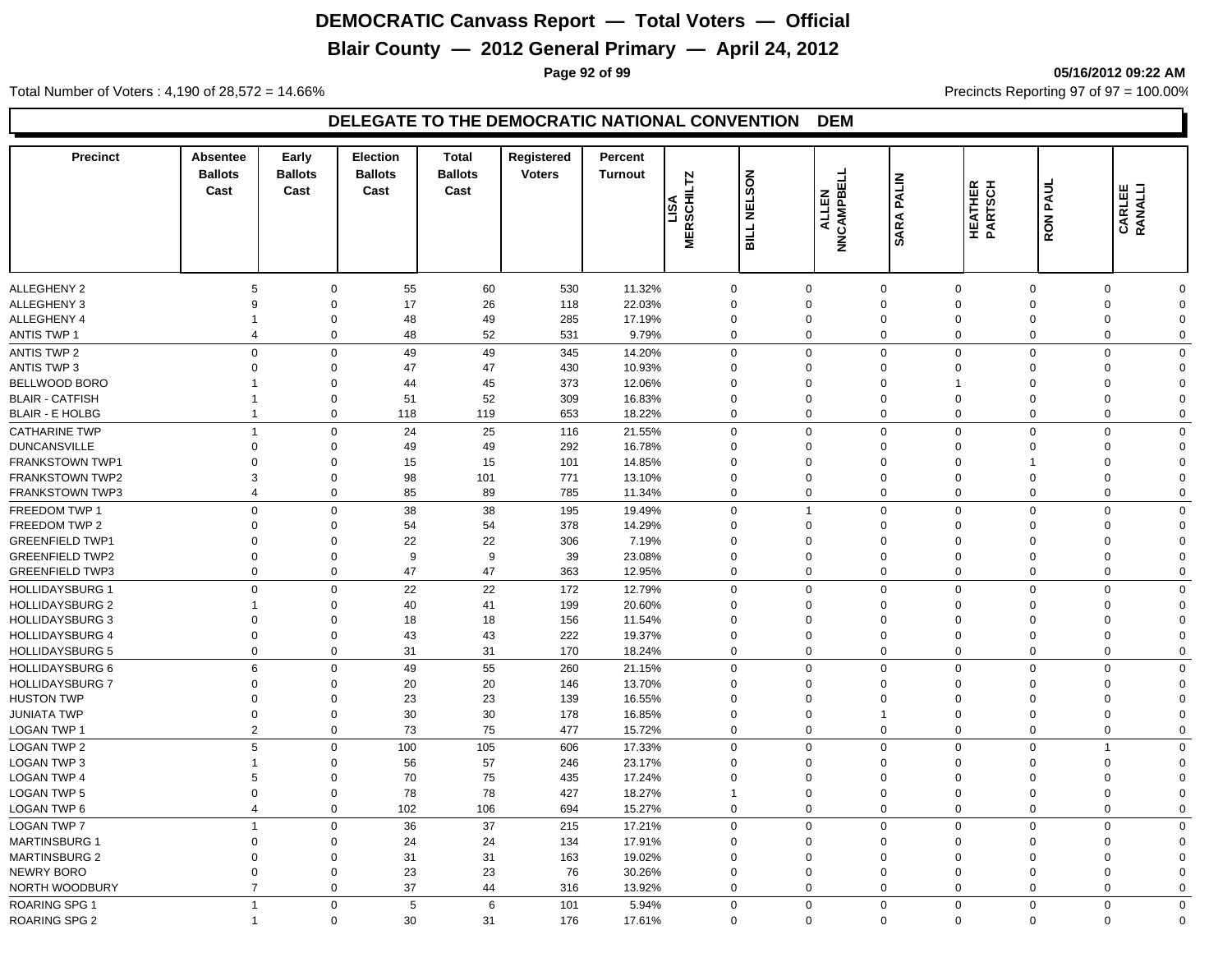# **Blair County — 2012 General Primary — April 24, 2012**

**Page 92 of 99 05/16/2012 09:22 AM**

Total Number of Voters : 4,190 of 28,572 = 14.66% Precincts Reporting 97 of 97 = 100.00%

| <b>Precinct</b>        | <b>Absentee</b><br><b>Ballots</b><br>Cast | Early<br><b>Ballots</b><br>Cast | Election<br><b>Ballots</b><br>Cast | <b>Total</b><br><b>Ballots</b><br>Cast | Registered<br><b>Voters</b> | Percent<br><b>Turnout</b> | LTZ<br>MERSCHIL | <b>NELSON</b><br><b>BILL</b> | NNCAMPBELL<br><b>ALLEN</b> | PALIN<br>SARA | <b>HEATHER</b><br>PARTSCH | <b>RON PAUL</b> | <b>CARLEE</b><br>RANALLI |             |
|------------------------|-------------------------------------------|---------------------------------|------------------------------------|----------------------------------------|-----------------------------|---------------------------|-----------------|------------------------------|----------------------------|---------------|---------------------------|-----------------|--------------------------|-------------|
| <b>ALLEGHENY 2</b>     | 5                                         | $\mathbf 0$                     | 55                                 | 60                                     | 530                         | 11.32%                    | $\mathbf 0$     |                              | $\mathbf 0$                | $\mathbf 0$   | $\mathbf 0$               | $\mathbf 0$     | $\mathbf 0$              | $\Omega$    |
| <b>ALLEGHENY 3</b>     | 9                                         | $\mathbf 0$                     | 17                                 | 26                                     | 118                         | 22.03%                    | $\mathbf 0$     |                              | $\Omega$                   | $\mathbf 0$   | $\mathbf 0$               | $\overline{0}$  | $\mathbf 0$              | $\Omega$    |
| ALLEGHENY 4            | -1                                        | 0                               | 48                                 | 49                                     | 285                         | 17.19%                    | $\mathbf 0$     |                              | 0                          | $\mathbf 0$   | $\mathbf 0$               | $\mathbf 0$     | 0                        | $\Omega$    |
| <b>ANTIS TWP 1</b>     | $\overline{4}$                            | $\mathbf 0$                     | 48                                 | 52                                     | 531                         | 9.79%                     | $\Omega$        |                              | $\mathbf 0$                | $\mathbf 0$   | $\mathbf 0$               | $\mathbf 0$     | $\mathbf 0$              | $\Omega$    |
| <b>ANTIS TWP 2</b>     |                                           | $\mathbf 0$<br>$\mathbf 0$      | 49                                 | 49                                     | 345                         | 14.20%                    | $\mathbf 0$     |                              | $\mathbf 0$                | $\mathbf 0$   | $\mathbf 0$               | $\overline{0}$  | $\mathbf 0$              | $\mathbf 0$ |
| ANTIS TWP 3            | $\mathbf 0$                               | $\mathbf 0$                     | 47                                 | 47                                     | 430                         | 10.93%                    | $\mathbf 0$     |                              | $\mathbf 0$                | $\mathbf 0$   | $\Omega$                  | $\mathbf 0$     | 0                        | $\Omega$    |
| BELLWOOD BORO          | 1                                         | $\mathbf 0$                     | 44                                 | 45                                     | 373                         | 12.06%                    | $\mathbf 0$     |                              | $\mathbf 0$                | $\mathbf 0$   |                           | $\mathbf 0$     | 0                        | $\Omega$    |
| <b>BLAIR - CATFISH</b> | $\overline{1}$                            | $\mathbf 0$                     | 51                                 | 52                                     | 309                         | 16.83%                    | $\mathbf 0$     |                              | $\mathbf 0$                | $\mathbf 0$   | $\mathbf 0$               | $\mathbf 0$     | $\mathbf 0$              | $\Omega$    |
| <b>BLAIR - E HOLBG</b> | $\overline{1}$                            | $\mathbf 0$                     | 118                                | 119                                    | 653                         | 18.22%                    | $\Omega$        |                              | $\mathbf 0$                | $\mathbf 0$   | $\mathbf 0$               | $\mathbf 0$     | $\mathbf 0$              | $\Omega$    |
| <b>CATHARINE TWP</b>   | $\mathbf{1}$                              | $\mathbf 0$                     | 24                                 | 25                                     | 116                         | 21.55%                    | $\Omega$        |                              | $\mathbf 0$                | $\mathbf 0$   | $\mathbf 0$               | $\mathbf 0$     | $\mathbf 0$              | $\mathbf 0$ |
| <b>DUNCANSVILLE</b>    | 0                                         | $\mathbf 0$                     | 49                                 | 49                                     | 292                         | 16.78%                    | $\Omega$        |                              | 0                          | $\mathbf 0$   | $\Omega$                  | $\Omega$        | 0                        | $\Omega$    |
| FRANKSTOWN TWP1        | $\Omega$                                  | $\Omega$                        | 15                                 | 15                                     | 101                         | 14.85%                    | $\Omega$        |                              | $\Omega$                   | $\mathbf 0$   | $\Omega$                  | -1              | $\mathbf 0$              | $\Omega$    |
| <b>FRANKSTOWN TWP2</b> | 3                                         | $\Omega$                        | 98                                 | 101                                    | 771                         | 13.10%                    | $\Omega$        |                              | $\Omega$                   | $\mathbf 0$   | $\Omega$                  | $\Omega$        | $\mathbf 0$              | $\Omega$    |
| FRANKSTOWN TWP3        | $\overline{4}$                            | $\mathbf 0$                     | 85                                 | 89                                     | 785                         | 11.34%                    | $\Omega$        |                              | $\mathbf 0$                | $\mathbf 0$   | $\mathbf 0$               | $\mathbf 0$     | $\mathbf 0$              | $\Omega$    |
| FREEDOM TWP 1          |                                           | $\mathbf 0$<br>$\mathbf 0$      | 38                                 | 38                                     | 195                         | 19.49%                    | $\mathbf 0$     |                              | $\overline{1}$             | $\mathbf 0$   | $\mathbf 0$               | $\overline{0}$  | $\mathbf 0$              | $\mathbf 0$ |
| FREEDOM TWP 2          | $\mathbf 0$                               | $\mathbf 0$                     | 54                                 | 54                                     | 378                         | 14.29%                    | $\mathbf 0$     |                              | $\mathbf 0$                | $\mathbf 0$   | $\Omega$                  | $\mathbf 0$     | 0                        | $\Omega$    |
| <b>GREENFIELD TWP1</b> | $\Omega$                                  | $\Omega$                        | 22                                 | 22                                     | 306                         | 7.19%                     | $\mathbf 0$     |                              | $\mathbf 0$                | $\mathbf 0$   | $\Omega$                  | $\mathbf 0$     | 0                        | $\Omega$    |
| <b>GREENFIELD TWP2</b> | $\mathbf 0$                               | $\mathbf 0$                     | 9                                  | 9                                      | 39                          | 23.08%                    | $\mathbf 0$     |                              | $\Omega$                   | $\mathbf 0$   | $\mathbf 0$               | $\overline{0}$  | $\mathbf 0$              | $\Omega$    |
| <b>GREENFIELD TWP3</b> |                                           | $\mathbf 0$<br>$\mathbf 0$      | 47                                 | 47                                     | 363                         | 12.95%                    | $\Omega$        |                              | $\mathbf 0$                | $\mathbf 0$   | $\mathbf 0$               | $\mathbf 0$     | $\mathbf 0$              | $\Omega$    |
| <b>HOLLIDAYSBURG 1</b> | $\Omega$                                  | $\mathbf 0$                     | 22                                 | 22                                     | 172                         | 12.79%                    | $\Omega$        |                              | $\mathbf 0$                | $\mathbf 0$   | $\mathbf{0}$              | $\Omega$        | 0                        | $\mathbf 0$ |
| <b>HOLLIDAYSBURG 2</b> | $\overline{1}$                            | $\Omega$                        | 40                                 | 41                                     | 199                         | 20.60%                    | $\Omega$        |                              | $\Omega$                   | $\mathbf 0$   | $\Omega$                  | $\Omega$        | 0                        | $\Omega$    |
| <b>HOLLIDAYSBURG 3</b> | $\Omega$                                  | $\Omega$                        | 18                                 | 18                                     | 156                         | 11.54%                    | $\Omega$        |                              | $\Omega$                   | $\mathbf 0$   | $\Omega$                  | $\Omega$        | 0                        | $\Omega$    |
| <b>HOLLIDAYSBURG 4</b> | $\Omega$                                  | $\mathbf 0$                     | 43                                 | 43                                     | 222                         | 19.37%                    | $\Omega$        |                              | $\Omega$                   | $\mathbf 0$   | $\mathbf 0$               | $\Omega$        | 0                        | $\Omega$    |
| <b>HOLLIDAYSBURG 5</b> |                                           | 0<br>$\mathbf 0$                | 31                                 | 31                                     | 170                         | 18.24%                    | $\Omega$        |                              | 0                          | $\mathbf 0$   | $\mathbf 0$               | $\mathbf 0$     | 0                        | $\Omega$    |
| <b>HOLLIDAYSBURG 6</b> | 6                                         | $\mathbf 0$                     | 49                                 | 55                                     | 260                         | 21.15%                    | $\Omega$        |                              | $\mathbf 0$                | $\mathbf 0$   | $\mathbf 0$               | $\Omega$        | $\mathbf 0$              | $\Omega$    |
| <b>HOLLIDAYSBURG 7</b> | $\mathbf 0$                               | $\mathbf 0$                     | 20                                 | 20                                     | 146                         | 13.70%                    | $\Omega$        |                              | $\Omega$                   | $\mathbf 0$   | $\mathbf{0}$              | $\mathbf 0$     | 0                        | $\Omega$    |
| <b>HUSTON TWP</b>      | $\Omega$                                  | $\Omega$                        | 23                                 | 23                                     | 139                         | 16.55%                    | $\Omega$        |                              | $\Omega$                   | $\mathbf 0$   | $\Omega$                  | $\mathbf 0$     | 0                        | $\Omega$    |
| <b>JUNIATA TWP</b>     | $\mathbf 0$                               | $\mathbf 0$                     | 30                                 | 30                                     | 178                         | 16.85%                    | $\mathbf 0$     |                              | $\mathbf 0$                | $\mathbf{1}$  | $\mathbf 0$               | $\overline{0}$  | $\mathbf 0$              | $\Omega$    |
| <b>LOGAN TWP 1</b>     |                                           | $\overline{2}$<br>$\mathbf 0$   | 73                                 | 75                                     | 477                         | 15.72%                    | $\Omega$        |                              | $\mathbf 0$                | $\mathbf 0$   | $\mathbf 0$               | $\mathbf 0$     | $\mathbf 0$              | $\Omega$    |
| <b>LOGAN TWP 2</b>     | 5                                         | $\mathbf 0$                     | 100                                | 105                                    | 606                         | 17.33%                    | $\mathbf 0$     |                              | $\mathbf 0$                | $\mathbf 0$   | $\mathbf 0$               | $\overline{0}$  | $\overline{1}$           | $\mathbf 0$ |
| <b>LOGAN TWP 3</b>     | $\overline{1}$                            | $\mathbf 0$                     | 56                                 | 57                                     | 246                         | 23.17%                    | $\mathbf 0$     |                              | $\mathbf 0$                | $\mathbf 0$   | $\Omega$                  | $\mathbf 0$     | 0                        | $\Omega$    |
| <b>LOGAN TWP 4</b>     | 5                                         | $\mathbf 0$                     | 70                                 | 75                                     | 435                         | 17.24%                    | $\mathbf 0$     |                              | $\mathbf 0$                | $\mathbf 0$   | $\mathbf 0$               | $\mathbf 0$     | 0                        | $\Omega$    |
| <b>LOGAN TWP 5</b>     | $\overline{0}$                            | $\mathbf 0$                     | 78                                 | 78                                     | 427                         | 18.27%                    |                 |                              | $\mathbf 0$                | $\mathbf 0$   | $\mathbf 0$               | $\overline{0}$  | $\mathbf 0$              | $\Omega$    |
| LOGAN TWP 6            | $\overline{4}$                            | $\mathbf 0$                     | 102                                | 106                                    | 694                         | 15.27%                    | $\mathbf 0$     |                              | 0                          | $\mathbf 0$   | $\mathbf 0$               | $\mathbf 0$     | $\mathbf 0$              | $\Omega$    |
| <b>LOGAN TWP 7</b>     | $\overline{1}$                            | $\mathbf 0$                     | 36                                 | 37                                     | 215                         | 17.21%                    | $\Omega$        |                              | $\Omega$                   | $\mathbf 0$   | $\mathbf 0$               | $\Omega$        | $\mathbf 0$              | $\Omega$    |
| <b>MARTINSBURG 1</b>   | $\Omega$                                  | $\mathbf 0$                     | 24                                 | 24                                     | 134                         | 17.91%                    | $\Omega$        |                              | $\Omega$                   | $\mathbf 0$   | $\Omega$                  | $\Omega$        | $\mathbf 0$              | $\Omega$    |
| <b>MARTINSBURG 2</b>   | $\Omega$                                  | $\mathbf 0$                     | 31                                 | 31                                     | 163                         | 19.02%                    | $\Omega$        |                              | $\Omega$                   | $\mathbf 0$   | $\Omega$                  | $\mathbf 0$     | $\mathbf 0$              | $\Omega$    |
| NEWRY BORO             | $\mathbf 0$                               | $\mathbf 0$                     | 23                                 | 23                                     | 76                          | 30.26%                    | $\mathbf 0$     |                              | $\mathbf 0$                | $\mathbf 0$   | $\mathbf 0$               | $\mathbf 0$     | $\mathbf 0$              | $\Omega$    |
| NORTH WOODBURY         | $\overline{7}$                            | $\mathbf 0$                     | 37                                 | 44                                     | 316                         | 13.92%                    | $\Omega$        |                              | $\mathbf 0$                | $\mathbf 0$   | $\Omega$                  | $\mathbf 0$     | $\mathbf 0$              | $\Omega$    |
| ROARING SPG 1          | $\overline{1}$                            | $\mathbf 0$                     | 5                                  | 6                                      | 101                         | 5.94%                     | $\mathbf 0$     |                              | $\mathbf 0$                | $\mathbf 0$   | $\mathbf 0$               | $\mathbf 0$     | $\mathbf 0$              | $\mathbf 0$ |
| <b>ROARING SPG 2</b>   | $\overline{1}$                            | $\mathbf 0$                     | 30                                 | 31                                     | 176                         | 17.61%                    |                 | $\mathbf 0$                  | $\mathbf 0$                | $\mathbf 0$   | $\mathbf 0$               | $\mathbf 0$     | $\mathbf 0$              | $\mathbf 0$ |
|                        |                                           |                                 |                                    |                                        |                             |                           |                 |                              |                            |               |                           |                 |                          |             |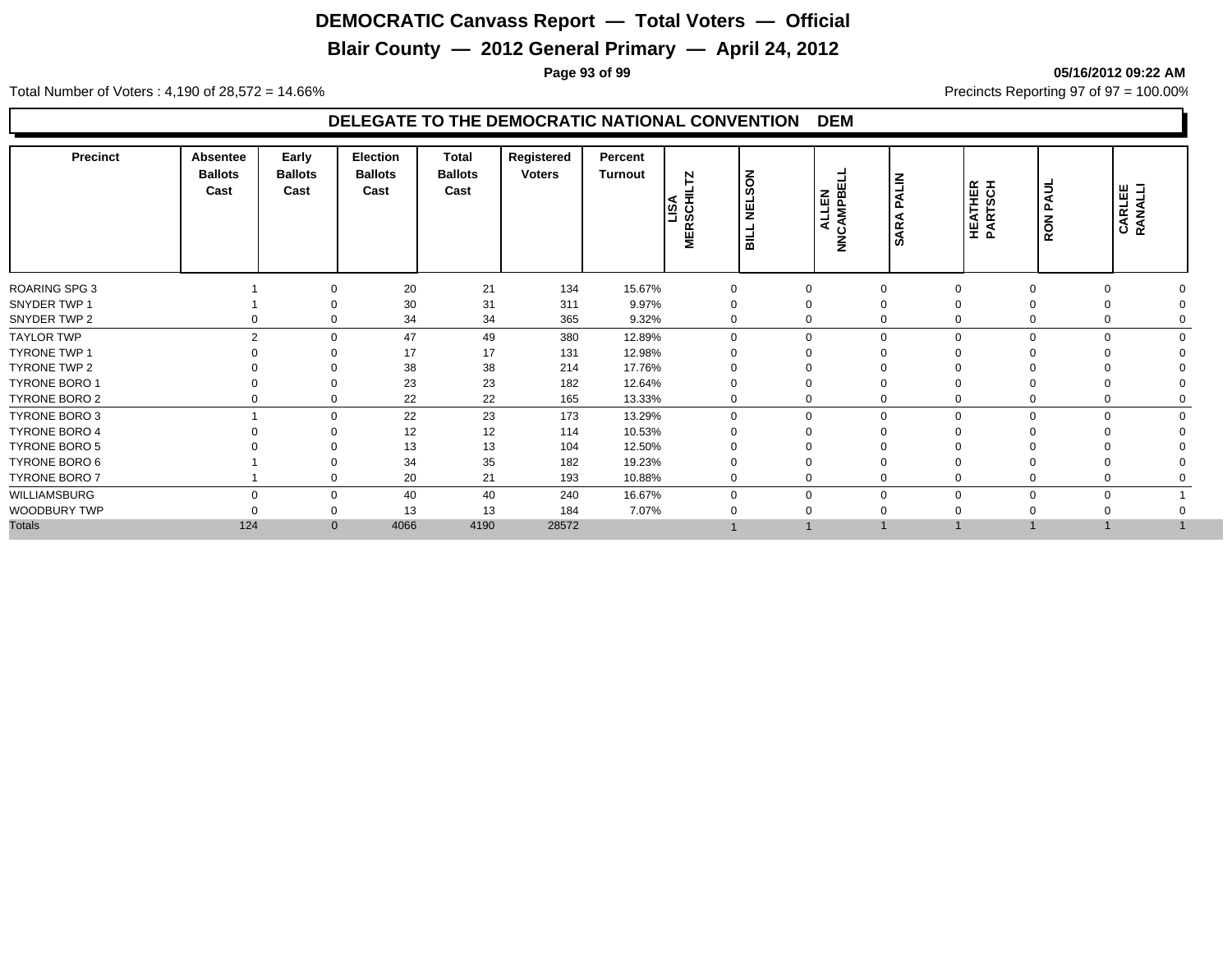# **Blair County — 2012 General Primary — April 24, 2012**

**Page 93 of 99 05/16/2012 09:22 AM**

Total Number of Voters : 4,190 of 28,572 = 14.66% Precincts Reporting 97 of 97 = 100.00%

| <b>Precinct</b>      | Absentee<br><b>Ballots</b><br>Cast | Early<br><b>Ballots</b><br>Cast | Election<br><b>Ballots</b><br>Cast | <b>Total</b><br><b>Ballots</b><br>Cast | Registered<br><b>Voters</b> | Percent<br>Turnout | N<br><b>ASCH</b><br>œ<br>面 | SON<br><b>NEL</b><br>$\frac{1}{2}$ | ш<br>ALLEN<br>ALLEN<br>ALLEN | <b>ALIN</b><br>Δ<br>⋖<br><b>AR</b><br><b>vi</b> | HEATHER<br>PARTSCH | PAUL<br><b>RON</b> | <b>CARLEE</b><br>RANALLI |          |
|----------------------|------------------------------------|---------------------------------|------------------------------------|----------------------------------------|-----------------------------|--------------------|----------------------------|------------------------------------|------------------------------|-------------------------------------------------|--------------------|--------------------|--------------------------|----------|
| <b>ROARING SPG 3</b> |                                    | $\Omega$                        | 20                                 | 21                                     | 134                         | 15.67%             | $\mathbf 0$                |                                    | 0                            | $\mathbf{0}$                                    |                    | $\Omega$           | $\Omega$                 |          |
| SNYDER TWP 1         |                                    | $\Omega$                        | 30                                 | 31                                     | 311                         | 9.97%              |                            |                                    | 0                            | $\Omega$                                        |                    | $\Omega$           | $\Omega$                 |          |
| SNYDER TWP 2         | 0                                  | $\Omega$                        | 34                                 | 34                                     | 365                         | 9.32%              | $\Omega$                   |                                    | 0                            | $\mathbf 0$                                     |                    | 0                  | $\Omega$                 |          |
| <b>TAYLOR TWP</b>    | $\mathfrak{p}$                     | $\Omega$                        | 47                                 | 49                                     | 380                         | 12.89%             | $\Omega$                   |                                    | $\mathbf 0$                  | $\mathbf 0$                                     | $\Omega$           | $\Omega$           | $\Omega$                 |          |
| <b>TYRONE TWP 1</b>  |                                    | ∩                               | 17                                 | 17                                     | 131                         | 12.98%             |                            |                                    | 0                            | $\Omega$                                        |                    |                    |                          |          |
| TYRONE TWP 2         |                                    | $\Omega$                        | 38                                 | 38                                     | 214                         | 17.76%             |                            |                                    | 0                            | $\Omega$                                        |                    |                    |                          |          |
| <b>TYRONE BORO 1</b> |                                    | $\Omega$                        | 23                                 | 23                                     | 182                         | 12.64%             |                            |                                    | 0                            | $\Omega$                                        |                    |                    |                          |          |
| TYRONE BORO 2        |                                    | $\Omega$                        | 22                                 | 22                                     | 165                         | 13.33%             | $\mathbf 0$                |                                    | 0                            | $\mathbf 0$                                     |                    | 0                  |                          |          |
| <b>TYRONE BORO 3</b> |                                    | $\Omega$                        | 22                                 | 23                                     | 173                         | 13.29%             | $\Omega$                   |                                    | 0                            | $\mathbf 0$                                     | $\Omega$           | $\mathbf 0$        | $\mathbf 0$              | $\Omega$ |
| TYRONE BORO 4        |                                    | $\Omega$                        | 12                                 | 12                                     | 114                         | 10.53%             |                            |                                    | $\Omega$                     | $\Omega$                                        |                    |                    |                          |          |
| <b>TYRONE BORO 5</b> |                                    |                                 | 13                                 | 13                                     | 104                         | 12.50%             |                            |                                    |                              |                                                 |                    |                    |                          |          |
| TYRONE BORO 6        |                                    | $\Omega$                        | 34                                 | 35                                     | 182                         | 19.23%             |                            |                                    |                              | $\Omega$                                        |                    |                    |                          |          |
| TYRONE BORO 7        |                                    | $\Omega$                        | 20                                 | 21                                     | 193                         | 10.88%             | $\Omega$                   |                                    | 0                            | $\Omega$                                        |                    |                    |                          |          |
| WILLIAMSBURG         |                                    | $\Omega$                        | 40                                 | 40                                     | 240                         | 16.67%             |                            |                                    | $\Omega$                     | $\mathbf 0$                                     |                    | $\Omega$           | $\Omega$                 |          |
| WOODBURY TWP         |                                    | $\Omega$                        | 13                                 | 13                                     | 184                         | 7.07%              |                            |                                    |                              | $\Omega$                                        |                    |                    |                          |          |
| <b>Totals</b>        | 124                                | $\mathbf{0}$                    | 4066                               | 4190                                   | 28572                       |                    |                            |                                    |                              |                                                 |                    |                    |                          |          |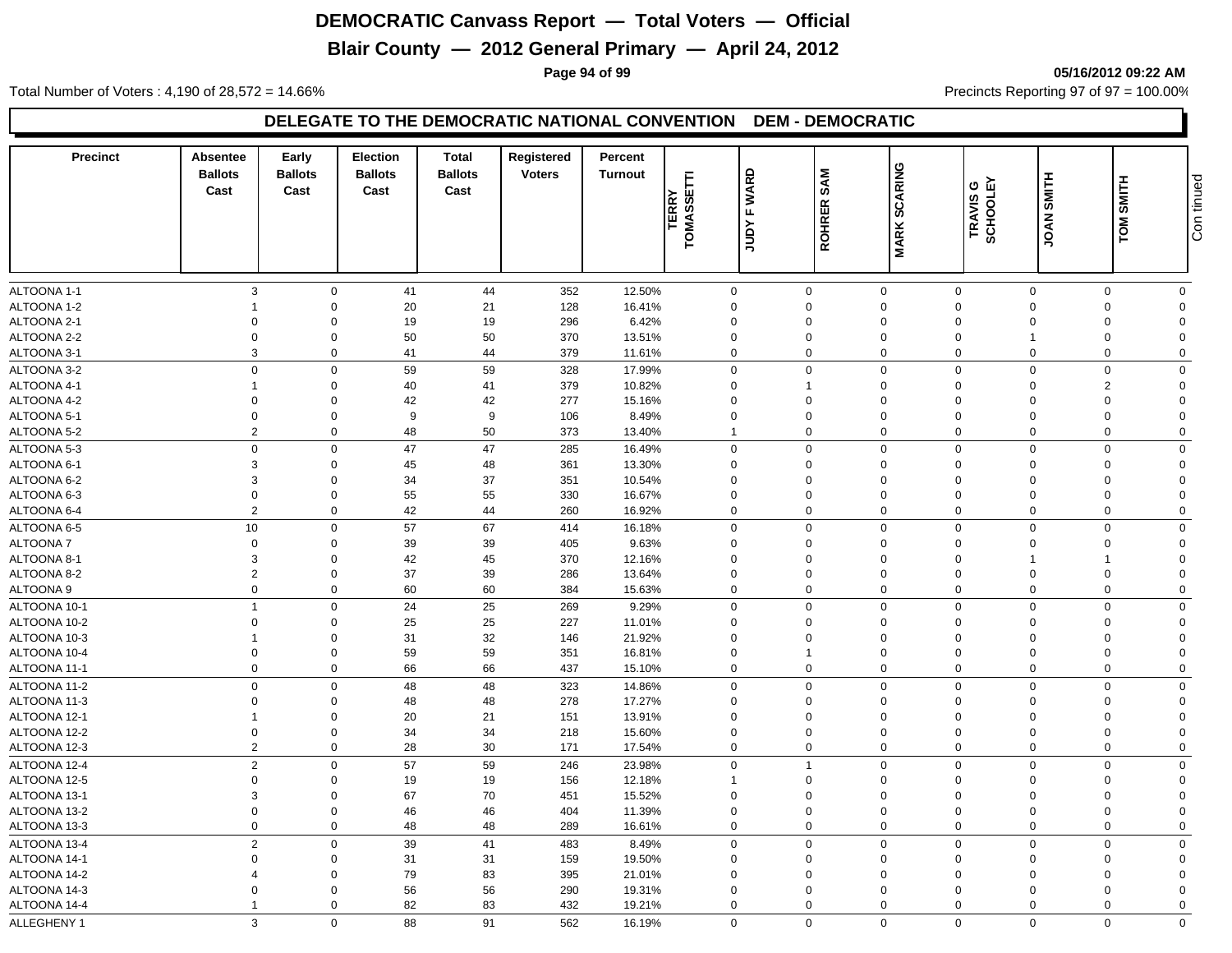# **Blair County — 2012 General Primary — April 24, 2012**

**Page 94 of 99 05/16/2012 09:22 AM**

Total Number of Voters : 4,190 of 28,572 = 14.66% Precincts Reporting 97 of 97 = 100.00%

| <b>Precinct</b>              | Absentee<br><b>Ballots</b><br>Cast | Early<br><b>Ballots</b><br>Cast | <b>Election</b><br><b>Ballots</b><br>Cast | <b>Total</b><br><b>Ballots</b><br>Cast | Registered<br><b>Voters</b> | Percent<br><b>Turnout</b> | <b>TERRY</b><br>TOMASSETTI | <b>WARD</b><br>щ | <b>SAM</b><br><b>ROHRER</b> | <b>SCARING</b>             | TRAVIS G<br>SCHOOLEY | SMITH<br><b>JOAN</b> | SMITH<br><b>TOM</b> | Con tinued     |
|------------------------------|------------------------------------|---------------------------------|-------------------------------------------|----------------------------------------|-----------------------------|---------------------------|----------------------------|------------------|-----------------------------|----------------------------|----------------------|----------------------|---------------------|----------------|
|                              |                                    |                                 |                                           |                                        |                             |                           |                            | Yanr             |                             | <b>MARK</b>                |                      |                      |                     |                |
| ALTOONA 1-1                  | 3                                  | $\mathbf 0$                     | 41                                        | 44                                     | 352                         | 12.50%                    | 0                          |                  | 0                           | $\mathbf 0$                | $\mathbf 0$          | $\Omega$             | $\Omega$            | $\mathbf 0$    |
| ALTOONA 1-2                  |                                    | $\mathbf 0$                     | 20                                        | 21                                     | 128                         | 16.41%                    | 0                          |                  | $\Omega$                    | $\mathbf 0$                | $\Omega$             | $\Omega$             | $\overline{0}$      | $\Omega$       |
| ALTOONA 2-1                  | $\mathbf 0$                        | $\mathbf 0$                     | 19                                        | 19                                     | 296                         | 6.42%                     | $\mathbf 0$                |                  | $\Omega$                    | $\mathbf 0$                | $\Omega$             | $\Omega$             | $\Omega$            | $\Omega$       |
| ALTOONA 2-2                  | $\mathbf 0$                        | $\mathbf 0$                     | 50                                        | 50                                     | 370                         | 13.51%                    | $\mathbf 0$                |                  | $\mathbf 0$                 | $\mathbf 0$                | $\mathbf 0$          |                      | $\mathbf 0$         | $\Omega$       |
| ALTOONA 3-1                  | 3                                  | $\mathbf 0$                     | 41                                        | 44                                     | 379                         | 11.61%                    | $\mathbf 0$                |                  | $\mathbf 0$                 | $\mathbf 0$                | $\mathbf 0$          | $\mathbf 0$          | $\mathbf 0$         | $\Omega$       |
| ALTOONA 3-2                  | $\overline{0}$                     | $\mathbf 0$                     | 59                                        | 59                                     | 328                         | 17.99%                    | $\Omega$                   |                  | $\Omega$                    | $\mathbf 0$                | $\Omega$             | $\Omega$             | $\Omega$            | $\Omega$       |
| ALTOONA 4-1                  |                                    | $\mathbf 0$                     | 40                                        | 41                                     | 379                         | 10.82%                    | $\Omega$                   |                  | 1                           | $\mathbf 0$                | $\Omega$             | $\Omega$             | $\overline{2}$      | $\Omega$       |
| ALTOONA 4-2                  | $\mathbf 0$                        | $\mathbf 0$                     | 42                                        | 42                                     | 277                         | 15.16%                    | $\mathbf 0$                |                  | 0                           | $\mathbf 0$                | $\mathbf 0$          | $\Omega$             | $\Omega$            | $\overline{0}$ |
| ALTOONA 5-1                  | $\mathbf 0$                        | $\mathbf 0$                     | 9                                         | 9                                      | 106                         | 8.49%                     | $\mathbf 0$                |                  | $\mathbf 0$                 | $\mathbf 0$                | $\overline{0}$       | $\Omega$             | $\mathbf 0$         | $\Omega$       |
| ALTOONA 5-2                  | $\overline{2}$                     | $\mathbf 0$                     | 48                                        | 50                                     | 373                         | 13.40%                    | $\mathbf{1}$               |                  | $\mathbf 0$                 | $\mathbf 0$                | $\mathbf 0$          | $\mathbf 0$          | $\mathbf 0$         | $\mathbf 0$    |
| ALTOONA 5-3                  | $\overline{0}$                     | $\mathbf 0$                     | 47                                        | 47                                     | 285                         | 16.49%                    | 0                          |                  | $\Omega$                    | $\mathbf 0$                | $\Omega$             | $\Omega$             | $\Omega$            | $\mathbf 0$    |
| ALTOONA 6-1                  | 3                                  | $\mathbf 0$                     | 45                                        | 48                                     | 361                         | 13.30%                    | $\Omega$                   |                  | $\Omega$                    | $\mathbf 0$                | $\Omega$             | $\Omega$             | $\Omega$            | $\Omega$       |
| ALTOONA 6-2                  | 3                                  | $\mathbf 0$                     | 34                                        | 37                                     | 351                         | 10.54%                    | 0                          |                  | 0                           | $\mathbf 0$                | $\Omega$             | $\Omega$             | $\Omega$            | $\Omega$       |
| ALTOONA 6-3                  | $\mathbf 0$                        | $\mathbf 0$                     | 55                                        | 55                                     | 330                         | 16.67%                    | $\mathbf 0$                |                  | 0                           | $\mathbf 0$                | $\mathbf 0$          | $\Omega$             | $\mathbf 0$         | $\Omega$       |
| ALTOONA 6-4                  | $\overline{2}$                     | $\mathbf 0$                     | 42                                        | 44                                     | 260                         | 16.92%                    | 0                          |                  | $\mathbf 0$                 | $\mathbf 0$                | $\mathbf 0$          | $\Omega$             | $\Omega$            | $\mathbf 0$    |
| ALTOONA 6-5                  | $10$                               | $\mathbf 0$                     | 57                                        | 67                                     | 414                         | 16.18%                    | $\mathbf 0$                |                  | $\mathbf 0$                 | $\mathbf 0$                | $\Omega$             | $\Omega$             | $\Omega$            | $\mathbf 0$    |
| <b>ALTOONA7</b>              | $\mathbf 0$                        | $\mathbf 0$                     | 39                                        | 39                                     | 405                         | 9.63%                     | $\mathbf 0$                |                  | $\mathbf 0$                 | $\mathbf 0$                | $\Omega$             | $\Omega$             | $\Omega$            | $\Omega$       |
| ALTOONA 8-1                  | 3                                  | $\mathbf 0$                     | 42                                        | 45                                     | 370                         | 12.16%                    | $\Omega$                   |                  | $\Omega$                    | $\mathbf 0$                | $\Omega$             |                      |                     | $\Omega$       |
| ALTOONA 8-2                  | $\overline{2}$                     | $\mathbf 0$                     | 37                                        | 39                                     | 286                         | 13.64%                    | 0                          |                  | $\mathbf 0$                 | $\mathbf 0$                | $\Omega$             | $\Omega$             | $\Omega$            | $\Omega$       |
| ALTOONA 9                    | $\mathbf 0$                        | $\mathbf 0$                     | 60                                        | 60                                     | 384                         | 15.63%                    | $\mathbf 0$                |                  | $\pmb{0}$                   | $\mathbf 0$                | $\mathbf 0$          | $\mathbf 0$          | $\mathbf 0$         | $\mathbf 0$    |
| ALTOONA 10-1                 | $\overline{1}$                     | $\mathbf 0$                     | 24                                        | 25                                     | 269                         | 9.29%                     | $\mathbf 0$                |                  | $\mathbf 0$                 | $\mathbf 0$                | $\mathbf 0$          | $\Omega$             | $\Omega$            | $\mathbf 0$    |
| ALTOONA 10-2                 | $\mathbf 0$                        | $\mathbf 0$                     | 25                                        | 25                                     | 227                         | 11.01%                    | $\Omega$                   |                  | $\Omega$                    | $\mathbf 0$                | $\Omega$             | $\Omega$             | $\Omega$            | $\Omega$       |
| ALTOONA 10-3                 |                                    | $\mathbf 0$                     | 31                                        | 32                                     | 146                         | 21.92%                    | $\mathbf 0$                |                  | 0                           | $\mathbf 0$                | $\Omega$             | $\Omega$             | $\Omega$            | $\Omega$       |
| ALTOONA 10-4                 | $\Omega$                           | $\mathbf 0$                     | 59                                        | 59                                     | 351                         | 16.81%                    | $\mathbf 0$                |                  | 1                           | $\mathbf 0$                | $\Omega$             | $\Omega$             | $\Omega$            | $\Omega$       |
| ALTOONA 11-1                 | $\mathbf 0$                        | $\mathbf 0$                     | 66                                        | 66                                     | 437                         | 15.10%                    | $\mathbf 0$                |                  | $\mathbf 0$                 | $\mathbf 0$                | $\mathbf 0$          | $\mathbf 0$          | $\mathbf 0$         | $\mathbf 0$    |
| ALTOONA 11-2                 | $\mathbf 0$                        | $\mathbf 0$                     | 48                                        | 48                                     | 323                         | 14.86%                    | $\mathbf 0$                |                  | $\mathbf 0$                 | $\mathbf 0$                | $\Omega$             | $\Omega$             | $\Omega$            | $\mathbf 0$    |
| ALTOONA 11-3                 | $\mathbf 0$                        | $\mathbf 0$                     | 48                                        | 48                                     | 278                         | 17.27%                    | $\mathbf 0$                |                  | $\mathbf 0$                 | $\mathbf 0$                | $\overline{0}$       | $\Omega$             | $\Omega$            | $\Omega$       |
| ALTOONA 12-1                 | -1                                 | $\mathbf 0$                     | 20                                        | 21                                     | 151                         | 13.91%                    | $\Omega$                   |                  | 0                           | 0                          | $\Omega$             | $\Omega$             | $\Omega$            | $\Omega$       |
| ALTOONA 12-2                 | $\mathbf 0$                        | $\mathbf 0$                     | 34                                        | 34                                     | 218                         | 15.60%                    | $\mathbf 0$                |                  | $\mathbf 0$                 | $\mathbf 0$                | $\Omega$             | $\Omega$             | $\Omega$            | $\Omega$       |
| ALTOONA 12-3                 | $\overline{2}$                     | $\mathbf 0$                     | 28                                        | 30                                     | 171                         | 17.54%                    | $\mathbf 0$                |                  | $\mathbf 0$                 | $\mathbf 0$                | $\Omega$             | $\Omega$             | 0                   | $\mathbf 0$    |
| ALTOONA 12-4                 | $\overline{2}$                     | $\mathbf 0$                     | 57                                        | 59                                     | 246                         | 23.98%                    | $\mathbf 0$                |                  | $\mathbf{1}$                | $\mathbf 0$                | $\overline{0}$       | $\Omega$             | $\mathbf 0$         | $\mathbf 0$    |
| ALTOONA 12-5                 | $\Omega$                           | $\mathbf 0$                     | 19                                        | 19                                     | 156                         | 12.18%                    | $\mathbf{1}$               |                  | $\mathbf 0$                 | $\mathbf 0$                | $\Omega$             | $\Omega$             | $\Omega$            | $\Omega$       |
| ALTOONA 13-1                 | 3                                  | $\mathbf 0$                     | 67                                        | 70                                     | 451                         | 15.52%                    | $\mathbf 0$                |                  | 0                           | $\mathbf 0$                | $\Omega$             | $\Omega$             | $\Omega$            | $\Omega$       |
| ALTOONA 13-2                 | $\mathbf 0$                        | $\mathsf 0$                     | 46                                        | 46                                     | 404                         | 11.39%                    | $\mathbf 0$                |                  | $\overline{0}$              | $\mathbf 0$                | $\Omega$             | $\Omega$             | $\Omega$            | $\Omega$       |
| ALTOONA 13-3                 | $\mathbf 0$                        | $\mathbf 0$                     | 48                                        | 48                                     | 289                         | 16.61%                    | 0                          |                  | $\mathbf 0$                 | $\mathbf 0$                | $\Omega$             | $\Omega$             | $\mathbf 0$         | $\mathbf 0$    |
|                              | $\overline{2}$                     | $\mathsf 0$                     |                                           |                                        |                             |                           | $\mathbf 0$                |                  | $\mathbf 0$                 |                            | $\mathbf 0$          | $\Omega$             | $\Omega$            | $\Omega$       |
| ALTOONA 13-4                 | $\Omega$                           |                                 | 39                                        | 41                                     | 483                         | 8.49%                     |                            |                  |                             | $\mathbf 0$                | $\Omega$             | $\Omega$             | $\Omega$            | $\Omega$       |
| ALTOONA 14-1<br>ALTOONA 14-2 | 4                                  | $\mathbf 0$<br>$\mathbf 0$      | 31<br>79                                  | 31<br>83                               | 159<br>395                  | 19.50%                    | $\mathbf 0$<br>$\Omega$    |                  | 0<br>$\Omega$               | $\mathbf 0$<br>$\mathbf 0$ | $\Omega$             | $\Omega$             | $\Omega$            | $\Omega$       |
| ALTOONA 14-3                 | $\Omega$                           | $\mathbf 0$                     | 56                                        | 56                                     | 290                         | 21.01%<br>19.31%          | $\mathbf 0$                |                  | $\mathbf 0$                 | $\mathbf 0$                | $\Omega$             | $\Omega$             | $\Omega$            | $\Omega$       |
| ALTOONA 14-4                 | -1                                 | $\mathbf 0$                     |                                           | 83                                     |                             |                           | $\mathbf 0$                |                  | $\Omega$                    | $\mathbf 0$                | $\Omega$             | $\Omega$             | $\mathbf 0$         | $\Omega$       |
|                              |                                    |                                 | 82                                        |                                        | 432                         | 19.21%                    |                            |                  |                             |                            |                      |                      |                     |                |
| ALLEGHENY 1                  | 3                                  | $\Omega$                        | 88                                        | 91                                     | 562                         | 16.19%                    | $\Omega$                   |                  | $\Omega$                    | $\Omega$                   | $\Omega$             | $\Omega$             | $\Omega$            | $\mathbf 0$    |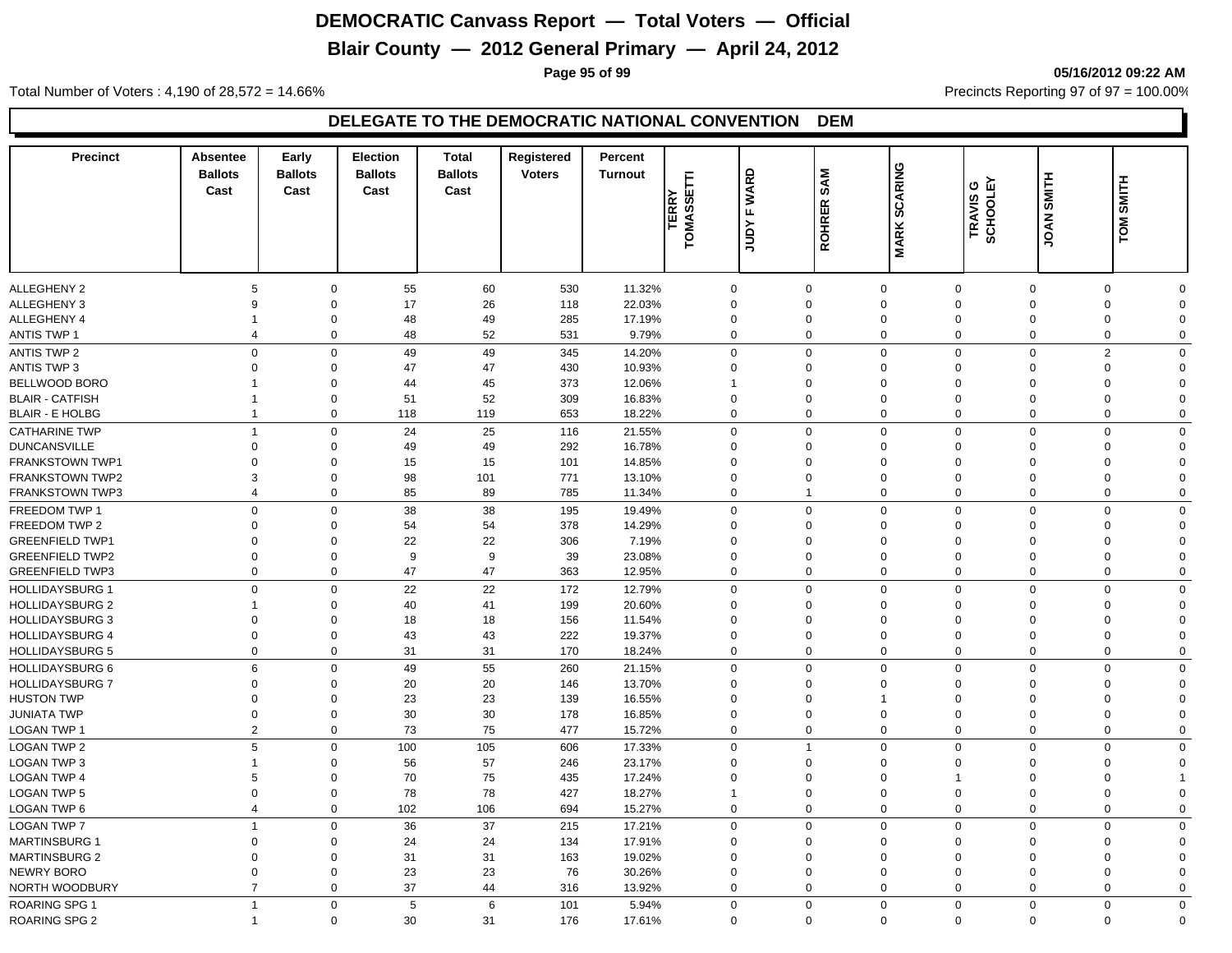# **Blair County — 2012 General Primary — April 24, 2012**

**Page 95 of 99 05/16/2012 09:22 AM**

Total Number of Voters : 4,190 of 28,572 = 14.66% Precincts Reporting 97 of 97 = 100.00%

| <b>Precinct</b>        | Absentee<br><b>Ballots</b><br>Cast | Early<br><b>Ballots</b><br>Cast | <b>Election</b><br><b>Ballots</b><br>Cast | <b>Total</b><br><b>Ballots</b><br>Cast | Registered<br><b>Voters</b> | Percent<br><b>Turnout</b> | E<br>TERRY<br>TOMASSET | <b>WARD</b><br>$\mathbf{L}$<br>Yanr | <b>SAM</b><br><b>ROHRER</b> | <b>SCARING</b><br><b>MARK</b> | ី ២<br>TRAVIS<br>SCHOOLI | SMITH<br><b>JOAN</b> | TOM SMITH    |             |
|------------------------|------------------------------------|---------------------------------|-------------------------------------------|----------------------------------------|-----------------------------|---------------------------|------------------------|-------------------------------------|-----------------------------|-------------------------------|--------------------------|----------------------|--------------|-------------|
|                        |                                    |                                 |                                           |                                        |                             |                           |                        |                                     |                             |                               |                          |                      |              |             |
| <b>ALLEGHENY 2</b>     | 5                                  | $\mathbf 0$                     | 55                                        | 60                                     | 530                         | 11.32%                    | $\mathbf 0$            |                                     | 0                           | $\mathbf 0$                   | $\mathbf 0$              | $\mathbf 0$          | 0            | $\Omega$    |
| ALLEGHENY 3            | 9                                  | $\mathbf 0$                     | 17                                        | 26                                     | 118                         | 22.03%                    | $\mathbf 0$            |                                     | $\Omega$                    | $\mathbf 0$                   | $\mathbf 0$              | $\Omega$             | $\mathbf 0$  | $\Omega$    |
| ALLEGHENY 4            |                                    | $\mathbf 0$                     | 48                                        | 49                                     | 285                         | 17.19%                    | $\mathbf 0$            |                                     | $\mathbf 0$                 | $\mathbf 0$                   | $\mathbf 0$              | $\mathbf 0$          | 0            | $\Omega$    |
| <b>ANTIS TWP 1</b>     | $\overline{4}$                     | $\mathbf 0$                     | 48                                        | 52                                     | 531                         | 9.79%                     | $\Omega$               |                                     | $\mathbf 0$                 | $\mathbf 0$                   | $\mathbf 0$              | $\mathbf 0$          | $\mathbf 0$  | $\Omega$    |
| <b>ANTIS TWP 2</b>     | $\Omega$                           | $\mathbf 0$                     | 49                                        | 49                                     | 345                         | 14.20%                    | $\Omega$               |                                     | 0                           | $\mathbf 0$                   | $\mathbf 0$              | $\Omega$             | $\mathbf{2}$ | $\Omega$    |
| <b>ANTIS TWP 3</b>     | $\Omega$                           | $\mathbf 0$                     | 47                                        | 47                                     | 430                         | 10.93%                    | $\Omega$               |                                     | $\Omega$                    | $\mathbf 0$                   | $\mathbf 0$              | $\Omega$             | $\mathbf 0$  | $\Omega$    |
| BELLWOOD BORO          |                                    | $\Omega$                        | 44                                        | 45                                     | 373                         | 12.06%                    |                        |                                     | $\Omega$                    | $\mathbf 0$                   | $\Omega$                 | $\mathbf 0$          | 0            | $\Omega$    |
| <b>BLAIR - CATFISH</b> | 1                                  | $\mathbf 0$                     | 51                                        | 52                                     | 309                         | 16.83%                    | $\mathbf 0$            |                                     | $\Omega$                    | $\mathbf 0$                   | $\mathbf 0$              | $\Omega$             | $\mathbf 0$  | $\Omega$    |
| <b>BLAIR - E HOLBG</b> | $\overline{1}$                     | $\mathbf 0$                     | 118                                       | 119                                    | 653                         | 18.22%                    | $\Omega$               |                                     | $\mathbf 0$                 | $\mathbf 0$                   | $\mathbf 0$              | $\mathbf 0$          | $\mathbf 0$  | $\Omega$    |
| <b>CATHARINE TWP</b>   | $\overline{1}$                     | $\mathbf 0$                     | 24                                        | 25                                     | 116                         | 21.55%                    | $\mathbf 0$            |                                     | $\mathbf 0$                 | $\mathbf 0$                   | $\mathbf 0$              | $\mathbf 0$          | $\mathbf 0$  | $\mathbf 0$ |
| <b>DUNCANSVILLE</b>    | $\mathbf 0$                        | $\mathbf 0$                     | 49                                        | 49                                     | 292                         | 16.78%                    | $\Omega$               |                                     | $\mathbf 0$                 | $\mathbf 0$                   | $\Omega$                 | $\mathbf 0$          | 0            | $\Omega$    |
| <b>FRANKSTOWN TWP1</b> | $\mathbf 0$                        | $\Omega$                        | 15                                        | 15                                     | 101                         | 14.85%                    | $\mathbf 0$            |                                     | $\Omega$                    | $\mathbf 0$                   | $\Omega$                 | $\Omega$             | 0            | $\Omega$    |
| <b>FRANKSTOWN TWP2</b> | 3                                  | $\mathbf 0$                     | 98                                        | 101                                    | 771                         | 13.10%                    | $\mathbf 0$            |                                     | $\mathbf 0$                 | $\mathbf 0$                   | $\mathbf 0$              | $\mathbf 0$          | $\mathbf 0$  | $\Omega$    |
| <b>FRANKSTOWN TWP3</b> | $\overline{4}$                     | $\mathbf 0$                     | 85                                        | 89                                     | 785                         | 11.34%                    | $\Omega$               |                                     | $\overline{1}$              | $\mathbf 0$                   | $\mathbf 0$              | $\mathbf 0$          | $\mathbf 0$  | $\Omega$    |
| <b>FREEDOM TWP 1</b>   | $\Omega$                           | $\mathbf 0$                     | 38                                        | 38                                     | 195                         | 19.49%                    | $\Omega$               |                                     | $\mathbf 0$                 | $\mathbf 0$                   | $\mathbf 0$              | $\Omega$             | 0            | $\Omega$    |
| <b>FREEDOM TWP 2</b>   | $\Omega$                           | $\mathbf 0$                     | 54                                        | 54                                     | 378                         | 14.29%                    | $\Omega$               |                                     | $\Omega$                    | $\mathbf 0$                   | $\Omega$                 | $\Omega$             | $\mathbf 0$  | $\Omega$    |
| <b>GREENFIELD TWP1</b> | $\Omega$                           | $\Omega$                        | 22                                        | 22                                     | 306                         | 7.19%                     | $\Omega$               |                                     | $\Omega$                    | $\mathbf 0$                   | $\Omega$                 | $\Omega$             | $\mathbf 0$  | $\Omega$    |
| <b>GREENFIELD TWP2</b> | $\Omega$                           | $\mathbf 0$                     | 9                                         | 9                                      | 39                          | 23.08%                    | $\Omega$               |                                     | $\Omega$                    | $\mathbf 0$                   | $\mathbf 0$              | $\Omega$             | $\mathbf 0$  | $\Omega$    |
| <b>GREENFIELD TWP3</b> | $\mathbf 0$                        | $\mathbf 0$                     | 47                                        | 47                                     | 363                         | 12.95%                    | $\Omega$               |                                     | $\mathbf 0$                 | $\mathbf 0$                   | $\mathbf 0$              | $\mathbf{0}$         | $\mathbf 0$  | $\Omega$    |
| <b>HOLLIDAYSBURG 1</b> | $\mathbf 0$                        | $\mathbf 0$                     | 22                                        | 22                                     | 172                         | 12.79%                    | $\mathbf 0$            |                                     | $\Omega$                    | $\mathbf 0$                   | $\mathbf 0$              | $\overline{0}$       | $\mathbf 0$  | $\mathbf 0$ |
| <b>HOLLIDAYSBURG 2</b> | $\overline{\mathbf{1}}$            | $\Omega$                        | 40                                        | 41                                     | 199                         | 20.60%                    | $\Omega$               |                                     | $\mathbf 0$                 | $\mathbf 0$                   | $\Omega$                 | $\mathbf 0$          | 0            | $\Omega$    |
| <b>HOLLIDAYSBURG 3</b> | $\mathbf 0$                        | $\mathbf 0$                     | 18                                        | 18                                     | 156                         | 11.54%                    | $\mathbf 0$            |                                     | $\Omega$                    | $\mathbf 0$                   | $\mathbf 0$              | $\mathbf 0$          | $\mathbf 0$  | $\Omega$    |
| <b>HOLLIDAYSBURG 4</b> | $\mathbf 0$                        | $\mathbf 0$                     | 43                                        | 43                                     | 222                         | 19.37%                    | $\mathbf 0$            |                                     | $\mathbf 0$                 | $\mathbf 0$                   | $\mathbf 0$              | $\overline{0}$       | $\mathbf 0$  | $\Omega$    |
| <b>HOLLIDAYSBURG 5</b> | 0                                  | $\mathbf 0$                     | 31                                        | 31                                     | 170                         | 18.24%                    | $\mathbf 0$            |                                     | $\mathbf 0$                 | $\mathbf 0$                   | $\mathbf 0$              | $\mathbf 0$          | $\mathbf 0$  | $\Omega$    |
| <b>HOLLIDAYSBURG 6</b> | 6                                  | $\mathbf 0$                     | 49                                        | 55                                     | 260                         | 21.15%                    | $\Omega$               |                                     | $\mathbf 0$                 | $\mathbf 0$                   | $\mathbf 0$              | $\Omega$             | 0            | $\Omega$    |
| <b>HOLLIDAYSBURG 7</b> | $\Omega$                           | $\mathbf 0$                     | 20                                        | 20                                     | 146                         | 13.70%                    | $\Omega$               |                                     | $\Omega$                    | $\mathbf 0$                   | $\mathbf 0$              | $\Omega$             | $\mathbf 0$  | $\Omega$    |
| <b>HUSTON TWP</b>      | $\Omega$                           | $\mathbf 0$                     | 23                                        | 23                                     | 139                         | 16.55%                    | $\Omega$               |                                     | $\Omega$                    | $\mathbf{1}$                  | $\Omega$                 | $\Omega$             | 0            | $\Omega$    |
| <b>JUNIATA TWP</b>     | $\mathbf 0$                        | $\mathbf 0$                     | 30                                        | 30                                     | 178                         | 16.85%                    | $\mathbf 0$            |                                     | $\mathbf 0$                 | $\mathbf 0$                   | $\mathbf 0$              | $\Omega$             | $\mathbf 0$  | $\Omega$    |
| LOGAN TWP 1            | $\overline{2}$                     | $\mathbf 0$                     | 73                                        | 75                                     | 477                         | 15.72%                    | $\Omega$               |                                     | 0                           | $\mathsf{O}\xspace$           | $\mathbf 0$              | $\mathbf 0$          | $\mathbf 0$  | $\Omega$    |
| <b>LOGAN TWP 2</b>     | 5                                  | $\mathbf 0$                     | 100                                       | 105                                    | 606                         | 17.33%                    | $\Omega$               |                                     | $\overline{1}$              | $\mathbf 0$                   | $\mathbf 0$              | $\overline{0}$       | $\mathbf 0$  | $\mathbf 0$ |
| <b>LOGAN TWP 3</b>     | $\overline{\mathbf{1}}$            | $\Omega$                        | 56                                        | 57                                     | 246                         | 23.17%                    | $\Omega$               |                                     | $\mathbf 0$                 | $\mathbf 0$                   | $\Omega$                 | $\mathbf 0$          | 0            | $\Omega$    |
| <b>LOGAN TWP 4</b>     | 5                                  | $\mathbf 0$                     | 70                                        | 75                                     | 435                         | 17.24%                    | $\mathbf 0$            |                                     | $\mathbf 0$                 | $\mathbf 0$                   |                          | $\mathbf 0$          | 0            |             |
| <b>LOGAN TWP 5</b>     | $\overline{0}$                     | $\mathbf 0$                     | 78                                        | 78                                     | 427                         | 18.27%                    |                        |                                     | $\mathbf 0$                 | $\mathbf 0$                   | $\mathbf 0$              | $\overline{0}$       | $\mathbf 0$  | $\Omega$    |
| <b>LOGAN TWP 6</b>     | $\overline{4}$                     | $\mathbf 0$                     | 102                                       | 106                                    | 694                         | 15.27%                    | $\mathbf 0$            |                                     | 0                           | $\mathbf 0$                   | $\mathbf 0$              | $\mathbf 0$          | $\mathbf 0$  | $\Omega$    |
| <b>LOGAN TWP 7</b>     | $\overline{1}$                     | $\mathbf 0$                     | 36                                        | 37                                     | 215                         | 17.21%                    | $\Omega$               |                                     | $\Omega$                    | $\mathbf 0$                   | $\mathbf 0$              | $\Omega$             | $\mathbf 0$  | $\Omega$    |
| <b>MARTINSBURG 1</b>   | $\Omega$                           | $\mathbf 0$                     | 24                                        | 24                                     | 134                         | 17.91%                    | $\Omega$               |                                     | $\Omega$                    | $\mathbf 0$                   | $\mathbf 0$              | $\Omega$             | $\mathbf 0$  | $\Omega$    |
| <b>MARTINSBURG 2</b>   | $\Omega$                           | $\mathbf 0$                     | 31                                        | 31                                     | 163                         | 19.02%                    | $\Omega$               |                                     | $\Omega$                    | $\mathbf 0$                   | $\Omega$                 | $\Omega$             | 0            | $\Omega$    |
| <b>NEWRY BORO</b>      | $\mathbf 0$                        | $\mathbf 0$                     | 23                                        | 23                                     | 76                          | 30.26%                    | $\mathbf 0$            |                                     | $\Omega$                    | $\mathbf 0$                   | $\mathbf 0$              | $\mathbf 0$          | $\mathbf 0$  | $\Omega$    |
| NORTH WOODBURY         | $\overline{7}$                     | $\mathbf 0$                     | 37                                        | 44                                     | 316                         | 13.92%                    | $\Omega$               |                                     | $\mathbf 0$                 | $\mathbf 0$                   | $\Omega$                 | $\mathbf 0$          | $\mathbf 0$  | $\Omega$    |
| <b>ROARING SPG 1</b>   | $\overline{1}$                     | $\mathbf 0$                     | 5                                         | 6                                      | 101                         | 5.94%                     | $\mathbf 0$            |                                     | $\mathbf 0$                 | $\mathbf 0$                   | $\mathbf 0$              | $\overline{0}$       | $\mathbf 0$  | $\mathbf 0$ |
| <b>ROARING SPG 2</b>   | $\overline{1}$                     | $\mathbf 0$                     | 30                                        | 31                                     | 176                         | 17.61%                    | $\Omega$               |                                     | $\mathbf 0$                 | $\mathbf 0$                   | $\mathbf 0$              | $\mathbf 0$          | $\mathbf 0$  | $\mathbf 0$ |
|                        |                                    |                                 |                                           |                                        |                             |                           |                        |                                     |                             |                               |                          |                      |              |             |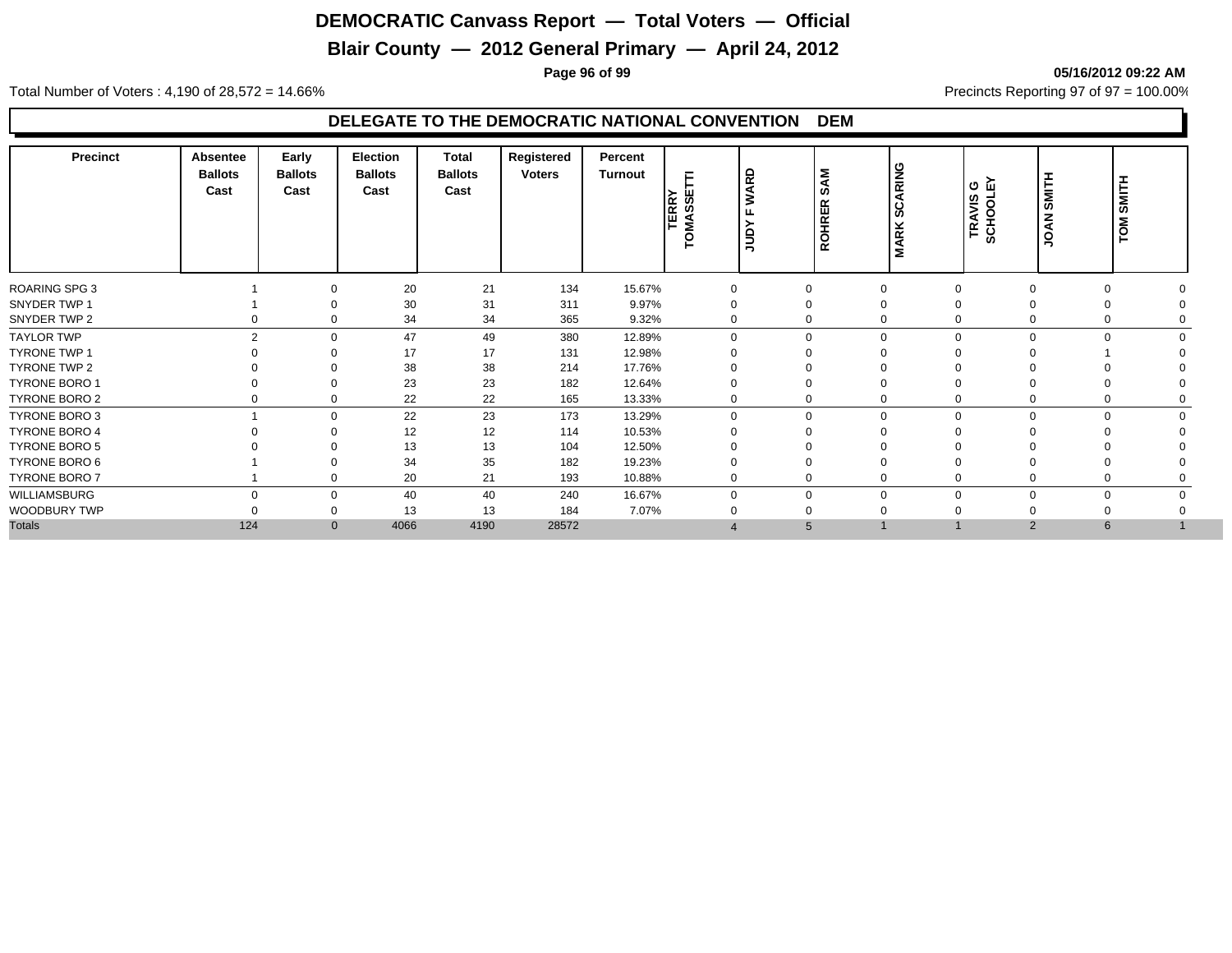# **Blair County — 2012 General Primary — April 24, 2012**

**Page 96 of 99 05/16/2012 09:22 AM**

Total Number of Voters : 4,190 of 28,572 = 14.66% Precincts Reporting 97 of 97 = 100.00%

| <b>Precinct</b>      | Absentee<br><b>Ballots</b><br>Cast | Early<br><b>Ballots</b><br>Cast | <b>Election</b><br><b>Ballots</b><br>Cast | <b>Total</b><br><b>Ballots</b><br>Cast | Registered<br><b>Voters</b> | Percent<br><b>Turnout</b> | l∝ ∞ī<br>臣<br>ഗ<br><b>SMA</b> | <b>WARD</b><br>ட<br>ورا | <b>SAM</b><br><b>ROHRER</b> | <b>ARING</b><br>ပ္တ<br><b>MARK</b> | ი ლ<br>TRAVIS<br>SCHOOLI | SMITH<br>NAOL | SMITH<br>TOM <sub>.</sub> |  |
|----------------------|------------------------------------|---------------------------------|-------------------------------------------|----------------------------------------|-----------------------------|---------------------------|-------------------------------|-------------------------|-----------------------------|------------------------------------|--------------------------|---------------|---------------------------|--|
| ROARING SPG 3        |                                    | $\Omega$                        | 20                                        | 21                                     | 134                         | 15.67%                    |                               |                         | $\Omega$                    | $\Omega$                           |                          |               | $\Omega$                  |  |
| SNYDER TWP 1         |                                    |                                 | 30                                        | 31                                     | 311                         | 9.97%                     |                               |                         | 0                           | $\Omega$                           |                          |               |                           |  |
| SNYDER TWP 2         |                                    | $\mathbf 0$<br>0                | 34                                        | 34                                     | 365                         | 9.32%                     | 0                             |                         | 0                           | $\Omega$                           |                          | 0             |                           |  |
| <b>TAYLOR TWP</b>    |                                    | $\overline{2}$<br>$\Omega$      | 47                                        | 49                                     | 380                         | 12.89%                    | $\Omega$                      |                         | $\mathbf 0$                 | $\Omega$                           | ∩                        | $\Omega$      | $\Omega$                  |  |
| <b>TYRONE TWP 1</b>  |                                    | $\Omega$                        | 17                                        | 17                                     | 131                         | 12.98%                    |                               |                         | 0                           |                                    |                          |               |                           |  |
| <b>TYRONE TWP 2</b>  |                                    | $\Omega$                        | 38                                        | 38                                     | 214                         | 17.76%                    |                               |                         | 0                           | $\Omega$                           |                          |               |                           |  |
| <b>TYRONE BORO 1</b> |                                    | $\Omega$                        | 23                                        | 23                                     | 182                         | 12.64%                    |                               |                         | 0                           | $\Omega$                           |                          |               | $\Omega$                  |  |
| <b>TYRONE BORO 2</b> |                                    | $\mathbf 0$<br>0                | 22                                        | 22                                     | 165                         | 13.33%                    | 0                             |                         | 0                           | $\mathbf 0$                        |                          | 0             | 0                         |  |
| TYRONE BORO 3        |                                    | $\Omega$                        | 22                                        | 23                                     | 173                         | 13.29%                    | 0                             |                         | $\mathbf 0$                 | $\mathbf 0$                        | $\Omega$                 | $\mathbf 0$   | $\mathbf 0$<br>$\Omega$   |  |
| <b>TYRONE BORO 4</b> |                                    | $\Omega$                        | 12                                        | 12                                     | 114                         | 10.53%                    |                               |                         | $\Omega$                    | $\Omega$                           |                          |               |                           |  |
| <b>TYRONE BORO 5</b> |                                    |                                 | 13                                        | 13                                     | 104                         | 12.50%                    |                               |                         |                             |                                    |                          |               |                           |  |
| TYRONE BORO 6        |                                    | $\Omega$                        | 34                                        | 35                                     | 182                         | 19.23%                    |                               |                         | $\Omega$                    | $\Omega$                           |                          |               |                           |  |
| TYRONE BORO 7        |                                    | $\Omega$                        | 20                                        | 21                                     | 193                         | 10.88%                    | $\Omega$                      |                         | 0                           | $\Omega$                           |                          |               |                           |  |
| <b>WILLIAMSBURG</b>  |                                    | $\Omega$<br>$\mathbf 0$         | 40                                        | 40                                     | 240                         | 16.67%                    | $\Omega$                      |                         | $\mathbf 0$                 | $\Omega$                           |                          | $\Omega$      | $\Omega$                  |  |
| WOODBURY TWP         |                                    | 0                               | 13                                        | 13                                     | 184                         | 7.07%                     |                               |                         | 0                           |                                    |                          |               |                           |  |
| <b>Totals</b>        | 124                                | $\mathbf{0}$                    | 4066                                      | 4190                                   | 28572                       |                           |                               |                         | 5                           |                                    |                          | 2             | $6\overline{6}$           |  |
|                      |                                    |                                 |                                           |                                        |                             |                           |                               |                         |                             |                                    |                          |               |                           |  |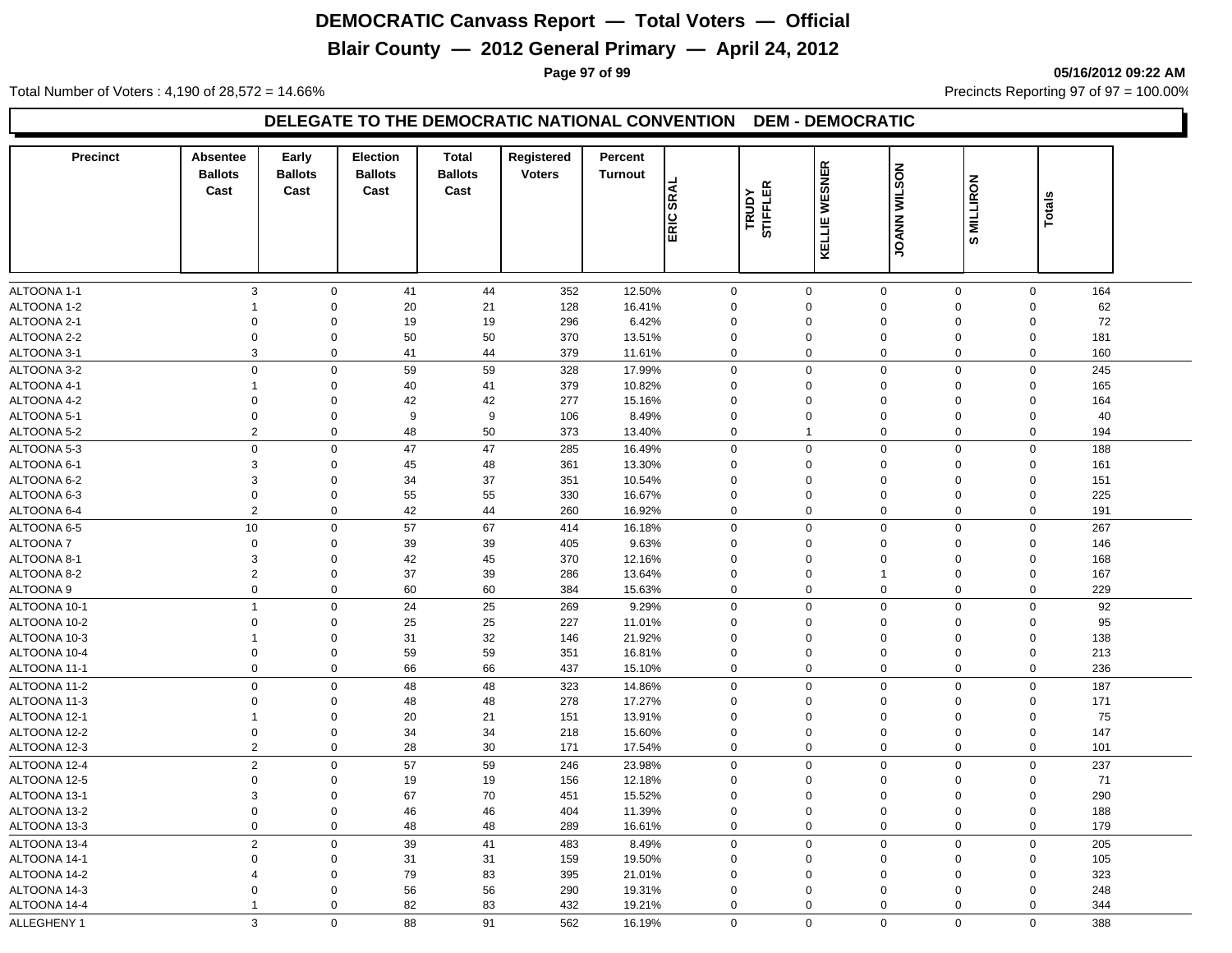# **Blair County — 2012 General Primary — April 24, 2012**

**Page 97 of 99 05/16/2012 09:22 AM**

Total Number of Voters : 4,190 of 28,572 = 14.66% Precincts Reporting 97 of 97 = 100.00%

| <b>Precinct</b> | Absentee       | Early            | <b>Election</b> | <b>Total</b>   | Registered    | Percent        |                     |                |                     |                 |               |     |
|-----------------|----------------|------------------|-----------------|----------------|---------------|----------------|---------------------|----------------|---------------------|-----------------|---------------|-----|
|                 | <b>Ballots</b> | <b>Ballots</b>   | <b>Ballots</b>  | <b>Ballots</b> | <b>Voters</b> | <b>Turnout</b> |                     | KELLIE WESNER  | <b>JOANN WILSON</b> |                 |               |     |
|                 | Cast           | Cast             | Cast            | Cast           |               | <b>SRAL</b>    | <b>STIFFLER</b>     |                |                     | <b>MILLIRON</b> |               |     |
|                 |                |                  |                 |                |               |                | TRUDY               |                |                     |                 | <b>Totals</b> |     |
|                 |                |                  |                 |                |               | ERIC           |                     |                |                     |                 |               |     |
|                 |                |                  |                 |                |               |                |                     |                |                     | ဖာ              |               |     |
|                 |                |                  |                 |                |               |                |                     |                |                     |                 |               |     |
| ALTOONA 1-1     | $\sqrt{3}$     | $\mathbf{0}$     | 41              | 44             | 352           | 12.50%         | $\mathbf 0$         | $\mathbf 0$    | $\mathsf{O}\xspace$ | $\mathbf{0}$    | $\mathbf 0$   | 164 |
| ALTOONA 1-2     | $\mathbf{1}$   | $\Omega$         | 20              | 21             | 128           | 16.41%         | 0                   | $\mathbf 0$    | $\mathbf 0$         | $\mathbf 0$     | $\mathbf 0$   | 62  |
| ALTOONA 2-1     | $\Omega$       | $\mathbf 0$      | 19              | 19             | 296           | 6.42%          | 0                   | $\mathbf 0$    | $\mathbf 0$         | $\mathbf 0$     | $\mathbf 0$   | 72  |
| ALTOONA 2-2     | $\Omega$       | $\mathbf 0$      | 50              | 50             | 370           | 13.51%         | 0                   | $\Omega$       | $\Omega$            | 0               | $\mathbf 0$   | 181 |
| ALTOONA 3-1     | 3              | $\mathbf 0$      | 41              | 44             | 379           | 11.61%         | 0                   | $\Omega$       | $\mathbf 0$         | $\mathbf 0$     | $\mathbf 0$   | 160 |
| ALTOONA 3-2     | $\mathsf 0$    | $\mathsf 0$      | 59              | 59             | 328           | 17.99%         | $\mathsf{O}\xspace$ | $\mathsf 0$    | $\mathbf 0$         | 0               | $\mathbf 0$   | 245 |
| ALTOONA 4-1     | $\mathbf{1}$   | $\mathbf 0$      | 40              | 41             | 379           | 10.82%         | 0                   | $\mathbf 0$    | $\mathbf 0$         | 0               | $\mathbf 0$   | 165 |
| ALTOONA 4-2     | $\Omega$       | $\mathbf 0$      | 42              | 42             | 277           | 15.16%         | 0                   | $\Omega$       | $\Omega$            | 0               | $\mathbf 0$   | 164 |
| ALTOONA 5-1     | $\Omega$       | $\mathbf 0$      | 9               | 9              | 106           | 8.49%          | $\Omega$            | $\Omega$       | $\mathbf 0$         | $\mathbf 0$     | $\mathbf 0$   | 40  |
| ALTOONA 5-2     | 2              | $\mathbf 0$      | 48              | 50             | 373           | 13.40%         | $\mathbf 0$         | $\overline{1}$ | $\mathbf 0$         | $\mathbf 0$     | $\mathbf 0$   | 194 |
| ALTOONA 5-3     | $\mathbf 0$    | $\mathbf 0$      | 47              | 47             | 285           | 16.49%         | $\mathbf 0$         | $\mathbf 0$    | $\mathbf 0$         | 0               | $\mathbf 0$   | 188 |
| ALTOONA 6-1     | 3              | $\mathbf 0$      | 45              | 48             | 361           | 13.30%         | 0                   | $\Omega$       | $\mathbf 0$         | 0               | $\mathbf 0$   | 161 |
| ALTOONA 6-2     | 3              | $\Omega$         | 34              | 37             | 351           | 10.54%         | $\Omega$            | $\Omega$       | $\mathbf 0$         | $\Omega$        | $\mathbf 0$   | 151 |
| ALTOONA 6-3     | $\Omega$       | $\Omega$         | 55              | 55             | 330           | 16.67%         | $\Omega$            | $\Omega$       | $\mathbf 0$         | $\Omega$        | $\Omega$      | 225 |
| ALTOONA 6-4     | 2              | 0                | 42              | 44             | 260           | 16.92%         | 0                   | $\mathbf 0$    | $\mathbf 0$         | $\mathbf 0$     | $\mathbf 0$   | 191 |
| ALTOONA 6-5     | 10             | $\mathsf 0$      | 57              | 67             | 414           | 16.18%         | 0                   | $\Omega$       | $\mathbf 0$         | $\mathbf 0$     | $\mathbf 0$   | 267 |
| ALTOONA 7       | $\Omega$       | $\Omega$         | 39              | 39             | 405           | 9.63%          | $\Omega$            | $\Omega$       | $\mathbf 0$         | $\Omega$        | $\mathbf 0$   | 146 |
| ALTOONA 8-1     | 3              | $\Omega$         | 42              | 45             | 370           | 12.16%         | $\Omega$            | $\Omega$       | $\mathbf 0$         | $\Omega$        | $\Omega$      | 168 |
| ALTOONA 8-2     | $\sqrt{2}$     | $\mathbf 0$      | 37              | 39             | 286           | 13.64%         | 0                   | $\mathbf 0$    | $\overline{1}$      | 0               | 0             | 167 |
| ALTOONA 9       | $\mathbf 0$    | 0                | 60              | 60             | 384           | 15.63%         | 0                   | $\Omega$       | $\Omega$            | 0               | $\mathbf 0$   | 229 |
| ALTOONA 10-1    | $\mathbf{1}$   | $\mathbf 0$      | 24              | 25             | 269           | 9.29%          | $\mathbf 0$         | $\Omega$       | $\mathbf 0$         | 0               | $\mathsf 0$   | 92  |
| ALTOONA 10-2    | $\Omega$       | $\Omega$         | 25              | 25             | 227           | 11.01%         | $\Omega$            | $\Omega$       | $\mathbf 0$         | $\Omega$        | $\Omega$      | 95  |
| ALTOONA 10-3    | $\mathbf{1}$   | $\Omega$         | 31              | 32             | 146           | 21.92%         | 0                   | $\mathbf{0}$   | $\mathbf 0$         | $\mathbf 0$     | 0             | 138 |
| ALTOONA 10-4    | 0              | $\mathbf 0$      | 59              | 59             | 351           | 16.81%         | 0                   | $\mathbf 0$    | $\mathbf 0$         | 0               | $\mathbf 0$   | 213 |
| ALTOONA 11-1    | $\mathbf 0$    | $\boldsymbol{0}$ | 66              | 66             | 437           | 15.10%         | 0                   | $\mathbf 0$    | $\mathbf 0$         | 0               | 0             | 236 |
| ALTOONA 11-2    | $\Omega$       | $\Omega$         | 48              | 48             | 323           | 14.86%         | $\mathbf 0$         | $\Omega$       | $\mathbf 0$         | $\mathbf 0$     | $\mathbf 0$   | 187 |
| ALTOONA 11-3    | $\Omega$       | $\Omega$         | 48              | 48             | 278           | 17.27%         | 0                   | $\Omega$       | $\mathbf 0$         | $\mathbf 0$     | $\Omega$      | 171 |
| ALTOONA 12-1    | $\mathbf{1}$   | $\Omega$         | 20              | 21             | 151           | 13.91%         | $\Omega$            | $\Omega$       | $\Omega$            | $\Omega$        | $\Omega$      | 75  |
| ALTOONA 12-2    | $\mathbf 0$    | $\mathbf 0$      | 34              | 34             | 218           | 15.60%         | 0                   | $\mathbf 0$    | $\mathbf 0$         | 0               | $\mathbf 0$   | 147 |
| ALTOONA 12-3    | 2              | $\mathbf 0$      | 28              | 30             | 171           | 17.54%         | 0                   | $\mathbf 0$    | $\mathbf 0$         | $\mathbf 0$     | $\mathbf 0$   | 101 |
| ALTOONA 12-4    | $\sqrt{2}$     | $\Omega$         | 57              | 59             | 246           | 23.98%         | 0                   | $\Omega$       | $\pmb{0}$           | $\mathbf 0$     | $\mathbf 0$   | 237 |
| ALTOONA 12-5    | 0              | $\mathbf 0$      | 19              | 19             | 156           | 12.18%         | 0                   | $\Omega$       | $\Omega$            | 0               | 0             | 71  |
| ALTOONA 13-1    | 3              | $\mathbf 0$      | 67              | 70             | 451           | 15.52%         | 0                   | $\mathbf 0$    | $\pmb{0}$           | 0               | $\mathbf 0$   | 290 |
| ALTOONA 13-2    | $\mathbf 0$    | $\mathbf 0$      | 46              | 46             | 404           | 11.39%         | 0                   | $\mathbf 0$    | $\mathbf 0$         | $\mathbf 0$     | $\mathsf 0$   | 188 |
| ALTOONA 13-3    | $\mathbf 0$    | $\mathbf 0$      | 48              | 48             | 289           | 16.61%         | 0                   | $\mathbf 0$    | $\mathbf 0$         | 0               | $\mathbf 0$   | 179 |
| ALTOONA 13-4    | $\sqrt{2}$     | $\mathbf 0$      | 39              | 41             | 483           | 8.49%          | 0                   | $\mathbf 0$    | $\mathbf 0$         | 0               | $\mathbf 0$   | 205 |
| ALTOONA 14-1    | $\mathbf 0$    | $\mathbf 0$      | 31              | 31             | 159           | 19.50%         | 0                   | $\mathbf 0$    | $\mathbf 0$         | 0               | $\mathbf 0$   | 105 |
| ALTOONA 14-2    | $\overline{4}$ | $\mathbf 0$      | 79              | 83             | 395           | 21.01%         | $\Omega$            | $\mathbf 0$    | $\mathbf 0$         | $\Omega$        | $\mathbf 0$   | 323 |
| ALTOONA 14-3    | $\mathbf 0$    | $\Omega$         | 56              | 56             | 290           | 19.31%         | 0                   | $\Omega$       | $\mathbf 0$         | $\mathbf 0$     | $\Omega$      | 248 |
| ALTOONA 14-4    | $\mathbf{1}$   | $\mathbf 0$      | 82              | 83             | 432           | 19.21%         | 0                   | $\mathbf 0$    | $\mathbf 0$         | 0               | $\mathbf 0$   | 344 |
| ALLEGHENY 1     | 3              | $\mathbf{0}$     | 88              | 91             | 562           | 16.19%         | $\mathbf 0$         | $\mathbf 0$    | $\Omega$            | $\Omega$        | $\mathbf 0$   | 388 |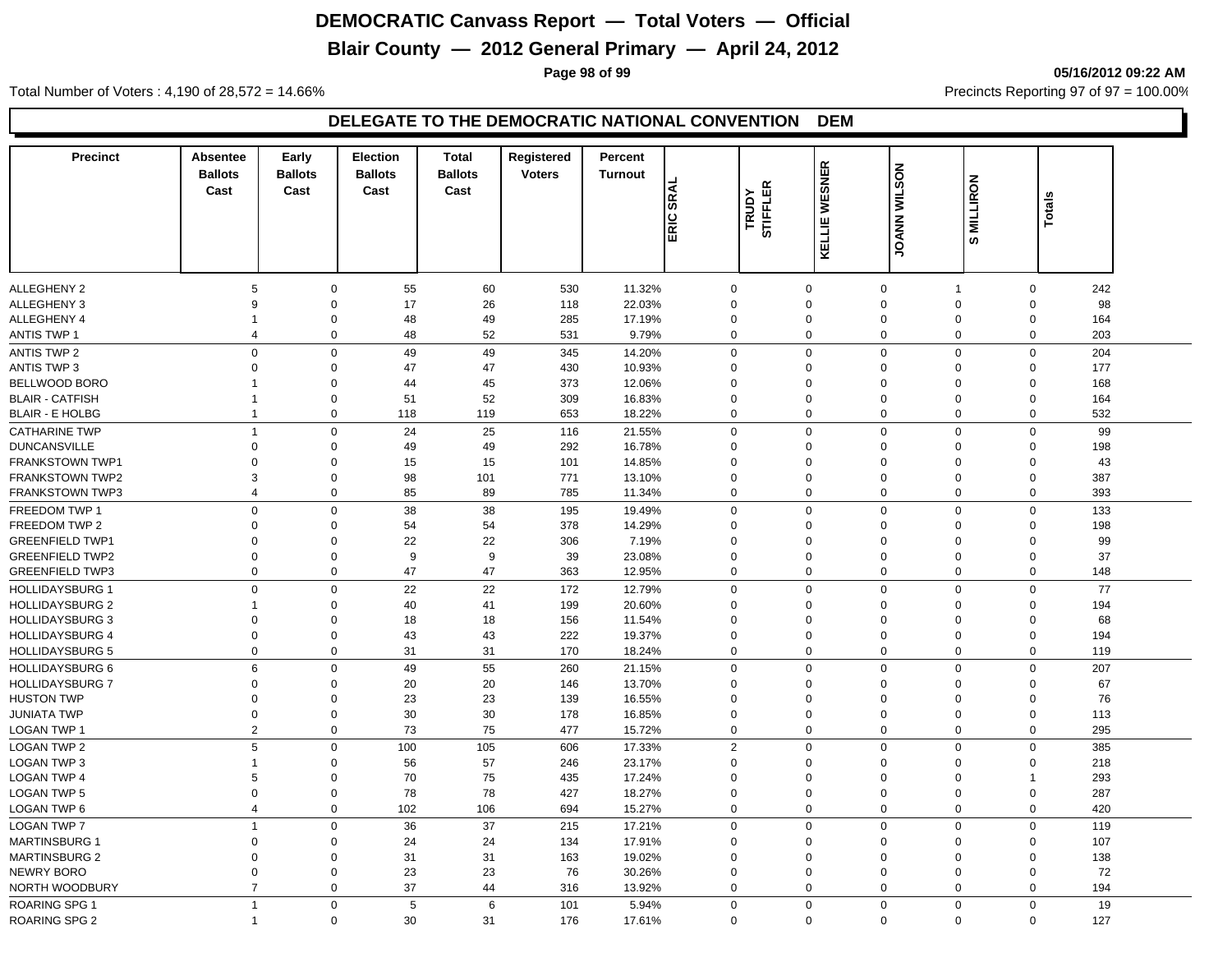# **Blair County — 2012 General Primary — April 24, 2012**

**Page 98 of 99 05/16/2012 09:22 AM**

Total Number of Voters : 4,190 of 28,572 = 14.66% Precincts Reporting 97 of 97 = 100.00%

| <b>Precinct</b>        | <b>Absentee</b>          | Early          | Election       | <b>Total</b>   | Registered    | Percent        |             |                   |               |                     |                 |                         |     |  |
|------------------------|--------------------------|----------------|----------------|----------------|---------------|----------------|-------------|-------------------|---------------|---------------------|-----------------|-------------------------|-----|--|
|                        | <b>Ballots</b>           | <b>Ballots</b> | <b>Ballots</b> | <b>Ballots</b> | <b>Voters</b> | <b>Turnout</b> |             |                   | <b>WESNER</b> | <b>JOANN WILSON</b> |                 |                         |     |  |
|                        | Cast                     | Cast           | Cast           | Cast           |               | <b>SRAL</b>    |             | STIFFLER<br>TRUDY |               |                     | <b>MILLIRON</b> |                         |     |  |
|                        |                          |                |                |                |               |                |             |                   |               |                     |                 | Totals                  |     |  |
|                        |                          |                |                |                |               | ERIC           |             |                   | KELLIE        |                     | ဖာ              |                         |     |  |
|                        |                          |                |                |                |               |                |             |                   |               |                     |                 |                         |     |  |
|                        |                          |                |                |                |               |                |             |                   |               |                     |                 |                         |     |  |
| ALLEGHENY 2            | 5                        | $\Omega$       | 55             | 60             | 530           | 11.32%         | $\mathbf 0$ |                   | $\mathbf 0$   | $\mathbf 0$         | $\overline{1}$  | $\mathbf 0$             | 242 |  |
| <b>ALLEGHENY 3</b>     | 9                        | $\Omega$       | 17             | 26             | 118           | 22.03%         | $\Omega$    |                   | $\mathbf 0$   | $\mathbf 0$         | $\Omega$        | $\Omega$                | 98  |  |
| <b>ALLEGHENY 4</b>     | $\mathbf{1}$             | 0              | 48             | 49             | 285           | 17.19%         | 0           |                   | $\mathbf 0$   | $\mathbf 0$         | $\mathbf 0$     | $\Omega$                | 164 |  |
| <b>ANTIS TWP 1</b>     | $\overline{\mathcal{A}}$ | $\mathbf 0$    | 48             | 52             | 531           | 9.79%          | 0           |                   | $\Omega$      | $\mathbf 0$         | 0               | $\mathbf{0}$            | 203 |  |
| <b>ANTIS TWP 2</b>     | 0                        | $\Omega$       | 49             | 49             | 345           | 14.20%         | $\mathbf 0$ |                   | $\mathbf 0$   | $\mathbf 0$         | 0               | $\mathsf 0$             | 204 |  |
| <b>ANTIS TWP 3</b>     | $\mathbf 0$              | 0              | 47             | 47             | 430           | 10.93%         | 0           |                   | $\mathbf 0$   | $\mathbf 0$         | $\mathbf 0$     | $\mathbf 0$             | 177 |  |
| BELLWOOD BORO          | $\mathbf{1}$             | $\mathbf 0$    | 44             | 45             | 373           | 12.06%         | 0           |                   | $\mathbf 0$   | $\mathbf 0$         | $\mathbf 0$     | $\mathbf 0$             | 168 |  |
| <b>BLAIR - CATFISH</b> | $\mathbf{1}$             | $\mathbf 0$    | 51             | 52             | 309           | 16.83%         | 0           |                   | $\mathbf 0$   | $\mathbf 0$         | $\Omega$        | $\mathbf 0$             | 164 |  |
| <b>BLAIR - E HOLBG</b> | $\mathbf{1}$             | 0              | 118            | 119            | 653           | 18.22%         | $\mathbf 0$ |                   | $\mathbf 0$   | $\mathbf 0$         | 0               | 0                       | 532 |  |
| <b>CATHARINE TWP</b>   | $\mathbf{1}$             | $\Omega$       | 24             | 25             | 116           | 21.55%         | $\mathbf 0$ |                   | $\Omega$      | $\mathbf 0$         | 0               | $\Omega$                | 99  |  |
| <b>DUNCANSVILLE</b>    | $\Omega$                 | $\Omega$       | 49             | 49             | 292           | 16.78%         | $\Omega$    |                   | $\Omega$      | $\mathbf 0$         | $\Omega$        | $\Omega$                | 198 |  |
| FRANKSTOWN TWP1        | $\Omega$                 | $\Omega$       | 15             | 15             | 101           | 14.85%         | $\Omega$    |                   | $\Omega$      | $\mathbf 0$         | $\Omega$        | $\Omega$                | 43  |  |
| <b>FRANKSTOWN TWP2</b> | 3                        | $\Omega$       | 98             | 101            | 771           | 13.10%         | $\mathbf 0$ |                   | $\Omega$      | $\Omega$            | $\Omega$        | $\Omega$                | 387 |  |
| <b>FRANKSTOWN TWP3</b> | $\overline{4}$           | $\Omega$       | 85             | 89             | 785           | 11.34%         | $\mathbf 0$ |                   | $\Omega$      | $\mathbf 0$         | $\Omega$        | 0                       | 393 |  |
| FREEDOM TWP 1          | $\mathbf{0}$             | $\Omega$       | 38             | 38             | 195           | 19.49%         | $\mathbf 0$ |                   | $\Omega$      | $\mathbf 0$         | 0               | $\mathbf 0$             | 133 |  |
| FREEDOM TWP 2          | $\mathbf 0$              | $\mathbf 0$    | 54             | 54             | 378           | 14.29%         | 0           |                   | $\mathbf 0$   | $\mathbf 0$         | $\mathbf 0$     | $\mathbf 0$             | 198 |  |
| <b>GREENFIELD TWP1</b> | $\mathbf 0$              | 0              | 22             | 22             | 306           | 7.19%          | $\mathbf 0$ |                   | $\mathbf 0$   | $\mathbf 0$         | $\Omega$        | $\mathbf 0$             | 99  |  |
| <b>GREENFIELD TWP2</b> | $\mathbf 0$              | $\mathbf 0$    | 9              | 9              | 39            | 23.08%         | $\mathbf 0$ |                   | $\mathbf 0$   | $\mathbf 0$         | $\Omega$        | $\Omega$                | 37  |  |
| <b>GREENFIELD TWP3</b> | $\mathbf{0}$             | $\mathbf{0}$   | 47             | 47             | 363           | 12.95%         | $\mathbf 0$ |                   | $\mathbf 0$   | $\mathbf 0$         | $\mathbf 0$     | $\mathbf 0$             | 148 |  |
| <b>HOLLIDAYSBURG 1</b> | $\Omega$                 | $\Omega$       | 22             | 22             | 172           | 12.79%         | $\mathbf 0$ |                   | $\Omega$      | $\mathbf 0$         | 0               | $\mathbf 0$             | 77  |  |
| <b>HOLLIDAYSBURG 2</b> | $\mathbf{1}$             | $\Omega$       | 40             | 41             | 199           | 20.60%         | $\Omega$    |                   | $\Omega$      | $\mathbf 0$         | 0               | $\Omega$                | 194 |  |
| <b>HOLLIDAYSBURG 3</b> | $\mathbf 0$              | 0              | 18             | 18             | 156           | 11.54%         | $\mathbf 0$ |                   | $\mathbf 0$   | $\mathbf 0$         | $\Omega$        | $\mathbf 0$             | 68  |  |
| <b>HOLLIDAYSBURG 4</b> | $\mathbf 0$              | $\mathbf 0$    | 43             | 43             | 222           | 19.37%         | 0           |                   | $\mathbf 0$   | $\mathbf 0$         | $\mathbf 0$     | $\mathbf 0$             | 194 |  |
| <b>HOLLIDAYSBURG 5</b> | $\mathbf 0$              | $\mathbf 0$    | 31             | 31             | 170           | 18.24%         | $\mathbf 0$ |                   | $\mathbf 0$   | $\mathbf 0$         | 0               | $\mathbf 0$             | 119 |  |
| <b>HOLLIDAYSBURG 6</b> | 6                        | $\Omega$       | 49             | 55             | 260           | 21.15%         | $\mathbf 0$ |                   | $\Omega$      | $\mathbf 0$         | $\mathbf 0$     | $\mathbf 0$             | 207 |  |
| <b>HOLLIDAYSBURG 7</b> | $\mathbf 0$              | $\Omega$       | 20             | 20             | 146           | 13.70%         | $\Omega$    |                   | $\mathbf 0$   | $\mathbf 0$         | $\Omega$        | $\mathbf 0$             | 67  |  |
| <b>HUSTON TWP</b>      | $\mathbf 0$              | $\mathbf 0$    | 23             | 23             | 139           | 16.55%         | $\mathbf 0$ |                   | $\mathbf 0$   | $\mathbf 0$         | $\Omega$        | $\Omega$                | 76  |  |
| <b>JUNIATA TWP</b>     | $\mathbf 0$              | $\mathbf 0$    | 30             | 30             | 178           | 16.85%         | $\mathbf 0$ |                   | $\mathbf 0$   | $\mathbf 0$         | $\Omega$        | $\mathbf 0$             | 113 |  |
| LOGAN TWP 1            | 2                        | $\mathbf 0$    | 73             | 75             | 477           | 15.72%         | $\mathbf 0$ |                   | $\mathbf 0$   | $\mathbf 0$         | $\mathbf 0$     | $\mathbf{0}$            | 295 |  |
| <b>LOGAN TWP 2</b>     | 5                        | $\mathbf 0$    | 100            | 105            | 606           | 17.33%         | 2           |                   | $\mathbf 0$   | $\mathbf 0$         | 0               | $\mathbf 0$             | 385 |  |
| LOGAN TWP 3            | $\mathbf{1}$             | 0              | 56             | 57             | 246           | 23.17%         | $\mathbf 0$ |                   | $\mathbf 0$   | $\mathbf 0$         | 0               | $\mathbf 0$             | 218 |  |
| <b>LOGAN TWP 4</b>     | 5                        | $\mathbf 0$    | 70             | 75             | 435           | 17.24%         | 0           |                   | $\mathbf 0$   | $\mathbf 0$         | $\Omega$        | $\overline{\mathbf{1}}$ | 293 |  |
| <b>LOGAN TWP 5</b>     | $\mathbf 0$              | $\mathbf 0$    | 78             | 78             | 427           | 18.27%         | $\mathbf 0$ |                   | $\mathbf 0$   | $\mathbf 0$         | $\Omega$        | $\mathsf 0$             | 287 |  |
| LOGAN TWP 6            | $\overline{4}$           | $\mathbf 0$    | 102            | 106            | 694           | 15.27%         | $\mathbf 0$ |                   | $\mathbf 0$   | $\mathbf 0$         | 0               | $\mathbf 0$             | 420 |  |
| <b>LOGAN TWP 7</b>     | $\mathbf{1}$             | $\Omega$       | 36             | 37             | 215           | 17.21%         | $\mathbf 0$ |                   | $\Omega$      | $\mathbf 0$         | $\mathbf 0$     | $\mathbf 0$             | 119 |  |
| <b>MARTINSBURG 1</b>   | $\mathbf 0$              | $\Omega$       | 24             | 24             | 134           | 17.91%         | $\mathbf 0$ |                   | $\Omega$      | $\Omega$            | $\Omega$        | $\Omega$                | 107 |  |
| <b>MARTINSBURG 2</b>   | $\Omega$                 | $\Omega$       | 31             | 31             | 163           | 19.02%         | 0           |                   | $\Omega$      | $\mathbf 0$         | $\Omega$        | $\Omega$                | 138 |  |
| NEWRY BORO             | $\Omega$                 | $\Omega$       | 23             | 23             | 76            | 30.26%         | $\Omega$    |                   | $\Omega$      | $\mathbf 0$         | $\Omega$        | $\mathbf 0$             | 72  |  |
| NORTH WOODBURY         | $\overline{7}$           | $\mathbf{0}$   | 37             | 44             | 316           | 13.92%         | $\mathbf 0$ |                   | $\mathbf 0$   | $\mathbf 0$         | $\mathbf 0$     | $\mathbf{0}$            | 194 |  |
| <b>ROARING SPG 1</b>   | $\mathbf{1}$             | $\mathbf 0$    | 5              | 6              | 101           | 5.94%          | $\mathbf 0$ |                   | $\mathbf 0$   | $\mathbf 0$         | 0               | $\mathbf{0}$            | 19  |  |
| ROARING SPG 2          | $\mathbf{1}$             | $\mathbf{0}$   | 30             | 31             | 176           | 17.61%         | $\mathbf 0$ |                   | $\mathbf 0$   | $\Omega$            | $\mathbf 0$     | $\mathbf{0}$            | 127 |  |
|                        |                          |                |                |                |               |                |             |                   |               |                     |                 |                         |     |  |